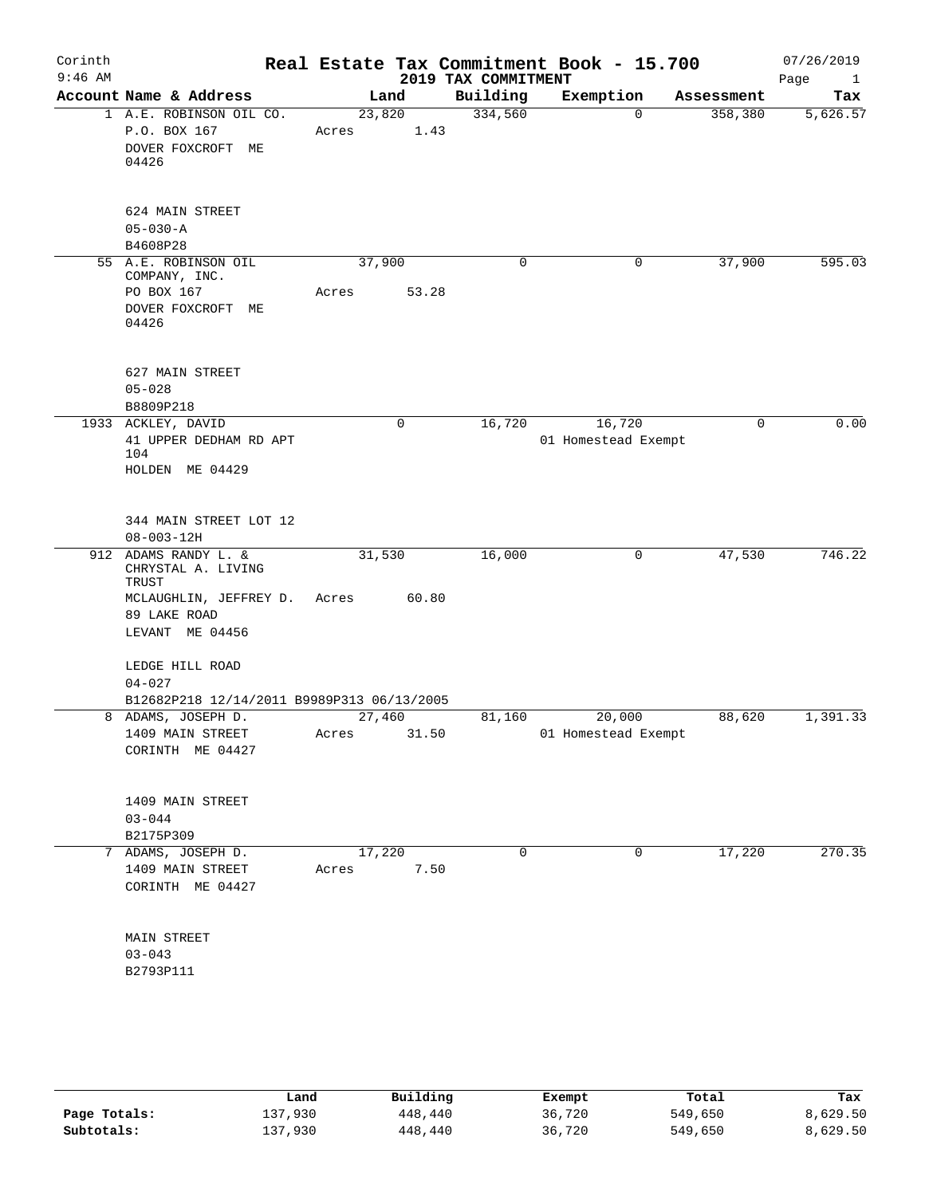| Corinth<br>$9:46$ AM |                                                                                                                        |                       |             | 2019 TAX COMMITMENT | Real Estate Tax Commitment Book - 15.700 |            | 07/26/2019<br>Page<br>$\mathbf{1}$ |
|----------------------|------------------------------------------------------------------------------------------------------------------------|-----------------------|-------------|---------------------|------------------------------------------|------------|------------------------------------|
|                      | Account Name & Address                                                                                                 | Land                  |             | Building            | Exemption                                | Assessment | Tax                                |
|                      | 1 A.E. ROBINSON OIL CO.<br>P.O. BOX 167<br>DOVER FOXCROFT ME<br>04426                                                  | 23,820<br>Acres       | 1.43        | 334,560             | 0                                        | 358,380    | 5,626.57                           |
|                      | 624 MAIN STREET<br>$05 - 030 - A$<br>B4608P28                                                                          |                       |             |                     |                                          |            |                                    |
|                      | 55 A.E. ROBINSON OIL<br>COMPANY, INC.<br>PO BOX 167<br>DOVER FOXCROFT ME<br>04426                                      | 37,900<br>Acres       | 53.28       | 0                   | 0                                        | 37,900     | 595.03                             |
|                      | 627 MAIN STREET<br>$05 - 028$<br>B8809P218                                                                             |                       |             |                     |                                          |            |                                    |
|                      | 1933 ACKLEY, DAVID<br>41 UPPER DEDHAM RD APT<br>104<br>HOLDEN ME 04429                                                 |                       | $\mathbf 0$ | 16,720              | 16,720<br>01 Homestead Exempt            | 0          | 0.00                               |
|                      | 344 MAIN STREET LOT 12<br>$08 - 003 - 12H$                                                                             |                       |             |                     |                                          |            |                                    |
|                      | 912 ADAMS RANDY L. &<br>CHRYSTAL A. LIVING<br>TRUST<br>MCLAUGHLIN, JEFFREY D. Acres<br>89 LAKE ROAD<br>LEVANT ME 04456 | 31,530                | 60.80       | 16,000              | 0                                        | 47,530     | 746.22                             |
|                      | LEDGE HILL ROAD<br>$04 - 027$<br>B12682P218 12/14/2011 B9989P313 06/13/2005                                            |                       |             |                     |                                          |            |                                    |
|                      | 8 ADAMS, JOSEPH D.<br>1409 MAIN STREET<br>CORINTH ME 04427                                                             | 27,460<br>Acres 31.50 |             | 81,160              | 20,000<br>01 Homestead Exempt            | 88,620     | 1,391.33                           |
|                      | 1409 MAIN STREET<br>$03 - 044$<br>B2175P309                                                                            |                       |             |                     |                                          |            |                                    |
|                      | 7 ADAMS, JOSEPH D.<br>1409 MAIN STREET<br>CORINTH ME 04427                                                             | 17,220<br>Acres       | 7.50        | $\Omega$            | $\mathbf 0$                              | 17,220     | 270.35                             |
|                      | MAIN STREET<br>$03 - 043$<br>B2793P111                                                                                 |                       |             |                     |                                          |            |                                    |
|                      |                                                                                                                        |                       |             |                     |                                          |            |                                    |

|              | Land    | Building | Exempt | Total   | Tax      |
|--------------|---------|----------|--------|---------|----------|
| Page Totals: | 137,930 | 448,440  | 36,720 | 549,650 | 8.629.50 |
| Subtotals:   | 137,930 | 448,440  | 36,720 | 549,650 | 8,629.50 |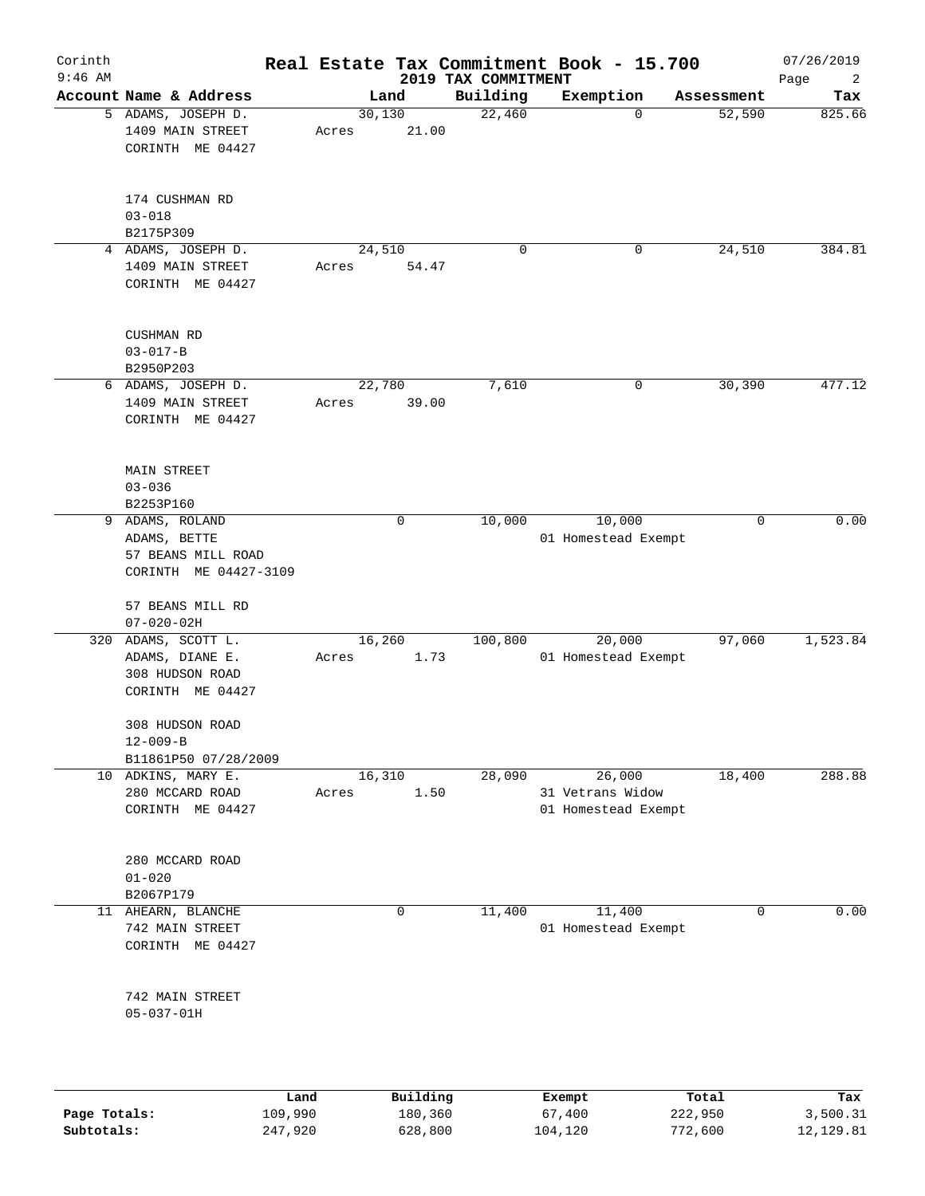| Corinth      |                                                            |                 |       |                     |                     | Real Estate Tax Commitment Book - 15.700 |                  | 07/26/2019      |
|--------------|------------------------------------------------------------|-----------------|-------|---------------------|---------------------|------------------------------------------|------------------|-----------------|
| $9:46$ AM    |                                                            |                 |       |                     | 2019 TAX COMMITMENT |                                          |                  | Page<br>2       |
|              | Account Name & Address                                     |                 |       | Land                | Building            | Exemption                                | Assessment       | Tax             |
|              | 5 ADAMS, JOSEPH D.<br>1409 MAIN STREET<br>CORINTH ME 04427 |                 | Acres | 30,130<br>21.00     | 22,460              | $\mathbf 0$                              | 52,590           | 825.66          |
|              | 174 CUSHMAN RD<br>$03 - 018$<br>B2175P309                  |                 |       |                     |                     |                                          |                  |                 |
|              | 4 ADAMS, JOSEPH D.                                         |                 |       | 24,510              | $\mathbf 0$         | 0                                        | 24,510           | 384.81          |
|              | 1409 MAIN STREET<br>CORINTH ME 04427                       |                 | Acres | 54.47               |                     |                                          |                  |                 |
|              | CUSHMAN RD<br>$03 - 017 - B$                               |                 |       |                     |                     |                                          |                  |                 |
|              | B2950P203<br>6 ADAMS, JOSEPH D.                            |                 |       | 22,780              | 7,610               | 0                                        | 30,390           | 477.12          |
|              | 1409 MAIN STREET<br>CORINTH ME 04427                       |                 | Acres | 39.00               |                     |                                          |                  |                 |
|              | MAIN STREET<br>$03 - 036$<br>B2253P160                     |                 |       |                     |                     |                                          |                  |                 |
| 9            | ADAMS, ROLAND                                              |                 |       | 0                   | 10,000              | 10,000                                   | 0                | 0.00            |
|              | ADAMS, BETTE                                               |                 |       |                     |                     | 01 Homestead Exempt                      |                  |                 |
|              | 57 BEANS MILL ROAD                                         |                 |       |                     |                     |                                          |                  |                 |
|              | CORINTH ME 04427-3109                                      |                 |       |                     |                     |                                          |                  |                 |
|              | 57 BEANS MILL RD                                           |                 |       |                     |                     |                                          |                  |                 |
|              | $07 - 020 - 02H$                                           |                 |       |                     |                     |                                          |                  |                 |
| 320          | ADAMS, SCOTT L.                                            |                 |       | 16,260              | 100,800             | 20,000                                   | 97,060           | 1,523.84        |
|              | ADAMS, DIANE E.<br>308 HUDSON ROAD<br>CORINTH ME 04427     |                 | Acres | 1.73                |                     | 01 Homestead Exempt                      |                  |                 |
|              | 308 HUDSON ROAD<br>$12 - 009 - B$                          |                 |       |                     |                     |                                          |                  |                 |
|              | B11861P50 07/28/2009                                       |                 |       |                     |                     |                                          |                  |                 |
|              | 10 ADKINS, MARY E.                                         |                 |       | 16,310              | 28,090              | 26,000                                   | 18,400           | 288.88          |
|              | 280 MCCARD ROAD<br>CORINTH ME 04427                        |                 | Acres | 1.50                |                     | 31 Vetrans Widow<br>01 Homestead Exempt  |                  |                 |
|              | 280 MCCARD ROAD<br>$01 - 020$                              |                 |       |                     |                     |                                          |                  |                 |
|              | B2067P179                                                  |                 |       |                     |                     |                                          |                  |                 |
|              | 11 AHEARN, BLANCHE                                         |                 |       | $\mathbf 0$         | 11,400              | 11,400                                   | $\mathbf 0$      | 0.00            |
|              | 742 MAIN STREET<br>CORINTH ME 04427                        |                 |       |                     |                     | 01 Homestead Exempt                      |                  |                 |
|              | 742 MAIN STREET<br>$05 - 037 - 01H$                        |                 |       |                     |                     |                                          |                  |                 |
|              |                                                            |                 |       |                     |                     |                                          |                  |                 |
| Page Totals: |                                                            | Land<br>109,990 |       | Building<br>180,360 |                     | Exempt<br>67,400                         | Total<br>222,950 | Tax<br>3,500.31 |

**Subtotals:** 247,920 628,800 104,120 772,600 12,129.81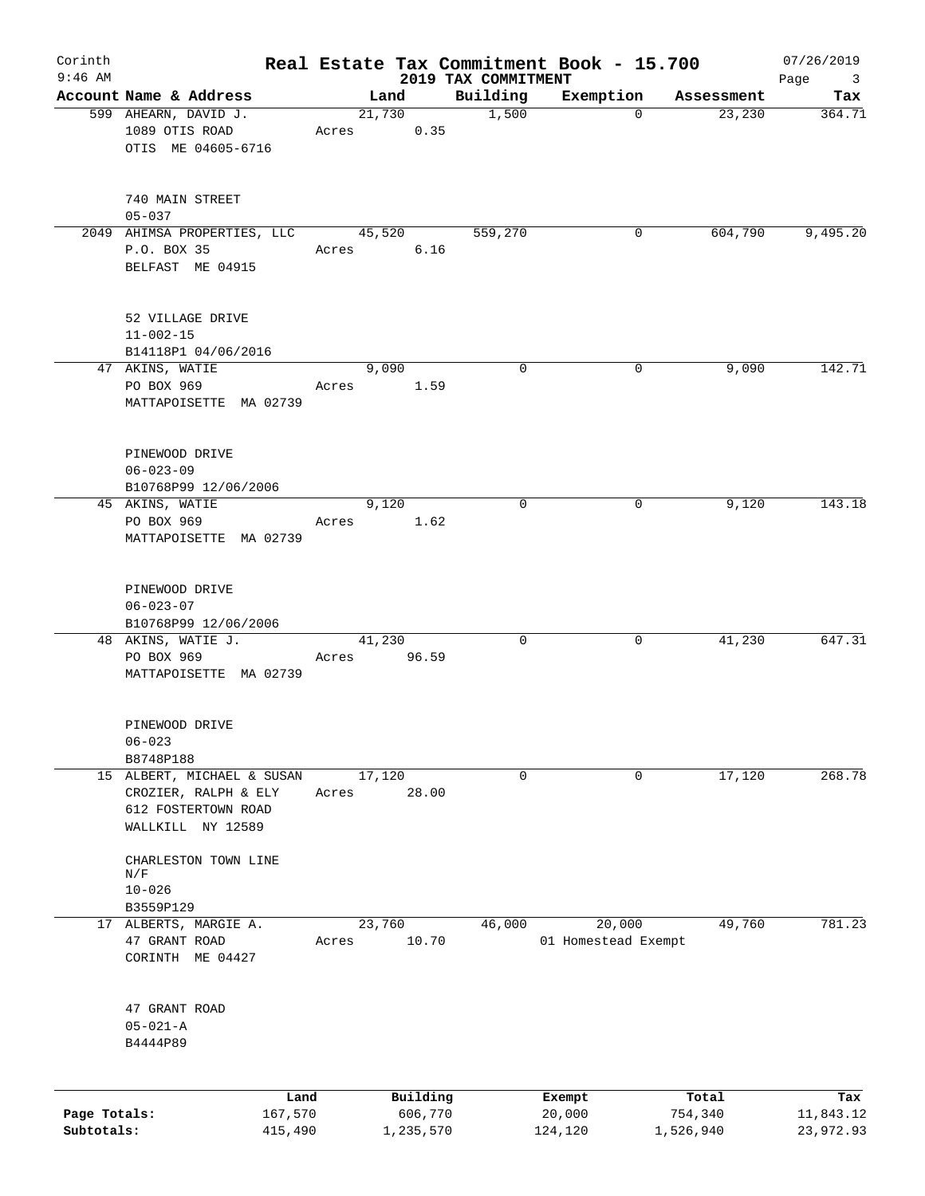| Corinth<br>$9:46$ AM       |                                                                                                |       |                      |        |                                 | Real Estate Tax Commitment Book - 15.700 |                      | 07/26/2019                             |
|----------------------------|------------------------------------------------------------------------------------------------|-------|----------------------|--------|---------------------------------|------------------------------------------|----------------------|----------------------------------------|
|                            | Account Name & Address                                                                         |       | Land                 |        | 2019 TAX COMMITMENT<br>Building | Exemption                                | Assessment           | Page<br>$\overline{\mathbf{3}}$<br>Tax |
|                            | 599 AHEARN, DAVID J.                                                                           |       | 21,730               |        | 1,500                           | $\mathbf 0$                              | 23,230               | 364.71                                 |
|                            | 1089 OTIS ROAD<br>OTIS ME 04605-6716                                                           | Acres |                      | 0.35   |                                 |                                          |                      |                                        |
|                            | 740 MAIN STREET                                                                                |       |                      |        |                                 |                                          |                      |                                        |
|                            | $05 - 037$                                                                                     |       |                      |        |                                 |                                          |                      |                                        |
|                            | 2049 AHIMSA PROPERTIES, LLC                                                                    |       | 45,520               |        | 559,270                         | 0                                        | 604,790              | 9,495.20                               |
|                            | P.O. BOX 35<br>BELFAST ME 04915                                                                | Acres |                      | $6.16$ |                                 |                                          |                      |                                        |
|                            | 52 VILLAGE DRIVE<br>$11 - 002 - 15$                                                            |       |                      |        |                                 |                                          |                      |                                        |
|                            | B14118P1 04/06/2016                                                                            |       |                      |        | $\mathbf 0$                     |                                          |                      | 142.71                                 |
|                            | 47 AKINS, WATIE<br>PO BOX 969<br>MATTAPOISETTE MA 02739                                        | Acres | 9,090                | 1.59   |                                 | 0                                        | 9,090                |                                        |
|                            | PINEWOOD DRIVE<br>$06 - 023 - 09$                                                              |       |                      |        |                                 |                                          |                      |                                        |
|                            | B10768P99 12/06/2006<br>45 AKINS, WATIE                                                        |       | 9,120                |        | $\mathbf 0$                     | 0                                        | 9,120                | 143.18                                 |
|                            | PO BOX 969<br>MATTAPOISETTE MA 02739                                                           | Acres |                      | 1.62   |                                 |                                          |                      |                                        |
|                            | PINEWOOD DRIVE<br>$06 - 023 - 07$                                                              |       |                      |        |                                 |                                          |                      |                                        |
|                            | B10768P99 12/06/2006<br>48 AKINS, WATIE J.                                                     |       | 41,230               |        | $\mathbf 0$                     | 0                                        | 41,230               | 647.31                                 |
|                            | PO BOX 969<br>MATTAPOISETTE MA 02739                                                           | Acres | 96.59                |        |                                 |                                          |                      |                                        |
|                            | PINEWOOD DRIVE<br>$06 - 023$                                                                   |       |                      |        |                                 |                                          |                      |                                        |
|                            | B8748P188                                                                                      |       |                      |        |                                 |                                          |                      |                                        |
|                            | 15 ALBERT, MICHAEL & SUSAN<br>CROZIER, RALPH & ELY<br>612 FOSTERTOWN ROAD<br>WALLKILL NY 12589 | Acres | 17,120<br>28.00      |        | 0                               | 0                                        | 17,120               | 268.78                                 |
|                            | CHARLESTON TOWN LINE<br>N/F<br>$10 - 026$                                                      |       |                      |        |                                 |                                          |                      |                                        |
|                            | B3559P129                                                                                      |       |                      |        |                                 |                                          |                      |                                        |
|                            | 17 ALBERTS, MARGIE A.<br>47 GRANT ROAD<br>CORINTH ME 04427                                     | Acres | 23,760<br>10.70      |        | 46,000                          | 20,000<br>01 Homestead Exempt            | 49,760               | 781.23                                 |
|                            | 47 GRANT ROAD<br>$05 - 021 - A$<br>B4444P89                                                    |       |                      |        |                                 |                                          |                      |                                        |
|                            | Land                                                                                           |       | Building             |        |                                 | Exempt                                   | Total                | Tax                                    |
| Page Totals:<br>Subtotals: | 167,570<br>415,490                                                                             |       | 606,770<br>1,235,570 |        |                                 | 20,000<br>124,120                        | 754,340<br>1,526,940 | 11,843.12<br>23,972.93                 |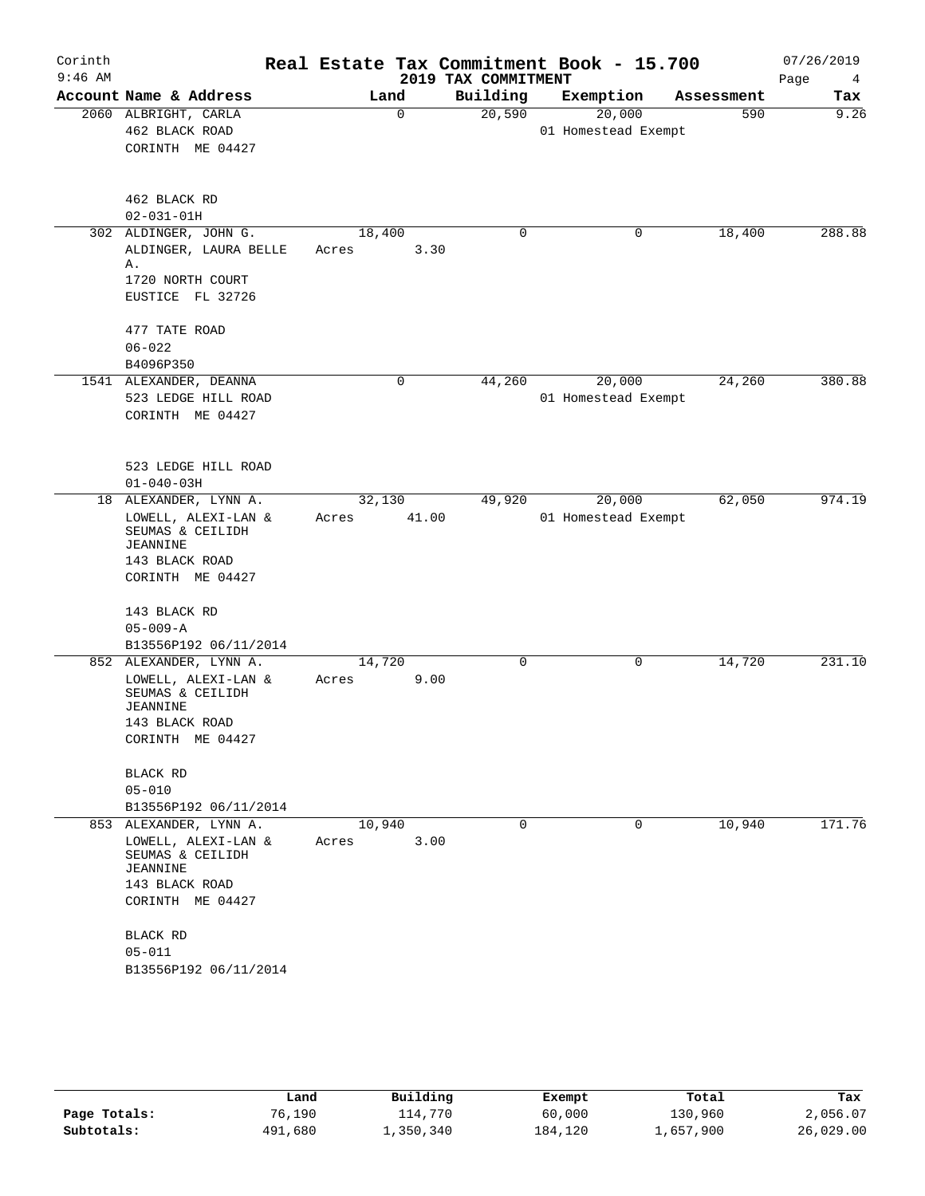| Corinth<br>$9:46$ AM |                                               |        |          | Real Estate Tax Commitment Book - 15.700<br>2019 TAX COMMITMENT |                     |        |            | 07/26/2019<br>Page<br>4 |
|----------------------|-----------------------------------------------|--------|----------|-----------------------------------------------------------------|---------------------|--------|------------|-------------------------|
|                      | Account Name & Address                        |        | Land     | Building                                                        | Exemption           |        | Assessment | Tax                     |
|                      | 2060 ALBRIGHT, CARLA                          |        | $\Omega$ | 20,590                                                          |                     | 20,000 | 590        | 9.26                    |
|                      | 462 BLACK ROAD                                |        |          |                                                                 | 01 Homestead Exempt |        |            |                         |
|                      | CORINTH ME 04427                              |        |          |                                                                 |                     |        |            |                         |
|                      |                                               |        |          |                                                                 |                     |        |            |                         |
|                      | 462 BLACK RD                                  |        |          |                                                                 |                     |        |            |                         |
|                      | $02 - 031 - 01H$                              |        |          |                                                                 |                     |        |            |                         |
|                      | 302 ALDINGER, JOHN G.                         | 18,400 |          | 0                                                               |                     | 0      | 18,400     | 288.88                  |
|                      | ALDINGER, LAURA BELLE<br>Α.                   | Acres  | 3.30     |                                                                 |                     |        |            |                         |
|                      | 1720 NORTH COURT                              |        |          |                                                                 |                     |        |            |                         |
|                      | EUSTICE FL 32726                              |        |          |                                                                 |                     |        |            |                         |
|                      | 477 TATE ROAD                                 |        |          |                                                                 |                     |        |            |                         |
|                      | $06 - 022$                                    |        |          |                                                                 |                     |        |            |                         |
|                      | B4096P350                                     |        |          |                                                                 |                     |        |            |                         |
|                      | 1541 ALEXANDER, DEANNA                        |        | 0        | 44,260                                                          |                     | 20,000 | 24,260     | 380.88                  |
|                      | 523 LEDGE HILL ROAD                           |        |          |                                                                 | 01 Homestead Exempt |        |            |                         |
|                      | CORINTH ME 04427                              |        |          |                                                                 |                     |        |            |                         |
|                      |                                               |        |          |                                                                 |                     |        |            |                         |
|                      | 523 LEDGE HILL ROAD                           |        |          |                                                                 |                     |        |            |                         |
|                      | $01 - 040 - 03H$                              |        |          |                                                                 |                     |        |            |                         |
|                      | 18 ALEXANDER, LYNN A.                         | 32,130 |          | 49,920                                                          |                     | 20,000 | 62,050     | 974.19                  |
|                      | LOWELL, ALEXI-LAN &                           | Acres  | 41.00    |                                                                 | 01 Homestead Exempt |        |            |                         |
|                      | SEUMAS & CEILIDH                              |        |          |                                                                 |                     |        |            |                         |
|                      | <b>JEANNINE</b>                               |        |          |                                                                 |                     |        |            |                         |
|                      | 143 BLACK ROAD                                |        |          |                                                                 |                     |        |            |                         |
|                      | CORINTH ME 04427                              |        |          |                                                                 |                     |        |            |                         |
|                      |                                               |        |          |                                                                 |                     |        |            |                         |
|                      | 143 BLACK RD                                  |        |          |                                                                 |                     |        |            |                         |
|                      | $05 - 009 - A$                                |        |          |                                                                 |                     |        |            |                         |
|                      | B13556P192 06/11/2014                         |        |          | $\mathbf 0$                                                     |                     |        |            | 231.10                  |
|                      | 852 ALEXANDER, LYNN A.                        | 14,720 |          |                                                                 |                     | 0      | 14,720     |                         |
|                      | LOWELL, ALEXI-LAN &<br>SEUMAS & CEILIDH       | Acres  | 9.00     |                                                                 |                     |        |            |                         |
|                      | JEANNINE                                      |        |          |                                                                 |                     |        |            |                         |
|                      | 143 BLACK ROAD                                |        |          |                                                                 |                     |        |            |                         |
|                      | CORINTH ME 04427                              |        |          |                                                                 |                     |        |            |                         |
|                      |                                               |        |          |                                                                 |                     |        |            |                         |
|                      | <b>BLACK RD</b>                               |        |          |                                                                 |                     |        |            |                         |
|                      | $05 - 010$                                    |        |          |                                                                 |                     |        |            |                         |
|                      | B13556P192 06/11/2014                         |        |          |                                                                 |                     |        |            |                         |
|                      | 853 ALEXANDER, LYNN A.<br>LOWELL, ALEXI-LAN & | 10,940 |          | 0                                                               |                     | 0      | 10,940     | 171.76                  |
|                      | SEUMAS & CEILIDH                              | Acres  | 3.00     |                                                                 |                     |        |            |                         |
|                      | <b>JEANNINE</b>                               |        |          |                                                                 |                     |        |            |                         |
|                      | 143 BLACK ROAD                                |        |          |                                                                 |                     |        |            |                         |
|                      | CORINTH ME 04427                              |        |          |                                                                 |                     |        |            |                         |
|                      | BLACK RD                                      |        |          |                                                                 |                     |        |            |                         |
|                      | $05 - 011$                                    |        |          |                                                                 |                     |        |            |                         |
|                      | B13556P192 06/11/2014                         |        |          |                                                                 |                     |        |            |                         |
|                      |                                               |        |          |                                                                 |                     |        |            |                         |
|                      |                                               |        |          |                                                                 |                     |        |            |                         |

|              | Land    | Building  | Exempt  | Total     | Tax       |
|--------------|---------|-----------|---------|-----------|-----------|
| Page Totals: | 76,190  | 114,770   | 60,000  | 130,960   | 2,056.07  |
| Subtotals:   | 491,680 | 1,350,340 | 184,120 | 1,657,900 | 26,029.00 |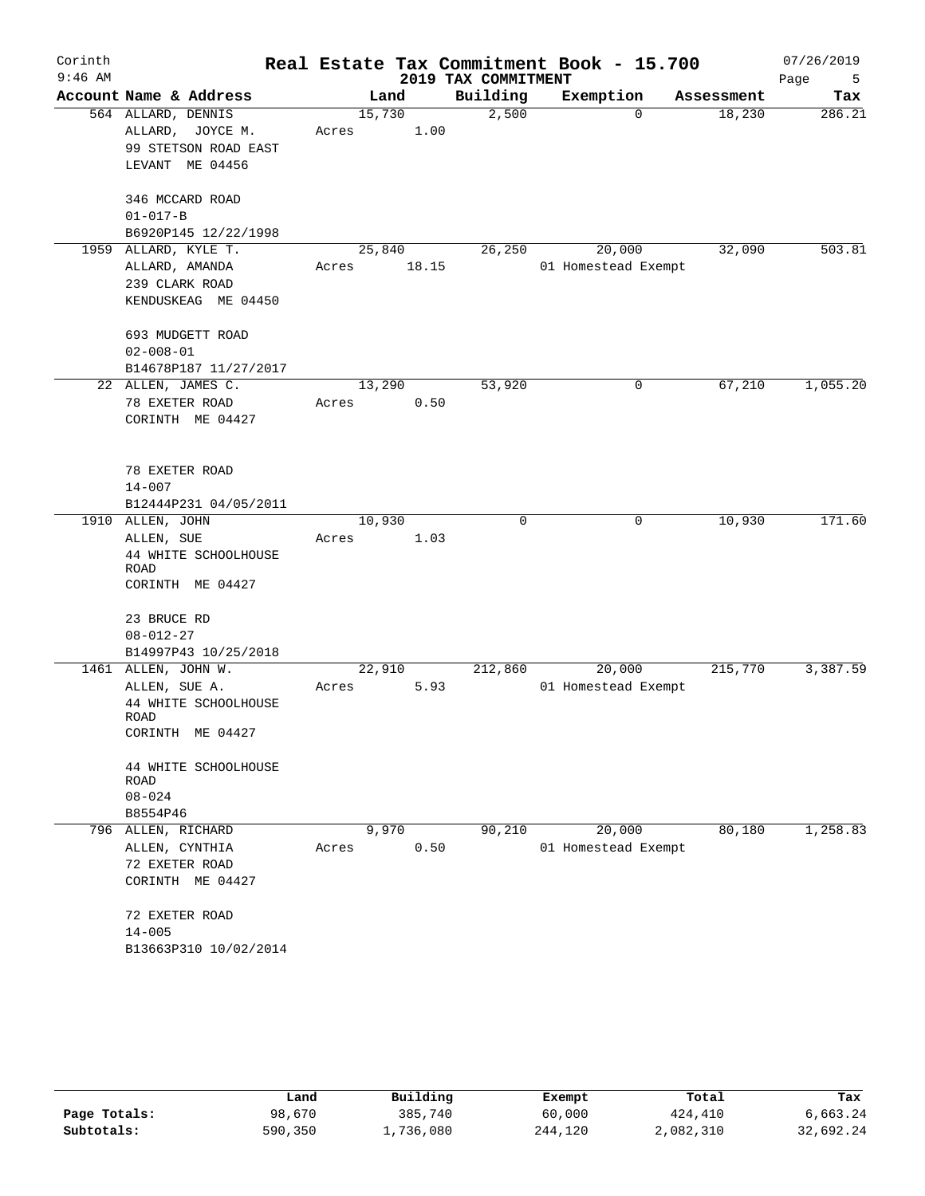| Corinth   |                          |        |       |                     | Real Estate Tax Commitment Book - 15.700 |            | 07/26/2019 |
|-----------|--------------------------|--------|-------|---------------------|------------------------------------------|------------|------------|
| $9:46$ AM |                          |        |       | 2019 TAX COMMITMENT |                                          |            | Page<br>5  |
|           | Account Name & Address   |        | Land  | Building            | Exemption                                | Assessment | Tax        |
|           | 564 ALLARD, DENNIS       | 15,730 |       | 2,500               | $\Omega$                                 | 18,230     | 286.21     |
|           | ALLARD, JOYCE M.         | Acres  | 1.00  |                     |                                          |            |            |
|           | 99 STETSON ROAD EAST     |        |       |                     |                                          |            |            |
|           | LEVANT ME 04456          |        |       |                     |                                          |            |            |
|           | 346 MCCARD ROAD          |        |       |                     |                                          |            |            |
|           | $01 - 017 - B$           |        |       |                     |                                          |            |            |
|           | B6920P145 12/22/1998     |        |       |                     |                                          |            |            |
|           | 1959 ALLARD, KYLE T.     | 25,840 |       | 26,250              | 20,000                                   | 32,090     | 503.81     |
|           | ALLARD, AMANDA           | Acres  | 18.15 |                     | 01 Homestead Exempt                      |            |            |
|           | 239 CLARK ROAD           |        |       |                     |                                          |            |            |
|           | KENDUSKEAG ME 04450      |        |       |                     |                                          |            |            |
|           | 693 MUDGETT ROAD         |        |       |                     |                                          |            |            |
|           | $02 - 008 - 01$          |        |       |                     |                                          |            |            |
|           | B14678P187 11/27/2017    |        |       |                     |                                          |            |            |
|           | 22 ALLEN, JAMES C.       | 13,290 |       | 53,920              | 0                                        | 67,210     | 1,055.20   |
|           | 78 EXETER ROAD           | Acres  | 0.50  |                     |                                          |            |            |
|           | CORINTH ME 04427         |        |       |                     |                                          |            |            |
|           | 78 EXETER ROAD           |        |       |                     |                                          |            |            |
|           | $14 - 007$               |        |       |                     |                                          |            |            |
|           | B12444P231 04/05/2011    |        |       |                     |                                          |            |            |
|           | 1910 ALLEN, JOHN         | 10,930 |       | $\mathbf 0$         | 0                                        | 10,930     | 171.60     |
|           | ALLEN, SUE               | Acres  | 1.03  |                     |                                          |            |            |
|           | 44 WHITE SCHOOLHOUSE     |        |       |                     |                                          |            |            |
|           | ROAD                     |        |       |                     |                                          |            |            |
|           | CORINTH ME 04427         |        |       |                     |                                          |            |            |
|           | 23 BRUCE RD              |        |       |                     |                                          |            |            |
|           | $08 - 012 - 27$          |        |       |                     |                                          |            |            |
|           | B14997P43 10/25/2018     |        |       |                     |                                          |            |            |
|           | 1461 ALLEN, JOHN W.      | 22,910 |       | 212,860             | 20,000                                   | 215,770    | 3,387.59   |
|           | ALLEN, SUE A.            | Acres  | 5.93  |                     | 01 Homestead Exempt                      |            |            |
|           | 44 WHITE SCHOOLHOUSE     |        |       |                     |                                          |            |            |
|           | ROAD<br>CORINTH ME 04427 |        |       |                     |                                          |            |            |
|           | 44 WHITE SCHOOLHOUSE     |        |       |                     |                                          |            |            |
|           | ROAD                     |        |       |                     |                                          |            |            |
|           | $08 - 024$               |        |       |                     |                                          |            |            |
|           | B8554P46                 |        |       |                     |                                          |            |            |
|           | 796 ALLEN, RICHARD       | 9,970  |       | 90,210              | 20,000                                   | 80,180     | 1,258.83   |
|           | ALLEN, CYNTHIA           | Acres  | 0.50  |                     | 01 Homestead Exempt                      |            |            |
|           | 72 EXETER ROAD           |        |       |                     |                                          |            |            |
|           | CORINTH ME 04427         |        |       |                     |                                          |            |            |
|           | 72 EXETER ROAD           |        |       |                     |                                          |            |            |
|           | $14 - 005$               |        |       |                     |                                          |            |            |
|           | B13663P310 10/02/2014    |        |       |                     |                                          |            |            |
|           |                          |        |       |                     |                                          |            |            |

|              | Land    | Building  | Exempt  | Total     | Tax       |
|--------------|---------|-----------|---------|-----------|-----------|
| Page Totals: | 98,670  | 385,740   | 60,000  | 424,410   | 6,663.24  |
| Subtotals:   | 590,350 | 1,736,080 | 244,120 | 2,082,310 | 32,692.24 |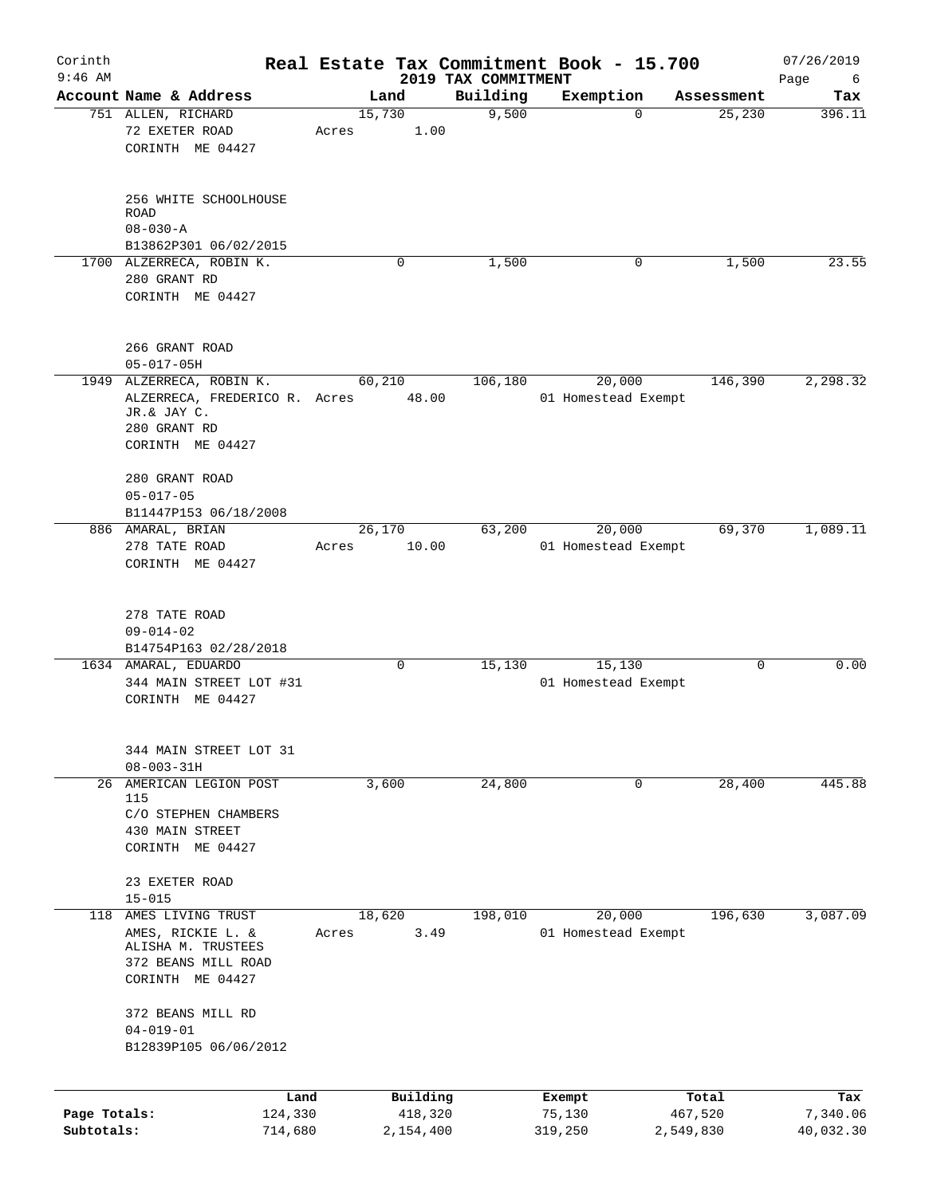| Corinth<br>$9:46$ AM |                               |         |        |             |                                 | Real Estate Tax Commitment Book - 15.700 |             |            | 07/26/2019       |
|----------------------|-------------------------------|---------|--------|-------------|---------------------------------|------------------------------------------|-------------|------------|------------------|
|                      | Account Name & Address        |         |        | Land        | 2019 TAX COMMITMENT<br>Building | Exemption                                |             | Assessment | Page<br>6<br>Tax |
|                      | 751 ALLEN, RICHARD            |         | 15,730 |             | 9,500                           |                                          | $\mathbf 0$ | 25,230     | 396.11           |
|                      | 72 EXETER ROAD                |         | Acres  | 1.00        |                                 |                                          |             |            |                  |
|                      | CORINTH ME 04427              |         |        |             |                                 |                                          |             |            |                  |
|                      | 256 WHITE SCHOOLHOUSE         |         |        |             |                                 |                                          |             |            |                  |
|                      | <b>ROAD</b>                   |         |        |             |                                 |                                          |             |            |                  |
|                      | $08 - 030 - A$                |         |        |             |                                 |                                          |             |            |                  |
|                      | B13862P301 06/02/2015         |         |        |             |                                 |                                          |             |            |                  |
|                      | 1700 ALZERRECA, ROBIN K.      |         |        | 0           | 1,500                           |                                          | 0           | 1,500      | 23.55            |
|                      | 280 GRANT RD                  |         |        |             |                                 |                                          |             |            |                  |
|                      | CORINTH ME 04427              |         |        |             |                                 |                                          |             |            |                  |
|                      | 266 GRANT ROAD                |         |        |             |                                 |                                          |             |            |                  |
|                      | $05 - 017 - 05H$              |         |        |             |                                 |                                          |             |            |                  |
|                      | 1949 ALZERRECA, ROBIN K.      |         | 60,210 |             | 106,180                         | 20,000                                   |             | 146,390    | 2,298.32         |
|                      | ALZERRECA, FREDERICO R. Acres |         |        | 48.00       |                                 | 01 Homestead Exempt                      |             |            |                  |
|                      | JR.& JAY C.<br>280 GRANT RD   |         |        |             |                                 |                                          |             |            |                  |
|                      | CORINTH ME 04427              |         |        |             |                                 |                                          |             |            |                  |
|                      |                               |         |        |             |                                 |                                          |             |            |                  |
|                      | 280 GRANT ROAD                |         |        |             |                                 |                                          |             |            |                  |
|                      | $05 - 017 - 05$               |         |        |             |                                 |                                          |             |            |                  |
|                      | B11447P153 06/18/2008         |         |        |             |                                 |                                          |             |            |                  |
|                      | 886 AMARAL, BRIAN             |         | 26,170 |             | 63,200                          | 20,000                                   |             | 69,370     | 1,089.11         |
|                      | 278 TATE ROAD                 |         | Acres  | 10.00       |                                 | 01 Homestead Exempt                      |             |            |                  |
|                      | CORINTH ME 04427              |         |        |             |                                 |                                          |             |            |                  |
|                      |                               |         |        |             |                                 |                                          |             |            |                  |
|                      | 278 TATE ROAD                 |         |        |             |                                 |                                          |             |            |                  |
|                      | $09 - 014 - 02$               |         |        |             |                                 |                                          |             |            |                  |
|                      | B14754P163 02/28/2018         |         |        |             |                                 |                                          |             |            |                  |
|                      | 1634 AMARAL, EDUARDO          |         |        | $\mathbf 0$ | 15,130                          | 15,130                                   |             | $\Omega$   | 0.00             |
|                      | 344 MAIN STREET LOT #31       |         |        |             |                                 | 01 Homestead Exempt                      |             |            |                  |
|                      | CORINTH ME 04427              |         |        |             |                                 |                                          |             |            |                  |
|                      | 344 MAIN STREET LOT 31        |         |        |             |                                 |                                          |             |            |                  |
|                      | $08 - 003 - 31H$              |         |        |             |                                 |                                          |             |            |                  |
|                      | 26 AMERICAN LEGION POST       |         |        | 3,600       | 24,800                          |                                          | 0           | 28,400     | 445.88           |
|                      | 115                           |         |        |             |                                 |                                          |             |            |                  |
|                      | C/O STEPHEN CHAMBERS          |         |        |             |                                 |                                          |             |            |                  |
|                      | 430 MAIN STREET               |         |        |             |                                 |                                          |             |            |                  |
|                      | CORINTH ME 04427              |         |        |             |                                 |                                          |             |            |                  |
|                      | 23 EXETER ROAD                |         |        |             |                                 |                                          |             |            |                  |
|                      | $15 - 015$                    |         |        |             |                                 |                                          |             |            |                  |
|                      | 118 AMES LIVING TRUST         |         | 18,620 |             | 198,010                         | 20,000                                   |             | 196,630    | 3,087.09         |
|                      | AMES, RICKIE L. &             |         | Acres  | 3.49        |                                 | 01 Homestead Exempt                      |             |            |                  |
|                      | ALISHA M. TRUSTEES            |         |        |             |                                 |                                          |             |            |                  |
|                      | 372 BEANS MILL ROAD           |         |        |             |                                 |                                          |             |            |                  |
|                      | CORINTH ME 04427              |         |        |             |                                 |                                          |             |            |                  |
|                      | 372 BEANS MILL RD             |         |        |             |                                 |                                          |             |            |                  |
|                      | $04 - 019 - 01$               |         |        |             |                                 |                                          |             |            |                  |
|                      | B12839P105 06/06/2012         |         |        |             |                                 |                                          |             |            |                  |
|                      |                               |         |        |             |                                 |                                          |             |            |                  |
|                      |                               | Land    |        | Building    |                                 | Exempt                                   |             | Total      | Tax              |
| Page Totals:         |                               | 124,330 |        | 418,320     |                                 | 75,130                                   |             | 467,520    | 7,340.06         |
| Subtotals:           |                               | 714,680 |        | 2,154,400   |                                 | 319,250                                  |             | 2,549,830  | 40,032.30        |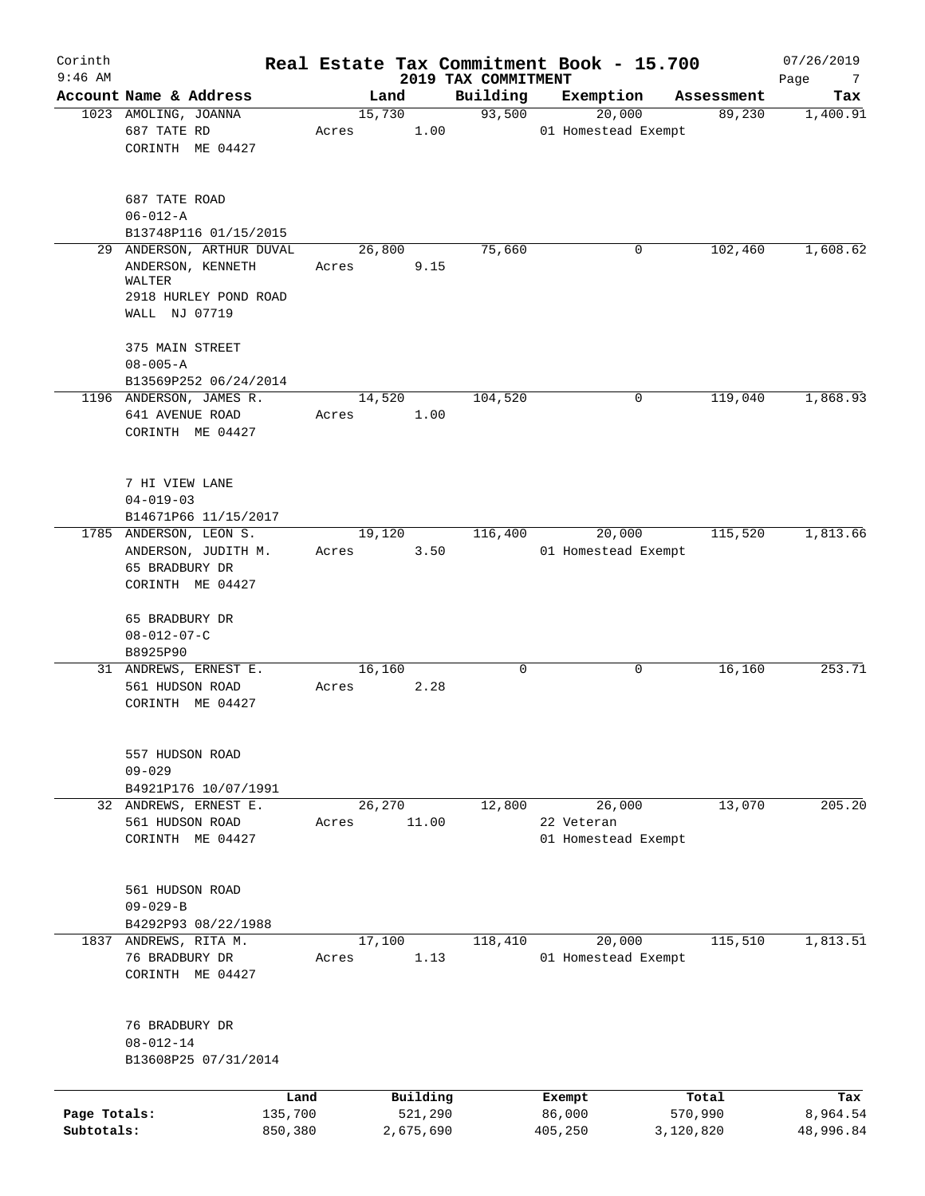| Corinth<br>$9:46$ AM |                                                |                 |         |                     |                                 | Real Estate Tax Commitment Book - 15.700 |                  |            | 07/26/2019       |
|----------------------|------------------------------------------------|-----------------|---------|---------------------|---------------------------------|------------------------------------------|------------------|------------|------------------|
|                      | Account Name & Address                         |                 | Land    |                     | 2019 TAX COMMITMENT<br>Building | Exemption                                |                  | Assessment | Page<br>7<br>Tax |
|                      | 1023 AMOLING, JOANNA                           |                 | 15,730  |                     | 93,500                          | 20,000                                   |                  | 89,230     | 1,400.91         |
|                      | 687 TATE RD                                    | Acres           |         | 1.00                |                                 | 01 Homestead Exempt                      |                  |            |                  |
|                      | CORINTH ME 04427                               |                 |         |                     |                                 |                                          |                  |            |                  |
|                      |                                                |                 |         |                     |                                 |                                          |                  |            |                  |
|                      | 687 TATE ROAD                                  |                 |         |                     |                                 |                                          |                  |            |                  |
|                      | $06 - 012 - A$                                 |                 |         |                     |                                 |                                          |                  |            |                  |
|                      | B13748P116 01/15/2015                          |                 |         |                     |                                 |                                          |                  |            |                  |
|                      | 29 ANDERSON, ARTHUR DUVAL<br>ANDERSON, KENNETH | Acres           | 26,800  | 9.15                | 75,660                          |                                          | 0                | 102,460    | 1,608.62         |
|                      | WALTER<br>2918 HURLEY POND ROAD                |                 |         |                     |                                 |                                          |                  |            |                  |
|                      | WALL NJ 07719                                  |                 |         |                     |                                 |                                          |                  |            |                  |
|                      | 375 MAIN STREET                                |                 |         |                     |                                 |                                          |                  |            |                  |
|                      | $08 - 005 - A$                                 |                 |         |                     |                                 |                                          |                  |            |                  |
|                      | B13569P252 06/24/2014                          |                 |         |                     |                                 |                                          |                  |            |                  |
|                      | 1196 ANDERSON, JAMES R.                        |                 | 14,520  |                     | 104,520                         |                                          | 0                | 119,040    | 1,868.93         |
|                      | 641 AVENUE ROAD                                | Acres           |         | 1.00                |                                 |                                          |                  |            |                  |
|                      | CORINTH ME 04427                               |                 |         |                     |                                 |                                          |                  |            |                  |
|                      | 7 HI VIEW LANE                                 |                 |         |                     |                                 |                                          |                  |            |                  |
|                      | $04 - 019 - 03$                                |                 |         |                     |                                 |                                          |                  |            |                  |
|                      | B14671P66 11/15/2017                           |                 |         |                     |                                 |                                          |                  |            |                  |
|                      | 1785 ANDERSON, LEON S.                         |                 | 19,120  |                     | 116,400                         | 20,000                                   |                  | 115,520    | 1,813.66         |
|                      | ANDERSON, JUDITH M.                            | Acres           |         | 3.50                |                                 | 01 Homestead Exempt                      |                  |            |                  |
|                      | 65 BRADBURY DR                                 |                 |         |                     |                                 |                                          |                  |            |                  |
|                      | CORINTH ME 04427                               |                 |         |                     |                                 |                                          |                  |            |                  |
|                      | 65 BRADBURY DR                                 |                 |         |                     |                                 |                                          |                  |            |                  |
|                      | $08 - 012 - 07 - C$                            |                 |         |                     |                                 |                                          |                  |            |                  |
|                      | B8925P90                                       |                 |         |                     |                                 |                                          |                  |            |                  |
|                      | 31 ANDREWS, ERNEST E.                          |                 | 16,160  |                     | 0                               |                                          | 0                | 16,160     | 253.71           |
|                      | 561 HUDSON ROAD<br>CORINTH ME 04427            | Acres           |         | 2.28                |                                 |                                          |                  |            |                  |
|                      |                                                |                 |         |                     |                                 |                                          |                  |            |                  |
|                      | 557 HUDSON ROAD                                |                 |         |                     |                                 |                                          |                  |            |                  |
|                      | $09 - 029$                                     |                 |         |                     |                                 |                                          |                  |            |                  |
|                      | B4921P176 10/07/1991                           |                 |         |                     |                                 |                                          |                  |            |                  |
|                      | 32 ANDREWS, ERNEST E.                          |                 | 26, 270 |                     | 12,800                          | 26,000                                   |                  | 13,070     | 205.20           |
|                      | 561 HUDSON ROAD                                | Acres           |         | 11.00               |                                 | 22 Veteran                               |                  |            |                  |
|                      | CORINTH ME 04427                               |                 |         |                     |                                 | 01 Homestead Exempt                      |                  |            |                  |
|                      | 561 HUDSON ROAD                                |                 |         |                     |                                 |                                          |                  |            |                  |
|                      | $09 - 029 - B$                                 |                 |         |                     |                                 |                                          |                  |            |                  |
|                      | B4292P93 08/22/1988                            |                 |         |                     |                                 |                                          |                  |            |                  |
|                      | 1837 ANDREWS, RITA M.                          |                 | 17,100  |                     | 118,410                         | 20,000                                   |                  | 115,510    | 1,813.51         |
|                      | 76 BRADBURY DR                                 | Acres           |         | 1.13                |                                 | 01 Homestead Exempt                      |                  |            |                  |
|                      | CORINTH ME 04427                               |                 |         |                     |                                 |                                          |                  |            |                  |
|                      |                                                |                 |         |                     |                                 |                                          |                  |            |                  |
|                      | 76 BRADBURY DR                                 |                 |         |                     |                                 |                                          |                  |            |                  |
|                      | $08 - 012 - 14$                                |                 |         |                     |                                 |                                          |                  |            |                  |
|                      | B13608P25 07/31/2014                           |                 |         |                     |                                 |                                          |                  |            |                  |
|                      |                                                |                 |         |                     |                                 |                                          |                  |            |                  |
| Page Totals:         |                                                | Land<br>135,700 |         | Building<br>521,290 |                                 | Exempt<br>86,000                         | Total<br>570,990 |            | Tax<br>8,964.54  |
| Subtotals:           |                                                | 850,380         |         | 2,675,690           |                                 |                                          | 3,120,820        |            | 48,996.84        |
|                      |                                                |                 |         |                     |                                 | 405,250                                  |                  |            |                  |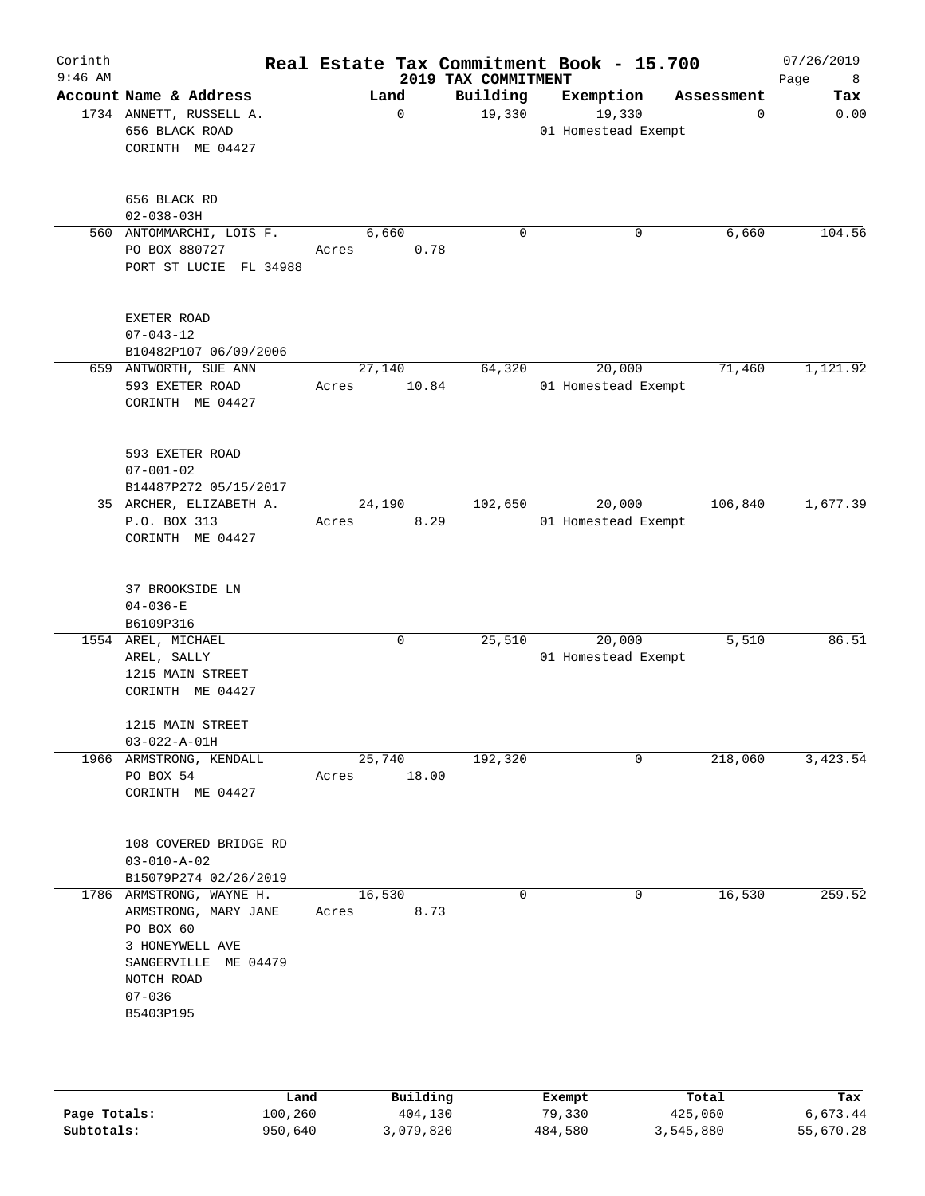| Corinth<br>$9:46$ AM |                                                                                                                                                   |                 |          | 2019 TAX COMMITMENT | Real Estate Tax Commitment Book - 15.700 |            | 07/26/2019<br>8 <sup>8</sup><br>Page |
|----------------------|---------------------------------------------------------------------------------------------------------------------------------------------------|-----------------|----------|---------------------|------------------------------------------|------------|--------------------------------------|
|                      | Account Name & Address                                                                                                                            | Land            |          | Building            | Exemption                                | Assessment | Tax                                  |
|                      | 1734 ANNETT, RUSSELL A.<br>656 BLACK ROAD<br>CORINTH ME 04427                                                                                     |                 | $\Omega$ | 19,330              | 19,330<br>01 Homestead Exempt            | $\Omega$   | 0.00                                 |
|                      | 656 BLACK RD<br>$02 - 038 - 03H$                                                                                                                  |                 |          |                     |                                          |            |                                      |
|                      | 560 ANTOMMARCHI, LOIS F.<br>PO BOX 880727<br>PORT ST LUCIE FL 34988                                                                               | 6,660<br>Acres  | 0.78     | 0                   | 0                                        | 6,660      | 104.56                               |
|                      | EXETER ROAD<br>$07 - 043 - 12$<br>B10482P107 06/09/2006                                                                                           |                 |          |                     |                                          |            |                                      |
|                      | 659 ANTWORTH, SUE ANN<br>593 EXETER ROAD<br>CORINTH ME 04427                                                                                      | 27,140<br>Acres | 10.84    | 64,320              | 20,000<br>01 Homestead Exempt            | 71,460     | 1,121.92                             |
|                      | 593 EXETER ROAD<br>$07 - 001 - 02$<br>B14487P272 05/15/2017                                                                                       |                 |          |                     |                                          |            |                                      |
|                      | 35 ARCHER, ELIZABETH A.<br>P.O. BOX 313<br>CORINTH ME 04427                                                                                       | 24,190<br>Acres | 8.29     | 102,650             | 20,000<br>01 Homestead Exempt            | 106,840    | 1,677.39                             |
|                      | 37 BROOKSIDE LN<br>$04 - 036 - E$<br>B6109P316                                                                                                    |                 |          |                     |                                          |            |                                      |
|                      | 1554 AREL, MICHAEL<br>AREL, SALLY<br>1215 MAIN STREET<br>CORINTH ME 04427                                                                         |                 | 0        | 25,510              | 20,000<br>01 Homestead Exempt            | 5,510      | 86.51                                |
|                      | 1215 MAIN STREET<br>$03 - 022 - A - 01H$                                                                                                          |                 |          |                     |                                          |            |                                      |
|                      | 1966 ARMSTRONG, KENDALL<br>PO BOX 54<br>CORINTH ME 04427                                                                                          | 25,740<br>Acres | 18.00    | 192,320             | $\mathbf 0$                              | 218,060    | 3,423.54                             |
|                      | 108 COVERED BRIDGE RD<br>$03 - 010 - A - 02$<br>B15079P274 02/26/2019                                                                             |                 |          |                     |                                          |            |                                      |
|                      | 1786 ARMSTRONG, WAYNE H.<br>ARMSTRONG, MARY JANE<br>PO BOX 60<br>3 HONEYWELL AVE<br>SANGERVILLE ME 04479<br>NOTCH ROAD<br>$07 - 036$<br>B5403P195 | 16,530<br>Acres | 8.73     | 0                   | 0                                        | 16,530     | 259.52                               |
|                      | Land                                                                                                                                              |                 | Building |                     | Exempt                                   | Total      | Tax                                  |

|              | nana    | <u>DULLULUM</u> | <b>BY CITING</b> | ----      | $-0.0$    |
|--------------|---------|-----------------|------------------|-----------|-----------|
| Page Totals: | 100,260 | 404,130         | 79,330           | 425,060   | 6,673.44  |
| Subtotals:   | 950,640 | 3,079,820       | 484,580          | 3,545,880 | 55,670.28 |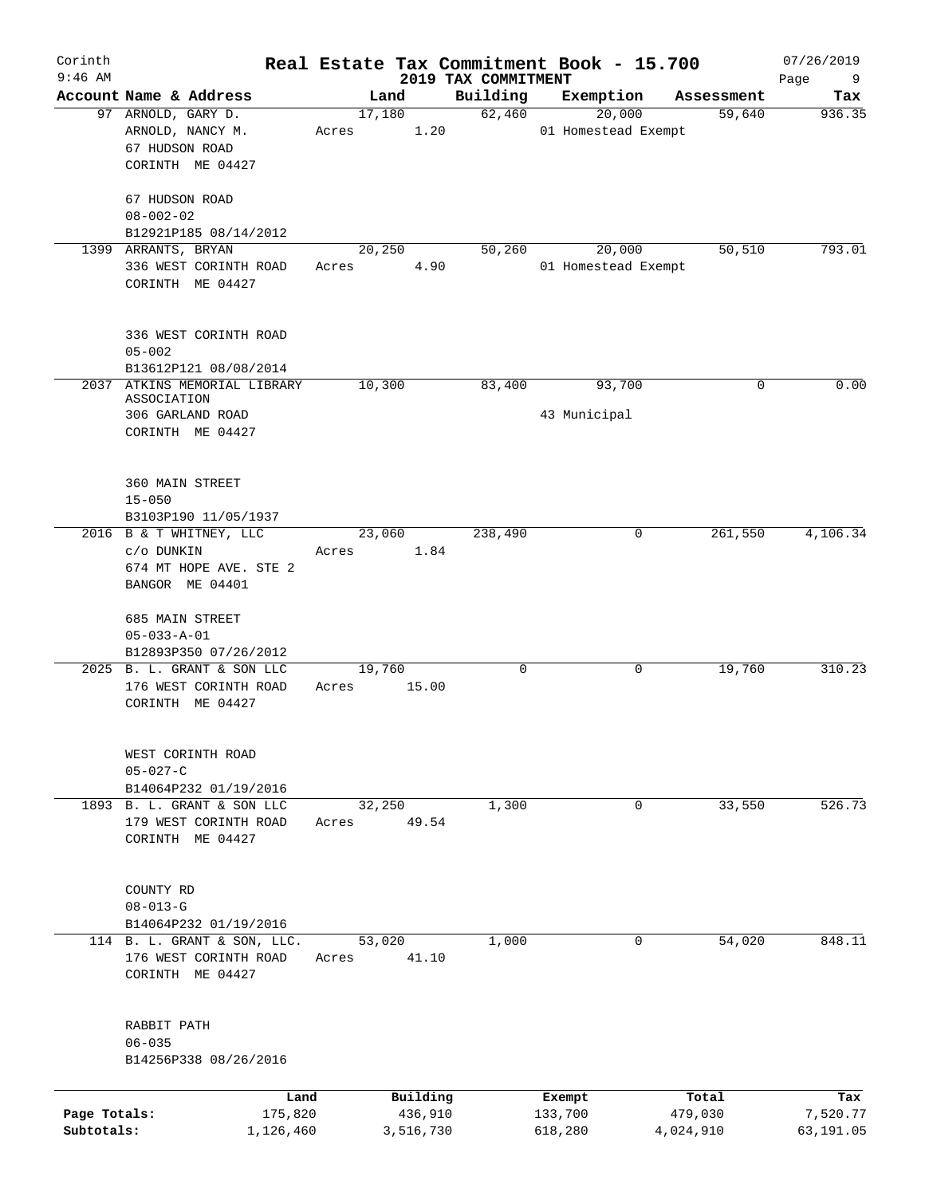| Corinth<br>$9:46$ AM       |                                                                                    | Real Estate Tax Commitment Book - 15.700 | 2019 TAX COMMITMENT |                               |                      | 07/26/2019<br>Page<br>9 |
|----------------------------|------------------------------------------------------------------------------------|------------------------------------------|---------------------|-------------------------------|----------------------|-------------------------|
|                            | Account Name & Address                                                             | Land                                     | Building            | Exemption                     | Assessment           | Tax                     |
|                            | 97 ARNOLD, GARY D.<br>ARNOLD, NANCY M.<br>67 HUDSON ROAD<br>CORINTH ME 04427       | 17,180<br>1.20<br>Acres                  | 62,460              | 20,000<br>01 Homestead Exempt | 59,640               | 936.35                  |
|                            | 67 HUDSON ROAD<br>$08 - 002 - 02$<br>B12921P185 08/14/2012                         |                                          |                     |                               |                      |                         |
|                            | 1399 ARRANTS, BRYAN                                                                | 20,250                                   | 50,260              | 20,000                        | 50,510               | 793.01                  |
|                            | 336 WEST CORINTH ROAD<br>CORINTH ME 04427                                          | 4.90<br>Acres                            |                     | 01 Homestead Exempt           |                      |                         |
|                            | 336 WEST CORINTH ROAD<br>$05 - 002$<br>B13612P121 08/08/2014                       |                                          |                     |                               |                      |                         |
| 2037                       | ATKINS MEMORIAL LIBRARY                                                            | 10,300                                   | 83,400              | 93,700                        | 0                    | 0.00                    |
|                            | ASSOCIATION<br>306 GARLAND ROAD<br>CORINTH ME 04427                                |                                          |                     | 43 Municipal                  |                      |                         |
|                            | 360 MAIN STREET<br>$15 - 050$<br>B3103P190 11/05/1937                              |                                          |                     |                               |                      |                         |
|                            | 2016 B & T WHITNEY, LLC<br>c/o DUNKIN<br>674 MT HOPE AVE. STE 2<br>BANGOR ME 04401 | 23,060<br>1.84<br>Acres                  | 238,490             | 0                             | 261,550              | 4,106.34                |
|                            | 685 MAIN STREET<br>$05 - 033 - A - 01$<br>B12893P350 07/26/2012                    |                                          |                     |                               |                      |                         |
|                            | 2025 B. L. GRANT & SON LLC<br>176 WEST CORINTH ROAD<br>CORINTH ME 04427            | 19,760<br>15.00<br>Acres                 | $\mathbf 0$         | 0                             | 19,760               | 310.23                  |
|                            | WEST CORINTH ROAD<br>$05 - 027 - C$<br>B14064P232 01/19/2016                       |                                          |                     |                               |                      |                         |
|                            | 1893 B. L. GRANT & SON LLC<br>179 WEST CORINTH ROAD<br>CORINTH ME 04427            | 32,250<br>49.54<br>Acres                 | 1,300               | 0                             | 33,550               | 526.73                  |
|                            | COUNTY RD<br>$08 - 013 - G$<br>B14064P232 01/19/2016                               |                                          |                     |                               |                      |                         |
|                            | 114 B. L. GRANT & SON, LLC.<br>176 WEST CORINTH ROAD<br>CORINTH ME 04427           | 53,020<br>41.10<br>Acres                 | 1,000               | 0                             | 54,020               | 848.11                  |
|                            | RABBIT PATH<br>$06 - 035$<br>B14256P338 08/26/2016                                 |                                          |                     |                               |                      |                         |
|                            | Land                                                                               | Building                                 |                     | Exempt                        | Total                | Tax                     |
| Page Totals:<br>Subtotals: | 175,820<br>1,126,460                                                               | 436,910<br>3,516,730                     |                     | 133,700<br>618,280            | 479,030<br>4,024,910 | 7,520.77<br>63,191.05   |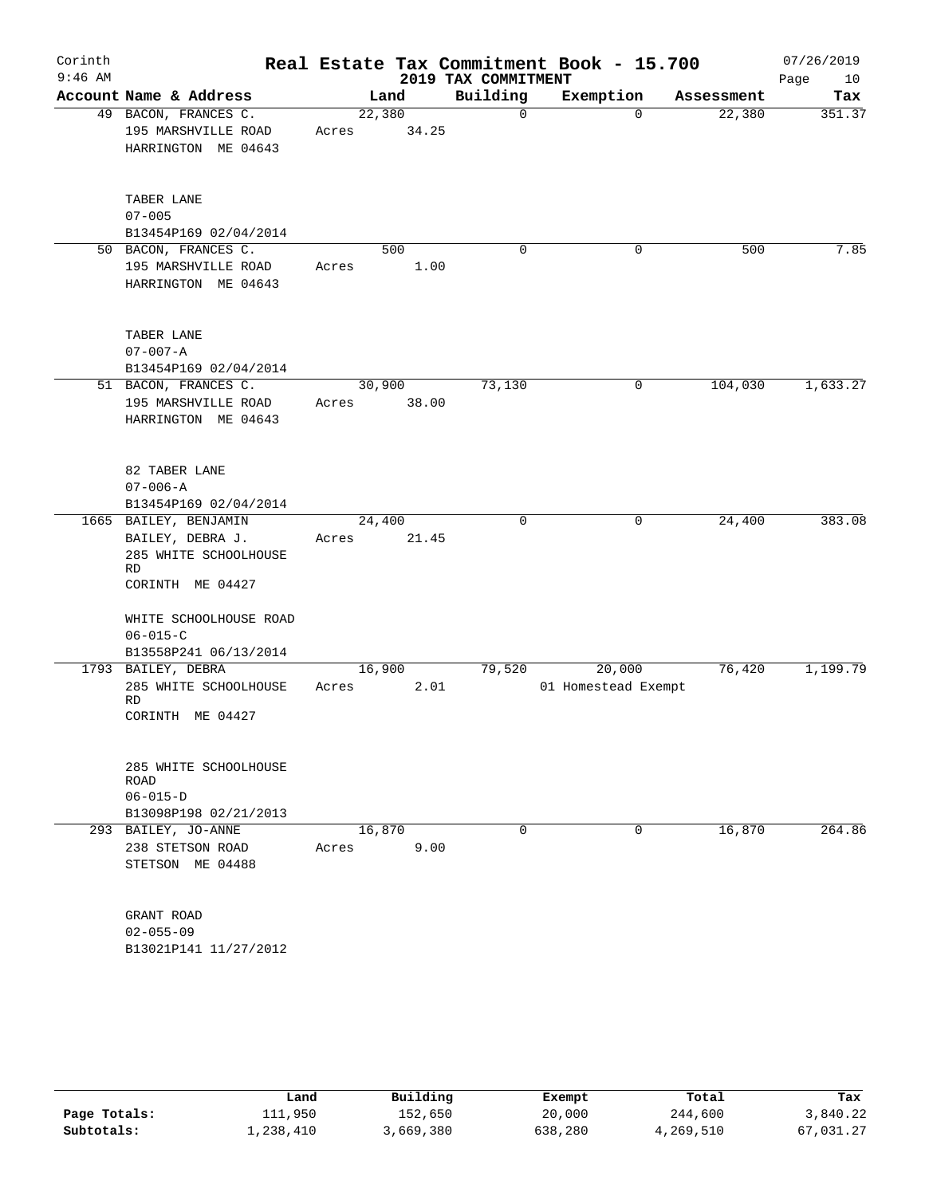| Corinth<br>$9:46$ AM |                                                                                                     |                 |             | 2019 TAX COMMITMENT | Real Estate Tax Commitment Book - 15.700 |            | 07/26/2019<br>10 |
|----------------------|-----------------------------------------------------------------------------------------------------|-----------------|-------------|---------------------|------------------------------------------|------------|------------------|
|                      | Account Name & Address                                                                              |                 | Land        | Building            | Exemption                                | Assessment | Page<br>Tax      |
|                      | 49 BACON, FRANCES C.<br>195 MARSHVILLE ROAD<br>HARRINGTON ME 04643                                  | 22,380<br>Acres | 34.25       | 0                   | $\Omega$                                 | 22,380     | 351.37           |
|                      | TABER LANE<br>$07 - 005$<br>B13454P169 02/04/2014                                                   |                 |             |                     |                                          |            |                  |
|                      | 50 BACON, FRANCES C.<br>195 MARSHVILLE ROAD<br>HARRINGTON ME 04643                                  | Acres           | 500<br>1.00 | 0                   | 0                                        | 500        | 7.85             |
|                      | TABER LANE<br>$07 - 007 - A$<br>B13454P169 02/04/2014                                               |                 |             |                     |                                          |            |                  |
|                      | 51 BACON, FRANCES C.<br>195 MARSHVILLE ROAD<br>HARRINGTON ME 04643                                  | 30,900<br>Acres | 38.00       | 73,130              | 0                                        | 104,030    | 1,633.27         |
|                      | 82 TABER LANE<br>$07 - 006 - A$<br>B13454P169 02/04/2014                                            |                 |             |                     |                                          |            |                  |
|                      | 1665 BAILEY, BENJAMIN<br>BAILEY, DEBRA J.<br>285 WHITE SCHOOLHOUSE<br><b>RD</b><br>CORINTH ME 04427 | 24,400<br>Acres | 21.45       | 0                   | 0                                        | 24,400     | 383.08           |
|                      | WHITE SCHOOLHOUSE ROAD<br>$06 - 015 - C$<br>B13558P241 06/13/2014                                   |                 |             |                     |                                          |            |                  |
|                      | 1793 BAILEY, DEBRA<br>285 WHITE SCHOOLHOUSE<br><b>RD</b><br>CORINTH ME 04427                        | 16,900<br>Acres | 2.01        | 79,520              | 20,000<br>01 Homestead Exempt            | 76,420     | 1,199.79         |
|                      | 285 WHITE SCHOOLHOUSE<br>ROAD<br>$06 - 015 - D$<br>B13098P198 02/21/2013                            |                 |             |                     |                                          |            |                  |
|                      | 293 BAILEY, JO-ANNE<br>238 STETSON ROAD<br>STETSON ME 04488                                         | 16,870<br>Acres | 9.00        | 0                   | 0                                        | 16,870     | 264.86           |
|                      | GRANT ROAD<br>$02 - 055 - 09$<br>B13021P141 11/27/2012                                              |                 |             |                     |                                          |            |                  |

|              | Land      | Building  | Exempt  | Total     | Tax       |
|--------------|-----------|-----------|---------|-----------|-----------|
| Page Totals: | 111,950   | 152,650   | 20,000  | 244,600   | 3,840.22  |
| Subtotals:   | 1,238,410 | 3,669,380 | 638,280 | 4,269,510 | 67,031.27 |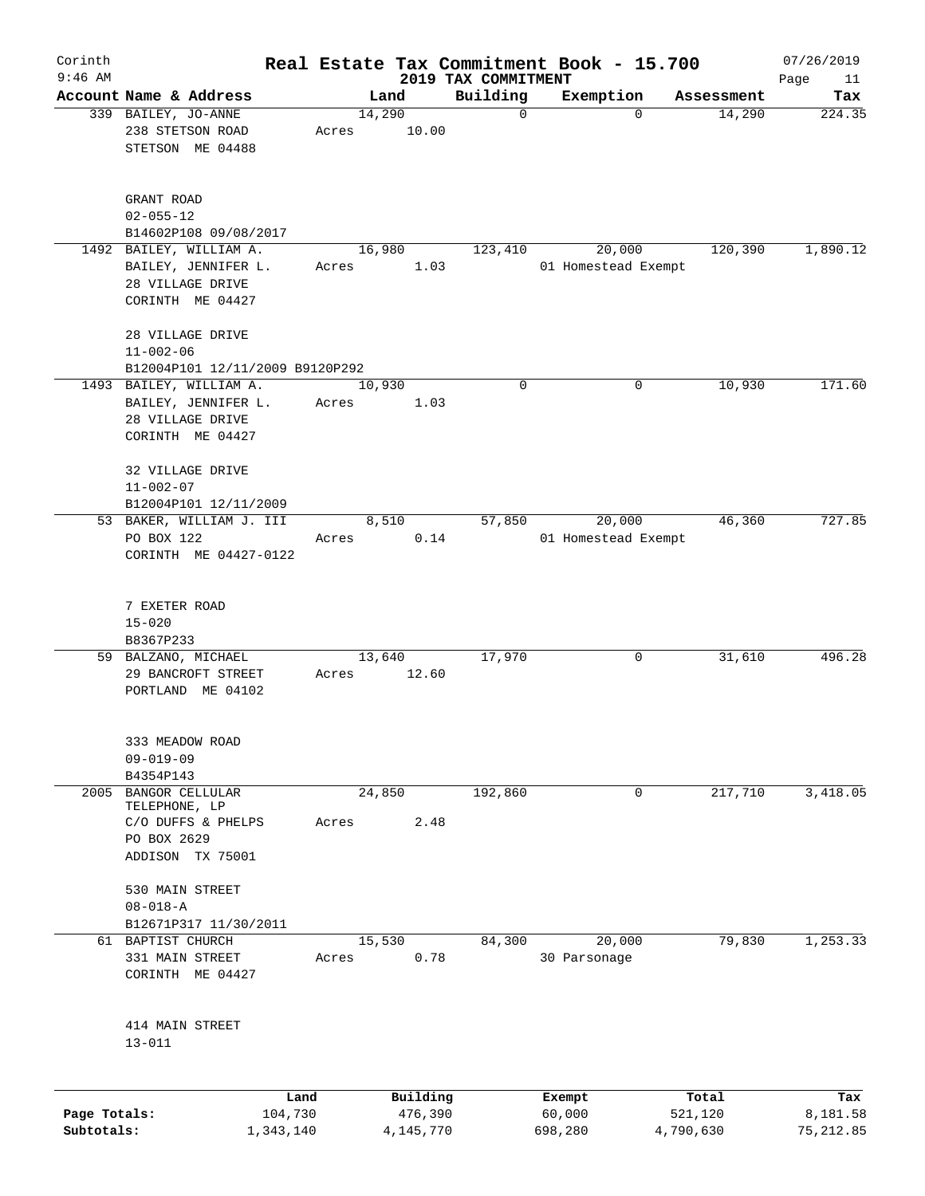| Corinth      |                                                             |       |        |             |                                 | Real Estate Tax Commitment Book - 15.700 |            | 07/26/2019        |
|--------------|-------------------------------------------------------------|-------|--------|-------------|---------------------------------|------------------------------------------|------------|-------------------|
| $9:46$ AM    | Account Name & Address                                      |       | Land   |             | 2019 TAX COMMITMENT<br>Building | Exemption                                | Assessment | Page<br>11<br>Tax |
|              | 339 BAILEY, JO-ANNE                                         |       | 14,290 |             | $\mathbf 0$                     | $\mathbf 0$                              | 14,290     | 224.35            |
|              | 238 STETSON ROAD<br>STETSON ME 04488                        | Acres |        | 10.00       |                                 |                                          |            |                   |
|              |                                                             |       |        |             |                                 |                                          |            |                   |
|              | GRANT ROAD                                                  |       |        |             |                                 |                                          |            |                   |
|              | $02 - 055 - 12$<br>B14602P108 09/08/2017                    |       |        |             |                                 |                                          |            |                   |
|              | 1492 BAILEY, WILLIAM A.                                     |       | 16,980 |             | 123,410                         | 20,000                                   | 120,390    | 1,890.12          |
|              | BAILEY, JENNIFER L.<br>28 VILLAGE DRIVE<br>CORINTH ME 04427 | Acres |        | 1.03        |                                 | 01 Homestead Exempt                      |            |                   |
|              |                                                             |       |        |             |                                 |                                          |            |                   |
|              | 28 VILLAGE DRIVE<br>$11 - 002 - 06$                         |       |        |             |                                 |                                          |            |                   |
|              | B12004P101 12/11/2009 B9120P292                             |       |        |             |                                 |                                          |            |                   |
|              | 1493 BAILEY, WILLIAM A.<br>BAILEY, JENNIFER L.              | Acres | 10,930 | 1.03        | 0                               | 0                                        | 10,930     | 171.60            |
|              | 28 VILLAGE DRIVE                                            |       |        |             |                                 |                                          |            |                   |
|              | CORINTH ME 04427                                            |       |        |             |                                 |                                          |            |                   |
|              | 32 VILLAGE DRIVE                                            |       |        |             |                                 |                                          |            |                   |
|              | $11 - 002 - 07$                                             |       |        |             |                                 |                                          |            |                   |
|              | B12004P101 12/11/2009                                       |       |        |             |                                 |                                          |            |                   |
|              | 53 BAKER, WILLIAM J. III                                    |       | 8,510  |             | 57,850                          | 20,000                                   | 46,360     | 727.85            |
|              | PO BOX 122<br>CORINTH ME 04427-0122                         | Acres |        | 0.14        |                                 | 01 Homestead Exempt                      |            |                   |
|              |                                                             |       |        |             |                                 |                                          |            |                   |
|              | 7 EXETER ROAD                                               |       |        |             |                                 |                                          |            |                   |
|              | $15 - 020$<br>B8367P233                                     |       |        |             |                                 |                                          |            |                   |
|              | 59 BALZANO, MICHAEL                                         |       | 13,640 |             | 17,970                          | 0                                        | 31,610     | 496.28            |
|              | 29 BANCROFT STREET<br>PORTLAND ME 04102                     | Acres |        | 12.60       |                                 |                                          |            |                   |
|              |                                                             |       |        |             |                                 |                                          |            |                   |
|              | 333 MEADOW ROAD<br>$09 - 019 - 09$                          |       |        |             |                                 |                                          |            |                   |
|              | B4354P143                                                   |       |        |             |                                 |                                          |            |                   |
| 2005         | <b>BANGOR CELLULAR</b>                                      |       | 24,850 |             | 192,860                         | 0                                        | 217,710    | 3,418.05          |
|              | TELEPHONE, LP                                               |       |        |             |                                 |                                          |            |                   |
|              | C/O DUFFS & PHELPS                                          | Acres |        | 2.48        |                                 |                                          |            |                   |
|              | PO BOX 2629<br>ADDISON TX 75001                             |       |        |             |                                 |                                          |            |                   |
|              | 530 MAIN STREET                                             |       |        |             |                                 |                                          |            |                   |
|              | $08 - 018 - A$                                              |       |        |             |                                 |                                          |            |                   |
|              | B12671P317 11/30/2011                                       |       |        |             |                                 |                                          |            |                   |
|              | 61 BAPTIST CHURCH                                           |       | 15,530 |             | 84,300                          | 20,000                                   | 79,830     | 1,253.33          |
|              | 331 MAIN STREET<br>CORINTH ME 04427                         | Acres |        | 0.78        |                                 | 30 Parsonage                             |            |                   |
|              |                                                             |       |        |             |                                 |                                          |            |                   |
|              | 414 MAIN STREET<br>$13 - 011$                               |       |        |             |                                 |                                          |            |                   |
|              |                                                             |       |        |             |                                 |                                          |            |                   |
|              | Land                                                        |       |        | Building    |                                 | Exempt                                   | Total      | Tax               |
| Page Totals: | 104,730                                                     |       |        | 476,390     |                                 | 60,000                                   | 521,120    | 8,181.58          |
| Subtotals:   | 1,343,140                                                   |       |        | 4, 145, 770 |                                 | 698,280                                  | 4,790,630  | 75, 212.85        |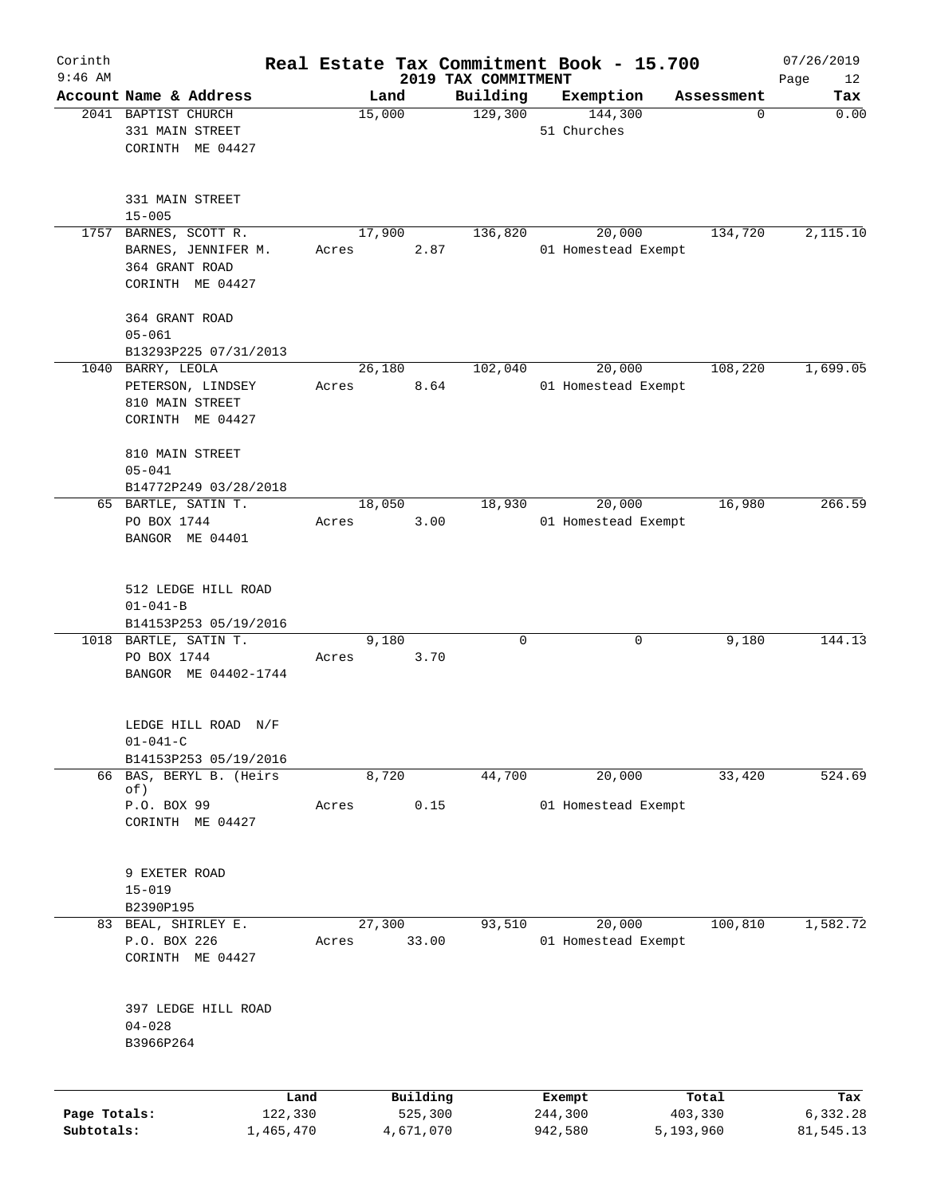| Corinth<br>$9:46$ AM       |                                                                               |       |                                  |                                 | Real Estate Tax Commitment Book - 15.700 |                               | 07/26/2019                   |
|----------------------------|-------------------------------------------------------------------------------|-------|----------------------------------|---------------------------------|------------------------------------------|-------------------------------|------------------------------|
|                            | Account Name & Address                                                        |       | Land                             | 2019 TAX COMMITMENT<br>Building | Exemption                                | Assessment                    | Page<br>12<br>Tax            |
|                            | 2041 BAPTIST CHURCH<br>331 MAIN STREET<br>CORINTH ME 04427                    |       | 15,000                           | 129,300                         | 144,300<br>51 Churches                   | $\mathbf 0$                   | 0.00                         |
|                            | 331 MAIN STREET<br>$15 - 005$                                                 |       |                                  |                                 |                                          |                               |                              |
| 1757                       | BARNES, SCOTT R.<br>BARNES, JENNIFER M.<br>364 GRANT ROAD<br>CORINTH ME 04427 | Acres | 17,900<br>2.87                   | 136,820                         | 20,000<br>01 Homestead Exempt            | 134,720                       | 2,115.10                     |
|                            | 364 GRANT ROAD<br>$05 - 061$<br>B13293P225 07/31/2013                         |       |                                  |                                 |                                          |                               |                              |
|                            | 1040 BARRY, LEOLA<br>PETERSON, LINDSEY<br>810 MAIN STREET<br>CORINTH ME 04427 | Acres | 26,180<br>8.64                   | 102,040                         | 20,000<br>01 Homestead Exempt            | 108,220                       | 1,699.05                     |
|                            | 810 MAIN STREET<br>$05 - 041$<br>B14772P249 03/28/2018                        |       |                                  |                                 |                                          |                               |                              |
|                            | 65 BARTLE, SATIN T.<br>PO BOX 1744<br>BANGOR ME 04401                         | Acres | 18,050<br>3.00                   | 18,930                          | 20,000<br>01 Homestead Exempt            | 16,980                        | 266.59                       |
|                            | 512 LEDGE HILL ROAD<br>$01 - 041 - B$<br>B14153P253 05/19/2016                |       |                                  |                                 |                                          |                               |                              |
|                            | 1018 BARTLE, SATIN T.<br>PO BOX 1744<br>BANGOR ME 04402-1744                  | Acres | 9,180<br>3.70                    | 0                               | 0                                        | 9,180                         | 144.13                       |
|                            | LEDGE HILL ROAD N/F<br>$01 - 041 - C$<br>B14153P253 05/19/2016                |       |                                  |                                 |                                          |                               |                              |
|                            | 66 BAS, BERYL B. (Heirs<br>of)<br>P.O. BOX 99<br>CORINTH ME 04427             | Acres | 8,720<br>0.15                    | 44,700                          | 20,000<br>01 Homestead Exempt            | 33,420                        | 524.69                       |
|                            | 9 EXETER ROAD<br>$15 - 019$<br>B2390P195                                      |       |                                  |                                 |                                          |                               |                              |
|                            | 83 BEAL, SHIRLEY E.<br>P.O. BOX 226<br>CORINTH ME 04427                       | Acres | 27,300<br>33.00                  | 93,510                          | 20,000<br>01 Homestead Exempt            | 100,810                       | 1,582.72                     |
|                            | 397 LEDGE HILL ROAD<br>$04 - 028$<br>B3966P264                                |       |                                  |                                 |                                          |                               |                              |
| Page Totals:<br>Subtotals: | Land<br>122,330<br>1,465,470                                                  |       | Building<br>525,300<br>4,671,070 |                                 | Exempt<br>244,300<br>942,580             | Total<br>403,330<br>5,193,960 | Tax<br>6,332.28<br>81,545.13 |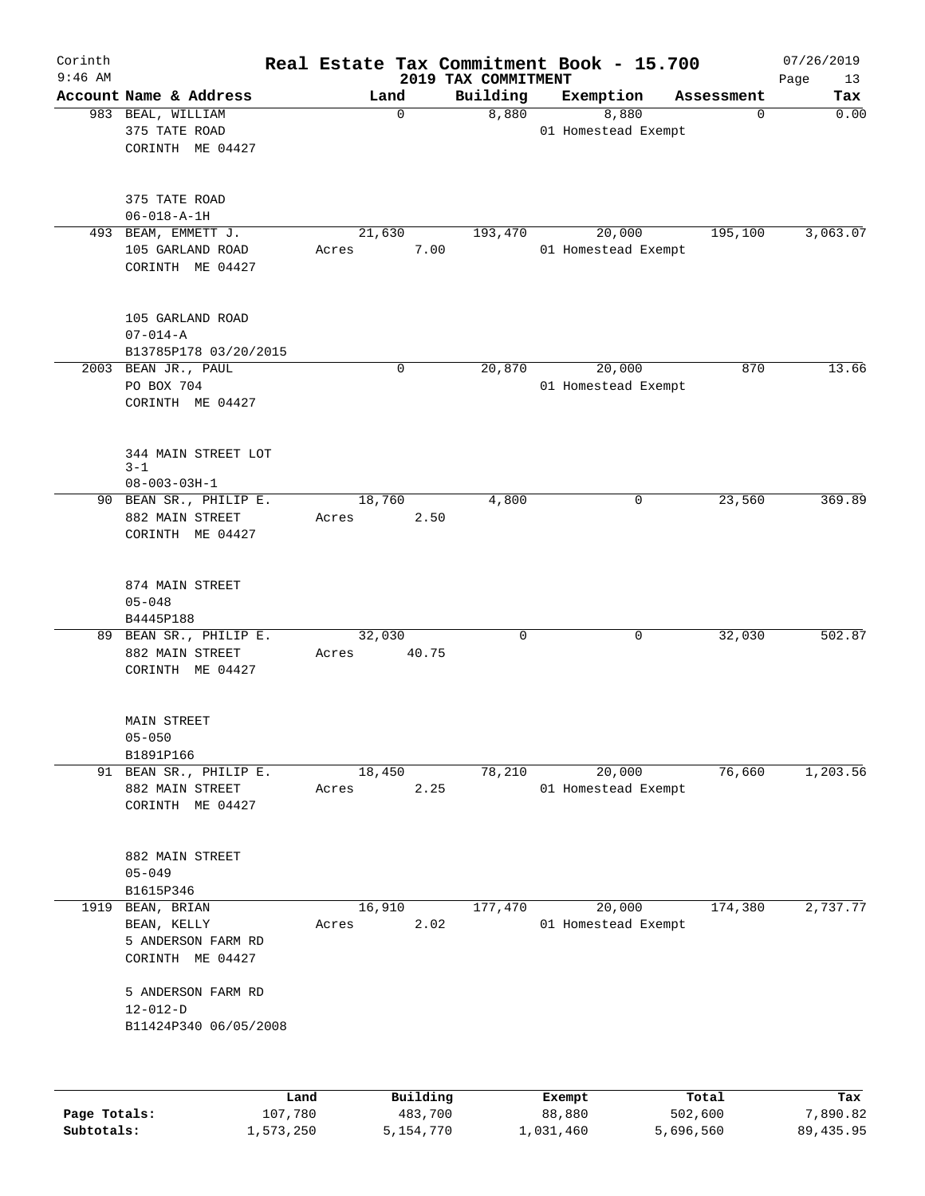| Corinth<br>$9:46$ AM |                                                                      |                 |             | Real Estate Tax Commitment Book - 15.700 |        |                               |            | 07/26/2019        |
|----------------------|----------------------------------------------------------------------|-----------------|-------------|------------------------------------------|--------|-------------------------------|------------|-------------------|
|                      | Account Name & Address                                               | Land            |             | 2019 TAX COMMITMENT<br>Building          |        | Exemption                     | Assessment | Page<br>13<br>Tax |
|                      | 983 BEAL, WILLIAM<br>375 TATE ROAD<br>CORINTH ME 04427               |                 | $\mathbf 0$ | 8,880                                    |        | 8,880<br>01 Homestead Exempt  | 0          | 0.00              |
|                      | 375 TATE ROAD<br>$06 - 018 - A - 1H$                                 |                 |             |                                          |        |                               |            |                   |
|                      | 493 BEAM, EMMETT J.<br>105 GARLAND ROAD<br>CORINTH ME 04427          | 21,630<br>Acres | 7.00        | 193,470                                  |        | 20,000<br>01 Homestead Exempt | 195,100    | 3,063.07          |
|                      | 105 GARLAND ROAD<br>$07 - 014 - A$<br>B13785P178 03/20/2015          |                 |             |                                          |        |                               |            |                   |
|                      | 2003 BEAN JR., PAUL<br>PO BOX 704<br>CORINTH ME 04427                |                 | $\mathbf 0$ | 20,870                                   |        | 20,000<br>01 Homestead Exempt | 870        | 13.66             |
|                      | 344 MAIN STREET LOT<br>$3 - 1$<br>$08 - 003 - 03H - 1$               |                 |             |                                          |        |                               |            |                   |
|                      | 90 BEAN SR., PHILIP E.<br>882 MAIN STREET<br>CORINTH ME 04427        | 18,760<br>Acres | 2.50        | 4,800                                    |        | 0                             | 23,560     | 369.89            |
|                      | 874 MAIN STREET<br>$05 - 048$<br>B4445P188                           |                 |             |                                          |        |                               |            |                   |
|                      | 89 BEAN SR., PHILIP E.<br>882 MAIN STREET<br>CORINTH ME 04427        | 32,030<br>Acres | 40.75       | 0                                        |        | 0                             | 32,030     | 502.87            |
|                      | <b>MAIN STREET</b><br>$05 - 050$<br>B1891P166                        |                 |             |                                          |        |                               |            |                   |
|                      | 91 BEAN SR., PHILIP E.<br>882 MAIN STREET<br>CORINTH ME 04427        | 18,450<br>Acres | 2.25        | 78,210                                   |        | 20,000<br>01 Homestead Exempt | 76,660     | 1,203.56          |
|                      | 882 MAIN STREET<br>$05 - 049$<br>B1615P346                           |                 |             |                                          |        |                               |            |                   |
| 1919                 | BEAN, BRIAN<br>BEAN, KELLY<br>5 ANDERSON FARM RD<br>CORINTH ME 04427 | 16,910<br>Acres | 2.02        | 177,470                                  |        | 20,000<br>01 Homestead Exempt | 174,380    | 2,737.77          |
|                      | 5 ANDERSON FARM RD<br>$12 - 012 - D$<br>B11424P340 06/05/2008        |                 |             |                                          |        |                               |            |                   |
|                      | Land                                                                 |                 | Building    |                                          | Exempt |                               | Total      | Tax               |
| Page Totals:         | 107,780                                                              |                 | 483,700     |                                          | 88,880 |                               | 502,600    | 7,890.82          |

**Subtotals:** 1,573,250 5,154,770 1,031,460 5,696,560 89,435.95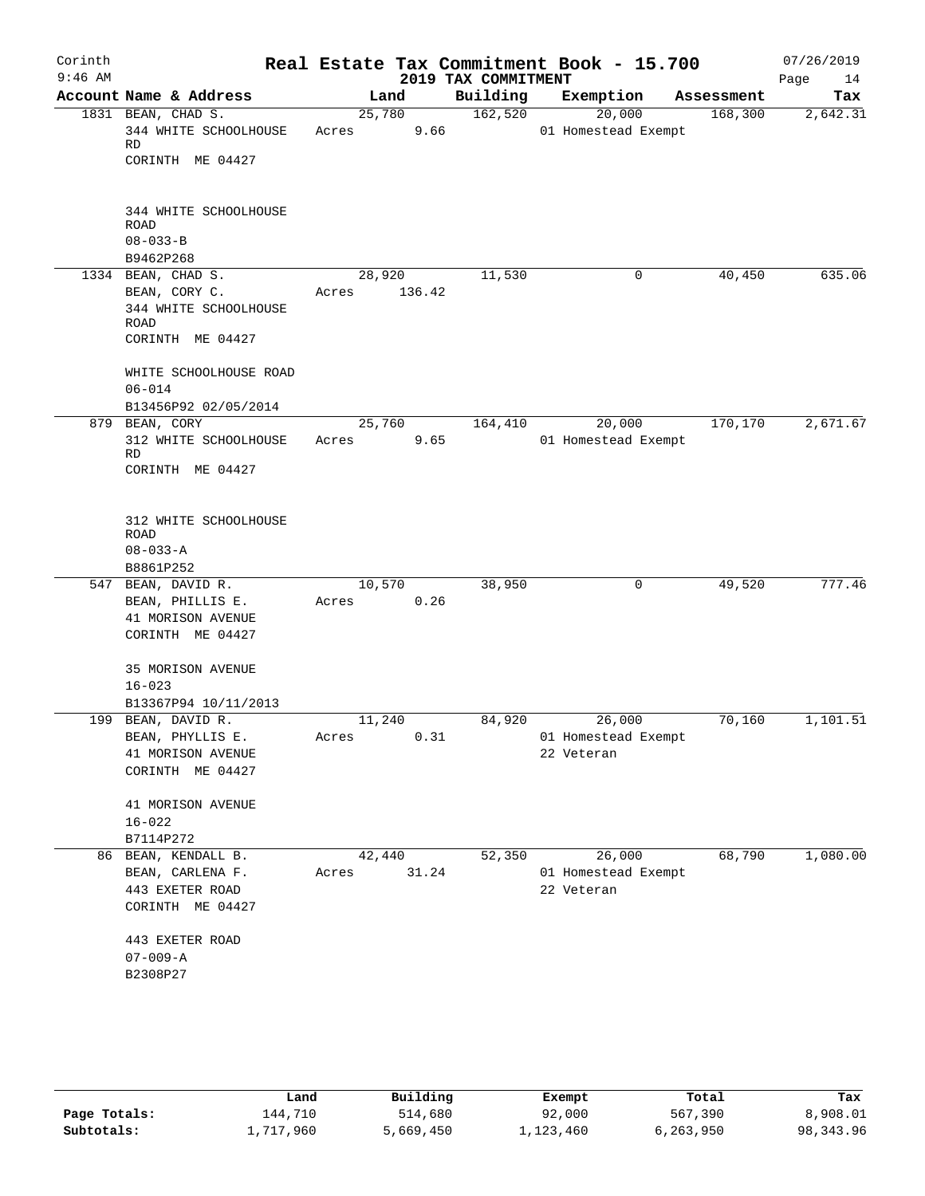|                                                                                 |                                                                                  |                  |                                   |                                          | 07/26/2019<br>Page<br>14                                                                                                                                               |
|---------------------------------------------------------------------------------|----------------------------------------------------------------------------------|------------------|-----------------------------------|------------------------------------------|------------------------------------------------------------------------------------------------------------------------------------------------------------------------|
| Account Name & Address                                                          | Land                                                                             | Building         | Exemption                         |                                          | Tax                                                                                                                                                                    |
| 1831 BEAN, CHAD S.<br>344 WHITE SCHOOLHOUSE<br>RD<br>CORINTH ME 04427           | 25,780<br>Acres                                                                  |                  | 20,000                            | 168,300                                  | 2,642.31                                                                                                                                                               |
| 344 WHITE SCHOOLHOUSE<br><b>ROAD</b><br>$08 - 033 - B$                          |                                                                                  |                  |                                   |                                          |                                                                                                                                                                        |
|                                                                                 |                                                                                  |                  | 0                                 |                                          | 635.06                                                                                                                                                                 |
| BEAN, CORY C.<br>344 WHITE SCHOOLHOUSE<br>ROAD<br>CORINTH ME 04427              | 136.42<br>Acres                                                                  |                  |                                   |                                          |                                                                                                                                                                        |
| WHITE SCHOOLHOUSE ROAD<br>$06 - 014$<br>B13456P92 02/05/2014                    |                                                                                  |                  |                                   |                                          |                                                                                                                                                                        |
| 879 BEAN, CORY<br>312 WHITE SCHOOLHOUSE<br>RD<br>CORINTH ME 04427               | 25,760<br>9.65<br>Acres                                                          | 164,410          | 20,000                            | 170,170                                  | 2,671.67                                                                                                                                                               |
| 312 WHITE SCHOOLHOUSE<br>ROAD<br>$08 - 033 - A$                                 |                                                                                  |                  |                                   |                                          |                                                                                                                                                                        |
| 547 BEAN, DAVID R.<br>BEAN, PHILLIS E.<br>41 MORISON AVENUE<br>CORINTH ME 04427 | 10,570<br>0.26<br>Acres                                                          | 38,950           | 0                                 | 49,520                                   | 777.46                                                                                                                                                                 |
| 35 MORISON AVENUE<br>$16 - 023$<br>B13367P94 10/11/2013                         |                                                                                  |                  |                                   |                                          |                                                                                                                                                                        |
| 199 BEAN, DAVID R.<br>BEAN, PHYLLIS E.<br>41 MORISON AVENUE<br>CORINTH ME 04427 | 11,240<br>0.31<br>Acres                                                          | 84,920           | 26,000<br>22 Veteran              | 70,160                                   | 1,101.51                                                                                                                                                               |
| 41 MORISON AVENUE<br>$16 - 022$                                                 |                                                                                  |                  |                                   |                                          |                                                                                                                                                                        |
|                                                                                 |                                                                                  |                  |                                   |                                          | 1,080.00                                                                                                                                                               |
| BEAN, CARLENA F.<br>443 EXETER ROAD<br>CORINTH ME 04427                         | Acres                                                                            |                  | 22 Veteran                        |                                          |                                                                                                                                                                        |
| 443 EXETER ROAD<br>$07 - 009 - A$                                               |                                                                                  |                  |                                   |                                          |                                                                                                                                                                        |
|                                                                                 | B9462P268<br>1334 BEAN, CHAD S.<br>B8861P252<br>B7114P272<br>86 BEAN, KENDALL B. | 28,920<br>42,440 | 9.66<br>11,530<br>52,350<br>31.24 | 2019 TAX COMMITMENT<br>162,520<br>26,000 | Real Estate Tax Commitment Book - 15.700<br>Assessment<br>01 Homestead Exempt<br>40,450<br>01 Homestead Exempt<br>01 Homestead Exempt<br>68,790<br>01 Homestead Exempt |

|              | Land      | Building  | Exempt    | Total     | Tax       |
|--------------|-----------|-----------|-----------|-----------|-----------|
| Page Totals: | 144,710   | 514,680   | 92,000    | 567,390   | 8,908.01  |
| Subtotals:   | 1,717,960 | 5,669,450 | ⊥,123,460 | 6,263,950 | 98,343.96 |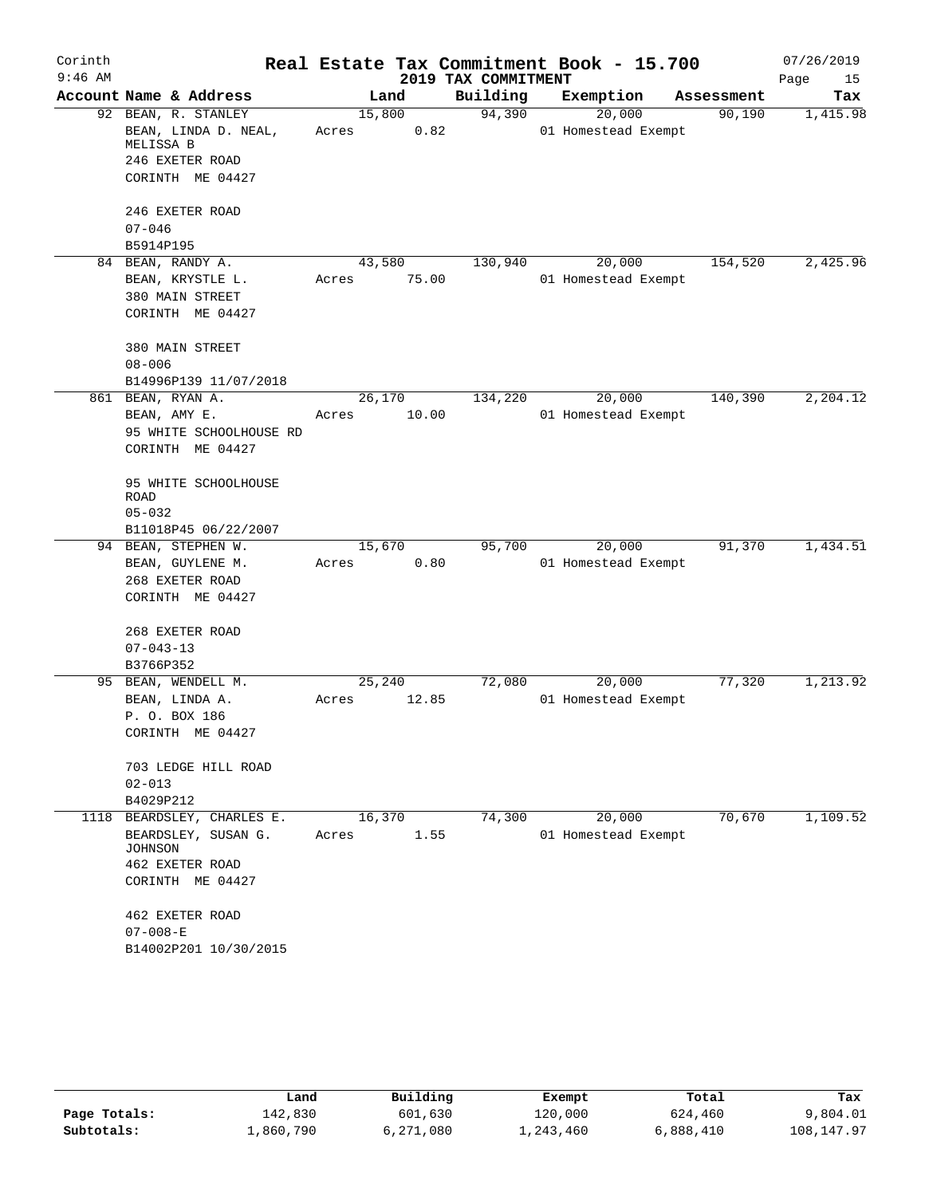| Corinth   |                                                          |                          |                     | Real Estate Tax Commitment Book - 15.700 |            | 07/26/2019 |
|-----------|----------------------------------------------------------|--------------------------|---------------------|------------------------------------------|------------|------------|
| $9:46$ AM |                                                          |                          | 2019 TAX COMMITMENT |                                          |            | Page<br>15 |
|           | Account Name & Address                                   | Land                     | Building            | Exemption                                | Assessment | Tax        |
|           | 92 BEAN, R. STANLEY<br>BEAN, LINDA D. NEAL,<br>MELISSA B | 15,800<br>Acres          | 94,390<br>0.82      | 20,000<br>01 Homestead Exempt            | 90,190     | 1,415.98   |
|           | 246 EXETER ROAD<br>CORINTH ME 04427                      |                          |                     |                                          |            |            |
|           |                                                          |                          |                     |                                          |            |            |
|           | 246 EXETER ROAD<br>$07 - 046$                            |                          |                     |                                          |            |            |
|           | B5914P195                                                |                          |                     |                                          |            |            |
|           | 84 BEAN, RANDY A.                                        | 43,580                   | 130,940             | 20,000                                   | 154,520    | 2,425.96   |
|           | BEAN, KRYSTLE L.                                         | 75.00<br>Acres           |                     | 01 Homestead Exempt                      |            |            |
|           | 380 MAIN STREET<br>CORINTH ME 04427                      |                          |                     |                                          |            |            |
|           | 380 MAIN STREET<br>$08 - 006$                            |                          |                     |                                          |            |            |
|           | B14996P139 11/07/2018                                    |                          |                     |                                          |            |            |
|           | 861 BEAN, RYAN A.                                        | 26,170                   | 134,220             | 20,000                                   | 140,390    | 2,204.12   |
|           | BEAN, AMY E.                                             | 10.00<br>Acres           |                     | 01 Homestead Exempt                      |            |            |
|           | 95 WHITE SCHOOLHOUSE RD                                  |                          |                     |                                          |            |            |
|           | CORINTH ME 04427                                         |                          |                     |                                          |            |            |
|           | 95 WHITE SCHOOLHOUSE                                     |                          |                     |                                          |            |            |
|           | ROAD                                                     |                          |                     |                                          |            |            |
|           | $05 - 032$<br>B11018P45 06/22/2007                       |                          |                     |                                          |            |            |
|           | 94 BEAN, STEPHEN W.                                      | 15,670                   | 95,700              | 20,000                                   | 91,370     | 1,434.51   |
|           | BEAN, GUYLENE M.                                         | Acres                    | 0.80                | 01 Homestead Exempt                      |            |            |
|           | 268 EXETER ROAD                                          |                          |                     |                                          |            |            |
|           | CORINTH ME 04427                                         |                          |                     |                                          |            |            |
|           | 268 EXETER ROAD                                          |                          |                     |                                          |            |            |
|           | $07 - 043 - 13$                                          |                          |                     |                                          |            |            |
|           | B3766P352                                                |                          |                     |                                          |            |            |
|           | 95 BEAN, WENDELL M.                                      | 25,240<br>Acres<br>12.85 | 72,080              | 20,000<br>01 Homestead Exempt            | 77,320     | 1,213.92   |
|           | BEAN, LINDA A.<br>P. O. BOX 186                          |                          |                     |                                          |            |            |
|           | CORINTH ME 04427                                         |                          |                     |                                          |            |            |
|           | 703 LEDGE HILL ROAD                                      |                          |                     |                                          |            |            |
|           | $02 - 013$                                               |                          |                     |                                          |            |            |
| 1118      | B4029P212<br>BEARDSLEY, CHARLES E.                       | 16,370                   | 74,300              | 20,000                                   | 70,670     | 1,109.52   |
|           | BEARDSLEY, SUSAN G.                                      | Acres                    | 1.55                | 01 Homestead Exempt                      |            |            |
|           | JOHNSON                                                  |                          |                     |                                          |            |            |
|           | 462 EXETER ROAD                                          |                          |                     |                                          |            |            |
|           | CORINTH ME 04427                                         |                          |                     |                                          |            |            |
|           | 462 EXETER ROAD                                          |                          |                     |                                          |            |            |
|           | $07 - 008 - E$                                           |                          |                     |                                          |            |            |
|           | B14002P201 10/30/2015                                    |                          |                     |                                          |            |            |

|              | Land      | Building  | Exempt    | Total     | Tax        |
|--------------|-----------|-----------|-----------|-----------|------------|
| Page Totals: | 142,830   | 601,630   | 120,000   | 624,460   | 9,804.01   |
| Subtotals:   | ⊥,860,790 | 6,271,080 | 1,243,460 | 6,888,410 | 108,147.97 |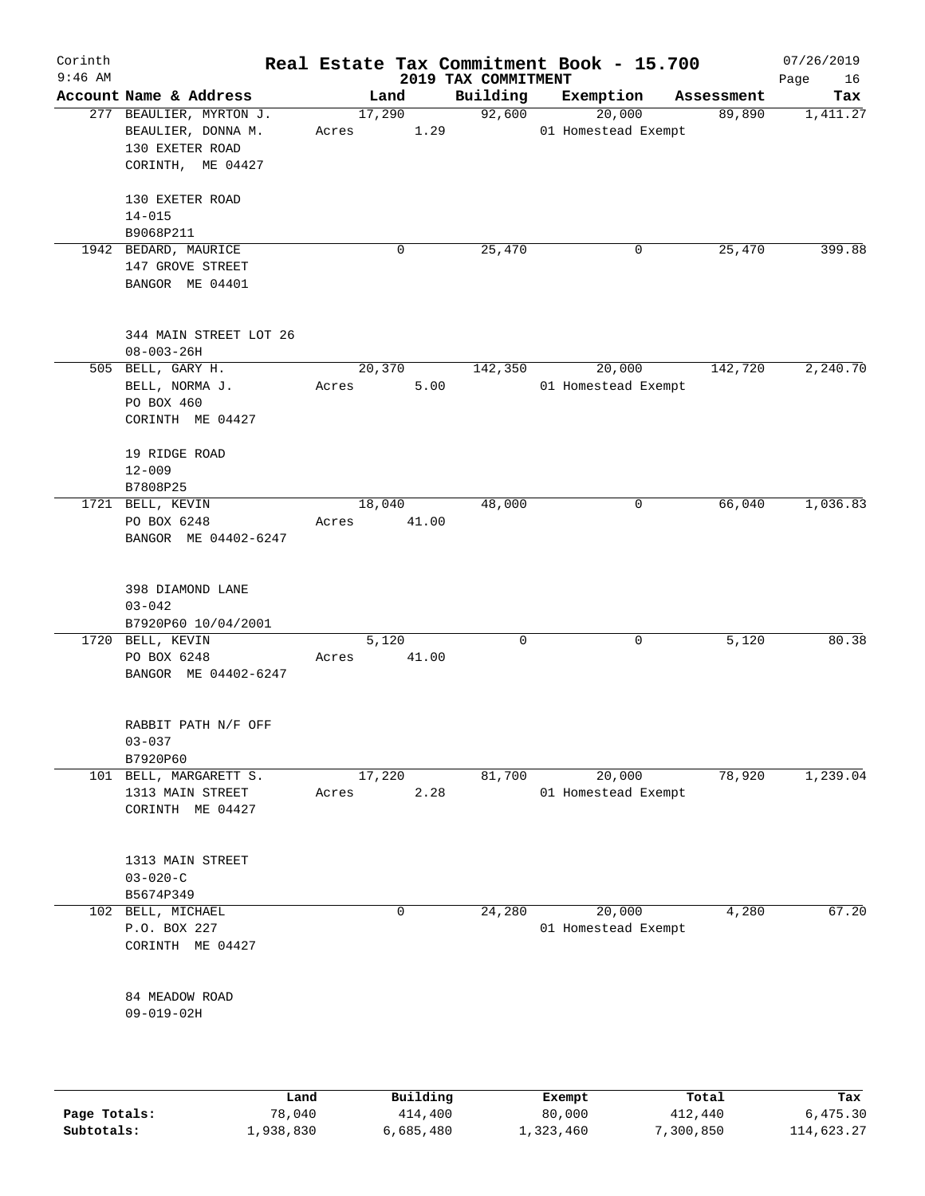| Corinth<br>$9:46$ AM |                                                                                       |                 |                | 2019 TAX COMMITMENT | Real Estate Tax Commitment Book - 15.700 |            | 07/26/2019<br>Page<br>16 |
|----------------------|---------------------------------------------------------------------------------------|-----------------|----------------|---------------------|------------------------------------------|------------|--------------------------|
|                      | Account Name & Address                                                                |                 | Land           | Building            | Exemption                                | Assessment | Tax                      |
|                      | 277 BEAULIER, MYRTON J.<br>BEAULIER, DONNA M.<br>130 EXETER ROAD<br>CORINTH, ME 04427 | 17,290<br>Acres | 1.29           | 92,600              | 20,000<br>01 Homestead Exempt            | 89,890     | 1,411.27                 |
|                      | 130 EXETER ROAD<br>$14 - 015$<br>B9068P211                                            |                 |                |                     |                                          |            |                          |
|                      | 1942 BEDARD, MAURICE<br>147 GROVE STREET<br>BANGOR ME 04401                           |                 | 0              | 25,470              | 0                                        | 25,470     | 399.88                   |
|                      | 344 MAIN STREET LOT 26<br>$08 - 003 - 26H$                                            |                 |                |                     |                                          |            |                          |
|                      | 505 BELL, GARY H.<br>BELL, NORMA J.<br>PO BOX 460<br>CORINTH ME 04427                 | 20,370<br>Acres | 5.00           | 142,350             | 20,000<br>01 Homestead Exempt            | 142,720    | 2,240.70                 |
|                      | 19 RIDGE ROAD<br>$12 - 009$                                                           |                 |                |                     |                                          |            |                          |
|                      | B7808P25<br>1721 BELL, KEVIN<br>PO BOX 6248<br>BANGOR ME 04402-6247                   | 18,040<br>Acres | 41.00          | 48,000              | 0                                        | 66,040     | 1,036.83                 |
|                      | 398 DIAMOND LANE<br>$03 - 042$<br>B7920P60 10/04/2001                                 |                 |                |                     |                                          |            |                          |
|                      | 1720 BELL, KEVIN<br>PO BOX 6248<br>BANGOR ME 04402-6247                               | Acres           | 5,120<br>41.00 | 0                   | 0                                        | 5,120      | 80.38                    |
|                      | RABBIT PATH N/F OFF<br>$03 - 037$<br>B7920P60                                         |                 |                |                     |                                          |            |                          |
|                      | 101 BELL, MARGARETT S.<br>1313 MAIN STREET<br>CORINTH ME 04427                        | 17,220<br>Acres | 2.28           | 81,700              | 20,000<br>01 Homestead Exempt            | 78,920     | 1,239.04                 |
|                      | 1313 MAIN STREET<br>$03 - 020 - C$<br>B5674P349                                       |                 |                |                     |                                          |            |                          |
| 102                  | BELL, MICHAEL<br>P.O. BOX 227<br>CORINTH ME 04427                                     |                 | 0              | 24,280              | 20,000<br>01 Homestead Exempt            | 4,280      | 67.20                    |
|                      | 84 MEADOW ROAD<br>$09 - 019 - 02H$                                                    |                 |                |                     |                                          |            |                          |
|                      | Land                                                                                  |                 | Building       |                     | Exempt                                   | Total      | Tax                      |

|              | ⊥and      | Building  | Exempt    | Total     | тах        |
|--------------|-----------|-----------|-----------|-----------|------------|
| Page Totals: | 78,040    | 414,400   | 80,000    | 412,440   | 6,475.30   |
| Subtotals:   | 1,938,830 | 6,685,480 | 1,323,460 | 7,300,850 | 114,623.27 |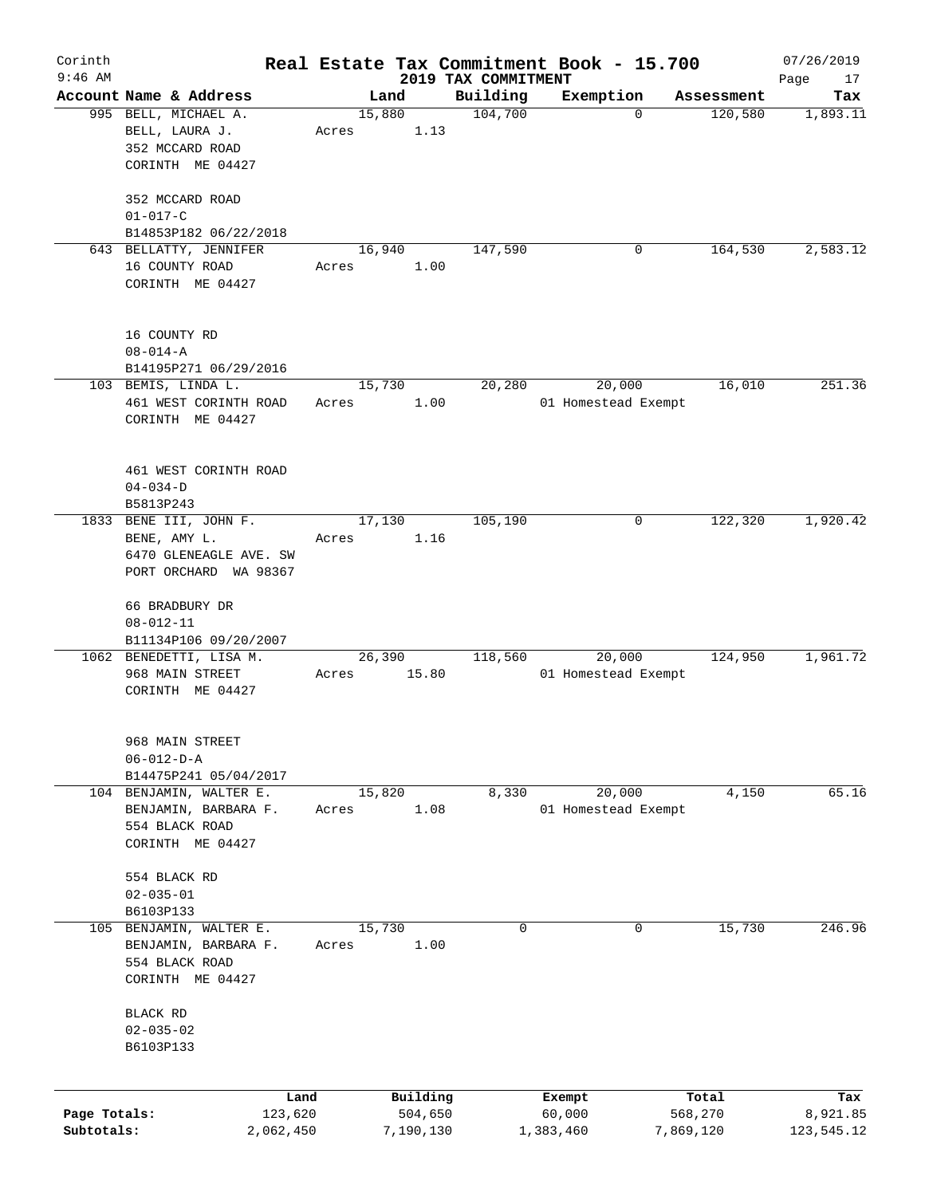| Corinth      |                                                |           |       |                |              |                     | Real Estate Tax Commitment Book - 15.700 |                       | 07/26/2019      |
|--------------|------------------------------------------------|-----------|-------|----------------|--------------|---------------------|------------------------------------------|-----------------------|-----------------|
| $9:46$ AM    |                                                |           |       |                |              | 2019 TAX COMMITMENT |                                          |                       | Page<br>17      |
|              | Account Name & Address<br>995 BELL, MICHAEL A. |           |       | Land<br>15,880 |              | Building<br>104,700 | Exemption<br>$\mathbf 0$                 | Assessment<br>120,580 | Tax<br>1,893.11 |
|              | BELL, LAURA J.                                 |           | Acres |                | 1.13         |                     |                                          |                       |                 |
|              | 352 MCCARD ROAD                                |           |       |                |              |                     |                                          |                       |                 |
|              | CORINTH ME 04427                               |           |       |                |              |                     |                                          |                       |                 |
|              | 352 MCCARD ROAD                                |           |       |                |              |                     |                                          |                       |                 |
|              | $01 - 017 - C$                                 |           |       |                |              |                     |                                          |                       |                 |
|              | B14853P182 06/22/2018                          |           |       |                |              |                     |                                          |                       |                 |
|              | 643 BELLATTY, JENNIFER                         |           |       | 16,940         |              | 147,590             | 0                                        | 164,530               | 2,583.12        |
|              | 16 COUNTY ROAD<br>CORINTH ME 04427             |           | Acres |                | 1.00         |                     |                                          |                       |                 |
|              |                                                |           |       |                |              |                     |                                          |                       |                 |
|              | 16 COUNTY RD                                   |           |       |                |              |                     |                                          |                       |                 |
|              | $08 - 014 - A$                                 |           |       |                |              |                     |                                          |                       |                 |
|              | B14195P271 06/29/2016                          |           |       |                |              |                     |                                          |                       |                 |
|              | 103 BEMIS, LINDA L.                            |           |       | 15,730         |              | 20,280              | 20,000                                   | 16,010                | 251.36          |
|              | 461 WEST CORINTH ROAD                          |           | Acres |                | 1.00         |                     | 01 Homestead Exempt                      |                       |                 |
|              | CORINTH ME 04427                               |           |       |                |              |                     |                                          |                       |                 |
|              |                                                |           |       |                |              |                     |                                          |                       |                 |
|              | 461 WEST CORINTH ROAD                          |           |       |                |              |                     |                                          |                       |                 |
|              | $04 - 034 - D$                                 |           |       |                |              |                     |                                          |                       |                 |
|              | B5813P243                                      |           |       |                |              |                     |                                          |                       |                 |
|              | 1833 BENE III, JOHN F.                         |           |       | 17,130         |              | 105,190             | 0                                        | 122,320               | 1,920.42        |
|              | BENE, AMY L.<br>6470 GLENEAGLE AVE. SW         |           | Acres |                | 1.16         |                     |                                          |                       |                 |
|              | PORT ORCHARD WA 98367                          |           |       |                |              |                     |                                          |                       |                 |
|              | 66 BRADBURY DR                                 |           |       |                |              |                     |                                          |                       |                 |
|              | $08 - 012 - 11$                                |           |       |                |              |                     |                                          |                       |                 |
|              | B11134P106 09/20/2007                          |           |       |                |              |                     |                                          |                       |                 |
|              | 1062 BENEDETTI, LISA M.                        |           |       | 26,390         |              | 118,560             | 20,000                                   | 124,950               | 1,961.72        |
|              | 968 MAIN STREET                                |           | Acres |                | 15.80        |                     | 01 Homestead Exempt                      |                       |                 |
|              | CORINTH ME 04427                               |           |       |                |              |                     |                                          |                       |                 |
|              |                                                |           |       |                |              |                     |                                          |                       |                 |
|              | 968 MAIN STREET<br>$06 - 012 - D - A$          |           |       |                |              |                     |                                          |                       |                 |
|              | B14475P241 05/04/2017                          |           |       |                |              |                     |                                          |                       |                 |
|              | 104 BENJAMIN, WALTER E.                        |           |       | 15,820         |              | 8,330               | 20,000                                   | 4,150                 | 65.16           |
|              | BENJAMIN, BARBARA F.                           |           | Acres |                | 1.08         |                     | 01 Homestead Exempt                      |                       |                 |
|              | 554 BLACK ROAD                                 |           |       |                |              |                     |                                          |                       |                 |
|              | CORINTH ME 04427                               |           |       |                |              |                     |                                          |                       |                 |
|              | 554 BLACK RD                                   |           |       |                |              |                     |                                          |                       |                 |
|              | $02 - 035 - 01$                                |           |       |                |              |                     |                                          |                       |                 |
|              | B6103P133                                      |           |       |                |              |                     |                                          |                       |                 |
| 105          | BENJAMIN, WALTER E.                            |           |       | 15,730         |              | 0                   | 0                                        | 15,730                | 246.96          |
|              | BENJAMIN, BARBARA F.                           |           | Acres |                | $1\,.\,0\,0$ |                     |                                          |                       |                 |
|              | 554 BLACK ROAD                                 |           |       |                |              |                     |                                          |                       |                 |
|              | CORINTH ME 04427                               |           |       |                |              |                     |                                          |                       |                 |
|              | BLACK RD                                       |           |       |                |              |                     |                                          |                       |                 |
|              | $02 - 035 - 02$                                |           |       |                |              |                     |                                          |                       |                 |
|              | B6103P133                                      |           |       |                |              |                     |                                          |                       |                 |
|              |                                                |           |       |                |              |                     |                                          |                       |                 |
|              |                                                | Land      |       |                | Building     |                     | Exempt                                   | Total                 | Tax             |
| Page Totals: |                                                | 123,620   |       |                | 504,650      |                     | 60,000                                   | 568,270               | 8,921.85        |
| Subtotals:   |                                                | 2,062,450 |       |                | 7,190,130    |                     | 1,383,460                                | 7,869,120             | 123,545.12      |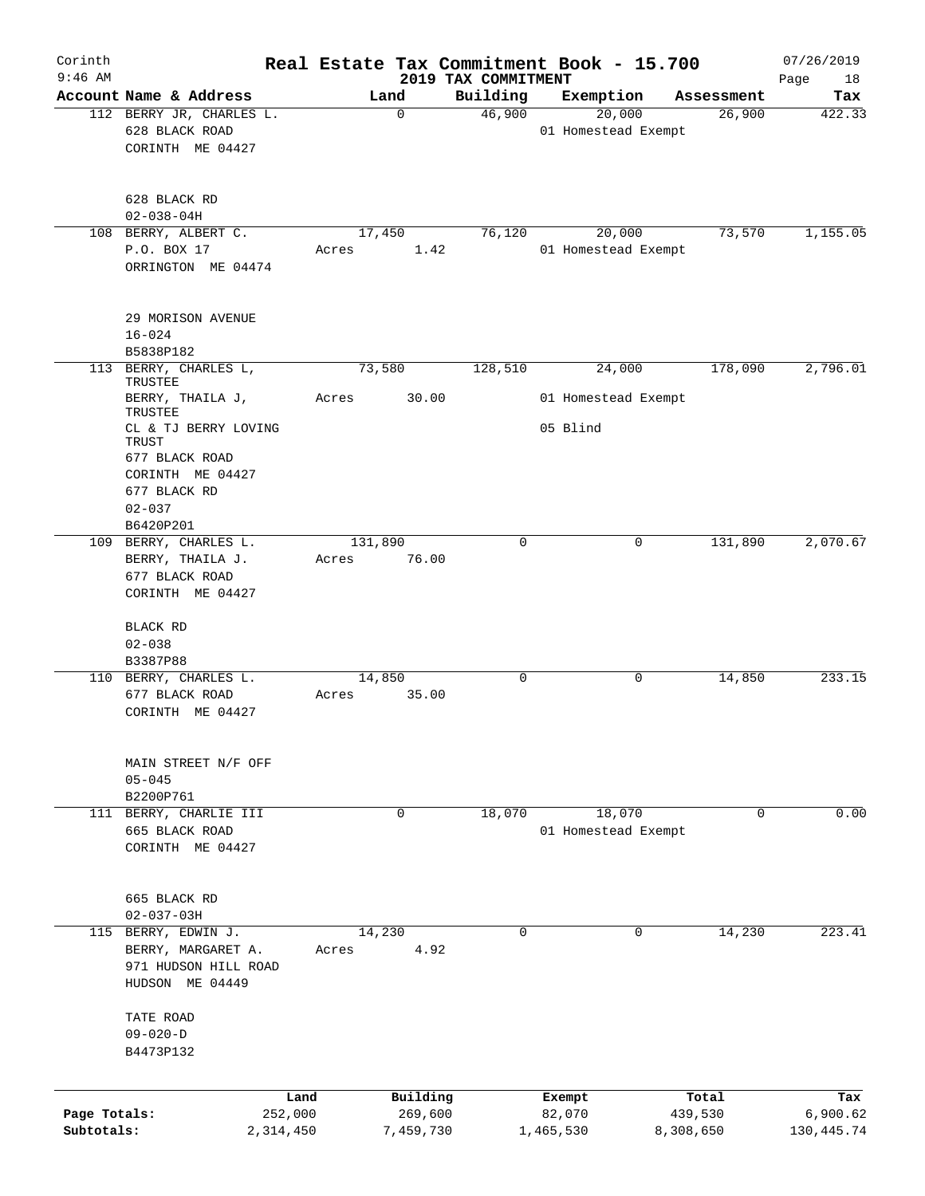| Corinth<br>$9:46$ AM |                                                                                      |                 |                  |                     | 2019 TAX COMMITMENT | Real Estate Tax Commitment Book - 15.700 |                  | 07/26/2019<br>Page<br>18 |
|----------------------|--------------------------------------------------------------------------------------|-----------------|------------------|---------------------|---------------------|------------------------------------------|------------------|--------------------------|
|                      | Account Name & Address                                                               |                 |                  | Land                | Building            | Exemption                                | Assessment       | Tax                      |
|                      | 112 BERRY JR, CHARLES L.<br>628 BLACK ROAD<br>CORINTH ME 04427                       |                 |                  | $\Omega$            | 46,900              | 20,000<br>01 Homestead Exempt            | 26,900           | 422.33                   |
|                      | 628 BLACK RD<br>$02 - 038 - 04H$                                                     |                 |                  |                     |                     |                                          |                  |                          |
|                      | 108 BERRY, ALBERT C.                                                                 |                 | 17,450           |                     | 76,120              | 20,000                                   | 73,570           | 1,155.05                 |
|                      | P.O. BOX 17<br>ORRINGTON ME 04474                                                    |                 | Acres            | 1.42                |                     | 01 Homestead Exempt                      |                  |                          |
|                      | 29 MORISON AVENUE<br>$16 - 024$<br>B5838P182                                         |                 |                  |                     |                     |                                          |                  |                          |
|                      | 113 BERRY, CHARLES L,                                                                |                 | 73,580           |                     | 128,510             | 24,000                                   | 178,090          | 2,796.01                 |
|                      | <b>TRUSTEE</b><br>BERRY, THAILA J,<br>TRUSTEE                                        |                 | Acres            | 30.00               |                     | 01 Homestead Exempt                      |                  |                          |
|                      | CL & TJ BERRY LOVING<br>TRUST<br>677 BLACK ROAD<br>CORINTH ME 04427<br>677 BLACK RD  |                 |                  |                     |                     | 05 Blind                                 |                  |                          |
|                      | $02 - 037$<br>B6420P201                                                              |                 |                  |                     |                     |                                          |                  |                          |
|                      | 109 BERRY, CHARLES L.<br>BERRY, THAILA J.<br>677 BLACK ROAD<br>CORINTH ME 04427      |                 | 131,890<br>Acres | 76.00               | $\mathbf 0$         | 0                                        | 131,890          | 2,070.67                 |
|                      | BLACK RD<br>$02 - 038$<br>B3387P88                                                   |                 |                  |                     |                     |                                          |                  |                          |
|                      | 110 BERRY, CHARLES L.<br>677 BLACK ROAD<br>CORINTH ME 04427                          |                 | 14,850<br>Acres  | 35.00               | $\Omega$            | 0                                        | 14,850           | 233.15                   |
|                      | MAIN STREET N/F OFF<br>$05 - 045$<br>B2200P761                                       |                 |                  |                     |                     |                                          |                  |                          |
|                      | 111 BERRY, CHARLIE III                                                               |                 |                  | 0                   | 18,070              | 18,070                                   | 0                | 0.00                     |
|                      | 665 BLACK ROAD<br>CORINTH ME 04427                                                   |                 |                  |                     |                     | 01 Homestead Exempt                      |                  |                          |
|                      | 665 BLACK RD                                                                         |                 |                  |                     |                     |                                          |                  |                          |
|                      | $02 - 037 - 03H$                                                                     |                 |                  |                     |                     |                                          |                  |                          |
|                      | 115 BERRY, EDWIN J.<br>BERRY, MARGARET A.<br>971 HUDSON HILL ROAD<br>HUDSON ME 04449 |                 | 14,230<br>Acres  | 4.92                | 0                   | 0                                        | 14,230           | 223.41                   |
|                      | TATE ROAD<br>$09 - 020 - D$<br>B4473P132                                             |                 |                  |                     |                     |                                          |                  |                          |
|                      |                                                                                      |                 |                  |                     |                     |                                          |                  |                          |
| Page Totals:         |                                                                                      | Land<br>252,000 |                  | Building<br>269,600 |                     | Exempt<br>82,070                         | Total<br>439,530 | Tax<br>6,900.62          |
| Subtotals:           |                                                                                      | 2,314,450       |                  | 7,459,730           |                     | 1,465,530                                | 8,308,650        | 130,445.74               |
|                      |                                                                                      |                 |                  |                     |                     |                                          |                  |                          |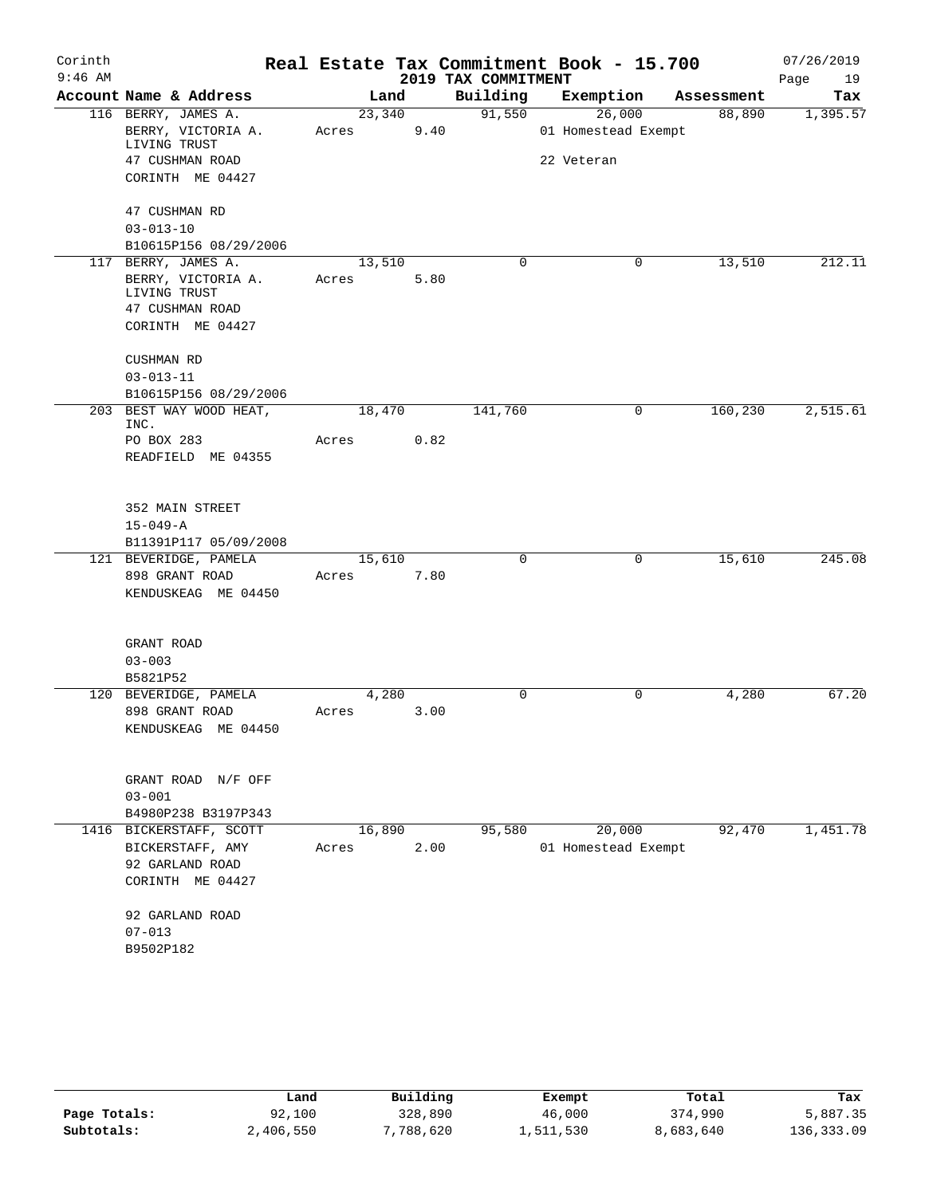| Corinth   |                                    |        |       |                     | Real Estate Tax Commitment Book - 15.700 |            | 07/26/2019 |
|-----------|------------------------------------|--------|-------|---------------------|------------------------------------------|------------|------------|
| $9:46$ AM |                                    |        |       | 2019 TAX COMMITMENT |                                          |            | Page<br>19 |
|           | Account Name & Address             |        | Land  | Building            | Exemption                                | Assessment | Tax        |
|           | 116 BERRY, JAMES A.                | 23,340 |       | 91,550              | 26,000                                   | 88,890     | 1,395.57   |
|           | BERRY, VICTORIA A.<br>LIVING TRUST | Acres  | 9.40  |                     | 01 Homestead Exempt                      |            |            |
|           | 47 CUSHMAN ROAD                    |        |       |                     | 22 Veteran                               |            |            |
|           | CORINTH ME 04427                   |        |       |                     |                                          |            |            |
|           | 47 CUSHMAN RD                      |        |       |                     |                                          |            |            |
|           | $03 - 013 - 10$                    |        |       |                     |                                          |            |            |
|           | B10615P156 08/29/2006              |        |       |                     |                                          |            |            |
|           | 117 BERRY, JAMES A.                | 13,510 |       | $\Omega$            | 0                                        | 13,510     | 212.11     |
|           | BERRY, VICTORIA A.<br>LIVING TRUST | Acres  | 5.80  |                     |                                          |            |            |
|           | 47 CUSHMAN ROAD                    |        |       |                     |                                          |            |            |
|           | CORINTH ME 04427                   |        |       |                     |                                          |            |            |
|           | CUSHMAN RD                         |        |       |                     |                                          |            |            |
|           | $03 - 013 - 11$                    |        |       |                     |                                          |            |            |
|           | B10615P156 08/29/2006              |        |       |                     |                                          |            |            |
|           | 203 BEST WAY WOOD HEAT,<br>INC.    | 18,470 |       | 141,760             | 0                                        | 160,230    | 2,515.61   |
|           | PO BOX 283                         | Acres  | 0.82  |                     |                                          |            |            |
|           | READFIELD ME 04355                 |        |       |                     |                                          |            |            |
|           | 352 MAIN STREET                    |        |       |                     |                                          |            |            |
|           | $15 - 049 - A$                     |        |       |                     |                                          |            |            |
|           | B11391P117 05/09/2008              |        |       |                     |                                          |            |            |
|           | 121 BEVERIDGE, PAMELA              | 15,610 |       | $\mathbf 0$         | 0                                        | 15,610     | 245.08     |
|           | 898 GRANT ROAD                     | Acres  | 7.80  |                     |                                          |            |            |
|           | KENDUSKEAG ME 04450                |        |       |                     |                                          |            |            |
|           | GRANT ROAD                         |        |       |                     |                                          |            |            |
|           | $03 - 003$                         |        |       |                     |                                          |            |            |
|           | B5821P52                           |        |       |                     |                                          |            |            |
|           | 120 BEVERIDGE, PAMELA              |        | 4,280 | 0                   | $\mathbf 0$                              | 4,280      | 67.20      |
|           | 898 GRANT ROAD                     | Acres  | 3.00  |                     |                                          |            |            |
|           | KENDUSKEAG ME 04450                |        |       |                     |                                          |            |            |
|           | GRANT ROAD N/F OFF                 |        |       |                     |                                          |            |            |
|           | $03 - 001$                         |        |       |                     |                                          |            |            |
|           | B4980P238 B3197P343                |        |       |                     |                                          |            |            |
|           | 1416 BICKERSTAFF, SCOTT            | 16,890 |       | 95,580              | 20,000                                   | 92,470     | 1,451.78   |
|           | BICKERSTAFF, AMY                   | Acres  | 2.00  |                     | 01 Homestead Exempt                      |            |            |
|           | 92 GARLAND ROAD                    |        |       |                     |                                          |            |            |
|           | CORINTH ME 04427                   |        |       |                     |                                          |            |            |
|           | 92 GARLAND ROAD                    |        |       |                     |                                          |            |            |
|           | $07 - 013$                         |        |       |                     |                                          |            |            |
|           | B9502P182                          |        |       |                     |                                          |            |            |
|           |                                    |        |       |                     |                                          |            |            |

|              | Land      | Building  | Exempt    | Total     | Tax        |
|--------------|-----------|-----------|-----------|-----------|------------|
| Page Totals: | 92,100    | 328,890   | 46,000    | 374,990   | 5,887.35   |
| Subtotals:   | 2,406,550 | 7,788,620 | 1,511,530 | 8,683,640 | 136,333.09 |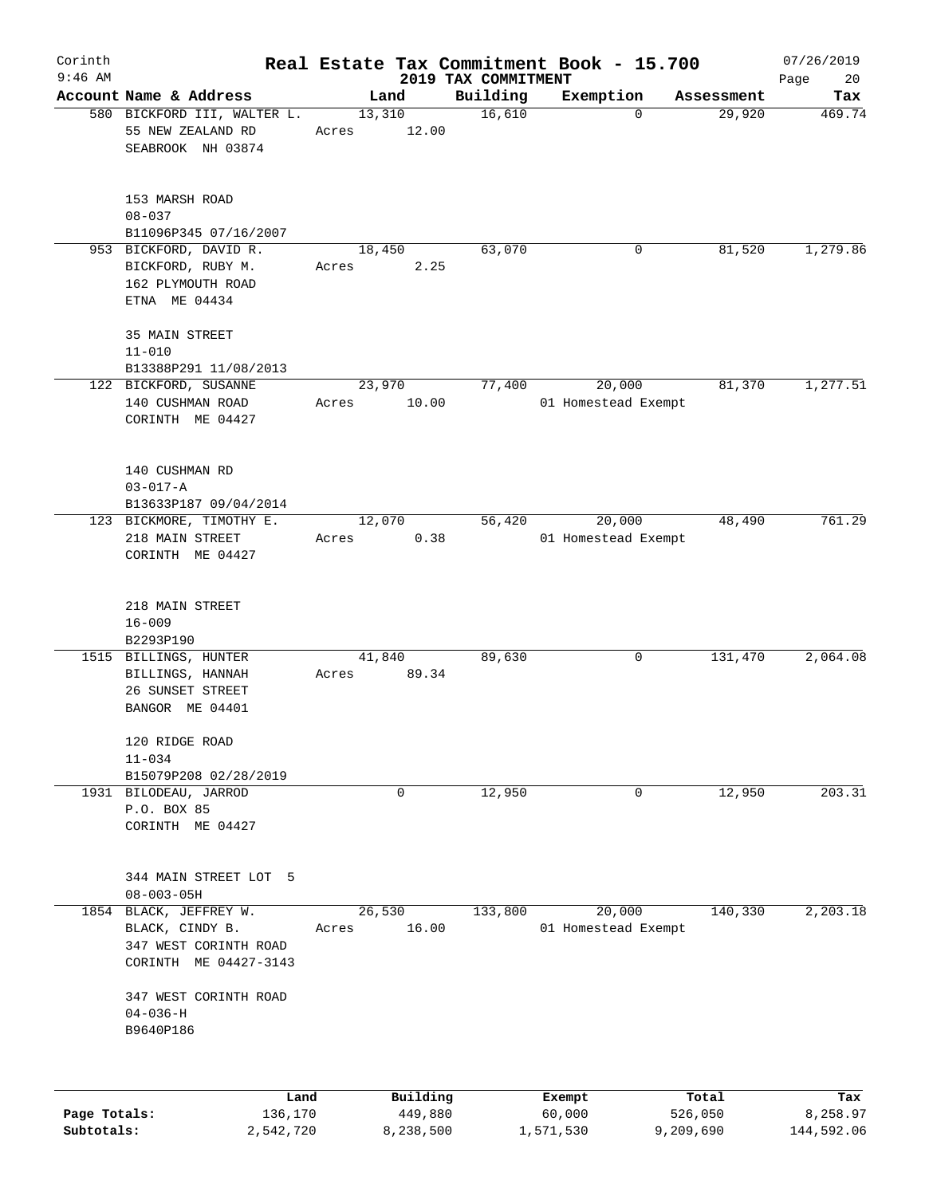| Corinth                    |                                                                                             |       |                                  |                     | Real Estate Tax Commitment Book - 15.700 |                               | 07/26/2019                    |
|----------------------------|---------------------------------------------------------------------------------------------|-------|----------------------------------|---------------------|------------------------------------------|-------------------------------|-------------------------------|
| $9:46$ AM                  | Account Name & Address                                                                      |       |                                  | 2019 TAX COMMITMENT |                                          |                               | Page<br>20                    |
|                            | 580 BICKFORD III, WALTER L.<br>55 NEW ZEALAND RD<br>SEABROOK NH 03874                       | Acres | Land<br>13,310<br>12.00          | Building<br>16,610  | Exemption<br>$\Omega$                    | Assessment<br>29,920          | Tax<br>469.74                 |
|                            | 153 MARSH ROAD<br>$08 - 037$<br>B11096P345 07/16/2007                                       |       |                                  |                     |                                          |                               |                               |
|                            | 953 BICKFORD, DAVID R.<br>BICKFORD, RUBY M.<br>162 PLYMOUTH ROAD<br>ETNA ME 04434           | Acres | 18,450<br>2.25                   | 63,070              | 0                                        | 81,520                        | 1,279.86                      |
|                            | 35 MAIN STREET<br>$11 - 010$<br>B13388P291 11/08/2013                                       |       |                                  | 77,400              |                                          |                               |                               |
|                            | 122 BICKFORD, SUSANNE<br>140 CUSHMAN ROAD<br>CORINTH ME 04427                               | Acres | 23,970<br>10.00                  |                     | 20,000<br>01 Homestead Exempt            | 81,370                        | 1,277.51                      |
|                            | 140 CUSHMAN RD<br>$03 - 017 - A$<br>B13633P187 09/04/2014                                   |       |                                  |                     |                                          |                               |                               |
|                            | 123 BICKMORE, TIMOTHY E.<br>218 MAIN STREET<br>CORINTH ME 04427                             | Acres | 12,070<br>0.38                   | 56,420              | 20,000<br>01 Homestead Exempt            | 48,490                        | 761.29                        |
|                            | 218 MAIN STREET<br>$16 - 009$<br>B2293P190                                                  |       |                                  |                     |                                          |                               |                               |
|                            | 1515 BILLINGS, HUNTER<br>BILLINGS, HANNAH<br>26 SUNSET STREET<br>BANGOR ME 04401            | Acres | 41,840<br>89.34                  | 89,630              | 0                                        | 131,470                       | 2,064.08                      |
|                            | 120 RIDGE ROAD<br>$11 - 034$<br>B15079P208 02/28/2019                                       |       |                                  |                     |                                          |                               |                               |
|                            | 1931 BILODEAU, JARROD<br>P.O. BOX 85<br>CORINTH ME 04427                                    |       | 0                                | 12,950              | 0                                        | 12,950                        | 203.31                        |
|                            | 344 MAIN STREET LOT 5<br>$08 - 003 - 05H$                                                   |       |                                  |                     |                                          |                               |                               |
|                            | 1854 BLACK, JEFFREY W.<br>BLACK, CINDY B.<br>347 WEST CORINTH ROAD<br>CORINTH ME 04427-3143 | Acres | 26,530<br>16.00                  | 133,800             | 20,000<br>01 Homestead Exempt            | 140,330                       | 2,203.18                      |
|                            | 347 WEST CORINTH ROAD<br>$04 - 036 - H$<br>B9640P186                                        |       |                                  |                     |                                          |                               |                               |
|                            |                                                                                             |       |                                  |                     |                                          |                               |                               |
| Page Totals:<br>Subtotals: | Land<br>136,170<br>2,542,720                                                                |       | Building<br>449,880<br>8,238,500 |                     | Exempt<br>60,000<br>1,571,530            | Total<br>526,050<br>9,209,690 | Tax<br>8,258.97<br>144,592.06 |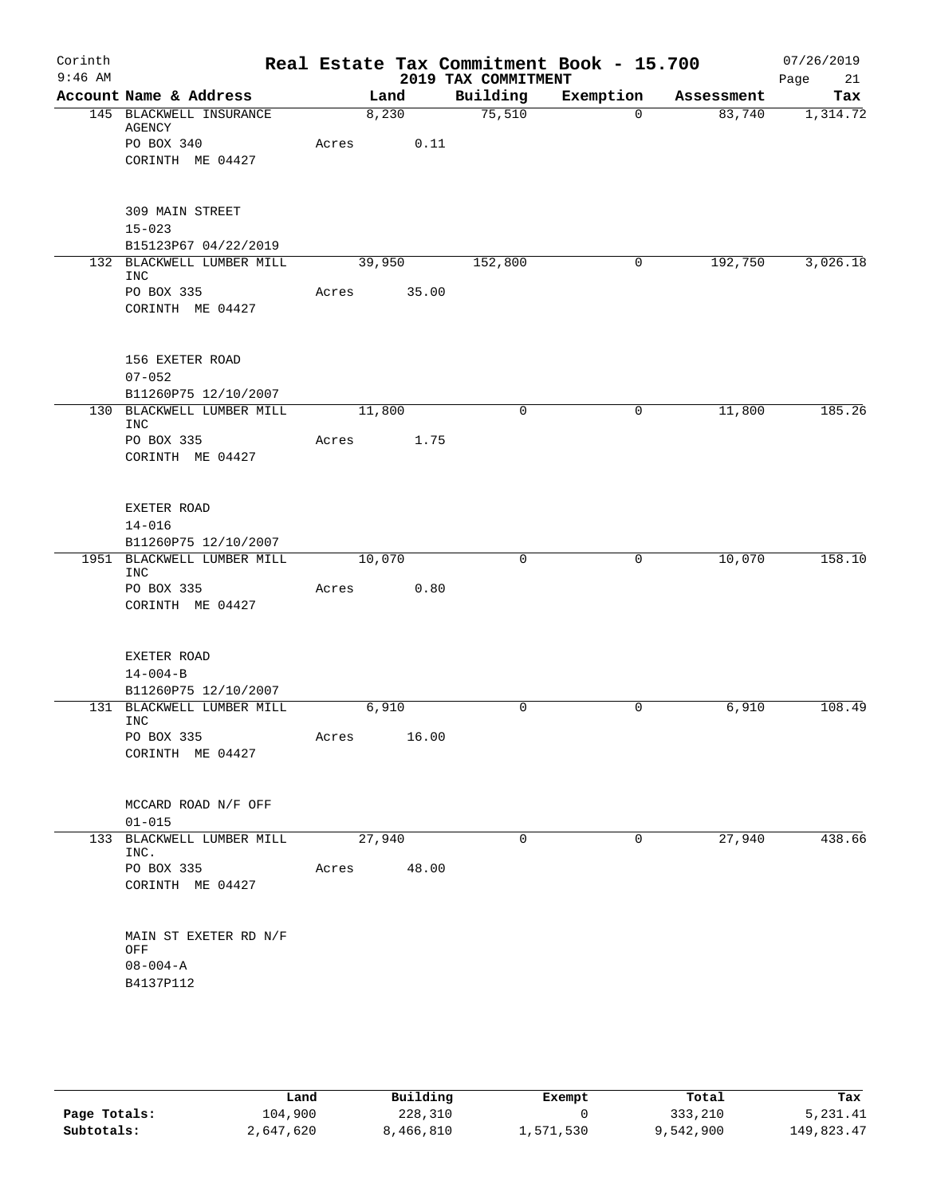| Corinth<br>$9:46$ AM |                                          |       |        |       | Real Estate Tax Commitment Book - 15.700<br>2019 TAX COMMITMENT |             |            | 07/26/2019<br>Page<br>21 |
|----------------------|------------------------------------------|-------|--------|-------|-----------------------------------------------------------------|-------------|------------|--------------------------|
|                      | Account Name & Address                   |       | Land   |       | Building                                                        | Exemption   | Assessment | Tax                      |
|                      | 145 BLACKWELL INSURANCE<br>AGENCY        |       | 8,230  |       | 75,510                                                          | $\mathbf 0$ | 83,740     | 1,314.72                 |
|                      | PO BOX 340                               | Acres |        | 0.11  |                                                                 |             |            |                          |
|                      | CORINTH ME 04427                         |       |        |       |                                                                 |             |            |                          |
|                      | 309 MAIN STREET                          |       |        |       |                                                                 |             |            |                          |
|                      | $15 - 023$                               |       |        |       |                                                                 |             |            |                          |
|                      | B15123P67 04/22/2019                     |       |        |       |                                                                 |             |            |                          |
|                      | 132 BLACKWELL LUMBER MILL<br><b>INC</b>  |       | 39,950 |       | 152,800                                                         | 0           | 192,750    | 3,026.18                 |
|                      | PO BOX 335                               | Acres |        | 35.00 |                                                                 |             |            |                          |
|                      | CORINTH ME 04427                         |       |        |       |                                                                 |             |            |                          |
|                      | 156 EXETER ROAD<br>$07 - 052$            |       |        |       |                                                                 |             |            |                          |
|                      | B11260P75 12/10/2007                     |       |        |       |                                                                 |             |            |                          |
|                      | 130 BLACKWELL LUMBER MILL<br><b>INC</b>  |       | 11,800 |       | $\mathbf 0$                                                     | 0           | 11,800     | 185.26                   |
|                      | PO BOX 335<br>CORINTH ME 04427           | Acres |        | 1.75  |                                                                 |             |            |                          |
|                      | EXETER ROAD                              |       |        |       |                                                                 |             |            |                          |
|                      | $14 - 016$<br>B11260P75 12/10/2007       |       |        |       |                                                                 |             |            |                          |
|                      | 1951 BLACKWELL LUMBER MILL<br><b>INC</b> |       | 10,070 |       | 0                                                               | 0           | 10,070     | 158.10                   |
|                      | PO BOX 335<br>CORINTH ME 04427           | Acres |        | 0.80  |                                                                 |             |            |                          |
|                      | EXETER ROAD                              |       |        |       |                                                                 |             |            |                          |
|                      | $14 - 004 - B$                           |       |        |       |                                                                 |             |            |                          |
|                      | B11260P75 12/10/2007                     |       |        |       |                                                                 |             |            |                          |
|                      | 131 BLACKWELL LUMBER MILL<br><b>INC</b>  |       | 6,910  |       | 0                                                               | 0           | 6,910      | 108.49                   |
|                      | PO BOX 335<br>CORINTH ME 04427           | Acres |        | 16.00 |                                                                 |             |            |                          |
|                      | MCCARD ROAD N/F OFF                      |       |        |       |                                                                 |             |            |                          |
|                      | $01 - 015$                               |       |        |       |                                                                 |             |            |                          |
|                      | 133 BLACKWELL LUMBER MILL<br>INC.        |       | 27,940 |       | $\mathbf 0$                                                     | 0           | 27,940     | 438.66                   |
|                      | PO BOX 335                               | Acres |        | 48.00 |                                                                 |             |            |                          |
|                      | CORINTH ME 04427                         |       |        |       |                                                                 |             |            |                          |
|                      | MAIN ST EXETER RD N/F                    |       |        |       |                                                                 |             |            |                          |
|                      | OFF<br>$08 - 004 - A$                    |       |        |       |                                                                 |             |            |                          |
|                      | B4137P112                                |       |        |       |                                                                 |             |            |                          |
|                      |                                          |       |        |       |                                                                 |             |            |                          |
|                      |                                          |       |        |       |                                                                 |             |            |                          |

|              | Land      | Building  | Exempt    | Total     | Tax        |
|--------------|-----------|-----------|-----------|-----------|------------|
| Page Totals: | 104,900   | 228,310   |           | 333,210   | 5,231.41   |
| Subtotals:   | 2,647,620 | 8,466,810 | 1,571,530 | 9,542,900 | 149,823.47 |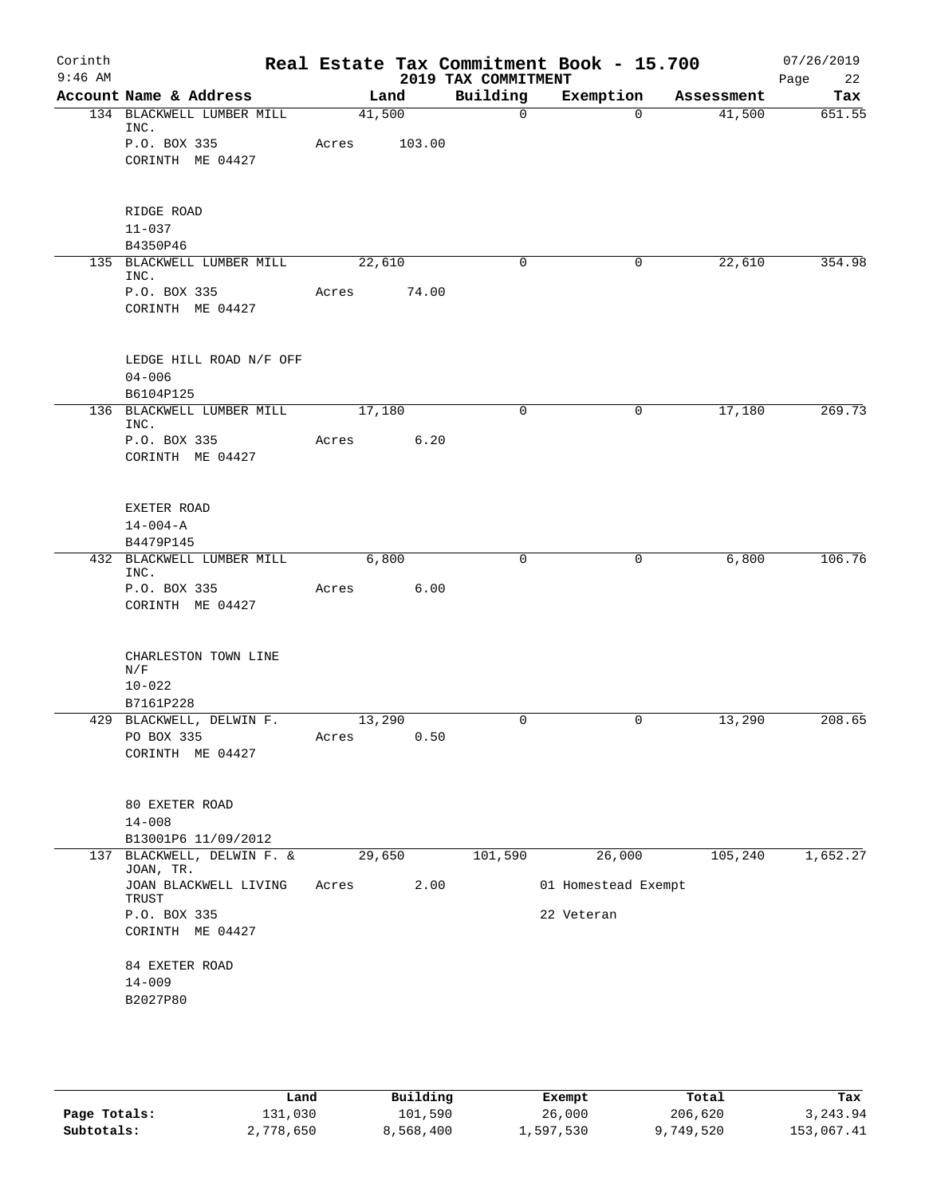| Corinth<br>$9:46$ AM |                                            |        |        | 2019 TAX COMMITMENT | Real Estate Tax Commitment Book - 15.700 |            | 07/26/2019<br>22<br>Page |
|----------------------|--------------------------------------------|--------|--------|---------------------|------------------------------------------|------------|--------------------------|
|                      | Account Name & Address                     |        | Land   | Building            | Exemption                                | Assessment | Tax                      |
|                      | 134 BLACKWELL LUMBER MILL<br>INC.          | 41,500 |        | $\mathbf 0$         | $\Omega$                                 | 41,500     | 651.55                   |
|                      | P.O. BOX 335<br>CORINTH ME 04427           | Acres  | 103.00 |                     |                                          |            |                          |
|                      | RIDGE ROAD<br>$11 - 037$<br>B4350P46       |        |        |                     |                                          |            |                          |
|                      | 135 BLACKWELL LUMBER MILL<br>INC.          | 22,610 |        | 0                   | $\mathbf{0}$                             | 22,610     | 354.98                   |
|                      | P.O. BOX 335<br>CORINTH ME 04427           | Acres  | 74.00  |                     |                                          |            |                          |
|                      | LEDGE HILL ROAD N/F OFF<br>$04 - 006$      |        |        |                     |                                          |            |                          |
|                      | B6104P125<br>136 BLACKWELL LUMBER MILL     | 17,180 |        | 0                   | 0                                        | 17,180     | 269.73                   |
|                      | INC.<br>P.O. BOX 335                       | Acres  | 6.20   |                     |                                          |            |                          |
|                      | CORINTH ME 04427                           |        |        |                     |                                          |            |                          |
|                      | EXETER ROAD<br>$14 - 004 - A$<br>B4479P145 |        |        |                     |                                          |            |                          |
|                      | 432 BLACKWELL LUMBER MILL                  |        | 6,800  | 0                   | 0                                        | 6,800      | 106.76                   |
|                      | INC.<br>P.O. BOX 335                       | Acres  | 6.00   |                     |                                          |            |                          |
|                      | CORINTH ME 04427                           |        |        |                     |                                          |            |                          |
|                      | CHARLESTON TOWN LINE<br>N/F<br>$10 - 022$  |        |        |                     |                                          |            |                          |
|                      | B7161P228<br>429 BLACKWELL, DELWIN F.      | 13,290 |        | 0                   | 0                                        | 13,290     | 208.65                   |
|                      | PO BOX 335<br>CORINTH ME 04427             | Acres  | 0.50   |                     |                                          |            |                          |
|                      | 80 EXETER ROAD<br>$14 - 008$               |        |        |                     |                                          |            |                          |
|                      | B13001P6 11/09/2012                        |        |        |                     |                                          |            |                          |
|                      | 137 BLACKWELL, DELWIN F. &<br>JOAN, TR.    | 29,650 |        | 101,590             | 26,000                                   | 105,240    | 1,652.27                 |
|                      | JOAN BLACKWELL LIVING<br>TRUST             | Acres  | 2.00   |                     | 01 Homestead Exempt                      |            |                          |
|                      | P.O. BOX 335<br>CORINTH ME 04427           |        |        |                     | 22 Veteran                               |            |                          |
|                      | 84 EXETER ROAD<br>$14 - 009$               |        |        |                     |                                          |            |                          |
|                      | B2027P80                                   |        |        |                     |                                          |            |                          |

|              | Land      | Building  | Exempt    | Total     | Tax        |
|--------------|-----------|-----------|-----------|-----------|------------|
| Page Totals: | 131,030   | 101,590   | 26,000    | 206,620   | 3,243.94   |
| Subtotals:   | 2,778,650 | 8,568,400 | 1,597,530 | 9,749,520 | 153,067.41 |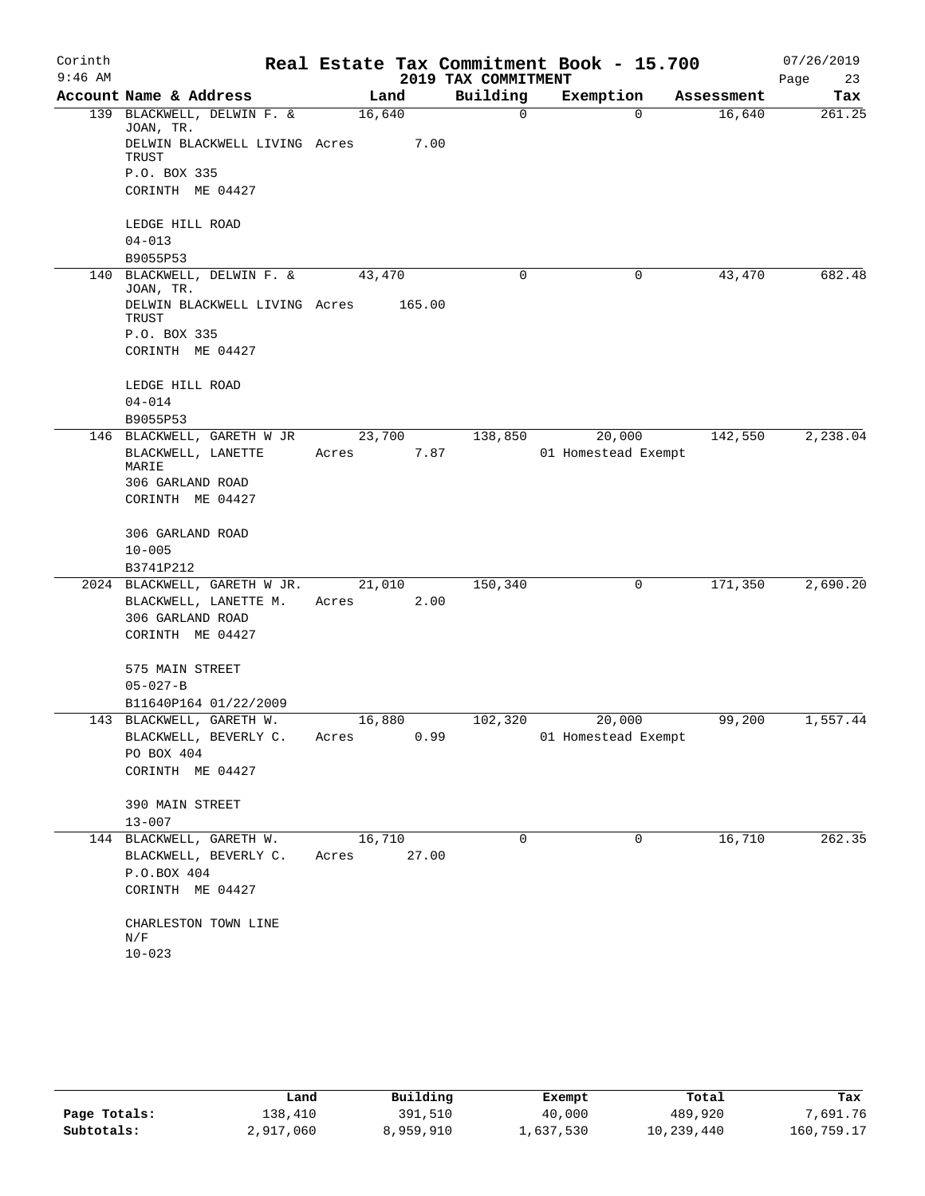| Corinth   |                                         |        |        |                     | Real Estate Tax Commitment Book - 15.700 |            | 07/26/2019 |
|-----------|-----------------------------------------|--------|--------|---------------------|------------------------------------------|------------|------------|
| $9:46$ AM |                                         |        |        | 2019 TAX COMMITMENT |                                          |            | Page<br>23 |
|           | Account Name & Address                  | Land   |        | Building            | Exemption                                | Assessment | Tax        |
|           | 139 BLACKWELL, DELWIN F. &<br>JOAN, TR. | 16,640 |        | 0                   | $\Omega$                                 | 16,640     | 261.25     |
|           | DELWIN BLACKWELL LIVING Acres<br>TRUST  |        | 7.00   |                     |                                          |            |            |
|           | P.O. BOX 335                            |        |        |                     |                                          |            |            |
|           | CORINTH ME 04427                        |        |        |                     |                                          |            |            |
|           | LEDGE HILL ROAD                         |        |        |                     |                                          |            |            |
|           | $04 - 013$                              |        |        |                     |                                          |            |            |
|           | B9055P53                                |        |        |                     |                                          |            |            |
|           | 140 BLACKWELL, DELWIN F. &<br>JOAN, TR. | 43,470 |        | 0                   | 0                                        | 43,470     | 682.48     |
|           | DELWIN BLACKWELL LIVING Acres<br>TRUST  |        | 165.00 |                     |                                          |            |            |
|           | P.O. BOX 335                            |        |        |                     |                                          |            |            |
|           | CORINTH ME 04427                        |        |        |                     |                                          |            |            |
|           | LEDGE HILL ROAD                         |        |        |                     |                                          |            |            |
|           | $04 - 014$                              |        |        |                     |                                          |            |            |
|           | B9055P53                                |        |        |                     |                                          |            |            |
|           | 146 BLACKWELL, GARETH W JR              | 23,700 |        | 138,850             | 20,000                                   | 142,550    | 2,238.04   |
|           | BLACKWELL, LANETTE<br>MARIE             | Acres  | 7.87   |                     | 01 Homestead Exempt                      |            |            |
|           | 306 GARLAND ROAD                        |        |        |                     |                                          |            |            |
|           | CORINTH ME 04427                        |        |        |                     |                                          |            |            |
|           | 306 GARLAND ROAD                        |        |        |                     |                                          |            |            |
|           | $10 - 005$                              |        |        |                     |                                          |            |            |
|           | B3741P212                               |        |        |                     |                                          |            |            |
|           | 2024 BLACKWELL, GARETH W JR.            | 21,010 |        | 150,340             | 0                                        | 171,350    | 2,690.20   |
|           | BLACKWELL, LANETTE M.                   | Acres  | 2.00   |                     |                                          |            |            |
|           | 306 GARLAND ROAD                        |        |        |                     |                                          |            |            |
|           | CORINTH ME 04427                        |        |        |                     |                                          |            |            |
|           | 575 MAIN STREET                         |        |        |                     |                                          |            |            |
|           | $05 - 027 - B$                          |        |        |                     |                                          |            |            |
|           | B11640P164 01/22/2009                   |        |        |                     |                                          |            |            |
|           | 143 BLACKWELL, GARETH W.                | 16,880 |        | 102,320             | 20,000                                   | 99,200     | 1,557.44   |
|           | BLACKWELL, BEVERLY C.                   | Acres  | 0.99   |                     | 01 Homestead Exempt                      |            |            |
|           | PO BOX 404                              |        |        |                     |                                          |            |            |
|           | CORINTH ME 04427                        |        |        |                     |                                          |            |            |
|           | 390 MAIN STREET                         |        |        |                     |                                          |            |            |
|           | $13 - 007$                              |        |        |                     |                                          |            |            |
|           | 144 BLACKWELL, GARETH W.                | 16,710 |        | 0                   | 0                                        | 16,710     | 262.35     |
|           | BLACKWELL, BEVERLY C.<br>P.O.BOX 404    | Acres  | 27.00  |                     |                                          |            |            |
|           | CORINTH ME 04427                        |        |        |                     |                                          |            |            |
|           |                                         |        |        |                     |                                          |            |            |
|           | CHARLESTON TOWN LINE<br>N/F             |        |        |                     |                                          |            |            |
|           | $10 - 023$                              |        |        |                     |                                          |            |            |
|           |                                         |        |        |                     |                                          |            |            |

|              | Land      | Building  | Exempt    | Total      | Tax        |
|--------------|-----------|-----------|-----------|------------|------------|
| Page Totals: | 138,410   | 391,510   | 40,000    | 489,920    | 7,691.76   |
| Subtotals:   | 2,917,060 | 8,959,910 | ⊥,637,530 | 10,239,440 | 160,759.17 |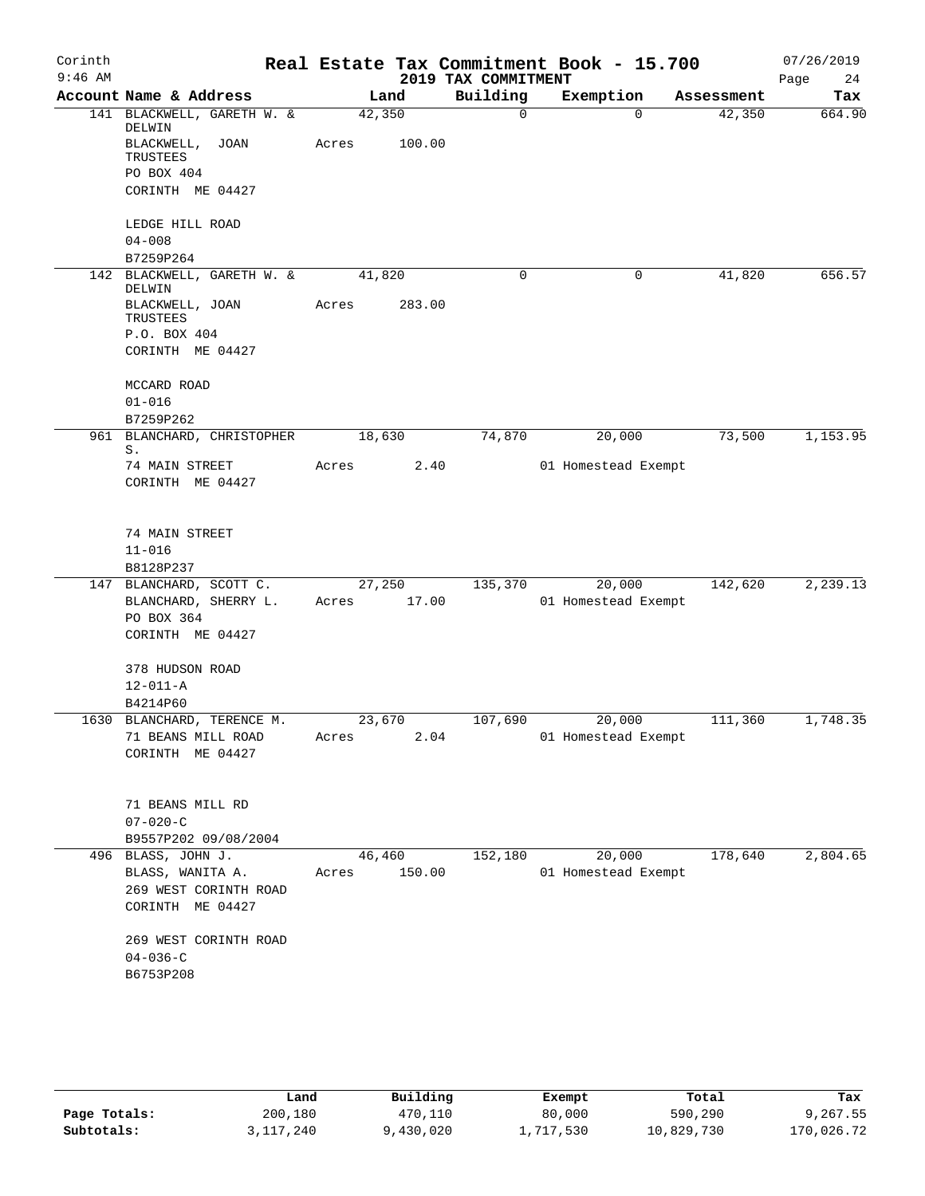| Corinth<br>$9:46$ AM |                                        |                 |        | 2019 TAX COMMITMENT | Real Estate Tax Commitment Book - 15.700 |            | 07/26/2019<br>Page<br>24 |
|----------------------|----------------------------------------|-----------------|--------|---------------------|------------------------------------------|------------|--------------------------|
|                      | Account Name & Address                 | Land            |        | Building            | Exemption                                | Assessment | Tax                      |
|                      | 141 BLACKWELL, GARETH W. &<br>DELWIN   | 42,350          |        | 0                   | $\Omega$                                 | 42,350     | 664.90                   |
|                      | BLACKWELL, JOAN<br>TRUSTEES            | Acres           | 100.00 |                     |                                          |            |                          |
|                      | PO BOX 404                             |                 |        |                     |                                          |            |                          |
|                      | CORINTH ME 04427                       |                 |        |                     |                                          |            |                          |
|                      | LEDGE HILL ROAD<br>$04 - 008$          |                 |        |                     |                                          |            |                          |
|                      | B7259P264                              |                 |        |                     |                                          |            |                          |
| 142                  | BLACKWELL, GARETH W. &                 | 41,820          |        | 0                   | 0                                        | 41,820     | 656.57                   |
|                      | DELWIN<br>BLACKWELL, JOAN<br>TRUSTEES  | Acres           | 283.00 |                     |                                          |            |                          |
|                      | P.O. BOX 404                           |                 |        |                     |                                          |            |                          |
|                      | CORINTH ME 04427                       |                 |        |                     |                                          |            |                          |
|                      | MCCARD ROAD                            |                 |        |                     |                                          |            |                          |
|                      | $01 - 016$                             |                 |        |                     |                                          |            |                          |
| 961                  | B7259P262<br>BLANCHARD, CHRISTOPHER    | 18,630          |        | 74,870              | 20,000                                   | 73,500     | 1,153.95                 |
|                      | S.                                     |                 |        |                     |                                          |            |                          |
|                      | 74 MAIN STREET                         | Acres           | 2.40   |                     | 01 Homestead Exempt                      |            |                          |
|                      | CORINTH ME 04427                       |                 |        |                     |                                          |            |                          |
|                      | 74 MAIN STREET                         |                 |        |                     |                                          |            |                          |
|                      | $11 - 016$                             |                 |        |                     |                                          |            |                          |
|                      | B8128P237                              |                 |        |                     |                                          |            |                          |
|                      | 147 BLANCHARD, SCOTT C.                | 27,250          |        | 135,370             | 20,000                                   | 142,620    | 2,239.13                 |
|                      | BLANCHARD, SHERRY L.<br>PO BOX 364     | Acres           | 17.00  |                     | 01 Homestead Exempt                      |            |                          |
|                      | CORINTH ME 04427                       |                 |        |                     |                                          |            |                          |
|                      | 378 HUDSON ROAD                        |                 |        |                     |                                          |            |                          |
|                      | $12 - 011 - A$<br>B4214P60             |                 |        |                     |                                          |            |                          |
|                      | 1630 BLANCHARD, TERENCE M.             | 23,670          |        | 107,690             | 20,000                                   | 111,360    | 1,748.35                 |
|                      | 71 BEANS MILL ROAD                     | Acres           | 2.04   |                     | 01 Homestead Exempt                      |            |                          |
|                      | CORINTH ME 04427                       |                 |        |                     |                                          |            |                          |
|                      | 71 BEANS MILL RD                       |                 |        |                     |                                          |            |                          |
|                      | $07 - 020 - C$                         |                 |        |                     |                                          |            |                          |
|                      | B9557P202 09/08/2004                   |                 |        |                     |                                          |            |                          |
|                      | 496 BLASS, JOHN J.<br>BLASS, WANITA A. | 46,460<br>Acres | 150.00 | 152,180             | 20,000<br>01 Homestead Exempt            | 178,640    | 2,804.65                 |
|                      | 269 WEST CORINTH ROAD                  |                 |        |                     |                                          |            |                          |
|                      | CORINTH ME 04427                       |                 |        |                     |                                          |            |                          |
|                      | 269 WEST CORINTH ROAD                  |                 |        |                     |                                          |            |                          |
|                      | $04 - 036 - C$                         |                 |        |                     |                                          |            |                          |
|                      | B6753P208                              |                 |        |                     |                                          |            |                          |
|                      |                                        |                 |        |                     |                                          |            |                          |
|                      |                                        |                 |        |                     |                                          |            |                          |
|                      |                                        |                 |        |                     |                                          |            |                          |

|              | Land      | Building  | Exempt    | Total      | Tax        |
|--------------|-----------|-----------|-----------|------------|------------|
| Page Totals: | 200,180   | 470,110   | 80,000    | 590,290    | 9,267.55   |
| Subtotals:   | 3,117,240 | 9,430,020 | 1,717,530 | 10,829,730 | 170,026.72 |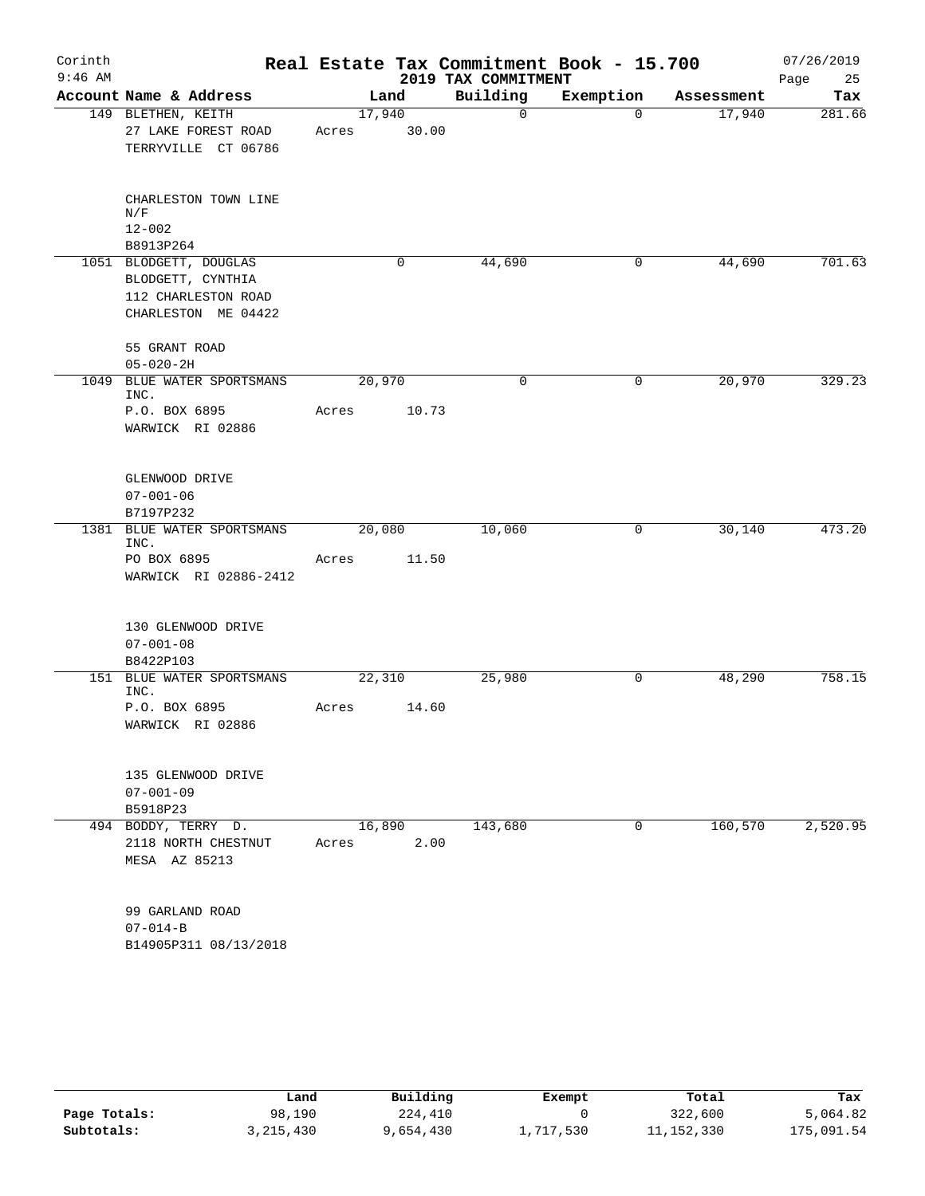| Corinth<br>$9:46$ AM |                                                                                           |                 |       | 2019 TAX COMMITMENT | Real Estate Tax Commitment Book - 15.700 |            | 07/26/2019<br>Page<br>25 |
|----------------------|-------------------------------------------------------------------------------------------|-----------------|-------|---------------------|------------------------------------------|------------|--------------------------|
|                      | Account Name & Address                                                                    |                 | Land  | Building            | Exemption                                | Assessment | Tax                      |
|                      | 149 BLETHEN, KEITH<br>27 LAKE FOREST ROAD<br>TERRYVILLE CT 06786                          | 17,940<br>Acres | 30.00 | 0                   | $\mathbf 0$                              | 17,940     | 281.66                   |
|                      | CHARLESTON TOWN LINE<br>N/F<br>$12 - 002$<br>B8913P264                                    |                 |       |                     |                                          |            |                          |
|                      | 1051 BLODGETT, DOUGLAS<br>BLODGETT, CYNTHIA<br>112 CHARLESTON ROAD<br>CHARLESTON ME 04422 |                 | 0     | 44,690              | 0                                        | 44,690     | 701.63                   |
|                      | 55 GRANT ROAD<br>$05 - 020 - 2H$                                                          |                 |       |                     |                                          |            |                          |
| 1049                 | BLUE WATER SPORTSMANS<br>INC.                                                             | 20,970          |       | 0                   | 0                                        | 20,970     | 329.23                   |
|                      | P.O. BOX 6895<br>WARWICK RI 02886                                                         | Acres           | 10.73 |                     |                                          |            |                          |
|                      | GLENWOOD DRIVE<br>$07 - 001 - 06$<br>B7197P232                                            |                 |       |                     |                                          |            |                          |
| 1381                 | BLUE WATER SPORTSMANS<br>INC.                                                             | 20,080          |       | 10,060              | 0                                        | 30,140     | 473.20                   |
|                      | PO BOX 6895<br>WARWICK RI 02886-2412                                                      | Acres           | 11.50 |                     |                                          |            |                          |
|                      | 130 GLENWOOD DRIVE<br>$07 - 001 - 08$<br>B8422P103                                        |                 |       |                     |                                          |            |                          |
|                      | 151 BLUE WATER SPORTSMANS                                                                 | 22,310          |       | 25,980              | 0                                        | 48,290     | 758.15                   |
|                      | INC.<br>P.O. BOX 6895<br>WARWICK RI 02886                                                 | Acres           | 14.60 |                     |                                          |            |                          |
|                      | 135 GLENWOOD DRIVE<br>$07 - 001 - 09$<br>B5918P23                                         |                 |       |                     |                                          |            |                          |
|                      | 494 BODDY, TERRY D.<br>2118 NORTH CHESTNUT<br>MESA AZ 85213                               | 16,890<br>Acres | 2.00  | 143,680             | 0                                        | 160,570    | 2,520.95                 |
|                      | 99 GARLAND ROAD<br>$07 - 014 - B$<br>B14905P311 08/13/2018                                |                 |       |                     |                                          |            |                          |

|              | Land      | Building  | Exempt    | Total        | Tax        |
|--------------|-----------|-----------|-----------|--------------|------------|
| Page Totals: | 98,190    | 224,410   |           | 322,600      | 5,064.82   |
| Subtotals:   | 3,215,430 | 9,654,430 | ⊥,717,530 | 11, 152, 330 | 175,091.54 |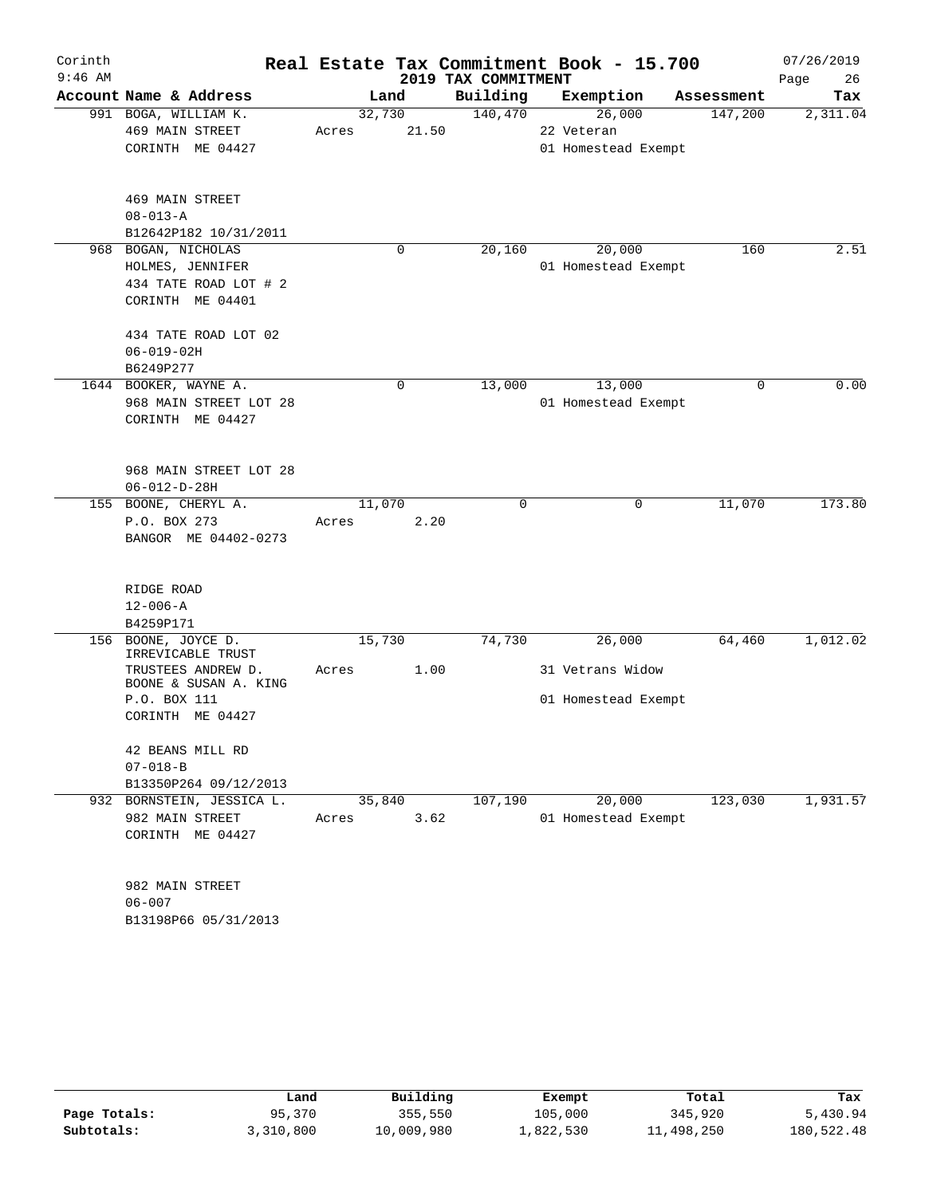| Corinth   |                                             |        |       |                     | Real Estate Tax Commitment Book - 15.700 |            | 07/26/2019 |
|-----------|---------------------------------------------|--------|-------|---------------------|------------------------------------------|------------|------------|
| $9:46$ AM |                                             |        |       | 2019 TAX COMMITMENT |                                          |            | Page<br>26 |
|           | Account Name & Address                      |        | Land  | Building            | Exemption                                | Assessment | Tax        |
|           | 991 BOGA, WILLIAM K.                        | 32,730 |       | 140,470             | 26,000                                   | 147,200    | 2,311.04   |
|           | 469 MAIN STREET                             | Acres  | 21.50 |                     | 22 Veteran                               |            |            |
|           | CORINTH ME 04427                            |        |       |                     | 01 Homestead Exempt                      |            |            |
|           | 469 MAIN STREET                             |        |       |                     |                                          |            |            |
|           | $08 - 013 - A$                              |        |       |                     |                                          |            |            |
|           | B12642P182 10/31/2011                       |        |       |                     |                                          |            |            |
| 968       | BOGAN, NICHOLAS                             |        | 0     | 20,160              | 20,000                                   | 160        | 2.51       |
|           | HOLMES, JENNIFER                            |        |       |                     | 01 Homestead Exempt                      |            |            |
|           | 434 TATE ROAD LOT # 2                       |        |       |                     |                                          |            |            |
|           | CORINTH ME 04401                            |        |       |                     |                                          |            |            |
|           | 434 TATE ROAD LOT 02                        |        |       |                     |                                          |            |            |
|           | $06 - 019 - 02H$                            |        |       |                     |                                          |            |            |
|           | B6249P277                                   |        |       |                     |                                          |            |            |
|           | 1644 BOOKER, WAYNE A.                       |        | 0     | 13,000              | 13,000                                   | 0          | 0.00       |
|           | 968 MAIN STREET LOT 28                      |        |       |                     | 01 Homestead Exempt                      |            |            |
|           | CORINTH ME 04427                            |        |       |                     |                                          |            |            |
|           |                                             |        |       |                     |                                          |            |            |
|           | 968 MAIN STREET LOT 28                      |        |       |                     |                                          |            |            |
| 155       | $06 - 012 - D - 28H$<br>BOONE, CHERYL A.    | 11,070 |       | 0                   | 0                                        | 11,070     | 173.80     |
|           | P.O. BOX 273                                | Acres  | 2.20  |                     |                                          |            |            |
|           | BANGOR ME 04402-0273                        |        |       |                     |                                          |            |            |
|           |                                             |        |       |                     |                                          |            |            |
|           | RIDGE ROAD                                  |        |       |                     |                                          |            |            |
|           | $12 - 006 - A$                              |        |       |                     |                                          |            |            |
|           | B4259P171                                   |        |       |                     |                                          |            |            |
| 156       | BOONE, JOYCE D.<br>IRREVICABLE TRUST        | 15,730 |       | 74,730              | 26,000                                   | 64,460     | 1,012.02   |
|           | TRUSTEES ANDREW D.<br>BOONE & SUSAN A. KING | Acres  | 1.00  |                     | 31 Vetrans Widow                         |            |            |
|           | P.O. BOX 111                                |        |       |                     | 01 Homestead Exempt                      |            |            |
|           | CORINTH ME 04427                            |        |       |                     |                                          |            |            |
|           | 42 BEANS MILL RD                            |        |       |                     |                                          |            |            |
|           | $07 - 018 - B$                              |        |       |                     |                                          |            |            |
|           | B13350P264 09/12/2013                       |        |       |                     |                                          |            |            |
|           | 932 BORNSTEIN, JESSICA L.                   | 35,840 |       | 107, 190            | 20,000                                   | 123,030    | 1,931.57   |
|           | 982 MAIN STREET                             | Acres  | 3.62  |                     | 01 Homestead Exempt                      |            |            |
|           | CORINTH ME 04427                            |        |       |                     |                                          |            |            |
|           | 982 MAIN STREET                             |        |       |                     |                                          |            |            |
|           | $06 - 007$                                  |        |       |                     |                                          |            |            |
|           | B13198P66 05/31/2013                        |        |       |                     |                                          |            |            |

|              | Land      | Building   | Exempt    | Total      | Tax        |
|--------------|-----------|------------|-----------|------------|------------|
| Page Totals: | 95,370    | 355,550    | 105,000   | 345,920    | 5,430.94   |
| Subtotals:   | 3,310,800 | 10,009,980 | ⊥,822,530 | 11,498,250 | 180,522.48 |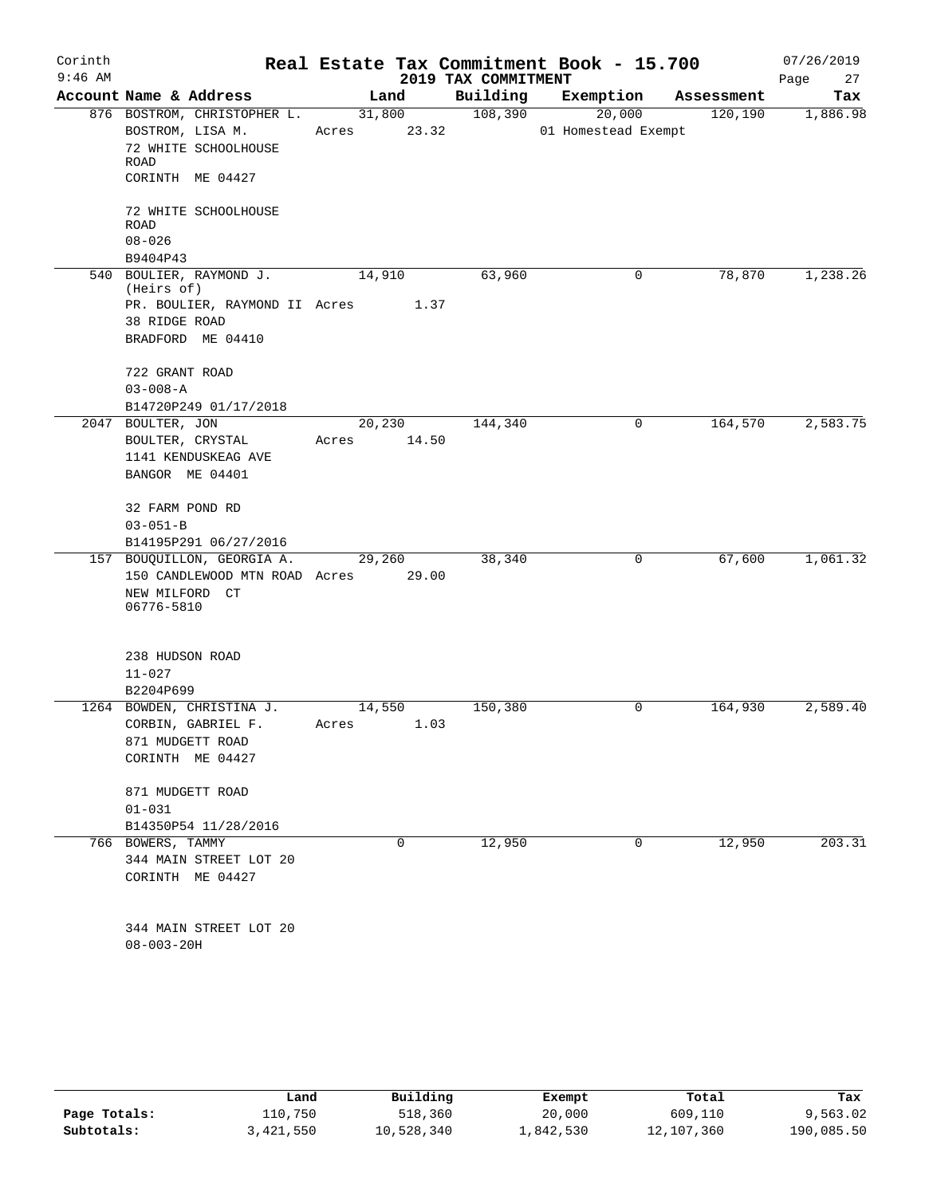| Corinth<br>$9:46$ AM |                                     |             |        | 2019 TAX COMMITMENT | Real Estate Tax Commitment Book - 15.700 |            | 07/26/2019<br>Page<br>27 |
|----------------------|-------------------------------------|-------------|--------|---------------------|------------------------------------------|------------|--------------------------|
|                      | Account Name & Address              |             | Land   | Building            | Exemption                                | Assessment | Tax                      |
|                      | 876 BOSTROM, CHRISTOPHER L.         |             | 31,800 | 108,390             | 20,000                                   | 120, 190   | 1,886.98                 |
|                      | BOSTROM, LISA M.                    | Acres 23.32 |        |                     | 01 Homestead Exempt                      |            |                          |
|                      | 72 WHITE SCHOOLHOUSE<br>ROAD        |             |        |                     |                                          |            |                          |
|                      | CORINTH ME 04427                    |             |        |                     |                                          |            |                          |
|                      | 72 WHITE SCHOOLHOUSE                |             |        |                     |                                          |            |                          |
|                      | <b>ROAD</b>                         |             |        |                     |                                          |            |                          |
|                      | $08 - 026$                          |             |        |                     |                                          |            |                          |
|                      | B9404P43                            |             |        |                     |                                          |            |                          |
|                      | 540 BOULIER, RAYMOND J.             | 14,910      |        | 63,960              | 0                                        | 78,870     | 1,238.26                 |
|                      | (Heirs of)                          |             |        |                     |                                          |            |                          |
|                      | PR. BOULIER, RAYMOND II Acres 1.37  |             |        |                     |                                          |            |                          |
|                      | 38 RIDGE ROAD                       |             |        |                     |                                          |            |                          |
|                      | BRADFORD ME 04410                   |             |        |                     |                                          |            |                          |
|                      | 722 GRANT ROAD                      |             |        |                     |                                          |            |                          |
|                      | $03 - 008 - A$                      |             |        |                     |                                          |            |                          |
|                      | B14720P249 01/17/2018               |             |        |                     |                                          |            |                          |
|                      | 2047 BOULTER, JON                   | 20,230      |        | 144,340             | $\mathbf 0$                              | 164,570    | 2,583.75                 |
|                      | BOULTER, CRYSTAL                    | Acres 14.50 |        |                     |                                          |            |                          |
|                      | 1141 KENDUSKEAG AVE                 |             |        |                     |                                          |            |                          |
|                      | BANGOR ME 04401                     |             |        |                     |                                          |            |                          |
|                      | 32 FARM POND RD                     |             |        |                     |                                          |            |                          |
|                      | $03 - 051 - B$                      |             |        |                     |                                          |            |                          |
|                      | B14195P291 06/27/2016               |             |        |                     |                                          |            |                          |
|                      | 157 BOUQUILLON, GEORGIA A.          | 29,260      |        | 38,340              | 0                                        | 67,600     | 1,061.32                 |
|                      | 150 CANDLEWOOD MTN ROAD Acres 29.00 |             |        |                     |                                          |            |                          |
|                      | NEW MILFORD CT<br>06776-5810        |             |        |                     |                                          |            |                          |
|                      |                                     |             |        |                     |                                          |            |                          |
|                      | 238 HUDSON ROAD                     |             |        |                     |                                          |            |                          |
|                      | $11 - 027$                          |             |        |                     |                                          |            |                          |
|                      | B2204P699                           |             |        |                     |                                          |            |                          |
|                      | 1264 BOWDEN, CHRISTINA J.           | 14,550      |        | 150,380             | 0                                        | 164,930    | 2,589.40                 |
|                      | CORBIN, GABRIEL F.                  | Acres 1.03  |        |                     |                                          |            |                          |
|                      | 871 MUDGETT ROAD                    |             |        |                     |                                          |            |                          |
|                      | CORINTH ME 04427                    |             |        |                     |                                          |            |                          |
|                      | 871 MUDGETT ROAD                    |             |        |                     |                                          |            |                          |
|                      | $01 - 031$                          |             |        |                     |                                          |            |                          |
|                      | B14350P54 11/28/2016                |             |        |                     |                                          |            |                          |
|                      | 766 BOWERS, TAMMY                   |             | 0      | 12,950              | 0                                        | 12,950     | 203.31                   |
|                      | 344 MAIN STREET LOT 20              |             |        |                     |                                          |            |                          |
|                      | CORINTH ME 04427                    |             |        |                     |                                          |            |                          |
|                      |                                     |             |        |                     |                                          |            |                          |
|                      | 344 MAIN STREET LOT 20              |             |        |                     |                                          |            |                          |
|                      | $08 - 003 - 20H$                    |             |        |                     |                                          |            |                          |
|                      |                                     |             |        |                     |                                          |            |                          |

|              | Land      | Building   | Exempt    | Total      | Tax        |
|--------------|-----------|------------|-----------|------------|------------|
| Page Totals: | 110,750   | 518,360    | 20,000    | 609,110    | 9,563.02   |
| Subtotals:   | 3,421,550 | 10,528,340 | 1,842,530 | 12,107,360 | 190,085.50 |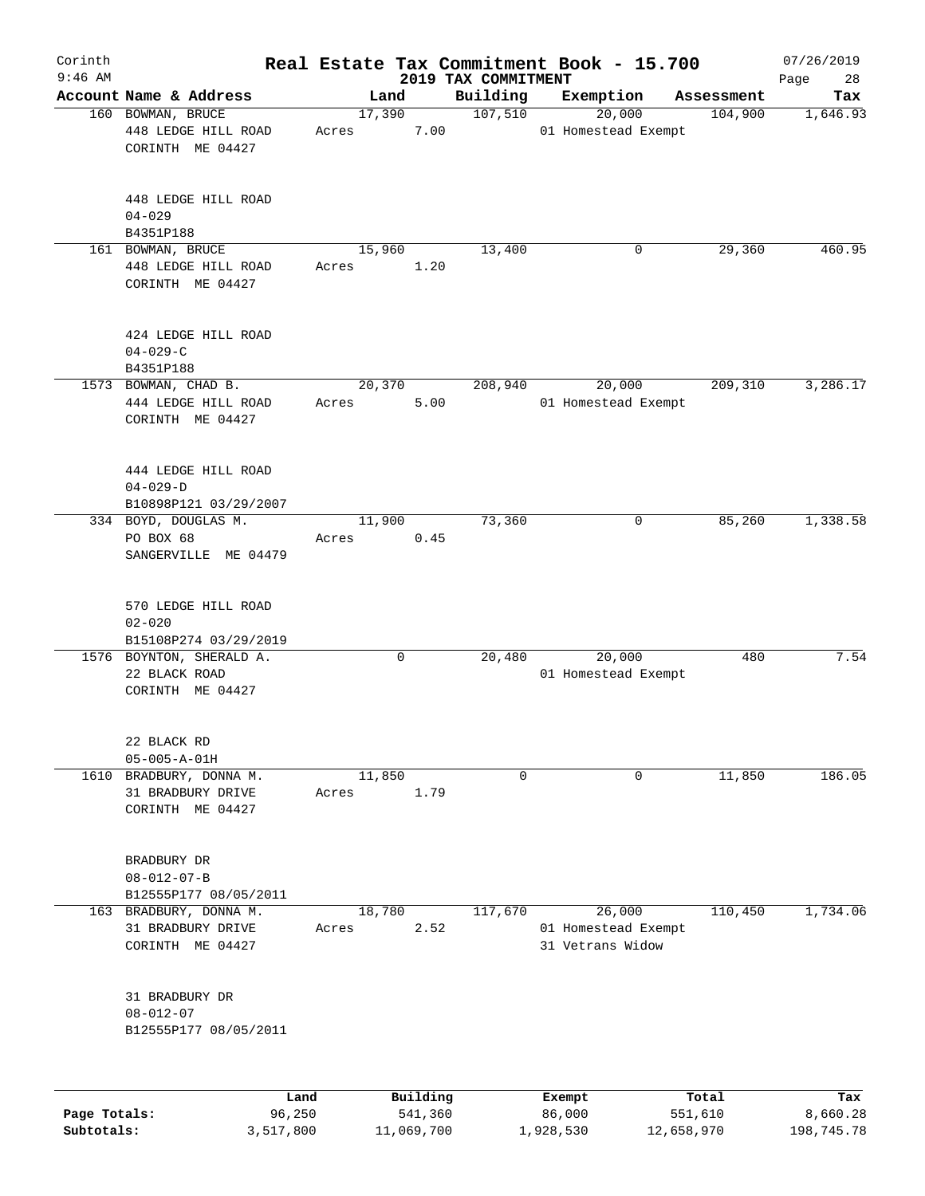| Corinth<br>$9:46$ AM |                                                                 |       |                     | 2019 TAX COMMITMENT | Real Estate Tax Commitment Book - 15.700          |                  | 07/26/2019<br>Page<br>28 |
|----------------------|-----------------------------------------------------------------|-------|---------------------|---------------------|---------------------------------------------------|------------------|--------------------------|
|                      | Account Name & Address                                          |       | Land                | Building            | Exemption                                         | Assessment       | Tax                      |
|                      | 160 BOWMAN, BRUCE<br>448 LEDGE HILL ROAD<br>CORINTH ME 04427    | Acres | 17,390<br>7.00      | 107,510             | 20,000<br>01 Homestead Exempt                     | 104,900          | 1,646.93                 |
|                      | 448 LEDGE HILL ROAD<br>$04 - 029$<br>B4351P188                  |       |                     |                     |                                                   |                  |                          |
|                      | 161 BOWMAN, BRUCE<br>448 LEDGE HILL ROAD<br>CORINTH ME 04427    | Acres | 15,960<br>1.20      | 13,400              | 0                                                 | 29,360           | 460.95                   |
|                      | 424 LEDGE HILL ROAD<br>$04 - 029 - C$<br>B4351P188              |       |                     |                     |                                                   |                  |                          |
|                      | 1573 BOWMAN, CHAD B.<br>444 LEDGE HILL ROAD<br>CORINTH ME 04427 | Acres | 20,370<br>5.00      | 208,940             | 20,000<br>01 Homestead Exempt                     | 209,310          | 3,286.17                 |
|                      | 444 LEDGE HILL ROAD<br>$04 - 029 - D$<br>B10898P121 03/29/2007  |       |                     |                     |                                                   |                  |                          |
|                      | 334 BOYD, DOUGLAS M.<br>PO BOX 68<br>SANGERVILLE ME 04479       | Acres | 11,900<br>0.45      | 73,360              | 0                                                 | 85,260           | 1,338.58                 |
|                      | 570 LEDGE HILL ROAD<br>$02 - 020$<br>B15108P274 03/29/2019      |       |                     |                     |                                                   |                  |                          |
|                      | 1576 BOYNTON, SHERALD A.<br>22 BLACK ROAD<br>CORINTH ME 04427   |       | 0                   | 20,480              | 20,000<br>01 Homestead Exempt                     | 480              | 7.54                     |
| 1610                 | 22 BLACK RD<br>$05 - 005 - A - 01H$<br>BRADBURY, DONNA M.       |       | 11,850              | 0                   | 0                                                 | 11,850           | 186.05                   |
|                      | 31 BRADBURY DRIVE<br>CORINTH ME 04427                           | Acres | 1.79                |                     |                                                   |                  |                          |
|                      | BRADBURY DR<br>$08 - 012 - 07 - B$<br>B12555P177 08/05/2011     |       |                     |                     |                                                   |                  |                          |
|                      | 163 BRADBURY, DONNA M.<br>31 BRADBURY DRIVE<br>CORINTH ME 04427 | Acres | 18,780<br>2.52      | 117,670             | 26,000<br>01 Homestead Exempt<br>31 Vetrans Widow | 110,450          | 1,734.06                 |
|                      | 31 BRADBURY DR<br>$08 - 012 - 07$<br>B12555P177 08/05/2011      |       |                     |                     |                                                   |                  |                          |
| Page Totals:         | Land<br>96,250                                                  |       | Building<br>541,360 |                     | Exempt<br>86,000                                  | Total<br>551,610 | Tax<br>8,660.28          |
|                      |                                                                 |       |                     |                     |                                                   |                  |                          |

**Subtotals:** 3,517,800 11,069,700 1,928,530 12,658,970 198,745.78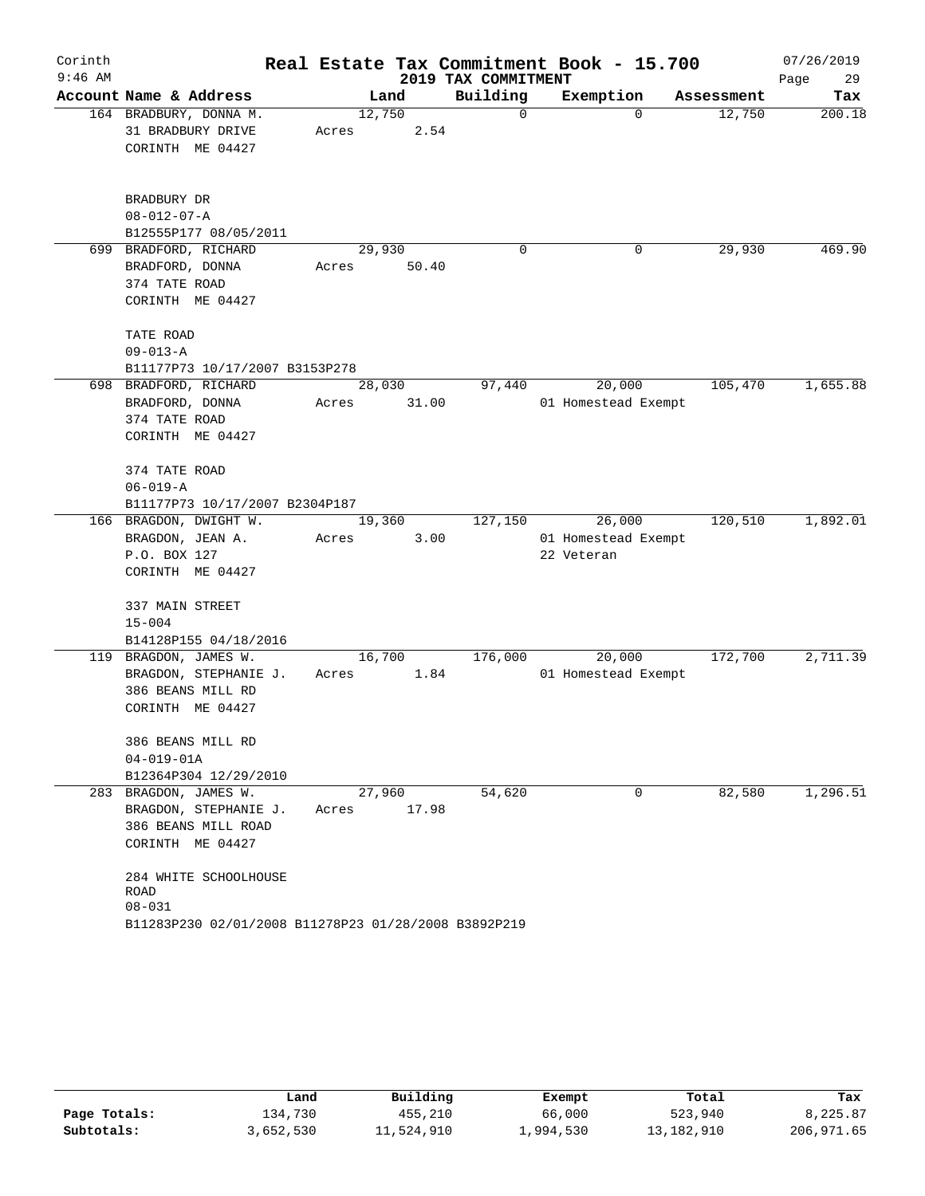| Corinth   |                                                      |       |                |                     | Real Estate Tax Commitment Book - 15.700 |            | 07/26/2019 |
|-----------|------------------------------------------------------|-------|----------------|---------------------|------------------------------------------|------------|------------|
| $9:46$ AM |                                                      |       |                | 2019 TAX COMMITMENT |                                          |            | Page<br>29 |
|           | Account Name & Address                               |       | Land           | Building            | Exemption                                | Assessment | Tax        |
|           | 164 BRADBURY, DONNA M.<br>31 BRADBURY DRIVE          | Acres | 12,750<br>2.54 | $\mathbf 0$         | $\Omega$                                 | 12,750     | 200.18     |
|           | CORINTH ME 04427                                     |       |                |                     |                                          |            |            |
|           | BRADBURY DR                                          |       |                |                     |                                          |            |            |
|           | $08 - 012 - 07 - A$                                  |       |                |                     |                                          |            |            |
|           | B12555P177 08/05/2011                                |       |                |                     |                                          |            |            |
|           | 699 BRADFORD, RICHARD                                |       | 29,930         | 0                   | 0                                        | 29,930     | 469.90     |
|           | BRADFORD, DONNA                                      | Acres | 50.40          |                     |                                          |            |            |
|           | 374 TATE ROAD                                        |       |                |                     |                                          |            |            |
|           | CORINTH ME 04427                                     |       |                |                     |                                          |            |            |
|           | TATE ROAD                                            |       |                |                     |                                          |            |            |
|           | $09 - 013 - A$                                       |       |                |                     |                                          |            |            |
|           | B11177P73 10/17/2007 B3153P278                       |       |                |                     |                                          |            |            |
|           | 698 BRADFORD, RICHARD                                |       | 28,030         | 97,440              | 20,000                                   | 105,470    | 1,655.88   |
|           | BRADFORD, DONNA                                      | Acres | 31.00          |                     | 01 Homestead Exempt                      |            |            |
|           | 374 TATE ROAD                                        |       |                |                     |                                          |            |            |
|           | CORINTH ME 04427                                     |       |                |                     |                                          |            |            |
|           | 374 TATE ROAD                                        |       |                |                     |                                          |            |            |
|           | $06 - 019 - A$                                       |       |                |                     |                                          |            |            |
|           | B11177P73 10/17/2007 B2304P187                       |       |                |                     |                                          |            |            |
|           | 166 BRAGDON, DWIGHT W.                               |       | 19,360         | 127,150             | 26,000                                   | 120,510    | 1,892.01   |
|           | BRAGDON, JEAN A.                                     | Acres | 3.00           |                     | 01 Homestead Exempt                      |            |            |
|           | P.O. BOX 127                                         |       |                |                     | 22 Veteran                               |            |            |
|           | CORINTH ME 04427                                     |       |                |                     |                                          |            |            |
|           | 337 MAIN STREET                                      |       |                |                     |                                          |            |            |
|           | $15 - 004$                                           |       |                |                     |                                          |            |            |
|           | B14128P155 04/18/2016                                |       |                |                     |                                          |            |            |
|           | 119 BRAGDON, JAMES W.                                |       | 16,700         | 176,000             | 20,000                                   | 172,700    | 2,711.39   |
|           | BRAGDON, STEPHANIE J.                                | Acres | 1.84           |                     | 01 Homestead Exempt                      |            |            |
|           | 386 BEANS MILL RD                                    |       |                |                     |                                          |            |            |
|           | CORINTH ME 04427                                     |       |                |                     |                                          |            |            |
|           | 386 BEANS MILL RD                                    |       |                |                     |                                          |            |            |
|           | $04 - 019 - 01A$                                     |       |                |                     |                                          |            |            |
|           | B12364P304 12/29/2010                                |       |                |                     |                                          |            |            |
|           | 283 BRAGDON, JAMES W.                                |       | 27,960         | 54,620              | 0                                        | 82,580     | 1,296.51   |
|           | BRAGDON, STEPHANIE J.                                | Acres | 17.98          |                     |                                          |            |            |
|           | 386 BEANS MILL ROAD                                  |       |                |                     |                                          |            |            |
|           | CORINTH ME 04427                                     |       |                |                     |                                          |            |            |
|           | 284 WHITE SCHOOLHOUSE                                |       |                |                     |                                          |            |            |
|           | ROAD                                                 |       |                |                     |                                          |            |            |
|           | $08 - 031$                                           |       |                |                     |                                          |            |            |
|           | B11283P230 02/01/2008 B11278P23 01/28/2008 B3892P219 |       |                |                     |                                          |            |            |

|              | Land      | Building   | Exempt    | Total      | Tax        |
|--------------|-----------|------------|-----------|------------|------------|
| Page Totals: | 134,730   | 455,210    | 66,000    | 523,940    | 8,225.87   |
| Subtotals:   | 3,652,530 | 11,524,910 | 1,994,530 | 13,182,910 | 206,971.65 |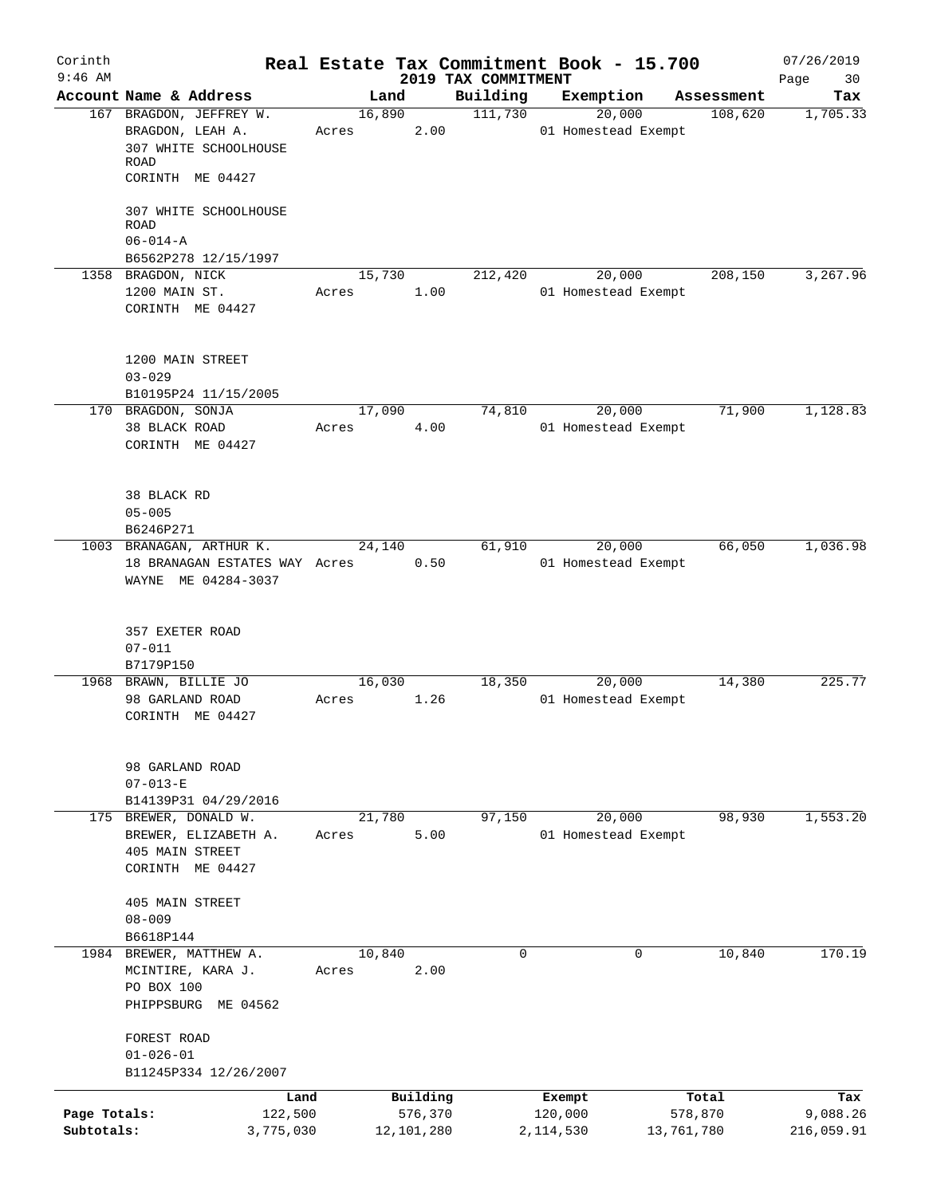| Corinth<br>$9:46$ AM       |                                                                                                                           |       |                                   | 2019 TAX COMMITMENT | Real Estate Tax Commitment Book - 15.700 |                                | 07/26/2019<br>Page<br>30      |
|----------------------------|---------------------------------------------------------------------------------------------------------------------------|-------|-----------------------------------|---------------------|------------------------------------------|--------------------------------|-------------------------------|
|                            | Account Name & Address                                                                                                    |       | Land                              | Building            | Exemption                                | Assessment                     | Tax                           |
|                            | 167 BRAGDON, JEFFREY W.<br>BRAGDON, LEAH A.<br>307 WHITE SCHOOLHOUSE<br>ROAD<br>CORINTH ME 04427<br>307 WHITE SCHOOLHOUSE | Acres | 16,890<br>2.00                    | 111,730             | 20,000<br>01 Homestead Exempt            | 108,620                        | 1,705.33                      |
|                            | <b>ROAD</b><br>$06 - 014 - A$<br>B6562P278 12/15/1997                                                                     |       |                                   |                     |                                          |                                |                               |
|                            | 1358 BRAGDON, NICK<br>1200 MAIN ST.<br>CORINTH ME 04427                                                                   | Acres | 15,730<br>1.00                    | 212,420             | 20,000<br>01 Homestead Exempt            | 208,150                        | 3,267.96                      |
|                            | 1200 MAIN STREET<br>$03 - 029$<br>B10195P24 11/15/2005                                                                    |       |                                   |                     |                                          |                                |                               |
|                            | 170 BRAGDON, SONJA                                                                                                        |       | 17,090                            | 74,810              | 20,000                                   | 71,900                         | 1,128.83                      |
|                            | 38 BLACK ROAD<br>CORINTH ME 04427                                                                                         | Acres | 4.00                              |                     | 01 Homestead Exempt                      |                                |                               |
|                            | 38 BLACK RD<br>$05 - 005$<br>B6246P271                                                                                    |       |                                   |                     |                                          |                                |                               |
|                            | 1003 BRANAGAN, ARTHUR K.                                                                                                  |       | 24,140                            | 61,910              | 20,000                                   | 66,050                         | 1,036.98                      |
|                            | 18 BRANAGAN ESTATES WAY Acres<br>WAYNE ME 04284-3037                                                                      |       | 0.50                              |                     | 01 Homestead Exempt                      |                                |                               |
|                            | 357 EXETER ROAD<br>$07 - 011$<br>B7179P150                                                                                |       |                                   |                     |                                          |                                |                               |
|                            | 1968 BRAWN, BILLIE JO                                                                                                     |       | 16,030                            | 18,350              | 20,000                                   | 14,380                         | 225.77                        |
|                            | 98 GARLAND ROAD<br>CORINTH ME 04427                                                                                       | Acres | 1.26                              |                     | 01 Homestead Exempt                      |                                |                               |
|                            | 98 GARLAND ROAD<br>$07 - 013 - E$<br>B14139P31 04/29/2016                                                                 |       |                                   |                     |                                          |                                |                               |
|                            | 175 BREWER, DONALD W.                                                                                                     |       | 21,780                            | 97,150              | 20,000                                   | 98,930                         | 1,553.20                      |
|                            | BREWER, ELIZABETH A.<br>405 MAIN STREET<br>CORINTH ME 04427                                                               | Acres | 5.00                              |                     | 01 Homestead Exempt                      |                                |                               |
|                            | 405 MAIN STREET<br>$08 - 009$<br>B6618P144                                                                                |       |                                   |                     |                                          |                                |                               |
|                            | 1984 BREWER, MATTHEW A.                                                                                                   |       | 10,840                            | 0                   |                                          | 10,840<br>0                    | 170.19                        |
|                            | MCINTIRE, KARA J.<br>PO BOX 100<br>PHIPPSBURG ME 04562                                                                    | Acres | 2.00                              |                     |                                          |                                |                               |
|                            | FOREST ROAD<br>$01 - 026 - 01$<br>B11245P334 12/26/2007                                                                   |       |                                   |                     |                                          |                                |                               |
|                            |                                                                                                                           |       |                                   |                     |                                          |                                |                               |
| Page Totals:<br>Subtotals: | Land<br>122,500<br>3,775,030                                                                                              |       | Building<br>576,370<br>12,101,280 |                     | Exempt<br>120,000<br>2, 114, 530         | Total<br>578,870<br>13,761,780 | Tax<br>9,088.26<br>216,059.91 |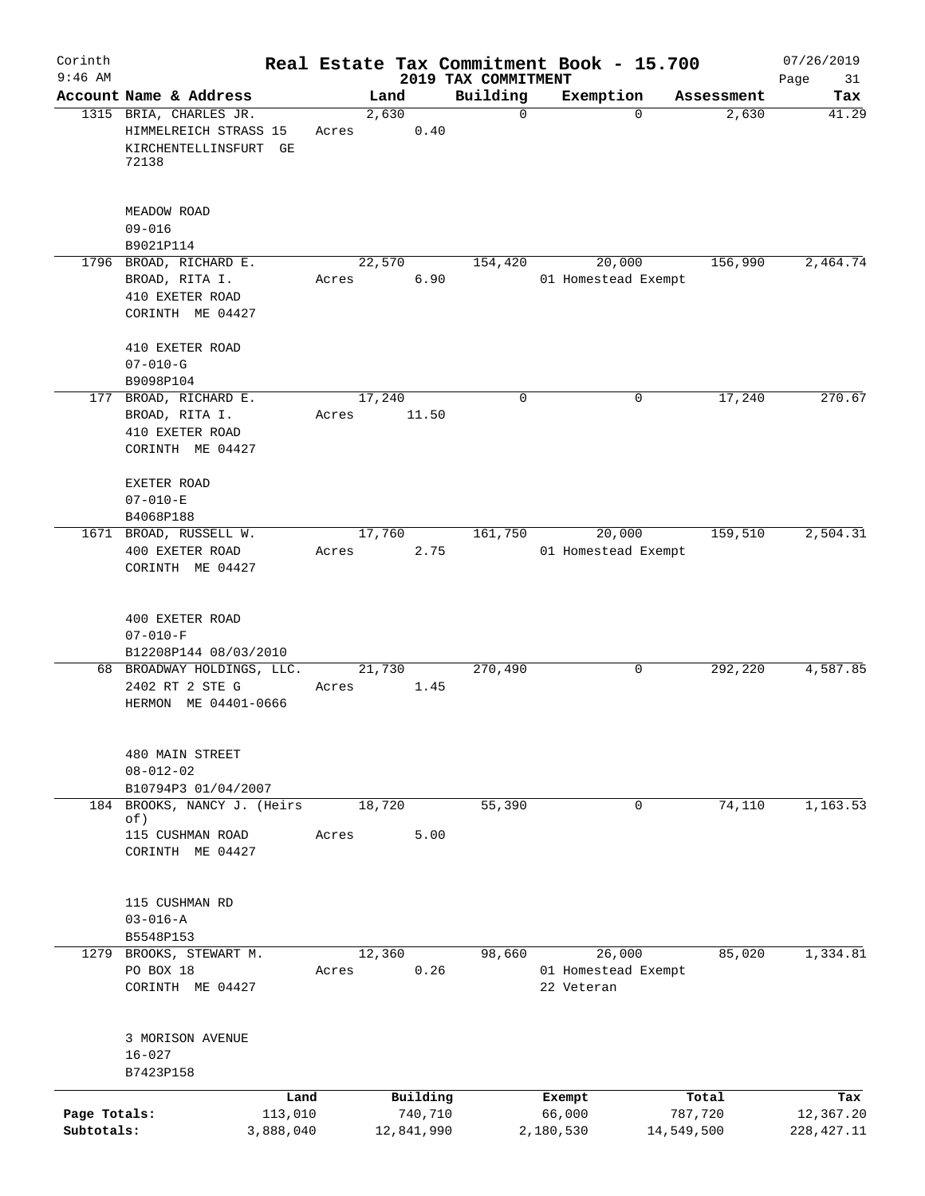| Corinth                    |                                                                                   |                      |        |                       |                                 | Real Estate Tax Commitment Book - 15.700    |                       |            | 07/26/2019               |
|----------------------------|-----------------------------------------------------------------------------------|----------------------|--------|-----------------------|---------------------------------|---------------------------------------------|-----------------------|------------|--------------------------|
| $9:46$ AM                  | Account Name & Address                                                            |                      | Land   |                       | 2019 TAX COMMITMENT<br>Building | Exemption                                   |                       | Assessment | Page<br>31<br>Tax        |
|                            | 1315 BRIA, CHARLES JR.<br>HIMMELREICH STRASS 15<br>KIRCHENTELLINSFURT GE<br>72138 | Acres                | 2,630  | 0.40                  | $\mathbf 0$                     |                                             | $\Omega$              | 2,630      | 41.29                    |
|                            | MEADOW ROAD<br>$09 - 016$                                                         |                      |        |                       |                                 |                                             |                       |            |                          |
|                            | B9021P114                                                                         |                      |        |                       |                                 |                                             |                       |            |                          |
|                            | 1796 BROAD, RICHARD E.<br>BROAD, RITA I.<br>410 EXETER ROAD<br>CORINTH ME 04427   | Acres                | 22,570 | 6.90                  | 154,420                         | 20,000<br>01 Homestead Exempt               |                       | 156,990    | 2,464.74                 |
|                            | 410 EXETER ROAD<br>$07 - 010 - G$<br>B9098P104                                    |                      |        |                       |                                 |                                             |                       |            |                          |
|                            | 177 BROAD, RICHARD E.<br>BROAD, RITA I.<br>410 EXETER ROAD<br>CORINTH ME 04427    | Acres                | 17,240 | 11.50                 | $\mathbf 0$                     |                                             | 0                     | 17,240     | 270.67                   |
|                            | EXETER ROAD<br>$07 - 010 - E$<br>B4068P188                                        |                      |        |                       |                                 |                                             |                       |            |                          |
|                            | 1671 BROAD, RUSSELL W.<br>400 EXETER ROAD<br>CORINTH ME 04427                     | Acres                | 17,760 | 2.75                  | 161,750                         | 20,000<br>01 Homestead Exempt               |                       | 159,510    | 2,504.31                 |
|                            | 400 EXETER ROAD<br>$07 - 010 - F$<br>B12208P144 08/03/2010                        |                      |        |                       |                                 |                                             |                       |            |                          |
|                            | 68 BROADWAY HOLDINGS, LLC.<br>2402 RT 2 STE G<br>HERMON ME 04401-0666             | Acres                | 21,730 | 1.45                  | 270,490                         |                                             | 0                     | 292,220    | 4,587.85                 |
|                            | 480 MAIN STREET<br>$08 - 012 - 02$<br>B10794P3 01/04/2007                         |                      |        |                       |                                 |                                             |                       |            |                          |
| 184                        | BROOKS, NANCY J. (Heirs<br>of)                                                    |                      | 18,720 |                       | 55,390                          |                                             | $\mathbf 0$           | 74,110     | 1,163.53                 |
|                            | 115 CUSHMAN ROAD<br>CORINTH ME 04427                                              | Acres                |        | 5.00                  |                                 |                                             |                       |            |                          |
|                            | 115 CUSHMAN RD<br>$03 - 016 - A$<br>B5548P153                                     |                      |        |                       |                                 |                                             |                       |            |                          |
|                            | 1279 BROOKS, STEWART M.<br>PO BOX 18<br>CORINTH ME 04427                          | Acres                | 12,360 | 0.26                  | 98,660                          | 26,000<br>01 Homestead Exempt<br>22 Veteran |                       | 85,020     | 1,334.81                 |
|                            | 3 MORISON AVENUE<br>$16 - 027$<br>B7423P158                                       |                      |        |                       |                                 |                                             |                       |            |                          |
|                            |                                                                                   | Land                 |        | Building              |                                 | Exempt                                      |                       | Total      | Tax                      |
| Page Totals:<br>Subtotals: |                                                                                   | 113,010<br>3,888,040 |        | 740,710<br>12,841,990 |                                 | 66,000<br>2,180,530                         | 787,720<br>14,549,500 |            | 12,367.20<br>228, 427.11 |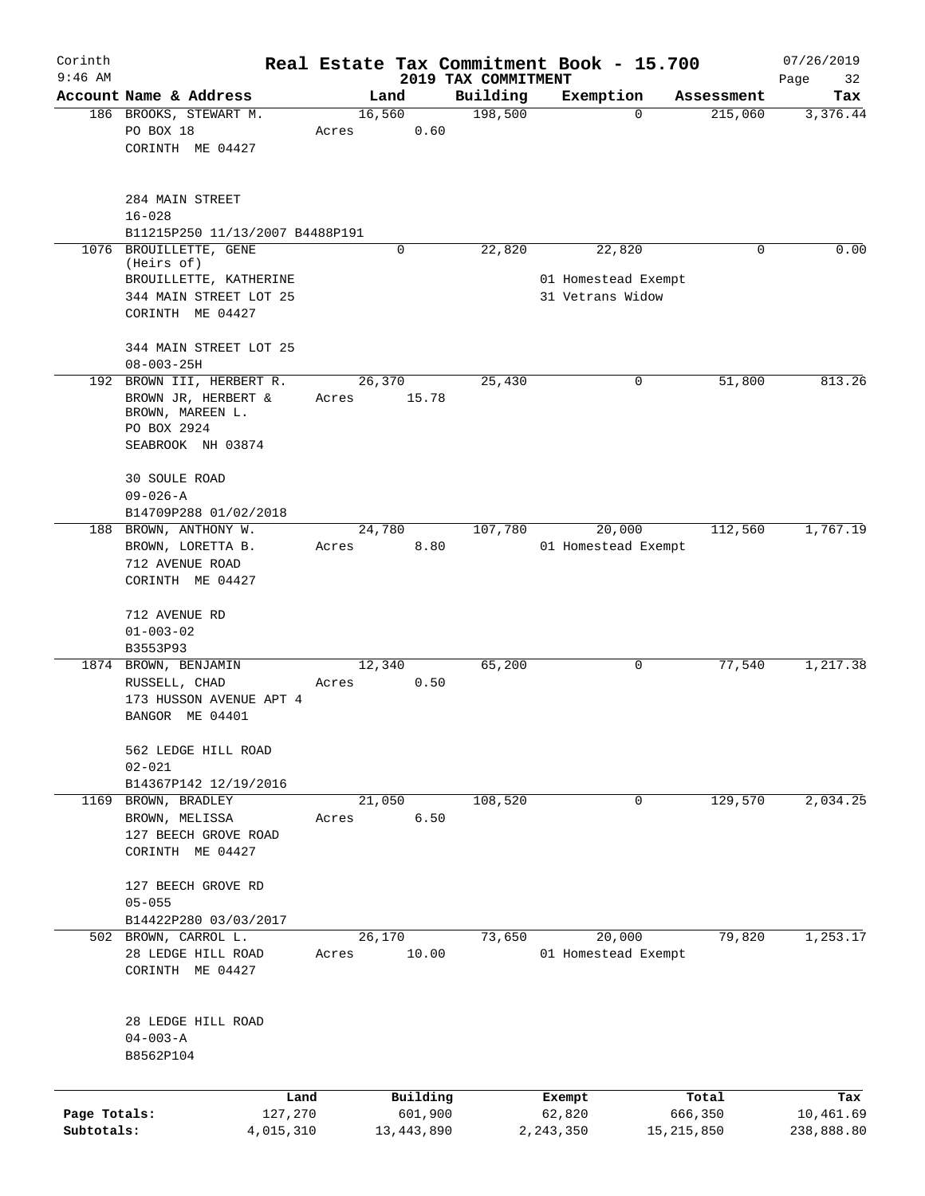| Corinth<br>$9:46$ AM       |                                                                                              |                 |                       |                                 | Real Estate Tax Commitment Book - 15.700 |                       | 07/26/2019              |
|----------------------------|----------------------------------------------------------------------------------------------|-----------------|-----------------------|---------------------------------|------------------------------------------|-----------------------|-------------------------|
|                            | Account Name & Address                                                                       |                 | Land                  | 2019 TAX COMMITMENT<br>Building | Exemption                                | Assessment            | Page<br>32<br>Tax       |
|                            | 186 BROOKS, STEWART M.<br>PO BOX 18<br>CORINTH ME 04427                                      | 16,560<br>Acres | 0.60                  | 198,500                         | 0                                        | 215,060               | 3,376.44                |
|                            | 284 MAIN STREET<br>$16 - 028$<br>B11215P250 11/13/2007 B4488P191                             |                 |                       |                                 |                                          |                       |                         |
| 1076                       | BROUILLETTE, GENE                                                                            |                 | 0                     | 22,820                          | 22,820                                   | 0                     | 0.00                    |
|                            | (Heirs of)<br>BROUILLETTE, KATHERINE<br>344 MAIN STREET LOT 25<br>CORINTH ME 04427           |                 |                       |                                 | 01 Homestead Exempt<br>31 Vetrans Widow  |                       |                         |
|                            | 344 MAIN STREET LOT 25<br>$08 - 003 - 25H$                                                   |                 |                       |                                 |                                          |                       |                         |
|                            | 192 BROWN III, HERBERT R.                                                                    | 26, 370         |                       | 25,430                          | 0                                        | 51,800                | 813.26                  |
|                            | BROWN JR, HERBERT &<br>BROWN, MAREEN L.<br>PO BOX 2924<br>SEABROOK NH 03874<br>30 SOULE ROAD | Acres           | 15.78                 |                                 |                                          |                       |                         |
|                            | $09 - 026 - A$                                                                               |                 |                       |                                 |                                          |                       |                         |
|                            | B14709P288 01/02/2018<br>188 BROWN, ANTHONY W.                                               | 24,780          |                       | 107,780                         | 20,000                                   | 112,560               | 1,767.19                |
|                            | BROWN, LORETTA B.<br>712 AVENUE ROAD<br>CORINTH ME 04427                                     | Acres           | 8.80                  |                                 | 01 Homestead Exempt                      |                       |                         |
|                            | 712 AVENUE RD<br>$01 - 003 - 02$<br>B3553P93                                                 |                 |                       |                                 |                                          |                       |                         |
|                            | 1874 BROWN, BENJAMIN<br>RUSSELL, CHAD<br>173 HUSSON AVENUE APT 4<br>BANGOR ME 04401          | 12,340<br>Acres | 0.50                  | 65,200                          | 0                                        | 77,540                | 1, 217.38               |
|                            | 562 LEDGE HILL ROAD<br>$02 - 021$                                                            |                 |                       |                                 |                                          |                       |                         |
| 1169                       | B14367P142 12/19/2016<br>BROWN, BRADLEY                                                      | 21,050          |                       | 108,520                         | 0                                        | 129,570               | 2,034.25                |
|                            | BROWN, MELISSA<br>127 BEECH GROVE ROAD<br>CORINTH ME 04427                                   | Acres           | 6.50                  |                                 |                                          |                       |                         |
|                            | 127 BEECH GROVE RD<br>$05 - 055$                                                             |                 |                       |                                 |                                          |                       |                         |
|                            | B14422P280 03/03/2017                                                                        |                 |                       |                                 |                                          |                       |                         |
|                            | 502 BROWN, CARROL L.<br>28 LEDGE HILL ROAD<br>CORINTH ME 04427                               | 26,170<br>Acres | 10.00                 | 73,650                          | 20,000<br>01 Homestead Exempt            | 79,820                | 1,253.17                |
|                            | 28 LEDGE HILL ROAD<br>$04 - 003 - A$<br>B8562P104                                            |                 |                       |                                 |                                          |                       |                         |
|                            | Land                                                                                         |                 | Building              |                                 | Exempt                                   | Total                 | Tax                     |
| Page Totals:<br>Subtotals: | 127,270<br>4,015,310                                                                         |                 | 601,900<br>13,443,890 |                                 | 62,820<br>2,243,350                      | 666,350<br>15,215,850 | 10,461.69<br>238,888.80 |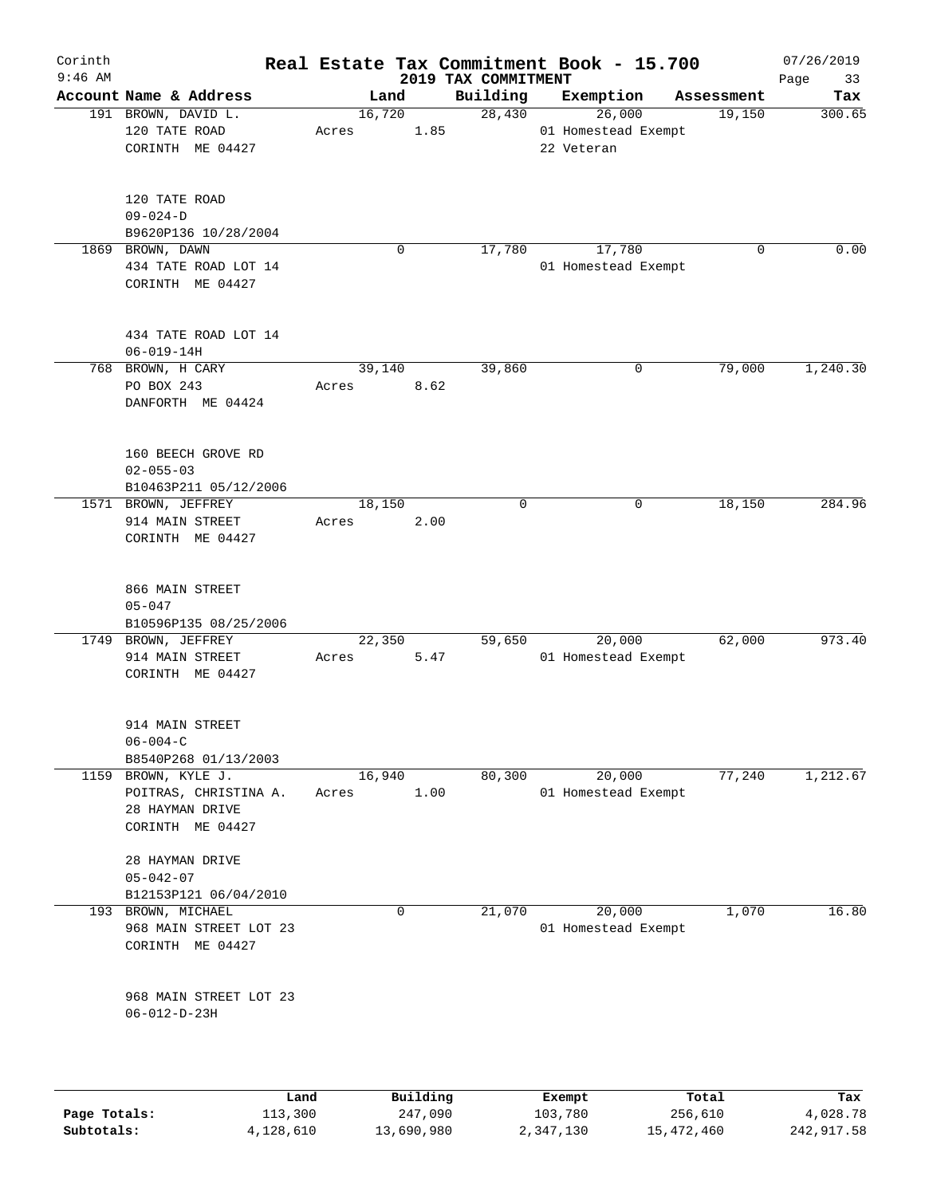| Corinth<br>$9:46$ AM |                                                                                     |                 |          | 2019 TAX COMMITMENT | Real Estate Tax Commitment Book - 15.700    |            | 07/26/2019<br>Page<br>33 |
|----------------------|-------------------------------------------------------------------------------------|-----------------|----------|---------------------|---------------------------------------------|------------|--------------------------|
|                      | Account Name & Address                                                              | Land            |          | Building            | Exemption                                   | Assessment | Tax                      |
|                      | 191 BROWN, DAVID L.<br>120 TATE ROAD<br>CORINTH ME 04427                            | 16,720<br>Acres | 1.85     | 28,430              | 26,000<br>01 Homestead Exempt<br>22 Veteran | 19,150     | 300.65                   |
|                      | 120 TATE ROAD<br>$09 - 024 - D$<br>B9620P136 10/28/2004                             |                 |          |                     |                                             |            |                          |
|                      | 1869 BROWN, DAWN<br>434 TATE ROAD LOT 14<br>CORINTH ME 04427                        |                 | 0        | 17,780              | 17,780<br>01 Homestead Exempt               | 0          | 0.00                     |
|                      | 434 TATE ROAD LOT 14<br>$06 - 019 - 14H$                                            |                 |          |                     |                                             |            |                          |
|                      | 768 BROWN, H CARY<br>PO BOX 243<br>DANFORTH ME 04424                                | 39,140<br>Acres | 8.62     | 39,860              | 0                                           | 79,000     | 1,240.30                 |
|                      | 160 BEECH GROVE RD<br>$02 - 055 - 03$<br>B10463P211 05/12/2006                      |                 |          |                     |                                             |            |                          |
|                      | 1571 BROWN, JEFFREY<br>914 MAIN STREET<br>CORINTH ME 04427                          | 18,150<br>Acres | 2.00     | $\mathbf 0$         | 0                                           | 18,150     | 284.96                   |
|                      | 866 MAIN STREET<br>$05 - 047$<br>B10596P135 08/25/2006                              |                 |          |                     |                                             |            |                          |
|                      | 1749 BROWN, JEFFREY<br>914 MAIN STREET<br>CORINTH ME 04427                          | 22,350<br>Acres | 5.47     | 59,650              | 20,000<br>01 Homestead Exempt               | 62,000     | 973.40                   |
|                      | 914 MAIN STREET<br>$06 - 004 - C$<br>B8540P268 01/13/2003                           |                 |          |                     |                                             |            |                          |
|                      | 1159 BROWN, KYLE J.<br>POITRAS, CHRISTINA A.<br>28 HAYMAN DRIVE<br>CORINTH ME 04427 | 16,940<br>Acres | 1.00     | 80,300              | 20,000<br>01 Homestead Exempt               | 77,240     | 1,212.67                 |
|                      | 28 HAYMAN DRIVE<br>$05 - 042 - 07$<br>B12153P121 06/04/2010                         |                 |          |                     |                                             |            |                          |
| 193                  | BROWN, MICHAEL<br>968 MAIN STREET LOT 23<br>CORINTH ME 04427                        |                 | 0        | 21,070              | 20,000<br>01 Homestead Exempt               | 1,070      | 16.80                    |
|                      | 968 MAIN STREET LOT 23<br>$06 - 012 - D - 23H$                                      |                 |          |                     |                                             |            |                          |
|                      | Land                                                                                |                 | Building |                     | Exempt                                      | Total      | Tax                      |

**Page Totals:** 113,300 247,090 103,780 256,610 4,028.78 **Subtotals:** 4,128,610 13,690,980 2,347,130 15,472,460 242,917.58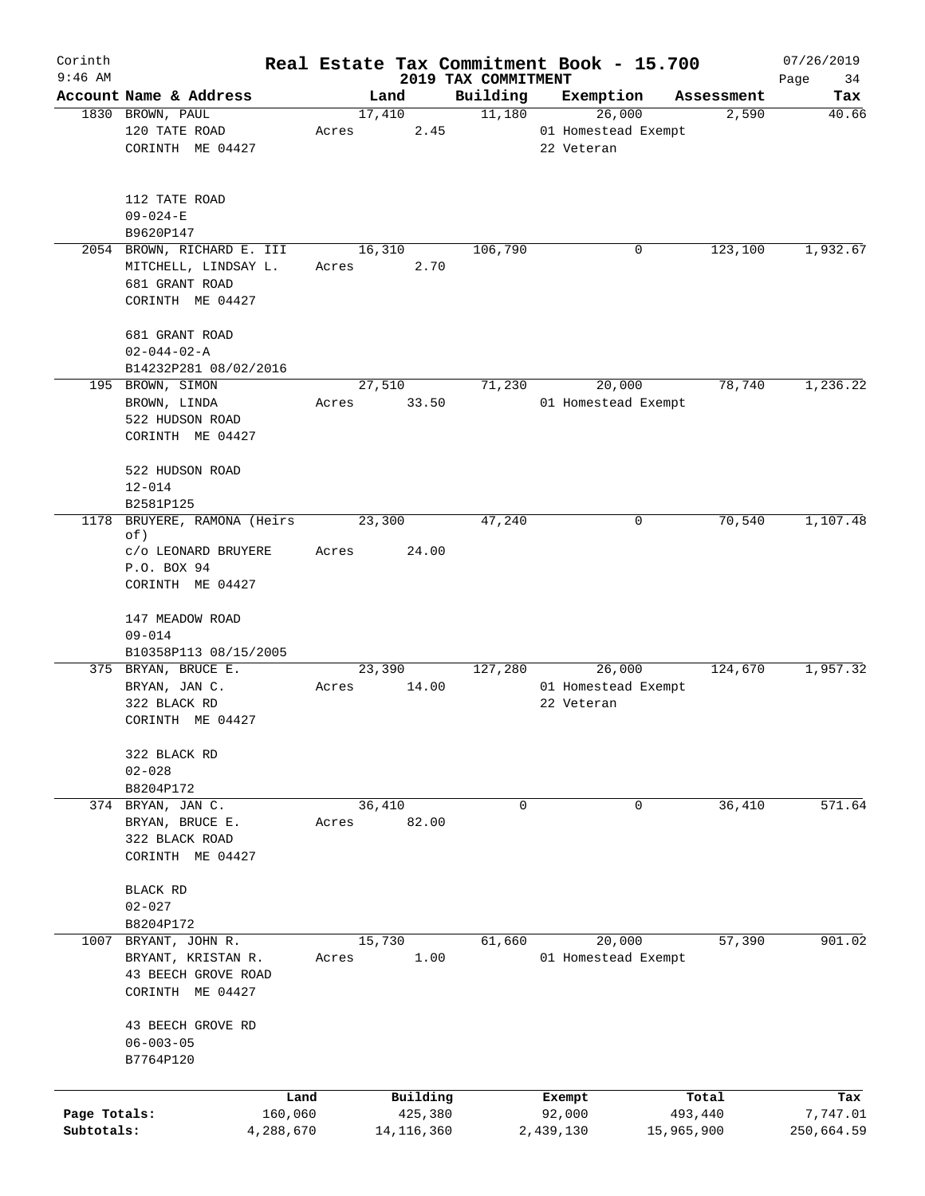| Corinth      |                                         |        |              |                                 | Real Estate Tax Commitment Book - 15.700 |            | 07/26/2019        |
|--------------|-----------------------------------------|--------|--------------|---------------------------------|------------------------------------------|------------|-------------------|
| $9:46$ AM    | Account Name & Address                  |        | Land         | 2019 TAX COMMITMENT<br>Building | Exemption                                | Assessment | Page<br>34<br>Tax |
|              | 1830 BROWN, PAUL                        | 17,410 |              | 11,180                          | 26,000                                   | 2,590      | 40.66             |
|              | 120 TATE ROAD                           | Acres  | 2.45         |                                 | 01 Homestead Exempt                      |            |                   |
|              | CORINTH ME 04427                        |        |              |                                 | 22 Veteran                               |            |                   |
|              |                                         |        |              |                                 |                                          |            |                   |
|              | 112 TATE ROAD                           |        |              |                                 |                                          |            |                   |
|              | $09 - 024 - E$                          |        |              |                                 |                                          |            |                   |
|              | B9620P147<br>2054 BROWN, RICHARD E. III |        | 16,310       | 106,790                         | 0                                        | 123,100    | 1,932.67          |
|              | MITCHELL, LINDSAY L.                    | Acres  | 2.70         |                                 |                                          |            |                   |
|              | 681 GRANT ROAD                          |        |              |                                 |                                          |            |                   |
|              | CORINTH ME 04427                        |        |              |                                 |                                          |            |                   |
|              | 681 GRANT ROAD                          |        |              |                                 |                                          |            |                   |
|              | $02 - 044 - 02 - A$                     |        |              |                                 |                                          |            |                   |
|              | B14232P281 08/02/2016                   |        |              |                                 |                                          |            |                   |
|              | 195 BROWN, SIMON                        |        | 27,510       | 71,230                          | 20,000                                   | 78,740     | 1,236.22          |
|              | BROWN, LINDA                            | Acres  | 33.50        |                                 | 01 Homestead Exempt                      |            |                   |
|              | 522 HUDSON ROAD                         |        |              |                                 |                                          |            |                   |
|              | CORINTH ME 04427                        |        |              |                                 |                                          |            |                   |
|              | 522 HUDSON ROAD                         |        |              |                                 |                                          |            |                   |
|              | $12 - 014$                              |        |              |                                 |                                          |            |                   |
|              | B2581P125                               |        |              |                                 |                                          |            |                   |
| 1178         | BRUYERE, RAMONA (Heirs<br>of)           | 23,300 |              | 47,240                          | 0                                        | 70,540     | 1,107.48          |
|              | c/o LEONARD BRUYERE                     | Acres  | 24.00        |                                 |                                          |            |                   |
|              | P.O. BOX 94                             |        |              |                                 |                                          |            |                   |
|              | CORINTH ME 04427                        |        |              |                                 |                                          |            |                   |
|              | 147 MEADOW ROAD                         |        |              |                                 |                                          |            |                   |
|              | $09 - 014$                              |        |              |                                 |                                          |            |                   |
|              | B10358P113 08/15/2005                   |        |              |                                 |                                          |            |                   |
|              | 375 BRYAN, BRUCE E.                     |        | 23,390       | 127,280                         | 26,000                                   | 124,670    | 1,957.32          |
|              | BRYAN, JAN C.                           | Acres  | 14.00        |                                 | 01 Homestead Exempt                      |            |                   |
|              | 322 BLACK RD                            |        |              |                                 | 22 Veteran                               |            |                   |
|              | CORINTH ME 04427                        |        |              |                                 |                                          |            |                   |
|              | 322 BLACK RD                            |        |              |                                 |                                          |            |                   |
|              | $02 - 028$                              |        |              |                                 |                                          |            |                   |
|              | B8204P172                               |        |              |                                 |                                          |            |                   |
| 374          | BRYAN, JAN C.                           |        | 36,410       | $\mathbf 0$                     | 0                                        | 36,410     | 571.64            |
|              | BRYAN, BRUCE E.                         | Acres  | 82.00        |                                 |                                          |            |                   |
|              | 322 BLACK ROAD                          |        |              |                                 |                                          |            |                   |
|              | CORINTH ME 04427                        |        |              |                                 |                                          |            |                   |
|              | BLACK RD                                |        |              |                                 |                                          |            |                   |
|              | $02 - 027$                              |        |              |                                 |                                          |            |                   |
|              | B8204P172                               |        |              |                                 |                                          |            |                   |
| 1007         | BRYANT, JOHN R.                         |        | 15,730       | 61,660                          | 20,000                                   | 57,390     | 901.02            |
|              | BRYANT, KRISTAN R.                      | Acres  | 1.00         |                                 | 01 Homestead Exempt                      |            |                   |
|              | 43 BEECH GROVE ROAD                     |        |              |                                 |                                          |            |                   |
|              | CORINTH ME 04427                        |        |              |                                 |                                          |            |                   |
|              | 43 BEECH GROVE RD                       |        |              |                                 |                                          |            |                   |
|              | $06 - 003 - 05$                         |        |              |                                 |                                          |            |                   |
|              | B7764P120                               |        |              |                                 |                                          |            |                   |
|              |                                         |        |              |                                 |                                          |            |                   |
|              | Land                                    |        | Building     |                                 | Exempt                                   | Total      | Tax               |
| Page Totals: | 160,060                                 |        | 425,380      |                                 | 92,000                                   | 493,440    | 7,747.01          |
| Subtotals:   | 4,288,670                               |        | 14, 116, 360 |                                 | 2,439,130                                | 15,965,900 | 250,664.59        |
|              |                                         |        |              |                                 |                                          |            |                   |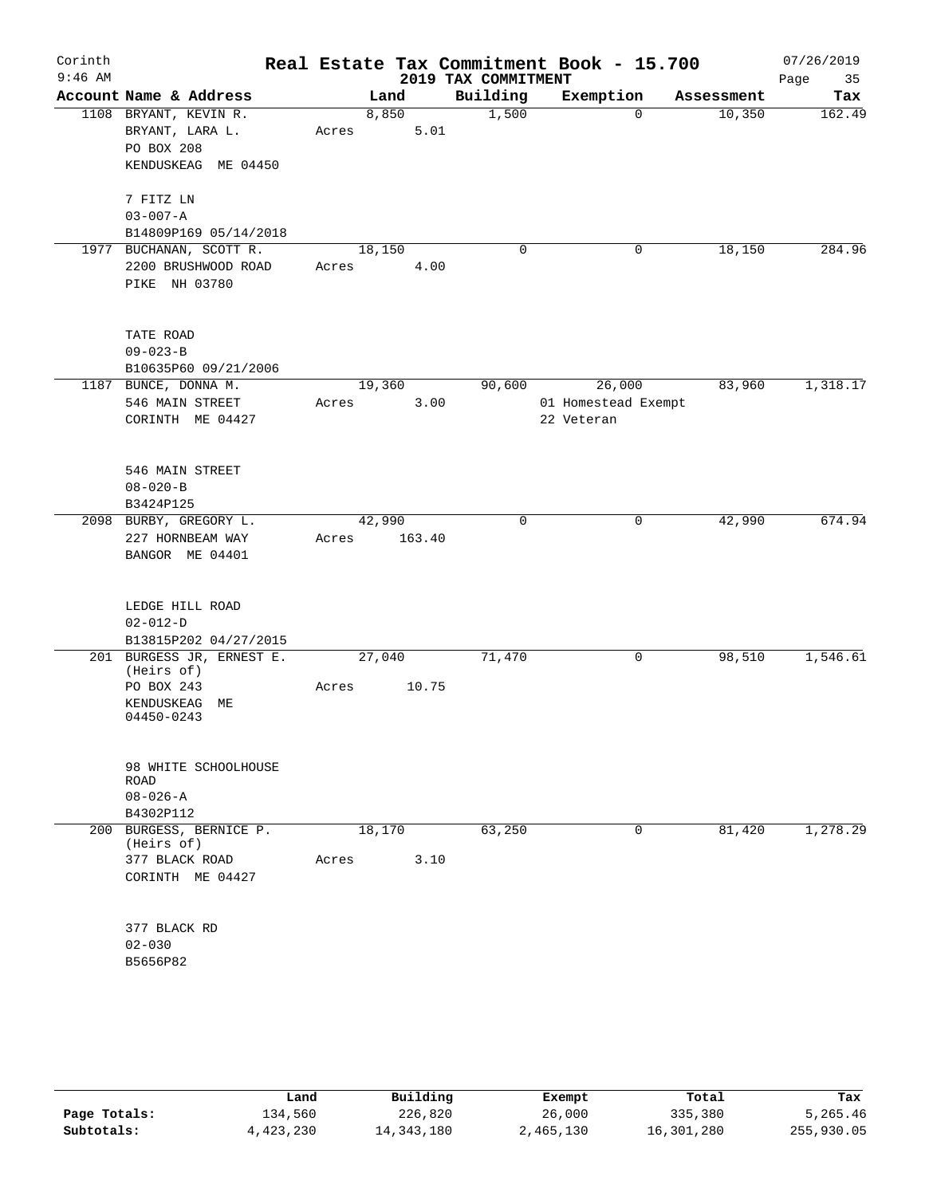| Corinth<br>$9:46$ AM |                                         |        |        | 2019 TAX COMMITMENT | Real Estate Tax Commitment Book - 15.700 |            | 07/26/2019<br>35<br>Page |
|----------------------|-----------------------------------------|--------|--------|---------------------|------------------------------------------|------------|--------------------------|
|                      | Account Name & Address                  |        | Land   | Building            | Exemption                                | Assessment | Tax                      |
|                      | 1108 BRYANT, KEVIN R.                   |        | 8,850  | 1,500               | $\Omega$                                 | 10,350     | 162.49                   |
|                      | BRYANT, LARA L.                         | Acres  | 5.01   |                     |                                          |            |                          |
|                      | PO BOX 208                              |        |        |                     |                                          |            |                          |
|                      | KENDUSKEAG ME 04450                     |        |        |                     |                                          |            |                          |
|                      | 7 FITZ LN                               |        |        |                     |                                          |            |                          |
|                      | $03 - 007 - A$                          |        |        |                     |                                          |            |                          |
|                      | B14809P169 05/14/2018                   |        |        |                     |                                          |            |                          |
|                      | 1977 BUCHANAN, SCOTT R.                 | 18,150 |        | 0                   | 0                                        | 18,150     | 284.96                   |
|                      | 2200 BRUSHWOOD ROAD                     | Acres  | 4.00   |                     |                                          |            |                          |
|                      | PIKE NH 03780                           |        |        |                     |                                          |            |                          |
|                      |                                         |        |        |                     |                                          |            |                          |
|                      | TATE ROAD<br>$09 - 023 - B$             |        |        |                     |                                          |            |                          |
|                      | B10635P60 09/21/2006                    |        |        |                     |                                          |            |                          |
|                      | 1187 BUNCE, DONNA M.                    | 19,360 |        | 90,600              | 26,000                                   | 83,960     | 1,318.17                 |
|                      | 546 MAIN STREET                         | Acres  | 3.00   |                     | 01 Homestead Exempt                      |            |                          |
|                      | CORINTH ME 04427                        |        |        |                     | 22 Veteran                               |            |                          |
|                      |                                         |        |        |                     |                                          |            |                          |
|                      | 546 MAIN STREET                         |        |        |                     |                                          |            |                          |
|                      | $08 - 020 - B$                          |        |        |                     |                                          |            |                          |
|                      | B3424P125                               |        |        |                     |                                          |            |                          |
|                      | 2098 BURBY, GREGORY L.                  | 42,990 |        | $\mathbf 0$         | 0                                        | 42,990     | 674.94                   |
|                      | 227 HORNBEAM WAY                        | Acres  | 163.40 |                     |                                          |            |                          |
|                      | BANGOR ME 04401                         |        |        |                     |                                          |            |                          |
|                      |                                         |        |        |                     |                                          |            |                          |
|                      | LEDGE HILL ROAD                         |        |        |                     |                                          |            |                          |
|                      | $02 - 012 - D$                          |        |        |                     |                                          |            |                          |
|                      | B13815P202 04/27/2015                   |        |        |                     |                                          |            | 1,546.61                 |
|                      | 201 BURGESS JR, ERNEST E.<br>(Heirs of) | 27,040 |        | 71,470              | 0                                        | 98,510     |                          |
|                      | PO BOX 243                              | Acres  | 10.75  |                     |                                          |            |                          |
|                      | KENDUSKEAG ME                           |        |        |                     |                                          |            |                          |
|                      | 04450-0243                              |        |        |                     |                                          |            |                          |
|                      |                                         |        |        |                     |                                          |            |                          |
|                      | 98 WHITE SCHOOLHOUSE                    |        |        |                     |                                          |            |                          |
|                      | ROAD                                    |        |        |                     |                                          |            |                          |
|                      | $08 - 026 - A$<br>B4302P112             |        |        |                     |                                          |            |                          |
|                      | 200 BURGESS, BERNICE P.                 | 18,170 |        | 63,250              | 0                                        | 81,420     | 1,278.29                 |
|                      | (Heirs of)                              |        |        |                     |                                          |            |                          |
|                      | 377 BLACK ROAD                          | Acres  | 3.10   |                     |                                          |            |                          |
|                      | CORINTH ME 04427                        |        |        |                     |                                          |            |                          |
|                      |                                         |        |        |                     |                                          |            |                          |
|                      | 377 BLACK RD                            |        |        |                     |                                          |            |                          |
|                      | $02 - 030$                              |        |        |                     |                                          |            |                          |
|                      | B5656P82                                |        |        |                     |                                          |            |                          |
|                      |                                         |        |        |                     |                                          |            |                          |
|                      |                                         |        |        |                     |                                          |            |                          |
|                      |                                         |        |        |                     |                                          |            |                          |
|                      |                                         |        |        |                     |                                          |            |                          |

|              | Land      | Building     | Exempt    | Total      | Tax        |
|--------------|-----------|--------------|-----------|------------|------------|
| Page Totals: | 134,560   | 226,820      | 26,000    | 335,380    | 5,265.46   |
| Subtotals:   | 4,423,230 | 14, 343, 180 | 2,465,130 | 16,301,280 | 255,930.05 |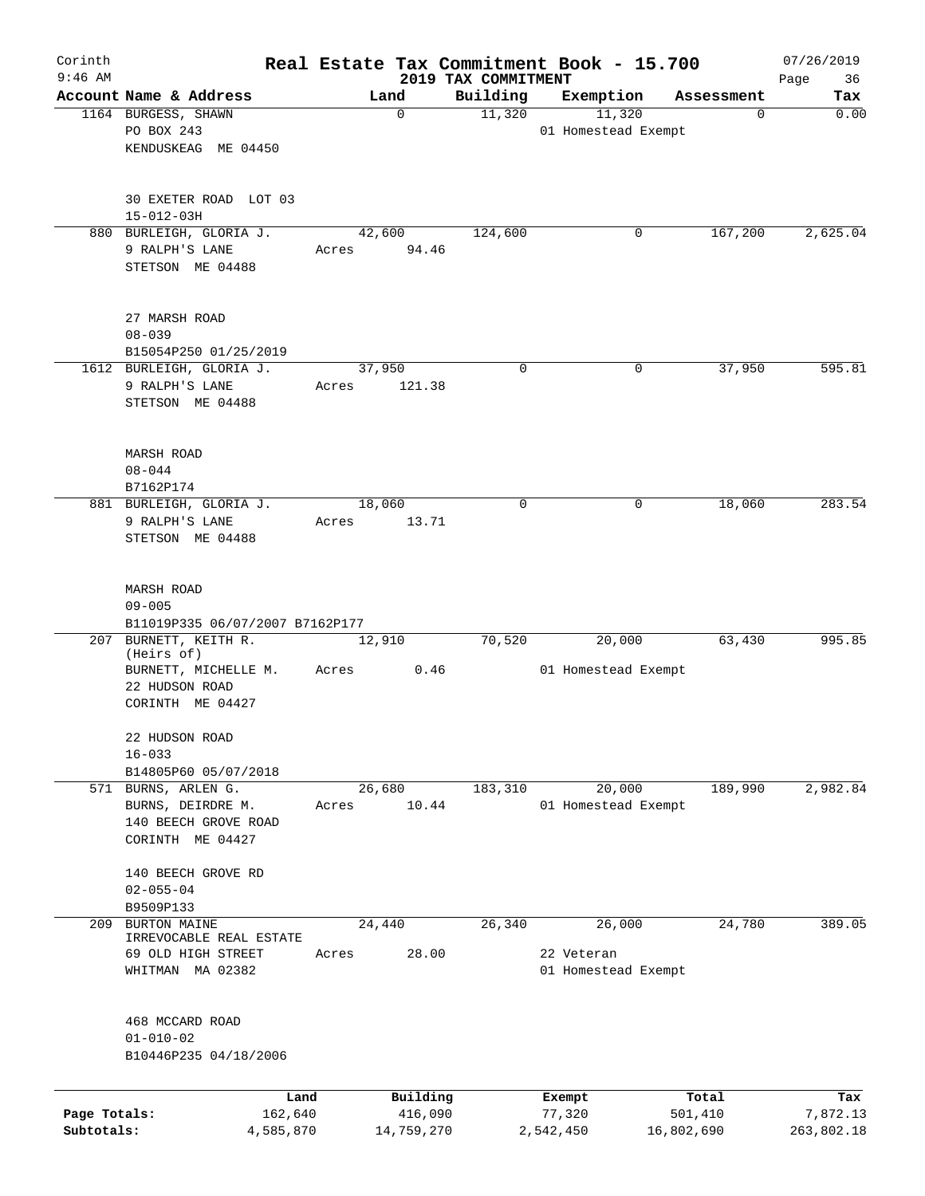| Corinth<br>$9:46$ AM       |                                                                                                   |                 |                       | 2019 TAX COMMITMENT | Real Estate Tax Commitment Book - 15.700    |                       | 07/26/2019             |
|----------------------------|---------------------------------------------------------------------------------------------------|-----------------|-----------------------|---------------------|---------------------------------------------|-----------------------|------------------------|
|                            | Account Name & Address                                                                            | Land            |                       | Building            | Exemption                                   | Assessment            | 36<br>Page<br>Tax      |
|                            | 1164 BURGESS, SHAWN<br>PO BOX 243<br>KENDUSKEAG ME 04450                                          | $\mathbf 0$     |                       | 11,320              | 11,320<br>01 Homestead Exempt               | 0                     | 0.00                   |
|                            | 30 EXETER ROAD LOT 03<br>$15 - 012 - 03H$                                                         |                 |                       |                     |                                             |                       |                        |
|                            | 880 BURLEIGH, GLORIA J.<br>9 RALPH'S LANE<br>STETSON ME 04488                                     | 42,600<br>Acres | 94.46                 | 124,600             | 0                                           | 167,200               | 2,625.04               |
|                            | 27 MARSH ROAD<br>$08 - 039$<br>B15054P250 01/25/2019                                              |                 |                       |                     |                                             |                       |                        |
|                            | 1612 BURLEIGH, GLORIA J.<br>9 RALPH'S LANE<br>STETSON ME 04488                                    | 37,950<br>Acres | 121.38                | $\mathbf 0$         | 0                                           | 37,950                | 595.81                 |
|                            | MARSH ROAD<br>$08 - 044$<br>B7162P174                                                             |                 |                       |                     |                                             |                       |                        |
|                            | 881 BURLEIGH, GLORIA J.<br>9 RALPH'S LANE<br>STETSON ME 04488                                     | 18,060<br>Acres | 13.71                 | $\mathbf 0$         | 0                                           | 18,060                | 283.54                 |
|                            | MARSH ROAD<br>$09 - 005$<br>B11019P335 06/07/2007 B7162P177                                       |                 |                       |                     |                                             |                       |                        |
|                            | 207 BURNETT, KEITH R.<br>(Heirs of)<br>BURNETT, MICHELLE M.<br>22 HUDSON ROAD<br>CORINTH ME 04427 | 12,910<br>Acres | 0.46                  | 70,520              | 20,000<br>01 Homestead Exempt               | 63,430                | 995.85                 |
|                            | 22 HUDSON ROAD<br>$16 - 033$<br>B14805P60 05/07/2018                                              |                 |                       |                     |                                             |                       |                        |
|                            | 571 BURNS, ARLEN G.<br>BURNS, DEIRDRE M.<br>140 BEECH GROVE ROAD<br>CORINTH ME 04427              | 26,680<br>Acres | 10.44                 | 183,310             | 20,000<br>01 Homestead Exempt               | 189,990               | 2,982.84               |
|                            | 140 BEECH GROVE RD<br>$02 - 055 - 04$<br>B9509P133                                                |                 |                       |                     |                                             |                       |                        |
| 209                        | <b>BURTON MAINE</b><br>IRREVOCABLE REAL ESTATE<br>69 OLD HIGH STREET<br>WHITMAN MA 02382          | 24,440<br>Acres | 28.00                 | 26,340              | 26,000<br>22 Veteran<br>01 Homestead Exempt | 24,780                | 389.05                 |
|                            | 468 MCCARD ROAD<br>$01 - 010 - 02$<br>B10446P235 04/18/2006                                       |                 |                       |                     |                                             |                       |                        |
|                            | Land                                                                                              |                 | Building              |                     | Exempt                                      | Total                 | Tax                    |
| Page Totals:<br>Subtotals: | 162,640<br>4,585,870                                                                              |                 | 416,090<br>14,759,270 |                     | 77,320<br>2,542,450                         | 501,410<br>16,802,690 | 7,872.13<br>263,802.18 |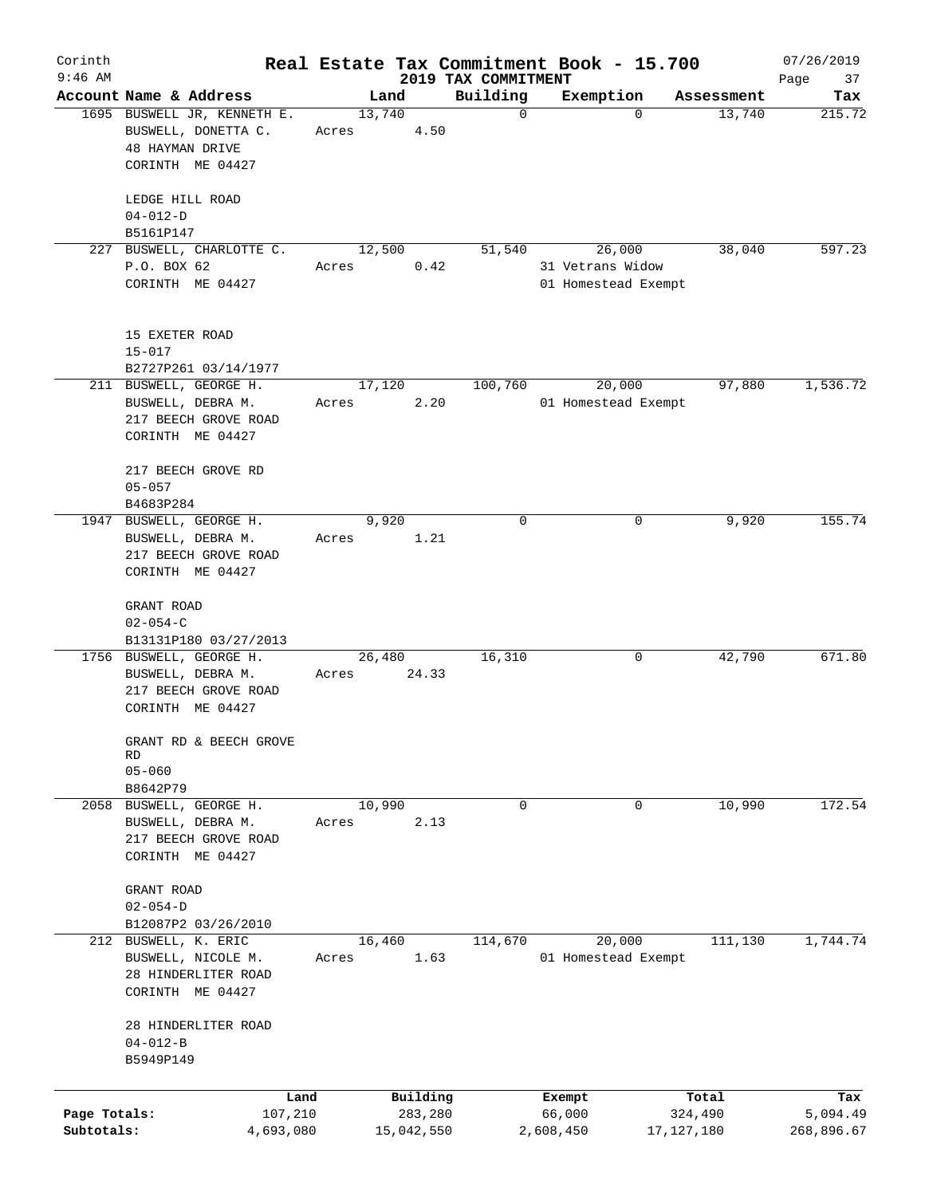| Corinth<br>$9:46$ AM       |                                                                                                       |       |                       |                                 | Real Estate Tax Commitment Book - 15.700          |                         | 07/26/2019             |
|----------------------------|-------------------------------------------------------------------------------------------------------|-------|-----------------------|---------------------------------|---------------------------------------------------|-------------------------|------------------------|
|                            | Account Name & Address                                                                                |       | Land                  | 2019 TAX COMMITMENT<br>Building | Exemption                                         | Assessment              | Page<br>37<br>Tax      |
|                            | 1695 BUSWELL JR, KENNETH E.<br>BUSWELL, DONETTA C.<br><b>48 HAYMAN DRIVE</b><br>CORINTH ME 04427      | Acres | 13,740<br>4.50        | $\mathbf 0$                     | $\Omega$                                          | 13,740                  | 215.72                 |
|                            | LEDGE HILL ROAD<br>$04 - 012 - D$                                                                     |       |                       |                                 |                                                   |                         |                        |
|                            | B5161P147                                                                                             |       |                       |                                 |                                                   |                         |                        |
| 227                        | BUSWELL, CHARLOTTE C.<br>P.O. BOX 62<br>CORINTH ME 04427                                              | Acres | 12,500<br>0.42        | 51,540                          | 26,000<br>31 Vetrans Widow<br>01 Homestead Exempt | 38,040                  | 597.23                 |
|                            | 15 EXETER ROAD<br>$15 - 017$<br>B2727P261 03/14/1977                                                  |       |                       |                                 |                                                   |                         |                        |
|                            | 211 BUSWELL, GEORGE H.<br>BUSWELL, DEBRA M.<br>217 BEECH GROVE ROAD<br>CORINTH ME 04427               | Acres | 17,120<br>2.20        | 100,760                         | 20,000<br>01 Homestead Exempt                     | 97,880                  | 1,536.72               |
|                            | 217 BEECH GROVE RD<br>$05 - 057$                                                                      |       |                       |                                 |                                                   |                         |                        |
|                            | B4683P284<br>1947 BUSWELL, GEORGE H.<br>BUSWELL, DEBRA M.<br>217 BEECH GROVE ROAD<br>CORINTH ME 04427 | Acres | 9,920<br>1.21         | $\mathbf 0$                     | 0                                                 | 9,920                   | 155.74                 |
|                            | GRANT ROAD<br>$02 - 054 - C$<br>B13131P180 03/27/2013                                                 |       |                       |                                 |                                                   |                         |                        |
|                            | 1756 BUSWELL, GEORGE H.<br>BUSWELL, DEBRA M.<br>217 BEECH GROVE ROAD<br>CORINTH ME 04427              | Acres | 26,480<br>24.33       | 16,310                          | 0                                                 | 42,790                  | 671.80                 |
|                            | GRANT RD & BEECH GROVE<br>RD<br>$05 - 060$                                                            |       |                       |                                 |                                                   |                         |                        |
|                            | B8642P79<br>2058 BUSWELL, GEORGE H.<br>BUSWELL, DEBRA M.<br>217 BEECH GROVE ROAD<br>CORINTH ME 04427  | Acres | 10,990<br>2.13        | $\mathbf 0$                     | $\mathbf 0$                                       | 10,990                  | 172.54                 |
|                            | GRANT ROAD<br>$02 - 054 - D$<br>B12087P2 03/26/2010                                                   |       |                       |                                 |                                                   |                         |                        |
|                            | 212 BUSWELL, K. ERIC<br>BUSWELL, NICOLE M.<br>28 HINDERLITER ROAD<br>CORINTH ME 04427                 | Acres | 16,460<br>1.63        | 114,670                         | 20,000<br>01 Homestead Exempt                     | 111,130                 | 1,744.74               |
|                            | 28 HINDERLITER ROAD<br>$04 - 012 - B$<br>B5949P149                                                    |       |                       |                                 |                                                   |                         |                        |
|                            | Land                                                                                                  |       | Building              |                                 | Exempt                                            | Total                   | Tax                    |
| Page Totals:<br>Subtotals: | 107,210<br>4,693,080                                                                                  |       | 283,280<br>15,042,550 |                                 | 66,000<br>2,608,450                               | 324,490<br>17, 127, 180 | 5,094.49<br>268,896.67 |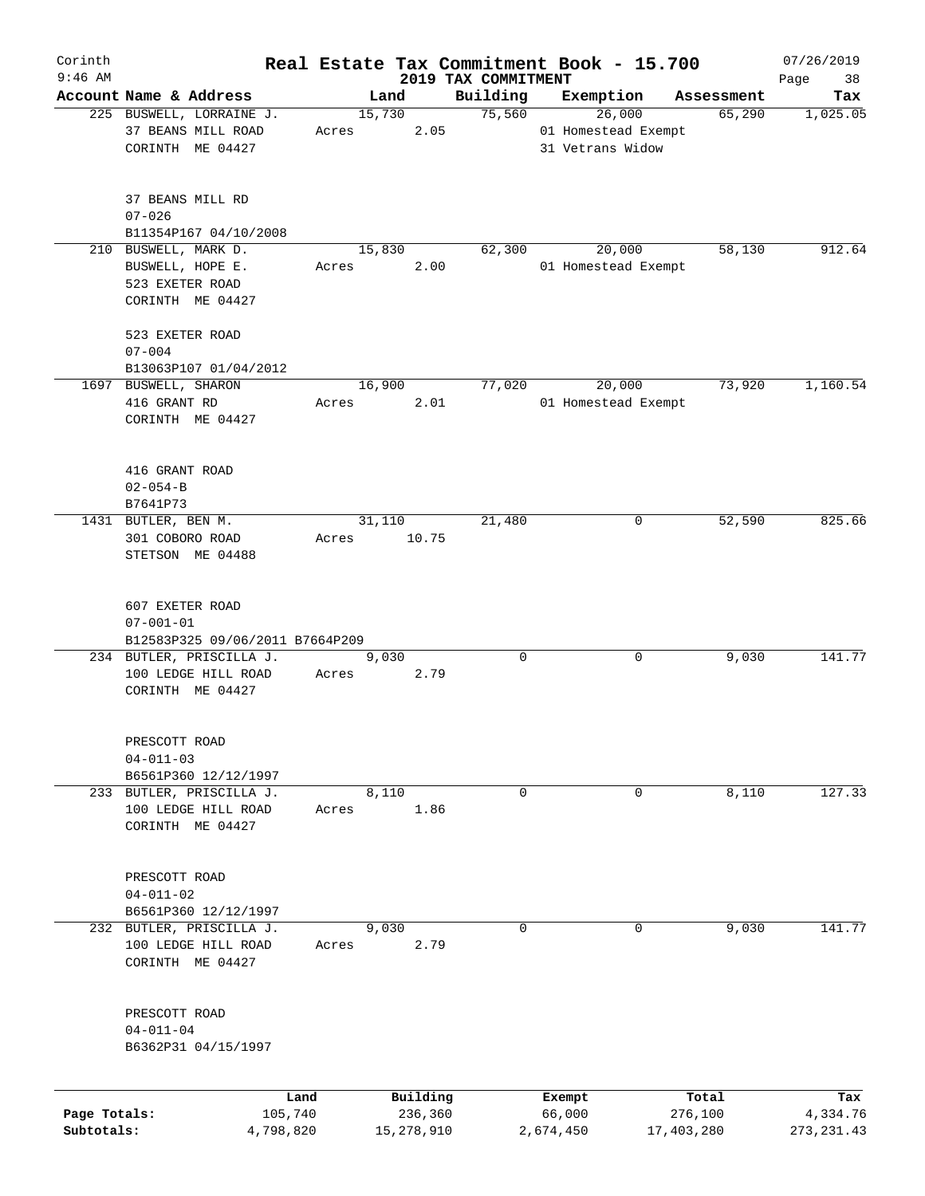| Corinth      |                                                                                 |                 |       |        |                     |                                 | Real Estate Tax Commitment Book - 15.700 |   |                  | 07/26/2019        |
|--------------|---------------------------------------------------------------------------------|-----------------|-------|--------|---------------------|---------------------------------|------------------------------------------|---|------------------|-------------------|
| $9:46$ AM    | Account Name & Address                                                          |                 |       | Land   |                     | 2019 TAX COMMITMENT<br>Building | Exemption                                |   | Assessment       | Page<br>38<br>Tax |
|              | 225 BUSWELL, LORRAINE J.                                                        |                 |       | 15,730 |                     | 75,560                          | 26,000                                   |   | 65,290           | 1,025.05          |
|              | 37 BEANS MILL ROAD<br>CORINTH ME 04427                                          |                 | Acres |        | 2.05                |                                 | 01 Homestead Exempt<br>31 Vetrans Widow  |   |                  |                   |
|              | 37 BEANS MILL RD<br>$07 - 026$                                                  |                 |       |        |                     |                                 |                                          |   |                  |                   |
|              | B11354P167 04/10/2008                                                           |                 |       |        |                     |                                 |                                          |   |                  |                   |
|              | 210 BUSWELL, MARK D.<br>BUSWELL, HOPE E.<br>523 EXETER ROAD<br>CORINTH ME 04427 |                 | Acres | 15,830 | 2.00                | 62,300                          | 20,000<br>01 Homestead Exempt            |   | 58,130           | 912.64            |
|              | 523 EXETER ROAD<br>$07 - 004$                                                   |                 |       |        |                     |                                 |                                          |   |                  |                   |
|              | B13063P107 01/04/2012                                                           |                 |       |        |                     |                                 |                                          |   |                  |                   |
|              | 1697 BUSWELL, SHARON<br>416 GRANT RD<br>CORINTH ME 04427                        |                 | Acres | 16,900 | 2.01                | 77,020                          | 20,000<br>01 Homestead Exempt            |   | 73,920           | 1,160.54          |
|              | 416 GRANT ROAD<br>$02 - 054 - B$                                                |                 |       |        |                     |                                 |                                          |   |                  |                   |
|              | B7641P73<br>1431 BUTLER, BEN M.                                                 |                 |       | 31,110 |                     | 21,480                          |                                          | 0 | 52,590           | 825.66            |
|              | 301 COBORO ROAD<br>STETSON ME 04488                                             |                 | Acres |        | 10.75               |                                 |                                          |   |                  |                   |
|              | 607 EXETER ROAD<br>$07 - 001 - 01$<br>B12583P325 09/06/2011 B7664P209           |                 |       |        |                     |                                 |                                          |   |                  |                   |
|              | 234 BUTLER, PRISCILLA J.<br>100 LEDGE HILL ROAD<br>CORINTH ME 04427             |                 | Acres | 9,030  | 2.79                | 0                               |                                          | 0 | 9,030            | 141.77            |
|              | PRESCOTT ROAD<br>$04 - 011 - 03$<br>B6561P360 12/12/1997                        |                 |       |        |                     |                                 |                                          |   |                  |                   |
|              | 233 BUTLER, PRISCILLA J.<br>100 LEDGE HILL ROAD<br>CORINTH ME 04427             |                 | Acres | 8,110  | 1.86                | 0                               |                                          | 0 | 8,110            | 127.33            |
|              | PRESCOTT ROAD<br>$04 - 011 - 02$<br>B6561P360 12/12/1997                        |                 |       |        |                     |                                 |                                          |   |                  |                   |
|              | 232 BUTLER, PRISCILLA J.                                                        |                 |       | 9,030  |                     | 0                               |                                          | 0 | 9,030            | 141.77            |
|              | 100 LEDGE HILL ROAD<br>CORINTH ME 04427                                         |                 | Acres |        | 2.79                |                                 |                                          |   |                  |                   |
|              | PRESCOTT ROAD<br>$04 - 011 - 04$<br>B6362P31 04/15/1997                         |                 |       |        |                     |                                 |                                          |   |                  |                   |
| Page Totals: |                                                                                 | Land<br>105,740 |       |        | Building<br>236,360 |                                 | Exempt<br>66,000                         |   | Total<br>276,100 | Tax<br>4,334.76   |
| Subtotals:   |                                                                                 | 4,798,820       |       |        | 15,278,910          |                                 | 2,674,450                                |   | 17,403,280       | 273, 231.43       |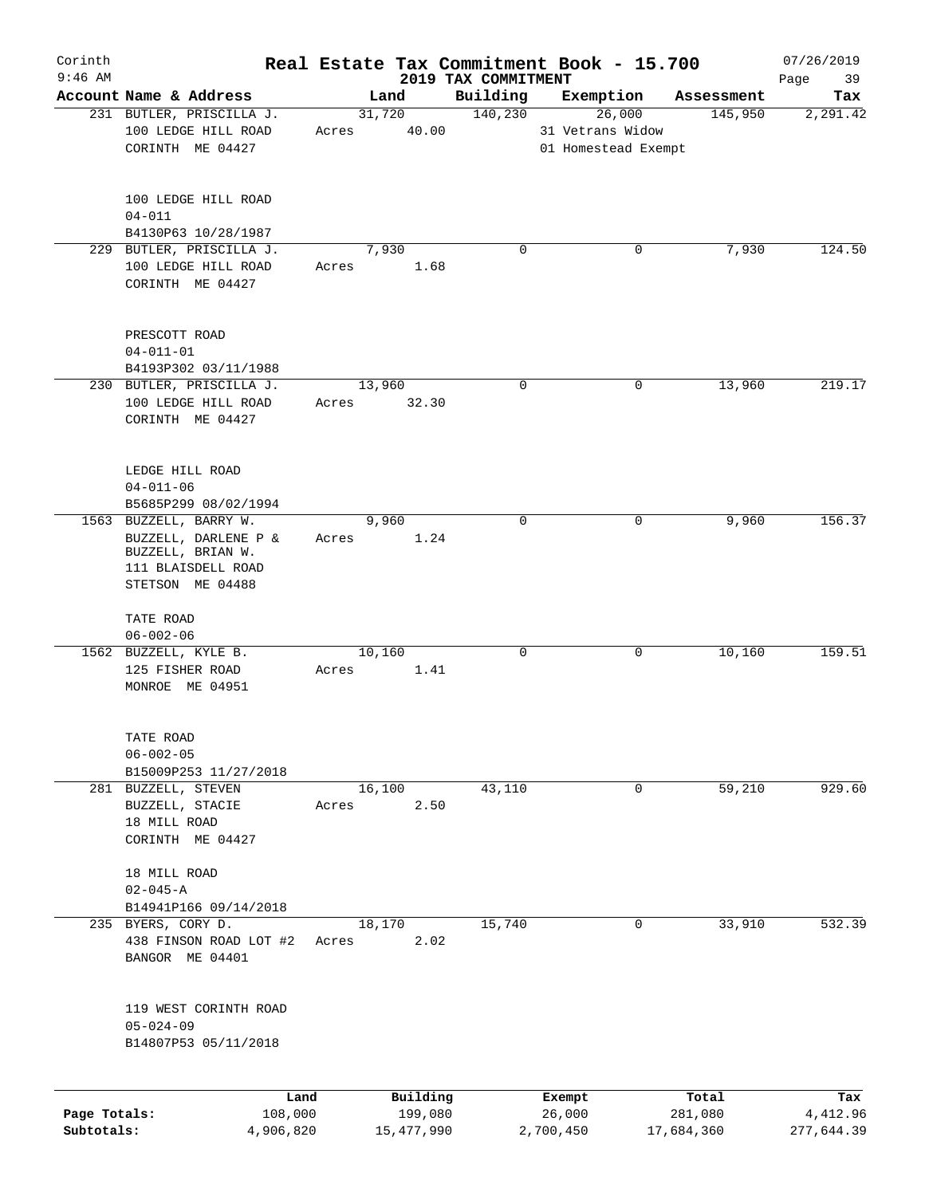| Corinth                    |                                                                                           |       |                                   |                                 | Real Estate Tax Commitment Book - 15.700 |                                | 07/26/2019                    |
|----------------------------|-------------------------------------------------------------------------------------------|-------|-----------------------------------|---------------------------------|------------------------------------------|--------------------------------|-------------------------------|
| $9:46$ AM                  | Account Name & Address                                                                    |       | Land                              | 2019 TAX COMMITMENT<br>Building | Exemption                                |                                | 39<br>Page<br>Tax             |
|                            | 231 BUTLER, PRISCILLA J.                                                                  |       | 31,720                            | 140,230                         | 26,000                                   | Assessment<br>145,950          | 2,291.42                      |
|                            | 100 LEDGE HILL ROAD<br>CORINTH ME 04427                                                   | Acres | 40.00                             |                                 | 31 Vetrans Widow<br>01 Homestead Exempt  |                                |                               |
|                            | 100 LEDGE HILL ROAD<br>$04 - 011$                                                         |       |                                   |                                 |                                          |                                |                               |
|                            | B4130P63 10/28/1987<br>229 BUTLER, PRISCILLA J.                                           |       | 7,930                             | $\mathbf 0$                     | 0                                        | 7,930                          | 124.50                        |
|                            | 100 LEDGE HILL ROAD<br>CORINTH ME 04427                                                   | Acres | 1.68                              |                                 |                                          |                                |                               |
|                            | PRESCOTT ROAD<br>$04 - 011 - 01$<br>B4193P302 03/11/1988                                  |       |                                   |                                 |                                          |                                |                               |
|                            | 230 BUTLER, PRISCILLA J.<br>100 LEDGE HILL ROAD<br>CORINTH ME 04427                       | Acres | 13,960<br>32.30                   | $\mathbf 0$                     | 0                                        | 13,960                         | 219.17                        |
|                            | LEDGE HILL ROAD<br>$04 - 011 - 06$<br>B5685P299 08/02/1994                                |       |                                   |                                 |                                          |                                |                               |
|                            | 1563 BUZZELL, BARRY W.<br>BUZZELL, DARLENE P &<br>BUZZELL, BRIAN W.<br>111 BLAISDELL ROAD | Acres | 9,960<br>1.24                     | $\mathbf 0$                     | 0                                        | 9,960                          | 156.37                        |
|                            | STETSON ME 04488<br>TATE ROAD<br>$06 - 002 - 06$                                          |       |                                   |                                 |                                          |                                |                               |
|                            | 1562 BUZZELL, KYLE B.<br>125 FISHER ROAD<br>MONROE ME 04951                               | Acres | 10,160<br>1.41                    | $\mathbf 0$                     | 0                                        | 10,160                         | 159.51                        |
|                            | TATE ROAD<br>$06 - 002 - 05$<br>B15009P253 11/27/2018                                     |       |                                   |                                 |                                          |                                |                               |
|                            | 281 BUZZELL, STEVEN<br>BUZZELL, STACIE<br>18 MILL ROAD<br>CORINTH ME 04427                | Acres | 16,100<br>2.50                    | 43,110                          | 0                                        | 59,210                         | 929.60                        |
|                            | 18 MILL ROAD<br>$02 - 045 - A$                                                            |       |                                   |                                 |                                          |                                |                               |
|                            | B14941P166 09/14/2018                                                                     |       |                                   |                                 |                                          |                                |                               |
|                            | 235 BYERS, CORY D.<br>438 FINSON ROAD LOT #2<br>BANGOR ME 04401                           | Acres | 18,170<br>2.02                    | 15,740                          | 0                                        | 33,910                         | 532.39                        |
|                            | 119 WEST CORINTH ROAD<br>$05 - 024 - 09$<br>B14807P53 05/11/2018                          |       |                                   |                                 |                                          |                                |                               |
| Page Totals:<br>Subtotals: | Land<br>108,000<br>4,906,820                                                              |       | Building<br>199,080<br>15,477,990 |                                 | Exempt<br>26,000<br>2,700,450            | Total<br>281,080<br>17,684,360 | Tax<br>4,412.96<br>277,644.39 |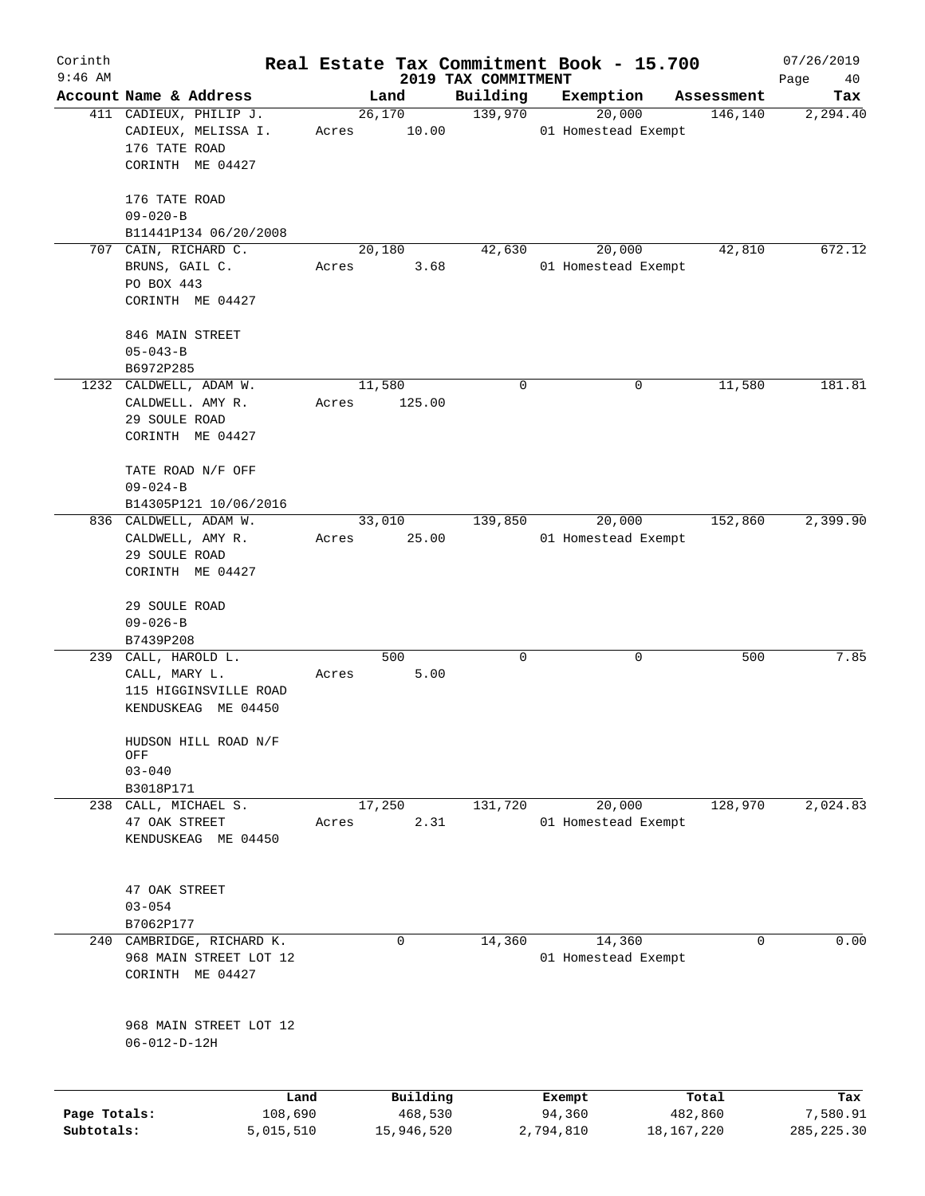| Corinth      |                                                       |                 |                     |                                 | Real Estate Tax Commitment Book - 15.700 |                  | 07/26/2019        |
|--------------|-------------------------------------------------------|-----------------|---------------------|---------------------------------|------------------------------------------|------------------|-------------------|
| $9:46$ AM    | Account Name & Address                                |                 | Land                | 2019 TAX COMMITMENT<br>Building | Exemption                                | Assessment       | Page<br>40<br>Tax |
|              | 411 CADIEUX, PHILIP J.                                |                 | 26,170              | 139,970                         | 20,000                                   | 146,140          | 2,294.40          |
|              | CADIEUX, MELISSA I.<br>176 TATE ROAD                  | Acres           | 10.00               |                                 | 01 Homestead Exempt                      |                  |                   |
|              | CORINTH ME 04427                                      |                 |                     |                                 |                                          |                  |                   |
|              | 176 TATE ROAD<br>$09 - 020 - B$                       |                 |                     |                                 |                                          |                  |                   |
|              | B11441P134 06/20/2008                                 |                 |                     |                                 |                                          |                  |                   |
|              | 707 CAIN, RICHARD C.                                  |                 | 20,180              | 42,630                          | 20,000                                   | 42,810           | 672.12            |
|              | BRUNS, GAIL C.<br>PO BOX 443                          | Acres           | 3.68                |                                 | 01 Homestead Exempt                      |                  |                   |
|              | CORINTH ME 04427                                      |                 |                     |                                 |                                          |                  |                   |
|              | 846 MAIN STREET<br>$05 - 043 - B$                     |                 |                     |                                 |                                          |                  |                   |
|              | B6972P285                                             |                 |                     |                                 |                                          |                  |                   |
|              | 1232 CALDWELL, ADAM W.                                |                 | 11,580              | 0                               | 0                                        | 11,580           | 181.81            |
|              | CALDWELL. AMY R.<br>29 SOULE ROAD<br>CORINTH ME 04427 | Acres           | 125.00              |                                 |                                          |                  |                   |
|              |                                                       |                 |                     |                                 |                                          |                  |                   |
|              | TATE ROAD N/F OFF<br>$09 - 024 - B$                   |                 |                     |                                 |                                          |                  |                   |
|              | B14305P121 10/06/2016                                 |                 |                     |                                 |                                          |                  |                   |
|              | 836 CALDWELL, ADAM W.                                 |                 | 33,010              | 139,850                         | 20,000                                   | 152,860          | 2,399.90          |
|              | CALDWELL, AMY R.<br>29 SOULE ROAD                     | Acres           | 25.00               |                                 | 01 Homestead Exempt                      |                  |                   |
|              | CORINTH ME 04427                                      |                 |                     |                                 |                                          |                  |                   |
|              |                                                       |                 |                     |                                 |                                          |                  |                   |
|              | 29 SOULE ROAD                                         |                 |                     |                                 |                                          |                  |                   |
|              | $09 - 026 - B$                                        |                 |                     |                                 |                                          |                  |                   |
|              | B7439P208<br>239 CALL, HAROLD L.                      |                 | 500                 | 0                               | 0                                        | 500              | 7.85              |
|              | CALL, MARY L.                                         | Acres           | 5.00                |                                 |                                          |                  |                   |
|              | 115 HIGGINSVILLE ROAD                                 |                 |                     |                                 |                                          |                  |                   |
|              | KENDUSKEAG ME 04450                                   |                 |                     |                                 |                                          |                  |                   |
|              | HUDSON HILL ROAD N/F<br>OFF                           |                 |                     |                                 |                                          |                  |                   |
|              | $03 - 040$                                            |                 |                     |                                 |                                          |                  |                   |
|              | B3018P171                                             |                 |                     |                                 |                                          |                  |                   |
| 238          | CALL, MICHAEL S.<br>47 OAK STREET                     | Acres           | 17,250<br>2.31      | 131,720                         | 20,000<br>01 Homestead Exempt            | 128,970          | 2,024.83          |
|              | KENDUSKEAG ME 04450                                   |                 |                     |                                 |                                          |                  |                   |
|              |                                                       |                 |                     |                                 |                                          |                  |                   |
|              | 47 OAK STREET                                         |                 |                     |                                 |                                          |                  |                   |
|              | $03 - 054$                                            |                 |                     |                                 |                                          |                  |                   |
|              | B7062P177                                             |                 |                     |                                 |                                          |                  |                   |
|              | 240 CAMBRIDGE, RICHARD K.                             |                 | $\mathbf 0$         | 14,360                          | 14,360                                   | 0                | 0.00              |
|              | 968 MAIN STREET LOT 12<br>CORINTH ME 04427            |                 |                     |                                 | 01 Homestead Exempt                      |                  |                   |
|              |                                                       |                 |                     |                                 |                                          |                  |                   |
|              | 968 MAIN STREET LOT 12                                |                 |                     |                                 |                                          |                  |                   |
|              | $06 - 012 - D - 12H$                                  |                 |                     |                                 |                                          |                  |                   |
|              |                                                       |                 |                     |                                 |                                          |                  |                   |
| Page Totals: |                                                       | Land<br>108,690 | Building<br>468,530 |                                 | Exempt<br>94,360                         | Total<br>482,860 | Tax<br>7,580.91   |
| Subtotals:   | 5,015,510                                             |                 | 15,946,520          |                                 | 2,794,810                                | 18,167,220       | 285, 225.30       |
|              |                                                       |                 |                     |                                 |                                          |                  |                   |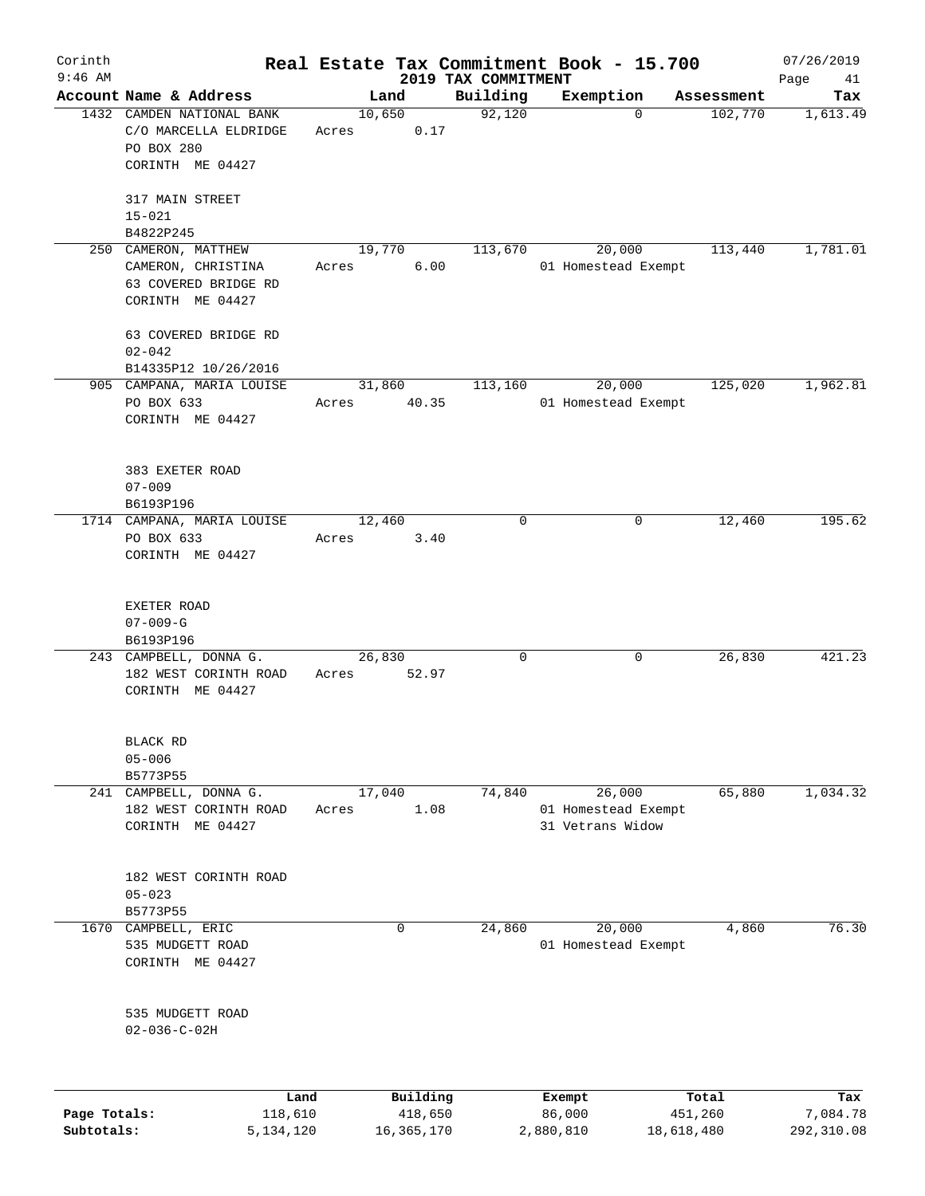| Corinth      |                                |        |          |                                 | Real Estate Tax Commitment Book - 15.700 |            | 07/26/2019        |
|--------------|--------------------------------|--------|----------|---------------------------------|------------------------------------------|------------|-------------------|
| $9:46$ AM    | Account Name & Address         |        | Land     | 2019 TAX COMMITMENT<br>Building | Exemption                                | Assessment | Page<br>41<br>Tax |
|              | 1432 CAMDEN NATIONAL BANK      | 10,650 |          | 92,120                          | $\mathbf 0$                              | 102,770    | 1,613.49          |
|              | C/O MARCELLA ELDRIDGE          | Acres  | 0.17     |                                 |                                          |            |                   |
|              | PO BOX 280<br>CORINTH ME 04427 |        |          |                                 |                                          |            |                   |
|              |                                |        |          |                                 |                                          |            |                   |
|              | 317 MAIN STREET                |        |          |                                 |                                          |            |                   |
|              | $15 - 021$<br>B4822P245        |        |          |                                 |                                          |            |                   |
|              | 250 CAMERON, MATTHEW           | 19,770 |          | 113,670                         | 20,000                                   | 113,440    | 1,781.01          |
|              | CAMERON, CHRISTINA             | Acres  | 6.00     |                                 | 01 Homestead Exempt                      |            |                   |
|              | 63 COVERED BRIDGE RD           |        |          |                                 |                                          |            |                   |
|              | CORINTH ME 04427               |        |          |                                 |                                          |            |                   |
|              | 63 COVERED BRIDGE RD           |        |          |                                 |                                          |            |                   |
|              | $02 - 042$                     |        |          |                                 |                                          |            |                   |
|              | B14335P12 10/26/2016           |        |          |                                 |                                          |            |                   |
|              | 905 CAMPANA, MARIA LOUISE      | 31,860 |          | 113,160                         | 20,000                                   | 125,020    | 1,962.81          |
|              | PO BOX 633                     | Acres  | 40.35    |                                 | 01 Homestead Exempt                      |            |                   |
|              | CORINTH ME 04427               |        |          |                                 |                                          |            |                   |
|              |                                |        |          |                                 |                                          |            |                   |
|              | 383 EXETER ROAD                |        |          |                                 |                                          |            |                   |
|              | $07 - 009$<br>B6193P196        |        |          |                                 |                                          |            |                   |
|              | 1714 CAMPANA, MARIA LOUISE     | 12,460 |          | 0                               | 0                                        | 12,460     | 195.62            |
|              | PO BOX 633                     | Acres  | 3.40     |                                 |                                          |            |                   |
|              | CORINTH ME 04427               |        |          |                                 |                                          |            |                   |
|              | EXETER ROAD<br>$07 - 009 - G$  |        |          |                                 |                                          |            |                   |
|              | B6193P196                      |        |          |                                 |                                          |            |                   |
|              | 243 CAMPBELL, DONNA G.         | 26,830 |          | 0                               | 0                                        | 26,830     | 421.23            |
|              | 182 WEST CORINTH ROAD          | Acres  | 52.97    |                                 |                                          |            |                   |
|              | CORINTH ME 04427               |        |          |                                 |                                          |            |                   |
|              |                                |        |          |                                 |                                          |            |                   |
|              | BLACK RD                       |        |          |                                 |                                          |            |                   |
|              | $05 - 006$<br>B5773P55         |        |          |                                 |                                          |            |                   |
|              | 241 CAMPBELL, DONNA G.         | 17,040 |          | 74,840                          | 26,000                                   | 65,880     | 1,034.32          |
|              | 182 WEST CORINTH ROAD          | Acres  | 1.08     |                                 | 01 Homestead Exempt                      |            |                   |
|              | CORINTH ME 04427               |        |          |                                 | 31 Vetrans Widow                         |            |                   |
|              |                                |        |          |                                 |                                          |            |                   |
|              | 182 WEST CORINTH ROAD          |        |          |                                 |                                          |            |                   |
|              | $05 - 023$                     |        |          |                                 |                                          |            |                   |
|              | B5773P55                       |        |          |                                 |                                          |            |                   |
| 1670         | CAMPBELL, ERIC                 |        | 0        | 24,860                          | 20,000                                   | 4,860      | 76.30             |
|              | 535 MUDGETT ROAD               |        |          |                                 | 01 Homestead Exempt                      |            |                   |
|              | CORINTH ME 04427               |        |          |                                 |                                          |            |                   |
|              | 535 MUDGETT ROAD               |        |          |                                 |                                          |            |                   |
|              | $02 - 036 - C - 02H$           |        |          |                                 |                                          |            |                   |
|              |                                |        |          |                                 |                                          |            |                   |
|              | Land                           |        | Building |                                 | Exempt                                   | Total      | Tax               |
| Page Totals: | 118,610                        |        | 418,650  |                                 | 86,000                                   | 451,260    | 7,084.78          |

**Subtotals:** 5,134,120 16,365,170 2,880,810 18,618,480 292,310.08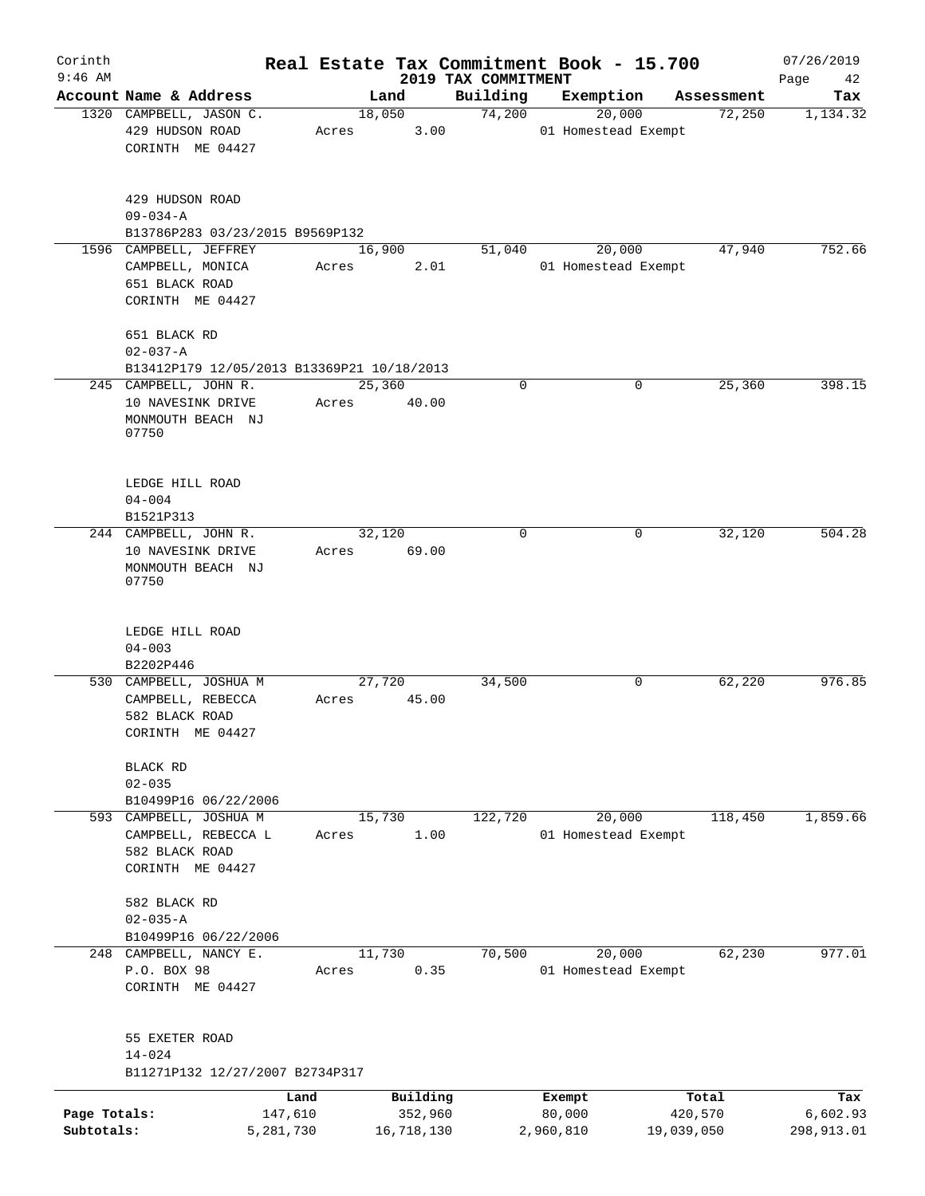| Corinth      |                                            |       |            |                                 | Real Estate Tax Commitment Book - 15.700 |            | 07/26/2019        |
|--------------|--------------------------------------------|-------|------------|---------------------------------|------------------------------------------|------------|-------------------|
| $9:46$ AM    | Account Name & Address                     |       | Land       | 2019 TAX COMMITMENT<br>Building | Exemption                                | Assessment | Page<br>42<br>Tax |
|              | 1320 CAMPBELL, JASON C.                    |       | 18,050     | 74,200                          | 20,000                                   | 72,250     | 1,134.32          |
|              | 429 HUDSON ROAD                            | Acres | 3.00       |                                 | 01 Homestead Exempt                      |            |                   |
|              | CORINTH ME 04427                           |       |            |                                 |                                          |            |                   |
|              |                                            |       |            |                                 |                                          |            |                   |
|              |                                            |       |            |                                 |                                          |            |                   |
|              | 429 HUDSON ROAD                            |       |            |                                 |                                          |            |                   |
|              | $09 - 034 - A$                             |       |            |                                 |                                          |            |                   |
|              | B13786P283 03/23/2015 B9569P132            |       |            |                                 |                                          |            |                   |
|              | 1596 CAMPBELL, JEFFREY                     |       | 16,900     | 51,040                          | 20,000                                   | 47,940     | 752.66            |
|              | CAMPBELL, MONICA                           | Acres | 2.01       |                                 | 01 Homestead Exempt                      |            |                   |
|              | 651 BLACK ROAD                             |       |            |                                 |                                          |            |                   |
|              | CORINTH ME 04427                           |       |            |                                 |                                          |            |                   |
|              | 651 BLACK RD                               |       |            |                                 |                                          |            |                   |
|              | $02 - 037 - A$                             |       |            |                                 |                                          |            |                   |
|              | B13412P179 12/05/2013 B13369P21 10/18/2013 |       |            |                                 |                                          |            |                   |
|              | 245 CAMPBELL, JOHN R.                      |       | 25,360     | 0                               | 0                                        | 25,360     | 398.15            |
|              | 10 NAVESINK DRIVE                          | Acres | 40.00      |                                 |                                          |            |                   |
|              | MONMOUTH BEACH NJ                          |       |            |                                 |                                          |            |                   |
|              | 07750                                      |       |            |                                 |                                          |            |                   |
|              |                                            |       |            |                                 |                                          |            |                   |
|              |                                            |       |            |                                 |                                          |            |                   |
|              | LEDGE HILL ROAD                            |       |            |                                 |                                          |            |                   |
|              | $04 - 004$                                 |       |            |                                 |                                          |            |                   |
|              | B1521P313                                  |       |            |                                 |                                          |            |                   |
|              | 244 CAMPBELL, JOHN R.                      |       | 32,120     | $\Omega$                        | 0                                        | 32,120     | 504.28            |
|              | 10 NAVESINK DRIVE                          | Acres | 69.00      |                                 |                                          |            |                   |
|              | MONMOUTH BEACH NJ<br>07750                 |       |            |                                 |                                          |            |                   |
|              |                                            |       |            |                                 |                                          |            |                   |
|              |                                            |       |            |                                 |                                          |            |                   |
|              | LEDGE HILL ROAD                            |       |            |                                 |                                          |            |                   |
|              | $04 - 003$                                 |       |            |                                 |                                          |            |                   |
|              | B2202P446                                  |       |            |                                 |                                          |            |                   |
|              | 530 CAMPBELL, JOSHUA M                     |       | 27,720     | 34,500                          | $\mathbf 0$                              | 62,220     | 976.85            |
|              | CAMPBELL, REBECCA                          | Acres | 45.00      |                                 |                                          |            |                   |
|              | 582 BLACK ROAD                             |       |            |                                 |                                          |            |                   |
|              | CORINTH ME 04427                           |       |            |                                 |                                          |            |                   |
|              | BLACK RD                                   |       |            |                                 |                                          |            |                   |
|              | $02 - 035$                                 |       |            |                                 |                                          |            |                   |
|              | B10499P16 06/22/2006                       |       |            |                                 |                                          |            |                   |
|              | 593 CAMPBELL, JOSHUA M                     |       | 15,730     | 122,720                         | 20,000                                   | 118,450    | 1,859.66          |
|              | CAMPBELL, REBECCA L                        | Acres | 1.00       |                                 | 01 Homestead Exempt                      |            |                   |
|              | 582 BLACK ROAD                             |       |            |                                 |                                          |            |                   |
|              | CORINTH ME 04427                           |       |            |                                 |                                          |            |                   |
|              |                                            |       |            |                                 |                                          |            |                   |
|              | 582 BLACK RD                               |       |            |                                 |                                          |            |                   |
|              | $02 - 035 - A$                             |       |            |                                 |                                          |            |                   |
|              | B10499P16 06/22/2006                       |       |            |                                 |                                          |            |                   |
|              | 248 CAMPBELL, NANCY E.                     |       | 11,730     | 70,500                          | 20,000                                   | 62,230     | 977.01            |
|              | P.O. BOX 98                                | Acres | 0.35       |                                 | 01 Homestead Exempt                      |            |                   |
|              | CORINTH ME 04427                           |       |            |                                 |                                          |            |                   |
|              |                                            |       |            |                                 |                                          |            |                   |
|              | 55 EXETER ROAD                             |       |            |                                 |                                          |            |                   |
|              | $14 - 024$                                 |       |            |                                 |                                          |            |                   |
|              | B11271P132 12/27/2007 B2734P317            |       |            |                                 |                                          |            |                   |
|              | Land                                       |       | Building   |                                 | Exempt                                   | Total      | Tax               |
| Page Totals: | 147,610                                    |       | 352,960    |                                 | 80,000                                   | 420,570    | 6,602.93          |
| Subtotals:   | 5,281,730                                  |       | 16,718,130 |                                 | 2,960,810                                | 19,039,050 | 298,913.01        |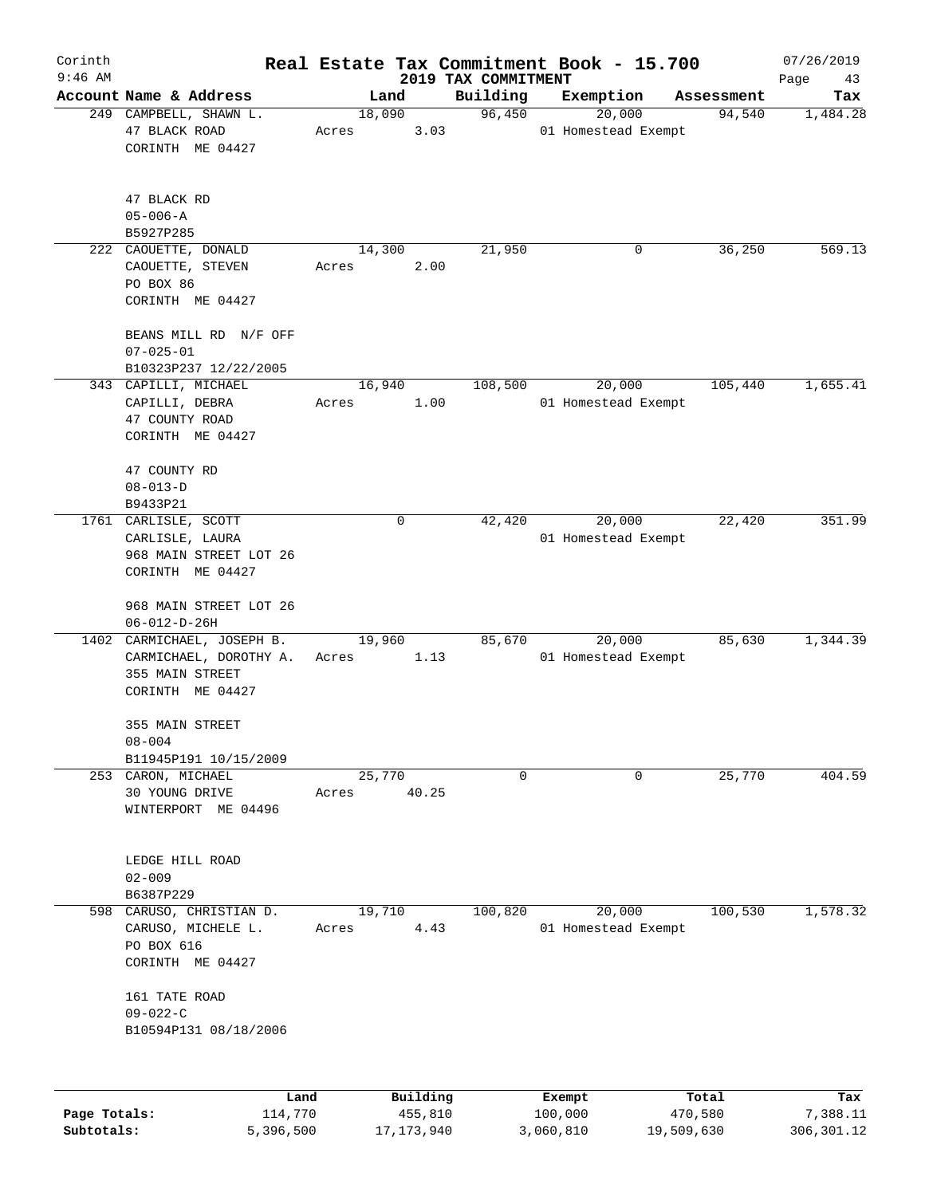| Corinth      |                                                                                             |                 |          |                                 | Real Estate Tax Commitment Book - 15.700 |                      | 07/26/2019      |
|--------------|---------------------------------------------------------------------------------------------|-----------------|----------|---------------------------------|------------------------------------------|----------------------|-----------------|
| $9:46$ AM    | Account Name & Address                                                                      |                 |          | 2019 TAX COMMITMENT<br>Building |                                          |                      | Page<br>43      |
|              | 249 CAMPBELL, SHAWN L.                                                                      | 18,090          | Land     | 96,450                          | Exemption<br>20,000                      | Assessment<br>94,540 | Tax<br>1,484.28 |
|              | 47 BLACK ROAD<br>CORINTH ME 04427                                                           | Acres           | 3.03     |                                 | 01 Homestead Exempt                      |                      |                 |
|              | 47 BLACK RD<br>$05 - 006 - A$<br>B5927P285                                                  |                 |          |                                 |                                          |                      |                 |
|              | 222 CAOUETTE, DONALD                                                                        | 14,300          |          | 21,950                          | 0                                        | 36,250               | 569.13          |
|              | CAOUETTE, STEVEN<br>PO BOX 86<br>CORINTH ME 04427                                           | Acres           | 2.00     |                                 |                                          |                      |                 |
|              | BEANS MILL RD N/F OFF<br>$07 - 025 - 01$<br>B10323P237 12/22/2005                           |                 |          |                                 |                                          |                      |                 |
|              | 343 CAPILLI, MICHAEL                                                                        | 16,940          |          | 108,500                         | 20,000                                   | 105,440              | 1,655.41        |
|              | CAPILLI, DEBRA<br>47 COUNTY ROAD<br>CORINTH ME 04427                                        | Acres           | 1.00     |                                 | 01 Homestead Exempt                      |                      |                 |
|              | 47 COUNTY RD<br>$08 - 013 - D$                                                              |                 |          |                                 |                                          |                      |                 |
|              | B9433P21                                                                                    |                 |          |                                 |                                          |                      |                 |
|              | 1761 CARLISLE, SCOTT                                                                        |                 | 0        | 42,420                          | 20,000                                   | 22,420               | 351.99          |
|              | CARLISLE, LAURA<br>968 MAIN STREET LOT 26<br>CORINTH ME 04427                               |                 |          |                                 | 01 Homestead Exempt                      |                      |                 |
|              | 968 MAIN STREET LOT 26<br>$06 - 012 - D - 26H$                                              |                 |          |                                 |                                          |                      |                 |
|              | 1402 CARMICHAEL, JOSEPH B.<br>CARMICHAEL, DOROTHY A.<br>355 MAIN STREET<br>CORINTH ME 04427 | 19,960<br>Acres | 1.13     | 85,670                          | 20,000<br>01 Homestead Exempt            | 85,630               | 1,344.39        |
|              | 355 MAIN STREET<br>$08 - 004$                                                               |                 |          |                                 |                                          |                      |                 |
|              | B11945P191 10/15/2009<br>253 CARON, MICHAEL                                                 | 25,770          |          | 0                               | 0                                        | 25,770               | 404.59          |
|              | 30 YOUNG DRIVE<br>WINTERPORT ME 04496                                                       | Acres           | 40.25    |                                 |                                          |                      |                 |
|              | LEDGE HILL ROAD<br>$02 - 009$<br>B6387P229                                                  |                 |          |                                 |                                          |                      |                 |
| 598          | CARUSO, CHRISTIAN D.                                                                        | 19,710          |          | 100,820                         | 20,000                                   | 100,530              | 1,578.32        |
|              | CARUSO, MICHELE L.<br>PO BOX 616<br>CORINTH ME 04427                                        | Acres           | 4.43     |                                 | 01 Homestead Exempt                      |                      |                 |
|              | 161 TATE ROAD<br>$09 - 022 - C$<br>B10594P131 08/18/2006                                    |                 |          |                                 |                                          |                      |                 |
|              |                                                                                             |                 |          |                                 |                                          |                      |                 |
|              | Land                                                                                        |                 | Building |                                 | Exempt                                   | Total                | Tax             |
| Page Totals: | 114,770                                                                                     |                 | 455,810  |                                 | 100,000                                  | 470,580              | 7,388.11        |

**Subtotals:** 5,396,500 17,173,940 3,060,810 19,509,630 306,301.12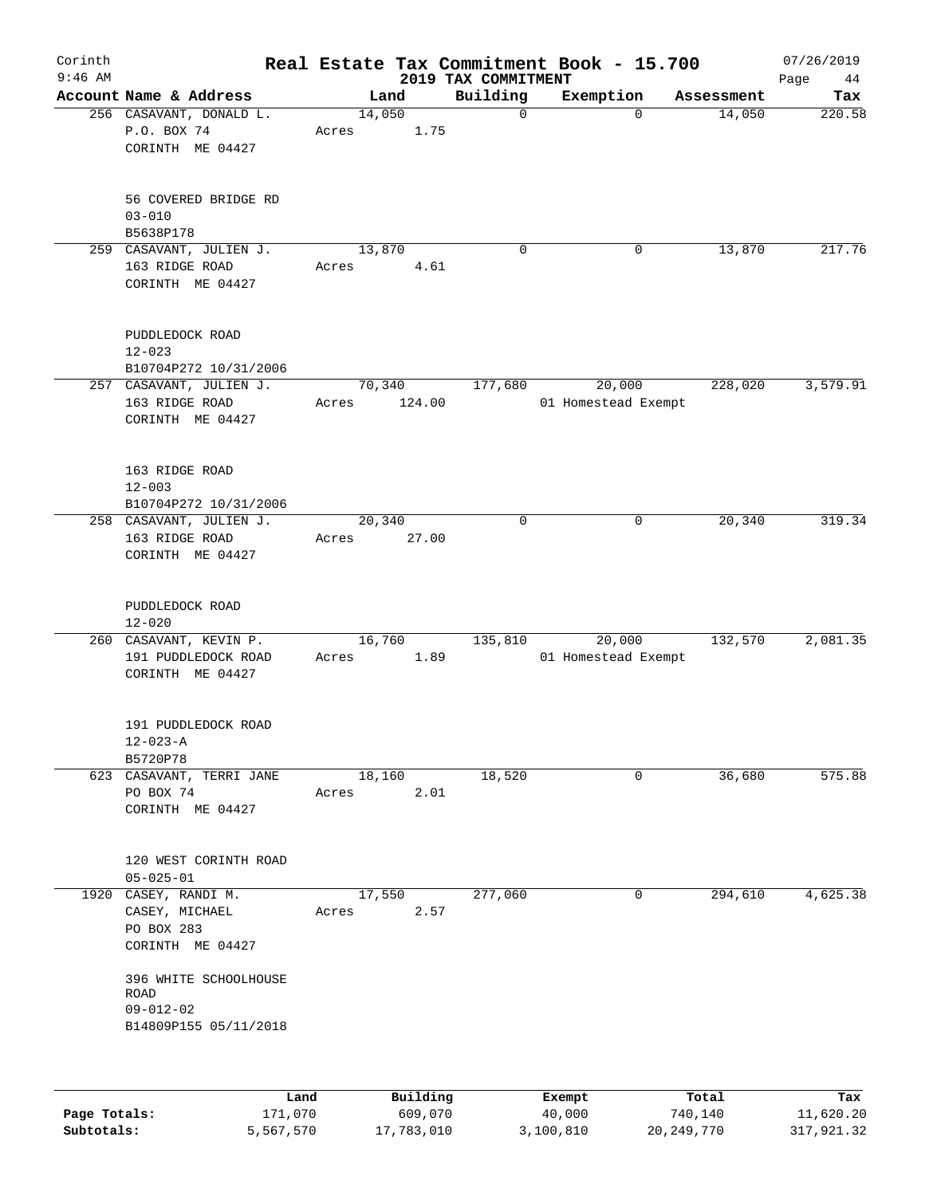| Corinth      |                                                 |       |          |                                 | Real Estate Tax Commitment Book - 15.700 |                      | 07/26/2019    |
|--------------|-------------------------------------------------|-------|----------|---------------------------------|------------------------------------------|----------------------|---------------|
| $9:46$ AM    | Account Name & Address                          |       | Land     | 2019 TAX COMMITMENT<br>Building | Exemption                                |                      | Page<br>44    |
|              | 256 CASAVANT, DONALD L.                         |       | 14,050   | $\mathbf 0$                     | $\mathbf 0$                              | Assessment<br>14,050 | Tax<br>220.58 |
|              | P.O. BOX 74<br>CORINTH ME 04427                 | Acres | 1.75     |                                 |                                          |                      |               |
|              |                                                 |       |          |                                 |                                          |                      |               |
|              | 56 COVERED BRIDGE RD<br>$03 - 010$<br>B5638P178 |       |          |                                 |                                          |                      |               |
|              | 259 CASAVANT, JULIEN J.                         |       | 13,870   | $\mathbf 0$                     | 0                                        | 13,870               | 217.76        |
|              | 163 RIDGE ROAD<br>CORINTH ME 04427              | Acres | 4.61     |                                 |                                          |                      |               |
|              | PUDDLEDOCK ROAD<br>$12 - 023$                   |       |          |                                 |                                          |                      |               |
|              | B10704P272 10/31/2006                           |       |          |                                 |                                          |                      |               |
|              | 257 CASAVANT, JULIEN J.                         |       | 70,340   | 177,680                         | 20,000                                   | 228,020              | 3,579.91      |
|              | 163 RIDGE ROAD<br>CORINTH ME 04427              | Acres | 124.00   |                                 | 01 Homestead Exempt                      |                      |               |
|              | 163 RIDGE ROAD<br>$12 - 003$                    |       |          |                                 |                                          |                      |               |
|              | B10704P272 10/31/2006                           |       |          |                                 |                                          |                      |               |
|              | 258 CASAVANT, JULIEN J.                         |       | 20,340   | $\mathbf 0$                     | 0                                        | 20,340               | 319.34        |
|              | 163 RIDGE ROAD                                  | Acres | 27.00    |                                 |                                          |                      |               |
|              | CORINTH ME 04427                                |       |          |                                 |                                          |                      |               |
|              | PUDDLEDOCK ROAD                                 |       |          |                                 |                                          |                      |               |
|              | $12 - 020$<br>260 CASAVANT, KEVIN P.            |       | 16,760   | 135,810                         | 20,000                                   | 132,570              | 2,081.35      |
|              | 191 PUDDLEDOCK ROAD                             | Acres | 1.89     |                                 | 01 Homestead Exempt                      |                      |               |
|              | CORINTH ME 04427                                |       |          |                                 |                                          |                      |               |
|              | 191 PUDDLEDOCK ROAD                             |       |          |                                 |                                          |                      |               |
|              | $12 - 023 - A$                                  |       |          |                                 |                                          |                      |               |
|              | B5720P78<br>623 CASAVANT, TERRI JANE            |       | 18,160   | 18,520                          | 0                                        | 36,680               | 575.88        |
|              | PO BOX 74                                       | Acres | 2.01     |                                 |                                          |                      |               |
|              | CORINTH ME 04427                                |       |          |                                 |                                          |                      |               |
|              | 120 WEST CORINTH ROAD                           |       |          |                                 |                                          |                      |               |
|              | $05 - 025 - 01$<br>CASEY, RANDI M.              |       | 17,550   |                                 |                                          | 294,610              | 4,625.38      |
| 1920         | CASEY, MICHAEL                                  | Acres | 2.57     | 277,060                         | 0                                        |                      |               |
|              | PO BOX 283                                      |       |          |                                 |                                          |                      |               |
|              | CORINTH ME 04427                                |       |          |                                 |                                          |                      |               |
|              | 396 WHITE SCHOOLHOUSE<br>ROAD                   |       |          |                                 |                                          |                      |               |
|              | $09 - 012 - 02$                                 |       |          |                                 |                                          |                      |               |
|              | B14809P155 05/11/2018                           |       |          |                                 |                                          |                      |               |
|              |                                                 |       |          |                                 |                                          |                      |               |
|              | Land                                            |       | Building |                                 | Exempt                                   | Total                | Tax           |
| Page Totals: | 171,070                                         |       | 609,070  |                                 | 40,000                                   | 740,140              | 11,620.20     |

**Subtotals:** 5,567,570 17,783,010 3,100,810 20,249,770 317,921.32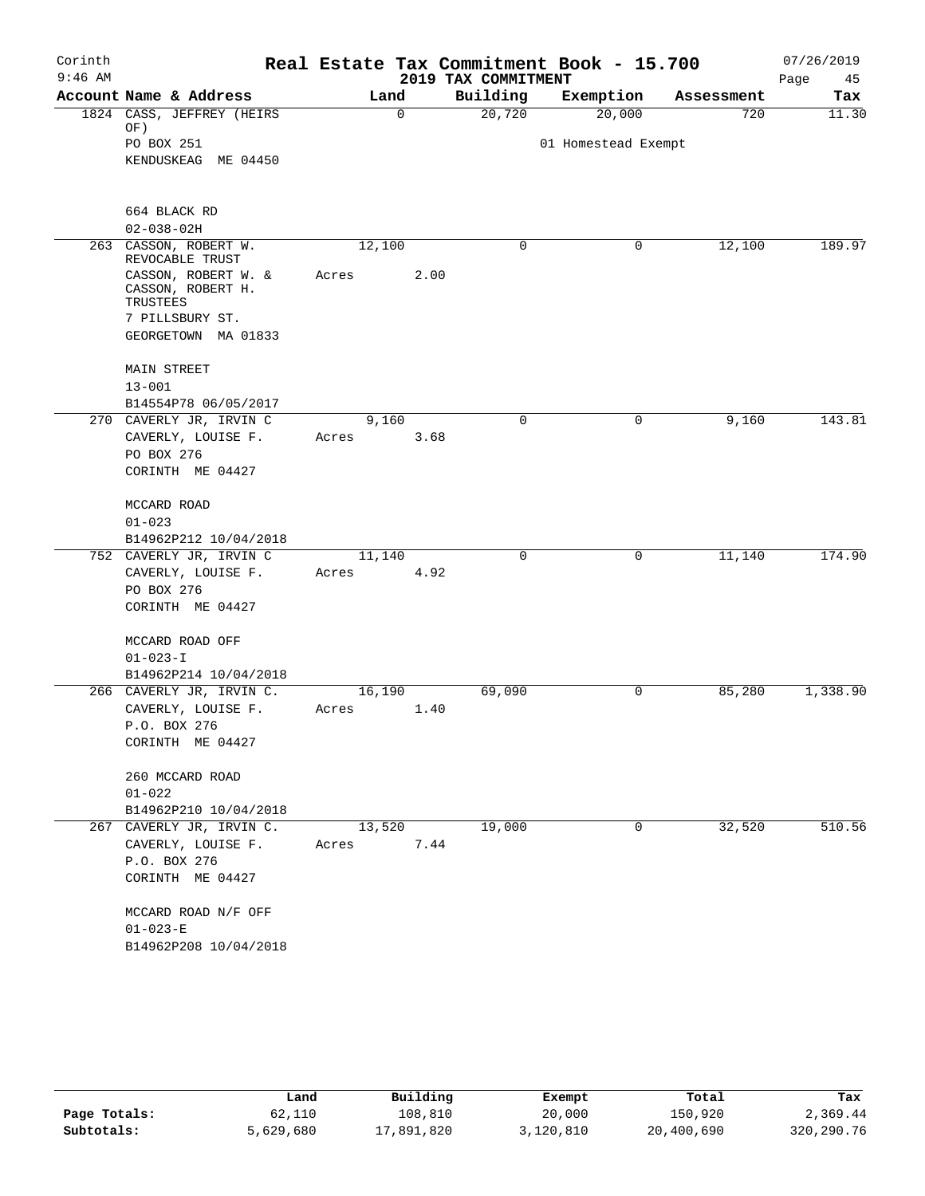| Corinth   |                                                      |       |             |      |                     | Real Estate Tax Commitment Book - 15.700 |            | 07/26/2019 |
|-----------|------------------------------------------------------|-------|-------------|------|---------------------|------------------------------------------|------------|------------|
| $9:46$ AM |                                                      |       |             |      | 2019 TAX COMMITMENT |                                          |            | 45<br>Page |
|           | Account Name & Address                               |       | Land        |      | Building            | Exemption                                | Assessment | Tax        |
|           | 1824 CASS, JEFFREY (HEIRS)                           |       | $\mathbf 0$ |      | 20,720              | 20,000                                   | 720        | 11.30      |
|           | OF)                                                  |       |             |      |                     |                                          |            |            |
|           | PO BOX 251                                           |       |             |      |                     | 01 Homestead Exempt                      |            |            |
|           | KENDUSKEAG ME 04450                                  |       |             |      |                     |                                          |            |            |
|           |                                                      |       |             |      |                     |                                          |            |            |
|           | 664 BLACK RD                                         |       |             |      |                     |                                          |            |            |
|           | $02 - 038 - 02H$                                     |       |             |      |                     |                                          |            |            |
|           | 263 CASSON, ROBERT W.<br>REVOCABLE TRUST             |       | 12,100      |      | 0                   | $\mathbf 0$                              | 12,100     | 189.97     |
|           | CASSON, ROBERT W. &<br>CASSON, ROBERT H.<br>TRUSTEES | Acres |             | 2.00 |                     |                                          |            |            |
|           | 7 PILLSBURY ST.                                      |       |             |      |                     |                                          |            |            |
|           | GEORGETOWN MA 01833                                  |       |             |      |                     |                                          |            |            |
|           |                                                      |       |             |      |                     |                                          |            |            |
|           | <b>MAIN STREET</b>                                   |       |             |      |                     |                                          |            |            |
|           | $13 - 001$                                           |       |             |      |                     |                                          |            |            |
|           | B14554P78 06/05/2017                                 |       |             |      |                     |                                          |            |            |
|           | 270 CAVERLY JR, IRVIN C                              |       | 9,160       |      | $\mathbf 0$         | 0                                        | 9,160      | 143.81     |
|           | CAVERLY, LOUISE F.                                   | Acres |             | 3.68 |                     |                                          |            |            |
|           | PO BOX 276                                           |       |             |      |                     |                                          |            |            |
|           | CORINTH ME 04427                                     |       |             |      |                     |                                          |            |            |
|           | MCCARD ROAD                                          |       |             |      |                     |                                          |            |            |
|           | $01 - 023$                                           |       |             |      |                     |                                          |            |            |
|           | B14962P212 10/04/2018                                |       |             |      |                     |                                          |            |            |
|           | 752 CAVERLY JR, IRVIN C                              |       | 11,140      |      | $\mathbf 0$         | 0                                        | 11,140     | 174.90     |
|           | CAVERLY, LOUISE F.                                   | Acres |             | 4.92 |                     |                                          |            |            |
|           | PO BOX 276                                           |       |             |      |                     |                                          |            |            |
|           | CORINTH ME 04427                                     |       |             |      |                     |                                          |            |            |
|           |                                                      |       |             |      |                     |                                          |            |            |
|           | MCCARD ROAD OFF                                      |       |             |      |                     |                                          |            |            |
|           | $01 - 023 - I$                                       |       |             |      |                     |                                          |            |            |
|           | B14962P214 10/04/2018                                |       |             |      |                     |                                          |            |            |
|           | 266 CAVERLY JR, IRVIN C.                             |       | 16,190      |      | 69,090              | 0                                        | 85,280     | 1,338.90   |
|           | CAVERLY, LOUISE F.                                   | Acres |             | 1.40 |                     |                                          |            |            |
|           | P.O. BOX 276                                         |       |             |      |                     |                                          |            |            |
|           | CORINTH ME 04427                                     |       |             |      |                     |                                          |            |            |
|           | 260 MCCARD ROAD                                      |       |             |      |                     |                                          |            |            |
|           | $01 - 022$                                           |       |             |      |                     |                                          |            |            |
|           | B14962P210 10/04/2018                                |       |             |      |                     |                                          |            |            |
|           | 267 CAVERLY JR, IRVIN C.                             |       | 13,520      |      | 19,000              | 0                                        | 32,520     | 510.56     |
|           | CAVERLY, LOUISE F.                                   | Acres |             | 7.44 |                     |                                          |            |            |
|           | P.O. BOX 276                                         |       |             |      |                     |                                          |            |            |
|           |                                                      |       |             |      |                     |                                          |            |            |
|           | CORINTH ME 04427                                     |       |             |      |                     |                                          |            |            |
|           | MCCARD ROAD N/F OFF                                  |       |             |      |                     |                                          |            |            |
|           | $01 - 023 - E$                                       |       |             |      |                     |                                          |            |            |
|           | B14962P208 10/04/2018                                |       |             |      |                     |                                          |            |            |
|           |                                                      |       |             |      |                     |                                          |            |            |

|              | Land      | Building   | Exempt    | Total      | Tax        |
|--------------|-----------|------------|-----------|------------|------------|
| Page Totals: | 62,110    | 108,810    | 20,000    | 150,920    | 2,369.44   |
| Subtotals:   | 5,629,680 | 17,891,820 | 3,120,810 | 20,400,690 | 320,290.76 |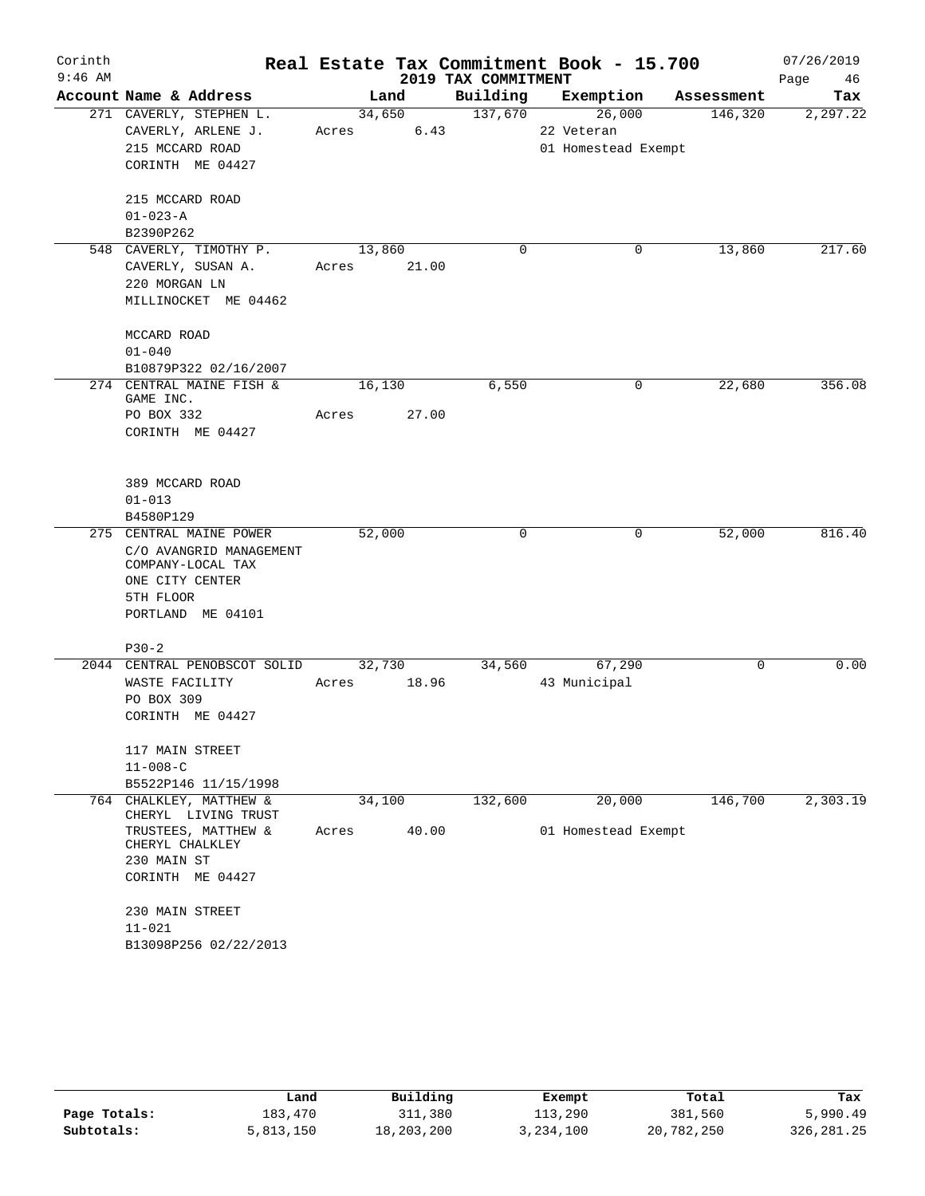| Corinth   |                                                |             |        |                     | Real Estate Tax Commitment Book - 15.700 |            | 07/26/2019 |
|-----------|------------------------------------------------|-------------|--------|---------------------|------------------------------------------|------------|------------|
| $9:46$ AM |                                                |             |        | 2019 TAX COMMITMENT |                                          |            | Page<br>46 |
|           | Account Name & Address                         |             | Land   |                     | Building Exemption                       | Assessment | Tax        |
|           | 271 CAVERLY, STEPHEN L.                        |             | 34,650 | 137,670             | 26,000                                   | 146,320    | 2,297.22   |
|           | CAVERLY, ARLENE J.                             | Acres       | 6.43   |                     | 22 Veteran                               |            |            |
|           | 215 MCCARD ROAD                                |             |        |                     | 01 Homestead Exempt                      |            |            |
|           | CORINTH ME 04427                               |             |        |                     |                                          |            |            |
|           | 215 MCCARD ROAD                                |             |        |                     |                                          |            |            |
|           | $01 - 023 - A$                                 |             |        |                     |                                          |            |            |
|           | B2390P262                                      |             |        |                     |                                          |            |            |
|           | 548 CAVERLY, TIMOTHY P.                        | 13,860      |        | $\mathbf 0$         | 0                                        | 13,860     | 217.60     |
|           | CAVERLY, SUSAN A.                              | Acres 21.00 |        |                     |                                          |            |            |
|           | 220 MORGAN LN                                  |             |        |                     |                                          |            |            |
|           | MILLINOCKET ME 04462                           |             |        |                     |                                          |            |            |
|           | MCCARD ROAD                                    |             |        |                     |                                          |            |            |
|           | $01 - 040$                                     |             |        |                     |                                          |            |            |
|           | B10879P322 02/16/2007                          |             |        |                     |                                          |            |            |
|           | 274 CENTRAL MAINE FISH &<br>GAME INC.          | 16,130      |        | 6,550               | 0                                        | 22,680     | 356.08     |
|           | PO BOX 332                                     | Acres       | 27.00  |                     |                                          |            |            |
|           | CORINTH ME 04427                               |             |        |                     |                                          |            |            |
|           |                                                |             |        |                     |                                          |            |            |
|           | 389 MCCARD ROAD                                |             |        |                     |                                          |            |            |
|           | $01 - 013$                                     |             |        |                     |                                          |            |            |
|           | B4580P129                                      |             |        |                     |                                          |            |            |
|           | 275 CENTRAL MAINE POWER                        | 52,000      |        | $\Omega$            | 0                                        | 52,000     | 816.40     |
|           | C/O AVANGRID MANAGEMENT<br>COMPANY-LOCAL TAX   |             |        |                     |                                          |            |            |
|           | ONE CITY CENTER                                |             |        |                     |                                          |            |            |
|           | 5TH FLOOR                                      |             |        |                     |                                          |            |            |
|           | PORTLAND ME 04101                              |             |        |                     |                                          |            |            |
|           | $P30-2$                                        |             |        |                     |                                          |            |            |
|           | 2044 CENTRAL PENOBSCOT SOLID                   | 32,730      |        |                     | 34,560<br>67,290                         | 0          | 0.00       |
|           | WASTE FACILITY                                 | Acres       | 18.96  |                     | 43 Municipal                             |            |            |
|           | PO BOX 309                                     |             |        |                     |                                          |            |            |
|           | CORINTH ME 04427                               |             |        |                     |                                          |            |            |
|           | 117 MAIN STREET                                |             |        |                     |                                          |            |            |
|           | $11 - 008 - C$                                 |             |        |                     |                                          |            |            |
|           | B5522P146 11/15/1998                           |             |        |                     |                                          |            |            |
|           | 764 CHALKLEY, MATTHEW &<br>CHERYL LIVING TRUST | 34,100      |        | 132,600             | 20,000                                   | 146,700    | 2,303.19   |
|           | TRUSTEES, MATTHEW &<br>CHERYL CHALKLEY         | Acres       | 40.00  |                     | 01 Homestead Exempt                      |            |            |
|           | 230 MAIN ST                                    |             |        |                     |                                          |            |            |
|           | CORINTH ME 04427                               |             |        |                     |                                          |            |            |
|           | 230 MAIN STREET                                |             |        |                     |                                          |            |            |
|           | $11 - 021$                                     |             |        |                     |                                          |            |            |
|           | B13098P256 02/22/2013                          |             |        |                     |                                          |            |            |

|              | Land      | Building   | Exempt    | Total      | Tax         |
|--------------|-----------|------------|-----------|------------|-------------|
| Page Totals: | 183,470   | 311,380    | 113,290   | 381,560    | 5,990.49    |
| Subtotals:   | 5,813,150 | 18,203,200 | 3,234,100 | 20,782,250 | 326, 281.25 |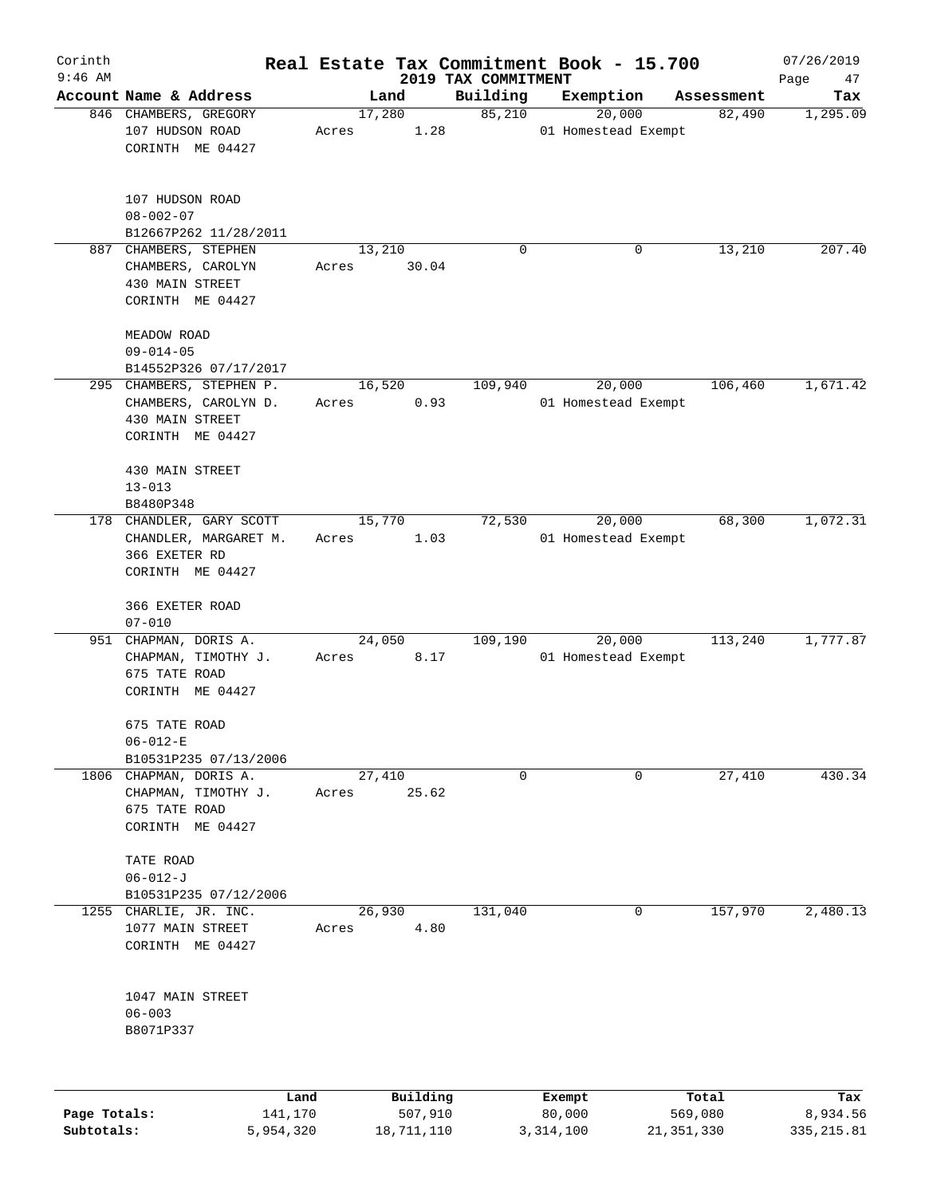| Corinth<br>$9:46$ AM |                                                                                                             |                 |          |                                 | Real Estate Tax Commitment Book - 15.700 |            | 07/26/2019        |
|----------------------|-------------------------------------------------------------------------------------------------------------|-----------------|----------|---------------------------------|------------------------------------------|------------|-------------------|
|                      | Account Name & Address                                                                                      |                 | Land     | 2019 TAX COMMITMENT<br>Building | Exemption                                | Assessment | Page<br>47<br>Tax |
|                      | 846 CHAMBERS, GREGORY                                                                                       | 17,280          |          | 85,210                          | 20,000                                   | 82,490     | 1,295.09          |
|                      | 107 HUDSON ROAD<br>CORINTH ME 04427                                                                         | Acres           | 1.28     |                                 | 01 Homestead Exempt                      |            |                   |
|                      | 107 HUDSON ROAD<br>$08 - 002 - 07$<br>B12667P262 11/28/2011                                                 |                 |          |                                 |                                          |            |                   |
|                      | 887 CHAMBERS, STEPHEN                                                                                       | 13,210          |          | 0                               | 0                                        | 13,210     | 207.40            |
|                      | CHAMBERS, CAROLYN<br>430 MAIN STREET<br>CORINTH ME 04427                                                    | Acres           | 30.04    |                                 |                                          |            |                   |
|                      | MEADOW ROAD<br>$09 - 014 - 05$                                                                              |                 |          |                                 |                                          |            |                   |
|                      | B14552P326 07/17/2017                                                                                       |                 |          |                                 |                                          |            |                   |
|                      | 295 CHAMBERS, STEPHEN P.<br>CHAMBERS, CAROLYN D.<br>430 MAIN STREET<br>CORINTH ME 04427                     | 16,520<br>Acres | 0.93     | 109,940                         | 20,000<br>01 Homestead Exempt            | 106,460    | 1,671.42          |
|                      | 430 MAIN STREET<br>$13 - 013$<br>B8480P348                                                                  |                 |          |                                 |                                          |            |                   |
|                      | 178 CHANDLER, GARY SCOTT<br>CHANDLER, MARGARET M.<br>366 EXETER RD<br>CORINTH ME 04427                      | 15,770<br>Acres | 1.03     | 72,530                          | 20,000<br>01 Homestead Exempt            | 68,300     | 1,072.31          |
|                      | 366 EXETER ROAD<br>$07 - 010$                                                                               |                 |          |                                 |                                          |            |                   |
|                      | 951 CHAPMAN, DORIS A.<br>CHAPMAN, TIMOTHY J.<br>675 TATE ROAD<br>CORINTH ME 04427                           | 24,050<br>Acres | 8.17     | 109,190                         | 20,000<br>01 Homestead Exempt            | 113,240    | 1,777.87          |
|                      | 675 TATE ROAD<br>$06 - 012 - E$                                                                             |                 |          |                                 |                                          |            |                   |
|                      | B10531P235 07/13/2006<br>1806 CHAPMAN, DORIS A.<br>CHAPMAN, TIMOTHY J.<br>675 TATE ROAD<br>CORINTH ME 04427 | 27,410<br>Acres | 25.62    | 0                               | 0                                        | 27,410     | 430.34            |
|                      | TATE ROAD<br>$06 - 012 - J$                                                                                 |                 |          |                                 |                                          |            |                   |
|                      | B10531P235 07/12/2006                                                                                       |                 |          |                                 |                                          |            |                   |
| 1255                 | CHARLIE, JR. INC.<br>1077 MAIN STREET<br>CORINTH ME 04427                                                   | 26,930<br>Acres | 4.80     | 131,040                         | 0                                        | 157,970    | 2,480.13          |
|                      | 1047 MAIN STREET<br>$06 - 003$<br>B8071P337                                                                 |                 |          |                                 |                                          |            |                   |
|                      | Land                                                                                                        |                 | Building |                                 | Exempt                                   | Total      | Tax               |
| Page Totals:         | 141,170                                                                                                     |                 | 507,910  |                                 | 80,000                                   | 569,080    | 8,934.56          |

**Subtotals:** 5,954,320 18,711,110 3,314,100 21,351,330 335,215.81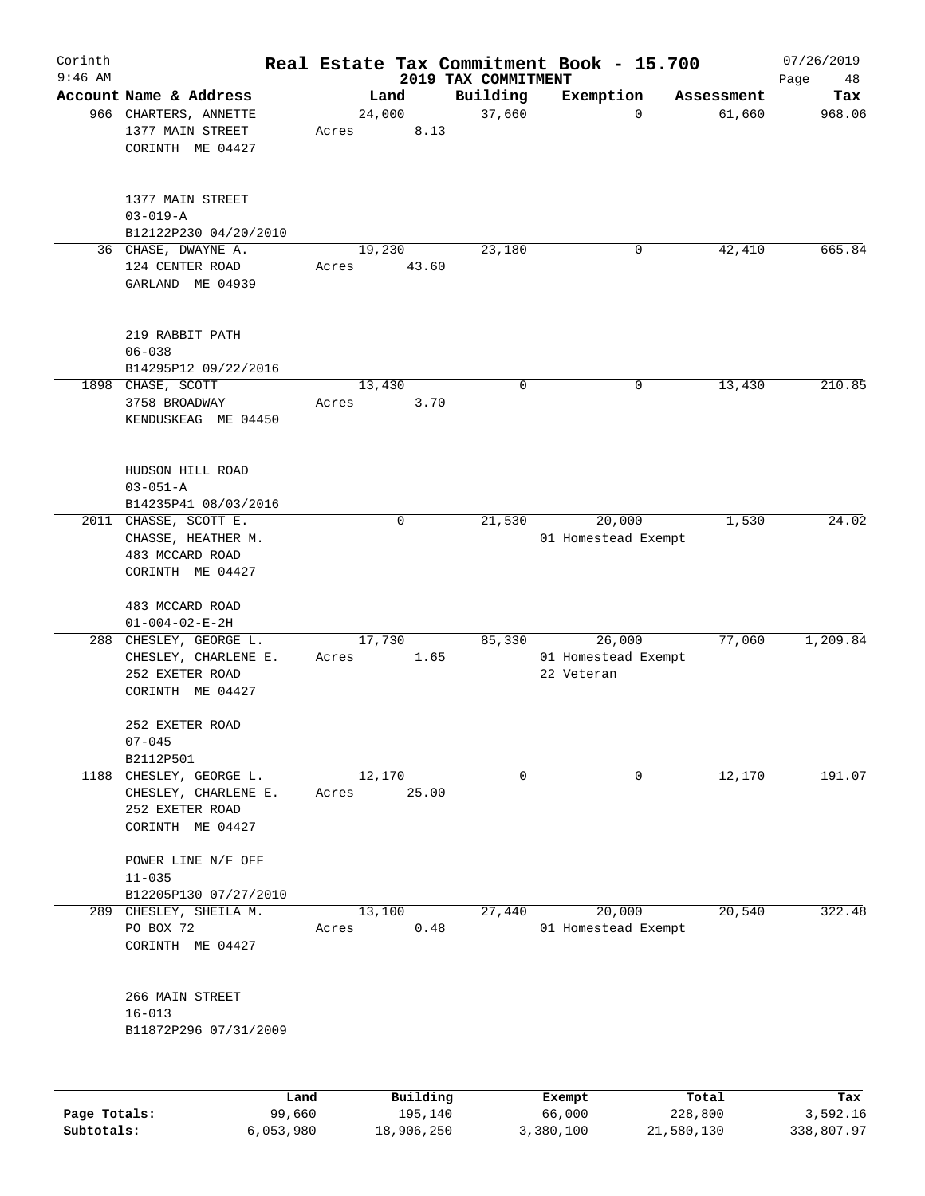| Corinth<br>$9:46$ AM |                                                                                        |                 |                     | 2019 TAX COMMITMENT | Real Estate Tax Commitment Book - 15.700    |                  | 07/26/2019<br>Page<br>48 |
|----------------------|----------------------------------------------------------------------------------------|-----------------|---------------------|---------------------|---------------------------------------------|------------------|--------------------------|
|                      | Account Name & Address                                                                 |                 | Land                | Building            | Exemption                                   | Assessment       | Tax                      |
|                      | 966 CHARTERS, ANNETTE<br>1377 MAIN STREET<br>CORINTH ME 04427                          | 24,000<br>Acres | 8.13                | 37,660              | $\Omega$                                    | 61,660           | 968.06                   |
|                      | 1377 MAIN STREET<br>$03 - 019 - A$<br>B12122P230 04/20/2010                            |                 |                     |                     |                                             |                  |                          |
|                      | 36 CHASE, DWAYNE A.<br>124 CENTER ROAD<br>GARLAND ME 04939                             | 19,230<br>Acres | 43.60               | 23,180              | 0                                           | 42,410           | 665.84                   |
|                      | 219 RABBIT PATH<br>$06 - 038$<br>B14295P12 09/22/2016                                  |                 |                     |                     |                                             |                  |                          |
|                      | 1898 CHASE, SCOTT<br>3758 BROADWAY<br>KENDUSKEAG ME 04450                              | 13,430<br>Acres | 3.70                | 0                   | 0                                           | 13,430           | 210.85                   |
|                      | HUDSON HILL ROAD<br>$03 - 051 - A$<br>B14235P41 08/03/2016                             |                 |                     |                     |                                             |                  |                          |
|                      | 2011 CHASSE, SCOTT E.<br>CHASSE, HEATHER M.<br>483 MCCARD ROAD<br>CORINTH ME 04427     |                 | 0                   | 21,530              | 20,000<br>01 Homestead Exempt               | 1,530            | 24.02                    |
|                      | 483 MCCARD ROAD<br>$01 - 004 - 02 - E - 2H$                                            |                 |                     |                     |                                             |                  |                          |
|                      | 288 CHESLEY, GEORGE L.<br>CHESLEY, CHARLENE E.<br>252 EXETER ROAD<br>CORINTH ME 04427  | 17,730<br>Acres | 1.65                | 85,330              | 26,000<br>01 Homestead Exempt<br>22 Veteran | 77,060           | 1,209.84                 |
|                      | 252 EXETER ROAD<br>$07 - 045$<br>B2112P501                                             |                 |                     |                     |                                             |                  |                          |
|                      | 1188 CHESLEY, GEORGE L.<br>CHESLEY, CHARLENE E.<br>252 EXETER ROAD<br>CORINTH ME 04427 | 12,170<br>Acres | 25.00               | $\mathsf{O}$        | 0                                           | 12,170           | 191.07                   |
|                      | POWER LINE N/F OFF<br>$11 - 035$                                                       |                 |                     |                     |                                             |                  |                          |
| 289                  | B12205P130 07/27/2010<br>CHESLEY, SHEILA M.<br>PO BOX 72<br>CORINTH ME 04427           | 13,100<br>Acres | 0.48                | 27,440              | 20,000<br>01 Homestead Exempt               | 20,540           | 322.48                   |
|                      | 266 MAIN STREET<br>$16 - 013$<br>B11872P296 07/31/2009                                 |                 |                     |                     |                                             |                  |                          |
|                      |                                                                                        |                 |                     |                     |                                             |                  |                          |
| Page Totals:         | Land<br>99,660                                                                         |                 | Building<br>195,140 |                     | Exempt<br>66,000                            | Total<br>228,800 | Tax<br>3,592.16          |

**Subtotals:** 6,053,980 18,906,250 3,380,100 21,580,130 338,807.97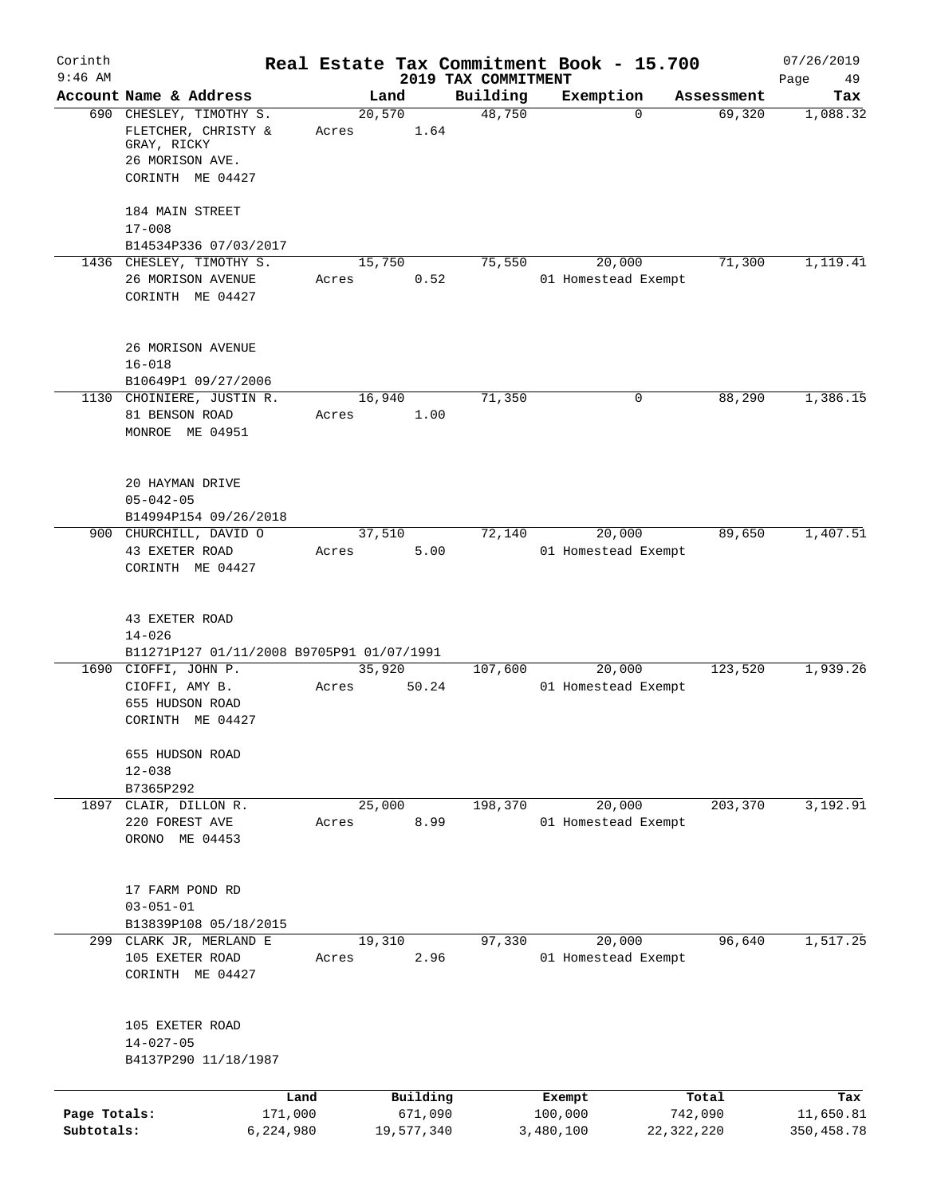| Corinth      |                                                                           |         |                |                                 | Real Estate Tax Commitment Book - 15.700 |              | 07/26/2019      |
|--------------|---------------------------------------------------------------------------|---------|----------------|---------------------------------|------------------------------------------|--------------|-----------------|
| $9:46$ AM    | Account Name & Address                                                    |         | Land           | 2019 TAX COMMITMENT<br>Building | Exemption                                | Assessment   | Page<br>49      |
|              | 690 CHESLEY, TIMOTHY S.                                                   |         | 20,570         | 48,750                          | 0                                        | 69,320       | Tax<br>1,088.32 |
|              | FLETCHER, CHRISTY &<br>GRAY, RICKY                                        | Acres   | 1.64           |                                 |                                          |              |                 |
|              | 26 MORISON AVE.                                                           |         |                |                                 |                                          |              |                 |
|              | CORINTH ME 04427                                                          |         |                |                                 |                                          |              |                 |
|              | 184 MAIN STREET                                                           |         |                |                                 |                                          |              |                 |
|              | $17 - 008$<br>B14534P336 07/03/2017                                       |         |                |                                 |                                          |              |                 |
|              | 1436 CHESLEY, TIMOTHY S.                                                  |         | 15,750         | 75,550                          | 20,000                                   | 71,300       | 1,119.41        |
|              | 26 MORISON AVENUE                                                         | Acres   | 0.52           |                                 | 01 Homestead Exempt                      |              |                 |
|              | CORINTH ME 04427                                                          |         |                |                                 |                                          |              |                 |
|              | 26 MORISON AVENUE                                                         |         |                |                                 |                                          |              |                 |
|              | $16 - 018$                                                                |         |                |                                 |                                          |              |                 |
|              | B10649P1 09/27/2006                                                       |         |                |                                 |                                          |              |                 |
|              | 1130 CHOINIERE, JUSTIN R.<br>81 BENSON ROAD                               | Acres   | 16,940<br>1.00 | 71,350                          | 0                                        | 88,290       | 1,386.15        |
|              | MONROE ME 04951                                                           |         |                |                                 |                                          |              |                 |
|              |                                                                           |         |                |                                 |                                          |              |                 |
|              | 20 HAYMAN DRIVE                                                           |         |                |                                 |                                          |              |                 |
|              | $05 - 042 - 05$                                                           |         |                |                                 |                                          |              |                 |
|              | B14994P154 09/26/2018<br>900 CHURCHILL, DAVID O                           |         | 37,510         | 72,140                          | 20,000                                   | 89,650       | 1,407.51        |
|              | 43 EXETER ROAD                                                            | Acres   | 5.00           |                                 | 01 Homestead Exempt                      |              |                 |
|              | CORINTH ME 04427                                                          |         |                |                                 |                                          |              |                 |
|              | 43 EXETER ROAD<br>$14 - 026$<br>B11271P127 01/11/2008 B9705P91 01/07/1991 |         |                |                                 |                                          |              |                 |
|              | 1690 CIOFFI, JOHN P.                                                      |         | 35,920         | 107,600                         | 20,000                                   | 123,520      | 1,939.26        |
|              | CIOFFI, AMY B.                                                            | Acres   | 50.24          |                                 | 01 Homestead Exempt                      |              |                 |
|              | 655 HUDSON ROAD<br>CORINTH ME 04427                                       |         |                |                                 |                                          |              |                 |
|              | 655 HUDSON ROAD<br>$12 - 038$                                             |         |                |                                 |                                          |              |                 |
|              | B7365P292                                                                 |         |                |                                 |                                          |              |                 |
| 1897         | CLAIR, DILLON R.                                                          |         | 25,000         | 198,370                         | 20,000                                   | 203,370      | 3,192.91        |
|              | 220 FOREST AVE                                                            | Acres   | 8.99           |                                 | 01 Homestead Exempt                      |              |                 |
|              | ORONO ME 04453                                                            |         |                |                                 |                                          |              |                 |
|              | 17 FARM POND RD                                                           |         |                |                                 |                                          |              |                 |
|              | $03 - 051 - 01$                                                           |         |                |                                 |                                          |              |                 |
|              | B13839P108 05/18/2015                                                     |         |                |                                 |                                          |              |                 |
|              | 299 CLARK JR, MERLAND E<br>105 EXETER ROAD                                | Acres   | 19,310<br>2.96 | 97,330                          | 20,000<br>01 Homestead Exempt            | 96,640       | 1,517.25        |
|              | CORINTH ME 04427                                                          |         |                |                                 |                                          |              |                 |
|              |                                                                           |         |                |                                 |                                          |              |                 |
|              | 105 EXETER ROAD<br>$14 - 027 - 05$                                        |         |                |                                 |                                          |              |                 |
|              | B4137P290 11/18/1987                                                      |         |                |                                 |                                          |              |                 |
|              |                                                                           |         |                |                                 |                                          |              |                 |
|              |                                                                           | Land    | Building       |                                 | Exempt                                   | Total        | Tax             |
| Page Totals: |                                                                           | 171,000 | 671,090        |                                 | 100,000                                  | 742,090      | 11,650.81       |
| Subtotals:   | 6,224,980                                                                 |         | 19,577,340     |                                 | 3,480,100                                | 22, 322, 220 | 350, 458.78     |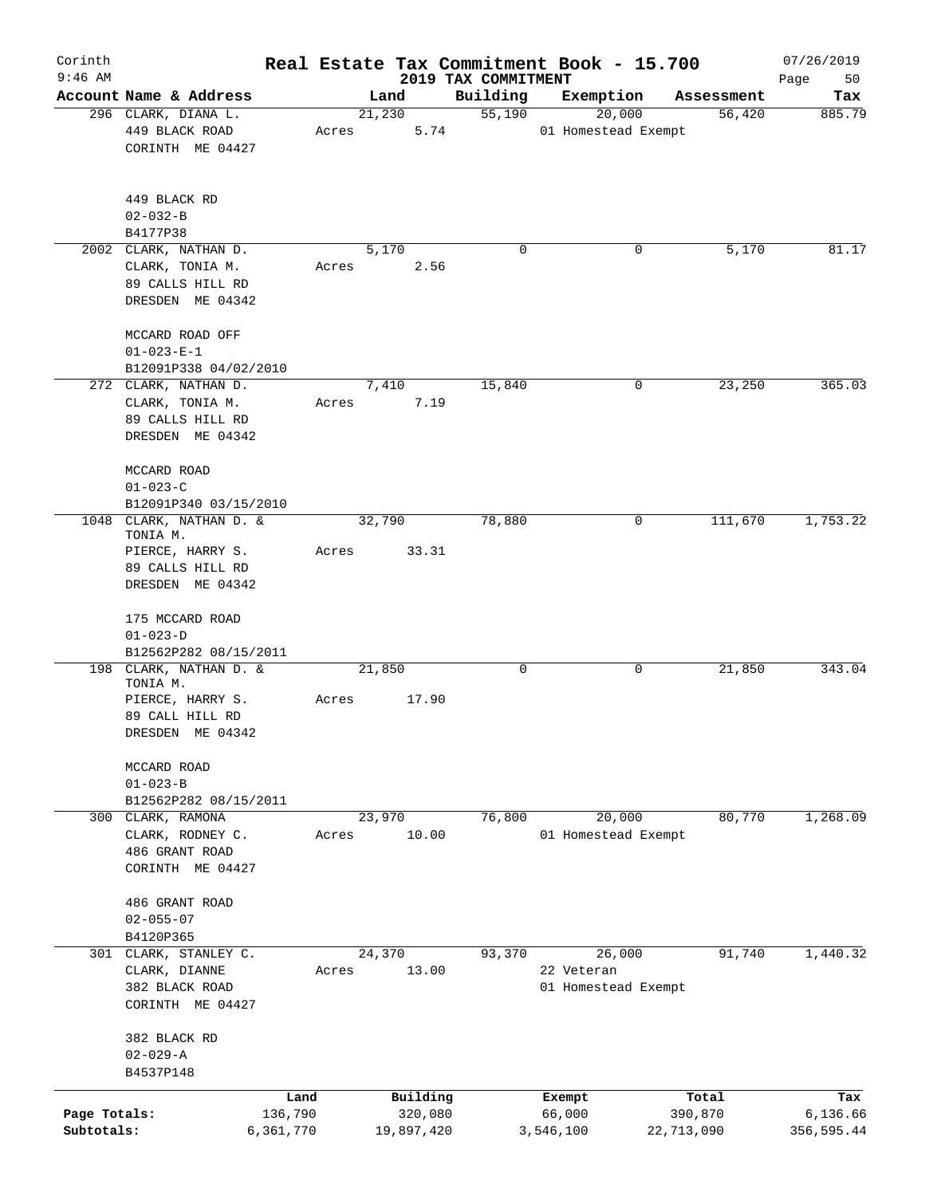| Corinth<br>$9:46$ AM       |                                                                                 |                      |        |                       |                                 | Real Estate Tax Commitment Book - 15.700 |                       | 07/26/2019             |
|----------------------------|---------------------------------------------------------------------------------|----------------------|--------|-----------------------|---------------------------------|------------------------------------------|-----------------------|------------------------|
|                            | Account Name & Address                                                          |                      | Land   |                       | 2019 TAX COMMITMENT<br>Building | Exemption                                | Assessment            | Page<br>50<br>Tax      |
|                            | 296 CLARK, DIANA L.                                                             |                      | 21,230 |                       | 55,190                          | 20,000                                   | 56,420                | 885.79                 |
|                            | 449 BLACK ROAD<br>CORINTH ME 04427                                              | Acres                |        | 5.74                  |                                 | 01 Homestead Exempt                      |                       |                        |
|                            | 449 BLACK RD                                                                    |                      |        |                       |                                 |                                          |                       |                        |
|                            | $02 - 032 - B$                                                                  |                      |        |                       |                                 |                                          |                       |                        |
|                            | B4177P38<br>2002 CLARK, NATHAN D.                                               |                      | 5,170  |                       | $\Omega$                        |                                          | 5,170<br>0            | 81.17                  |
|                            | CLARK, TONIA M.<br>89 CALLS HILL RD<br>DRESDEN ME 04342                         | Acres                |        | 2.56                  |                                 |                                          |                       |                        |
|                            | MCCARD ROAD OFF<br>$01 - 023 - E - 1$                                           |                      |        |                       |                                 |                                          |                       |                        |
|                            | B12091P338 04/02/2010                                                           |                      |        |                       |                                 |                                          |                       |                        |
|                            | 272 CLARK, NATHAN D.<br>CLARK, TONIA M.<br>89 CALLS HILL RD<br>DRESDEN ME 04342 | Acres                | 7,410  | 7.19                  | 15,840                          |                                          | 0<br>23,250           | 365.03                 |
|                            | MCCARD ROAD<br>$01 - 023 - C$<br>B12091P340 03/15/2010                          |                      |        |                       |                                 |                                          |                       |                        |
|                            | 1048 CLARK, NATHAN D. &<br>TONIA M.                                             |                      | 32,790 |                       | 78,880                          |                                          | 111,670<br>0          | 1,753.22               |
|                            | PIERCE, HARRY S.<br>89 CALLS HILL RD<br>DRESDEN ME 04342                        | Acres                |        | 33.31                 |                                 |                                          |                       |                        |
|                            | 175 MCCARD ROAD<br>$01 - 023 - D$                                               |                      |        |                       |                                 |                                          |                       |                        |
|                            | B12562P282 08/15/2011<br>198 CLARK, NATHAN D. &                                 |                      | 21,850 |                       | $\mathsf{O}$                    |                                          | 0<br>21,850           | 343.04                 |
|                            | TONIA M.                                                                        |                      |        |                       |                                 |                                          |                       |                        |
|                            | PIERCE, HARRY S.<br>89 CALL HILL RD<br>DRESDEN ME 04342                         | Acres                |        | 17.90                 |                                 |                                          |                       |                        |
|                            | MCCARD ROAD<br>$01 - 023 - B$                                                   |                      |        |                       |                                 |                                          |                       |                        |
|                            | B12562P282 08/15/2011                                                           |                      |        |                       |                                 |                                          | 80,770                |                        |
|                            | 300 CLARK, RAMONA<br>CLARK, RODNEY C.<br>486 GRANT ROAD<br>CORINTH ME 04427     | Acres                | 23,970 | 10.00                 | 76,800                          | 20,000<br>01 Homestead Exempt            |                       | 1,268.09               |
|                            | 486 GRANT ROAD<br>$02 - 055 - 07$<br>B4120P365                                  |                      |        |                       |                                 |                                          |                       |                        |
|                            | 301 CLARK, STANLEY C.                                                           |                      | 24,370 |                       | 93,370                          | 26,000                                   | 91,740                | 1,440.32               |
|                            | CLARK, DIANNE<br>382 BLACK ROAD<br>CORINTH ME 04427                             | Acres                |        | 13.00                 |                                 | 22 Veteran<br>01 Homestead Exempt        |                       |                        |
|                            | 382 BLACK RD<br>$02 - 029 - A$<br>B4537P148                                     |                      |        |                       |                                 |                                          |                       |                        |
|                            |                                                                                 | Land                 |        | Building              |                                 | Exempt                                   | Total                 | Tax                    |
| Page Totals:<br>Subtotals: |                                                                                 | 136,790<br>6,361,770 |        | 320,080<br>19,897,420 |                                 | 66,000<br>3,546,100                      | 390,870<br>22,713,090 | 6,136.66<br>356,595.44 |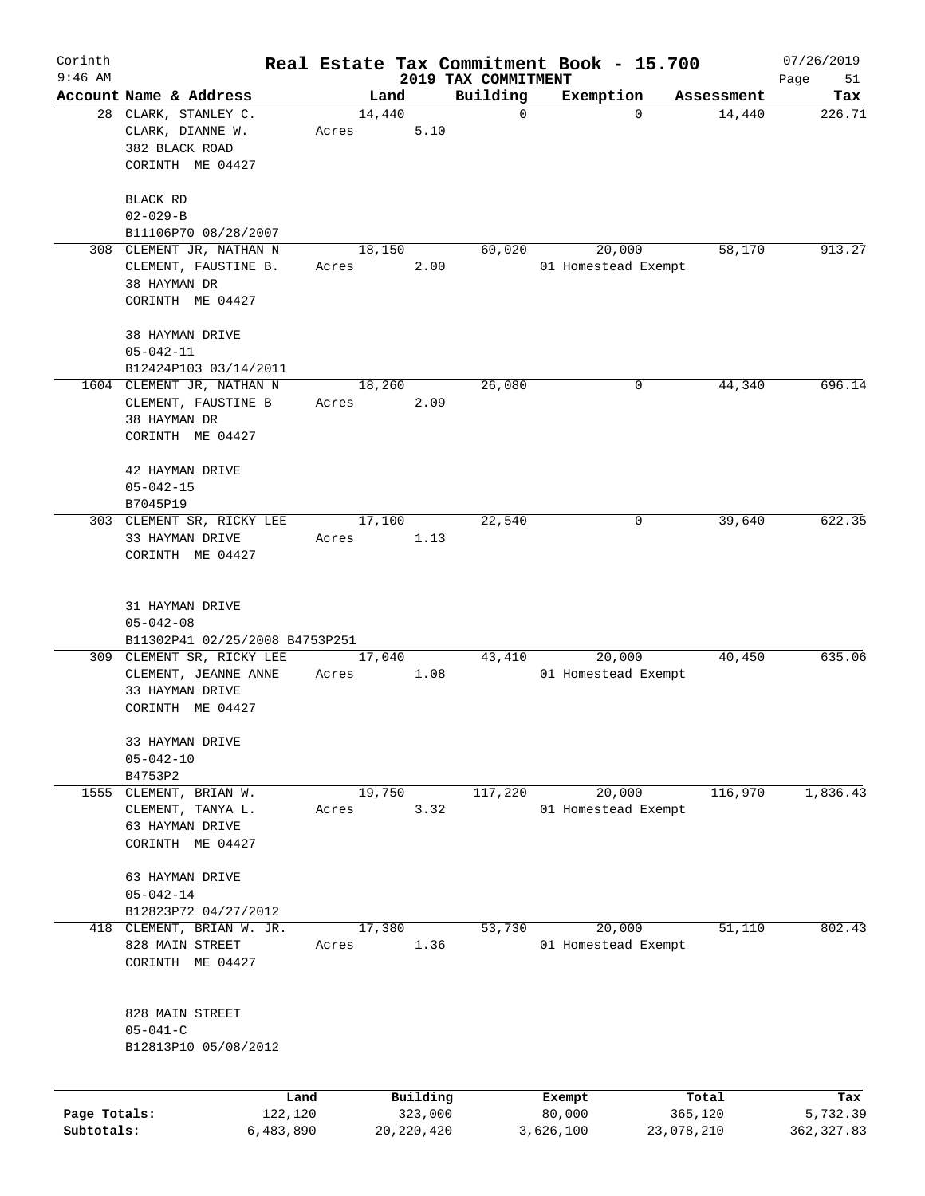| Corinth<br>$9:46$ AM       |                                                                                          |                      |       |                         |      | 2019 TAX COMMITMENT | Real Estate Tax Commitment Book - 15.700 |             |            | 07/26/2019<br>Page<br>51 |
|----------------------------|------------------------------------------------------------------------------------------|----------------------|-------|-------------------------|------|---------------------|------------------------------------------|-------------|------------|--------------------------|
|                            | Account Name & Address                                                                   |                      |       | Land                    |      | Building            | Exemption                                |             | Assessment | Tax                      |
|                            | 28 CLARK, STANLEY C.<br>CLARK, DIANNE W.<br>382 BLACK ROAD<br>CORINTH ME 04427           |                      | Acres | 14,440                  | 5.10 | $\mathbf 0$         |                                          | $\mathbf 0$ | 14,440     | 226.71                   |
|                            | <b>BLACK RD</b><br>$02 - 029 - B$<br>B11106P70 08/28/2007                                |                      |       |                         |      |                     |                                          |             |            |                          |
|                            | 308 CLEMENT JR, NATHAN N<br>CLEMENT, FAUSTINE B.<br>38 HAYMAN DR<br>CORINTH ME 04427     |                      | Acres | 18,150                  | 2.00 | 60,020              | 20,000<br>01 Homestead Exempt            |             | 58,170     | 913.27                   |
|                            | 38 HAYMAN DRIVE<br>$05 - 042 - 11$<br>B12424P103 03/14/2011                              |                      |       |                         |      |                     |                                          |             |            |                          |
|                            | 1604 CLEMENT JR, NATHAN N<br>CLEMENT, FAUSTINE B<br>38 HAYMAN DR<br>CORINTH ME 04427     |                      | Acres | 18,260                  | 2.09 | 26,080              |                                          | 0           | 44,340     | 696.14                   |
|                            | 42 HAYMAN DRIVE<br>$05 - 042 - 15$<br>B7045P19                                           |                      |       |                         |      |                     |                                          |             |            |                          |
|                            | 303 CLEMENT SR, RICKY LEE<br>33 HAYMAN DRIVE<br>CORINTH ME 04427                         |                      | Acres | 17,100                  | 1.13 | 22,540              |                                          | 0           | 39,640     | 622.35                   |
|                            | 31 HAYMAN DRIVE<br>$05 - 042 - 08$<br>B11302P41 02/25/2008 B4753P251                     |                      |       |                         |      |                     |                                          |             |            |                          |
|                            | 309 CLEMENT SR, RICKY LEE<br>CLEMENT, JEANNE ANNE<br>33 HAYMAN DRIVE<br>CORINTH ME 04427 |                      | Acres | 17,040                  | 1.08 | 43,410              | 20,000<br>01 Homestead Exempt            |             | 40,450     | 635.06                   |
|                            | 33 HAYMAN DRIVE<br>$05 - 042 - 10$<br>B4753P2                                            |                      |       |                         |      |                     |                                          |             |            |                          |
| 1555                       | CLEMENT, BRIAN W.<br>CLEMENT, TANYA L.<br>63 HAYMAN DRIVE<br>CORINTH ME 04427            |                      | Acres | 19,750                  | 3.32 | 117,220             | 20,000<br>01 Homestead Exempt            |             | 116,970    | 1,836.43                 |
|                            | 63 HAYMAN DRIVE<br>$05 - 042 - 14$<br>B12823P72 04/27/2012                               |                      |       |                         |      |                     |                                          |             |            |                          |
| 418                        | CLEMENT, BRIAN W. JR.<br>828 MAIN STREET<br>CORINTH ME 04427                             |                      | Acres | 17,380                  | 1.36 | 53,730              | 20,000<br>01 Homestead Exempt            |             | 51,110     | 802.43                   |
|                            | 828 MAIN STREET<br>$05 - 041 - C$<br>B12813P10 05/08/2012                                |                      |       |                         |      |                     |                                          |             |            |                          |
|                            |                                                                                          | Land                 |       | Building                |      |                     | Exempt                                   |             | Total      | Tax                      |
| Page Totals:<br>Subtotals: |                                                                                          | 122,120<br>6,483,890 |       | 323,000<br>20, 220, 420 |      |                     | 80,000<br>3,626,100                      | 23,078,210  | 365,120    | 5,732.39<br>362, 327.83  |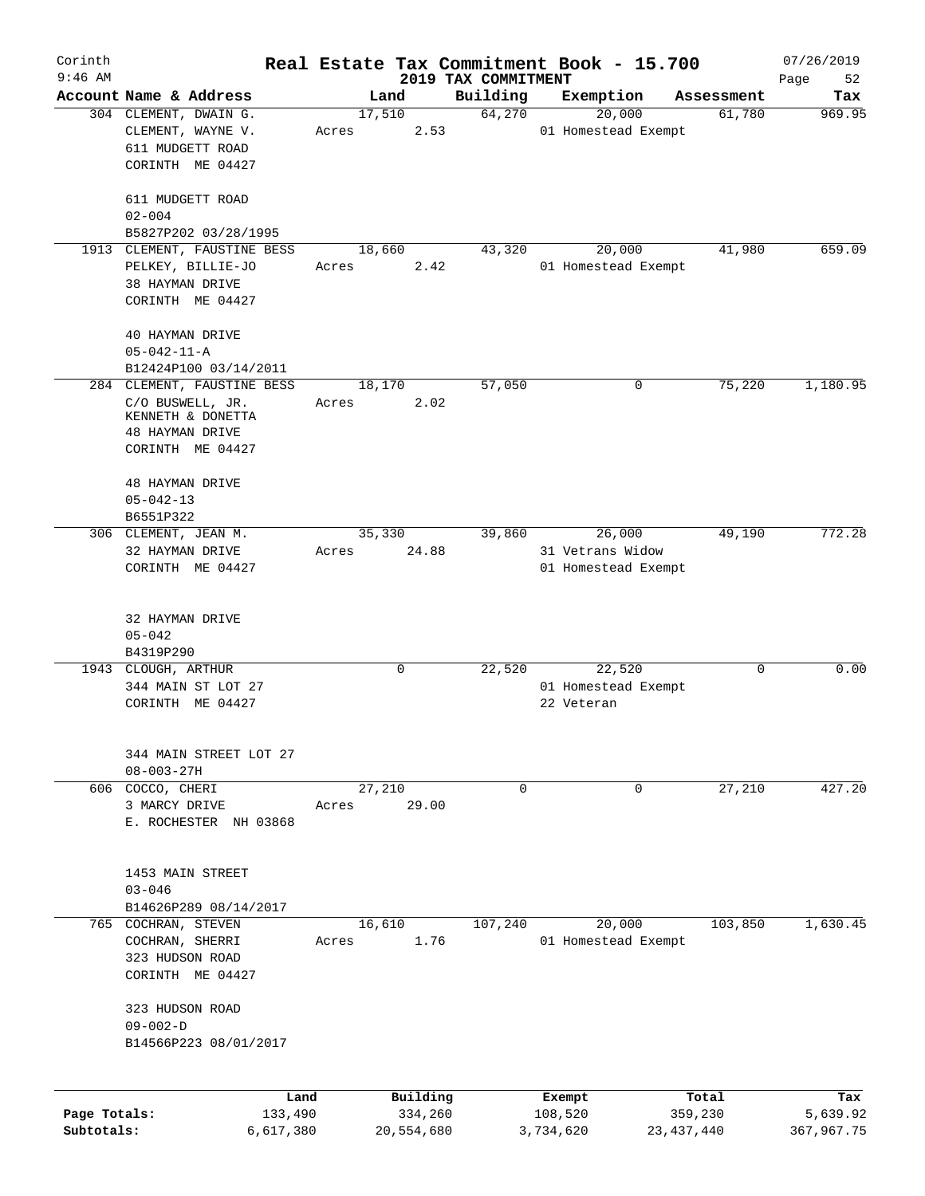| Corinth<br>$9:46$ AM |                                            |        |            | 2019 TAX COMMITMENT | Real Estate Tax Commitment Book - 15.700 |              | 07/26/2019        |
|----------------------|--------------------------------------------|--------|------------|---------------------|------------------------------------------|--------------|-------------------|
|                      | Account Name & Address                     |        | Land       | Building            | Exemption                                | Assessment   | Page<br>52<br>Tax |
|                      | 304 CLEMENT, DWAIN G.                      | 17,510 |            | 64,270              | 20,000                                   | 61,780       | 969.95            |
|                      | CLEMENT, WAYNE V.                          | Acres  | 2.53       |                     | 01 Homestead Exempt                      |              |                   |
|                      | 611 MUDGETT ROAD                           |        |            |                     |                                          |              |                   |
|                      | CORINTH ME 04427                           |        |            |                     |                                          |              |                   |
|                      |                                            |        |            |                     |                                          |              |                   |
|                      | 611 MUDGETT ROAD                           |        |            |                     |                                          |              |                   |
|                      | $02 - 004$                                 |        |            |                     |                                          |              |                   |
|                      | B5827P202 03/28/1995                       |        |            |                     |                                          |              |                   |
| 1913                 | CLEMENT, FAUSTINE BESS                     | 18,660 |            | 43,320              | 20,000                                   | 41,980       | 659.09            |
|                      | PELKEY, BILLIE-JO                          | Acres  | 2.42       |                     | 01 Homestead Exempt                      |              |                   |
|                      | 38 HAYMAN DRIVE                            |        |            |                     |                                          |              |                   |
|                      | CORINTH ME 04427                           |        |            |                     |                                          |              |                   |
|                      |                                            |        |            |                     |                                          |              |                   |
|                      | 40 HAYMAN DRIVE                            |        |            |                     |                                          |              |                   |
|                      | $05 - 042 - 11 - A$                        |        |            |                     |                                          |              |                   |
|                      | B12424P100 03/14/2011                      |        |            |                     |                                          |              |                   |
|                      | 284 CLEMENT, FAUSTINE BESS                 | 18,170 |            | 57,050              | 0                                        | 75,220       | 1,180.95          |
|                      | C/O BUSWELL, JR.                           | Acres  | 2.02       |                     |                                          |              |                   |
|                      | KENNETH & DONETTA                          |        |            |                     |                                          |              |                   |
|                      | 48 HAYMAN DRIVE                            |        |            |                     |                                          |              |                   |
|                      | CORINTH ME 04427                           |        |            |                     |                                          |              |                   |
|                      |                                            |        |            |                     |                                          |              |                   |
|                      | 48 HAYMAN DRIVE                            |        |            |                     |                                          |              |                   |
|                      | $05 - 042 - 13$                            |        |            |                     |                                          |              |                   |
|                      | B6551P322<br>306 CLEMENT, JEAN M.          | 35,330 |            | 39,860              | 26,000                                   | 49,190       | 772.28            |
|                      | 32 HAYMAN DRIVE                            | Acres  | 24.88      |                     | 31 Vetrans Widow                         |              |                   |
|                      | CORINTH ME 04427                           |        |            |                     | 01 Homestead Exempt                      |              |                   |
|                      |                                            |        |            |                     |                                          |              |                   |
|                      |                                            |        |            |                     |                                          |              |                   |
|                      | 32 HAYMAN DRIVE                            |        |            |                     |                                          |              |                   |
|                      | $05 - 042$                                 |        |            |                     |                                          |              |                   |
|                      | B4319P290                                  |        |            |                     |                                          |              |                   |
|                      | 1943 CLOUGH, ARTHUR                        |        | 0          | 22,520              | 22,520                                   | 0            | 0.00              |
|                      | 344 MAIN ST LOT 27                         |        |            |                     | 01 Homestead Exempt                      |              |                   |
|                      | CORINTH ME 04427                           |        |            |                     | 22 Veteran                               |              |                   |
|                      |                                            |        |            |                     |                                          |              |                   |
|                      |                                            |        |            |                     |                                          |              |                   |
|                      | 344 MAIN STREET LOT 27<br>$08 - 003 - 27H$ |        |            |                     |                                          |              |                   |
|                      | 606 COCCO, CHERI                           | 27,210 |            | $\mathbf 0$         | 0                                        | 27,210       | 427.20            |
|                      | 3 MARCY DRIVE                              | Acres  | 29.00      |                     |                                          |              |                   |
|                      | E. ROCHESTER NH 03868                      |        |            |                     |                                          |              |                   |
|                      |                                            |        |            |                     |                                          |              |                   |
|                      |                                            |        |            |                     |                                          |              |                   |
|                      | 1453 MAIN STREET                           |        |            |                     |                                          |              |                   |
|                      | $03 - 046$                                 |        |            |                     |                                          |              |                   |
|                      | B14626P289 08/14/2017                      |        |            |                     |                                          |              |                   |
|                      | 765 COCHRAN, STEVEN                        | 16,610 |            | 107,240             | 20,000                                   | 103,850      | 1,630.45          |
|                      | COCHRAN, SHERRI                            | Acres  | 1.76       |                     | 01 Homestead Exempt                      |              |                   |
|                      | 323 HUDSON ROAD                            |        |            |                     |                                          |              |                   |
|                      | CORINTH ME 04427                           |        |            |                     |                                          |              |                   |
|                      |                                            |        |            |                     |                                          |              |                   |
|                      | 323 HUDSON ROAD                            |        |            |                     |                                          |              |                   |
|                      | $09 - 002 - D$                             |        |            |                     |                                          |              |                   |
|                      | B14566P223 08/01/2017                      |        |            |                     |                                          |              |                   |
|                      |                                            |        |            |                     |                                          |              |                   |
|                      | Land                                       |        | Building   |                     | Exempt                                   | Total        | Tax               |
| Page Totals:         | 133,490                                    |        | 334,260    |                     | 108,520                                  | 359,230      | 5,639.92          |
| Subtotals:           | 6,617,380                                  |        | 20,554,680 |                     | 3,734,620                                | 23, 437, 440 | 367,967.75        |
|                      |                                            |        |            |                     |                                          |              |                   |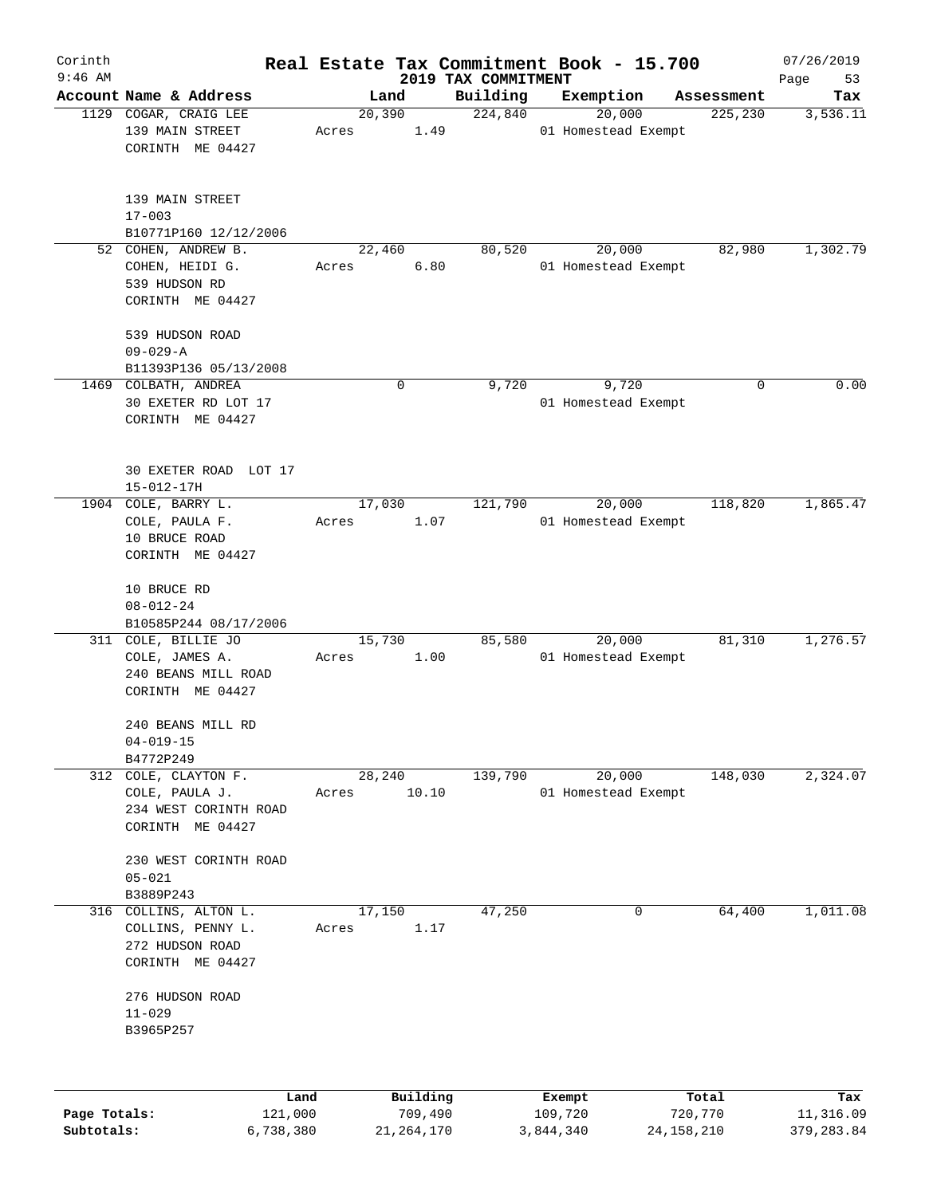| Corinth      |                                                        |        |          |                     | Real Estate Tax Commitment Book - 15.700 |                       | 07/26/2019      |
|--------------|--------------------------------------------------------|--------|----------|---------------------|------------------------------------------|-----------------------|-----------------|
| $9:46$ AM    |                                                        |        |          | 2019 TAX COMMITMENT |                                          |                       | Page<br>53      |
|              | Account Name & Address<br>1129 COGAR, CRAIG LEE        | 20,390 | Land     | Building<br>224,840 | Exemption<br>20,000                      | Assessment<br>225,230 | Tax<br>3,536.11 |
|              | 139 MAIN STREET<br>CORINTH ME 04427                    | Acres  | 1.49     |                     | 01 Homestead Exempt                      |                       |                 |
|              | 139 MAIN STREET<br>$17 - 003$<br>B10771P160 12/12/2006 |        |          |                     |                                          |                       |                 |
| 52           | COHEN, ANDREW B.                                       | 22,460 |          | 80,520              | 20,000                                   | 82,980                | 1,302.79        |
|              | COHEN, HEIDI G.                                        | Acres  | 6.80     |                     | 01 Homestead Exempt                      |                       |                 |
|              | 539 HUDSON RD<br>CORINTH ME 04427                      |        |          |                     |                                          |                       |                 |
|              | 539 HUDSON ROAD<br>$09 - 029 - A$                      |        |          |                     |                                          |                       |                 |
|              | B11393P136 05/13/2008                                  |        |          |                     |                                          |                       |                 |
|              | 1469 COLBATH, ANDREA                                   |        | 0        | 9,720               | 9,720                                    | 0                     | 0.00            |
|              | 30 EXETER RD LOT 17                                    |        |          |                     | 01 Homestead Exempt                      |                       |                 |
|              | CORINTH ME 04427                                       |        |          |                     |                                          |                       |                 |
|              | 30 EXETER ROAD LOT 17<br>$15 - 012 - 17H$              |        |          |                     |                                          |                       |                 |
|              | 1904 COLE, BARRY L.                                    | 17,030 |          | 121,790             | 20,000                                   | 118,820               | 1,865.47        |
|              | COLE, PAULA F.                                         | Acres  | 1.07     |                     | 01 Homestead Exempt                      |                       |                 |
|              | 10 BRUCE ROAD<br>CORINTH ME 04427                      |        |          |                     |                                          |                       |                 |
|              | 10 BRUCE RD                                            |        |          |                     |                                          |                       |                 |
|              | $08 - 012 - 24$                                        |        |          |                     |                                          |                       |                 |
|              | B10585P244 08/17/2006<br>311 COLE, BILLIE JO           | 15,730 |          | 85,580              | 20,000                                   | 81,310                | 1,276.57        |
|              | COLE, JAMES A.                                         | Acres  | 1.00     |                     | 01 Homestead Exempt                      |                       |                 |
|              | 240 BEANS MILL ROAD                                    |        |          |                     |                                          |                       |                 |
|              | CORINTH ME 04427                                       |        |          |                     |                                          |                       |                 |
|              | 240 BEANS MILL RD<br>$04 - 019 - 15$                   |        |          |                     |                                          |                       |                 |
|              | B4772P249                                              |        |          |                     |                                          |                       |                 |
| 312          | COLE, CLAYTON F.                                       | 28,240 |          | 139,790             | 20,000                                   | 148,030               | 2,324.07        |
|              | COLE, PAULA J.                                         | Acres  | 10.10    |                     | 01 Homestead Exempt                      |                       |                 |
|              | 234 WEST CORINTH ROAD                                  |        |          |                     |                                          |                       |                 |
|              | CORINTH ME 04427                                       |        |          |                     |                                          |                       |                 |
|              | 230 WEST CORINTH ROAD                                  |        |          |                     |                                          |                       |                 |
|              | $05 - 021$                                             |        |          |                     |                                          |                       |                 |
|              | B3889P243                                              |        |          |                     |                                          |                       |                 |
| 316          | COLLINS, ALTON L.                                      | 17,150 |          | 47,250              | 0                                        | 64,400                | 1,011.08        |
|              | COLLINS, PENNY L.                                      | Acres  | 1.17     |                     |                                          |                       |                 |
|              | 272 HUDSON ROAD                                        |        |          |                     |                                          |                       |                 |
|              | CORINTH ME 04427                                       |        |          |                     |                                          |                       |                 |
|              | 276 HUDSON ROAD                                        |        |          |                     |                                          |                       |                 |
|              | $11 - 029$                                             |        |          |                     |                                          |                       |                 |
|              | B3965P257                                              |        |          |                     |                                          |                       |                 |
|              |                                                        |        |          |                     |                                          |                       |                 |
|              | Land                                                   |        | Building |                     | Exempt                                   | Total                 | Tax             |
| Page Totals: | 121,000                                                |        | 709,490  |                     | 109,720                                  | 720,770               | 11,316.09       |

**Subtotals:** 6,738,380 21,264,170 3,844,340 24,158,210 379,283.84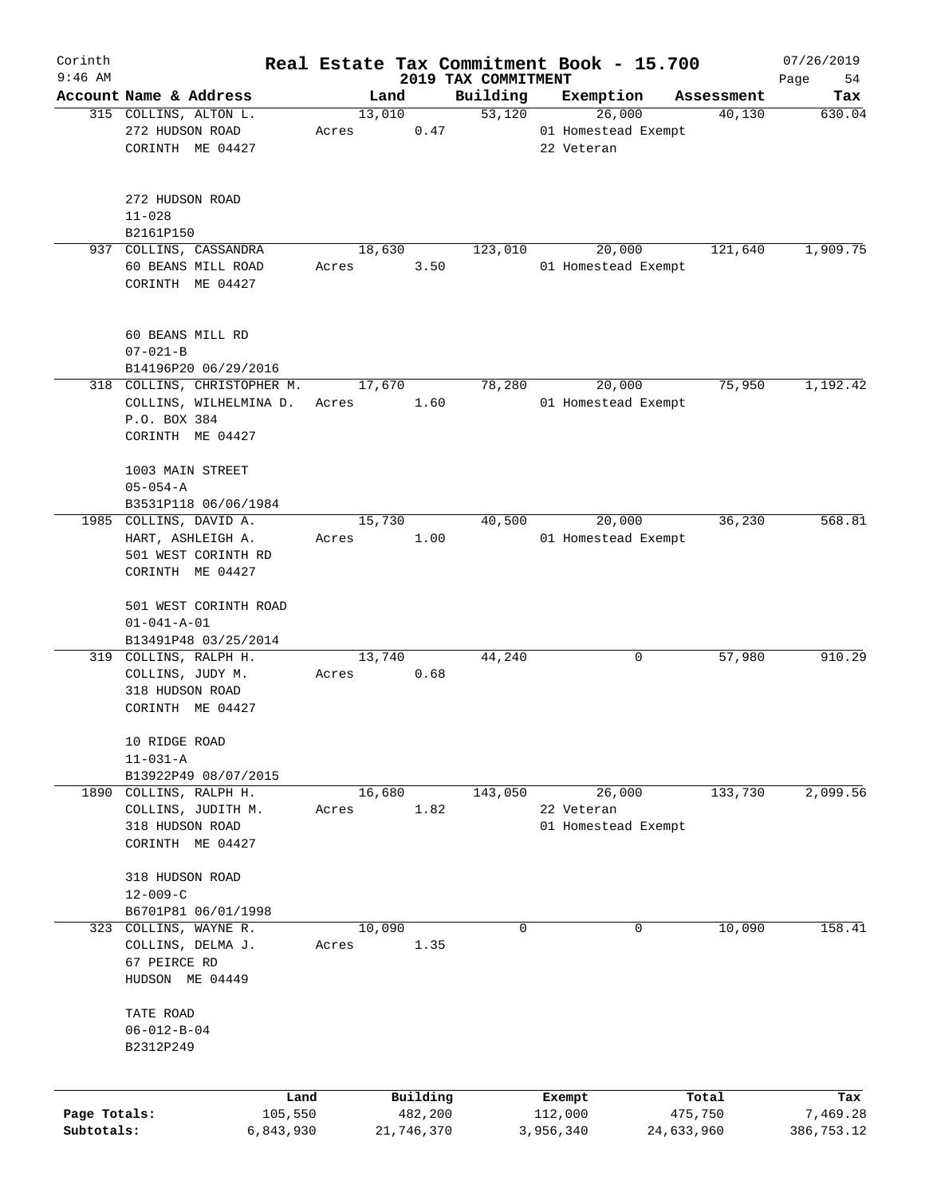| Corinth<br>$9:46$ AM |                               |       |            |                                 | Real Estate Tax Commitment Book - 15.700 |            | 07/26/2019        |
|----------------------|-------------------------------|-------|------------|---------------------------------|------------------------------------------|------------|-------------------|
|                      | Account Name & Address        |       | Land       | 2019 TAX COMMITMENT<br>Building | Exemption                                | Assessment | 54<br>Page<br>Tax |
|                      | 315 COLLINS, ALTON L.         |       | 13,010     | $\overline{53,120}$             | 26,000                                   | 40,130     | 630.04            |
|                      | 272 HUDSON ROAD               | Acres | 0.47       |                                 | 01 Homestead Exempt                      |            |                   |
|                      | CORINTH ME 04427              |       |            |                                 | 22 Veteran                               |            |                   |
|                      |                               |       |            |                                 |                                          |            |                   |
|                      | 272 HUDSON ROAD<br>$11 - 028$ |       |            |                                 |                                          |            |                   |
|                      | B2161P150                     |       |            |                                 |                                          |            |                   |
|                      | 937 COLLINS, CASSANDRA        |       | 18,630     | 123,010                         | 20,000                                   | 121,640    | 1,909.75          |
|                      | 60 BEANS MILL ROAD            | Acres | 3.50       |                                 | 01 Homestead Exempt                      |            |                   |
|                      | CORINTH ME 04427              |       |            |                                 |                                          |            |                   |
|                      | 60 BEANS MILL RD              |       |            |                                 |                                          |            |                   |
|                      | $07 - 021 - B$                |       |            |                                 |                                          |            |                   |
|                      | B14196P20 06/29/2016          |       |            |                                 |                                          |            |                   |
|                      | 318 COLLINS, CHRISTOPHER M.   |       | 17,670     | 78,280                          | 20,000                                   | 75,950     | 1,192.42          |
|                      | COLLINS, WILHELMINA D.        | Acres | 1.60       |                                 | 01 Homestead Exempt                      |            |                   |
|                      | P.O. BOX 384                  |       |            |                                 |                                          |            |                   |
|                      | CORINTH ME 04427              |       |            |                                 |                                          |            |                   |
|                      |                               |       |            |                                 |                                          |            |                   |
|                      | 1003 MAIN STREET              |       |            |                                 |                                          |            |                   |
|                      | $05 - 054 - A$                |       |            |                                 |                                          |            |                   |
|                      | B3531P118 06/06/1984          |       |            |                                 |                                          |            |                   |
|                      | 1985 COLLINS, DAVID A.        |       | 15,730     | 40,500                          | 20,000                                   | 36,230     | 568.81            |
|                      | HART, ASHLEIGH A.             | Acres | 1.00       |                                 | 01 Homestead Exempt                      |            |                   |
|                      | 501 WEST CORINTH RD           |       |            |                                 |                                          |            |                   |
|                      | CORINTH ME 04427              |       |            |                                 |                                          |            |                   |
|                      | 501 WEST CORINTH ROAD         |       |            |                                 |                                          |            |                   |
|                      | $01 - 041 - A - 01$           |       |            |                                 |                                          |            |                   |
|                      | B13491P48 03/25/2014          |       |            |                                 |                                          |            |                   |
|                      | 319 COLLINS, RALPH H.         |       | 13,740     | 44,240                          | 0                                        | 57,980     | 910.29            |
|                      | COLLINS, JUDY M.              | Acres | 0.68       |                                 |                                          |            |                   |
|                      | 318 HUDSON ROAD               |       |            |                                 |                                          |            |                   |
|                      | CORINTH ME 04427              |       |            |                                 |                                          |            |                   |
|                      |                               |       |            |                                 |                                          |            |                   |
|                      | 10 RIDGE ROAD                 |       |            |                                 |                                          |            |                   |
|                      | $11 - 031 - A$                |       |            |                                 |                                          |            |                   |
|                      | B13922P49 08/07/2015          |       |            |                                 |                                          |            |                   |
|                      | 1890 COLLINS, RALPH H.        |       | 16,680     | 143,050                         | 26,000                                   | 133,730    | 2,099.56          |
|                      | COLLINS, JUDITH M.            | Acres | 1.82       |                                 | 22 Veteran                               |            |                   |
|                      | 318 HUDSON ROAD               |       |            |                                 | 01 Homestead Exempt                      |            |                   |
|                      | CORINTH ME 04427              |       |            |                                 |                                          |            |                   |
|                      | 318 HUDSON ROAD               |       |            |                                 |                                          |            |                   |
|                      | $12 - 009 - C$                |       |            |                                 |                                          |            |                   |
|                      | B6701P81 06/01/1998           |       |            |                                 |                                          |            |                   |
| 323                  | COLLINS, WAYNE R.             |       | 10,090     | 0                               | 0                                        | 10,090     | 158.41            |
|                      | COLLINS, DELMA J.             | Acres | 1.35       |                                 |                                          |            |                   |
|                      | 67 PEIRCE RD                  |       |            |                                 |                                          |            |                   |
|                      | HUDSON ME 04449               |       |            |                                 |                                          |            |                   |
|                      |                               |       |            |                                 |                                          |            |                   |
|                      | TATE ROAD                     |       |            |                                 |                                          |            |                   |
|                      | $06 - 012 - B - 04$           |       |            |                                 |                                          |            |                   |
|                      | B2312P249                     |       |            |                                 |                                          |            |                   |
|                      |                               |       |            |                                 |                                          |            |                   |
|                      | Land                          |       | Building   |                                 | Exempt                                   | Total      | Tax               |
| Page Totals:         | 105,550                       |       | 482,200    |                                 | 112,000                                  | 475,750    | 7,469.28          |
| Subtotals:           | 6,843,930                     |       | 21,746,370 |                                 | 3,956,340                                | 24,633,960 | 386,753.12        |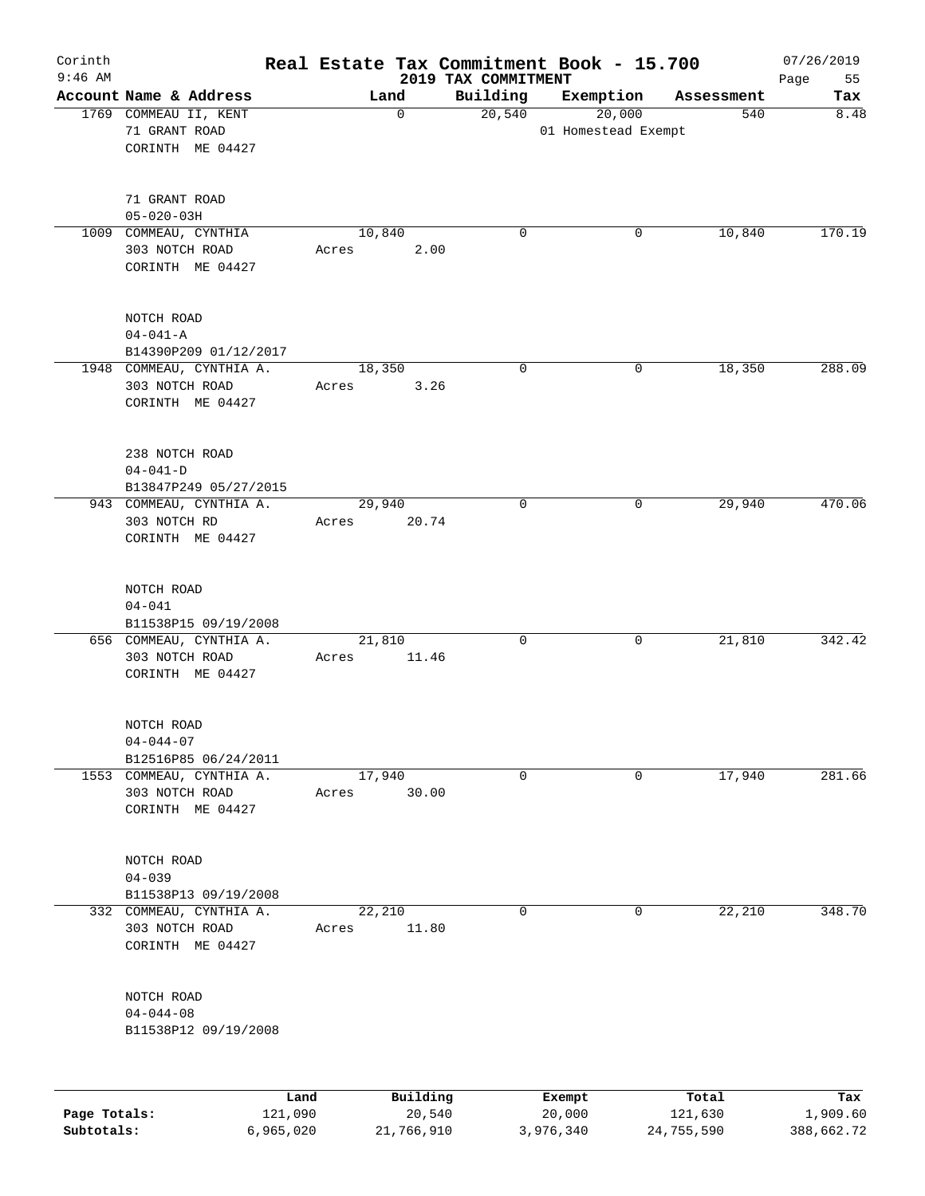| Corinth<br>$9:46$ AM |                                                                | Real Estate Tax Commitment Book - 15.700 | 2019 TAX COMMITMENT |                               |                  | 07/26/2019<br>55<br>Page |
|----------------------|----------------------------------------------------------------|------------------------------------------|---------------------|-------------------------------|------------------|--------------------------|
|                      | Account Name & Address                                         | Land                                     | Building            | Exemption                     | Assessment       | Tax                      |
|                      | 1769 COMMEAU II, KENT<br>71 GRANT ROAD<br>CORINTH ME 04427     | 0                                        | 20,540              | 20,000<br>01 Homestead Exempt | 540              | 8.48                     |
|                      | 71 GRANT ROAD<br>$05 - 020 - 03H$                              |                                          |                     |                               |                  |                          |
|                      | 1009 COMMEAU, CYNTHIA<br>303 NOTCH ROAD<br>CORINTH ME 04427    | 10,840<br>2.00<br>Acres                  | $\mathbf 0$         | 0                             | 10,840           | 170.19                   |
|                      | NOTCH ROAD<br>$04 - 041 - A$<br>B14390P209 01/12/2017          |                                          |                     |                               |                  |                          |
|                      | 1948 COMMEAU, CYNTHIA A.<br>303 NOTCH ROAD<br>CORINTH ME 04427 | 18,350<br>3.26<br>Acres                  | $\mathbf 0$         | 0                             | 18,350           | 288.09                   |
|                      | 238 NOTCH ROAD<br>$04 - 041 - D$<br>B13847P249 05/27/2015      |                                          |                     |                               |                  |                          |
|                      | 943 COMMEAU, CYNTHIA A.<br>303 NOTCH RD<br>CORINTH ME 04427    | 29,940<br>20.74<br>Acres                 | $\mathbf 0$         | 0                             | 29,940           | 470.06                   |
|                      | NOTCH ROAD<br>$04 - 041$<br>B11538P15 09/19/2008               |                                          |                     |                               |                  |                          |
|                      | 656 COMMEAU, CYNTHIA A.<br>303 NOTCH ROAD<br>CORINTH ME 04427  | 21,810<br>11.46<br>Acres                 | $\mathbf 0$         | 0                             | 21,810           | 342.42                   |
|                      | NOTCH ROAD<br>$04 - 044 - 07$<br>B12516P85 06/24/2011          |                                          |                     |                               |                  |                          |
|                      | 1553 COMMEAU, CYNTHIA A.<br>303 NOTCH ROAD<br>CORINTH ME 04427 | 17,940<br>30.00<br>Acres                 | $\mathbf 0$         | 0                             | 17,940           | 281.66                   |
|                      | NOTCH ROAD<br>$04 - 039$<br>B11538P13 09/19/2008               |                                          |                     |                               |                  |                          |
|                      | 332 COMMEAU, CYNTHIA A.<br>303 NOTCH ROAD<br>CORINTH ME 04427  | 22,210<br>11.80<br>Acres                 | $\mathbf 0$         | $\mathbf 0$                   | 22,210           | 348.70                   |
|                      | NOTCH ROAD<br>$04 - 044 - 08$<br>B11538P12 09/19/2008          |                                          |                     |                               |                  |                          |
| Page Totals:         | Land<br>121,090                                                | Building<br>20,540                       |                     | Exempt<br>20,000              | Total<br>121,630 | Tax<br>1,909.60          |

**Subtotals:** 6,965,020 21,766,910 3,976,340 24,755,590 388,662.72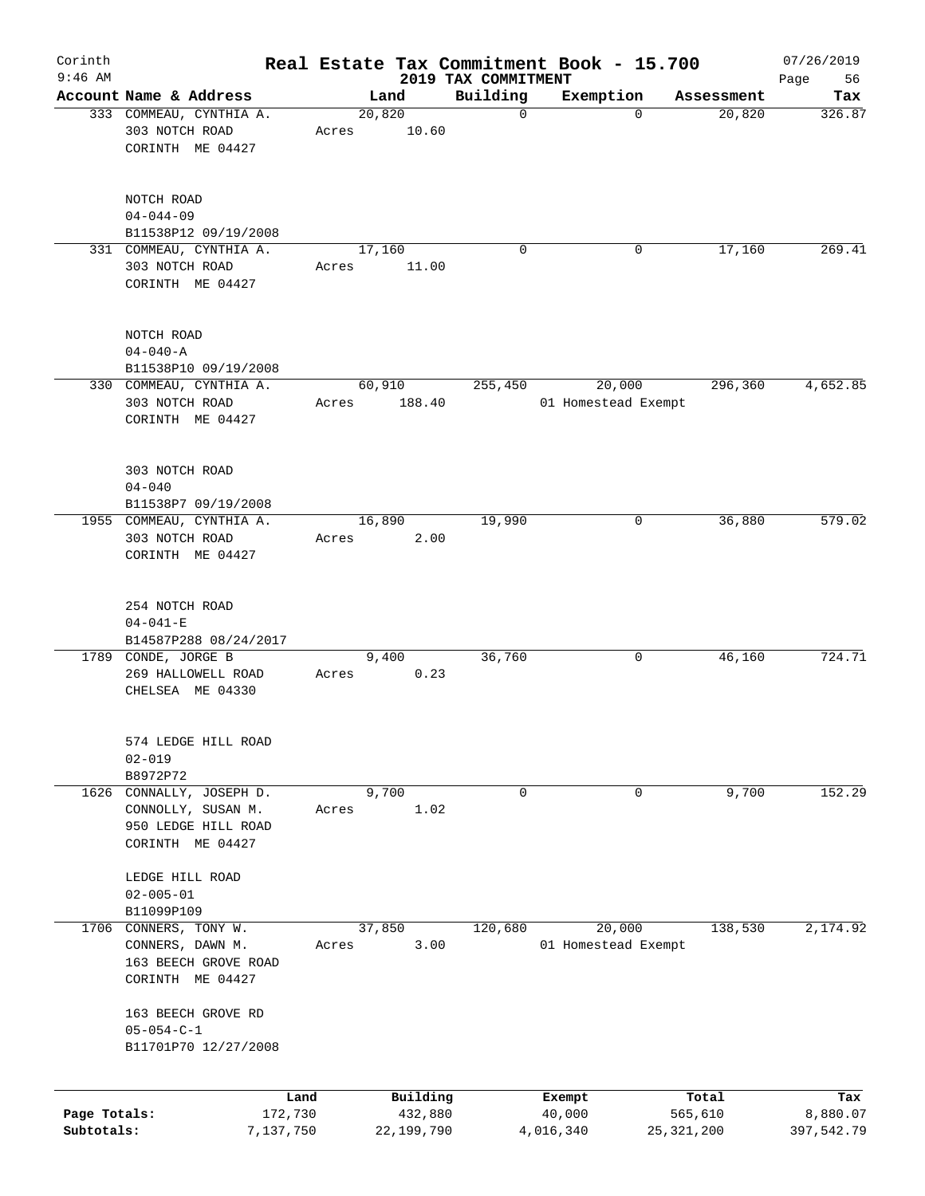| Corinth<br>$9:46$ AM |                                                                  |           |       |        |            | Real Estate Tax Commitment Book - 15.700 |             |                               |          |            | 07/26/2019        |
|----------------------|------------------------------------------------------------------|-----------|-------|--------|------------|------------------------------------------|-------------|-------------------------------|----------|------------|-------------------|
|                      | Account Name & Address                                           |           |       | Land   |            | 2019 TAX COMMITMENT<br>Building          |             | Exemption                     |          | Assessment | 56<br>Page<br>Tax |
|                      | 333 COMMEAU, CYNTHIA A.                                          |           |       | 20,820 |            |                                          | $\mathbf 0$ |                               | $\Omega$ | 20,820     | 326.87            |
|                      | 303 NOTCH ROAD<br>CORINTH ME 04427                               |           | Acres |        | 10.60      |                                          |             |                               |          |            |                   |
|                      | NOTCH ROAD                                                       |           |       |        |            |                                          |             |                               |          |            |                   |
|                      | $04 - 044 - 09$<br>B11538P12 09/19/2008                          |           |       |        |            |                                          |             |                               |          |            |                   |
|                      | 331 COMMEAU, CYNTHIA A.                                          |           |       | 17,160 |            |                                          | $\mathbf 0$ |                               | 0        | 17,160     | 269.41            |
|                      | 303 NOTCH ROAD<br>CORINTH ME 04427                               |           | Acres |        | 11.00      |                                          |             |                               |          |            |                   |
|                      | NOTCH ROAD<br>$04 - 040 - A$                                     |           |       |        |            |                                          |             |                               |          |            |                   |
|                      | B11538P10 09/19/2008                                             |           |       |        |            |                                          |             |                               |          |            |                   |
|                      | 330 COMMEAU, CYNTHIA A.<br>303 NOTCH ROAD<br>CORINTH ME 04427    |           | Acres | 60,910 | 188.40     | 255,450                                  |             | 20,000<br>01 Homestead Exempt |          | 296,360    | 4,652.85          |
|                      |                                                                  |           |       |        |            |                                          |             |                               |          |            |                   |
|                      | 303 NOTCH ROAD<br>$04 - 040$                                     |           |       |        |            |                                          |             |                               |          |            |                   |
|                      | B11538P7 09/19/2008                                              |           |       |        |            |                                          |             |                               |          |            |                   |
|                      | 1955 COMMEAU, CYNTHIA A.                                         |           |       | 16,890 |            | 19,990                                   |             |                               | 0        | 36,880     | 579.02            |
|                      | 303 NOTCH ROAD<br>CORINTH ME 04427                               |           | Acres |        | 2.00       |                                          |             |                               |          |            |                   |
|                      | 254 NOTCH ROAD                                                   |           |       |        |            |                                          |             |                               |          |            |                   |
|                      | $04 - 041 - E$                                                   |           |       |        |            |                                          |             |                               |          |            |                   |
|                      | B14587P288 08/24/2017                                            |           |       |        |            | 36,760                                   |             |                               |          |            | 724.71            |
|                      | 1789 CONDE, JORGE B<br>269 HALLOWELL ROAD<br>CHELSEA ME 04330    |           | Acres | 9,400  | 0.23       |                                          |             |                               | 0        | 46,160     |                   |
|                      | 574 LEDGE HILL ROAD<br>$02 - 019$                                |           |       |        |            |                                          |             |                               |          |            |                   |
|                      | B8972P72                                                         |           |       |        |            |                                          |             |                               |          |            |                   |
| 1626                 | CONNALLY, JOSEPH D.                                              |           |       | 9,700  |            |                                          | 0           |                               | 0        | 9,700      | 152.29            |
|                      | CONNOLLY, SUSAN M.<br>950 LEDGE HILL ROAD<br>CORINTH ME 04427    |           | Acres |        | 1.02       |                                          |             |                               |          |            |                   |
|                      | LEDGE HILL ROAD<br>$02 - 005 - 01$                               |           |       |        |            |                                          |             |                               |          |            |                   |
|                      | B11099P109                                                       |           |       |        |            |                                          |             |                               |          |            |                   |
| 1706                 | CONNERS, TONY W.                                                 |           |       | 37,850 |            | 120,680                                  |             | 20,000                        |          | 138,530    | 2,174.92          |
|                      | CONNERS, DAWN M.<br>163 BEECH GROVE ROAD<br>CORINTH ME 04427     |           | Acres |        | 3.00       |                                          |             | 01 Homestead Exempt           |          |            |                   |
|                      | 163 BEECH GROVE RD<br>$05 - 054 - C - 1$<br>B11701P70 12/27/2008 |           |       |        |            |                                          |             |                               |          |            |                   |
|                      |                                                                  |           |       |        |            |                                          |             |                               |          |            |                   |
|                      |                                                                  | Land      |       |        | Building   |                                          |             | Exempt                        |          | Total      | Tax               |
| Page Totals:         |                                                                  | 172,730   |       |        | 432,880    |                                          |             | 40,000                        |          | 565,610    | 8,880.07          |
| Subtotals:           |                                                                  | 7,137,750 |       |        | 22,199,790 |                                          | 4,016,340   |                               |          | 25,321,200 | 397,542.79        |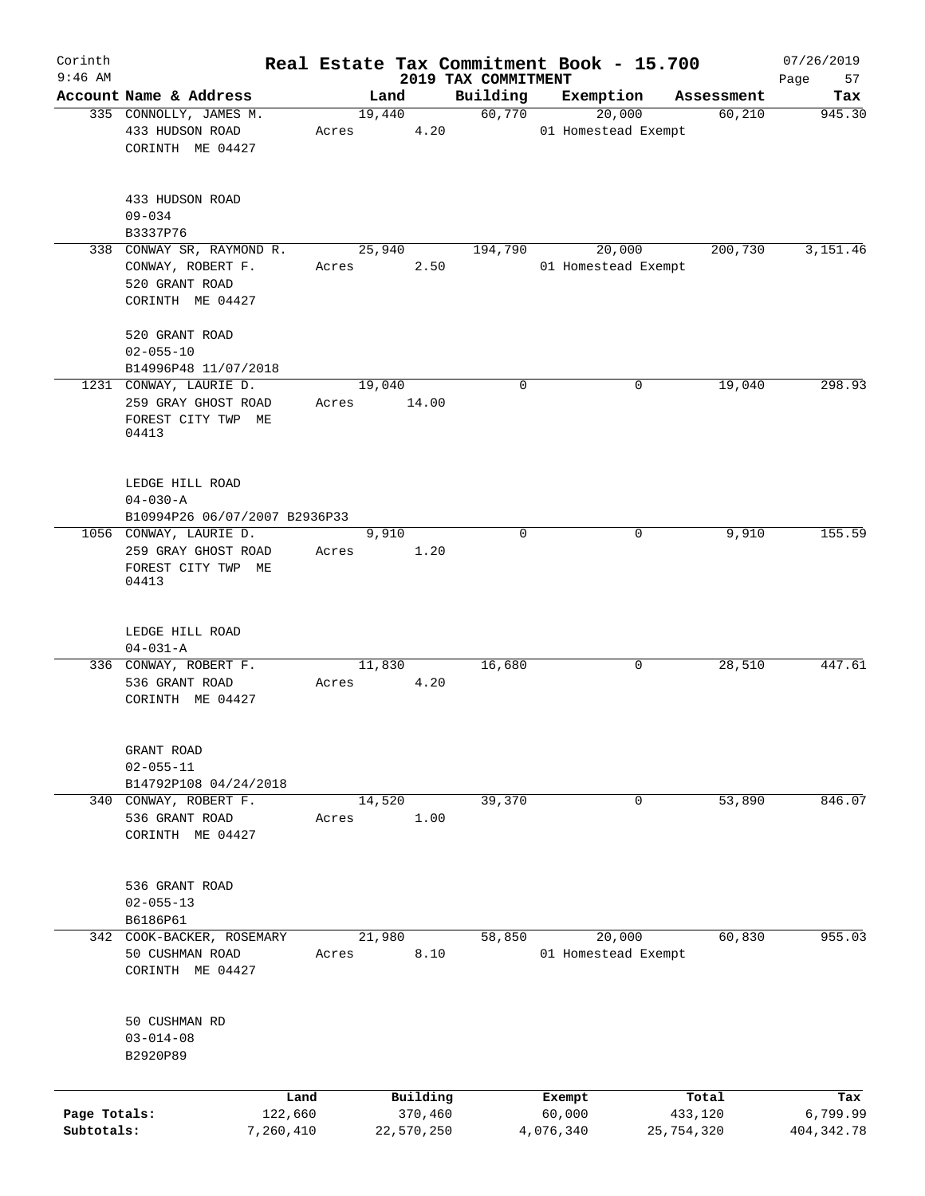| Corinth<br>$9:46$ AM       |                                                                                      |       |                       |                                 | Real Estate Tax Commitment Book - 15.700 |                       | 07/26/2019               |
|----------------------------|--------------------------------------------------------------------------------------|-------|-----------------------|---------------------------------|------------------------------------------|-----------------------|--------------------------|
|                            | Account Name & Address                                                               |       | Land                  | 2019 TAX COMMITMENT<br>Building | Exemption                                | Assessment            | Page<br>57<br>Tax        |
|                            | 335 CONNOLLY, JAMES M.<br>433 HUDSON ROAD<br>CORINTH ME 04427                        | Acres | 19,440<br>4.20        | 60,770                          | 20,000<br>01 Homestead Exempt            | 60,210                | 945.30                   |
|                            | 433 HUDSON ROAD<br>$09 - 034$<br>B3337P76                                            |       |                       |                                 |                                          |                       |                          |
|                            | 338 CONWAY SR, RAYMOND R.<br>CONWAY, ROBERT F.<br>520 GRANT ROAD<br>CORINTH ME 04427 | Acres | 25,940<br>2.50        | 194,790                         | 20,000<br>01 Homestead Exempt            | 200,730               | 3,151.46                 |
|                            | 520 GRANT ROAD<br>$02 - 055 - 10$<br>B14996P48 11/07/2018                            |       |                       |                                 |                                          |                       |                          |
|                            | 1231 CONWAY, LAURIE D.<br>259 GRAY GHOST ROAD<br>FOREST CITY TWP ME<br>04413         | Acres | 19,040<br>14.00       | 0                               | 0                                        | 19,040                | 298.93                   |
|                            | LEDGE HILL ROAD<br>$04 - 030 - A$<br>B10994P26 06/07/2007 B2936P33                   |       |                       |                                 |                                          |                       |                          |
|                            | 1056 CONWAY, LAURIE D.<br>259 GRAY GHOST ROAD<br>FOREST CITY TWP ME<br>04413         | Acres | 9,910<br>1.20         | $\Omega$                        | 0                                        | 9,910                 | 155.59                   |
|                            | LEDGE HILL ROAD<br>$04 - 031 - A$                                                    |       |                       |                                 |                                          |                       |                          |
|                            | 336 CONWAY, ROBERT F.<br>536 GRANT ROAD<br>CORINTH ME 04427                          | Acres | 11,830<br>4.20        | 16,680                          | 0                                        | 28,510                | 447.61                   |
|                            | GRANT ROAD<br>$02 - 055 - 11$<br>B14792P108 04/24/2018                               |       |                       |                                 |                                          |                       |                          |
|                            | 340 CONWAY, ROBERT F.<br>536 GRANT ROAD<br>CORINTH ME 04427                          | Acres | 14,520<br>1.00        | 39,370                          | $\mathbf 0$                              | 53,890                | 846.07                   |
|                            | 536 GRANT ROAD<br>$02 - 055 - 13$<br>B6186P61                                        |       |                       |                                 |                                          |                       |                          |
|                            | 342 COOK-BACKER, ROSEMARY<br>50 CUSHMAN ROAD<br>CORINTH ME 04427                     | Acres | 21,980<br>8.10        | 58,850                          | 20,000<br>01 Homestead Exempt            | 60,830                | 955.03                   |
|                            | 50 CUSHMAN RD<br>$03 - 014 - 08$<br>B2920P89                                         |       |                       |                                 |                                          |                       |                          |
|                            | Land                                                                                 |       | Building              |                                 | Exempt                                   | Total                 | Tax                      |
| Page Totals:<br>Subtotals: | 122,660<br>7,260,410                                                                 |       | 370,460<br>22,570,250 |                                 | 60,000<br>4,076,340                      | 433,120<br>25,754,320 | 6,799.99<br>404, 342. 78 |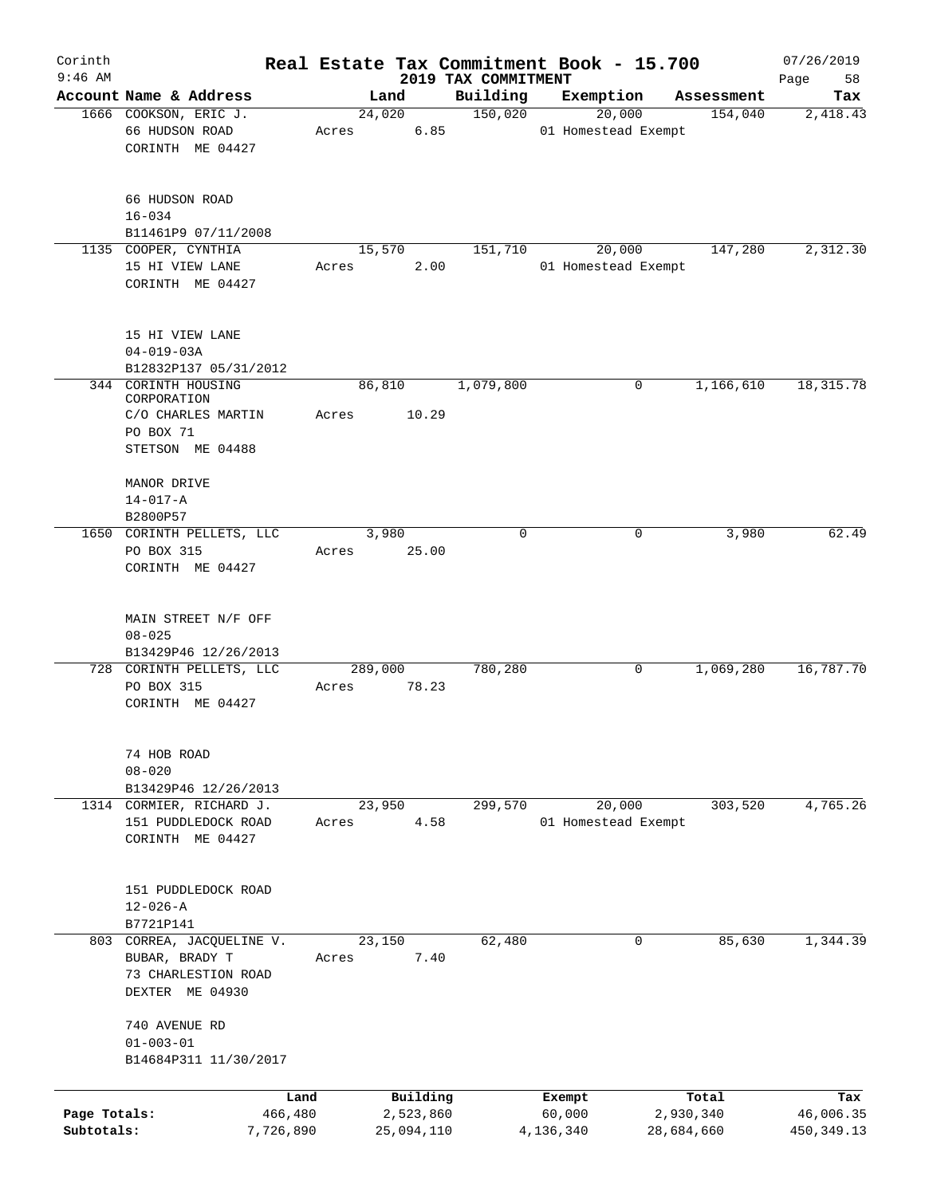| Corinth                    |                                                                                       |                  |                         |                                 | Real Estate Tax Commitment Book - 15.700 |                         | 07/26/2019               |
|----------------------------|---------------------------------------------------------------------------------------|------------------|-------------------------|---------------------------------|------------------------------------------|-------------------------|--------------------------|
| $9:46$ AM                  | Account Name & Address                                                                | Land             |                         | 2019 TAX COMMITMENT<br>Building | Exemption                                |                         | Page<br>58               |
|                            | 1666 COOKSON, ERIC J.                                                                 | 24,020           |                         | 150,020                         | 20,000                                   | Assessment<br>154,040   | Tax<br>2,418.43          |
|                            | 66 HUDSON ROAD<br>CORINTH ME 04427                                                    | Acres            | 6.85                    |                                 | 01 Homestead Exempt                      |                         |                          |
|                            | 66 HUDSON ROAD<br>$16 - 034$<br>B11461P9 07/11/2008                                   |                  |                         |                                 |                                          |                         |                          |
|                            | 1135 COOPER, CYNTHIA                                                                  | 15,570           |                         | 151,710                         | 20,000                                   | 147,280                 | 2,312.30                 |
|                            | 15 HI VIEW LANE<br>CORINTH ME 04427                                                   | Acres            | 2.00                    |                                 | 01 Homestead Exempt                      |                         |                          |
|                            | 15 HI VIEW LANE<br>$04 - 019 - 03A$<br>B12832P137 05/31/2012                          |                  |                         |                                 |                                          |                         |                          |
|                            | 344 CORINTH HOUSING                                                                   | 86,810           |                         | 1,079,800                       | 0                                        | 1,166,610               | 18, 315.78               |
|                            | CORPORATION<br>C/O CHARLES MARTIN<br>PO BOX 71<br>STETSON ME 04488                    | Acres            | 10.29                   |                                 |                                          |                         |                          |
|                            | MANOR DRIVE<br>$14 - 017 - A$<br>B2800P57                                             |                  |                         |                                 |                                          |                         |                          |
|                            | 1650 CORINTH PELLETS, LLC<br>PO BOX 315<br>CORINTH ME 04427                           | 3,980<br>Acres   | 25.00                   | $\Omega$                        | 0                                        | 3,980                   | 62.49                    |
|                            | MAIN STREET N/F OFF<br>$08 - 025$<br>B13429P46 12/26/2013                             |                  |                         |                                 |                                          |                         |                          |
|                            | 728 CORINTH PELLETS, LLC<br>PO BOX 315<br>CORINTH ME 04427                            | 289,000<br>Acres | 78.23                   | 780,280                         | 0                                        | 1,069,280               | 16,787.70                |
|                            | 74 HOB ROAD<br>$08 - 020$<br>B13429P46 12/26/2013                                     |                  |                         |                                 |                                          |                         |                          |
|                            | 1314 CORMIER, RICHARD J.<br>151 PUDDLEDOCK ROAD<br>CORINTH ME 04427                   | 23,950<br>Acres  | 4.58                    | 299,570                         | 20,000<br>01 Homestead Exempt            | 303,520                 | 4,765.26                 |
|                            | 151 PUDDLEDOCK ROAD<br>$12 - 026 - A$<br>B7721P141                                    |                  |                         |                                 |                                          |                         |                          |
|                            | 803 CORREA, JACQUELINE V.<br>BUBAR, BRADY T<br>73 CHARLESTION ROAD<br>DEXTER ME 04930 | 23,150<br>Acres  | 7.40                    | 62,480                          | 0                                        | 85,630                  | 1,344.39                 |
|                            | 740 AVENUE RD<br>$01 - 003 - 01$<br>B14684P311 11/30/2017                             |                  |                         |                                 |                                          |                         |                          |
|                            |                                                                                       | Land             | Building                |                                 | Exempt                                   | Total                   | Tax                      |
| Page Totals:<br>Subtotals: | 466,480<br>7,726,890                                                                  |                  | 2,523,860<br>25,094,110 |                                 | 60,000<br>4,136,340                      | 2,930,340<br>28,684,660 | 46,006.35<br>450, 349.13 |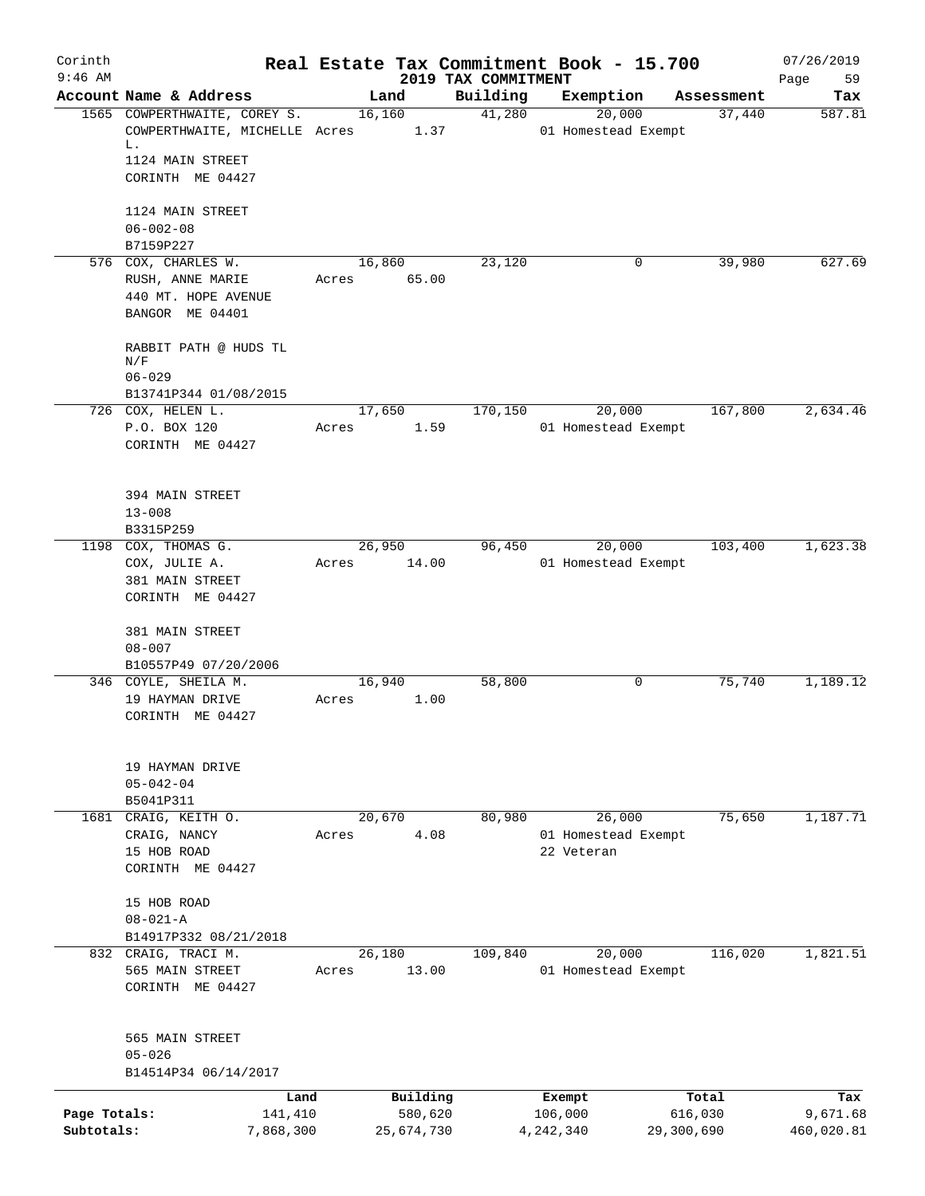| Corinth                    |                                            |       |                       |                                 | Real Estate Tax Commitment Book - 15.700 |                       | 07/26/2019             |
|----------------------------|--------------------------------------------|-------|-----------------------|---------------------------------|------------------------------------------|-----------------------|------------------------|
| $9:46$ AM                  | Account Name & Address                     |       | Land                  | 2019 TAX COMMITMENT<br>Building | Exemption                                | Assessment            | 59<br>Page<br>Tax      |
|                            | 1565 COWPERTHWAITE, COREY S.               |       | 16, 160               | 41,280                          | 20,000                                   | 37,440                | 587.81                 |
|                            | COWPERTHWAITE, MICHELLE Acres<br>L.        |       | 1.37                  |                                 | 01 Homestead Exempt                      |                       |                        |
|                            | 1124 MAIN STREET<br>CORINTH ME 04427       |       |                       |                                 |                                          |                       |                        |
|                            | 1124 MAIN STREET<br>$06 - 002 - 08$        |       |                       |                                 |                                          |                       |                        |
|                            | B7159P227                                  |       |                       |                                 |                                          |                       |                        |
|                            | 576 COX, CHARLES W.                        |       | 16,860                | 23,120                          | 0                                        | 39,980                | 627.69                 |
|                            | RUSH, ANNE MARIE                           |       | Acres 65.00           |                                 |                                          |                       |                        |
|                            | 440 MT. HOPE AVENUE<br>BANGOR ME 04401     |       |                       |                                 |                                          |                       |                        |
|                            | RABBIT PATH @ HUDS TL<br>N/F<br>$06 - 029$ |       |                       |                                 |                                          |                       |                        |
|                            | B13741P344 01/08/2015                      |       |                       |                                 |                                          |                       |                        |
|                            | 726 COX, HELEN L.                          |       | 17,650                | 170,150                         | 20,000                                   | 167,800               | 2,634.46               |
|                            | P.O. BOX 120<br>CORINTH ME 04427           | Acres | 1.59                  |                                 | 01 Homestead Exempt                      |                       |                        |
|                            | 394 MAIN STREET<br>$13 - 008$              |       |                       |                                 |                                          |                       |                        |
|                            | B3315P259                                  |       |                       |                                 |                                          |                       |                        |
|                            | 1198 COX, THOMAS G.                        |       | 26,950                | 96,450                          | 20,000                                   | 103,400               | 1,623.38               |
|                            | COX, JULIE A.<br>381 MAIN STREET           | Acres | 14.00                 |                                 | 01 Homestead Exempt                      |                       |                        |
|                            | CORINTH ME 04427                           |       |                       |                                 |                                          |                       |                        |
|                            | 381 MAIN STREET<br>$08 - 007$              |       |                       |                                 |                                          |                       |                        |
|                            | B10557P49 07/20/2006                       |       |                       |                                 |                                          |                       |                        |
|                            | 346 COYLE, SHEILA M.                       |       | 16,940                | 58,800                          | 0                                        | 75,740                | 1,189.12               |
|                            | 19 HAYMAN DRIVE<br>CORINTH ME 04427        | Acres | 1.00                  |                                 |                                          |                       |                        |
|                            | 19 HAYMAN DRIVE                            |       |                       |                                 |                                          |                       |                        |
|                            | $05 - 042 - 04$                            |       |                       |                                 |                                          |                       |                        |
|                            | B5041P311<br>1681 CRAIG, KEITH O.          |       | 20,670                | 80,980                          | 26,000                                   | 75,650                | 1,187.71               |
|                            | CRAIG, NANCY                               | Acres | 4.08                  |                                 | 01 Homestead Exempt                      |                       |                        |
|                            | 15 HOB ROAD<br>CORINTH ME 04427            |       |                       |                                 | 22 Veteran                               |                       |                        |
|                            | 15 HOB ROAD<br>$08 - 021 - A$              |       |                       |                                 |                                          |                       |                        |
|                            | B14917P332 08/21/2018                      |       |                       |                                 |                                          |                       |                        |
|                            | 832 CRAIG, TRACI M.                        |       | 26,180                | 109,840                         | 20,000                                   | 116,020               | 1,821.51               |
|                            | 565 MAIN STREET<br>CORINTH ME 04427        | Acres | 13.00                 |                                 | 01 Homestead Exempt                      |                       |                        |
|                            | 565 MAIN STREET<br>$05 - 026$              |       |                       |                                 |                                          |                       |                        |
|                            | B14514P34 06/14/2017                       |       |                       |                                 |                                          |                       |                        |
|                            | Land                                       |       | Building              |                                 | Exempt                                   | Total                 | Tax                    |
| Page Totals:<br>Subtotals: | 141,410<br>7,868,300                       |       | 580,620<br>25,674,730 |                                 | 106,000<br>4, 242, 340                   | 616,030<br>29,300,690 | 9,671.68<br>460,020.81 |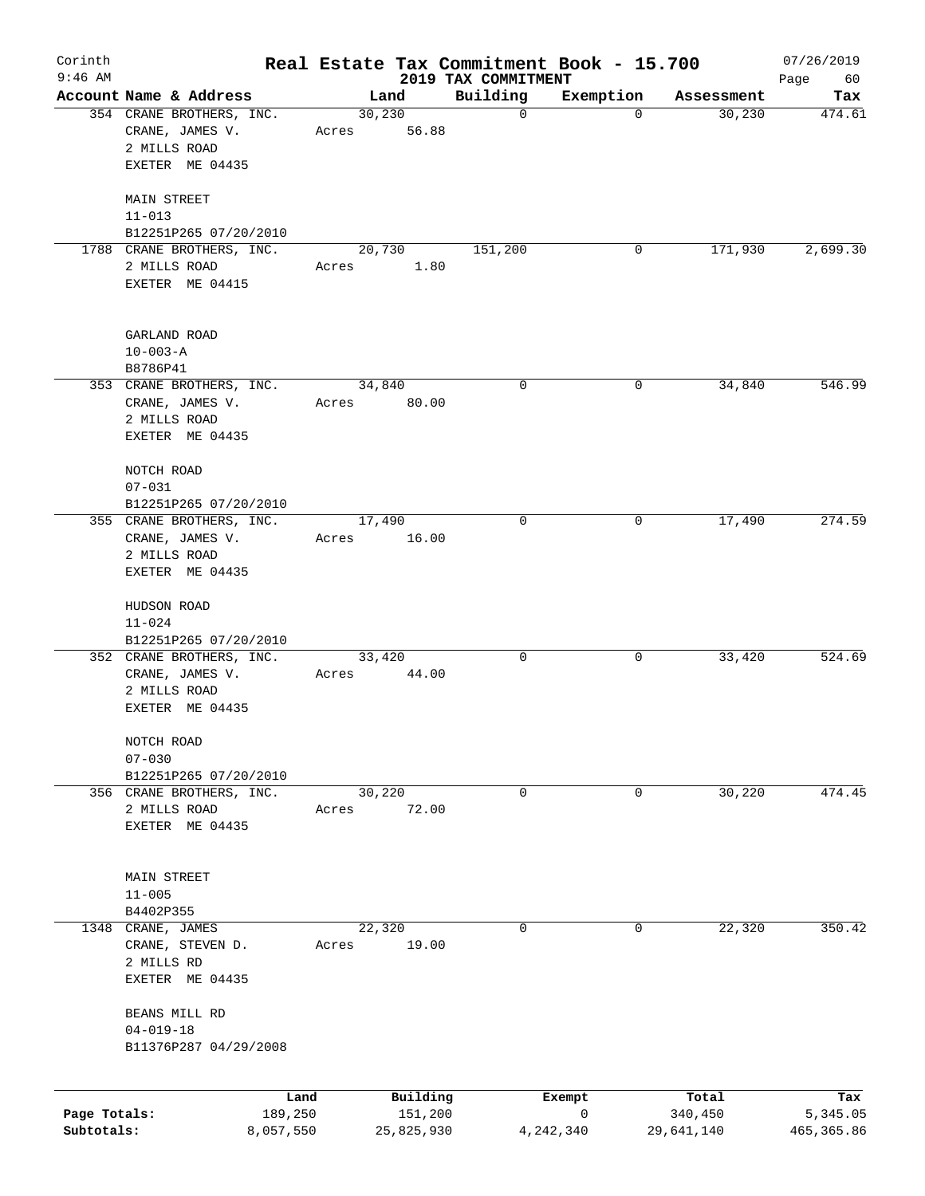| Corinth      |                                                                                |           |       |                  |                                 | Real Estate Tax Commitment Book - 15.700 |            | 07/26/2019        |
|--------------|--------------------------------------------------------------------------------|-----------|-------|------------------|---------------------------------|------------------------------------------|------------|-------------------|
| $9:46$ AM    | Account Name & Address                                                         |           |       | Land             | 2019 TAX COMMITMENT<br>Building | Exemption                                | Assessment | Page<br>60<br>Tax |
|              | 354 CRANE BROTHERS, INC.<br>CRANE, JAMES V.                                    |           | Acres | 30, 230<br>56.88 | $\mathbf 0$                     | $\mathbf 0$                              | 30,230     | 474.61            |
|              | 2 MILLS ROAD<br>EXETER ME 04435                                                |           |       |                  |                                 |                                          |            |                   |
|              | <b>MAIN STREET</b><br>$11 - 013$                                               |           |       |                  |                                 |                                          |            |                   |
|              | B12251P265 07/20/2010                                                          |           |       |                  |                                 |                                          |            |                   |
|              | 1788 CRANE BROTHERS, INC.<br>2 MILLS ROAD<br>EXETER ME 04415                   |           | Acres | 20,730<br>1.80   | 151,200                         | 0                                        | 171,930    | 2,699.30          |
|              | GARLAND ROAD<br>$10 - 003 - A$                                                 |           |       |                  |                                 |                                          |            |                   |
|              | B8786P41                                                                       |           |       |                  |                                 |                                          |            |                   |
|              | 353 CRANE BROTHERS, INC.<br>CRANE, JAMES V.<br>2 MILLS ROAD<br>EXETER ME 04435 |           | Acres | 34,840<br>80.00  | 0                               | 0                                        | 34,840     | 546.99            |
|              | NOTCH ROAD<br>$07 - 031$                                                       |           |       |                  |                                 |                                          |            |                   |
|              | B12251P265 07/20/2010                                                          |           |       |                  |                                 |                                          |            |                   |
|              | 355 CRANE BROTHERS, INC.<br>CRANE, JAMES V.<br>2 MILLS ROAD                    |           | Acres | 17,490<br>16.00  | 0                               | 0                                        | 17,490     | 274.59            |
|              | EXETER ME 04435                                                                |           |       |                  |                                 |                                          |            |                   |
|              | HUDSON ROAD<br>$11 - 024$<br>B12251P265 07/20/2010                             |           |       |                  |                                 |                                          |            |                   |
|              | 352 CRANE BROTHERS, INC.                                                       |           |       | 33,420           | 0                               | 0                                        | 33,420     | 524.69            |
|              | CRANE, JAMES V.<br>2 MILLS ROAD<br>EXETER ME 04435                             |           | Acres | 44.00            |                                 |                                          |            |                   |
|              | NOTCH ROAD<br>$07 - 030$                                                       |           |       |                  |                                 |                                          |            |                   |
|              | B12251P265 07/20/2010                                                          |           |       |                  |                                 |                                          |            |                   |
|              | 356 CRANE BROTHERS, INC.<br>2 MILLS ROAD<br>EXETER ME 04435                    |           | Acres | 30,220<br>72.00  | 0                               | 0                                        | 30,220     | 474.45            |
|              |                                                                                |           |       |                  |                                 |                                          |            |                   |
|              | MAIN STREET<br>$11 - 005$                                                      |           |       |                  |                                 |                                          |            |                   |
|              | B4402P355                                                                      |           |       |                  |                                 |                                          |            |                   |
| 1348         | CRANE, JAMES<br>CRANE, STEVEN D.<br>2 MILLS RD<br>EXETER ME 04435              |           | Acres | 22,320<br>19.00  | 0                               | 0                                        | 22,320     | 350.42            |
|              | BEANS MILL RD<br>$04 - 019 - 18$                                               |           |       |                  |                                 |                                          |            |                   |
|              | B11376P287 04/29/2008                                                          |           |       |                  |                                 |                                          |            |                   |
|              |                                                                                | Land      |       | Building         |                                 | Exempt                                   | Total      | Tax               |
| Page Totals: |                                                                                | 189,250   |       | 151,200          |                                 | 0                                        | 340,450    | 5,345.05          |
| Subtotals:   |                                                                                | 8,057,550 |       | 25,825,930       |                                 | 4,242,340                                | 29,641,140 | 465, 365.86       |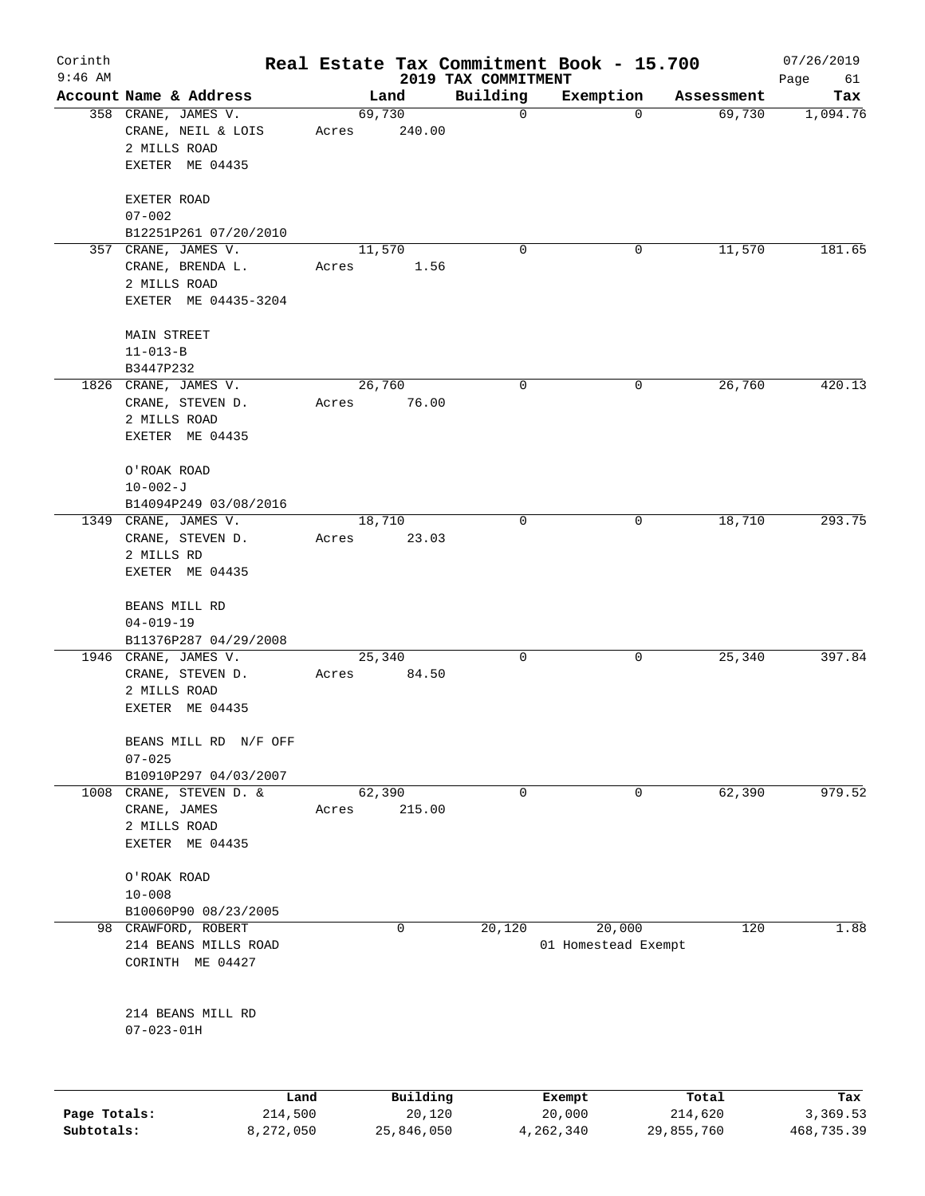| Corinth      |                                         |                 |          |                                 | Real Estate Tax Commitment Book - 15.700 |            | 07/26/2019        |
|--------------|-----------------------------------------|-----------------|----------|---------------------------------|------------------------------------------|------------|-------------------|
| $9:46$ AM    | Account Name & Address                  | Land            |          | 2019 TAX COMMITMENT<br>Building | Exemption                                | Assessment | Page<br>61<br>Tax |
|              | 358 CRANE, JAMES V.                     | 69,730          |          | 0                               | 0                                        | 69,730     | 1,094.76          |
|              | CRANE, NEIL & LOIS<br>2 MILLS ROAD      | Acres           | 240.00   |                                 |                                          |            |                   |
|              | EXETER ME 04435                         |                 |          |                                 |                                          |            |                   |
|              | EXETER ROAD                             |                 |          |                                 |                                          |            |                   |
|              | $07 - 002$<br>B12251P261 07/20/2010     |                 |          |                                 |                                          |            |                   |
|              | 357 CRANE, JAMES V.                     | 11,570          |          | 0                               | 0                                        | 11,570     | 181.65            |
|              | CRANE, BRENDA L.                        | Acres           | 1.56     |                                 |                                          |            |                   |
|              | 2 MILLS ROAD<br>EXETER ME 04435-3204    |                 |          |                                 |                                          |            |                   |
|              | MAIN STREET                             |                 |          |                                 |                                          |            |                   |
|              | $11 - 013 - B$                          |                 |          |                                 |                                          |            |                   |
|              | B3447P232                               |                 |          |                                 |                                          |            |                   |
|              | 1826 CRANE, JAMES V.                    | 26,760          |          | 0                               | 0                                        | 26,760     | 420.13            |
|              | CRANE, STEVEN D.                        | Acres           | 76.00    |                                 |                                          |            |                   |
|              | 2 MILLS ROAD                            |                 |          |                                 |                                          |            |                   |
|              | EXETER ME 04435                         |                 |          |                                 |                                          |            |                   |
|              | O'ROAK ROAD                             |                 |          |                                 |                                          |            |                   |
|              | $10 - 002 - J$                          |                 |          |                                 |                                          |            |                   |
|              | B14094P249 03/08/2016                   |                 |          |                                 |                                          |            |                   |
|              | 1349 CRANE, JAMES V.                    | 18,710          |          | 0                               | 0                                        | 18,710     | 293.75            |
|              | CRANE, STEVEN D.<br>2 MILLS RD          | Acres           | 23.03    |                                 |                                          |            |                   |
|              | EXETER ME 04435                         |                 |          |                                 |                                          |            |                   |
|              | BEANS MILL RD                           |                 |          |                                 |                                          |            |                   |
|              | $04 - 019 - 19$                         |                 |          |                                 |                                          |            |                   |
|              | B11376P287 04/29/2008                   |                 |          |                                 |                                          |            |                   |
|              | 1946 CRANE, JAMES V.                    | 25,340          |          | 0                               | 0                                        | 25,340     | 397.84            |
|              | CRANE, STEVEN D.                        | Acres           | 84.50    |                                 |                                          |            |                   |
|              | 2 MILLS ROAD                            |                 |          |                                 |                                          |            |                   |
|              | EXETER ME 04435                         |                 |          |                                 |                                          |            |                   |
|              | BEANS MILL RD N/F OFF                   |                 |          |                                 |                                          |            |                   |
|              | $07 - 025$                              |                 |          |                                 |                                          |            |                   |
|              | B10910P297 04/03/2007                   |                 |          |                                 |                                          |            | 979.52            |
|              | 1008 CRANE, STEVEN D. &<br>CRANE, JAMES | 62,390<br>Acres | 215.00   | 0                               | 0                                        | 62,390     |                   |
|              | 2 MILLS ROAD                            |                 |          |                                 |                                          |            |                   |
|              | EXETER ME 04435                         |                 |          |                                 |                                          |            |                   |
|              | O'ROAK ROAD                             |                 |          |                                 |                                          |            |                   |
|              | $10 - 008$                              |                 |          |                                 |                                          |            |                   |
|              | B10060P90 08/23/2005                    |                 |          |                                 |                                          |            |                   |
|              | 98 CRAWFORD, ROBERT                     |                 | 0        | 20,120                          | 20,000                                   | 120        | 1.88              |
|              | 214 BEANS MILLS ROAD                    |                 |          |                                 | 01 Homestead Exempt                      |            |                   |
|              | CORINTH ME 04427                        |                 |          |                                 |                                          |            |                   |
|              | 214 BEANS MILL RD                       |                 |          |                                 |                                          |            |                   |
|              | $07 - 023 - 01H$                        |                 |          |                                 |                                          |            |                   |
|              |                                         |                 |          |                                 |                                          |            |                   |
|              | Land                                    |                 | Building |                                 | Exempt                                   | Total      | Tax               |
| Page Totals: | 214,500                                 |                 | 20,120   |                                 | 20,000                                   | 214,620    | 3,369.53          |

**Subtotals:** 8,272,050 25,846,050 4,262,340 29,855,760 468,735.39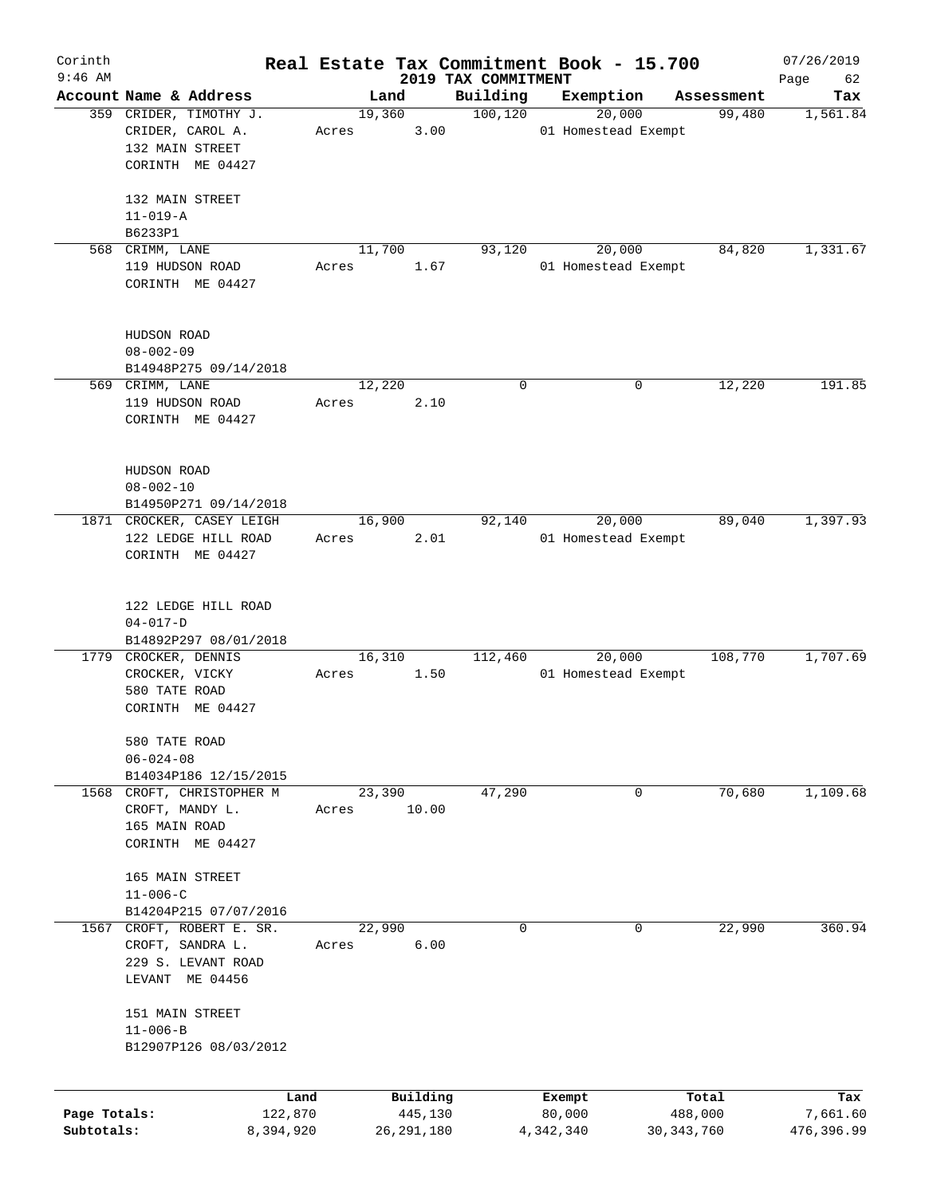| Corinth<br>$9:46$ AM |                           |       |        |                     |                                 | Real Estate Tax Commitment Book - 15.700 |                  | 07/26/2019        |
|----------------------|---------------------------|-------|--------|---------------------|---------------------------------|------------------------------------------|------------------|-------------------|
|                      | Account Name & Address    |       | Land   |                     | 2019 TAX COMMITMENT<br>Building |                                          | Assessment       | Page<br>62<br>Tax |
|                      | 359 CRIDER, TIMOTHY J.    |       | 19,360 |                     | 100, 120                        | Exemption<br>20,000                      | 99,480           | 1,561.84          |
|                      | CRIDER, CAROL A.          |       |        | 3.00                |                                 | 01 Homestead Exempt                      |                  |                   |
|                      | 132 MAIN STREET           | Acres |        |                     |                                 |                                          |                  |                   |
|                      |                           |       |        |                     |                                 |                                          |                  |                   |
|                      | CORINTH ME 04427          |       |        |                     |                                 |                                          |                  |                   |
|                      |                           |       |        |                     |                                 |                                          |                  |                   |
|                      | 132 MAIN STREET           |       |        |                     |                                 |                                          |                  |                   |
|                      | $11 - 019 - A$            |       |        |                     |                                 |                                          |                  |                   |
|                      | B6233P1                   |       |        |                     |                                 |                                          |                  |                   |
|                      | 568 CRIMM, LANE           |       | 11,700 |                     | 93,120                          | 20,000                                   | 84,820           | 1,331.67          |
|                      | 119 HUDSON ROAD           | Acres |        | 1.67                |                                 | 01 Homestead Exempt                      |                  |                   |
|                      | CORINTH ME 04427          |       |        |                     |                                 |                                          |                  |                   |
|                      |                           |       |        |                     |                                 |                                          |                  |                   |
|                      |                           |       |        |                     |                                 |                                          |                  |                   |
|                      | HUDSON ROAD               |       |        |                     |                                 |                                          |                  |                   |
|                      | $08 - 002 - 09$           |       |        |                     |                                 |                                          |                  |                   |
|                      | B14948P275 09/14/2018     |       |        |                     |                                 |                                          |                  |                   |
|                      | 569 CRIMM, LANE           |       | 12,220 |                     | $\mathbf 0$                     | $\mathbf 0$                              | 12,220           | 191.85            |
|                      | 119 HUDSON ROAD           | Acres |        | 2.10                |                                 |                                          |                  |                   |
|                      | CORINTH ME 04427          |       |        |                     |                                 |                                          |                  |                   |
|                      |                           |       |        |                     |                                 |                                          |                  |                   |
|                      |                           |       |        |                     |                                 |                                          |                  |                   |
|                      | HUDSON ROAD               |       |        |                     |                                 |                                          |                  |                   |
|                      | $08 - 002 - 10$           |       |        |                     |                                 |                                          |                  |                   |
|                      | B14950P271 09/14/2018     |       |        |                     |                                 |                                          |                  |                   |
|                      | 1871 CROCKER, CASEY LEIGH |       | 16,900 |                     | 92,140                          | 20,000                                   | 89,040           | 1,397.93          |
|                      | 122 LEDGE HILL ROAD       | Acres |        | 2.01                |                                 | 01 Homestead Exempt                      |                  |                   |
|                      | CORINTH ME 04427          |       |        |                     |                                 |                                          |                  |                   |
|                      |                           |       |        |                     |                                 |                                          |                  |                   |
|                      |                           |       |        |                     |                                 |                                          |                  |                   |
|                      | 122 LEDGE HILL ROAD       |       |        |                     |                                 |                                          |                  |                   |
|                      | $04 - 017 - D$            |       |        |                     |                                 |                                          |                  |                   |
|                      | B14892P297 08/01/2018     |       |        |                     |                                 |                                          |                  |                   |
|                      | 1779 CROCKER, DENNIS      |       | 16,310 |                     | 112,460                         | 20,000                                   | 108,770          | 1,707.69          |
|                      | CROCKER, VICKY            | Acres |        | 1.50                |                                 | 01 Homestead Exempt                      |                  |                   |
|                      | 580 TATE ROAD             |       |        |                     |                                 |                                          |                  |                   |
|                      | CORINTH ME 04427          |       |        |                     |                                 |                                          |                  |                   |
|                      |                           |       |        |                     |                                 |                                          |                  |                   |
|                      | 580 TATE ROAD             |       |        |                     |                                 |                                          |                  |                   |
|                      | $06 - 024 - 08$           |       |        |                     |                                 |                                          |                  |                   |
|                      | B14034P186 12/15/2015     |       |        |                     |                                 |                                          |                  |                   |
|                      | 1568 CROFT, CHRISTOPHER M |       | 23,390 |                     | 47,290                          | 0                                        | 70,680           | 1,109.68          |
|                      | CROFT, MANDY L.           | Acres |        | 10.00               |                                 |                                          |                  |                   |
|                      | 165 MAIN ROAD             |       |        |                     |                                 |                                          |                  |                   |
|                      | CORINTH ME 04427          |       |        |                     |                                 |                                          |                  |                   |
|                      |                           |       |        |                     |                                 |                                          |                  |                   |
|                      | 165 MAIN STREET           |       |        |                     |                                 |                                          |                  |                   |
|                      | $11 - 006 - C$            |       |        |                     |                                 |                                          |                  |                   |
|                      |                           |       |        |                     |                                 |                                          |                  |                   |
|                      | B14204P215 07/07/2016     |       |        |                     |                                 |                                          |                  |                   |
| 1567                 | CROFT, ROBERT E. SR.      |       | 22,990 |                     | $\mathbf 0$                     | 0                                        | 22,990           | 360.94            |
|                      | CROFT, SANDRA L.          | Acres |        | 6.00                |                                 |                                          |                  |                   |
|                      | 229 S. LEVANT ROAD        |       |        |                     |                                 |                                          |                  |                   |
|                      | LEVANT ME 04456           |       |        |                     |                                 |                                          |                  |                   |
|                      |                           |       |        |                     |                                 |                                          |                  |                   |
|                      | 151 MAIN STREET           |       |        |                     |                                 |                                          |                  |                   |
|                      | $11 - 006 - B$            |       |        |                     |                                 |                                          |                  |                   |
|                      | B12907P126 08/03/2012     |       |        |                     |                                 |                                          |                  |                   |
|                      |                           |       |        |                     |                                 |                                          |                  |                   |
|                      |                           |       |        |                     |                                 |                                          |                  |                   |
| Page Totals:         | Land<br>122,870           |       |        | Building<br>445,130 |                                 | Exempt<br>80,000                         | Total<br>488,000 | Tax<br>7,661.60   |
| Subtotals:           | 8,394,920                 |       |        | 26, 291, 180        |                                 | 4,342,340                                | 30, 343, 760     | 476,396.99        |
|                      |                           |       |        |                     |                                 |                                          |                  |                   |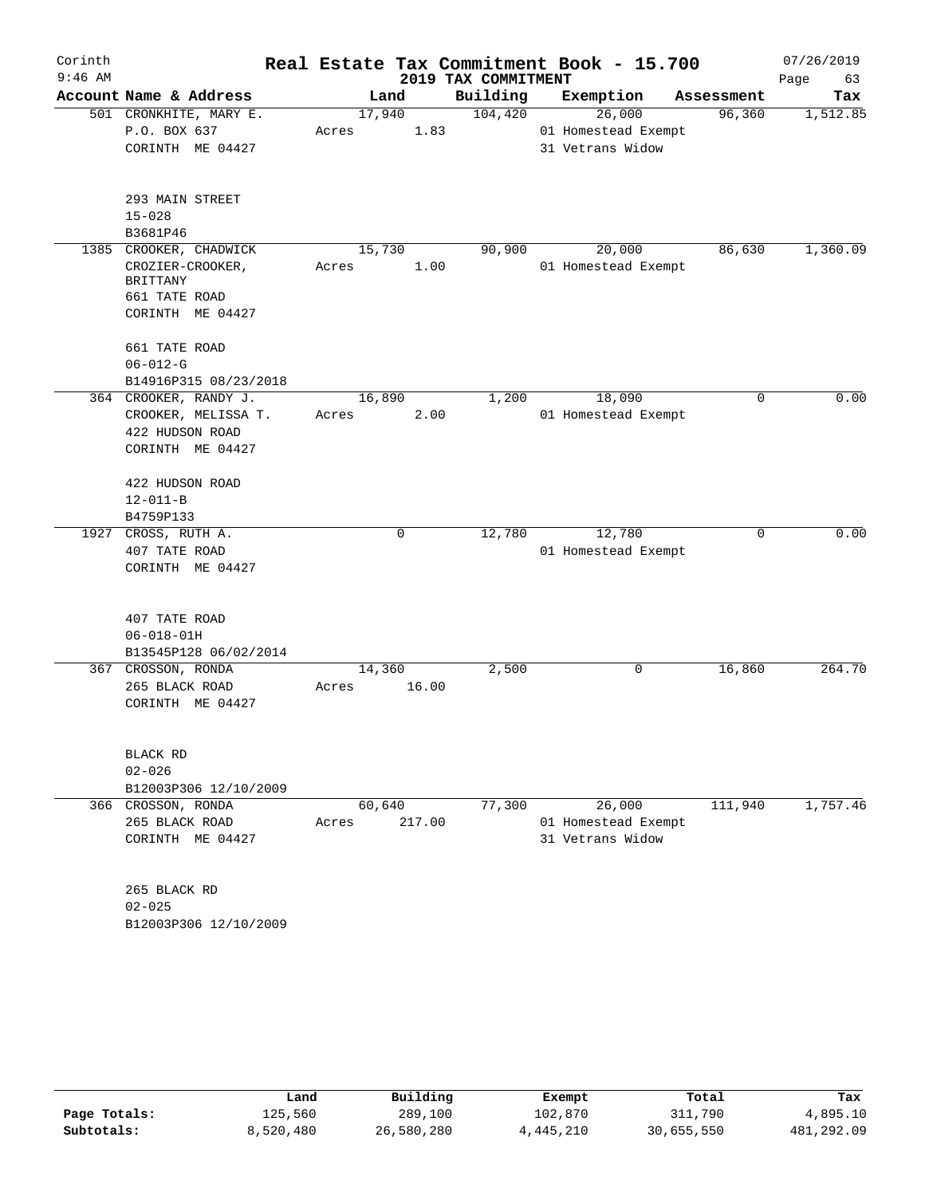| Corinth   |                                        |        |                |                     | Real Estate Tax Commitment Book - 15.700 |            | 07/26/2019 |
|-----------|----------------------------------------|--------|----------------|---------------------|------------------------------------------|------------|------------|
| $9:46$ AM |                                        |        |                | 2019 TAX COMMITMENT |                                          |            | Page<br>63 |
|           | Account Name & Address                 |        | Land           | Building            | Exemption                                | Assessment | Tax        |
|           | 501 CRONKHITE, MARY E.<br>P.O. BOX 637 | Acres  | 17,940<br>1.83 | 104,420             | 26,000<br>01 Homestead Exempt            | 96,360     | 1,512.85   |
|           | CORINTH ME 04427                       |        |                |                     | 31 Vetrans Widow                         |            |            |
|           |                                        |        |                |                     |                                          |            |            |
|           | 293 MAIN STREET                        |        |                |                     |                                          |            |            |
|           | $15 - 028$                             |        |                |                     |                                          |            |            |
|           | B3681P46                               |        |                |                     |                                          |            |            |
| 1385      | CROOKER, CHADWICK                      | 15,730 |                | 90,900              | 20,000                                   | 86,630     | 1,360.09   |
|           | CROZIER-CROOKER,                       | Acres  | 1.00           |                     | 01 Homestead Exempt                      |            |            |
|           | BRITTANY                               |        |                |                     |                                          |            |            |
|           | 661 TATE ROAD                          |        |                |                     |                                          |            |            |
|           | CORINTH ME 04427                       |        |                |                     |                                          |            |            |
|           | 661 TATE ROAD                          |        |                |                     |                                          |            |            |
|           | $06 - 012 - G$                         |        |                |                     |                                          |            |            |
|           | B14916P315 08/23/2018                  |        |                |                     |                                          |            |            |
|           | 364 CROOKER, RANDY J.                  |        | 16,890         | 1,200               | 18,090                                   | 0          | 0.00       |
|           | CROOKER, MELISSA T.                    | Acres  | 2.00           |                     | 01 Homestead Exempt                      |            |            |
|           | 422 HUDSON ROAD                        |        |                |                     |                                          |            |            |
|           | CORINTH ME 04427                       |        |                |                     |                                          |            |            |
|           |                                        |        |                |                     |                                          |            |            |
|           | 422 HUDSON ROAD                        |        |                |                     |                                          |            |            |
|           | $12 - 011 - B$                         |        |                |                     |                                          |            |            |
|           | B4759P133<br>1927 CROSS, RUTH A.       |        | 0              | 12,780              | 12,780                                   | $\Omega$   | 0.00       |
|           | 407 TATE ROAD                          |        |                |                     | 01 Homestead Exempt                      |            |            |
|           |                                        |        |                |                     |                                          |            |            |
|           | CORINTH ME 04427                       |        |                |                     |                                          |            |            |
|           | 407 TATE ROAD                          |        |                |                     |                                          |            |            |
|           | $06 - 018 - 01H$                       |        |                |                     |                                          |            |            |
|           | B13545P128 06/02/2014                  |        |                |                     |                                          |            |            |
|           | 367 CROSSON, RONDA                     |        | 14,360         | 2,500               | 0                                        | 16,860     | 264.70     |
|           | 265 BLACK ROAD                         | Acres  | 16.00          |                     |                                          |            |            |
|           | CORINTH ME 04427                       |        |                |                     |                                          |            |            |
|           |                                        |        |                |                     |                                          |            |            |
|           | BLACK RD                               |        |                |                     |                                          |            |            |
|           | $02 - 026$                             |        |                |                     |                                          |            |            |
|           | B12003P306 12/10/2009                  |        |                |                     |                                          |            |            |
|           | 366 CROSSON, RONDA                     |        | 60,640         | 77,300              | 26,000                                   | 111,940    | 1,757.46   |
|           | 265 BLACK ROAD                         | Acres  | 217.00         |                     | 01 Homestead Exempt                      |            |            |
|           | CORINTH ME 04427                       |        |                |                     | 31 Vetrans Widow                         |            |            |
|           |                                        |        |                |                     |                                          |            |            |
|           | 265 BLACK RD                           |        |                |                     |                                          |            |            |
|           | $02 - 025$                             |        |                |                     |                                          |            |            |
|           | B12003P306 12/10/2009                  |        |                |                     |                                          |            |            |

|              | Land      | Building   | Exempt    | Total      | Tax        |
|--------------|-----------|------------|-----------|------------|------------|
| Page Totals: | 125,560   | 289,100    | 102,870   | 311,790    | 4,895.10   |
| Subtotals:   | 8,520,480 | 26,580,280 | 4,445,210 | 30,655,550 | 481,292.09 |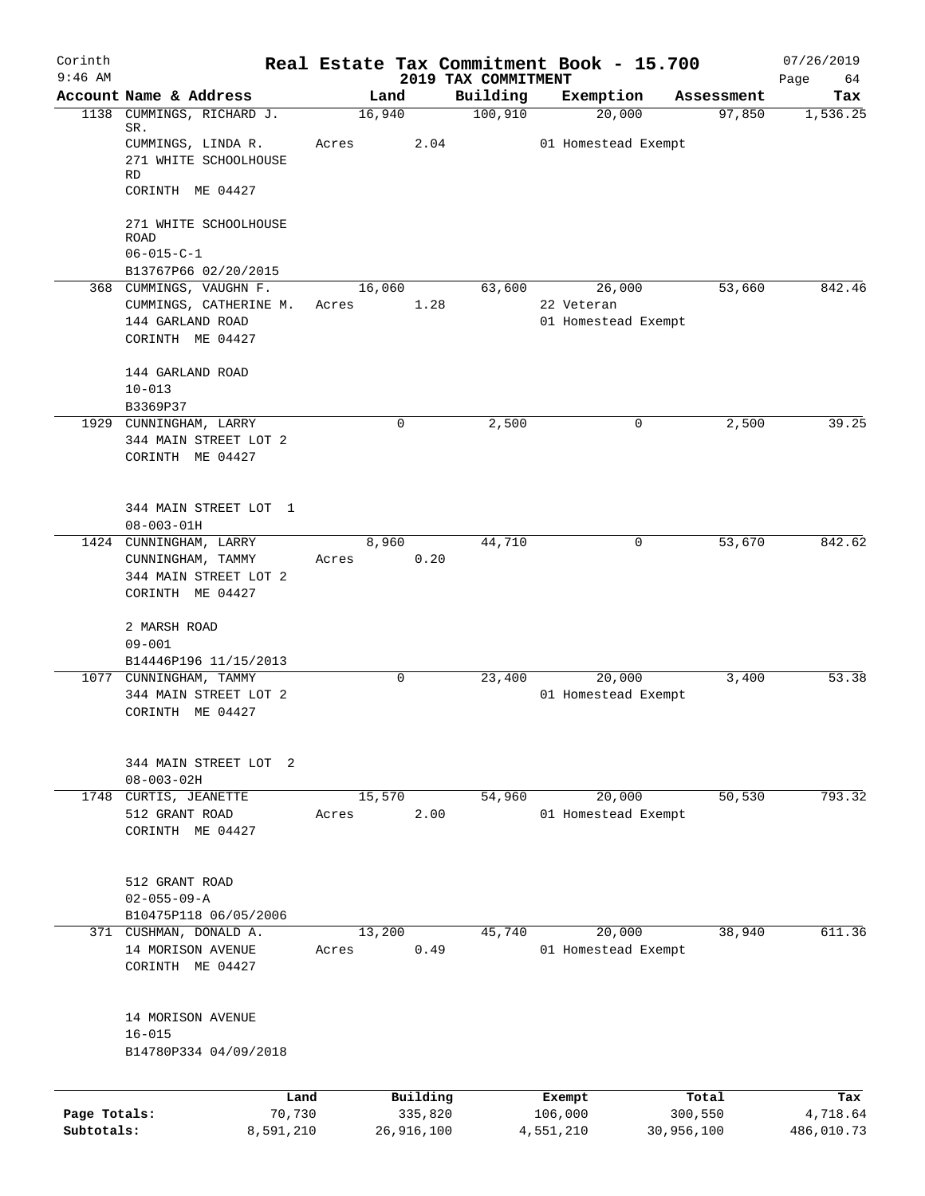| Corinth      |                                            |        |            |                                 | Real Estate Tax Commitment Book - 15.700 |            | 07/26/2019        |
|--------------|--------------------------------------------|--------|------------|---------------------------------|------------------------------------------|------------|-------------------|
| $9:46$ AM    | Account Name & Address                     | Land   |            | 2019 TAX COMMITMENT<br>Building | Exemption                                | Assessment | Page<br>64<br>Tax |
| 1138         | CUMMINGS, RICHARD J.                       | 16,940 |            | 100,910                         | 20,000                                   | 97,850     | 1,536.25          |
|              | SR.                                        |        |            |                                 |                                          |            |                   |
|              | CUMMINGS, LINDA R.                         | Acres  | 2.04       |                                 | 01 Homestead Exempt                      |            |                   |
|              | 271 WHITE SCHOOLHOUSE<br><b>RD</b>         |        |            |                                 |                                          |            |                   |
|              | CORINTH ME 04427                           |        |            |                                 |                                          |            |                   |
|              | 271 WHITE SCHOOLHOUSE                      |        |            |                                 |                                          |            |                   |
|              | ROAD                                       |        |            |                                 |                                          |            |                   |
|              | $06 - 015 - C - 1$                         |        |            |                                 |                                          |            |                   |
|              | B13767P66 02/20/2015                       |        |            |                                 |                                          |            |                   |
|              | 368 CUMMINGS, VAUGHN F.                    | 16,060 |            | 63,600                          | 26,000                                   | 53,660     | 842.46            |
|              | CUMMINGS, CATHERINE M.<br>144 GARLAND ROAD | Acres  | 1.28       |                                 | 22 Veteran<br>01 Homestead Exempt        |            |                   |
|              | CORINTH ME 04427                           |        |            |                                 |                                          |            |                   |
|              |                                            |        |            |                                 |                                          |            |                   |
|              | 144 GARLAND ROAD                           |        |            |                                 |                                          |            |                   |
|              | $10 - 013$                                 |        |            |                                 |                                          |            |                   |
|              | B3369P37                                   |        |            |                                 |                                          |            |                   |
|              | 1929 CUNNINGHAM, LARRY                     |        | 0          | 2,500                           | 0                                        | 2,500      | 39.25             |
|              | 344 MAIN STREET LOT 2                      |        |            |                                 |                                          |            |                   |
|              | CORINTH ME 04427                           |        |            |                                 |                                          |            |                   |
|              |                                            |        |            |                                 |                                          |            |                   |
|              | 344 MAIN STREET LOT 1                      |        |            |                                 |                                          |            |                   |
|              | $08 - 003 - 01H$                           |        |            |                                 |                                          |            |                   |
|              | 1424 CUNNINGHAM, LARRY                     | 8,960  |            | 44,710                          | 0                                        | 53,670     | 842.62            |
|              | CUNNINGHAM, TAMMY                          | Acres  | 0.20       |                                 |                                          |            |                   |
|              | 344 MAIN STREET LOT 2                      |        |            |                                 |                                          |            |                   |
|              | CORINTH ME 04427                           |        |            |                                 |                                          |            |                   |
|              | 2 MARSH ROAD                               |        |            |                                 |                                          |            |                   |
|              | $09 - 001$                                 |        |            |                                 |                                          |            |                   |
|              | B14446P196 11/15/2013                      |        |            |                                 |                                          |            |                   |
|              | 1077 CUNNINGHAM, TAMMY                     |        | 0          | 23,400                          | 20,000                                   | 3,400      | 53.38             |
|              | 344 MAIN STREET LOT 2                      |        |            |                                 | 01 Homestead Exempt                      |            |                   |
|              | CORINTH ME 04427                           |        |            |                                 |                                          |            |                   |
|              |                                            |        |            |                                 |                                          |            |                   |
|              |                                            |        |            |                                 |                                          |            |                   |
|              | 344 MAIN STREET LOT 2<br>$08 - 003 - 02H$  |        |            |                                 |                                          |            |                   |
|              | 1748 CURTIS, JEANETTE                      | 15,570 |            | 54,960                          | 20,000                                   | 50, 530    | 793.32            |
|              | 512 GRANT ROAD                             | Acres  | 2.00       |                                 | 01 Homestead Exempt                      |            |                   |
|              | CORINTH ME 04427                           |        |            |                                 |                                          |            |                   |
|              |                                            |        |            |                                 |                                          |            |                   |
|              | 512 GRANT ROAD                             |        |            |                                 |                                          |            |                   |
|              | $02 - 055 - 09 - A$                        |        |            |                                 |                                          |            |                   |
|              | B10475P118 06/05/2006                      |        |            |                                 |                                          |            |                   |
|              | 371 CUSHMAN, DONALD A.                     | 13,200 |            | 45,740                          | 20,000                                   | 38,940     | 611.36            |
|              | 14 MORISON AVENUE                          | Acres  | 0.49       |                                 | 01 Homestead Exempt                      |            |                   |
|              | CORINTH ME 04427                           |        |            |                                 |                                          |            |                   |
|              |                                            |        |            |                                 |                                          |            |                   |
|              | 14 MORISON AVENUE                          |        |            |                                 |                                          |            |                   |
|              | $16 - 015$                                 |        |            |                                 |                                          |            |                   |
|              | B14780P334 04/09/2018                      |        |            |                                 |                                          |            |                   |
|              |                                            |        |            |                                 |                                          |            |                   |
|              |                                            | Land   | Building   |                                 | Exempt                                   | Total      | Tax               |
| Page Totals: | 70,730                                     |        | 335,820    |                                 | 106,000                                  | 300,550    | 4,718.64          |
| Subtotals:   | 8,591,210                                  |        | 26,916,100 |                                 | 4,551,210                                | 30,956,100 | 486,010.73        |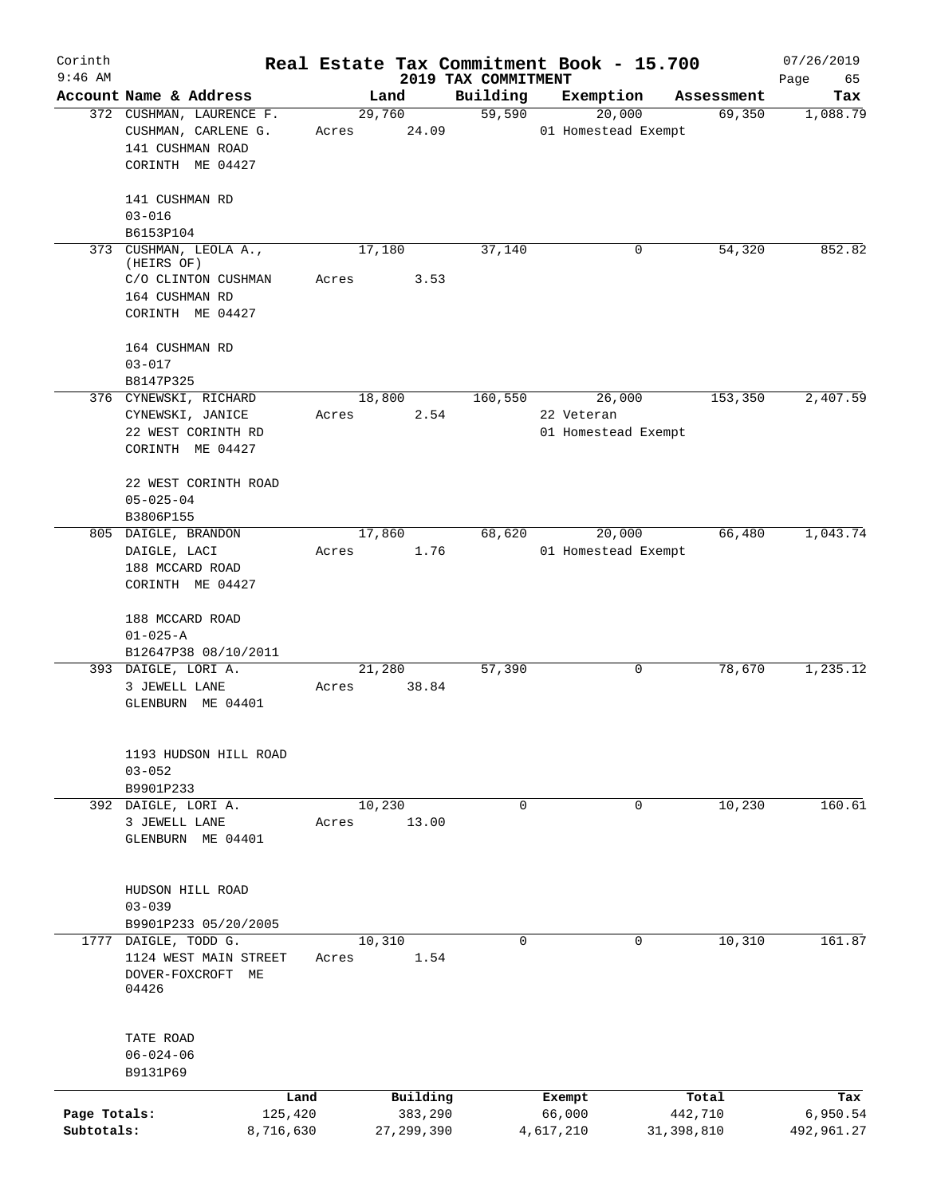| Corinth                    |                                                                                                   |                                     |                                 | Real Estate Tax Commitment Book - 15.700    |                                | 07/26/2019                    |
|----------------------------|---------------------------------------------------------------------------------------------------|-------------------------------------|---------------------------------|---------------------------------------------|--------------------------------|-------------------------------|
| $9:46$ AM                  | Account Name & Address                                                                            | Land                                | 2019 TAX COMMITMENT<br>Building | Exemption                                   | Assessment                     | Page<br>65<br>Tax             |
|                            | 372 CUSHMAN, LAURENCE F.<br>CUSHMAN, CARLENE G.<br>141 CUSHMAN ROAD<br>CORINTH ME 04427           | 29,760<br>24.09<br>Acres            | 59,590                          | 20,000<br>01 Homestead Exempt               | 69,350                         | 1,088.79                      |
|                            | 141 CUSHMAN RD<br>$03 - 016$<br>B6153P104                                                         |                                     |                                 |                                             |                                |                               |
|                            | 373 CUSHMAN, LEOLA A.,<br>(HEIRS OF)<br>C/O CLINTON CUSHMAN<br>164 CUSHMAN RD<br>CORINTH ME 04427 | 17,180<br>3.53<br>Acres             | 37,140                          | 0                                           | 54,320                         | 852.82                        |
|                            | 164 CUSHMAN RD<br>$03 - 017$<br>B8147P325                                                         |                                     |                                 |                                             |                                |                               |
|                            | 376 CYNEWSKI, RICHARD<br>CYNEWSKI, JANICE<br>22 WEST CORINTH RD<br>CORINTH ME 04427               | 18,800<br>Acres                     | 160,550<br>2.54                 | 26,000<br>22 Veteran<br>01 Homestead Exempt | 153,350                        | 2,407.59                      |
|                            | 22 WEST CORINTH ROAD<br>$05 - 025 - 04$<br>B3806P155                                              |                                     |                                 |                                             |                                |                               |
|                            | 805 DAIGLE, BRANDON<br>DAIGLE, LACI<br>188 MCCARD ROAD<br>CORINTH ME 04427                        | 17,860<br>1.76<br>Acres             | 68,620                          | 20,000<br>01 Homestead Exempt               | 66,480                         | 1,043.74                      |
|                            | 188 MCCARD ROAD<br>$01 - 025 - A$<br>B12647P38 08/10/2011                                         |                                     |                                 |                                             |                                |                               |
|                            | 393 DAIGLE, LORI A.<br>3 JEWELL LANE<br>GLENBURN ME 04401                                         | 21,280<br>38.84<br>Acres            | 57,390                          | 0                                           | 78,670                         | 1,235.12                      |
|                            | 1193 HUDSON HILL ROAD<br>$03 - 052$<br>B9901P233                                                  |                                     |                                 |                                             |                                |                               |
|                            | 392 DAIGLE, LORI A.<br>3 JEWELL LANE<br>GLENBURN ME 04401                                         | 10,230<br>13.00<br>Acres            | $\mathbf 0$                     | $\mathbf 0$                                 | 10,230                         | 160.61                        |
|                            | HUDSON HILL ROAD<br>$03 - 039$<br>B9901P233 05/20/2005                                            |                                     |                                 |                                             |                                |                               |
|                            | 1777 DAIGLE, TODD G.<br>1124 WEST MAIN STREET<br>DOVER-FOXCROFT ME<br>04426                       | 10,310<br>Acres                     | $\mathbf 0$<br>1.54             | $\mathbf 0$                                 | 10,310                         | 161.87                        |
|                            | TATE ROAD<br>$06 - 024 - 06$<br>B9131P69                                                          |                                     |                                 |                                             |                                |                               |
| Page Totals:<br>Subtotals: | Land<br>125,420<br>8,716,630                                                                      | Building<br>383,290<br>27, 299, 390 |                                 | Exempt<br>66,000<br>4,617,210               | Total<br>442,710<br>31,398,810 | Tax<br>6,950.54<br>492,961.27 |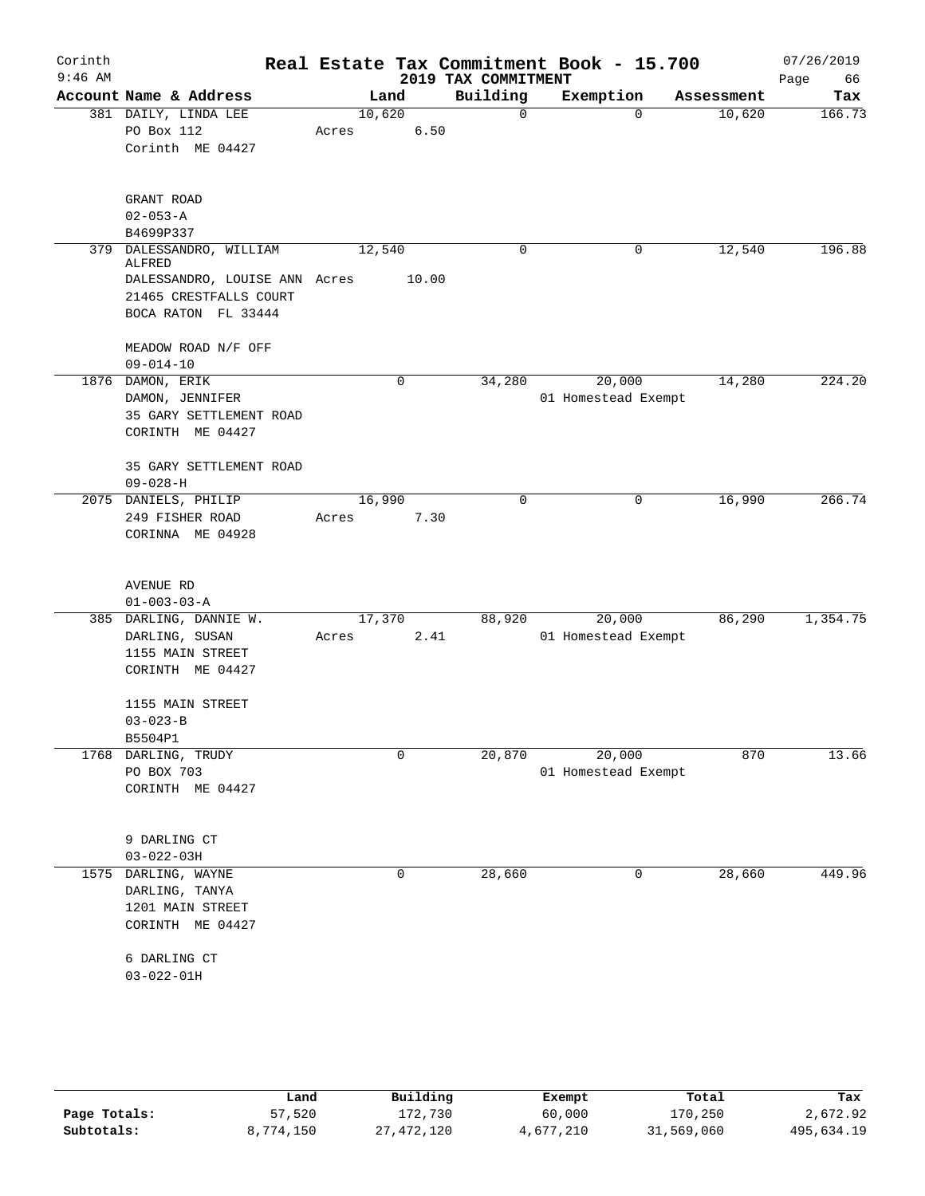| Corinth<br>$9:46$ AM |                                                                                                                      |                 |       | 2019 TAX COMMITMENT | Real Estate Tax Commitment Book - 15.700 |            | 07/26/2019<br>Page<br>66 |
|----------------------|----------------------------------------------------------------------------------------------------------------------|-----------------|-------|---------------------|------------------------------------------|------------|--------------------------|
|                      | Account Name & Address                                                                                               | Land            |       | Building            | Exemption                                | Assessment | Tax                      |
|                      | 381 DAILY, LINDA LEE<br>PO Box 112<br>Corinth ME 04427                                                               | 10,620<br>Acres | 6.50  | $\mathbf 0$         | $\mathbf 0$                              | 10,620     | 166.73                   |
|                      | GRANT ROAD<br>$02 - 053 - A$<br>B4699P337                                                                            |                 |       |                     |                                          |            |                          |
|                      | 379 DALESSANDRO, WILLIAM<br>ALFRED<br>DALESSANDRO, LOUISE ANN Acres<br>21465 CRESTFALLS COURT<br>BOCA RATON FL 33444 | 12,540          | 10.00 | 0                   | 0                                        | 12,540     | 196.88                   |
|                      | MEADOW ROAD N/F OFF<br>$09 - 014 - 10$                                                                               |                 |       |                     |                                          |            |                          |
|                      | 1876 DAMON, ERIK<br>DAMON, JENNIFER<br>35 GARY SETTLEMENT ROAD<br>CORINTH ME 04427                                   |                 | 0     | 34,280              | 20,000<br>01 Homestead Exempt            | 14,280     | 224.20                   |
|                      | 35 GARY SETTLEMENT ROAD<br>$09 - 028 - H$                                                                            |                 |       |                     |                                          |            |                          |
|                      | 2075 DANIELS, PHILIP<br>249 FISHER ROAD<br>CORINNA ME 04928                                                          | 16,990<br>Acres | 7.30  | $\mathbf 0$         | 0                                        | 16,990     | 266.74                   |
|                      | AVENUE RD<br>$01 - 003 - 03 - A$                                                                                     |                 |       |                     |                                          |            |                          |
|                      | 385 DARLING, DANNIE W.<br>DARLING, SUSAN<br>1155 MAIN STREET<br>CORINTH ME 04427                                     | 17,370<br>Acres | 2.41  | 88,920              | 20,000<br>01 Homestead Exempt            | 86,290     | 1,354.75                 |
|                      | 1155 MAIN STREET<br>$03 - 023 - B$<br>B5504P1                                                                        |                 |       |                     |                                          |            |                          |
| 1768                 | DARLING, TRUDY<br>PO BOX 703<br>CORINTH ME 04427                                                                     |                 | 0     | 20,870              | 20,000<br>01 Homestead Exempt            | 870        | 13.66                    |
|                      | 9 DARLING CT<br>$03 - 022 - 03H$                                                                                     |                 |       |                     |                                          |            |                          |
| 1575                 | DARLING, WAYNE<br>DARLING, TANYA<br>1201 MAIN STREET<br>CORINTH ME 04427                                             |                 | 0     | 28,660              | 0                                        | 28,660     | 449.96                   |
|                      | 6 DARLING CT<br>$03 - 022 - 01H$                                                                                     |                 |       |                     |                                          |            |                          |

|              | Land      | Building     | Exempt    | Total      | Tax        |
|--------------|-----------|--------------|-----------|------------|------------|
| Page Totals: | 57,520    | 172,730      | 60,000    | 170.250    | 2,672.92   |
| Subtotals:   | 8,774,150 | 27, 472, 120 | 4,677,210 | 31,569,060 | 495,634.19 |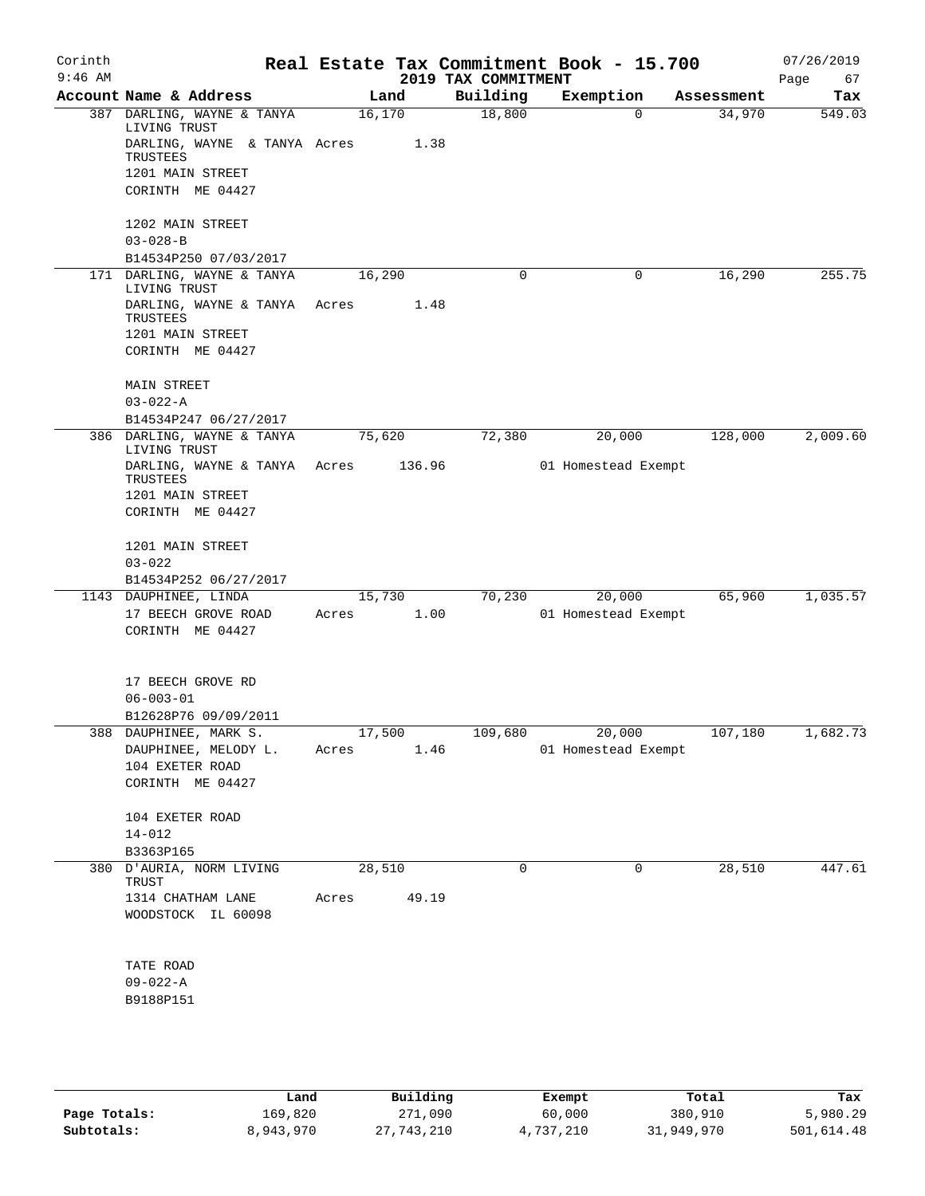| Corinth<br>$9:46$ AM |                                                          |         |        | 2019 TAX COMMITMENT | Real Estate Tax Commitment Book - 15.700 |            | 07/26/2019<br>Page<br>67 |
|----------------------|----------------------------------------------------------|---------|--------|---------------------|------------------------------------------|------------|--------------------------|
|                      | Account Name & Address                                   |         | Land   | Building            | Exemption                                | Assessment | Tax                      |
|                      | 387 DARLING, WAYNE & TANYA                               | 16, 170 |        | 18,800              | 0                                        | 34,970     | 549.03                   |
|                      | LIVING TRUST<br>DARLING, WAYNE & TANYA Acres<br>TRUSTEES |         | 1.38   |                     |                                          |            |                          |
|                      | 1201 MAIN STREET                                         |         |        |                     |                                          |            |                          |
|                      | CORINTH ME 04427                                         |         |        |                     |                                          |            |                          |
|                      | 1202 MAIN STREET                                         |         |        |                     |                                          |            |                          |
|                      | $03 - 028 - B$                                           |         |        |                     |                                          |            |                          |
|                      | B14534P250 07/03/2017                                    |         |        |                     |                                          |            |                          |
|                      | 171 DARLING, WAYNE & TANYA<br>LIVING TRUST               | 16,290  |        | 0                   | 0                                        | 16,290     | 255.75                   |
|                      | DARLING, WAYNE & TANYA                                   | Acres   | 1.48   |                     |                                          |            |                          |
|                      | TRUSTEES<br>1201 MAIN STREET                             |         |        |                     |                                          |            |                          |
|                      | CORINTH ME 04427                                         |         |        |                     |                                          |            |                          |
|                      | <b>MAIN STREET</b>                                       |         |        |                     |                                          |            |                          |
|                      | $03 - 022 - A$                                           |         |        |                     |                                          |            |                          |
|                      | B14534P247 06/27/2017<br>386 DARLING, WAYNE & TANYA      | 75,620  |        | 72,380              | 20,000                                   | 128,000    | 2,009.60                 |
|                      | LIVING TRUST<br>DARLING, WAYNE & TANYA Acres             |         | 136.96 |                     | 01 Homestead Exempt                      |            |                          |
|                      | <b>TRUSTEES</b><br>1201 MAIN STREET                      |         |        |                     |                                          |            |                          |
|                      | CORINTH ME 04427                                         |         |        |                     |                                          |            |                          |
|                      | 1201 MAIN STREET                                         |         |        |                     |                                          |            |                          |
|                      | $03 - 022$                                               |         |        |                     |                                          |            |                          |
|                      | B14534P252 06/27/2017                                    |         |        |                     |                                          |            |                          |
|                      | 1143 DAUPHINEE, LINDA                                    | 15,730  |        | 70,230              | 20,000                                   | 65,960     | 1,035.57                 |
|                      | 17 BEECH GROVE ROAD<br>CORINTH ME 04427                  | Acres   | 1.00   |                     | 01 Homestead Exempt                      |            |                          |
|                      | 17 BEECH GROVE RD                                        |         |        |                     |                                          |            |                          |
|                      | $06 - 003 - 01$                                          |         |        |                     |                                          |            |                          |
|                      | B12628P76 09/09/2011                                     |         |        |                     |                                          |            |                          |
|                      | 388 DAUPHINEE, MARK S.                                   |         |        | 17,500 109,680      | 20,000                                   | 107,180    | 1,682.73                 |
|                      | DAUPHINEE, MELODY L. Acres                               |         | 1.46   |                     | 01 Homestead Exempt                      |            |                          |
|                      | 104 EXETER ROAD                                          |         |        |                     |                                          |            |                          |
|                      | CORINTH ME 04427                                         |         |        |                     |                                          |            |                          |
|                      | 104 EXETER ROAD                                          |         |        |                     |                                          |            |                          |
|                      | $14 - 012$                                               |         |        |                     |                                          |            |                          |
|                      | B3363P165                                                |         |        |                     |                                          |            |                          |
|                      | 380 D'AURIA, NORM LIVING<br>TRUST                        | 28,510  |        | $\Omega$            | $\Omega$                                 | 28,510     | 447.61                   |
|                      | 1314 CHATHAM LANE                                        | Acres   | 49.19  |                     |                                          |            |                          |
|                      | WOODSTOCK IL 60098                                       |         |        |                     |                                          |            |                          |
|                      |                                                          |         |        |                     |                                          |            |                          |
|                      | TATE ROAD<br>$09 - 022 - A$                              |         |        |                     |                                          |            |                          |
|                      | B9188P151                                                |         |        |                     |                                          |            |                          |
|                      |                                                          |         |        |                     |                                          |            |                          |
|                      |                                                          |         |        |                     |                                          |            |                          |

|              | Land      | Building   | Exempt    | Total      | Tax        |
|--------------|-----------|------------|-----------|------------|------------|
| Page Totals: | 169,820   | 271,090    | 60,000    | 380,910    | 5,980.29   |
| Subtotals:   | 8,943,970 | 27,743,210 | 4,737,210 | 31,949,970 | 501,614.48 |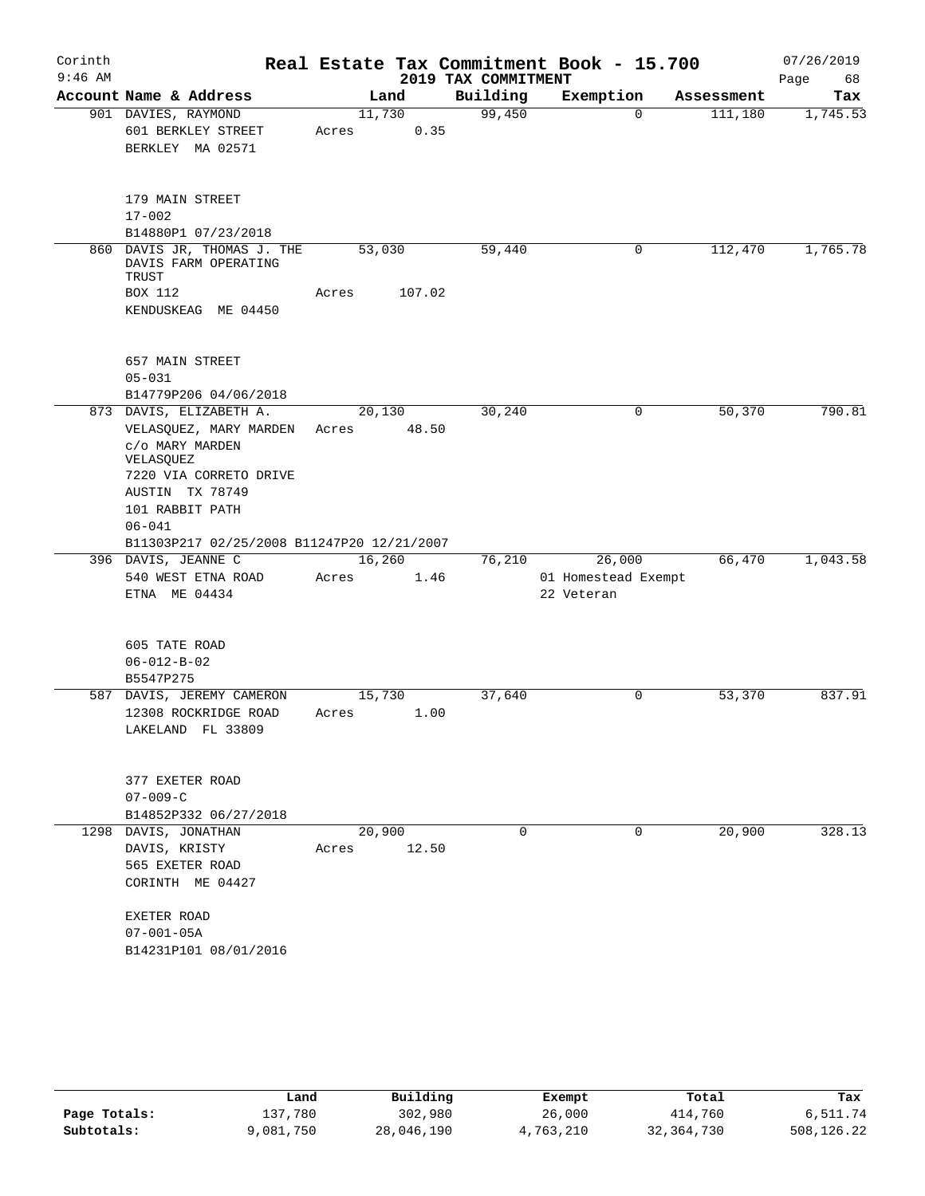| Corinth   |                                                          |        |        |                     | Real Estate Tax Commitment Book - 15.700 |            | 07/26/2019 |
|-----------|----------------------------------------------------------|--------|--------|---------------------|------------------------------------------|------------|------------|
| $9:46$ AM |                                                          |        |        | 2019 TAX COMMITMENT |                                          |            | Page<br>68 |
|           | Account Name & Address                                   |        | Land   | Building            | Exemption                                | Assessment | Tax        |
|           | 901 DAVIES, RAYMOND                                      | 11,730 |        | 99,450              | $\Omega$                                 | 111,180    | 1,745.53   |
|           | 601 BERKLEY STREET                                       | Acres  | 0.35   |                     |                                          |            |            |
|           | BERKLEY MA 02571                                         |        |        |                     |                                          |            |            |
|           | 179 MAIN STREET                                          |        |        |                     |                                          |            |            |
|           | $17 - 002$                                               |        |        |                     |                                          |            |            |
|           | B14880P1 07/23/2018                                      |        |        |                     |                                          |            |            |
| 860       | DAVIS JR, THOMAS J. THE<br>DAVIS FARM OPERATING<br>TRUST | 53,030 |        | 59,440              | 0                                        | 112,470    | 1,765.78   |
|           | <b>BOX 112</b>                                           | Acres  | 107.02 |                     |                                          |            |            |
|           | KENDUSKEAG ME 04450                                      |        |        |                     |                                          |            |            |
|           | 657 MAIN STREET                                          |        |        |                     |                                          |            |            |
|           | $05 - 031$                                               |        |        |                     |                                          |            |            |
|           | B14779P206 04/06/2018                                    |        |        |                     |                                          |            |            |
|           | 873 DAVIS, ELIZABETH A.                                  | 20,130 |        | 30,240              | 0                                        | 50,370     | 790.81     |
|           | VELASQUEZ, MARY MARDEN                                   | Acres  | 48.50  |                     |                                          |            |            |
|           | c/o MARY MARDEN                                          |        |        |                     |                                          |            |            |
|           | VELASQUEZ<br>7220 VIA CORRETO DRIVE                      |        |        |                     |                                          |            |            |
|           | AUSTIN TX 78749                                          |        |        |                     |                                          |            |            |
|           | 101 RABBIT PATH                                          |        |        |                     |                                          |            |            |
|           | $06 - 041$                                               |        |        |                     |                                          |            |            |
|           | B11303P217 02/25/2008 B11247P20 12/21/2007               |        |        |                     |                                          |            |            |
|           | 396 DAVIS, JEANNE C                                      | 16,260 |        | 76,210              | 26,000                                   | 66,470     | 1,043.58   |
|           | 540 WEST ETNA ROAD                                       | Acres  | 1.46   |                     | 01 Homestead Exempt                      |            |            |
|           | ETNA ME 04434                                            |        |        |                     | 22 Veteran                               |            |            |
|           |                                                          |        |        |                     |                                          |            |            |
|           | 605 TATE ROAD                                            |        |        |                     |                                          |            |            |
|           | $06 - 012 - B - 02$                                      |        |        |                     |                                          |            |            |
|           | B5547P275                                                |        |        |                     |                                          |            |            |
|           | 587 DAVIS, JEREMY CAMERON                                | 15,730 |        | 37,640              | 0                                        | 53,370     | 837.91     |
|           | 12308 ROCKRIDGE ROAD                                     | Acres  | 1.00   |                     |                                          |            |            |
|           | LAKELAND FL 33809                                        |        |        |                     |                                          |            |            |
|           |                                                          |        |        |                     |                                          |            |            |
|           | 377 EXETER ROAD                                          |        |        |                     |                                          |            |            |
|           | $07 - 009 - C$                                           |        |        |                     |                                          |            |            |
|           | B14852P332 06/27/2018                                    |        |        |                     |                                          |            |            |
|           | 1298 DAVIS, JONATHAN                                     | 20,900 |        | $\Omega$            | 0                                        | 20,900     | 328.13     |
|           | DAVIS, KRISTY                                            | Acres  | 12.50  |                     |                                          |            |            |
|           | 565 EXETER ROAD                                          |        |        |                     |                                          |            |            |
|           | CORINTH ME 04427                                         |        |        |                     |                                          |            |            |
|           | EXETER ROAD                                              |        |        |                     |                                          |            |            |
|           | $07 - 001 - 05A$                                         |        |        |                     |                                          |            |            |
|           | B14231P101 08/01/2016                                    |        |        |                     |                                          |            |            |
|           |                                                          |        |        |                     |                                          |            |            |

|              | Land      | Building   | Exempt    | Total        | Tax        |
|--------------|-----------|------------|-----------|--------------|------------|
| Page Totals: | 137.780   | 302,980    | 26,000    | 414,760      | 6,511.74   |
| Subtotals:   | 9,081,750 | 28,046,190 | 4,763,210 | 32, 364, 730 | 508,126.22 |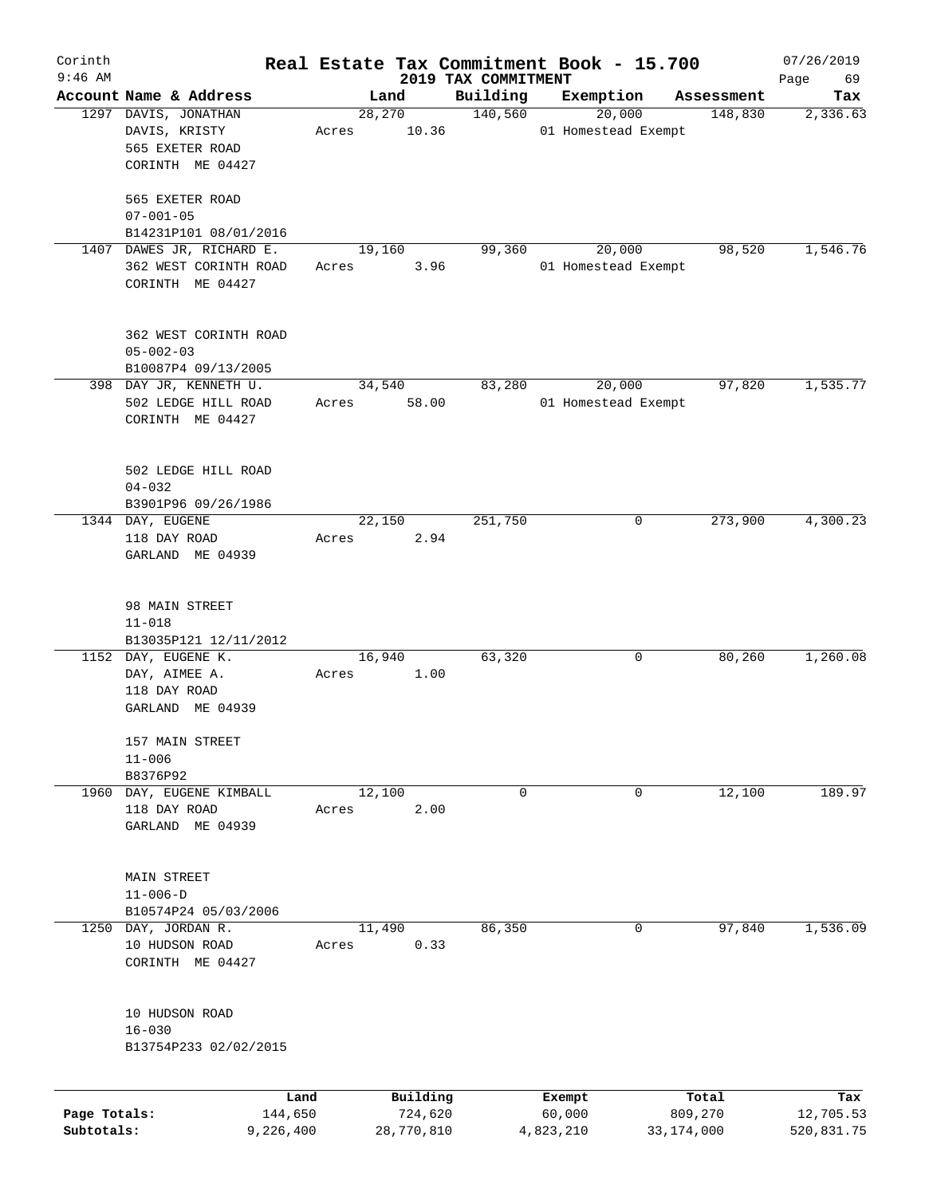| Corinth      |                                                |       |                |            |                     | Real Estate Tax Commitment Book - 15.700 |                       | 07/26/2019      |
|--------------|------------------------------------------------|-------|----------------|------------|---------------------|------------------------------------------|-----------------------|-----------------|
| $9:46$ AM    |                                                |       |                |            | 2019 TAX COMMITMENT |                                          |                       | Page<br>69      |
|              | Account Name & Address<br>1297 DAVIS, JONATHAN |       | Land<br>28,270 |            | Building<br>140,560 | Exemption<br>20,000                      | Assessment<br>148,830 | Tax<br>2,336.63 |
|              | DAVIS, KRISTY                                  | Acres |                | 10.36      |                     | 01 Homestead Exempt                      |                       |                 |
|              | 565 EXETER ROAD                                |       |                |            |                     |                                          |                       |                 |
|              | CORINTH ME 04427                               |       |                |            |                     |                                          |                       |                 |
|              |                                                |       |                |            |                     |                                          |                       |                 |
|              | 565 EXETER ROAD                                |       |                |            |                     |                                          |                       |                 |
|              | $07 - 001 - 05$                                |       |                |            |                     |                                          |                       |                 |
|              | B14231P101 08/01/2016                          |       |                |            |                     |                                          |                       |                 |
|              | 1407 DAWES JR, RICHARD E.                      |       | 19,160         |            | 99,360              | 20,000                                   | 98,520                | 1,546.76        |
|              | 362 WEST CORINTH ROAD                          | Acres |                | 3.96       |                     | 01 Homestead Exempt                      |                       |                 |
|              | CORINTH ME 04427                               |       |                |            |                     |                                          |                       |                 |
|              |                                                |       |                |            |                     |                                          |                       |                 |
|              |                                                |       |                |            |                     |                                          |                       |                 |
|              | 362 WEST CORINTH ROAD                          |       |                |            |                     |                                          |                       |                 |
|              | $05 - 002 - 03$                                |       |                |            |                     |                                          |                       |                 |
|              | B10087P4 09/13/2005                            |       |                |            |                     |                                          |                       |                 |
|              | 398 DAY JR, KENNETH U.                         |       | 34,540         |            | 83,280              | 20,000                                   | 97,820                | 1,535.77        |
|              | 502 LEDGE HILL ROAD                            | Acres |                | 58.00      |                     | 01 Homestead Exempt                      |                       |                 |
|              | CORINTH ME 04427                               |       |                |            |                     |                                          |                       |                 |
|              |                                                |       |                |            |                     |                                          |                       |                 |
|              | 502 LEDGE HILL ROAD                            |       |                |            |                     |                                          |                       |                 |
|              | $04 - 032$                                     |       |                |            |                     |                                          |                       |                 |
|              | B3901P96 09/26/1986                            |       |                |            |                     |                                          |                       |                 |
|              | 1344 DAY, EUGENE                               |       | 22,150         |            | 251,750             | 0                                        | 273,900               | 4,300.23        |
|              | 118 DAY ROAD                                   | Acres |                | 2.94       |                     |                                          |                       |                 |
|              | GARLAND ME 04939                               |       |                |            |                     |                                          |                       |                 |
|              |                                                |       |                |            |                     |                                          |                       |                 |
|              |                                                |       |                |            |                     |                                          |                       |                 |
|              | 98 MAIN STREET                                 |       |                |            |                     |                                          |                       |                 |
|              | $11 - 018$                                     |       |                |            |                     |                                          |                       |                 |
|              | B13035P121 12/11/2012                          |       |                |            |                     |                                          |                       |                 |
|              | 1152 DAY, EUGENE K.                            |       | 16,940         |            | 63,320              | 0                                        | 80,260                | 1,260.08        |
|              | DAY, AIMEE A.<br>118 DAY ROAD                  | Acres |                | 1.00       |                     |                                          |                       |                 |
|              | GARLAND ME 04939                               |       |                |            |                     |                                          |                       |                 |
|              |                                                |       |                |            |                     |                                          |                       |                 |
|              | 157 MAIN STREET                                |       |                |            |                     |                                          |                       |                 |
|              | $11 - 006$                                     |       |                |            |                     |                                          |                       |                 |
|              | B8376P92                                       |       |                |            |                     |                                          |                       |                 |
|              | 1960 DAY, EUGENE KIMBALL                       |       | 12,100         |            | 0                   | 0                                        | 12,100                | 189.97          |
|              | 118 DAY ROAD                                   | Acres |                | 2.00       |                     |                                          |                       |                 |
|              | GARLAND ME 04939                               |       |                |            |                     |                                          |                       |                 |
|              |                                                |       |                |            |                     |                                          |                       |                 |
|              | MAIN STREET                                    |       |                |            |                     |                                          |                       |                 |
|              | $11 - 006 - D$                                 |       |                |            |                     |                                          |                       |                 |
|              | B10574P24 05/03/2006                           |       |                |            |                     |                                          |                       |                 |
|              | 1250 DAY, JORDAN R.                            |       | 11,490         |            | 86,350              | 0                                        | 97,840                | 1,536.09        |
|              | 10 HUDSON ROAD                                 | Acres |                | 0.33       |                     |                                          |                       |                 |
|              | CORINTH ME 04427                               |       |                |            |                     |                                          |                       |                 |
|              |                                                |       |                |            |                     |                                          |                       |                 |
|              |                                                |       |                |            |                     |                                          |                       |                 |
|              | 10 HUDSON ROAD                                 |       |                |            |                     |                                          |                       |                 |
|              | $16 - 030$                                     |       |                |            |                     |                                          |                       |                 |
|              | B13754P233 02/02/2015                          |       |                |            |                     |                                          |                       |                 |
|              |                                                |       |                |            |                     |                                          |                       |                 |
|              |                                                | Land  |                | Building   |                     | Exempt                                   | Total                 | Tax             |
| Page Totals: | 144,650                                        |       |                | 724,620    |                     | 60,000                                   | 809,270               | 12,705.53       |
| Subtotals:   | 9,226,400                                      |       |                | 28,770,810 |                     | 4,823,210                                | 33, 174, 000          | 520,831.75      |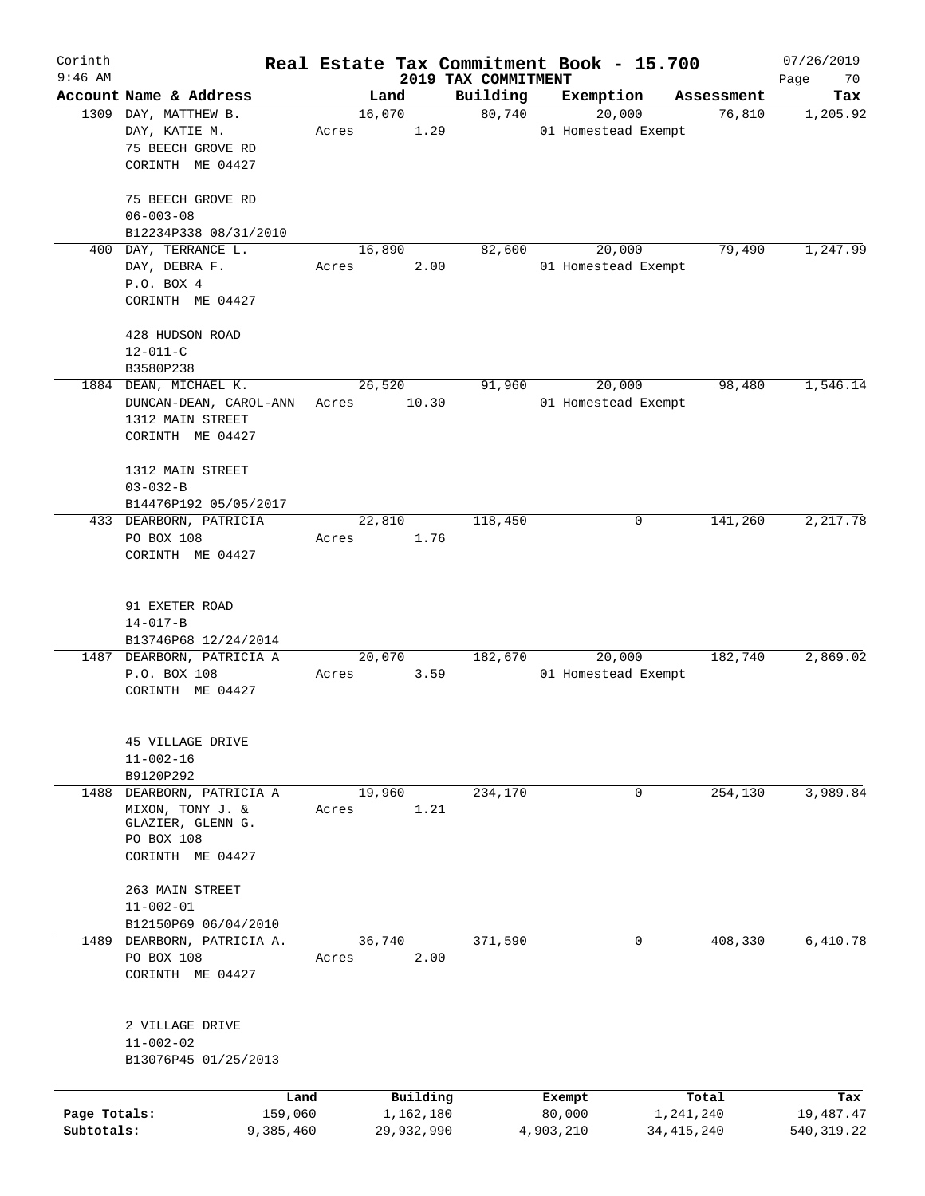| Corinth<br>$9:46$ AM |                                                   |       |                |                                 | Real Estate Tax Commitment Book - 15.700 |            | 07/26/2019        |
|----------------------|---------------------------------------------------|-------|----------------|---------------------------------|------------------------------------------|------------|-------------------|
|                      | Account Name & Address                            |       | Land           | 2019 TAX COMMITMENT<br>Building | Exemption                                | Assessment | Page<br>70<br>Tax |
|                      | 1309 DAY, MATTHEW B.                              |       | 16,070         | 80,740                          | 20,000                                   | 76,810     | 1,205.92          |
|                      | DAY, KATIE M.                                     | Acres | 1.29           |                                 | 01 Homestead Exempt                      |            |                   |
|                      | 75 BEECH GROVE RD                                 |       |                |                                 |                                          |            |                   |
|                      | CORINTH ME 04427                                  |       |                |                                 |                                          |            |                   |
|                      |                                                   |       |                |                                 |                                          |            |                   |
|                      | 75 BEECH GROVE RD<br>$06 - 003 - 08$              |       |                |                                 |                                          |            |                   |
|                      | B12234P338 08/31/2010                             |       |                |                                 |                                          |            |                   |
|                      | 400 DAY, TERRANCE L.                              |       | 16,890         | 82,600                          | 20,000                                   | 79,490     | 1,247.99          |
|                      | DAY, DEBRA F.                                     | Acres | 2.00           |                                 | 01 Homestead Exempt                      |            |                   |
|                      | P.O. BOX 4                                        |       |                |                                 |                                          |            |                   |
|                      | CORINTH ME 04427                                  |       |                |                                 |                                          |            |                   |
|                      |                                                   |       |                |                                 |                                          |            |                   |
|                      | 428 HUDSON ROAD<br>$12 - 011 - C$                 |       |                |                                 |                                          |            |                   |
|                      | B3580P238                                         |       |                |                                 |                                          |            |                   |
|                      | 1884 DEAN, MICHAEL K.                             |       | 26,520         | 91,960                          | 20,000                                   | 98,480     | 1,546.14          |
|                      | DUNCAN-DEAN, CAROL-ANN                            | Acres | 10.30          |                                 | 01 Homestead Exempt                      |            |                   |
|                      | 1312 MAIN STREET                                  |       |                |                                 |                                          |            |                   |
|                      | CORINTH ME 04427                                  |       |                |                                 |                                          |            |                   |
|                      |                                                   |       |                |                                 |                                          |            |                   |
|                      | 1312 MAIN STREET                                  |       |                |                                 |                                          |            |                   |
|                      | $03 - 032 - B$                                    |       |                |                                 |                                          |            |                   |
|                      | B14476P192 05/05/2017<br>433 DEARBORN, PATRICIA   |       | 22,810         | 118,450                         | 0                                        | 141,260    | 2,217.78          |
|                      | PO BOX 108                                        | Acres | 1.76           |                                 |                                          |            |                   |
|                      | CORINTH ME 04427                                  |       |                |                                 |                                          |            |                   |
|                      |                                                   |       |                |                                 |                                          |            |                   |
|                      |                                                   |       |                |                                 |                                          |            |                   |
|                      | 91 EXETER ROAD                                    |       |                |                                 |                                          |            |                   |
|                      | $14 - 017 - B$                                    |       |                |                                 |                                          |            |                   |
|                      | B13746P68 12/24/2014<br>1487 DEARBORN, PATRICIA A |       | 20,070         | 182,670                         | 20,000                                   | 182,740    | 2,869.02          |
|                      | P.O. BOX 108                                      | Acres | 3.59           |                                 | 01 Homestead Exempt                      |            |                   |
|                      | CORINTH ME 04427                                  |       |                |                                 |                                          |            |                   |
|                      |                                                   |       |                |                                 |                                          |            |                   |
|                      |                                                   |       |                |                                 |                                          |            |                   |
|                      | 45 VILLAGE DRIVE                                  |       |                |                                 |                                          |            |                   |
|                      | $11 - 002 - 16$                                   |       |                |                                 |                                          |            |                   |
|                      | B9120P292                                         |       |                |                                 |                                          |            |                   |
| 1488                 | DEARBORN, PATRICIA A<br>MIXON, TONY J. &          | Acres | 19,960<br>1.21 | 234,170                         | 0                                        | 254,130    | 3,989.84          |
|                      | GLAZIER, GLENN G.                                 |       |                |                                 |                                          |            |                   |
|                      | PO BOX 108                                        |       |                |                                 |                                          |            |                   |
|                      | CORINTH ME 04427                                  |       |                |                                 |                                          |            |                   |
|                      |                                                   |       |                |                                 |                                          |            |                   |
|                      | 263 MAIN STREET                                   |       |                |                                 |                                          |            |                   |
|                      | $11 - 002 - 01$<br>B12150P69 06/04/2010           |       |                |                                 |                                          |            |                   |
|                      | 1489 DEARBORN, PATRICIA A.                        |       | 36,740         | 371,590                         | 0                                        | 408,330    | 6,410.78          |
|                      | PO BOX 108                                        | Acres | 2.00           |                                 |                                          |            |                   |
|                      | CORINTH ME 04427                                  |       |                |                                 |                                          |            |                   |
|                      |                                                   |       |                |                                 |                                          |            |                   |
|                      |                                                   |       |                |                                 |                                          |            |                   |
|                      | 2 VILLAGE DRIVE                                   |       |                |                                 |                                          |            |                   |
|                      | $11 - 002 - 02$                                   |       |                |                                 |                                          |            |                   |
|                      | B13076P45 01/25/2013                              |       |                |                                 |                                          |            |                   |
|                      | Land                                              |       | Building       |                                 | Exempt                                   | Total      | Tax               |
| Page Totals:         | 159,060                                           |       | 1,162,180      |                                 | 80,000                                   | 1,241,240  | 19,487.47         |
| Subtotals:           | 9,385,460                                         |       | 29,932,990     |                                 | 4,903,210                                | 34,415,240 | 540,319.22        |
|                      |                                                   |       |                |                                 |                                          |            |                   |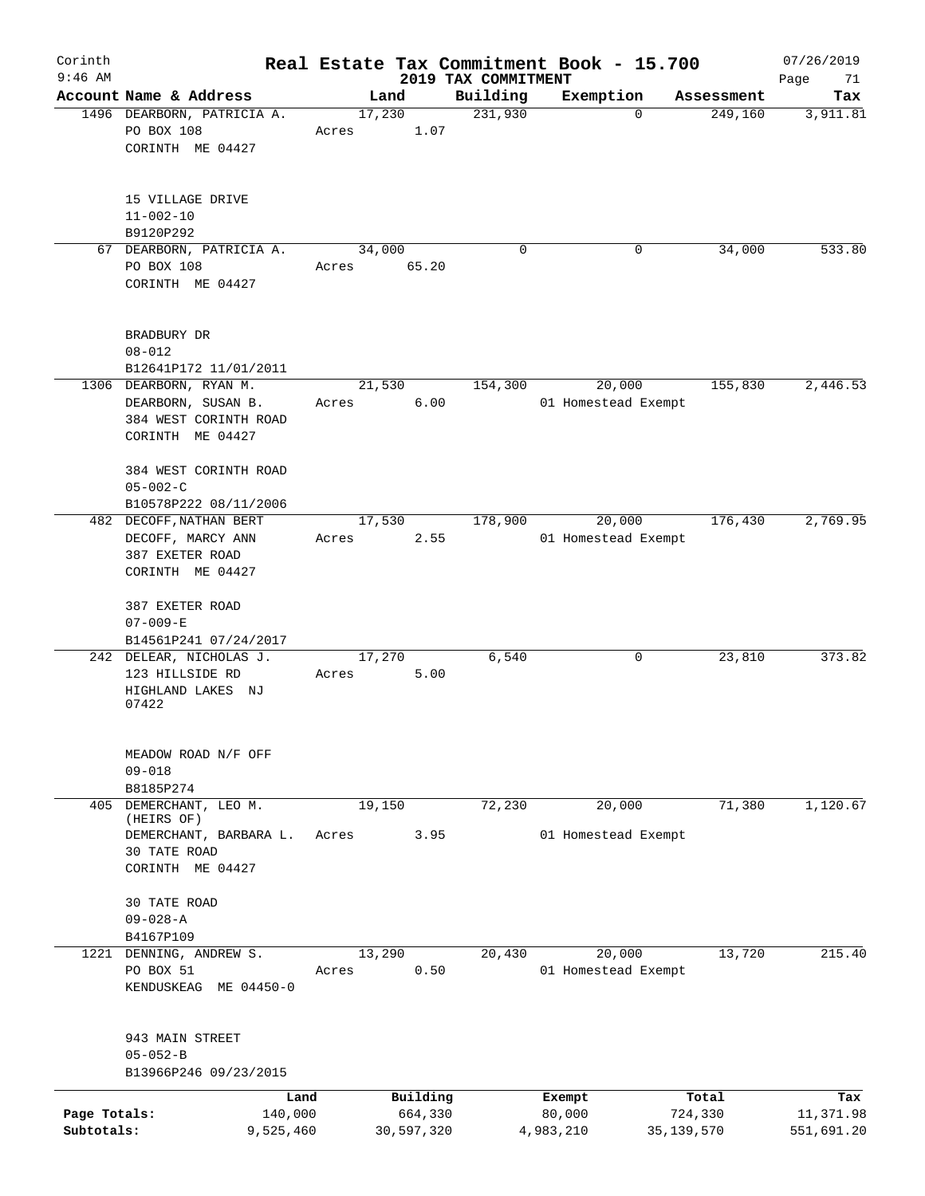| Corinth      |                                                      |       |                |                     | Real Estate Tax Commitment Book - 15.700 |                       | 07/26/2019 |
|--------------|------------------------------------------------------|-------|----------------|---------------------|------------------------------------------|-----------------------|------------|
| $9:46$ AM    |                                                      |       |                | 2019 TAX COMMITMENT |                                          |                       | Page<br>71 |
|              | Account Name & Address<br>1496 DEARBORN, PATRICIA A. |       | Land<br>17,230 | Building<br>231,930 | Exemption<br>$\Omega$                    | Assessment<br>249,160 | Tax        |
|              | PO BOX 108                                           | Acres | 1.07           |                     |                                          |                       | 3,911.81   |
|              | CORINTH ME 04427                                     |       |                |                     |                                          |                       |            |
|              |                                                      |       |                |                     |                                          |                       |            |
|              |                                                      |       |                |                     |                                          |                       |            |
|              | 15 VILLAGE DRIVE                                     |       |                |                     |                                          |                       |            |
|              | $11 - 002 - 10$                                      |       |                |                     |                                          |                       |            |
|              | B9120P292                                            |       |                |                     |                                          |                       |            |
|              | 67 DEARBORN, PATRICIA A.                             |       | 34,000         | 0                   | 0                                        | 34,000                | 533.80     |
|              | PO BOX 108                                           | Acres | 65.20          |                     |                                          |                       |            |
|              | CORINTH ME 04427                                     |       |                |                     |                                          |                       |            |
|              |                                                      |       |                |                     |                                          |                       |            |
|              |                                                      |       |                |                     |                                          |                       |            |
|              | BRADBURY DR                                          |       |                |                     |                                          |                       |            |
|              | $08 - 012$                                           |       |                |                     |                                          |                       |            |
|              | B12641P172 11/01/2011                                |       |                |                     |                                          |                       |            |
|              | 1306 DEARBORN, RYAN M.                               |       | 21,530         | 154,300             | 20,000                                   | 155,830               | 2,446.53   |
|              | DEARBORN, SUSAN B.                                   | Acres | 6.00           |                     | 01 Homestead Exempt                      |                       |            |
|              | 384 WEST CORINTH ROAD                                |       |                |                     |                                          |                       |            |
|              | CORINTH ME 04427                                     |       |                |                     |                                          |                       |            |
|              |                                                      |       |                |                     |                                          |                       |            |
|              | 384 WEST CORINTH ROAD                                |       |                |                     |                                          |                       |            |
|              | $05 - 002 - C$                                       |       |                |                     |                                          |                       |            |
|              | B10578P222 08/11/2006                                |       |                |                     |                                          |                       |            |
|              | 482 DECOFF, NATHAN BERT                              |       | 17,530         | 178,900             | 20,000                                   | 176,430               | 2,769.95   |
|              | DECOFF, MARCY ANN                                    | Acres | 2.55           |                     | 01 Homestead Exempt                      |                       |            |
|              | 387 EXETER ROAD                                      |       |                |                     |                                          |                       |            |
|              | CORINTH ME 04427                                     |       |                |                     |                                          |                       |            |
|              |                                                      |       |                |                     |                                          |                       |            |
|              | 387 EXETER ROAD                                      |       |                |                     |                                          |                       |            |
|              | $07 - 009 - E$                                       |       |                |                     |                                          |                       |            |
|              | B14561P241 07/24/2017                                |       |                |                     |                                          |                       |            |
|              | 242 DELEAR, NICHOLAS J.                              |       | 17,270         | 6,540               | 0                                        | 23,810                | 373.82     |
|              | 123 HILLSIDE RD                                      | Acres | 5.00           |                     |                                          |                       |            |
|              | HIGHLAND LAKES NJ                                    |       |                |                     |                                          |                       |            |
|              | 07422                                                |       |                |                     |                                          |                       |            |
|              |                                                      |       |                |                     |                                          |                       |            |
|              | MEADOW ROAD N/F OFF                                  |       |                |                     |                                          |                       |            |
|              | $09 - 018$                                           |       |                |                     |                                          |                       |            |
|              | B8185P274                                            |       |                |                     |                                          |                       |            |
| 405          | DEMERCHANT, LEO M.                                   |       | 19,150         | 72,230              | 20,000                                   | 71,380                | 1,120.67   |
|              | (HEIRS OF)                                           |       |                |                     |                                          |                       |            |
|              | DEMERCHANT, BARBARA L.                               | Acres | 3.95           |                     | 01 Homestead Exempt                      |                       |            |
|              | 30 TATE ROAD                                         |       |                |                     |                                          |                       |            |
|              | CORINTH ME 04427                                     |       |                |                     |                                          |                       |            |
|              |                                                      |       |                |                     |                                          |                       |            |
|              | 30 TATE ROAD                                         |       |                |                     |                                          |                       |            |
|              | $09 - 028 - A$                                       |       |                |                     |                                          |                       |            |
|              | B4167P109                                            |       |                |                     |                                          |                       |            |
|              | 1221 DENNING, ANDREW S.                              |       | 13,290         | 20,430              | 20,000                                   | 13,720                | 215.40     |
|              | PO BOX 51                                            | Acres | 0.50           |                     | 01 Homestead Exempt                      |                       |            |
|              | KENDUSKEAG ME 04450-0                                |       |                |                     |                                          |                       |            |
|              |                                                      |       |                |                     |                                          |                       |            |
|              | 943 MAIN STREET                                      |       |                |                     |                                          |                       |            |
|              | $05 - 052 - B$                                       |       |                |                     |                                          |                       |            |
|              | B13966P246 09/23/2015                                |       |                |                     |                                          |                       |            |
|              |                                                      |       |                |                     |                                          |                       |            |
|              | Land                                                 |       | Building       |                     | Exempt                                   | Total                 | Tax        |
| Page Totals: | 140,000                                              |       | 664,330        |                     | 80,000                                   | 724,330               | 11,371.98  |
| Subtotals:   | 9,525,460                                            |       | 30,597,320     |                     | 4,983,210                                | 35, 139, 570          | 551,691.20 |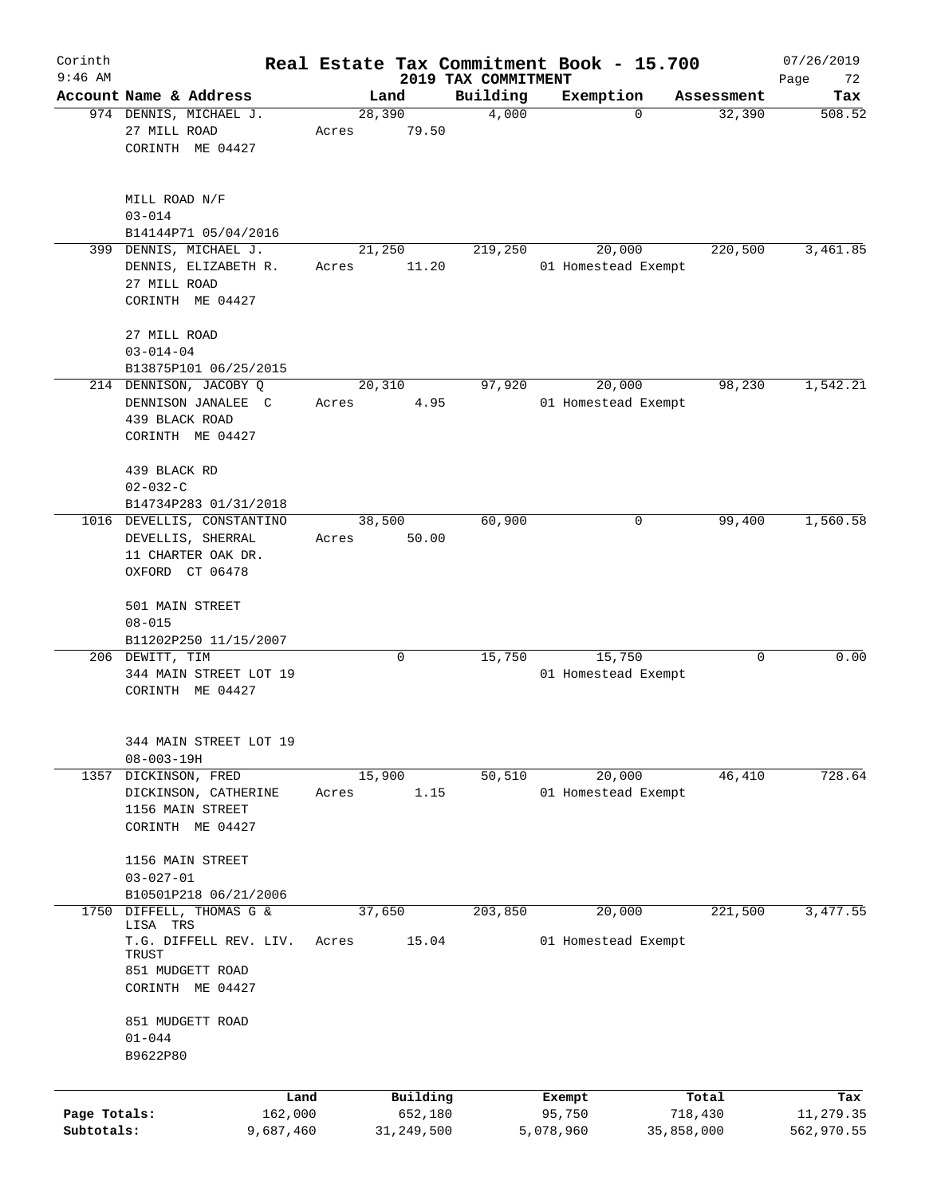| Corinth<br>$9:46$ AM       |                                                                                                            |                 |                                   |                                 | Real Estate Tax Commitment Book - 15.700 |                                | 07/26/2019                     |
|----------------------------|------------------------------------------------------------------------------------------------------------|-----------------|-----------------------------------|---------------------------------|------------------------------------------|--------------------------------|--------------------------------|
|                            | Account Name & Address                                                                                     | Land            |                                   | 2019 TAX COMMITMENT<br>Building | Exemption                                | Assessment                     | Page<br>72<br>Tax              |
|                            | 974 DENNIS, MICHAEL J.<br>27 MILL ROAD<br>CORINTH ME 04427                                                 | 28,390<br>Acres | 79.50                             | 4,000                           | 0                                        | 32,390                         | 508.52                         |
|                            | MILL ROAD N/F<br>$03 - 014$<br>B14144P71 05/04/2016                                                        |                 |                                   |                                 |                                          |                                |                                |
|                            | 399 DENNIS, MICHAEL J.<br>DENNIS, ELIZABETH R.<br>27 MILL ROAD<br>CORINTH ME 04427                         | 21,250<br>Acres | 11.20                             | 219,250                         | 20,000<br>01 Homestead Exempt            | 220,500                        | 3,461.85                       |
|                            | 27 MILL ROAD<br>$03 - 014 - 04$<br>B13875P101 06/25/2015                                                   |                 |                                   |                                 |                                          |                                |                                |
|                            | 214 DENNISON, JACOBY Q<br>DENNISON JANALEE C<br>439 BLACK ROAD<br>CORINTH ME 04427                         | 20,310<br>Acres | 4.95                              | 97,920                          | 20,000<br>01 Homestead Exempt            | 98,230                         | 1,542.21                       |
|                            | 439 BLACK RD<br>$02 - 032 - C$<br>B14734P283 01/31/2018                                                    |                 |                                   |                                 |                                          |                                |                                |
|                            | 1016 DEVELLIS, CONSTANTINO<br>DEVELLIS, SHERRAL<br>11 CHARTER OAK DR.<br>OXFORD CT 06478                   | 38,500<br>Acres | 50.00                             | 60,900                          | 0                                        | 99,400                         | 1,560.58                       |
|                            | 501 MAIN STREET<br>$08 - 015$<br>B11202P250 11/15/2007                                                     |                 |                                   |                                 |                                          |                                |                                |
|                            | 206 DEWITT, TIM<br>344 MAIN STREET LOT 19<br>CORINTH ME 04427                                              |                 | 0                                 | 15,750                          | 15,750<br>01 Homestead Exempt            | 0                              | 0.00                           |
|                            | 344 MAIN STREET LOT 19<br>$08 - 003 - 19H$                                                                 |                 |                                   |                                 |                                          |                                |                                |
| 1357                       | DICKINSON, FRED<br>DICKINSON, CATHERINE<br>1156 MAIN STREET<br>CORINTH ME 04427                            | 15,900<br>Acres | 1.15                              | 50,510                          | 20,000<br>01 Homestead Exempt            | 46,410                         | 728.64                         |
|                            | 1156 MAIN STREET<br>$03 - 027 - 01$<br>B10501P218 06/21/2006                                               |                 |                                   |                                 |                                          |                                |                                |
| 1750                       | DIFFELL, THOMAS G &<br>LISA TRS<br>T.G. DIFFELL REV. LIV.<br>TRUST<br>851 MUDGETT ROAD<br>CORINTH ME 04427 | 37,650<br>Acres | 15.04                             | 203,850                         | 20,000<br>01 Homestead Exempt            | 221,500                        | 3,477.55                       |
|                            | 851 MUDGETT ROAD<br>$01 - 044$<br>B9622P80                                                                 |                 |                                   |                                 |                                          |                                |                                |
| Page Totals:<br>Subtotals: | Land<br>162,000<br>9,687,460                                                                               |                 | Building<br>652,180<br>31,249,500 |                                 | Exempt<br>95,750<br>5,078,960            | Total<br>718,430<br>35,858,000 | Tax<br>11,279.35<br>562,970.55 |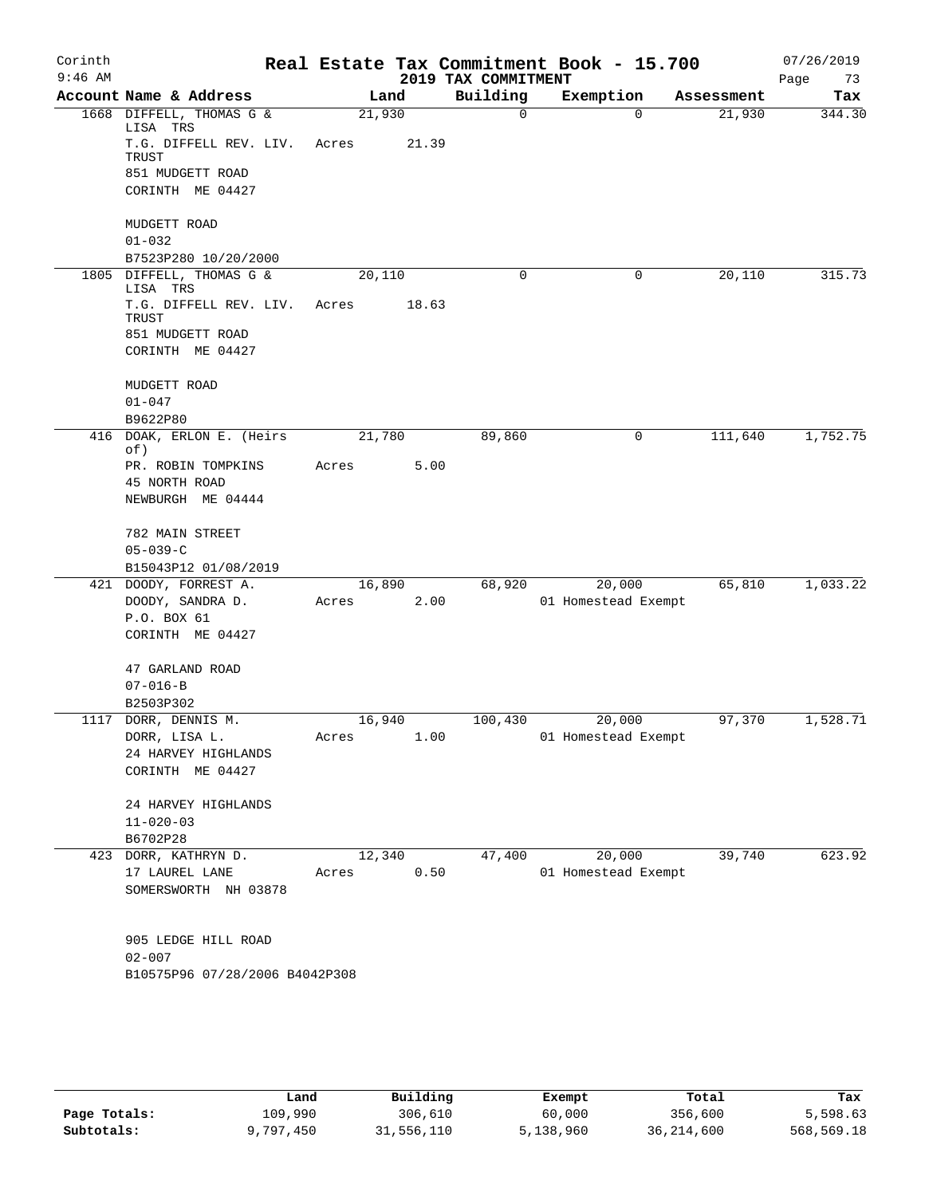| Corinth<br>$9:46$ AM |                                               |       |        |       | 2019 TAX COMMITMENT | Real Estate Tax Commitment Book - 15.700 |            | 07/26/2019<br>Page<br>73 |
|----------------------|-----------------------------------------------|-------|--------|-------|---------------------|------------------------------------------|------------|--------------------------|
|                      | Account Name & Address                        |       | Land   |       | Building            | Exemption                                | Assessment | Tax                      |
|                      | 1668 DIFFELL, THOMAS G &                      |       | 21,930 |       | $\mathbf 0$         | $\Omega$                                 | 21,930     | 344.30                   |
|                      | LISA TRS<br>T.G. DIFFELL REV. LIV.<br>TRUST   | Acres |        | 21.39 |                     |                                          |            |                          |
|                      | 851 MUDGETT ROAD                              |       |        |       |                     |                                          |            |                          |
|                      | CORINTH ME 04427                              |       |        |       |                     |                                          |            |                          |
|                      | MUDGETT ROAD<br>$01 - 032$                    |       |        |       |                     |                                          |            |                          |
|                      | B7523P280 10/20/2000                          |       |        |       |                     |                                          |            |                          |
|                      | 1805 DIFFELL, THOMAS G &                      |       | 20,110 |       | 0                   | 0                                        | 20,110     | 315.73                   |
|                      | LISA TRS<br>T.G. DIFFELL REV. LIV.<br>TRUST   | Acres |        | 18.63 |                     |                                          |            |                          |
|                      | 851 MUDGETT ROAD<br>CORINTH ME 04427          |       |        |       |                     |                                          |            |                          |
|                      | MUDGETT ROAD<br>$01 - 047$                    |       |        |       |                     |                                          |            |                          |
|                      | B9622P80                                      |       |        |       |                     |                                          |            |                          |
| 416                  | DOAK, ERLON E. (Heirs                         |       | 21,780 |       | 89,860              | 0                                        | 111,640    | 1,752.75                 |
|                      | of)<br>PR. ROBIN TOMPKINS                     | Acres |        | 5.00  |                     |                                          |            |                          |
|                      | 45 NORTH ROAD                                 |       |        |       |                     |                                          |            |                          |
|                      | NEWBURGH ME 04444                             |       |        |       |                     |                                          |            |                          |
|                      | 782 MAIN STREET                               |       |        |       |                     |                                          |            |                          |
|                      | $05 - 039 - C$                                |       |        |       |                     |                                          |            |                          |
|                      | B15043P12 01/08/2019<br>421 DOODY, FORREST A. |       |        |       | 68,920              | 20,000                                   | 65,810     | 1,033.22                 |
|                      | DOODY, SANDRA D.                              | Acres | 16,890 | 2.00  |                     | 01 Homestead Exempt                      |            |                          |
|                      | P.O. BOX 61                                   |       |        |       |                     |                                          |            |                          |
|                      | CORINTH ME 04427                              |       |        |       |                     |                                          |            |                          |
|                      | 47 GARLAND ROAD                               |       |        |       |                     |                                          |            |                          |
|                      | $07 - 016 - B$                                |       |        |       |                     |                                          |            |                          |
|                      | B2503P302                                     |       |        |       |                     |                                          |            |                          |
|                      | 1117 DORR, DENNIS M.                          |       | 16,940 |       | 100,430             | 20,000                                   | 97,370     | 1,528.71                 |
|                      | DORR, LISA L.<br>24 HARVEY HIGHLANDS          | Acres |        | 1.00  |                     | 01 Homestead Exempt                      |            |                          |
|                      | CORINTH ME 04427                              |       |        |       |                     |                                          |            |                          |
|                      | 24 HARVEY HIGHLANDS                           |       |        |       |                     |                                          |            |                          |
|                      | $11 - 020 - 03$                               |       |        |       |                     |                                          |            |                          |
|                      | B6702P28                                      |       |        |       |                     |                                          |            |                          |
|                      | 423 DORR, KATHRYN D.                          |       | 12,340 |       | 47,400              | 20,000                                   | 39,740     | 623.92                   |
|                      | 17 LAUREL LANE<br>SOMERSWORTH NH 03878        | Acres |        | 0.50  |                     | 01 Homestead Exempt                      |            |                          |
|                      | 905 LEDGE HILL ROAD                           |       |        |       |                     |                                          |            |                          |
|                      | $02 - 007$                                    |       |        |       |                     |                                          |            |                          |
|                      | B10575P96 07/28/2006 B4042P308                |       |        |       |                     |                                          |            |                          |
|                      |                                               |       |        |       |                     |                                          |            |                          |
|                      |                                               |       |        |       |                     |                                          |            |                          |

|              | Land      | Building   | Exempt    | Total      | Tax        |
|--------------|-----------|------------|-----------|------------|------------|
| Page Totals: | 109,990   | 306,610    | 60,000    | 356,600    | 5,598.63   |
| Subtotals:   | 9,797,450 | 31,556,110 | 5,138,960 | 36,214,600 | 568,569.18 |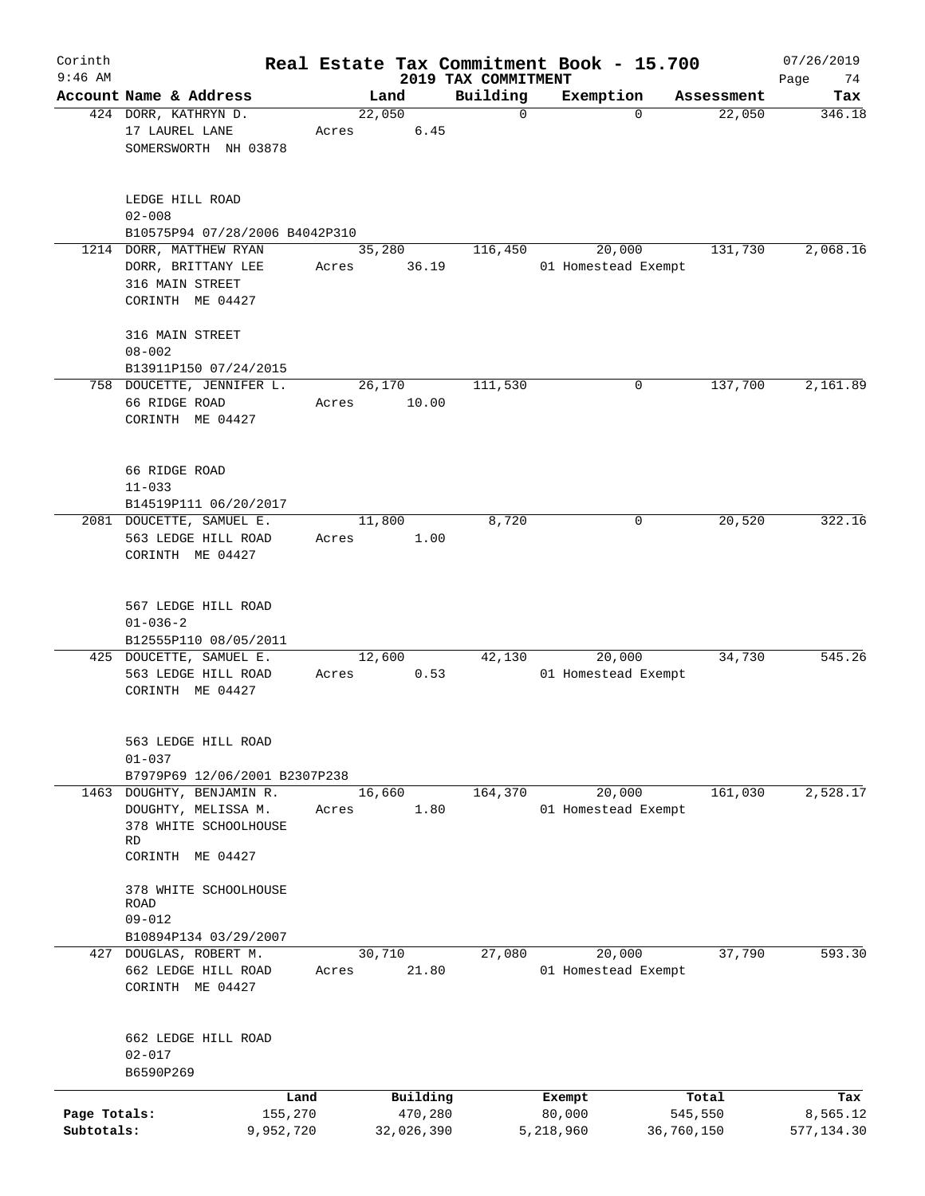| Corinth                    |                |                                                                                               |       |                        |                         | Real Estate Tax Commitment Book - 15.700 |                       | 07/26/2019             |
|----------------------------|----------------|-----------------------------------------------------------------------------------------------|-------|------------------------|-------------------------|------------------------------------------|-----------------------|------------------------|
| $9:46$ AM                  |                | Account Name & Address                                                                        |       |                        | 2019 TAX COMMITMENT     |                                          |                       | Page<br>74             |
|                            |                | 424 DORR, KATHRYN D.<br>17 LAUREL LANE                                                        | Acres | Land<br>22,050<br>6.45 | Building<br>$\mathbf 0$ | Exemption<br>$\Omega$                    | Assessment<br>22,050  | Tax<br>346.18          |
|                            |                | SOMERSWORTH NH 03878                                                                          |       |                        |                         |                                          |                       |                        |
|                            | $02 - 008$     | LEDGE HILL ROAD                                                                               |       |                        |                         |                                          |                       |                        |
|                            |                | B10575P94 07/28/2006 B4042P310                                                                |       |                        |                         |                                          |                       |                        |
|                            |                | 1214 DORR, MATTHEW RYAN<br>DORR, BRITTANY LEE<br>316 MAIN STREET                              | Acres | 35,280<br>36.19        | 116,450                 | 20,000<br>01 Homestead Exempt            | 131,730               | 2,068.16               |
|                            |                | CORINTH ME 04427                                                                              |       |                        |                         |                                          |                       |                        |
|                            | $08 - 002$     | 316 MAIN STREET                                                                               |       |                        |                         |                                          |                       |                        |
|                            |                | B13911P150 07/24/2015                                                                         |       |                        |                         |                                          |                       |                        |
|                            |                | 758 DOUCETTE, JENNIFER L.                                                                     |       | 26, 170                | 111,530                 | 0                                        | 137,700               | 2,161.89               |
|                            |                | 66 RIDGE ROAD<br>CORINTH ME 04427                                                             | Acres | 10.00                  |                         |                                          |                       |                        |
|                            | $11 - 033$     | 66 RIDGE ROAD                                                                                 |       |                        |                         |                                          |                       |                        |
|                            |                | B14519P111 06/20/2017                                                                         |       |                        |                         |                                          |                       |                        |
|                            |                | 2081 DOUCETTE, SAMUEL E.                                                                      |       | 11,800                 | 8,720                   | 0                                        | 20,520                | 322.16                 |
|                            |                | 563 LEDGE HILL ROAD<br>CORINTH ME 04427                                                       | Acres | 1.00                   |                         |                                          |                       |                        |
|                            | $01 - 036 - 2$ | 567 LEDGE HILL ROAD                                                                           |       |                        |                         |                                          |                       |                        |
|                            |                | B12555P110 08/05/2011                                                                         |       |                        |                         |                                          |                       |                        |
|                            |                | 425 DOUCETTE, SAMUEL E.<br>563 LEDGE HILL ROAD<br>CORINTH ME 04427                            | Acres | 12,600<br>0.53         | 42,130                  | 20,000<br>01 Homestead Exempt            | 34,730                | 545.26                 |
|                            | $01 - 037$     | 563 LEDGE HILL ROAD                                                                           |       |                        |                         |                                          |                       |                        |
|                            |                | B7979P69 12/06/2001 B2307P238                                                                 |       |                        |                         |                                          |                       |                        |
|                            | RD             | 1463 DOUGHTY, BENJAMIN R.<br>DOUGHTY, MELISSA M.<br>378 WHITE SCHOOLHOUSE<br>CORINTH ME 04427 | Acres | 16,660<br>1.80         | 164,370                 | 20,000<br>01 Homestead Exempt            | 161,030               | 2,528.17               |
|                            | ROAD           | 378 WHITE SCHOOLHOUSE                                                                         |       |                        |                         |                                          |                       |                        |
|                            | $09 - 012$     |                                                                                               |       |                        |                         |                                          |                       |                        |
|                            |                | B10894P134 03/29/2007<br>427 DOUGLAS, ROBERT M.                                               |       | 30,710                 | 27,080                  | 20,000                                   | 37,790                | 593.30                 |
|                            |                | 662 LEDGE HILL ROAD<br>CORINTH ME 04427                                                       | Acres | 21.80                  |                         | 01 Homestead Exempt                      |                       |                        |
|                            | $02 - 017$     | 662 LEDGE HILL ROAD                                                                           |       |                        |                         |                                          |                       |                        |
|                            | B6590P269      |                                                                                               |       |                        |                         |                                          |                       |                        |
|                            |                | Land                                                                                          |       | Building               |                         | Exempt                                   | Total                 | Tax                    |
| Page Totals:<br>Subtotals: |                | 155,270<br>9,952,720                                                                          |       | 470,280<br>32,026,390  |                         | 80,000<br>5,218,960                      | 545,550<br>36,760,150 | 8,565.12<br>577,134.30 |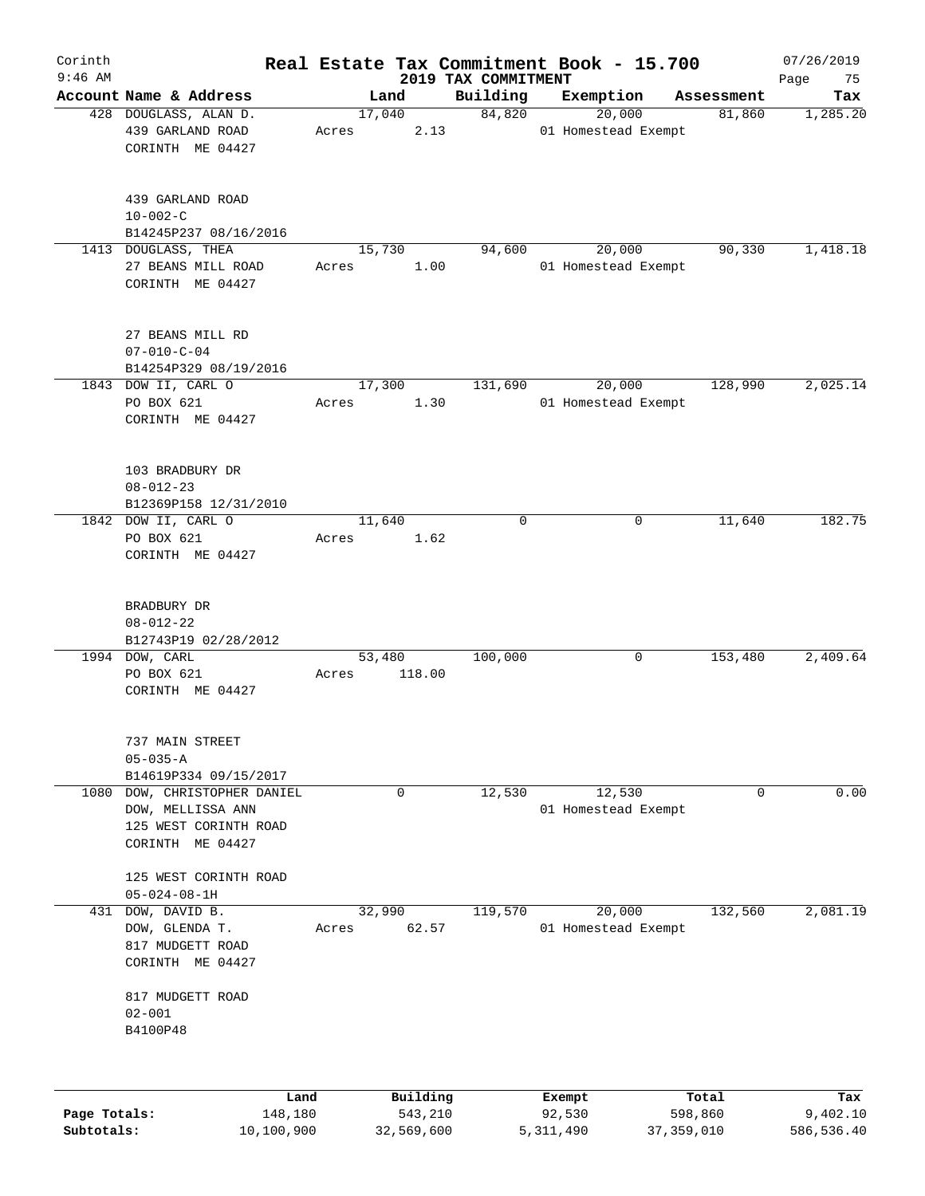| Corinth      |                                                                                           |       |                  |                                 | Real Estate Tax Commitment Book - 15.700 |            | 07/26/2019        |
|--------------|-------------------------------------------------------------------------------------------|-------|------------------|---------------------------------|------------------------------------------|------------|-------------------|
| $9:46$ AM    | Account Name & Address                                                                    |       | Land             | 2019 TAX COMMITMENT<br>Building | Exemption                                | Assessment | Page<br>75<br>Tax |
|              | 428 DOUGLASS, ALAN D.<br>439 GARLAND ROAD<br>CORINTH ME 04427                             | Acres | 17,040<br>2.13   | 84,820                          | 20,000<br>01 Homestead Exempt            | 81,860     | 1,285.20          |
|              | 439 GARLAND ROAD<br>$10 - 002 - C$<br>B14245P237 08/16/2016<br>1413 DOUGLASS, THEA        |       | 15,730           | 94,600                          | 20,000                                   | 90,330     | 1,418.18          |
|              | 27 BEANS MILL ROAD<br>CORINTH ME 04427<br>27 BEANS MILL RD<br>$07 - 010 - C - 04$         | Acres | 1.00             |                                 | 01 Homestead Exempt                      |            |                   |
|              | B14254P329 08/19/2016                                                                     |       |                  |                                 |                                          |            |                   |
|              | 1843 DOW II, CARL O<br>PO BOX 621<br>CORINTH ME 04427                                     | Acres | 17,300<br>1.30   | 131,690                         | 20,000<br>01 Homestead Exempt            | 128,990    | 2,025.14          |
|              | 103 BRADBURY DR<br>$08 - 012 - 23$<br>B12369P158 12/31/2010                               |       |                  |                                 |                                          |            |                   |
|              | 1842 DOW II, CARL O<br>PO BOX 621<br>CORINTH ME 04427                                     | Acres | 11,640<br>1.62   | $\mathbf 0$                     | 0                                        | 11,640     | 182.75            |
|              | BRADBURY DR<br>$08 - 012 - 22$<br>B12743P19 02/28/2012                                    |       |                  |                                 |                                          |            |                   |
|              | 1994 DOW, CARL<br>PO BOX 621<br>CORINTH ME 04427                                          | Acres | 53,480<br>118.00 | 100,000                         | 0                                        | 153,480    | 2,409.64          |
|              | 737 MAIN STREET<br>$05 - 035 - A$<br>B14619P334 09/15/2017                                |       |                  |                                 |                                          |            |                   |
| 1080         | DOW, CHRISTOPHER DANIEL<br>DOW, MELLISSA ANN<br>125 WEST CORINTH ROAD<br>CORINTH ME 04427 |       | 0                | 12,530                          | 12,530<br>01 Homestead Exempt            | 0          | 0.00              |
|              | 125 WEST CORINTH ROAD<br>$05 - 024 - 08 - 1H$                                             |       |                  |                                 |                                          |            |                   |
| 431          | DOW, DAVID B.<br>DOW, GLENDA T.<br>817 MUDGETT ROAD<br>CORINTH ME 04427                   | Acres | 32,990<br>62.57  | 119,570                         | 20,000<br>01 Homestead Exempt            | 132,560    | 2,081.19          |
|              | 817 MUDGETT ROAD<br>$02 - 001$<br>B4100P48                                                |       |                  |                                 |                                          |            |                   |
|              | Land                                                                                      |       | Building         |                                 | Exempt                                   | Total      | Tax               |
| Page Totals: | 148,180                                                                                   |       | 543,210          |                                 | 92,530                                   | 598,860    | 9,402.10          |

**Subtotals:** 10,100,900 32,569,600 5,311,490 37,359,010 586,536.40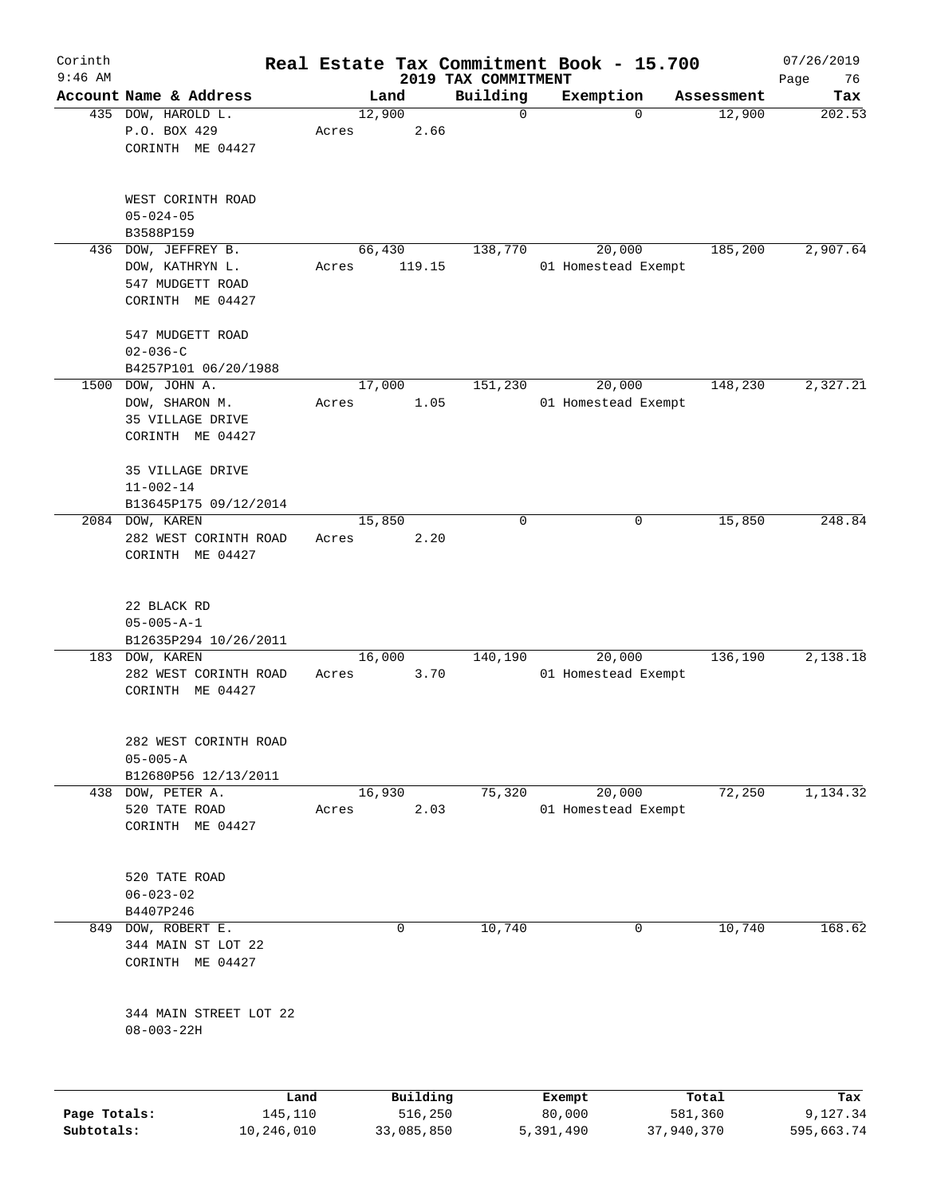| Corinth<br>$9:46$ AM |                                            |       |        |          |                                 | Real Estate Tax Commitment Book - 15.700 |            | 07/26/2019        |
|----------------------|--------------------------------------------|-------|--------|----------|---------------------------------|------------------------------------------|------------|-------------------|
|                      | Account Name & Address                     |       | Land   |          | 2019 TAX COMMITMENT<br>Building | Exemption                                | Assessment | Page<br>76<br>Tax |
|                      | 435 DOW, HAROLD L.                         |       | 12,900 |          | 0                               | $\mathbf 0$                              | 12,900     | 202.53            |
|                      | P.O. BOX 429                               | Acres |        | 2.66     |                                 |                                          |            |                   |
|                      | CORINTH ME 04427                           |       |        |          |                                 |                                          |            |                   |
|                      | WEST CORINTH ROAD                          |       |        |          |                                 |                                          |            |                   |
|                      | $05 - 024 - 05$<br>B3588P159               |       |        |          |                                 |                                          |            |                   |
| 436                  | DOW, JEFFREY B.                            |       | 66,430 |          | 138,770                         | 20,000                                   | 185,200    | 2,907.64          |
|                      | DOW, KATHRYN L.                            | Acres |        | 119.15   |                                 | 01 Homestead Exempt                      |            |                   |
|                      | 547 MUDGETT ROAD                           |       |        |          |                                 |                                          |            |                   |
|                      | CORINTH ME 04427                           |       |        |          |                                 |                                          |            |                   |
|                      | 547 MUDGETT ROAD                           |       |        |          |                                 |                                          |            |                   |
|                      | $02 - 036 - C$                             |       |        |          |                                 |                                          |            |                   |
|                      | B4257P101 06/20/1988                       |       |        |          |                                 |                                          |            |                   |
|                      | 1500 DOW, JOHN A.                          |       | 17,000 |          | 151,230                         | 20,000                                   | 148,230    | 2,327.21          |
|                      | DOW, SHARON M.                             | Acres |        | 1.05     |                                 | 01 Homestead Exempt                      |            |                   |
|                      | 35 VILLAGE DRIVE                           |       |        |          |                                 |                                          |            |                   |
|                      | CORINTH ME 04427                           |       |        |          |                                 |                                          |            |                   |
|                      | 35 VILLAGE DRIVE                           |       |        |          |                                 |                                          |            |                   |
|                      | $11 - 002 - 14$                            |       |        |          |                                 |                                          |            |                   |
|                      | B13645P175 09/12/2014                      |       |        |          |                                 |                                          |            |                   |
|                      | 2084 DOW, KAREN                            |       | 15,850 |          | 0                               | 0                                        | 15,850     | 248.84            |
|                      | 282 WEST CORINTH ROAD                      | Acres |        | 2.20     |                                 |                                          |            |                   |
|                      | CORINTH ME 04427                           |       |        |          |                                 |                                          |            |                   |
|                      |                                            |       |        |          |                                 |                                          |            |                   |
|                      | 22 BLACK RD                                |       |        |          |                                 |                                          |            |                   |
|                      | $05 - 005 - A - 1$                         |       |        |          |                                 |                                          |            |                   |
|                      | B12635P294 10/26/2011<br>183 DOW, KAREN    |       | 16,000 |          | 140,190                         | 20,000                                   | 136,190    | 2,138.18          |
|                      | 282 WEST CORINTH ROAD                      | Acres |        | 3.70     |                                 | 01 Homestead Exempt                      |            |                   |
|                      | CORINTH ME 04427                           |       |        |          |                                 |                                          |            |                   |
|                      |                                            |       |        |          |                                 |                                          |            |                   |
|                      | 282 WEST CORINTH ROAD                      |       |        |          |                                 |                                          |            |                   |
|                      | $05 - 005 - A$                             |       |        |          |                                 |                                          |            |                   |
|                      | B12680P56 12/13/2011                       |       |        |          |                                 |                                          |            |                   |
|                      | 438 DOW, PETER A.                          |       | 16,930 |          | 75,320                          | 20,000                                   | 72,250     | 1,134.32          |
|                      | 520 TATE ROAD<br>CORINTH ME 04427          | Acres |        | 2.03     |                                 | 01 Homestead Exempt                      |            |                   |
|                      |                                            |       |        |          |                                 |                                          |            |                   |
|                      | 520 TATE ROAD                              |       |        |          |                                 |                                          |            |                   |
|                      | $06 - 023 - 02$                            |       |        |          |                                 |                                          |            |                   |
|                      | B4407P246                                  |       |        |          |                                 |                                          |            |                   |
|                      | 849 DOW, ROBERT E.                         |       |        | 0        | 10,740                          | 0                                        | 10,740     | 168.62            |
|                      | 344 MAIN ST LOT 22                         |       |        |          |                                 |                                          |            |                   |
|                      | CORINTH ME 04427                           |       |        |          |                                 |                                          |            |                   |
|                      |                                            |       |        |          |                                 |                                          |            |                   |
|                      | 344 MAIN STREET LOT 22<br>$08 - 003 - 22H$ |       |        |          |                                 |                                          |            |                   |
|                      |                                            |       |        |          |                                 |                                          |            |                   |
|                      | Land                                       |       |        | Building |                                 | Exempt                                   | Total      | Tax               |
| Page Totals:         | 145,110                                    |       |        | 516,250  |                                 | 80,000                                   | 581,360    | 9,127.34          |

**Subtotals:** 10,246,010 33,085,850 5,391,490 37,940,370 595,663.74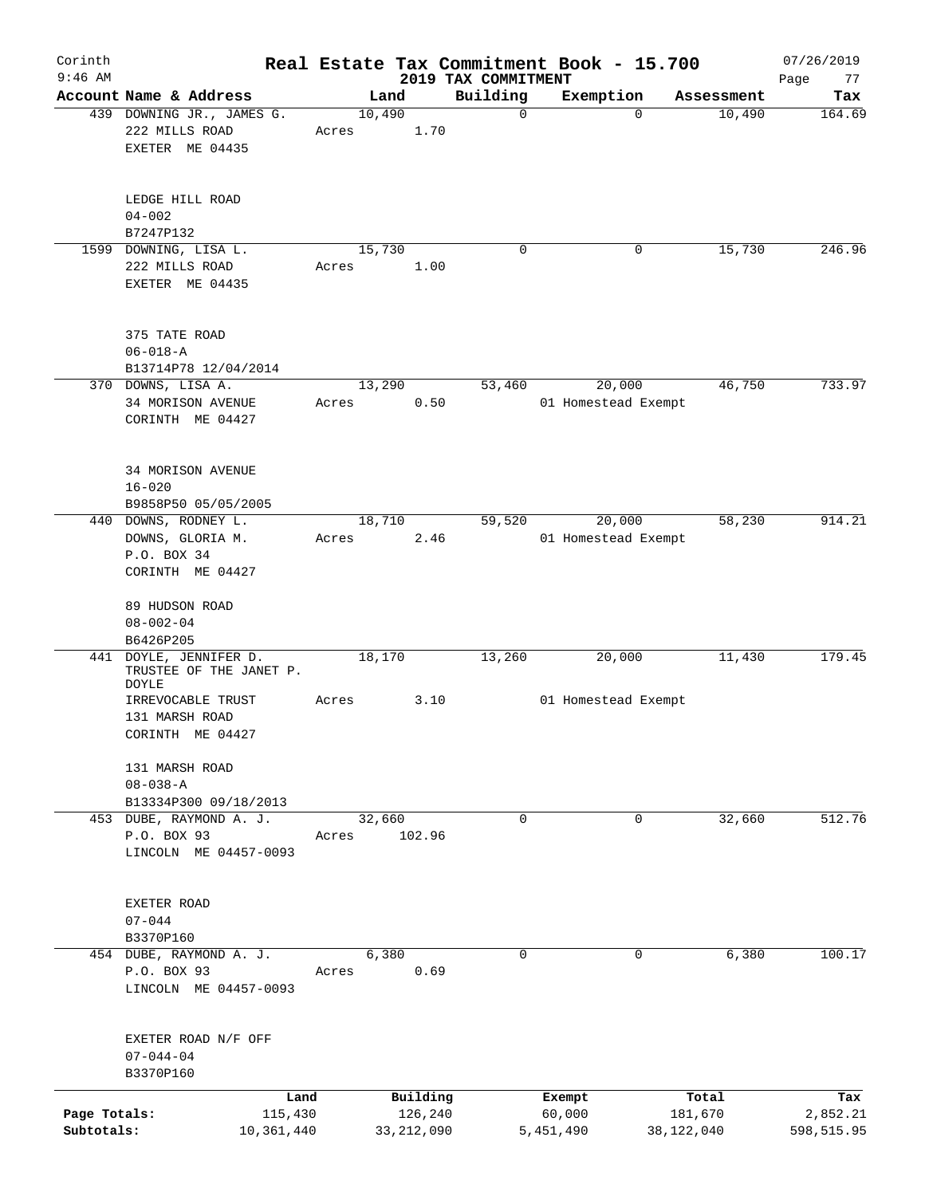| Corinth<br>$9:46$ AM       |                                                                             |                       |       |        |                         |                                 | Real Estate Tax Commitment Book - 15.700 |             |                       | 07/26/2019             |
|----------------------------|-----------------------------------------------------------------------------|-----------------------|-------|--------|-------------------------|---------------------------------|------------------------------------------|-------------|-----------------------|------------------------|
|                            | Account Name & Address                                                      |                       |       | Land   |                         | 2019 TAX COMMITMENT<br>Building | Exemption                                |             | Assessment            | Page<br>77<br>Tax      |
|                            | 439 DOWNING JR., JAMES G.<br>222 MILLS ROAD<br>EXETER ME 04435              |                       | Acres | 10,490 | 1.70                    | $\mathbf 0$                     |                                          | $\mathbf 0$ | 10,490                | 164.69                 |
|                            | LEDGE HILL ROAD<br>$04 - 002$<br>B7247P132                                  |                       |       |        |                         |                                 |                                          |             |                       |                        |
|                            | 1599 DOWNING, LISA L.<br>222 MILLS ROAD<br>EXETER ME 04435                  |                       | Acres | 15,730 | 1.00                    | 0                               |                                          | 0           | 15,730                | 246.96                 |
|                            | 375 TATE ROAD<br>$06 - 018 - A$<br>B13714P78 12/04/2014                     |                       |       |        |                         |                                 |                                          |             |                       |                        |
|                            | 370 DOWNS, LISA A.<br>34 MORISON AVENUE<br>CORINTH ME 04427                 |                       | Acres | 13,290 | 0.50                    | 53,460                          | 20,000<br>01 Homestead Exempt            |             | 46,750                | 733.97                 |
|                            | 34 MORISON AVENUE<br>$16 - 020$<br>B9858P50 05/05/2005                      |                       |       |        |                         |                                 |                                          |             |                       |                        |
|                            | 440 DOWNS, RODNEY L.<br>DOWNS, GLORIA M.<br>P.O. BOX 34<br>CORINTH ME 04427 |                       | Acres | 18,710 | 2.46                    | 59,520                          | 20,000<br>01 Homestead Exempt            |             | 58,230                | 914.21                 |
|                            | 89 HUDSON ROAD<br>$08 - 002 - 04$<br>B6426P205                              |                       |       |        |                         |                                 |                                          |             |                       |                        |
|                            | 441 DOYLE, JENNIFER D.<br>TRUSTEE OF THE JANET P.<br><b>DOYLE</b>           |                       |       | 18,170 |                         | 13,260                          | 20,000                                   |             | 11,430                | 179.45                 |
|                            | IRREVOCABLE TRUST<br>131 MARSH ROAD<br>CORINTH ME 04427                     |                       | Acres |        | 3.10                    |                                 | 01 Homestead Exempt                      |             |                       |                        |
|                            | 131 MARSH ROAD<br>$08 - 038 - A$<br>B13334P300 09/18/2013                   |                       |       |        |                         |                                 |                                          |             |                       |                        |
|                            | 453 DUBE, RAYMOND A. J.                                                     |                       |       | 32,660 |                         | $\Omega$                        |                                          | 0           | 32,660                | 512.76                 |
|                            | P.O. BOX 93<br>LINCOLN ME 04457-0093                                        |                       | Acres |        | 102.96                  |                                 |                                          |             |                       |                        |
|                            | EXETER ROAD<br>$07 - 044$                                                   |                       |       |        |                         |                                 |                                          |             |                       |                        |
|                            | B3370P160<br>454 DUBE, RAYMOND A. J.                                        |                       |       | 6,380  |                         | 0                               |                                          | 0           | 6,380                 | 100.17                 |
|                            | P.O. BOX 93<br>LINCOLN ME 04457-0093                                        |                       | Acres |        | 0.69                    |                                 |                                          |             |                       |                        |
|                            | EXETER ROAD N/F OFF<br>$07 - 044 - 04$<br>B3370P160                         |                       |       |        |                         |                                 |                                          |             |                       |                        |
|                            |                                                                             | Land                  |       |        | Building                |                                 | Exempt                                   |             | Total                 | Tax                    |
| Page Totals:<br>Subtotals: |                                                                             | 115,430<br>10,361,440 |       |        | 126,240<br>33, 212, 090 |                                 | 60,000<br>5,451,490                      |             | 181,670<br>38,122,040 | 2,852.21<br>598,515.95 |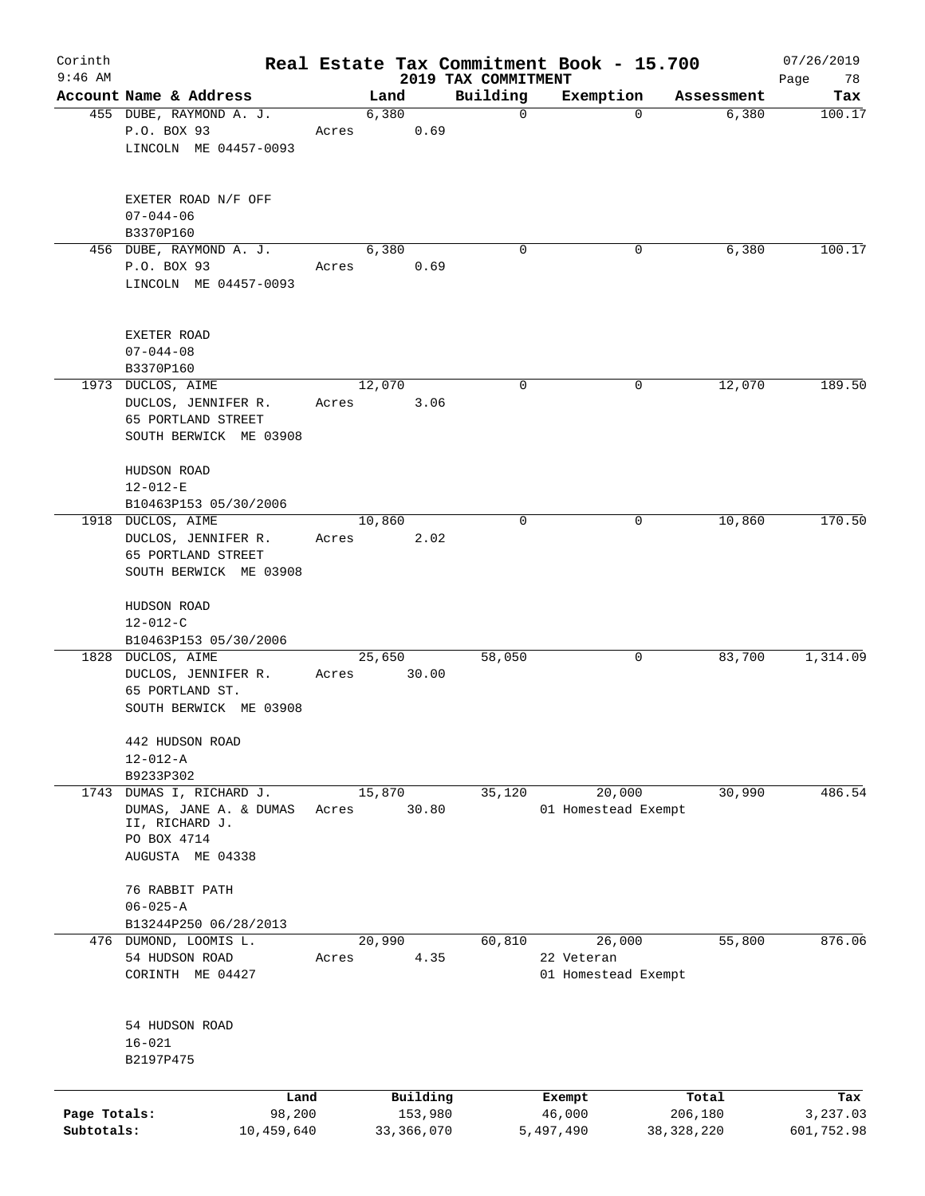| Corinth<br>$9:46$ AM |                                                |        |                 |              |                                 | Real Estate Tax Commitment Book - 15.700 |              | 07/26/2019             |
|----------------------|------------------------------------------------|--------|-----------------|--------------|---------------------------------|------------------------------------------|--------------|------------------------|
|                      | Account Name & Address                         |        |                 | Land         | 2019 TAX COMMITMENT<br>Building |                                          | Assessment   | Page<br>78             |
|                      | 455 DUBE, RAYMOND A. J.                        |        |                 | 6,380        | $\mathbf 0$                     | Exemption                                | $\mathbf 0$  | Tax<br>6,380<br>100.17 |
|                      | P.O. BOX 93                                    |        | Acres           | 0.69         |                                 |                                          |              |                        |
|                      | LINCOLN ME 04457-0093                          |        |                 |              |                                 |                                          |              |                        |
|                      | EXETER ROAD N/F OFF                            |        |                 |              |                                 |                                          |              |                        |
|                      | $07 - 044 - 06$                                |        |                 |              |                                 |                                          |              |                        |
|                      | B3370P160                                      |        |                 |              |                                 |                                          |              |                        |
|                      | 456 DUBE, RAYMOND A. J.                        |        |                 | 6,380        | 0                               |                                          | 0            | 100.17<br>6,380        |
|                      | P.O. BOX 93<br>LINCOLN ME 04457-0093           |        | Acres           | 0.69         |                                 |                                          |              |                        |
|                      |                                                |        |                 |              |                                 |                                          |              |                        |
|                      | EXETER ROAD                                    |        |                 |              |                                 |                                          |              |                        |
|                      | $07 - 044 - 08$                                |        |                 |              |                                 |                                          |              |                        |
|                      | B3370P160                                      |        |                 |              |                                 |                                          |              |                        |
|                      | 1973 DUCLOS, AIME<br>DUCLOS, JENNIFER R.       |        | 12,070<br>Acres | 3.06         | $\mathbf 0$                     |                                          | 0            | 189.50<br>12,070       |
|                      | 65 PORTLAND STREET                             |        |                 |              |                                 |                                          |              |                        |
|                      | SOUTH BERWICK ME 03908                         |        |                 |              |                                 |                                          |              |                        |
|                      | HUDSON ROAD                                    |        |                 |              |                                 |                                          |              |                        |
|                      | $12 - 012 - E$                                 |        |                 |              |                                 |                                          |              |                        |
|                      | B10463P153 05/30/2006                          |        |                 |              |                                 |                                          |              |                        |
|                      | 1918 DUCLOS, AIME                              |        |                 | 10,860       | 0                               |                                          | 0            | 170.50<br>10,860       |
|                      | DUCLOS, JENNIFER R.                            |        | Acres           | 2.02         |                                 |                                          |              |                        |
|                      | 65 PORTLAND STREET                             |        |                 |              |                                 |                                          |              |                        |
|                      | SOUTH BERWICK ME 03908                         |        |                 |              |                                 |                                          |              |                        |
|                      | HUDSON ROAD<br>$12 - 012 - C$                  |        |                 |              |                                 |                                          |              |                        |
|                      | B10463P153 05/30/2006                          |        |                 |              |                                 |                                          |              |                        |
|                      | 1828 DUCLOS, AIME                              |        |                 | 25,650       | 58,050                          |                                          | 0            | 1,314.09<br>83,700     |
|                      | DUCLOS, JENNIFER R.                            |        | Acres           | 30.00        |                                 |                                          |              |                        |
|                      | 65 PORTLAND ST.                                |        |                 |              |                                 |                                          |              |                        |
|                      | SOUTH BERWICK ME 03908                         |        |                 |              |                                 |                                          |              |                        |
|                      | 442 HUDSON ROAD                                |        |                 |              |                                 |                                          |              |                        |
|                      | $12 - 012 - A$                                 |        |                 |              |                                 |                                          |              |                        |
| 1743                 | B9233P302<br>DUMAS I, RICHARD J.               |        |                 |              |                                 |                                          |              | 486.54                 |
|                      | DUMAS, JANE A. & DUMAS                         |        | 15,870<br>Acres | 30.80        | 35,120                          | 20,000<br>01 Homestead Exempt            |              | 30,990                 |
|                      | II, RICHARD J.                                 |        |                 |              |                                 |                                          |              |                        |
|                      | PO BOX 4714                                    |        |                 |              |                                 |                                          |              |                        |
|                      | AUGUSTA ME 04338                               |        |                 |              |                                 |                                          |              |                        |
|                      | 76 RABBIT PATH                                 |        |                 |              |                                 |                                          |              |                        |
|                      | $06 - 025 - A$                                 |        |                 |              |                                 |                                          |              |                        |
|                      | B13244P250 06/28/2013<br>476 DUMOND, LOOMIS L. |        | 20,990          |              | 60,810                          | 26,000                                   |              | 876.06<br>55,800       |
|                      | 54 HUDSON ROAD                                 |        | Acres           | 4.35         |                                 | 22 Veteran                               |              |                        |
|                      | CORINTH ME 04427                               |        |                 |              |                                 | 01 Homestead Exempt                      |              |                        |
|                      |                                                |        |                 |              |                                 |                                          |              |                        |
|                      | 54 HUDSON ROAD                                 |        |                 |              |                                 |                                          |              |                        |
|                      | $16 - 021$                                     |        |                 |              |                                 |                                          |              |                        |
|                      | B2197P475                                      |        |                 |              |                                 |                                          |              |                        |
|                      |                                                | Land   |                 | Building     |                                 | Exempt                                   | Total        | Tax                    |
| Page Totals:         |                                                | 98,200 |                 | 153,980      |                                 | 46,000                                   | 206,180      | 3,237.03               |
| Subtotals:           | 10,459,640                                     |        |                 | 33, 366, 070 |                                 | 5,497,490                                | 38, 328, 220 | 601,752.98             |
|                      |                                                |        |                 |              |                                 |                                          |              |                        |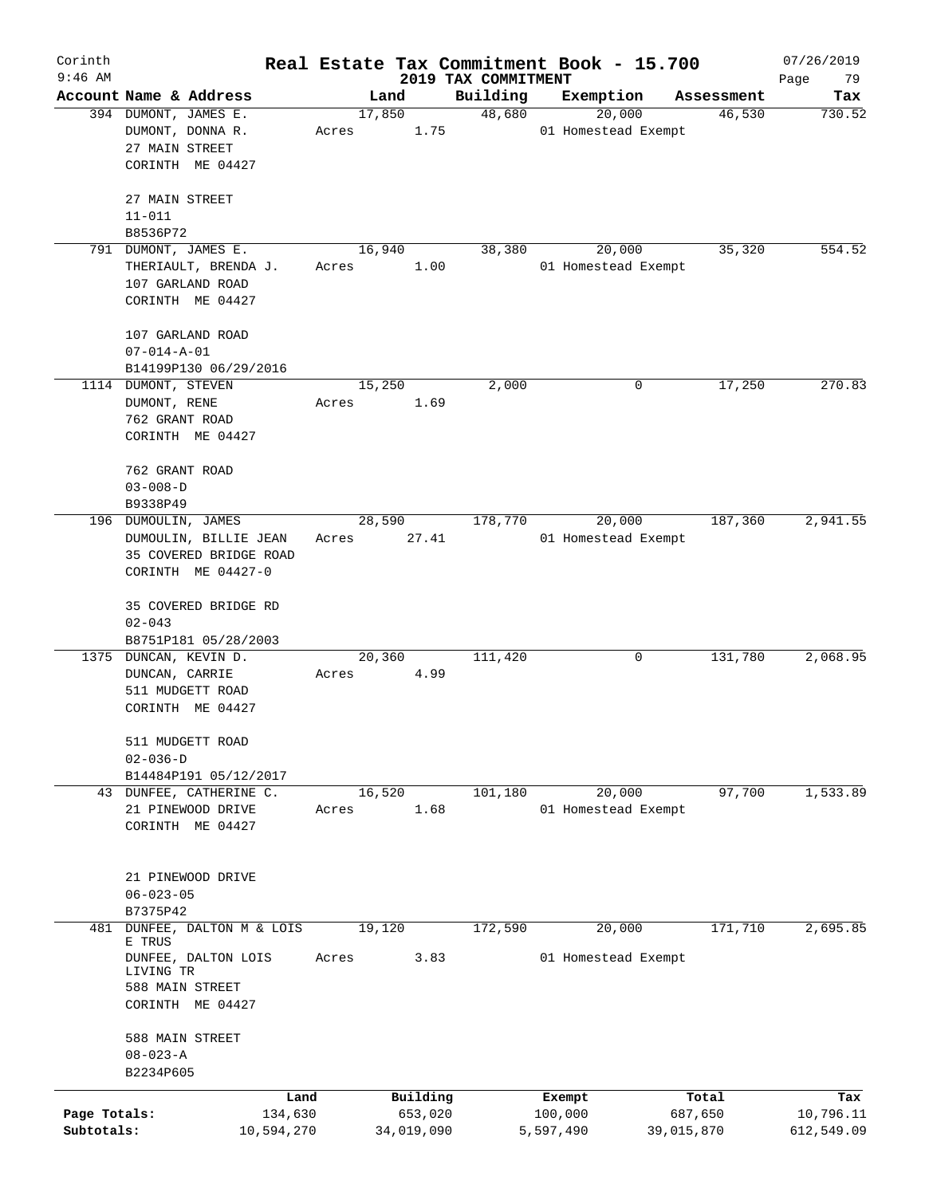| Corinth<br>$9:46$ AM |                                                  |       |            |                                 | Real Estate Tax Commitment Book - 15.700 |            | 07/26/2019        |
|----------------------|--------------------------------------------------|-------|------------|---------------------------------|------------------------------------------|------------|-------------------|
|                      | Account Name & Address                           |       | Land       | 2019 TAX COMMITMENT<br>Building | Exemption                                | Assessment | Page<br>79<br>Tax |
|                      | 394 DUMONT, JAMES E.                             |       | 17,850     | 48,680                          | 20,000                                   | 46,530     | 730.52            |
|                      | DUMONT, DONNA R.                                 | Acres | 1.75       |                                 | 01 Homestead Exempt                      |            |                   |
|                      | 27 MAIN STREET                                   |       |            |                                 |                                          |            |                   |
|                      | CORINTH ME 04427                                 |       |            |                                 |                                          |            |                   |
|                      | 27 MAIN STREET                                   |       |            |                                 |                                          |            |                   |
|                      | $11 - 011$                                       |       |            |                                 |                                          |            |                   |
|                      | B8536P72                                         |       |            |                                 |                                          |            |                   |
|                      | 791 DUMONT, JAMES E.                             |       | 16,940     | 38,380                          | 20,000                                   | 35,320     | 554.52            |
|                      | THERIAULT, BRENDA J.                             | Acres | 1.00       |                                 | 01 Homestead Exempt                      |            |                   |
|                      | 107 GARLAND ROAD                                 |       |            |                                 |                                          |            |                   |
|                      | CORINTH ME 04427                                 |       |            |                                 |                                          |            |                   |
|                      |                                                  |       |            |                                 |                                          |            |                   |
|                      | 107 GARLAND ROAD<br>$07 - 014 - A - 01$          |       |            |                                 |                                          |            |                   |
|                      | B14199P130 06/29/2016                            |       |            |                                 |                                          |            |                   |
|                      | 1114 DUMONT, STEVEN                              |       | 15,250     | 2,000                           | 0                                        | 17,250     | 270.83            |
|                      | DUMONT, RENE                                     | Acres | 1.69       |                                 |                                          |            |                   |
|                      | 762 GRANT ROAD                                   |       |            |                                 |                                          |            |                   |
|                      | CORINTH ME 04427                                 |       |            |                                 |                                          |            |                   |
|                      |                                                  |       |            |                                 |                                          |            |                   |
|                      | 762 GRANT ROAD                                   |       |            |                                 |                                          |            |                   |
|                      | $03 - 008 - D$                                   |       |            |                                 |                                          |            |                   |
|                      | B9338P49                                         |       |            |                                 |                                          |            |                   |
|                      | 196 DUMOULIN, JAMES                              |       | 28,590     | 178,770                         | 20,000                                   | 187,360    | 2,941.55          |
|                      | DUMOULIN, BILLIE JEAN                            | Acres | 27.41      |                                 | 01 Homestead Exempt                      |            |                   |
|                      | 35 COVERED BRIDGE ROAD                           |       |            |                                 |                                          |            |                   |
|                      | CORINTH ME 04427-0                               |       |            |                                 |                                          |            |                   |
|                      | 35 COVERED BRIDGE RD                             |       |            |                                 |                                          |            |                   |
|                      | $02 - 043$                                       |       |            |                                 |                                          |            |                   |
|                      | B8751P181 05/28/2003                             |       |            |                                 |                                          |            |                   |
| 1375                 | DUNCAN, KEVIN D.                                 |       | 20,360     | 111,420                         | 0                                        | 131,780    | 2,068.95          |
|                      | DUNCAN, CARRIE                                   | Acres | 4.99       |                                 |                                          |            |                   |
|                      | 511 MUDGETT ROAD                                 |       |            |                                 |                                          |            |                   |
|                      | CORINTH ME 04427                                 |       |            |                                 |                                          |            |                   |
|                      |                                                  |       |            |                                 |                                          |            |                   |
|                      | 511 MUDGETT ROAD                                 |       |            |                                 |                                          |            |                   |
|                      | $02 - 036 - D$                                   |       |            |                                 |                                          |            |                   |
|                      | B14484P191 05/12/2017<br>43 DUNFEE, CATHERINE C. |       | 16,520     | 101,180                         | 20,000                                   | 97,700     | 1,533.89          |
|                      | 21 PINEWOOD DRIVE                                | Acres | 1.68       |                                 | 01 Homestead Exempt                      |            |                   |
|                      | CORINTH ME 04427                                 |       |            |                                 |                                          |            |                   |
|                      |                                                  |       |            |                                 |                                          |            |                   |
|                      |                                                  |       |            |                                 |                                          |            |                   |
|                      | 21 PINEWOOD DRIVE                                |       |            |                                 |                                          |            |                   |
|                      | $06 - 023 - 05$                                  |       |            |                                 |                                          |            |                   |
|                      | B7375P42                                         |       |            |                                 |                                          |            |                   |
| 481                  | DUNFEE, DALTON M & LOIS<br>E TRUS                |       | 19,120     | 172,590                         | 20,000                                   | 171,710    | 2,695.85          |
|                      | DUNFEE, DALTON LOIS                              | Acres | 3.83       |                                 | 01 Homestead Exempt                      |            |                   |
|                      | LIVING TR                                        |       |            |                                 |                                          |            |                   |
|                      | 588 MAIN STREET                                  |       |            |                                 |                                          |            |                   |
|                      | CORINTH ME 04427                                 |       |            |                                 |                                          |            |                   |
|                      | 588 MAIN STREET                                  |       |            |                                 |                                          |            |                   |
|                      | $08 - 023 - A$                                   |       |            |                                 |                                          |            |                   |
|                      | B2234P605                                        |       |            |                                 |                                          |            |                   |
|                      | Land                                             |       | Building   |                                 | Exempt                                   | Total      | Tax               |
| Page Totals:         | 134,630                                          |       | 653,020    |                                 | 100,000                                  | 687,650    | 10,796.11         |
| Subtotals:           | 10,594,270                                       |       | 34,019,090 |                                 | 5,597,490                                | 39,015,870 | 612,549.09        |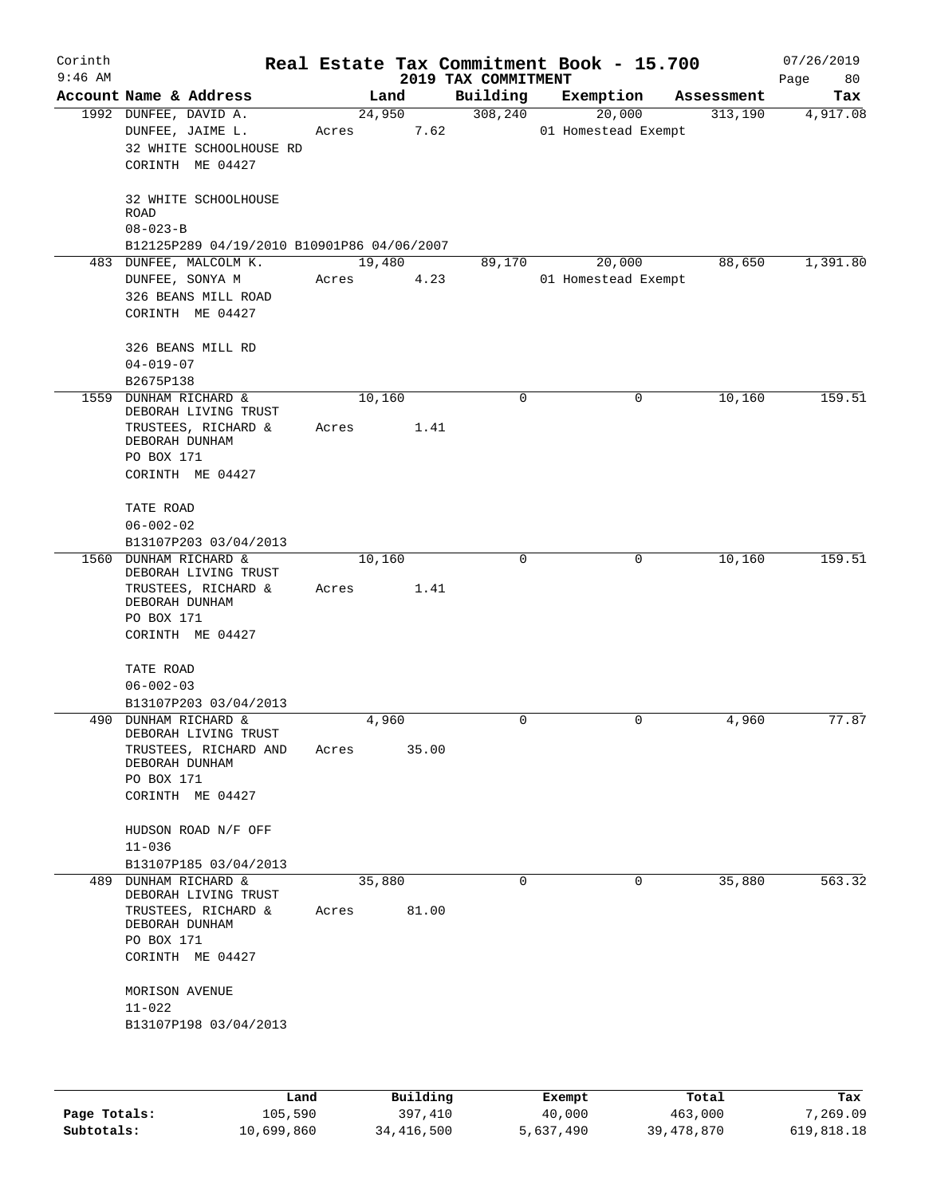| Corinth<br>$9:46$ AM |                                           |                                                                   |       |        |       | Real Estate Tax Commitment Book - 15.700<br>2019 TAX COMMITMENT |                               |   |            | 07/26/2019<br>Page<br>80 |
|----------------------|-------------------------------------------|-------------------------------------------------------------------|-------|--------|-------|-----------------------------------------------------------------|-------------------------------|---|------------|--------------------------|
|                      | Account Name & Address                    |                                                                   |       | Land   |       | Building                                                        | Exemption                     |   | Assessment | Tax                      |
|                      | 1992 DUNFEE, DAVID A.<br>DUNFEE, JAIME L. | 32 WHITE SCHOOLHOUSE RD<br>CORINTH ME 04427                       | Acres | 24,950 | 7.62  | 308, 240                                                        | 20,000<br>01 Homestead Exempt |   | 313,190    | 4,917.08                 |
|                      | ROAD<br>$08 - 023 - B$                    | 32 WHITE SCHOOLHOUSE                                              |       |        |       |                                                                 |                               |   |            |                          |
|                      |                                           | B12125P289 04/19/2010 B10901P86 04/06/2007                        |       |        |       |                                                                 |                               |   | 88,650     |                          |
|                      | DUNFEE, SONYA M                           | 483 DUNFEE, MALCOLM K.<br>326 BEANS MILL ROAD<br>CORINTH ME 04427 | Acres | 19,480 | 4.23  | 89,170                                                          | 20,000<br>01 Homestead Exempt |   |            | 1,391.80                 |
|                      | $04 - 019 - 07$<br>B2675P138              | 326 BEANS MILL RD                                                 |       |        |       |                                                                 |                               |   |            |                          |
| 1559                 | DUNHAM RICHARD &                          | DEBORAH LIVING TRUST                                              |       | 10,160 |       | 0                                                               |                               | 0 | 10,160     | 159.51                   |
|                      | DEBORAH DUNHAM<br>PO BOX 171              | TRUSTEES, RICHARD &<br>CORINTH ME 04427                           | Acres |        | 1.41  |                                                                 |                               |   |            |                          |
|                      | TATE ROAD<br>$06 - 002 - 02$              |                                                                   |       |        |       |                                                                 |                               |   |            |                          |
|                      |                                           | B13107P203 03/04/2013                                             |       |        |       |                                                                 |                               |   |            |                          |
|                      | 1560 DUNHAM RICHARD &                     | DEBORAH LIVING TRUST                                              |       | 10,160 |       | $\mathbf 0$                                                     |                               | 0 | 10,160     | 159.51                   |
|                      | DEBORAH DUNHAM<br>PO BOX 171              | TRUSTEES, RICHARD &                                               | Acres |        | 1.41  |                                                                 |                               |   |            |                          |
|                      |                                           | CORINTH ME 04427                                                  |       |        |       |                                                                 |                               |   |            |                          |
|                      | TATE ROAD                                 |                                                                   |       |        |       |                                                                 |                               |   |            |                          |
|                      | $06 - 002 - 03$                           |                                                                   |       |        |       |                                                                 |                               |   |            |                          |
|                      | 490 DUNHAM RICHARD &                      | B13107P203 03/04/2013<br>DEBORAH LIVING TRUST                     |       | 4,960  |       | 0                                                               |                               | 0 | 4,960      | 77.87                    |
|                      | DEBORAH DUNHAM<br>PO BOX 171              | TRUSTEES, RICHARD AND                                             | Acres |        | 35.00 |                                                                 |                               |   |            |                          |
|                      |                                           | CORINTH ME 04427                                                  |       |        |       |                                                                 |                               |   |            |                          |
|                      | $11 - 036$                                | HUDSON ROAD N/F OFF                                               |       |        |       |                                                                 |                               |   |            |                          |
|                      |                                           | B13107P185 03/04/2013                                             |       |        |       |                                                                 |                               |   |            |                          |
|                      | 489 DUNHAM RICHARD &                      |                                                                   |       | 35,880 |       | 0                                                               |                               | 0 | 35,880     | 563.32                   |
|                      | DEBORAH DUNHAM                            | DEBORAH LIVING TRUST<br>TRUSTEES, RICHARD &                       | Acres |        | 81.00 |                                                                 |                               |   |            |                          |
|                      | PO BOX 171                                | CORINTH ME 04427                                                  |       |        |       |                                                                 |                               |   |            |                          |
|                      | MORISON AVENUE<br>$11 - 022$              |                                                                   |       |        |       |                                                                 |                               |   |            |                          |
|                      |                                           | B13107P198 03/04/2013                                             |       |        |       |                                                                 |                               |   |            |                          |
|                      |                                           |                                                                   |       |        |       |                                                                 |                               |   |            |                          |

|              | úand       | Building     | Exempt    | Total        | Tax        |
|--------------|------------|--------------|-----------|--------------|------------|
| Page Totals: | 105,590    | 397,410      | 40,000    | 463,000      | 7,269.09   |
| Subtotals:   | 10,699,860 | 34, 416, 500 | 5,637,490 | 39, 478, 870 | 619,818.18 |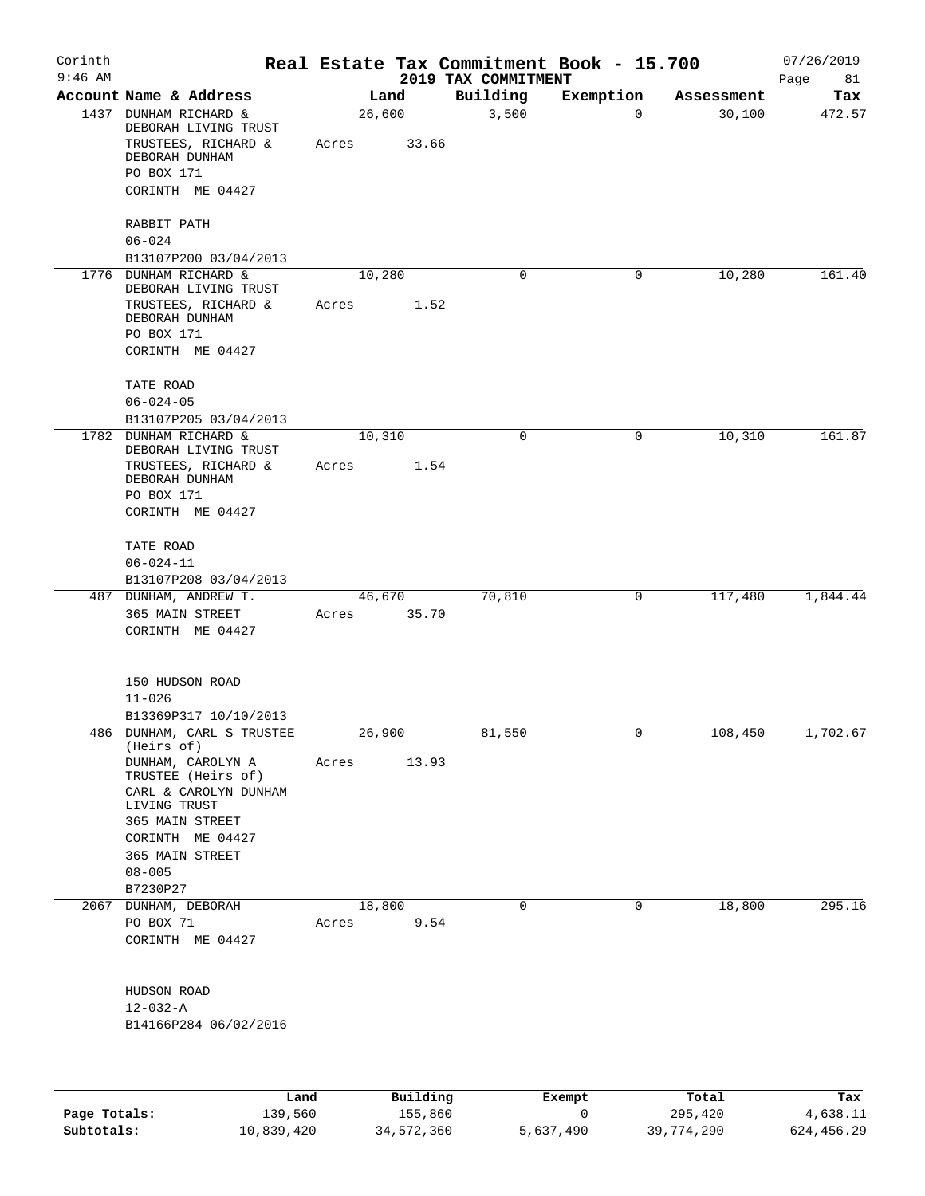| Corinth<br>$9:46$ AM |                                                                                                                                                                                    |       |        |            | 2019 TAX COMMITMENT | Real Estate Tax Commitment Book - 15.700 |                           | 07/26/2019<br>Page<br>81 |
|----------------------|------------------------------------------------------------------------------------------------------------------------------------------------------------------------------------|-------|--------|------------|---------------------|------------------------------------------|---------------------------|--------------------------|
|                      | Account Name & Address                                                                                                                                                             |       | Land   |            | Building            | Exemption                                | Assessment                | Tax                      |
|                      | 1437 DUNHAM RICHARD &<br>DEBORAH LIVING TRUST<br>TRUSTEES, RICHARD &<br>DEBORAH DUNHAM<br>PO BOX 171<br>CORINTH ME 04427                                                           | Acres | 26,600 | 33.66      | 3,500               |                                          | 30,100<br>$\mathbf 0$     | 472.57                   |
|                      | RABBIT PATH<br>$06 - 024$                                                                                                                                                          |       |        |            |                     |                                          |                           |                          |
| 1776                 | B13107P200 03/04/2013<br>DUNHAM RICHARD &                                                                                                                                          |       | 10,280 |            | 0                   | $\mathbf 0$                              | 10,280                    | 161.40                   |
|                      | DEBORAH LIVING TRUST<br>TRUSTEES, RICHARD &<br>DEBORAH DUNHAM<br>PO BOX 171<br>CORINTH ME 04427                                                                                    | Acres |        | 1.52       |                     |                                          |                           |                          |
|                      | TATE ROAD<br>$06 - 024 - 05$                                                                                                                                                       |       |        |            |                     |                                          |                           |                          |
|                      | B13107P205 03/04/2013                                                                                                                                                              |       |        |            |                     |                                          |                           |                          |
| 1782                 | DUNHAM RICHARD &<br>DEBORAH LIVING TRUST<br>TRUSTEES, RICHARD &<br>DEBORAH DUNHAM<br>PO BOX 171<br>CORINTH ME 04427                                                                | Acres | 10,310 | 1.54       | $\mathbf 0$         |                                          | 10,310<br>0               | 161.87                   |
|                      | TATE ROAD<br>$06 - 024 - 11$<br>B13107P208 03/04/2013                                                                                                                              |       |        |            |                     |                                          |                           |                          |
|                      | 487 DUNHAM, ANDREW T.<br>365 MAIN STREET<br>CORINTH ME 04427                                                                                                                       | Acres | 46,670 | 35.70      | 70,810              |                                          | 117,480<br>0              | 1,844.44                 |
|                      | 150 HUDSON ROAD<br>$11 - 026$<br>B13369P317 10/10/2013                                                                                                                             |       |        |            |                     |                                          |                           |                          |
|                      | 486 DUNHAM, CARL S TRUSTEE                                                                                                                                                         |       | 26,900 |            | 81,550              |                                          | 108,450<br>$\overline{0}$ | 1,702.67                 |
|                      | (Heirs of)<br>DUNHAM, CAROLYN A<br>TRUSTEE (Heirs of)<br>CARL & CAROLYN DUNHAM<br>LIVING TRUST<br>365 MAIN STREET<br>CORINTH ME 04427<br>365 MAIN STREET<br>$08 - 005$<br>B7230P27 | Acres |        | 13.93      |                     |                                          |                           |                          |
|                      | 2067 DUNHAM, DEBORAH                                                                                                                                                               |       | 18,800 |            | 0                   |                                          | 18,800<br>0               | 295.16                   |
|                      | PO BOX 71<br>CORINTH ME 04427                                                                                                                                                      |       |        | Acres 9.54 |                     |                                          |                           |                          |
|                      | HUDSON ROAD<br>$12 - 032 - A$<br>B14166P284 06/02/2016                                                                                                                             |       |        |            |                     |                                          |                           |                          |
|                      |                                                                                                                                                                                    |       |        |            |                     |                                          |                           |                          |

|              | Land       | Building   | Exempt    | Total      | Tax        |
|--------------|------------|------------|-----------|------------|------------|
| Page Totals: | 139,560    | 155,860    |           | 295,420    | 4,638.11   |
| Subtotals:   | 10,839,420 | 34,572,360 | 5,637,490 | 39,774,290 | 624,456.29 |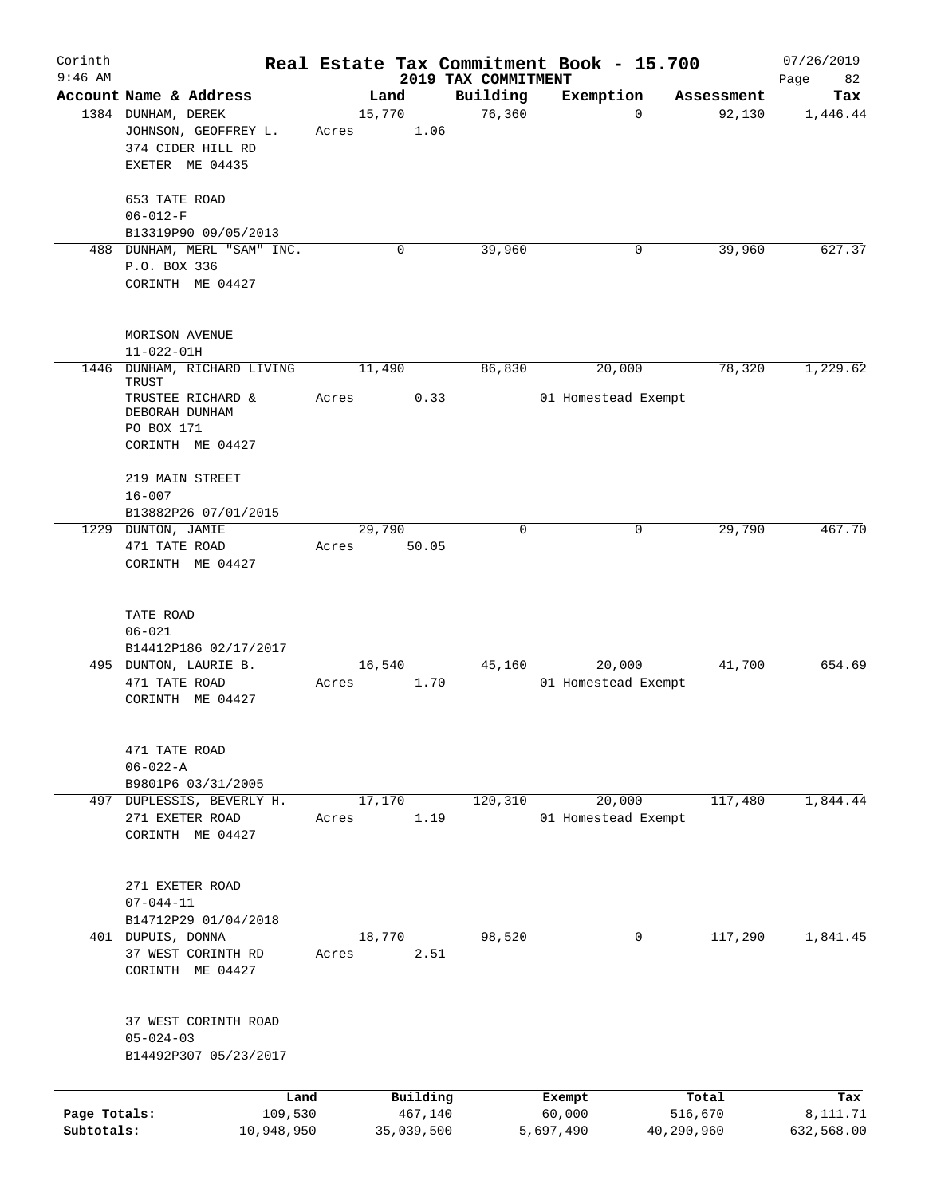| Corinth      |                                                 |        |                     |                     | Real Estate Tax Commitment Book - 15.700 |                      | 07/26/2019      |
|--------------|-------------------------------------------------|--------|---------------------|---------------------|------------------------------------------|----------------------|-----------------|
| $9:46$ AM    | Account Name & Address                          |        |                     | 2019 TAX COMMITMENT |                                          |                      | Page<br>82      |
|              | 1384 DUNHAM, DEREK                              | 15,770 | Land                | Building<br>76,360  | Exemption<br>$\Omega$                    | Assessment<br>92,130 | Tax<br>1,446.44 |
|              | JOHNSON, GEOFFREY L.<br>374 CIDER HILL RD       | Acres  | 1.06                |                     |                                          |                      |                 |
|              | EXETER ME 04435                                 |        |                     |                     |                                          |                      |                 |
|              | 653 TATE ROAD<br>$06 - 012 - F$                 |        |                     |                     |                                          |                      |                 |
|              | B13319P90 09/05/2013                            |        |                     |                     |                                          |                      |                 |
|              | 488 DUNHAM, MERL "SAM" INC.                     |        | 0                   | 39,960              | 0                                        | 39,960               | 627.37          |
|              | P.O. BOX 336<br>CORINTH ME 04427                |        |                     |                     |                                          |                      |                 |
|              | MORISON AVENUE<br>$11 - 022 - 01H$              |        |                     |                     |                                          |                      |                 |
| 1446         | DUNHAM, RICHARD LIVING<br>TRUST                 | 11,490 |                     | 86,830              | 20,000                                   | 78,320               | 1,229.62        |
|              | TRUSTEE RICHARD &<br>DEBORAH DUNHAM             | Acres  | 0.33                |                     | 01 Homestead Exempt                      |                      |                 |
|              | PO BOX 171                                      |        |                     |                     |                                          |                      |                 |
|              | CORINTH ME 04427                                |        |                     |                     |                                          |                      |                 |
|              | 219 MAIN STREET<br>$16 - 007$                   |        |                     |                     |                                          |                      |                 |
|              | B13882P26 07/01/2015                            |        |                     |                     |                                          |                      |                 |
|              | 1229 DUNTON, JAMIE                              | 29,790 |                     | 0                   | 0                                        | 29,790               | 467.70          |
|              | 471 TATE ROAD                                   | Acres  | 50.05               |                     |                                          |                      |                 |
|              | CORINTH ME 04427                                |        |                     |                     |                                          |                      |                 |
|              | TATE ROAD                                       |        |                     |                     |                                          |                      |                 |
|              | $06 - 021$<br>B14412P186 02/17/2017             |        |                     |                     |                                          |                      |                 |
|              | 495 DUNTON, LAURIE B.                           | 16,540 |                     | 45,160              | 20,000                                   | 41,700               | 654.69          |
|              | 471 TATE ROAD                                   | Acres  | 1.70                |                     | 01 Homestead Exempt                      |                      |                 |
|              | CORINTH ME 04427                                |        |                     |                     |                                          |                      |                 |
|              | 471 TATE ROAD                                   |        |                     |                     |                                          |                      |                 |
|              | $06 - 022 - A$                                  |        |                     |                     |                                          |                      |                 |
|              | B9801P6 03/31/2005<br>497 DUPLESSIS, BEVERLY H. | 17,170 |                     | 120, 310            | 20,000                                   | 117,480              | 1,844.44        |
|              | 271 EXETER ROAD                                 | Acres  | 1.19                |                     | 01 Homestead Exempt                      |                      |                 |
|              | CORINTH ME 04427                                |        |                     |                     |                                          |                      |                 |
|              | 271 EXETER ROAD                                 |        |                     |                     |                                          |                      |                 |
|              | $07 - 044 - 11$                                 |        |                     |                     |                                          |                      |                 |
|              | B14712P29 01/04/2018                            |        |                     |                     |                                          |                      |                 |
|              | 401 DUPUIS, DONNA                               | 18,770 |                     | 98,520              | 0                                        | 117,290              | 1,841.45        |
|              | 37 WEST CORINTH RD<br>CORINTH ME 04427          | Acres  | 2.51                |                     |                                          |                      |                 |
|              | 37 WEST CORINTH ROAD                            |        |                     |                     |                                          |                      |                 |
|              | $05 - 024 - 03$                                 |        |                     |                     |                                          |                      |                 |
|              | B14492P307 05/23/2017                           |        |                     |                     |                                          |                      |                 |
|              |                                                 |        |                     |                     |                                          |                      |                 |
| Page Totals: | 109,530                                         | Land   | Building<br>467,140 |                     | Exempt<br>60,000                         | Total<br>516,670     | Tax<br>8,111.71 |
| Subtotals:   | 10,948,950                                      |        | 35,039,500          |                     | 5,697,490                                | 40,290,960           | 632,568.00      |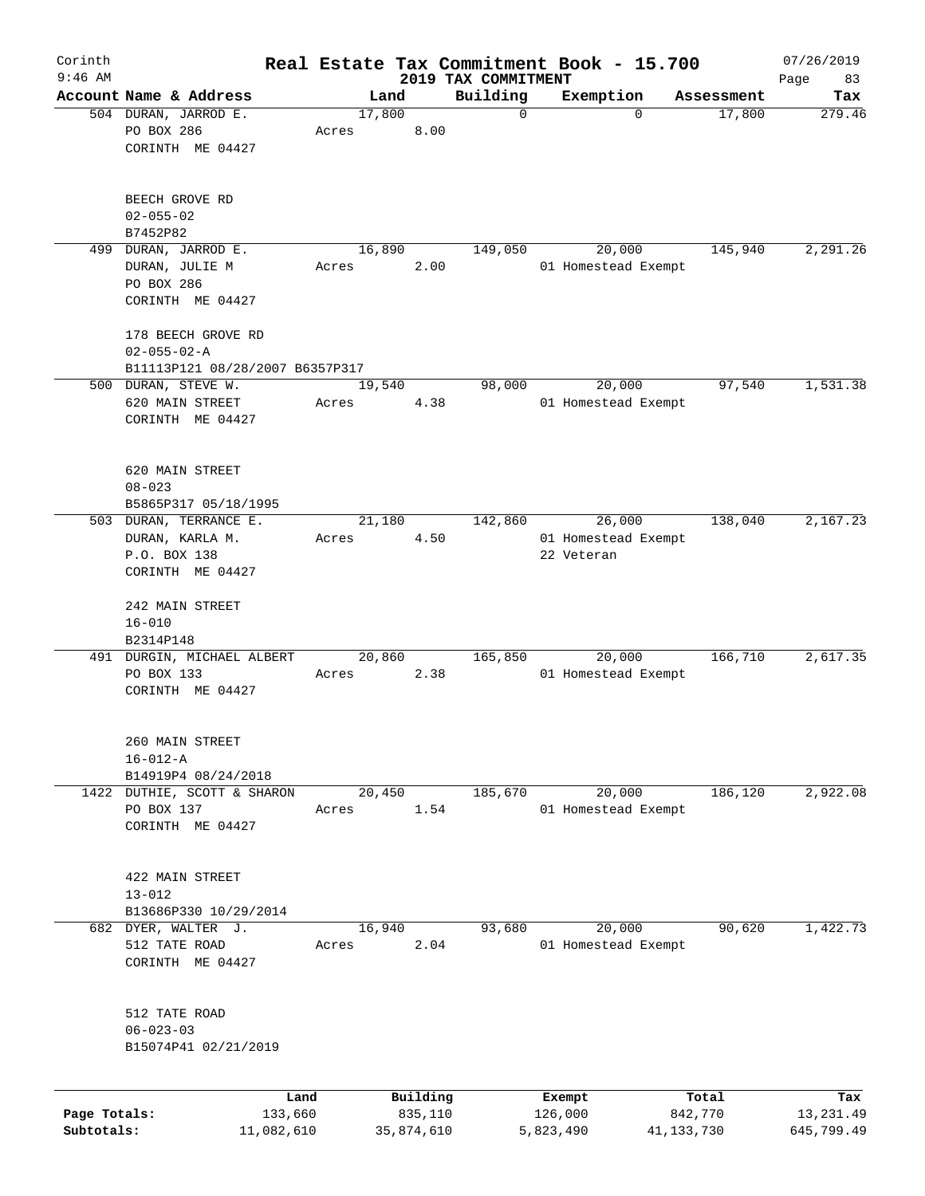| Corinth                    |                                                                          |                       |       |        |                       | Real Estate Tax Commitment Book - 15.700 |                      |                               |                         | 07/26/2019               |
|----------------------------|--------------------------------------------------------------------------|-----------------------|-------|--------|-----------------------|------------------------------------------|----------------------|-------------------------------|-------------------------|--------------------------|
| $9:46$ AM                  | Account Name & Address                                                   |                       |       | Land   |                       | 2019 TAX COMMITMENT<br>Building          |                      | Exemption                     |                         | Page<br>83               |
|                            | 504 DURAN, JARROD E.                                                     |                       |       | 17,800 |                       | $\mathbf 0$                              |                      | $\mathbf 0$                   | Assessment<br>17,800    | Tax<br>279.46            |
|                            | PO BOX 286<br>CORINTH ME 04427                                           |                       | Acres |        | 8.00                  |                                          |                      |                               |                         |                          |
|                            | BEECH GROVE RD<br>$02 - 055 - 02$                                        |                       |       |        |                       |                                          |                      |                               |                         |                          |
|                            | B7452P82                                                                 |                       |       |        |                       |                                          |                      |                               |                         |                          |
|                            | 499 DURAN, JARROD E.<br>DURAN, JULIE M<br>PO BOX 286<br>CORINTH ME 04427 |                       | Acres | 16,890 | 2.00                  | 149,050                                  |                      | 20,000<br>01 Homestead Exempt | 145,940                 | 2,291.26                 |
|                            | 178 BEECH GROVE RD<br>$02 - 055 - 02 - A$                                |                       |       |        |                       |                                          |                      |                               |                         |                          |
|                            | B11113P121 08/28/2007 B6357P317                                          |                       |       |        |                       |                                          |                      |                               |                         |                          |
|                            | 500 DURAN, STEVE W.<br>620 MAIN STREET<br>CORINTH ME 04427               |                       | Acres | 19,540 | 4.38                  | 98,000                                   |                      | 20,000<br>01 Homestead Exempt | 97,540                  | 1,531.38                 |
|                            | 620 MAIN STREET<br>$08 - 023$                                            |                       |       |        |                       |                                          |                      |                               |                         |                          |
|                            | B5865P317 05/18/1995<br>503 DURAN, TERRANCE E.                           |                       |       | 21,180 |                       | 142,860                                  |                      | 26,000                        | 138,040                 | 2,167.23                 |
|                            | DURAN, KARLA M.                                                          |                       | Acres |        | 4.50                  |                                          |                      | 01 Homestead Exempt           |                         |                          |
|                            | P.O. BOX 138                                                             |                       |       |        |                       |                                          | 22 Veteran           |                               |                         |                          |
|                            | CORINTH ME 04427                                                         |                       |       |        |                       |                                          |                      |                               |                         |                          |
|                            | 242 MAIN STREET<br>$16 - 010$                                            |                       |       |        |                       |                                          |                      |                               |                         |                          |
|                            | B2314P148                                                                |                       |       |        |                       |                                          |                      |                               |                         |                          |
|                            | 491 DURGIN, MICHAEL ALBERT<br>PO BOX 133<br>CORINTH ME 04427             |                       | Acres | 20,860 | 2.38                  | 165,850                                  |                      | 20,000<br>01 Homestead Exempt | 166,710                 | 2,617.35                 |
|                            | 260 MAIN STREET<br>$16 - 012 - A$                                        |                       |       |        |                       |                                          |                      |                               |                         |                          |
|                            | B14919P4 08/24/2018<br>1422 DUTHIE, SCOTT & SHARON                       |                       |       | 20,450 |                       | 185,670                                  |                      | 20,000                        | 186,120                 | 2,922.08                 |
|                            | PO BOX 137<br>CORINTH ME 04427                                           |                       | Acres |        | 1.54                  |                                          |                      | 01 Homestead Exempt           |                         |                          |
|                            | 422 MAIN STREET<br>$13 - 012$                                            |                       |       |        |                       |                                          |                      |                               |                         |                          |
|                            | B13686P330 10/29/2014                                                    |                       |       |        |                       |                                          |                      |                               |                         |                          |
|                            | 682 DYER, WALTER J.                                                      |                       |       | 16,940 |                       | 93,680                                   |                      | 20,000                        | 90,620                  | 1,422.73                 |
|                            | 512 TATE ROAD<br>CORINTH ME 04427                                        |                       | Acres |        | 2.04                  |                                          |                      | 01 Homestead Exempt           |                         |                          |
|                            | 512 TATE ROAD<br>$06 - 023 - 03$<br>B15074P41 02/21/2019                 |                       |       |        |                       |                                          |                      |                               |                         |                          |
|                            |                                                                          | Land                  |       |        | Building              |                                          | Exempt               |                               | Total                   | Tax                      |
| Page Totals:<br>Subtotals: |                                                                          | 133,660<br>11,082,610 |       |        | 835,110<br>35,874,610 |                                          | 126,000<br>5,823,490 |                               | 842,770<br>41, 133, 730 | 13, 231.49<br>645,799.49 |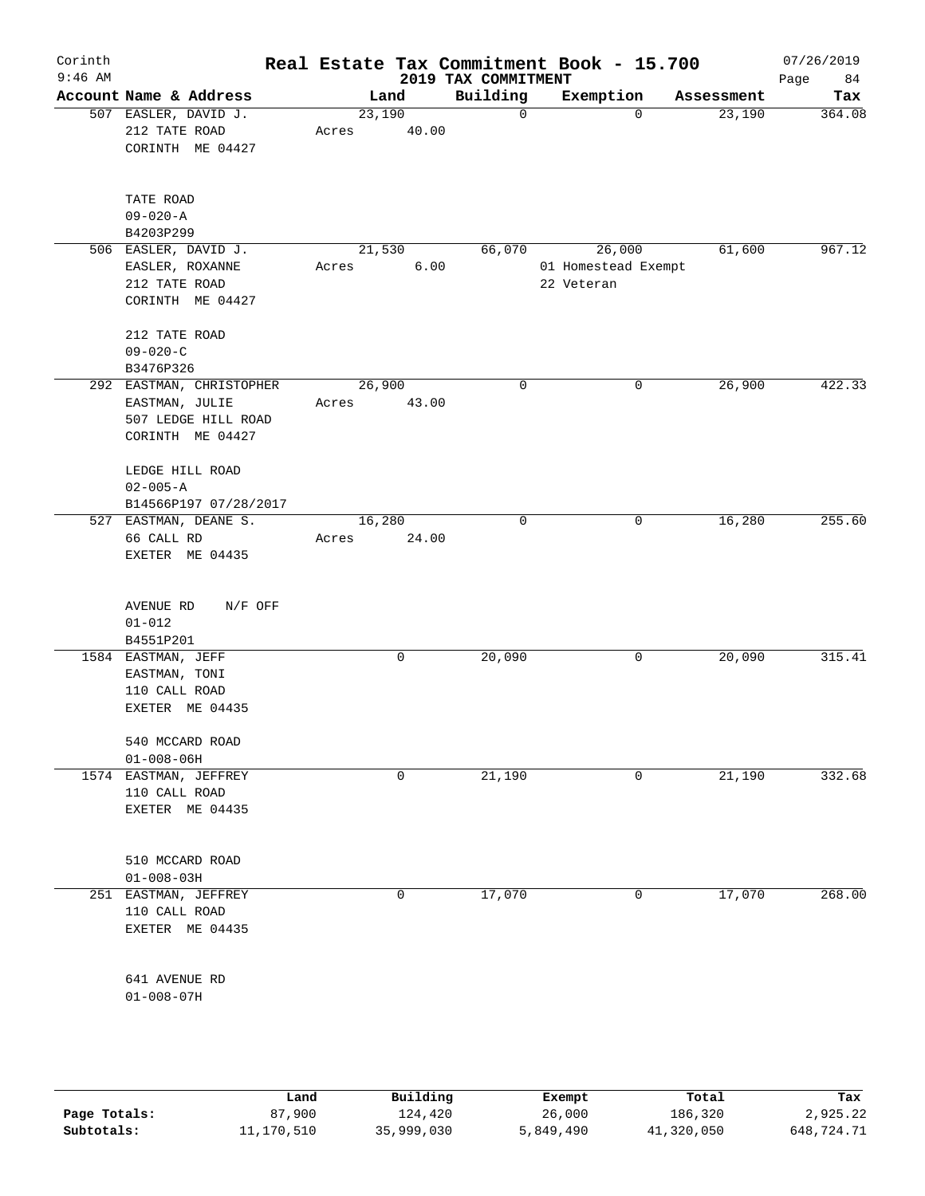| Corinth<br>$9:46$ AM |                                                      |                                                                     |       |                 | 2019 TAX COMMITMENT | Real Estate Tax Commitment Book - 15.700    |          |            | 07/26/2019<br>84<br>Page |
|----------------------|------------------------------------------------------|---------------------------------------------------------------------|-------|-----------------|---------------------|---------------------------------------------|----------|------------|--------------------------|
|                      |                                                      | Account Name & Address                                              |       | Land            | Building            | Exemption                                   |          | Assessment | Tax                      |
|                      | 212 TATE ROAD                                        | 507 EASLER, DAVID J.<br>CORINTH ME 04427                            | Acres | 23,190<br>40.00 | $\mathsf{O}$        |                                             | $\Omega$ | 23,190     | 364.08                   |
|                      | TATE ROAD<br>$09 - 020 - A$<br>B4203P299             |                                                                     |       |                 |                     |                                             |          |            |                          |
|                      | EASLER, ROXANNE<br>212 TATE ROAD                     | 506 EASLER, DAVID J.<br>CORINTH ME 04427                            | Acres | 21,530<br>6.00  | 66,070              | 26,000<br>01 Homestead Exempt<br>22 Veteran |          | 61,600     | 967.12                   |
|                      | 212 TATE ROAD<br>$09 - 020 - C$<br>B3476P326         |                                                                     |       |                 |                     |                                             |          |            |                          |
|                      | EASTMAN, JULIE                                       | 292 EASTMAN, CHRISTOPHER<br>507 LEDGE HILL ROAD<br>CORINTH ME 04427 | Acres | 26,900<br>43.00 | $\mathbf 0$         |                                             | 0        | 26,900     | $\overline{422.33}$      |
|                      | LEDGE HILL ROAD<br>$02 - 005 - A$                    | B14566P197 07/28/2017                                               |       |                 |                     |                                             |          |            |                          |
|                      | 66 CALL RD                                           | 527 EASTMAN, DEANE S.<br>EXETER ME 04435                            | Acres | 16,280<br>24.00 | $\mathbf 0$         |                                             | 0        | 16,280     | 255.60                   |
|                      | AVENUE RD<br>$01 - 012$<br>B4551P201                 | $N/F$ OFF                                                           |       |                 |                     |                                             |          |            |                          |
|                      | 1584 EASTMAN, JEFF<br>EASTMAN, TONI<br>110 CALL ROAD | EXETER ME 04435                                                     |       | 0               | 20,090              |                                             | 0        | 20,090     | 315.41                   |
|                      | 540 MCCARD ROAD<br>$01 - 008 - 06H$                  |                                                                     |       |                 |                     |                                             |          |            |                          |
|                      | 110 CALL ROAD                                        | 1574 EASTMAN, JEFFREY<br>EXETER ME 04435                            |       | $\mathbf 0$     | 21,190              |                                             | 0        | 21,190     | 332.68                   |
|                      | 510 MCCARD ROAD<br>$01 - 008 - 03H$                  |                                                                     |       |                 |                     |                                             |          |            |                          |
|                      | 110 CALL ROAD                                        | 251 EASTMAN, JEFFREY<br>EXETER ME 04435                             |       | 0               | 17,070              |                                             | 0        | 17,070     | 268.00                   |
|                      | 641 AVENUE RD<br>$01 - 008 - 07H$                    |                                                                     |       |                 |                     |                                             |          |            |                          |
|                      |                                                      |                                                                     |       |                 |                     |                                             |          |            |                          |

|              | Land       | Building   | Exempt    | Total      | Tax        |
|--------------|------------|------------|-----------|------------|------------|
| Page Totals: | 87,900     | 124,420    | 26,000    | 186,320    | 2,925.22   |
| Subtotals:   | 11,170,510 | 35,999,030 | 5,849,490 | 41,320,050 | 648,724.71 |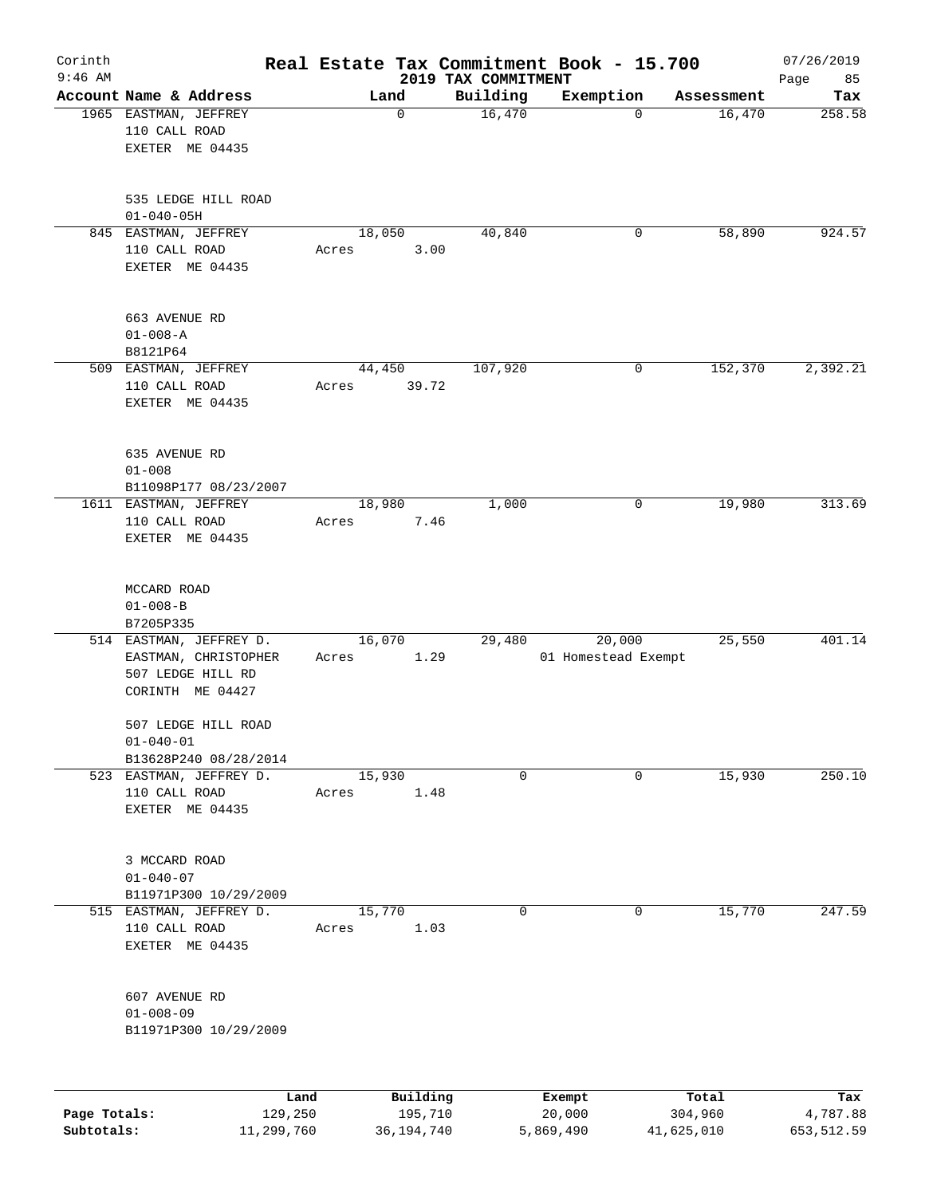| Corinth<br>$9:46$ AM |                                          |            |        |              | 2019 TAX COMMITMENT | Real Estate Tax Commitment Book - 15.700 |             |            | 07/26/2019<br>Page<br>85 |
|----------------------|------------------------------------------|------------|--------|--------------|---------------------|------------------------------------------|-------------|------------|--------------------------|
|                      | Account Name & Address                   |            | Land   |              | Building            | Exemption                                |             | Assessment | Tax                      |
|                      | 1965 EASTMAN, JEFFREY                    |            |        | 0            | 16,470              |                                          | $\mathbf 0$ | 16,470     | 258.58                   |
|                      | 110 CALL ROAD                            |            |        |              |                     |                                          |             |            |                          |
|                      | EXETER ME 04435                          |            |        |              |                     |                                          |             |            |                          |
|                      |                                          |            |        |              |                     |                                          |             |            |                          |
|                      |                                          |            |        |              |                     |                                          |             |            |                          |
|                      | 535 LEDGE HILL ROAD                      |            |        |              |                     |                                          |             |            |                          |
|                      | $01 - 040 - 05H$                         |            |        |              |                     |                                          |             |            |                          |
|                      | 845 EASTMAN, JEFFREY                     |            | 18,050 |              | 40,840              |                                          | 0           | 58,890     | 924.57                   |
|                      | 110 CALL ROAD                            |            | Acres  | 3.00         |                     |                                          |             |            |                          |
|                      | EXETER ME 04435                          |            |        |              |                     |                                          |             |            |                          |
|                      |                                          |            |        |              |                     |                                          |             |            |                          |
|                      | 663 AVENUE RD                            |            |        |              |                     |                                          |             |            |                          |
|                      | $01 - 008 - A$                           |            |        |              |                     |                                          |             |            |                          |
|                      | B8121P64                                 |            |        |              |                     |                                          |             |            |                          |
|                      | 509 EASTMAN, JEFFREY                     |            | 44,450 |              | 107,920             |                                          | 0           | 152,370    | 2,392.21                 |
|                      | 110 CALL ROAD                            |            | Acres  | 39.72        |                     |                                          |             |            |                          |
|                      | EXETER ME 04435                          |            |        |              |                     |                                          |             |            |                          |
|                      |                                          |            |        |              |                     |                                          |             |            |                          |
|                      |                                          |            |        |              |                     |                                          |             |            |                          |
|                      | 635 AVENUE RD                            |            |        |              |                     |                                          |             |            |                          |
|                      | $01 - 008$                               |            |        |              |                     |                                          |             |            |                          |
|                      | B11098P177 08/23/2007                    |            |        |              |                     |                                          |             |            |                          |
|                      | 1611 EASTMAN, JEFFREY                    |            | 18,980 |              | 1,000               |                                          | 0           | 19,980     | 313.69                   |
|                      | 110 CALL ROAD<br>EXETER ME 04435         |            | Acres  | 7.46         |                     |                                          |             |            |                          |
|                      |                                          |            |        |              |                     |                                          |             |            |                          |
|                      |                                          |            |        |              |                     |                                          |             |            |                          |
|                      | MCCARD ROAD                              |            |        |              |                     |                                          |             |            |                          |
|                      | $01 - 008 - B$                           |            |        |              |                     |                                          |             |            |                          |
|                      | B7205P335                                |            |        |              |                     |                                          |             |            |                          |
|                      | 514 EASTMAN, JEFFREY D.                  |            | 16,070 |              | 29,480              | 20,000                                   |             | 25,550     | 401.14                   |
|                      | EASTMAN, CHRISTOPHER                     |            | Acres  | 1.29         |                     | 01 Homestead Exempt                      |             |            |                          |
|                      | 507 LEDGE HILL RD                        |            |        |              |                     |                                          |             |            |                          |
|                      | CORINTH ME 04427                         |            |        |              |                     |                                          |             |            |                          |
|                      |                                          |            |        |              |                     |                                          |             |            |                          |
|                      | 507 LEDGE HILL ROAD                      |            |        |              |                     |                                          |             |            |                          |
|                      | $01 - 040 - 01$<br>B13628P240 08/28/2014 |            |        |              |                     |                                          |             |            |                          |
|                      | 523 EASTMAN, JEFFREY D.                  |            | 15,930 |              | $\overline{0}$      |                                          | $\mathbf 0$ | 15,930     | 250.10                   |
|                      | 110 CALL ROAD                            |            | Acres  | 1.48         |                     |                                          |             |            |                          |
|                      | EXETER ME 04435                          |            |        |              |                     |                                          |             |            |                          |
|                      |                                          |            |        |              |                     |                                          |             |            |                          |
|                      |                                          |            |        |              |                     |                                          |             |            |                          |
|                      | 3 MCCARD ROAD                            |            |        |              |                     |                                          |             |            |                          |
|                      | $01 - 040 - 07$                          |            |        |              |                     |                                          |             |            |                          |
|                      | B11971P300 10/29/2009                    |            |        |              |                     |                                          |             |            |                          |
| 515                  | EASTMAN, JEFFREY D.                      |            | 15,770 |              | 0                   |                                          | 0           | 15,770     | 247.59                   |
|                      | 110 CALL ROAD                            |            | Acres  | 1.03         |                     |                                          |             |            |                          |
|                      | EXETER ME 04435                          |            |        |              |                     |                                          |             |            |                          |
|                      |                                          |            |        |              |                     |                                          |             |            |                          |
|                      | 607 AVENUE RD                            |            |        |              |                     |                                          |             |            |                          |
|                      | $01 - 008 - 09$                          |            |        |              |                     |                                          |             |            |                          |
|                      | B11971P300 10/29/2009                    |            |        |              |                     |                                          |             |            |                          |
|                      |                                          |            |        |              |                     |                                          |             |            |                          |
|                      |                                          |            |        |              |                     |                                          |             |            |                          |
|                      |                                          | Land       |        | Building     |                     | Exempt                                   | Total       |            | Tax                      |
| Page Totals:         |                                          | 129,250    |        | 195,710      |                     | 20,000                                   | 304,960     |            | 4,787.88                 |
| Subtotals:           |                                          | 11,299,760 |        | 36, 194, 740 |                     | 5,869,490                                | 41,625,010  |            | 653, 512.59              |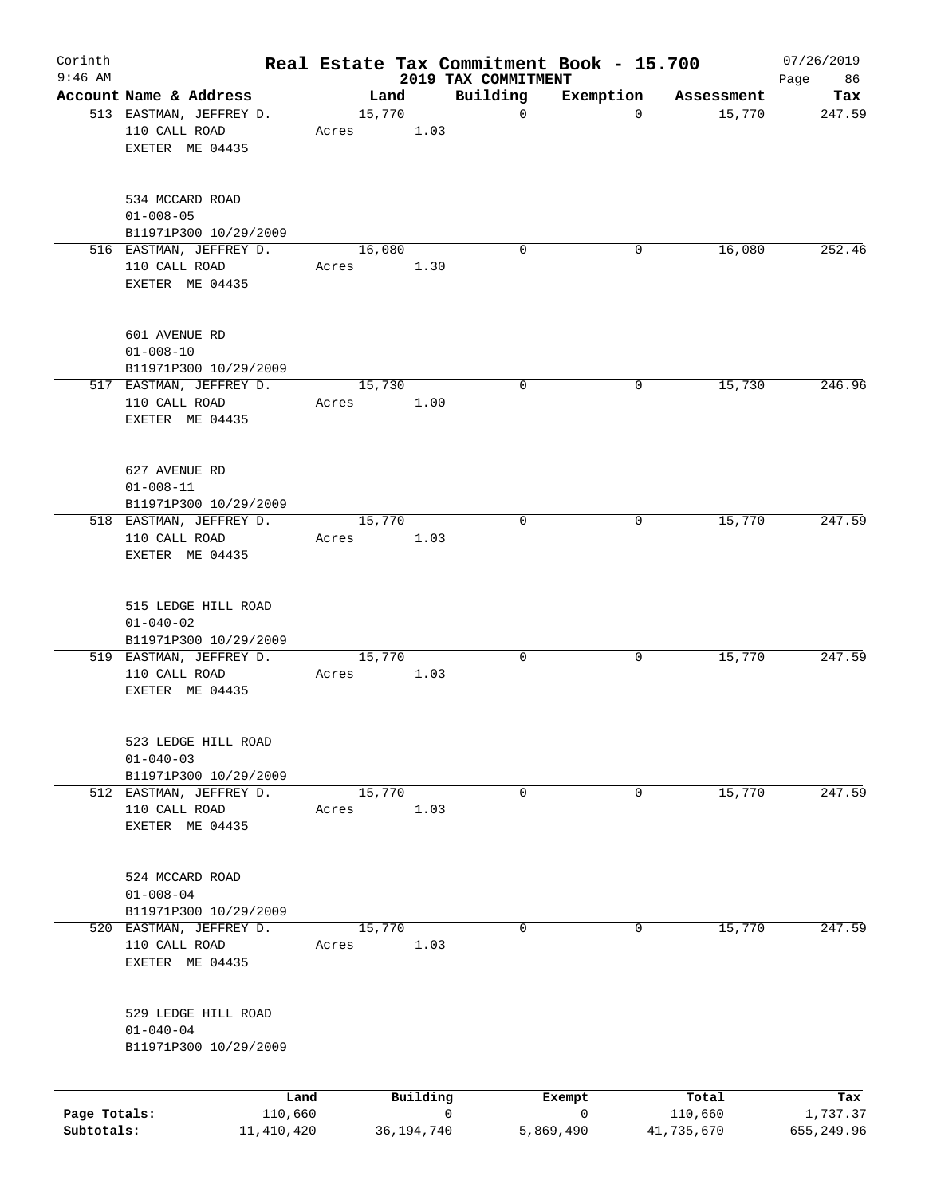| Corinth                    |                                                                 |                         |       |        |              | Real Estate Tax Commitment Book - 15.700 |                |                       | 07/26/2019             |
|----------------------------|-----------------------------------------------------------------|-------------------------|-------|--------|--------------|------------------------------------------|----------------|-----------------------|------------------------|
| $9:46$ AM                  | Account Name & Address                                          |                         |       | Land   |              | 2019 TAX COMMITMENT<br>Building          | Exemption      | Assessment            | Page<br>86<br>Tax      |
|                            | 513 EASTMAN, JEFFREY D.<br>110 CALL ROAD<br>EXETER ME 04435     |                         | Acres | 15,770 | 1.03         | $\mathbf 0$                              | $\Omega$       | 15,770                | 247.59                 |
|                            | 534 MCCARD ROAD<br>$01 - 008 - 05$<br>B11971P300 10/29/2009     |                         |       |        |              |                                          |                |                       |                        |
|                            | 516 EASTMAN, JEFFREY D.<br>110 CALL ROAD<br>EXETER ME 04435     |                         | Acres | 16,080 | 1.30         | 0                                        | 0              | 16,080                | 252.46                 |
|                            | 601 AVENUE RD<br>$01 - 008 - 10$<br>B11971P300 10/29/2009       |                         |       |        |              |                                          |                |                       |                        |
|                            | 517 EASTMAN, JEFFREY D.<br>110 CALL ROAD<br>EXETER ME 04435     |                         | Acres | 15,730 | 1.00         | $\mathbf 0$                              | $\mathbf 0$    | 15,730                | 246.96                 |
|                            | 627 AVENUE RD<br>$01 - 008 - 11$<br>B11971P300 10/29/2009       |                         |       |        |              |                                          |                |                       |                        |
|                            | 518 EASTMAN, JEFFREY D.<br>110 CALL ROAD<br>EXETER ME 04435     |                         | Acres | 15,770 | 1.03         | 0                                        | 0              | 15,770                | 247.59                 |
|                            | 515 LEDGE HILL ROAD<br>$01 - 040 - 02$<br>B11971P300 10/29/2009 |                         |       |        |              |                                          |                |                       |                        |
|                            | 519 EASTMAN, JEFFREY D.<br>110 CALL ROAD<br>EXETER ME 04435     |                         | Acres | 15,770 | 1.03         | 0                                        | 0              | 15,770                | 247.59                 |
|                            | 523 LEDGE HILL ROAD<br>$01 - 040 - 03$<br>B11971P300 10/29/2009 |                         |       |        |              |                                          |                |                       |                        |
|                            | 512 EASTMAN, JEFFREY D.<br>110 CALL ROAD<br>EXETER ME 04435     |                         | Acres | 15,770 | 1.03         | 0                                        | 0              | 15,770                | 247.59                 |
|                            | 524 MCCARD ROAD<br>$01 - 008 - 04$<br>B11971P300 10/29/2009     |                         |       |        |              |                                          |                |                       |                        |
|                            | 520 EASTMAN, JEFFREY D.<br>110 CALL ROAD<br>EXETER ME 04435     |                         | Acres | 15,770 | 1.03         | 0                                        | 0              | 15,770                | 247.59                 |
|                            | 529 LEDGE HILL ROAD<br>$01 - 040 - 04$<br>B11971P300 10/29/2009 |                         |       |        |              |                                          |                |                       |                        |
|                            |                                                                 | Land                    |       |        | Building     |                                          | Exempt         | Total                 | Tax                    |
| Page Totals:<br>Subtotals: |                                                                 | 110,660<br>11, 410, 420 |       |        | 36, 194, 740 | 0                                        | 0<br>5,869,490 | 110,660<br>41,735,670 | 1,737.37<br>655,249.96 |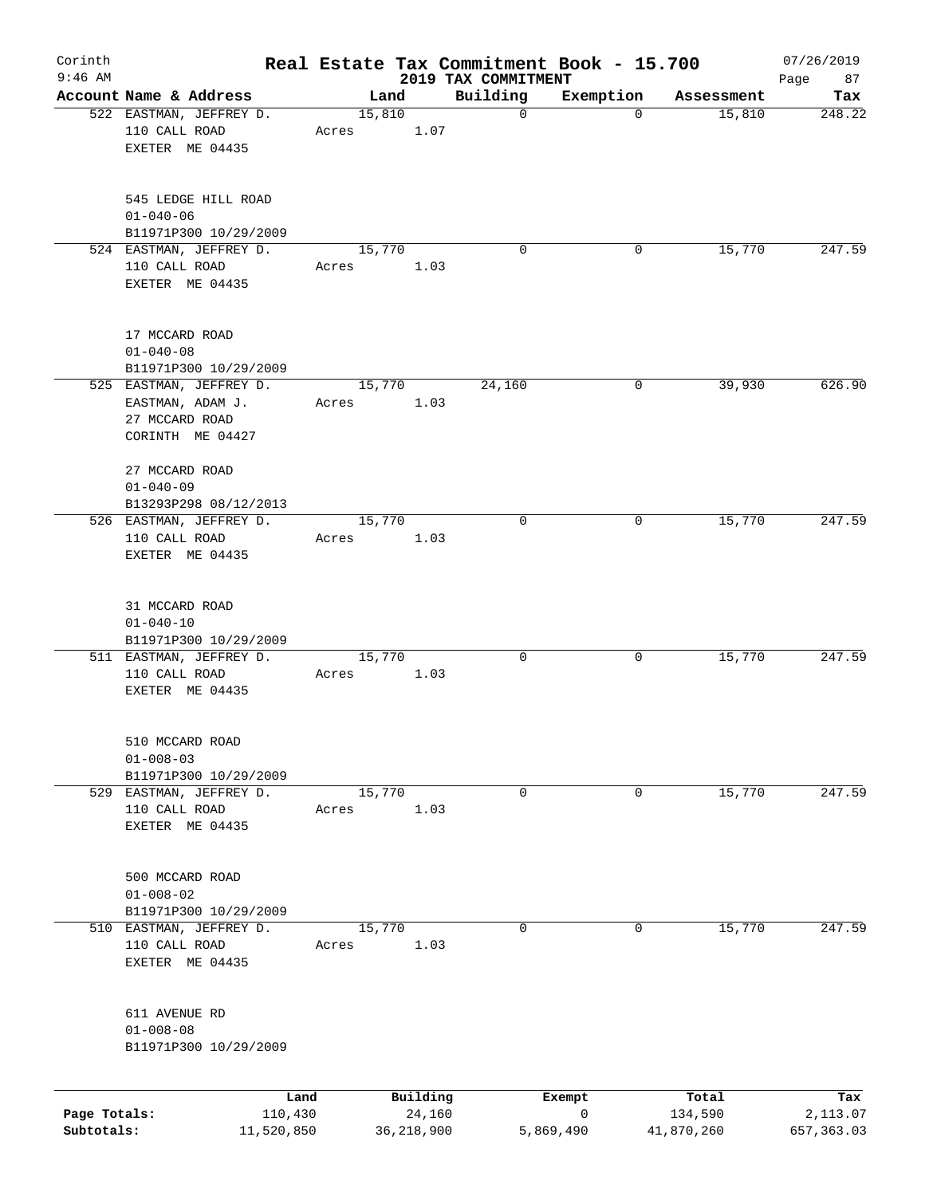| Corinth      |                                                                                   |                 |       |                |                    | Real Estate Tax Commitment Book - 15.700 |                          |                      | 07/26/2019      |
|--------------|-----------------------------------------------------------------------------------|-----------------|-------|----------------|--------------------|------------------------------------------|--------------------------|----------------------|-----------------|
| $9:46$ AM    | Account Name & Address                                                            |                 |       |                |                    | 2019 TAX COMMITMENT                      |                          |                      | 87<br>Page      |
|              | 522 EASTMAN, JEFFREY D.<br>110 CALL ROAD<br>EXETER ME 04435                       |                 | Acres | Land<br>15,810 | 1.07               | Building<br>$\mathbf 0$                  | Exemption<br>$\mathbf 0$ | Assessment<br>15,810 | Tax<br>248.22   |
|              | 545 LEDGE HILL ROAD<br>$01 - 040 - 06$<br>B11971P300 10/29/2009                   |                 |       |                |                    |                                          |                          |                      |                 |
|              | 524 EASTMAN, JEFFREY D.<br>110 CALL ROAD<br>EXETER ME 04435                       |                 | Acres | 15,770         | 1.03               | $\Omega$                                 | 0                        | 15,770               | 247.59          |
|              | 17 MCCARD ROAD<br>$01 - 040 - 08$<br>B11971P300 10/29/2009                        |                 |       |                |                    |                                          |                          |                      |                 |
|              | 525 EASTMAN, JEFFREY D.<br>EASTMAN, ADAM J.<br>27 MCCARD ROAD<br>CORINTH ME 04427 |                 | Acres | 15,770         | 1.03               | 24,160                                   | 0                        | 39,930               | 626.90          |
|              | 27 MCCARD ROAD<br>$01 - 040 - 09$<br>B13293P298 08/12/2013                        |                 |       |                |                    |                                          |                          |                      |                 |
|              | 526 EASTMAN, JEFFREY D.<br>110 CALL ROAD<br>EXETER ME 04435                       |                 | Acres | 15,770         | 1.03               | 0                                        | 0                        | 15,770               | 247.59          |
|              | 31 MCCARD ROAD<br>$01 - 040 - 10$<br>B11971P300 10/29/2009                        |                 |       |                |                    |                                          |                          |                      |                 |
|              | 511 EASTMAN, JEFFREY D.<br>110 CALL ROAD<br>EXETER ME 04435                       |                 | Acres | 15,770         | 1.03               | 0                                        | 0                        | 15,770               | 247.59          |
|              | 510 MCCARD ROAD<br>$01 - 008 - 03$<br>B11971P300 10/29/2009                       |                 |       |                |                    |                                          |                          |                      |                 |
|              | 529 EASTMAN, JEFFREY D.<br>110 CALL ROAD<br>EXETER ME 04435                       |                 | Acres | 15,770         | 1.03               | 0                                        | 0                        | 15,770               | 247.59          |
|              | 500 MCCARD ROAD<br>$01 - 008 - 02$<br>B11971P300 10/29/2009                       |                 |       |                |                    |                                          |                          |                      |                 |
|              | 510 EASTMAN, JEFFREY D.<br>110 CALL ROAD<br>EXETER ME 04435                       |                 | Acres | 15,770         | 1.03               | 0                                        | 0                        | 15,770               | 247.59          |
|              | 611 AVENUE RD<br>$01 - 008 - 08$<br>B11971P300 10/29/2009                         |                 |       |                |                    |                                          |                          |                      |                 |
| Page Totals: |                                                                                   | Land<br>110,430 |       |                | Building<br>24,160 |                                          | Exempt<br>0              | Total<br>134,590     | Tax<br>2,113.07 |
| Subtotals:   |                                                                                   | 11,520,850      |       |                | 36, 218, 900       |                                          | 5,869,490                | 41,870,260           | 657, 363.03     |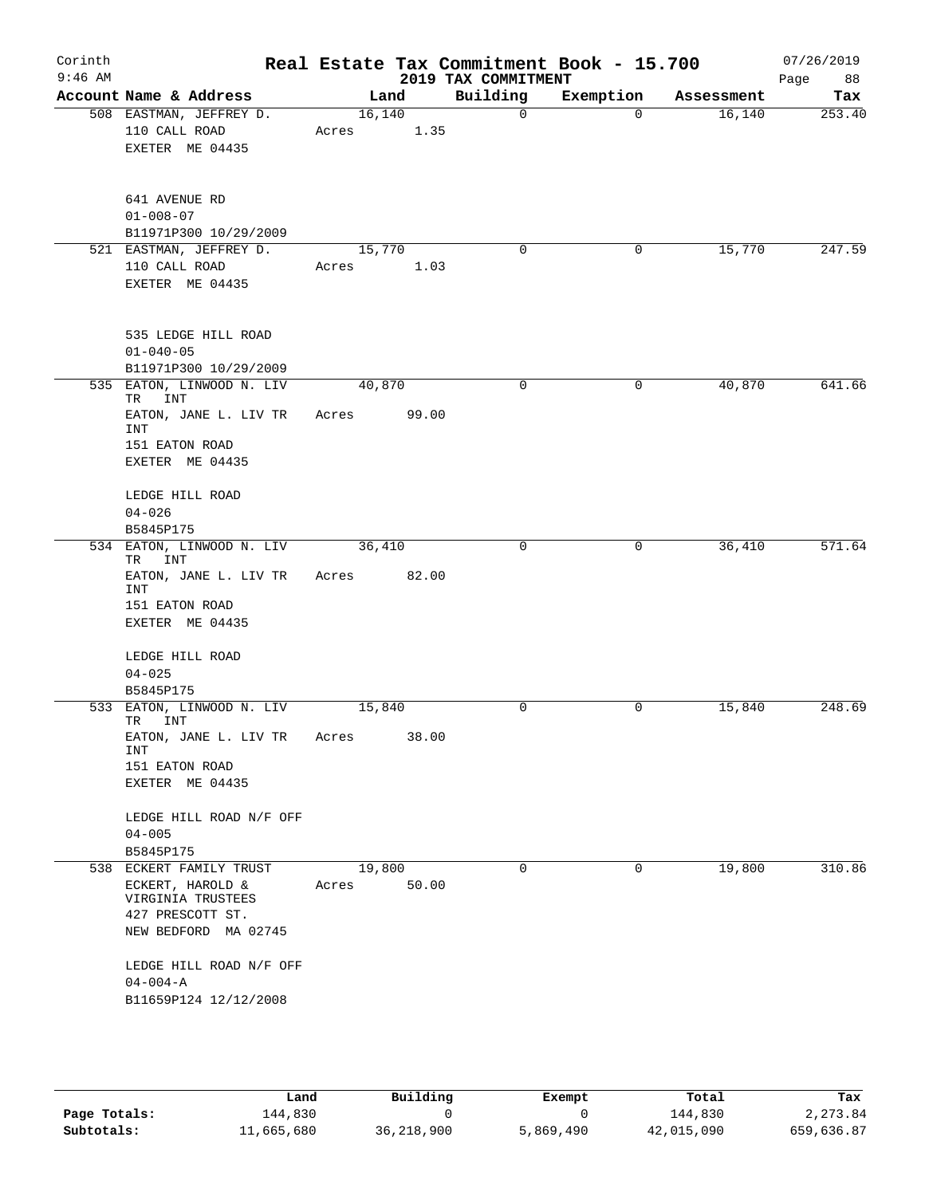| Corinth<br>$9:46$ AM |                                                                                                                                                                                    | Real Estate Tax Commitment Book - 15.700 | 2019 TAX COMMITMENT |                |            | 07/26/2019<br>Page<br>88 |
|----------------------|------------------------------------------------------------------------------------------------------------------------------------------------------------------------------------|------------------------------------------|---------------------|----------------|------------|--------------------------|
|                      | Account Name & Address                                                                                                                                                             | Land                                     | Building            | Exemption      | Assessment | Tax                      |
|                      | 508 EASTMAN, JEFFREY D.<br>110 CALL ROAD<br>EXETER ME 04435                                                                                                                        | 16, 140<br>1.35<br>Acres                 | $\mathbf 0$         | $\overline{0}$ | 16,140     | 253.40                   |
|                      | 641 AVENUE RD<br>$01 - 008 - 07$<br>B11971P300 10/29/2009                                                                                                                          |                                          |                     |                |            |                          |
|                      | 521 EASTMAN, JEFFREY D.<br>110 CALL ROAD<br>EXETER ME 04435                                                                                                                        | 15,770<br>Acres<br>1.03                  | 0                   | 0              | 15,770     | 247.59                   |
|                      | 535 LEDGE HILL ROAD<br>$01 - 040 - 05$<br>B11971P300 10/29/2009                                                                                                                    |                                          |                     |                |            |                          |
|                      | 535 EATON, LINWOOD N. LIV<br>TR<br>INT<br>EATON, JANE L. LIV TR<br>INT<br>151 EATON ROAD<br>EXETER ME 04435                                                                        | 40,870<br>99.00<br>Acres                 | $\mathbf 0$         | $\mathbf 0$    | 40,870     | 641.66                   |
|                      | LEDGE HILL ROAD<br>$04 - 026$<br>B5845P175                                                                                                                                         |                                          |                     |                |            |                          |
|                      | 534 EATON, LINWOOD N. LIV<br>INT<br>TR<br>EATON, JANE L. LIV TR<br>INT<br>151 EATON ROAD<br>EXETER ME 04435                                                                        | 36,410<br>82.00<br>Acres                 | 0                   | 0              | 36,410     | 571.64                   |
|                      | LEDGE HILL ROAD<br>$04 - 025$<br>B5845P175<br>533 EATON, LINWOOD N. LIV                                                                                                            | 15,840                                   | 0                   | 0              | 15,840     | 248.69                   |
|                      | TR<br>INT<br>EATON, JANE L. LIV TR<br>INT<br>151 EATON ROAD<br>EXETER ME 04435                                                                                                     | 38.00<br>Acres                           |                     |                |            |                          |
|                      | LEDGE HILL ROAD N/F OFF<br>$04 - 005$<br>B5845P175                                                                                                                                 |                                          |                     |                |            |                          |
|                      | 538 ECKERT FAMILY TRUST<br>ECKERT, HAROLD &<br>VIRGINIA TRUSTEES<br>427 PRESCOTT ST.<br>NEW BEDFORD MA 02745<br>LEDGE HILL ROAD N/F OFF<br>$04 - 004 - A$<br>B11659P124 12/12/2008 | 19,800<br>50.00<br>Acres                 | $\Omega$            | $\mathbf 0$    | 19,800     | 310.86                   |

|              | Land       | Building   | Exempt    | Total      | Tax        |
|--------------|------------|------------|-----------|------------|------------|
| Page Totals: | 144,830    |            |           | 144,830    | 2,273.84   |
| Subtotals:   | 11,665,680 | 36,218,900 | 5,869,490 | 42,015,090 | 659,636.87 |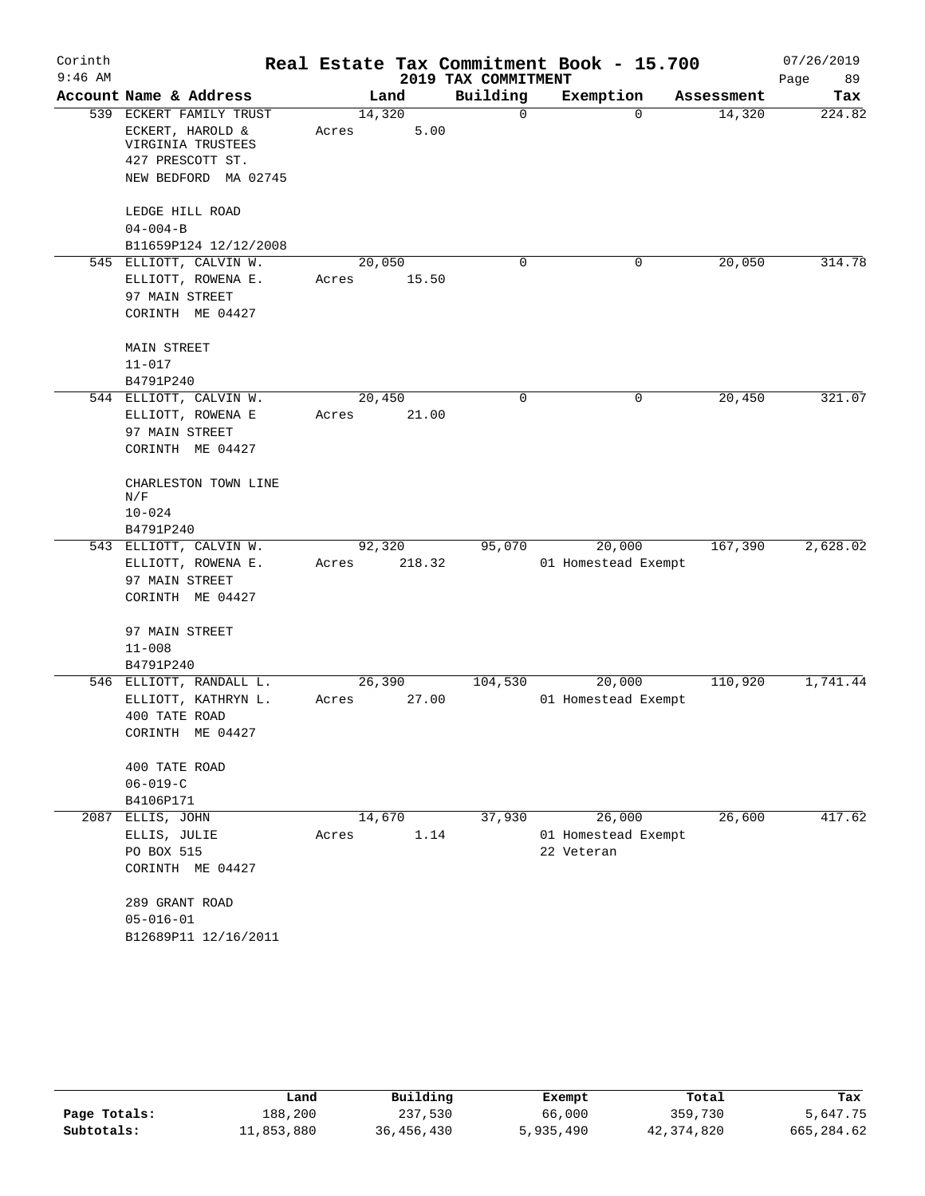| Corinth   |                                       |       |        |                     | Real Estate Tax Commitment Book - 15.700 |            | 07/26/2019 |
|-----------|---------------------------------------|-------|--------|---------------------|------------------------------------------|------------|------------|
| $9:46$ AM |                                       |       |        | 2019 TAX COMMITMENT |                                          |            | Page<br>89 |
|           | Account Name & Address                |       | Land   | Building            | Exemption                                | Assessment | Tax        |
|           | 539 ECKERT FAMILY TRUST               |       | 14,320 | 0                   | $\Omega$                                 | 14,320     | 224.82     |
|           | ECKERT, HAROLD &<br>VIRGINIA TRUSTEES | Acres | 5.00   |                     |                                          |            |            |
|           | 427 PRESCOTT ST.                      |       |        |                     |                                          |            |            |
|           | NEW BEDFORD MA 02745                  |       |        |                     |                                          |            |            |
|           | LEDGE HILL ROAD                       |       |        |                     |                                          |            |            |
|           | $04 - 004 - B$                        |       |        |                     |                                          |            |            |
|           | B11659P124 12/12/2008                 |       |        |                     |                                          |            |            |
|           | 545 ELLIOTT, CALVIN W.                |       | 20,050 | $\Omega$            | 0                                        | 20,050     | 314.78     |
|           | ELLIOTT, ROWENA E.                    | Acres | 15.50  |                     |                                          |            |            |
|           | 97 MAIN STREET                        |       |        |                     |                                          |            |            |
|           | CORINTH ME 04427                      |       |        |                     |                                          |            |            |
|           | MAIN STREET                           |       |        |                     |                                          |            |            |
|           | $11 - 017$                            |       |        |                     |                                          |            |            |
|           | B4791P240                             |       |        |                     |                                          |            |            |
|           | 544 ELLIOTT, CALVIN W.                |       | 20,450 | 0                   | 0                                        | 20,450     | 321.07     |
|           | ELLIOTT, ROWENA E                     | Acres | 21.00  |                     |                                          |            |            |
|           | 97 MAIN STREET                        |       |        |                     |                                          |            |            |
|           | CORINTH ME 04427                      |       |        |                     |                                          |            |            |
|           | CHARLESTON TOWN LINE<br>N/F           |       |        |                     |                                          |            |            |
|           | $10 - 024$                            |       |        |                     |                                          |            |            |
|           | B4791P240                             |       |        |                     |                                          |            |            |
|           | 543 ELLIOTT, CALVIN W.                |       | 92,320 | 95,070              | 20,000                                   | 167,390    | 2,628.02   |
|           | ELLIOTT, ROWENA E.                    | Acres | 218.32 |                     | 01 Homestead Exempt                      |            |            |
|           | 97 MAIN STREET                        |       |        |                     |                                          |            |            |
|           | CORINTH ME 04427                      |       |        |                     |                                          |            |            |
|           | 97 MAIN STREET                        |       |        |                     |                                          |            |            |
|           | $11 - 008$                            |       |        |                     |                                          |            |            |
|           | B4791P240                             |       |        |                     |                                          |            |            |
|           | 546 ELLIOTT, RANDALL L.               |       | 26,390 | 104,530             | 20,000                                   | 110,920    | 1,741.44   |
|           | ELLIOTT, KATHRYN L.                   | Acres | 27.00  |                     | 01 Homestead Exempt                      |            |            |
|           | 400 TATE ROAD                         |       |        |                     |                                          |            |            |
|           | CORINTH ME 04427                      |       |        |                     |                                          |            |            |
|           | 400 TATE ROAD                         |       |        |                     |                                          |            |            |
|           | $06 - 019 - C$                        |       |        |                     |                                          |            |            |
|           | B4106P171                             |       |        |                     |                                          |            |            |
| 2087      | ELLIS, JOHN                           |       | 14,670 | 37,930              | 26,000                                   | 26,600     | 417.62     |
|           | ELLIS, JULIE                          | Acres | 1.14   |                     | 01 Homestead Exempt                      |            |            |
|           | PO BOX 515                            |       |        |                     | 22 Veteran                               |            |            |
|           | CORINTH ME 04427                      |       |        |                     |                                          |            |            |
|           | 289 GRANT ROAD                        |       |        |                     |                                          |            |            |
|           | $05 - 016 - 01$                       |       |        |                     |                                          |            |            |
|           | B12689P11 12/16/2011                  |       |        |                     |                                          |            |            |
|           |                                       |       |        |                     |                                          |            |            |

|              | Land       | Building   | Exempt    | Total        | Tax        |
|--------------|------------|------------|-----------|--------------|------------|
| Page Totals: | 188,200    | 237,530    | 66,000    | 359,730      | 5,647.75   |
| Subtotals:   | 11,853,880 | 36,456,430 | 5,935,490 | 42, 374, 820 | 665,284.62 |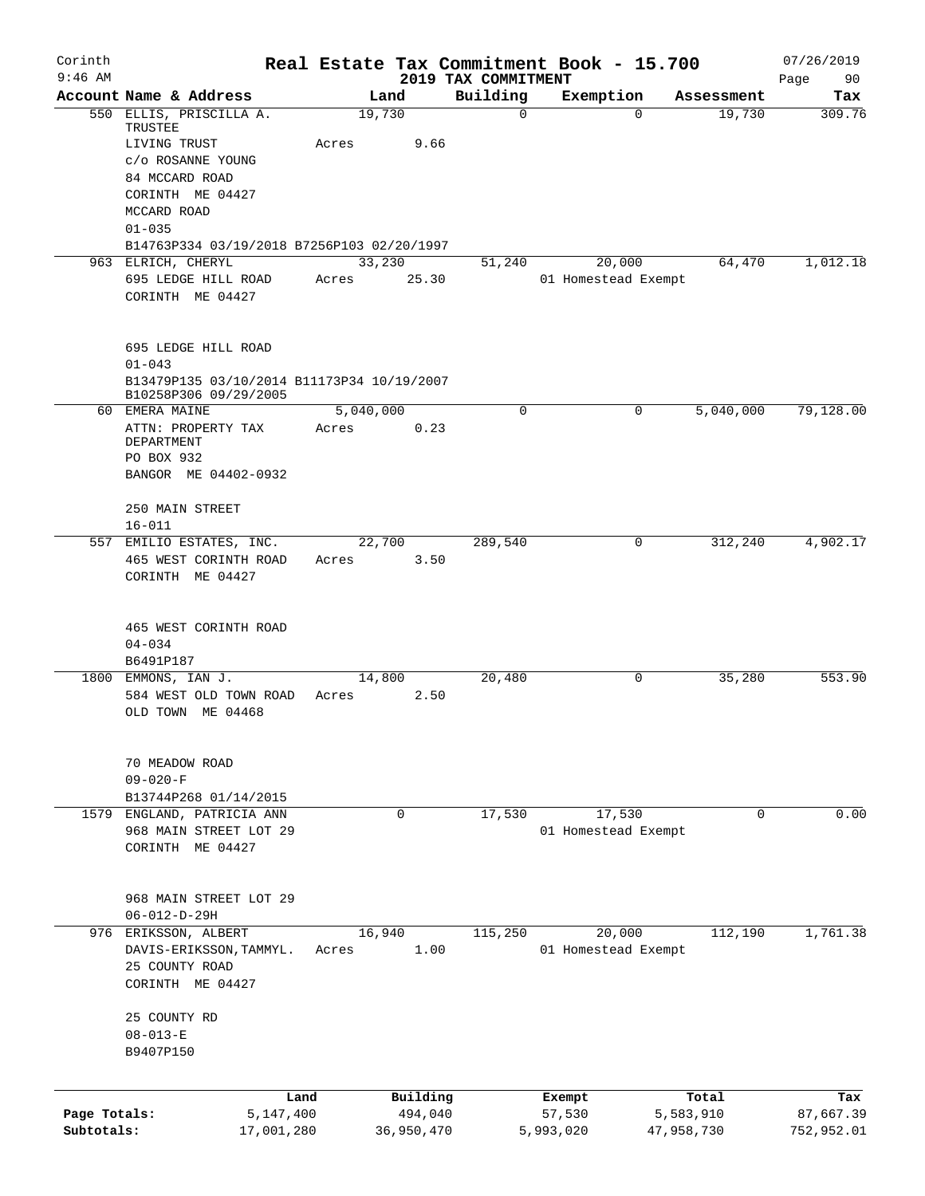| Corinth      |                                            | Real Estate Tax Commitment Book - 15.700 |                                 |                     |            | 07/26/2019    |
|--------------|--------------------------------------------|------------------------------------------|---------------------------------|---------------------|------------|---------------|
| $9:46$ AM    | Account Name & Address                     | Land                                     | 2019 TAX COMMITMENT<br>Building | Exemption           | Assessment | Page<br>90    |
|              | 550 ELLIS, PRISCILLA A.                    | 19,730                                   | $\mathbf 0$                     | $\Omega$            | 19,730     | Tax<br>309.76 |
|              | TRUSTEE                                    |                                          |                                 |                     |            |               |
|              | LIVING TRUST                               | Acres                                    | 9.66                            |                     |            |               |
|              | c/o ROSANNE YOUNG                          |                                          |                                 |                     |            |               |
|              | 84 MCCARD ROAD                             |                                          |                                 |                     |            |               |
|              | CORINTH ME 04427                           |                                          |                                 |                     |            |               |
|              | MCCARD ROAD                                |                                          |                                 |                     |            |               |
|              | $01 - 035$                                 |                                          |                                 |                     |            |               |
|              | B14763P334 03/19/2018 B7256P103 02/20/1997 |                                          |                                 |                     |            |               |
|              | 963 ELRICH, CHERYL                         | 33,230                                   | 51,240                          | 20,000              | 64,470     | 1,012.18      |
|              | 695 LEDGE HILL ROAD                        | Acres                                    | 25.30                           | 01 Homestead Exempt |            |               |
|              | CORINTH ME 04427                           |                                          |                                 |                     |            |               |
|              | 695 LEDGE HILL ROAD                        |                                          |                                 |                     |            |               |
|              | $01 - 043$                                 |                                          |                                 |                     |            |               |
|              | B13479P135 03/10/2014 B11173P34 10/19/2007 |                                          |                                 |                     |            |               |
|              | B10258P306 09/29/2005                      |                                          |                                 |                     |            |               |
|              | 60 EMERA MAINE                             | 5,040,000                                | $\Omega$                        | 0                   | 5,040,000  | 79,128.00     |
|              | ATTN: PROPERTY TAX                         | Acres                                    | 0.23                            |                     |            |               |
|              | DEPARTMENT                                 |                                          |                                 |                     |            |               |
|              | PO BOX 932                                 |                                          |                                 |                     |            |               |
|              | BANGOR ME 04402-0932                       |                                          |                                 |                     |            |               |
|              |                                            |                                          |                                 |                     |            |               |
|              | 250 MAIN STREET                            |                                          |                                 |                     |            |               |
|              | $16 - 011$                                 |                                          |                                 |                     |            |               |
|              | 557 EMILIO ESTATES, INC.                   | 22,700                                   | 289,540                         | 0                   | 312,240    | 4,902.17      |
|              | 465 WEST CORINTH ROAD                      | Acres                                    | 3.50                            |                     |            |               |
|              | CORINTH ME 04427                           |                                          |                                 |                     |            |               |
|              | 465 WEST CORINTH ROAD                      |                                          |                                 |                     |            |               |
|              | $04 - 034$                                 |                                          |                                 |                     |            |               |
|              | B6491P187                                  |                                          |                                 |                     |            |               |
|              | 1800 EMMONS, IAN J.                        | 14,800                                   | 20,480                          | 0                   | 35,280     | 553.90        |
|              | 584 WEST OLD TOWN ROAD                     | Acres                                    | 2.50                            |                     |            |               |
|              | OLD TOWN ME 04468                          |                                          |                                 |                     |            |               |
|              | 70 MEADOW ROAD                             |                                          |                                 |                     |            |               |
|              | $09 - 020 - F$                             |                                          |                                 |                     |            |               |
|              | B13744P268 01/14/2015                      |                                          |                                 |                     |            |               |
|              | 1579 ENGLAND, PATRICIA ANN                 | 0                                        | 17,530                          | 17,530              | 0          | 0.00          |
|              | 968 MAIN STREET LOT 29                     |                                          |                                 | 01 Homestead Exempt |            |               |
|              | CORINTH ME 04427                           |                                          |                                 |                     |            |               |
|              |                                            |                                          |                                 |                     |            |               |
|              | 968 MAIN STREET LOT 29                     |                                          |                                 |                     |            |               |
|              | $06 - 012 - D - 29H$                       |                                          |                                 |                     |            |               |
|              | 976 ERIKSSON, ALBERT                       | 16,940                                   | 115,250                         | 20,000              | 112,190    | 1,761.38      |
|              | DAVIS-ERIKSSON, TAMMYL.                    | Acres                                    | 1.00                            | 01 Homestead Exempt |            |               |
|              | 25 COUNTY ROAD                             |                                          |                                 |                     |            |               |
|              | CORINTH ME 04427                           |                                          |                                 |                     |            |               |
|              |                                            |                                          |                                 |                     |            |               |
|              | 25 COUNTY RD                               |                                          |                                 |                     |            |               |
|              | $08 - 013 - E$                             |                                          |                                 |                     |            |               |
|              | B9407P150                                  |                                          |                                 |                     |            |               |
|              |                                            |                                          |                                 |                     |            |               |
|              |                                            | Building<br>Land                         |                                 | Exempt              | Total      | Tax           |
| Page Totals: | 5,147,400                                  | 494,040                                  |                                 | 57,530              | 5,583,910  | 87,667.39     |
| Subtotals:   | 17,001,280                                 | 36,950,470                               |                                 | 5,993,020           | 47,958,730 | 752,952.01    |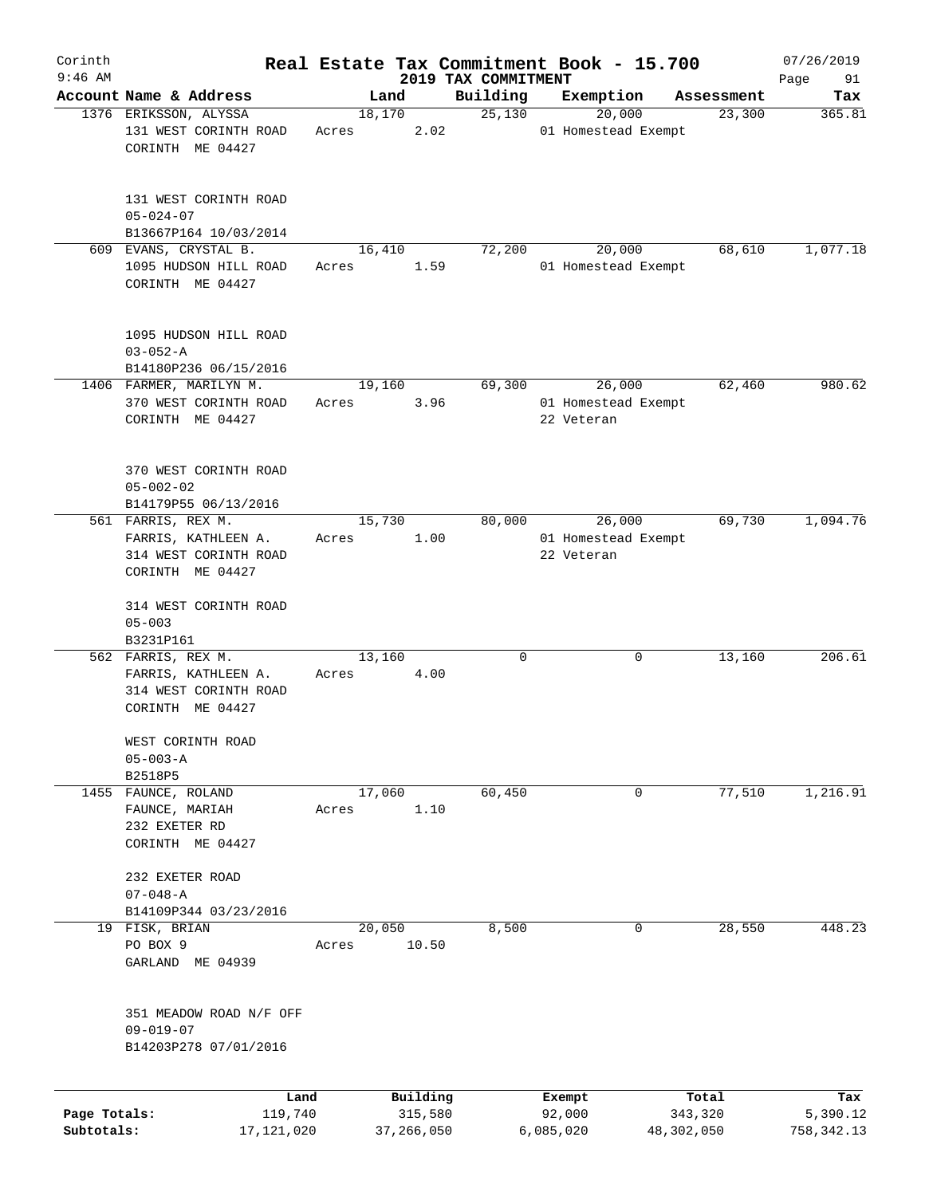| Corinth      |                                                                                        |                 |       |                     |      |                                 | Real Estate Tax Commitment Book - 15.700    |                      | 07/26/2019      |
|--------------|----------------------------------------------------------------------------------------|-----------------|-------|---------------------|------|---------------------------------|---------------------------------------------|----------------------|-----------------|
| $9:46$ AM    | Account Name & Address                                                                 |                 |       | Land                |      | 2019 TAX COMMITMENT<br>Building | Exemption                                   |                      | Page<br>91      |
|              | 1376 ERIKSSON, ALYSSA                                                                  |                 |       | 18,170              |      | 25,130                          | 20,000                                      | Assessment<br>23,300 | Tax<br>365.81   |
|              | 131 WEST CORINTH ROAD<br>CORINTH ME 04427                                              |                 | Acres |                     | 2.02 |                                 | 01 Homestead Exempt                         |                      |                 |
|              | 131 WEST CORINTH ROAD<br>$05 - 024 - 07$                                               |                 |       |                     |      |                                 |                                             |                      |                 |
|              | B13667P164 10/03/2014<br>609 EVANS, CRYSTAL B.                                         |                 |       |                     |      | 72,200                          | 20,000                                      |                      | 1,077.18        |
|              | 1095 HUDSON HILL ROAD<br>CORINTH ME 04427                                              |                 | Acres | 16,410              | 1.59 |                                 | 01 Homestead Exempt                         | 68,610               |                 |
|              | 1095 HUDSON HILL ROAD<br>$03 - 052 - A$                                                |                 |       |                     |      |                                 |                                             |                      |                 |
|              | B14180P236 06/15/2016                                                                  |                 |       |                     |      |                                 |                                             |                      |                 |
|              | 1406 FARMER, MARILYN M.<br>370 WEST CORINTH ROAD<br>CORINTH ME 04427                   |                 | Acres | 19,160              | 3.96 | 69,300                          | 26,000<br>01 Homestead Exempt<br>22 Veteran | 62,460               | 980.62          |
|              | 370 WEST CORINTH ROAD<br>$05 - 002 - 02$<br>B14179P55 06/13/2016                       |                 |       |                     |      |                                 |                                             |                      |                 |
|              | 561 FARRIS, REX M.                                                                     |                 |       | 15,730              |      | 80,000                          | 26,000                                      | 69,730               | 1,094.76        |
|              | FARRIS, KATHLEEN A.<br>314 WEST CORINTH ROAD<br>CORINTH ME 04427                       |                 | Acres |                     | 1.00 |                                 | 01 Homestead Exempt<br>22 Veteran           |                      |                 |
|              | 314 WEST CORINTH ROAD<br>$05 - 003$<br>B3231P161                                       |                 |       |                     |      |                                 |                                             |                      |                 |
|              | 562 FARRIS, REX M.<br>FARRIS, KATHLEEN A.<br>314 WEST CORINTH ROAD<br>CORINTH ME 04427 |                 | Acres | 13,160              | 4.00 | 0                               | 0                                           | 13,160               | 206.61          |
|              | WEST CORINTH ROAD<br>$05 - 003 - A$                                                    |                 |       |                     |      |                                 |                                             |                      |                 |
| 1455         | B2518P5<br>FAUNCE, ROLAND                                                              |                 |       | 17,060              |      | 60,450                          | 0                                           | 77,510               | 1,216.91        |
|              | FAUNCE, MARIAH<br>232 EXETER RD<br>CORINTH ME 04427                                    |                 | Acres |                     | 1.10 |                                 |                                             |                      |                 |
|              | 232 EXETER ROAD<br>$07 - 048 - A$                                                      |                 |       |                     |      |                                 |                                             |                      |                 |
|              | B14109P344 03/23/2016                                                                  |                 |       |                     |      |                                 |                                             |                      |                 |
|              | 19 FISK, BRIAN                                                                         |                 |       | 20,050              |      | 8,500                           | $\mathbf 0$                                 | 28,550               | 448.23          |
|              | PO BOX 9<br>GARLAND ME 04939                                                           |                 | Acres | 10.50               |      |                                 |                                             |                      |                 |
|              | 351 MEADOW ROAD N/F OFF<br>$09 - 019 - 07$<br>B14203P278 07/01/2016                    |                 |       |                     |      |                                 |                                             |                      |                 |
| Page Totals: |                                                                                        | Land<br>119,740 |       | Building<br>315,580 |      |                                 | Exempt<br>92,000                            | Total<br>343,320     | Tax<br>5,390.12 |
| Subtotals:   |                                                                                        | 17,121,020      |       | 37,266,050          |      |                                 | 6,085,020                                   | 48,302,050           | 758, 342.13     |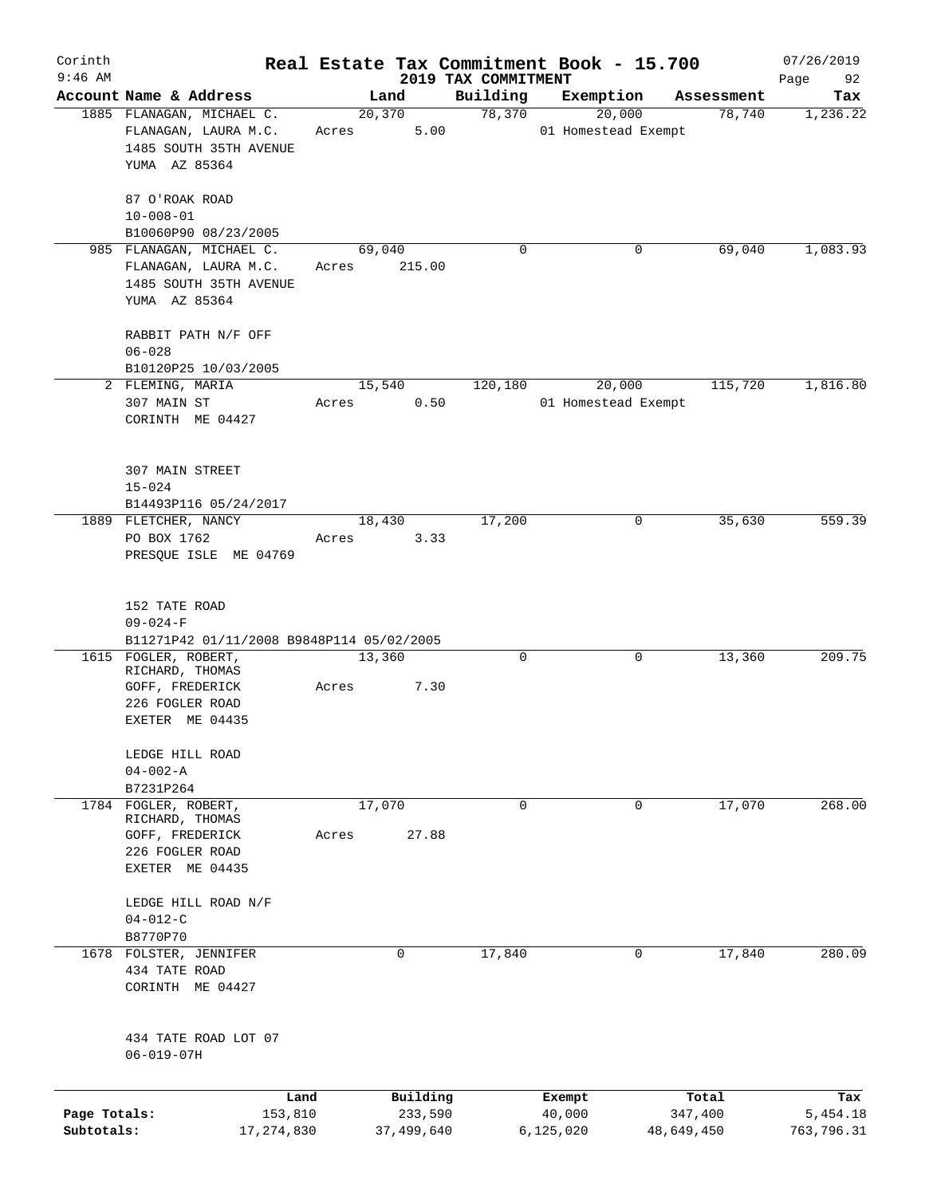| Corinth      |                                                                                              |              |                  |            |                     | Real Estate Tax Commitment Book - 15.700 |            | 07/26/2019 |
|--------------|----------------------------------------------------------------------------------------------|--------------|------------------|------------|---------------------|------------------------------------------|------------|------------|
| $9:46$ AM    |                                                                                              |              |                  |            | 2019 TAX COMMITMENT |                                          |            | Page<br>92 |
|              | Account Name & Address                                                                       |              |                  | Land       | Building            | Exemption                                | Assessment | Tax        |
|              | 1885 FLANAGAN, MICHAEL C.<br>FLANAGAN, LAURA M.C.<br>1485 SOUTH 35TH AVENUE<br>YUMA AZ 85364 |              | 20, 370<br>Acres | 5.00       | 78,370              | 20,000<br>01 Homestead Exempt            | 78,740     | 1,236.22   |
|              | 87 O'ROAK ROAD<br>$10 - 008 - 01$                                                            |              |                  |            |                     |                                          |            |            |
|              | B10060P90 08/23/2005                                                                         |              |                  |            |                     |                                          |            |            |
|              | 985 FLANAGAN, MICHAEL C.<br>FLANAGAN, LAURA M.C.<br>1485 SOUTH 35TH AVENUE<br>YUMA AZ 85364  | Acres        | 69,040           | 215.00     | 0                   | 0                                        | 69,040     | 1,083.93   |
|              | RABBIT PATH N/F OFF<br>$06 - 028$                                                            |              |                  |            |                     |                                          |            |            |
|              | B10120P25 10/03/2005                                                                         |              |                  |            |                     |                                          |            |            |
|              | 2 FLEMING, MARIA<br>307 MAIN ST<br>CORINTH ME 04427                                          | Acres        | 15,540           | 0.50       | 120,180             | 20,000<br>01 Homestead Exempt            | 115,720    | 1,816.80   |
|              | 307 MAIN STREET<br>$15 - 024$<br>B14493P116 05/24/2017                                       |              |                  |            |                     |                                          |            |            |
|              | 1889 FLETCHER, NANCY                                                                         |              | 18,430           |            | 17,200              | 0                                        | 35,630     | 559.39     |
|              | PO BOX 1762<br>PRESQUE ISLE ME 04769                                                         | Acres        |                  | 3.33       |                     |                                          |            |            |
|              | 152 TATE ROAD<br>$09 - 024 - F$<br>B11271P42 01/11/2008 B9848P114 05/02/2005                 |              |                  |            |                     |                                          |            |            |
|              | 1615 FOGLER, ROBERT,                                                                         |              | 13,360           |            | 0                   | 0                                        | 13,360     | 209.75     |
|              | RICHARD, THOMAS<br>GOFF, FREDERICK<br>226 FOGLER ROAD                                        | Acres        |                  | 7.30       |                     |                                          |            |            |
|              | EXETER ME 04435                                                                              |              |                  |            |                     |                                          |            |            |
|              | LEDGE HILL ROAD<br>$04 - 002 - A$                                                            |              |                  |            |                     |                                          |            |            |
|              | B7231P264                                                                                    |              |                  |            |                     |                                          |            |            |
| 1784         | FOGLER, ROBERT,<br>RICHARD, THOMAS                                                           | Acres        | 17,070           | 27.88      | $\mathbf 0$         | 0                                        | 17,070     | 268.00     |
|              | GOFF, FREDERICK<br>226 FOGLER ROAD<br>EXETER ME 04435                                        |              |                  |            |                     |                                          |            |            |
|              | LEDGE HILL ROAD N/F<br>$04 - 012 - C$                                                        |              |                  |            |                     |                                          |            |            |
|              | B8770P70                                                                                     |              |                  |            |                     |                                          |            |            |
|              | 1678 FOLSTER, JENNIFER<br>434 TATE ROAD<br>CORINTH ME 04427                                  |              |                  | 0          | 17,840              | 0                                        | 17,840     | 280.09     |
|              | 434 TATE ROAD LOT 07<br>$06 - 019 - 07H$                                                     |              |                  |            |                     |                                          |            |            |
|              |                                                                                              | Land         |                  | Building   |                     | Exempt                                   | Total      | Tax        |
| Page Totals: |                                                                                              | 153,810      |                  | 233,590    |                     | 40,000                                   | 347,400    | 5,454.18   |
| Subtotals:   |                                                                                              | 17, 274, 830 |                  | 37,499,640 |                     | 6, 125, 020                              | 48,649,450 | 763,796.31 |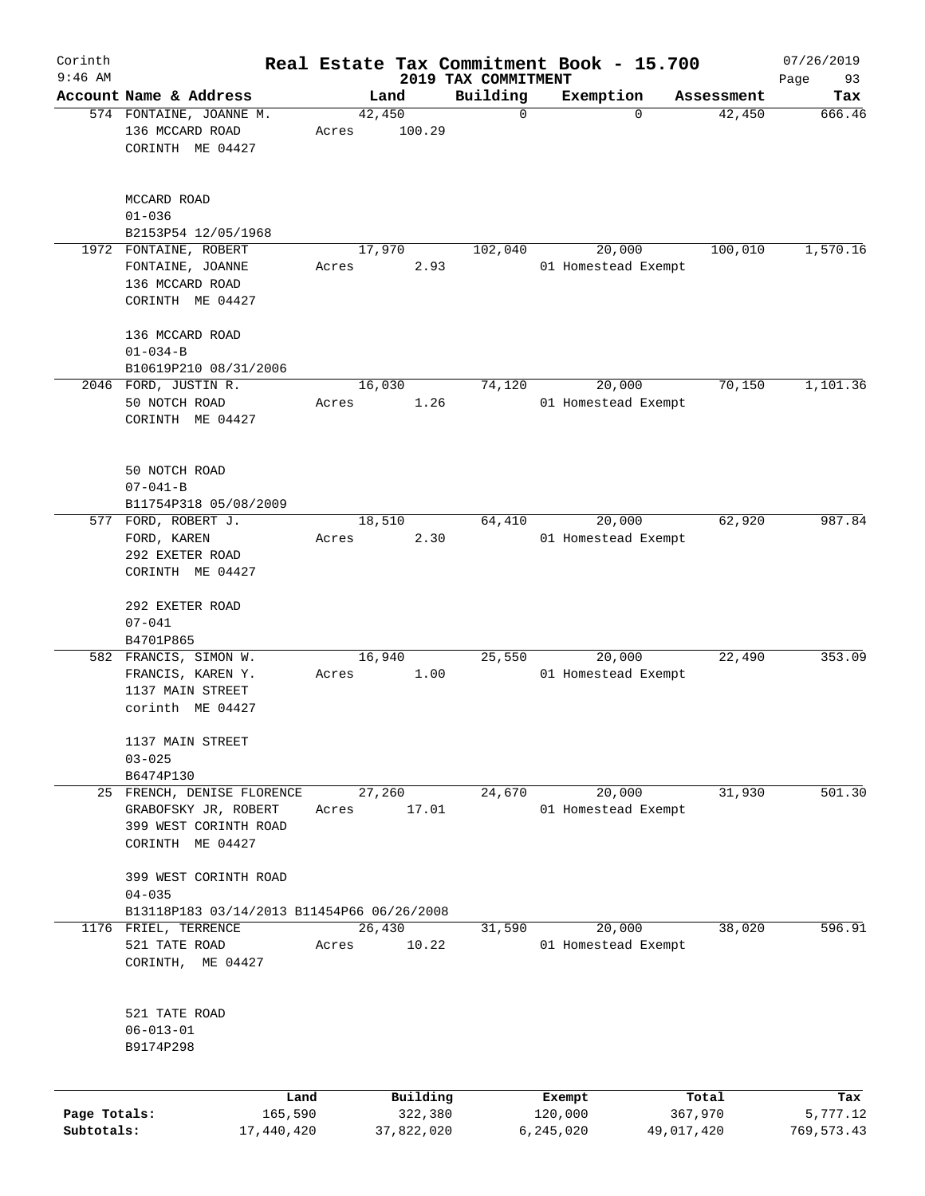| Corinth                    |                                                                                                          |       |                       |                                 | Real Estate Tax Commitment Book - 15.700 |                       | 07/26/2019             |
|----------------------------|----------------------------------------------------------------------------------------------------------|-------|-----------------------|---------------------------------|------------------------------------------|-----------------------|------------------------|
| $9:46$ AM                  | Account Name & Address                                                                                   |       |                       | 2019 TAX COMMITMENT<br>Building | Exemption                                | Assessment            | Page<br>93             |
|                            | 574 FONTAINE, JOANNE M.                                                                                  |       | Land<br>42,450        | $\mathbf 0$                     | $\mathbf 0$                              | 42,450                | Tax<br>666.46          |
|                            | 136 MCCARD ROAD<br>CORINTH ME 04427                                                                      | Acres | 100.29                |                                 |                                          |                       |                        |
|                            | MCCARD ROAD<br>$01 - 036$                                                                                |       |                       |                                 |                                          |                       |                        |
|                            | B2153P54 12/05/1968<br>1972 FONTAINE, ROBERT                                                             |       | 17,970                | 102,040                         | 20,000                                   | 100,010               | 1,570.16               |
|                            | FONTAINE, JOANNE<br>136 MCCARD ROAD<br>CORINTH ME 04427                                                  | Acres | 2.93                  |                                 | 01 Homestead Exempt                      |                       |                        |
|                            | 136 MCCARD ROAD                                                                                          |       |                       |                                 |                                          |                       |                        |
|                            | $01 - 034 - B$                                                                                           |       |                       |                                 |                                          |                       |                        |
|                            | B10619P210 08/31/2006                                                                                    |       |                       |                                 |                                          |                       |                        |
|                            | 2046 FORD, JUSTIN R.<br>50 NOTCH ROAD<br>CORINTH ME 04427                                                | Acres | 16,030<br>1.26        | 74,120                          | 20,000<br>01 Homestead Exempt            | 70,150                | 1,101.36               |
|                            | 50 NOTCH ROAD<br>$07 - 041 - B$<br>B11754P318 05/08/2009                                                 |       |                       |                                 |                                          |                       |                        |
|                            | 577 FORD, ROBERT J.                                                                                      |       | 18,510                | 64,410                          | 20,000                                   | 62,920                | 987.84                 |
|                            | FORD, KAREN<br>292 EXETER ROAD<br>CORINTH ME 04427                                                       | Acres | 2.30                  |                                 | 01 Homestead Exempt                      |                       |                        |
|                            | 292 EXETER ROAD<br>$07 - 041$<br>B4701P865                                                               |       |                       |                                 |                                          |                       |                        |
|                            | 582 FRANCIS, SIMON W.<br>FRANCIS, KAREN Y.<br>1137 MAIN STREET<br>corinth ME 04427                       | Acres | 16,940<br>1.00        | 25,550                          | 20,000<br>01 Homestead Exempt            | 22,490                | 353.09                 |
|                            | 1137 MAIN STREET<br>$03 - 025$<br>B6474P130                                                              |       |                       |                                 |                                          |                       |                        |
|                            | 25 FRENCH, DENISE FLORENCE<br>GRABOFSKY JR, ROBERT<br>399 WEST CORINTH ROAD<br>CORINTH ME 04427          | Acres | 27,260<br>17.01       | 24,670                          | 20,000<br>01 Homestead Exempt            | 31,930                | 501.30                 |
|                            | 399 WEST CORINTH ROAD<br>$04 - 035$                                                                      |       |                       |                                 |                                          |                       |                        |
|                            | B13118P183 03/14/2013 B11454P66 06/26/2008<br>1176 FRIEL, TERRENCE<br>521 TATE ROAD<br>CORINTH, ME 04427 | Acres | 26,430<br>10.22       | 31,590                          | 20,000<br>01 Homestead Exempt            | 38,020                | 596.91                 |
|                            | 521 TATE ROAD<br>$06 - 013 - 01$<br>B9174P298                                                            |       |                       |                                 |                                          |                       |                        |
|                            | Land                                                                                                     |       | Building              |                                 | Exempt                                   | Total                 | Tax                    |
| Page Totals:<br>Subtotals: | 165,590<br>17,440,420                                                                                    |       | 322,380<br>37,822,020 |                                 | 120,000<br>6,245,020                     | 367,970<br>49,017,420 | 5,777.12<br>769,573.43 |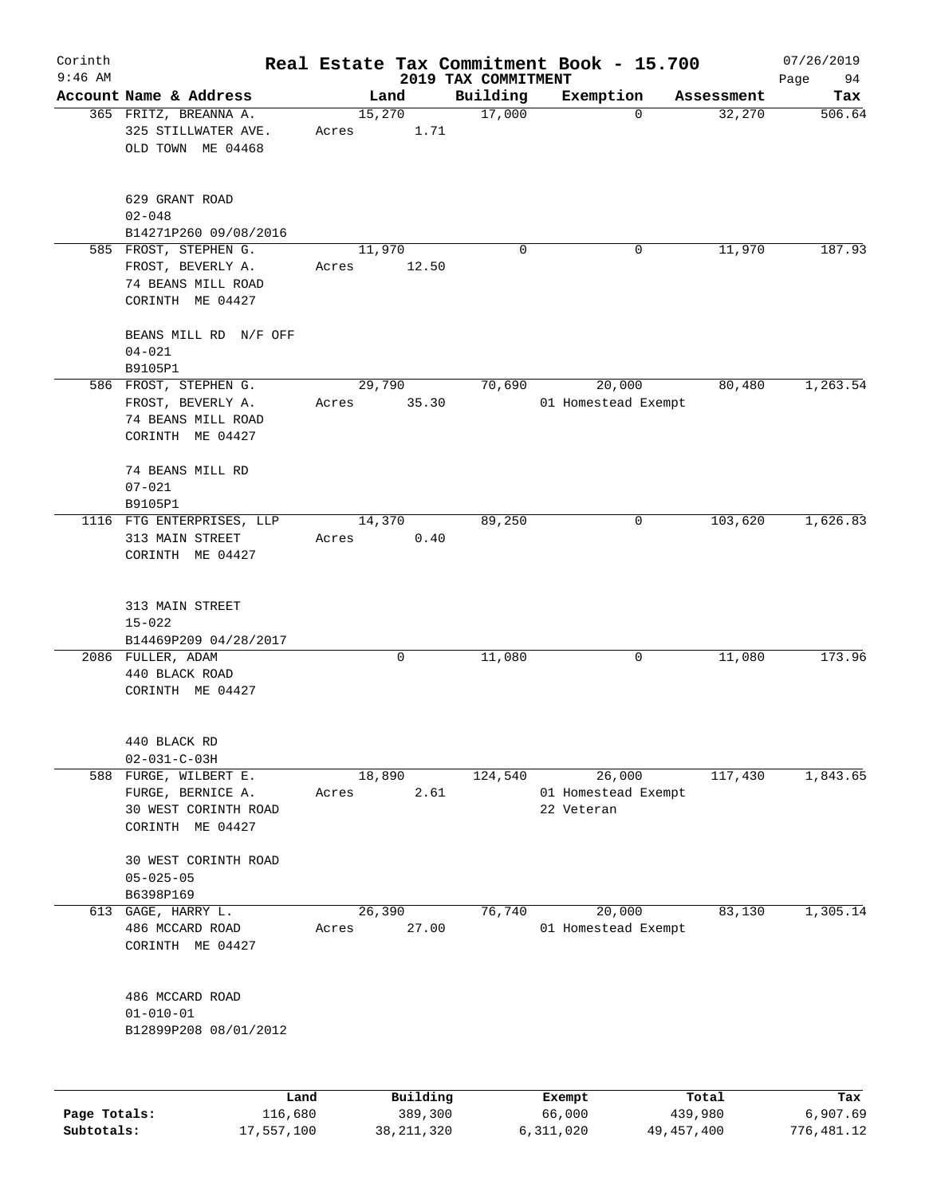| Corinth      |                                                                   |                 |          |                                 | Real Estate Tax Commitment Book - 15.700 |            | 07/26/2019        |
|--------------|-------------------------------------------------------------------|-----------------|----------|---------------------------------|------------------------------------------|------------|-------------------|
| $9:46$ AM    | Account Name & Address                                            | Land            |          | 2019 TAX COMMITMENT<br>Building | Exemption                                | Assessment | Page<br>94<br>Tax |
|              | 365 FRITZ, BREANNA A.<br>325 STILLWATER AVE.<br>OLD TOWN ME 04468 | 15,270<br>Acres | 1.71     | 17,000                          | $\mathbf 0$                              | 32,270     | 506.64            |
|              | 629 GRANT ROAD<br>$02 - 048$<br>B14271P260 09/08/2016             |                 |          |                                 |                                          |            |                   |
|              | 585 FROST, STEPHEN G.                                             | 11,970          |          | 0                               | 0                                        | 11,970     | 187.93            |
|              | FROST, BEVERLY A.<br>74 BEANS MILL ROAD<br>CORINTH ME 04427       | Acres           | 12.50    |                                 |                                          |            |                   |
|              | BEANS MILL RD N/F OFF<br>$04 - 021$<br>B9105P1                    |                 |          |                                 |                                          |            |                   |
|              | 586 FROST, STEPHEN G.                                             | 29,790          |          | 70,690                          | 20,000                                   | 80,480     | 1,263.54          |
|              | FROST, BEVERLY A.                                                 | Acres           | 35.30    |                                 | 01 Homestead Exempt                      |            |                   |
|              | 74 BEANS MILL ROAD<br>CORINTH ME 04427                            |                 |          |                                 |                                          |            |                   |
|              | 74 BEANS MILL RD                                                  |                 |          |                                 |                                          |            |                   |
|              | $07 - 021$                                                        |                 |          |                                 |                                          |            |                   |
|              | B9105P1                                                           |                 |          |                                 |                                          |            |                   |
|              | 1116 FTG ENTERPRISES, LLP                                         | 14,370          |          | 89,250                          | 0                                        | 103,620    | 1,626.83          |
|              | 313 MAIN STREET<br>CORINTH ME 04427                               | Acres           | 0.40     |                                 |                                          |            |                   |
|              | 313 MAIN STREET<br>$15 - 022$                                     |                 |          |                                 |                                          |            |                   |
|              | B14469P209 04/28/2017                                             |                 |          |                                 |                                          |            |                   |
|              | 2086 FULLER, ADAM                                                 |                 | 0        | 11,080                          | 0                                        | 11,080     | 173.96            |
|              | 440 BLACK ROAD                                                    |                 |          |                                 |                                          |            |                   |
|              | CORINTH ME 04427                                                  |                 |          |                                 |                                          |            |                   |
|              | 440 BLACK RD                                                      |                 |          |                                 |                                          |            |                   |
|              | $02 - 031 - C - 03H$                                              |                 |          |                                 |                                          |            |                   |
|              | 588 FURGE, WILBERT E.                                             | 18,890          |          | 124,540                         | 26,000                                   | 117,430    | 1,843.65          |
|              | FURGE, BERNICE A.                                                 | Acres           | 2.61     |                                 | 01 Homestead Exempt<br>22 Veteran        |            |                   |
|              | 30 WEST CORINTH ROAD<br>CORINTH ME 04427                          |                 |          |                                 |                                          |            |                   |
|              | 30 WEST CORINTH ROAD                                              |                 |          |                                 |                                          |            |                   |
|              | $05 - 025 - 05$                                                   |                 |          |                                 |                                          |            |                   |
|              | B6398P169                                                         |                 |          |                                 |                                          |            |                   |
| 613          | $GAGE$ , HARRY $L$ .                                              | 26,390          |          | 76,740                          | 20,000                                   | 83,130     | 1,305.14          |
|              | 486 MCCARD ROAD                                                   | Acres           | 27.00    |                                 | 01 Homestead Exempt                      |            |                   |
|              | CORINTH ME 04427                                                  |                 |          |                                 |                                          |            |                   |
|              | 486 MCCARD ROAD                                                   |                 |          |                                 |                                          |            |                   |
|              | $01 - 010 - 01$                                                   |                 |          |                                 |                                          |            |                   |
|              | B12899P208 08/01/2012                                             |                 |          |                                 |                                          |            |                   |
|              |                                                                   |                 |          |                                 |                                          |            |                   |
|              | Land                                                              |                 | Building |                                 | Exempt                                   | Total      | Tax               |
| Page Totals: | 116,680                                                           |                 | 389,300  |                                 | 66,000                                   | 439,980    | 6,907.69          |

**Subtotals:** 17,557,100 38,211,320 6,311,020 49,457,400 776,481.12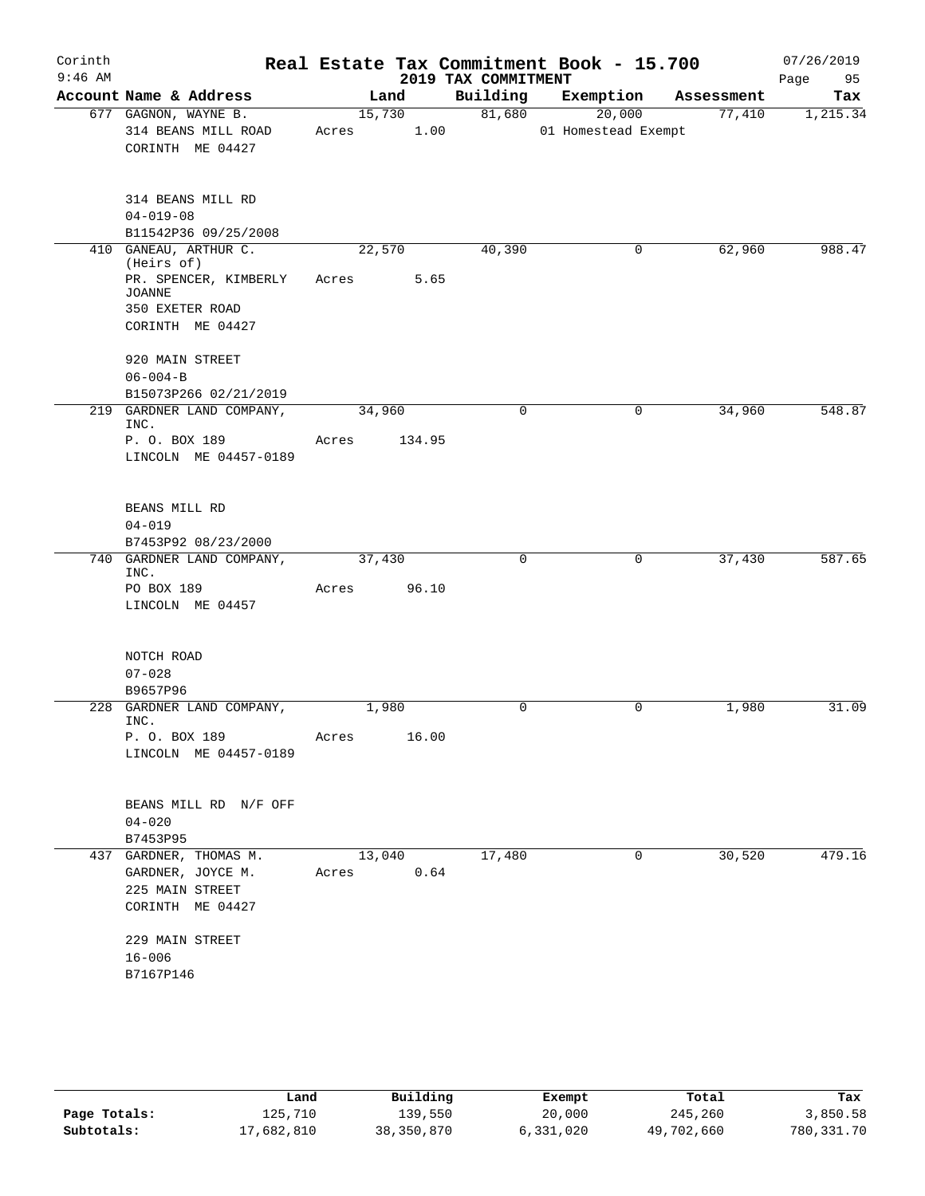| Corinth<br>$9:46$ AM |                                                                                    |                 |                | 2019 TAX COMMITMENT | Real Estate Tax Commitment Book - 15.700 |            | 07/26/2019<br>Page<br>95 |
|----------------------|------------------------------------------------------------------------------------|-----------------|----------------|---------------------|------------------------------------------|------------|--------------------------|
|                      | Account Name & Address                                                             |                 | Land           | Building            | Exemption                                | Assessment | Tax                      |
|                      | 677 GAGNON, WAYNE B.<br>314 BEANS MILL ROAD<br>CORINTH ME 04427                    | Acres           | 15,730<br>1.00 | 81,680              | 20,000<br>01 Homestead Exempt            | 77,410     | 1,215.34                 |
|                      | 314 BEANS MILL RD<br>$04 - 019 - 08$<br>B11542P36 09/25/2008                       |                 |                |                     |                                          |            |                          |
|                      | 410 GANEAU, ARTHUR C.                                                              | 22,570          |                | 40,390              | 0                                        | 62,960     | 988.47                   |
|                      | (Heirs of)<br>PR. SPENCER, KIMBERLY<br><b>JOANNE</b><br>350 EXETER ROAD            | Acres           | 5.65           |                     |                                          |            |                          |
|                      | CORINTH ME 04427                                                                   |                 |                |                     |                                          |            |                          |
|                      | 920 MAIN STREET<br>$06 - 004 - B$                                                  |                 |                |                     |                                          |            |                          |
|                      | B15073P266 02/21/2019                                                              |                 |                |                     |                                          |            |                          |
|                      | 219 GARDNER LAND COMPANY,<br>INC.                                                  | 34,960          |                | $\mathbf 0$         | 0                                        | 34,960     | 548.87                   |
|                      | P. O. BOX 189<br>LINCOLN ME 04457-0189                                             | Acres           | 134.95         |                     |                                          |            |                          |
|                      | BEANS MILL RD<br>$04 - 019$<br>B7453P92 08/23/2000                                 |                 |                |                     |                                          |            |                          |
|                      | 740 GARDNER LAND COMPANY,                                                          | 37,430          |                | 0                   | 0                                        | 37,430     | 587.65                   |
|                      | INC.                                                                               |                 |                |                     |                                          |            |                          |
|                      | PO BOX 189<br>LINCOLN ME 04457                                                     | Acres           | 96.10          |                     |                                          |            |                          |
|                      | NOTCH ROAD<br>$07 - 028$<br>B9657P96                                               |                 |                |                     |                                          |            |                          |
|                      | 228 GARDNER LAND COMPANY,                                                          | 1,980           |                | 0                   | 0                                        | 1,980      | 31.09                    |
|                      | INC.<br>P. O. BOX 189<br>LINCOLN ME 04457-0189                                     | Acres           | 16.00          |                     |                                          |            |                          |
|                      | BEANS MILL RD N/F OFF<br>$04 - 020$<br>B7453P95                                    |                 |                |                     |                                          |            |                          |
|                      | 437 GARDNER, THOMAS M.<br>GARDNER, JOYCE M.<br>225 MAIN STREET<br>CORINTH ME 04427 | 13,040<br>Acres | 0.64           | 17,480              | 0                                        | 30,520     | 479.16                   |
|                      | 229 MAIN STREET<br>$16 - 006$<br>B7167P146                                         |                 |                |                     |                                          |            |                          |
|                      |                                                                                    |                 |                |                     |                                          |            |                          |

|              | Land       | Building   | Exempt    | Total      | Tax          |
|--------------|------------|------------|-----------|------------|--------------|
| Page Totals: | 125,710    | 139,550    | 20,000    | 245,260    | 3,850.58     |
| Subtotals:   | 17,682,810 | 38,350,870 | 6,331,020 | 49,702,660 | 780, 331. 70 |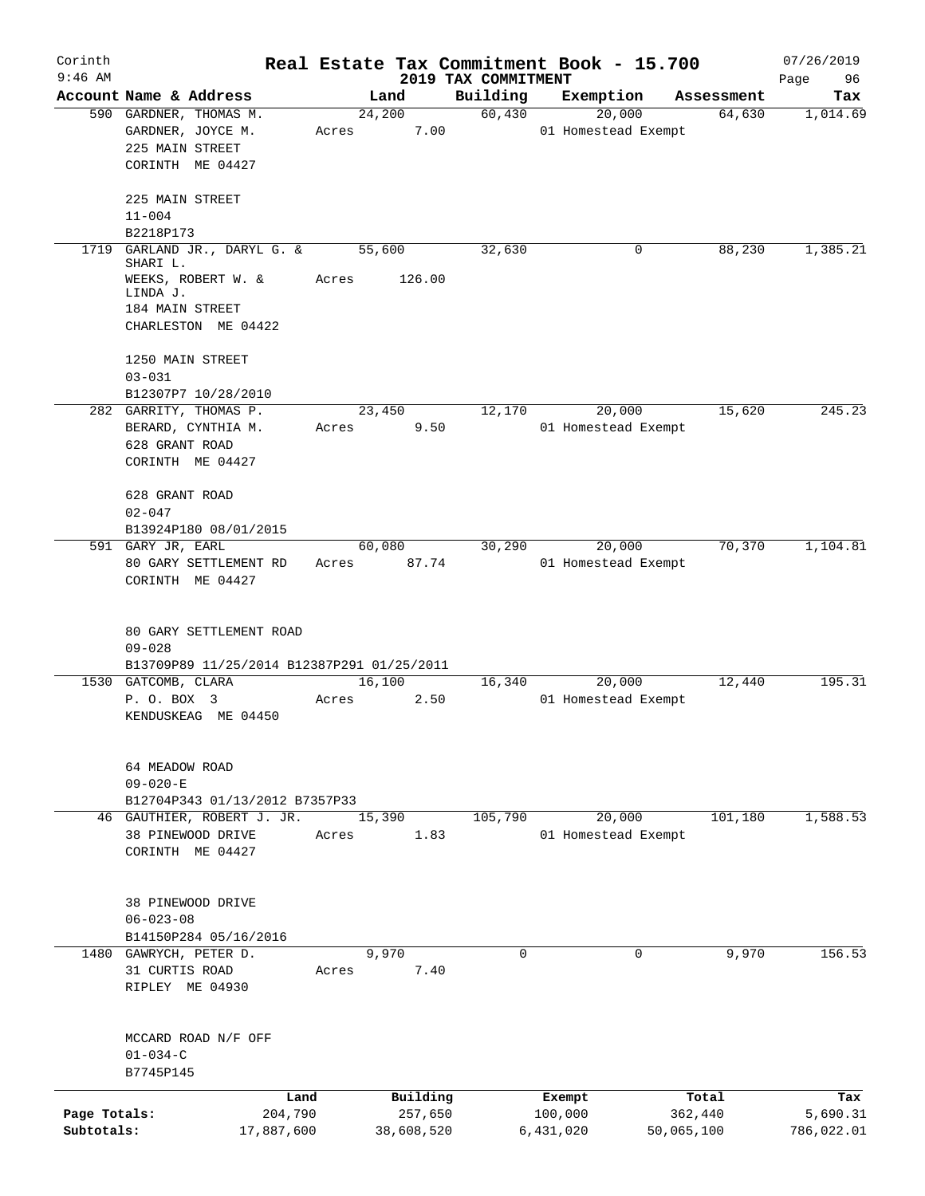| Corinth<br>$9:46$ AM       |                                                                                                                 |                       |                       | 2019 TAX COMMITMENT | Real Estate Tax Commitment Book - 15.700 |            | 07/26/2019<br>96<br>Page |
|----------------------------|-----------------------------------------------------------------------------------------------------------------|-----------------------|-----------------------|---------------------|------------------------------------------|------------|--------------------------|
|                            | Account Name & Address                                                                                          |                       | Land                  | Building            | Exemption                                | Assessment | Tax                      |
|                            | 590 GARDNER, THOMAS M.<br>GARDNER, JOYCE M.<br>225 MAIN STREET<br>CORINTH ME 04427                              | Acres                 | 24,200<br>7.00        | 60,430              | 20,000<br>01 Homestead Exempt            | 64,630     | 1,014.69                 |
|                            | 225 MAIN STREET<br>$11 - 004$<br>B2218P173                                                                      |                       |                       |                     |                                          |            |                          |
| 1719                       | GARLAND JR., DARYL G. &<br>SHARI L.<br>WEEKS, ROBERT W. &<br>LINDA J.<br>184 MAIN STREET<br>CHARLESTON ME 04422 | Acres                 | 55,600<br>126.00      | 32,630              | 0                                        | 88,230     | 1,385.21                 |
|                            | 1250 MAIN STREET<br>$03 - 031$<br>B12307P7 10/28/2010                                                           |                       |                       |                     |                                          |            |                          |
|                            | 282 GARRITY, THOMAS P.<br>BERARD, CYNTHIA M.<br>628 GRANT ROAD<br>CORINTH ME 04427                              | Acres                 | 23,450<br>9.50        | 12,170              | 20,000<br>01 Homestead Exempt            | 15,620     | 245.23                   |
|                            | 628 GRANT ROAD<br>$02 - 047$<br>B13924P180 08/01/2015<br>591 GARY JR, EARL                                      |                       | 60,080                | 30,290              | 20,000                                   | 70,370     | 1,104.81                 |
|                            | 80 GARY SETTLEMENT RD<br>CORINTH ME 04427<br>80 GARY SETTLEMENT ROAD<br>$09 - 028$                              | Acres                 | 87.74                 |                     | 01 Homestead Exempt                      |            |                          |
|                            | B13709P89 11/25/2014 B12387P291 01/25/2011                                                                      |                       |                       |                     |                                          |            |                          |
|                            | 1530 GATCOMB, CLARA<br>P. O. BOX 3<br>KENDUSKEAG ME 04450                                                       | Acres                 | 16,100<br>2.50        | 16,340              | 20,000<br>01 Homestead Exempt            | 12,440     | 195.31                   |
|                            | 64 MEADOW ROAD<br>$09 - 020 - E$<br>B12704P343 01/13/2012 B7357P33                                              |                       |                       |                     |                                          |            |                          |
|                            | 46 GAUTHIER, ROBERT J. JR.                                                                                      |                       | 15,390                | 105,790             | 20,000                                   | 101,180    | 1,588.53                 |
|                            | 38 PINEWOOD DRIVE<br>CORINTH ME 04427                                                                           | Acres                 | 1.83                  |                     | 01 Homestead Exempt                      |            |                          |
|                            | 38 PINEWOOD DRIVE<br>$06 - 023 - 08$<br>B14150P284 05/16/2016                                                   |                       |                       |                     |                                          |            |                          |
|                            | 1480 GAWRYCH, PETER D.                                                                                          |                       | 9,970                 | 0                   | 0                                        | 9,970      | 156.53                   |
|                            | 31 CURTIS ROAD<br>RIPLEY ME 04930                                                                               | Acres                 | 7.40                  |                     |                                          |            |                          |
|                            | MCCARD ROAD N/F OFF<br>$01 - 034 - C$<br>B7745P145                                                              |                       |                       |                     |                                          |            |                          |
|                            |                                                                                                                 | Land                  | Building              |                     | Exempt                                   | Total      | Tax                      |
| Page Totals:<br>Subtotals: |                                                                                                                 | 204,790<br>17,887,600 | 257,650<br>38,608,520 |                     | 100,000<br>50,065,100<br>6,431,020       | 362,440    | 5,690.31<br>786,022.01   |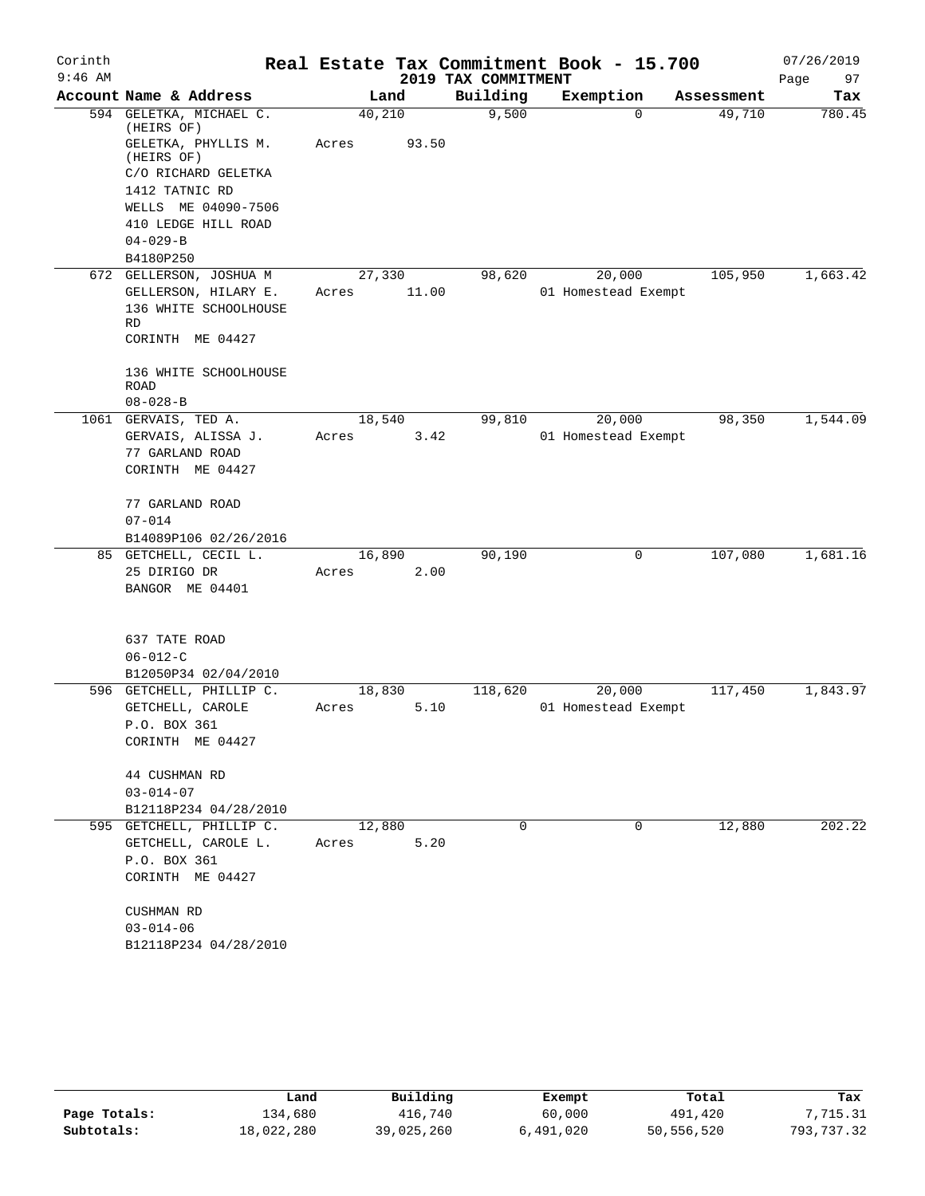| Corinth   |                                       |        |       |                     | Real Estate Tax Commitment Book - 15.700 |            | 07/26/2019 |
|-----------|---------------------------------------|--------|-------|---------------------|------------------------------------------|------------|------------|
| $9:46$ AM |                                       |        |       | 2019 TAX COMMITMENT |                                          |            | 97<br>Page |
|           | Account Name & Address                |        | Land  | Building            | Exemption                                | Assessment | Tax        |
|           | 594 GELETKA, MICHAEL C.<br>(HEIRS OF) | 40,210 |       | 9,500               | $\Omega$                                 | 49,710     | 780.45     |
|           | GELETKA, PHYLLIS M.<br>(HEIRS OF)     | Acres  | 93.50 |                     |                                          |            |            |
|           | C/O RICHARD GELETKA<br>1412 TATNIC RD |        |       |                     |                                          |            |            |
|           | WELLS ME 04090-7506                   |        |       |                     |                                          |            |            |
|           | 410 LEDGE HILL ROAD                   |        |       |                     |                                          |            |            |
|           | $04 - 029 - B$                        |        |       |                     |                                          |            |            |
|           | B4180P250                             |        |       |                     |                                          |            |            |
|           | 672 GELLERSON, JOSHUA M               | 27,330 |       | 98,620              | 20,000                                   | 105,950    | 1,663.42   |
|           | GELLERSON, HILARY E.                  | Acres  | 11.00 |                     | 01 Homestead Exempt                      |            |            |
|           | 136 WHITE SCHOOLHOUSE<br>RD           |        |       |                     |                                          |            |            |
|           | CORINTH ME 04427                      |        |       |                     |                                          |            |            |
|           | 136 WHITE SCHOOLHOUSE                 |        |       |                     |                                          |            |            |
|           | <b>ROAD</b>                           |        |       |                     |                                          |            |            |
|           | $08 - 028 - B$                        |        |       |                     |                                          |            |            |
|           | 1061 GERVAIS, TED A.                  | 18,540 |       | 99,810              | 20,000<br>01 Homestead Exempt            | 98,350     | 1,544.09   |
|           | GERVAIS, ALISSA J.<br>77 GARLAND ROAD | Acres  | 3.42  |                     |                                          |            |            |
|           | CORINTH ME 04427                      |        |       |                     |                                          |            |            |
|           | 77 GARLAND ROAD                       |        |       |                     |                                          |            |            |
|           | $07 - 014$                            |        |       |                     |                                          |            |            |
|           | B14089P106 02/26/2016                 |        |       |                     |                                          |            |            |
|           | 85 GETCHELL, CECIL L.                 | 16,890 |       | 90,190              | 0                                        | 107,080    | 1,681.16   |
|           | 25 DIRIGO DR                          | Acres  | 2.00  |                     |                                          |            |            |
|           | BANGOR ME 04401                       |        |       |                     |                                          |            |            |
|           | 637 TATE ROAD                         |        |       |                     |                                          |            |            |
|           | $06 - 012 - C$                        |        |       |                     |                                          |            |            |
|           | B12050P34 02/04/2010                  |        |       |                     |                                          |            |            |
|           | 596 GETCHELL, PHILLIP C.              | 18,830 |       | 118,620             | 20,000                                   | 117,450    | 1,843.97   |
|           | GETCHELL, CAROLE                      | Acres  | 5.10  |                     | 01 Homestead Exempt                      |            |            |
|           | P.O. BOX 361                          |        |       |                     |                                          |            |            |
|           | CORINTH ME 04427                      |        |       |                     |                                          |            |            |
|           | 44 CUSHMAN RD                         |        |       |                     |                                          |            |            |
|           | $03 - 014 - 07$                       |        |       |                     |                                          |            |            |
|           | B12118P234 04/28/2010                 |        |       |                     |                                          |            |            |
|           | 595 GETCHELL, PHILLIP C.              | 12,880 |       | 0                   | 0                                        | 12,880     | 202.22     |
|           | GETCHELL, CAROLE L.                   | Acres  | 5.20  |                     |                                          |            |            |
|           | P.O. BOX 361                          |        |       |                     |                                          |            |            |
|           | CORINTH ME 04427                      |        |       |                     |                                          |            |            |
|           | CUSHMAN RD                            |        |       |                     |                                          |            |            |
|           | $03 - 014 - 06$                       |        |       |                     |                                          |            |            |
|           | B12118P234 04/28/2010                 |        |       |                     |                                          |            |            |

|              | Land       | Building   | Exempt    | Total      | Tax        |
|--------------|------------|------------|-----------|------------|------------|
| Page Totals: | 134,680    | 416,740    | 60,000    | 491,420    | 7,715.31   |
| Subtotals:   | 18,022,280 | 39,025,260 | 6,491,020 | 50,556,520 | 793,737.32 |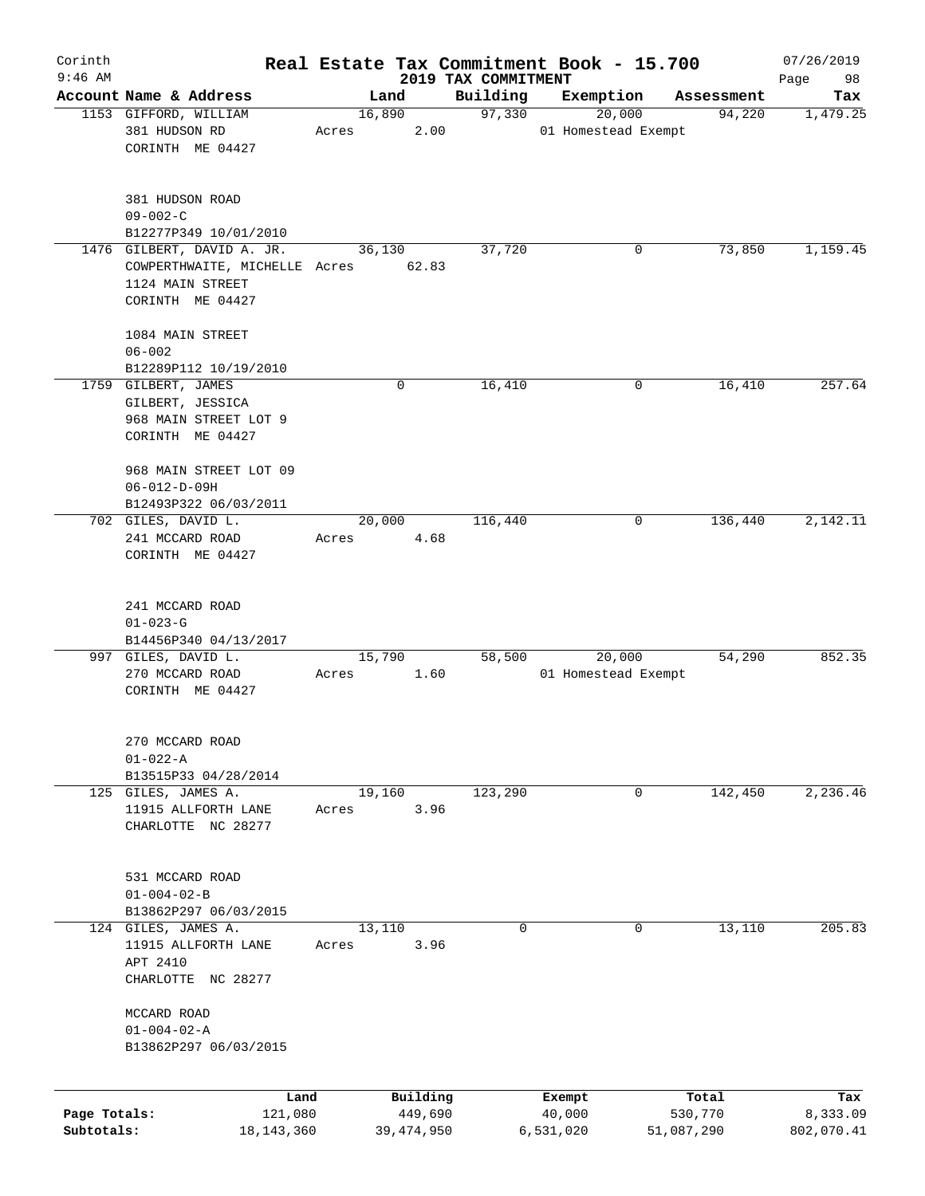| Corinth      |                                              |       |                     |                     | Real Estate Tax Commitment Book - 15.700 |                       | 07/26/2019             |
|--------------|----------------------------------------------|-------|---------------------|---------------------|------------------------------------------|-----------------------|------------------------|
| $9:46$ AM    | Account Name & Address                       |       |                     | 2019 TAX COMMITMENT |                                          |                       | 98<br>Page             |
|              | 1153 GIFFORD, WILLIAM                        |       | Land<br>16,890      | Building<br>97,330  | Exemption<br>20,000                      | Assessment<br>94,220  | Tax<br>1,479.25        |
|              | 381 HUDSON RD                                | Acres | 2.00                |                     | 01 Homestead Exempt                      |                       |                        |
|              | CORINTH ME 04427                             |       |                     |                     |                                          |                       |                        |
|              |                                              |       |                     |                     |                                          |                       |                        |
|              | 381 HUDSON ROAD                              |       |                     |                     |                                          |                       |                        |
|              | $09 - 002 - C$                               |       |                     |                     |                                          |                       |                        |
|              | B12277P349 10/01/2010                        |       |                     |                     |                                          |                       |                        |
|              | 1476 GILBERT, DAVID A. JR.                   |       | 36,130              | 37,720              | 0                                        | 73,850                | 1,159.45               |
|              | COWPERTHWAITE, MICHELLE Acres 62.83          |       |                     |                     |                                          |                       |                        |
|              | 1124 MAIN STREET                             |       |                     |                     |                                          |                       |                        |
|              | CORINTH ME 04427                             |       |                     |                     |                                          |                       |                        |
|              | 1084 MAIN STREET                             |       |                     |                     |                                          |                       |                        |
|              | $06 - 002$                                   |       |                     |                     |                                          |                       |                        |
|              | B12289P112 10/19/2010                        |       |                     |                     |                                          |                       |                        |
|              | 1759 GILBERT, JAMES                          |       | $\mathbf 0$         | 16,410              | 0                                        | 16,410                | 257.64                 |
|              | GILBERT, JESSICA                             |       |                     |                     |                                          |                       |                        |
|              | 968 MAIN STREET LOT 9                        |       |                     |                     |                                          |                       |                        |
|              | CORINTH ME 04427                             |       |                     |                     |                                          |                       |                        |
|              |                                              |       |                     |                     |                                          |                       |                        |
|              | 968 MAIN STREET LOT 09                       |       |                     |                     |                                          |                       |                        |
|              | $06 - 012 - D - 09H$                         |       |                     |                     |                                          |                       |                        |
|              | B12493P322 06/03/2011                        |       |                     |                     |                                          |                       |                        |
|              | 702 GILES, DAVID L.                          |       | 20,000              | 116,440             | 0                                        | 136,440               | 2,142.11               |
|              | 241 MCCARD ROAD                              | Acres | 4.68                |                     |                                          |                       |                        |
|              | CORINTH ME 04427                             |       |                     |                     |                                          |                       |                        |
|              |                                              |       |                     |                     |                                          |                       |                        |
|              |                                              |       |                     |                     |                                          |                       |                        |
|              | 241 MCCARD ROAD                              |       |                     |                     |                                          |                       |                        |
|              | $01 - 023 - G$                               |       |                     |                     |                                          |                       |                        |
|              | B14456P340 04/13/2017<br>997 GILES, DAVID L. |       |                     | 58,500              | 20,000                                   | 54,290                | 852.35                 |
|              | 270 MCCARD ROAD                              | Acres | 15,790<br>1.60      |                     | 01 Homestead Exempt                      |                       |                        |
|              | CORINTH ME 04427                             |       |                     |                     |                                          |                       |                        |
|              |                                              |       |                     |                     |                                          |                       |                        |
|              |                                              |       |                     |                     |                                          |                       |                        |
|              | 270 MCCARD ROAD                              |       |                     |                     |                                          |                       |                        |
|              | $01 - 022 - A$                               |       |                     |                     |                                          |                       |                        |
|              | B13515P33 04/28/2014                         |       |                     |                     |                                          |                       |                        |
|              | 125 GILES, JAMES A.                          |       | 19,160              | 123,290             | 0                                        | 142,450               | 2, 236.46              |
|              | 11915 ALLFORTH LANE                          | Acres | 3.96                |                     |                                          |                       |                        |
|              | CHARLOTTE NC 28277                           |       |                     |                     |                                          |                       |                        |
|              |                                              |       |                     |                     |                                          |                       |                        |
|              | 531 MCCARD ROAD                              |       |                     |                     |                                          |                       |                        |
|              | $01 - 004 - 02 - B$                          |       |                     |                     |                                          |                       |                        |
|              | B13862P297 06/03/2015                        |       |                     |                     |                                          |                       |                        |
|              | 124 GILES, JAMES A.                          |       | 13,110              | 0                   | 0                                        | 13,110                | 205.83                 |
|              | 11915 ALLFORTH LANE                          | Acres | 3.96                |                     |                                          |                       |                        |
|              | APT 2410                                     |       |                     |                     |                                          |                       |                        |
|              | CHARLOTTE NC 28277                           |       |                     |                     |                                          |                       |                        |
|              |                                              |       |                     |                     |                                          |                       |                        |
|              | MCCARD ROAD                                  |       |                     |                     |                                          |                       |                        |
|              | $01 - 004 - 02 - A$<br>B13862P297 06/03/2015 |       |                     |                     |                                          |                       |                        |
|              |                                              |       |                     |                     |                                          |                       |                        |
|              |                                              |       |                     |                     |                                          |                       |                        |
| Page Totals: | Land<br>121,080                              |       | Building<br>449,690 |                     | Exempt<br>40,000                         | Total                 | Tax                    |
| Subtotals:   | 18, 143, 360                                 |       | 39,474,950          |                     | 6,531,020                                | 530,770<br>51,087,290 | 8,333.09<br>802,070.41 |
|              |                                              |       |                     |                     |                                          |                       |                        |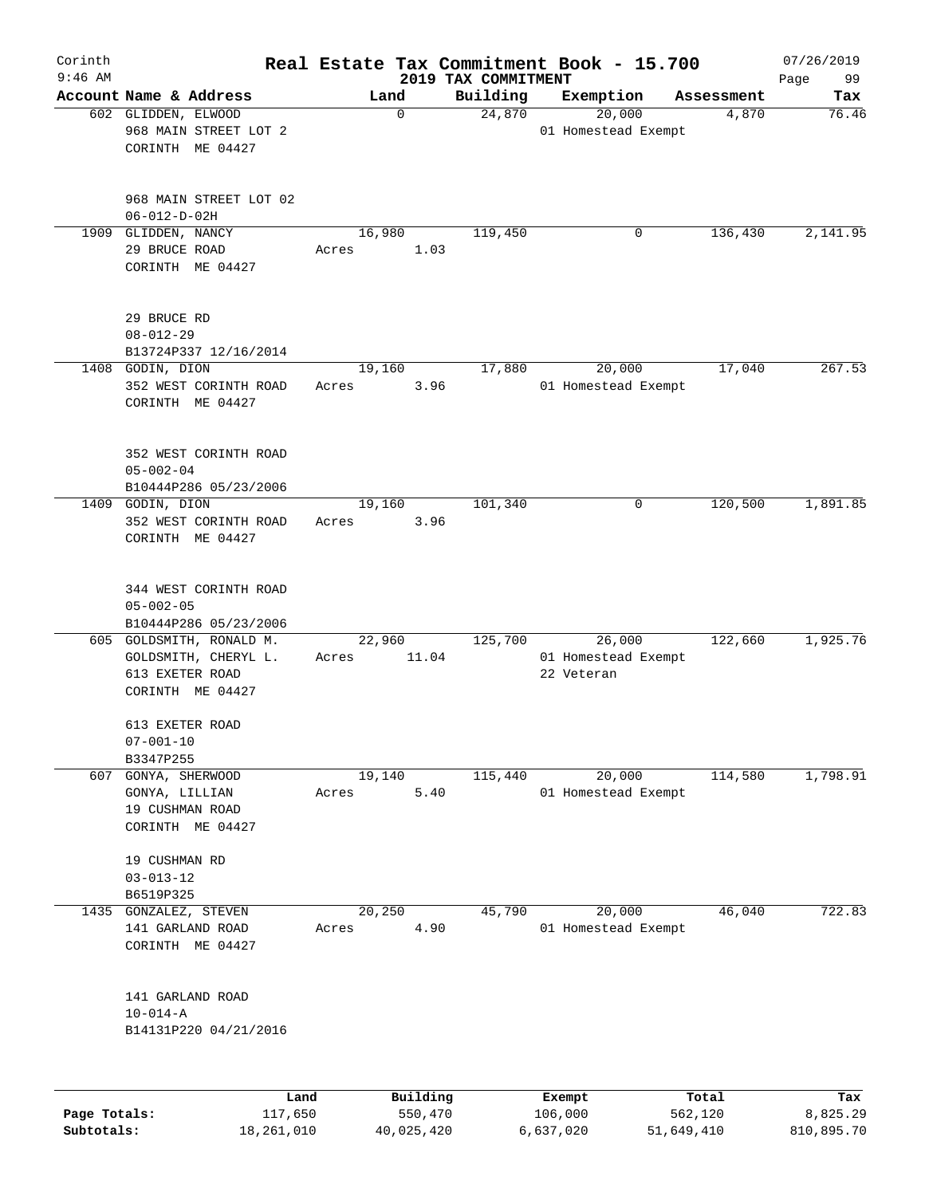| Corinth      |                                                   |                 |                                 | Real Estate Tax Commitment Book - 15.700 |            | 07/26/2019        |
|--------------|---------------------------------------------------|-----------------|---------------------------------|------------------------------------------|------------|-------------------|
| $9:46$ AM    | Account Name & Address                            | Land            | 2019 TAX COMMITMENT<br>Building | Exemption                                | Assessment | 99<br>Page<br>Tax |
|              | 602 GLIDDEN, ELWOOD                               | $\mathbf 0$     | 24,870                          | 20,000                                   | 4,870      | 76.46             |
|              | 968 MAIN STREET LOT 2                             |                 |                                 | 01 Homestead Exempt                      |            |                   |
|              | CORINTH ME 04427                                  |                 |                                 |                                          |            |                   |
|              |                                                   |                 |                                 |                                          |            |                   |
|              |                                                   |                 |                                 |                                          |            |                   |
|              | 968 MAIN STREET LOT 02                            |                 |                                 |                                          |            |                   |
|              | $06 - 012 - D - 02H$                              |                 |                                 |                                          |            |                   |
| 1909         | GLIDDEN, NANCY                                    | 16,980          | 119,450                         | 0                                        | 136,430    | 2,141.95          |
|              | 29 BRUCE ROAD                                     | Acres           | 1.03                            |                                          |            |                   |
|              | CORINTH ME 04427                                  |                 |                                 |                                          |            |                   |
|              |                                                   |                 |                                 |                                          |            |                   |
|              |                                                   |                 |                                 |                                          |            |                   |
|              | 29 BRUCE RD<br>$08 - 012 - 29$                    |                 |                                 |                                          |            |                   |
|              | B13724P337 12/16/2014                             |                 |                                 |                                          |            |                   |
|              | 1408 GODIN, DION                                  | 19,160          | 17,880                          | 20,000                                   | 17,040     | 267.53            |
|              | 352 WEST CORINTH ROAD                             | Acres           | 3.96                            | 01 Homestead Exempt                      |            |                   |
|              | CORINTH ME 04427                                  |                 |                                 |                                          |            |                   |
|              |                                                   |                 |                                 |                                          |            |                   |
|              |                                                   |                 |                                 |                                          |            |                   |
|              | 352 WEST CORINTH ROAD                             |                 |                                 |                                          |            |                   |
|              | $05 - 002 - 04$                                   |                 |                                 |                                          |            |                   |
|              | B10444P286 05/23/2006                             |                 |                                 |                                          |            |                   |
|              | 1409 GODIN, DION                                  | 19,160          | 101,340                         | 0                                        | 120,500    | 1,891.85          |
|              | 352 WEST CORINTH ROAD                             | Acres           | 3.96                            |                                          |            |                   |
|              | CORINTH ME 04427                                  |                 |                                 |                                          |            |                   |
|              |                                                   |                 |                                 |                                          |            |                   |
|              |                                                   |                 |                                 |                                          |            |                   |
|              | 344 WEST CORINTH ROAD                             |                 |                                 |                                          |            |                   |
|              | $05 - 002 - 05$                                   |                 |                                 |                                          |            |                   |
|              | B10444P286 05/23/2006<br>605 GOLDSMITH, RONALD M. | 22,960          | 125,700                         | 26,000                                   | 122,660    | 1,925.76          |
|              | GOLDSMITH, CHERYL L.                              |                 | 11.04                           | 01 Homestead Exempt                      |            |                   |
|              | 613 EXETER ROAD                                   | Acres           |                                 | 22 Veteran                               |            |                   |
|              | CORINTH ME 04427                                  |                 |                                 |                                          |            |                   |
|              |                                                   |                 |                                 |                                          |            |                   |
|              | 613 EXETER ROAD                                   |                 |                                 |                                          |            |                   |
|              | $07 - 001 - 10$                                   |                 |                                 |                                          |            |                   |
|              | B3347P255                                         |                 |                                 |                                          |            |                   |
| 607          | GONYA, SHERWOOD                                   | 19,140          | 115,440                         | 20,000                                   | 114,580    | 1,798.91          |
|              | GONYA, LILLIAN                                    | Acres           | 5.40                            | 01 Homestead Exempt                      |            |                   |
|              | 19 CUSHMAN ROAD                                   |                 |                                 |                                          |            |                   |
|              | CORINTH ME 04427                                  |                 |                                 |                                          |            |                   |
|              |                                                   |                 |                                 |                                          |            |                   |
|              | 19 CUSHMAN RD                                     |                 |                                 |                                          |            |                   |
|              | $03 - 013 - 12$                                   |                 |                                 |                                          |            |                   |
|              | B6519P325<br>GONZALEZ, STEVEN                     |                 | 45,790                          |                                          |            |                   |
| 1435         | 141 GARLAND ROAD                                  | 20,250<br>Acres | 4.90                            | 20,000<br>01 Homestead Exempt            | 46,040     | 722.83            |
|              | CORINTH ME 04427                                  |                 |                                 |                                          |            |                   |
|              |                                                   |                 |                                 |                                          |            |                   |
|              |                                                   |                 |                                 |                                          |            |                   |
|              | 141 GARLAND ROAD                                  |                 |                                 |                                          |            |                   |
|              | $10 - 014 - A$                                    |                 |                                 |                                          |            |                   |
|              | B14131P220 04/21/2016                             |                 |                                 |                                          |            |                   |
|              |                                                   |                 |                                 |                                          |            |                   |
|              |                                                   |                 |                                 |                                          |            |                   |
|              |                                                   |                 |                                 |                                          |            |                   |
|              | Land                                              |                 | Building                        | Exempt<br>106,000                        | Total      | Tax               |
| Page Totals: | 117,650                                           |                 | 550,470                         |                                          | 562,120    | 8,825.29          |

**Subtotals:** 18,261,010 40,025,420 6,637,020 51,649,410 810,895.70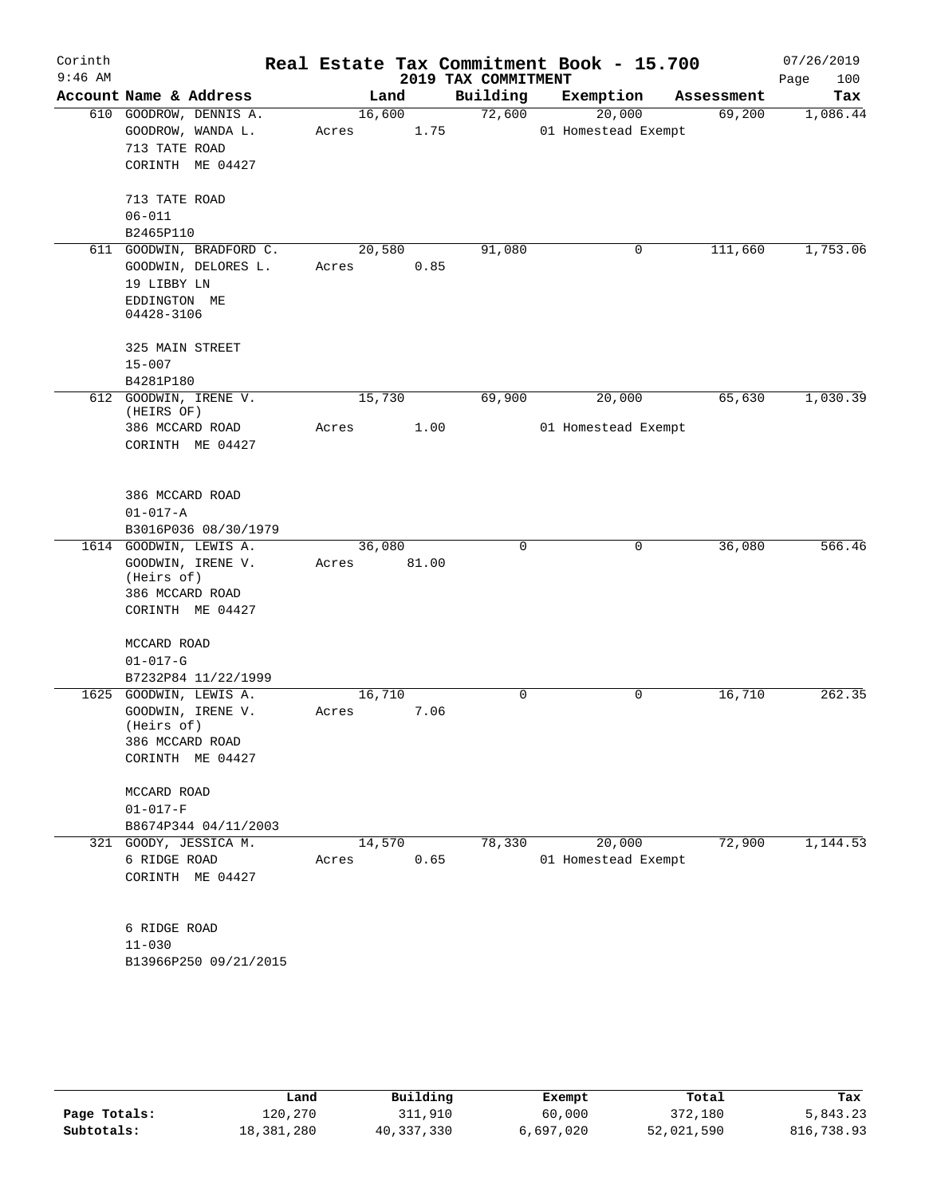| Corinth<br>$9:46$ AM |                                 |        |       | 2019 TAX COMMITMENT | Real Estate Tax Commitment Book - 15.700 |            | 07/26/2019<br>Page<br>100 |
|----------------------|---------------------------------|--------|-------|---------------------|------------------------------------------|------------|---------------------------|
|                      | Account Name & Address          | Land   |       | Building            | Exemption                                | Assessment | Tax                       |
|                      | 610 GOODROW, DENNIS A.          | 16,600 |       | 72,600              | 20,000                                   | 69,200     | 1,086.44                  |
|                      | GOODROW, WANDA L.               | Acres  | 1.75  |                     | 01 Homestead Exempt                      |            |                           |
|                      | 713 TATE ROAD                   |        |       |                     |                                          |            |                           |
|                      | CORINTH ME 04427                |        |       |                     |                                          |            |                           |
|                      | 713 TATE ROAD                   |        |       |                     |                                          |            |                           |
|                      | $06 - 011$                      |        |       |                     |                                          |            |                           |
|                      | B2465P110                       |        |       |                     |                                          |            |                           |
|                      | 611 GOODWIN, BRADFORD C.        | 20,580 |       | 91,080              | 0                                        | 111,660    | 1,753.06                  |
|                      | GOODWIN, DELORES L.             | Acres  | 0.85  |                     |                                          |            |                           |
|                      | 19 LIBBY LN                     |        |       |                     |                                          |            |                           |
|                      | EDDINGTON ME                    |        |       |                     |                                          |            |                           |
|                      | 04428-3106                      |        |       |                     |                                          |            |                           |
|                      | 325 MAIN STREET                 |        |       |                     |                                          |            |                           |
|                      | $15 - 007$                      |        |       |                     |                                          |            |                           |
|                      | B4281P180                       |        |       |                     |                                          |            |                           |
|                      | 612 GOODWIN, IRENE V.           | 15,730 |       | 69,900              | 20,000                                   | 65,630     | 1,030.39                  |
|                      | (HEIRS OF)                      |        |       |                     |                                          |            |                           |
|                      | 386 MCCARD ROAD                 | Acres  | 1.00  |                     | 01 Homestead Exempt                      |            |                           |
|                      | CORINTH ME 04427                |        |       |                     |                                          |            |                           |
|                      | 386 MCCARD ROAD                 |        |       |                     |                                          |            |                           |
|                      | $01 - 017 - A$                  |        |       |                     |                                          |            |                           |
|                      | B3016P036 08/30/1979            |        |       |                     |                                          |            |                           |
|                      | 1614 GOODWIN, LEWIS A.          | 36,080 |       | $\mathbf 0$         | $\mathbf 0$                              | 36,080     | 566.46                    |
|                      | GOODWIN, IRENE V.               | Acres  | 81.00 |                     |                                          |            |                           |
|                      | (Heirs of)                      |        |       |                     |                                          |            |                           |
|                      | 386 MCCARD ROAD                 |        |       |                     |                                          |            |                           |
|                      | CORINTH ME 04427                |        |       |                     |                                          |            |                           |
|                      | MCCARD ROAD                     |        |       |                     |                                          |            |                           |
|                      | $01 - 017 - G$                  |        |       |                     |                                          |            |                           |
|                      | B7232P84 11/22/1999             |        |       |                     |                                          |            |                           |
| 1625                 | GOODWIN, LEWIS A.               | 16,710 |       | $\mathbf 0$         | 0                                        | 16,710     | 262.35                    |
|                      | GOODWIN, IRENE V.<br>(Heirs of) | Acres  | 7.06  |                     |                                          |            |                           |
|                      | 386 MCCARD ROAD                 |        |       |                     |                                          |            |                           |
|                      | CORINTH ME 04427                |        |       |                     |                                          |            |                           |
|                      |                                 |        |       |                     |                                          |            |                           |
|                      | MCCARD ROAD                     |        |       |                     |                                          |            |                           |
|                      | $01 - 017 - F$                  |        |       |                     |                                          |            |                           |
|                      | B8674P344 04/11/2003            |        |       |                     |                                          |            |                           |
|                      | 321 GOODY, JESSICA M.           | 14,570 |       | 78,330              | 20,000                                   | 72,900     | 1,144.53                  |
|                      | 6 RIDGE ROAD                    | Acres  | 0.65  |                     | 01 Homestead Exempt                      |            |                           |
|                      | CORINTH ME 04427                |        |       |                     |                                          |            |                           |
|                      |                                 |        |       |                     |                                          |            |                           |
|                      | 6 RIDGE ROAD<br>$11 - 030$      |        |       |                     |                                          |            |                           |
|                      | B13966P250 09/21/2015           |        |       |                     |                                          |            |                           |
|                      |                                 |        |       |                     |                                          |            |                           |
|                      |                                 |        |       |                     |                                          |            |                           |
|                      |                                 |        |       |                     |                                          |            |                           |
|                      |                                 |        |       |                     |                                          |            |                           |
|                      |                                 |        |       |                     |                                          |            |                           |

|              | Land       | Building   | Exempt    | Total      | Tax        |
|--------------|------------|------------|-----------|------------|------------|
| Page Totals: | 120.270    | 311,910    | 60,000    | 372,180    | 5,843.23   |
| Subtotals:   | 18,381,280 | 40,337,330 | 6,697,020 | 52,021,590 | 816,738.93 |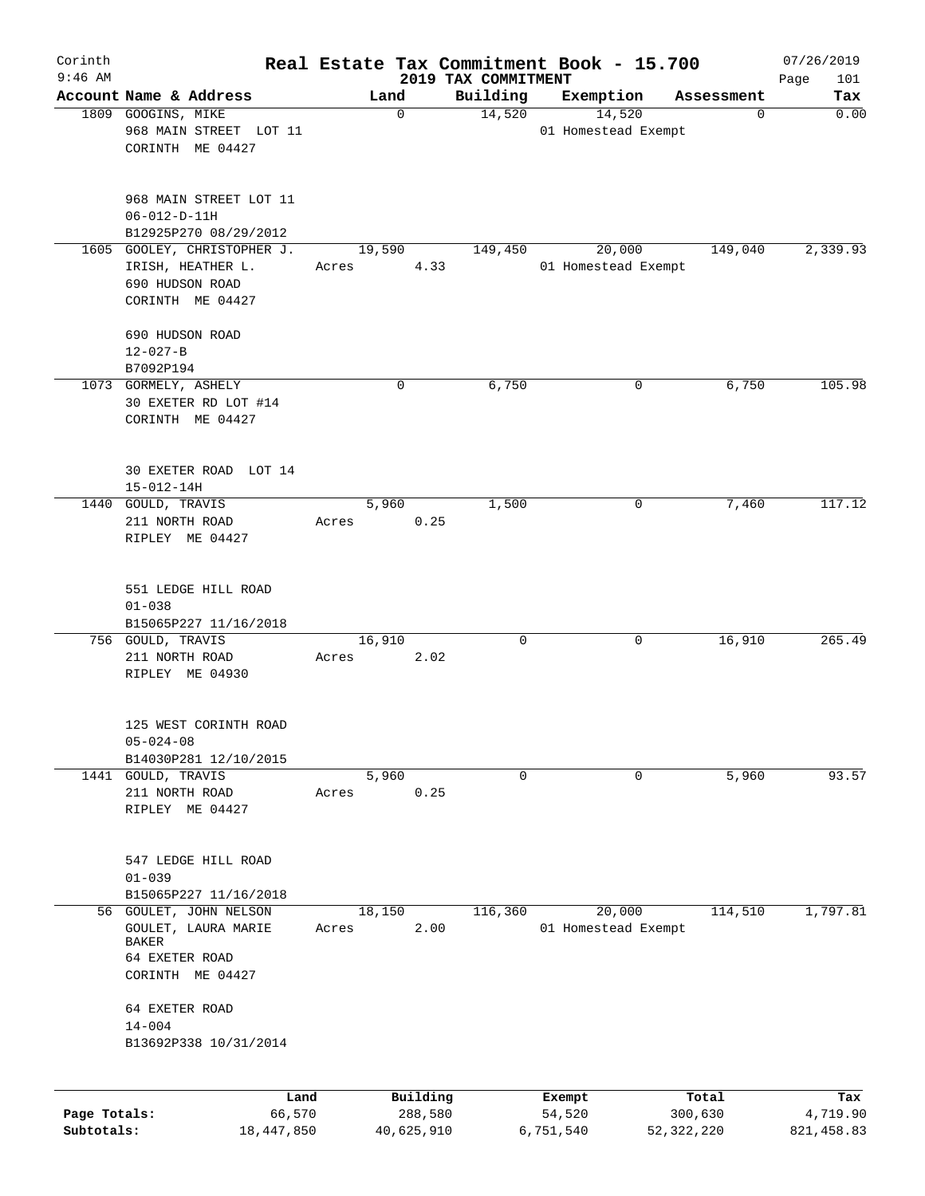| Corinth      |                                                                                                     |                 |                     |                                 | Real Estate Tax Commitment Book - 15.700 |                  | 07/26/2019         |
|--------------|-----------------------------------------------------------------------------------------------------|-----------------|---------------------|---------------------------------|------------------------------------------|------------------|--------------------|
| $9:46$ AM    | Account Name & Address                                                                              |                 | Land                | 2019 TAX COMMITMENT<br>Building | Exemption                                | Assessment       | Page<br>101<br>Tax |
|              | 1809 GOOGINS, MIKE<br>968 MAIN STREET LOT 11<br>CORINTH ME 04427                                    |                 | 0                   | 14,520                          | 14,520<br>01 Homestead Exempt            | 0                | 0.00               |
|              | 968 MAIN STREET LOT 11<br>$06 - 012 - D - 11H$<br>B12925P270 08/29/2012                             |                 |                     |                                 |                                          |                  |                    |
|              | 1605 GOOLEY, CHRISTOPHER J.<br>IRISH, HEATHER L.<br>690 HUDSON ROAD<br>CORINTH ME 04427             | 19,590<br>Acres | 4.33                | 149,450                         | 20,000<br>01 Homestead Exempt            | 149,040          | 2,339.93           |
|              | 690 HUDSON ROAD<br>$12 - 027 - B$<br>B7092P194                                                      |                 |                     |                                 |                                          |                  |                    |
|              | 1073 GORMELY, ASHELY<br>30 EXETER RD LOT #14<br>CORINTH ME 04427                                    |                 | 0                   | 6,750                           | 0                                        | 6,750            | 105.98             |
|              | 30 EXETER ROAD LOT 14<br>$15 - 012 - 14H$                                                           |                 |                     |                                 |                                          |                  |                    |
|              | 1440 GOULD, TRAVIS<br>211 NORTH ROAD<br>RIPLEY ME 04427                                             | Acres           | 5,960<br>0.25       | 1,500                           | 0                                        | 7,460            | 117.12             |
|              | 551 LEDGE HILL ROAD<br>$01 - 038$<br>B15065P227 11/16/2018                                          |                 |                     |                                 |                                          |                  |                    |
|              | 756 GOULD, TRAVIS<br>211 NORTH ROAD<br>RIPLEY ME 04930                                              | 16,910<br>Acres | 2.02                | $\mathbf 0$                     | 0                                        | 16,910           | 265.49             |
|              | 125 WEST CORINTH ROAD<br>$05 - 024 - 08$<br>B14030P281 12/10/2015                                   |                 |                     |                                 |                                          |                  |                    |
|              | 1441 GOULD, TRAVIS<br>211 NORTH ROAD<br>RIPLEY ME 04427                                             | Acres           | 5,960<br>0.25       | 0                               | 0                                        | 5,960            | 93.57              |
|              | 547 LEDGE HILL ROAD<br>$01 - 039$<br>B15065P227 11/16/2018                                          |                 |                     |                                 |                                          |                  |                    |
|              | 56 GOULET, JOHN NELSON<br>GOULET, LAURA MARIE<br><b>BAKER</b><br>64 EXETER ROAD<br>CORINTH ME 04427 | 18,150<br>Acres | 2.00                | 116,360                         | 20,000<br>01 Homestead Exempt            | 114,510          | 1,797.81           |
|              | 64 EXETER ROAD<br>$14 - 004$<br>B13692P338 10/31/2014                                               |                 |                     |                                 |                                          |                  |                    |
| Page Totals: | Land<br>66,570                                                                                      |                 | Building<br>288,580 |                                 | Exempt<br>54,520                         | Total<br>300,630 | Tax<br>4,719.90    |
| Subtotals:   | 18,447,850                                                                                          |                 | 40,625,910          |                                 | 6,751,540                                | 52, 322, 220     | 821, 458.83        |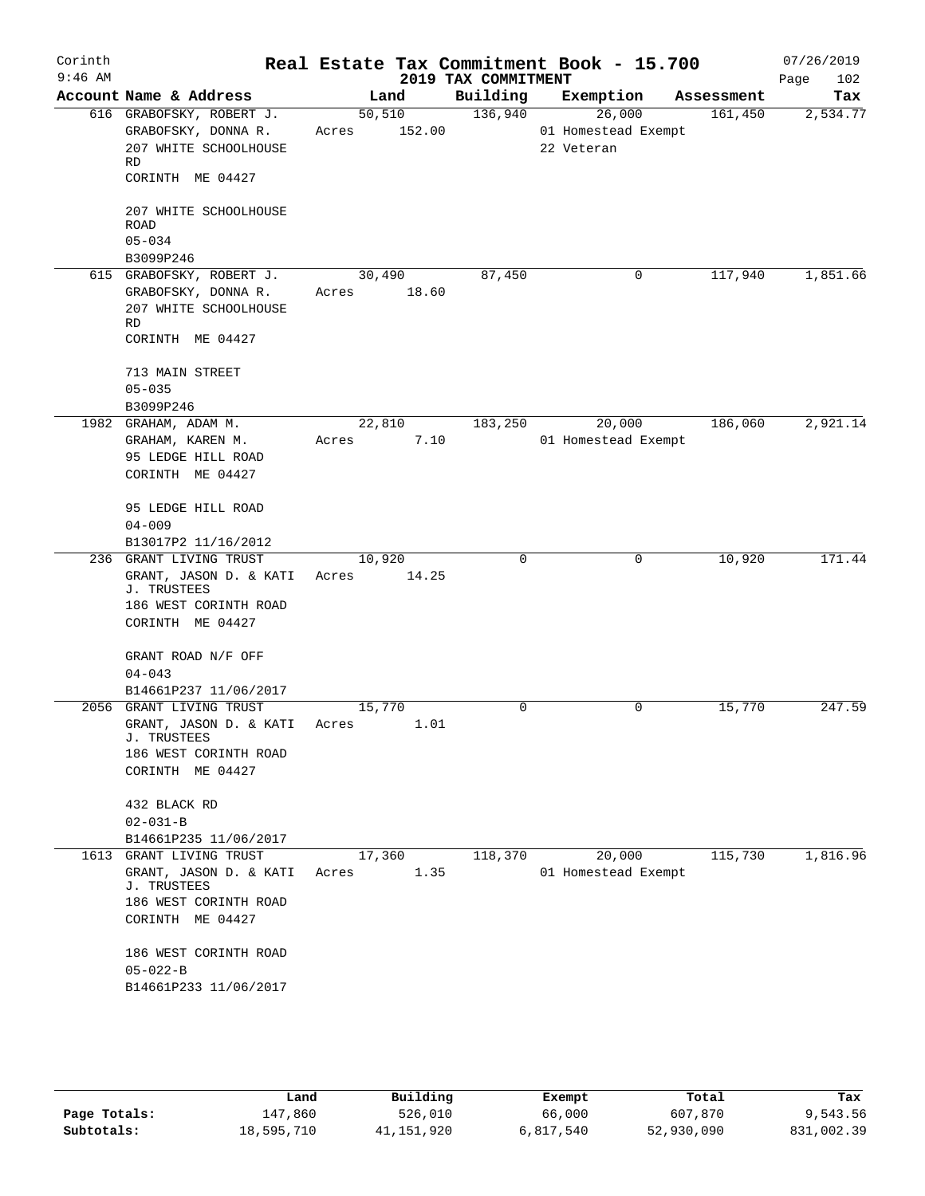| Corinth<br>$9:46$ AM |                                                                                                                                                                              |                            | 2019 TAX COMMITMENT | Real Estate Tax Commitment Book - 15.700    |            | 07/26/2019<br>Page<br>102 |
|----------------------|------------------------------------------------------------------------------------------------------------------------------------------------------------------------------|----------------------------|---------------------|---------------------------------------------|------------|---------------------------|
|                      | Account Name & Address                                                                                                                                                       | Land                       | Building            | Exemption                                   | Assessment | Tax                       |
|                      | 616 GRABOFSKY, ROBERT J.<br>GRABOFSKY, DONNA R.<br>207 WHITE SCHOOLHOUSE<br>RD<br>CORINTH ME 04427                                                                           | 50, 510<br>152.00<br>Acres | 136,940             | 26,000<br>01 Homestead Exempt<br>22 Veteran | 161,450    | 2,534.77                  |
|                      | 207 WHITE SCHOOLHOUSE<br><b>ROAD</b><br>$05 - 034$<br>B3099P246                                                                                                              |                            |                     |                                             |            |                           |
|                      | 615 GRABOFSKY, ROBERT J.<br>GRABOFSKY, DONNA R.<br>207 WHITE SCHOOLHOUSE<br>RD<br>CORINTH ME 04427                                                                           | 30,490<br>18.60<br>Acres   | 87,450              | 0                                           | 117,940    | 1,851.66                  |
|                      | 713 MAIN STREET<br>$05 - 035$<br>B3099P246                                                                                                                                   |                            |                     |                                             |            |                           |
|                      | 1982 GRAHAM, ADAM M.<br>GRAHAM, KAREN M.<br>95 LEDGE HILL ROAD<br>CORINTH ME 04427                                                                                           | 22,810<br>7.10<br>Acres    | 183,250             | 20,000<br>01 Homestead Exempt               | 186,060    | 2,921.14                  |
|                      | 95 LEDGE HILL ROAD<br>$04 - 009$<br>B13017P2 11/16/2012                                                                                                                      |                            |                     |                                             |            |                           |
|                      | 236 GRANT LIVING TRUST<br>GRANT, JASON D. & KATI<br>J. TRUSTEES<br>186 WEST CORINTH ROAD<br>CORINTH ME 04427                                                                 | 10,920<br>14.25<br>Acres   | $\mathbf 0$         | 0                                           | 10,920     | 171.44                    |
|                      | GRANT ROAD N/F OFF<br>$04 - 043$<br>B14661P237 11/06/2017                                                                                                                    |                            |                     |                                             |            |                           |
|                      | 2056 GRANT LIVING TRUST<br>GRANT, JASON D. & KATI<br>J. TRUSTEES<br>186 WEST CORINTH ROAD<br>CORINTH ME 04427                                                                | 15,770<br>1.01<br>Acres    | 0                   | 0                                           | 15,770     | 247.59                    |
|                      | 432 BLACK RD<br>$02 - 031 - B$<br>B14661P235 11/06/2017                                                                                                                      |                            |                     |                                             |            |                           |
| 1613                 | GRANT LIVING TRUST<br>GRANT, JASON D. & KATI<br>J. TRUSTEES<br>186 WEST CORINTH ROAD<br>CORINTH ME 04427<br>186 WEST CORINTH ROAD<br>$05 - 022 - B$<br>B14661P233 11/06/2017 | 17,360<br>1.35<br>Acres    | 118,370             | 20,000<br>01 Homestead Exempt               | 115,730    | 1,816.96                  |

|              | Land       | Building   | Exempt    | Total      | Tax        |
|--------------|------------|------------|-----------|------------|------------|
| Page Totals: | 147,860    | 526,010    | 66,000    | 607,870    | 9,543.56   |
| Subtotals:   | 18,595,710 | 41,151,920 | 6,817,540 | 52,930,090 | 831,002.39 |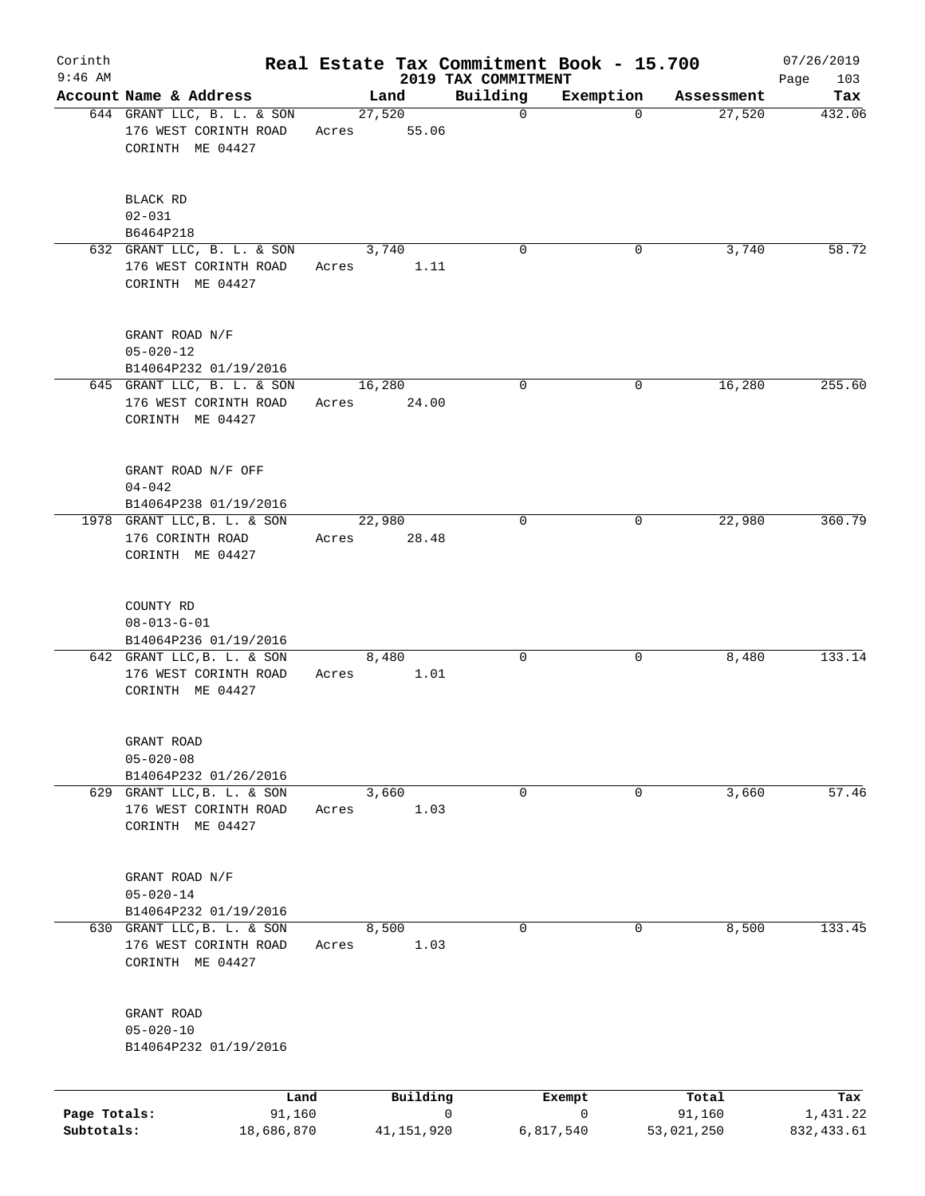| Corinth<br>$9:46$ AM |                                                                         |                |       |                 |             | Real Estate Tax Commitment Book - 15.700<br>2019 TAX COMMITMENT |             |                 | 07/26/2019<br>103 |
|----------------------|-------------------------------------------------------------------------|----------------|-------|-----------------|-------------|-----------------------------------------------------------------|-------------|-----------------|-------------------|
|                      | Account Name & Address                                                  |                |       | Land            |             | Building                                                        | Exemption   | Assessment      | Page<br>Tax       |
|                      | 644 GRANT LLC, B. L. & SON<br>176 WEST CORINTH ROAD<br>CORINTH ME 04427 |                | Acres | 27,520<br>55.06 |             | $\mathbf 0$                                                     | $\Omega$    | 27,520          | 432.06            |
|                      | BLACK RD<br>$02 - 031$<br>B6464P218                                     |                |       |                 |             |                                                                 |             |                 |                   |
|                      | 632 GRANT LLC, B. L. & SON<br>176 WEST CORINTH ROAD<br>CORINTH ME 04427 |                | Acres | 3,740           | 1.11        | 0                                                               | 0           | 3,740           | 58.72             |
|                      | GRANT ROAD N/F<br>$05 - 020 - 12$<br>B14064P232 01/19/2016              |                |       |                 |             |                                                                 |             |                 |                   |
|                      | 645 GRANT LLC, B. L. & SON<br>176 WEST CORINTH ROAD<br>CORINTH ME 04427 |                | Acres | 16,280<br>24.00 |             | 0                                                               | 0           | 16,280          | 255.60            |
|                      | GRANT ROAD N/F OFF<br>$04 - 042$<br>B14064P238 01/19/2016               |                |       |                 |             |                                                                 |             |                 |                   |
|                      | 1978 GRANT LLC, B. L. & SON<br>176 CORINTH ROAD<br>CORINTH ME 04427     |                | Acres | 22,980<br>28.48 |             | $\mathbf 0$                                                     | 0           | 22,980          | 360.79            |
|                      | COUNTY RD<br>$08 - 013 - G - 01$<br>B14064P236 01/19/2016               |                |       |                 |             |                                                                 |             |                 |                   |
|                      | 642 GRANT LLC, B. L. & SON<br>176 WEST CORINTH ROAD<br>CORINTH ME 04427 |                | Acres | 8,480           | 1.01        | 0                                                               | 0           | 8,480           | 133.14            |
|                      | GRANT ROAD<br>$05 - 020 - 08$<br>B14064P232 01/26/2016                  |                |       |                 |             |                                                                 |             |                 |                   |
|                      | 629 GRANT LLC, B. L. & SON<br>176 WEST CORINTH ROAD<br>CORINTH ME 04427 |                | Acres | 3,660           | 1.03        | 0                                                               | 0           | 3,660           | 57.46             |
|                      | GRANT ROAD N/F<br>$05 - 020 - 14$<br>B14064P232 01/19/2016              |                |       |                 |             |                                                                 |             |                 |                   |
|                      | 630 GRANT LLC, B. L. & SON<br>176 WEST CORINTH ROAD<br>CORINTH ME 04427 |                | Acres | 8,500           | 1.03        | 0                                                               | 0           | 8,500           | 133.45            |
|                      | GRANT ROAD<br>$05 - 020 - 10$<br>B14064P232 01/19/2016                  |                |       |                 |             |                                                                 |             |                 |                   |
| Page Totals:         |                                                                         | Land<br>91,160 |       | Building        | $\mathbf 0$ |                                                                 | Exempt<br>0 | Total<br>91,160 | Tax<br>1,431.22   |
| Subtotals:           |                                                                         | 18,686,870     |       | 41, 151, 920    |             |                                                                 | 6,817,540   | 53,021,250      | 832, 433.61       |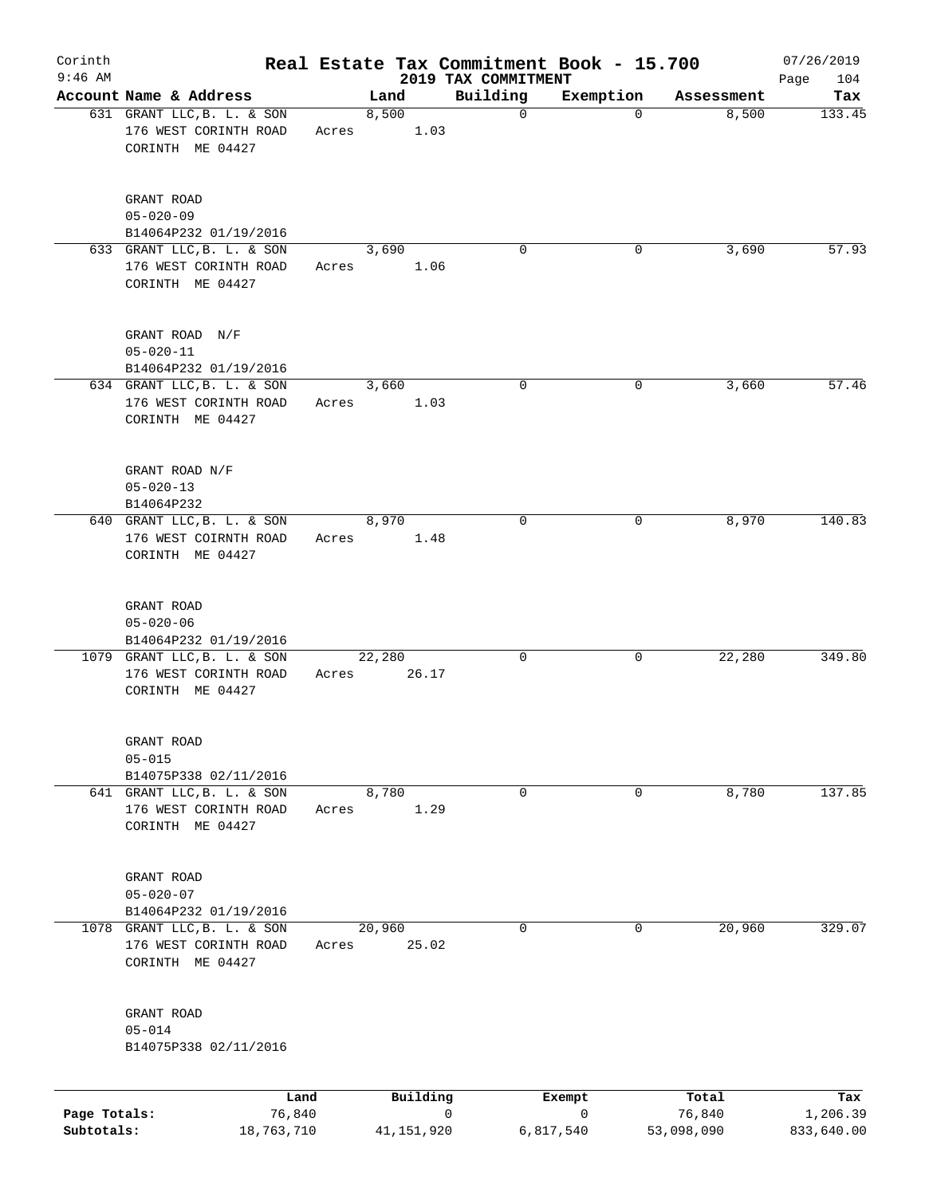| Corinth<br>$9:46$ AM       |                                                                          |                      |       |        |              |   | Real Estate Tax Commitment Book - 15.700 |                |          |                      | 07/26/2019             |
|----------------------------|--------------------------------------------------------------------------|----------------------|-------|--------|--------------|---|------------------------------------------|----------------|----------|----------------------|------------------------|
|                            | Account Name & Address                                                   |                      |       | Land   |              |   | 2019 TAX COMMITMENT<br>Building          | Exemption      |          | Assessment           | 104<br>Page<br>Tax     |
|                            | 631 GRANT LLC, B. L. & SON<br>176 WEST CORINTH ROAD<br>CORINTH ME 04427  |                      | Acres | 8,500  | 1.03         |   | $\mathbf 0$                              |                | $\Omega$ | 8,500                | 133.45                 |
|                            | GRANT ROAD<br>$05 - 020 - 09$<br>B14064P232 01/19/2016                   |                      |       |        |              |   |                                          |                |          |                      |                        |
|                            | 633 GRANT LLC, B. L. & SON<br>176 WEST CORINTH ROAD<br>CORINTH ME 04427  |                      | Acres | 3,690  | 1.06         |   | 0                                        |                | 0        | 3,690                | 57.93                  |
|                            | GRANT ROAD N/F<br>$05 - 020 - 11$<br>B14064P232 01/19/2016               |                      |       |        |              |   |                                          |                |          |                      |                        |
|                            | 634 GRANT LLC, B. L. & SON<br>176 WEST CORINTH ROAD<br>CORINTH ME 04427  |                      | Acres | 3,660  | 1.03         |   | $\mathbf 0$                              |                | 0        | 3,660                | 57.46                  |
|                            | GRANT ROAD N/F<br>$05 - 020 - 13$<br>B14064P232                          |                      |       |        |              |   |                                          |                |          |                      |                        |
|                            | 640 GRANT LLC, B. L. & SON<br>176 WEST COIRNTH ROAD<br>CORINTH ME 04427  |                      | Acres | 8,970  | 1.48         |   | $\mathbf 0$                              |                | 0        | 8,970                | 140.83                 |
|                            | GRANT ROAD<br>$05 - 020 - 06$<br>B14064P232 01/19/2016                   |                      |       |        |              |   |                                          |                |          |                      |                        |
|                            | 1079 GRANT LLC, B. L. & SON<br>176 WEST CORINTH ROAD<br>CORINTH ME 04427 |                      | Acres | 22,280 | 26.17        |   | 0                                        |                | 0        | 22,280               | 349.80                 |
|                            | GRANT ROAD<br>$05 - 015$<br>B14075P338 02/11/2016                        |                      |       |        |              |   |                                          |                |          |                      |                        |
|                            | 641 GRANT LLC, B. L. & SON<br>176 WEST CORINTH ROAD<br>CORINTH ME 04427  |                      | Acres | 8,780  | 1.29         |   | 0                                        |                | 0        | 8,780                | 137.85                 |
|                            | GRANT ROAD<br>$05 - 020 - 07$<br>B14064P232 01/19/2016                   |                      |       |        |              |   |                                          |                |          |                      |                        |
|                            | 1078 GRANT LLC, B. L. & SON<br>176 WEST CORINTH ROAD<br>CORINTH ME 04427 |                      | Acres | 20,960 | 25.02        |   | 0                                        |                | 0        | 20,960               | 329.07                 |
|                            | GRANT ROAD<br>$05 - 014$<br>B14075P338 02/11/2016                        |                      |       |        |              |   |                                          |                |          |                      |                        |
|                            |                                                                          | Land                 |       |        | Building     |   |                                          | Exempt         |          | Total                | Tax                    |
| Page Totals:<br>Subtotals: |                                                                          | 76,840<br>18,763,710 |       |        | 41, 151, 920 | 0 |                                          | 0<br>6,817,540 |          | 76,840<br>53,098,090 | 1,206.39<br>833,640.00 |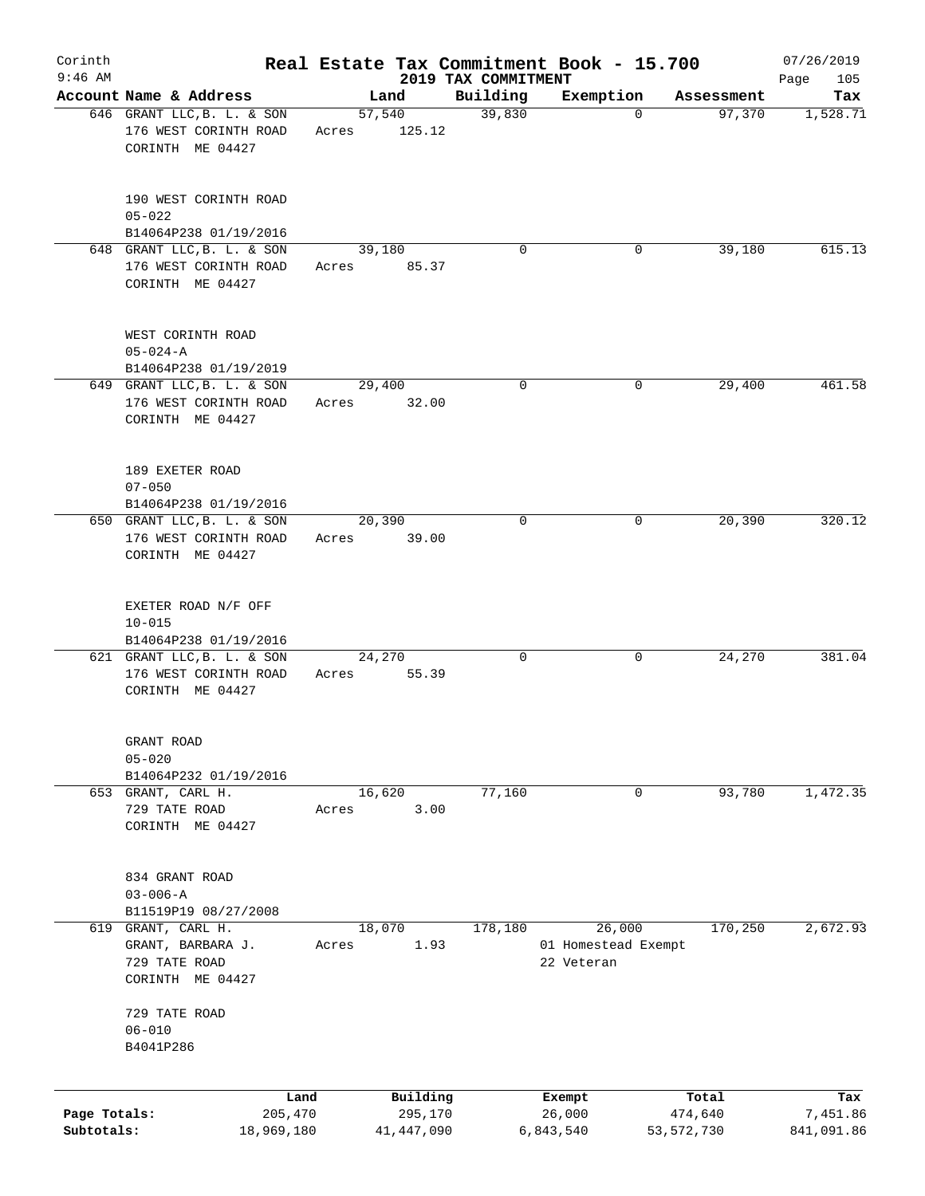| Corinth                    |                                                                         |       |                         |                     | Real Estate Tax Commitment Book - 15.700 |                         | 07/26/2019             |
|----------------------------|-------------------------------------------------------------------------|-------|-------------------------|---------------------|------------------------------------------|-------------------------|------------------------|
| $9:46$ AM                  | Account Name & Address                                                  |       |                         | 2019 TAX COMMITMENT |                                          |                         | 105<br>Page            |
|                            | 646 GRANT LLC, B. L. & SON                                              |       | Land<br>57,540          | Building<br>39,830  | Exemption<br>$\Omega$                    | Assessment<br>97,370    | Tax<br>1,528.71        |
|                            | 176 WEST CORINTH ROAD<br>CORINTH ME 04427                               | Acres | 125.12                  |                     |                                          |                         |                        |
|                            | 190 WEST CORINTH ROAD<br>$05 - 022$                                     |       |                         |                     |                                          |                         |                        |
|                            | B14064P238 01/19/2016                                                   |       |                         |                     |                                          |                         |                        |
|                            | 648 GRANT LLC, B. L. & SON<br>176 WEST CORINTH ROAD<br>CORINTH ME 04427 | Acres | 39,180<br>85.37         | $\Omega$            | 0                                        | 39,180                  | 615.13                 |
|                            | WEST CORINTH ROAD<br>$05 - 024 - A$<br>B14064P238 01/19/2019            |       |                         |                     |                                          |                         |                        |
|                            | 649 GRANT LLC, B. L. & SON                                              |       | 29,400                  | 0                   | 0                                        | 29,400                  | 461.58                 |
|                            | 176 WEST CORINTH ROAD<br>CORINTH ME 04427                               | Acres | 32.00                   |                     |                                          |                         |                        |
|                            | 189 EXETER ROAD<br>$07 - 050$<br>B14064P238 01/19/2016                  |       |                         |                     |                                          |                         |                        |
|                            | 650 GRANT LLC, B. L. & SON                                              |       | 20,390                  | $\Omega$            | 0                                        | 20,390                  | 320.12                 |
|                            | 176 WEST CORINTH ROAD<br>CORINTH ME 04427                               | Acres | 39.00                   |                     |                                          |                         |                        |
|                            | EXETER ROAD N/F OFF<br>$10 - 015$                                       |       |                         |                     |                                          |                         |                        |
|                            | B14064P238 01/19/2016<br>621 GRANT LLC, B. L. & SON                     |       | 24,270                  | 0                   | 0                                        | 24,270                  | 381.04                 |
|                            | 176 WEST CORINTH ROAD<br>CORINTH ME 04427                               | Acres | 55.39                   |                     |                                          |                         |                        |
|                            | GRANT ROAD<br>$05 - 020$                                                |       |                         |                     |                                          |                         |                        |
|                            | B14064P232 01/19/2016                                                   |       |                         |                     |                                          |                         |                        |
|                            | 653 GRANT, CARL H.<br>729 TATE ROAD<br>CORINTH ME 04427                 | Acres | 16,620<br>3.00          | 77,160              | 0                                        | 93,780                  | 1,472.35               |
|                            | 834 GRANT ROAD<br>$03 - 006 - A$                                        |       |                         |                     |                                          |                         |                        |
| 619                        | B11519P19 08/27/2008<br>GRANT, CARL H.                                  |       | 18,070                  | 178,180             | 26,000                                   | 170,250                 | 2,672.93               |
|                            | GRANT, BARBARA J.<br>729 TATE ROAD<br>CORINTH ME 04427                  | Acres | 1.93                    |                     | 01 Homestead Exempt<br>22 Veteran        |                         |                        |
|                            | 729 TATE ROAD<br>$06 - 010$                                             |       |                         |                     |                                          |                         |                        |
|                            | B4041P286                                                               |       |                         |                     |                                          |                         |                        |
|                            | Land                                                                    |       | Building                |                     | Exempt                                   | Total                   | Tax                    |
| Page Totals:<br>Subtotals: | 205,470<br>18,969,180                                                   |       | 295,170<br>41, 447, 090 |                     | 26,000<br>6,843,540                      | 474,640<br>53, 572, 730 | 7,451.86<br>841,091.86 |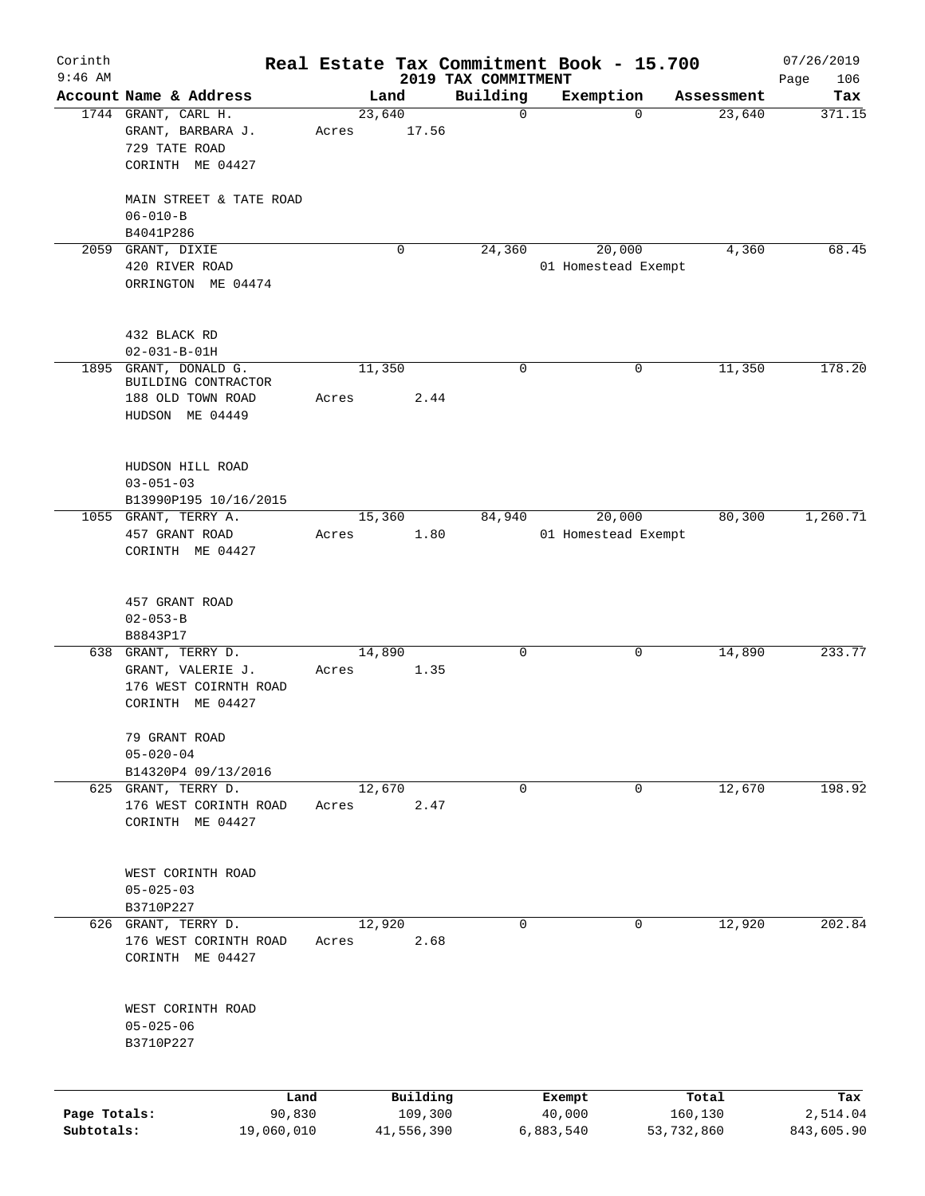| Corinth<br>$9:46$ AM       |                                                                                       |                 |                       | 2019 TAX COMMITMENT | Real Estate Tax Commitment Book - 15.700 |                       | 07/26/2019<br>Page<br>106 |
|----------------------------|---------------------------------------------------------------------------------------|-----------------|-----------------------|---------------------|------------------------------------------|-----------------------|---------------------------|
|                            | Account Name & Address                                                                |                 | Land                  | Building            | Exemption                                | Assessment            | Tax                       |
|                            | 1744 GRANT, CARL H.<br>GRANT, BARBARA J.<br>729 TATE ROAD<br>CORINTH ME 04427         | 23,640<br>Acres | 17.56                 | 0                   | $\Omega$                                 | 23,640                | 371.15                    |
|                            | MAIN STREET & TATE ROAD<br>$06 - 010 - B$<br>B4041P286                                |                 |                       |                     |                                          |                       |                           |
|                            | 2059 GRANT, DIXIE<br>420 RIVER ROAD<br>ORRINGTON ME 04474                             |                 | $\mathbf 0$           | 24,360              | 20,000<br>01 Homestead Exempt            | 4,360                 | 68.45                     |
|                            | 432 BLACK RD<br>$02 - 031 - B - 01H$                                                  |                 |                       |                     |                                          |                       |                           |
|                            | 1895 GRANT, DONALD G.<br>BUILDING CONTRACTOR<br>188 OLD TOWN ROAD<br>HUDSON ME 04449  | 11,350<br>Acres | 2.44                  | 0                   | 0                                        | 11,350                | 178.20                    |
|                            | HUDSON HILL ROAD<br>$03 - 051 - 03$<br>B13990P195 10/16/2015<br>1055 GRANT, TERRY A.  | 15,360          |                       | 84,940              | 20,000                                   | 80,300                | 1,260.71                  |
|                            | 457 GRANT ROAD<br>CORINTH ME 04427                                                    | Acres           | 1.80                  |                     | 01 Homestead Exempt                      |                       |                           |
|                            | 457 GRANT ROAD<br>$02 - 053 - B$<br>B8843P17                                          |                 |                       |                     |                                          |                       |                           |
|                            | 638 GRANT, TERRY D.<br>GRANT, VALERIE J.<br>176 WEST COIRNTH ROAD<br>CORINTH ME 04427 | 14,890<br>Acres | 1.35                  | 0                   | 0                                        | 14,890                | 233.77                    |
|                            | 79 GRANT ROAD<br>$05 - 020 - 04$<br>B14320P4 09/13/2016                               |                 |                       |                     |                                          |                       |                           |
|                            | 625 GRANT, TERRY D.<br>176 WEST CORINTH ROAD<br>CORINTH ME 04427                      | 12,670<br>Acres | 2.47                  | 0                   | 0                                        | 12,670                | 198.92                    |
|                            | WEST CORINTH ROAD<br>$05 - 025 - 03$<br>B3710P227                                     |                 |                       |                     |                                          |                       |                           |
|                            | 626 GRANT, TERRY D.<br>176 WEST CORINTH ROAD<br>CORINTH ME 04427                      | 12,920<br>Acres | 2.68                  | $\mathbf 0$         | 0                                        | 12,920                | 202.84                    |
|                            | WEST CORINTH ROAD<br>$05 - 025 - 06$<br>B3710P227                                     |                 |                       |                     |                                          |                       |                           |
|                            | Land                                                                                  |                 | Building              |                     | Exempt                                   | Total                 | Tax                       |
| Page Totals:<br>Subtotals: | 90,830<br>19,060,010                                                                  |                 | 109,300<br>41,556,390 |                     | 40,000<br>6,883,540                      | 160,130<br>53,732,860 | 2,514.04<br>843,605.90    |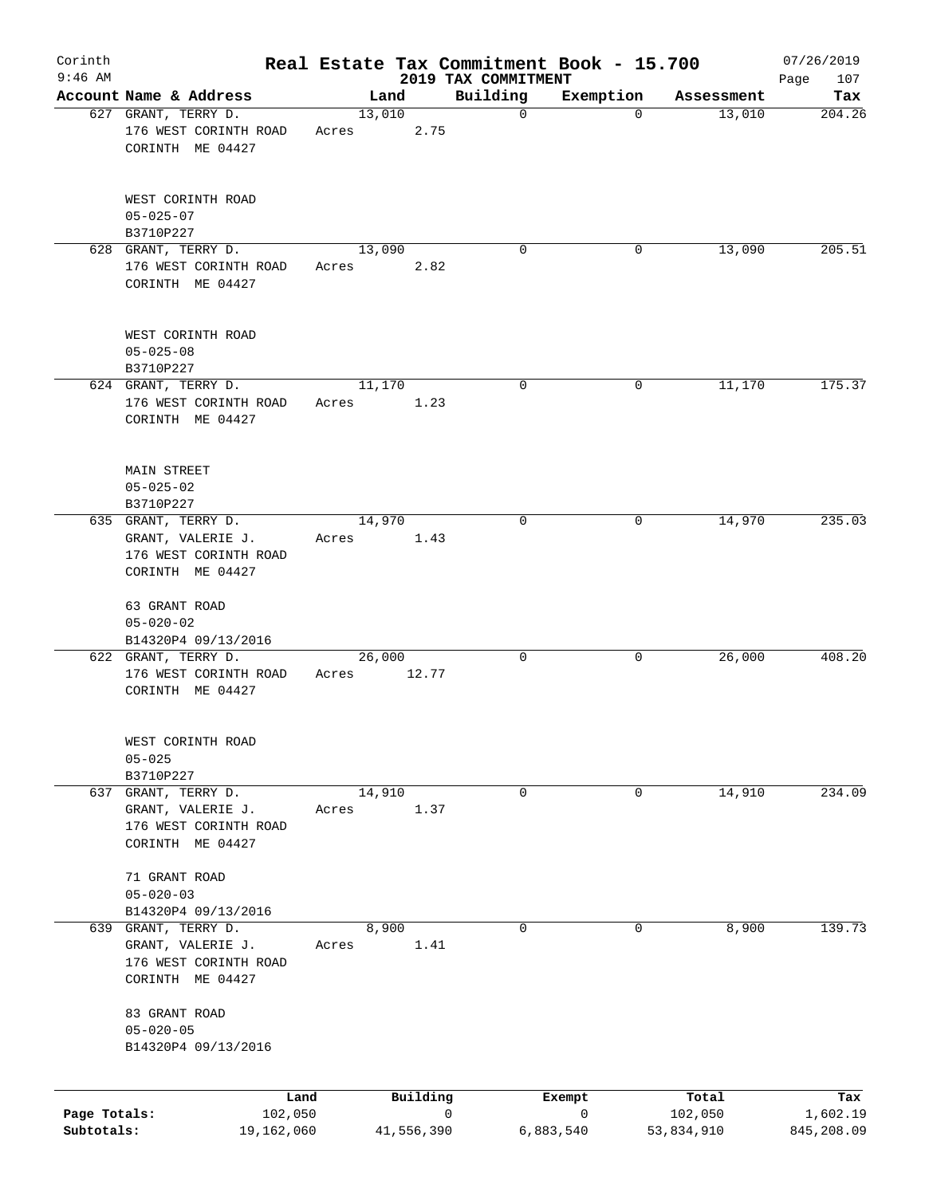| Corinth      |                                                                   |       |            |      | Real Estate Tax Commitment Book - 15.700 |             |            | 07/26/2019         |
|--------------|-------------------------------------------------------------------|-------|------------|------|------------------------------------------|-------------|------------|--------------------|
| $9:46$ AM    | Account Name & Address                                            |       | Land       |      | 2019 TAX COMMITMENT<br>Building          | Exemption   | Assessment | 107<br>Page<br>Tax |
|              | 627 GRANT, TERRY D.                                               |       | 13,010     |      | $\mathbf 0$                              | $\mathbf 0$ | 13,010     | 204.26             |
|              | 176 WEST CORINTH ROAD<br>CORINTH ME 04427                         | Acres |            | 2.75 |                                          |             |            |                    |
|              | WEST CORINTH ROAD<br>$05 - 025 - 07$                              |       |            |      |                                          |             |            |                    |
|              | B3710P227<br>628 GRANT, TERRY D.                                  |       | 13,090     |      | $\Omega$                                 | 0           | 13,090     | 205.51             |
|              | 176 WEST CORINTH ROAD<br>CORINTH ME 04427                         | Acres |            | 2.82 |                                          |             |            |                    |
|              | WEST CORINTH ROAD<br>$05 - 025 - 08$<br>B3710P227                 |       |            |      |                                          |             |            |                    |
|              | 624 GRANT, TERRY D.                                               |       | 11,170     |      | 0                                        | 0           | 11,170     | 175.37             |
|              | 176 WEST CORINTH ROAD<br>CORINTH ME 04427                         | Acres |            | 1.23 |                                          |             |            |                    |
|              | <b>MAIN STREET</b><br>$05 - 025 - 02$<br>B3710P227                |       |            |      |                                          |             |            |                    |
|              | 635 GRANT, TERRY D.                                               |       | 14,970     |      | 0                                        | 0           | 14,970     | 235.03             |
|              | GRANT, VALERIE J.<br>176 WEST CORINTH ROAD                        | Acres |            | 1.43 |                                          |             |            |                    |
|              | CORINTH ME 04427                                                  |       |            |      |                                          |             |            |                    |
|              | 63 GRANT ROAD<br>$05 - 020 - 02$                                  |       |            |      |                                          |             |            |                    |
|              | B14320P4 09/13/2016<br>622 GRANT, TERRY D.                        |       | 26,000     |      | 0                                        | 0           | 26,000     | 408.20             |
|              | 176 WEST CORINTH ROAD<br>CORINTH ME 04427                         | Acres | 12.77      |      |                                          |             |            |                    |
|              | WEST CORINTH ROAD<br>$05 - 025$<br>B3710P227                      |       |            |      |                                          |             |            |                    |
|              | 637 GRANT, TERRY D.                                               |       | 14,910     |      | 0                                        | 0           | 14,910     | 234.09             |
|              | GRANT, VALERIE J.<br>176 WEST CORINTH ROAD<br>CORINTH ME 04427    | Acres |            | 1.37 |                                          |             |            |                    |
|              | 71 GRANT ROAD<br>$05 - 020 - 03$                                  |       |            |      |                                          |             |            |                    |
|              | B14320P4 09/13/2016                                               |       |            |      |                                          |             |            |                    |
|              | 639 GRANT, TERRY D.<br>GRANT, VALERIE J.<br>176 WEST CORINTH ROAD | Acres | 8,900      | 1.41 | 0                                        | 0           | 8,900      | 139.73             |
|              | CORINTH ME 04427<br>83 GRANT ROAD                                 |       |            |      |                                          |             |            |                    |
|              | $05 - 020 - 05$                                                   |       |            |      |                                          |             |            |                    |
|              | B14320P4 09/13/2016                                               |       |            |      |                                          |             |            |                    |
|              | Land                                                              |       | Building   |      |                                          | Exempt      | Total      | Tax                |
| Page Totals: | 102,050                                                           |       |            |      | 0                                        | 0           | 102,050    | 1,602.19           |
| Subtotals:   | 19,162,060                                                        |       | 41,556,390 |      |                                          | 6,883,540   | 53,834,910 | 845,208.09         |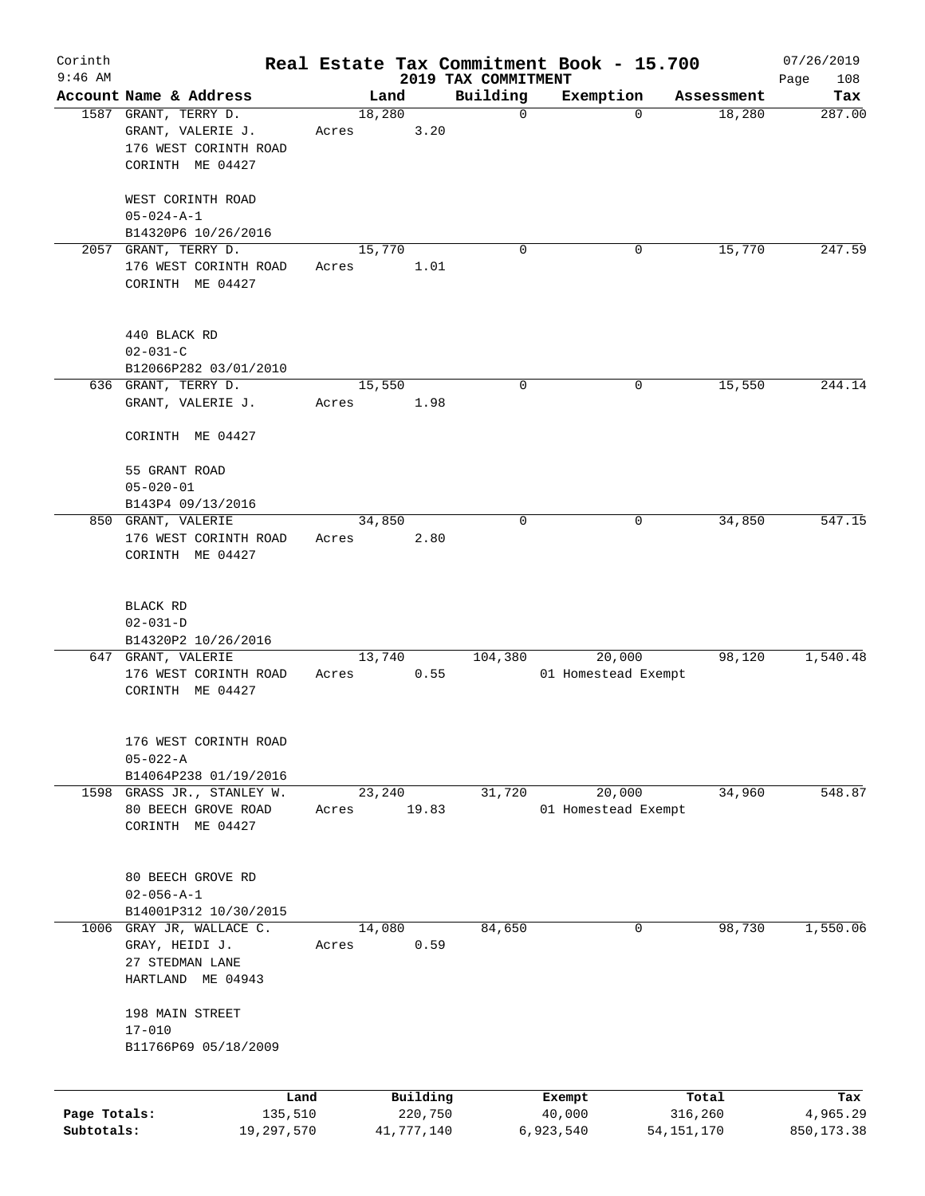| Corinth                    |                                                                  |       |                       |                         | Real Estate Tax Commitment Book - 15.700 |                                  | 07/26/2019             |
|----------------------------|------------------------------------------------------------------|-------|-----------------------|-------------------------|------------------------------------------|----------------------------------|------------------------|
| $9:46$ AM                  | Account Name & Address                                           |       |                       | 2019 TAX COMMITMENT     |                                          |                                  | 108<br>Page            |
|                            | 1587 GRANT, TERRY D.                                             |       | Land<br>18,280        | Building<br>$\mathbf 0$ | Exemption                                | Assessment<br>18,280<br>$\Omega$ | Tax<br>287.00          |
|                            | GRANT, VALERIE J.                                                | Acres | 3.20                  |                         |                                          |                                  |                        |
|                            | 176 WEST CORINTH ROAD<br>CORINTH ME 04427                        |       |                       |                         |                                          |                                  |                        |
|                            | WEST CORINTH ROAD                                                |       |                       |                         |                                          |                                  |                        |
|                            | $05 - 024 - A - 1$<br>B14320P6 10/26/2016                        |       |                       |                         |                                          |                                  |                        |
|                            | 2057 GRANT, TERRY D.                                             |       | 15,770                | $\Omega$                |                                          | 15,770<br>0                      | 247.59                 |
|                            | 176 WEST CORINTH ROAD<br>CORINTH ME 04427                        | Acres | 1.01                  |                         |                                          |                                  |                        |
|                            | 440 BLACK RD<br>$02 - 031 - C$                                   |       |                       |                         |                                          |                                  |                        |
|                            | B12066P282 03/01/2010                                            |       |                       |                         |                                          |                                  |                        |
|                            | 636 GRANT, TERRY D.<br>GRANT, VALERIE J.                         | Acres | 15,550<br>1.98        | $\mathbf 0$             |                                          | 15,550<br>0                      | 244.14                 |
|                            | CORINTH ME 04427                                                 |       |                       |                         |                                          |                                  |                        |
|                            | 55 GRANT ROAD<br>$05 - 020 - 01$                                 |       |                       |                         |                                          |                                  |                        |
|                            | B143P4 09/13/2016                                                |       |                       |                         |                                          |                                  |                        |
|                            | 850 GRANT, VALERIE                                               |       | 34,850                | $\Omega$                |                                          | 34,850<br>0                      | 547.15                 |
|                            | 176 WEST CORINTH ROAD<br>CORINTH ME 04427                        | Acres | 2.80                  |                         |                                          |                                  |                        |
|                            | BLACK RD<br>$02 - 031 - D$                                       |       |                       |                         |                                          |                                  |                        |
|                            | B14320P2 10/26/2016                                              |       |                       |                         |                                          |                                  |                        |
|                            | 647 GRANT, VALERIE<br>176 WEST CORINTH ROAD<br>CORINTH ME 04427  | Acres | 13,740<br>0.55        | 104,380                 | 20,000<br>01 Homestead Exempt            | 98,120                           | 1,540.48               |
|                            | 176 WEST CORINTH ROAD<br>$05 - 022 - A$<br>B14064P238 01/19/2016 |       |                       |                         |                                          |                                  |                        |
|                            | 1598 GRASS JR., STANLEY W.                                       |       | 23,240                | 31,720                  | 20,000                                   | 34,960                           | 548.87                 |
|                            | 80 BEECH GROVE ROAD<br>CORINTH ME 04427                          | Acres | 19.83                 |                         | 01 Homestead Exempt                      |                                  |                        |
|                            | 80 BEECH GROVE RD<br>$02 - 056 - A - 1$                          |       |                       |                         |                                          |                                  |                        |
|                            | B14001P312 10/30/2015                                            |       |                       |                         |                                          |                                  |                        |
| 1006                       | GRAY JR, WALLACE C.<br>GRAY, HEIDI J.<br>27 STEDMAN LANE         | Acres | 14,080<br>0.59        | 84,650                  |                                          | 98,730<br>0                      | 1,550.06               |
|                            | HARTLAND ME 04943                                                |       |                       |                         |                                          |                                  |                        |
|                            | 198 MAIN STREET<br>$17 - 010$<br>B11766P69 05/18/2009            |       |                       |                         |                                          |                                  |                        |
|                            |                                                                  |       |                       |                         |                                          |                                  |                        |
|                            | Land                                                             |       | Building              |                         | Exempt                                   | Total                            | Tax                    |
| Page Totals:<br>Subtotals: | 135,510<br>19,297,570                                            |       | 220,750<br>41,777,140 |                         | 40,000<br>6,923,540                      | 316,260<br>54,151,170            | 4,965.29<br>850,173.38 |
|                            |                                                                  |       |                       |                         |                                          |                                  |                        |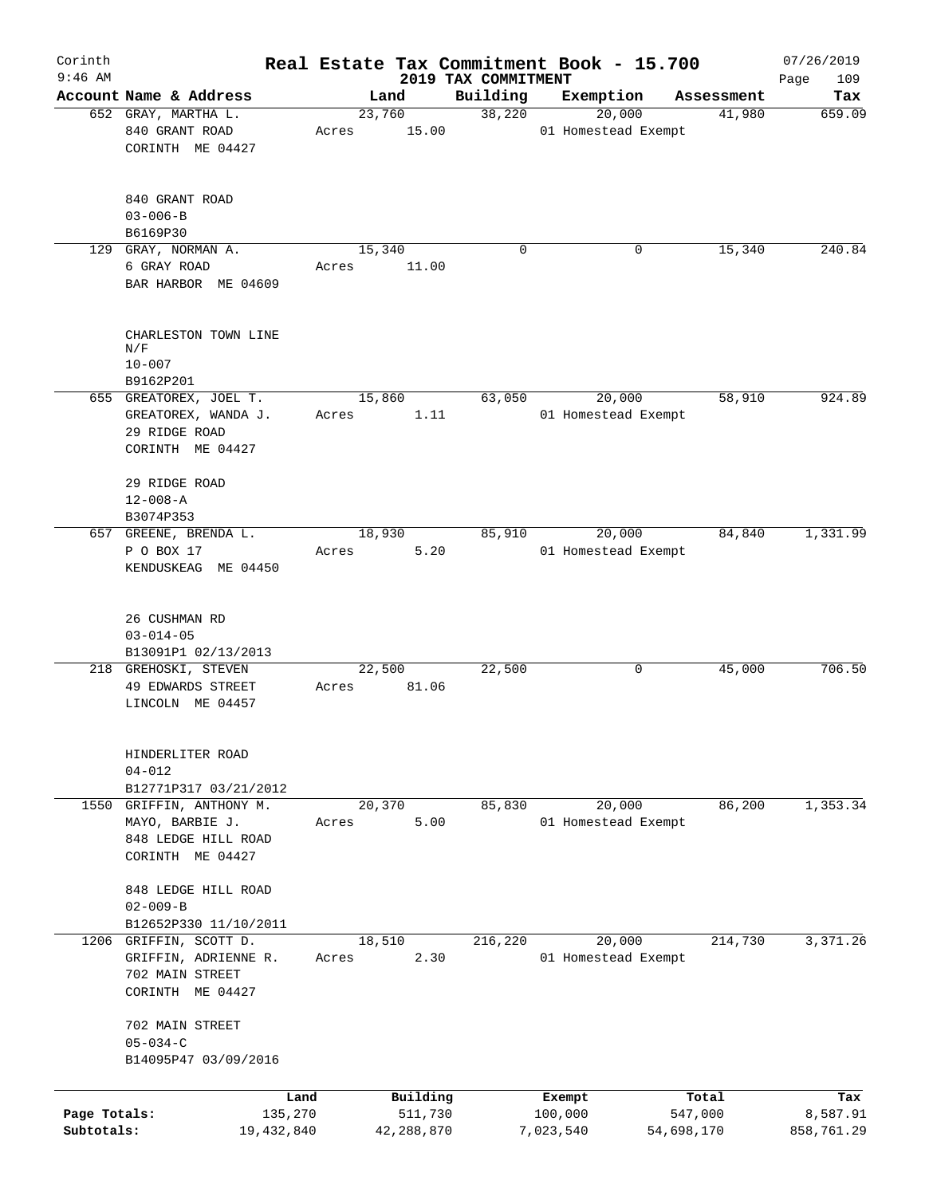| Corinth                    |                                                                                      |                 |                       |                                 | Real Estate Tax Commitment Book - 15.700 |                       | 07/26/2019             |
|----------------------------|--------------------------------------------------------------------------------------|-----------------|-----------------------|---------------------------------|------------------------------------------|-----------------------|------------------------|
| $9:46$ AM                  | Account Name & Address                                                               | Land            |                       | 2019 TAX COMMITMENT<br>Building | Exemption                                | Assessment            | 109<br>Page<br>Tax     |
|                            | 652 GRAY, MARTHA L.                                                                  | 23,760          |                       | 38,220                          | 20,000                                   | 41,980                | 659.09                 |
|                            | 840 GRANT ROAD<br>CORINTH ME 04427                                                   | Acres           | 15.00                 |                                 | 01 Homestead Exempt                      |                       |                        |
|                            | 840 GRANT ROAD<br>$03 - 006 - B$                                                     |                 |                       |                                 |                                          |                       |                        |
|                            | B6169P30<br>129 GRAY, NORMAN A.                                                      | 15,340          |                       | 0                               | 0                                        | 15,340                | 240.84                 |
|                            | 6 GRAY ROAD<br>BAR HARBOR ME 04609                                                   | Acres           | 11.00                 |                                 |                                          |                       |                        |
|                            | CHARLESTON TOWN LINE<br>N/F                                                          |                 |                       |                                 |                                          |                       |                        |
|                            | $10 - 007$<br>B9162P201                                                              |                 |                       |                                 |                                          |                       |                        |
|                            | 655 GREATOREX, JOEL T.                                                               | 15,860          |                       | 63,050                          | 20,000                                   | 58,910                | 924.89                 |
|                            | GREATOREX, WANDA J.<br>29 RIDGE ROAD<br>CORINTH ME 04427                             | Acres           | 1.11                  |                                 | 01 Homestead Exempt                      |                       |                        |
|                            | 29 RIDGE ROAD<br>$12 - 008 - A$<br>B3074P353                                         |                 |                       |                                 |                                          |                       |                        |
|                            | 657 GREENE, BRENDA L.                                                                | 18,930          |                       | 85,910                          | 20,000                                   | 84,840                | 1,331.99               |
|                            | P O BOX 17<br>KENDUSKEAG ME 04450                                                    | Acres           | 5.20                  |                                 | 01 Homestead Exempt                      |                       |                        |
|                            | 26 CUSHMAN RD<br>$03 - 014 - 05$                                                     |                 |                       |                                 |                                          |                       |                        |
|                            | B13091P1 02/13/2013<br>218 GREHOSKI, STEVEN<br>49 EDWARDS STREET<br>LINCOLN ME 04457 | 22,500<br>Acres | 81.06                 | 22,500                          | 0                                        | 45,000                | 706.50                 |
|                            | HINDERLITER ROAD<br>$04 - 012$<br>B12771P317 03/21/2012                              |                 |                       |                                 |                                          |                       |                        |
|                            | 1550 GRIFFIN, ANTHONY M.                                                             | 20,370          |                       | 85,830                          | 20,000                                   | 86,200                | 1,353.34               |
|                            | MAYO, BARBIE J.<br>848 LEDGE HILL ROAD<br>CORINTH ME 04427                           | Acres           | 5.00                  |                                 | 01 Homestead Exempt                      |                       |                        |
|                            | 848 LEDGE HILL ROAD<br>$02 - 009 - B$<br>B12652P330 11/10/2011                       |                 |                       |                                 |                                          |                       |                        |
|                            | 1206 GRIFFIN, SCOTT D.                                                               | 18,510          |                       | 216,220                         | 20,000                                   | 214,730               | 3,371.26               |
|                            | GRIFFIN, ADRIENNE R.<br>702 MAIN STREET<br>CORINTH ME 04427                          | Acres           | 2.30                  |                                 | 01 Homestead Exempt                      |                       |                        |
|                            | 702 MAIN STREET<br>$05 - 034 - C$<br>B14095P47 03/09/2016                            |                 |                       |                                 |                                          |                       |                        |
|                            | Land                                                                                 |                 | Building              |                                 | Exempt                                   | Total                 | Tax                    |
| Page Totals:<br>Subtotals: | 135,270<br>19,432,840                                                                |                 | 511,730<br>42,288,870 |                                 | 100,000<br>7,023,540                     | 547,000<br>54,698,170 | 8,587.91<br>858,761.29 |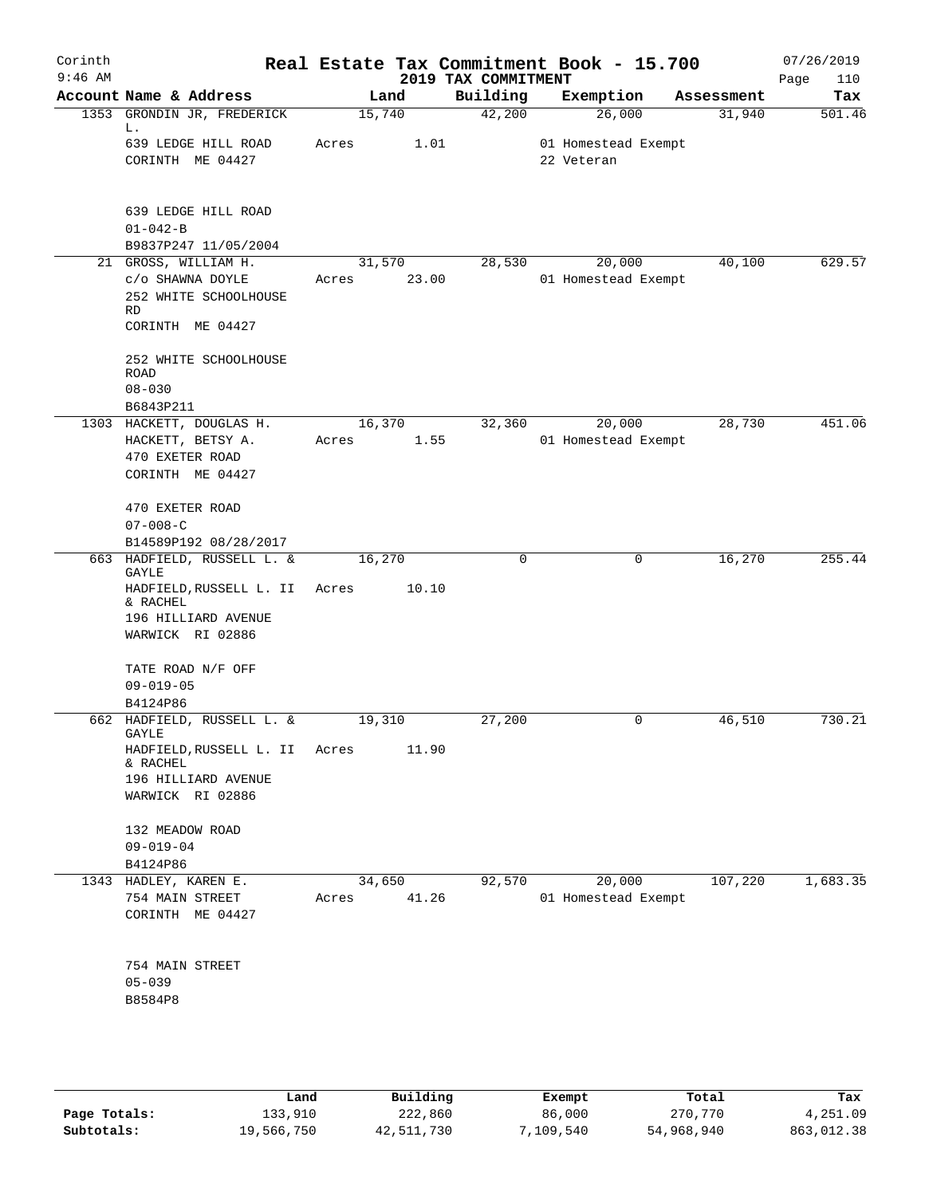| Corinth<br>$9:46$ AM |                                                                      |       |                 | 2019 TAX COMMITMENT | Real Estate Tax Commitment Book - 15.700 |            | 07/26/2019<br>110<br>Page |
|----------------------|----------------------------------------------------------------------|-------|-----------------|---------------------|------------------------------------------|------------|---------------------------|
|                      | Account Name & Address                                               |       | Land            | Building            | Exemption                                | Assessment | Tax                       |
|                      | 1353 GRONDIN JR, FREDERICK<br>L.                                     |       | 15,740          | 42,200              | 26,000                                   | 31,940     | 501.46                    |
|                      | 639 LEDGE HILL ROAD<br>CORINTH ME 04427                              | Acres | 1.01            |                     | 01 Homestead Exempt<br>22 Veteran        |            |                           |
|                      | 639 LEDGE HILL ROAD<br>$01 - 042 - B$                                |       |                 |                     |                                          |            |                           |
|                      | B9837P247 11/05/2004<br>21 GROSS, WILLIAM H.                         |       | 31,570          | 28,530              | 20,000                                   | 40,100     | 629.57                    |
|                      | C/O SHAWNA DOYLE<br>252 WHITE SCHOOLHOUSE<br>RD                      | Acres | 23.00           |                     | 01 Homestead Exempt                      |            |                           |
|                      | CORINTH ME 04427                                                     |       |                 |                     |                                          |            |                           |
|                      | 252 WHITE SCHOOLHOUSE<br>ROAD<br>$08 - 030$                          |       |                 |                     |                                          |            |                           |
|                      | B6843P211                                                            |       |                 |                     |                                          |            |                           |
|                      | 1303 HACKETT, DOUGLAS H.                                             |       | 16,370          | 32,360              | 20,000                                   | 28,730     | 451.06                    |
|                      | HACKETT, BETSY A.<br>470 EXETER ROAD<br>CORINTH ME 04427             | Acres | 1.55            |                     | 01 Homestead Exempt                      |            |                           |
|                      | 470 EXETER ROAD<br>$07 - 008 - C$                                    |       |                 |                     |                                          |            |                           |
|                      | B14589P192 08/28/2017                                                |       |                 |                     |                                          |            |                           |
|                      | 663 HADFIELD, RUSSELL L. &<br>GAYLE                                  |       | 16,270          | $\mathbf 0$         | 0                                        | 16,270     | 255.44                    |
|                      | HADFIELD, RUSSELL L. II<br>& RACHEL<br>196 HILLIARD AVENUE           | Acres | 10.10           |                     |                                          |            |                           |
|                      | WARWICK RI 02886                                                     |       |                 |                     |                                          |            |                           |
|                      | TATE ROAD N/F OFF<br>$09 - 019 - 05$                                 |       |                 |                     |                                          |            |                           |
|                      | B4124P86                                                             |       |                 |                     |                                          |            |                           |
|                      | 662 HADFIELD, RUSSELL L. &<br>GAYLE<br>HADFIELD, RUSSELL L. II Acres |       | 19,310<br>11.90 | 27,200              | 0                                        | 46,510     | 730.21                    |
|                      | & RACHEL<br>196 HILLIARD AVENUE                                      |       |                 |                     |                                          |            |                           |
|                      | WARWICK RI 02886                                                     |       |                 |                     |                                          |            |                           |
|                      | 132 MEADOW ROAD                                                      |       |                 |                     |                                          |            |                           |
|                      | $09 - 019 - 04$                                                      |       |                 |                     |                                          |            |                           |
|                      | B4124P86                                                             |       |                 |                     |                                          |            |                           |
|                      | 1343 HADLEY, KAREN E.<br>754 MAIN STREET<br>CORINTH ME 04427         | Acres | 34,650<br>41.26 | 92,570              | 20,000<br>01 Homestead Exempt            | 107,220    | 1,683.35                  |
|                      | 754 MAIN STREET                                                      |       |                 |                     |                                          |            |                           |
|                      | $05 - 039$                                                           |       |                 |                     |                                          |            |                           |
|                      | B8584P8                                                              |       |                 |                     |                                          |            |                           |
|                      |                                                                      |       |                 |                     |                                          |            |                           |
|                      |                                                                      |       |                 |                     |                                          |            |                           |

|              | Land       | Building   | Exempt    | Total      | Tax        |
|--------------|------------|------------|-----------|------------|------------|
| Page Totals: | 133,910    | 222,860    | 86,000    | 270,770    | 4,251.09   |
| Subtotals:   | 19,566,750 | 42,511,730 | 7,109,540 | 54,968,940 | 863,012.38 |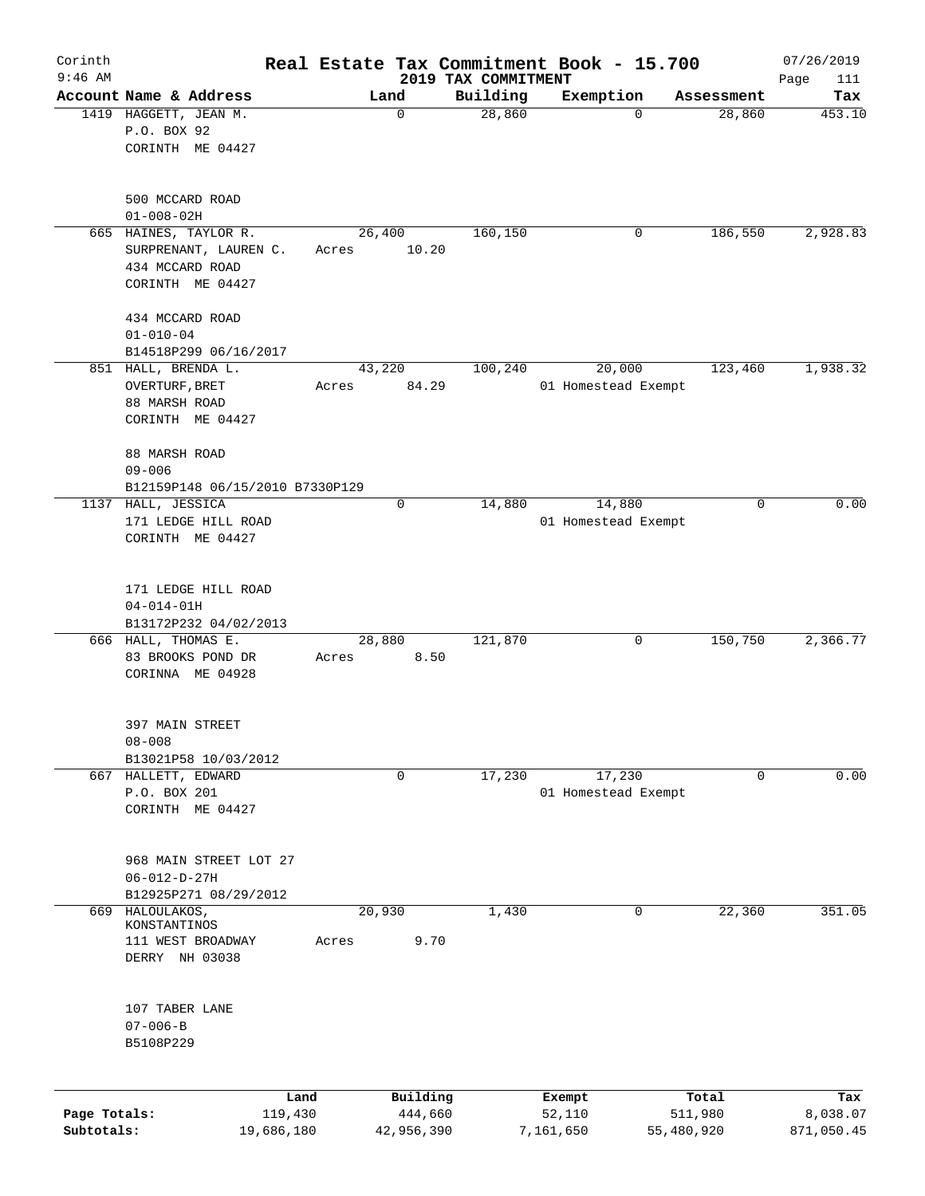| Corinth<br>$9:46$ AM       |                                                                                       |                 |                       | 2019 TAX COMMITMENT | Real Estate Tax Commitment Book - 15.700 |                       | 07/26/2019<br>Page<br>111 |
|----------------------------|---------------------------------------------------------------------------------------|-----------------|-----------------------|---------------------|------------------------------------------|-----------------------|---------------------------|
|                            | Account Name & Address                                                                |                 | Land                  | Building            | Exemption                                | Assessment            | Tax                       |
|                            | 1419 HAGGETT, JEAN M.<br>P.O. BOX 92                                                  |                 | $\mathbf 0$           | 28,860              | $\mathbf 0$                              | 28,860                | 453.10                    |
|                            | CORINTH ME 04427                                                                      |                 |                       |                     |                                          |                       |                           |
|                            | 500 MCCARD ROAD<br>$01 - 008 - 02H$                                                   |                 |                       |                     |                                          |                       |                           |
|                            | 665 HAINES, TAYLOR R.<br>SURPRENANT, LAUREN C.<br>434 MCCARD ROAD<br>CORINTH ME 04427 | 26,400<br>Acres | 10.20                 | 160, 150            | 0                                        | 186,550               | 2,928.83                  |
|                            | 434 MCCARD ROAD<br>$01 - 010 - 04$<br>B14518P299 06/16/2017                           |                 |                       |                     |                                          |                       |                           |
|                            | 851 HALL, BRENDA L.                                                                   | 43,220          |                       | 100,240             | 20,000                                   | 123,460               | 1,938.32                  |
|                            | OVERTURF, BRET<br>88 MARSH ROAD<br>CORINTH ME 04427                                   | Acres           | 84.29                 |                     | 01 Homestead Exempt                      |                       |                           |
|                            | 88 MARSH ROAD<br>$09 - 006$<br>B12159P148 06/15/2010 B7330P129                        |                 |                       |                     |                                          |                       |                           |
|                            | 1137 HALL, JESSICA                                                                    |                 | 0                     | 14,880              | 14,880                                   | 0                     | 0.00                      |
|                            | 171 LEDGE HILL ROAD<br>CORINTH ME 04427                                               |                 |                       |                     | 01 Homestead Exempt                      |                       |                           |
|                            | 171 LEDGE HILL ROAD<br>$04 - 014 - 01H$<br>B13172P232 04/02/2013                      |                 |                       |                     |                                          |                       |                           |
|                            | 666 HALL, THOMAS E.                                                                   | 28,880          |                       | 121,870             | 0                                        | 150,750               | 2,366.77                  |
|                            | 83 BROOKS POND DR<br>CORINNA ME 04928                                                 | Acres           | 8.50                  |                     |                                          |                       |                           |
|                            | 397 MAIN STREET<br>$08 - 008$<br>B13021P58 10/03/2012                                 |                 |                       |                     |                                          |                       |                           |
| 667                        | HALLETT, EDWARD                                                                       |                 | 0                     | 17,230              | 17,230                                   | 0                     | 0.00                      |
|                            | P.O. BOX 201<br>CORINTH ME 04427                                                      |                 |                       |                     | 01 Homestead Exempt                      |                       |                           |
|                            | 968 MAIN STREET LOT 27<br>$06 - 012 - D - 27H$<br>B12925P271 08/29/2012               |                 |                       |                     |                                          |                       |                           |
| 669                        | HALOULAKOS,                                                                           | 20,930          |                       | 1,430               | 0                                        | 22,360                | 351.05                    |
|                            | KONSTANTINOS                                                                          |                 |                       |                     |                                          |                       |                           |
|                            | 111 WEST BROADWAY<br>DERRY NH 03038                                                   | Acres           | 9.70                  |                     |                                          |                       |                           |
|                            | 107 TABER LANE<br>$07 - 006 - B$<br>B5108P229                                         |                 |                       |                     |                                          |                       |                           |
|                            |                                                                                       | Land            | Building              |                     | Exempt                                   | Total                 | Tax                       |
| Page Totals:<br>Subtotals: | 119,430<br>19,686,180                                                                 |                 | 444,660<br>42,956,390 |                     | 52,110<br>7,161,650                      | 511,980<br>55,480,920 | 8,038.07<br>871,050.45    |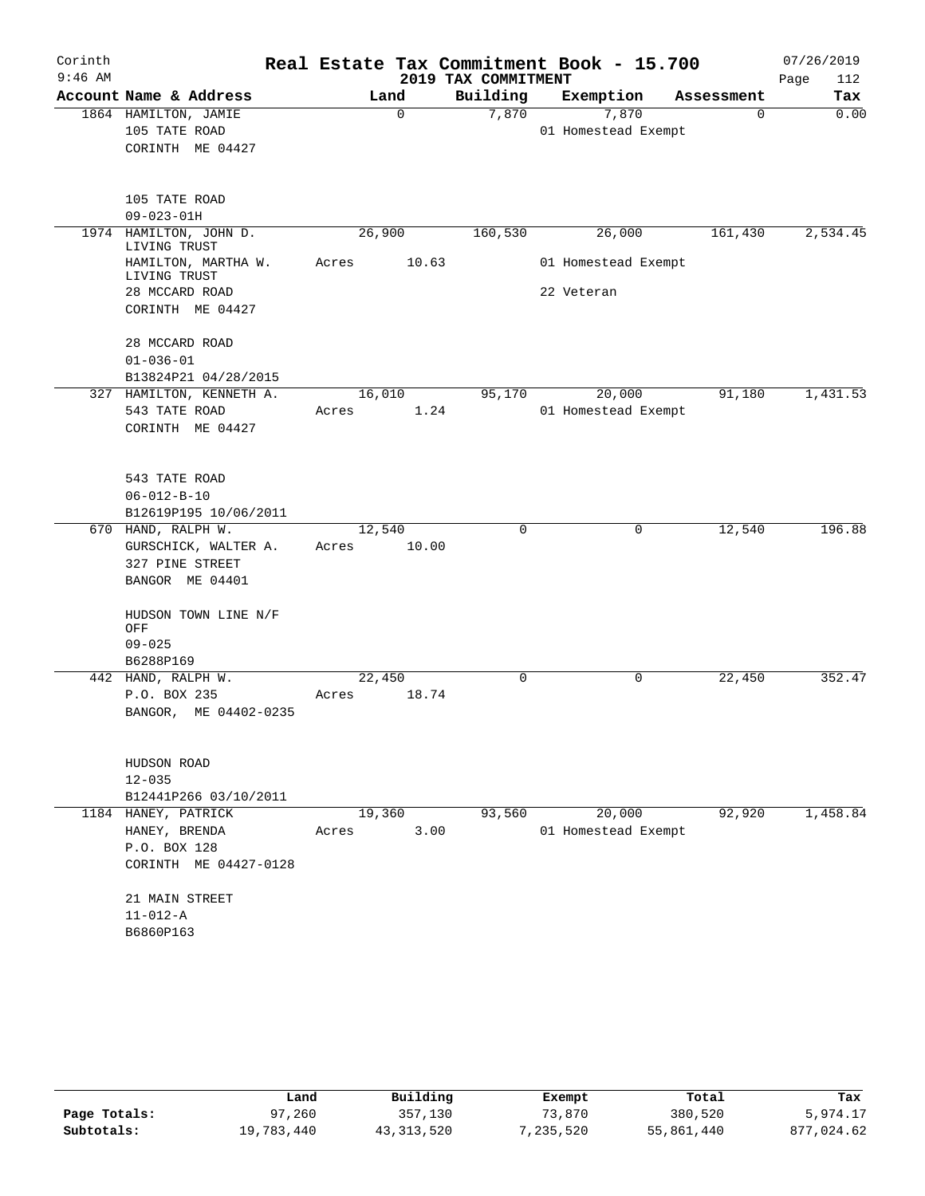| Corinth   |                                           |       |        |          |                     | Real Estate Tax Commitment Book - 15.700 |            | 07/26/2019  |
|-----------|-------------------------------------------|-------|--------|----------|---------------------|------------------------------------------|------------|-------------|
| $9:46$ AM |                                           |       |        |          | 2019 TAX COMMITMENT |                                          |            | 112<br>Page |
|           | Account Name & Address                    |       |        | Land     | Building            | Exemption                                | Assessment | Tax         |
|           | 1864 HAMILTON, JAMIE                      |       |        | $\Omega$ | 7,870               | 7,870                                    | $\Omega$   | 0.00        |
|           | 105 TATE ROAD                             |       |        |          |                     | 01 Homestead Exempt                      |            |             |
|           | CORINTH ME 04427                          |       |        |          |                     |                                          |            |             |
|           | 105 TATE ROAD                             |       |        |          |                     |                                          |            |             |
|           | $09 - 023 - 01H$                          |       |        |          |                     |                                          |            |             |
|           | 1974 HAMILTON, JOHN D.<br>LIVING TRUST    |       | 26,900 |          | 160,530             | 26,000                                   | 161,430    | 2,534.45    |
|           | HAMILTON, MARTHA W.<br>LIVING TRUST       | Acres |        | 10.63    |                     | 01 Homestead Exempt                      |            |             |
|           | 28 MCCARD ROAD                            |       |        |          |                     | 22 Veteran                               |            |             |
|           | CORINTH ME 04427                          |       |        |          |                     |                                          |            |             |
|           | 28 MCCARD ROAD                            |       |        |          |                     |                                          |            |             |
|           | $01 - 036 - 01$                           |       |        |          |                     |                                          |            |             |
|           | B13824P21 04/28/2015                      |       | 16,010 |          | 95,170              | 20,000                                   | 91,180     | 1,431.53    |
|           | 327 HAMILTON, KENNETH A.<br>543 TATE ROAD |       |        |          |                     | 01 Homestead Exempt                      |            |             |
|           | CORINTH ME 04427                          | Acres |        | 1.24     |                     |                                          |            |             |
|           |                                           |       |        |          |                     |                                          |            |             |
|           | 543 TATE ROAD                             |       |        |          |                     |                                          |            |             |
|           | $06 - 012 - B - 10$                       |       |        |          |                     |                                          |            |             |
|           | B12619P195 10/06/2011                     |       |        |          | $\mathbf 0$         |                                          |            | 196.88      |
|           | 670 HAND, RALPH W.                        |       | 12,540 |          |                     | 0                                        | 12,540     |             |
|           | GURSCHICK, WALTER A.<br>327 PINE STREET   | Acres |        | 10.00    |                     |                                          |            |             |
|           | BANGOR ME 04401                           |       |        |          |                     |                                          |            |             |
|           |                                           |       |        |          |                     |                                          |            |             |
|           | HUDSON TOWN LINE N/F<br>OFF               |       |        |          |                     |                                          |            |             |
|           | $09 - 025$                                |       |        |          |                     |                                          |            |             |
|           | B6288P169                                 |       |        |          |                     |                                          |            |             |
|           | 442 HAND, RALPH W.                        |       | 22,450 |          | $\mathbf 0$         | 0                                        | 22,450     | 352.47      |
|           | P.O. BOX 235                              | Acres |        | 18.74    |                     |                                          |            |             |
|           | BANGOR, ME 04402-0235                     |       |        |          |                     |                                          |            |             |
|           | HUDSON ROAD                               |       |        |          |                     |                                          |            |             |
|           | $12 - 035$                                |       |        |          |                     |                                          |            |             |
|           | B12441P266 03/10/2011                     |       |        |          |                     |                                          |            |             |
|           | 1184 HANEY, PATRICK                       |       | 19,360 |          | 93,560              | 20,000                                   | 92,920     | 1,458.84    |
|           | HANEY, BRENDA                             | Acres |        | 3.00     |                     | 01 Homestead Exempt                      |            |             |
|           | P.O. BOX 128                              |       |        |          |                     |                                          |            |             |
|           | CORINTH ME 04427-0128                     |       |        |          |                     |                                          |            |             |
|           | 21 MAIN STREET                            |       |        |          |                     |                                          |            |             |
|           | $11 - 012 - A$                            |       |        |          |                     |                                          |            |             |
|           | B6860P163                                 |       |        |          |                     |                                          |            |             |
|           |                                           |       |        |          |                     |                                          |            |             |

|              | Land       | Building     | Exempt    | Total      | Tax        |
|--------------|------------|--------------|-----------|------------|------------|
| Page Totals: | 97,260     | 357,130      | 73,870    | 380,520    | 5,974.17   |
| Subtotals:   | 19,783,440 | 43, 313, 520 | 7,235,520 | 55,861,440 | 877,024.62 |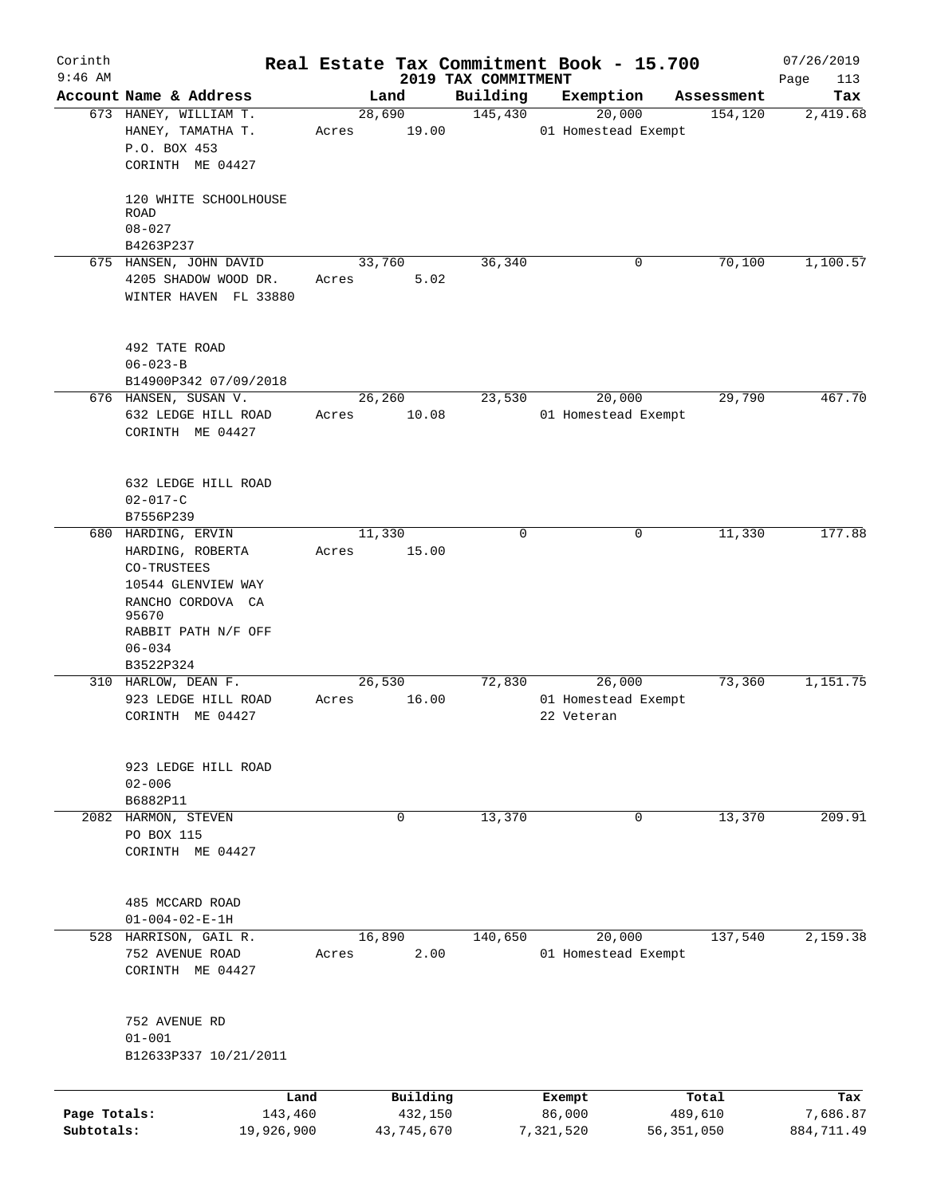| Corinth      |                                             |       |            |                                 | Real Estate Tax Commitment Book - 15.700 |              | 07/26/2019         |
|--------------|---------------------------------------------|-------|------------|---------------------------------|------------------------------------------|--------------|--------------------|
| $9:46$ AM    | Account Name & Address                      |       | Land       | 2019 TAX COMMITMENT<br>Building | Exemption                                | Assessment   | Page<br>113<br>Tax |
|              | 673 HANEY, WILLIAM T.                       |       | 28,690     | 145,430                         | 20,000                                   | 154,120      | 2,419.68           |
|              | HANEY, TAMATHA T.                           | Acres | 19.00      |                                 | 01 Homestead Exempt                      |              |                    |
|              | P.O. BOX 453                                |       |            |                                 |                                          |              |                    |
|              | CORINTH ME 04427                            |       |            |                                 |                                          |              |                    |
|              |                                             |       |            |                                 |                                          |              |                    |
|              | 120 WHITE SCHOOLHOUSE                       |       |            |                                 |                                          |              |                    |
|              | <b>ROAD</b>                                 |       |            |                                 |                                          |              |                    |
|              | $08 - 027$                                  |       |            |                                 |                                          |              |                    |
|              | B4263P237                                   |       |            |                                 |                                          |              |                    |
|              | 675 HANSEN, JOHN DAVID                      |       | 33,760     | 36,340                          | 0                                        | 70,100       | 1,100.57           |
|              | 4205 SHADOW WOOD DR.                        | Acres | 5.02       |                                 |                                          |              |                    |
|              | WINTER HAVEN FL 33880                       |       |            |                                 |                                          |              |                    |
|              |                                             |       |            |                                 |                                          |              |                    |
|              | 492 TATE ROAD                               |       |            |                                 |                                          |              |                    |
|              | $06 - 023 - B$<br>B14900P342 07/09/2018     |       |            |                                 |                                          |              |                    |
|              | 676 HANSEN, SUSAN V.                        |       | 26,260     | 23,530                          | 20,000                                   | 29,790       | 467.70             |
|              | 632 LEDGE HILL ROAD                         | Acres | 10.08      |                                 | 01 Homestead Exempt                      |              |                    |
|              | CORINTH ME 04427                            |       |            |                                 |                                          |              |                    |
|              |                                             |       |            |                                 |                                          |              |                    |
|              | 632 LEDGE HILL ROAD                         |       |            |                                 |                                          |              |                    |
|              | $02 - 017 - C$                              |       |            |                                 |                                          |              |                    |
|              | B7556P239                                   |       |            |                                 |                                          |              |                    |
|              | 680 HARDING, ERVIN                          |       | 11,330     | $\Omega$                        | 0                                        | 11,330       | 177.88             |
|              | HARDING, ROBERTA                            | Acres | 15.00      |                                 |                                          |              |                    |
|              | CO-TRUSTEES                                 |       |            |                                 |                                          |              |                    |
|              | 10544 GLENVIEW WAY                          |       |            |                                 |                                          |              |                    |
|              | RANCHO CORDOVA CA                           |       |            |                                 |                                          |              |                    |
|              | 95670                                       |       |            |                                 |                                          |              |                    |
|              | RABBIT PATH N/F OFF                         |       |            |                                 |                                          |              |                    |
|              | $06 - 034$                                  |       |            |                                 |                                          |              |                    |
|              | B3522P324                                   |       |            |                                 |                                          |              |                    |
|              | 310 HARLOW, DEAN F.                         |       | 26,530     | 72,830                          | 26,000                                   | 73,360       | 1,151.75           |
|              | 923 LEDGE HILL ROAD                         | Acres | 16.00      |                                 | 01 Homestead Exempt                      |              |                    |
|              | CORINTH ME 04427                            |       |            |                                 | 22 Veteran                               |              |                    |
|              | 923 LEDGE HILL ROAD                         |       |            |                                 |                                          |              |                    |
|              | $02 - 006$                                  |       |            |                                 |                                          |              |                    |
|              | B6882P11                                    |       |            |                                 |                                          |              |                    |
|              | 2082 HARMON, STEVEN                         |       | 0          | 13,370                          | 0                                        | 13,370       | 209.91             |
|              | PO BOX 115                                  |       |            |                                 |                                          |              |                    |
|              | CORINTH ME 04427                            |       |            |                                 |                                          |              |                    |
|              |                                             |       |            |                                 |                                          |              |                    |
|              |                                             |       |            |                                 |                                          |              |                    |
|              | 485 MCCARD ROAD<br>$01 - 004 - 02 - E - 1H$ |       |            |                                 |                                          |              |                    |
|              | 528 HARRISON, GAIL R.                       |       | 16,890     | 140,650                         | 20,000                                   | 137,540      | 2,159.38           |
|              | 752 AVENUE ROAD                             | Acres | 2.00       |                                 | 01 Homestead Exempt                      |              |                    |
|              | CORINTH ME 04427                            |       |            |                                 |                                          |              |                    |
|              |                                             |       |            |                                 |                                          |              |                    |
|              | 752 AVENUE RD                               |       |            |                                 |                                          |              |                    |
|              | $01 - 001$                                  |       |            |                                 |                                          |              |                    |
|              | B12633P337 10/21/2011                       |       |            |                                 |                                          |              |                    |
|              |                                             |       |            |                                 |                                          |              |                    |
|              | Land                                        |       | Building   |                                 | Exempt                                   | Total        | Tax                |
| Page Totals: | 143,460                                     |       | 432,150    |                                 | 86,000                                   | 489,610      | 7,686.87           |
| Subtotals:   | 19,926,900                                  |       | 43,745,670 |                                 | 7,321,520                                | 56, 351, 050 | 884,711.49         |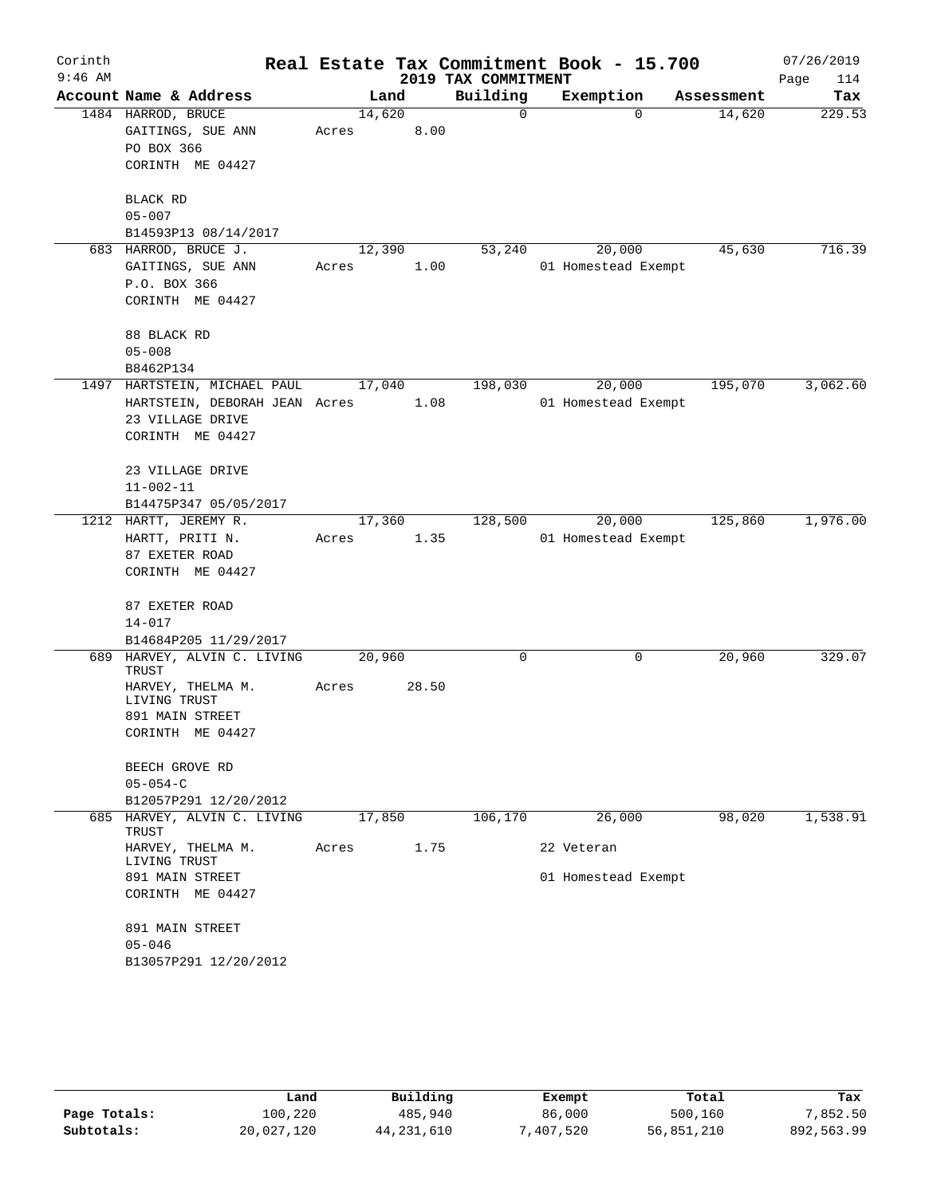| Corinth   |                                      |        |       |      |                     | Real Estate Tax Commitment Book - 15.700 |            | 07/26/2019  |
|-----------|--------------------------------------|--------|-------|------|---------------------|------------------------------------------|------------|-------------|
| $9:46$ AM |                                      |        |       |      | 2019 TAX COMMITMENT |                                          |            | Page<br>114 |
|           | Account Name & Address               |        | Land  |      | Building            | Exemption                                | Assessment | Tax         |
|           | 1484 HARROD, BRUCE                   | 14,620 |       |      | $\mathbf 0$         | $\Omega$                                 | 14,620     | 229.53      |
|           | GAITINGS, SUE ANN                    | Acres  | 8.00  |      |                     |                                          |            |             |
|           | PO BOX 366                           |        |       |      |                     |                                          |            |             |
|           | CORINTH ME 04427                     |        |       |      |                     |                                          |            |             |
|           | BLACK RD                             |        |       |      |                     |                                          |            |             |
|           | $05 - 007$                           |        |       |      |                     |                                          |            |             |
|           | B14593P13 08/14/2017                 |        |       |      |                     |                                          |            |             |
|           | 683 HARROD, BRUCE J.                 | 12,390 |       |      | 53,240              | 20,000                                   | 45,630     | 716.39      |
|           | GAITINGS, SUE ANN                    | Acres  |       | 1.00 |                     | 01 Homestead Exempt                      |            |             |
|           | P.O. BOX 366                         |        |       |      |                     |                                          |            |             |
|           | CORINTH ME 04427                     |        |       |      |                     |                                          |            |             |
|           | 88 BLACK RD                          |        |       |      |                     |                                          |            |             |
|           | $05 - 008$                           |        |       |      |                     |                                          |            |             |
|           | B8462P134                            |        |       |      |                     |                                          |            |             |
|           | 1497 HARTSTEIN, MICHAEL PAUL         | 17,040 |       |      | 198,030             | 20,000                                   | 195,070    | 3,062.60    |
|           | HARTSTEIN, DEBORAH JEAN Acres        |        | 1.08  |      |                     | 01 Homestead Exempt                      |            |             |
|           | 23 VILLAGE DRIVE                     |        |       |      |                     |                                          |            |             |
|           | CORINTH ME 04427                     |        |       |      |                     |                                          |            |             |
|           | 23 VILLAGE DRIVE                     |        |       |      |                     |                                          |            |             |
|           | $11 - 002 - 11$                      |        |       |      |                     |                                          |            |             |
|           | B14475P347 05/05/2017                |        |       |      |                     |                                          |            |             |
|           | 1212 HARTT, JEREMY R.                | 17,360 |       |      | 128,500             | 20,000                                   | 125,860    | 1,976.00    |
|           | HARTT, PRITI N.                      | Acres  |       | 1.35 |                     | 01 Homestead Exempt                      |            |             |
|           | 87 EXETER ROAD                       |        |       |      |                     |                                          |            |             |
|           | CORINTH ME 04427                     |        |       |      |                     |                                          |            |             |
|           | 87 EXETER ROAD                       |        |       |      |                     |                                          |            |             |
|           | $14 - 017$                           |        |       |      |                     |                                          |            |             |
|           | B14684P205 11/29/2017                |        |       |      |                     |                                          |            |             |
| 689       | HARVEY, ALVIN C. LIVING<br>TRUST     | 20,960 |       |      | 0                   | 0                                        | 20,960     | 329.07      |
|           | HARVEY, THELMA M.<br>LIVING TRUST    | Acres  | 28.50 |      |                     |                                          |            |             |
|           | 891 MAIN STREET                      |        |       |      |                     |                                          |            |             |
|           | CORINTH ME 04427                     |        |       |      |                     |                                          |            |             |
|           | BEECH GROVE RD                       |        |       |      |                     |                                          |            |             |
|           | $05 - 054 - C$                       |        |       |      |                     |                                          |            |             |
|           | B12057P291 12/20/2012                |        |       |      |                     |                                          |            |             |
|           | 685 HARVEY, ALVIN C. LIVING<br>TRUST | 17,850 |       |      | 106,170             | 26,000                                   | 98,020     | 1,538.91    |
|           | HARVEY, THELMA M.<br>LIVING TRUST    | Acres  |       | 1.75 |                     | 22 Veteran                               |            |             |
|           | 891 MAIN STREET                      |        |       |      |                     | 01 Homestead Exempt                      |            |             |
|           | CORINTH ME 04427                     |        |       |      |                     |                                          |            |             |
|           | 891 MAIN STREET                      |        |       |      |                     |                                          |            |             |
|           | $05 - 046$                           |        |       |      |                     |                                          |            |             |
|           | B13057P291 12/20/2012                |        |       |      |                     |                                          |            |             |

|              | Land       | Building   | Exempt   | Total      | Tax        |
|--------------|------------|------------|----------|------------|------------|
| Page Totals: | 100,220    | 485,940    | 86,000   | 500,160    | 7,852.50   |
| Subtotals:   | 20,027,120 | 44,231,610 | ,407,520 | 56,851,210 | 892,563.99 |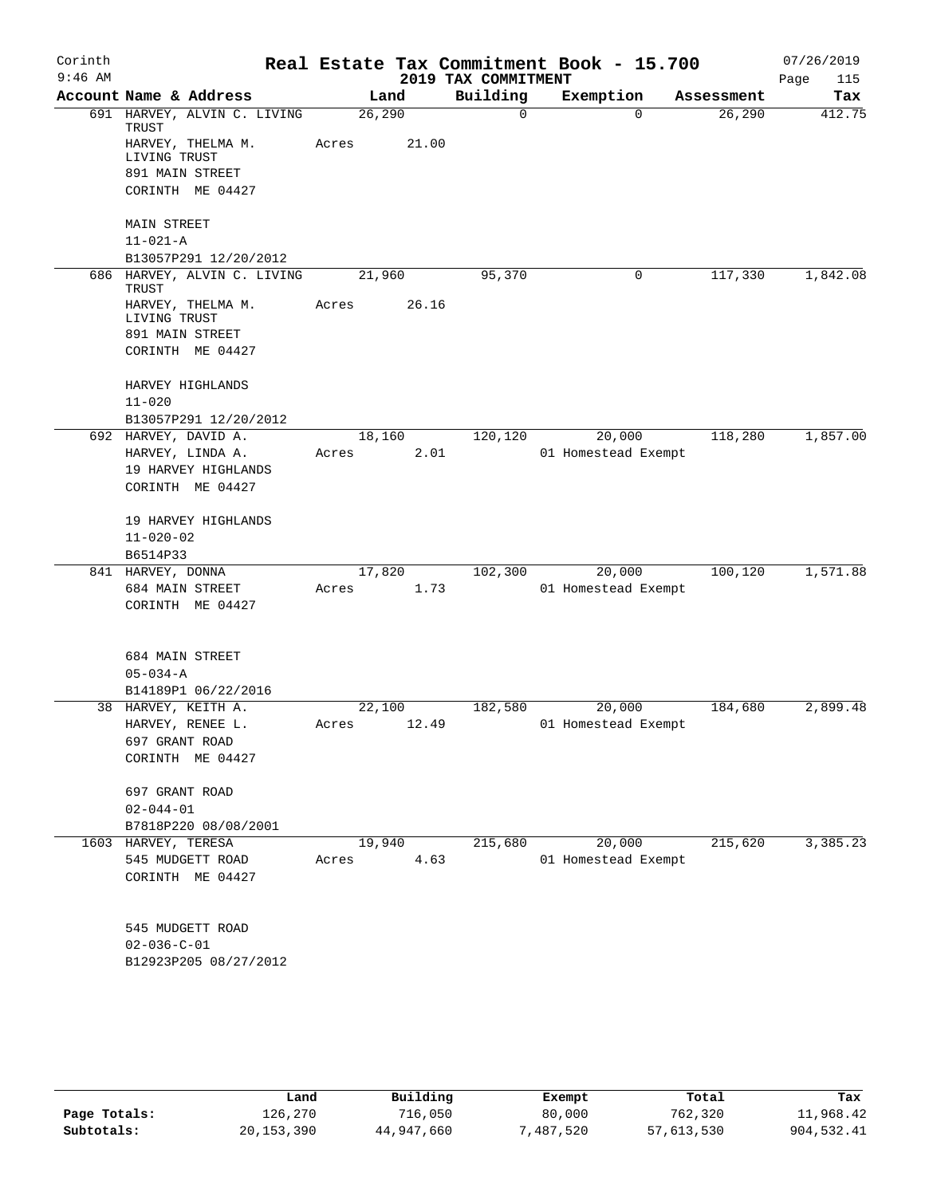| Corinth<br>$9:46$ AM |                                                      |         |       | 2019 TAX COMMITMENT | Real Estate Tax Commitment Book - 15.700 |            | 07/26/2019<br>115 |
|----------------------|------------------------------------------------------|---------|-------|---------------------|------------------------------------------|------------|-------------------|
|                      | Account Name & Address                               |         | Land  | Building            | Exemption                                | Assessment | Page<br>Tax       |
|                      | 691 HARVEY, ALVIN C. LIVING                          | 26, 290 |       | 0                   | $\Omega$                                 | 26, 290    | 412.75            |
|                      | TRUST<br>HARVEY, THELMA M.<br>LIVING TRUST           | Acres   | 21.00 |                     |                                          |            |                   |
|                      | 891 MAIN STREET                                      |         |       |                     |                                          |            |                   |
|                      | CORINTH ME 04427                                     |         |       |                     |                                          |            |                   |
|                      |                                                      |         |       |                     |                                          |            |                   |
|                      | <b>MAIN STREET</b>                                   |         |       |                     |                                          |            |                   |
|                      | $11 - 021 - A$                                       |         |       |                     |                                          |            |                   |
|                      | B13057P291 12/20/2012<br>686 HARVEY, ALVIN C. LIVING | 21,960  |       | 95,370              | $\mathbf 0$                              | 117,330    | 1,842.08          |
|                      | TRUST                                                |         |       |                     |                                          |            |                   |
|                      | HARVEY, THELMA M.<br>LIVING TRUST                    | Acres   | 26.16 |                     |                                          |            |                   |
|                      | 891 MAIN STREET                                      |         |       |                     |                                          |            |                   |
|                      | CORINTH ME 04427                                     |         |       |                     |                                          |            |                   |
|                      |                                                      |         |       |                     |                                          |            |                   |
|                      | HARVEY HIGHLANDS<br>$11 - 020$                       |         |       |                     |                                          |            |                   |
|                      | B13057P291 12/20/2012                                |         |       |                     |                                          |            |                   |
|                      | 692 HARVEY, DAVID A.                                 | 18,160  |       | 120,120             | 20,000                                   | 118,280    | 1,857.00          |
|                      | HARVEY, LINDA A.                                     | Acres   | 2.01  |                     | 01 Homestead Exempt                      |            |                   |
|                      | 19 HARVEY HIGHLANDS                                  |         |       |                     |                                          |            |                   |
|                      | CORINTH ME 04427                                     |         |       |                     |                                          |            |                   |
|                      | 19 HARVEY HIGHLANDS                                  |         |       |                     |                                          |            |                   |
|                      | $11 - 020 - 02$                                      |         |       |                     |                                          |            |                   |
|                      | B6514P33                                             |         |       |                     |                                          |            |                   |
|                      | 841 HARVEY, DONNA                                    | 17,820  |       | 102,300             | 20,000                                   | 100,120    | 1,571.88          |
|                      | 684 MAIN STREET                                      | Acres   | 1.73  |                     | 01 Homestead Exempt                      |            |                   |
|                      | CORINTH ME 04427                                     |         |       |                     |                                          |            |                   |
|                      | 684 MAIN STREET                                      |         |       |                     |                                          |            |                   |
|                      | $05 - 034 - A$                                       |         |       |                     |                                          |            |                   |
|                      | B14189P1 06/22/2016                                  |         |       |                     |                                          |            |                   |
|                      | 38 HARVEY, KEITH A.                                  | 22,100  |       | 182,580             | 20,000                                   | 184,680    | 2,899.48          |
|                      | HARVEY, RENEE L.                                     | Acres   | 12.49 |                     | 01 Homestead Exempt                      |            |                   |
|                      | 697 GRANT ROAD                                       |         |       |                     |                                          |            |                   |
|                      | CORINTH ME 04427                                     |         |       |                     |                                          |            |                   |
|                      | 697 GRANT ROAD                                       |         |       |                     |                                          |            |                   |
|                      | $02 - 044 - 01$                                      |         |       |                     |                                          |            |                   |
|                      | B7818P220 08/08/2001                                 |         |       |                     |                                          |            |                   |
|                      | 1603 HARVEY, TERESA                                  | 19,940  |       | 215,680             | 20,000                                   | 215,620    | 3,385.23          |
|                      | 545 MUDGETT ROAD                                     | Acres   | 4.63  |                     | 01 Homestead Exempt                      |            |                   |
|                      | CORINTH ME 04427                                     |         |       |                     |                                          |            |                   |
|                      |                                                      |         |       |                     |                                          |            |                   |
|                      | 545 MUDGETT ROAD                                     |         |       |                     |                                          |            |                   |
|                      | $02 - 036 - C - 01$                                  |         |       |                     |                                          |            |                   |
|                      | B12923P205 08/27/2012                                |         |       |                     |                                          |            |                   |
|                      |                                                      |         |       |                     |                                          |            |                   |
|                      |                                                      |         |       |                     |                                          |            |                   |
|                      |                                                      |         |       |                     |                                          |            |                   |

|              | Land       | Building   | Exempt   | Total      | Tax        |
|--------------|------------|------------|----------|------------|------------|
| Page Totals: | 126,270    | 716,050    | 80,000   | 762,320    | 11,968.42  |
| Subtotals:   | 20,153,390 | 44,947,660 | 487,520" | 57,613,530 | 904,532.41 |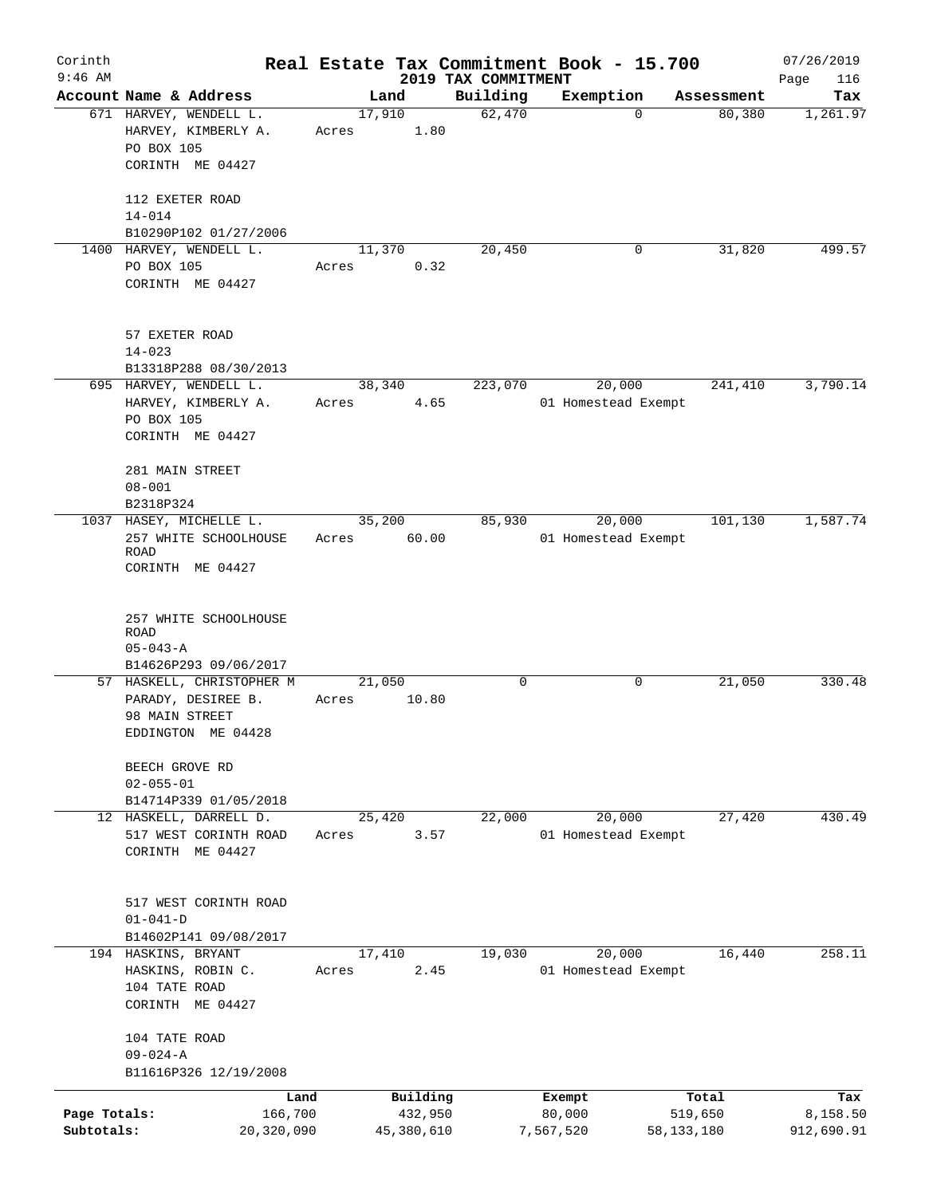| Corinth      |                                                 |       |            |                                 | Real Estate Tax Commitment Book - 15.700 |                      | 07/26/2019      |
|--------------|-------------------------------------------------|-------|------------|---------------------------------|------------------------------------------|----------------------|-----------------|
| $9:46$ AM    | Account Name & Address                          |       | Land       | 2019 TAX COMMITMENT<br>Building |                                          |                      | Page<br>116     |
|              | 671 HARVEY, WENDELL L.                          |       | 17,910     | 62,470                          | Exemption<br>$\Omega$                    | Assessment<br>80,380 | Tax<br>1,261.97 |
|              | HARVEY, KIMBERLY A.<br>PO BOX 105               | Acres | 1.80       |                                 |                                          |                      |                 |
|              | CORINTH ME 04427                                |       |            |                                 |                                          |                      |                 |
|              | 112 EXETER ROAD                                 |       |            |                                 |                                          |                      |                 |
|              | $14 - 014$<br>B10290P102 01/27/2006             |       |            |                                 |                                          |                      |                 |
|              | 1400 HARVEY, WENDELL L.                         |       | 11,370     | 20,450                          | 0                                        | 31,820               | 499.57          |
|              | PO BOX 105                                      | Acres | 0.32       |                                 |                                          |                      |                 |
|              | CORINTH ME 04427                                |       |            |                                 |                                          |                      |                 |
|              | 57 EXETER ROAD                                  |       |            |                                 |                                          |                      |                 |
|              | $14 - 023$                                      |       |            |                                 |                                          |                      |                 |
|              | B13318P288 08/30/2013                           |       |            |                                 |                                          |                      |                 |
|              | 695 HARVEY, WENDELL L.                          |       | 38,340     | 223,070                         | 20,000                                   | 241,410              | 3,790.14        |
|              | HARVEY, KIMBERLY A.                             | Acres | 4.65       |                                 | 01 Homestead Exempt                      |                      |                 |
|              | PO BOX 105                                      |       |            |                                 |                                          |                      |                 |
|              | CORINTH ME 04427                                |       |            |                                 |                                          |                      |                 |
|              | 281 MAIN STREET                                 |       |            |                                 |                                          |                      |                 |
|              | $08 - 001$                                      |       |            |                                 |                                          |                      |                 |
|              | B2318P324                                       |       |            |                                 |                                          |                      |                 |
|              | 1037 HASEY, MICHELLE L.                         |       | 35,200     | 85,930                          | 20,000                                   | 101,130              | 1,587.74        |
|              | 257 WHITE SCHOOLHOUSE                           | Acres | 60.00      |                                 | 01 Homestead Exempt                      |                      |                 |
|              | ROAD<br>CORINTH ME 04427                        |       |            |                                 |                                          |                      |                 |
|              |                                                 |       |            |                                 |                                          |                      |                 |
|              |                                                 |       |            |                                 |                                          |                      |                 |
|              | 257 WHITE SCHOOLHOUSE<br>ROAD                   |       |            |                                 |                                          |                      |                 |
|              | $05 - 043 - A$                                  |       |            |                                 |                                          |                      |                 |
|              | B14626P293 09/06/2017                           |       |            |                                 |                                          |                      |                 |
|              | 57 HASKELL, CHRISTOPHER M                       |       | 21,050     | 0                               | 0                                        | 21,050               | 330.48          |
|              | PARADY, DESIREE B.<br>98 MAIN STREET            | Acres | 10.80      |                                 |                                          |                      |                 |
|              | EDDINGTON ME 04428                              |       |            |                                 |                                          |                      |                 |
|              |                                                 |       |            |                                 |                                          |                      |                 |
|              | BEECH GROVE RD                                  |       |            |                                 |                                          |                      |                 |
|              | $02 - 055 - 01$                                 |       |            |                                 |                                          |                      |                 |
|              | B14714P339 01/05/2018<br>12 HASKELL, DARRELL D. |       | 25,420     | 22,000                          | 20,000                                   | 27,420               | 430.49          |
|              | 517 WEST CORINTH ROAD                           | Acres | 3.57       |                                 | 01 Homestead Exempt                      |                      |                 |
|              | CORINTH ME 04427                                |       |            |                                 |                                          |                      |                 |
|              |                                                 |       |            |                                 |                                          |                      |                 |
|              |                                                 |       |            |                                 |                                          |                      |                 |
|              | 517 WEST CORINTH ROAD<br>$01 - 041 - D$         |       |            |                                 |                                          |                      |                 |
|              | B14602P141 09/08/2017                           |       |            |                                 |                                          |                      |                 |
|              | 194 HASKINS, BRYANT                             |       | 17,410     | 19,030                          | 20,000                                   | 16,440               | 258.11          |
|              | HASKINS, ROBIN C.                               | Acres | 2.45       |                                 | 01 Homestead Exempt                      |                      |                 |
|              | 104 TATE ROAD                                   |       |            |                                 |                                          |                      |                 |
|              | CORINTH ME 04427                                |       |            |                                 |                                          |                      |                 |
|              | 104 TATE ROAD                                   |       |            |                                 |                                          |                      |                 |
|              | $09 - 024 - A$                                  |       |            |                                 |                                          |                      |                 |
|              | B11616P326 12/19/2008                           |       |            |                                 |                                          |                      |                 |
|              | Land                                            |       | Building   |                                 | Exempt                                   | Total                | Tax             |
| Page Totals: | 166,700                                         |       | 432,950    |                                 | 80,000                                   | 519,650              | 8,158.50        |
| Subtotals:   | 20,320,090                                      |       | 45,380,610 |                                 | 7,567,520                                | 58, 133, 180         | 912,690.91      |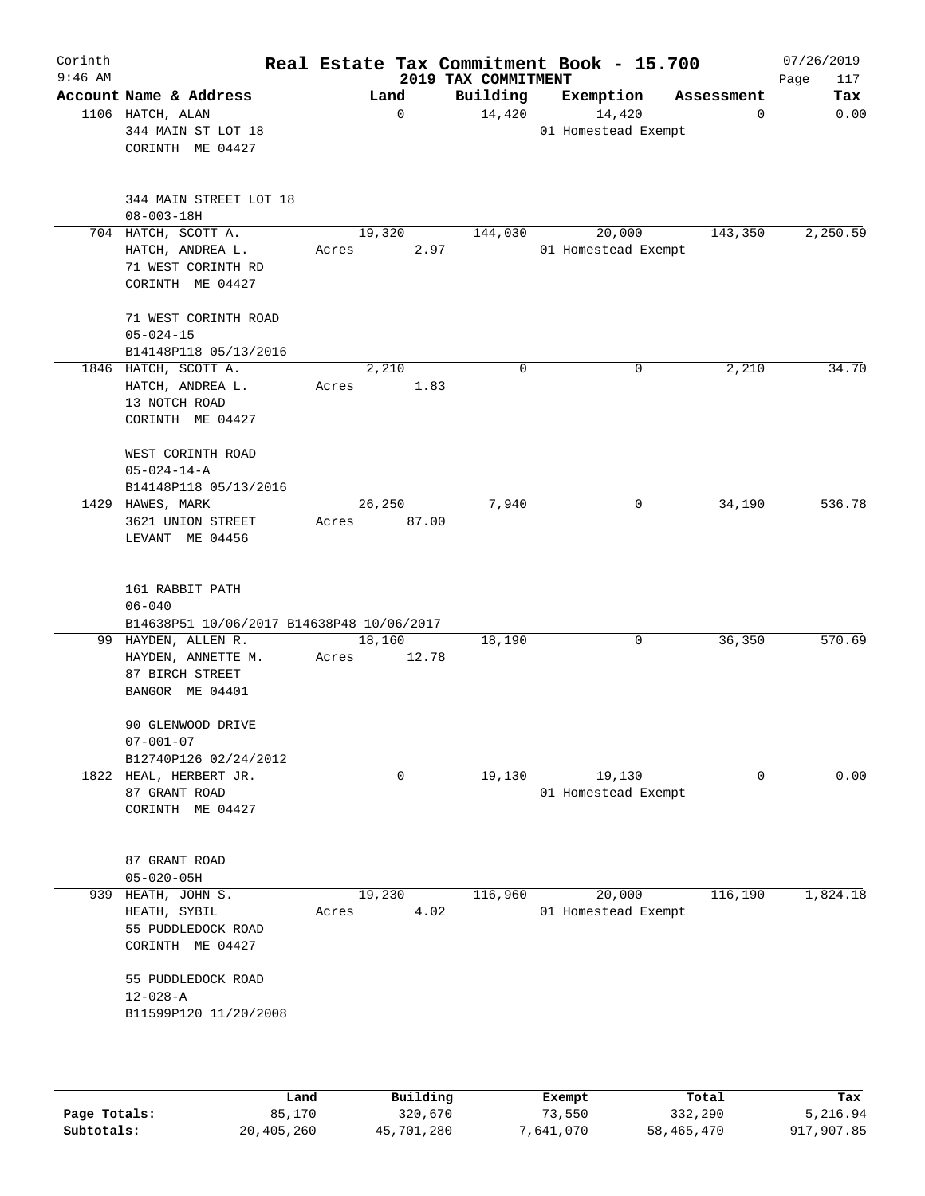| Corinth<br>$9:46$ AM |                                                                                   |                 |             | 2019 TAX COMMITMENT | Real Estate Tax Commitment Book - 15.700 |            | 07/26/2019<br>Page<br>117 |
|----------------------|-----------------------------------------------------------------------------------|-----------------|-------------|---------------------|------------------------------------------|------------|---------------------------|
|                      | Account Name & Address                                                            | Land            |             | Building            | Exemption                                | Assessment | Tax                       |
|                      | 1106 HATCH, ALAN<br>344 MAIN ST LOT 18<br>CORINTH ME 04427                        |                 | $\mathbf 0$ | 14,420              | 14,420<br>01 Homestead Exempt            | 0          | 0.00                      |
|                      | 344 MAIN STREET LOT 18<br>$08 - 003 - 18H$                                        |                 |             |                     |                                          |            |                           |
|                      | 704 HATCH, SCOTT A.<br>HATCH, ANDREA L.<br>71 WEST CORINTH RD<br>CORINTH ME 04427 | 19,320<br>Acres | 2.97        | 144,030             | 20,000<br>01 Homestead Exempt            | 143,350    | 2,250.59                  |
|                      | 71 WEST CORINTH ROAD<br>$05 - 024 - 15$                                           |                 |             |                     |                                          |            |                           |
|                      | B14148P118 05/13/2016                                                             |                 |             |                     |                                          |            | 34.70                     |
|                      | 1846 HATCH, SCOTT A.<br>HATCH, ANDREA L.<br>13 NOTCH ROAD<br>CORINTH ME 04427     | 2,210<br>Acres  | 1.83        | $\mathbf 0$         | 0                                        | 2,210      |                           |
|                      | WEST CORINTH ROAD<br>$05 - 024 - 14 - A$<br>B14148P118 05/13/2016                 |                 |             |                     |                                          |            |                           |
| 1429                 | HAWES, MARK<br>3621 UNION STREET<br>LEVANT ME 04456                               | 26,250<br>Acres | 87.00       | 7,940               | 0                                        | 34,190     | 536.78                    |
|                      | 161 RABBIT PATH<br>$06 - 040$<br>B14638P51 10/06/2017 B14638P48 10/06/2017        |                 |             |                     |                                          |            |                           |
|                      | 99 HAYDEN, ALLEN R.<br>HAYDEN, ANNETTE M.<br>87 BIRCH STREET<br>BANGOR ME 04401   | 18,160<br>Acres | 12.78       | 18,190              | 0                                        | 36,350     | 570.69                    |
|                      | 90 GLENWOOD DRIVE<br>$07 - 001 - 07$<br>B12740P126 02/24/2012                     |                 |             |                     |                                          |            |                           |
|                      | 1822 HEAL, HERBERT JR.                                                            |                 | 0           | 19,130              | 19,130                                   | 0          | 0.00                      |
|                      | 87 GRANT ROAD<br>CORINTH ME 04427                                                 |                 |             |                     | 01 Homestead Exempt                      |            |                           |
|                      | 87 GRANT ROAD<br>$05 - 020 - 05H$                                                 |                 |             |                     |                                          |            |                           |
| 939                  | HEATH, JOHN S.<br>HEATH, SYBIL<br>55 PUDDLEDOCK ROAD<br>CORINTH ME 04427          | 19,230<br>Acres | 4.02        | 116,960             | 20,000<br>01 Homestead Exempt            | 116,190    | 1,824.18                  |
|                      | 55 PUDDLEDOCK ROAD<br>$12 - 028 - A$<br>B11599P120 11/20/2008                     |                 |             |                     |                                          |            |                           |
|                      |                                                                                   |                 |             |                     |                                          |            |                           |

|              | Land       | Building   | Exempt    | Total      | Tax        |
|--------------|------------|------------|-----------|------------|------------|
| Page Totals: | 85,170     | 320,670    | 73,550    | 332,290    | 5,216.94   |
| Subtotals:   | 20,405,260 | 45,701,280 | 7,641,070 | 58,465,470 | 917,907.85 |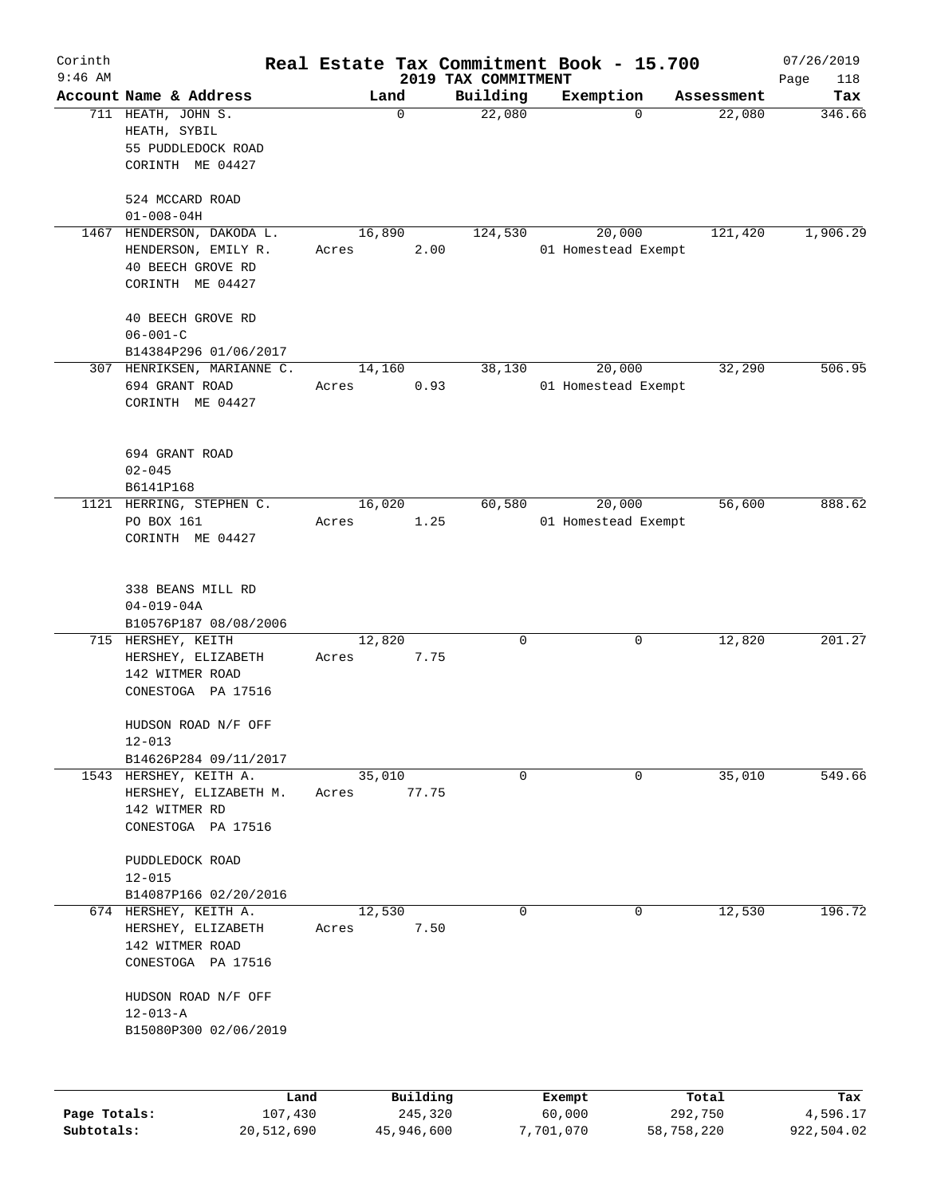| Corinth                    |                                                                                      |                         |                                 | Real Estate Tax Commitment Book - 15.700 |                       | 07/26/2019             |
|----------------------------|--------------------------------------------------------------------------------------|-------------------------|---------------------------------|------------------------------------------|-----------------------|------------------------|
| $9:46$ AM                  | Account Name & Address                                                               | Land                    | 2019 TAX COMMITMENT<br>Building | Exemption                                | Assessment            | Page<br>118<br>Tax     |
|                            | 711 HEATH, JOHN S.<br>HEATH, SYBIL<br>55 PUDDLEDOCK ROAD<br>CORINTH ME 04427         | 0                       | 22,080                          | $\Omega$                                 | 22,080                | 346.66                 |
|                            | 524 MCCARD ROAD<br>$01 - 008 - 04H$                                                  |                         |                                 |                                          |                       |                        |
| 1467                       | HENDERSON, DAKODA L.                                                                 | 16,890                  | 124,530                         | 20,000                                   | 121,420               | 1,906.29               |
|                            | HENDERSON, EMILY R.<br>40 BEECH GROVE RD<br>CORINTH ME 04427                         | 2.00<br>Acres           |                                 | 01 Homestead Exempt                      |                       |                        |
|                            | 40 BEECH GROVE RD<br>$06 - 001 - C$                                                  |                         |                                 |                                          |                       |                        |
|                            | B14384P296 01/06/2017<br>307 HENRIKSEN, MARIANNE C.                                  | 14,160                  | 38,130                          | 20,000                                   | 32,290                | 506.95                 |
|                            | 694 GRANT ROAD<br>CORINTH ME 04427                                                   | Acres<br>0.93           |                                 | 01 Homestead Exempt                      |                       |                        |
|                            | 694 GRANT ROAD<br>$02 - 045$<br>B6141P168                                            |                         |                                 |                                          |                       |                        |
| 1121                       | HERRING, STEPHEN C.                                                                  | 16,020                  | 60,580                          | 20,000                                   | 56,600                | 888.62                 |
|                            | PO BOX 161<br>CORINTH ME 04427                                                       | 1.25<br>Acres           |                                 | 01 Homestead Exempt                      |                       |                        |
|                            | 338 BEANS MILL RD<br>$04 - 019 - 04A$<br>B10576P187 08/08/2006                       |                         |                                 |                                          |                       |                        |
|                            | 715 HERSHEY, KEITH<br>HERSHEY, ELIZABETH<br>142 WITMER ROAD<br>CONESTOGA PA 17516    | 12,820<br>7.75<br>Acres | 0                               | 0                                        | 12,820                | 201.27                 |
|                            | HUDSON ROAD N/F OFF<br>$12 - 013$<br>B14626P284 09/11/2017                           |                         |                                 |                                          |                       |                        |
|                            | 1543 HERSHEY, KEITH A.                                                               | 35,010                  | $\mathbf 0$                     | 0                                        | 35,010                | 549.66                 |
|                            | HERSHEY, ELIZABETH M.<br>142 WITMER RD<br>CONESTOGA PA 17516                         | 77.75<br>Acres          |                                 |                                          |                       |                        |
|                            | PUDDLEDOCK ROAD<br>$12 - 015$<br>B14087P166 02/20/2016                               |                         |                                 |                                          |                       |                        |
|                            | 674 HERSHEY, KEITH A.<br>HERSHEY, ELIZABETH<br>142 WITMER ROAD<br>CONESTOGA PA 17516 | 12,530<br>7.50<br>Acres | 0                               | 0                                        | 12,530                | 196.72                 |
|                            | HUDSON ROAD N/F OFF<br>$12 - 013 - A$<br>B15080P300 02/06/2019                       |                         |                                 |                                          |                       |                        |
|                            | Land                                                                                 | Building                |                                 | Exempt                                   | Total                 | Tax                    |
| Page Totals:<br>Subtotals: | 107,430<br>20,512,690                                                                | 245,320<br>45,946,600   |                                 | 60,000<br>7,701,070                      | 292,750<br>58,758,220 | 4,596.17<br>922,504.02 |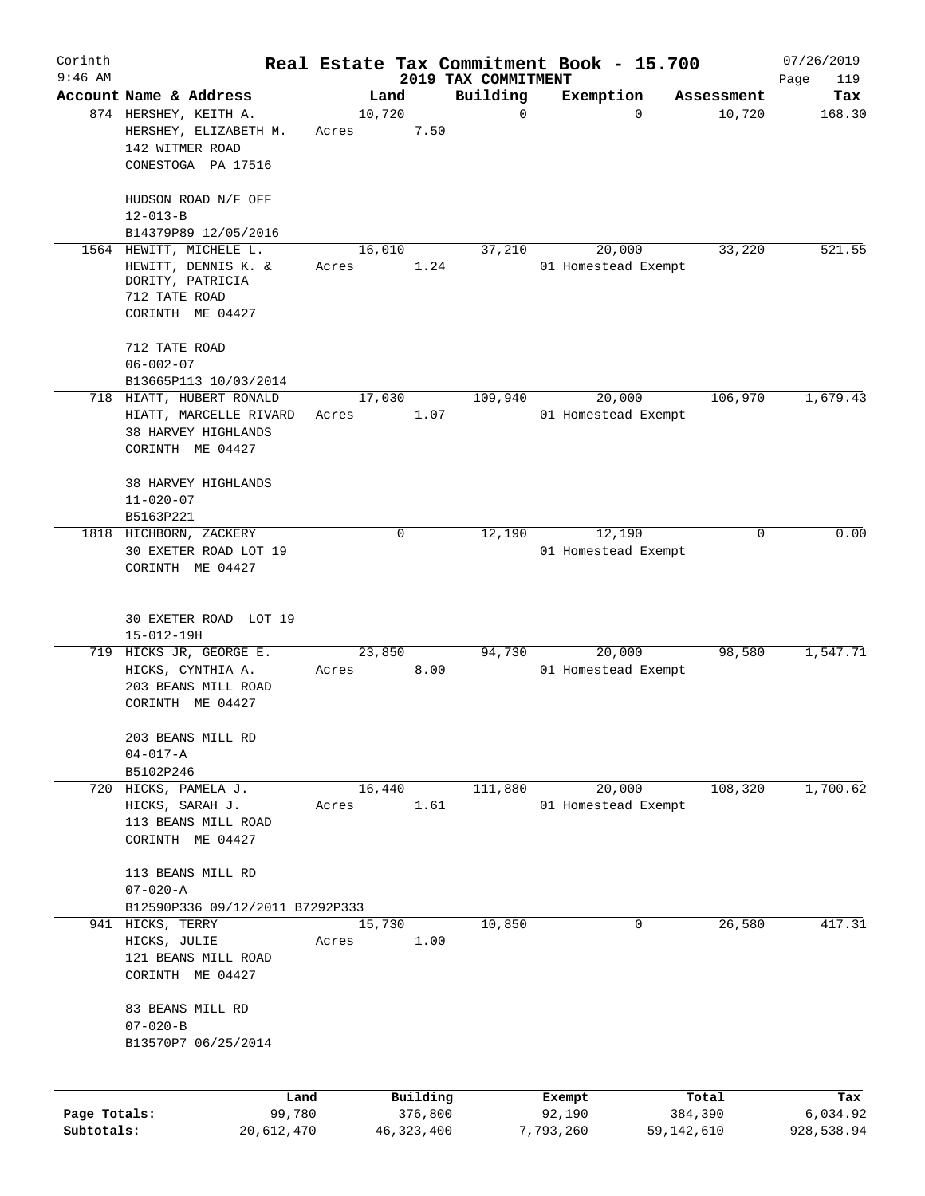| Corinth      |                                                                                         |                 |                     |                                 | Real Estate Tax Commitment Book - 15.700 |                  | 07/26/2019         |
|--------------|-----------------------------------------------------------------------------------------|-----------------|---------------------|---------------------------------|------------------------------------------|------------------|--------------------|
| $9:46$ AM    | Account Name & Address                                                                  |                 | Land                | 2019 TAX COMMITMENT<br>Building | Exemption                                | Assessment       | Page<br>119<br>Tax |
|              | 874 HERSHEY, KEITH A.<br>HERSHEY, ELIZABETH M.<br>142 WITMER ROAD<br>CONESTOGA PA 17516 | 10,720<br>Acres | 7.50                | $\mathbf 0$                     | $\Omega$                                 | 10,720           | 168.30             |
|              | HUDSON ROAD N/F OFF<br>$12 - 013 - B$<br>B14379P89 12/05/2016                           |                 |                     |                                 |                                          |                  |                    |
|              | 1564 HEWITT, MICHELE L.                                                                 | 16,010          |                     | 37,210                          | 20,000                                   | 33,220           | 521.55             |
|              | HEWITT, DENNIS K. &<br>DORITY, PATRICIA<br>712 TATE ROAD                                | Acres           | 1.24                |                                 | 01 Homestead Exempt                      |                  |                    |
|              | CORINTH ME 04427                                                                        |                 |                     |                                 |                                          |                  |                    |
|              | 712 TATE ROAD                                                                           |                 |                     |                                 |                                          |                  |                    |
|              | $06 - 002 - 07$                                                                         |                 |                     |                                 |                                          |                  |                    |
|              | B13665P113 10/03/2014                                                                   |                 |                     |                                 |                                          |                  |                    |
|              | 718 HIATT, HUBERT RONALD                                                                | 17,030          |                     | 109,940                         | 20,000                                   | 106,970          | 1,679.43           |
|              | HIATT, MARCELLE RIVARD<br>38 HARVEY HIGHLANDS                                           | Acres           | 1.07                |                                 | 01 Homestead Exempt                      |                  |                    |
|              | CORINTH ME 04427                                                                        |                 |                     |                                 |                                          |                  |                    |
|              | 38 HARVEY HIGHLANDS                                                                     |                 |                     |                                 |                                          |                  |                    |
|              | $11 - 020 - 07$                                                                         |                 |                     |                                 |                                          |                  |                    |
|              | B5163P221                                                                               |                 |                     |                                 |                                          | $\Omega$         | 0.00               |
|              | 1818 HICHBORN, ZACKERY<br>30 EXETER ROAD LOT 19                                         |                 | 0                   | 12,190                          | 12,190<br>01 Homestead Exempt            |                  |                    |
|              | CORINTH ME 04427                                                                        |                 |                     |                                 |                                          |                  |                    |
|              | 30 EXETER ROAD LOT 19<br>15-012-19H                                                     |                 |                     |                                 |                                          |                  |                    |
|              | 719 HICKS JR, GEORGE E.                                                                 | 23,850          |                     | 94,730                          | 20,000                                   | 98,580           | 1,547.71           |
|              | HICKS, CYNTHIA A.<br>203 BEANS MILL ROAD<br>CORINTH ME 04427                            | Acres           | 8.00                |                                 | 01 Homestead Exempt                      |                  |                    |
|              |                                                                                         |                 |                     |                                 |                                          |                  |                    |
|              | 203 BEANS MILL RD<br>$04 - 017 - A$                                                     |                 |                     |                                 |                                          |                  |                    |
|              | B5102P246                                                                               |                 |                     |                                 |                                          |                  |                    |
|              | 720 HICKS, PAMELA J.                                                                    | 16,440          |                     | 111,880                         | 20,000                                   | 108,320          | 1,700.62           |
|              | HICKS, SARAH J.                                                                         | Acres           | 1.61                |                                 | 01 Homestead Exempt                      |                  |                    |
|              | 113 BEANS MILL ROAD                                                                     |                 |                     |                                 |                                          |                  |                    |
|              | CORINTH ME 04427                                                                        |                 |                     |                                 |                                          |                  |                    |
|              | 113 BEANS MILL RD<br>$07 - 020 - A$                                                     |                 |                     |                                 |                                          |                  |                    |
|              | B12590P336 09/12/2011 B7292P333                                                         |                 |                     |                                 |                                          |                  |                    |
|              | 941 HICKS, TERRY                                                                        | 15,730          |                     | 10,850                          | 0                                        | 26,580           | 417.31             |
|              | HICKS, JULIE                                                                            | Acres           | 1.00                |                                 |                                          |                  |                    |
|              | 121 BEANS MILL ROAD                                                                     |                 |                     |                                 |                                          |                  |                    |
|              | CORINTH ME 04427                                                                        |                 |                     |                                 |                                          |                  |                    |
|              | 83 BEANS MILL RD<br>$07 - 020 - B$                                                      |                 |                     |                                 |                                          |                  |                    |
|              | B13570P7 06/25/2014                                                                     |                 |                     |                                 |                                          |                  |                    |
|              |                                                                                         |                 |                     |                                 |                                          |                  |                    |
| Page Totals: | Land<br>99,780                                                                          |                 | Building<br>376,800 |                                 | Exempt<br>92,190                         | Total<br>384,390 | Tax<br>6,034.92    |
| Subtotals:   | 20,612,470                                                                              |                 | 46, 323, 400        |                                 | 7,793,260                                | 59,142,610       | 928,538.94         |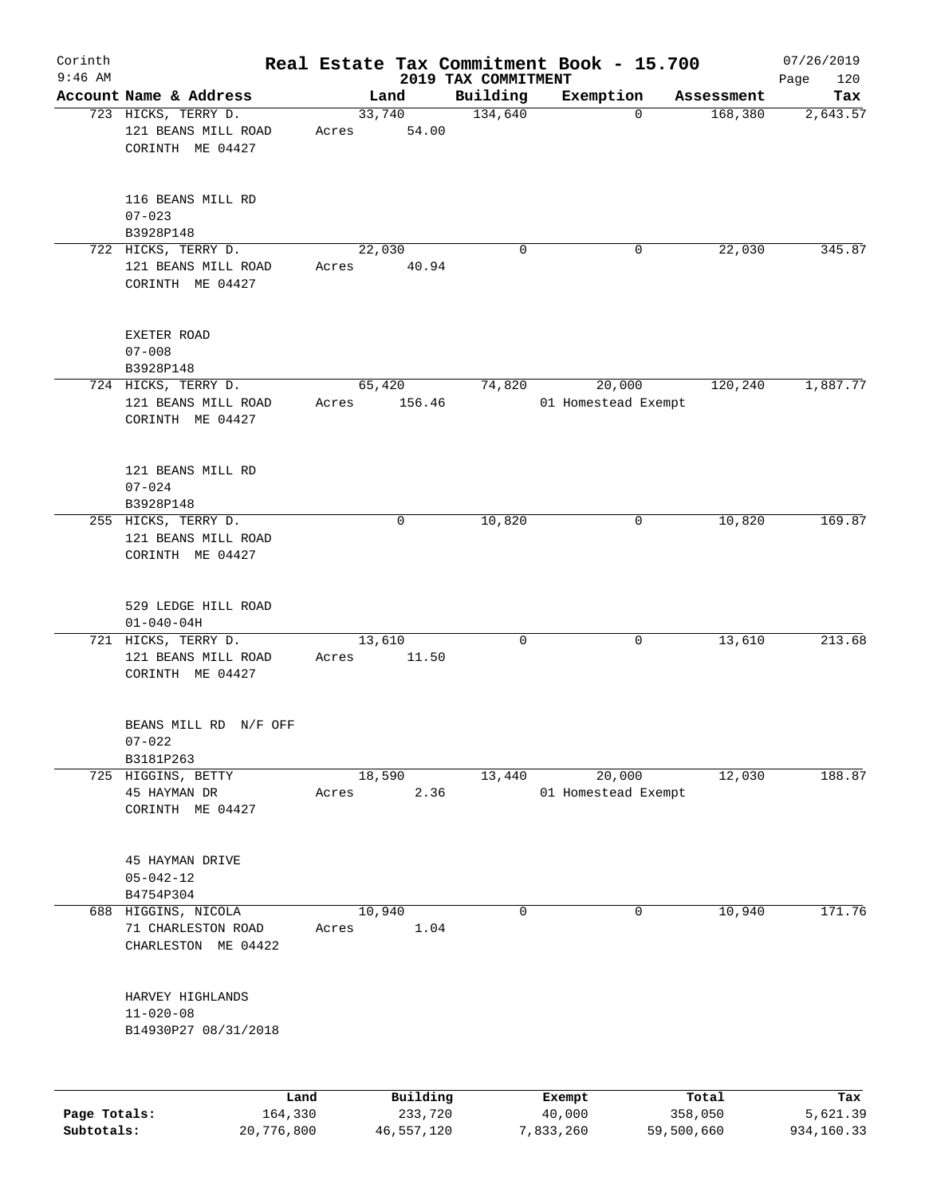| Corinth                    |                                                                |       |                       |                     | Real Estate Tax Commitment Book - 15.700 |                       | 07/26/2019             |
|----------------------------|----------------------------------------------------------------|-------|-----------------------|---------------------|------------------------------------------|-----------------------|------------------------|
| $9:46$ AM                  |                                                                |       |                       | 2019 TAX COMMITMENT |                                          |                       | 120<br>Page            |
|                            | Account Name & Address                                         |       | Land                  | Building            | Exemption                                | Assessment            | Tax                    |
|                            | 723 HICKS, TERRY D.<br>121 BEANS MILL ROAD<br>CORINTH ME 04427 | Acres | 33,740<br>54.00       | 134,640             | $\Omega$                                 | 168,380               | 2,643.57               |
|                            | 116 BEANS MILL RD<br>$07 - 023$<br>B3928P148                   |       |                       |                     |                                          |                       |                        |
|                            | 722 HICKS, TERRY D.                                            |       | 22,030                | 0                   | 0                                        | 22,030                | 345.87                 |
|                            | 121 BEANS MILL ROAD<br>CORINTH ME 04427                        | Acres | 40.94                 |                     |                                          |                       |                        |
|                            | EXETER ROAD<br>$07 - 008$                                      |       |                       |                     |                                          |                       |                        |
|                            | B3928P148                                                      |       |                       |                     |                                          |                       |                        |
|                            | 724 HICKS, TERRY D.<br>121 BEANS MILL ROAD<br>CORINTH ME 04427 | Acres | 65,420<br>156.46      | 74,820              | 20,000<br>01 Homestead Exempt            | 120,240               | 1,887.77               |
|                            | 121 BEANS MILL RD<br>$07 - 024$<br>B3928P148                   |       |                       |                     |                                          |                       |                        |
|                            | 255 HICKS, TERRY D.<br>121 BEANS MILL ROAD<br>CORINTH ME 04427 |       | 0                     | 10,820              | 0                                        | 10,820                | 169.87                 |
|                            | 529 LEDGE HILL ROAD<br>$01 - 040 - 04H$                        |       |                       |                     |                                          |                       |                        |
|                            | 721 HICKS, TERRY D.<br>121 BEANS MILL ROAD<br>CORINTH ME 04427 | Acres | 13,610<br>11.50       | 0                   | 0                                        | 13,610                | 213.68                 |
|                            | BEANS MILL RD N/F OFF<br>$07 - 022$<br>B3181P263               |       |                       |                     |                                          |                       |                        |
|                            | 725 HIGGINS, BETTY                                             |       | 18,590                | 13,440              | 20,000                                   | 12,030                | 188.87                 |
|                            | 45 HAYMAN DR<br>CORINTH ME 04427                               | Acres | 2.36                  |                     | 01 Homestead Exempt                      |                       |                        |
|                            | 45 HAYMAN DRIVE<br>$05 - 042 - 12$<br>B4754P304                |       |                       |                     |                                          |                       |                        |
|                            | 688 HIGGINS, NICOLA                                            |       | 10,940                | 0                   | $\mathbf 0$                              | 10,940                | 171.76                 |
|                            | 71 CHARLESTON ROAD<br>CHARLESTON ME 04422                      | Acres | 1.04                  |                     |                                          |                       |                        |
|                            | HARVEY HIGHLANDS<br>$11 - 020 - 08$<br>B14930P27 08/31/2018    |       |                       |                     |                                          |                       |                        |
|                            | Land                                                           |       | Building              |                     | Exempt                                   | Total                 | Tax                    |
| Page Totals:<br>Subtotals: | 164,330<br>20,776,800                                          |       | 233,720<br>46,557,120 |                     | 40,000<br>7,833,260                      | 358,050<br>59,500,660 | 5,621.39<br>934,160.33 |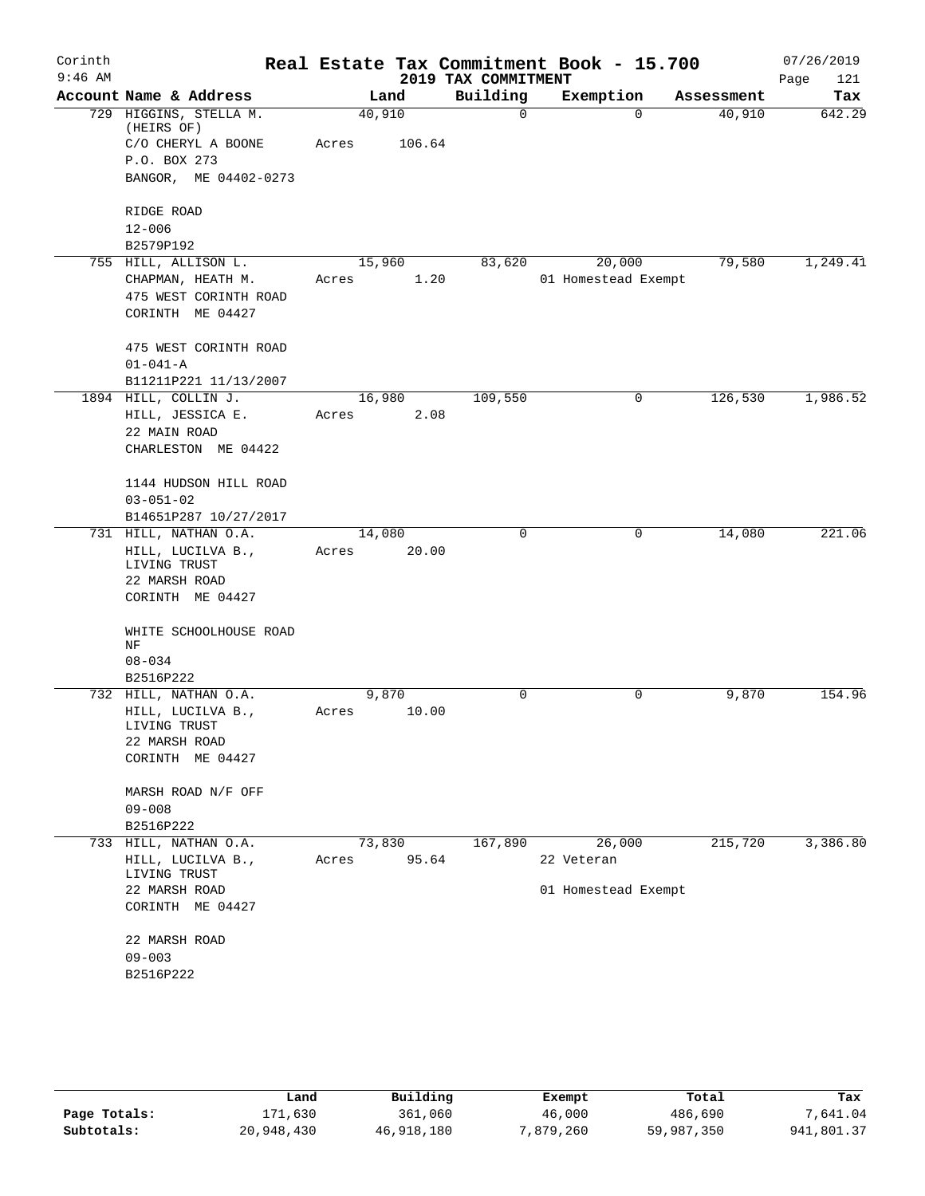| Corinth<br>$9:46$ AM |                                      |        |        | 2019 TAX COMMITMENT | Real Estate Tax Commitment Book - 15.700 |            | 07/26/2019<br>Page<br>121 |
|----------------------|--------------------------------------|--------|--------|---------------------|------------------------------------------|------------|---------------------------|
|                      | Account Name & Address               |        | Land   | Building            | Exemption                                | Assessment | Tax                       |
|                      | 729 HIGGINS, STELLA M.<br>(HEIRS OF) | 40,910 |        | 0                   | $\Omega$                                 | 40,910     | 642.29                    |
|                      | C/O CHERYL A BOONE                   | Acres  | 106.64 |                     |                                          |            |                           |
|                      | P.O. BOX 273                         |        |        |                     |                                          |            |                           |
|                      | BANGOR, ME 04402-0273                |        |        |                     |                                          |            |                           |
|                      | RIDGE ROAD                           |        |        |                     |                                          |            |                           |
|                      | $12 - 006$                           |        |        |                     |                                          |            |                           |
|                      | B2579P192                            |        |        |                     |                                          |            |                           |
|                      | 755 HILL, ALLISON L.                 | 15,960 |        | 83,620              | 20,000                                   | 79,580     | 1,249.41                  |
|                      | CHAPMAN, HEATH M.                    | Acres  | 1.20   |                     | 01 Homestead Exempt                      |            |                           |
|                      | 475 WEST CORINTH ROAD                |        |        |                     |                                          |            |                           |
|                      | CORINTH ME 04427                     |        |        |                     |                                          |            |                           |
|                      | 475 WEST CORINTH ROAD                |        |        |                     |                                          |            |                           |
|                      | $01 - 041 - A$                       |        |        |                     |                                          |            |                           |
|                      | B11211P221 11/13/2007                |        |        |                     |                                          |            |                           |
|                      | 1894 HILL, COLLIN J.                 | 16,980 |        | 109,550             | 0                                        | 126,530    | 1,986.52                  |
|                      | HILL, JESSICA E.                     | Acres  | 2.08   |                     |                                          |            |                           |
|                      | 22 MAIN ROAD                         |        |        |                     |                                          |            |                           |
|                      | CHARLESTON ME 04422                  |        |        |                     |                                          |            |                           |
|                      | 1144 HUDSON HILL ROAD                |        |        |                     |                                          |            |                           |
|                      | $03 - 051 - 02$                      |        |        |                     |                                          |            |                           |
|                      | B14651P287 10/27/2017                |        |        |                     |                                          |            |                           |
|                      | 731 HILL, NATHAN O.A.                | 14,080 |        | $\Omega$            | 0                                        | 14,080     | 221.06                    |
|                      | HILL, LUCILVA B.,                    | Acres  | 20.00  |                     |                                          |            |                           |
|                      | LIVING TRUST                         |        |        |                     |                                          |            |                           |
|                      | 22 MARSH ROAD<br>CORINTH ME 04427    |        |        |                     |                                          |            |                           |
|                      |                                      |        |        |                     |                                          |            |                           |
|                      | WHITE SCHOOLHOUSE ROAD<br>NF         |        |        |                     |                                          |            |                           |
|                      | $08 - 034$                           |        |        |                     |                                          |            |                           |
|                      | B2516P222                            |        |        |                     |                                          |            |                           |
|                      | 732 HILL, NATHAN O.A.                | 9,870  |        | 0                   | $\mathbf 0$                              | 9,870      | 154.96                    |
|                      | HILL, LUCILVA B.,<br>LIVING TRUST    | Acres  | 10.00  |                     |                                          |            |                           |
|                      | 22 MARSH ROAD                        |        |        |                     |                                          |            |                           |
|                      | CORINTH ME 04427                     |        |        |                     |                                          |            |                           |
|                      | MARSH ROAD N/F OFF                   |        |        |                     |                                          |            |                           |
|                      | $09 - 008$                           |        |        |                     |                                          |            |                           |
|                      | B2516P222                            |        |        |                     |                                          |            |                           |
|                      | 733 HILL, NATHAN O.A.                | 73,830 |        | 167,890             | 26,000                                   | 215,720    | 3,386.80                  |
|                      | HILL, LUCILVA B.,<br>LIVING TRUST    | Acres  | 95.64  |                     | 22 Veteran                               |            |                           |
|                      | 22 MARSH ROAD                        |        |        |                     | 01 Homestead Exempt                      |            |                           |
|                      | CORINTH ME 04427                     |        |        |                     |                                          |            |                           |
|                      | 22 MARSH ROAD                        |        |        |                     |                                          |            |                           |
|                      | $09 - 003$                           |        |        |                     |                                          |            |                           |
|                      | B2516P222                            |        |        |                     |                                          |            |                           |
|                      |                                      |        |        |                     |                                          |            |                           |

|              | Land       | Building   | Exempt    | Total      | Tax        |
|--------------|------------|------------|-----------|------------|------------|
| Page Totals: | 171,630    | 361,060    | 46,000    | 486,690    | 7,641.04   |
| Subtotals:   | 20,948,430 | 46,918,180 | 7,879,260 | 59,987,350 | 941,801.37 |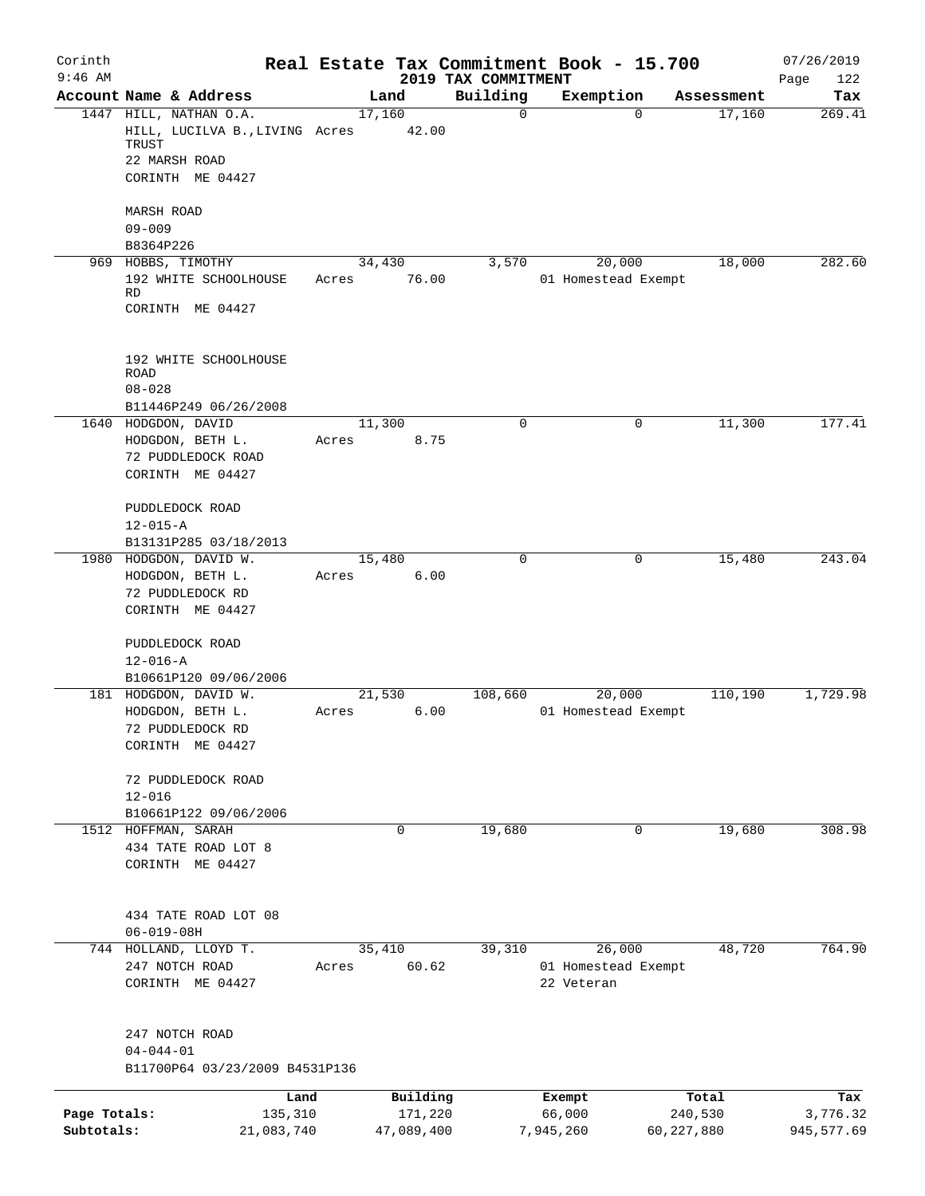| Corinth      |                                        |        |            |                                 | Real Estate Tax Commitment Book - 15.700 |                    | 07/26/2019         |
|--------------|----------------------------------------|--------|------------|---------------------------------|------------------------------------------|--------------------|--------------------|
| $9:46$ AM    | Account Name & Address                 |        | Land       | 2019 TAX COMMITMENT<br>Building | Exemption                                | Assessment         | Page<br>122<br>Tax |
|              | 1447 HILL, NATHAN O.A.                 | 17,160 |            | $\mathbf 0$                     |                                          | 17,160<br>$\Omega$ | 269.41             |
|              | HILL, LUCILVA B., LIVING Acres         |        | 42.00      |                                 |                                          |                    |                    |
|              | TRUST                                  |        |            |                                 |                                          |                    |                    |
|              | 22 MARSH ROAD                          |        |            |                                 |                                          |                    |                    |
|              | CORINTH ME 04427                       |        |            |                                 |                                          |                    |                    |
|              | MARSH ROAD                             |        |            |                                 |                                          |                    |                    |
|              | $09 - 009$                             |        |            |                                 |                                          |                    |                    |
|              | B8364P226                              |        |            |                                 |                                          |                    |                    |
|              | 969 HOBBS, TIMOTHY                     |        | 34,430     | 3,570                           | 20,000                                   | 18,000             | 282.60             |
|              | 192 WHITE SCHOOLHOUSE                  | Acres  | 76.00      |                                 | 01 Homestead Exempt                      |                    |                    |
|              | RD                                     |        |            |                                 |                                          |                    |                    |
|              | CORINTH ME 04427                       |        |            |                                 |                                          |                    |                    |
|              | 192 WHITE SCHOOLHOUSE                  |        |            |                                 |                                          |                    |                    |
|              | <b>ROAD</b>                            |        |            |                                 |                                          |                    |                    |
|              | $08 - 028$                             |        |            |                                 |                                          |                    |                    |
|              | B11446P249 06/26/2008                  |        |            |                                 |                                          |                    |                    |
|              | 1640 HODGDON, DAVID                    | 11,300 |            | $\mathbf 0$                     |                                          | 11,300<br>0        | 177.41             |
|              | HODGDON, BETH L.<br>72 PUDDLEDOCK ROAD | Acres  | 8.75       |                                 |                                          |                    |                    |
|              | CORINTH ME 04427                       |        |            |                                 |                                          |                    |                    |
|              |                                        |        |            |                                 |                                          |                    |                    |
|              | PUDDLEDOCK ROAD                        |        |            |                                 |                                          |                    |                    |
|              | $12 - 015 - A$                         |        |            |                                 |                                          |                    |                    |
|              | B13131P285 03/18/2013                  |        |            |                                 |                                          |                    |                    |
| 1980         | HODGDON, DAVID W.                      | 15,480 |            | $\mathbf 0$                     |                                          | 15,480<br>0        | 243.04             |
|              | HODGDON, BETH L.                       | Acres  | 6.00       |                                 |                                          |                    |                    |
|              | 72 PUDDLEDOCK RD                       |        |            |                                 |                                          |                    |                    |
|              | CORINTH ME 04427                       |        |            |                                 |                                          |                    |                    |
|              | PUDDLEDOCK ROAD                        |        |            |                                 |                                          |                    |                    |
|              | $12 - 016 - A$                         |        |            |                                 |                                          |                    |                    |
|              | B10661P120 09/06/2006                  |        |            |                                 |                                          |                    |                    |
|              | 181 HODGDON, DAVID W.                  | 21,530 |            | 108,660                         | 20,000                                   | 110,190            | 1,729.98           |
|              | HODGDON, BETH L.                       | Acres  | 6.00       |                                 | 01 Homestead Exempt                      |                    |                    |
|              | 72 PUDDLEDOCK RD                       |        |            |                                 |                                          |                    |                    |
|              | CORINTH ME 04427                       |        |            |                                 |                                          |                    |                    |
|              |                                        |        |            |                                 |                                          |                    |                    |
|              | 72 PUDDLEDOCK ROAD<br>$12 - 016$       |        |            |                                 |                                          |                    |                    |
|              | B10661P122 09/06/2006                  |        |            |                                 |                                          |                    |                    |
|              | 1512 HOFFMAN, SARAH                    |        | 0          | 19,680                          |                                          | 0<br>19,680        | 308.98             |
|              | 434 TATE ROAD LOT 8                    |        |            |                                 |                                          |                    |                    |
|              | CORINTH ME 04427                       |        |            |                                 |                                          |                    |                    |
|              |                                        |        |            |                                 |                                          |                    |                    |
|              | 434 TATE ROAD LOT 08                   |        |            |                                 |                                          |                    |                    |
|              | $06 - 019 - 08H$                       |        |            |                                 |                                          |                    |                    |
|              | 744 HOLLAND, LLOYD T.                  |        | 35,410     | 39,310                          | 26,000                                   | 48,720             | 764.90             |
|              | 247 NOTCH ROAD<br>CORINTH ME 04427     | Acres  | 60.62      |                                 | 01 Homestead Exempt<br>22 Veteran        |                    |                    |
|              |                                        |        |            |                                 |                                          |                    |                    |
|              | 247 NOTCH ROAD                         |        |            |                                 |                                          |                    |                    |
|              | $04 - 044 - 01$                        |        |            |                                 |                                          |                    |                    |
|              | B11700P64 03/23/2009 B4531P136         |        |            |                                 |                                          |                    |                    |
|              | Land                                   |        | Building   |                                 | Exempt                                   | Total              | Tax                |
| Page Totals: | 135,310                                |        | 171,220    |                                 | 66,000                                   | 240,530            | 3,776.32           |
| Subtotals:   | 21,083,740                             |        | 47,089,400 |                                 | 7,945,260                                | 60, 227, 880       | 945, 577.69        |
|              |                                        |        |            |                                 |                                          |                    |                    |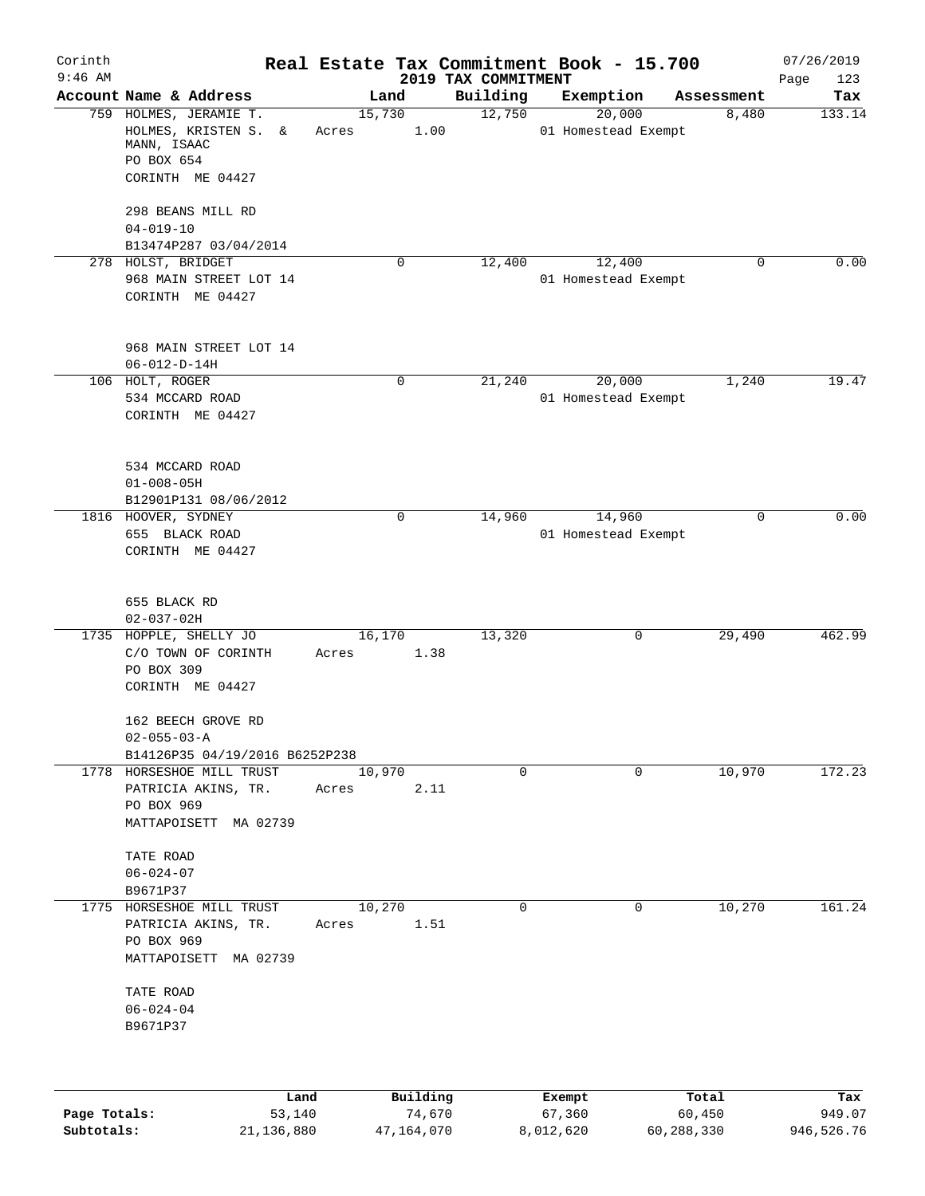| Corinth<br>$9:46$ AM |                                                                                                    |       |             | 2019 TAX COMMITMENT | Real Estate Tax Commitment Book - 15.700 |             | 07/26/2019<br>Page<br>123 |
|----------------------|----------------------------------------------------------------------------------------------------|-------|-------------|---------------------|------------------------------------------|-------------|---------------------------|
|                      | Account Name & Address                                                                             |       | Land        | Building            | Exemption                                | Assessment  | Tax                       |
|                      | 759 HOLMES, JERAMIE T.<br>HOLMES, KRISTEN S.<br>&<br>MANN, ISAAC<br>PO BOX 654<br>CORINTH ME 04427 | Acres | 15,730      | 12,750<br>1.00      | 20,000<br>01 Homestead Exempt            | 8,480       | 133.14                    |
|                      | 298 BEANS MILL RD<br>$04 - 019 - 10$                                                               |       |             |                     |                                          |             |                           |
|                      | B13474P287 03/04/2014                                                                              |       |             |                     |                                          |             |                           |
|                      | 278 HOLST, BRIDGET<br>968 MAIN STREET LOT 14<br>CORINTH ME 04427                                   |       | $\mathbf 0$ | 12,400              | 12,400<br>01 Homestead Exempt            | $\mathbf 0$ | 0.00                      |
|                      | 968 MAIN STREET LOT 14<br>$06 - 012 - D - 14H$                                                     |       |             |                     |                                          |             |                           |
|                      | 106 HOLT, ROGER<br>534 MCCARD ROAD<br>CORINTH ME 04427                                             |       | 0           | 21,240              | 20,000<br>01 Homestead Exempt            | 1,240       | 19.47                     |
|                      | 534 MCCARD ROAD<br>$01 - 008 - 05H$<br>B12901P131 08/06/2012                                       |       |             |                     |                                          |             |                           |
|                      | 1816 HOOVER, SYDNEY<br>655 BLACK ROAD<br>CORINTH ME 04427                                          |       | $\mathbf 0$ | 14,960              | 14,960<br>01 Homestead Exempt            | 0           | 0.00                      |
|                      | 655 BLACK RD<br>$02 - 037 - 02H$                                                                   |       |             |                     |                                          |             |                           |
|                      | 1735 HOPPLE, SHELLY JO<br>C/O TOWN OF CORINTH<br>PO BOX 309<br>CORINTH ME 04427                    | Acres | 16,170      | 13,320<br>1.38      | 0                                        | 29,490      | 462.99                    |
|                      | 162 BEECH GROVE RD<br>$02 - 055 - 03 - A$<br>B14126P35 04/19/2016 B6252P238                        |       |             |                     |                                          |             |                           |
|                      | 1778 HORSESHOE MILL TRUST<br>PATRICIA AKINS, TR.<br>PO BOX 969<br>MATTAPOISETT MA 02739            | Acres | 10,970      | $\mathbf 0$<br>2.11 | 0                                        | 10,970      | 172.23                    |
|                      | TATE ROAD<br>$06 - 024 - 07$<br>B9671P37                                                           |       |             |                     |                                          |             |                           |
|                      | 1775 HORSESHOE MILL TRUST<br>PATRICIA AKINS, TR.<br>PO BOX 969<br>MATTAPOISETT MA 02739            | Acres | 10,270      | $\Omega$<br>1.51    | $\mathbf 0$                              | 10,270      | 161.24                    |
|                      | TATE ROAD<br>$06 - 024 - 04$<br>B9671P37                                                           |       |             |                     |                                          |             |                           |
|                      |                                                                                                    | Land  | Building    |                     | Exempt                                   | Total       | Tax                       |

|              | .          | <u>DULLULUM</u> | <b>BACINDO</b> | ----       | $-0.0$     |
|--------------|------------|-----------------|----------------|------------|------------|
| Page Totals: | 53,140     | 74,670          | 67,360         | 60,450     | 949.07     |
| Subtotals:   | 21,136,880 | 47,164,070      | 8,012,620      | 60,288,330 | 946,526.76 |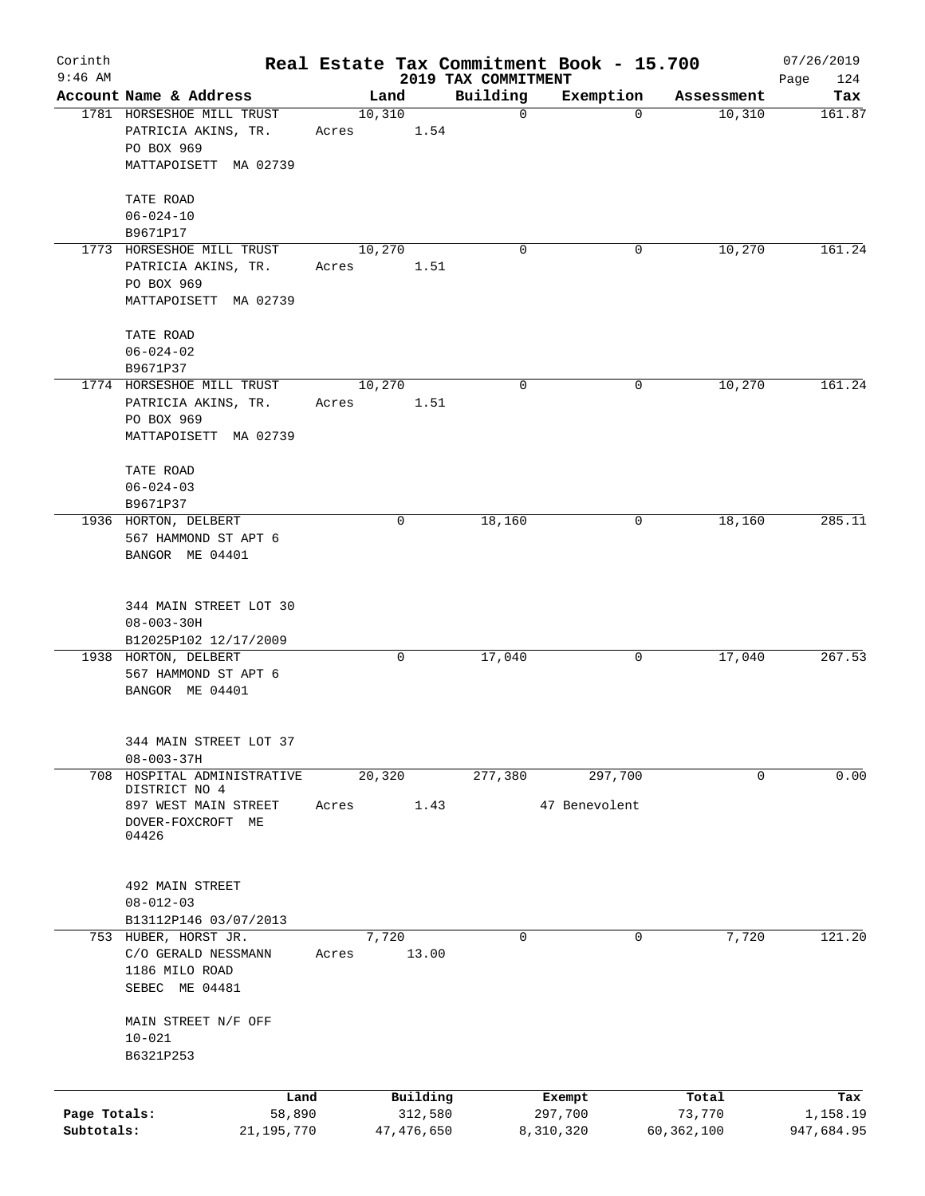| Corinth<br>$9:46$ AM       |                                              |       |         |                         | 2019 TAX COMMITMENT | Real Estate Tax Commitment Book - 15.700 |                      | 07/26/2019<br>Page<br>124 |
|----------------------------|----------------------------------------------|-------|---------|-------------------------|---------------------|------------------------------------------|----------------------|---------------------------|
|                            | Account Name & Address                       |       | Land    |                         | Building            | Exemption                                | Assessment           | Tax                       |
|                            | 1781 HORSESHOE MILL TRUST                    |       | 10,310  |                         | $\mathbf 0$         | 0                                        | 10,310               | 161.87                    |
|                            | PATRICIA AKINS, TR.<br>PO BOX 969            | Acres |         | 1.54                    |                     |                                          |                      |                           |
|                            | MATTAPOISETT MA 02739                        |       |         |                         |                     |                                          |                      |                           |
|                            | TATE ROAD                                    |       |         |                         |                     |                                          |                      |                           |
|                            | $06 - 024 - 10$<br>B9671P17                  |       |         |                         |                     |                                          |                      |                           |
|                            | 1773 HORSESHOE MILL TRUST                    |       | 10, 270 |                         | 0                   | 0                                        | 10,270               | 161.24                    |
|                            | PATRICIA AKINS, TR.<br>PO BOX 969            | Acres |         | 1.51                    |                     |                                          |                      |                           |
|                            | MATTAPOISETT MA 02739                        |       |         |                         |                     |                                          |                      |                           |
|                            | TATE ROAD                                    |       |         |                         |                     |                                          |                      |                           |
|                            | $06 - 024 - 02$<br>B9671P37                  |       |         |                         |                     |                                          |                      |                           |
|                            | 1774 HORSESHOE MILL TRUST                    |       | 10,270  |                         | 0                   | 0                                        | 10,270               | 161.24                    |
|                            | PATRICIA AKINS, TR.<br>PO BOX 969            | Acres |         | 1.51                    |                     |                                          |                      |                           |
|                            | MATTAPOISETT MA 02739                        |       |         |                         |                     |                                          |                      |                           |
|                            | TATE ROAD                                    |       |         |                         |                     |                                          |                      |                           |
|                            | $06 - 024 - 03$                              |       |         |                         |                     |                                          |                      |                           |
|                            | B9671P37                                     |       |         |                         |                     |                                          |                      |                           |
|                            | 1936 HORTON, DELBERT<br>567 HAMMOND ST APT 6 |       | 0       |                         | 18,160              | 0                                        | 18,160               | 285.11                    |
|                            | BANGOR ME 04401                              |       |         |                         |                     |                                          |                      |                           |
|                            |                                              |       |         |                         |                     |                                          |                      |                           |
|                            | 344 MAIN STREET LOT 30                       |       |         |                         |                     |                                          |                      |                           |
|                            | $08 - 003 - 30H$                             |       |         |                         |                     |                                          |                      |                           |
|                            | B12025P102 12/17/2009                        |       |         |                         |                     |                                          |                      |                           |
|                            | 1938 HORTON, DELBERT                         |       | 0       |                         | 17,040              | 0                                        | 17,040               | 267.53                    |
|                            | 567 HAMMOND ST APT 6                         |       |         |                         |                     |                                          |                      |                           |
|                            | BANGOR ME 04401                              |       |         |                         |                     |                                          |                      |                           |
|                            | 344 MAIN STREET LOT 37                       |       |         |                         |                     |                                          |                      |                           |
|                            | $08 - 003 - 37H$                             |       |         |                         |                     |                                          |                      |                           |
| 708                        | HOSPITAL ADMINISTRATIVE<br>DISTRICT NO 4     |       | 20,320  |                         | 277,380             | 297,700                                  | 0                    | 0.00                      |
|                            | 897 WEST MAIN STREET                         | Acres |         | 1.43                    |                     | 47 Benevolent                            |                      |                           |
|                            | DOVER-FOXCROFT ME<br>04426                   |       |         |                         |                     |                                          |                      |                           |
|                            |                                              |       |         |                         |                     |                                          |                      |                           |
|                            | 492 MAIN STREET                              |       |         |                         |                     |                                          |                      |                           |
|                            | $08 - 012 - 03$<br>B13112P146 03/07/2013     |       |         |                         |                     |                                          |                      |                           |
|                            | 753 HUBER, HORST JR.                         |       | 7,720   |                         | 0                   | 0                                        | 7,720                | 121.20                    |
|                            | C/O GERALD NESSMANN                          | Acres |         | 13.00                   |                     |                                          |                      |                           |
|                            | 1186 MILO ROAD                               |       |         |                         |                     |                                          |                      |                           |
|                            | SEBEC ME 04481                               |       |         |                         |                     |                                          |                      |                           |
|                            | MAIN STREET N/F OFF                          |       |         |                         |                     |                                          |                      |                           |
|                            | $10 - 021$<br>B6321P253                      |       |         |                         |                     |                                          |                      |                           |
|                            |                                              |       |         |                         |                     |                                          |                      |                           |
|                            | Land                                         |       |         | Building                |                     | Exempt                                   | Total                | Tax                       |
| Page Totals:<br>Subtotals: | 58,890<br>21, 195, 770                       |       |         | 312,580<br>47, 476, 650 |                     | 297,700<br>8,310,320                     | 73,770<br>60,362,100 | 1,158.19<br>947,684.95    |
|                            |                                              |       |         |                         |                     |                                          |                      |                           |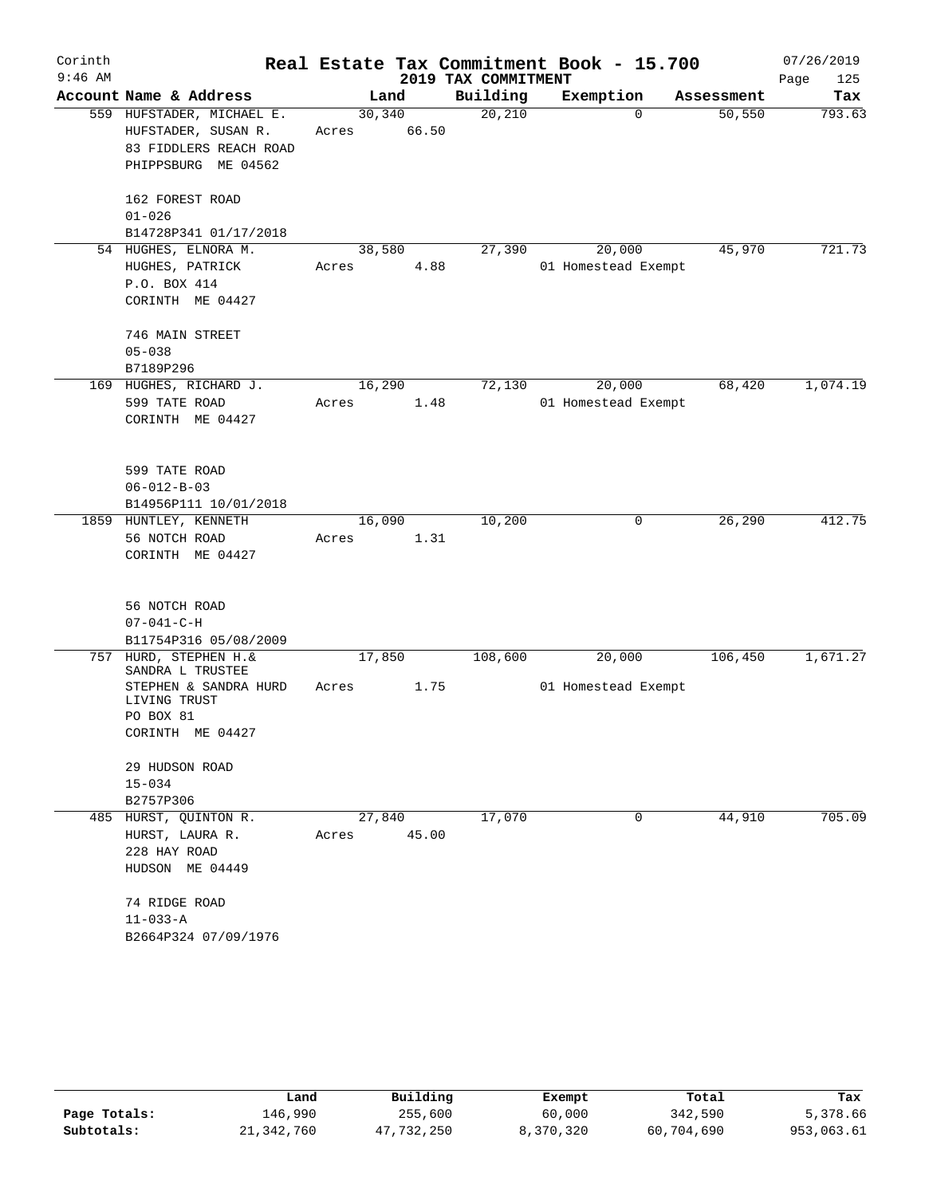| Corinth   |                                                  |        |                 |                     | Real Estate Tax Commitment Book - 15.700 |            | 07/26/2019  |
|-----------|--------------------------------------------------|--------|-----------------|---------------------|------------------------------------------|------------|-------------|
| $9:46$ AM |                                                  |        |                 | 2019 TAX COMMITMENT |                                          |            | Page<br>125 |
|           | Account Name & Address                           |        | Land            | Building            | Exemption                                | Assessment | Tax         |
|           | 559 HUFSTADER, MICHAEL E.<br>HUFSTADER, SUSAN R. | Acres  | 30,340<br>66.50 | 20,210              | $\Omega$                                 | 50, 550    | 793.63      |
|           | 83 FIDDLERS REACH ROAD                           |        |                 |                     |                                          |            |             |
|           | PHIPPSBURG ME 04562                              |        |                 |                     |                                          |            |             |
|           | 162 FOREST ROAD                                  |        |                 |                     |                                          |            |             |
|           | $01 - 026$                                       |        |                 |                     |                                          |            |             |
|           | B14728P341 01/17/2018                            |        |                 |                     |                                          |            |             |
|           | 54 HUGHES, ELNORA M.                             | 38,580 |                 | 27,390              | 20,000                                   | 45,970     | 721.73      |
|           | HUGHES, PATRICK<br>P.O. BOX 414                  | Acres  | 4.88            |                     | 01 Homestead Exempt                      |            |             |
|           | CORINTH ME 04427                                 |        |                 |                     |                                          |            |             |
|           | 746 MAIN STREET                                  |        |                 |                     |                                          |            |             |
|           | $05 - 038$                                       |        |                 |                     |                                          |            |             |
|           | B7189P296                                        |        |                 |                     |                                          |            |             |
|           | 169 HUGHES, RICHARD J.                           | 16,290 |                 | 72,130              | 20,000                                   | 68,420     | 1,074.19    |
|           | 599 TATE ROAD                                    | Acres  | 1.48            |                     | 01 Homestead Exempt                      |            |             |
|           | CORINTH ME 04427                                 |        |                 |                     |                                          |            |             |
|           | 599 TATE ROAD                                    |        |                 |                     |                                          |            |             |
|           | $06 - 012 - B - 03$                              |        |                 |                     |                                          |            |             |
|           | B14956P111 10/01/2018                            |        |                 |                     |                                          |            |             |
|           | 1859 HUNTLEY, KENNETH                            | 16,090 |                 | 10,200              | 0                                        | 26,290     | 412.75      |
|           | 56 NOTCH ROAD                                    | Acres  | 1.31            |                     |                                          |            |             |
|           | CORINTH ME 04427                                 |        |                 |                     |                                          |            |             |
|           | 56 NOTCH ROAD                                    |        |                 |                     |                                          |            |             |
|           | $07 - 041 - C - H$                               |        |                 |                     |                                          |            |             |
|           | B11754P316 05/08/2009                            |        |                 |                     |                                          |            |             |
| 757       | HURD, STEPHEN H. &<br>SANDRA L TRUSTEE           | 17,850 |                 | 108,600             | 20,000                                   | 106,450    | 1,671.27    |
|           | STEPHEN & SANDRA HURD<br>LIVING TRUST            | Acres  | 1.75            |                     | 01 Homestead Exempt                      |            |             |
|           | PO BOX 81                                        |        |                 |                     |                                          |            |             |
|           | CORINTH ME 04427                                 |        |                 |                     |                                          |            |             |
|           | 29 HUDSON ROAD                                   |        |                 |                     |                                          |            |             |
|           | $15 - 034$                                       |        |                 |                     |                                          |            |             |
|           | B2757P306                                        |        |                 |                     |                                          |            |             |
|           | 485 HURST, QUINTON R.                            |        | 27,840          | 17,070              | 0                                        | 44,910     | 705.09      |
|           | HURST, LAURA R.                                  | Acres  | 45.00           |                     |                                          |            |             |
|           | 228 HAY ROAD                                     |        |                 |                     |                                          |            |             |
|           | HUDSON ME 04449                                  |        |                 |                     |                                          |            |             |
|           | 74 RIDGE ROAD                                    |        |                 |                     |                                          |            |             |
|           | $11 - 033 - A$<br>B2664P324 07/09/1976           |        |                 |                     |                                          |            |             |
|           |                                                  |        |                 |                     |                                          |            |             |

|              | Land         | Building   | Exempt    | Total      | Tax        |
|--------------|--------------|------------|-----------|------------|------------|
| Page Totals: | 146.990      | 255,600    | 60,000    | 342,590    | 5,378.66   |
| Subtotals:   | 21, 342, 760 | 47,732,250 | 8,370,320 | 60,704,690 | 953,063.61 |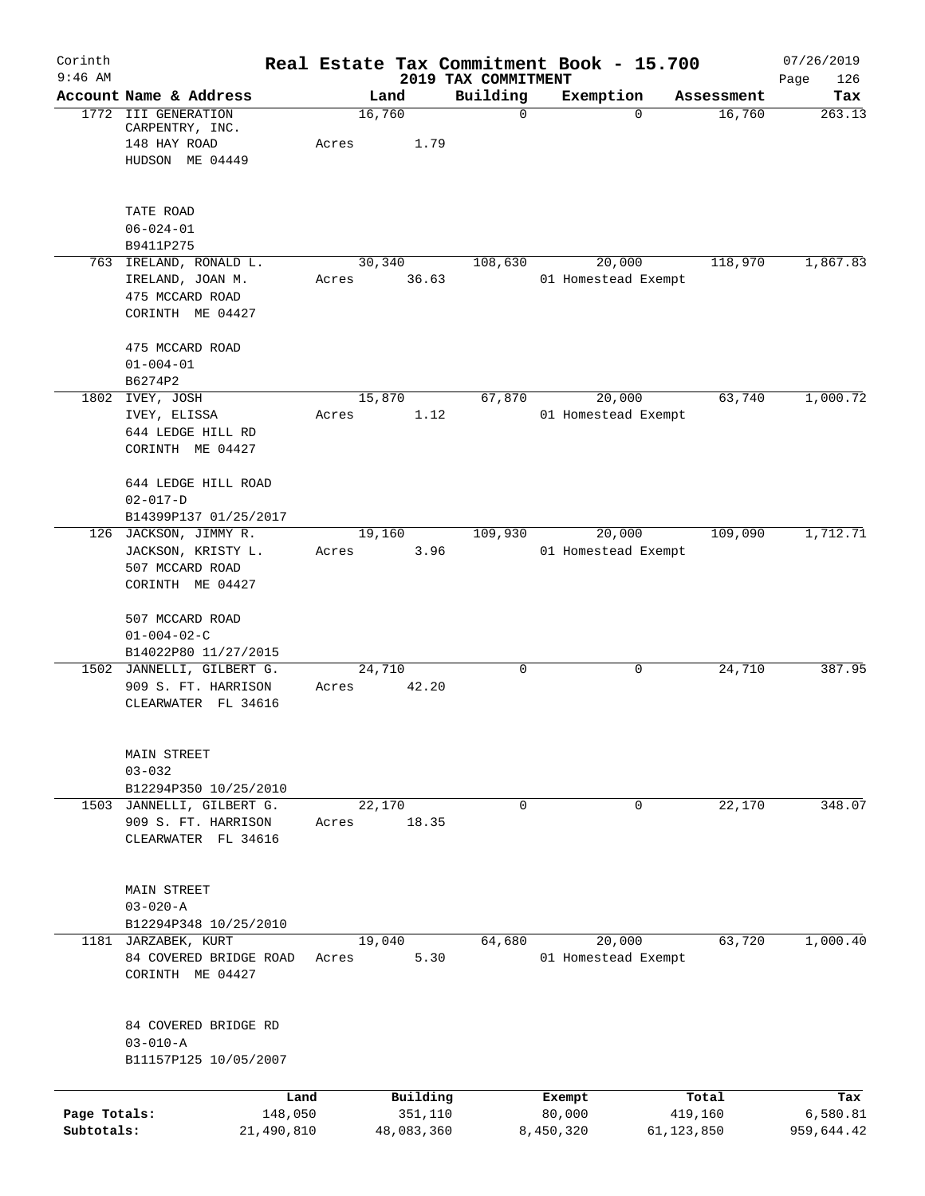| Corinth                    |                                                                                    | Real Estate Tax Commitment Book - 15.700 |                                 |                               |                         | 07/26/2019             |
|----------------------------|------------------------------------------------------------------------------------|------------------------------------------|---------------------------------|-------------------------------|-------------------------|------------------------|
| $9:46$ AM                  | Account Name & Address                                                             | Land                                     | 2019 TAX COMMITMENT<br>Building | Exemption                     | Assessment              | Page<br>126<br>Tax     |
|                            | 1772 III GENERATION<br>CARPENTRY, INC.<br>148 HAY ROAD<br>HUDSON ME 04449          | 16,760<br>1.79<br>Acres                  | $\mathbf 0$                     | $\Omega$                      | 16,760                  | 263.13                 |
|                            | TATE ROAD<br>$06 - 024 - 01$<br>B9411P275                                          |                                          |                                 |                               |                         |                        |
|                            | 763 IRELAND, RONALD L.<br>IRELAND, JOAN M.<br>475 MCCARD ROAD<br>CORINTH ME 04427  | 30,340<br>36.63<br>Acres                 | 108,630                         | 20,000<br>01 Homestead Exempt | 118,970                 | 1,867.83               |
|                            | 475 MCCARD ROAD<br>$01 - 004 - 01$<br>B6274P2                                      |                                          |                                 |                               |                         |                        |
|                            | 1802 IVEY, JOSH<br>IVEY, ELISSA<br>644 LEDGE HILL RD<br>CORINTH ME 04427           | 15,870<br>1.12<br>Acres                  | 67,870                          | 20,000<br>01 Homestead Exempt | 63,740                  | 1,000.72               |
|                            | 644 LEDGE HILL ROAD<br>$02 - 017 - D$<br>B14399P137 01/25/2017                     |                                          |                                 |                               |                         |                        |
|                            | 126 JACKSON, JIMMY R.<br>JACKSON, KRISTY L.<br>507 MCCARD ROAD<br>CORINTH ME 04427 | 19,160<br>3.96<br>Acres                  | 109,930                         | 20,000<br>01 Homestead Exempt | 109,090                 | 1,712.71               |
|                            | 507 MCCARD ROAD<br>$01 - 004 - 02 - C$<br>B14022P80 11/27/2015                     |                                          |                                 |                               |                         |                        |
|                            | 1502 JANNELLI, GILBERT G.<br>909 S. FT. HARRISON<br>CLEARWATER FL 34616            | 24,710<br>42.20<br>Acres                 | 0                               | 0                             | 24,710                  | 387.95                 |
|                            | MAIN STREET<br>$03 - 032$<br>B12294P350 10/25/2010                                 |                                          |                                 |                               |                         |                        |
| 1503                       | JANNELLI, GILBERT G.<br>909 S. FT. HARRISON<br>CLEARWATER FL 34616                 | 22,170<br>18.35<br>Acres                 | $\mathbf 0$                     | 0                             | 22,170                  | 348.07                 |
|                            | MAIN STREET<br>$03 - 020 - A$<br>B12294P348 10/25/2010                             |                                          |                                 |                               |                         |                        |
|                            | 1181 JARZABEK, KURT<br>84 COVERED BRIDGE ROAD<br>CORINTH ME 04427                  | 19,040<br>5.30<br>Acres                  | 64,680                          | 20,000<br>01 Homestead Exempt | 63,720                  | 1,000.40               |
|                            | 84 COVERED BRIDGE RD<br>$03 - 010 - A$<br>B11157P125 10/05/2007                    |                                          |                                 |                               |                         |                        |
|                            | Land                                                                               | Building                                 |                                 | Exempt                        | Total                   | Tax                    |
| Page Totals:<br>Subtotals: | 148,050<br>21,490,810                                                              | 351,110<br>48,083,360                    |                                 | 80,000<br>8,450,320           | 419,160<br>61, 123, 850 | 6,580.81<br>959,644.42 |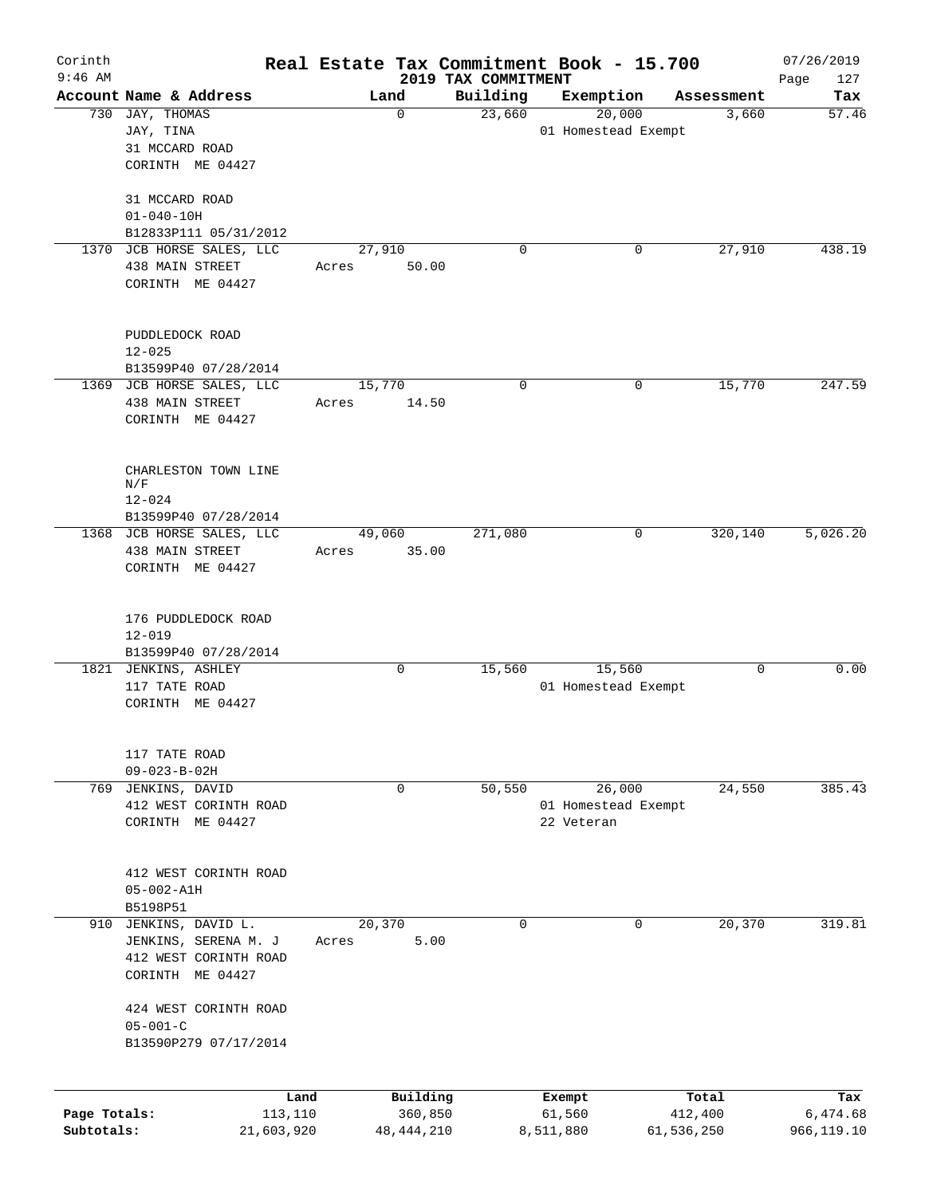| Corinth      |                                              |            |       |                 |                                 | Real Estate Tax Commitment Book - 15.700 |             |            | 07/26/2019         |
|--------------|----------------------------------------------|------------|-------|-----------------|---------------------------------|------------------------------------------|-------------|------------|--------------------|
| $9:46$ AM    | Account Name & Address                       |            |       | Land            | 2019 TAX COMMITMENT<br>Building | Exemption                                |             | Assessment | Page<br>127<br>Tax |
|              | 730 JAY, THOMAS                              |            |       | $\mathbf 0$     | 23,660                          | 20,000                                   |             | 3,660      | 57.46              |
|              | JAY, TINA                                    |            |       |                 |                                 | 01 Homestead Exempt                      |             |            |                    |
|              | 31 MCCARD ROAD                               |            |       |                 |                                 |                                          |             |            |                    |
|              | CORINTH ME 04427                             |            |       |                 |                                 |                                          |             |            |                    |
|              |                                              |            |       |                 |                                 |                                          |             |            |                    |
|              | 31 MCCARD ROAD                               |            |       |                 |                                 |                                          |             |            |                    |
|              | $01 - 040 - 10H$                             |            |       |                 |                                 |                                          |             |            |                    |
|              | B12833P111 05/31/2012                        |            |       |                 |                                 |                                          |             |            |                    |
|              | 1370 JCB HORSE SALES, LLC<br>438 MAIN STREET |            |       | 27,910          | 0                               |                                          | 0           | 27,910     | 438.19             |
|              | CORINTH ME 04427                             |            | Acres | 50.00           |                                 |                                          |             |            |                    |
|              |                                              |            |       |                 |                                 |                                          |             |            |                    |
|              |                                              |            |       |                 |                                 |                                          |             |            |                    |
|              | PUDDLEDOCK ROAD                              |            |       |                 |                                 |                                          |             |            |                    |
|              | $12 - 025$                                   |            |       |                 |                                 |                                          |             |            |                    |
|              | B13599P40 07/28/2014                         |            |       |                 |                                 |                                          |             |            |                    |
|              | 1369 JCB HORSE SALES, LLC                    |            |       | 15,770          | 0                               |                                          | 0           | 15,770     | 247.59             |
|              | 438 MAIN STREET                              |            | Acres | 14.50           |                                 |                                          |             |            |                    |
|              | CORINTH ME 04427                             |            |       |                 |                                 |                                          |             |            |                    |
|              |                                              |            |       |                 |                                 |                                          |             |            |                    |
|              | CHARLESTON TOWN LINE                         |            |       |                 |                                 |                                          |             |            |                    |
|              | N/F                                          |            |       |                 |                                 |                                          |             |            |                    |
|              | $12 - 024$                                   |            |       |                 |                                 |                                          |             |            |                    |
|              | B13599P40 07/28/2014                         |            |       |                 |                                 |                                          |             |            |                    |
|              | 1368 JCB HORSE SALES, LLC<br>438 MAIN STREET |            |       | 49,060<br>35.00 | 271,080                         |                                          | $\mathbf 0$ | 320,140    | 5,026.20           |
|              | CORINTH ME 04427                             |            | Acres |                 |                                 |                                          |             |            |                    |
|              |                                              |            |       |                 |                                 |                                          |             |            |                    |
|              |                                              |            |       |                 |                                 |                                          |             |            |                    |
|              | 176 PUDDLEDOCK ROAD                          |            |       |                 |                                 |                                          |             |            |                    |
|              | $12 - 019$                                   |            |       |                 |                                 |                                          |             |            |                    |
|              | B13599P40 07/28/2014                         |            |       |                 |                                 |                                          |             |            |                    |
|              | 1821 JENKINS, ASHLEY                         |            |       | 0               | 15,560                          | 15,560                                   |             | 0          | 0.00               |
|              | 117 TATE ROAD                                |            |       |                 |                                 | 01 Homestead Exempt                      |             |            |                    |
|              | CORINTH ME 04427                             |            |       |                 |                                 |                                          |             |            |                    |
|              |                                              |            |       |                 |                                 |                                          |             |            |                    |
|              | 117 TATE ROAD                                |            |       |                 |                                 |                                          |             |            |                    |
|              | $09 - 023 - B - 02H$                         |            |       |                 |                                 |                                          |             |            |                    |
|              | 769 JENKINS, DAVID                           |            |       | 0               | 50,550                          | 26,000                                   |             | 24,550     | 385.43             |
|              | 412 WEST CORINTH ROAD                        |            |       |                 |                                 | 01 Homestead Exempt                      |             |            |                    |
|              | CORINTH ME 04427                             |            |       |                 |                                 | 22 Veteran                               |             |            |                    |
|              |                                              |            |       |                 |                                 |                                          |             |            |                    |
|              | 412 WEST CORINTH ROAD                        |            |       |                 |                                 |                                          |             |            |                    |
|              | $05 - 002 - A1H$                             |            |       |                 |                                 |                                          |             |            |                    |
|              | B5198P51                                     |            |       |                 |                                 |                                          |             |            |                    |
|              | 910 JENKINS, DAVID L.                        |            |       | 20, 370         | $\Omega$                        |                                          | 0           | 20,370     | 319.81             |
|              | JENKINS, SERENA M. J                         |            | Acres | 5.00            |                                 |                                          |             |            |                    |
|              | 412 WEST CORINTH ROAD                        |            |       |                 |                                 |                                          |             |            |                    |
|              | CORINTH ME 04427                             |            |       |                 |                                 |                                          |             |            |                    |
|              | 424 WEST CORINTH ROAD                        |            |       |                 |                                 |                                          |             |            |                    |
|              | $05 - 001 - C$                               |            |       |                 |                                 |                                          |             |            |                    |
|              | B13590P279 07/17/2014                        |            |       |                 |                                 |                                          |             |            |                    |
|              |                                              |            |       |                 |                                 |                                          |             |            |                    |
|              |                                              | Land       |       | Building        |                                 | Exempt                                   |             | Total      | Tax                |
| Page Totals: |                                              | 113,110    |       | 360,850         |                                 | 61,560                                   |             | 412,400    | 6,474.68           |
| Subtotals:   |                                              | 21,603,920 |       | 48, 444, 210    |                                 | 8,511,880                                | 61,536,250  |            | 966,119.10         |
|              |                                              |            |       |                 |                                 |                                          |             |            |                    |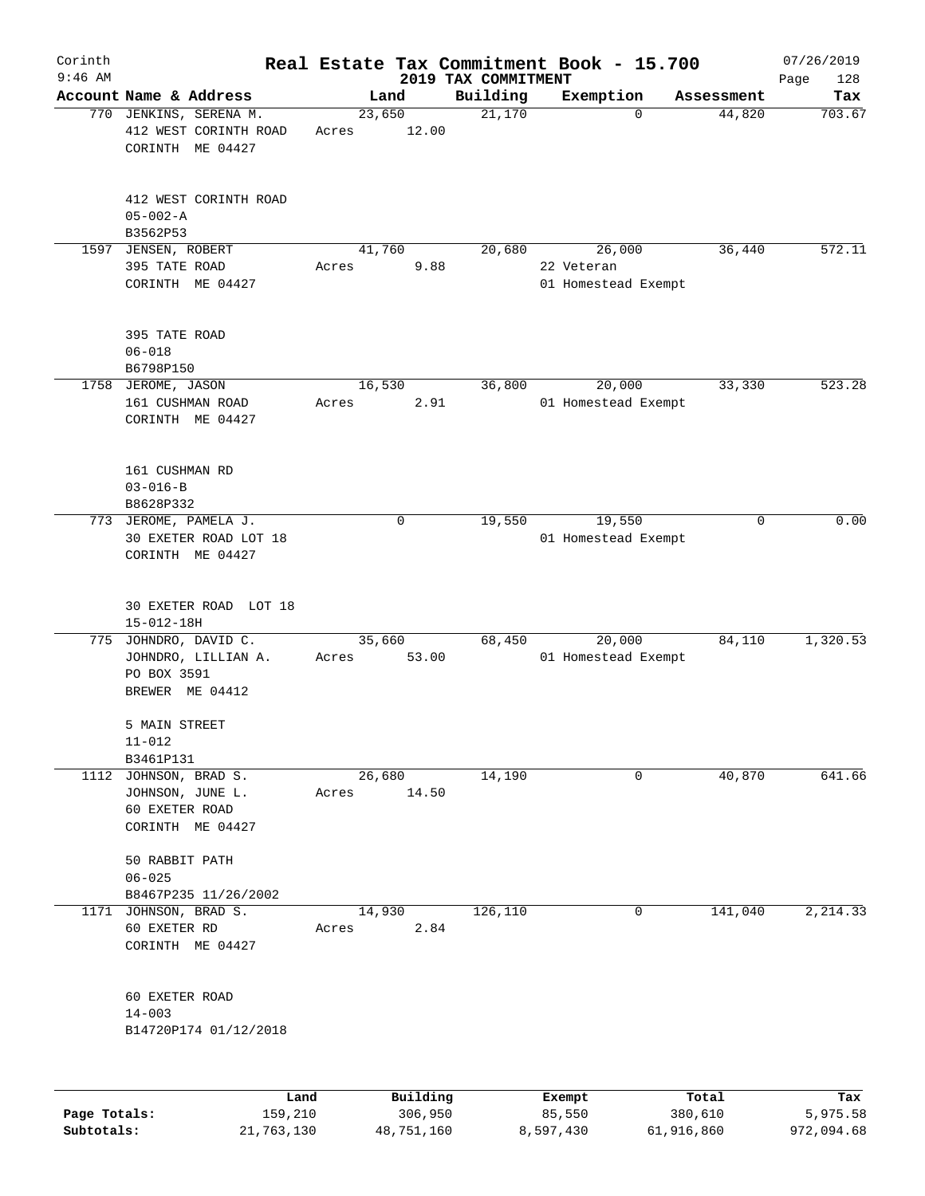| Corinth      |                                                                            |                 |             |                     | Real Estate Tax Commitment Book - 15.700 |                      | 07/26/2019    |
|--------------|----------------------------------------------------------------------------|-----------------|-------------|---------------------|------------------------------------------|----------------------|---------------|
| $9:46$ AM    |                                                                            |                 |             | 2019 TAX COMMITMENT |                                          |                      | Page<br>128   |
|              | Account Name & Address                                                     | 23,650          | Land        | Building<br>21,170  | Exemption<br>$\mathbf 0$                 | Assessment<br>44,820 | Tax<br>703.67 |
|              | 770 JENKINS, SERENA M.<br>412 WEST CORINTH ROAD<br>CORINTH ME 04427        | Acres           | 12.00       |                     |                                          |                      |               |
|              | 412 WEST CORINTH ROAD<br>$05 - 002 - A$<br>B3562P53                        |                 |             |                     |                                          |                      |               |
| 1597         | JENSEN, ROBERT                                                             | 41,760          |             | 20,680              | 26,000                                   | 36,440               | 572.11        |
|              | 395 TATE ROAD<br>CORINTH ME 04427                                          | Acres           | 9.88        |                     | 22 Veteran<br>01 Homestead Exempt        |                      |               |
|              | 395 TATE ROAD<br>$06 - 018$<br>B6798P150                                   |                 |             |                     |                                          |                      |               |
|              | 1758 JEROME, JASON                                                         | 16,530          |             | 36,800              | 20,000                                   | 33,330               | 523.28        |
|              | 161 CUSHMAN ROAD<br>CORINTH ME 04427                                       | Acres           | 2.91        |                     | 01 Homestead Exempt                      |                      |               |
|              | 161 CUSHMAN RD<br>$03 - 016 - B$<br>B8628P332                              |                 |             |                     |                                          |                      |               |
|              | 773 JEROME, PAMELA J.<br>30 EXETER ROAD LOT 18<br>CORINTH ME 04427         |                 | $\mathbf 0$ | 19,550              | 19,550<br>01 Homestead Exempt            | 0                    | 0.00          |
|              | 30 EXETER ROAD LOT 18<br>$15 - 012 - 18H$                                  |                 |             |                     |                                          |                      |               |
| 775          | JOHNDRO, DAVID C.<br>JOHNDRO, LILLIAN A.<br>PO BOX 3591<br>BREWER ME 04412 | 35,660<br>Acres | 53.00       | 68,450              | 20,000<br>01 Homestead Exempt            | 84,110               | 1,320.53      |
|              | 5 MAIN STREET<br>$11 - 012$                                                |                 |             |                     |                                          |                      |               |
| 1112         | B3461P131<br>JOHNSON, BRAD S.                                              |                 | 26,680      | 14,190              | 0                                        | 40,870               | 641.66        |
|              | JOHNSON, JUNE L.<br>60 EXETER ROAD<br>CORINTH ME 04427                     | Acres           | 14.50       |                     |                                          |                      |               |
|              | 50 RABBIT PATH<br>$06 - 025$                                               |                 |             |                     |                                          |                      |               |
| 1171         | B8467P235 11/26/2002                                                       | 14,930          |             |                     | 0                                        | 141,040              |               |
|              | JOHNSON, BRAD S.<br>60 EXETER RD<br>CORINTH ME 04427                       | Acres           | 2.84        | 126,110             |                                          |                      | 2, 214.33     |
|              | 60 EXETER ROAD<br>$14 - 003$<br>B14720P174 01/12/2018                      |                 |             |                     |                                          |                      |               |
|              | Land                                                                       |                 | Building    |                     | Exempt                                   | Total                | Tax           |
| Page Totals: | 159,210                                                                    |                 | 306,950     |                     | 85,550                                   | 380,610              | 5,975.58      |

**Subtotals:** 21,763,130 48,751,160 8,597,430 61,916,860 972,094.68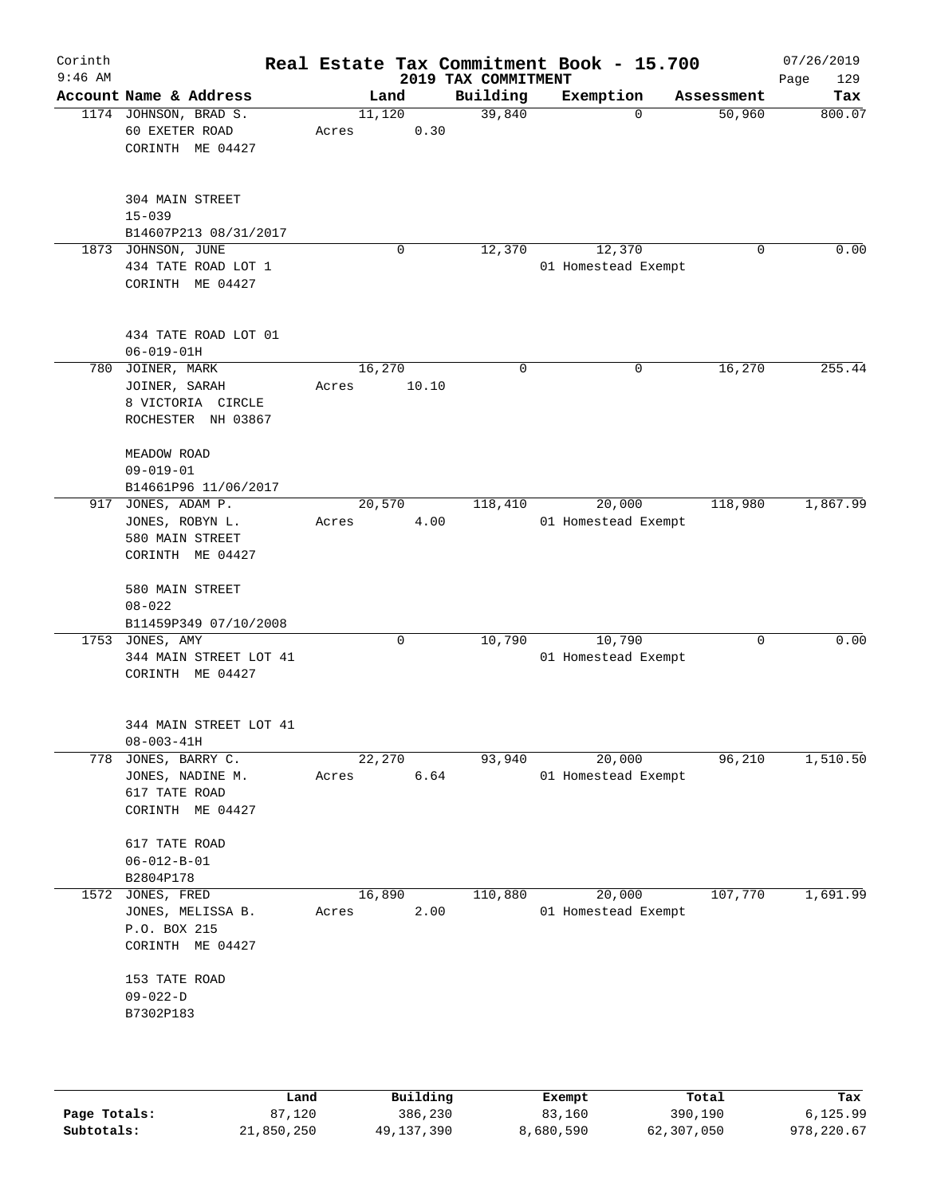| Corinth<br>$9:46$ AM |                                                                              |                 |             | 2019 TAX COMMITMENT | Real Estate Tax Commitment Book - 15.700 |             | 07/26/2019<br>129<br>Page |
|----------------------|------------------------------------------------------------------------------|-----------------|-------------|---------------------|------------------------------------------|-------------|---------------------------|
|                      | Account Name & Address                                                       |                 | Land        | Building            | Exemption                                | Assessment  | Tax                       |
|                      | 1174 JOHNSON, BRAD S.<br>60 EXETER ROAD<br>CORINTH ME 04427                  | 11,120<br>Acres | 0.30        | 39,840              | $\Omega$                                 | 50,960      | 800.07                    |
|                      | 304 MAIN STREET<br>$15 - 039$<br>B14607P213 08/31/2017                       |                 |             |                     |                                          |             |                           |
|                      | 1873 JOHNSON, JUNE<br>434 TATE ROAD LOT 1<br>CORINTH ME 04427                |                 | $\mathbf 0$ | 12,370              | 12,370<br>01 Homestead Exempt            | $\mathbf 0$ | 0.00                      |
|                      | 434 TATE ROAD LOT 01<br>$06 - 019 - 01H$                                     |                 |             |                     |                                          |             |                           |
|                      | 780 JOINER, MARK<br>JOINER, SARAH<br>8 VICTORIA CIRCLE<br>ROCHESTER NH 03867 | 16,270<br>Acres | 10.10       | $\mathbf 0$         | 0                                        | 16,270      | 255.44                    |
|                      | MEADOW ROAD<br>$09 - 019 - 01$<br>B14661P96 11/06/2017                       |                 |             |                     |                                          |             |                           |
|                      | 917 JONES, ADAM P.<br>JONES, ROBYN L.<br>580 MAIN STREET<br>CORINTH ME 04427 | 20,570<br>Acres | 4.00        | 118,410             | 20,000<br>01 Homestead Exempt            | 118,980     | 1,867.99                  |
|                      | 580 MAIN STREET<br>$08 - 022$<br>B11459P349 07/10/2008                       |                 |             |                     |                                          |             |                           |
|                      | 1753 JONES, AMY<br>344 MAIN STREET LOT 41<br>CORINTH ME 04427                |                 | $\mathbf 0$ | 10,790              | 10,790<br>01 Homestead Exempt            | $\Omega$    | 0.00                      |
|                      | 344 MAIN STREET LOT 41<br>$08 - 003 - 41H$                                   |                 |             |                     |                                          |             |                           |
|                      | 778 JONES, BARRY C.<br>JONES, NADINE M.<br>617 TATE ROAD<br>CORINTH ME 04427 | 22,270<br>Acres | 6.64        | 93,940              | 20,000<br>01 Homestead Exempt            | 96,210      | 1,510.50                  |
|                      | 617 TATE ROAD<br>$06 - 012 - B - 01$<br>B2804P178                            |                 |             |                     |                                          |             |                           |
|                      | 1572 JONES, FRED<br>JONES, MELISSA B.<br>P.O. BOX 215<br>CORINTH ME 04427    | 16,890<br>Acres | 2.00        | 110,880             | 20,000<br>01 Homestead Exempt            | 107,770     | 1,691.99                  |
|                      | 153 TATE ROAD<br>$09 - 022 - D$<br>B7302P183                                 |                 |             |                     |                                          |             |                           |
|                      | Land                                                                         |                 | Building    |                     | Exempt                                   | Total       | Tax                       |

|              | Land       | Building   | Exempt    | Total      | Tax        |
|--------------|------------|------------|-----------|------------|------------|
| Page Totals: | 87,120     | 386,230    | 83,160    | 390,190    | 6,125.99   |
| Subtotals:   | 21,850,250 | 49,137,390 | 8,680,590 | 62,307,050 | 978,220.67 |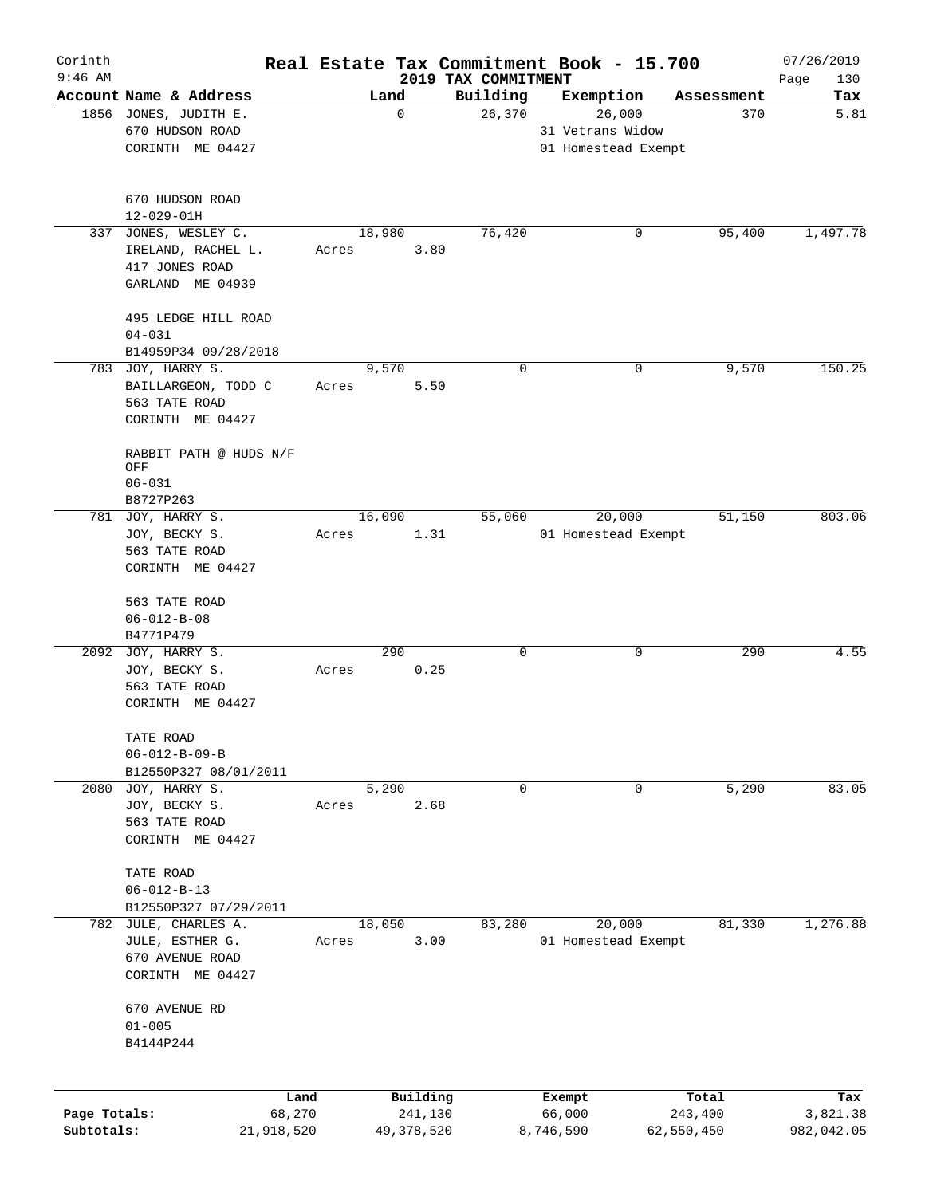| Corinth      |                                     |       |              |                                 | Real Estate Tax Commitment Book - 15.700 |            |            | 07/26/2019         |
|--------------|-------------------------------------|-------|--------------|---------------------------------|------------------------------------------|------------|------------|--------------------|
| $9:46$ AM    | Account Name & Address              |       | Land         | 2019 TAX COMMITMENT<br>Building | Exemption                                |            | Assessment | Page<br>130<br>Tax |
|              | 1856 JONES, JUDITH E.               |       | $\mathbf 0$  | 26,370                          | 26,000                                   |            | 370        | 5.81               |
|              | 670 HUDSON ROAD                     |       |              |                                 | 31 Vetrans Widow                         |            |            |                    |
|              | CORINTH ME 04427                    |       |              |                                 | 01 Homestead Exempt                      |            |            |                    |
|              |                                     |       |              |                                 |                                          |            |            |                    |
|              | 670 HUDSON ROAD<br>$12 - 029 - 01H$ |       |              |                                 |                                          |            |            |                    |
| 337          | JONES, WESLEY C.                    |       | 18,980       | 76,420                          |                                          | 0          | 95,400     | 1,497.78           |
|              | IRELAND, RACHEL L.                  | Acres | 3.80         |                                 |                                          |            |            |                    |
|              | 417 JONES ROAD                      |       |              |                                 |                                          |            |            |                    |
|              | GARLAND ME 04939                    |       |              |                                 |                                          |            |            |                    |
|              |                                     |       |              |                                 |                                          |            |            |                    |
|              | 495 LEDGE HILL ROAD<br>$04 - 031$   |       |              |                                 |                                          |            |            |                    |
|              | B14959P34 09/28/2018                |       |              |                                 |                                          |            |            |                    |
|              | 783 JOY, HARRY S.                   |       | 9,570        |                                 | $\mathbf 0$                              | 0          | 9,570      | 150.25             |
|              | BAILLARGEON, TODD C                 | Acres | 5.50         |                                 |                                          |            |            |                    |
|              | 563 TATE ROAD                       |       |              |                                 |                                          |            |            |                    |
|              | CORINTH ME 04427                    |       |              |                                 |                                          |            |            |                    |
|              | RABBIT PATH @ HUDS N/F              |       |              |                                 |                                          |            |            |                    |
|              | OFF                                 |       |              |                                 |                                          |            |            |                    |
|              | $06 - 031$                          |       |              |                                 |                                          |            |            |                    |
|              | B8727P263                           |       |              |                                 |                                          |            |            |                    |
|              | 781 JOY, HARRY S.                   |       | 16,090       | 55,060                          | 20,000                                   |            | 51,150     | 803.06             |
|              | JOY, BECKY S.                       | Acres |              | 1.31                            | 01 Homestead Exempt                      |            |            |                    |
|              | 563 TATE ROAD                       |       |              |                                 |                                          |            |            |                    |
|              | CORINTH ME 04427                    |       |              |                                 |                                          |            |            |                    |
|              | 563 TATE ROAD                       |       |              |                                 |                                          |            |            |                    |
|              | $06 - 012 - B - 08$                 |       |              |                                 |                                          |            |            |                    |
|              | B4771P479                           |       |              |                                 |                                          |            |            |                    |
|              | 2092 JOY, HARRY S.                  |       | 290          |                                 | $\mathbf 0$                              | 0          | 290        | 4.55               |
|              | JOY, BECKY S.                       | Acres | 0.25         |                                 |                                          |            |            |                    |
|              | 563 TATE ROAD                       |       |              |                                 |                                          |            |            |                    |
|              | CORINTH ME 04427                    |       |              |                                 |                                          |            |            |                    |
|              | TATE ROAD                           |       |              |                                 |                                          |            |            |                    |
|              | $06 - 012 - B - 09 - B$             |       |              |                                 |                                          |            |            |                    |
|              | B12550P327 08/01/2011               |       |              |                                 |                                          |            |            |                    |
|              | 2080 JOY, HARRY S.                  |       | 5,290        |                                 | $\mathbf 0$                              | 0          | 5,290      | 83.05              |
|              | JOY, BECKY S.                       | Acres | 2.68         |                                 |                                          |            |            |                    |
|              | 563 TATE ROAD                       |       |              |                                 |                                          |            |            |                    |
|              | CORINTH ME 04427                    |       |              |                                 |                                          |            |            |                    |
|              | TATE ROAD                           |       |              |                                 |                                          |            |            |                    |
|              | $06 - 012 - B - 13$                 |       |              |                                 |                                          |            |            |                    |
|              | B12550P327 07/29/2011               |       |              |                                 |                                          |            |            |                    |
|              | 782 JULE, CHARLES A.                |       | 18,050       | 83,280                          | 20,000                                   |            | 81,330     | 1,276.88           |
|              | JULE, ESTHER G.                     | Acres | 3.00         |                                 | 01 Homestead Exempt                      |            |            |                    |
|              | 670 AVENUE ROAD                     |       |              |                                 |                                          |            |            |                    |
|              | CORINTH ME 04427                    |       |              |                                 |                                          |            |            |                    |
|              | 670 AVENUE RD                       |       |              |                                 |                                          |            |            |                    |
|              | $01 - 005$                          |       |              |                                 |                                          |            |            |                    |
|              | B4144P244                           |       |              |                                 |                                          |            |            |                    |
|              |                                     |       |              |                                 |                                          |            |            |                    |
|              | Land                                |       | Building     |                                 | Exempt                                   |            | Total      | Tax                |
| Page Totals: | 68,270                              |       | 241,130      |                                 | 66,000                                   |            | 243,400    | 3,821.38           |
| Subtotals:   | 21,918,520                          |       | 49, 378, 520 |                                 | 8,746,590                                | 62,550,450 |            | 982,042.05         |
|              |                                     |       |              |                                 |                                          |            |            |                    |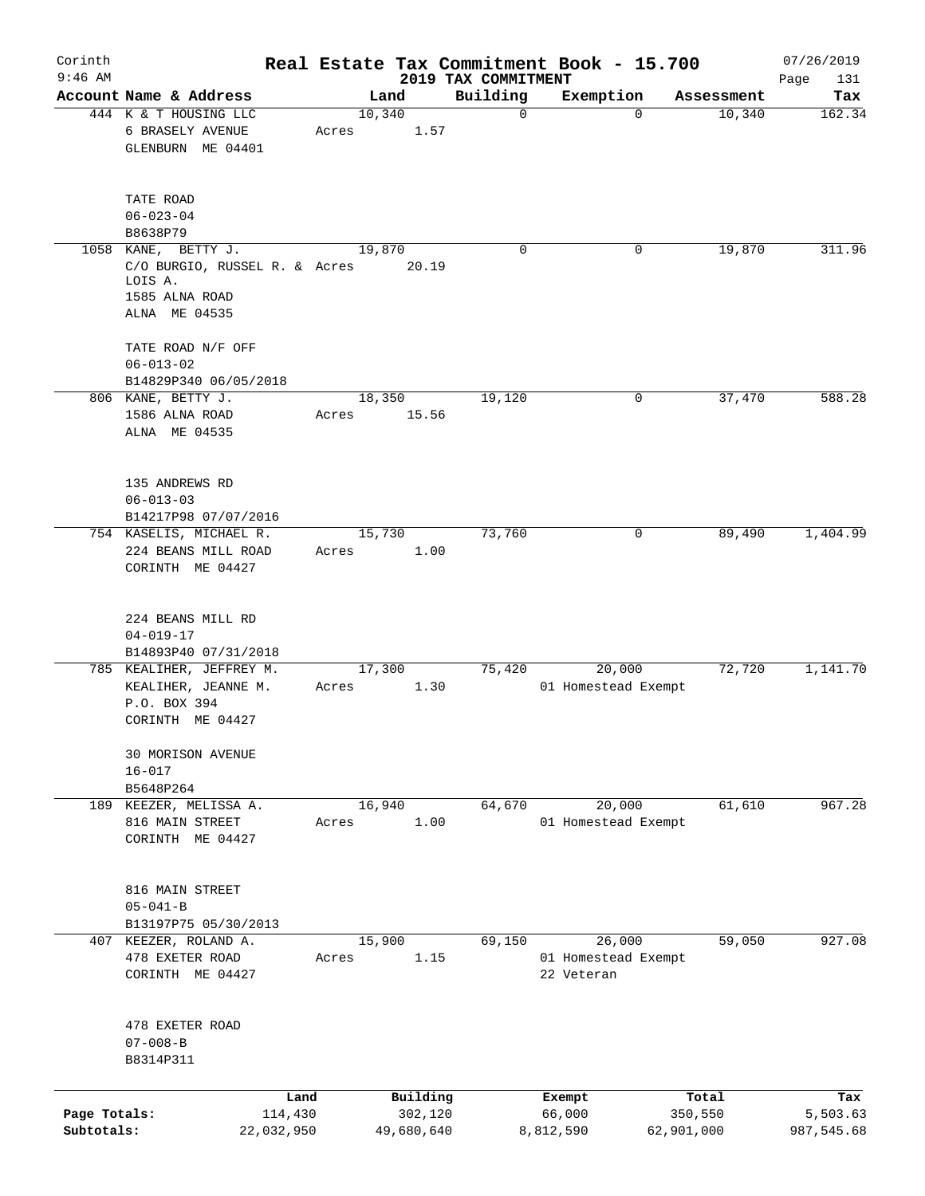| Corinth                    |                                                                                                    |                 |                       |                                 | Real Estate Tax Commitment Book - 15.700    |                       | 07/26/2019             |
|----------------------------|----------------------------------------------------------------------------------------------------|-----------------|-----------------------|---------------------------------|---------------------------------------------|-----------------------|------------------------|
| $9:46$ AM                  | Account Name & Address                                                                             | Land            |                       | 2019 TAX COMMITMENT<br>Building | Exemption                                   | Assessment            | Page<br>131<br>Tax     |
|                            | 444 K & T HOUSING LLC<br>6 BRASELY AVENUE<br>GLENBURN ME 04401                                     | 10,340<br>Acres | 1.57                  | $\mathbf 0$                     | $\Omega$                                    | 10,340                | 162.34                 |
|                            | TATE ROAD<br>$06 - 023 - 04$<br>B8638P79                                                           |                 |                       |                                 |                                             |                       |                        |
|                            | 1058 KANE, BETTY J.<br>C/O BURGIO, RUSSEL R. & Acres<br>LOIS A.<br>1585 ALNA ROAD<br>ALNA ME 04535 | 19,870          | 20.19                 | 0                               | 0                                           | 19,870                | 311.96                 |
|                            | TATE ROAD N/F OFF<br>$06 - 013 - 02$<br>B14829P340 06/05/2018                                      |                 |                       |                                 |                                             |                       |                        |
|                            | 806 KANE, BETTY J.<br>1586 ALNA ROAD<br>ALNA ME 04535                                              | 18,350<br>Acres | 15.56                 | 19,120                          | 0                                           | 37,470                | 588.28                 |
|                            | 135 ANDREWS RD<br>$06 - 013 - 03$<br>B14217P98 07/07/2016                                          |                 |                       |                                 |                                             |                       |                        |
|                            | 754 KASELIS, MICHAEL R.<br>224 BEANS MILL ROAD<br>CORINTH ME 04427                                 | 15,730<br>Acres | 1.00                  | 73,760                          | 0                                           | 89,490                | 1,404.99               |
|                            | 224 BEANS MILL RD<br>$04 - 019 - 17$<br>B14893P40 07/31/2018                                       |                 |                       |                                 |                                             |                       |                        |
|                            | 785 KEALIHER, JEFFREY M.<br>KEALIHER, JEANNE M.<br>P.O. BOX 394<br>CORINTH ME 04427                | 17,300<br>Acres | 1.30                  | 75,420                          | 20,000<br>01 Homestead Exempt               | 72,720                | 1,141.70               |
|                            | 30 MORISON AVENUE<br>$16 - 017$<br>B5648P264                                                       |                 |                       |                                 |                                             |                       |                        |
|                            | 189 KEEZER, MELISSA A.<br>816 MAIN STREET<br>CORINTH ME 04427                                      | 16,940<br>Acres | 1.00                  | 64,670                          | 20,000<br>01 Homestead Exempt               | 61,610                | 967.28                 |
|                            | 816 MAIN STREET<br>$05 - 041 - B$<br>B13197P75 05/30/2013                                          |                 |                       |                                 |                                             |                       |                        |
|                            | 407 KEEZER, ROLAND A.<br>478 EXETER ROAD<br>CORINTH ME 04427                                       | 15,900<br>Acres | 1.15                  | 69,150                          | 26,000<br>01 Homestead Exempt<br>22 Veteran | 59,050                | 927.08                 |
|                            | 478 EXETER ROAD<br>$07 - 008 - B$<br>B8314P311                                                     |                 |                       |                                 |                                             |                       |                        |
|                            | Land                                                                                               |                 | Building              |                                 | Exempt                                      | Total                 | Tax                    |
| Page Totals:<br>Subtotals: | 114,430<br>22,032,950                                                                              |                 | 302,120<br>49,680,640 |                                 | 66,000<br>8,812,590                         | 350,550<br>62,901,000 | 5,503.63<br>987,545.68 |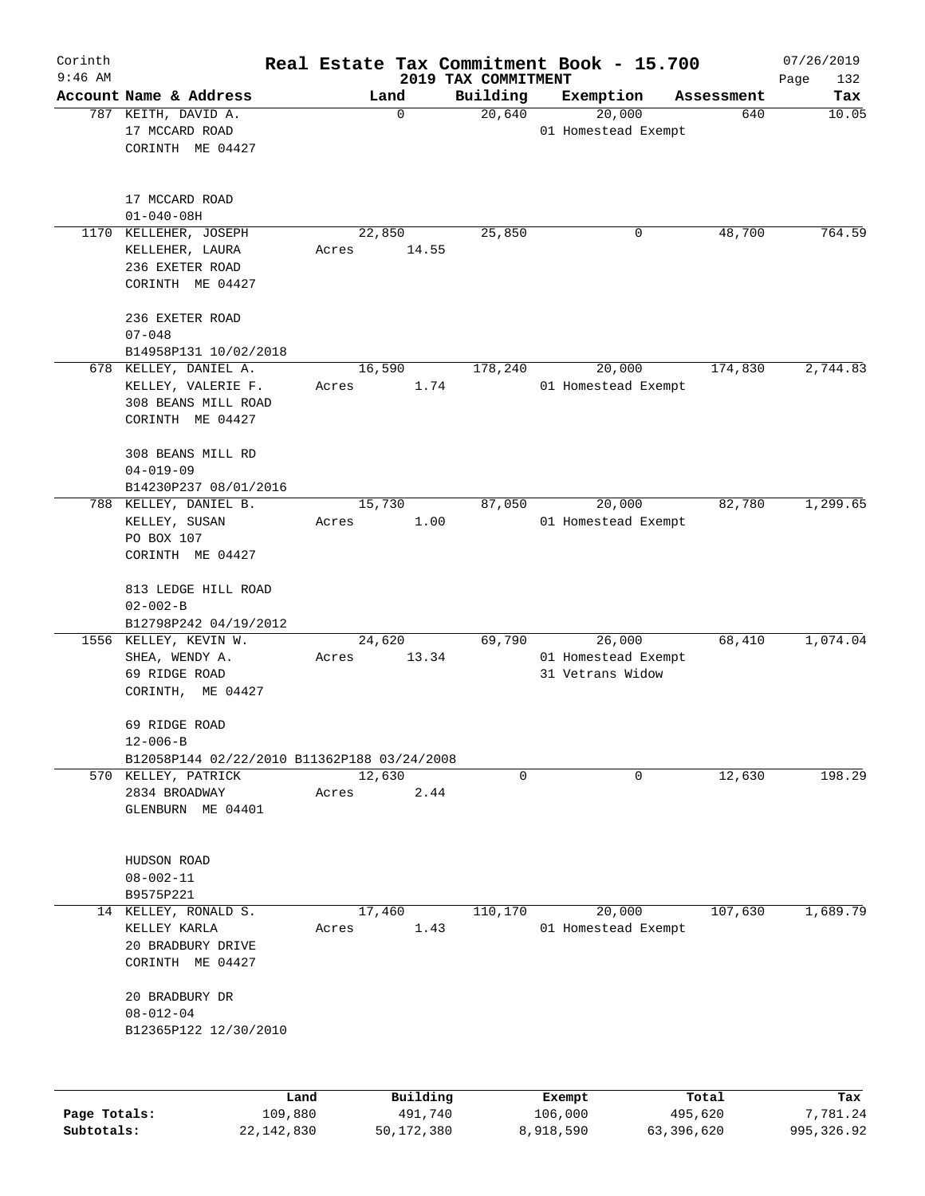| Corinth<br>$9:46$ AM |                                                                                        |                          | 2019 TAX COMMITMENT | Real Estate Tax Commitment Book - 15.700          |            | 07/26/2019<br>Page<br>132 |
|----------------------|----------------------------------------------------------------------------------------|--------------------------|---------------------|---------------------------------------------------|------------|---------------------------|
|                      | Account Name & Address                                                                 | Land                     | Building            | Exemption                                         | Assessment | Tax                       |
|                      | 787 KEITH, DAVID A.<br>17 MCCARD ROAD<br>CORINTH ME 04427                              | $\mathbf 0$              | 20,640              | 20,000<br>01 Homestead Exempt                     | 640        | 10.05                     |
|                      | 17 MCCARD ROAD<br>$01 - 040 - 08H$                                                     |                          |                     |                                                   |            |                           |
|                      | 1170 KELLEHER, JOSEPH<br>KELLEHER, LAURA<br>236 EXETER ROAD<br>CORINTH ME 04427        | 22,850<br>14.55<br>Acres | 25,850              | 0                                                 | 48,700     | 764.59                    |
|                      | 236 EXETER ROAD<br>$07 - 048$<br>B14958P131 10/02/2018                                 |                          |                     |                                                   |            |                           |
|                      | 678 KELLEY, DANIEL A.<br>KELLEY, VALERIE F.<br>308 BEANS MILL ROAD<br>CORINTH ME 04427 | 16,590<br>1.74<br>Acres  | 178,240             | 20,000<br>01 Homestead Exempt                     | 174,830    | 2,744.83                  |
|                      | 308 BEANS MILL RD<br>$04 - 019 - 09$<br>B14230P237 08/01/2016                          |                          |                     |                                                   |            |                           |
|                      | 788 KELLEY, DANIEL B.<br>KELLEY, SUSAN<br>PO BOX 107<br>CORINTH ME 04427               | 15,730<br>1.00<br>Acres  | 87,050              | 20,000<br>01 Homestead Exempt                     | 82,780     | 1,299.65                  |
|                      | 813 LEDGE HILL ROAD<br>$02 - 002 - B$<br>B12798P242 04/19/2012                         |                          |                     |                                                   |            |                           |
|                      | 1556 KELLEY, KEVIN W.<br>SHEA, WENDY A.<br>69 RIDGE ROAD<br>CORINTH, ME 04427          | 24,620<br>13.34<br>Acres | 69,790              | 26,000<br>01 Homestead Exempt<br>31 Vetrans Widow | 68,410     | 1,074.04                  |
|                      | 69 RIDGE ROAD<br>$12 - 006 - B$<br>B12058P144 02/22/2010 B11362P188 03/24/2008         |                          |                     |                                                   |            |                           |
|                      | 570 KELLEY, PATRICK<br>2834 BROADWAY<br>GLENBURN ME 04401                              | 12,630<br>2.44<br>Acres  | $\mathbf 0$         | 0                                                 | 12,630     | 198.29                    |
|                      | HUDSON ROAD<br>$08 - 002 - 11$<br>B9575P221                                            |                          |                     |                                                   |            |                           |
|                      | 14 KELLEY, RONALD S.<br>KELLEY KARLA<br>20 BRADBURY DRIVE<br>CORINTH ME 04427          | 17,460<br>1.43<br>Acres  | 110, 170            | 20,000<br>01 Homestead Exempt                     | 107,630    | 1,689.79                  |
|                      | 20 BRADBURY DR<br>$08 - 012 - 04$<br>B12365P122 12/30/2010                             |                          |                     |                                                   |            |                           |
|                      | Land                                                                                   | Building                 |                     | Exempt                                            | Total      | Tax                       |
| Page Totals:         | 109,880                                                                                | 491,740                  |                     | 106,000                                           | 495,620    | 7,781.24                  |

**Subtotals:** 22,142,830 50,172,380 8,918,590 63,396,620 995,326.92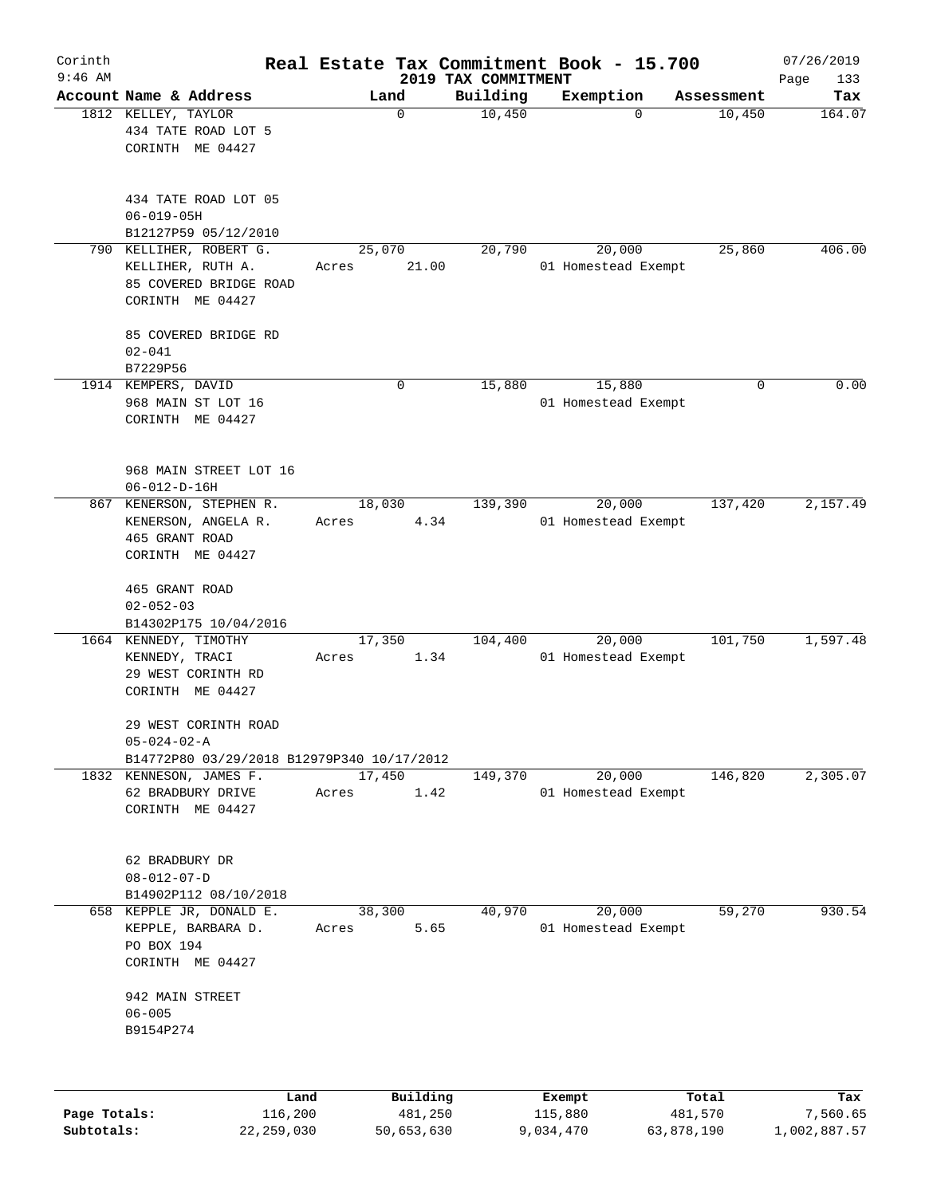| Corinth<br>$9:46$ AM |                                                                                            |                  |                     |                                 | Real Estate Tax Commitment Book - 15.700 |                  | 07/26/2019         |
|----------------------|--------------------------------------------------------------------------------------------|------------------|---------------------|---------------------------------|------------------------------------------|------------------|--------------------|
|                      | Account Name & Address                                                                     | Land             |                     | 2019 TAX COMMITMENT<br>Building | Exemption                                | Assessment       | Page<br>133<br>Tax |
|                      | 1812 KELLEY, TAYLOR<br>434 TATE ROAD LOT 5<br>CORINTH ME 04427                             |                  | 0                   | 10,450                          | 0                                        | 10,450           | 164.07             |
|                      | 434 TATE ROAD LOT 05<br>$06 - 019 - 05H$<br>B12127P59 05/12/2010                           |                  |                     |                                 |                                          |                  |                    |
|                      | 790 KELLIHER, ROBERT G.<br>KELLIHER, RUTH A.<br>85 COVERED BRIDGE ROAD<br>CORINTH ME 04427 | 25,070<br>Acres  | 21.00               | 20,790                          | 20,000<br>01 Homestead Exempt            | 25,860           | 406.00             |
|                      | 85 COVERED BRIDGE RD<br>$02 - 041$<br>B7229P56                                             |                  |                     |                                 |                                          |                  |                    |
|                      | 1914 KEMPERS, DAVID<br>968 MAIN ST LOT 16<br>CORINTH ME 04427                              |                  | 0                   | 15,880                          | 15,880<br>01 Homestead Exempt            | 0                | 0.00               |
|                      | 968 MAIN STREET LOT 16<br>$06 - 012 - D - 16H$                                             |                  |                     |                                 |                                          |                  |                    |
| 867                  | KENERSON, STEPHEN R.<br>KENERSON, ANGELA R.<br>465 GRANT ROAD<br>CORINTH ME 04427          | 18,030<br>Acres  | 4.34                | 139,390                         | 20,000<br>01 Homestead Exempt            | 137,420          | 2,157.49           |
|                      | 465 GRANT ROAD<br>$02 - 052 - 03$<br>B14302P175 10/04/2016                                 |                  |                     |                                 |                                          |                  |                    |
|                      | 1664 KENNEDY, TIMOTHY<br>KENNEDY, TRACI<br>29 WEST CORINTH RD<br>CORINTH ME 04427          | 17, 350<br>Acres | 1.34                | 104,400                         | 20,000<br>01 Homestead Exempt            | 101,750          | 1,597.48           |
|                      | 29 WEST CORINTH ROAD<br>$05 - 024 - 02 - A$                                                |                  |                     |                                 |                                          |                  |                    |
|                      | B14772P80 03/29/2018 B12979P340 10/17/2012<br>1832 KENNESON, JAMES F.                      | 17,450           |                     | 149,370                         | 20,000                                   | 146,820          | 2,305.07           |
|                      | 62 BRADBURY DRIVE<br>CORINTH ME 04427                                                      | Acres            | 1.42                |                                 | 01 Homestead Exempt                      |                  |                    |
|                      | 62 BRADBURY DR<br>$08 - 012 - 07 - D$<br>B14902P112 08/10/2018                             |                  |                     |                                 |                                          |                  |                    |
|                      | 658 KEPPLE JR, DONALD E.<br>KEPPLE, BARBARA D.<br>PO BOX 194<br>CORINTH ME 04427           | 38,300<br>Acres  | 5.65                | 40,970                          | 20,000<br>01 Homestead Exempt            | 59,270           | 930.54             |
|                      | 942 MAIN STREET<br>$06 - 005$<br>B9154P274                                                 |                  |                     |                                 |                                          |                  |                    |
|                      |                                                                                            |                  |                     |                                 |                                          |                  |                    |
| Page Totals:         | Land<br>116,200                                                                            |                  | Building<br>481,250 |                                 | Exempt<br>115,880                        | Total<br>481,570 | Tax<br>7,560.65    |

**Subtotals:** 22,259,030 50,653,630 9,034,470 63,878,190 1,002,887.57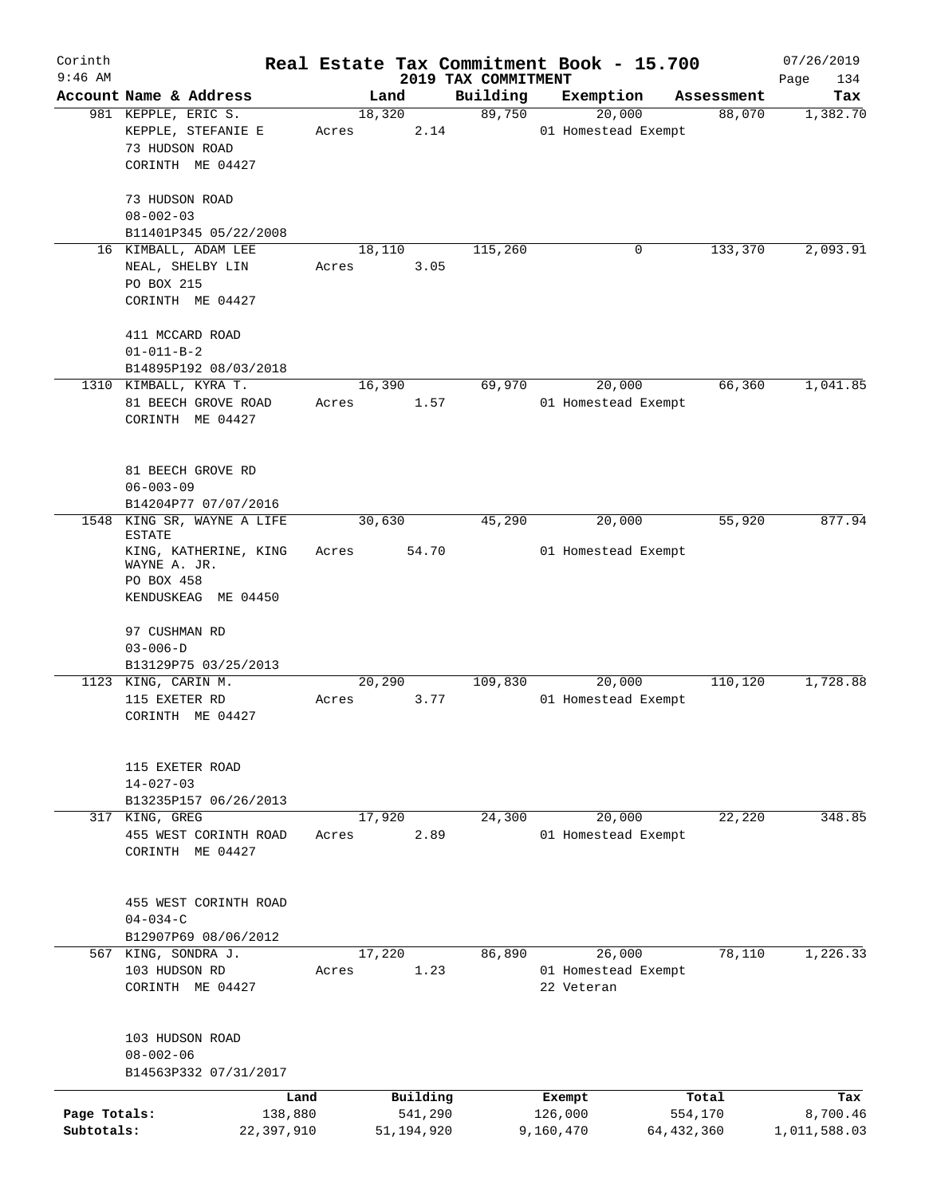| Corinth                    |                                                                                             |                 |                         |                                 | Real Estate Tax Commitment Book - 15.700 |                         | 07/26/2019               |
|----------------------------|---------------------------------------------------------------------------------------------|-----------------|-------------------------|---------------------------------|------------------------------------------|-------------------------|--------------------------|
| $9:46$ AM                  | Account Name & Address                                                                      |                 | Land                    | 2019 TAX COMMITMENT<br>Building |                                          | Assessment              | Page<br>134              |
|                            | 981 KEPPLE, ERIC S.                                                                         | 18,320          |                         | 89,750                          | Exemption<br>20,000                      | 88,070                  | Tax<br>1,382.70          |
|                            | KEPPLE, STEFANIE E<br>73 HUDSON ROAD<br>CORINTH ME 04427                                    | Acres           | 2.14                    |                                 | 01 Homestead Exempt                      |                         |                          |
|                            | 73 HUDSON ROAD<br>$08 - 002 - 03$                                                           |                 |                         |                                 |                                          |                         |                          |
|                            | B11401P345 05/22/2008<br>16 KIMBALL, ADAM LEE                                               | 18,110          |                         | 115,260                         | 0                                        | 133,370                 | 2,093.91                 |
|                            | NEAL, SHELBY LIN<br>PO BOX 215<br>CORINTH ME 04427                                          | Acres           | 3.05                    |                                 |                                          |                         |                          |
|                            | 411 MCCARD ROAD<br>$01 - 011 - B - 2$                                                       |                 |                         |                                 |                                          |                         |                          |
|                            | B14895P192 08/03/2018<br>1310 KIMBALL, KYRA T.                                              |                 |                         |                                 |                                          |                         | 1,041.85                 |
|                            | 81 BEECH GROVE ROAD<br>CORINTH ME 04427                                                     | 16,390<br>Acres | 1.57                    | 69,970                          | 20,000<br>01 Homestead Exempt            | 66,360                  |                          |
|                            | 81 BEECH GROVE RD<br>$06 - 003 - 09$<br>B14204P77 07/07/2016                                |                 |                         |                                 |                                          |                         |                          |
|                            | 1548 KING SR, WAYNE A LIFE                                                                  | 30,630          |                         | 45,290                          | 20,000                                   | 55,920                  | 877.94                   |
|                            | <b>ESTATE</b><br>KING, KATHERINE, KING<br>WAYNE A. JR.<br>PO BOX 458<br>KENDUSKEAG ME 04450 | Acres           | 54.70                   |                                 | 01 Homestead Exempt                      |                         |                          |
|                            | 97 CUSHMAN RD<br>$03 - 006 - D$                                                             |                 |                         |                                 |                                          |                         |                          |
|                            | B13129P75 03/25/2013                                                                        |                 |                         |                                 |                                          |                         |                          |
|                            | 1123 KING, CARIN M.<br>115 EXETER RD<br>CORINTH ME 04427                                    | 20,290<br>Acres | 3.77                    | 109,830                         | 20,000<br>01 Homestead Exempt            | 110,120                 | 1,728.88                 |
|                            | 115 EXETER ROAD<br>$14 - 027 - 03$<br>B13235P157 06/26/2013                                 |                 |                         |                                 |                                          |                         |                          |
|                            | 317 KING, GREG                                                                              | 17,920          |                         | 24,300                          | 20,000                                   | 22,220                  | 348.85                   |
|                            | 455 WEST CORINTH ROAD<br>CORINTH ME 04427                                                   | Acres           | 2.89                    |                                 | 01 Homestead Exempt                      |                         |                          |
|                            | 455 WEST CORINTH ROAD<br>$04 - 034 - C$<br>B12907P69 08/06/2012                             |                 |                         |                                 |                                          |                         |                          |
|                            | 567 KING, SONDRA J.                                                                         | 17,220          |                         | 86,890                          | 26,000                                   | 78,110                  | 1,226.33                 |
|                            | 103 HUDSON RD<br>CORINTH ME 04427                                                           | Acres           | 1.23                    |                                 | 01 Homestead Exempt<br>22 Veteran        |                         |                          |
|                            | 103 HUDSON ROAD<br>$08 - 002 - 06$<br>B14563P332 07/31/2017                                 |                 |                         |                                 |                                          |                         |                          |
|                            | Land                                                                                        |                 | Building                |                                 | Exempt                                   | Total                   | Tax                      |
| Page Totals:<br>Subtotals: | 138,880<br>22,397,910                                                                       |                 | 541,290<br>51, 194, 920 |                                 | 126,000<br>9,160,470                     | 554,170<br>64, 432, 360 | 8,700.46<br>1,011,588.03 |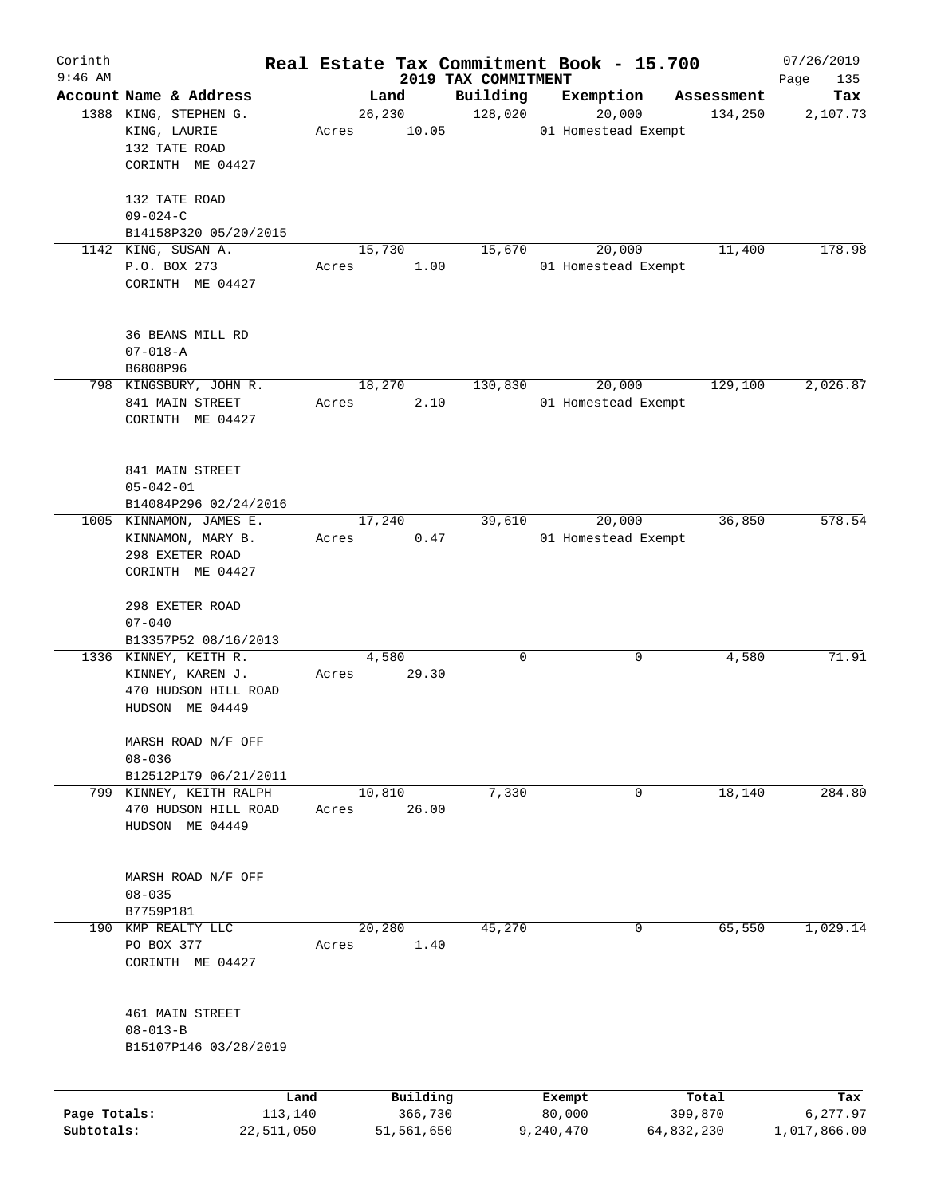| Corinth      |                                                  |                 |       |                     |      | Real Estate Tax Commitment Book - 15.700 |                  |                     |                       | 07/26/2019         |
|--------------|--------------------------------------------------|-----------------|-------|---------------------|------|------------------------------------------|------------------|---------------------|-----------------------|--------------------|
| $9:46$ AM    | Account Name & Address                           |                 |       | Land                |      | 2019 TAX COMMITMENT<br>Building          | Exemption        |                     |                       | Page<br>135<br>Tax |
|              | 1388 KING, STEPHEN G.                            |                 |       | 26, 230             |      | 128,020                                  |                  | 20,000              | Assessment<br>134,250 | 2,107.73           |
|              | KING, LAURIE                                     |                 | Acres | 10.05               |      |                                          |                  | 01 Homestead Exempt |                       |                    |
|              | 132 TATE ROAD<br>CORINTH ME 04427                |                 |       |                     |      |                                          |                  |                     |                       |                    |
|              |                                                  |                 |       |                     |      |                                          |                  |                     |                       |                    |
|              | 132 TATE ROAD<br>$09 - 024 - C$                  |                 |       |                     |      |                                          |                  |                     |                       |                    |
|              | B14158P320 05/20/2015                            |                 |       |                     |      |                                          |                  |                     |                       |                    |
|              | 1142 KING, SUSAN A.                              |                 |       | 15,730              |      | 15,670                                   |                  | 20,000              | 11,400                | 178.98             |
|              | P.O. BOX 273                                     |                 | Acres |                     | 1.00 |                                          |                  | 01 Homestead Exempt |                       |                    |
|              | CORINTH ME 04427                                 |                 |       |                     |      |                                          |                  |                     |                       |                    |
|              | 36 BEANS MILL RD                                 |                 |       |                     |      |                                          |                  |                     |                       |                    |
|              | $07 - 018 - A$                                   |                 |       |                     |      |                                          |                  |                     |                       |                    |
|              | B6808P96                                         |                 |       |                     |      |                                          |                  |                     |                       |                    |
|              | 798 KINGSBURY, JOHN R.                           |                 |       | 18,270              |      | 130,830                                  |                  | 20,000              | 129,100               | 2,026.87           |
|              | 841 MAIN STREET                                  |                 | Acres |                     | 2.10 |                                          |                  | 01 Homestead Exempt |                       |                    |
|              | CORINTH ME 04427                                 |                 |       |                     |      |                                          |                  |                     |                       |                    |
|              |                                                  |                 |       |                     |      |                                          |                  |                     |                       |                    |
|              | 841 MAIN STREET                                  |                 |       |                     |      |                                          |                  |                     |                       |                    |
|              | $05 - 042 - 01$                                  |                 |       |                     |      |                                          |                  |                     |                       |                    |
|              | B14084P296 02/24/2016<br>1005 KINNAMON, JAMES E. |                 |       |                     |      | 39,610                                   |                  |                     | 36,850                | 578.54             |
|              |                                                  |                 |       | 17,240              |      |                                          |                  | 20,000              |                       |                    |
|              | KINNAMON, MARY B.                                |                 | Acres |                     | 0.47 |                                          |                  | 01 Homestead Exempt |                       |                    |
|              | 298 EXETER ROAD<br>CORINTH ME 04427              |                 |       |                     |      |                                          |                  |                     |                       |                    |
|              |                                                  |                 |       |                     |      |                                          |                  |                     |                       |                    |
|              | 298 EXETER ROAD<br>$07 - 040$                    |                 |       |                     |      |                                          |                  |                     |                       |                    |
|              |                                                  |                 |       |                     |      |                                          |                  |                     |                       |                    |
|              | B13357P52 08/16/2013<br>1336 KINNEY, KEITH R.    |                 |       | 4,580               |      | 0                                        |                  | 0                   | 4,580                 | 71.91              |
|              | KINNEY, KAREN J.                                 |                 | Acres | 29.30               |      |                                          |                  |                     |                       |                    |
|              | 470 HUDSON HILL ROAD                             |                 |       |                     |      |                                          |                  |                     |                       |                    |
|              | HUDSON ME 04449                                  |                 |       |                     |      |                                          |                  |                     |                       |                    |
|              | MARSH ROAD N/F OFF                               |                 |       |                     |      |                                          |                  |                     |                       |                    |
|              | $08 - 036$                                       |                 |       |                     |      |                                          |                  |                     |                       |                    |
|              | B12512P179 06/21/2011                            |                 |       |                     |      |                                          |                  |                     |                       |                    |
|              | 799 KINNEY, KEITH RALPH                          |                 |       | 10,810              |      | 7,330                                    |                  | 0                   | 18,140                | 284.80             |
|              | 470 HUDSON HILL ROAD                             |                 | Acres | 26.00               |      |                                          |                  |                     |                       |                    |
|              | HUDSON ME 04449                                  |                 |       |                     |      |                                          |                  |                     |                       |                    |
|              |                                                  |                 |       |                     |      |                                          |                  |                     |                       |                    |
|              | MARSH ROAD N/F OFF                               |                 |       |                     |      |                                          |                  |                     |                       |                    |
|              | $08 - 035$                                       |                 |       |                     |      |                                          |                  |                     |                       |                    |
|              | B7759P181                                        |                 |       |                     |      |                                          |                  |                     |                       |                    |
| 190          | KMP REALTY LLC                                   |                 |       | 20,280              |      | 45,270                                   |                  | 0                   | 65,550                | 1,029.14           |
|              | PO BOX 377                                       |                 | Acres |                     | 1.40 |                                          |                  |                     |                       |                    |
|              | CORINTH ME 04427                                 |                 |       |                     |      |                                          |                  |                     |                       |                    |
|              | 461 MAIN STREET                                  |                 |       |                     |      |                                          |                  |                     |                       |                    |
|              | $08 - 013 - B$                                   |                 |       |                     |      |                                          |                  |                     |                       |                    |
|              | B15107P146 03/28/2019                            |                 |       |                     |      |                                          |                  |                     |                       |                    |
|              |                                                  |                 |       |                     |      |                                          |                  |                     |                       |                    |
| Page Totals: |                                                  | Land<br>113,140 |       | Building<br>366,730 |      |                                          | Exempt<br>80,000 |                     | Total<br>399,870      | Tax<br>6,277.97    |
| Subtotals:   |                                                  | 22,511,050      |       | 51,561,650          |      |                                          | 9,240,470        |                     | 64,832,230            | 1,017,866.00       |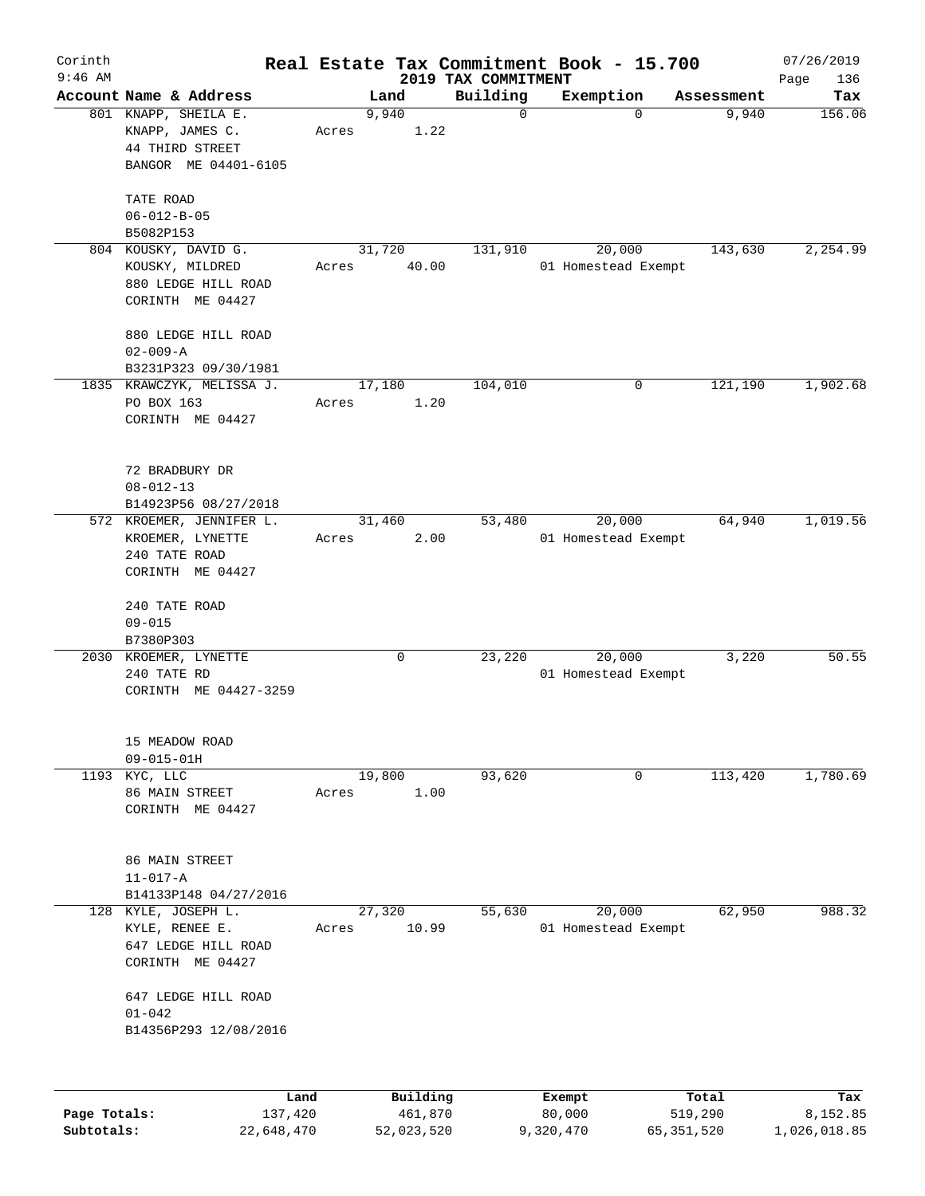| Corinth                    |                                                                                    |       |                       |                                 | Real Estate Tax Commitment Book - 15.700 |                         | 07/26/2019               |
|----------------------------|------------------------------------------------------------------------------------|-------|-----------------------|---------------------------------|------------------------------------------|-------------------------|--------------------------|
| $9:46$ AM                  | Account Name & Address                                                             |       | Land                  | 2019 TAX COMMITMENT<br>Building | Exemption                                | Assessment              | Page<br>136<br>Tax       |
|                            | 801 KNAPP, SHEILA E.<br>KNAPP, JAMES C.<br>44 THIRD STREET<br>BANGOR ME 04401-6105 | Acres | 9,940<br>1.22         | 0                               | $\Omega$                                 | 9,940                   | 156.06                   |
|                            | TATE ROAD<br>$06 - 012 - B - 05$<br>B5082P153                                      |       |                       |                                 |                                          |                         |                          |
|                            | 804 KOUSKY, DAVID G.<br>KOUSKY, MILDRED<br>880 LEDGE HILL ROAD<br>CORINTH ME 04427 | Acres | 31,720<br>40.00       | 131,910                         | 20,000<br>01 Homestead Exempt            | 143,630                 | 2,254.99                 |
|                            | 880 LEDGE HILL ROAD<br>$02 - 009 - A$<br>B3231P323 09/30/1981                      |       |                       |                                 |                                          |                         |                          |
|                            | 1835 KRAWCZYK, MELISSA J.<br>PO BOX 163<br>CORINTH ME 04427                        | Acres | 17,180<br>1.20        | 104,010                         | $\mathbf 0$                              | 121,190                 | 1,902.68                 |
|                            | 72 BRADBURY DR<br>$08 - 012 - 13$<br>B14923P56 08/27/2018                          |       |                       |                                 |                                          |                         |                          |
|                            | 572 KROEMER, JENNIFER L.<br>KROEMER, LYNETTE<br>240 TATE ROAD<br>CORINTH ME 04427  | Acres | 31,460<br>2.00        | 53,480                          | 20,000<br>01 Homestead Exempt            | 64,940                  | 1,019.56                 |
|                            | 240 TATE ROAD<br>$09 - 015$<br>B7380P303                                           |       |                       |                                 |                                          |                         |                          |
|                            | 2030 KROEMER, LYNETTE<br>240 TATE RD<br>CORINTH ME 04427-3259                      |       | 0                     | 23,220                          | 20,000<br>01 Homestead Exempt            | 3,220                   | 50.55                    |
|                            | 15 MEADOW ROAD<br>$09 - 015 - 01H$                                                 |       |                       |                                 |                                          |                         |                          |
|                            | 1193 KYC, LLC<br>86 MAIN STREET<br>CORINTH ME 04427                                | Acres | 19,800<br>1.00        | 93,620                          | 0                                        | 113,420                 | 1,780.69                 |
|                            | 86 MAIN STREET<br>$11 - 017 - A$<br>B14133P148 04/27/2016                          |       |                       |                                 |                                          |                         |                          |
| 128                        | KYLE, JOSEPH L.<br>KYLE, RENEE E.<br>647 LEDGE HILL ROAD<br>CORINTH ME 04427       | Acres | 27,320<br>10.99       | 55,630                          | 20,000<br>01 Homestead Exempt            | 62,950                  | 988.32                   |
|                            | 647 LEDGE HILL ROAD<br>$01 - 042$<br>B14356P293 12/08/2016                         |       |                       |                                 |                                          |                         |                          |
|                            |                                                                                    | Land  | Building              |                                 | Exempt                                   | Total                   | Tax                      |
| Page Totals:<br>Subtotals: | 137,420<br>22,648,470                                                              |       | 461,870<br>52,023,520 |                                 | 80,000<br>9,320,470                      | 519,290<br>65, 351, 520 | 8,152.85<br>1,026,018.85 |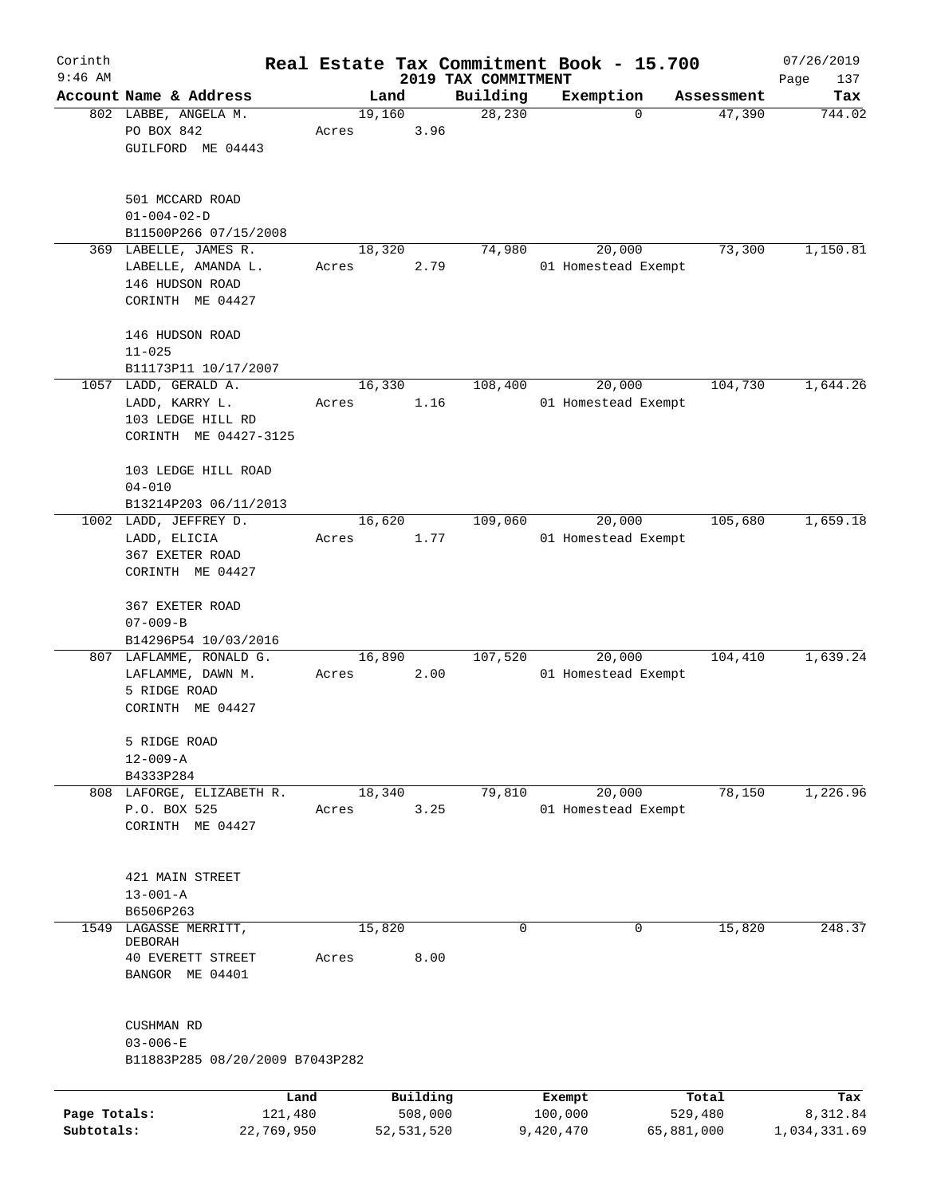| Corinth      |                                 |       |                |                     | Real Estate Tax Commitment Book - 15.700 |                      | 07/26/2019    |
|--------------|---------------------------------|-------|----------------|---------------------|------------------------------------------|----------------------|---------------|
| $9:46$ AM    | Account Name & Address          |       |                | 2019 TAX COMMITMENT |                                          |                      | Page<br>137   |
|              | 802 LABBE, ANGELA M.            |       | Land<br>19,160 | Building<br>28,230  | Exemption<br>0                           | Assessment<br>47,390 | Tax<br>744.02 |
|              | PO BOX 842                      | Acres | 3.96           |                     |                                          |                      |               |
|              | GUILFORD ME 04443               |       |                |                     |                                          |                      |               |
|              |                                 |       |                |                     |                                          |                      |               |
|              |                                 |       |                |                     |                                          |                      |               |
|              | 501 MCCARD ROAD                 |       |                |                     |                                          |                      |               |
|              | $01 - 004 - 02 - D$             |       |                |                     |                                          |                      |               |
|              | B11500P266 07/15/2008           |       |                |                     |                                          |                      |               |
|              | 369 LABELLE, JAMES R.           |       | 18,320         | 74,980              | 20,000                                   | 73,300               | 1,150.81      |
|              | LABELLE, AMANDA L.              | Acres | 2.79           |                     | 01 Homestead Exempt                      |                      |               |
|              | 146 HUDSON ROAD                 |       |                |                     |                                          |                      |               |
|              | CORINTH ME 04427                |       |                |                     |                                          |                      |               |
|              |                                 |       |                |                     |                                          |                      |               |
|              | 146 HUDSON ROAD                 |       |                |                     |                                          |                      |               |
|              | $11 - 025$                      |       |                |                     |                                          |                      |               |
|              | B11173P11 10/17/2007            |       |                |                     |                                          |                      |               |
|              | 1057 LADD, GERALD A.            |       | 16,330         | 108,400             | 20,000                                   | 104,730              | 1,644.26      |
|              | LADD, KARRY L.                  | Acres | 1.16           |                     | 01 Homestead Exempt                      |                      |               |
|              | 103 LEDGE HILL RD               |       |                |                     |                                          |                      |               |
|              | CORINTH ME 04427-3125           |       |                |                     |                                          |                      |               |
|              | 103 LEDGE HILL ROAD             |       |                |                     |                                          |                      |               |
|              | $04 - 010$                      |       |                |                     |                                          |                      |               |
|              | B13214P203 06/11/2013           |       |                |                     |                                          |                      |               |
|              | 1002 LADD, JEFFREY D.           |       | 16,620         | 109,060             | 20,000                                   | 105,680              | 1,659.18      |
|              | LADD, ELICIA                    | Acres | 1.77           |                     | 01 Homestead Exempt                      |                      |               |
|              | 367 EXETER ROAD                 |       |                |                     |                                          |                      |               |
|              | CORINTH ME 04427                |       |                |                     |                                          |                      |               |
|              |                                 |       |                |                     |                                          |                      |               |
|              | 367 EXETER ROAD                 |       |                |                     |                                          |                      |               |
|              | $07 - 009 - B$                  |       |                |                     |                                          |                      |               |
|              | B14296P54 10/03/2016            |       |                |                     |                                          |                      |               |
|              | 807 LAFLAMME, RONALD G.         |       | 16,890         | 107,520             | 20,000                                   | 104,410              | 1,639.24      |
|              | LAFLAMME, DAWN M.               | Acres | 2.00           |                     | 01 Homestead Exempt                      |                      |               |
|              | 5 RIDGE ROAD                    |       |                |                     |                                          |                      |               |
|              | CORINTH ME 04427                |       |                |                     |                                          |                      |               |
|              |                                 |       |                |                     |                                          |                      |               |
|              | 5 RIDGE ROAD<br>$12 - 009 - A$  |       |                |                     |                                          |                      |               |
|              | B4333P284                       |       |                |                     |                                          |                      |               |
|              | 808 LAFORGE, ELIZABETH R.       |       | 18,340         | 79,810              | 20,000                                   | 78,150               | 1,226.96      |
|              | P.O. BOX 525                    | Acres | 3.25           |                     | 01 Homestead Exempt                      |                      |               |
|              | CORINTH ME 04427                |       |                |                     |                                          |                      |               |
|              |                                 |       |                |                     |                                          |                      |               |
|              |                                 |       |                |                     |                                          |                      |               |
|              | 421 MAIN STREET                 |       |                |                     |                                          |                      |               |
|              | $13 - 001 - A$                  |       |                |                     |                                          |                      |               |
|              | B6506P263                       |       |                |                     |                                          |                      |               |
| 1549         | LAGASSE MERRITT,                |       | 15,820         | 0                   | 0                                        | 15,820               | 248.37        |
|              | <b>DEBORAH</b>                  |       |                |                     |                                          |                      |               |
|              | <b>40 EVERETT STREET</b>        | Acres | 8.00           |                     |                                          |                      |               |
|              | BANGOR ME 04401                 |       |                |                     |                                          |                      |               |
|              |                                 |       |                |                     |                                          |                      |               |
|              | CUSHMAN RD                      |       |                |                     |                                          |                      |               |
|              | $03 - 006 - E$                  |       |                |                     |                                          |                      |               |
|              | B11883P285 08/20/2009 B7043P282 |       |                |                     |                                          |                      |               |
|              |                                 |       |                |                     |                                          |                      |               |
|              | Land                            |       | Building       |                     | Exempt                                   | Total                | Tax           |
| Page Totals: | 121,480                         |       | 508,000        |                     | 100,000                                  | 529,480              | 8,312.84      |
| Subtotals:   | 22,769,950                      |       | 52,531,520     |                     | 9,420,470                                | 65,881,000           | 1,034,331.69  |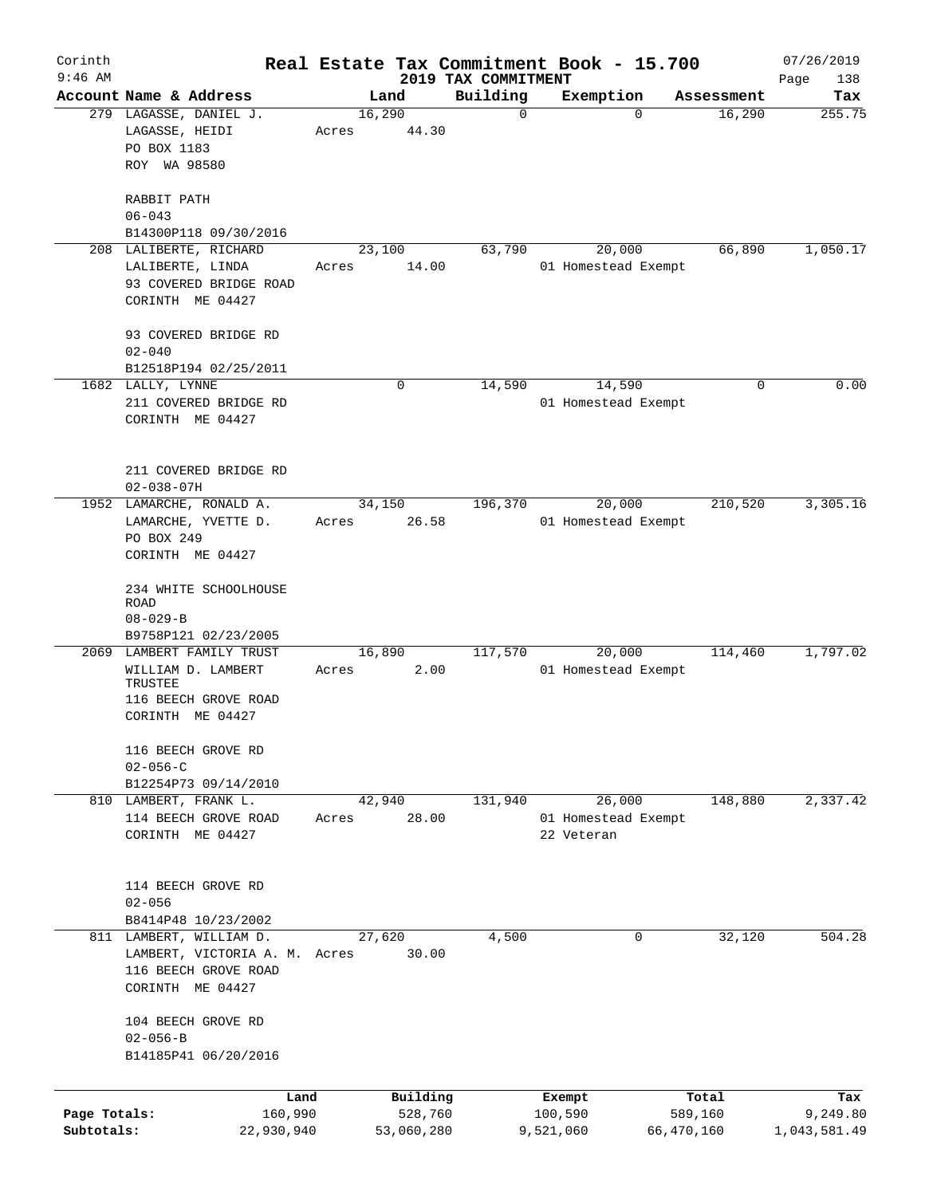| Corinth<br>$9:46$ AM       |                                                                                                        |                 |                       | 2019 TAX COMMITMENT | Real Estate Tax Commitment Book - 15.700    |                       | 07/26/2019<br>138        |
|----------------------------|--------------------------------------------------------------------------------------------------------|-----------------|-----------------------|---------------------|---------------------------------------------|-----------------------|--------------------------|
|                            | Account Name & Address                                                                                 |                 | Land                  | Building            | Exemption                                   | Assessment            | Page<br>Tax              |
|                            | 279 LAGASSE, DANIEL J.<br>LAGASSE, HEIDI<br>PO BOX 1183<br>ROY WA 98580                                | 16,290<br>Acres | 44.30                 | 0                   | $\Omega$                                    | 16,290                | 255.75                   |
|                            | RABBIT PATH<br>$06 - 043$<br>B14300P118 09/30/2016                                                     |                 |                       |                     |                                             |                       |                          |
|                            | 208 LALIBERTE, RICHARD<br>LALIBERTE, LINDA<br>93 COVERED BRIDGE ROAD<br>CORINTH ME 04427               | 23,100<br>Acres | 14.00                 | 63,790              | 20,000<br>01 Homestead Exempt               | 66,890                | 1,050.17                 |
|                            | 93 COVERED BRIDGE RD<br>$02 - 040$<br>B12518P194 02/25/2011                                            |                 |                       |                     |                                             |                       |                          |
|                            | 1682 LALLY, LYNNE<br>211 COVERED BRIDGE RD<br>CORINTH ME 04427                                         |                 | 0                     | 14,590              | 14,590<br>01 Homestead Exempt               | 0                     | 0.00                     |
|                            | 211 COVERED BRIDGE RD<br>$02 - 038 - 07H$                                                              |                 |                       |                     |                                             |                       |                          |
|                            | 1952 LAMARCHE, RONALD A.<br>LAMARCHE, YVETTE D.<br>PO BOX 249<br>CORINTH ME 04427                      | 34,150<br>Acres | 26.58                 | 196,370             | 20,000<br>01 Homestead Exempt               | 210,520               | 3,305.16                 |
|                            | 234 WHITE SCHOOLHOUSE<br><b>ROAD</b><br>$08 - 029 - B$<br>B9758P121 02/23/2005                         |                 |                       |                     |                                             |                       |                          |
|                            | 2069 LAMBERT FAMILY TRUST<br>WILLIAM D. LAMBERT<br>TRUSTEE<br>116 BEECH GROVE ROAD<br>CORINTH ME 04427 | 16,890<br>Acres | 2.00                  | 117,570             | 20,000<br>01 Homestead Exempt               | 114,460               | 1,797.02                 |
|                            | 116 BEECH GROVE RD<br>$02 - 056 - C$<br>B12254P73 09/14/2010                                           |                 |                       |                     |                                             |                       |                          |
|                            | 810 LAMBERT, FRANK L.<br>114 BEECH GROVE ROAD<br>CORINTH ME 04427                                      | Acres           | 42,940<br>28.00       | 131,940             | 26,000<br>01 Homestead Exempt<br>22 Veteran | 148,880               | 2,337.42                 |
|                            | 114 BEECH GROVE RD<br>$02 - 056$<br>B8414P48 10/23/2002                                                |                 |                       |                     |                                             |                       |                          |
|                            | 811 LAMBERT, WILLIAM D.<br>LAMBERT, VICTORIA A. M. Acres<br>116 BEECH GROVE ROAD<br>CORINTH ME 04427   | 27,620          | 30.00                 | 4,500               | 0                                           | 32,120                | 504.28                   |
|                            | 104 BEECH GROVE RD<br>$02 - 056 - B$<br>B14185P41 06/20/2016                                           |                 |                       |                     |                                             |                       |                          |
|                            | Land                                                                                                   |                 | Building              |                     | Exempt                                      | Total                 | Tax                      |
| Page Totals:<br>Subtotals: | 160,990<br>22,930,940                                                                                  |                 | 528,760<br>53,060,280 |                     | 100,590<br>9,521,060                        | 589,160<br>66,470,160 | 9,249.80<br>1,043,581.49 |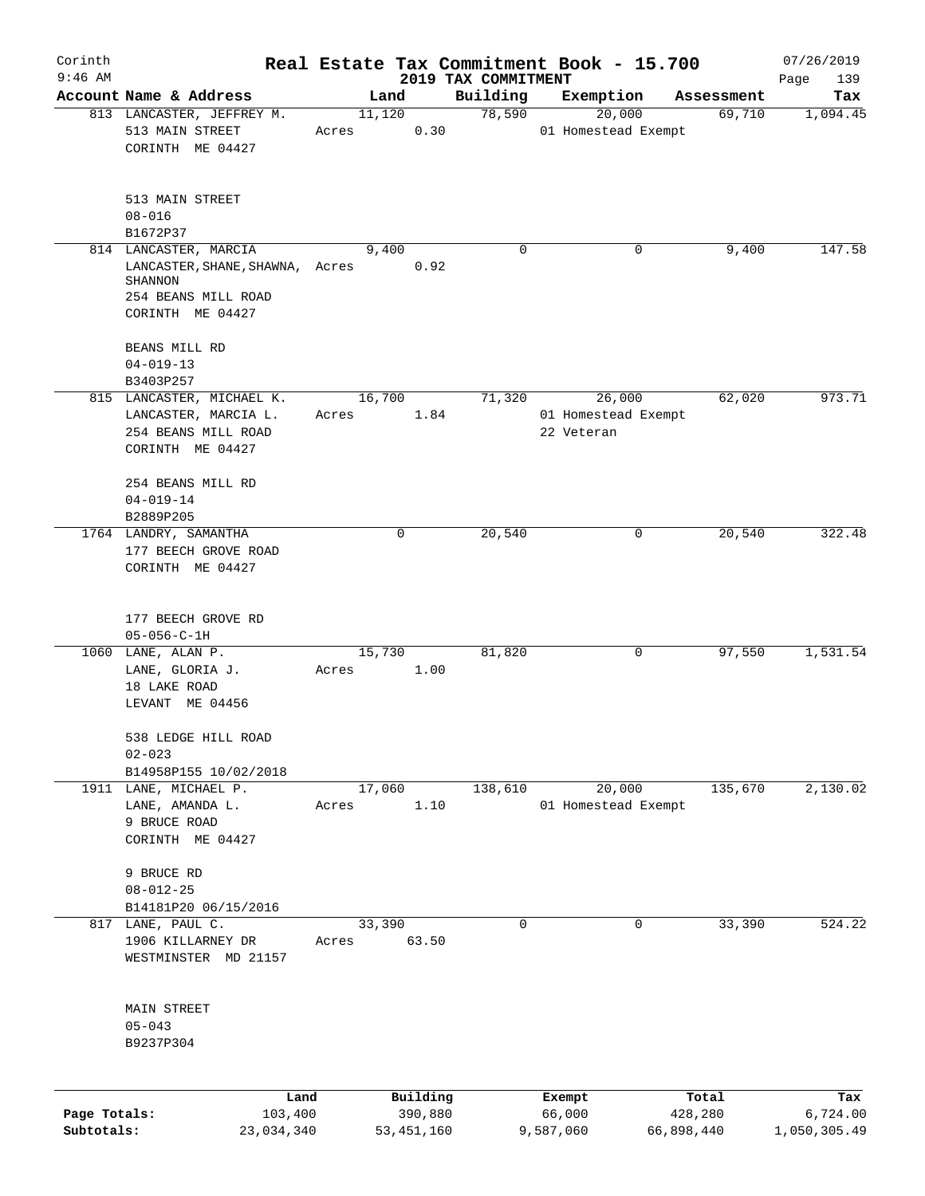| Corinth      |                                                                                                                       |                 |                     |                                 | Real Estate Tax Commitment Book - 15.700    |                  | 07/26/2019         |
|--------------|-----------------------------------------------------------------------------------------------------------------------|-----------------|---------------------|---------------------------------|---------------------------------------------|------------------|--------------------|
| $9:46$ AM    | Account Name & Address                                                                                                | Land            |                     | 2019 TAX COMMITMENT<br>Building | Exemption                                   | Assessment       | Page<br>139<br>Tax |
|              | 813 LANCASTER, JEFFREY M.                                                                                             | 11,120          |                     | 78,590                          | 20,000                                      | 69,710           | 1,094.45           |
|              | 513 MAIN STREET<br>CORINTH ME 04427                                                                                   | Acres           | 0.30                |                                 | 01 Homestead Exempt                         |                  |                    |
|              | 513 MAIN STREET<br>$08 - 016$                                                                                         |                 |                     |                                 |                                             |                  |                    |
|              | B1672P37                                                                                                              |                 |                     |                                 |                                             |                  |                    |
|              | 814 LANCASTER, MARCIA<br>LANCASTER, SHANE, SHAWNA, Acres<br><b>SHANNON</b><br>254 BEANS MILL ROAD<br>CORINTH ME 04427 | 9,400           | 0.92                | 0                               | 0                                           | 9,400            | 147.58             |
|              | BEANS MILL RD<br>$04 - 019 - 13$<br>B3403P257                                                                         |                 |                     |                                 |                                             |                  |                    |
|              | 815 LANCASTER, MICHAEL K.<br>LANCASTER, MARCIA L.<br>254 BEANS MILL ROAD<br>CORINTH ME 04427                          | 16,700<br>Acres | 1.84                | 71,320                          | 26,000<br>01 Homestead Exempt<br>22 Veteran | 62,020           | 973.71             |
|              | 254 BEANS MILL RD<br>$04 - 019 - 14$<br>B2889P205                                                                     |                 |                     |                                 |                                             |                  |                    |
|              | 1764 LANDRY, SAMANTHA<br>177 BEECH GROVE ROAD<br>CORINTH ME 04427                                                     |                 | 0                   | 20,540                          | 0                                           | 20,540           | 322.48             |
|              | 177 BEECH GROVE RD<br>$05 - 056 - C - 1H$                                                                             |                 |                     |                                 |                                             |                  |                    |
|              | 1060 LANE, ALAN P.<br>LANE, GLORIA J.<br>18 LAKE ROAD<br>LEVANT ME 04456                                              | 15,730<br>Acres | 1.00                | 81,820                          | 0                                           | 97,550           | 1,531.54           |
|              | 538 LEDGE HILL ROAD<br>$02 - 023$<br>B14958P155 10/02/2018                                                            |                 |                     |                                 |                                             |                  |                    |
|              | 1911 LANE, MICHAEL P.<br>LANE, AMANDA L.<br>9 BRUCE ROAD<br>CORINTH ME 04427                                          | 17,060<br>Acres | 1.10                | 138,610                         | 20,000<br>01 Homestead Exempt               | 135,670          | 2,130.02           |
|              | 9 BRUCE RD<br>$08 - 012 - 25$<br>B14181P20 06/15/2016                                                                 |                 |                     |                                 |                                             |                  |                    |
|              | 817 LANE, PAUL C.<br>1906 KILLARNEY DR<br>WESTMINSTER MD 21157                                                        | 33,390<br>Acres | 63.50               | $\mathbf 0$                     | 0                                           | 33,390           | 524.22             |
|              | MAIN STREET<br>$05 - 043$<br>B9237P304                                                                                |                 |                     |                                 |                                             |                  |                    |
| Page Totals: | Land<br>103,400                                                                                                       |                 | Building<br>390,880 |                                 | Exempt<br>66,000                            | Total<br>428,280 | Tax<br>6,724.00    |
| Subtotals:   | 23,034,340                                                                                                            |                 | 53, 451, 160        |                                 | 9,587,060                                   | 66,898,440       | 1,050,305.49       |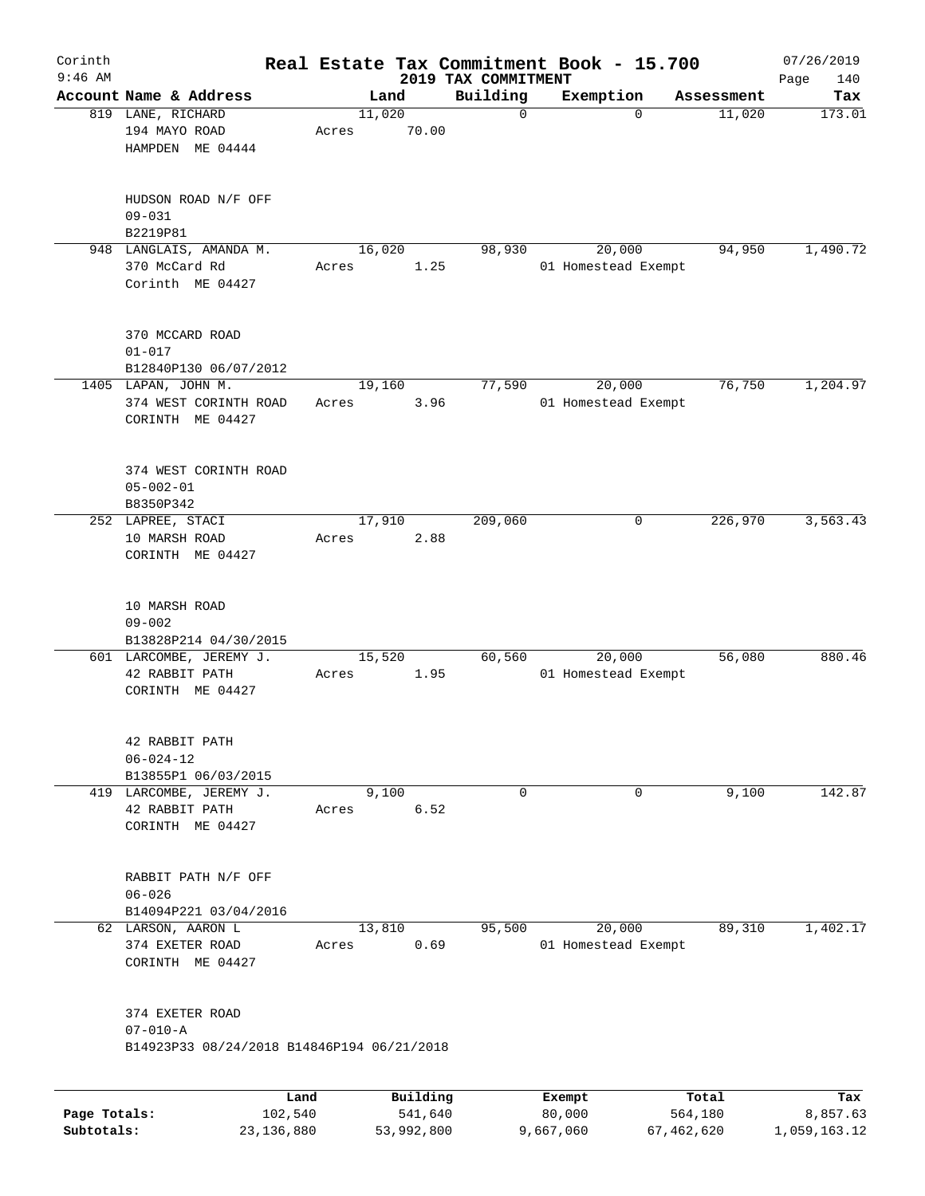| Corinth      |                                                               |                 |          |                                 | Real Estate Tax Commitment Book - 15.700 |            | 07/26/2019         |
|--------------|---------------------------------------------------------------|-----------------|----------|---------------------------------|------------------------------------------|------------|--------------------|
| $9:46$ AM    | Account Name & Address                                        |                 | Land     | 2019 TAX COMMITMENT<br>Building | Exemption                                | Assessment | Page<br>140<br>Tax |
|              | 819 LANE, RICHARD<br>194 MAYO ROAD<br>HAMPDEN ME 04444        | 11,020<br>Acres | 70.00    | 0                               | $\Omega$                                 | 11,020     | 173.01             |
|              | HUDSON ROAD N/F OFF<br>$09 - 031$<br>B2219P81                 |                 |          |                                 |                                          |            |                    |
|              | 948 LANGLAIS, AMANDA M.                                       | 16,020          |          | 98,930                          | 20,000                                   | 94,950     | 1,490.72           |
|              | 370 McCard Rd<br>Corinth ME 04427                             | Acres           | 1.25     |                                 | 01 Homestead Exempt                      |            |                    |
|              | 370 MCCARD ROAD<br>$01 - 017$<br>B12840P130 06/07/2012        |                 |          |                                 |                                          |            |                    |
|              | 1405 LAPAN, JOHN M.                                           | 19,160          |          | 77,590                          | 20,000                                   | 76,750     | 1,204.97           |
|              | 374 WEST CORINTH ROAD<br>CORINTH ME 04427                     | Acres           | 3.96     |                                 | 01 Homestead Exempt                      |            |                    |
|              | 374 WEST CORINTH ROAD<br>$05 - 002 - 01$<br>B8350P342         |                 |          |                                 |                                          |            |                    |
|              | 252 LAPREE, STACI                                             | 17,910          |          | 209,060                         | 0                                        | 226,970    | 3,563.43           |
|              | 10 MARSH ROAD<br>CORINTH ME 04427                             | Acres           | 2.88     |                                 |                                          |            |                    |
|              | 10 MARSH ROAD<br>$09 - 002$<br>B13828P214 04/30/2015          |                 |          |                                 |                                          |            |                    |
|              | 601 LARCOMBE, JEREMY J.<br>42 RABBIT PATH<br>CORINTH ME 04427 | 15,520<br>Acres | 1.95     | 60,560                          | 20,000<br>01 Homestead Exempt            | 56,080     | 880.46             |
|              | 42 RABBIT PATH<br>$06 - 024 - 12$<br>B13855P1 06/03/2015      |                 |          |                                 |                                          |            |                    |
|              | 419 LARCOMBE, JEREMY J.                                       | 9,100           |          | 0                               | 0                                        | 9,100      | 142.87             |
|              | 42 RABBIT PATH<br>CORINTH ME 04427                            | Acres           | 6.52     |                                 |                                          |            |                    |
|              | RABBIT PATH N/F OFF<br>$06 - 026$                             |                 |          |                                 |                                          |            |                    |
|              | B14094P221 03/04/2016                                         |                 |          |                                 |                                          |            |                    |
|              | 62 LARSON, AARON L<br>374 EXETER ROAD<br>CORINTH ME 04427     | 13,810<br>Acres | 0.69     | 95,500                          | 20,000<br>01 Homestead Exempt            | 89,310     | 1,402.17           |
|              | 374 EXETER ROAD<br>$07 - 010 - A$                             |                 |          |                                 |                                          |            |                    |
|              | B14923P33 08/24/2018 B14846P194 06/21/2018                    |                 |          |                                 |                                          |            |                    |
|              |                                                               |                 |          |                                 |                                          |            |                    |
|              | Land                                                          |                 | Building |                                 | Exempt                                   | Total      | Tax                |
| Page Totals: | 102,540                                                       |                 | 541,640  |                                 | 80,000                                   | 564,180    | 8,857.63           |

**Subtotals:** 23,136,880 53,992,800 9,667,060 67,462,620 1,059,163.12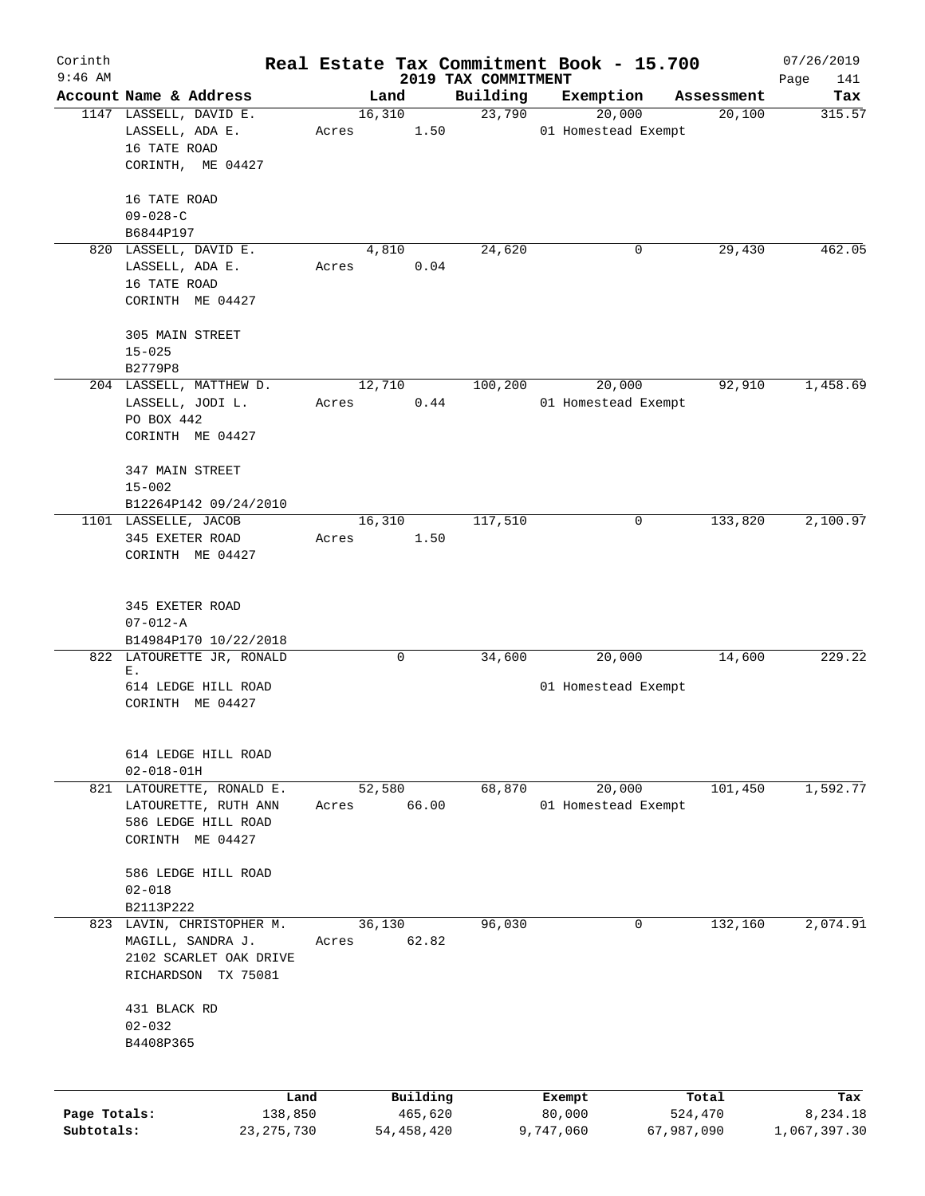| Corinth      |                                         |       |              |                                 | Real Estate Tax Commitment Book - 15.700 |            | 07/26/2019    |
|--------------|-----------------------------------------|-------|--------------|---------------------------------|------------------------------------------|------------|---------------|
| $9:46$ AM    | Account Name & Address                  |       | Land         | 2019 TAX COMMITMENT<br>Building |                                          | Assessment | Page<br>141   |
|              | 1147 LASSELL, DAVID E.                  |       | 16,310       | 23,790                          | Exemption<br>20,000                      | 20,100     | Tax<br>315.57 |
|              | LASSELL, ADA E.                         | Acres | 1.50         |                                 | 01 Homestead Exempt                      |            |               |
|              | 16 TATE ROAD                            |       |              |                                 |                                          |            |               |
|              | CORINTH, ME 04427                       |       |              |                                 |                                          |            |               |
|              |                                         |       |              |                                 |                                          |            |               |
|              | 16 TATE ROAD                            |       |              |                                 |                                          |            |               |
|              | $09 - 028 - C$                          |       |              |                                 |                                          |            |               |
|              | B6844P197                               |       |              |                                 |                                          |            |               |
|              | 820 LASSELL, DAVID E.                   |       | 4,810        | 24,620                          | 0                                        | 29,430     | 462.05        |
|              | LASSELL, ADA E.                         | Acres | 0.04         |                                 |                                          |            |               |
|              | 16 TATE ROAD                            |       |              |                                 |                                          |            |               |
|              | CORINTH ME 04427                        |       |              |                                 |                                          |            |               |
|              | 305 MAIN STREET                         |       |              |                                 |                                          |            |               |
|              | $15 - 025$                              |       |              |                                 |                                          |            |               |
|              | B2779P8                                 |       |              |                                 |                                          |            |               |
|              | 204 LASSELL, MATTHEW D.                 |       | 12,710       | 100,200                         | 20,000                                   | 92,910     | 1,458.69      |
|              | LASSELL, JODI L.                        | Acres | 0.44         |                                 | 01 Homestead Exempt                      |            |               |
|              | PO BOX 442                              |       |              |                                 |                                          |            |               |
|              | CORINTH ME 04427                        |       |              |                                 |                                          |            |               |
|              |                                         |       |              |                                 |                                          |            |               |
|              | 347 MAIN STREET                         |       |              |                                 |                                          |            |               |
|              | $15 - 002$                              |       |              |                                 |                                          |            |               |
|              | B12264P142 09/24/2010                   |       |              |                                 |                                          |            |               |
|              | 1101 LASSELLE, JACOB                    |       | 16,310       | 117,510                         | 0                                        | 133,820    | 2,100.97      |
|              | 345 EXETER ROAD<br>CORINTH ME 04427     | Acres | 1.50         |                                 |                                          |            |               |
|              |                                         |       |              |                                 |                                          |            |               |
|              |                                         |       |              |                                 |                                          |            |               |
|              | 345 EXETER ROAD                         |       |              |                                 |                                          |            |               |
|              | $07 - 012 - A$                          |       |              |                                 |                                          |            |               |
|              | B14984P170 10/22/2018                   |       |              |                                 |                                          |            |               |
|              | 822 LATOURETTE JR, RONALD               |       | $\mathbf 0$  | 34,600                          | 20,000                                   | 14,600     | 229.22        |
|              | Ε.<br>614 LEDGE HILL ROAD               |       |              |                                 | 01 Homestead Exempt                      |            |               |
|              | CORINTH ME 04427                        |       |              |                                 |                                          |            |               |
|              |                                         |       |              |                                 |                                          |            |               |
|              |                                         |       |              |                                 |                                          |            |               |
|              | 614 LEDGE HILL ROAD                     |       |              |                                 |                                          |            |               |
|              | $02 - 018 - 01H$                        |       |              |                                 |                                          |            |               |
|              | 821 LATOURETTE, RONALD E.               |       | 52,580       | 68,870                          | 20,000                                   | 101,450    | 1,592.77      |
|              | LATOURETTE, RUTH ANN                    | Acres | 66.00        |                                 | 01 Homestead Exempt                      |            |               |
|              | 586 LEDGE HILL ROAD<br>CORINTH ME 04427 |       |              |                                 |                                          |            |               |
|              |                                         |       |              |                                 |                                          |            |               |
|              | 586 LEDGE HILL ROAD                     |       |              |                                 |                                          |            |               |
|              | $02 - 018$                              |       |              |                                 |                                          |            |               |
|              | B2113P222                               |       |              |                                 |                                          |            |               |
|              | 823 LAVIN, CHRISTOPHER M.               |       | 36,130       | 96,030                          | 0                                        | 132,160    | 2,074.91      |
|              | MAGILL, SANDRA J.                       | Acres | 62.82        |                                 |                                          |            |               |
|              | 2102 SCARLET OAK DRIVE                  |       |              |                                 |                                          |            |               |
|              | RICHARDSON TX 75081                     |       |              |                                 |                                          |            |               |
|              | 431 BLACK RD                            |       |              |                                 |                                          |            |               |
|              | $02 - 032$                              |       |              |                                 |                                          |            |               |
|              | B4408P365                               |       |              |                                 |                                          |            |               |
|              |                                         |       |              |                                 |                                          |            |               |
|              |                                         |       |              |                                 |                                          |            |               |
|              |                                         | Land  | Building     |                                 | Exempt                                   | Total      | Tax           |
| Page Totals: | 138,850                                 |       | 465,620      |                                 | 80,000                                   | 524,470    | 8,234.18      |
| Subtotals:   | 23, 275, 730                            |       | 54, 458, 420 |                                 | 9,747,060                                | 67,987,090 | 1,067,397.30  |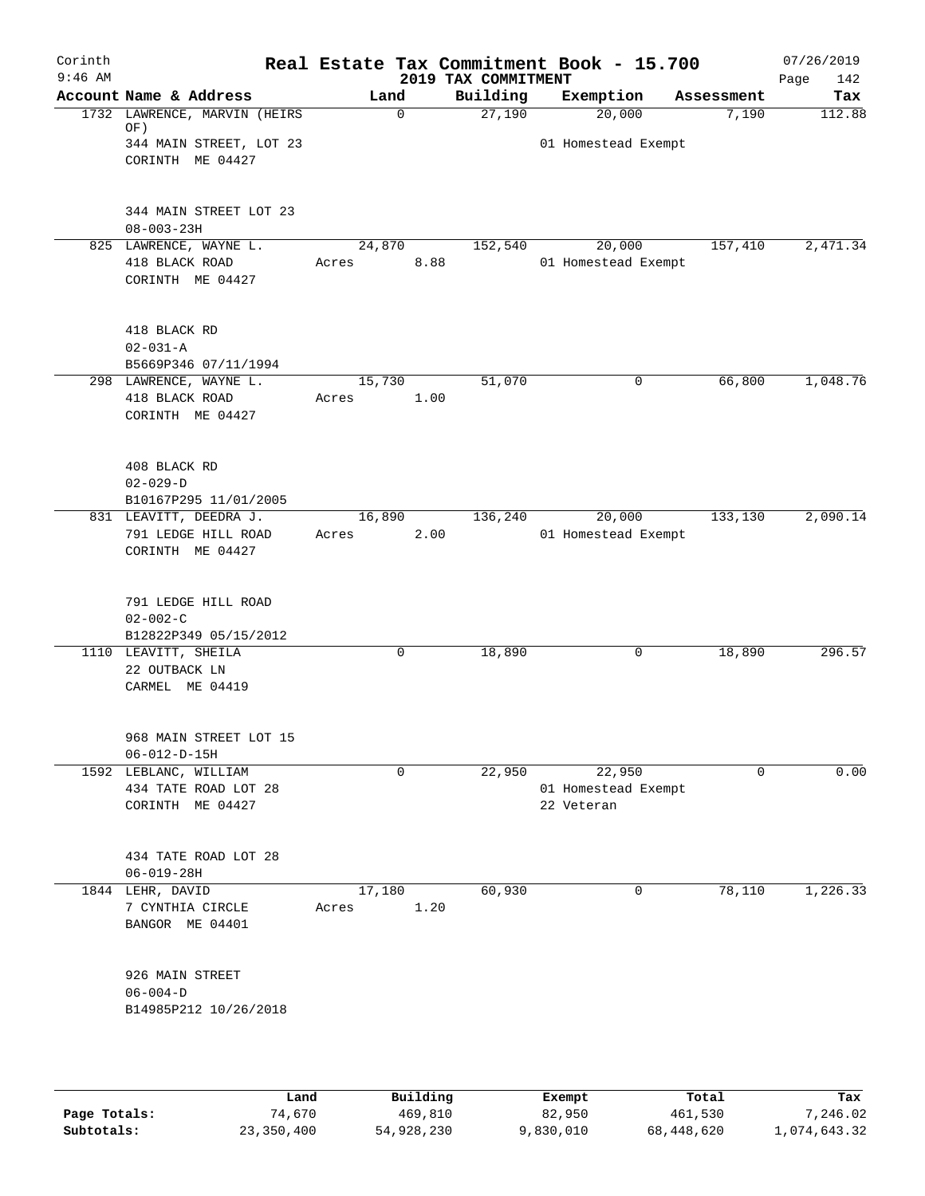| Corinth<br>$9:46$ AM |                                                                   |                 |          | 2019 TAX COMMITMENT | Real Estate Tax Commitment Book - 15.700    |             | 07/26/2019<br>Page<br>142 |
|----------------------|-------------------------------------------------------------------|-----------------|----------|---------------------|---------------------------------------------|-------------|---------------------------|
|                      | Account Name & Address                                            |                 | Land     | Building            | Exemption                                   | Assessment  | Tax                       |
|                      | 1732 LAWRENCE, MARVIN (HEIRS<br>OF)<br>344 MAIN STREET, LOT 23    |                 | 0        | 27,190              | 20,000<br>01 Homestead Exempt               | 7,190       | 112.88                    |
|                      | CORINTH ME 04427                                                  |                 |          |                     |                                             |             |                           |
|                      | 344 MAIN STREET LOT 23<br>$08 - 003 - 23H$                        |                 |          |                     |                                             |             |                           |
|                      | 825 LAWRENCE, WAYNE L.<br>418 BLACK ROAD<br>CORINTH ME 04427      | 24,870<br>Acres | 8.88     | 152,540             | 20,000<br>01 Homestead Exempt               | 157,410     | 2,471.34                  |
|                      | 418 BLACK RD<br>$02 - 031 - A$<br>B5669P346 07/11/1994            |                 |          |                     |                                             |             |                           |
|                      | 298 LAWRENCE, WAYNE L.<br>418 BLACK ROAD<br>CORINTH ME 04427      | 15,730<br>Acres | 1.00     | 51,070              | 0                                           | 66,800      | 1,048.76                  |
|                      | 408 BLACK RD<br>$02 - 029 - D$<br>B10167P295 11/01/2005           |                 |          |                     |                                             |             |                           |
|                      | 831 LEAVITT, DEEDRA J.<br>791 LEDGE HILL ROAD<br>CORINTH ME 04427 | 16,890<br>Acres | 2.00     | 136,240             | 20,000<br>01 Homestead Exempt               | 133,130     | 2,090.14                  |
|                      | 791 LEDGE HILL ROAD<br>$02 - 002 - C$<br>B12822P349 05/15/2012    |                 |          |                     |                                             |             |                           |
|                      | 1110 LEAVITT, SHEILA<br>22 OUTBACK LN<br>CARMEL ME 04419          |                 | 0        | 18,890              | 0                                           | 18,890      | 296.57                    |
|                      | 968 MAIN STREET LOT 15<br>$06 - 012 - D - 15H$                    |                 |          |                     |                                             |             |                           |
|                      | 1592 LEBLANC, WILLIAM<br>434 TATE ROAD LOT 28<br>CORINTH ME 04427 |                 | 0        | 22,950              | 22,950<br>01 Homestead Exempt<br>22 Veteran | $\mathbf 0$ | 0.00                      |
|                      | 434 TATE ROAD LOT 28<br>$06 - 019 - 28H$                          |                 |          |                     |                                             |             |                           |
|                      | 1844 LEHR, DAVID<br>7 CYNTHIA CIRCLE<br>BANGOR ME 04401           | 17,180<br>Acres | 1.20     | 60,930              | 0                                           | 78,110      | 1,226.33                  |
|                      | 926 MAIN STREET<br>$06 - 004 - D$<br>B14985P212 10/26/2018        |                 |          |                     |                                             |             |                           |
|                      | Land                                                              |                 | Building |                     | Exempt                                      | Total       | Tax                       |

|              | .          | <u>DULLULUM</u> | <b>BY CITING</b> | ----       | $-0.0$       |
|--------------|------------|-----------------|------------------|------------|--------------|
| Page Totals: | 74.670     | 469,810         | 82,950           | 461,530    | 7,246.02     |
| Subtotals:   | 23,350,400 | 54,928,230      | 9,830,010        | 68,448,620 | 1,074,643.32 |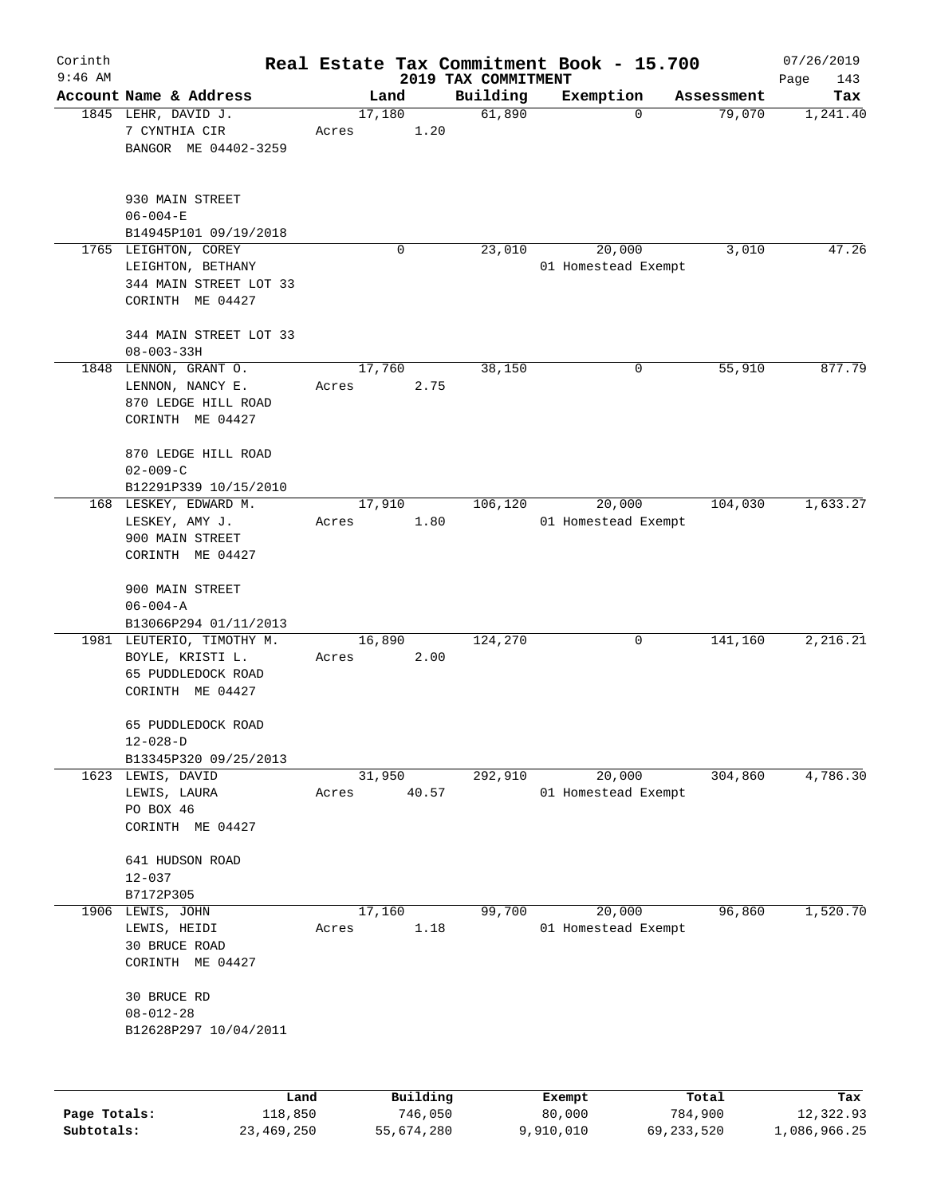| Corinth      |                                                                                             |                 |                     |                                 | Real Estate Tax Commitment Book - 15.700 |                      | 07/26/2019       |
|--------------|---------------------------------------------------------------------------------------------|-----------------|---------------------|---------------------------------|------------------------------------------|----------------------|------------------|
| $9:46$ AM    | Account Name & Address                                                                      |                 | Land                | 2019 TAX COMMITMENT<br>Building |                                          |                      | Page<br>143      |
|              | 1845 LEHR, DAVID J.<br>7 CYNTHIA CIR<br>BANGOR ME 04402-3259                                | 17,180<br>Acres | 1.20                | 61,890                          | Exemption<br>$\mathbf 0$                 | Assessment<br>79,070 | Tax<br>1,241.40  |
|              | 930 MAIN STREET<br>$06 - 004 - E$<br>B14945P101 09/19/2018                                  |                 |                     |                                 |                                          |                      |                  |
|              | 1765 LEIGHTON, COREY<br>LEIGHTON, BETHANY<br>344 MAIN STREET LOT 33<br>CORINTH ME 04427     |                 | 0                   | 23,010                          | 20,000<br>01 Homestead Exempt            | 3,010                | 47.26            |
|              | 344 MAIN STREET LOT 33<br>$08 - 003 - 33H$                                                  |                 |                     |                                 |                                          |                      |                  |
|              | 1848 LENNON, GRANT O.<br>LENNON, NANCY E.<br>870 LEDGE HILL ROAD<br>CORINTH ME 04427        | 17,760<br>Acres | 2.75                | 38,150                          | 0                                        | 55,910               | 877.79           |
|              | 870 LEDGE HILL ROAD<br>$02 - 009 - C$<br>B12291P339 10/15/2010                              |                 |                     |                                 |                                          |                      |                  |
|              | 168 LESKEY, EDWARD M.<br>LESKEY, AMY J.<br>900 MAIN STREET<br>CORINTH ME 04427              | 17,910<br>Acres | 1.80                | 106,120                         | 20,000<br>01 Homestead Exempt            | 104,030              | 1,633.27         |
|              | 900 MAIN STREET<br>$06 - 004 - A$<br>B13066P294 01/11/2013                                  |                 |                     |                                 |                                          |                      |                  |
|              | 1981 LEUTERIO, TIMOTHY M.<br>BOYLE, KRISTI L.<br>65 PUDDLEDOCK ROAD<br>CORINTH ME 04427     | 16,890<br>Acres | 2.00                | 124,270                         | 0                                        | 141,160              | 2,216.21         |
|              | 65 PUDDLEDOCK ROAD<br>$12 - 028 - D$                                                        |                 |                     |                                 |                                          |                      |                  |
|              | B13345P320 09/25/2013<br>1623 LEWIS, DAVID<br>LEWIS, LAURA<br>PO BOX 46<br>CORINTH ME 04427 | 31,950<br>Acres | 40.57               | 292,910                         | 20,000<br>01 Homestead Exempt            | 304,860              | 4,786.30         |
|              | 641 HUDSON ROAD<br>$12 - 037$                                                               |                 |                     |                                 |                                          |                      |                  |
| 1906         | B7172P305<br>LEWIS, JOHN<br>LEWIS, HEIDI<br>30 BRUCE ROAD<br>CORINTH ME 04427               | 17,160<br>Acres | 1.18                | 99,700                          | 20,000<br>01 Homestead Exempt            | 96,860               | 1,520.70         |
|              | 30 BRUCE RD<br>$08 - 012 - 28$<br>B12628P297 10/04/2011                                     |                 |                     |                                 |                                          |                      |                  |
|              |                                                                                             |                 |                     |                                 |                                          |                      |                  |
| Page Totals: | Land<br>118,850                                                                             |                 | Building<br>746,050 |                                 | Exempt<br>80,000                         | Total<br>784,900     | Tax<br>12,322.93 |

**Subtotals:** 23,469,250 55,674,280 9,910,010 69,233,520 1,086,966.25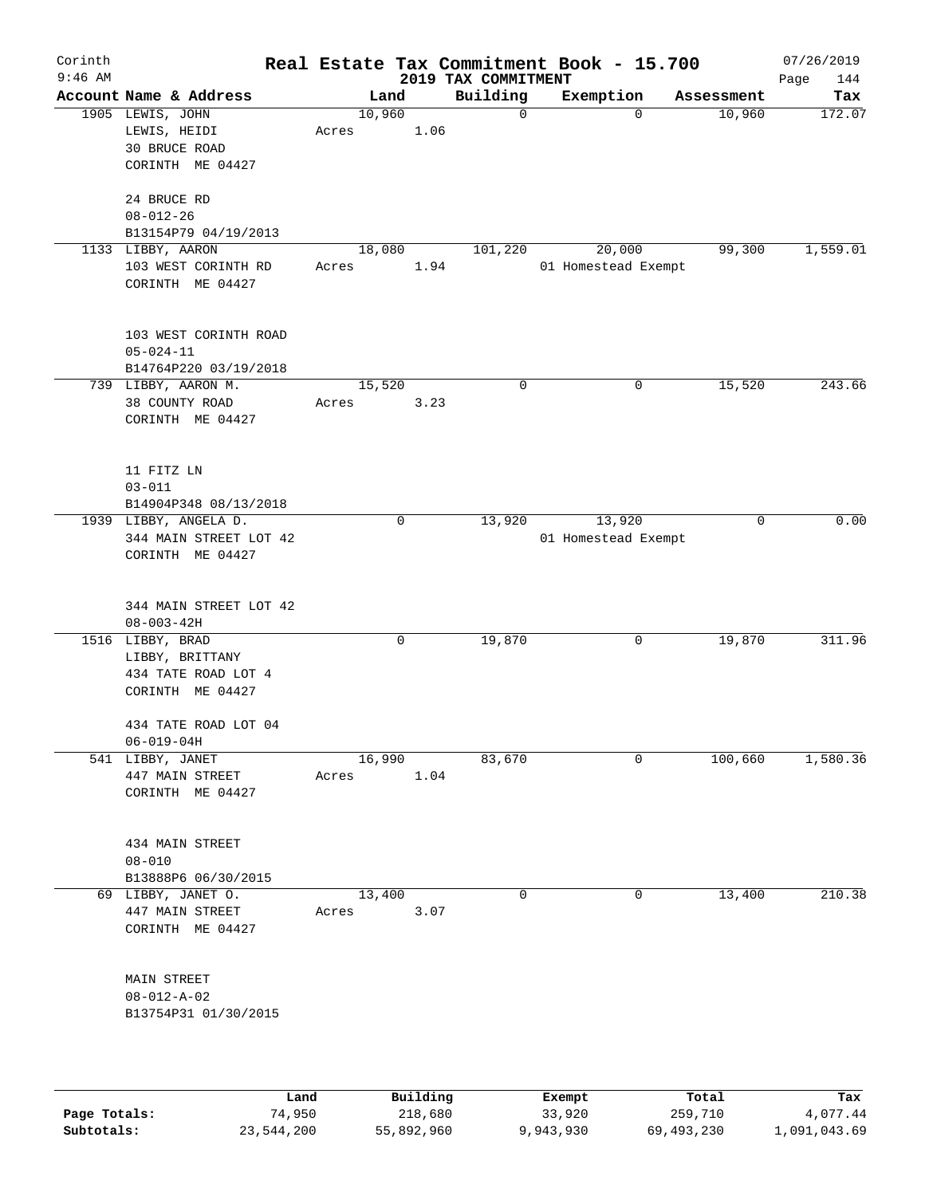| Corinth<br>$9:46$ AM |                                                                                |       |        |          | 2019 TAX COMMITMENT | Real Estate Tax Commitment Book - 15.700 |             | 07/26/2019<br>Page<br>144 |
|----------------------|--------------------------------------------------------------------------------|-------|--------|----------|---------------------|------------------------------------------|-------------|---------------------------|
|                      | Account Name & Address                                                         |       | Land   |          | Building            | Exemption                                | Assessment  | Tax                       |
|                      | 1905 LEWIS, JOHN<br>LEWIS, HEIDI<br><b>30 BRUCE ROAD</b><br>CORINTH ME 04427   | Acres | 10,960 | 1.06     | $\mathbf 0$         | $\Omega$                                 | 10,960      | 172.07                    |
|                      | 24 BRUCE RD<br>$08 - 012 - 26$<br>B13154P79 04/19/2013                         |       |        |          |                     |                                          |             |                           |
|                      | 1133 LIBBY, AARON<br>103 WEST CORINTH RD<br>CORINTH ME 04427                   | Acres | 18,080 | 1.94     | 101,220             | 20,000<br>01 Homestead Exempt            | 99,300      | 1,559.01                  |
|                      | 103 WEST CORINTH ROAD<br>$05 - 024 - 11$<br>B14764P220 03/19/2018              |       |        |          |                     |                                          |             |                           |
|                      | 739 LIBBY, AARON M.<br>38 COUNTY ROAD<br>CORINTH ME 04427                      | Acres | 15,520 | 3.23     | 0                   | 0                                        | 15,520      | 243.66                    |
|                      | 11 FITZ LN<br>$03 - 011$<br>B14904P348 08/13/2018                              |       |        |          |                     |                                          |             |                           |
|                      | 1939 LIBBY, ANGELA D.<br>344 MAIN STREET LOT 42<br>CORINTH ME 04427            |       | 0      |          | 13,920              | 13,920<br>01 Homestead Exempt            | $\mathbf 0$ | 0.00                      |
|                      | 344 MAIN STREET LOT 42<br>$08 - 003 - 42H$                                     |       |        |          |                     |                                          |             |                           |
|                      | 1516 LIBBY, BRAD<br>LIBBY, BRITTANY<br>434 TATE ROAD LOT 4<br>CORINTH ME 04427 |       | 0      |          | 19,870              | 0                                        | 19,870      | 311.96                    |
|                      | 434 TATE ROAD LOT 04<br>$06 - 019 - 04H$                                       |       |        |          |                     |                                          |             |                           |
|                      | 541 LIBBY, JANET<br>447 MAIN STREET<br>CORINTH ME 04427                        | Acres | 16,990 | 1.04     | 83,670              | $\mathbf 0$                              | 100,660     | 1,580.36                  |
|                      | 434 MAIN STREET<br>$08 - 010$<br>B13888P6 06/30/2015                           |       |        |          |                     |                                          |             |                           |
|                      | 69 LIBBY, JANET O.<br>447 MAIN STREET<br>CORINTH ME 04427                      | Acres | 13,400 | 3.07     | $\mathbf 0$         | 0                                        | 13,400      | 210.38                    |
|                      | MAIN STREET<br>$08 - 012 - A - 02$<br>B13754P31 01/30/2015                     |       |        |          |                     |                                          |             |                           |
|                      |                                                                                | Land  |        | Building |                     | Exempt                                   | Total       | Tax                       |

**Page Totals:** 74,950 218,680 33,920 259,710 4,077.44 **Subtotals:** 23,544,200 55,892,960 9,943,930 69,493,230 1,091,043.69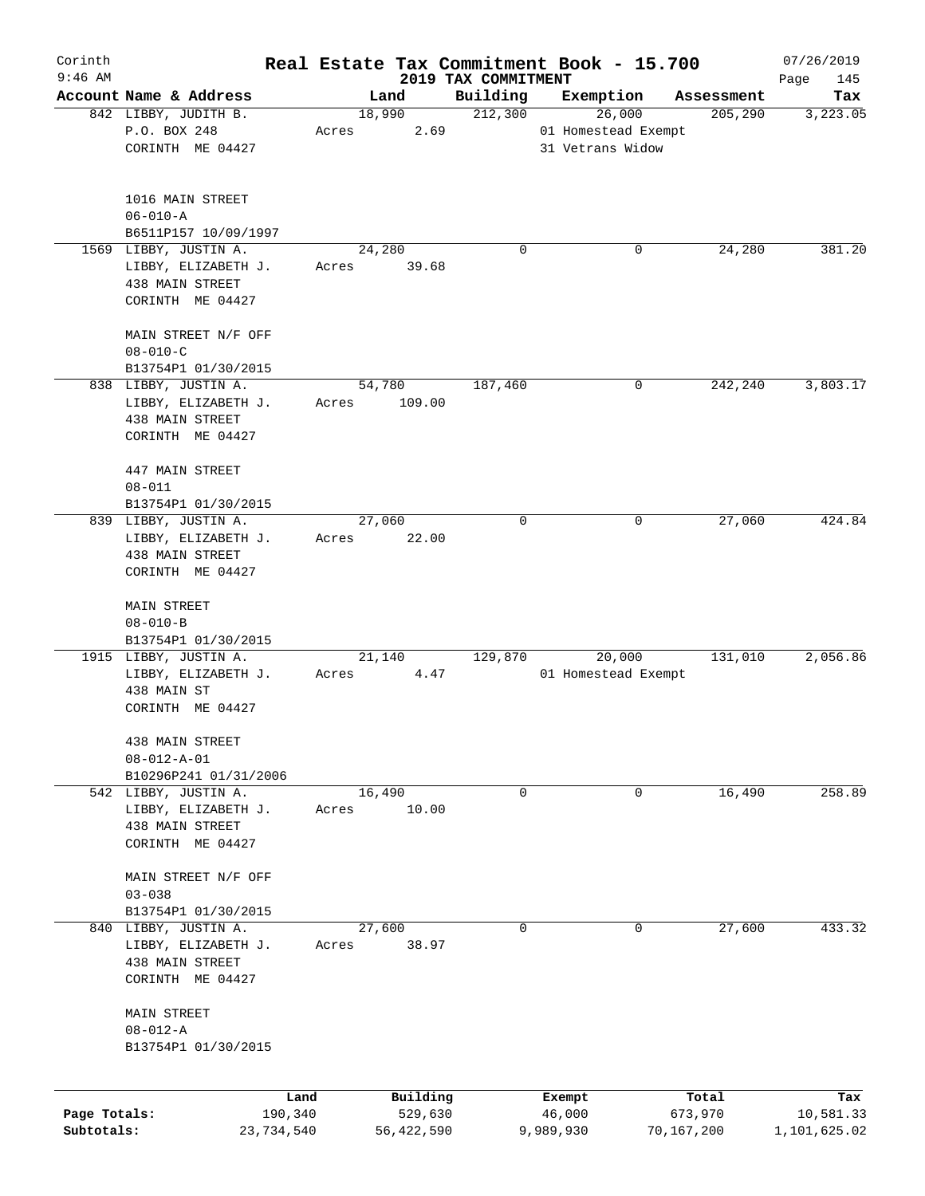| Corinth                    |                                                                                    |                 |                       |                                 | Real Estate Tax Commitment Book - 15.700 |                       | 07/26/2019                |
|----------------------------|------------------------------------------------------------------------------------|-----------------|-----------------------|---------------------------------|------------------------------------------|-----------------------|---------------------------|
| $9:46$ AM                  | Account Name & Address                                                             |                 | Land                  | 2019 TAX COMMITMENT<br>Building |                                          | Assessment            | Page<br>145               |
|                            | 842 LIBBY, JUDITH B.                                                               |                 | 18,990                | 212,300                         | Exemption<br>26,000                      | 205,290               | Tax<br>3,223.05           |
|                            | P.O. BOX 248                                                                       | Acres           | 2.69                  |                                 | 01 Homestead Exempt                      |                       |                           |
|                            | CORINTH ME 04427                                                                   |                 |                       |                                 | 31 Vetrans Widow                         |                       |                           |
|                            | 1016 MAIN STREET                                                                   |                 |                       |                                 |                                          |                       |                           |
|                            | $06 - 010 - A$                                                                     |                 |                       |                                 |                                          |                       |                           |
|                            | B6511P157 10/09/1997                                                               |                 |                       |                                 |                                          |                       |                           |
|                            | 1569 LIBBY, JUSTIN A.                                                              |                 | 24,280                | 0                               | 0                                        | 24,280                | 381.20                    |
|                            | LIBBY, ELIZABETH J.<br>438 MAIN STREET<br>CORINTH ME 04427                         | Acres           | 39.68                 |                                 |                                          |                       |                           |
|                            | MAIN STREET N/F OFF<br>$08 - 010 - C$                                              |                 |                       |                                 |                                          |                       |                           |
|                            | B13754P1 01/30/2015                                                                |                 |                       |                                 |                                          |                       |                           |
|                            | 838 LIBBY, JUSTIN A.                                                               |                 | 54,780                | 187,460                         | 0                                        | 242,240               | 3,803.17                  |
|                            | LIBBY, ELIZABETH J.<br>438 MAIN STREET<br>CORINTH ME 04427                         | Acres           | 109.00                |                                 |                                          |                       |                           |
|                            | 447 MAIN STREET<br>$08 - 011$                                                      |                 |                       |                                 |                                          |                       |                           |
|                            | B13754P1 01/30/2015                                                                |                 |                       |                                 |                                          |                       |                           |
|                            | 839 LIBBY, JUSTIN A.                                                               |                 | 27,060                | 0                               | 0                                        | 27,060                | 424.84                    |
|                            | LIBBY, ELIZABETH J.<br>438 MAIN STREET                                             | Acres           | 22.00                 |                                 |                                          |                       |                           |
|                            | CORINTH ME 04427                                                                   |                 |                       |                                 |                                          |                       |                           |
|                            | MAIN STREET<br>$08 - 010 - B$<br>B13754P1 01/30/2015                               |                 |                       |                                 |                                          |                       |                           |
|                            | 1915 LIBBY, JUSTIN A.                                                              |                 | 21,140                | 129,870                         | 20,000                                   | 131,010               | 2,056.86                  |
|                            | LIBBY, ELIZABETH J.<br>438 MAIN ST<br>CORINTH ME 04427                             | Acres           | 4.47                  |                                 | 01 Homestead Exempt                      |                       |                           |
|                            | 438 MAIN STREET                                                                    |                 |                       |                                 |                                          |                       |                           |
|                            | $08 - 012 - A - 01$                                                                |                 |                       |                                 |                                          |                       |                           |
|                            | B10296P241 01/31/2006                                                              |                 |                       |                                 |                                          |                       |                           |
|                            | 542 LIBBY, JUSTIN A.<br>LIBBY, ELIZABETH J.<br>438 MAIN STREET<br>CORINTH ME 04427 | 16,490<br>Acres | 10.00                 | 0                               | 0                                        | 16,490                | 258.89                    |
|                            | MAIN STREET N/F OFF<br>$03 - 038$                                                  |                 |                       |                                 |                                          |                       |                           |
|                            | B13754P1 01/30/2015                                                                |                 |                       |                                 |                                          |                       |                           |
|                            | 840 LIBBY, JUSTIN A.                                                               |                 | 27,600                | 0                               | 0                                        | 27,600                | 433.32                    |
|                            | LIBBY, ELIZABETH J.                                                                | Acres           | 38.97                 |                                 |                                          |                       |                           |
|                            | 438 MAIN STREET<br>CORINTH ME 04427                                                |                 |                       |                                 |                                          |                       |                           |
|                            | MAIN STREET<br>$08 - 012 - A$                                                      |                 |                       |                                 |                                          |                       |                           |
|                            | B13754P1 01/30/2015                                                                |                 |                       |                                 |                                          |                       |                           |
|                            | Land                                                                               |                 | Building              |                                 | Exempt                                   | Total                 | Tax                       |
| Page Totals:<br>Subtotals: | 190,340<br>23,734,540                                                              |                 | 529,630<br>56,422,590 |                                 | 46,000<br>9,989,930                      | 673,970<br>70,167,200 | 10,581.33<br>1,101,625.02 |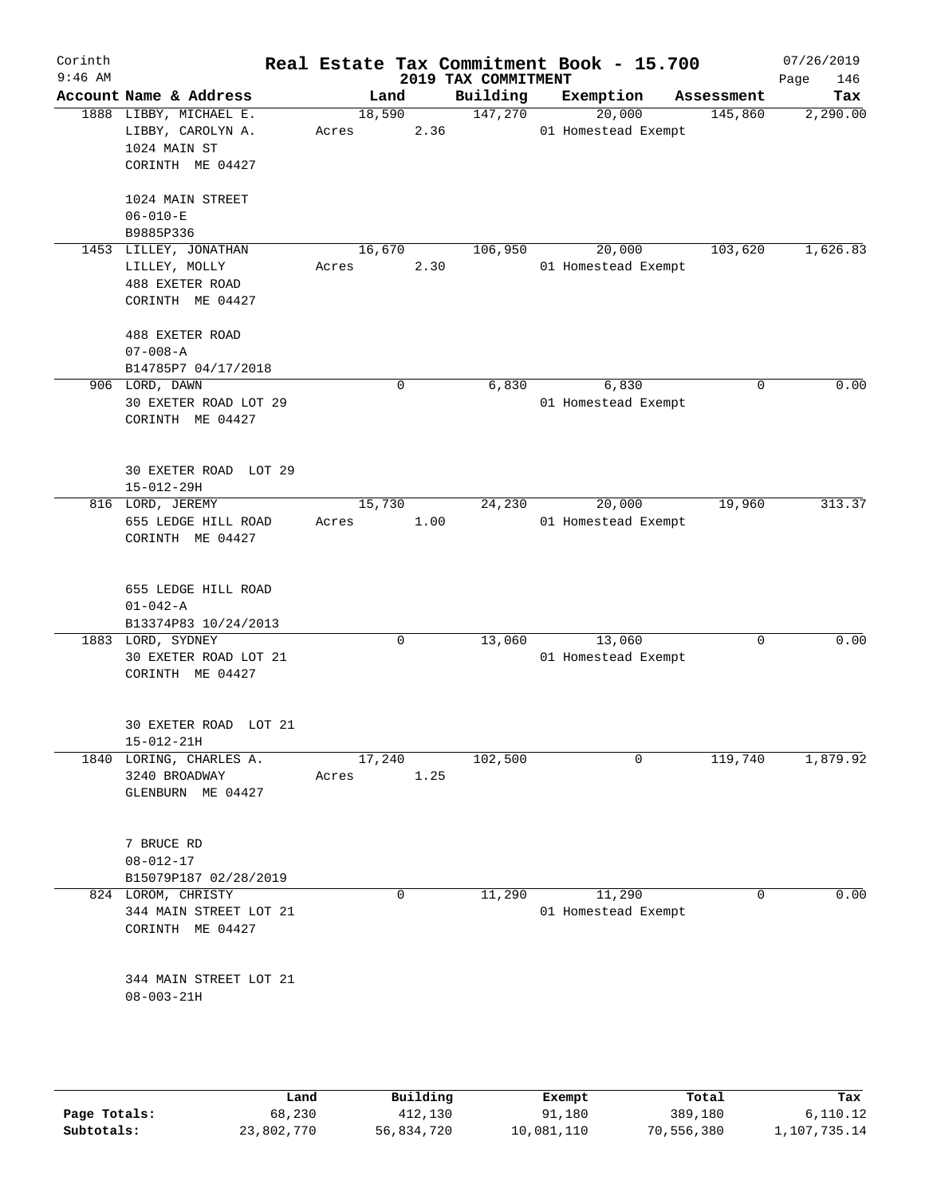| Corinth<br>$9:46$ AM |                                                                                 |       |             |      | 2019 TAX COMMITMENT | Real Estate Tax Commitment Book - 15.700 |            | 07/26/2019<br>Page<br>146 |
|----------------------|---------------------------------------------------------------------------------|-------|-------------|------|---------------------|------------------------------------------|------------|---------------------------|
|                      | Account Name & Address                                                          |       | Land        |      | Building            | Exemption                                | Assessment | Tax                       |
|                      | 1888 LIBBY, MICHAEL E.<br>LIBBY, CAROLYN A.<br>1024 MAIN ST<br>CORINTH ME 04427 | Acres | 18,590      | 2.36 | 147,270             | 20,000<br>01 Homestead Exempt            | 145,860    | 2,290.00                  |
|                      | 1024 MAIN STREET<br>$06 - 010 - E$<br>B9885P336                                 |       |             |      |                     |                                          |            |                           |
|                      | 1453 LILLEY, JONATHAN<br>LILLEY, MOLLY<br>488 EXETER ROAD<br>CORINTH ME 04427   | Acres | 16,670      | 2.30 | 106,950             | 20,000<br>01 Homestead Exempt            | 103,620    | 1,626.83                  |
|                      | 488 EXETER ROAD<br>$07 - 008 - A$<br>B14785P7 04/17/2018                        |       |             |      |                     |                                          |            |                           |
|                      | 906 LORD, DAWN<br>30 EXETER ROAD LOT 29<br>CORINTH ME 04427                     |       | 0           |      | 6,830               | 6,830<br>01 Homestead Exempt             | 0          | 0.00                      |
|                      | 30 EXETER ROAD LOT 29<br>15-012-29H                                             |       |             |      |                     |                                          |            |                           |
|                      | 816 LORD, JEREMY<br>655 LEDGE HILL ROAD<br>CORINTH ME 04427                     | Acres | 15,730      | 1.00 | 24,230              | 20,000<br>01 Homestead Exempt            | 19,960     | 313.37                    |
|                      | 655 LEDGE HILL ROAD<br>$01 - 042 - A$<br>B13374P83 10/24/2013                   |       |             |      |                     |                                          |            |                           |
|                      | 1883 LORD, SYDNEY<br>30 EXETER ROAD LOT 21<br>CORINTH ME 04427                  |       | $\mathbf 0$ |      | 13,060              | 13,060<br>01 Homestead Exempt            | 0          | 0.00                      |
|                      | 30 EXETER ROAD LOT 21<br>$15 - 012 - 21H$                                       |       |             |      |                     |                                          |            |                           |
|                      | 1840 LORING, CHARLES A.<br>3240 BROADWAY<br>GLENBURN ME 04427                   | Acres | 17,240      | 1.25 | 102,500             | $\mathbf 0$                              | 119,740    | 1,879.92                  |
|                      | 7 BRUCE RD<br>$08 - 012 - 17$<br>B15079P187 02/28/2019                          |       |             |      |                     |                                          |            |                           |
|                      | 824 LOROM, CHRISTY<br>344 MAIN STREET LOT 21<br>CORINTH ME 04427                |       | 0           |      | 11,290              | 11,290<br>01 Homestead Exempt            | 0          | 0.00                      |
|                      | 344 MAIN STREET LOT 21<br>$08 - 003 - 21H$                                      |       |             |      |                     |                                          |            |                           |
|                      |                                                                                 |       |             |      |                     |                                          |            |                           |

|              | Land       | Building   | Exempt     | Total      | Tax          |
|--------------|------------|------------|------------|------------|--------------|
| Page Totals: | 68,230     | 412,130    | 91,180     | 389,180    | 6,110.12     |
| Subtotals:   | 23,802,770 | 56,834,720 | 10,081,110 | 70,556,380 | 1,107,735.14 |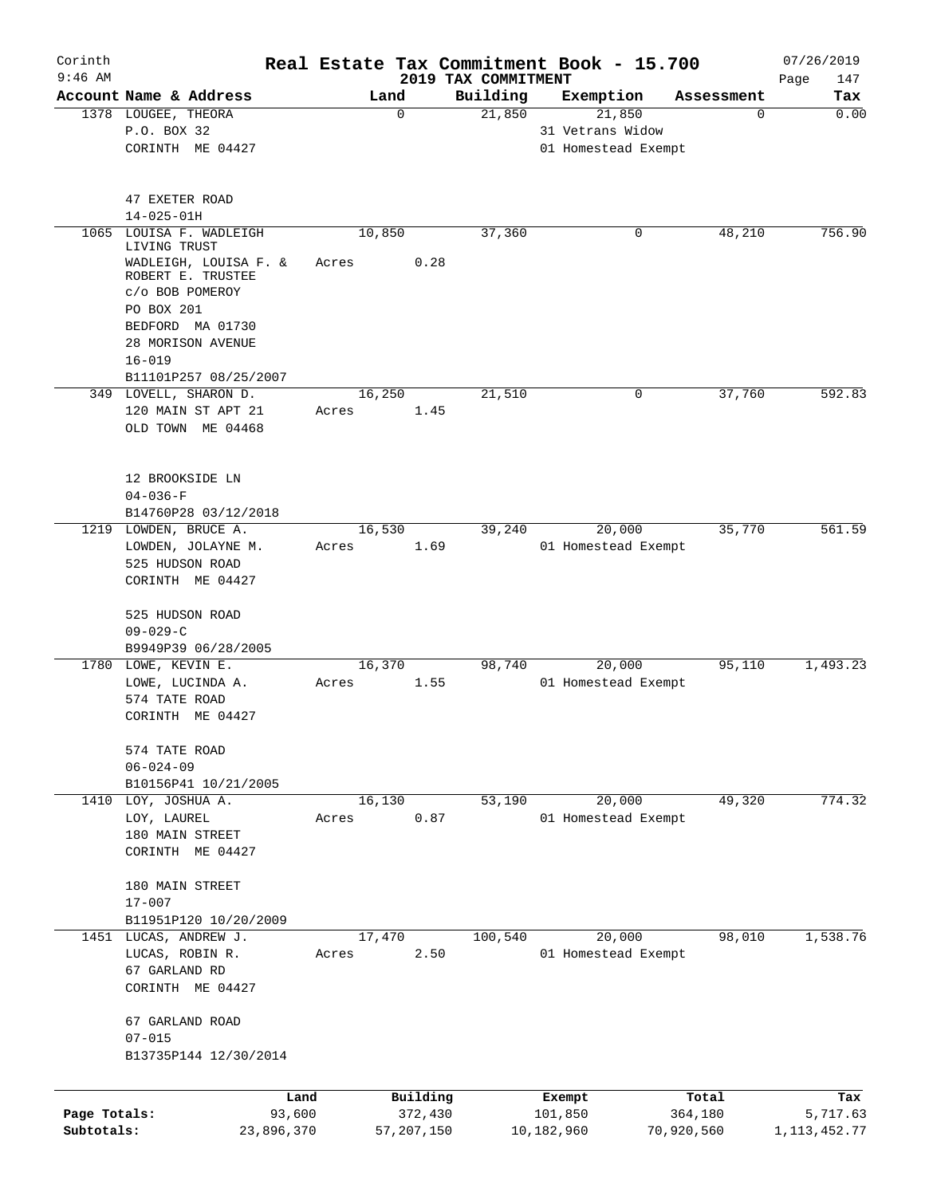| Corinth<br>$9:46$ AM |                                            |        |             | 2019 TAX COMMITMENT | Real Estate Tax Commitment Book - 15.700 |            | 07/26/2019         |
|----------------------|--------------------------------------------|--------|-------------|---------------------|------------------------------------------|------------|--------------------|
|                      | Account Name & Address                     | Land   |             | Building            | Exemption                                | Assessment | Page<br>147<br>Tax |
|                      | 1378 LOUGEE, THEORA                        |        | $\mathbf 0$ | 21,850              | 21,850                                   | 0          | 0.00               |
|                      | P.O. BOX 32<br>CORINTH ME 04427            |        |             |                     | 31 Vetrans Widow<br>01 Homestead Exempt  |            |                    |
|                      |                                            |        |             |                     |                                          |            |                    |
|                      | 47 EXETER ROAD                             |        |             |                     |                                          |            |                    |
|                      | $14 - 025 - 01H$                           |        |             |                     |                                          |            |                    |
| 1065                 | LOUISA F. WADLEIGH<br>LIVING TRUST         | 10,850 |             | 37,360              | 0                                        | 48,210     | 756.90             |
|                      | WADLEIGH, LOUISA F. &<br>ROBERT E. TRUSTEE | Acres  | 0.28        |                     |                                          |            |                    |
|                      | c/o BOB POMEROY                            |        |             |                     |                                          |            |                    |
|                      | PO BOX 201                                 |        |             |                     |                                          |            |                    |
|                      | BEDFORD MA 01730                           |        |             |                     |                                          |            |                    |
|                      | 28 MORISON AVENUE                          |        |             |                     |                                          |            |                    |
|                      | $16 - 019$                                 |        |             |                     |                                          |            |                    |
|                      | B11101P257 08/25/2007                      |        |             |                     |                                          |            |                    |
|                      | 349 LOVELL, SHARON D.                      | 16,250 |             | 21,510              | 0                                        | 37,760     | 592.83             |
|                      | 120 MAIN ST APT 21                         | Acres  | 1.45        |                     |                                          |            |                    |
|                      | OLD TOWN ME 04468                          |        |             |                     |                                          |            |                    |
|                      | 12 BROOKSIDE LN                            |        |             |                     |                                          |            |                    |
|                      | $04 - 036 - F$                             |        |             |                     |                                          |            |                    |
|                      | B14760P28 03/12/2018                       |        |             |                     |                                          |            |                    |
|                      | 1219 LOWDEN, BRUCE A.                      | 16,530 |             | 39,240              | 20,000                                   | 35,770     | 561.59             |
|                      | LOWDEN, JOLAYNE M.                         | Acres  | 1.69        |                     | 01 Homestead Exempt                      |            |                    |
|                      | 525 HUDSON ROAD                            |        |             |                     |                                          |            |                    |
|                      | CORINTH ME 04427                           |        |             |                     |                                          |            |                    |
|                      | 525 HUDSON ROAD                            |        |             |                     |                                          |            |                    |
|                      | $09 - 029 - C$                             |        |             |                     |                                          |            |                    |
|                      | B9949P39 06/28/2005                        |        |             |                     |                                          |            |                    |
|                      | 1780 LOWE, KEVIN E.                        | 16,370 |             | 98,740              | 20,000                                   | 95,110     | 1,493.23           |
|                      | LOWE, LUCINDA A.                           | Acres  | 1.55        |                     | 01 Homestead Exempt                      |            |                    |
|                      | 574 TATE ROAD                              |        |             |                     |                                          |            |                    |
|                      | CORINTH ME 04427                           |        |             |                     |                                          |            |                    |
|                      | 574 TATE ROAD                              |        |             |                     |                                          |            |                    |
|                      | $06 - 024 - 09$                            |        |             |                     |                                          |            |                    |
|                      | B10156P41 10/21/2005                       |        |             |                     |                                          |            |                    |
|                      | 1410 LOY, JOSHUA A.                        | 16,130 |             | 53,190              | 20,000                                   | 49,320     | 774.32             |
|                      | LOY, LAUREL                                | Acres  | 0.87        |                     | 01 Homestead Exempt                      |            |                    |
|                      | 180 MAIN STREET                            |        |             |                     |                                          |            |                    |
|                      | CORINTH ME 04427                           |        |             |                     |                                          |            |                    |
|                      |                                            |        |             |                     |                                          |            |                    |
|                      | 180 MAIN STREET                            |        |             |                     |                                          |            |                    |
|                      | $17 - 007$                                 |        |             |                     |                                          |            |                    |
|                      | B11951P120 10/20/2009                      |        |             |                     |                                          |            |                    |
|                      | 1451 LUCAS, ANDREW J.                      | 17,470 |             | 100,540             | 20,000                                   | 98,010     | 1,538.76           |
|                      | LUCAS, ROBIN R.                            | Acres  | 2.50        |                     | 01 Homestead Exempt                      |            |                    |
|                      | 67 GARLAND RD                              |        |             |                     |                                          |            |                    |
|                      | CORINTH ME 04427                           |        |             |                     |                                          |            |                    |
|                      | 67 GARLAND ROAD                            |        |             |                     |                                          |            |                    |
|                      | $07 - 015$<br>B13735P144 12/30/2014        |        |             |                     |                                          |            |                    |
|                      |                                            |        |             |                     |                                          |            |                    |
|                      | Land                                       |        | Building    |                     | Exempt                                   | Total      | Tax                |
| Page Totals:         | 93,600                                     |        | 372,430     |                     | 101,850                                  | 364,180    | 5,717.63           |
| Subtotals:           | 23,896,370                                 |        | 57,207,150  |                     | 10,182,960                               | 70,920,560 | 1,113,452.77       |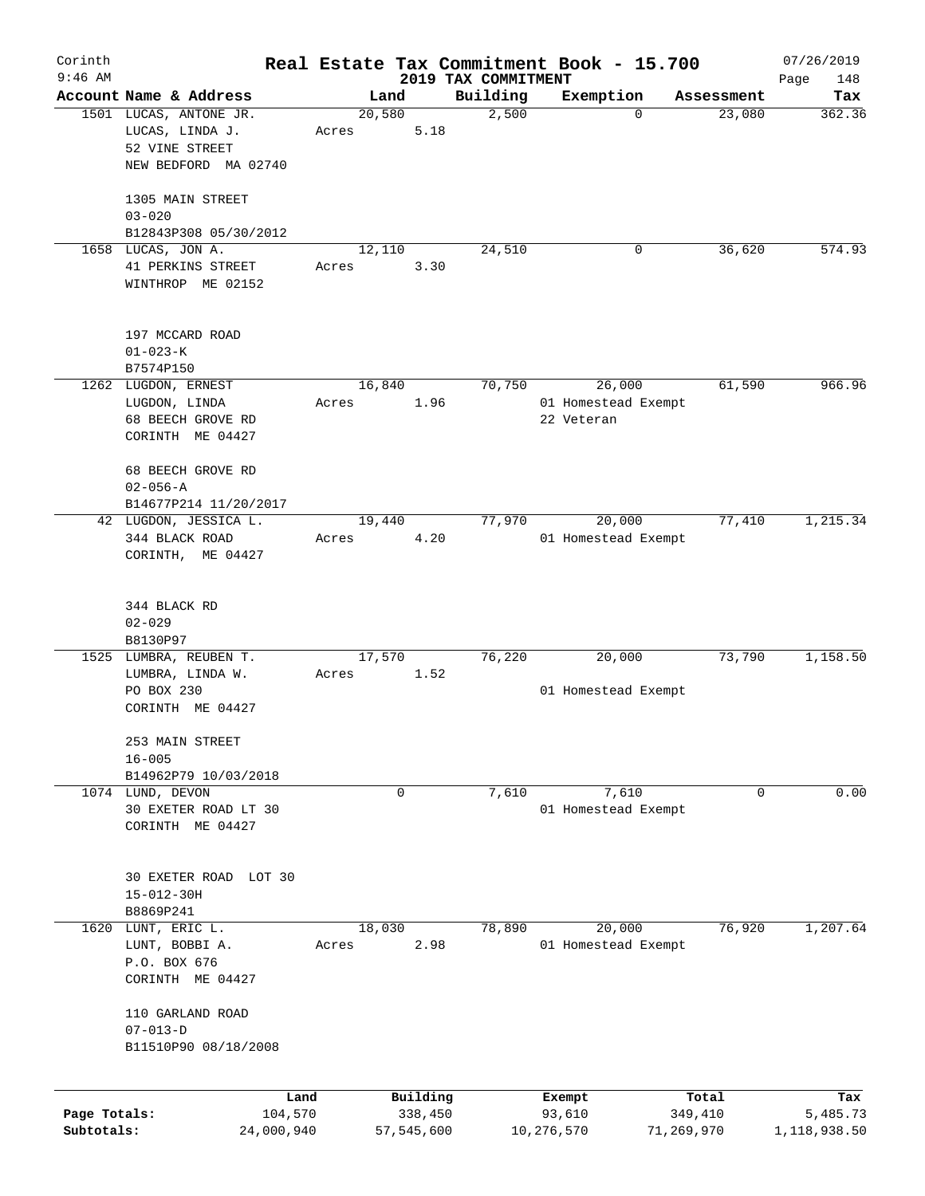| Corinth<br>$9:46$ AM |                        |       |            |          |                                 | Real Estate Tax Commitment Book - 15.700 |            | 07/26/2019         |
|----------------------|------------------------|-------|------------|----------|---------------------------------|------------------------------------------|------------|--------------------|
|                      | Account Name & Address |       | Land       |          | 2019 TAX COMMITMENT<br>Building | Exemption                                | Assessment | Page<br>148<br>Tax |
|                      | 1501 LUCAS, ANTONE JR. |       | 20,580     |          | 2,500                           | $\mathbf 0$                              | 23,080     | 362.36             |
|                      | LUCAS, LINDA J.        | Acres |            | 5.18     |                                 |                                          |            |                    |
|                      | 52 VINE STREET         |       |            |          |                                 |                                          |            |                    |
|                      | NEW BEDFORD MA 02740   |       |            |          |                                 |                                          |            |                    |
|                      |                        |       |            |          |                                 |                                          |            |                    |
|                      | 1305 MAIN STREET       |       |            |          |                                 |                                          |            |                    |
|                      | $03 - 020$             |       |            |          |                                 |                                          |            |                    |
|                      | B12843P308 05/30/2012  |       |            |          |                                 |                                          |            |                    |
|                      |                        |       |            |          |                                 | 0                                        | 36,620     | 574.93             |
|                      | 1658 LUCAS, JON A.     |       | 12,110     |          | 24,510                          |                                          |            |                    |
|                      | 41 PERKINS STREET      | Acres |            | 3.30     |                                 |                                          |            |                    |
|                      | WINTHROP ME 02152      |       |            |          |                                 |                                          |            |                    |
|                      |                        |       |            |          |                                 |                                          |            |                    |
|                      | 197 MCCARD ROAD        |       |            |          |                                 |                                          |            |                    |
|                      | $01 - 023 - K$         |       |            |          |                                 |                                          |            |                    |
|                      | B7574P150              |       |            |          |                                 |                                          |            |                    |
|                      | 1262 LUGDON, ERNEST    |       | 16,840     |          | 70,750                          | 26,000                                   | 61,590     | 966.96             |
|                      | LUGDON, LINDA          |       |            |          |                                 |                                          |            |                    |
|                      |                        | Acres |            | 1.96     |                                 | 01 Homestead Exempt                      |            |                    |
|                      | 68 BEECH GROVE RD      |       |            |          |                                 | 22 Veteran                               |            |                    |
|                      | CORINTH ME 04427       |       |            |          |                                 |                                          |            |                    |
|                      |                        |       |            |          |                                 |                                          |            |                    |
|                      | 68 BEECH GROVE RD      |       |            |          |                                 |                                          |            |                    |
|                      | $02 - 056 - A$         |       |            |          |                                 |                                          |            |                    |
|                      | B14677P214 11/20/2017  |       |            |          |                                 |                                          |            |                    |
|                      | 42 LUGDON, JESSICA L.  |       | 19,440     |          | 77,970                          | 20,000                                   | 77,410     | 1,215.34           |
|                      | 344 BLACK ROAD         | Acres |            | 4.20     |                                 | 01 Homestead Exempt                      |            |                    |
|                      | CORINTH, ME 04427      |       |            |          |                                 |                                          |            |                    |
|                      |                        |       |            |          |                                 |                                          |            |                    |
|                      | 344 BLACK RD           |       |            |          |                                 |                                          |            |                    |
|                      | $02 - 029$             |       |            |          |                                 |                                          |            |                    |
|                      | B8130P97               |       |            |          |                                 |                                          |            |                    |
|                      | 1525 LUMBRA, REUBEN T. |       | 17,570     |          | 76,220                          | 20,000                                   | 73,790     | 1,158.50           |
|                      | LUMBRA, LINDA W.       | Acres |            | 1.52     |                                 |                                          |            |                    |
|                      | PO BOX 230             |       |            |          |                                 | 01 Homestead Exempt                      |            |                    |
|                      | CORINTH ME 04427       |       |            |          |                                 |                                          |            |                    |
|                      |                        |       |            |          |                                 |                                          |            |                    |
|                      | 253 MAIN STREET        |       |            |          |                                 |                                          |            |                    |
|                      | $16 - 005$             |       |            |          |                                 |                                          |            |                    |
|                      | B14962P79 10/03/2018   |       |            |          |                                 |                                          |            |                    |
|                      | 1074 LUND, DEVON       |       | 0          |          | 7,610                           | 7,610                                    | 0          | 0.00               |
|                      | 30 EXETER ROAD LT 30   |       |            |          |                                 | 01 Homestead Exempt                      |            |                    |
|                      | CORINTH ME 04427       |       |            |          |                                 |                                          |            |                    |
|                      |                        |       |            |          |                                 |                                          |            |                    |
|                      |                        |       |            |          |                                 |                                          |            |                    |
|                      | 30 EXETER ROAD LOT 30  |       |            |          |                                 |                                          |            |                    |
|                      | $15 - 012 - 30H$       |       |            |          |                                 |                                          |            |                    |
|                      | B8869P241              |       |            |          |                                 |                                          |            |                    |
| 1620                 | LUNT, ERIC L.          |       | 18,030     |          | 78,890                          | 20,000                                   | 76,920     | 1,207.64           |
|                      | LUNT, BOBBI A.         | Acres |            | 2.98     |                                 | 01 Homestead Exempt                      |            |                    |
|                      | P.O. BOX 676           |       |            |          |                                 |                                          |            |                    |
|                      | CORINTH ME 04427       |       |            |          |                                 |                                          |            |                    |
|                      |                        |       |            |          |                                 |                                          |            |                    |
|                      | 110 GARLAND ROAD       |       |            |          |                                 |                                          |            |                    |
|                      | $07 - 013 - D$         |       |            |          |                                 |                                          |            |                    |
|                      | B11510P90 08/18/2008   |       |            |          |                                 |                                          |            |                    |
|                      |                        |       |            |          |                                 |                                          |            |                    |
|                      |                        |       |            |          |                                 |                                          |            |                    |
|                      |                        | Land  |            | Building |                                 | Exempt                                   | Total      | Tax                |
| Page Totals:         | 104,570                |       |            | 338,450  |                                 | 93,610                                   | 349,410    | 5,485.73           |
| Subtotals:           | 24,000,940             |       | 57,545,600 |          |                                 | 10,276,570                               | 71,269,970 | 1,118,938.50       |
|                      |                        |       |            |          |                                 |                                          |            |                    |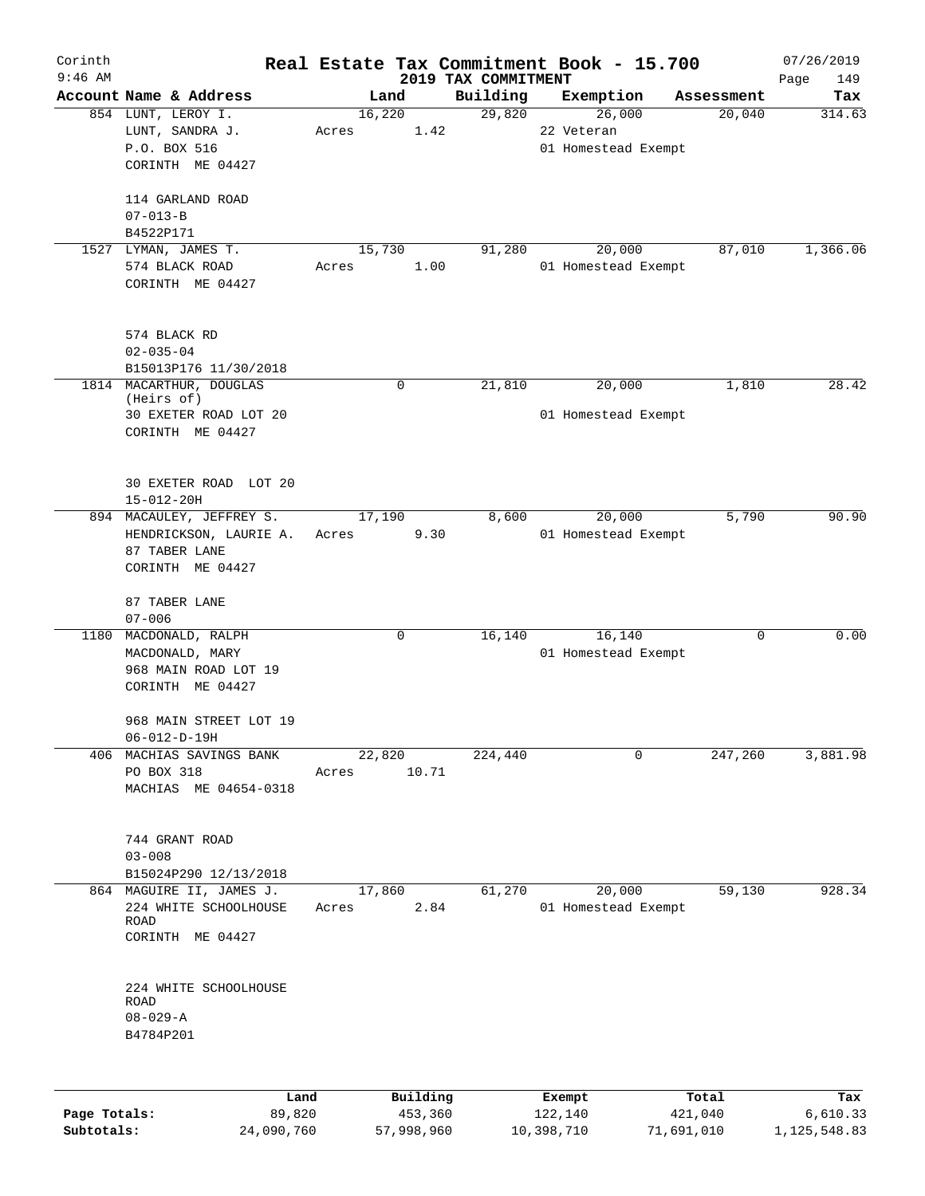| Corinth<br>$9:46$ AM |                                                                                               |                 |             | 2019 TAX COMMITMENT | Real Estate Tax Commitment Book - 15.700    |            | 07/26/2019<br>Page<br>149 |
|----------------------|-----------------------------------------------------------------------------------------------|-----------------|-------------|---------------------|---------------------------------------------|------------|---------------------------|
|                      | Account Name & Address                                                                        | Land            |             | Building            | Exemption                                   | Assessment | Tax                       |
|                      | 854 LUNT, LEROY I.<br>LUNT, SANDRA J.<br>P.O. BOX 516<br>CORINTH ME 04427<br>114 GARLAND ROAD | 16,220<br>Acres | 1.42        | 29,820              | 26,000<br>22 Veteran<br>01 Homestead Exempt | 20,040     | 314.63                    |
|                      | $07 - 013 - B$<br>B4522P171                                                                   |                 |             |                     |                                             |            |                           |
|                      | 1527 LYMAN, JAMES T.<br>574 BLACK ROAD<br>CORINTH ME 04427                                    | 15,730<br>Acres | 1.00        | 91,280              | 20,000<br>01 Homestead Exempt               | 87,010     | 1,366.06                  |
|                      | 574 BLACK RD<br>$02 - 035 - 04$<br>B15013P176 11/30/2018                                      |                 |             |                     |                                             |            |                           |
|                      | 1814 MACARTHUR, DOUGLAS<br>(Heirs of)<br>30 EXETER ROAD LOT 20<br>CORINTH ME 04427            |                 | $\mathbf 0$ | 21,810              | 20,000<br>01 Homestead Exempt               | 1,810      | 28.42                     |
|                      | 30 EXETER ROAD LOT 20<br>$15 - 012 - 20H$                                                     |                 |             |                     |                                             |            |                           |
|                      | 894 MACAULEY, JEFFREY S.<br>HENDRICKSON, LAURIE A.<br>87 TABER LANE<br>CORINTH ME 04427       | 17,190<br>Acres | 9.30        | 8,600               | 20,000<br>01 Homestead Exempt               | 5,790      | 90.90                     |
|                      | 87 TABER LANE<br>$07 - 006$                                                                   |                 |             |                     |                                             |            |                           |
|                      | 1180 MACDONALD, RALPH<br>MACDONALD, MARY<br>968 MAIN ROAD LOT 19<br>CORINTH ME 04427          |                 | 0           | 16,140              | 16,140<br>01 Homestead Exempt               | 0          | 0.00                      |
|                      | 968 MAIN STREET LOT 19<br>$06 - 012 - D - 19H$                                                |                 |             |                     |                                             |            |                           |
|                      | 406 MACHIAS SAVINGS BANK<br>PO BOX 318<br>MACHIAS ME 04654-0318                               | 22,820<br>Acres | 10.71       | 224,440             | 0                                           | 247,260    | 3,881.98                  |
|                      | 744 GRANT ROAD<br>$03 - 008$<br>B15024P290 12/13/2018                                         |                 |             |                     |                                             |            |                           |
|                      | 864 MAGUIRE II, JAMES J.<br>224 WHITE SCHOOLHOUSE<br>ROAD<br>CORINTH ME 04427                 | 17,860<br>Acres | 2.84        | 61,270              | 20,000<br>01 Homestead Exempt               | 59,130     | 928.34                    |
|                      | 224 WHITE SCHOOLHOUSE<br><b>ROAD</b><br>$08 - 029 - A$<br>B4784P201                           |                 |             |                     |                                             |            |                           |
|                      |                                                                                               |                 |             |                     |                                             |            |                           |

|              | Land       | Building   | Exempt     | Total      | Tax          |
|--------------|------------|------------|------------|------------|--------------|
| Page Totals: | 89,820     | 453,360    | 122,140    | 421,040    | 6,610.33     |
| Subtotals:   | 24,090,760 | 57,998,960 | 10,398,710 | 71,691,010 | 1,125,548.83 |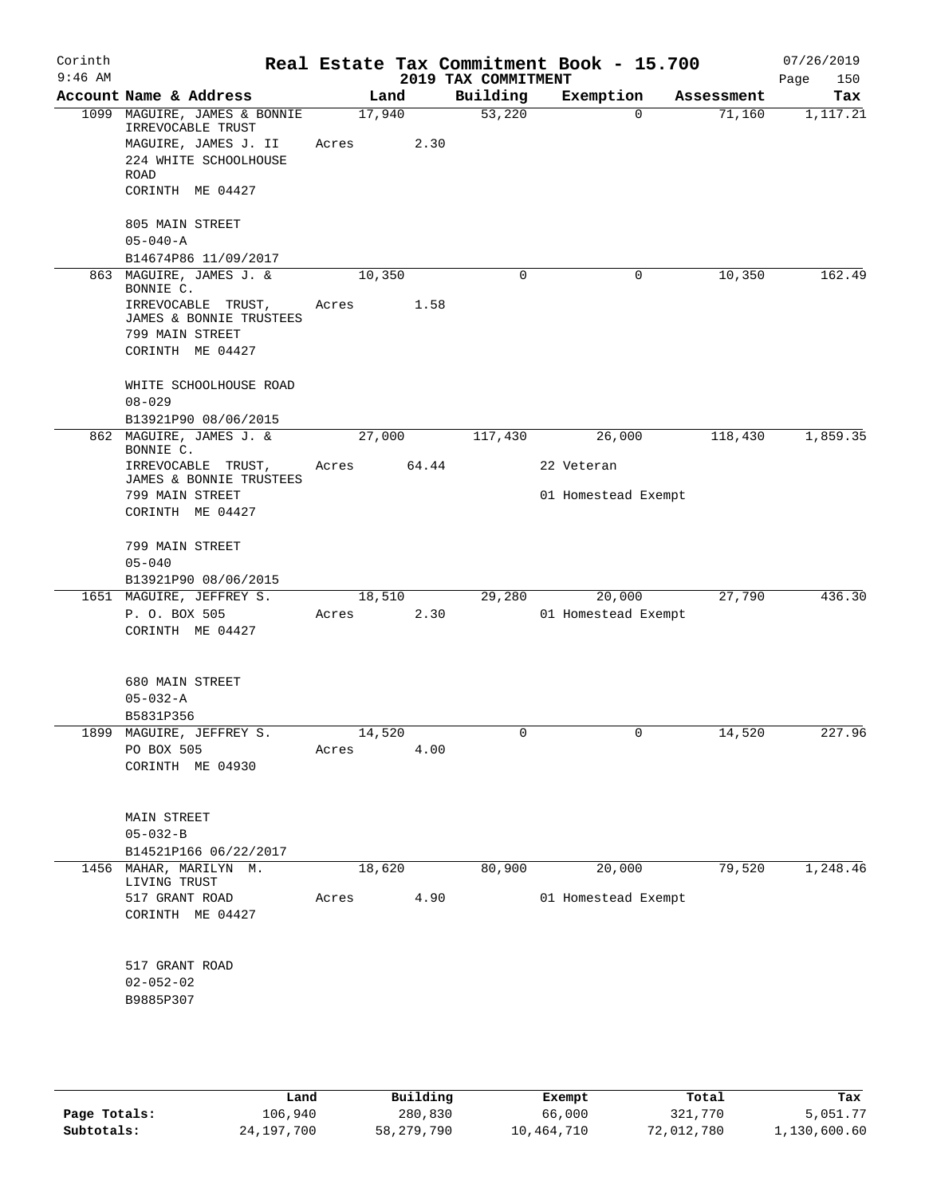| Corinth<br>$9:46$ AM |                                                   |        |        | 2019 TAX COMMITMENT | Real Estate Tax Commitment Book - 15.700 |            | 07/26/2019<br>150<br>Page |
|----------------------|---------------------------------------------------|--------|--------|---------------------|------------------------------------------|------------|---------------------------|
|                      | Account Name & Address                            |        | Land   | Building            | Exemption                                | Assessment | Tax                       |
|                      | 1099 MAGUIRE, JAMES & BONNIE<br>IRREVOCABLE TRUST | 17,940 |        | 53,220              | $\Omega$                                 | 71,160     | 1,117.21                  |
|                      | MAGUIRE, JAMES J. II                              | Acres  | 2.30   |                     |                                          |            |                           |
|                      | 224 WHITE SCHOOLHOUSE<br>ROAD                     |        |        |                     |                                          |            |                           |
|                      | CORINTH ME 04427                                  |        |        |                     |                                          |            |                           |
|                      | 805 MAIN STREET                                   |        |        |                     |                                          |            |                           |
|                      | $05 - 040 - A$                                    |        |        |                     |                                          |            |                           |
|                      | B14674P86 11/09/2017                              |        |        |                     |                                          |            |                           |
|                      | 863 MAGUIRE, JAMES J. &<br>BONNIE C.              | 10,350 |        | $\mathbf 0$         | $\mathbf 0$                              | 10,350     | 162.49                    |
|                      | IRREVOCABLE TRUST,                                | Acres  | 1.58   |                     |                                          |            |                           |
|                      | JAMES & BONNIE TRUSTEES                           |        |        |                     |                                          |            |                           |
|                      | 799 MAIN STREET                                   |        |        |                     |                                          |            |                           |
|                      | CORINTH ME 04427                                  |        |        |                     |                                          |            |                           |
|                      | WHITE SCHOOLHOUSE ROAD                            |        |        |                     |                                          |            |                           |
|                      | $08 - 029$                                        |        |        |                     |                                          |            |                           |
|                      | B13921P90 08/06/2015                              |        |        |                     |                                          |            |                           |
|                      | 862 MAGUIRE, JAMES J. &                           | 27,000 |        | 117,430             | 26,000                                   | 118,430    | 1,859.35                  |
|                      | BONNIE C.                                         |        |        |                     |                                          |            |                           |
|                      | IRREVOCABLE TRUST,<br>JAMES & BONNIE TRUSTEES     | Acres  | 64.44  |                     | 22 Veteran                               |            |                           |
|                      | 799 MAIN STREET                                   |        |        |                     | 01 Homestead Exempt                      |            |                           |
|                      | CORINTH ME 04427                                  |        |        |                     |                                          |            |                           |
|                      |                                                   |        |        |                     |                                          |            |                           |
|                      | 799 MAIN STREET                                   |        |        |                     |                                          |            |                           |
|                      | $05 - 040$                                        |        |        |                     |                                          |            |                           |
|                      | B13921P90 08/06/2015<br>1651 MAGUIRE, JEFFREY S.  |        | 18,510 | 29,280              | 20,000                                   | 27,790     | 436.30                    |
|                      | P. O. BOX 505                                     | Acres  | 2.30   |                     | 01 Homestead Exempt                      |            |                           |
|                      | CORINTH ME 04427                                  |        |        |                     |                                          |            |                           |
|                      |                                                   |        |        |                     |                                          |            |                           |
|                      | 680 MAIN STREET                                   |        |        |                     |                                          |            |                           |
|                      | $05 - 032 - A$                                    |        |        |                     |                                          |            |                           |
|                      | B5831P356                                         |        |        |                     |                                          |            |                           |
|                      | 1899 MAGUIRE, JEFFREY S.                          | 14,520 |        |                     |                                          | 14,520     | 227.96                    |
|                      | PO BOX 505                                        | Acres  | 4.00   |                     |                                          |            |                           |
|                      | CORINTH ME 04930                                  |        |        |                     |                                          |            |                           |
|                      |                                                   |        |        |                     |                                          |            |                           |
|                      | <b>MAIN STREET</b>                                |        |        |                     |                                          |            |                           |
|                      | $05 - 032 - B$                                    |        |        |                     |                                          |            |                           |
|                      | B14521P166 06/22/2017                             |        |        |                     |                                          |            |                           |
|                      | 1456 MAHAR, MARILYN M.                            | 18,620 |        | 80,900              | 20,000                                   | 79,520     | 1,248.46                  |
|                      | LIVING TRUST<br>517 GRANT ROAD                    | Acres  | 4.90   |                     | 01 Homestead Exempt                      |            |                           |
|                      | CORINTH ME 04427                                  |        |        |                     |                                          |            |                           |
|                      |                                                   |        |        |                     |                                          |            |                           |
|                      | 517 GRANT ROAD                                    |        |        |                     |                                          |            |                           |
|                      | $02 - 052 - 02$                                   |        |        |                     |                                          |            |                           |
|                      | B9885P307                                         |        |        |                     |                                          |            |                           |
|                      |                                                   |        |        |                     |                                          |            |                           |
|                      |                                                   |        |        |                     |                                          |            |                           |

|              | Land       | Building   | Exempt     | Total      | Tax          |
|--------------|------------|------------|------------|------------|--------------|
| Page Totals: | 106,940    | 280,830    | 66,000     | 321,770    | 5,051.77     |
| Subtotals:   | 24,197,700 | 58,279,790 | 10,464,710 | 72,012,780 | 1,130,600.60 |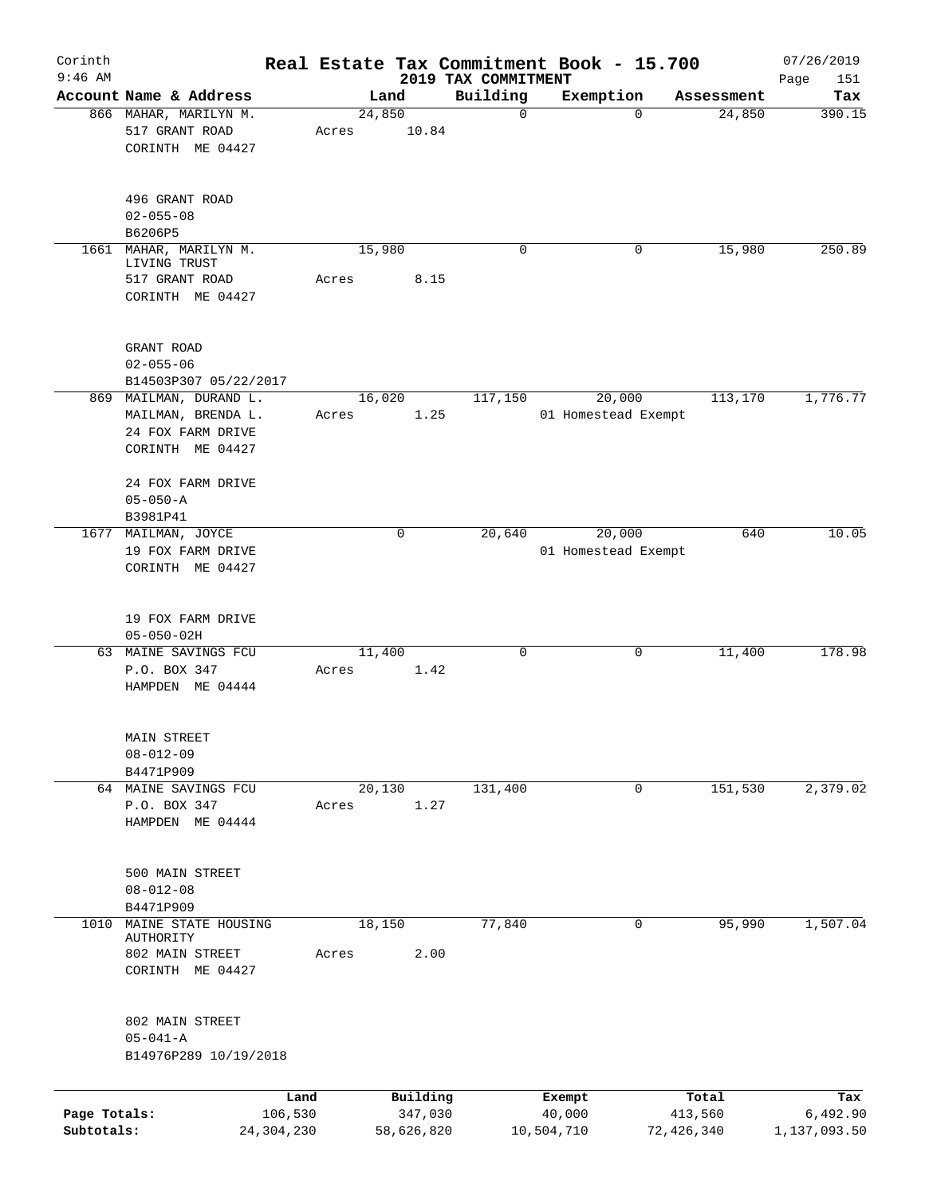| Corinth<br>$9:46$ AM       |                                                                                       |                 |                                   | 2019 TAX COMMITMENT | Real Estate Tax Commitment Book - 15.700 |                                | 07/26/2019<br>151               |
|----------------------------|---------------------------------------------------------------------------------------|-----------------|-----------------------------------|---------------------|------------------------------------------|--------------------------------|---------------------------------|
|                            | Account Name & Address                                                                |                 | Land                              | Building            | Exemption                                | Assessment                     | Page<br>Tax                     |
|                            | 866 MAHAR, MARILYN M.<br>517 GRANT ROAD<br>CORINTH ME 04427                           | 24,850<br>Acres | 10.84                             | $\mathbf 0$         |                                          | 24,850<br>$\Omega$             | 390.15                          |
|                            | 496 GRANT ROAD<br>$02 - 055 - 08$<br>B6206P5                                          |                 |                                   |                     |                                          |                                |                                 |
|                            | 1661 MAHAR, MARILYN M.<br>LIVING TRUST<br>517 GRANT ROAD<br>CORINTH ME 04427          | 15,980<br>Acres | 8.15                              | $\mathbf 0$         |                                          | 15,980<br>0                    | 250.89                          |
|                            | GRANT ROAD<br>$02 - 055 - 06$<br>B14503P307 05/22/2017                                |                 |                                   |                     |                                          |                                |                                 |
|                            | 869 MAILMAN, DURAND L.<br>MAILMAN, BRENDA L.<br>24 FOX FARM DRIVE<br>CORINTH ME 04427 | Acres           | 16,020<br>1.25                    | 117,150             | 20,000<br>01 Homestead Exempt            | 113,170                        | 1,776.77                        |
|                            | 24 FOX FARM DRIVE<br>$05 - 050 - A$<br>B3981P41                                       |                 |                                   |                     |                                          |                                |                                 |
|                            | 1677 MAILMAN, JOYCE<br>19 FOX FARM DRIVE<br>CORINTH ME 04427                          |                 | 0                                 | 20,640              | 20,000<br>01 Homestead Exempt            | 640                            | 10.05                           |
|                            | 19 FOX FARM DRIVE<br>$05 - 050 - 02H$                                                 |                 |                                   |                     |                                          |                                |                                 |
|                            | 63 MAINE SAVINGS FCU<br>P.O. BOX 347<br>HAMPDEN ME 04444                              | 11,400<br>Acres | 1.42                              | $\mathbf 0$         |                                          | 0<br>11,400                    | 178.98                          |
|                            | MAIN STREET<br>$08 - 012 - 09$<br>B4471P909                                           |                 |                                   |                     |                                          |                                |                                 |
|                            | 64 MAINE SAVINGS FCU<br>P.O. BOX 347<br>HAMPDEN ME 04444                              | 20,130<br>Acres | 1.27                              | 131,400             |                                          | 151,530<br>0                   | 2,379.02                        |
|                            | 500 MAIN STREET<br>$08 - 012 - 08$<br>B4471P909                                       |                 |                                   |                     |                                          |                                |                                 |
| 1010                       | MAINE STATE HOUSING<br>AUTHORITY<br>802 MAIN STREET<br>CORINTH ME 04427               | 18,150<br>Acres | 2.00                              | 77,840              |                                          | 95,990<br>0                    | 1,507.04                        |
|                            | 802 MAIN STREET<br>$05 - 041 - A$<br>B14976P289 10/19/2018                            |                 |                                   |                     |                                          |                                |                                 |
| Page Totals:<br>Subtotals: | Land<br>106,530<br>24, 304, 230                                                       |                 | Building<br>347,030<br>58,626,820 |                     | Exempt<br>40,000<br>10,504,710           | Total<br>413,560<br>72,426,340 | Tax<br>6,492.90<br>1,137,093.50 |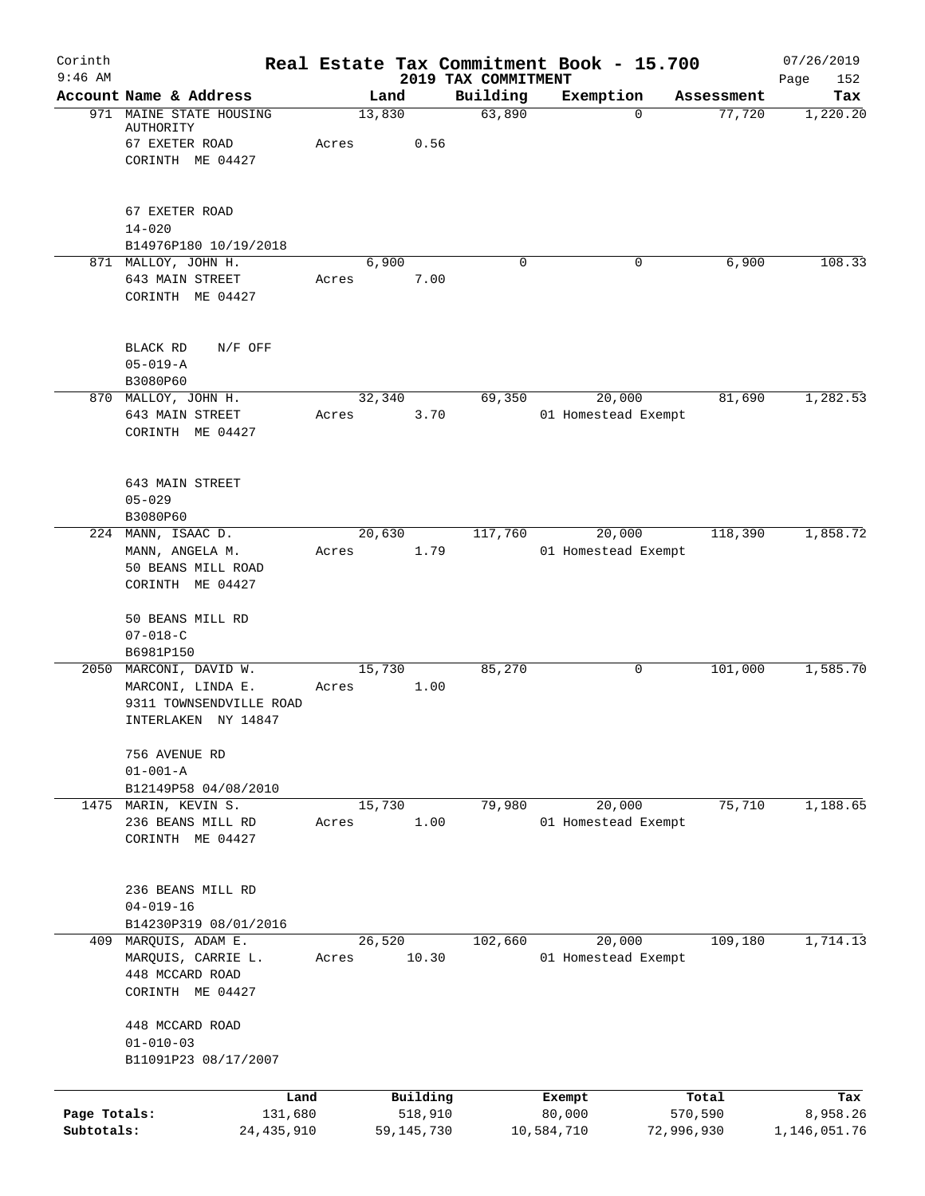| Corinth<br>$9:46$ AM       |                                                                                               |                  |                         |                                 | Real Estate Tax Commitment Book - 15.700 |                       | 07/26/2019               |
|----------------------------|-----------------------------------------------------------------------------------------------|------------------|-------------------------|---------------------------------|------------------------------------------|-----------------------|--------------------------|
|                            | Account Name & Address                                                                        |                  | Land                    | 2019 TAX COMMITMENT<br>Building | Exemption                                | Assessment            | Page<br>152<br>Tax       |
|                            | 971 MAINE STATE HOUSING<br>AUTHORITY<br>67 EXETER ROAD<br>CORINTH ME 04427                    | 13,830<br>Acres  | 0.56                    | 63,890                          |                                          | 77,720<br>$\mathbf 0$ | 1,220.20                 |
|                            | 67 EXETER ROAD<br>$14 - 020$<br>B14976P180 10/19/2018                                         |                  |                         |                                 |                                          |                       |                          |
|                            | 871 MALLOY, JOHN H.<br>643 MAIN STREET<br>CORINTH ME 04427                                    | Acres            | 6,900<br>7.00           | $\Omega$                        |                                          | 6,900<br>0            | 108.33                   |
|                            | BLACK RD<br>$N/F$ OFF<br>$05 - 019 - A$<br>B3080P60                                           |                  |                         |                                 |                                          |                       |                          |
|                            | 870 MALLOY, JOHN H.<br>643 MAIN STREET<br>CORINTH ME 04427                                    | 32, 340<br>Acres | 3.70                    | 69,350                          | 20,000<br>01 Homestead Exempt            | 81,690                | 1,282.53                 |
|                            | 643 MAIN STREET<br>$05 - 029$<br>B3080P60                                                     |                  |                         |                                 |                                          |                       |                          |
|                            | 224 MANN, ISAAC D.<br>MANN, ANGELA M.<br>50 BEANS MILL ROAD<br>CORINTH ME 04427               | 20,630<br>Acres  | 1.79                    | 117,760                         | 20,000<br>01 Homestead Exempt            | 118,390               | 1,858.72                 |
|                            | 50 BEANS MILL RD<br>$07 - 018 - C$<br>B6981P150                                               |                  |                         |                                 |                                          |                       |                          |
|                            | 2050 MARCONI, DAVID W.<br>MARCONI, LINDA E.<br>9311 TOWNSENDVILLE ROAD<br>INTERLAKEN NY 14847 | 15,730<br>Acres  | 1.00                    | 85,270                          |                                          | 101,000<br>0          | 1,585.70                 |
|                            | 756 AVENUE RD<br>$01 - 001 - A$<br>B12149P58 04/08/2010                                       |                  |                         |                                 |                                          |                       |                          |
|                            | 1475 MARIN, KEVIN S.<br>236 BEANS MILL RD<br>CORINTH ME 04427                                 | 15,730<br>Acres  | 1.00                    | 79,980                          | 20,000<br>01 Homestead Exempt            | 75,710                | 1,188.65                 |
|                            | 236 BEANS MILL RD<br>$04 - 019 - 16$<br>B14230P319 08/01/2016                                 |                  |                         |                                 |                                          |                       |                          |
|                            | 409 MARQUIS, ADAM E.<br>MARQUIS, CARRIE L.<br>448 MCCARD ROAD<br>CORINTH ME 04427             | 26,520<br>Acres  | 10.30                   | 102,660                         | 20,000<br>01 Homestead Exempt            | 109,180               | 1,714.13                 |
|                            | 448 MCCARD ROAD<br>$01 - 010 - 03$<br>B11091P23 08/17/2007                                    |                  |                         |                                 |                                          |                       |                          |
|                            |                                                                                               | Land             | Building                |                                 | Exempt                                   | Total                 | Tax                      |
| Page Totals:<br>Subtotals: | 131,680<br>24,435,910                                                                         |                  | 518,910<br>59, 145, 730 |                                 | 80,000<br>10,584,710                     | 570,590<br>72,996,930 | 8,958.26<br>1,146,051.76 |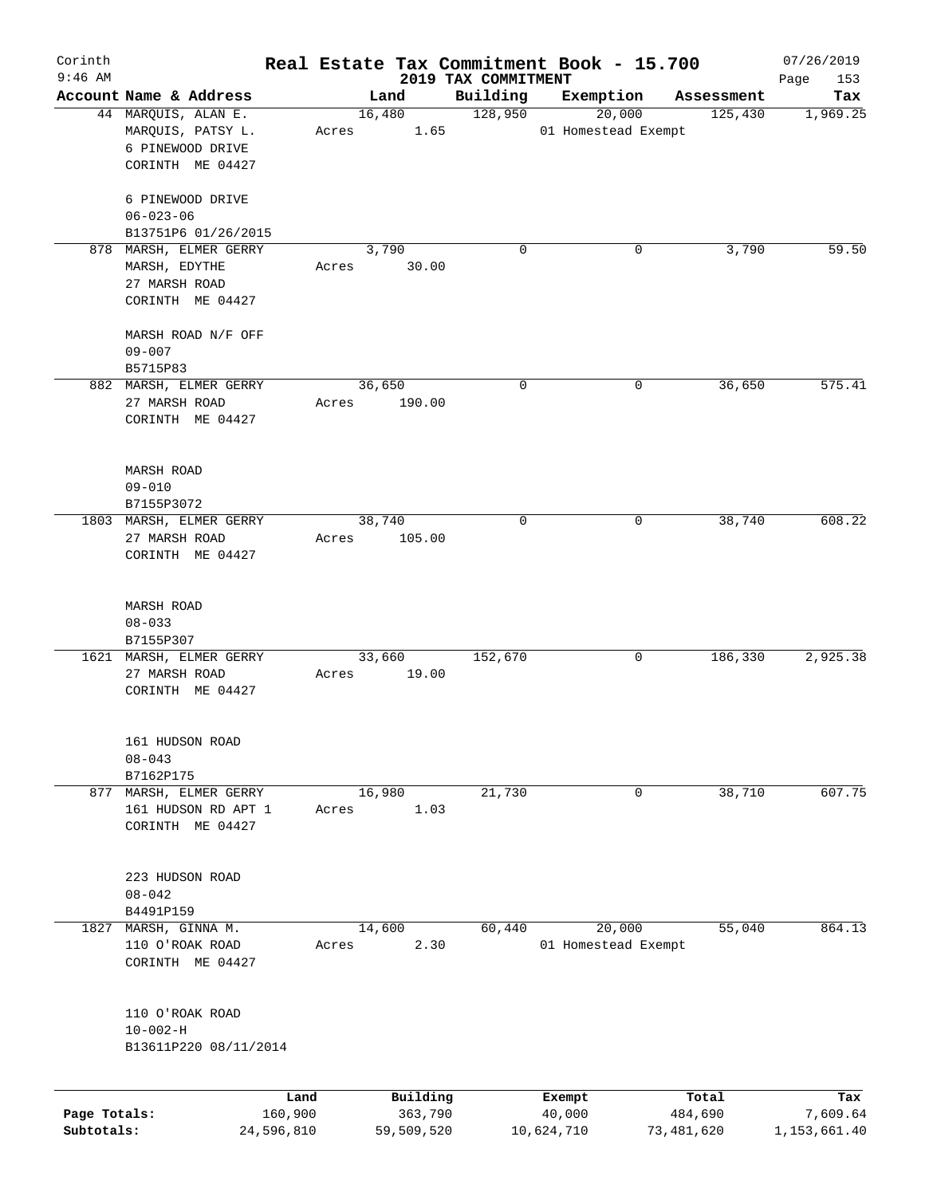| Corinth      |                                      |                 |       |        |                     |                                 |          | Real Estate Tax Commitment Book - 15.700 |            |                  | 07/26/2019         |
|--------------|--------------------------------------|-----------------|-------|--------|---------------------|---------------------------------|----------|------------------------------------------|------------|------------------|--------------------|
| $9:46$ AM    | Account Name & Address               |                 |       | Land   |                     | 2019 TAX COMMITMENT<br>Building |          | Exemption                                |            | Assessment       | Page<br>153<br>Tax |
|              | 44 MARQUIS, ALAN E.                  |                 |       | 16,480 |                     | 128,950                         |          | 20,000                                   |            | 125,430          | 1,969.25           |
|              | MARQUIS, PATSY L.                    |                 | Acres |        | 1.65                |                                 |          | 01 Homestead Exempt                      |            |                  |                    |
|              | 6 PINEWOOD DRIVE<br>CORINTH ME 04427 |                 |       |        |                     |                                 |          |                                          |            |                  |                    |
|              | 6 PINEWOOD DRIVE                     |                 |       |        |                     |                                 |          |                                          |            |                  |                    |
|              | $06 - 023 - 06$                      |                 |       |        |                     |                                 |          |                                          |            |                  |                    |
|              | B13751P6 01/26/2015                  |                 |       |        |                     |                                 |          |                                          |            |                  |                    |
|              | 878 MARSH, ELMER GERRY               |                 |       | 3,790  |                     |                                 | $\Omega$ | 0                                        |            | 3,790            | 59.50              |
|              | MARSH, EDYTHE                        |                 | Acres |        | 30.00               |                                 |          |                                          |            |                  |                    |
|              | 27 MARSH ROAD                        |                 |       |        |                     |                                 |          |                                          |            |                  |                    |
|              | CORINTH ME 04427                     |                 |       |        |                     |                                 |          |                                          |            |                  |                    |
|              | MARSH ROAD N/F OFF                   |                 |       |        |                     |                                 |          |                                          |            |                  |                    |
|              | $09 - 007$                           |                 |       |        |                     |                                 |          |                                          |            |                  |                    |
|              | B5715P83                             |                 |       |        |                     |                                 |          |                                          |            |                  |                    |
|              | 882 MARSH, ELMER GERRY               |                 |       | 36,650 |                     |                                 | 0        | 0                                        |            | 36,650           | 575.41             |
|              | 27 MARSH ROAD<br>CORINTH ME 04427    |                 | Acres |        | 190.00              |                                 |          |                                          |            |                  |                    |
|              |                                      |                 |       |        |                     |                                 |          |                                          |            |                  |                    |
|              | MARSH ROAD                           |                 |       |        |                     |                                 |          |                                          |            |                  |                    |
|              | $09 - 010$                           |                 |       |        |                     |                                 |          |                                          |            |                  |                    |
|              | B7155P3072                           |                 |       |        |                     |                                 |          |                                          |            |                  |                    |
|              | 1803 MARSH, ELMER GERRY              |                 |       | 38,740 |                     |                                 | 0        | 0                                        |            | 38,740           | 608.22             |
|              | 27 MARSH ROAD                        |                 | Acres |        | 105.00              |                                 |          |                                          |            |                  |                    |
|              | CORINTH ME 04427                     |                 |       |        |                     |                                 |          |                                          |            |                  |                    |
|              | MARSH ROAD                           |                 |       |        |                     |                                 |          |                                          |            |                  |                    |
|              | $08 - 033$                           |                 |       |        |                     |                                 |          |                                          |            |                  |                    |
|              | B7155P307                            |                 |       |        |                     |                                 |          |                                          |            |                  |                    |
|              | 1621 MARSH, ELMER GERRY              |                 |       | 33,660 |                     | 152,670                         |          | 0                                        |            | 186,330          | 2,925.38           |
|              | 27 MARSH ROAD                        |                 | Acres |        | 19.00               |                                 |          |                                          |            |                  |                    |
|              | CORINTH ME 04427                     |                 |       |        |                     |                                 |          |                                          |            |                  |                    |
|              | 161 HUDSON ROAD                      |                 |       |        |                     |                                 |          |                                          |            |                  |                    |
|              | $08 - 043$                           |                 |       |        |                     |                                 |          |                                          |            |                  |                    |
|              | B7162P175                            |                 |       |        |                     |                                 |          |                                          |            |                  |                    |
|              | 877 MARSH, ELMER GERRY               |                 |       | 16,980 |                     | 21,730                          |          | 0                                        |            | 38,710           | 607.75             |
|              | 161 HUDSON RD APT 1                  |                 | Acres |        | 1.03                |                                 |          |                                          |            |                  |                    |
|              | CORINTH ME 04427                     |                 |       |        |                     |                                 |          |                                          |            |                  |                    |
|              | 223 HUDSON ROAD                      |                 |       |        |                     |                                 |          |                                          |            |                  |                    |
|              | $08 - 042$                           |                 |       |        |                     |                                 |          |                                          |            |                  |                    |
|              | B4491P159                            |                 |       |        |                     |                                 |          |                                          |            |                  |                    |
| 1827         | MARSH, GINNA M.                      |                 |       | 14,600 |                     | 60,440                          |          | 20,000                                   |            | 55,040           | 864.13             |
|              | 110 O'ROAK ROAD                      |                 | Acres |        | 2.30                |                                 |          | 01 Homestead Exempt                      |            |                  |                    |
|              | CORINTH ME 04427                     |                 |       |        |                     |                                 |          |                                          |            |                  |                    |
|              | 110 O'ROAK ROAD                      |                 |       |        |                     |                                 |          |                                          |            |                  |                    |
|              | $10 - 002 - H$                       |                 |       |        |                     |                                 |          |                                          |            |                  |                    |
|              | B13611P220 08/11/2014                |                 |       |        |                     |                                 |          |                                          |            |                  |                    |
|              |                                      |                 |       |        |                     |                                 |          |                                          |            |                  |                    |
| Page Totals: |                                      | Land<br>160,900 |       |        | Building<br>363,790 |                                 |          | Exempt<br>40,000                         |            | Total<br>484,690 | Tax<br>7,609.64    |
| Subtotals:   |                                      | 24,596,810      |       |        | 59,509,520          |                                 |          | 10,624,710                               | 73,481,620 |                  | 1, 153, 661.40     |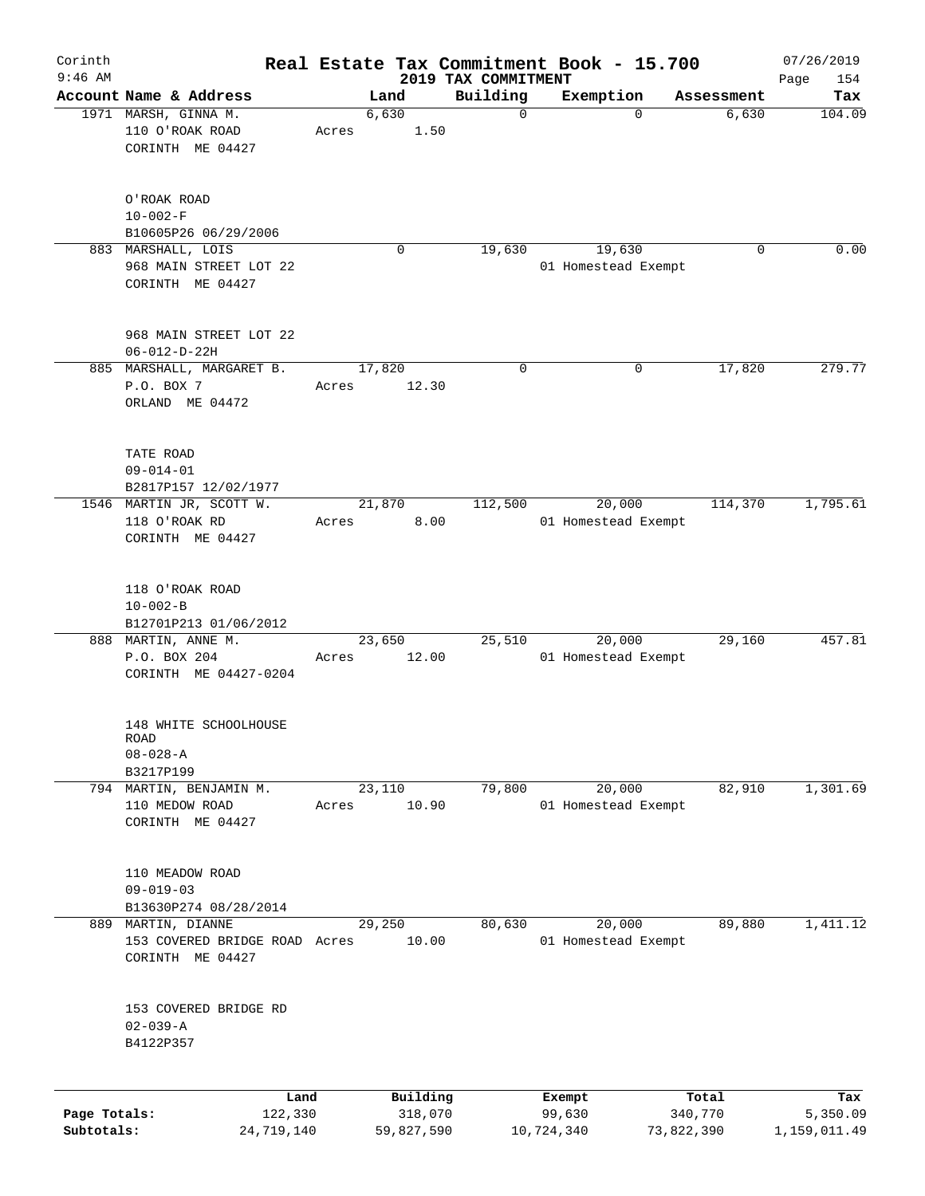| Corinth<br>$9:46$ AM       |                                                                         |                 |                                   | 2019 TAX COMMITMENT | Real Estate Tax Commitment Book - 15.700 |                                | 07/26/2019<br>154               |
|----------------------------|-------------------------------------------------------------------------|-----------------|-----------------------------------|---------------------|------------------------------------------|--------------------------------|---------------------------------|
|                            | Account Name & Address                                                  |                 | Land                              | Building            | Exemption                                | Assessment                     | Page<br>Tax                     |
|                            | 1971 MARSH, GINNA M.<br>110 O'ROAK ROAD<br>CORINTH ME 04427             | Acres           | 6,630<br>1.50                     | $\mathbf 0$         | $\mathbf 0$                              | 6,630                          | 104.09                          |
|                            | O'ROAK ROAD<br>$10 - 002 - F$<br>B10605P26 06/29/2006                   |                 |                                   |                     |                                          |                                |                                 |
|                            | 883 MARSHALL, LOIS<br>968 MAIN STREET LOT 22<br>CORINTH ME 04427        |                 | 0                                 | 19,630              | 19,630<br>01 Homestead Exempt            | 0                              | 0.00                            |
|                            | 968 MAIN STREET LOT 22<br>$06 - 012 - D - 22H$                          |                 |                                   |                     |                                          |                                |                                 |
|                            | 885 MARSHALL, MARGARET B.<br>P.O. BOX 7<br>ORLAND ME 04472              | 17,820<br>Acres | 12.30                             | 0                   | 0                                        | 17,820                         | 279.77                          |
|                            | TATE ROAD<br>$09 - 014 - 01$<br>B2817P157 12/02/1977                    |                 |                                   |                     |                                          |                                |                                 |
|                            | 1546 MARTIN JR, SCOTT W.<br>118 O'ROAK RD<br>CORINTH ME 04427           | Acres           | 21,870<br>8.00                    | 112,500             | 20,000<br>01 Homestead Exempt            | 114,370                        | 1,795.61                        |
|                            | 118 O'ROAK ROAD<br>$10 - 002 - B$<br>B12701P213 01/06/2012              |                 |                                   |                     |                                          |                                |                                 |
|                            | 888 MARTIN, ANNE M.<br>P.O. BOX 204<br>CORINTH ME 04427-0204            | Acres           | 23,650<br>12.00                   | 25,510              | 20,000<br>01 Homestead Exempt            | 29,160                         | 457.81                          |
|                            | 148 WHITE SCHOOLHOUSE<br>ROAD<br>$08 - 028 - A$<br>B3217P199            |                 |                                   |                     |                                          |                                |                                 |
|                            | 794 MARTIN, BENJAMIN M.<br>110 MEDOW ROAD<br>CORINTH ME 04427           | Acres           | 23,110<br>10.90                   | 79,800              | 20,000<br>01 Homestead Exempt            | 82,910                         | 1,301.69                        |
|                            | 110 MEADOW ROAD<br>$09 - 019 - 03$<br>B13630P274 08/28/2014             |                 |                                   |                     |                                          |                                |                                 |
|                            | 889 MARTIN, DIANNE<br>153 COVERED BRIDGE ROAD Acres<br>CORINTH ME 04427 |                 | 29,250<br>10.00                   | 80,630              | 20,000<br>01 Homestead Exempt            | 89,880                         | 1,411.12                        |
|                            | 153 COVERED BRIDGE RD<br>$02 - 039 - A$<br>B4122P357                    |                 |                                   |                     |                                          |                                |                                 |
| Page Totals:<br>Subtotals: | Land<br>122,330<br>24,719,140                                           |                 | Building<br>318,070<br>59,827,590 |                     | Exempt<br>99,630<br>10,724,340           | Total<br>340,770<br>73,822,390 | Tax<br>5,350.09<br>1,159,011.49 |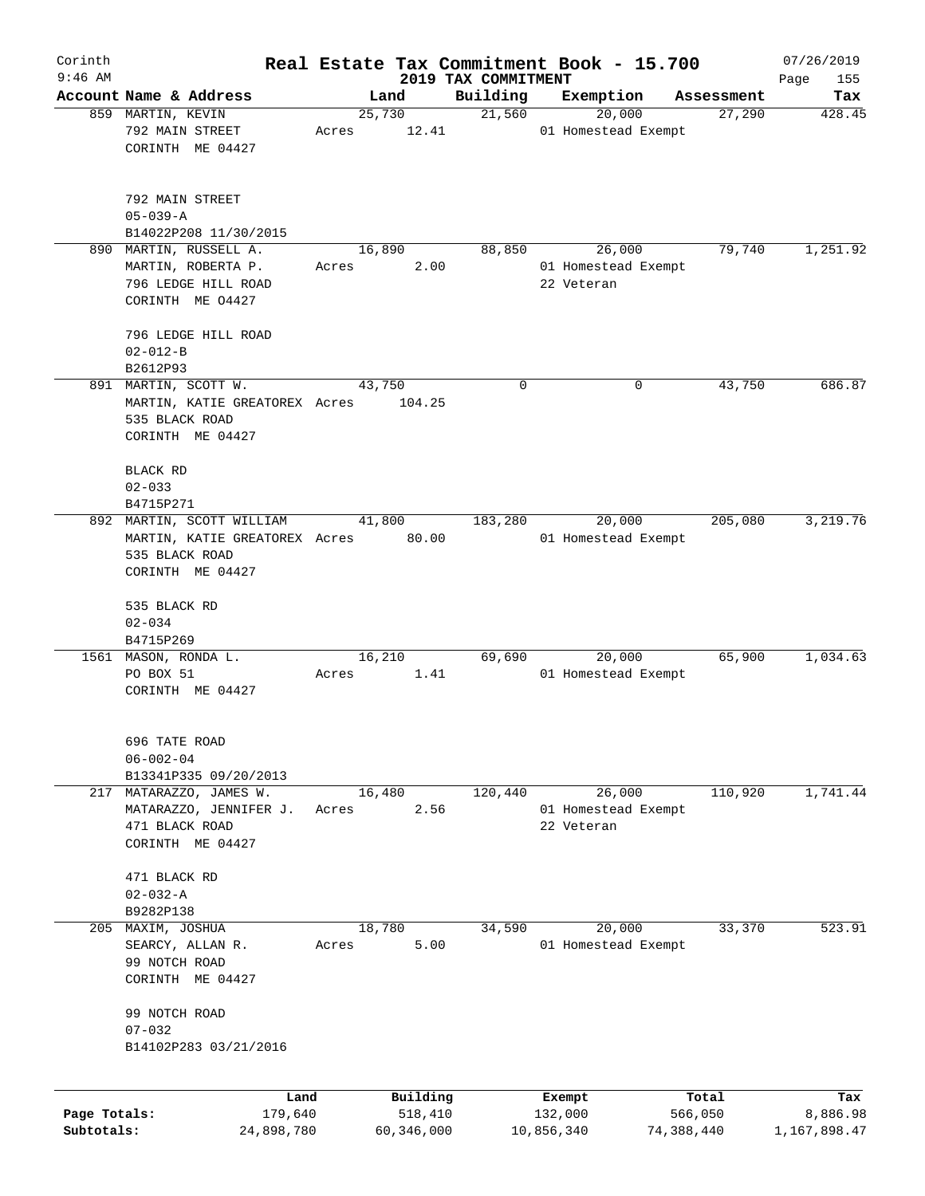| Corinth                    |                                                                                             |                 |                       |                                 | Real Estate Tax Commitment Book - 15.700    |                       | 07/26/2019               |
|----------------------------|---------------------------------------------------------------------------------------------|-----------------|-----------------------|---------------------------------|---------------------------------------------|-----------------------|--------------------------|
| $9:46$ AM                  | Account Name & Address                                                                      |                 | Land                  | 2019 TAX COMMITMENT<br>Building | Exemption                                   |                       | Page<br>155<br>Tax       |
|                            | 859 MARTIN, KEVIN                                                                           | 25,730          |                       | 21,560                          | 20,000                                      | Assessment<br>27,290  | 428.45                   |
|                            | 792 MAIN STREET<br>CORINTH ME 04427                                                         | Acres           | 12.41                 |                                 | 01 Homestead Exempt                         |                       |                          |
|                            | 792 MAIN STREET<br>$05 - 039 - A$                                                           |                 |                       |                                 |                                             |                       |                          |
|                            | B14022P208 11/30/2015                                                                       |                 |                       |                                 |                                             |                       |                          |
|                            | 890 MARTIN, RUSSELL A.<br>MARTIN, ROBERTA P.<br>796 LEDGE HILL ROAD<br>CORINTH ME 04427     | 16,890<br>Acres | 2.00                  | 88,850                          | 26,000<br>01 Homestead Exempt<br>22 Veteran | 79,740                | 1,251.92                 |
|                            | 796 LEDGE HILL ROAD                                                                         |                 |                       |                                 |                                             |                       |                          |
|                            | $02 - 012 - B$                                                                              |                 |                       |                                 |                                             |                       |                          |
|                            | B2612P93                                                                                    |                 |                       |                                 |                                             |                       |                          |
|                            | 891 MARTIN, SCOTT W.<br>MARTIN, KATIE GREATOREX Acres<br>535 BLACK ROAD<br>CORINTH ME 04427 | 43,750          | 104.25                | 0                               | 0                                           | 43,750                | 686.87                   |
|                            |                                                                                             |                 |                       |                                 |                                             |                       |                          |
|                            | BLACK RD<br>$02 - 033$                                                                      |                 |                       |                                 |                                             |                       |                          |
|                            | B4715P271                                                                                   |                 |                       |                                 |                                             |                       |                          |
|                            | 892 MARTIN, SCOTT WILLIAM                                                                   | 41,800          |                       | 183,280                         | 20,000                                      | 205,080               | 3,219.76                 |
|                            | MARTIN, KATIE GREATOREX Acres 80.00<br>535 BLACK ROAD                                       |                 |                       |                                 | 01 Homestead Exempt                         |                       |                          |
|                            | CORINTH ME 04427                                                                            |                 |                       |                                 |                                             |                       |                          |
|                            | 535 BLACK RD<br>$02 - 034$                                                                  |                 |                       |                                 |                                             |                       |                          |
|                            | B4715P269<br>1561 MASON, RONDA L.                                                           | 16,210          |                       | 69,690                          | 20,000                                      | 65,900                | 1,034.63                 |
|                            | PO BOX 51<br>CORINTH ME 04427                                                               | Acres           | 1.41                  |                                 | 01 Homestead Exempt                         |                       |                          |
|                            | 696 TATE ROAD<br>$06 - 002 - 04$<br>B13341P335 09/20/2013                                   |                 |                       |                                 |                                             |                       |                          |
|                            | 217 MATARAZZO, JAMES W.                                                                     | 16,480          |                       | 120,440                         | 26,000                                      | 110,920               | 1,741.44                 |
|                            | MATARAZZO, JENNIFER J.<br>471 BLACK ROAD<br>CORINTH ME 04427                                | Acres           | 2.56                  |                                 | 01 Homestead Exempt<br>22 Veteran           |                       |                          |
|                            | 471 BLACK RD<br>$02 - 032 - A$                                                              |                 |                       |                                 |                                             |                       |                          |
|                            | B9282P138                                                                                   |                 |                       |                                 |                                             |                       |                          |
| 205                        | MAXIM, JOSHUA<br>SEARCY, ALLAN R.                                                           | 18,780<br>Acres | 5.00                  | 34,590                          | 20,000<br>01 Homestead Exempt               | 33,370                | 523.91                   |
|                            | 99 NOTCH ROAD<br>CORINTH ME 04427                                                           |                 |                       |                                 |                                             |                       |                          |
|                            | 99 NOTCH ROAD<br>$07 - 032$                                                                 |                 |                       |                                 |                                             |                       |                          |
|                            | B14102P283 03/21/2016                                                                       |                 |                       |                                 |                                             |                       |                          |
|                            | Land                                                                                        |                 | Building              |                                 | Exempt                                      | Total                 | Tax                      |
| Page Totals:<br>Subtotals: | 179,640<br>24,898,780                                                                       |                 | 518,410<br>60,346,000 |                                 | 132,000<br>10,856,340                       | 566,050<br>74,388,440 | 8,886.98<br>1,167,898.47 |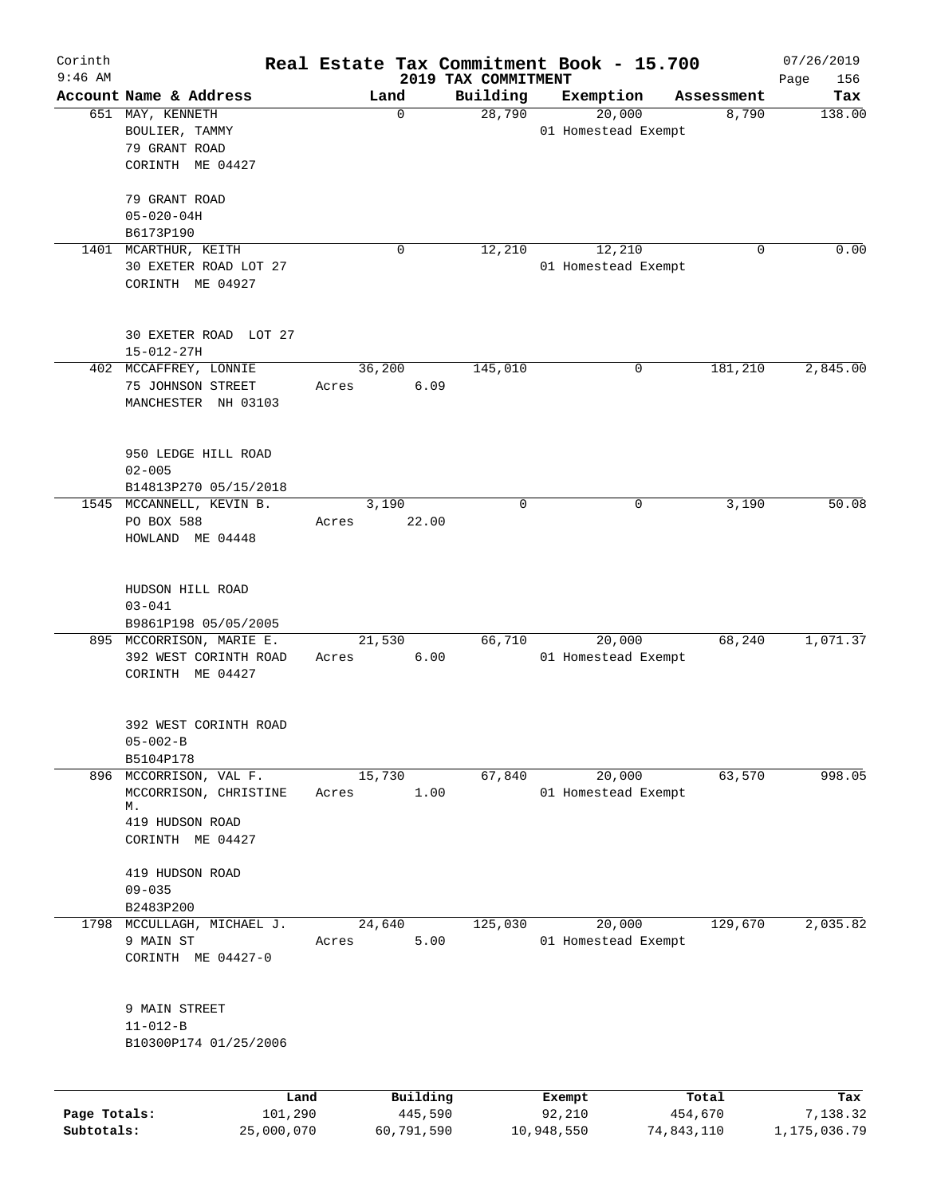| Corinth<br>$9:46$ AM |                                                                                              |                 |                     | 2019 TAX COMMITMENT | Real Estate Tax Commitment Book - 15.700 |                  | 07/26/2019<br>156<br>Page |
|----------------------|----------------------------------------------------------------------------------------------|-----------------|---------------------|---------------------|------------------------------------------|------------------|---------------------------|
|                      | Account Name & Address                                                                       | Land            |                     | Building            | Exemption                                | Assessment       | Tax                       |
|                      | 651 MAY, KENNETH<br>BOULIER, TAMMY<br>79 GRANT ROAD<br>CORINTH ME 04427                      |                 | $\mathbf 0$         | 28,790              | 20,000<br>01 Homestead Exempt            | 8,790            | 138.00                    |
|                      | 79 GRANT ROAD<br>$05 - 020 - 04H$<br>B6173P190                                               |                 |                     |                     |                                          |                  |                           |
| 1401                 | MCARTHUR, KEITH<br>30 EXETER ROAD LOT 27<br>CORINTH ME 04927                                 |                 | 0                   | 12,210              | 12,210<br>01 Homestead Exempt            | $\mathbf 0$      | 0.00                      |
|                      | 30 EXETER ROAD LOT 27<br>$15 - 012 - 27H$                                                    |                 |                     |                     |                                          |                  |                           |
|                      | 402 MCCAFFREY, LONNIE<br>75 JOHNSON STREET<br>MANCHESTER NH 03103                            | 36,200<br>Acres | 6.09                | 145,010             |                                          | 181,210<br>0     | 2,845.00                  |
|                      | 950 LEDGE HILL ROAD<br>$02 - 005$<br>B14813P270 05/15/2018                                   |                 |                     |                     |                                          |                  |                           |
|                      | 1545 MCCANNELL, KEVIN B.<br>PO BOX 588<br>HOWLAND ME 04448                                   | 3,190<br>Acres  | 22.00               | 0                   |                                          | 3,190<br>0       | 50.08                     |
|                      | HUDSON HILL ROAD<br>$03 - 041$<br>B9861P198 05/05/2005                                       |                 |                     |                     |                                          |                  |                           |
|                      | 895 MCCORRISON, MARIE E.<br>392 WEST CORINTH ROAD<br>CORINTH ME 04427                        | 21,530<br>Acres | 6.00                | 66,710              | 20,000<br>01 Homestead Exempt            | 68,240           | 1,071.37                  |
|                      | 392 WEST CORINTH ROAD<br>$05 - 002 - B$<br>B5104P178                                         |                 |                     |                     |                                          |                  |                           |
|                      | 896 MCCORRISON, VAL F.<br>MCCORRISON, CHRISTINE<br>М.<br>419 HUDSON ROAD<br>CORINTH ME 04427 | 15,730<br>Acres | 1.00                | 67,840              | 20,000<br>01 Homestead Exempt            | 63,570           | 998.05                    |
|                      | 419 HUDSON ROAD<br>$09 - 035$<br>B2483P200                                                   |                 |                     |                     |                                          |                  |                           |
|                      | 1798 MCCULLAGH, MICHAEL J.<br>9 MAIN ST<br>CORINTH ME 04427-0                                | 24,640<br>Acres | 5.00                | 125,030             | 20,000<br>01 Homestead Exempt            | 129,670          | 2,035.82                  |
|                      | 9 MAIN STREET<br>$11 - 012 - B$<br>B10300P174 01/25/2006                                     |                 |                     |                     |                                          |                  |                           |
|                      |                                                                                              |                 |                     |                     |                                          |                  |                           |
| Page Totals:         | Land<br>101,290                                                                              |                 | Building<br>445,590 |                     | Exempt<br>92,210                         | Total<br>454,670 | Tax<br>7,138.32           |

**Subtotals:** 25,000,070 60,791,590 10,948,550 74,843,110 1,175,036.79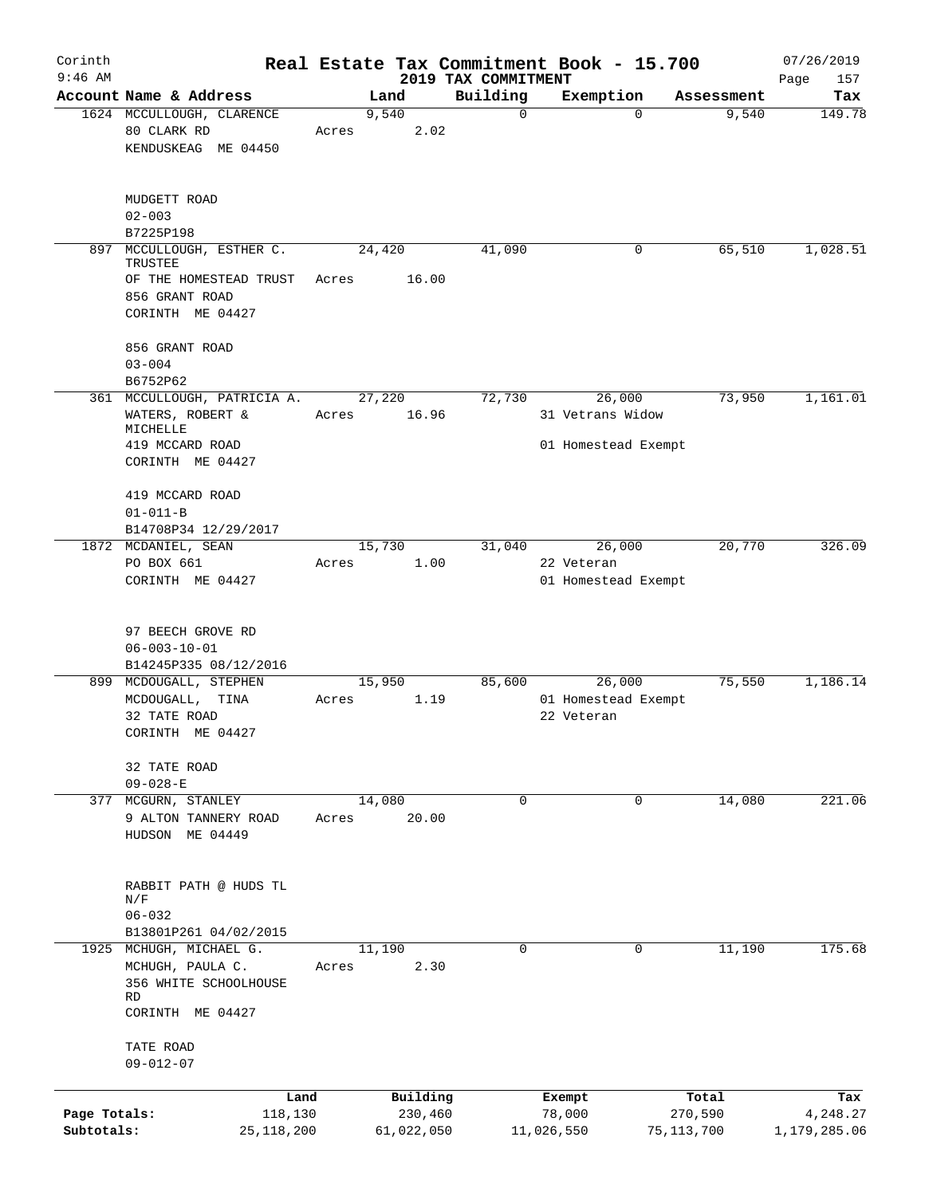| Corinth                    |                                                                            |                          |                                 | Real Estate Tax Commitment Book - 15.700 |                       | 07/26/2019               |
|----------------------------|----------------------------------------------------------------------------|--------------------------|---------------------------------|------------------------------------------|-----------------------|--------------------------|
| $9:46$ AM                  | Account Name & Address                                                     | Land                     | 2019 TAX COMMITMENT<br>Building | Exemption                                | Assessment            | Page<br>157<br>Tax       |
|                            | 1624 MCCULLOUGH, CLARENCE<br>80 CLARK RD<br>KENDUSKEAG ME 04450            | 9,540<br>2.02<br>Acres   | $\mathbf 0$                     | $\Omega$                                 | 9,540                 | 149.78                   |
|                            | MUDGETT ROAD<br>$02 - 003$<br>B7225P198                                    |                          |                                 |                                          |                       |                          |
| 897                        | MCCULLOUGH, ESTHER C.<br>TRUSTEE<br>OF THE HOMESTEAD TRUST                 | 24,420<br>16.00<br>Acres | 41,090                          | 0                                        | 65,510                | 1,028.51                 |
|                            | 856 GRANT ROAD<br>CORINTH ME 04427                                         |                          |                                 |                                          |                       |                          |
|                            | 856 GRANT ROAD<br>$03 - 004$<br>B6752P62                                   |                          |                                 |                                          |                       |                          |
|                            | 361 MCCULLOUGH, PATRICIA A.<br>WATERS, ROBERT &<br>MICHELLE                | 27,220<br>16.96<br>Acres | 72,730                          | 26,000<br>31 Vetrans Widow               | 73,950                | 1,161.01                 |
|                            | 419 MCCARD ROAD<br>CORINTH ME 04427                                        |                          |                                 | 01 Homestead Exempt                      |                       |                          |
|                            | 419 MCCARD ROAD<br>$01 - 011 - B$                                          |                          |                                 |                                          |                       |                          |
|                            | B14708P34 12/29/2017                                                       |                          |                                 |                                          |                       |                          |
|                            | 1872 MCDANIEL, SEAN                                                        | 15,730                   | 31,040                          | 26,000                                   | 20,770                | 326.09                   |
|                            | PO BOX 661<br>CORINTH ME 04427                                             | Acres<br>1.00            |                                 | 22 Veteran<br>01 Homestead Exempt        |                       |                          |
|                            | 97 BEECH GROVE RD<br>$06 - 003 - 10 - 01$<br>B14245P335 08/12/2016         |                          |                                 |                                          |                       |                          |
|                            | 899 MCDOUGALL, STEPHEN                                                     | 15,950                   | 85,600                          | 26,000                                   | 75,550                | 1,186.14                 |
|                            | MCDOUGALL, TINA<br>32 TATE ROAD<br>CORINTH ME 04427                        | Acres<br>1.19            |                                 | 01 Homestead Exempt<br>22 Veteran        |                       |                          |
|                            | 32 TATE ROAD<br>$09 - 028 - E$                                             |                          |                                 |                                          |                       |                          |
|                            | 377 MCGURN, STANLEY<br>9 ALTON TANNERY ROAD<br>HUDSON ME 04449             | 14,080<br>20.00<br>Acres | $\Omega$                        | 0                                        | 14,080                | 221.06                   |
|                            | RABBIT PATH @ HUDS TL<br>N/F<br>$06 - 032$                                 |                          |                                 |                                          |                       |                          |
|                            | B13801P261 04/02/2015                                                      |                          |                                 |                                          |                       |                          |
|                            | 1925 MCHUGH, MICHAEL G.<br>MCHUGH, PAULA C.<br>356 WHITE SCHOOLHOUSE<br>RD | 11,190<br>2.30<br>Acres  | $\mathbf 0$                     | 0                                        | 11,190                | 175.68                   |
|                            | CORINTH ME 04427                                                           |                          |                                 |                                          |                       |                          |
|                            | TATE ROAD<br>$09 - 012 - 07$                                               |                          |                                 |                                          |                       |                          |
|                            | Land                                                                       | Building                 |                                 | Exempt                                   | Total                 | Tax                      |
| Page Totals:<br>Subtotals: | 118,130<br>25,118,200                                                      | 230,460<br>61,022,050    |                                 | 78,000<br>11,026,550                     | 270,590<br>75,113,700 | 4,248.27<br>1,179,285.06 |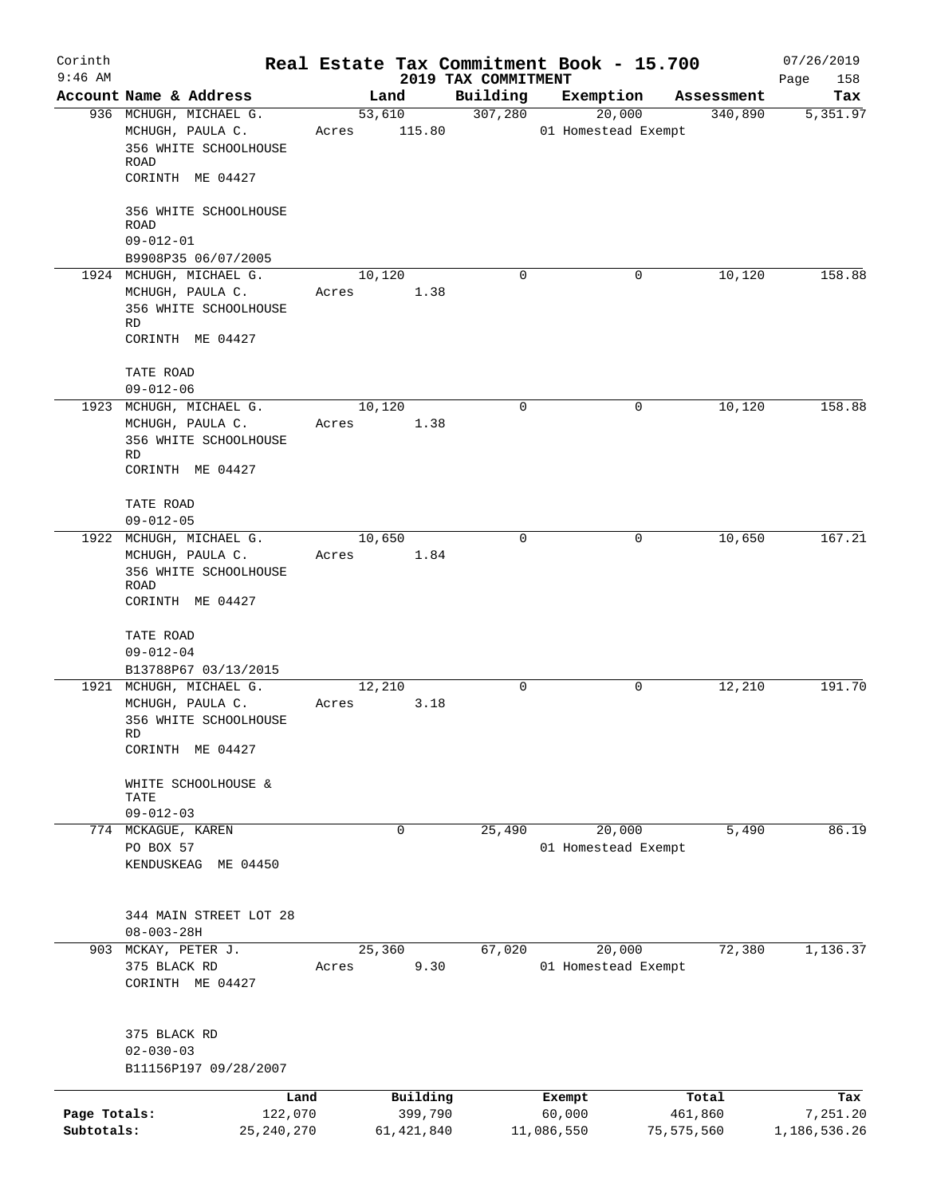| Corinth                    |                                                                                                  |                 |                         |                                 | Real Estate Tax Commitment Book - 15.700 |                       | 07/26/2019               |
|----------------------------|--------------------------------------------------------------------------------------------------|-----------------|-------------------------|---------------------------------|------------------------------------------|-----------------------|--------------------------|
| $9:46$ AM                  | Account Name & Address                                                                           |                 | Land                    | 2019 TAX COMMITMENT<br>Building | Exemption                                |                       | Page<br>158<br>Tax       |
|                            | 936 MCHUGH, MICHAEL G.                                                                           |                 | 53,610                  | 307,280                         | 20,000                                   | Assessment<br>340,890 | 5,351.97                 |
|                            | MCHUGH, PAULA C.<br>356 WHITE SCHOOLHOUSE<br>ROAD<br>CORINTH ME 04427                            | Acres           | 115.80                  |                                 | 01 Homestead Exempt                      |                       |                          |
|                            | 356 WHITE SCHOOLHOUSE<br><b>ROAD</b><br>$09 - 012 - 01$                                          |                 |                         |                                 |                                          |                       |                          |
|                            | B9908P35 06/07/2005<br>1924 MCHUGH, MICHAEL G.                                                   | 10,120          |                         | 0                               | 0                                        | 10,120                | 158.88                   |
|                            | MCHUGH, PAULA C.<br>356 WHITE SCHOOLHOUSE<br>RD<br>CORINTH ME 04427                              | Acres           | 1.38                    |                                 |                                          |                       |                          |
|                            | TATE ROAD<br>$09 - 012 - 06$                                                                     |                 |                         |                                 |                                          |                       |                          |
|                            | 1923 MCHUGH, MICHAEL G.                                                                          | 10,120          |                         | $\mathbf 0$                     | 0                                        | 10,120                | 158.88                   |
|                            | MCHUGH, PAULA C.<br>356 WHITE SCHOOLHOUSE<br>RD<br>CORINTH ME 04427                              | Acres           | 1.38                    |                                 |                                          |                       |                          |
|                            | TATE ROAD<br>$09 - 012 - 05$                                                                     |                 |                         |                                 |                                          |                       |                          |
|                            | 1922 MCHUGH, MICHAEL G.<br>MCHUGH, PAULA C.<br>356 WHITE SCHOOLHOUSE<br>ROAD<br>CORINTH ME 04427 | 10,650<br>Acres | 1.84                    | 0                               | 0                                        | 10,650                | 167.21                   |
|                            | TATE ROAD<br>$09 - 012 - 04$<br>B13788P67 03/13/2015                                             |                 |                         |                                 |                                          |                       |                          |
|                            | 1921 MCHUGH, MICHAEL G.                                                                          | 12,210          |                         | $\mathbf 0$                     | 0                                        | 12,210                | 191.70                   |
|                            | MCHUGH, PAULA C.<br>356 WHITE SCHOOLHOUSE<br>RD<br>CORINTH ME 04427                              | Acres           | 3.18                    |                                 |                                          |                       |                          |
|                            | WHITE SCHOOLHOUSE &<br>TATE<br>$09 - 012 - 03$                                                   |                 |                         |                                 |                                          |                       |                          |
|                            | 774 MCKAGUE, KAREN<br>PO BOX 57<br>KENDUSKEAG ME 04450                                           |                 | $\mathbf 0$             | 25,490                          | 20,000<br>01 Homestead Exempt            | 5,490                 | 86.19                    |
|                            | 344 MAIN STREET LOT 28<br>$08 - 003 - 28H$                                                       |                 |                         |                                 |                                          |                       |                          |
| 903                        | MCKAY, PETER J.<br>375 BLACK RD<br>CORINTH ME 04427                                              | 25,360<br>Acres | 9.30                    | 67,020                          | 20,000<br>01 Homestead Exempt            | 72,380                | 1,136.37                 |
|                            | 375 BLACK RD<br>$02 - 030 - 03$<br>B11156P197 09/28/2007                                         |                 |                         |                                 |                                          |                       |                          |
|                            | Land                                                                                             |                 | Building                |                                 | Exempt                                   | Total                 | Tax                      |
| Page Totals:<br>Subtotals: | 122,070<br>25, 240, 270                                                                          |                 | 399,790<br>61, 421, 840 |                                 | 60,000<br>11,086,550                     | 461,860<br>75,575,560 | 7,251.20<br>1,186,536.26 |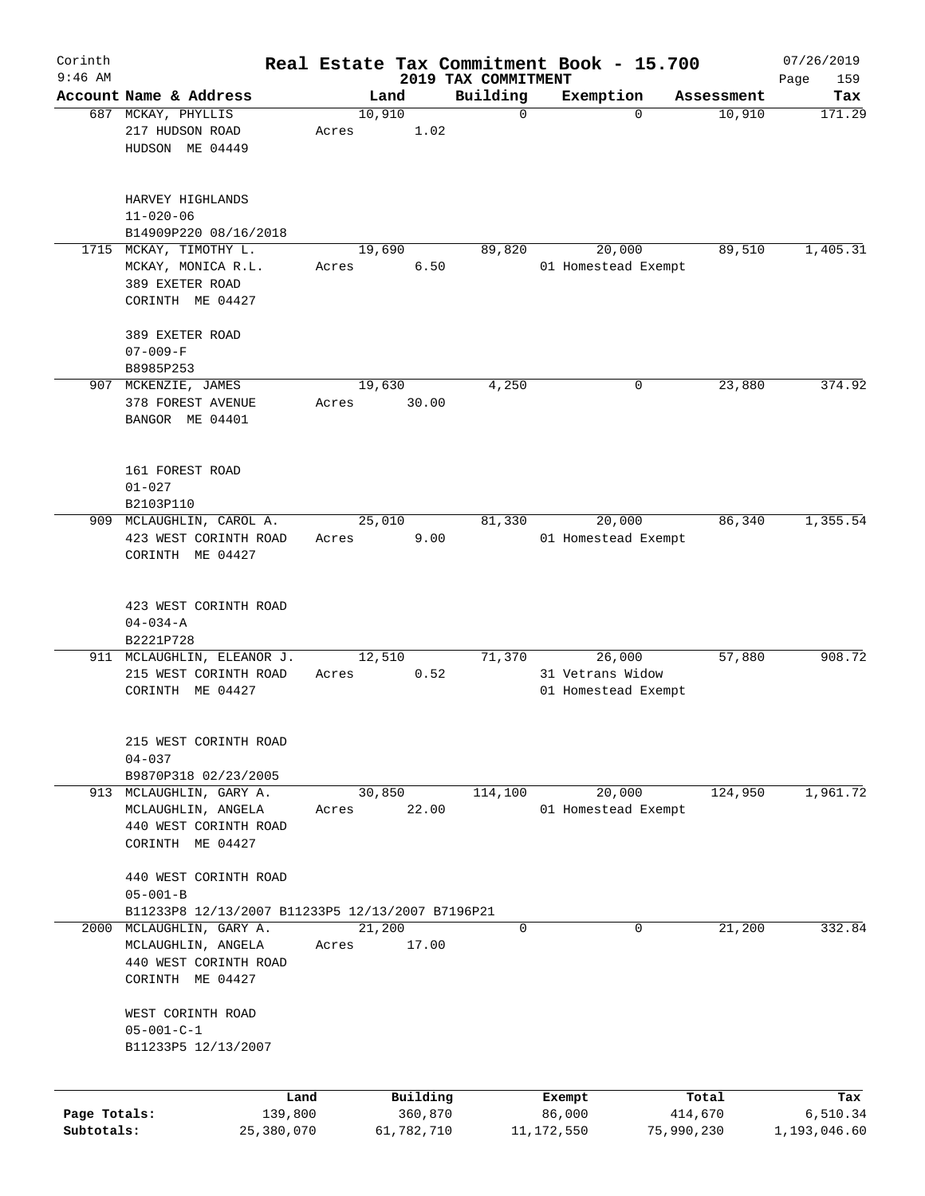| Corinth      |                                                  |                 |       |        |                     |                                 | Real Estate Tax Commitment Book - 15.700 |                       | 07/26/2019               |
|--------------|--------------------------------------------------|-----------------|-------|--------|---------------------|---------------------------------|------------------------------------------|-----------------------|--------------------------|
| $9:46$ AM    | Account Name & Address                           |                 |       | Land   |                     | 2019 TAX COMMITMENT<br>Building | Exemption                                | Assessment            | 159<br>Page<br>Tax       |
|              | 687 MCKAY, PHYLLIS                               |                 |       | 10,910 |                     | $\mathbf 0$                     | $\mathbf 0$                              | 10,910                | 171.29                   |
|              | 217 HUDSON ROAD                                  |                 | Acres |        | 1.02                |                                 |                                          |                       |                          |
|              | HUDSON ME 04449                                  |                 |       |        |                     |                                 |                                          |                       |                          |
|              |                                                  |                 |       |        |                     |                                 |                                          |                       |                          |
|              | HARVEY HIGHLANDS                                 |                 |       |        |                     |                                 |                                          |                       |                          |
|              | $11 - 020 - 06$                                  |                 |       |        |                     |                                 |                                          |                       |                          |
|              | B14909P220 08/16/2018<br>1715 MCKAY, TIMOTHY L.  |                 |       |        |                     |                                 |                                          | 89,510                | 1,405.31                 |
|              | MCKAY, MONICA R.L.                               |                 | Acres | 19,690 | 6.50                | 89,820                          | 20,000<br>01 Homestead Exempt            |                       |                          |
|              | 389 EXETER ROAD                                  |                 |       |        |                     |                                 |                                          |                       |                          |
|              | CORINTH ME 04427                                 |                 |       |        |                     |                                 |                                          |                       |                          |
|              | 389 EXETER ROAD                                  |                 |       |        |                     |                                 |                                          |                       |                          |
|              | $07 - 009 - F$                                   |                 |       |        |                     |                                 |                                          |                       |                          |
|              | B8985P253                                        |                 |       |        |                     |                                 |                                          |                       |                          |
|              | 907 MCKENZIE, JAMES                              |                 |       | 19,630 |                     | 4,250                           | 0                                        | 23,880                | 374.92                   |
|              | 378 FOREST AVENUE                                |                 | Acres |        | 30.00               |                                 |                                          |                       |                          |
|              | BANGOR ME 04401                                  |                 |       |        |                     |                                 |                                          |                       |                          |
|              |                                                  |                 |       |        |                     |                                 |                                          |                       |                          |
|              | 161 FOREST ROAD                                  |                 |       |        |                     |                                 |                                          |                       |                          |
|              | $01 - 027$                                       |                 |       |        |                     |                                 |                                          |                       |                          |
|              | B2103P110<br>909 MCLAUGHLIN, CAROL A.            |                 |       | 25,010 |                     | 81,330                          | 20,000                                   | 86,340                | 1,355.54                 |
|              | 423 WEST CORINTH ROAD                            |                 | Acres |        | 9.00                |                                 | 01 Homestead Exempt                      |                       |                          |
|              | CORINTH ME 04427                                 |                 |       |        |                     |                                 |                                          |                       |                          |
|              |                                                  |                 |       |        |                     |                                 |                                          |                       |                          |
|              | 423 WEST CORINTH ROAD                            |                 |       |        |                     |                                 |                                          |                       |                          |
|              | $04 - 034 - A$                                   |                 |       |        |                     |                                 |                                          |                       |                          |
|              | B2221P728<br>911 MCLAUGHLIN, ELEANOR J.          |                 |       | 12,510 |                     | 71,370                          | 26,000                                   | 57,880                | 908.72                   |
|              | 215 WEST CORINTH ROAD                            |                 | Acres |        | 0.52                |                                 | 31 Vetrans Widow                         |                       |                          |
|              | CORINTH ME 04427                                 |                 |       |        |                     |                                 | 01 Homestead Exempt                      |                       |                          |
|              |                                                  |                 |       |        |                     |                                 |                                          |                       |                          |
|              | 215 WEST CORINTH ROAD                            |                 |       |        |                     |                                 |                                          |                       |                          |
|              | $04 - 037$                                       |                 |       |        |                     |                                 |                                          |                       |                          |
|              | B9870P318 02/23/2005                             |                 |       |        |                     |                                 |                                          |                       |                          |
|              | 913 MCLAUGHLIN, GARY A.                          |                 |       | 30,850 |                     | 114,100                         | 20,000                                   | 124,950               | 1,961.72                 |
|              | MCLAUGHLIN, ANGELA                               |                 | Acres |        | 22.00               |                                 | 01 Homestead Exempt                      |                       |                          |
|              | 440 WEST CORINTH ROAD                            |                 |       |        |                     |                                 |                                          |                       |                          |
|              | CORINTH ME 04427                                 |                 |       |        |                     |                                 |                                          |                       |                          |
|              | 440 WEST CORINTH ROAD                            |                 |       |        |                     |                                 |                                          |                       |                          |
|              | $05 - 001 - B$                                   |                 |       |        |                     |                                 |                                          |                       |                          |
|              | B11233P8 12/13/2007 B11233P5 12/13/2007 B7196P21 |                 |       |        |                     |                                 |                                          |                       |                          |
| 2000         | MCLAUGHLIN, GARY A.                              |                 |       | 21,200 |                     | 0                               | 0                                        | 21,200                | 332.84                   |
|              | MCLAUGHLIN, ANGELA                               |                 | Acres |        | 17.00               |                                 |                                          |                       |                          |
|              | 440 WEST CORINTH ROAD                            |                 |       |        |                     |                                 |                                          |                       |                          |
|              | CORINTH ME 04427                                 |                 |       |        |                     |                                 |                                          |                       |                          |
|              | WEST CORINTH ROAD                                |                 |       |        |                     |                                 |                                          |                       |                          |
|              | $05 - 001 - C - 1$                               |                 |       |        |                     |                                 |                                          |                       |                          |
|              | B11233P5 12/13/2007                              |                 |       |        |                     |                                 |                                          |                       |                          |
|              |                                                  |                 |       |        |                     |                                 |                                          |                       |                          |
| Page Totals: |                                                  | Land<br>139,800 |       |        | Building<br>360,870 |                                 | Exempt<br>86,000                         | Total                 | Tax                      |
| Subtotals:   |                                                  | 25,380,070      |       |        | 61,782,710          |                                 | 11,172,550                               | 414,670<br>75,990,230 | 6,510.34<br>1,193,046.60 |
|              |                                                  |                 |       |        |                     |                                 |                                          |                       |                          |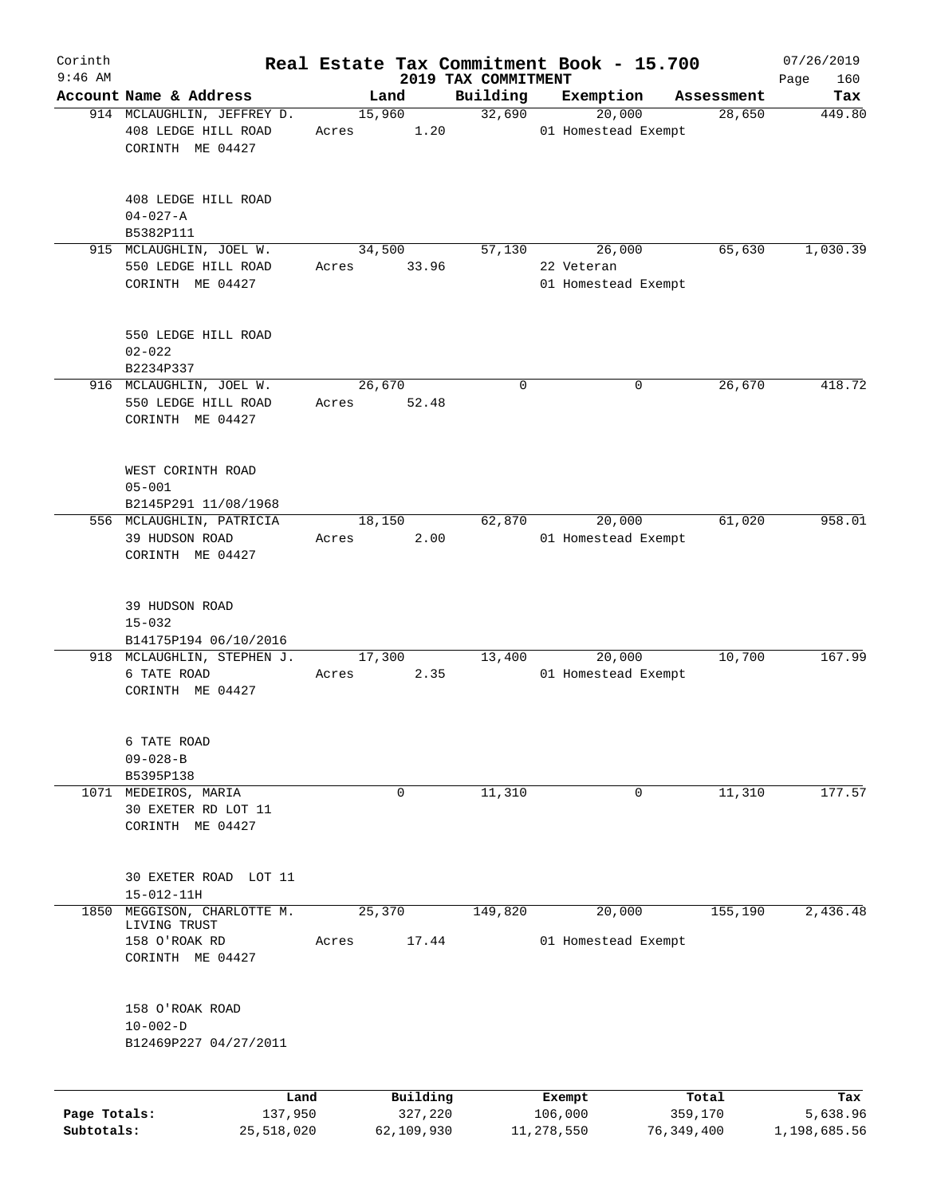| Corinth                    |                                                                 |       |                       |                     | Real Estate Tax Commitment Book - 15.700 |                         | 07/26/2019               |
|----------------------------|-----------------------------------------------------------------|-------|-----------------------|---------------------|------------------------------------------|-------------------------|--------------------------|
| $9:46$ AM                  | Account Name & Address                                          |       |                       | 2019 TAX COMMITMENT |                                          |                         | 160<br>Page              |
|                            | 914 MCLAUGHLIN, JEFFREY D.                                      |       | Land<br>15,960        | Building<br>32,690  | Exemption<br>20,000                      | Assessment<br>28,650    | Tax<br>449.80            |
|                            | 408 LEDGE HILL ROAD<br>CORINTH ME 04427                         | Acres | 1.20                  |                     | 01 Homestead Exempt                      |                         |                          |
|                            | 408 LEDGE HILL ROAD<br>$04 - 027 - A$<br>B5382P111              |       |                       |                     |                                          |                         |                          |
|                            | 915 MCLAUGHLIN, JOEL W.                                         |       | 34,500                | 57,130              | 26,000                                   | 65,630                  | 1,030.39                 |
|                            | 550 LEDGE HILL ROAD<br>CORINTH ME 04427                         | Acres | 33.96                 |                     | 22 Veteran<br>01 Homestead Exempt        |                         |                          |
|                            | 550 LEDGE HILL ROAD<br>$02 - 022$<br>B2234P337                  |       |                       |                     |                                          |                         |                          |
|                            | 916 MCLAUGHLIN, JOEL W.                                         |       | 26,670                | 0                   | 0                                        | 26,670                  | 418.72                   |
|                            | 550 LEDGE HILL ROAD<br>CORINTH ME 04427                         | Acres | 52.48                 |                     |                                          |                         |                          |
|                            | WEST CORINTH ROAD<br>$05 - 001$                                 |       |                       |                     |                                          |                         |                          |
|                            | B2145P291 11/08/1968                                            |       | 18,150                | 62,870              | 20,000                                   | 61,020                  | 958.01                   |
|                            | 556 MCLAUGHLIN, PATRICIA<br>39 HUDSON ROAD<br>CORINTH ME 04427  | Acres | 2.00                  |                     | 01 Homestead Exempt                      |                         |                          |
|                            | 39 HUDSON ROAD<br>$15 - 032$                                    |       |                       |                     |                                          |                         |                          |
|                            | B14175P194 06/10/2016                                           |       |                       |                     |                                          |                         |                          |
|                            | 918 MCLAUGHLIN, STEPHEN J.<br>6 TATE ROAD<br>CORINTH ME 04427   | Acres | 17,300<br>2.35        | 13,400              | 20,000<br>01 Homestead Exempt            | 10,700                  | 167.99                   |
|                            | 6 TATE ROAD<br>$09 - 028 - B$<br>B5395P138                      |       |                       |                     |                                          |                         |                          |
|                            | 1071 MEDEIROS, MARIA<br>30 EXETER RD LOT 11<br>CORINTH ME 04427 |       | 0                     | 11,310              | 0                                        | 11,310                  | 177.57                   |
|                            | 30 EXETER ROAD LOT 11<br>$15 - 012 - 11H$                       |       |                       |                     |                                          |                         |                          |
| 1850                       | MEGGISON, CHARLOTTE M.                                          |       | 25,370                | 149,820             | 20,000                                   | 155,190                 | 2,436.48                 |
|                            | LIVING TRUST<br>158 O'ROAK RD<br>CORINTH ME 04427               | Acres | 17.44                 |                     | 01 Homestead Exempt                      |                         |                          |
|                            | 158 O'ROAK ROAD<br>$10 - 002 - D$<br>B12469P227 04/27/2011      |       |                       |                     |                                          |                         |                          |
|                            | Land                                                            |       | Building              |                     | Exempt                                   | Total                   | Tax                      |
| Page Totals:<br>Subtotals: | 137,950<br>25,518,020                                           |       | 327,220<br>62,109,930 |                     | 106,000<br>11,278,550                    | 359,170<br>76, 349, 400 | 5,638.96<br>1,198,685.56 |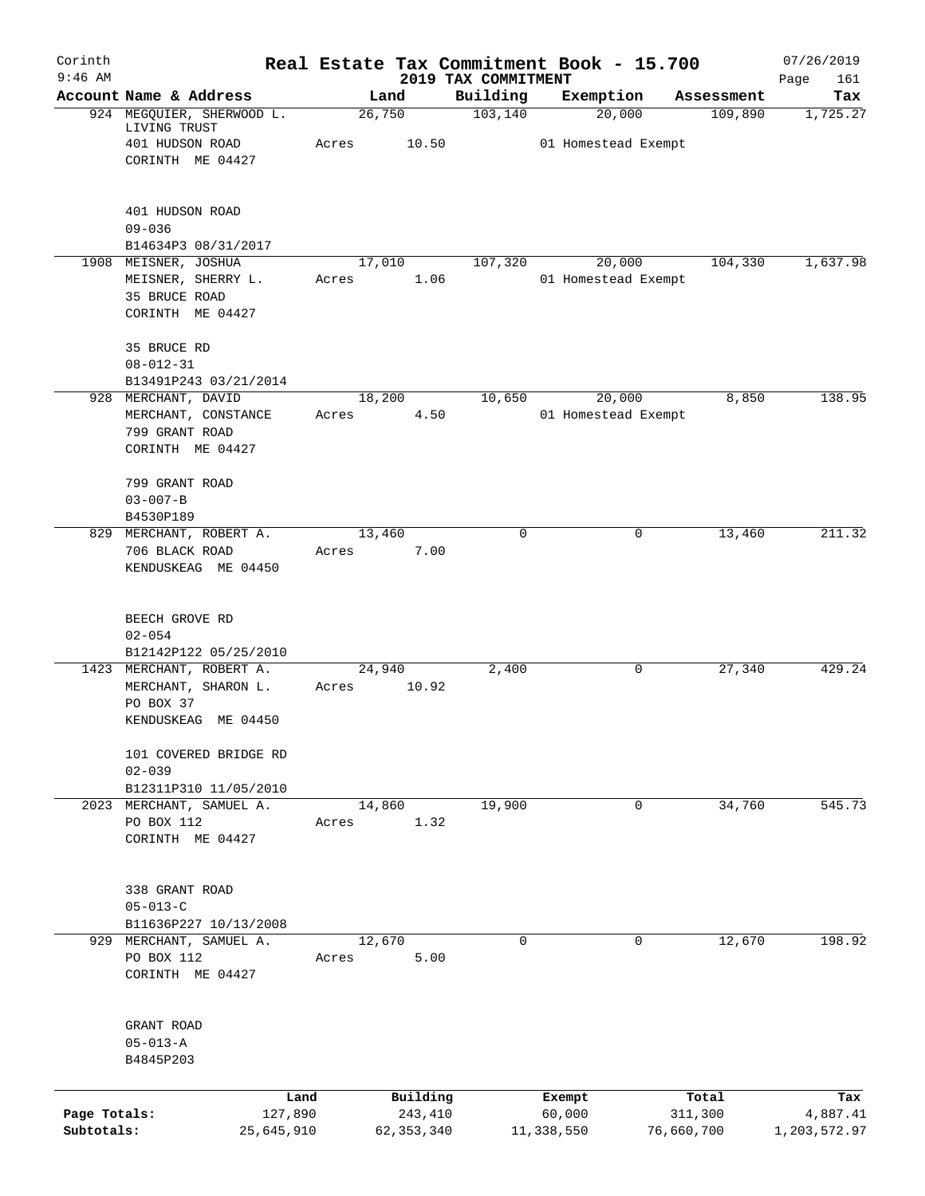| Corinth<br>$9:46$ AM       |                                                                                     | Real Estate Tax Commitment Book - 15.700 |                                 |                               |                       | 07/26/2019               |
|----------------------------|-------------------------------------------------------------------------------------|------------------------------------------|---------------------------------|-------------------------------|-----------------------|--------------------------|
|                            | Account Name & Address                                                              | Land                                     | 2019 TAX COMMITMENT<br>Building | Exemption                     | Assessment            | Page<br>161<br>Tax       |
|                            | 924 MEGQUIER, SHERWOOD L.<br>LIVING TRUST                                           | 26,750                                   | 103, 140                        | 20,000                        | 109,890               | 1,725.27                 |
|                            | 401 HUDSON ROAD<br>CORINTH ME 04427                                                 | 10.50<br>Acres                           |                                 | 01 Homestead Exempt           |                       |                          |
|                            | 401 HUDSON ROAD<br>$09 - 036$<br>B14634P3 08/31/2017                                |                                          |                                 |                               |                       |                          |
|                            | 1908 MEISNER, JOSHUA<br>MEISNER, SHERRY L.<br>35 BRUCE ROAD<br>CORINTH ME 04427     | 17,010<br>1.06<br>Acres                  | 107,320                         | 20,000<br>01 Homestead Exempt | 104,330               | 1,637.98                 |
|                            | 35 BRUCE RD<br>$08 - 012 - 31$<br>B13491P243 03/21/2014                             |                                          |                                 |                               |                       |                          |
|                            | 928 MERCHANT, DAVID<br>MERCHANT, CONSTANCE<br>799 GRANT ROAD<br>CORINTH ME 04427    | 18,200<br>4.50<br>Acres                  | 10,650                          | 20,000<br>01 Homestead Exempt | 8,850                 | 138.95                   |
|                            | 799 GRANT ROAD<br>$03 - 007 - B$<br>B4530P189                                       |                                          |                                 |                               |                       |                          |
|                            | 829 MERCHANT, ROBERT A.<br>706 BLACK ROAD<br>KENDUSKEAG ME 04450                    | 13,460<br>7.00<br>Acres                  | $\Omega$                        | 0                             | 13,460                | 211.32                   |
|                            | BEECH GROVE RD<br>$02 - 054$<br>B12142P122 05/25/2010                               |                                          |                                 |                               |                       |                          |
|                            | 1423 MERCHANT, ROBERT A.<br>MERCHANT, SHARON L.<br>PO BOX 37<br>KENDUSKEAG ME 04450 | 24,940<br>10.92<br>Acres                 | 2,400                           | 0                             | 27,340                | 429.24                   |
|                            | 101 COVERED BRIDGE RD<br>$02 - 039$<br>B12311P310 11/05/2010                        |                                          |                                 |                               |                       |                          |
|                            | 2023 MERCHANT, SAMUEL A.<br>PO BOX 112<br>CORINTH ME 04427                          | 14,860<br>1.32<br>Acres                  | 19,900                          | 0                             | 34,760                | 545.73                   |
|                            | 338 GRANT ROAD<br>$05 - 013 - C$<br>B11636P227 10/13/2008                           |                                          |                                 |                               |                       |                          |
|                            | 929 MERCHANT, SAMUEL A.<br>PO BOX 112<br>CORINTH ME 04427                           | 12,670<br>5.00<br>Acres                  | $\mathbf 0$                     | $\mathbf 0$                   | 12,670                | 198.92                   |
|                            | GRANT ROAD<br>$05 - 013 - A$<br>B4845P203                                           |                                          |                                 |                               |                       |                          |
|                            | Land                                                                                | Building                                 |                                 | Exempt                        | Total                 | Tax                      |
| Page Totals:<br>Subtotals: | 127,890<br>25,645,910                                                               | 243,410<br>62, 353, 340                  |                                 | 60,000<br>11,338,550          | 311,300<br>76,660,700 | 4,887.41<br>1,203,572.97 |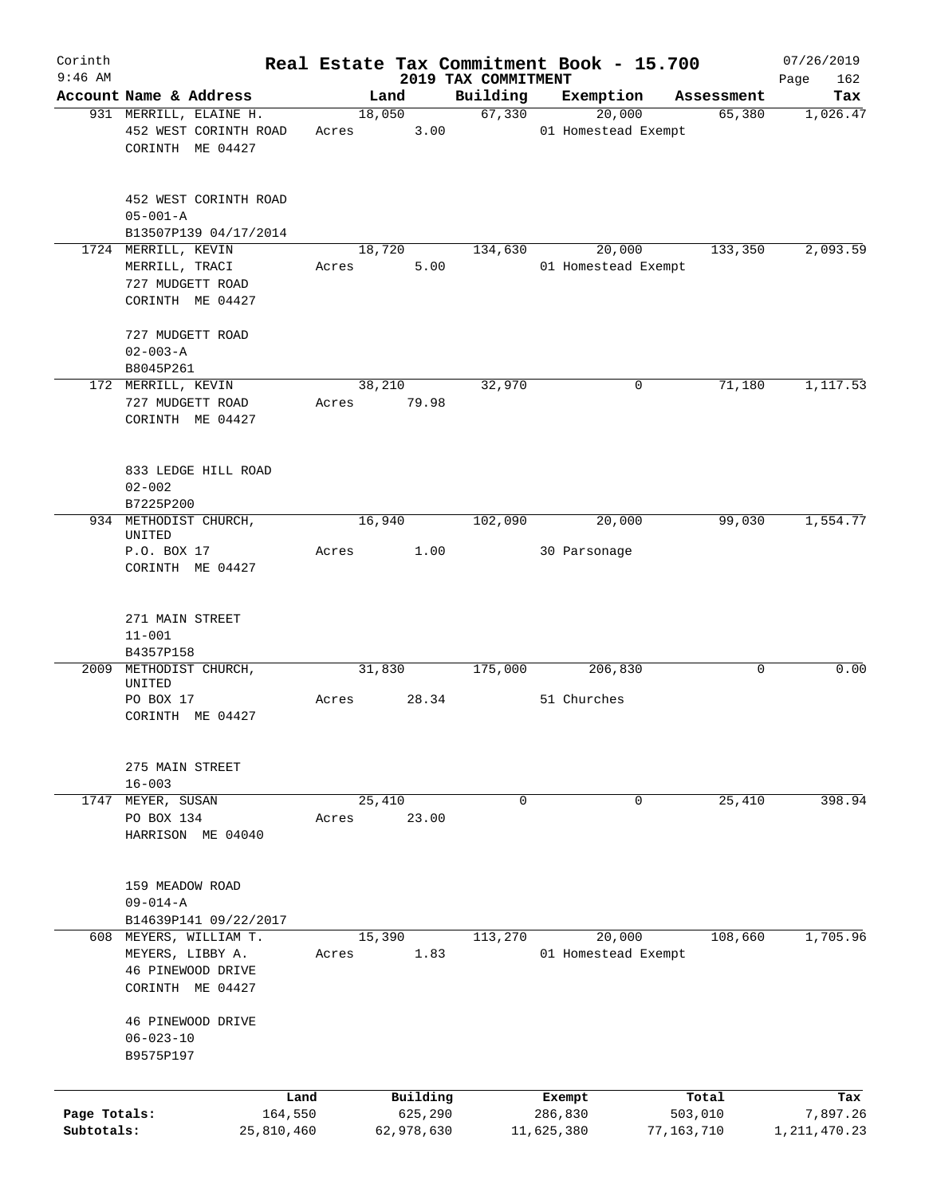| Corinth                    |                                                                     |       |                       |                                 | Real Estate Tax Commitment Book - 15.700 |                       | 07/26/2019                  |
|----------------------------|---------------------------------------------------------------------|-------|-----------------------|---------------------------------|------------------------------------------|-----------------------|-----------------------------|
| $9:46$ AM                  | Account Name & Address                                              |       | Land                  | 2019 TAX COMMITMENT<br>Building | Exemption                                | Assessment            | 162<br>Page<br>Tax          |
|                            | 931 MERRILL, ELAINE H.<br>452 WEST CORINTH ROAD<br>CORINTH ME 04427 | Acres | 18,050<br>3.00        | 67,330                          | 20,000<br>01 Homestead Exempt            | 65,380                | 1,026.47                    |
|                            | 452 WEST CORINTH ROAD<br>$05 - 001 - A$<br>B13507P139 04/17/2014    |       |                       |                                 |                                          |                       |                             |
|                            | 1724 MERRILL, KEVIN                                                 |       | 18,720                | 134,630                         | 20,000                                   | 133,350               | 2,093.59                    |
|                            | MERRILL, TRACI<br>727 MUDGETT ROAD<br>CORINTH ME 04427              | Acres | 5.00                  |                                 | 01 Homestead Exempt                      |                       |                             |
|                            | 727 MUDGETT ROAD<br>$02 - 003 - A$                                  |       |                       |                                 |                                          |                       |                             |
|                            | B8045P261<br>172 MERRILL, KEVIN                                     |       | 38,210                | 32,970                          | 0                                        | 71,180                | 1,117.53                    |
|                            | 727 MUDGETT ROAD<br>CORINTH ME 04427                                | Acres | 79.98                 |                                 |                                          |                       |                             |
|                            | 833 LEDGE HILL ROAD<br>$02 - 002$<br>B7225P200                      |       |                       |                                 |                                          |                       |                             |
|                            | 934 METHODIST CHURCH,                                               |       | 16,940                | 102,090                         | 20,000                                   | 99,030                | 1,554.77                    |
|                            | UNITED<br>P.O. BOX 17<br>CORINTH ME 04427                           | Acres | 1.00                  |                                 | 30 Parsonage                             |                       |                             |
|                            | 271 MAIN STREET<br>$11 - 001$<br>B4357P158                          |       |                       |                                 |                                          |                       |                             |
| 2009                       | METHODIST CHURCH,                                                   |       | 31,830                | 175,000                         | 206,830                                  | 0                     | 0.00                        |
|                            | UNITED<br>PO BOX 17<br>CORINTH ME 04427                             | Acres | 28.34                 |                                 | 51 Churches                              |                       |                             |
|                            | 275 MAIN STREET<br>$16 - 003$                                       |       |                       |                                 |                                          |                       |                             |
| 1747                       | MEYER, SUSAN<br>PO BOX 134<br>HARRISON ME 04040                     | Acres | 25,410<br>23.00       | 0                               | 0                                        | 25,410                | 398.94                      |
|                            | 159 MEADOW ROAD<br>$09 - 014 - A$<br>B14639P141 09/22/2017          |       |                       |                                 |                                          |                       |                             |
|                            | 608 MEYERS, WILLIAM T.<br>MEYERS, LIBBY A.                          | Acres | 15,390<br>1.83        | 113,270                         | 20,000<br>01 Homestead Exempt            | 108,660               | 1,705.96                    |
|                            | 46 PINEWOOD DRIVE<br>CORINTH ME 04427                               |       |                       |                                 |                                          |                       |                             |
|                            | 46 PINEWOOD DRIVE<br>$06 - 023 - 10$<br>B9575P197                   |       |                       |                                 |                                          |                       |                             |
|                            | Land                                                                |       | Building              |                                 | Exempt                                   | Total                 | Tax                         |
| Page Totals:<br>Subtotals: | 164,550<br>25,810,460                                               |       | 625,290<br>62,978,630 |                                 | 286,830<br>11,625,380                    | 503,010<br>77,163,710 | 7,897.26<br>1, 211, 470. 23 |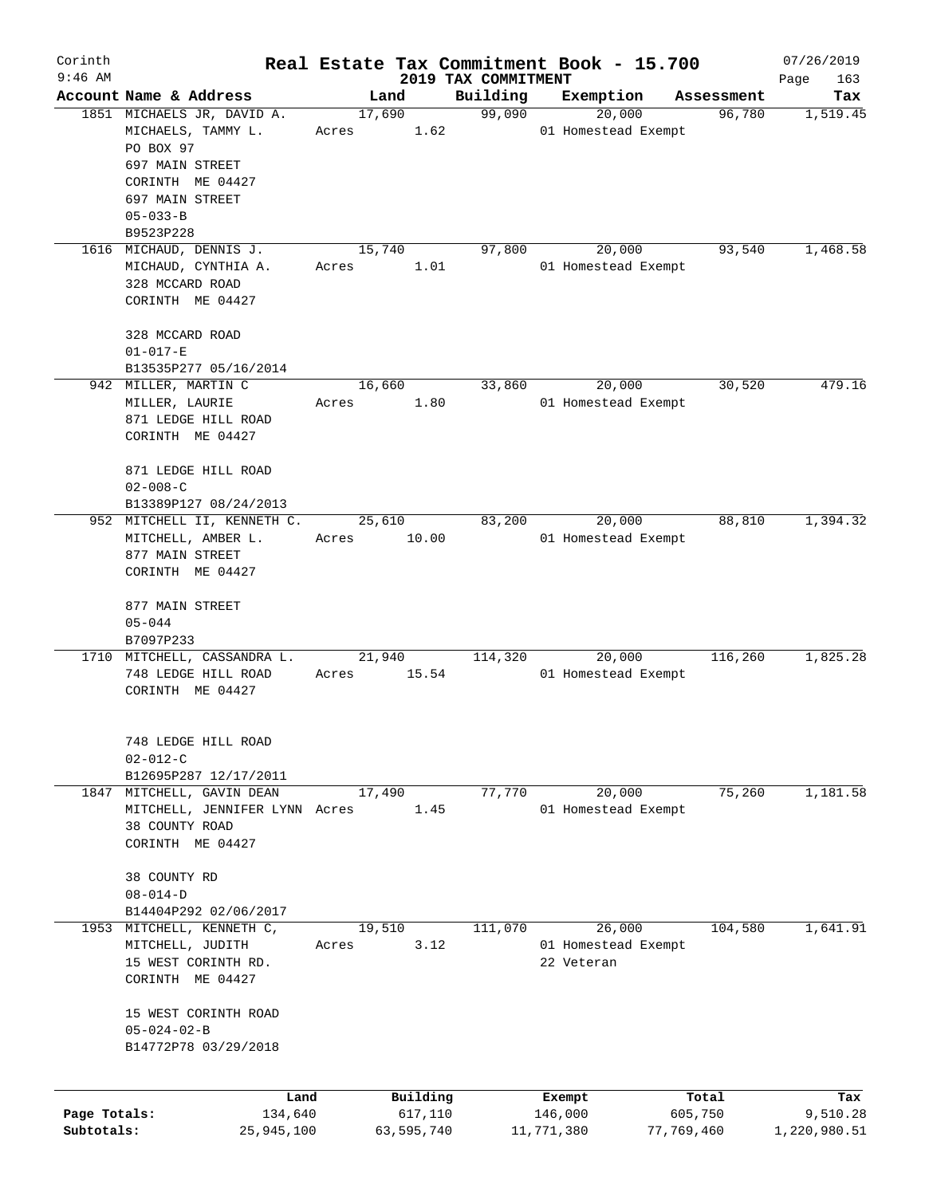| Corinth<br>$9:46$ AM |                                          |       |             | 2019 TAX COMMITMENT | Real Estate Tax Commitment Book - 15.700 |            | 07/26/2019<br>Page<br>163 |
|----------------------|------------------------------------------|-------|-------------|---------------------|------------------------------------------|------------|---------------------------|
|                      | Account Name & Address                   |       | Land        | Building            | Exemption                                | Assessment | Tax                       |
|                      | 1851 MICHAELS JR, DAVID A.               |       | 17,690      | 99,090              | 20,000                                   | 96,780     | 1,519.45                  |
|                      | MICHAELS, TAMMY L.                       | Acres | 1.62        |                     | 01 Homestead Exempt                      |            |                           |
|                      | PO BOX 97                                |       |             |                     |                                          |            |                           |
|                      | 697 MAIN STREET                          |       |             |                     |                                          |            |                           |
|                      | CORINTH ME 04427                         |       |             |                     |                                          |            |                           |
|                      | 697 MAIN STREET                          |       |             |                     |                                          |            |                           |
|                      | $05 - 033 - B$                           |       |             |                     |                                          |            |                           |
|                      | B9523P228                                |       |             |                     |                                          |            |                           |
|                      | 1616 MICHAUD, DENNIS J.                  |       | 15,740      | 97,800              | 20,000                                   | 93,540     | 1,468.58                  |
|                      | MICHAUD, CYNTHIA A.                      | Acres | 1.01        |                     | 01 Homestead Exempt                      |            |                           |
|                      | 328 MCCARD ROAD                          |       |             |                     |                                          |            |                           |
|                      | CORINTH ME 04427                         |       |             |                     |                                          |            |                           |
|                      |                                          |       |             |                     |                                          |            |                           |
|                      | 328 MCCARD ROAD                          |       |             |                     |                                          |            |                           |
|                      | $01 - 017 - E$                           |       |             |                     |                                          |            |                           |
|                      | B13535P277 05/16/2014                    |       |             |                     |                                          |            |                           |
|                      | 942 MILLER, MARTIN C                     |       | 16,660      | 33,860              | 20,000                                   | 30,520     | 479.16                    |
|                      | MILLER, LAURIE                           |       | 1.80        |                     | 01 Homestead Exempt                      |            |                           |
|                      | 871 LEDGE HILL ROAD                      | Acres |             |                     |                                          |            |                           |
|                      |                                          |       |             |                     |                                          |            |                           |
|                      | CORINTH ME 04427                         |       |             |                     |                                          |            |                           |
|                      | 871 LEDGE HILL ROAD                      |       |             |                     |                                          |            |                           |
|                      | $02 - 008 - C$                           |       |             |                     |                                          |            |                           |
|                      |                                          |       |             |                     |                                          |            |                           |
|                      | B13389P127 08/24/2013                    |       |             |                     |                                          |            |                           |
|                      | 952 MITCHELL II, KENNETH C.              |       | 25,610      | 83,200              | 20,000                                   | 88,810     | 1,394.32                  |
|                      | MITCHELL, AMBER L.                       |       | Acres 10.00 |                     | 01 Homestead Exempt                      |            |                           |
|                      | 877 MAIN STREET                          |       |             |                     |                                          |            |                           |
|                      | CORINTH ME 04427                         |       |             |                     |                                          |            |                           |
|                      |                                          |       |             |                     |                                          |            |                           |
|                      | 877 MAIN STREET                          |       |             |                     |                                          |            |                           |
|                      | $05 - 044$                               |       |             |                     |                                          |            |                           |
|                      | B7097P233<br>1710 MITCHELL, CASSANDRA L. |       | 21,940      | 114,320             | 20,000                                   | 116,260    | 1,825.28                  |
|                      | 748 LEDGE HILL ROAD                      | Acres | 15.54       |                     | 01 Homestead Exempt                      |            |                           |
|                      | CORINTH ME 04427                         |       |             |                     |                                          |            |                           |
|                      |                                          |       |             |                     |                                          |            |                           |
|                      |                                          |       |             |                     |                                          |            |                           |
|                      | 748 LEDGE HILL ROAD                      |       |             |                     |                                          |            |                           |
|                      | $02 - 012 - C$                           |       |             |                     |                                          |            |                           |
|                      | B12695P287 12/17/2011                    |       |             |                     |                                          |            |                           |
|                      | 1847 MITCHELL, GAVIN DEAN                |       | 17,490      | 77,770              | 20,000                                   | 75,260     | 1,181.58                  |
|                      | MITCHELL, JENNIFER LYNN Acres            |       | 1.45        |                     | 01 Homestead Exempt                      |            |                           |
|                      | 38 COUNTY ROAD                           |       |             |                     |                                          |            |                           |
|                      | CORINTH ME 04427                         |       |             |                     |                                          |            |                           |
|                      |                                          |       |             |                     |                                          |            |                           |
|                      | 38 COUNTY RD                             |       |             |                     |                                          |            |                           |
|                      | $08 - 014 - D$                           |       |             |                     |                                          |            |                           |
|                      | B14404P292 02/06/2017                    |       |             |                     |                                          |            |                           |
|                      | 1953 MITCHELL, KENNETH C,                |       | 19,510      | 111,070             | 26,000                                   | 104,580    | 1,641.91                  |
|                      | MITCHELL, JUDITH                         | Acres | 3.12        |                     | 01 Homestead Exempt                      |            |                           |
|                      | 15 WEST CORINTH RD.                      |       |             |                     | 22 Veteran                               |            |                           |
|                      | CORINTH ME 04427                         |       |             |                     |                                          |            |                           |
|                      |                                          |       |             |                     |                                          |            |                           |
|                      | 15 WEST CORINTH ROAD                     |       |             |                     |                                          |            |                           |
|                      | $05 - 024 - 02 - B$                      |       |             |                     |                                          |            |                           |
|                      | B14772P78 03/29/2018                     |       |             |                     |                                          |            |                           |
|                      |                                          |       |             |                     |                                          |            |                           |
|                      |                                          |       |             |                     |                                          |            |                           |
|                      | Land                                     |       | Building    |                     | Exempt                                   | Total      | Tax                       |
| Page Totals:         | 134,640                                  |       | 617,110     |                     | 146,000                                  | 605,750    | 9,510.28                  |
| Subtotals:           | 25,945,100                               |       | 63,595,740  |                     | 11,771,380                               | 77,769,460 | 1,220,980.51              |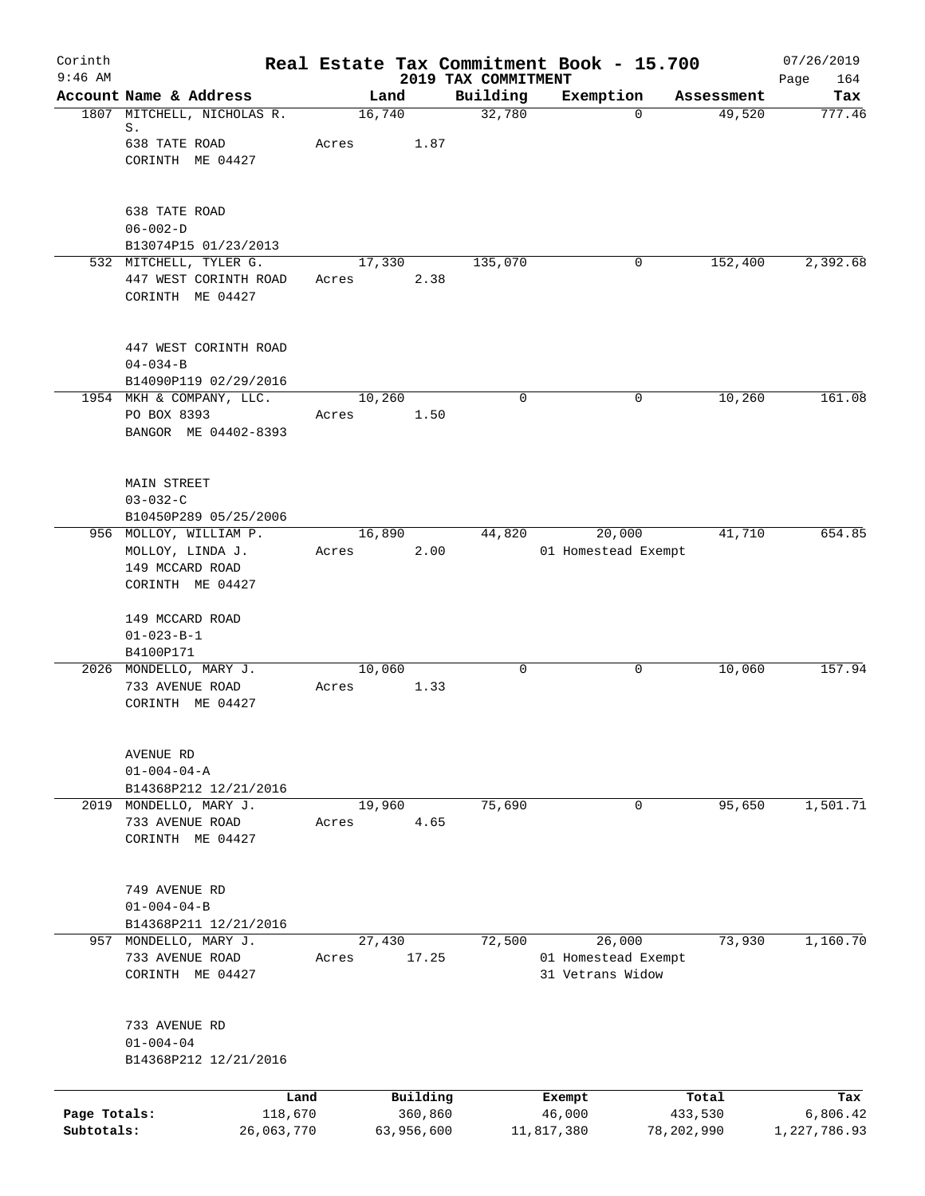| Corinth<br>$9:46$ AM       |                                                                                              |                 |                       |                                 | Real Estate Tax Commitment Book - 15.700          |                       |            | 07/26/2019               |
|----------------------------|----------------------------------------------------------------------------------------------|-----------------|-----------------------|---------------------------------|---------------------------------------------------|-----------------------|------------|--------------------------|
|                            | Account Name & Address                                                                       | Land            |                       | 2019 TAX COMMITMENT<br>Building | Exemption                                         |                       | Assessment | Page<br>164<br>Tax       |
|                            | 1807 MITCHELL, NICHOLAS R.<br>S.<br>638 TATE ROAD<br>CORINTH ME 04427                        | 16,740<br>Acres | 1.87                  | 32,780                          |                                                   | $\mathbf 0$           | 49,520     | 777.46                   |
|                            | 638 TATE ROAD<br>$06 - 002 - D$<br>B13074P15 01/23/2013                                      |                 |                       |                                 |                                                   |                       |            |                          |
|                            | 532 MITCHELL, TYLER G.<br>447 WEST CORINTH ROAD<br>CORINTH ME 04427                          | 17,330<br>Acres | 2.38                  | 135,070                         |                                                   | 0                     | 152,400    | 2,392.68                 |
|                            | 447 WEST CORINTH ROAD<br>$04 - 034 - B$<br>B14090P119 02/29/2016<br>1954 MKH & COMPANY, LLC. | 10,260          |                       | $\mathbf 0$                     |                                                   | 0                     | 10,260     | 161.08                   |
|                            | PO BOX 8393<br>BANGOR ME 04402-8393                                                          | Acres           | 1.50                  |                                 |                                                   |                       |            |                          |
|                            | <b>MAIN STREET</b><br>$03 - 032 - C$<br>B10450P289 05/25/2006                                |                 |                       |                                 |                                                   |                       |            |                          |
|                            | 956 MOLLOY, WILLIAM P.<br>MOLLOY, LINDA J.<br>149 MCCARD ROAD<br>CORINTH ME 04427            | 16,890<br>Acres | 2.00                  | 44,820                          | 20,000<br>01 Homestead Exempt                     |                       | 41,710     | 654.85                   |
|                            | 149 MCCARD ROAD<br>$01 - 023 - B - 1$<br>B4100P171                                           |                 |                       |                                 |                                                   |                       |            |                          |
|                            | 2026 MONDELLO, MARY J.<br>733 AVENUE ROAD<br>CORINTH ME 04427                                | 10,060<br>Acres | 1.33                  | 0                               |                                                   | 0                     | 10,060     | 157.94                   |
|                            | AVENUE RD<br>$01 - 004 - 04 - A$<br>B14368P212 12/21/2016                                    |                 |                       |                                 |                                                   |                       |            |                          |
| 2019                       | MONDELLO, MARY J.<br>733 AVENUE ROAD<br>CORINTH ME 04427                                     | 19,960<br>Acres | 4.65                  | 75,690                          |                                                   | 0                     | 95,650     | 1,501.71                 |
|                            | 749 AVENUE RD<br>$01 - 004 - 04 - B$<br>B14368P211 12/21/2016                                |                 |                       |                                 |                                                   |                       |            |                          |
|                            | 957 MONDELLO, MARY J.<br>733 AVENUE ROAD<br>CORINTH ME 04427                                 | 27,430<br>Acres | 17.25                 | 72,500                          | 26,000<br>01 Homestead Exempt<br>31 Vetrans Widow |                       | 73,930     | 1,160.70                 |
|                            | 733 AVENUE RD<br>$01 - 004 - 04$<br>B14368P212 12/21/2016                                    |                 |                       |                                 |                                                   |                       |            |                          |
|                            | Land                                                                                         |                 | Building              |                                 | Exempt                                            | Total                 |            | Tax                      |
| Page Totals:<br>Subtotals: | 118,670<br>26,063,770                                                                        |                 | 360,860<br>63,956,600 |                                 | 46,000<br>11,817,380                              | 433,530<br>78,202,990 |            | 6,806.42<br>1,227,786.93 |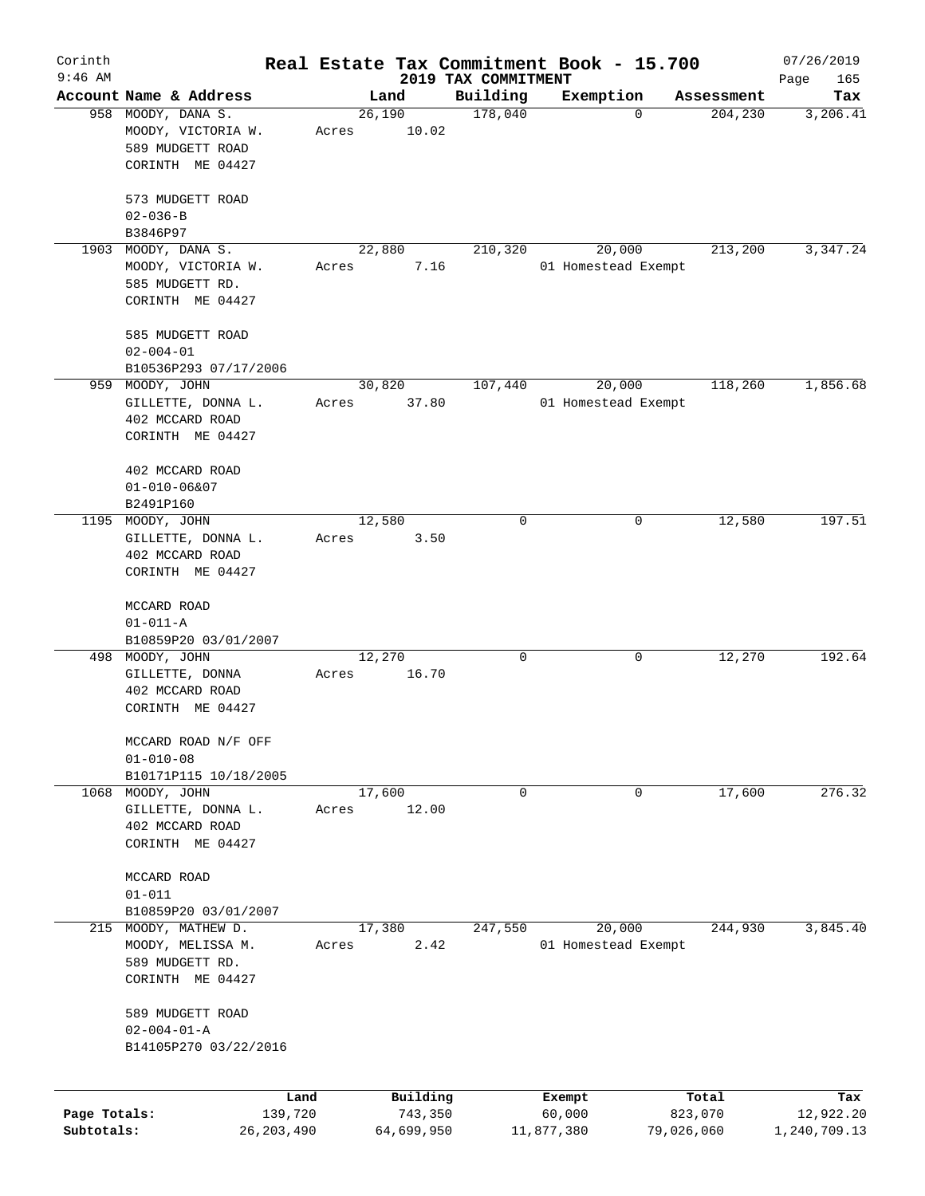| Corinth      |                                        |       |                |                     | Real Estate Tax Commitment Book - 15.700 |                       | 07/26/2019      |
|--------------|----------------------------------------|-------|----------------|---------------------|------------------------------------------|-----------------------|-----------------|
| $9:46$ AM    | Account Name & Address                 |       |                | 2019 TAX COMMITMENT |                                          |                       | Page<br>165     |
|              | 958 MOODY, DANA S.                     |       | Land<br>26,190 | Building<br>178,040 | Exemption<br>0                           | Assessment<br>204,230 | Tax<br>3,206.41 |
|              | MOODY, VICTORIA W.<br>589 MUDGETT ROAD | Acres | 10.02          |                     |                                          |                       |                 |
|              | CORINTH ME 04427                       |       |                |                     |                                          |                       |                 |
|              | 573 MUDGETT ROAD                       |       |                |                     |                                          |                       |                 |
|              | $02 - 036 - B$<br>B3846P97             |       |                |                     |                                          |                       |                 |
| 1903         | MOODY, DANA S.                         |       | 22,880         | 210,320             | 20,000                                   | 213,200               | 3,347.24        |
|              | MOODY, VICTORIA W.                     | Acres | 7.16           |                     | 01 Homestead Exempt                      |                       |                 |
|              | 585 MUDGETT RD.                        |       |                |                     |                                          |                       |                 |
|              | CORINTH ME 04427                       |       |                |                     |                                          |                       |                 |
|              | 585 MUDGETT ROAD                       |       |                |                     |                                          |                       |                 |
|              | $02 - 004 - 01$                        |       |                |                     |                                          |                       |                 |
|              | B10536P293 07/17/2006                  |       |                |                     |                                          |                       |                 |
| 959          | MOODY, JOHN                            |       | 30,820         | 107,440             | 20,000                                   | 118,260               | 1,856.68        |
|              | GILLETTE, DONNA L.                     | Acres | 37.80          |                     | 01 Homestead Exempt                      |                       |                 |
|              | 402 MCCARD ROAD                        |       |                |                     |                                          |                       |                 |
|              | CORINTH ME 04427                       |       |                |                     |                                          |                       |                 |
|              | 402 MCCARD ROAD                        |       |                |                     |                                          |                       |                 |
|              | $01 - 010 - 06807$                     |       |                |                     |                                          |                       |                 |
|              | B2491P160                              |       |                |                     |                                          |                       |                 |
| 1195         | MOODY, JOHN                            |       | 12,580         | 0                   | 0                                        | 12,580                | 197.51          |
|              | GILLETTE, DONNA L.                     | Acres | 3.50           |                     |                                          |                       |                 |
|              | 402 MCCARD ROAD                        |       |                |                     |                                          |                       |                 |
|              | CORINTH ME 04427                       |       |                |                     |                                          |                       |                 |
|              | MCCARD ROAD                            |       |                |                     |                                          |                       |                 |
|              | $01 - 011 - A$                         |       |                |                     |                                          |                       |                 |
|              | B10859P20 03/01/2007                   |       |                |                     |                                          |                       | 192.64          |
|              | 498 MOODY, JOHN                        |       | 12,270         | 0                   | 0                                        | 12,270                |                 |
|              | GILLETTE, DONNA                        | Acres | 16.70          |                     |                                          |                       |                 |
|              | 402 MCCARD ROAD<br>CORINTH ME 04427    |       |                |                     |                                          |                       |                 |
|              |                                        |       |                |                     |                                          |                       |                 |
|              | MCCARD ROAD N/F OFF<br>$01 - 010 - 08$ |       |                |                     |                                          |                       |                 |
|              | B10171P115 10/18/2005                  |       |                |                     |                                          |                       |                 |
| 1068         | MOODY, JOHN                            |       | 17,600         | 0                   | 0                                        | 17,600                | 276.32          |
|              | GILLETTE, DONNA L.                     | Acres | 12.00          |                     |                                          |                       |                 |
|              | 402 MCCARD ROAD                        |       |                |                     |                                          |                       |                 |
|              | CORINTH ME 04427                       |       |                |                     |                                          |                       |                 |
|              | MCCARD ROAD                            |       |                |                     |                                          |                       |                 |
|              | $01 - 011$                             |       |                |                     |                                          |                       |                 |
|              | B10859P20 03/01/2007                   |       |                |                     |                                          |                       |                 |
| 215          | MOODY, MATHEW D.                       |       | 17,380         | 247,550             | 20,000                                   | 244,930               | 3,845.40        |
|              | MOODY, MELISSA M.                      | Acres | 2.42           |                     | 01 Homestead Exempt                      |                       |                 |
|              | 589 MUDGETT RD.                        |       |                |                     |                                          |                       |                 |
|              | CORINTH ME 04427                       |       |                |                     |                                          |                       |                 |
|              |                                        |       |                |                     |                                          |                       |                 |
|              | 589 MUDGETT ROAD                       |       |                |                     |                                          |                       |                 |
|              | $02 - 004 - 01 - A$                    |       |                |                     |                                          |                       |                 |
|              | B14105P270 03/22/2016                  |       |                |                     |                                          |                       |                 |
|              |                                        | Land  | Building       |                     | Exempt                                   | Total                 | Tax             |
| Page Totals: | 139,720                                |       | 743,350        |                     | 60,000                                   | 823,070               | 12,922.20       |
| Subtotals:   | 26, 203, 490                           |       | 64,699,950     |                     | 11,877,380                               | 79,026,060            | 1,240,709.13    |
|              |                                        |       |                |                     |                                          |                       |                 |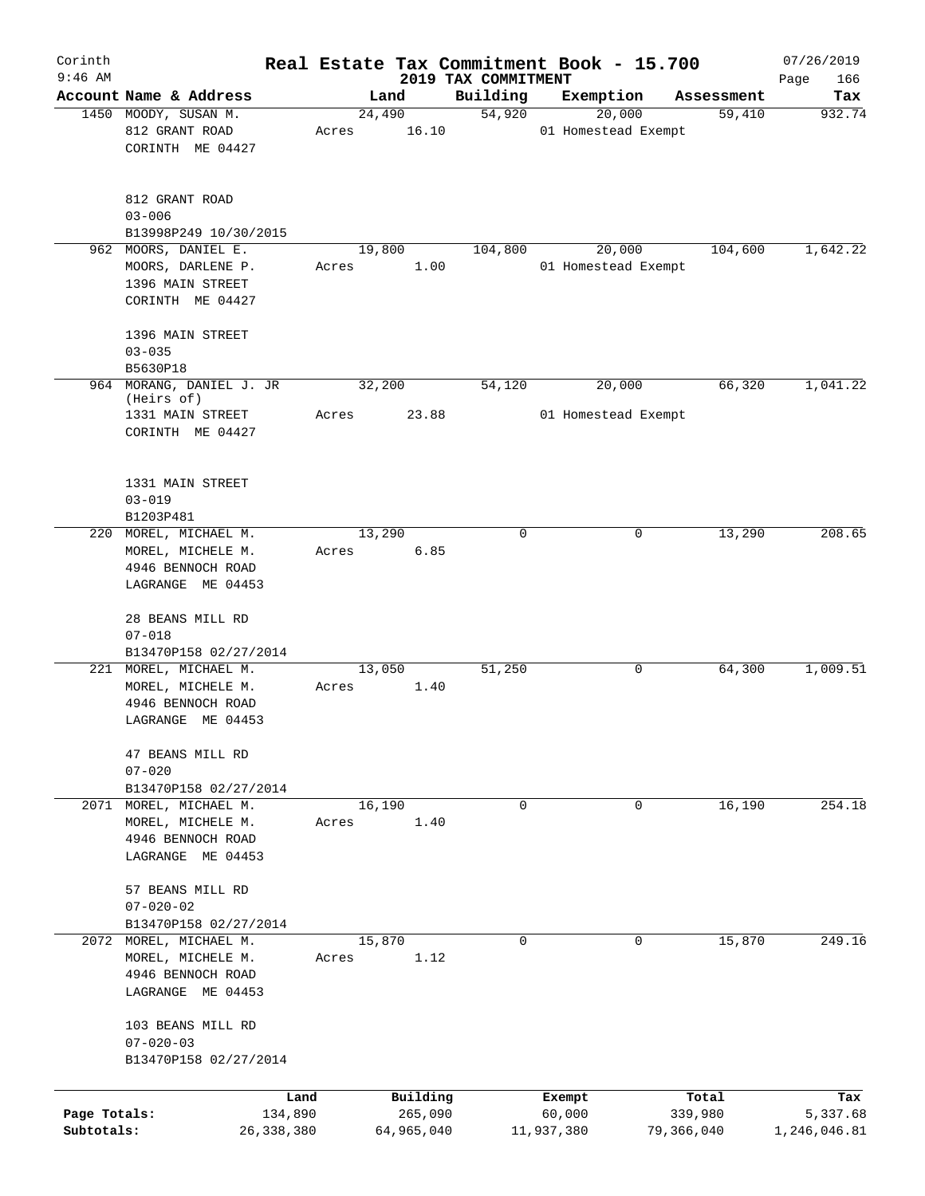| Corinth      |                                                                                       |              |                 |            |                                 | Real Estate Tax Commitment Book - 15.700 |            | 07/26/2019         |
|--------------|---------------------------------------------------------------------------------------|--------------|-----------------|------------|---------------------------------|------------------------------------------|------------|--------------------|
| $9:46$ AM    | Account Name & Address                                                                |              |                 | Land       | 2019 TAX COMMITMENT<br>Building | Exemption                                | Assessment | 166<br>Page<br>Tax |
|              | 1450 MOODY, SUSAN M.                                                                  |              | 24,490          |            | 54,920                          | 20,000                                   | 59,410     | 932.74             |
|              | 812 GRANT ROAD<br>CORINTH ME 04427                                                    |              | Acres           | 16.10      |                                 | 01 Homestead Exempt                      |            |                    |
|              | 812 GRANT ROAD<br>$03 - 006$<br>B13998P249 10/30/2015                                 |              |                 |            |                                 |                                          |            |                    |
| 962          | MOORS, DANIEL E.                                                                      |              | 19,800          |            | 104,800                         | 20,000                                   | 104,600    | 1,642.22           |
|              | MOORS, DARLENE P.<br>1396 MAIN STREET<br>CORINTH ME 04427                             |              | Acres           | 1.00       |                                 | 01 Homestead Exempt                      |            |                    |
|              | 1396 MAIN STREET<br>$03 - 035$                                                        |              |                 |            |                                 |                                          |            |                    |
|              | B5630P18                                                                              |              |                 |            |                                 |                                          |            |                    |
|              | 964 MORANG, DANIEL J. JR<br>(Heirs of)<br>1331 MAIN STREET                            |              | 32,200<br>Acres | 23.88      | 54,120                          | 20,000<br>01 Homestead Exempt            | 66,320     | 1,041.22           |
|              | CORINTH ME 04427<br>1331 MAIN STREET                                                  |              |                 |            |                                 |                                          |            |                    |
|              | $03 - 019$<br>B1203P481                                                               |              |                 |            |                                 |                                          |            |                    |
|              | 220 MOREL, MICHAEL M.<br>MOREL, MICHELE M.<br>4946 BENNOCH ROAD<br>LAGRANGE ME 04453  |              | 13,290<br>Acres | 6.85       | $\Omega$                        | 0                                        | 13,290     | 208.65             |
|              | 28 BEANS MILL RD<br>$07 - 018$<br>B13470P158 02/27/2014                               |              |                 |            |                                 |                                          |            |                    |
|              | 221 MOREL, MICHAEL M.<br>MOREL, MICHELE M.<br>4946 BENNOCH ROAD<br>LAGRANGE ME 04453  |              | 13,050<br>Acres | 1.40       | 51,250                          | 0                                        | 64,300     | 1,009.51           |
|              | 47 BEANS MILL RD<br>$07 - 020$<br>B13470P158 02/27/2014                               |              |                 |            |                                 |                                          |            |                    |
|              | 2071 MOREL, MICHAEL M.<br>MOREL, MICHELE M.<br>4946 BENNOCH ROAD<br>LAGRANGE ME 04453 |              | 16,190<br>Acres | 1.40       | 0                               | $\mathbf 0$                              | 16,190     | 254.18             |
|              | 57 BEANS MILL RD<br>$07 - 020 - 02$<br>B13470P158 02/27/2014                          |              |                 |            |                                 |                                          |            |                    |
|              | 2072 MOREL, MICHAEL M.<br>MOREL, MICHELE M.<br>4946 BENNOCH ROAD<br>LAGRANGE ME 04453 |              | 15,870<br>Acres | 1.12       | $\mathbf 0$                     | $\Omega$                                 | 15,870     | 249.16             |
|              | 103 BEANS MILL RD<br>$07 - 020 - 03$<br>B13470P158 02/27/2014                         |              |                 |            |                                 |                                          |            |                    |
|              |                                                                                       | Land         |                 | Building   |                                 | Exempt                                   | Total      | Tax                |
| Page Totals: |                                                                                       | 134,890      |                 | 265,090    |                                 | 60,000                                   | 339,980    | 5,337.68           |
| Subtotals:   |                                                                                       | 26, 338, 380 |                 | 64,965,040 |                                 | 11,937,380                               | 79,366,040 | 1,246,046.81       |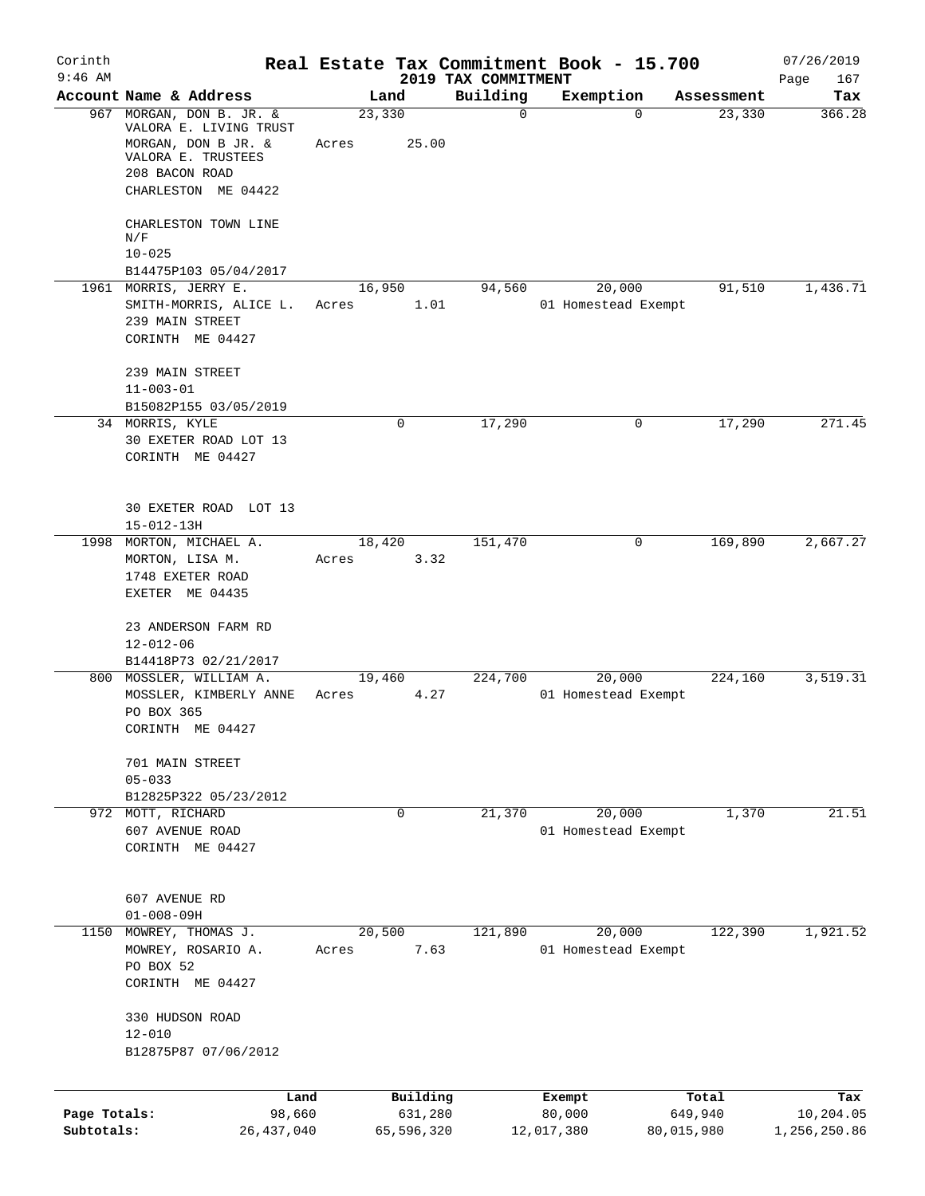| Corinth<br>$9:46$ AM       |                                                                                                                                          |                          | 2019 TAX COMMITMENT | Real Estate Tax Commitment Book - 15.700 |                       | 07/26/2019<br>Page<br>167 |
|----------------------------|------------------------------------------------------------------------------------------------------------------------------------------|--------------------------|---------------------|------------------------------------------|-----------------------|---------------------------|
|                            | Account Name & Address                                                                                                                   | Land                     | Building            | Exemption                                | Assessment            | Tax                       |
|                            | 967 MORGAN, DON B. JR. &<br>VALORA E. LIVING TRUST<br>MORGAN, DON B JR. &<br>VALORA E. TRUSTEES<br>208 BACON ROAD<br>CHARLESTON ME 04422 | 23,330<br>Acres<br>25.00 | $\mathbf 0$         | $\Omega$                                 | 23,330                | 366.28                    |
|                            | CHARLESTON TOWN LINE<br>N/F<br>$10 - 025$                                                                                                |                          |                     |                                          |                       |                           |
|                            | B14475P103 05/04/2017                                                                                                                    |                          |                     |                                          |                       |                           |
|                            | 1961 MORRIS, JERRY E.<br>SMITH-MORRIS, ALICE L.<br>239 MAIN STREET<br>CORINTH ME 04427                                                   | 16,950<br>Acres          | 94,560<br>1.01      | 20,000<br>01 Homestead Exempt            | 91,510                | 1,436.71                  |
|                            | 239 MAIN STREET<br>$11 - 003 - 01$                                                                                                       |                          |                     |                                          |                       |                           |
|                            | B15082P155 03/05/2019<br>34 MORRIS, KYLE<br>30 EXETER ROAD LOT 13<br>CORINTH ME 04427                                                    | $\mathbf 0$              | 17,290              | 0                                        | 17,290                | 271.45                    |
|                            | 30 EXETER ROAD LOT 13<br>$15 - 012 - 13H$                                                                                                |                          |                     |                                          |                       |                           |
| 1998                       | MORTON, MICHAEL A.<br>MORTON, LISA M.<br>1748 EXETER ROAD<br>EXETER ME 04435                                                             | 18,420<br>Acres          | 151,470<br>3.32     | 0                                        | 169,890               | 2,667.27                  |
|                            | 23 ANDERSON FARM RD<br>$12 - 012 - 06$                                                                                                   |                          |                     |                                          |                       |                           |
|                            | B14418P73 02/21/2017<br>800 MOSSLER, WILLIAM A.                                                                                          | 19,460                   | 224,700             | 20,000                                   | 224,160               | 3,519.31                  |
|                            | MOSSLER, KIMBERLY ANNE<br>PO BOX 365<br>CORINTH ME 04427                                                                                 | Acres                    | 4.27                | 01 Homestead Exempt                      |                       |                           |
|                            | 701 MAIN STREET<br>$05 - 033$                                                                                                            |                          |                     |                                          |                       |                           |
|                            | B12825P322 05/23/2012                                                                                                                    |                          |                     |                                          |                       |                           |
|                            | 972 MOTT, RICHARD<br>607 AVENUE ROAD<br>CORINTH ME 04427                                                                                 | $\mathbf 0$              | 21,370              | 20,000<br>01 Homestead Exempt            | 1,370                 | $\overline{21.51}$        |
|                            | 607 AVENUE RD<br>$01 - 008 - 09H$                                                                                                        |                          |                     |                                          |                       |                           |
| 1150                       | MOWREY, THOMAS J.<br>MOWREY, ROSARIO A.<br>PO BOX 52<br>CORINTH ME 04427                                                                 | 20,500<br>Acres          | 121,890<br>7.63     | 20,000<br>01 Homestead Exempt            | 122,390               | 1,921.52                  |
|                            | 330 HUDSON ROAD<br>$12 - 010$<br>B12875P87 07/06/2012                                                                                    |                          |                     |                                          |                       |                           |
|                            | Land                                                                                                                                     | Building                 |                     | Exempt                                   | Total                 | Tax                       |
| Page Totals:<br>Subtotals: | 98,660<br>26, 437, 040                                                                                                                   | 631,280<br>65,596,320    |                     | 80,000<br>12,017,380                     | 649,940<br>80,015,980 | 10,204.05<br>1,256,250.86 |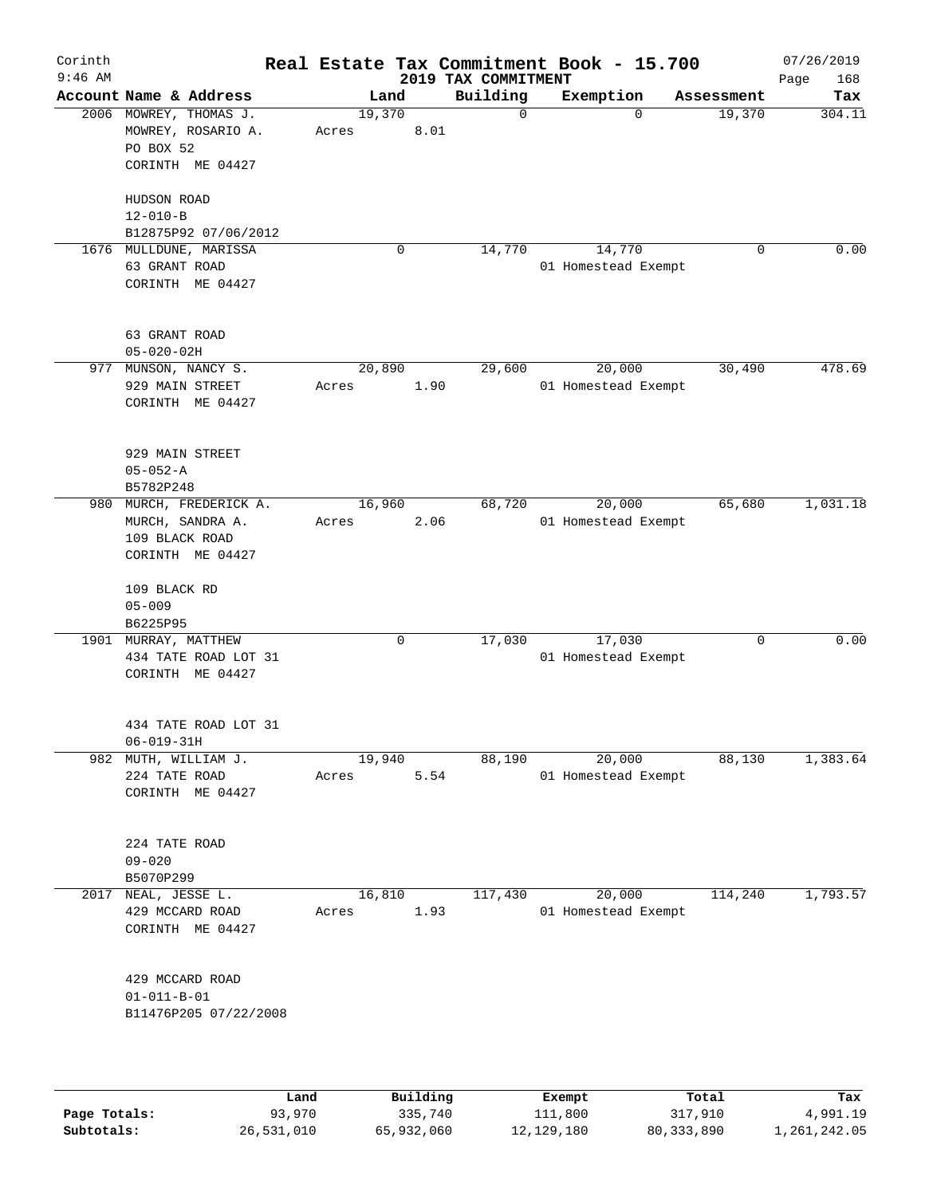| Corinth<br>$9:46$ AM |                                                                               |       |        |             |      | Real Estate Tax Commitment Book - 15.700<br>2019 TAX COMMITMENT |                               |             | 07/26/2019<br>168<br>Page |
|----------------------|-------------------------------------------------------------------------------|-------|--------|-------------|------|-----------------------------------------------------------------|-------------------------------|-------------|---------------------------|
|                      | Account Name & Address                                                        |       | Land   |             |      | Building                                                        | Exemption                     | Assessment  | Tax                       |
|                      | 2006 MOWREY, THOMAS J.<br>MOWREY, ROSARIO A.<br>PO BOX 52<br>CORINTH ME 04427 | Acres | 19,370 | 8.01        |      | $\mathbf 0$                                                     | $\Omega$                      | 19,370      | 304.11                    |
|                      | HUDSON ROAD<br>$12 - 010 - B$<br>B12875P92 07/06/2012                         |       |        |             |      |                                                                 |                               |             |                           |
|                      | 1676 MULLDUNE, MARISSA<br>63 GRANT ROAD<br>CORINTH ME 04427                   |       |        | $\mathbf 0$ |      | 14,770                                                          | 14,770<br>01 Homestead Exempt | $\mathbf 0$ | 0.00                      |
|                      | 63 GRANT ROAD<br>$05 - 020 - 02H$                                             |       |        |             |      |                                                                 |                               |             |                           |
|                      | 977 MUNSON, NANCY S.<br>929 MAIN STREET<br>CORINTH ME 04427                   | Acres | 20,890 | 1.90        |      | 29,600                                                          | 20,000<br>01 Homestead Exempt | 30,490      | 478.69                    |
|                      | 929 MAIN STREET<br>$05 - 052 - A$<br>B5782P248                                |       |        |             |      |                                                                 |                               |             |                           |
| 980                  | MURCH, FREDERICK A.<br>MURCH, SANDRA A.<br>109 BLACK ROAD<br>CORINTH ME 04427 | Acres | 16,960 | 2.06        |      | 68,720                                                          | 20,000<br>01 Homestead Exempt | 65,680      | 1,031.18                  |
|                      | 109 BLACK RD<br>$05 - 009$<br>B6225P95                                        |       |        |             |      |                                                                 |                               |             |                           |
|                      | 1901 MURRAY, MATTHEW<br>434 TATE ROAD LOT 31<br>CORINTH ME 04427              |       |        | $\mathbf 0$ |      | 17,030                                                          | 17,030<br>01 Homestead Exempt | $\mathbf 0$ | 0.00                      |
|                      | 434 TATE ROAD LOT 31<br>$06 - 019 - 31H$                                      |       |        |             |      |                                                                 |                               |             |                           |
|                      | 982 MUTH, WILLIAM J.<br>224 TATE ROAD<br>CORINTH ME 04427                     | Acres | 19,940 |             | 5.54 | 88,190                                                          | 20,000<br>01 Homestead Exempt | 88,130      | 1,383.64                  |
|                      | 224 TATE ROAD<br>$09 - 020$<br>B5070P299                                      |       |        |             |      |                                                                 |                               |             |                           |
|                      | 2017 NEAL, JESSE L.<br>429 MCCARD ROAD<br>CORINTH ME 04427                    | Acres | 16,810 | 1.93        |      | 117,430                                                         | 20,000<br>01 Homestead Exempt | 114,240     | 1,793.57                  |
|                      | 429 MCCARD ROAD<br>$01 - 011 - B - 01$<br>B11476P205 07/22/2008               |       |        |             |      |                                                                 |                               |             |                           |
|                      |                                                                               |       |        |             |      |                                                                 |                               |             |                           |

|              | Land       | Building   | Exempt     | Total        | Tax          |
|--------------|------------|------------|------------|--------------|--------------|
| Page Totals: | 93,970     | 335,740    | 111,800    | 317,910      | 4,991.19     |
| Subtotals:   | 26,531,010 | 65,932,060 | 12,129,180 | 80, 333, 890 | 1,261,242.05 |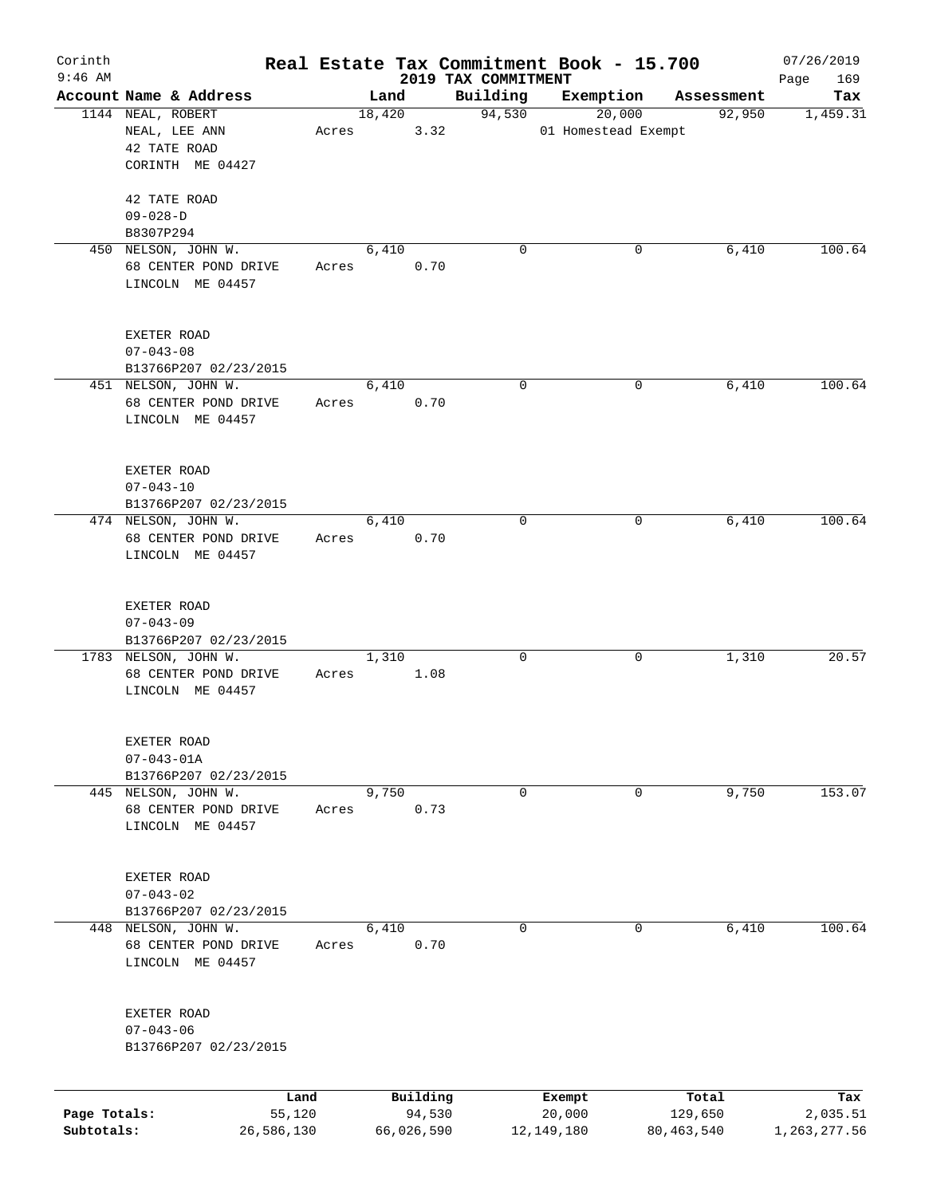| Corinth      |                                                                 |            |       |        |            |                                 | Real Estate Tax Commitment Book - 15.700 |                      | 07/26/2019         |
|--------------|-----------------------------------------------------------------|------------|-------|--------|------------|---------------------------------|------------------------------------------|----------------------|--------------------|
| $9:46$ AM    | Account Name & Address                                          |            |       | Land   |            | 2019 TAX COMMITMENT<br>Building | Exemption                                |                      | 169<br>Page<br>Tax |
|              | 1144 NEAL, ROBERT                                               |            |       | 18,420 |            | 94,530                          | 20,000                                   | Assessment<br>92,950 | 1,459.31           |
|              | NEAL, LEE ANN<br>42 TATE ROAD<br>CORINTH ME 04427               |            | Acres |        | 3.32       |                                 | 01 Homestead Exempt                      |                      |                    |
|              | 42 TATE ROAD<br>$09 - 028 - D$                                  |            |       |        |            |                                 |                                          |                      |                    |
|              | B8307P294                                                       |            |       |        |            |                                 |                                          |                      |                    |
|              | 450 NELSON, JOHN W.<br>68 CENTER POND DRIVE<br>LINCOLN ME 04457 |            | Acres | 6,410  | 0.70       | $\Omega$                        | 0                                        | 6,410                | 100.64             |
|              | EXETER ROAD<br>$07 - 043 - 08$<br>B13766P207 02/23/2015         |            |       |        |            |                                 |                                          |                      |                    |
|              | 451 NELSON, JOHN W.                                             |            |       | 6,410  |            | 0                               | 0                                        | 6,410                | 100.64             |
|              | 68 CENTER POND DRIVE<br>LINCOLN ME 04457                        |            | Acres |        | 0.70       |                                 |                                          |                      |                    |
|              | EXETER ROAD<br>$07 - 043 - 10$                                  |            |       |        |            |                                 |                                          |                      |                    |
|              | B13766P207 02/23/2015<br>474 NELSON, JOHN W.                    |            |       | 6,410  |            | 0                               | 0                                        | 6,410                | 100.64             |
|              | 68 CENTER POND DRIVE<br>LINCOLN ME 04457                        |            | Acres |        | 0.70       |                                 |                                          |                      |                    |
|              | EXETER ROAD<br>$07 - 043 - 09$                                  |            |       |        |            |                                 |                                          |                      |                    |
|              | B13766P207 02/23/2015<br>1783 NELSON, JOHN W.                   |            |       | 1,310  |            | 0                               | 0                                        | 1,310                | 20.57              |
|              | 68 CENTER POND DRIVE<br>LINCOLN ME 04457                        |            | Acres |        | 1.08       |                                 |                                          |                      |                    |
|              | EXETER ROAD<br>$07 - 043 - 01A$                                 |            |       |        |            |                                 |                                          |                      |                    |
|              | B13766P207 02/23/2015                                           |            |       | 9,750  |            |                                 |                                          | 9,750                | 153.07             |
|              | 445 NELSON, JOHN W.<br>68 CENTER POND DRIVE<br>LINCOLN ME 04457 |            | Acres |        | 0.73       | 0                               | 0                                        |                      |                    |
|              | EXETER ROAD<br>$07 - 043 - 02$                                  |            |       |        |            |                                 |                                          |                      |                    |
|              | B13766P207 02/23/2015<br>448 NELSON, JOHN W.                    |            |       | 6,410  |            | 0                               | 0                                        | 6,410                | 100.64             |
|              | 68 CENTER POND DRIVE<br>LINCOLN ME 04457                        |            | Acres |        | 0.70       |                                 |                                          |                      |                    |
|              | EXETER ROAD<br>$07 - 043 - 06$<br>B13766P207 02/23/2015         |            |       |        |            |                                 |                                          |                      |                    |
|              |                                                                 | Land       |       |        | Building   |                                 | Exempt                                   | Total                | Tax                |
| Page Totals: |                                                                 | 55,120     |       |        | 94,530     |                                 | 20,000                                   | 129,650              | 2,035.51           |
| Subtotals:   |                                                                 | 26,586,130 |       |        | 66,026,590 |                                 | 12, 149, 180                             | 80, 463, 540         | 1, 263, 277.56     |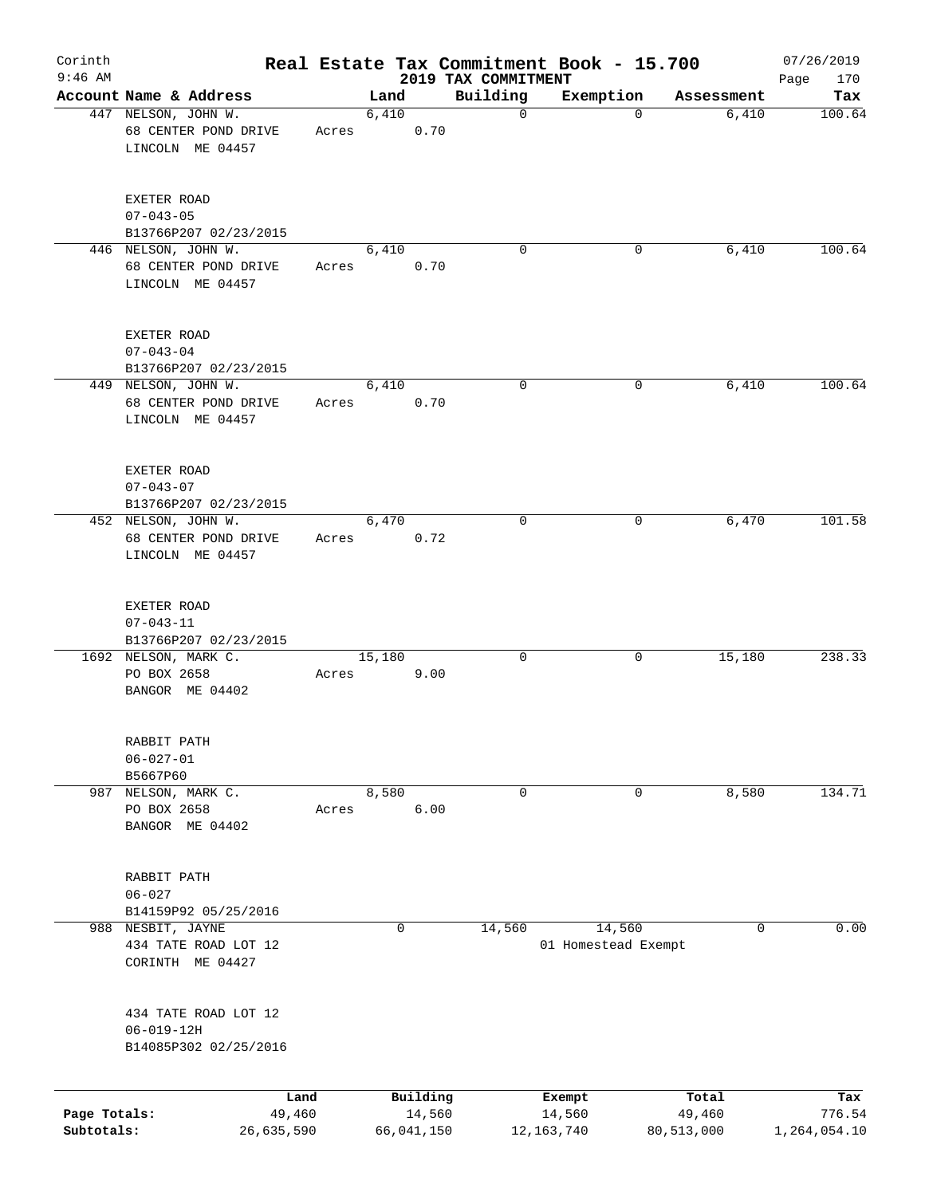| Corinth<br>$9:46$ AM       |                                                                   |                      |        |                      | 2019 TAX COMMITMENT | Real Estate Tax Commitment Book - 15.700 |                      | 07/26/2019<br>170<br>Page |
|----------------------------|-------------------------------------------------------------------|----------------------|--------|----------------------|---------------------|------------------------------------------|----------------------|---------------------------|
|                            | Account Name & Address                                            |                      | Land   |                      | Building            | Exemption                                | Assessment           | Tax                       |
|                            | 447 NELSON, JOHN W.<br>68 CENTER POND DRIVE<br>LINCOLN ME 04457   | Acres                | 6,410  | 0.70                 | 0                   | 0                                        | 6,410                | 100.64                    |
|                            | EXETER ROAD<br>$07 - 043 - 05$<br>B13766P207 02/23/2015           |                      |        |                      |                     |                                          |                      |                           |
|                            | 446 NELSON, JOHN W.<br>68 CENTER POND DRIVE<br>LINCOLN ME 04457   | Acres                | 6,410  | 0.70                 | 0                   | 0                                        | 6,410                | 100.64                    |
|                            | EXETER ROAD<br>$07 - 043 - 04$<br>B13766P207 02/23/2015           |                      |        |                      |                     |                                          |                      |                           |
|                            | 449 NELSON, JOHN W.<br>68 CENTER POND DRIVE<br>LINCOLN ME 04457   | Acres                | 6,410  | 0.70                 | 0                   | 0                                        | 6,410                | 100.64                    |
|                            | EXETER ROAD<br>$07 - 043 - 07$<br>B13766P207 02/23/2015           |                      |        |                      |                     |                                          |                      |                           |
|                            | 452 NELSON, JOHN W.<br>68 CENTER POND DRIVE<br>LINCOLN ME 04457   | Acres                | 6,470  | 0.72                 | $\mathbf 0$         | 0                                        | 6,470                | 101.58                    |
|                            | EXETER ROAD<br>$07 - 043 - 11$<br>B13766P207 02/23/2015           |                      |        |                      |                     |                                          |                      |                           |
|                            | 1692 NELSON, MARK C.<br>PO BOX 2658<br>BANGOR ME 04402            | Acres                | 15,180 | 9.00                 | 0                   | 0                                        | 15,180               | 238.33                    |
|                            | RABBIT PATH<br>$06 - 027 - 01$<br>B5667P60                        |                      |        |                      |                     |                                          |                      |                           |
| 987                        | NELSON, MARK C.<br>PO BOX 2658<br>BANGOR ME 04402                 | Acres                | 8,580  | 6.00                 | 0                   | 0                                        | 8,580                | 134.71                    |
|                            | RABBIT PATH<br>$06 - 027$<br>B14159P92 05/25/2016                 |                      |        |                      |                     |                                          |                      |                           |
|                            | 988 NESBIT, JAYNE<br>434 TATE ROAD LOT 12<br>CORINTH ME 04427     |                      |        | 0                    | 14,560              | 14,560<br>01 Homestead Exempt            | 0                    | 0.00                      |
|                            | 434 TATE ROAD LOT 12<br>$06 - 019 - 12H$<br>B14085P302 02/25/2016 |                      |        |                      |                     |                                          |                      |                           |
|                            |                                                                   | Land                 |        | Building             |                     | Exempt                                   | Total                | Tax                       |
| Page Totals:<br>Subtotals: |                                                                   | 49,460<br>26,635,590 |        | 14,560<br>66,041,150 |                     | 14,560<br>12, 163, 740                   | 49,460<br>80,513,000 | 776.54<br>1,264,054.10    |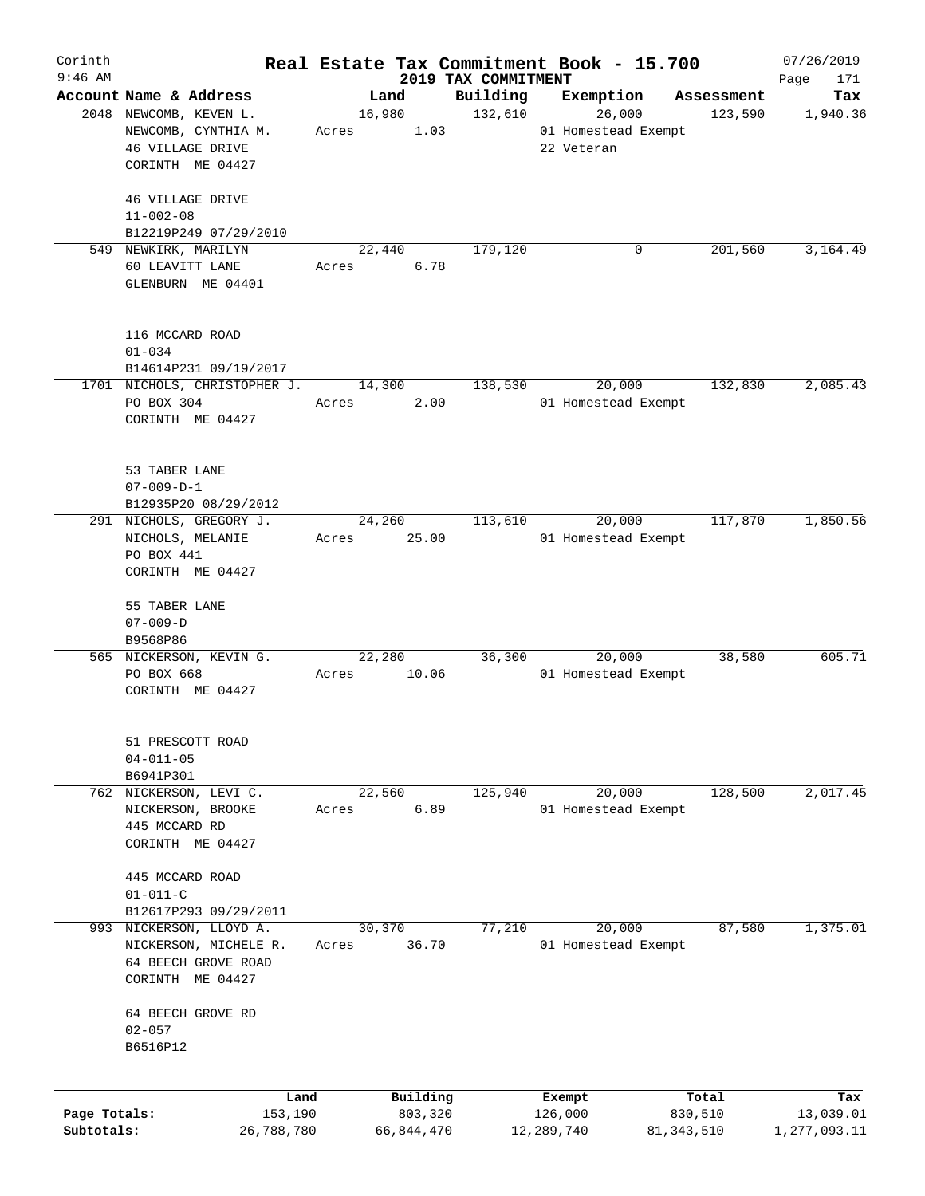| Corinth      |                                                  |       |                |                     |                     | Real Estate Tax Commitment Book - 15.700 |                       | 07/26/2019       |
|--------------|--------------------------------------------------|-------|----------------|---------------------|---------------------|------------------------------------------|-----------------------|------------------|
| $9:46$ AM    |                                                  |       |                |                     | 2019 TAX COMMITMENT |                                          |                       | Page<br>171      |
|              | Account Name & Address<br>2048 NEWCOMB, KEVEN L. |       | Land<br>16,980 |                     | Building<br>132,610 | Exemption<br>26,000                      | Assessment<br>123,590 | Tax<br>1,940.36  |
|              | NEWCOMB, CYNTHIA M.                              | Acres |                | 1.03                |                     | 01 Homestead Exempt                      |                       |                  |
|              | 46 VILLAGE DRIVE                                 |       |                |                     |                     | 22 Veteran                               |                       |                  |
|              | CORINTH ME 04427                                 |       |                |                     |                     |                                          |                       |                  |
|              |                                                  |       |                |                     |                     |                                          |                       |                  |
|              | 46 VILLAGE DRIVE                                 |       |                |                     |                     |                                          |                       |                  |
|              | $11 - 002 - 08$                                  |       |                |                     |                     |                                          |                       |                  |
|              | B12219P249 07/29/2010                            |       |                |                     |                     |                                          |                       |                  |
|              | 549 NEWKIRK, MARILYN                             |       | 22,440         |                     | 179,120             | 0                                        | 201,560               | 3,164.49         |
|              | 60 LEAVITT LANE                                  | Acres |                | 6.78                |                     |                                          |                       |                  |
|              | GLENBURN ME 04401                                |       |                |                     |                     |                                          |                       |                  |
|              |                                                  |       |                |                     |                     |                                          |                       |                  |
|              |                                                  |       |                |                     |                     |                                          |                       |                  |
|              | 116 MCCARD ROAD                                  |       |                |                     |                     |                                          |                       |                  |
|              | $01 - 034$                                       |       |                |                     |                     |                                          |                       |                  |
|              | B14614P231 09/19/2017                            |       |                |                     |                     |                                          |                       |                  |
|              | 1701 NICHOLS, CHRISTOPHER J.                     |       | 14,300         |                     | 138,530             | 20,000                                   | 132,830               | 2,085.43         |
|              | PO BOX 304                                       | Acres |                | 2.00                |                     | 01 Homestead Exempt                      |                       |                  |
|              | CORINTH ME 04427                                 |       |                |                     |                     |                                          |                       |                  |
|              |                                                  |       |                |                     |                     |                                          |                       |                  |
|              | 53 TABER LANE                                    |       |                |                     |                     |                                          |                       |                  |
|              | $07 - 009 - D - 1$                               |       |                |                     |                     |                                          |                       |                  |
|              | B12935P20 08/29/2012                             |       |                |                     |                     |                                          |                       |                  |
|              | 291 NICHOLS, GREGORY J.                          |       | 24,260         |                     | 113,610             | 20,000                                   | 117,870               | 1,850.56         |
|              | NICHOLS, MELANIE                                 | Acres |                | 25.00               |                     | 01 Homestead Exempt                      |                       |                  |
|              | PO BOX 441                                       |       |                |                     |                     |                                          |                       |                  |
|              | CORINTH ME 04427                                 |       |                |                     |                     |                                          |                       |                  |
|              |                                                  |       |                |                     |                     |                                          |                       |                  |
|              | 55 TABER LANE                                    |       |                |                     |                     |                                          |                       |                  |
|              | $07 - 009 - D$                                   |       |                |                     |                     |                                          |                       |                  |
|              | B9568P86                                         |       |                |                     |                     |                                          |                       |                  |
|              | 565 NICKERSON, KEVIN G.                          |       | 22,280         |                     | 36,300              | 20,000                                   | 38,580                | 605.71           |
|              | PO BOX 668                                       | Acres |                | 10.06               |                     | 01 Homestead Exempt                      |                       |                  |
|              | CORINTH ME 04427                                 |       |                |                     |                     |                                          |                       |                  |
|              |                                                  |       |                |                     |                     |                                          |                       |                  |
|              | 51 PRESCOTT ROAD                                 |       |                |                     |                     |                                          |                       |                  |
|              | $04 - 011 - 05$                                  |       |                |                     |                     |                                          |                       |                  |
|              | B6941P301                                        |       |                |                     |                     |                                          |                       |                  |
|              | 762 NICKERSON, LEVI C.                           |       | 22,560         |                     | 125,940             | 20,000                                   | 128,500               | 2,017.45         |
|              | NICKERSON, BROOKE                                | Acres |                | 6.89                |                     | 01 Homestead Exempt                      |                       |                  |
|              | 445 MCCARD RD                                    |       |                |                     |                     |                                          |                       |                  |
|              | CORINTH ME 04427                                 |       |                |                     |                     |                                          |                       |                  |
|              |                                                  |       |                |                     |                     |                                          |                       |                  |
|              | 445 MCCARD ROAD                                  |       |                |                     |                     |                                          |                       |                  |
|              | $01 - 011 - C$                                   |       |                |                     |                     |                                          |                       |                  |
|              | B12617P293 09/29/2011                            |       |                |                     |                     |                                          |                       |                  |
| 993          | NICKERSON, LLOYD A.                              |       | 30,370         |                     | 77,210              | 20,000                                   | 87,580                | 1,375.01         |
|              | NICKERSON, MICHELE R.                            | Acres |                | 36.70               |                     | 01 Homestead Exempt                      |                       |                  |
|              | 64 BEECH GROVE ROAD                              |       |                |                     |                     |                                          |                       |                  |
|              | CORINTH ME 04427                                 |       |                |                     |                     |                                          |                       |                  |
|              | 64 BEECH GROVE RD                                |       |                |                     |                     |                                          |                       |                  |
|              | $02 - 057$                                       |       |                |                     |                     |                                          |                       |                  |
|              | B6516P12                                         |       |                |                     |                     |                                          |                       |                  |
|              |                                                  |       |                |                     |                     |                                          |                       |                  |
|              |                                                  |       |                |                     |                     |                                          |                       |                  |
| Page Totals: | Land<br>153,190                                  |       |                | Building<br>803,320 |                     | Exempt<br>126,000                        | Total<br>830,510      | Tax<br>13,039.01 |
| Subtotals:   | 26,788,780                                       |       | 66,844,470     |                     |                     | 12,289,740                               | 81, 343, 510          | 1,277,093.11     |
|              |                                                  |       |                |                     |                     |                                          |                       |                  |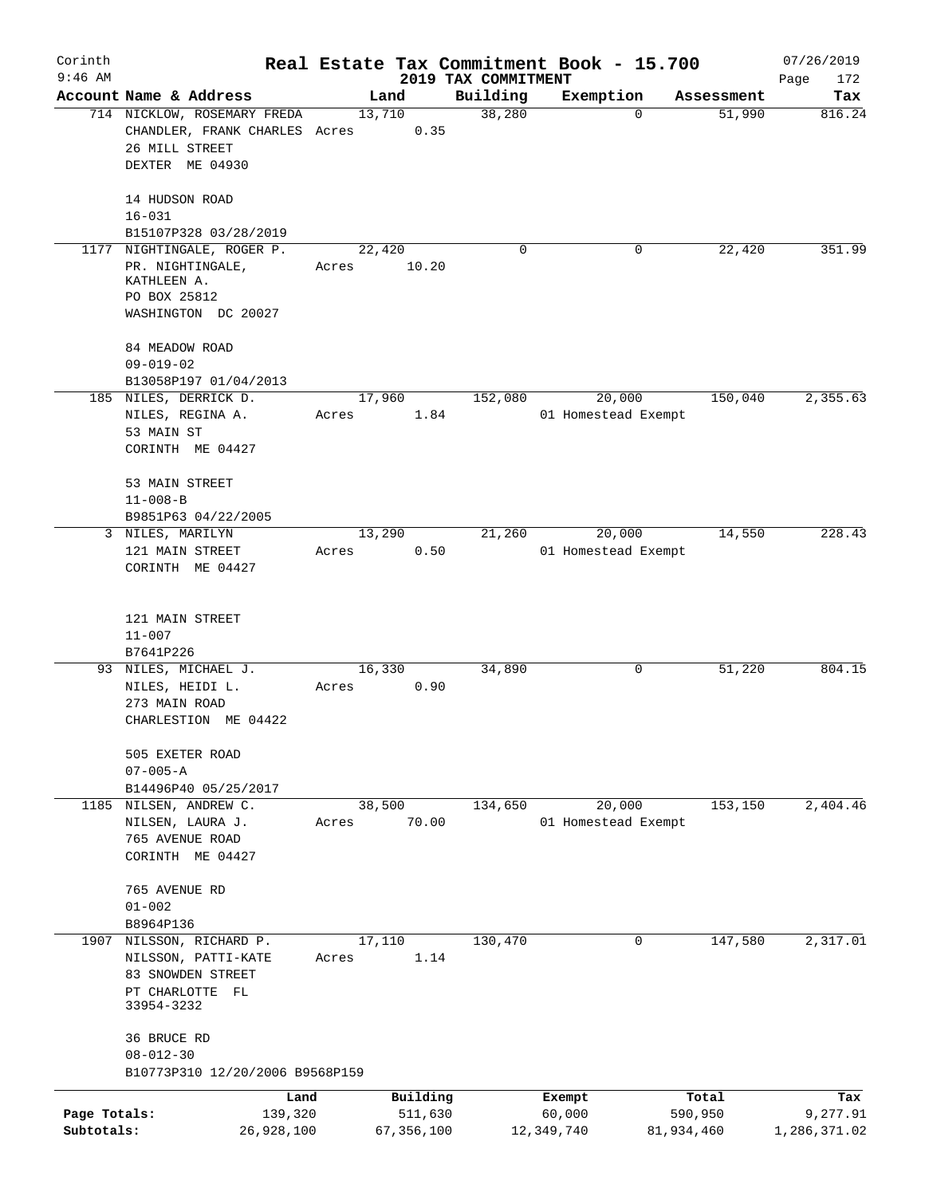| Corinth                    |                                                                                                   |       |                         |                                 | Real Estate Tax Commitment Book - 15.700 |                       | 07/26/2019               |
|----------------------------|---------------------------------------------------------------------------------------------------|-------|-------------------------|---------------------------------|------------------------------------------|-----------------------|--------------------------|
| $9:46$ AM                  | Account Name & Address                                                                            |       | Land                    | 2019 TAX COMMITMENT<br>Building | Exemption                                | Assessment            | Page<br>172<br>Tax       |
|                            | 714 NICKLOW, ROSEMARY FREDA<br>CHANDLER, FRANK CHARLES Acres<br>26 MILL STREET<br>DEXTER ME 04930 |       | 13,710<br>0.35          | 38,280                          |                                          | 51,990<br>0           | 816.24                   |
|                            | 14 HUDSON ROAD<br>$16 - 031$<br>B15107P328 03/28/2019                                             |       |                         |                                 |                                          |                       |                          |
| 1177                       | NIGHTINGALE, ROGER P.                                                                             |       | 22,420                  | 0                               |                                          | 22,420<br>0           | 351.99                   |
|                            | PR. NIGHTINGALE,<br>KATHLEEN A.<br>PO BOX 25812<br>WASHINGTON DC 20027                            | Acres | 10.20                   |                                 |                                          |                       |                          |
|                            | 84 MEADOW ROAD<br>$09 - 019 - 02$<br>B13058P197 01/04/2013                                        |       |                         |                                 |                                          |                       |                          |
|                            | 185 NILES, DERRICK D.<br>NILES, REGINA A.<br>53 MAIN ST<br>CORINTH ME 04427                       | Acres | 17,960<br>1.84          | 152,080                         | 20,000<br>01 Homestead Exempt            | 150,040               | 2, 355.63                |
|                            | 53 MAIN STREET<br>$11 - 008 - B$<br>B9851P63 04/22/2005                                           |       |                         |                                 |                                          |                       |                          |
|                            | 3 NILES, MARILYN                                                                                  |       | 13,290                  | 21,260                          | 20,000                                   | 14,550                | 228.43                   |
|                            | 121 MAIN STREET<br>CORINTH ME 04427                                                               | Acres | 0.50                    |                                 | 01 Homestead Exempt                      |                       |                          |
|                            | 121 MAIN STREET<br>$11 - 007$<br>B7641P226                                                        |       |                         |                                 |                                          |                       |                          |
|                            | 93 NILES, MICHAEL J.<br>NILES, HEIDI L.<br>273 MAIN ROAD<br>CHARLESTION ME 04422                  | Acres | 16,330<br>0.90          | 34,890                          |                                          | 0<br>51,220           | 804.15                   |
|                            | 505 EXETER ROAD<br>$07 - 005 - A$<br>B14496P40 05/25/2017                                         |       |                         |                                 |                                          |                       |                          |
| 1185                       | NILSEN, ANDREW C.<br>NILSEN, LAURA J.<br>765 AVENUE ROAD<br>CORINTH ME 04427                      | Acres | 38,500<br>70.00         | 134,650                         | 20,000<br>01 Homestead Exempt            | 153, 150              | 2,404.46                 |
|                            | 765 AVENUE RD<br>$01 - 002$<br>B8964P136                                                          |       |                         |                                 |                                          |                       |                          |
| 1907                       | NILSSON, RICHARD P.<br>NILSSON, PATTI-KATE<br>83 SNOWDEN STREET<br>PT CHARLOTTE FL<br>33954-3232  | Acres | 17,110<br>1.14          | 130,470                         |                                          | 147,580<br>0          | 2,317.01                 |
|                            | 36 BRUCE RD<br>$08 - 012 - 30$<br>B10773P310 12/20/2006 B9568P159                                 |       |                         |                                 |                                          |                       |                          |
|                            |                                                                                                   | Land  | Building                |                                 | Exempt                                   | Total                 | Tax                      |
| Page Totals:<br>Subtotals: | 139,320<br>26,928,100                                                                             |       | 511,630<br>67, 356, 100 |                                 | 60,000<br>12,349,740                     | 590,950<br>81,934,460 | 9,277.91<br>1,286,371.02 |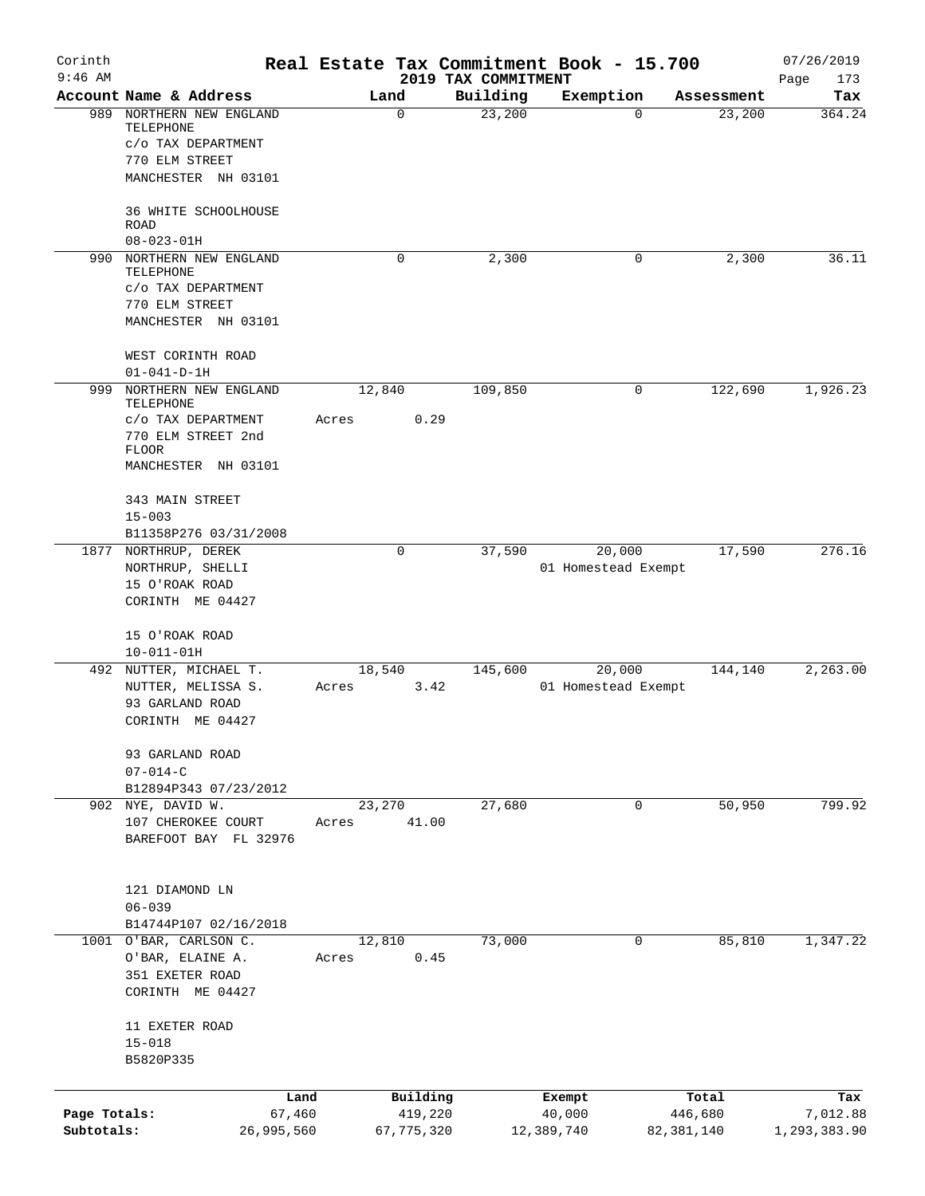| Corinth<br>$9:46$ AM       |                                                                               |                 |                         | 2019 TAX COMMITMENT | Real Estate Tax Commitment Book - 15.700 |   |                         | 07/26/2019<br>Page<br>173 |
|----------------------------|-------------------------------------------------------------------------------|-----------------|-------------------------|---------------------|------------------------------------------|---|-------------------------|---------------------------|
|                            | Account Name & Address                                                        | Land            |                         | Building            | Exemption                                |   | Assessment              | Tax                       |
| 989                        | NORTHERN NEW ENGLAND<br>TELEPHONE<br>C/O TAX DEPARTMENT<br>770 ELM STREET     |                 | 0                       | 23,200              |                                          | 0 | 23,200                  | 364.24                    |
|                            | MANCHESTER NH 03101<br>36 WHITE SCHOOLHOUSE                                   |                 |                         |                     |                                          |   |                         |                           |
|                            | <b>ROAD</b><br>$08 - 023 - 01H$                                               |                 |                         |                     |                                          |   |                         |                           |
| 990                        | NORTHERN NEW ENGLAND<br>TELEPHONE                                             |                 | 0                       | 2,300               |                                          | 0 | 2,300                   | 36.11                     |
|                            | C/O TAX DEPARTMENT<br>770 ELM STREET<br>MANCHESTER NH 03101                   |                 |                         |                     |                                          |   |                         |                           |
|                            | WEST CORINTH ROAD<br>$01 - 041 - D - 1H$                                      |                 |                         |                     |                                          |   |                         |                           |
| 999                        | NORTHERN NEW ENGLAND<br>TELEPHONE<br>C/O TAX DEPARTMENT<br>770 ELM STREET 2nd | 12,840<br>Acres | 0.29                    | 109,850             |                                          | 0 | 122,690                 | 1,926.23                  |
|                            | FLOOR<br>MANCHESTER NH 03101                                                  |                 |                         |                     |                                          |   |                         |                           |
|                            | 343 MAIN STREET<br>$15 - 003$                                                 |                 |                         |                     |                                          |   |                         |                           |
|                            | B11358P276 03/31/2008                                                         |                 |                         |                     |                                          |   |                         |                           |
|                            | 1877 NORTHRUP, DEREK                                                          |                 | $\mathbf 0$             | 37,590              | 20,000                                   |   | 17,590                  | 276.16                    |
|                            | NORTHRUP, SHELLI                                                              |                 |                         |                     | 01 Homestead Exempt                      |   |                         |                           |
|                            | 15 O'ROAK ROAD<br>CORINTH ME 04427                                            |                 |                         |                     |                                          |   |                         |                           |
|                            | 15 O'ROAK ROAD<br>$10 - 011 - 01H$                                            |                 |                         |                     |                                          |   |                         |                           |
|                            | 492 NUTTER, MICHAEL T.                                                        | 18,540          |                         | 145,600             | 20,000                                   |   | 144,140                 | 2,263.00                  |
|                            | NUTTER, MELISSA S.                                                            | Acres           | 3.42                    |                     | 01 Homestead Exempt                      |   |                         |                           |
|                            | 93 GARLAND ROAD<br>CORINTH ME 04427                                           |                 |                         |                     |                                          |   |                         |                           |
|                            | 93 GARLAND ROAD<br>$07 - 014 - C$                                             |                 |                         |                     |                                          |   |                         |                           |
|                            | B12894P343 07/23/2012                                                         |                 |                         |                     |                                          |   |                         |                           |
|                            | 902 NYE, DAVID W.<br>107 CHEROKEE COURT<br>BAREFOOT BAY FL 32976              | 23,270<br>Acres | 41.00                   | 27,680              |                                          | 0 | 50,950                  | 799.92                    |
|                            | 121 DIAMOND LN<br>$06 - 039$                                                  |                 |                         |                     |                                          |   |                         |                           |
|                            | B14744P107 02/16/2018                                                         |                 |                         |                     |                                          |   |                         |                           |
|                            | 1001 O'BAR, CARLSON C.                                                        | 12,810          |                         | 73,000              |                                          | 0 | 85,810                  | 1,347.22                  |
|                            | O'BAR, ELAINE A.<br>351 EXETER ROAD<br>CORINTH ME 04427                       | Acres           | 0.45                    |                     |                                          |   |                         |                           |
|                            | 11 EXETER ROAD<br>$15 - 018$<br>B5820P335                                     |                 |                         |                     |                                          |   |                         |                           |
|                            |                                                                               |                 |                         |                     |                                          |   |                         |                           |
|                            | Land                                                                          |                 | Building                |                     | Exempt                                   |   | Total                   | Tax                       |
| Page Totals:<br>Subtotals: | 67,460<br>26,995,560                                                          |                 | 419,220<br>67, 775, 320 |                     | 40,000<br>12,389,740                     |   | 446,680<br>82, 381, 140 | 7,012.88<br>1,293,383.90  |
|                            |                                                                               |                 |                         |                     |                                          |   |                         |                           |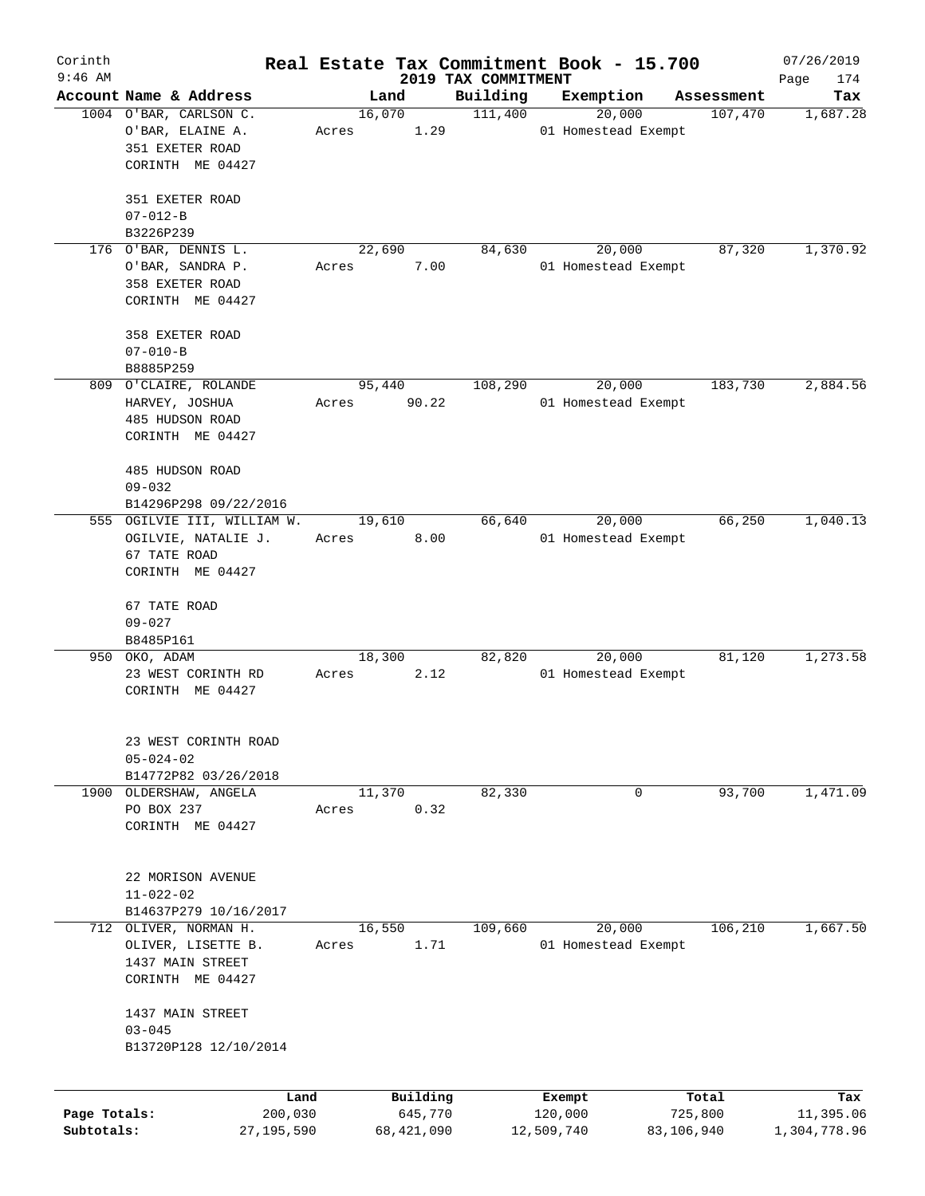| Corinth      |                                            |         |       |                |              | Real Estate Tax Commitment Book - 15.700 |                     |                     |                       | 07/26/2019      |
|--------------|--------------------------------------------|---------|-------|----------------|--------------|------------------------------------------|---------------------|---------------------|-----------------------|-----------------|
| $9:46$ AM    | Account Name & Address                     |         |       |                |              | 2019 TAX COMMITMENT                      |                     |                     |                       | 174<br>Page     |
|              | 1004 O'BAR, CARLSON C.                     |         |       | Land<br>16,070 |              | Building<br>111,400                      | Exemption           | 20,000              | Assessment<br>107,470 | Tax<br>1,687.28 |
|              | O'BAR, ELAINE A.                           |         | Acres |                | 1.29         |                                          |                     | 01 Homestead Exempt |                       |                 |
|              | 351 EXETER ROAD                            |         |       |                |              |                                          |                     |                     |                       |                 |
|              | CORINTH ME 04427                           |         |       |                |              |                                          |                     |                     |                       |                 |
|              | 351 EXETER ROAD                            |         |       |                |              |                                          |                     |                     |                       |                 |
|              | $07 - 012 - B$                             |         |       |                |              |                                          |                     |                     |                       |                 |
|              | B3226P239                                  |         |       |                |              |                                          |                     |                     |                       |                 |
|              | 176 O'BAR, DENNIS L.                       |         |       | 22,690         |              | 84,630                                   |                     | 20,000              | 87,320                | 1,370.92        |
|              | O'BAR, SANDRA P.                           |         | Acres |                | 7.00         |                                          |                     | 01 Homestead Exempt |                       |                 |
|              | 358 EXETER ROAD                            |         |       |                |              |                                          |                     |                     |                       |                 |
|              | CORINTH ME 04427                           |         |       |                |              |                                          |                     |                     |                       |                 |
|              | 358 EXETER ROAD                            |         |       |                |              |                                          |                     |                     |                       |                 |
|              | $07 - 010 - B$                             |         |       |                |              |                                          |                     |                     |                       |                 |
|              | B8885P259                                  |         |       |                |              |                                          |                     |                     |                       |                 |
|              | 809 O'CLAIRE, ROLANDE                      |         |       | 95,440         |              | 108,290                                  |                     | 20,000              | 183,730               | 2,884.56        |
|              | HARVEY, JOSHUA                             |         | Acres |                | 90.22        |                                          |                     | 01 Homestead Exempt |                       |                 |
|              | 485 HUDSON ROAD                            |         |       |                |              |                                          |                     |                     |                       |                 |
|              | CORINTH ME 04427                           |         |       |                |              |                                          |                     |                     |                       |                 |
|              | 485 HUDSON ROAD                            |         |       |                |              |                                          |                     |                     |                       |                 |
|              | $09 - 032$                                 |         |       |                |              |                                          |                     |                     |                       |                 |
|              | B14296P298 09/22/2016                      |         |       |                |              |                                          |                     |                     |                       |                 |
|              | 555 OGILVIE III, WILLIAM W.                |         |       | 19,610         |              | 66,640                                   |                     | 20,000              | 66,250                | 1,040.13        |
|              | OGILVIE, NATALIE J.                        |         | Acres |                | 8.00         |                                          |                     | 01 Homestead Exempt |                       |                 |
|              | 67 TATE ROAD                               |         |       |                |              |                                          |                     |                     |                       |                 |
|              | CORINTH ME 04427                           |         |       |                |              |                                          |                     |                     |                       |                 |
|              | 67 TATE ROAD                               |         |       |                |              |                                          |                     |                     |                       |                 |
|              | $09 - 027$                                 |         |       |                |              |                                          |                     |                     |                       |                 |
|              | B8485P161                                  |         |       |                |              |                                          |                     |                     |                       |                 |
|              | 950 OKO, ADAM                              |         |       | 18,300         |              | 82,820                                   |                     | 20,000              | 81,120                | 1,273.58        |
|              | 23 WEST CORINTH RD                         |         | Acres |                | 2.12         |                                          |                     | 01 Homestead Exempt |                       |                 |
|              | CORINTH ME 04427                           |         |       |                |              |                                          |                     |                     |                       |                 |
|              |                                            |         |       |                |              |                                          |                     |                     |                       |                 |
|              | 23 WEST CORINTH ROAD                       |         |       |                |              |                                          |                     |                     |                       |                 |
|              | $05 - 024 - 02$                            |         |       |                |              |                                          |                     |                     |                       |                 |
|              | B14772P82 03/26/2018                       |         |       |                |              |                                          |                     |                     |                       |                 |
|              | 1900 OLDERSHAW, ANGELA                     |         |       | 11,370         |              | 82,330                                   |                     | 0                   | 93,700                | 1,471.09        |
|              | PO BOX 237                                 |         | Acres |                | 0.32         |                                          |                     |                     |                       |                 |
|              | CORINTH ME 04427                           |         |       |                |              |                                          |                     |                     |                       |                 |
|              |                                            |         |       |                |              |                                          |                     |                     |                       |                 |
|              | 22 MORISON AVENUE                          |         |       |                |              |                                          |                     |                     |                       |                 |
|              | $11 - 022 - 02$                            |         |       |                |              |                                          |                     |                     |                       |                 |
| 712          | B14637P279 10/16/2017<br>OLIVER, NORMAN H. |         |       | 16,550         |              | 109,660                                  |                     | 20,000              | 106,210               | 1,667.50        |
|              | OLIVER, LISETTE B.                         |         | Acres |                | 1.71         |                                          | 01 Homestead Exempt |                     |                       |                 |
|              | 1437 MAIN STREET                           |         |       |                |              |                                          |                     |                     |                       |                 |
|              | CORINTH ME 04427                           |         |       |                |              |                                          |                     |                     |                       |                 |
|              | 1437 MAIN STREET                           |         |       |                |              |                                          |                     |                     |                       |                 |
|              | $03 - 045$                                 |         |       |                |              |                                          |                     |                     |                       |                 |
|              | B13720P128 12/10/2014                      |         |       |                |              |                                          |                     |                     |                       |                 |
|              |                                            |         |       |                |              |                                          |                     |                     |                       |                 |
|              |                                            | Land    |       |                | Building     |                                          | Exempt              |                     | Total                 | Tax             |
| Page Totals: |                                            | 200,030 |       |                | 645,770      |                                          | 120,000             |                     | 725,800               | 11,395.06       |
| Subtotals:   | 27, 195, 590                               |         |       |                | 68, 421, 090 |                                          | 12,509,740          | 83,106,940          |                       | 1,304,778.96    |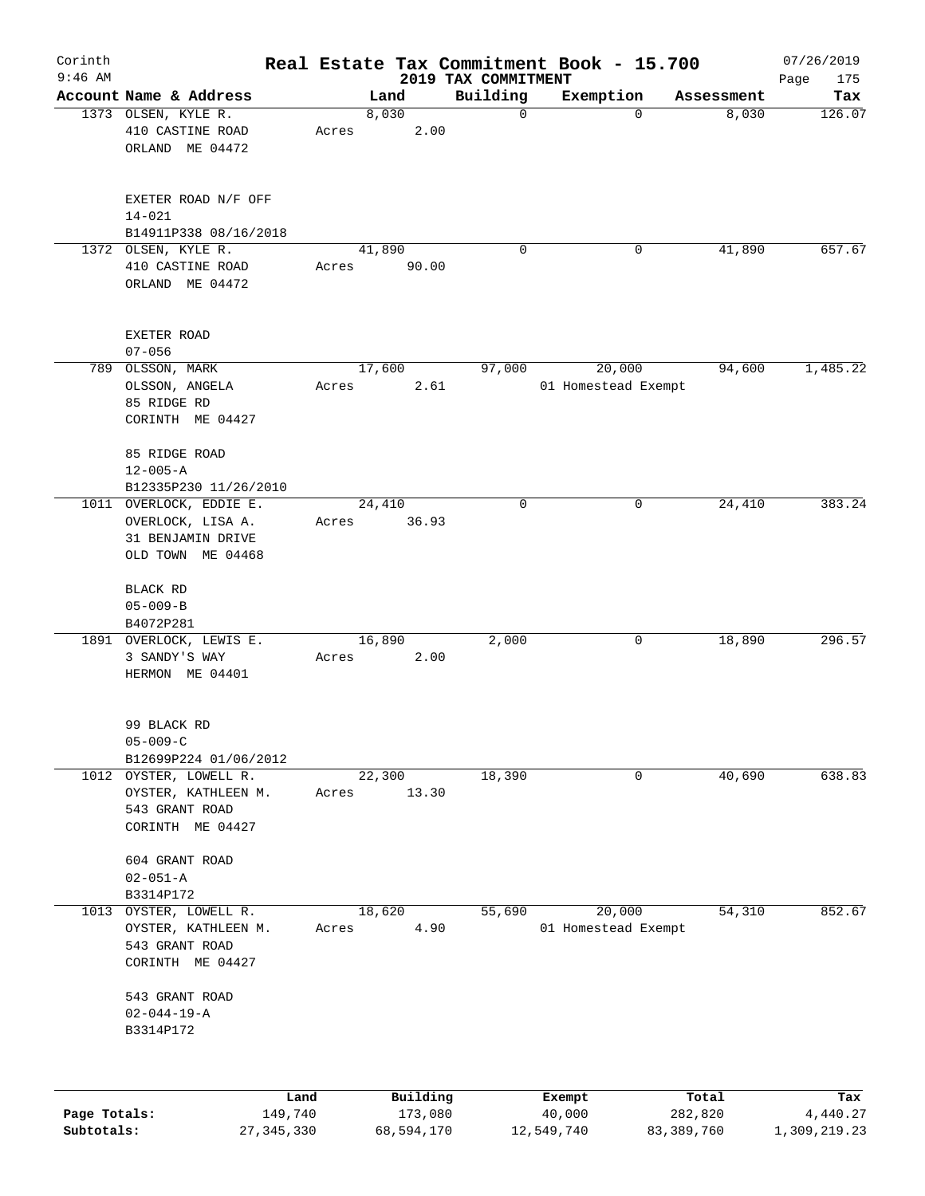| $9:46$ AM    |                                                                                        |                 |                     | 2019 TAX COMMITMENT | Real Estate Tax Commitment Book - 15.700 |                  | 07/26/2019<br>Page<br>175 |
|--------------|----------------------------------------------------------------------------------------|-----------------|---------------------|---------------------|------------------------------------------|------------------|---------------------------|
|              | Account Name & Address                                                                 | Land            |                     | Building            | Exemption                                | Assessment       | Tax                       |
|              | 1373 OLSEN, KYLE R.<br>410 CASTINE ROAD<br>ORLAND ME 04472                             | 8,030<br>Acres  | 2.00                | $\mathbf 0$         | $\Omega$                                 | 8,030            | 126.07                    |
|              | EXETER ROAD N/F OFF<br>$14 - 021$<br>B14911P338 08/16/2018                             |                 |                     |                     |                                          |                  |                           |
|              | 1372 OLSEN, KYLE R.<br>410 CASTINE ROAD<br>ORLAND ME 04472                             | 41,890<br>Acres | 90.00               | 0                   | 0                                        | 41,890           | 657.67                    |
|              | EXETER ROAD<br>$07 - 056$                                                              |                 |                     |                     |                                          |                  |                           |
|              | 789 OLSSON, MARK<br>OLSSON, ANGELA<br>85 RIDGE RD<br>CORINTH ME 04427                  | 17,600<br>Acres | 2.61                | 97,000              | 20,000<br>01 Homestead Exempt            | 94,600           | 1,485.22                  |
|              | 85 RIDGE ROAD<br>$12 - 005 - A$<br>B12335P230 11/26/2010                               |                 |                     |                     |                                          |                  |                           |
|              | 1011 OVERLOCK, EDDIE E.<br>OVERLOCK, LISA A.<br>31 BENJAMIN DRIVE<br>OLD TOWN ME 04468 | 24,410<br>Acres | 36.93               | 0                   | 0                                        | 24,410           | 383.24                    |
|              | BLACK RD<br>$05 - 009 - B$<br>B4072P281                                                |                 |                     |                     |                                          |                  |                           |
|              | 1891 OVERLOCK, LEWIS E.<br>3 SANDY'S WAY<br>HERMON ME 04401                            | 16,890<br>Acres | 2.00                | 2,000               | 0                                        | 18,890           | 296.57                    |
|              | 99 BLACK RD<br>$05 - 009 - C$<br>B12699P224 01/06/2012                                 |                 |                     |                     |                                          |                  |                           |
|              | 1012 OYSTER, LOWELL R.<br>OYSTER, KATHLEEN M.<br>543 GRANT ROAD<br>CORINTH ME 04427    | 22,300<br>Acres | 13.30               | 18,390              |                                          | 40,690<br>0      | 638.83                    |
|              | 604 GRANT ROAD<br>$02 - 051 - A$<br>B3314P172                                          |                 |                     |                     |                                          |                  |                           |
| 1013         | OYSTER, LOWELL R.<br>OYSTER, KATHLEEN M.<br>543 GRANT ROAD<br>CORINTH ME 04427         | 18,620<br>Acres | 4.90                | 55,690              | 20,000<br>01 Homestead Exempt            | 54,310           | 852.67                    |
|              | 543 GRANT ROAD<br>$02 - 044 - 19 - A$<br>B3314P172                                     |                 |                     |                     |                                          |                  |                           |
| Page Totals: | 149,740                                                                                | Land            | Building<br>173,080 |                     | Exempt<br>40,000                         | Total<br>282,820 | Tax<br>4,440.27           |

**Subtotals:** 27,345,330 68,594,170 12,549,740 83,389,760 1,309,219.23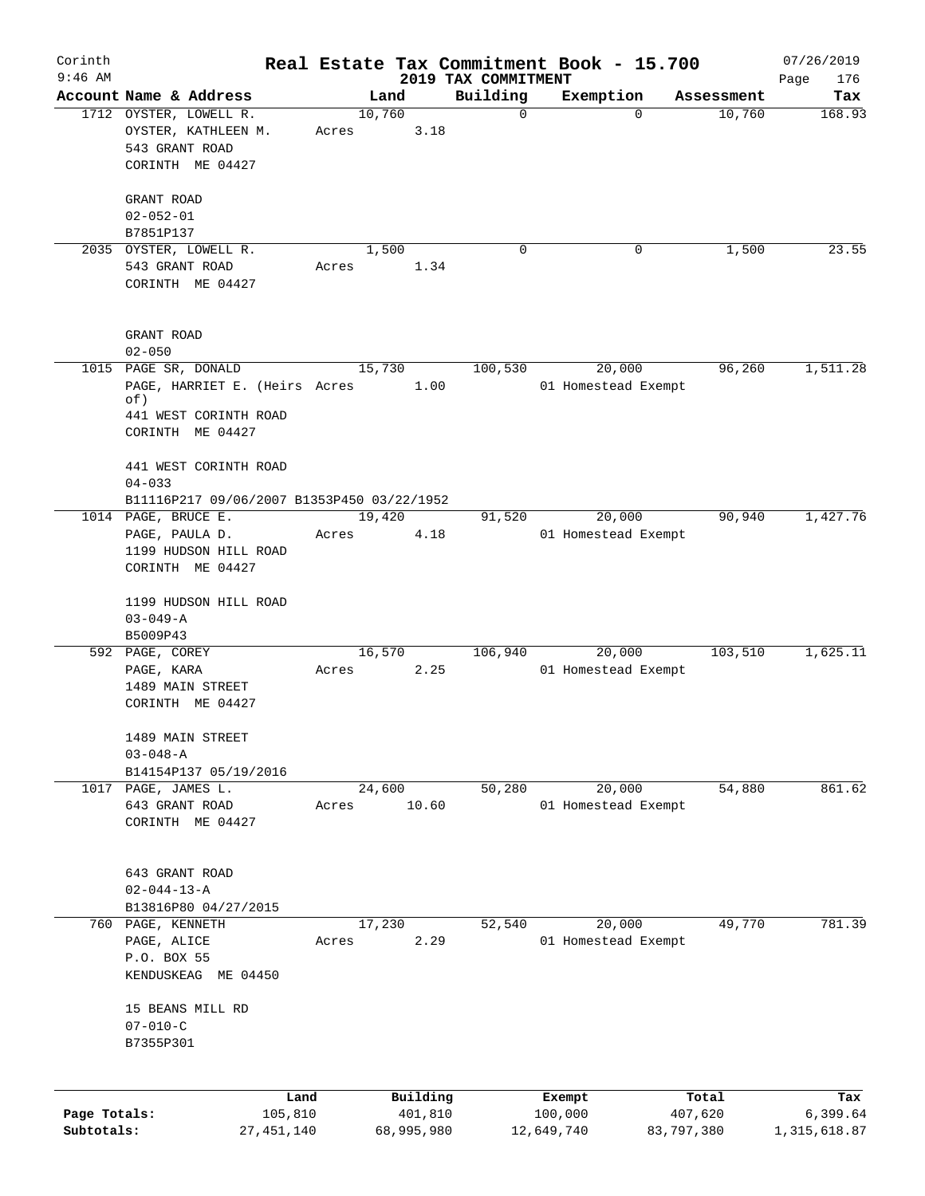| Corinth                    |                                                                 |       |                       |                                 | Real Estate Tax Commitment Book - 15.700 |                     |                       | 07/26/2019                 |
|----------------------------|-----------------------------------------------------------------|-------|-----------------------|---------------------------------|------------------------------------------|---------------------|-----------------------|----------------------------|
| $9:46$ AM                  | Account Name & Address                                          |       | Land                  | 2019 TAX COMMITMENT<br>Building |                                          |                     |                       | Page<br>176<br>Tax         |
|                            | 1712 OYSTER, LOWELL R.<br>OYSTER, KATHLEEN M.<br>543 GRANT ROAD | Acres | 10,760<br>3.18        |                                 | Exemption<br>$\mathbf 0$                 | $\Omega$            | Assessment<br>10,760  | 168.93                     |
|                            | CORINTH ME 04427                                                |       |                       |                                 |                                          |                     |                       |                            |
|                            | GRANT ROAD<br>$02 - 052 - 01$                                   |       |                       |                                 |                                          |                     |                       |                            |
|                            | B7851P137                                                       |       |                       |                                 | $\Omega$                                 | 0                   | 1,500                 | 23.55                      |
|                            | 2035 OYSTER, LOWELL R.<br>543 GRANT ROAD<br>CORINTH ME 04427    | Acres | 1,500<br>1.34         |                                 |                                          |                     |                       |                            |
|                            | GRANT ROAD<br>$02 - 050$                                        |       |                       |                                 |                                          |                     |                       |                            |
|                            | 1015 PAGE SR, DONALD                                            |       | 15,730                | 100,530                         |                                          | 20,000              | 96,260                | 1,511.28                   |
|                            | PAGE, HARRIET E. (Heirs Acres<br>of)                            |       | 1.00                  |                                 |                                          | 01 Homestead Exempt |                       |                            |
|                            | 441 WEST CORINTH ROAD<br>CORINTH ME 04427                       |       |                       |                                 |                                          |                     |                       |                            |
|                            | 441 WEST CORINTH ROAD<br>$04 - 033$                             |       |                       |                                 |                                          |                     |                       |                            |
|                            | B11116P217 09/06/2007 B1353P450 03/22/1952                      |       |                       |                                 |                                          |                     |                       |                            |
|                            | 1014 PAGE, BRUCE E.                                             |       | 19,420                | 91,520                          |                                          | 20,000              | 90,940                | 1,427.76                   |
|                            | PAGE, PAULA D.<br>1199 HUDSON HILL ROAD                         | Acres |                       | 4.18                            |                                          | 01 Homestead Exempt |                       |                            |
|                            | CORINTH ME 04427                                                |       |                       |                                 |                                          |                     |                       |                            |
|                            | 1199 HUDSON HILL ROAD<br>$03 - 049 - A$                         |       |                       |                                 |                                          |                     |                       |                            |
|                            | B5009P43<br>592 PAGE, COREY                                     |       | 16,570                | 106,940                         |                                          | 20,000              | 103,510               | 1,625.11                   |
|                            | PAGE, KARA<br>1489 MAIN STREET<br>CORINTH ME 04427              | Acres |                       | 2.25                            |                                          | 01 Homestead Exempt |                       |                            |
|                            | 1489 MAIN STREET                                                |       |                       |                                 |                                          |                     |                       |                            |
|                            | $03 - 048 - A$<br>B14154P137 05/19/2016                         |       |                       |                                 |                                          |                     |                       |                            |
|                            | 1017 PAGE, JAMES L.                                             |       | 24,600                | 50,280                          |                                          | 20,000              | 54,880                | 861.62                     |
|                            | 643 GRANT ROAD<br>CORINTH ME 04427                              | Acres | 10.60                 |                                 |                                          | 01 Homestead Exempt |                       |                            |
|                            | 643 GRANT ROAD<br>$02 - 044 - 13 - A$                           |       |                       |                                 |                                          |                     |                       |                            |
|                            | B13816P80 04/27/2015                                            |       |                       |                                 |                                          |                     |                       |                            |
|                            | 760 PAGE, KENNETH                                               |       | 17,230                | 52,540                          |                                          | 20,000              | 49,770                | 781.39                     |
|                            | PAGE, ALICE<br>P.O. BOX 55                                      | Acres | 2.29                  |                                 |                                          | 01 Homestead Exempt |                       |                            |
|                            | KENDUSKEAG ME 04450                                             |       |                       |                                 |                                          |                     |                       |                            |
|                            | 15 BEANS MILL RD<br>$07 - 010 - C$                              |       |                       |                                 |                                          |                     |                       |                            |
|                            | B7355P301                                                       |       |                       |                                 |                                          |                     |                       |                            |
|                            |                                                                 | Land  | Building              |                                 | Exempt                                   |                     | Total                 | Tax                        |
| Page Totals:<br>Subtotals: | 105,810<br>27, 451, 140                                         |       | 401,810<br>68,995,980 |                                 | 100,000<br>12,649,740                    |                     | 407,620<br>83,797,380 | 6,399.64<br>1, 315, 618.87 |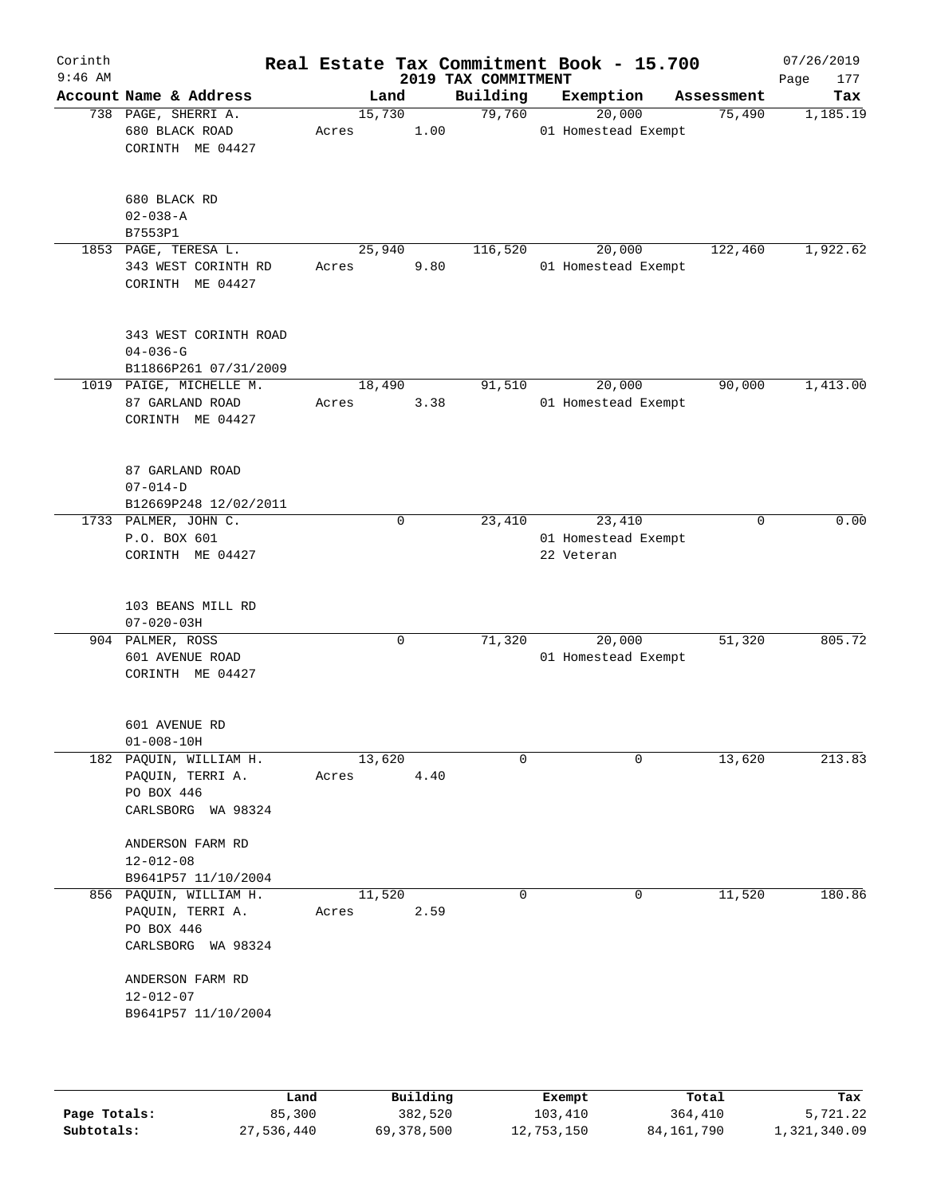| Corinth<br>$9:46$ AM |                                                                                |                 |             | 2019 TAX COMMITMENT | Real Estate Tax Commitment Book - 15.700    |             | 07/26/2019<br>177<br>Page |
|----------------------|--------------------------------------------------------------------------------|-----------------|-------------|---------------------|---------------------------------------------|-------------|---------------------------|
|                      | Account Name & Address                                                         | Land            |             | Building            | Exemption                                   | Assessment  | Tax                       |
|                      | 738 PAGE, SHERRI A.<br>680 BLACK ROAD<br>CORINTH ME 04427                      | 15,730<br>Acres | 1.00        | 79,760              | 20,000<br>01 Homestead Exempt               | 75,490      | 1,185.19                  |
|                      | 680 BLACK RD<br>$02 - 038 - A$<br>B7553P1                                      |                 |             |                     |                                             |             |                           |
|                      | 1853 PAGE, TERESA L.<br>343 WEST CORINTH RD<br>CORINTH ME 04427                | 25,940<br>Acres | 9.80        | 116,520             | 20,000<br>01 Homestead Exempt               | 122,460     | 1,922.62                  |
|                      | 343 WEST CORINTH ROAD<br>$04 - 036 - G$<br>B11866P261 07/31/2009               |                 |             |                     |                                             |             |                           |
|                      | 1019 PAIGE, MICHELLE M.<br>87 GARLAND ROAD<br>CORINTH ME 04427                 | 18,490<br>Acres | 3.38        | 91,510              | 20,000<br>01 Homestead Exempt               | 90,000      | 1,413.00                  |
|                      | 87 GARLAND ROAD<br>$07 - 014 - D$<br>B12669P248 12/02/2011                     |                 |             |                     |                                             |             |                           |
|                      | 1733 PALMER, JOHN C.<br>P.O. BOX 601<br>CORINTH ME 04427                       |                 | $\mathbf 0$ | 23,410              | 23,410<br>01 Homestead Exempt<br>22 Veteran | $\mathbf 0$ | 0.00                      |
|                      | 103 BEANS MILL RD<br>$07 - 020 - 03H$                                          |                 |             |                     |                                             |             |                           |
|                      | 904 PALMER, ROSS<br>601 AVENUE ROAD<br>CORINTH ME 04427                        |                 | $\mathbf 0$ | 71,320              | 20,000<br>01 Homestead Exempt               | 51,320      | 805.72                    |
|                      | 601 AVENUE RD<br>$01 - 008 - 10H$                                              |                 |             |                     |                                             |             |                           |
|                      | 182 PAQUIN, WILLIAM H.<br>PAQUIN, TERRI A.<br>PO BOX 446<br>CARLSBORG WA 98324 | 13,620<br>Acres | 4.40        | $\Omega$            | $\Omega$                                    | 13,620      | 213.83                    |
|                      | ANDERSON FARM RD<br>$12 - 012 - 08$<br>B9641P57 11/10/2004                     |                 |             |                     |                                             |             |                           |
|                      | 856 PAQUIN, WILLIAM H.<br>PAQUIN, TERRI A.<br>PO BOX 446<br>CARLSBORG WA 98324 | 11,520<br>Acres | 2.59        | $\mathbf 0$         | 0                                           | 11,520      | 180.86                    |
|                      | ANDERSON FARM RD<br>$12 - 012 - 07$<br>B9641P57 11/10/2004                     |                 |             |                     |                                             |             |                           |
|                      |                                                                                |                 |             |                     |                                             |             |                           |

|              | Land       | Building   | Exempt     | Total      | Tax          |
|--------------|------------|------------|------------|------------|--------------|
| Page Totals: | 85,300     | 382,520    | 103,410    | 364,410    | 5,721.22     |
| Subtotals:   | 27,536,440 | 69,378,500 | 12,753,150 | 84,161,790 | 1,321,340.09 |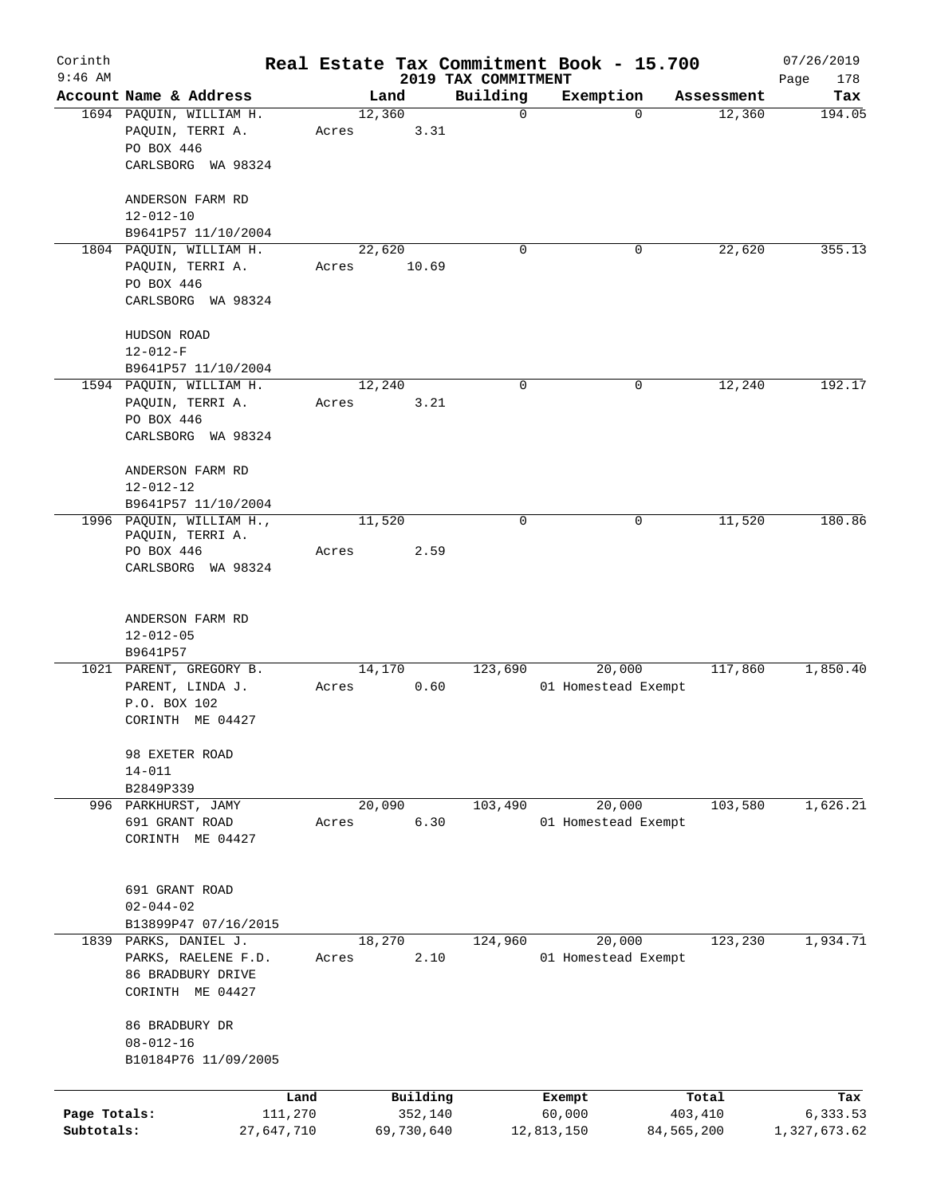| Corinth<br>$9:46$ AM       |                                                                                       |                 |                       |                                 | Real Estate Tax Commitment Book - 15.700 |                       | 07/26/2019               |
|----------------------------|---------------------------------------------------------------------------------------|-----------------|-----------------------|---------------------------------|------------------------------------------|-----------------------|--------------------------|
|                            | Account Name & Address                                                                | Land            |                       | 2019 TAX COMMITMENT<br>Building | Exemption                                | Assessment            | Page<br>178<br>Tax       |
|                            | 1694 PAQUIN, WILLIAM H.<br>PAQUIN, TERRI A.<br>PO BOX 446<br>CARLSBORG WA 98324       | 12,360<br>Acres | 3.31                  | $\mathbf 0$                     | $\Omega$                                 | 12,360                | 194.05                   |
|                            | ANDERSON FARM RD<br>$12 - 012 - 10$<br>B9641P57 11/10/2004                            |                 |                       |                                 |                                          |                       |                          |
|                            | 1804 PAQUIN, WILLIAM H.                                                               | 22,620          |                       | $\mathbf 0$                     | 0                                        | 22,620                | 355.13                   |
|                            | PAQUIN, TERRI A.<br>PO BOX 446<br>CARLSBORG WA 98324                                  | Acres           | 10.69                 |                                 |                                          |                       |                          |
|                            | HUDSON ROAD<br>$12 - 012 - F$                                                         |                 |                       |                                 |                                          |                       |                          |
|                            | B9641P57 11/10/2004                                                                   |                 |                       |                                 |                                          |                       |                          |
|                            | 1594 PAQUIN, WILLIAM H.<br>PAQUIN, TERRI A.<br>PO BOX 446<br>CARLSBORG WA 98324       | 12,240<br>Acres | 3.21                  | $\mathbf 0$                     | 0                                        | 12,240                | 192.17                   |
|                            | ANDERSON FARM RD<br>$12 - 012 - 12$                                                   |                 |                       |                                 |                                          |                       |                          |
|                            | B9641P57 11/10/2004                                                                   |                 |                       |                                 |                                          |                       |                          |
|                            | 1996 PAQUIN, WILLIAM H.,<br>PAQUIN, TERRI A.<br>PO BOX 446<br>CARLSBORG WA 98324      | 11,520<br>Acres | 2.59                  | $\mathbf 0$                     | 0                                        | 11,520                | 180.86                   |
|                            | ANDERSON FARM RD<br>$12 - 012 - 05$<br>B9641P57                                       |                 |                       |                                 |                                          |                       |                          |
|                            | 1021 PARENT, GREGORY B.<br>PARENT, LINDA J.<br>P.O. BOX 102<br>CORINTH ME 04427       | 14,170<br>Acres | 0.60                  | 123,690                         | 20,000<br>01 Homestead Exempt            | 117,860               | 1,850.40                 |
|                            | 98 EXETER ROAD<br>$14 - 011$<br>B2849P339                                             |                 |                       |                                 |                                          |                       |                          |
|                            | 996 PARKHURST, JAMY<br>691 GRANT ROAD<br>CORINTH ME 04427                             | 20,090<br>Acres | 6.30                  | 103,490                         | 20,000<br>01 Homestead Exempt            | 103,580               | 1,626.21                 |
|                            | 691 GRANT ROAD<br>$02 - 044 - 02$<br>B13899P47 07/16/2015                             |                 |                       |                                 |                                          |                       |                          |
|                            | 1839 PARKS, DANIEL J.<br>PARKS, RAELENE F.D.<br>86 BRADBURY DRIVE<br>CORINTH ME 04427 | 18,270<br>Acres | 2.10                  | 124,960                         | 20,000<br>01 Homestead Exempt            | 123,230               | 1,934.71                 |
|                            | 86 BRADBURY DR<br>$08 - 012 - 16$<br>B10184P76 11/09/2005                             |                 |                       |                                 |                                          |                       |                          |
|                            | Land                                                                                  |                 | Building              |                                 | Exempt                                   | Total                 | Tax                      |
| Page Totals:<br>Subtotals: | 111,270<br>27,647,710                                                                 |                 | 352,140<br>69,730,640 |                                 | 60,000<br>12,813,150                     | 403,410<br>84,565,200 | 6,333.53<br>1,327,673.62 |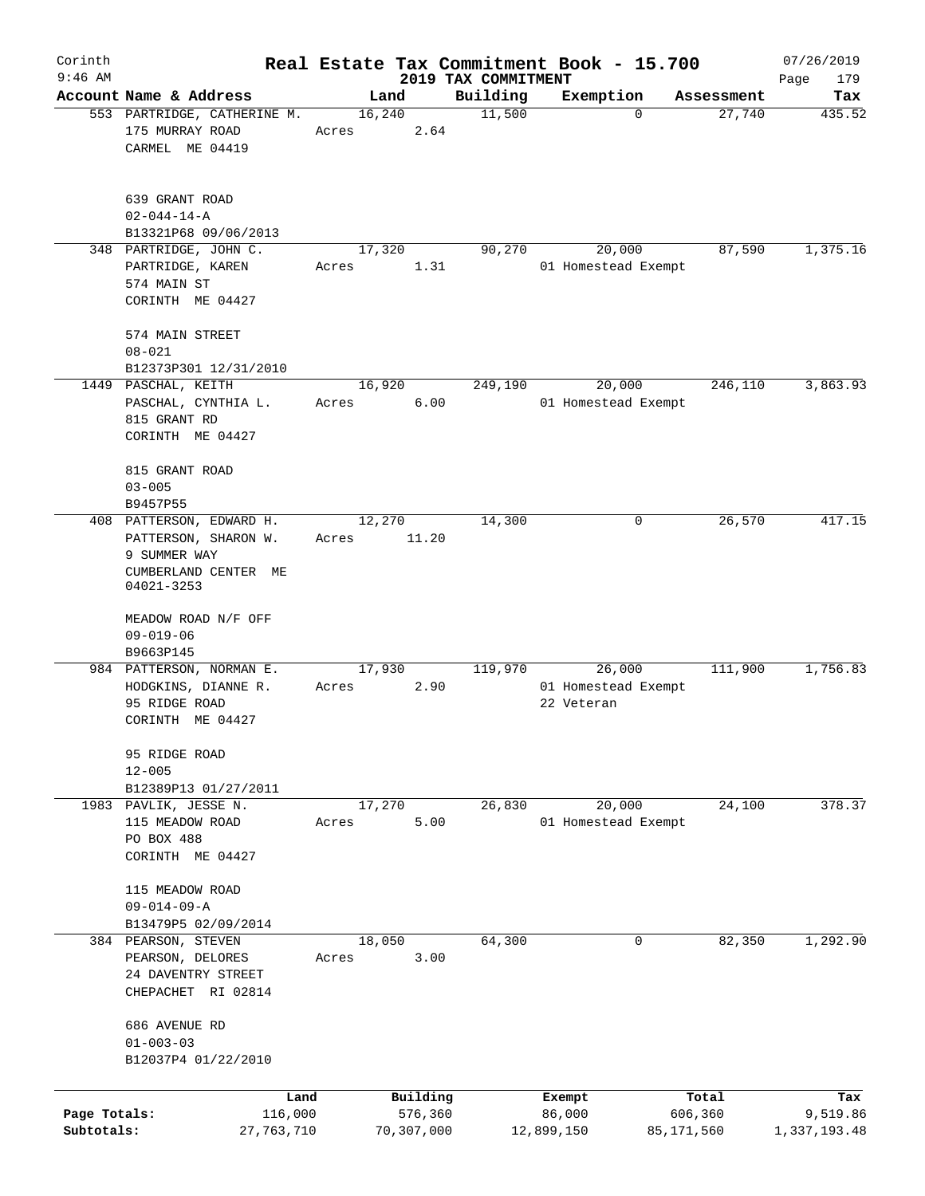| Corinth      |                                                                                      |       |                |                     | Real Estate Tax Commitment Book - 15.700    |                      | 07/26/2019    |
|--------------|--------------------------------------------------------------------------------------|-------|----------------|---------------------|---------------------------------------------|----------------------|---------------|
| $9:46$ AM    |                                                                                      |       |                | 2019 TAX COMMITMENT |                                             |                      | Page<br>179   |
|              | Account Name & Address<br>553 PARTRIDGE, CATHERINE M.                                |       | Land<br>16,240 | Building<br>11,500  | Exemption<br>$\mathbf 0$                    | Assessment<br>27,740 | Tax<br>435.52 |
|              | 175 MURRAY ROAD<br>CARMEL ME 04419                                                   | Acres | 2.64           |                     |                                             |                      |               |
|              | 639 GRANT ROAD<br>$02 - 044 - 14 - A$                                                |       |                |                     |                                             |                      |               |
|              | B13321P68 09/06/2013                                                                 |       |                |                     |                                             |                      |               |
|              | 348 PARTRIDGE, JOHN C.<br>PARTRIDGE, KAREN<br>574 MAIN ST<br>CORINTH ME 04427        | Acres | 17,320<br>1.31 | 90,270              | 20,000<br>01 Homestead Exempt               | 87,590               | 1,375.16      |
|              | 574 MAIN STREET<br>$08 - 021$                                                        |       |                |                     |                                             |                      |               |
|              | B12373P301 12/31/2010                                                                |       |                |                     |                                             |                      | 3,863.93      |
|              | 1449 PASCHAL, KEITH<br>PASCHAL, CYNTHIA L.<br>815 GRANT RD<br>CORINTH ME 04427       | Acres | 16,920<br>6.00 | 249,190             | 20,000<br>01 Homestead Exempt               | 246,110              |               |
|              | 815 GRANT ROAD<br>$03 - 005$                                                         |       |                |                     |                                             |                      |               |
|              | B9457P55<br>408 PATTERSON, EDWARD H.                                                 |       | 12,270         | 14,300              | 0                                           | 26,570               | 417.15        |
|              | PATTERSON, SHARON W.<br>9 SUMMER WAY                                                 | Acres | 11.20          |                     |                                             |                      |               |
|              | CUMBERLAND CENTER ME<br>04021-3253                                                   |       |                |                     |                                             |                      |               |
|              | MEADOW ROAD N/F OFF<br>$09 - 019 - 06$                                               |       |                |                     |                                             |                      |               |
|              | B9663P145                                                                            |       |                |                     |                                             |                      |               |
|              | 984 PATTERSON, NORMAN E.<br>HODGKINS, DIANNE R.<br>95 RIDGE ROAD<br>CORINTH ME 04427 | Acres | 17,930<br>2.90 | 119,970             | 26,000<br>01 Homestead Exempt<br>22 Veteran | 111,900              | 1,756.83      |
|              | 95 RIDGE ROAD<br>$12 - 005$<br>B12389P13 01/27/2011                                  |       |                |                     |                                             |                      |               |
|              | 1983 PAVLIK, JESSE N.<br>115 MEADOW ROAD<br>PO BOX 488<br>CORINTH ME 04427           | Acres | 17,270<br>5.00 | 26,830              | 20,000<br>01 Homestead Exempt               | 24,100               | 378.37        |
|              | 115 MEADOW ROAD<br>$09 - 014 - 09 - A$<br>B13479P5 02/09/2014                        |       |                |                     |                                             |                      |               |
|              | 384 PEARSON, STEVEN<br>PEARSON, DELORES<br>24 DAVENTRY STREET<br>CHEPACHET RI 02814  | Acres | 18,050<br>3.00 | 64,300              | 0                                           | 82,350               | 1,292.90      |
|              | 686 AVENUE RD<br>$01 - 003 - 03$<br>B12037P4 01/22/2010                              |       |                |                     |                                             |                      |               |
|              | Land                                                                                 |       | Building       |                     | Exempt                                      | Total                | Tax           |
| Page Totals: | 116,000                                                                              |       | 576,360        |                     | 86,000                                      | 606,360              | 9,519.86      |
| Subtotals:   | 27,763,710                                                                           |       | 70,307,000     |                     | 12,899,150                                  | 85,171,560           | 1,337,193.48  |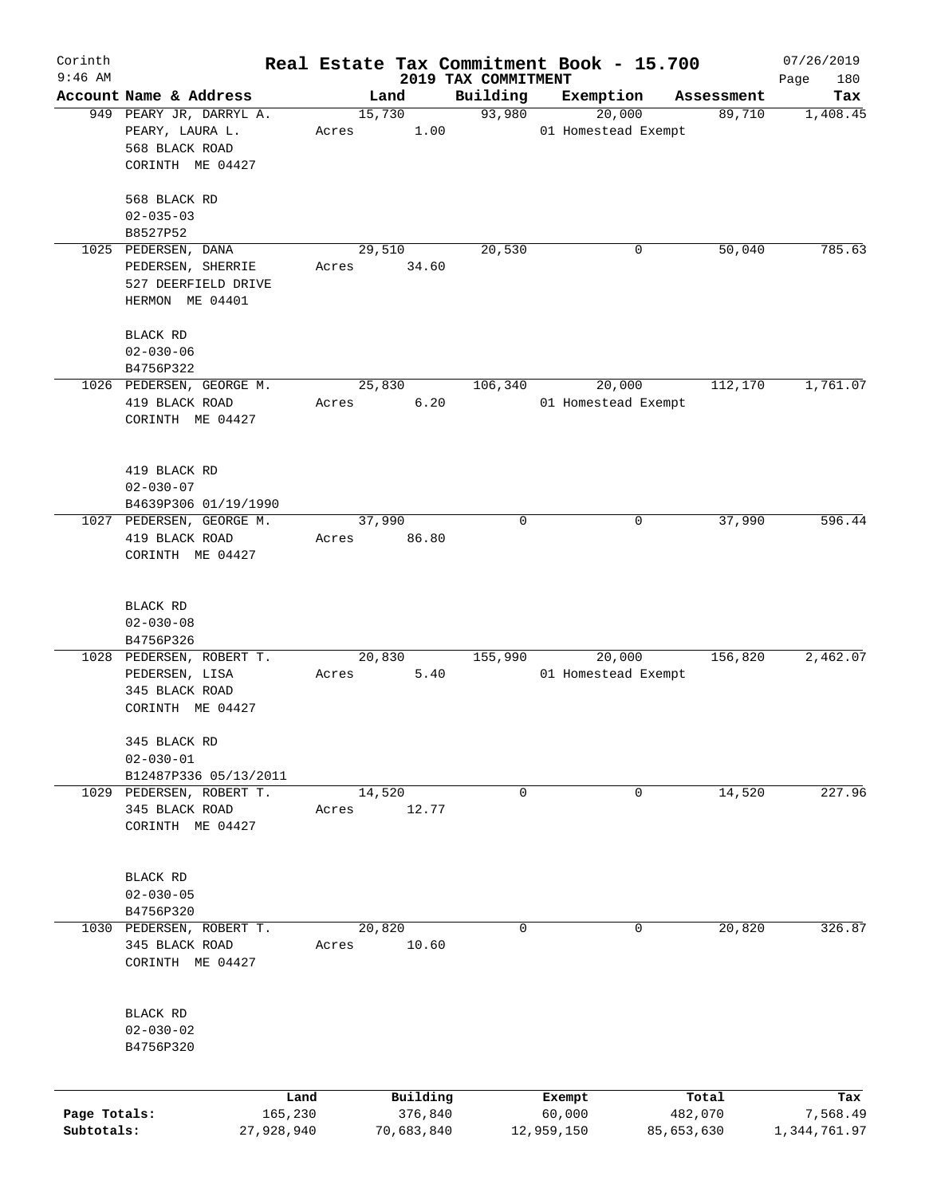| Corinth                    |                                                                                    |       |                       |                                 | Real Estate Tax Commitment Book - 15.700 |                       | 07/26/2019               |
|----------------------------|------------------------------------------------------------------------------------|-------|-----------------------|---------------------------------|------------------------------------------|-----------------------|--------------------------|
| $9:46$ AM                  | Account Name & Address                                                             |       | Land                  | 2019 TAX COMMITMENT<br>Building | Exemption                                |                       | Page<br>180<br>Tax       |
|                            | 949 PEARY JR, DARRYL A.<br>PEARY, LAURA L.                                         | Acres | 15,730<br>1.00        | 93,980                          | 20,000<br>01 Homestead Exempt            | Assessment<br>89,710  | 1,408.45                 |
|                            | 568 BLACK ROAD<br>CORINTH ME 04427                                                 |       |                       |                                 |                                          |                       |                          |
|                            | 568 BLACK RD<br>$02 - 035 - 03$                                                    |       |                       |                                 |                                          |                       |                          |
|                            | B8527P52                                                                           |       |                       |                                 |                                          |                       |                          |
|                            | 1025 PEDERSEN, DANA<br>PEDERSEN, SHERRIE<br>527 DEERFIELD DRIVE<br>HERMON ME 04401 | Acres | 29,510<br>34.60       | 20,530                          | 0                                        | 50,040                | 785.63                   |
|                            | BLACK RD<br>$02 - 030 - 06$                                                        |       |                       |                                 |                                          |                       |                          |
|                            | B4756P322                                                                          |       |                       |                                 |                                          |                       |                          |
|                            | 1026 PEDERSEN, GEORGE M.<br>419 BLACK ROAD<br>CORINTH ME 04427                     | Acres | 25,830<br>6.20        | 106,340                         | 20,000<br>01 Homestead Exempt            | 112,170               | 1,761.07                 |
|                            | 419 BLACK RD<br>$02 - 030 - 07$                                                    |       |                       |                                 |                                          |                       |                          |
|                            | B4639P306 01/19/1990                                                               |       |                       |                                 |                                          |                       |                          |
|                            | 1027 PEDERSEN, GEORGE M.<br>419 BLACK ROAD<br>CORINTH ME 04427                     | Acres | 37,990<br>86.80       | 0                               | 0                                        | 37,990                | 596.44                   |
|                            | BLACK RD<br>$02 - 030 - 08$                                                        |       |                       |                                 |                                          |                       |                          |
|                            | B4756P326                                                                          |       |                       |                                 |                                          |                       |                          |
|                            | 1028 PEDERSEN, ROBERT T.<br>PEDERSEN, LISA<br>345 BLACK ROAD<br>CORINTH ME 04427   | Acres | 20,830<br>5.40        | 155,990                         | 20,000<br>01 Homestead Exempt            | 156,820               | 2,462.07                 |
|                            | 345 BLACK RD<br>$02 - 030 - 01$                                                    |       |                       |                                 |                                          |                       |                          |
|                            | B12487P336 05/13/2011                                                              |       |                       |                                 |                                          |                       |                          |
|                            | 1029 PEDERSEN, ROBERT T.<br>345 BLACK ROAD<br>CORINTH ME 04427                     | Acres | 14,520<br>12.77       | 0                               | 0                                        | 14,520                | 227.96                   |
|                            | BLACK RD<br>$02 - 030 - 05$                                                        |       |                       |                                 |                                          |                       |                          |
|                            | B4756P320                                                                          |       |                       |                                 |                                          |                       |                          |
| 1030                       | PEDERSEN, ROBERT T.<br>345 BLACK ROAD<br>CORINTH ME 04427                          | Acres | 20,820<br>10.60       | 0                               | 0                                        | 20,820                | 326.87                   |
|                            | BLACK RD<br>$02 - 030 - 02$<br>B4756P320                                           |       |                       |                                 |                                          |                       |                          |
|                            |                                                                                    | Land  | Building              |                                 | Exempt                                   | Total                 | Tax                      |
| Page Totals:<br>Subtotals: | 165,230<br>27,928,940                                                              |       | 376,840<br>70,683,840 |                                 | 60,000<br>12,959,150                     | 482,070<br>85,653,630 | 7,568.49<br>1,344,761.97 |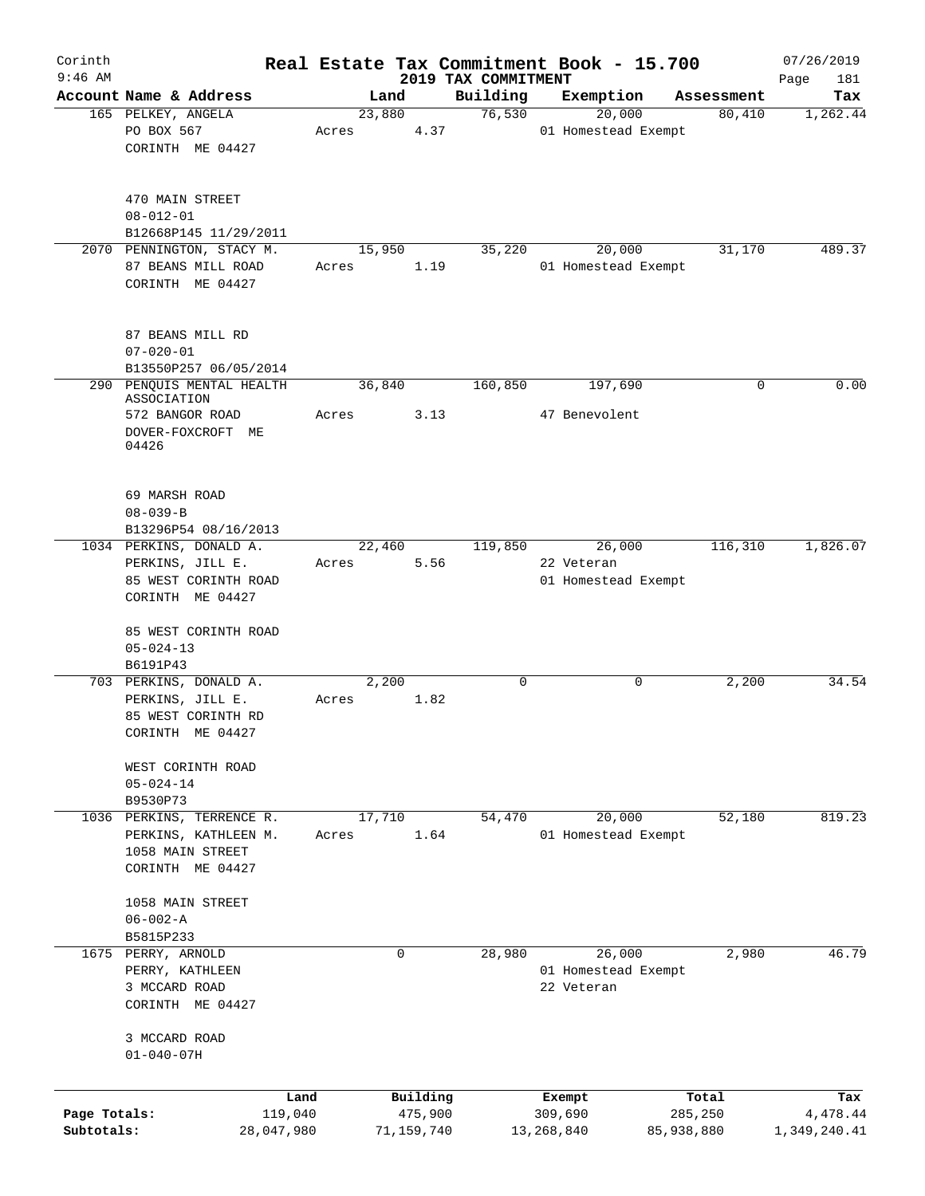| Corinth<br>$9:46$ AM |                           |       |        |            | 2019 TAX COMMITMENT | Real Estate Tax Commitment Book - 15.700 |            | 07/26/2019<br>Page<br>181 |
|----------------------|---------------------------|-------|--------|------------|---------------------|------------------------------------------|------------|---------------------------|
|                      | Account Name & Address    |       | Land   |            | Building            | Exemption                                | Assessment | Tax                       |
|                      | 165 PELKEY, ANGELA        |       | 23,880 |            | 76,530              | 20,000                                   | 80,410     | 1,262.44                  |
|                      | PO BOX 567                | Acres |        | 4.37       |                     | 01 Homestead Exempt                      |            |                           |
|                      |                           |       |        |            |                     |                                          |            |                           |
|                      | CORINTH ME 04427          |       |        |            |                     |                                          |            |                           |
|                      |                           |       |        |            |                     |                                          |            |                           |
|                      |                           |       |        |            |                     |                                          |            |                           |
|                      | 470 MAIN STREET           |       |        |            |                     |                                          |            |                           |
|                      | $08 - 012 - 01$           |       |        |            |                     |                                          |            |                           |
|                      | B12668P145 11/29/2011     |       |        |            |                     |                                          |            |                           |
|                      | 2070 PENNINGTON, STACY M. |       | 15,950 |            | 35,220              | 20,000                                   | 31,170     | 489.37                    |
|                      | 87 BEANS MILL ROAD        | Acres |        | 1.19       |                     | 01 Homestead Exempt                      |            |                           |
|                      |                           |       |        |            |                     |                                          |            |                           |
|                      | CORINTH ME 04427          |       |        |            |                     |                                          |            |                           |
|                      |                           |       |        |            |                     |                                          |            |                           |
|                      |                           |       |        |            |                     |                                          |            |                           |
|                      | 87 BEANS MILL RD          |       |        |            |                     |                                          |            |                           |
|                      | $07 - 020 - 01$           |       |        |            |                     |                                          |            |                           |
|                      | B13550P257 06/05/2014     |       |        |            |                     |                                          |            |                           |
|                      | 290 PENQUIS MENTAL HEALTH |       | 36,840 |            | 160,850             | 197,690                                  | 0          | 0.00                      |
|                      | ASSOCIATION               |       |        |            |                     |                                          |            |                           |
|                      | 572 BANGOR ROAD           | Acres |        | 3.13       |                     | 47 Benevolent                            |            |                           |
|                      | DOVER-FOXCROFT ME         |       |        |            |                     |                                          |            |                           |
|                      | 04426                     |       |        |            |                     |                                          |            |                           |
|                      |                           |       |        |            |                     |                                          |            |                           |
|                      |                           |       |        |            |                     |                                          |            |                           |
|                      |                           |       |        |            |                     |                                          |            |                           |
|                      | 69 MARSH ROAD             |       |        |            |                     |                                          |            |                           |
|                      | $08 - 039 - B$            |       |        |            |                     |                                          |            |                           |
|                      | B13296P54 08/16/2013      |       |        |            |                     |                                          |            |                           |
|                      | 1034 PERKINS, DONALD A.   |       | 22,460 |            | 119,850             | 26,000                                   | 116,310    | 1,826.07                  |
|                      | PERKINS, JILL E.          | Acres |        | 5.56       |                     | 22 Veteran                               |            |                           |
|                      | 85 WEST CORINTH ROAD      |       |        |            |                     | 01 Homestead Exempt                      |            |                           |
|                      | CORINTH ME 04427          |       |        |            |                     |                                          |            |                           |
|                      |                           |       |        |            |                     |                                          |            |                           |
|                      |                           |       |        |            |                     |                                          |            |                           |
|                      | 85 WEST CORINTH ROAD      |       |        |            |                     |                                          |            |                           |
|                      | $05 - 024 - 13$           |       |        |            |                     |                                          |            |                           |
|                      | B6191P43                  |       |        |            |                     |                                          |            |                           |
|                      | 703 PERKINS, DONALD A.    |       | 2,200  |            | 0                   | 0                                        | 2,200      | 34.54                     |
|                      | PERKINS, JILL E.          | Acres |        | 1.82       |                     |                                          |            |                           |
|                      | 85 WEST CORINTH RD        |       |        |            |                     |                                          |            |                           |
|                      | CORINTH ME 04427          |       |        |            |                     |                                          |            |                           |
|                      |                           |       |        |            |                     |                                          |            |                           |
|                      |                           |       |        |            |                     |                                          |            |                           |
|                      | WEST CORINTH ROAD         |       |        |            |                     |                                          |            |                           |
|                      | $05 - 024 - 14$           |       |        |            |                     |                                          |            |                           |
|                      | B9530P73                  |       |        |            |                     |                                          |            |                           |
|                      | 1036 PERKINS, TERRENCE R. |       | 17,710 |            | 54,470              | 20,000                                   | 52,180     | 819.23                    |
|                      | PERKINS, KATHLEEN M.      | Acres |        | 1.64       |                     | 01 Homestead Exempt                      |            |                           |
|                      | 1058 MAIN STREET          |       |        |            |                     |                                          |            |                           |
|                      | CORINTH ME 04427          |       |        |            |                     |                                          |            |                           |
|                      |                           |       |        |            |                     |                                          |            |                           |
|                      |                           |       |        |            |                     |                                          |            |                           |
|                      | 1058 MAIN STREET          |       |        |            |                     |                                          |            |                           |
|                      | $06 - 002 - A$            |       |        |            |                     |                                          |            |                           |
|                      | B5815P233                 |       |        |            |                     |                                          |            |                           |
|                      | 1675 PERRY, ARNOLD        |       | 0      |            | 28,980              | 26,000                                   | 2,980      | 46.79                     |
|                      | PERRY, KATHLEEN           |       |        |            |                     | 01 Homestead Exempt                      |            |                           |
|                      | 3 MCCARD ROAD             |       |        |            |                     | 22 Veteran                               |            |                           |
|                      | CORINTH ME 04427          |       |        |            |                     |                                          |            |                           |
|                      |                           |       |        |            |                     |                                          |            |                           |
|                      |                           |       |        |            |                     |                                          |            |                           |
|                      | 3 MCCARD ROAD             |       |        |            |                     |                                          |            |                           |
|                      | $01 - 040 - 07H$          |       |        |            |                     |                                          |            |                           |
|                      |                           |       |        |            |                     |                                          |            |                           |
|                      | Land                      |       |        | Building   |                     | Exempt                                   | Total      | Tax                       |
| Page Totals:         | 119,040                   |       |        | 475,900    |                     | 309,690                                  | 285,250    | 4,478.44                  |
|                      |                           |       |        |            |                     | 13, 268, 840                             |            |                           |
| Subtotals:           | 28,047,980                |       |        | 71,159,740 |                     |                                          | 85,938,880 | 1,349,240.41              |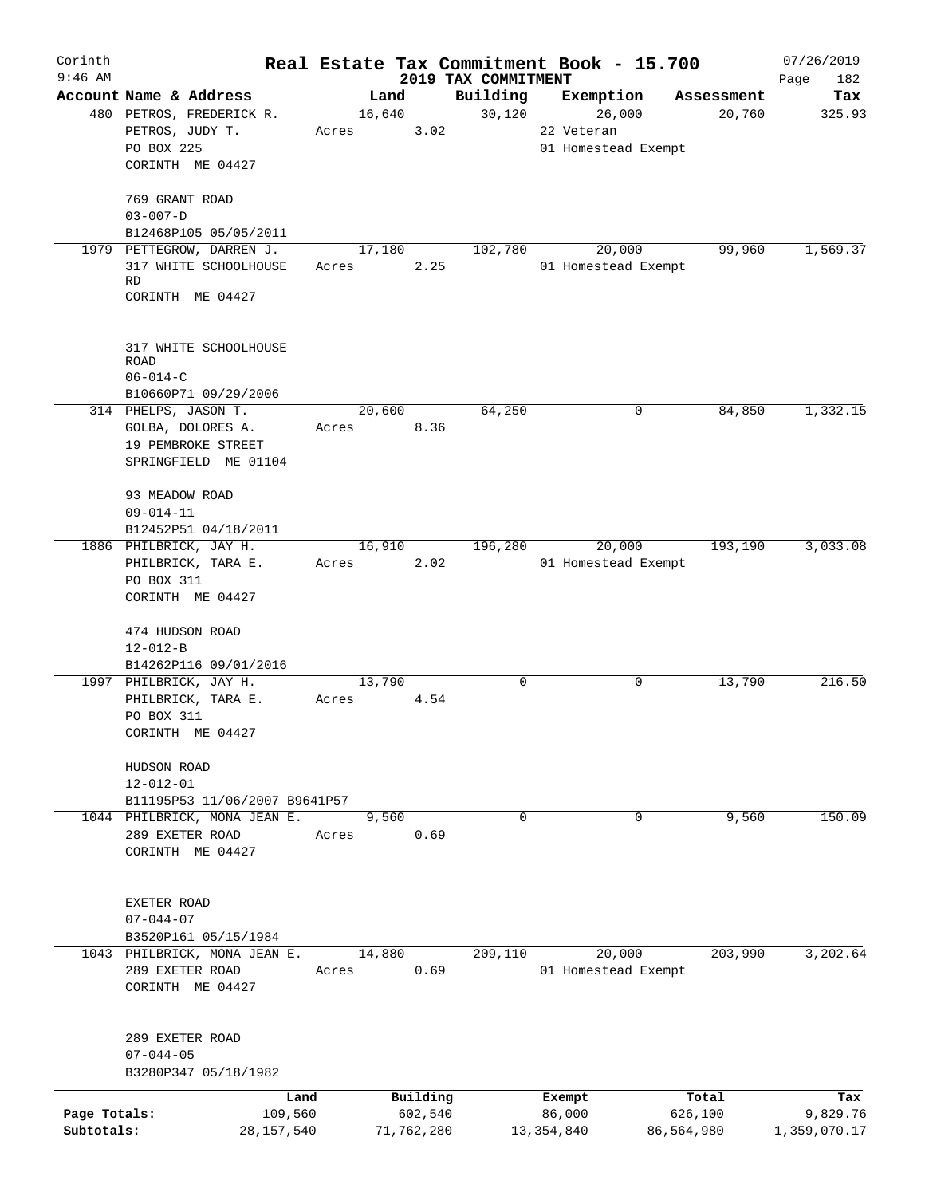| Corinth      |                                                               |       |            |                                 | Real Estate Tax Commitment Book - 15.700 |            | 07/26/2019         |
|--------------|---------------------------------------------------------------|-------|------------|---------------------------------|------------------------------------------|------------|--------------------|
| $9:46$ AM    | Account Name & Address                                        |       | Land       | 2019 TAX COMMITMENT<br>Building | Exemption                                | Assessment | Page<br>182<br>Tax |
|              | 480 PETROS, FREDERICK R.                                      |       | 16,640     | 30,120                          | 26,000                                   | 20,760     | 325.93             |
|              | PETROS, JUDY T.                                               | Acres | 3.02       |                                 | 22 Veteran                               |            |                    |
|              | PO BOX 225                                                    |       |            |                                 | 01 Homestead Exempt                      |            |                    |
|              | CORINTH ME 04427                                              |       |            |                                 |                                          |            |                    |
|              |                                                               |       |            |                                 |                                          |            |                    |
|              | 769 GRANT ROAD                                                |       |            |                                 |                                          |            |                    |
|              | $03 - 007 - D$                                                |       |            |                                 |                                          |            |                    |
|              | B12468P105 05/05/2011<br>1979 PETTEGROW, DARREN J.            |       | 17,180     | 102,780                         | 20,000                                   | 99,960     | 1,569.37           |
|              | 317 WHITE SCHOOLHOUSE                                         | Acres | 2.25       |                                 | 01 Homestead Exempt                      |            |                    |
|              | <b>RD</b>                                                     |       |            |                                 |                                          |            |                    |
|              | CORINTH ME 04427                                              |       |            |                                 |                                          |            |                    |
|              | 317 WHITE SCHOOLHOUSE<br><b>ROAD</b><br>$06 - 014 - C$        |       |            |                                 |                                          |            |                    |
|              | B10660P71 09/29/2006                                          |       |            |                                 |                                          |            |                    |
|              | 314 PHELPS, JASON T.                                          |       | 20,600     | 64,250                          | 0                                        | 84,850     | 1,332.15           |
|              | GOLBA, DOLORES A.                                             | Acres | 8.36       |                                 |                                          |            |                    |
|              | 19 PEMBROKE STREET                                            |       |            |                                 |                                          |            |                    |
|              | SPRINGFIELD ME 01104                                          |       |            |                                 |                                          |            |                    |
|              |                                                               |       |            |                                 |                                          |            |                    |
|              | 93 MEADOW ROAD                                                |       |            |                                 |                                          |            |                    |
|              | $09 - 014 - 11$                                               |       |            |                                 |                                          |            |                    |
|              | B12452P51 04/18/2011                                          |       |            |                                 |                                          |            |                    |
|              | 1886 PHILBRICK, JAY H.                                        |       | 16,910     | 196,280                         | 20,000                                   | 193,190    | 3,033.08           |
|              | PHILBRICK, TARA E.                                            | Acres | 2.02       |                                 | 01 Homestead Exempt                      |            |                    |
|              | PO BOX 311<br>CORINTH ME 04427                                |       |            |                                 |                                          |            |                    |
|              |                                                               |       |            |                                 |                                          |            |                    |
|              | 474 HUDSON ROAD                                               |       |            |                                 |                                          |            |                    |
|              | $12 - 012 - B$                                                |       |            |                                 |                                          |            |                    |
|              | B14262P116 09/01/2016                                         |       |            |                                 |                                          |            |                    |
|              | 1997 PHILBRICK, JAY H.                                        |       | 13,790     | 0                               | 0                                        | 13,790     | 216.50             |
|              | PHILBRICK, TARA E.                                            | Acres | 4.54       |                                 |                                          |            |                    |
|              | PO BOX 311                                                    |       |            |                                 |                                          |            |                    |
|              | CORINTH ME 04427                                              |       |            |                                 |                                          |            |                    |
|              |                                                               |       |            |                                 |                                          |            |                    |
|              | HUDSON ROAD                                                   |       |            |                                 |                                          |            |                    |
|              | $12 - 012 - 01$                                               |       |            |                                 |                                          |            |                    |
|              | B11195P53 11/06/2007 B9641P57<br>1044 PHILBRICK, MONA JEAN E. |       | 9,560      | $\Omega$                        | 0                                        | 9,560      | 150.09             |
|              | 289 EXETER ROAD                                               | Acres | 0.69       |                                 |                                          |            |                    |
|              | CORINTH ME 04427                                              |       |            |                                 |                                          |            |                    |
|              |                                                               |       |            |                                 |                                          |            |                    |
|              |                                                               |       |            |                                 |                                          |            |                    |
|              | EXETER ROAD                                                   |       |            |                                 |                                          |            |                    |
|              | $07 - 044 - 07$                                               |       |            |                                 |                                          |            |                    |
|              | B3520P161 05/15/1984                                          |       |            |                                 |                                          |            |                    |
|              | 1043 PHILBRICK, MONA JEAN E.                                  |       | 14,880     | 209,110                         | 20,000                                   | 203,990    | 3,202.64           |
|              | 289 EXETER ROAD                                               | Acres | 0.69       |                                 | 01 Homestead Exempt                      |            |                    |
|              | CORINTH ME 04427                                              |       |            |                                 |                                          |            |                    |
|              |                                                               |       |            |                                 |                                          |            |                    |
|              | 289 EXETER ROAD                                               |       |            |                                 |                                          |            |                    |
|              | $07 - 044 - 05$<br>B3280P347 05/18/1982                       |       |            |                                 |                                          |            |                    |
|              |                                                               |       |            |                                 |                                          |            |                    |
|              |                                                               | Land  | Building   |                                 | Exempt                                   | Total      | Tax                |
| Page Totals: | 109,560                                                       |       | 602,540    |                                 | 86,000                                   | 626,100    | 9,829.76           |
| Subtotals:   | 28,157,540                                                    |       | 71,762,280 |                                 | 13, 354, 840                             | 86,564,980 | 1,359,070.17       |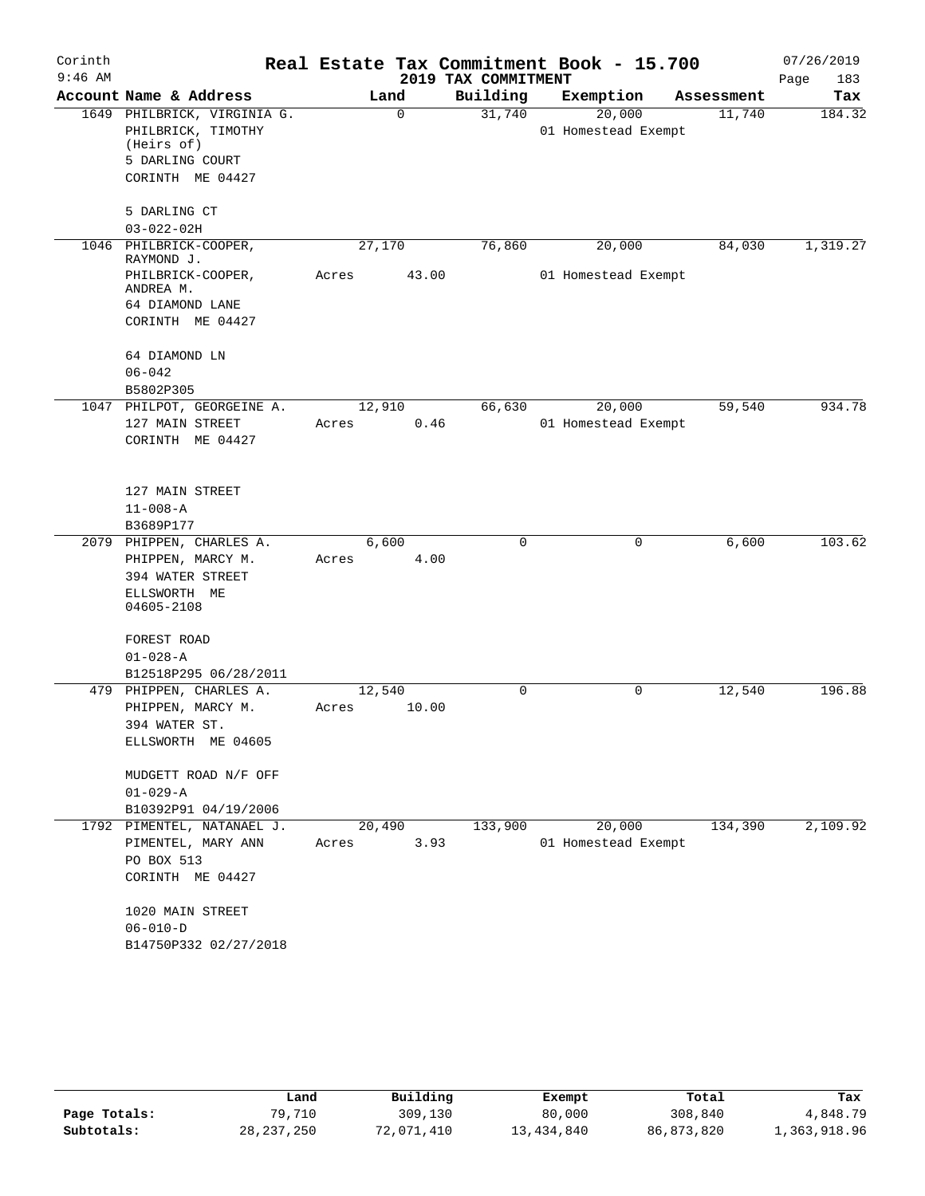| Corinth   |                                      |        |        |                     | Real Estate Tax Commitment Book - 15.700 |            | 07/26/2019  |
|-----------|--------------------------------------|--------|--------|---------------------|------------------------------------------|------------|-------------|
| $9:46$ AM |                                      |        |        | 2019 TAX COMMITMENT |                                          |            | Page<br>183 |
|           | Account Name & Address               |        | Land   | Building            | Exemption                                | Assessment | Tax         |
|           | 1649 PHILBRICK, VIRGINIA G.          |        | 0      | 31,740              | 20,000                                   | 11,740     | 184.32      |
|           | PHILBRICK, TIMOTHY<br>(Heirs of)     |        |        |                     | 01 Homestead Exempt                      |            |             |
|           | 5 DARLING COURT                      |        |        |                     |                                          |            |             |
|           | CORINTH ME 04427                     |        |        |                     |                                          |            |             |
|           | 5 DARLING CT                         |        |        |                     |                                          |            |             |
|           | $03 - 022 - 02H$                     |        |        |                     |                                          |            |             |
|           | 1046 PHILBRICK-COOPER,<br>RAYMOND J. | 27,170 |        | 76,860              | 20,000                                   | 84,030     | 1,319.27    |
|           | PHILBRICK-COOPER,<br>ANDREA M.       | Acres  | 43.00  |                     | 01 Homestead Exempt                      |            |             |
|           | 64 DIAMOND LANE                      |        |        |                     |                                          |            |             |
|           | CORINTH ME 04427                     |        |        |                     |                                          |            |             |
|           | 64 DIAMOND LN                        |        |        |                     |                                          |            |             |
|           | $06 - 042$                           |        |        |                     |                                          |            |             |
|           | B5802P305                            |        |        |                     |                                          |            |             |
|           | 1047 PHILPOT, GEORGEINE A.           |        | 12,910 | 66,630              | 20,000                                   | 59,540     | 934.78      |
|           | 127 MAIN STREET                      | Acres  | 0.46   |                     | 01 Homestead Exempt                      |            |             |
|           | CORINTH ME 04427                     |        |        |                     |                                          |            |             |
|           | 127 MAIN STREET                      |        |        |                     |                                          |            |             |
|           | $11 - 008 - A$                       |        |        |                     |                                          |            |             |
|           | B3689P177                            |        |        |                     |                                          |            |             |
|           | 2079 PHIPPEN, CHARLES A.             |        | 6,600  | 0                   | 0                                        | 6,600      | 103.62      |
|           | PHIPPEN, MARCY M.                    | Acres  | 4.00   |                     |                                          |            |             |
|           | 394 WATER STREET                     |        |        |                     |                                          |            |             |
|           | ELLSWORTH ME                         |        |        |                     |                                          |            |             |
|           | 04605-2108                           |        |        |                     |                                          |            |             |
|           | FOREST ROAD                          |        |        |                     |                                          |            |             |
|           | $01 - 028 - A$                       |        |        |                     |                                          |            |             |
|           | B12518P295 06/28/2011                |        |        |                     |                                          |            |             |
|           | 479 PHIPPEN, CHARLES A.              | 12,540 |        | 0                   | 0                                        | 12,540     | 196.88      |
|           | PHIPPEN, MARCY M.                    | Acres  | 10.00  |                     |                                          |            |             |
|           | 394 WATER ST.<br>ELLSWORTH ME 04605  |        |        |                     |                                          |            |             |
|           |                                      |        |        |                     |                                          |            |             |
|           | MUDGETT ROAD N/F OFF                 |        |        |                     |                                          |            |             |
|           | $01 - 029 - A$                       |        |        |                     |                                          |            |             |
|           | B10392P91 04/19/2006                 |        |        |                     |                                          |            |             |
|           | 1792 PIMENTEL, NATANAEL J.           | 20,490 |        | 133,900             | 20,000                                   | 134,390    | 2,109.92    |
|           | PIMENTEL, MARY ANN                   | Acres  | 3.93   |                     | 01 Homestead Exempt                      |            |             |
|           | PO BOX 513                           |        |        |                     |                                          |            |             |
|           | CORINTH ME 04427                     |        |        |                     |                                          |            |             |
|           | 1020 MAIN STREET                     |        |        |                     |                                          |            |             |
|           | $06 - 010 - D$                       |        |        |                     |                                          |            |             |
|           | B14750P332 02/27/2018                |        |        |                     |                                          |            |             |
|           |                                      |        |        |                     |                                          |            |             |

|              | Land         | Building   | Exempt     | Total      | Tax          |
|--------------|--------------|------------|------------|------------|--------------|
| Page Totals: | 79,710       | 309,130    | 80,000     | 308,840    | 4,848.79     |
| Subtotals:   | 28, 237, 250 | 72,071,410 | 13,434,840 | 86,873,820 | 1,363,918.96 |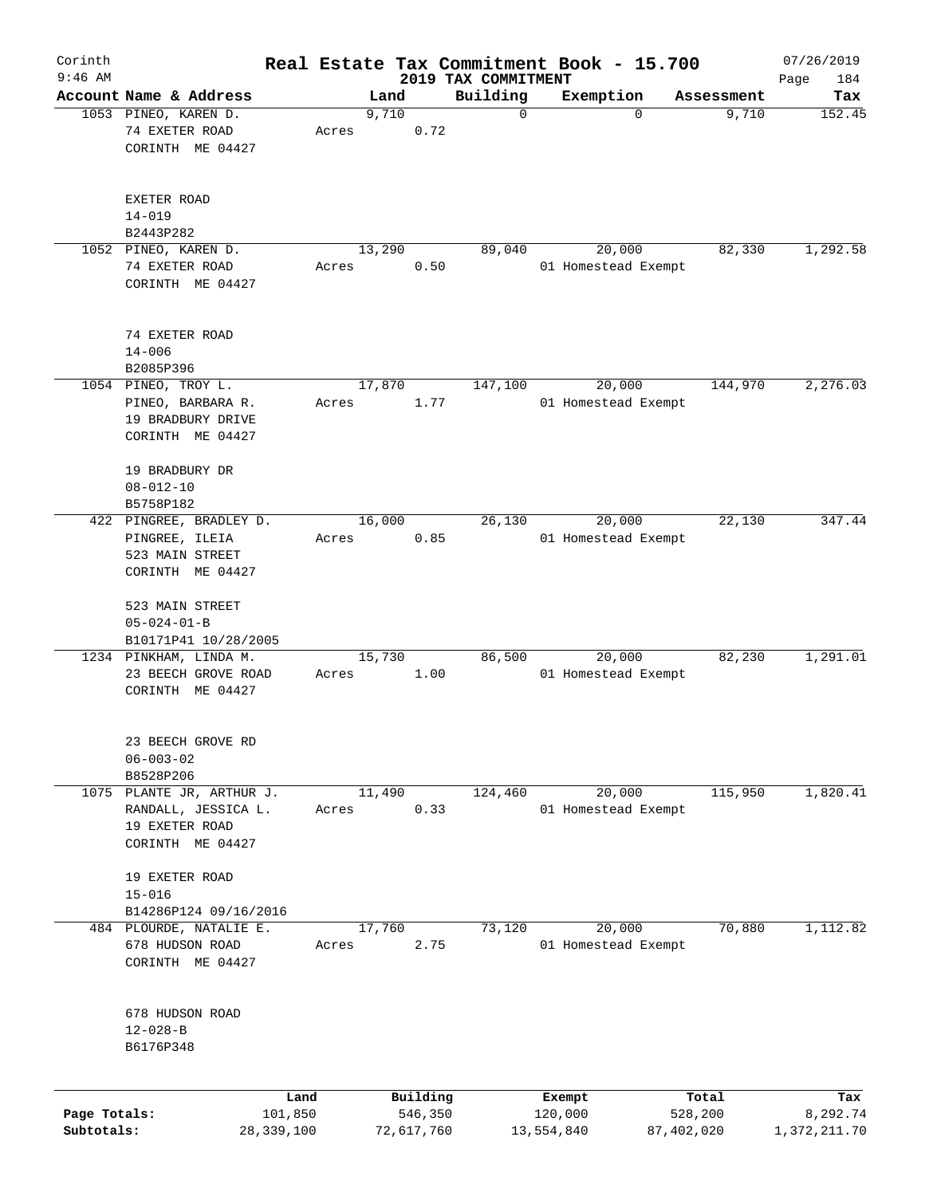| Corinth      |                         |            |       |        |            |                                 | Real Estate Tax Commitment Book - 15.700 |            | 07/26/2019         |
|--------------|-------------------------|------------|-------|--------|------------|---------------------------------|------------------------------------------|------------|--------------------|
| $9:46$ AM    | Account Name & Address  |            |       | Land   |            | 2019 TAX COMMITMENT<br>Building | Exemption                                | Assessment | Page<br>184<br>Tax |
|              | 1053 PINEO, KAREN D.    |            |       | 9,710  |            | $\mathbf 0$                     | $\mathbf 0$                              | 9,710      | 152.45             |
|              | 74 EXETER ROAD          |            | Acres |        | 0.72       |                                 |                                          |            |                    |
|              | CORINTH ME 04427        |            |       |        |            |                                 |                                          |            |                    |
|              |                         |            |       |        |            |                                 |                                          |            |                    |
|              | EXETER ROAD             |            |       |        |            |                                 |                                          |            |                    |
|              | $14 - 019$              |            |       |        |            |                                 |                                          |            |                    |
|              | B2443P282               |            |       |        |            |                                 |                                          |            |                    |
|              | 1052 PINEO, KAREN D.    |            |       | 13,290 |            | 89,040                          | 20,000                                   | 82,330     | 1,292.58           |
|              | 74 EXETER ROAD          |            | Acres |        | 0.50       |                                 | 01 Homestead Exempt                      |            |                    |
|              | CORINTH ME 04427        |            |       |        |            |                                 |                                          |            |                    |
|              |                         |            |       |        |            |                                 |                                          |            |                    |
|              | 74 EXETER ROAD          |            |       |        |            |                                 |                                          |            |                    |
|              | $14 - 006$              |            |       |        |            |                                 |                                          |            |                    |
|              | B2085P396               |            |       |        |            |                                 |                                          |            |                    |
|              | 1054 PINEO, TROY L.     |            |       | 17,870 |            | 147,100                         | 20,000                                   | 144,970    | 2, 276.03          |
|              | PINEO, BARBARA R.       |            | Acres |        | 1.77       |                                 | 01 Homestead Exempt                      |            |                    |
|              | 19 BRADBURY DRIVE       |            |       |        |            |                                 |                                          |            |                    |
|              | CORINTH ME 04427        |            |       |        |            |                                 |                                          |            |                    |
|              | 19 BRADBURY DR          |            |       |        |            |                                 |                                          |            |                    |
|              | $08 - 012 - 10$         |            |       |        |            |                                 |                                          |            |                    |
|              | B5758P182               |            |       |        |            |                                 |                                          |            |                    |
|              | 422 PINGREE, BRADLEY D. |            |       | 16,000 |            | 26,130                          | 20,000                                   | 22,130     | 347.44             |
|              | PINGREE, ILEIA          |            | Acres |        | 0.85       |                                 | 01 Homestead Exempt                      |            |                    |
|              | 523 MAIN STREET         |            |       |        |            |                                 |                                          |            |                    |
|              | CORINTH ME 04427        |            |       |        |            |                                 |                                          |            |                    |
|              | 523 MAIN STREET         |            |       |        |            |                                 |                                          |            |                    |
|              | $05 - 024 - 01 - B$     |            |       |        |            |                                 |                                          |            |                    |
|              |                         |            |       |        |            |                                 |                                          |            |                    |
|              | B10171P41 10/28/2005    |            |       |        |            |                                 |                                          |            |                    |
|              | 1234 PINKHAM, LINDA M.  |            |       | 15,730 |            | 86,500                          | 20,000                                   | 82,230     | 1,291.01           |
|              | 23 BEECH GROVE ROAD     |            | Acres |        | 1.00       |                                 | 01 Homestead Exempt                      |            |                    |
|              | CORINTH ME 04427        |            |       |        |            |                                 |                                          |            |                    |
|              |                         |            |       |        |            |                                 |                                          |            |                    |
|              | 23 BEECH GROVE RD       |            |       |        |            |                                 |                                          |            |                    |
|              | $06 - 003 - 02$         |            |       |        |            |                                 |                                          |            |                    |
|              | B8528P206               |            |       |        |            |                                 |                                          |            |                    |
| 1075         | PLANTE JR, ARTHUR J.    |            |       | 11,490 |            | 124,460                         | 20,000                                   | 115,950    | 1,820.41           |
|              | RANDALL, JESSICA L.     |            | Acres |        | 0.33       |                                 | 01 Homestead Exempt                      |            |                    |
|              | 19 EXETER ROAD          |            |       |        |            |                                 |                                          |            |                    |
|              | CORINTH ME 04427        |            |       |        |            |                                 |                                          |            |                    |
|              | 19 EXETER ROAD          |            |       |        |            |                                 |                                          |            |                    |
|              | $15 - 016$              |            |       |        |            |                                 |                                          |            |                    |
|              | B14286P124 09/16/2016   |            |       |        |            |                                 |                                          |            |                    |
|              | 484 PLOURDE, NATALIE E. |            |       | 17,760 |            | 73,120                          | 20,000                                   | 70,880     | 1,112.82           |
|              | 678 HUDSON ROAD         |            | Acres |        | 2.75       |                                 | 01 Homestead Exempt                      |            |                    |
|              | CORINTH ME 04427        |            |       |        |            |                                 |                                          |            |                    |
|              |                         |            |       |        |            |                                 |                                          |            |                    |
|              | 678 HUDSON ROAD         |            |       |        |            |                                 |                                          |            |                    |
|              | $12 - 028 - B$          |            |       |        |            |                                 |                                          |            |                    |
|              | B6176P348               |            |       |        |            |                                 |                                          |            |                    |
|              |                         |            |       |        |            |                                 |                                          |            |                    |
|              |                         | Land       |       |        | Building   |                                 | Exempt                                   | Total      | Tax                |
| Page Totals: |                         | 101,850    |       |        | 546,350    |                                 | 120,000                                  | 528,200    | 8,292.74           |
| Subtotals:   |                         | 28,339,100 |       |        | 72,617,760 |                                 | 13,554,840                               | 87,402,020 | 1,372,211.70       |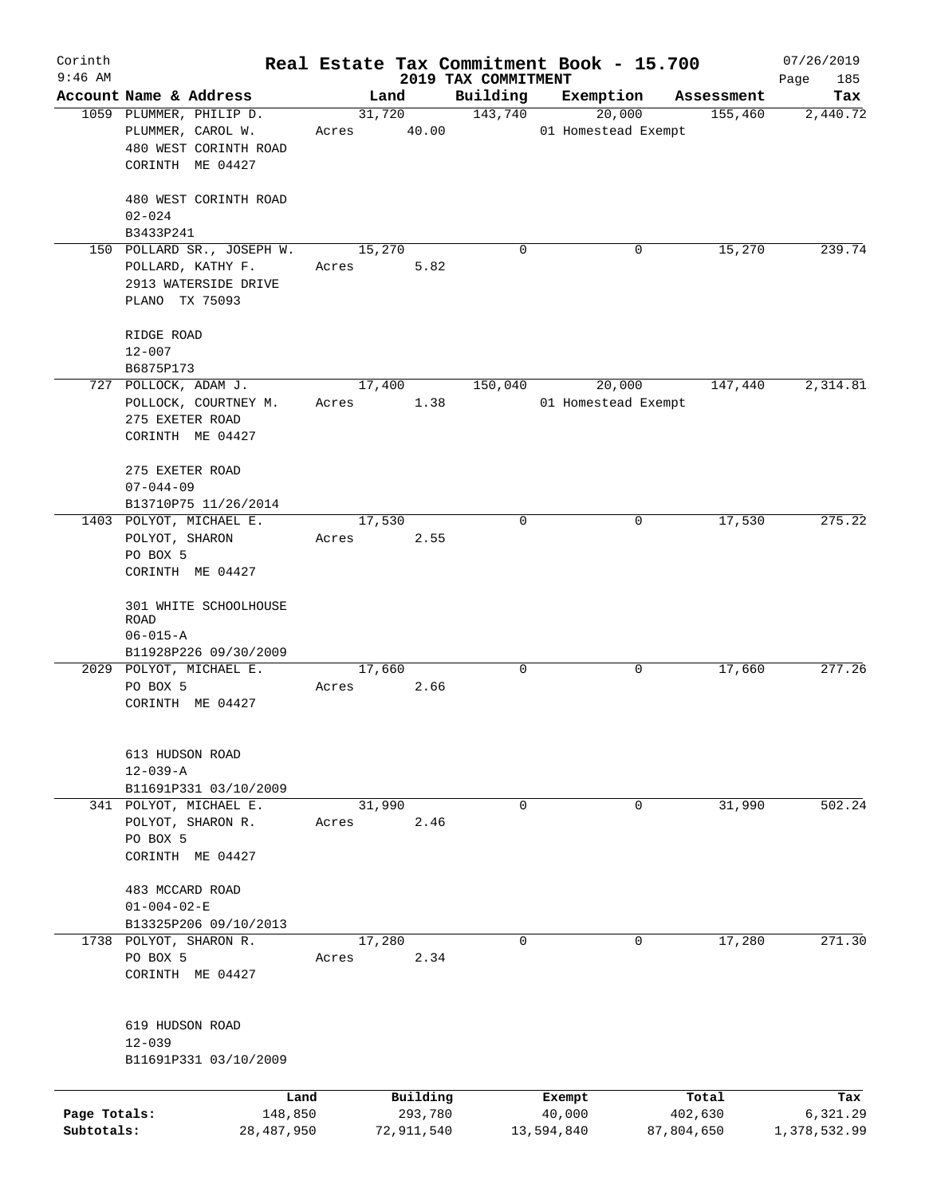| Corinth<br>$9:46$ AM |                            |       |             |                                 | Real Estate Tax Commitment Book - 15.700 |            | 07/26/2019         |
|----------------------|----------------------------|-------|-------------|---------------------------------|------------------------------------------|------------|--------------------|
|                      | Account Name & Address     |       | Land        | 2019 TAX COMMITMENT<br>Building | Exemption                                | Assessment | Page<br>185<br>Tax |
|                      | 1059 PLUMMER, PHILIP D.    |       | 31,720      | 143,740                         | 20,000                                   | 155,460    | 2,440.72           |
|                      | PLUMMER, CAROL W.          |       | Acres 40.00 |                                 | 01 Homestead Exempt                      |            |                    |
|                      | 480 WEST CORINTH ROAD      |       |             |                                 |                                          |            |                    |
|                      | CORINTH ME 04427           |       |             |                                 |                                          |            |                    |
|                      |                            |       |             |                                 |                                          |            |                    |
|                      | 480 WEST CORINTH ROAD      |       |             |                                 |                                          |            |                    |
|                      | $02 - 024$                 |       |             |                                 |                                          |            |                    |
|                      | B3433P241                  |       |             |                                 |                                          |            |                    |
|                      | 150 POLLARD SR., JOSEPH W. |       | 15,270      | 0                               | 0                                        | 15,270     | 239.74             |
|                      | POLLARD, KATHY F.          | Acres | 5.82        |                                 |                                          |            |                    |
|                      | 2913 WATERSIDE DRIVE       |       |             |                                 |                                          |            |                    |
|                      | PLANO TX 75093             |       |             |                                 |                                          |            |                    |
|                      |                            |       |             |                                 |                                          |            |                    |
|                      | RIDGE ROAD                 |       |             |                                 |                                          |            |                    |
|                      | $12 - 007$                 |       |             |                                 |                                          |            |                    |
|                      | B6875P173                  |       |             |                                 |                                          |            |                    |
|                      | 727 POLLOCK, ADAM J.       |       | 17,400      | 150,040                         | 20,000                                   | 147,440    | 2,314.81           |
|                      | POLLOCK, COURTNEY M.       | Acres | 1.38        |                                 | 01 Homestead Exempt                      |            |                    |
|                      | 275 EXETER ROAD            |       |             |                                 |                                          |            |                    |
|                      | CORINTH ME 04427           |       |             |                                 |                                          |            |                    |
|                      |                            |       |             |                                 |                                          |            |                    |
|                      | 275 EXETER ROAD            |       |             |                                 |                                          |            |                    |
|                      | $07 - 044 - 09$            |       |             |                                 |                                          |            |                    |
|                      | B13710P75 11/26/2014       |       |             |                                 |                                          |            |                    |
|                      | 1403 POLYOT, MICHAEL E.    |       | 17,530      | $\mathbf 0$                     | 0                                        | 17,530     | 275.22             |
|                      | POLYOT, SHARON             | Acres | 2.55        |                                 |                                          |            |                    |
|                      | PO BOX 5                   |       |             |                                 |                                          |            |                    |
|                      | CORINTH ME 04427           |       |             |                                 |                                          |            |                    |
|                      |                            |       |             |                                 |                                          |            |                    |
|                      | 301 WHITE SCHOOLHOUSE      |       |             |                                 |                                          |            |                    |
|                      | <b>ROAD</b>                |       |             |                                 |                                          |            |                    |
|                      | $06 - 015 - A$             |       |             |                                 |                                          |            |                    |
|                      | B11928P226 09/30/2009      |       |             |                                 |                                          |            |                    |
|                      | 2029 POLYOT, MICHAEL E.    |       | 17,660      | $\mathbf 0$                     | 0                                        | 17,660     | 277.26             |
|                      | PO BOX 5                   | Acres | 2.66        |                                 |                                          |            |                    |
|                      | CORINTH ME 04427           |       |             |                                 |                                          |            |                    |
|                      |                            |       |             |                                 |                                          |            |                    |
|                      | 613 HUDSON ROAD            |       |             |                                 |                                          |            |                    |
|                      | $12 - 039 - A$             |       |             |                                 |                                          |            |                    |
|                      | B11691P331 03/10/2009      |       |             |                                 |                                          |            |                    |
|                      | 341 POLYOT, MICHAEL E.     |       | 31,990      | $\mathbf 0$                     | 0                                        | 31,990     | 502.24             |
|                      | POLYOT, SHARON R.          | Acres | 2.46        |                                 |                                          |            |                    |
|                      | PO BOX 5                   |       |             |                                 |                                          |            |                    |
|                      | CORINTH ME 04427           |       |             |                                 |                                          |            |                    |
|                      |                            |       |             |                                 |                                          |            |                    |
|                      | 483 MCCARD ROAD            |       |             |                                 |                                          |            |                    |
|                      | $01 - 004 - 02 - E$        |       |             |                                 |                                          |            |                    |
|                      | B13325P206 09/10/2013      |       |             |                                 |                                          |            |                    |
|                      | 1738 POLYOT, SHARON R.     |       | 17,280      | $\mathbf 0$                     | 0                                        | 17,280     | 271.30             |
|                      | PO BOX 5                   | Acres | 2.34        |                                 |                                          |            |                    |
|                      | CORINTH ME 04427           |       |             |                                 |                                          |            |                    |
|                      |                            |       |             |                                 |                                          |            |                    |
|                      |                            |       |             |                                 |                                          |            |                    |
|                      | 619 HUDSON ROAD            |       |             |                                 |                                          |            |                    |
|                      | $12 - 039$                 |       |             |                                 |                                          |            |                    |
|                      | B11691P331 03/10/2009      |       |             |                                 |                                          |            |                    |
|                      |                            |       |             |                                 |                                          |            |                    |
|                      | Land                       |       | Building    |                                 | Exempt                                   | Total      | Tax                |
| Page Totals:         | 148,850                    |       | 293,780     |                                 | 40,000                                   | 402,630    | 6,321.29           |
| Subtotals:           | 28,487,950                 |       | 72,911,540  |                                 | 13,594,840                               | 87,804,650 | 1,378,532.99       |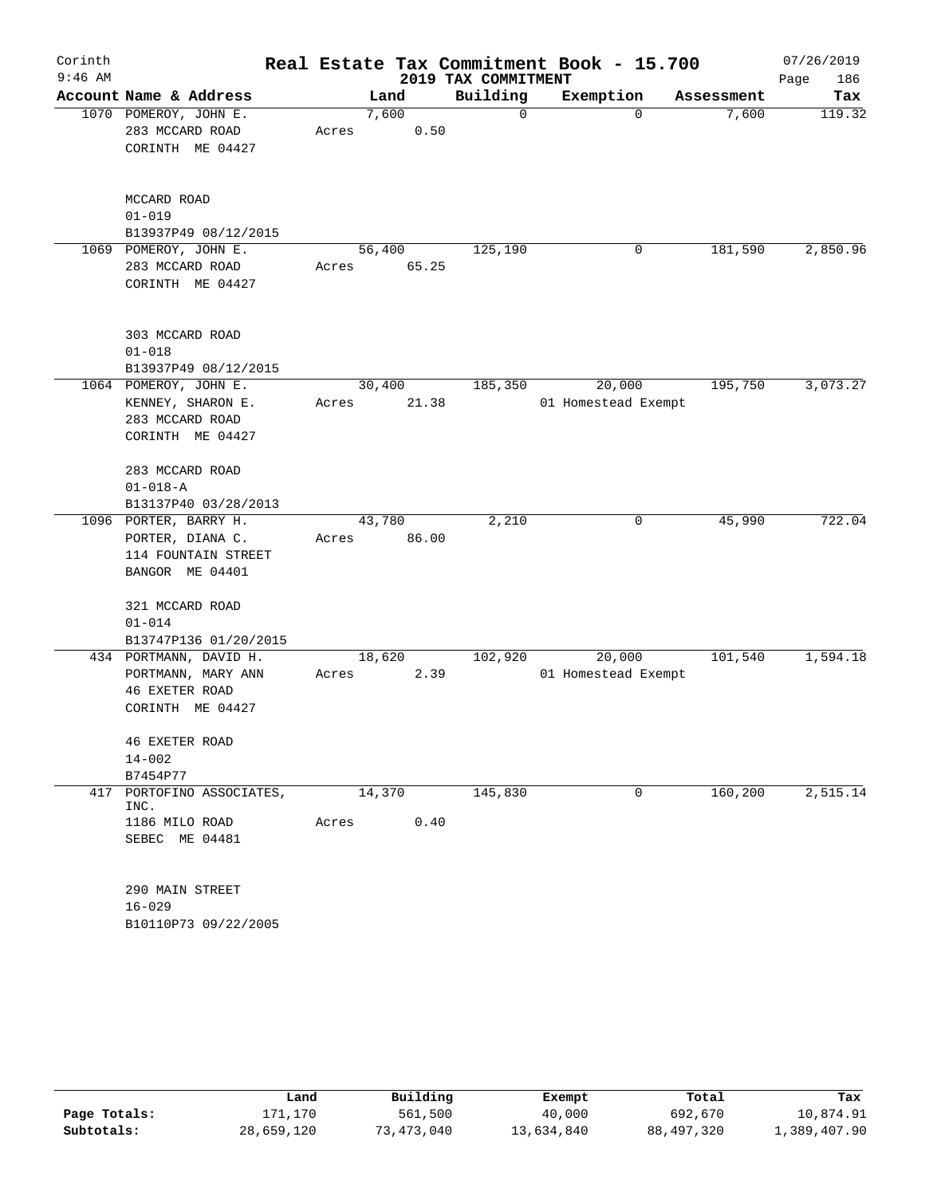| Corinth   |                                   |       |        |                     | Real Estate Tax Commitment Book - 15.700 |            | 07/26/2019            |
|-----------|-----------------------------------|-------|--------|---------------------|------------------------------------------|------------|-----------------------|
| $9:46$ AM |                                   |       |        | 2019 TAX COMMITMENT |                                          |            | Page<br>186           |
|           | Account Name & Address            |       | Land   | Building            | Exemption                                | Assessment | Tax                   |
|           | 1070 POMEROY, JOHN E.             |       | 7,600  | 0                   | 0                                        | 7,600      | 119.32                |
|           | 283 MCCARD ROAD                   | Acres | 0.50   |                     |                                          |            |                       |
|           | CORINTH ME 04427                  |       |        |                     |                                          |            |                       |
|           | MCCARD ROAD                       |       |        |                     |                                          |            |                       |
|           | $01 - 019$                        |       |        |                     |                                          |            |                       |
|           | B13937P49 08/12/2015              |       |        |                     |                                          |            |                       |
|           | 1069 POMEROY, JOHN E.             |       | 56,400 | 125,190             | 0                                        | 181,590    | 2,850.96              |
|           | 283 MCCARD ROAD                   | Acres | 65.25  |                     |                                          |            |                       |
|           | CORINTH ME 04427                  |       |        |                     |                                          |            |                       |
|           | 303 MCCARD ROAD                   |       |        |                     |                                          |            |                       |
|           | $01 - 018$                        |       |        |                     |                                          |            |                       |
|           | B13937P49 08/12/2015              |       |        |                     |                                          |            |                       |
|           | 1064 POMEROY, JOHN E.             |       | 30,400 | 185,350             | 20,000                                   | 195,750    | 3,073.27              |
|           | KENNEY, SHARON E.                 | Acres | 21.38  |                     | 01 Homestead Exempt                      |            |                       |
|           | 283 MCCARD ROAD                   |       |        |                     |                                          |            |                       |
|           | CORINTH ME 04427                  |       |        |                     |                                          |            |                       |
|           | 283 MCCARD ROAD<br>$01 - 018 - A$ |       |        |                     |                                          |            |                       |
|           | B13137P40 03/28/2013              |       |        |                     |                                          |            |                       |
|           | 1096 PORTER, BARRY H.             |       | 43,780 | 2,210               | 0                                        | 45,990     | 722.04                |
|           | PORTER, DIANA C.                  | Acres | 86.00  |                     |                                          |            |                       |
|           | 114 FOUNTAIN STREET               |       |        |                     |                                          |            |                       |
|           | BANGOR ME 04401                   |       |        |                     |                                          |            |                       |
|           | 321 MCCARD ROAD                   |       |        |                     |                                          |            |                       |
|           | $01 - 014$                        |       |        |                     |                                          |            |                       |
|           | B13747P136 01/20/2015             |       |        |                     |                                          |            |                       |
|           | 434 PORTMANN, DAVID H.            |       | 18,620 | 102,920             | 20,000                                   | 101,540    | 1,594.18              |
|           | PORTMANN, MARY ANN                | Acres | 2.39   |                     | 01 Homestead Exempt                      |            |                       |
|           | <b>46 EXETER ROAD</b>             |       |        |                     |                                          |            |                       |
|           | CORINTH ME 04427                  |       |        |                     |                                          |            |                       |
|           | <b>46 EXETER ROAD</b>             |       |        |                     |                                          |            |                       |
|           | $14 - 002$                        |       |        |                     |                                          |            |                       |
|           | B7454P77                          |       |        |                     |                                          |            |                       |
| 417       | PORTOFINO ASSOCIATES,             |       | 14,370 | 145,830             | 0                                        | 160,200    | $\overline{2,515.14}$ |
|           | INC.                              |       |        |                     |                                          |            |                       |
|           | 1186 MILO ROAD                    | Acres | 0.40   |                     |                                          |            |                       |
|           | SEBEC ME 04481                    |       |        |                     |                                          |            |                       |
|           | 290 MAIN STREET                   |       |        |                     |                                          |            |                       |
|           | $16 - 029$                        |       |        |                     |                                          |            |                       |
|           | B10110P73 09/22/2005              |       |        |                     |                                          |            |                       |

|              | Land       | Building   | Exempt     | Total        | Tax          |
|--------------|------------|------------|------------|--------------|--------------|
| Page Totals: | 171.170    | 561,500    | 40,000     | 692,670      | 10,874.91    |
| Subtotals:   | 28,659,120 | 73,473,040 | 13,634,840 | 88, 497, 320 | 1,389,407.90 |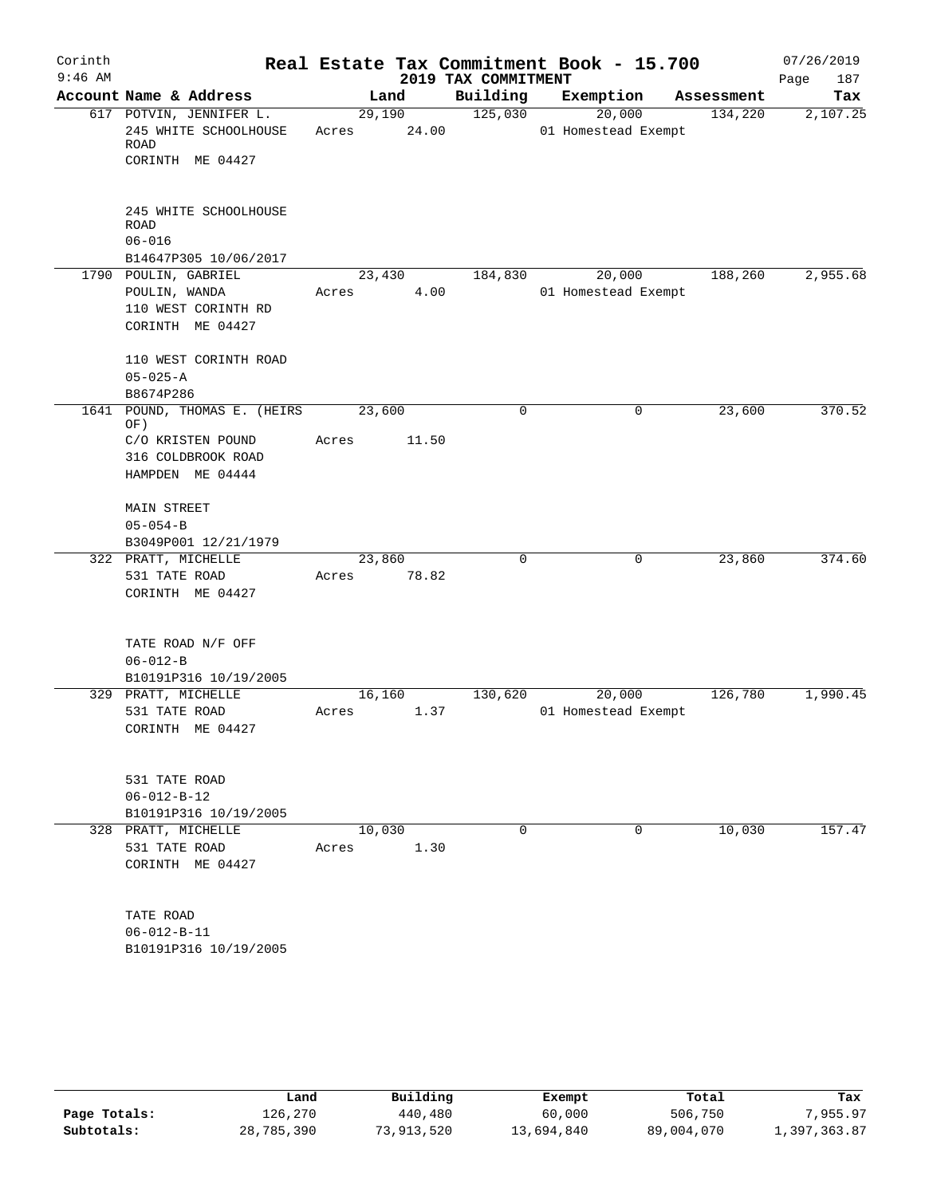| Corinth   |                                                                              |                 |       |                     | Real Estate Tax Commitment Book - 15.700 |            | 07/26/2019  |
|-----------|------------------------------------------------------------------------------|-----------------|-------|---------------------|------------------------------------------|------------|-------------|
| $9:46$ AM |                                                                              |                 |       | 2019 TAX COMMITMENT |                                          |            | Page<br>187 |
|           | Account Name & Address                                                       |                 | Land  | Building            | Exemption                                | Assessment | Tax         |
|           | 617 POTVIN, JENNIFER L.<br>245 WHITE SCHOOLHOUSE<br>ROAD<br>CORINTH ME 04427 | 29,190<br>Acres | 24.00 | 125,030             | 20,000<br>01 Homestead Exempt            | 134,220    | 2,107.25    |
|           | 245 WHITE SCHOOLHOUSE<br><b>ROAD</b><br>$06 - 016$<br>B14647P305 10/06/2017  |                 |       |                     |                                          |            |             |
|           | 1790 POULIN, GABRIEL                                                         | 23,430          |       | 184,830             | 20,000                                   | 188,260    | 2,955.68    |
|           | POULIN, WANDA<br>110 WEST CORINTH RD<br>CORINTH ME 04427                     | Acres           | 4.00  |                     | 01 Homestead Exempt                      |            |             |
|           | 110 WEST CORINTH ROAD<br>$05 - 025 - A$<br>B8674P286                         |                 |       |                     |                                          |            |             |
|           | 1641 POUND, THOMAS E. (HEIRS                                                 | 23,600          |       | 0                   | 0                                        | 23,600     | 370.52      |
|           | OF)<br>C/O KRISTEN POUND<br>316 COLDBROOK ROAD<br>HAMPDEN ME 04444           | Acres           | 11.50 |                     |                                          |            |             |
|           | MAIN STREET<br>$05 - 054 - B$<br>B3049P001 12/21/1979                        |                 |       |                     |                                          |            |             |
|           | 322 PRATT, MICHELLE                                                          | 23,860          |       | 0                   | 0                                        | 23,860     | 374.60      |
|           | 531 TATE ROAD<br>CORINTH ME 04427                                            | Acres           | 78.82 |                     |                                          |            |             |
|           | TATE ROAD N/F OFF<br>$06 - 012 - B$<br>B10191P316 10/19/2005                 |                 |       |                     |                                          |            |             |
|           | 329 PRATT, MICHELLE                                                          | 16,160          |       | 130,620             | 20,000                                   | 126,780    | 1,990.45    |
|           | 531 TATE ROAD<br>CORINTH ME 04427                                            | Acres           | 1.37  |                     | 01 Homestead Exempt                      |            |             |
|           | 531 TATE ROAD<br>$06 - 012 - B - 12$<br>B10191P316 10/19/2005                |                 |       |                     |                                          |            |             |
|           | 328 PRATT, MICHELLE                                                          | 10,030          |       | $\Omega$            | $\mathbf 0$                              | 10,030     | 157.47      |
|           | 531 TATE ROAD<br>CORINTH ME 04427                                            | Acres           | 1.30  |                     |                                          |            |             |
|           | TATE ROAD<br>$06 - 012 - B - 11$<br>B10191P316 10/19/2005                    |                 |       |                     |                                          |            |             |

|              | Land       | Building   | Exempt     | Total      | Tax          |
|--------------|------------|------------|------------|------------|--------------|
| Page Totals: | 126,270    | 440,480    | 60,000     | 506,750    | 7,955.97     |
| Subtotals:   | 28,785,390 | 73,913,520 | 13,694,840 | 89,004,070 | 1,397,363.87 |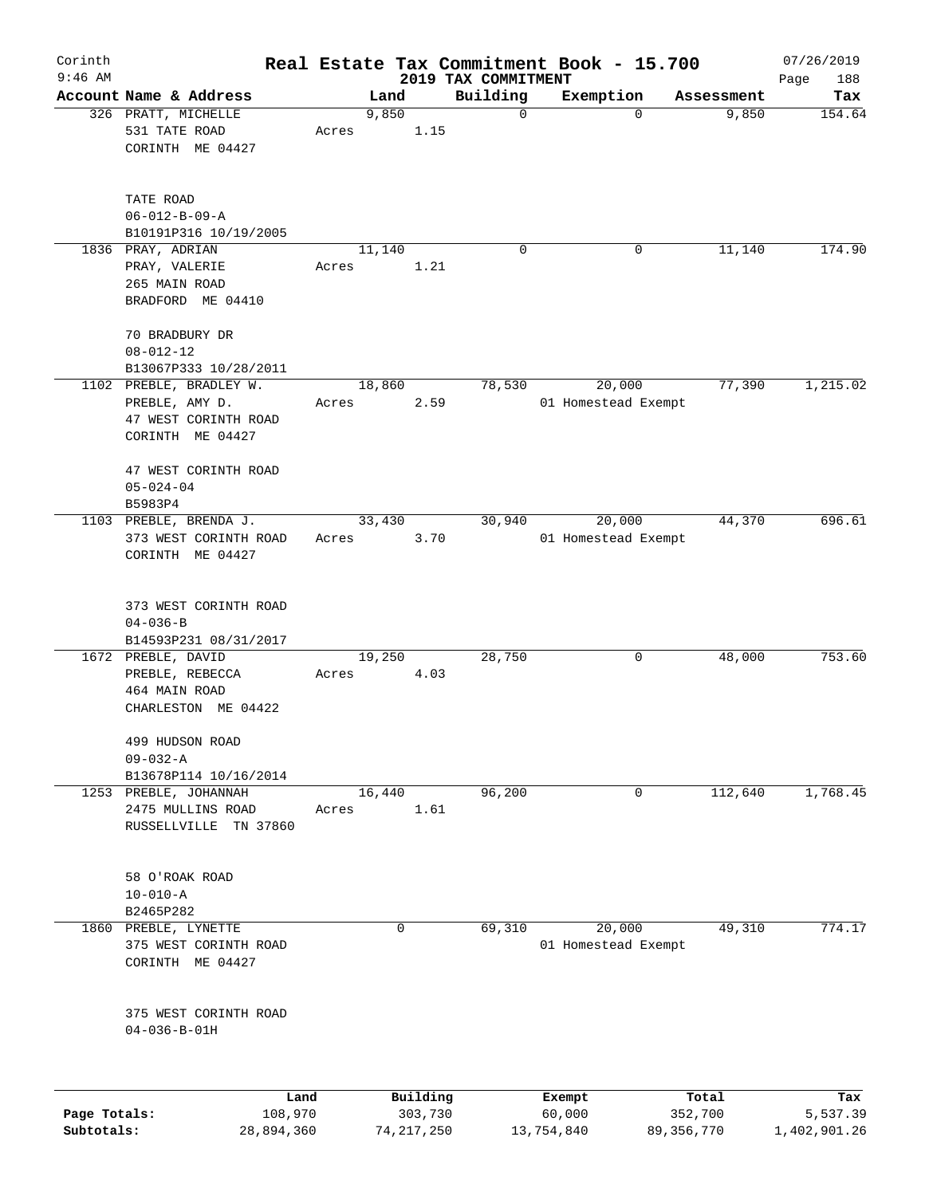| Corinth      |                                                                          |                 |          |                                 | Real Estate Tax Commitment Book - 15.700 |            | 07/26/2019         |
|--------------|--------------------------------------------------------------------------|-----------------|----------|---------------------------------|------------------------------------------|------------|--------------------|
| $9:46$ AM    | Account Name & Address                                                   | Land            |          | 2019 TAX COMMITMENT<br>Building | Exemption                                | Assessment | Page<br>188<br>Tax |
|              | 326 PRATT, MICHELLE<br>531 TATE ROAD                                     | 9,850<br>Acres  | 1.15     | $\mathbf 0$                     | 0                                        | 9,850      | 154.64             |
|              | CORINTH ME 04427                                                         |                 |          |                                 |                                          |            |                    |
|              | TATE ROAD<br>$06 - 012 - B - 09 - A$                                     |                 |          |                                 |                                          |            |                    |
|              | B10191P316 10/19/2005                                                    |                 |          |                                 |                                          |            |                    |
|              | 1836 PRAY, ADRIAN<br>PRAY, VALERIE<br>265 MAIN ROAD<br>BRADFORD ME 04410 | 11,140<br>Acres | 1.21     | 0                               | 0                                        | 11,140     | 174.90             |
|              | 70 BRADBURY DR<br>$08 - 012 - 12$                                        |                 |          |                                 |                                          |            |                    |
|              | B13067P333 10/28/2011                                                    |                 |          |                                 |                                          |            |                    |
|              | 1102 PREBLE, BRADLEY W.<br>PREBLE, AMY D.                                | 18,860<br>Acres | 2.59     | 78,530                          | 20,000<br>01 Homestead Exempt            | 77,390     | 1,215.02           |
|              | 47 WEST CORINTH ROAD<br>CORINTH ME 04427                                 |                 |          |                                 |                                          |            |                    |
|              | 47 WEST CORINTH ROAD<br>$05 - 024 - 04$<br>B5983P4                       |                 |          |                                 |                                          |            |                    |
|              | 1103 PREBLE, BRENDA J.<br>373 WEST CORINTH ROAD<br>CORINTH ME 04427      | 33,430<br>Acres | 3.70     | 30,940                          | 20,000<br>01 Homestead Exempt            | 44,370     | 696.61             |
|              | 373 WEST CORINTH ROAD<br>$04 - 036 - B$<br>B14593P231 08/31/2017         |                 |          |                                 |                                          |            |                    |
|              | 1672 PREBLE, DAVID<br>PREBLE, REBECCA<br>464 MAIN ROAD                   | 19,250<br>Acres | 4.03     | 28,750                          | 0                                        | 48,000     | 753.60             |
|              | CHARLESTON ME 04422<br>499 HUDSON ROAD                                   |                 |          |                                 |                                          |            |                    |
|              | $09 - 032 - A$                                                           |                 |          |                                 |                                          |            |                    |
|              | B13678P114 10/16/2014                                                    |                 |          |                                 |                                          |            |                    |
|              | 1253 PREBLE, JOHANNAH<br>2475 MULLINS ROAD<br>TN 37860<br>RUSSELLVILLE   | 16,440<br>Acres | 1.61     | 96,200                          | 0                                        | 112,640    | 1,768.45           |
|              | 58 O'ROAK ROAD<br>$10 - 010 - A$                                         |                 |          |                                 |                                          |            |                    |
| 1860         | B2465P282<br>PREBLE, LYNETTE                                             |                 | 0        | 69,310                          | 20,000                                   | 49,310     | 774.17             |
|              | 375 WEST CORINTH ROAD<br>CORINTH ME 04427                                |                 |          |                                 | 01 Homestead Exempt                      |            |                    |
|              | 375 WEST CORINTH ROAD<br>$04 - 036 - B - 01H$                            |                 |          |                                 |                                          |            |                    |
|              | Land                                                                     |                 | Building |                                 | Exempt                                   | Total      | Tax                |
| Page Totals: | 108,970                                                                  |                 | 303,730  |                                 | 60,000                                   | 352,700    | 5,537.39           |

**Subtotals:** 28,894,360 74,217,250 13,754,840 89,356,770 1,402,901.26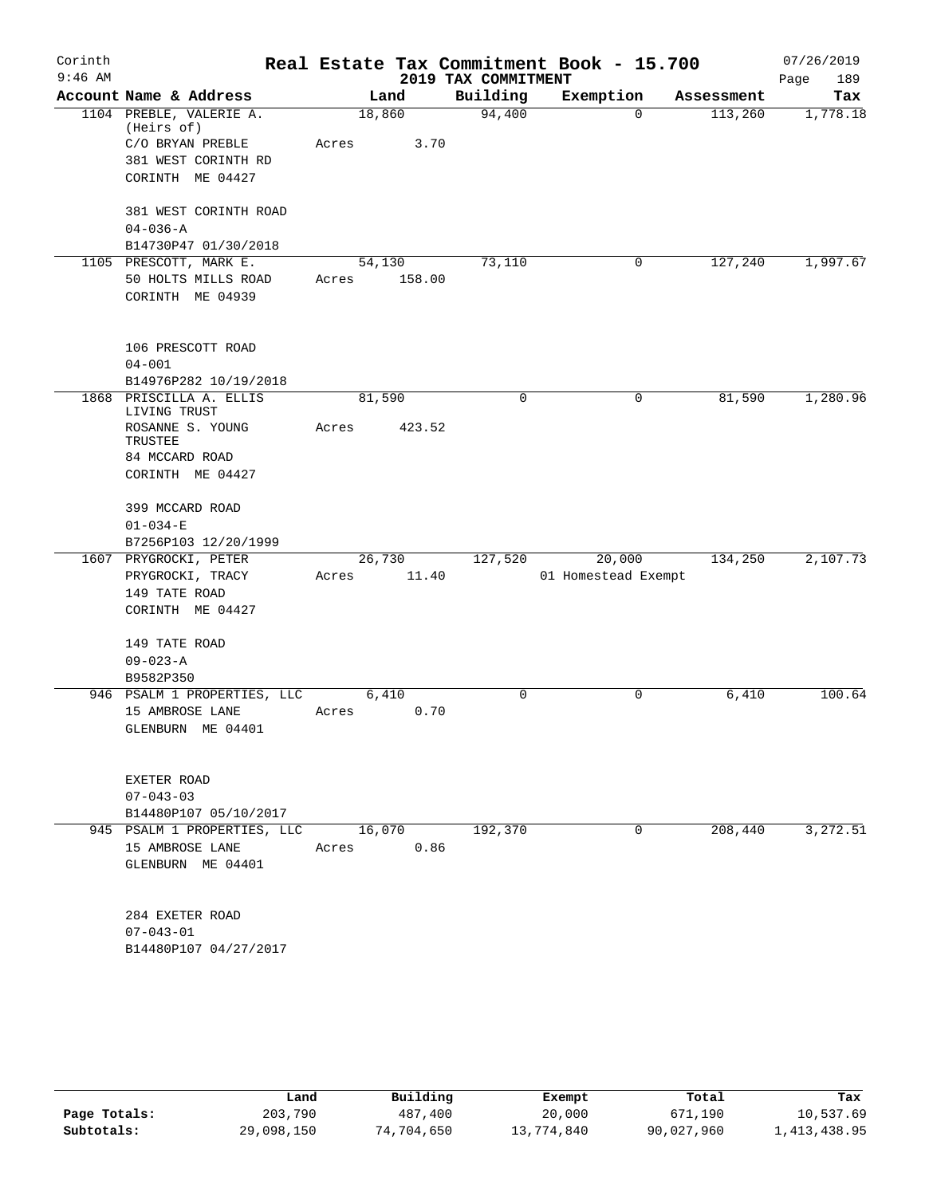| Corinth   |                                          |        |        |                     | Real Estate Tax Commitment Book - 15.700 |            | 07/26/2019  |
|-----------|------------------------------------------|--------|--------|---------------------|------------------------------------------|------------|-------------|
| $9:46$ AM |                                          |        |        | 2019 TAX COMMITMENT |                                          |            | 189<br>Page |
|           | Account Name & Address                   |        | Land   | Building            | Exemption                                | Assessment | Tax         |
|           | 1104 PREBLE, VALERIE A.<br>(Heirs of)    | 18,860 |        | 94,400              | $\Omega$                                 | 113,260    | 1,778.18    |
|           | C/O BRYAN PREBLE                         | Acres  | 3.70   |                     |                                          |            |             |
|           | 381 WEST CORINTH RD                      |        |        |                     |                                          |            |             |
|           | CORINTH ME 04427                         |        |        |                     |                                          |            |             |
|           | 381 WEST CORINTH ROAD                    |        |        |                     |                                          |            |             |
|           | $04 - 036 - A$                           |        |        |                     |                                          |            |             |
|           | B14730P47 01/30/2018                     |        |        |                     |                                          |            |             |
|           | 1105 PRESCOTT, MARK E.                   |        | 54,130 | 73,110              | 0                                        | 127,240    | 1,997.67    |
|           | 50 HOLTS MILLS ROAD                      | Acres  | 158.00 |                     |                                          |            |             |
|           | CORINTH ME 04939                         |        |        |                     |                                          |            |             |
|           | 106 PRESCOTT ROAD                        |        |        |                     |                                          |            |             |
|           | $04 - 001$                               |        |        |                     |                                          |            |             |
|           | B14976P282 10/19/2018                    |        |        |                     |                                          |            |             |
|           | 1868 PRISCILLA A. ELLIS<br>LIVING TRUST  | 81,590 |        | 0                   | 0                                        | 81,590     | 1,280.96    |
|           | ROSANNE S. YOUNG<br>TRUSTEE              | Acres  | 423.52 |                     |                                          |            |             |
|           | 84 MCCARD ROAD                           |        |        |                     |                                          |            |             |
|           | CORINTH ME 04427                         |        |        |                     |                                          |            |             |
|           | 399 MCCARD ROAD                          |        |        |                     |                                          |            |             |
|           | $01 - 034 - E$                           |        |        |                     |                                          |            |             |
|           | B7256P103 12/20/1999                     |        |        |                     |                                          |            |             |
|           | 1607 PRYGROCKI, PETER                    | 26,730 |        | 127,520             | 20,000                                   | 134,250    | 2,107.73    |
|           | PRYGROCKI, TRACY                         | Acres  | 11.40  |                     | 01 Homestead Exempt                      |            |             |
|           | 149 TATE ROAD                            |        |        |                     |                                          |            |             |
|           | CORINTH ME 04427                         |        |        |                     |                                          |            |             |
|           | 149 TATE ROAD                            |        |        |                     |                                          |            |             |
|           | $09 - 023 - A$                           |        |        |                     |                                          |            |             |
|           | B9582P350<br>946 PSALM 1 PROPERTIES, LLC |        | 6,410  | 0                   | $\mathbf 0$                              | 6,410      | 100.64      |
|           | 15 AMBROSE LANE                          | Acres  | 0.70   |                     |                                          |            |             |
|           | GLENBURN ME 04401                        |        |        |                     |                                          |            |             |
|           |                                          |        |        |                     |                                          |            |             |
|           | EXETER ROAD                              |        |        |                     |                                          |            |             |
|           | $07 - 043 - 03$                          |        |        |                     |                                          |            |             |
|           | B14480P107 05/10/2017                    |        |        |                     |                                          |            |             |
|           | 945 PSALM 1 PROPERTIES, LLC              | 16,070 |        | 192,370             | $\mathbf 0$                              | 208,440    | 3,272.51    |
|           | 15 AMBROSE LANE                          | Acres  | 0.86   |                     |                                          |            |             |
|           | GLENBURN ME 04401                        |        |        |                     |                                          |            |             |
|           | 284 EXETER ROAD                          |        |        |                     |                                          |            |             |
|           | $07 - 043 - 01$                          |        |        |                     |                                          |            |             |
|           | B14480P107 04/27/2017                    |        |        |                     |                                          |            |             |
|           |                                          |        |        |                     |                                          |            |             |

|              | Land       | Building   | Exempt     | Total      | Tax          |
|--------------|------------|------------|------------|------------|--------------|
| Page Totals: | 203,790    | 487,400    | 20,000     | 671,190    | 10,537.69    |
| Subtotals:   | 29,098,150 | 74,704,650 | 13,774,840 | 90,027,960 | 1,413,438.95 |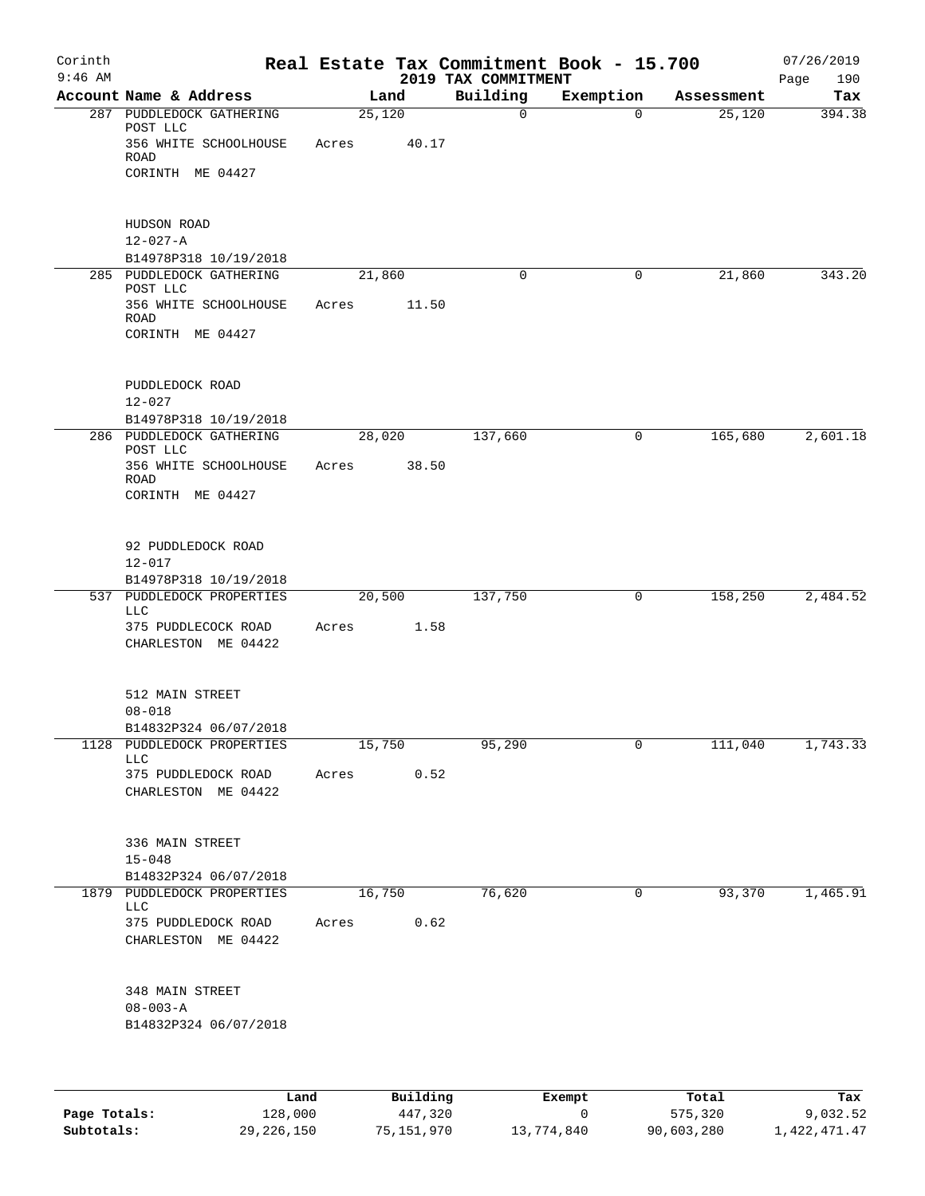| Corinth<br>$9:46$ AM |                                                                       |       |        |       | 2019 TAX COMMITMENT | Real Estate Tax Commitment Book - 15.700 |            | 07/26/2019<br>190<br>Page |
|----------------------|-----------------------------------------------------------------------|-------|--------|-------|---------------------|------------------------------------------|------------|---------------------------|
|                      | Account Name & Address                                                |       | Land   |       | Building            | Exemption                                | Assessment | Tax                       |
|                      | 287 PUDDLEDOCK GATHERING<br>POST LLC<br>356 WHITE SCHOOLHOUSE<br>ROAD | Acres | 25,120 | 40.17 | $\mathbf 0$         | 0                                        | 25,120     | 394.38                    |
|                      | CORINTH ME 04427                                                      |       |        |       |                     |                                          |            |                           |
|                      | HUDSON ROAD<br>$12 - 027 - A$                                         |       |        |       |                     |                                          |            |                           |
|                      | B14978P318 10/19/2018                                                 |       |        |       |                     |                                          |            |                           |
|                      | 285 PUDDLEDOCK GATHERING<br>POST LLC                                  |       | 21,860 |       | 0                   | 0                                        | 21,860     | 343.20                    |
|                      | 356 WHITE SCHOOLHOUSE<br><b>ROAD</b><br>CORINTH ME 04427              | Acres |        | 11.50 |                     |                                          |            |                           |
|                      | PUDDLEDOCK ROAD<br>$12 - 027$                                         |       |        |       |                     |                                          |            |                           |
|                      | B14978P318 10/19/2018                                                 |       |        |       |                     |                                          |            |                           |
|                      | 286 PUDDLEDOCK GATHERING<br>POST LLC                                  |       | 28,020 |       | 137,660             | 0                                        | 165,680    | 2,601.18                  |
|                      | 356 WHITE SCHOOLHOUSE<br><b>ROAD</b><br>CORINTH ME 04427              | Acres |        | 38.50 |                     |                                          |            |                           |
|                      | 92 PUDDLEDOCK ROAD<br>$12 - 017$                                      |       |        |       |                     |                                          |            |                           |
|                      | B14978P318 10/19/2018<br>537 PUDDLEDOCK PROPERTIES                    |       | 20,500 |       | 137,750             | 0                                        | 158,250    | 2,484.52                  |
|                      | <b>LLC</b>                                                            |       |        |       |                     |                                          |            |                           |
|                      | 375 PUDDLECOCK ROAD<br>CHARLESTON ME 04422                            | Acres |        | 1.58  |                     |                                          |            |                           |
|                      | 512 MAIN STREET<br>$08 - 018$                                         |       |        |       |                     |                                          |            |                           |
|                      | B14832P324 06/07/2018<br>1128 PUDDLEDOCK PROPERTIES                   |       | 15,750 |       | 95,290              | 0                                        | 111,040    | 1,743.33                  |
|                      | LLC                                                                   |       |        |       |                     |                                          |            |                           |
|                      | 375 PUDDLEDOCK ROAD<br>CHARLESTON ME 04422                            | Acres |        | 0.52  |                     |                                          |            |                           |
|                      | 336 MAIN STREET<br>$15 - 048$                                         |       |        |       |                     |                                          |            |                           |
|                      | B14832P324 06/07/2018                                                 |       |        |       |                     |                                          |            |                           |
|                      | 1879 PUDDLEDOCK PROPERTIES<br><b>LLC</b><br>375 PUDDLEDOCK ROAD       | Acres | 16,750 | 0.62  | 76,620              | 0                                        | 93,370     | 1,465.91                  |
|                      | CHARLESTON ME 04422                                                   |       |        |       |                     |                                          |            |                           |
|                      | 348 MAIN STREET<br>$08 - 003 - A$                                     |       |        |       |                     |                                          |            |                           |
|                      | B14832P324 06/07/2018                                                 |       |        |       |                     |                                          |            |                           |
|                      |                                                                       |       |        |       |                     |                                          |            |                           |
|                      |                                                                       |       |        |       |                     |                                          |            |                           |

|              | Land         | Building   | Exempt     | Total      | Tax          |
|--------------|--------------|------------|------------|------------|--------------|
| Page Totals: | 128,000      | 447,320    |            | 575,320    | 9,032.52     |
| Subtotals:   | 29, 226, 150 | 75,151,970 | 13,774,840 | 90,603,280 | 1,422,471.47 |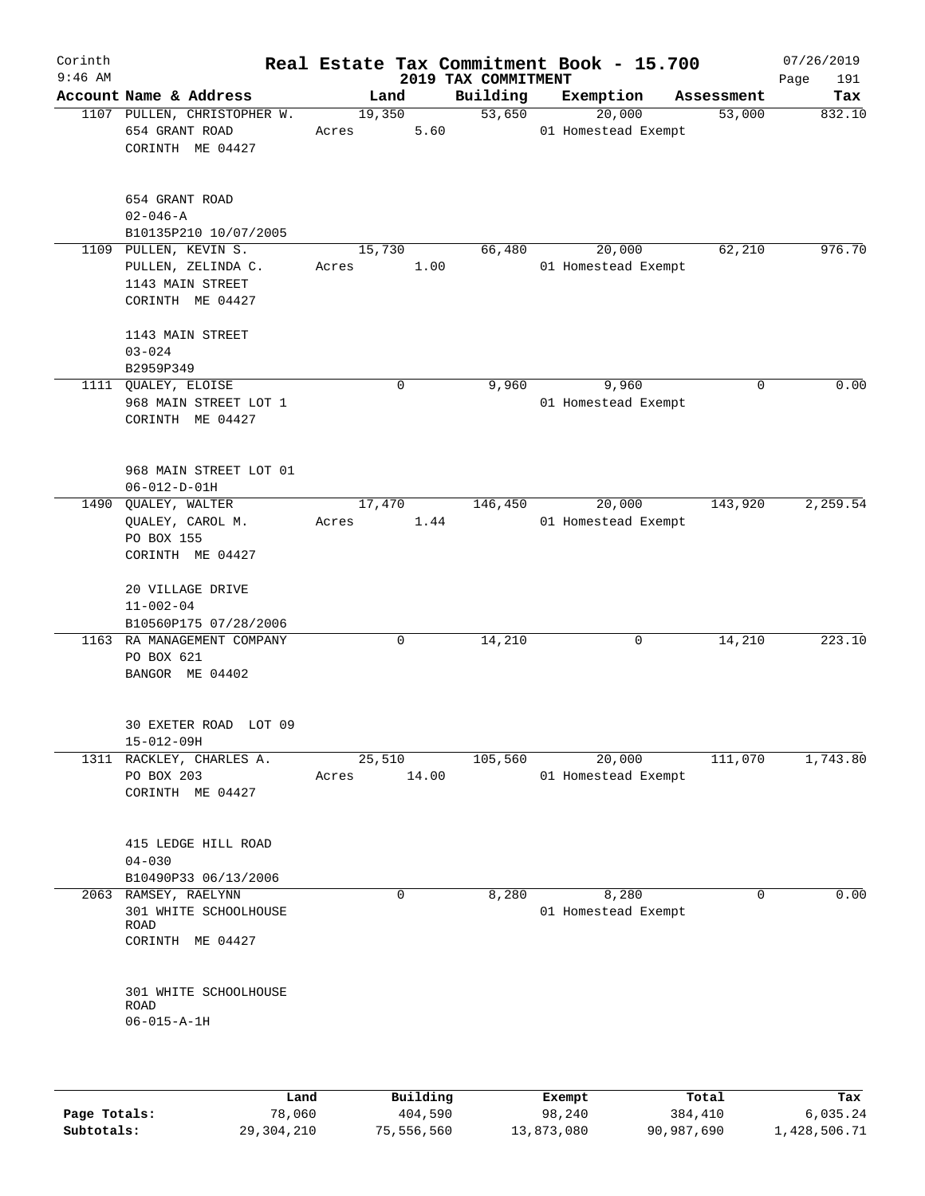| Account Name & Address                                            |                                                                                                                                                                                  |   | 2019 TAX COMMITMENT        |                               |            | Page<br>191                                                                                                                            |
|-------------------------------------------------------------------|----------------------------------------------------------------------------------------------------------------------------------------------------------------------------------|---|----------------------------|-------------------------------|------------|----------------------------------------------------------------------------------------------------------------------------------------|
|                                                                   | Land                                                                                                                                                                             |   | Building                   | Exemption                     | Assessment | Tax                                                                                                                                    |
| 1107 PULLEN, CHRISTOPHER W.<br>654 GRANT ROAD<br>CORINTH ME 04427 | 19,350<br>Acres                                                                                                                                                                  |   | 53,650                     | 20,000                        | 53,000     | 832.10                                                                                                                                 |
| 654 GRANT ROAD<br>$02 - 046 - A$<br>B10135P210 10/07/2005         |                                                                                                                                                                                  |   |                            |                               |            |                                                                                                                                        |
| PULLEN, ZELINDA C.<br>1143 MAIN STREET<br>CORINTH ME 04427        | Acres                                                                                                                                                                            |   | 66,480                     | 20,000                        | 62,210     | 976.70                                                                                                                                 |
| 1143 MAIN STREET<br>$03 - 024$                                    |                                                                                                                                                                                  |   |                            |                               |            |                                                                                                                                        |
|                                                                   |                                                                                                                                                                                  | 0 | 9,960                      | 9,960                         | 0          | 0.00                                                                                                                                   |
| 968 MAIN STREET LOT 1<br>CORINTH ME 04427                         |                                                                                                                                                                                  |   |                            |                               |            |                                                                                                                                        |
| 968 MAIN STREET LOT 01<br>$06 - 012 - D - 01H$                    |                                                                                                                                                                                  |   |                            |                               |            |                                                                                                                                        |
| QUALEY, CAROL M.<br>PO BOX 155<br>CORINTH ME 04427                | Acres                                                                                                                                                                            |   | 146,450                    | 20,000                        | 143,920    | 2,259.54                                                                                                                               |
| 20 VILLAGE DRIVE<br>$11 - 002 - 04$<br>B10560P175 07/28/2006      |                                                                                                                                                                                  |   |                            |                               |            |                                                                                                                                        |
| PO BOX 621<br>BANGOR ME 04402                                     |                                                                                                                                                                                  | 0 | 14,210                     | 0                             | 14,210     | 223.10                                                                                                                                 |
| 30 EXETER ROAD LOT 09<br>$15 - 012 - 09H$                         |                                                                                                                                                                                  |   |                            |                               |            |                                                                                                                                        |
| PO BOX 203<br>CORINTH ME 04427                                    | Acres                                                                                                                                                                            |   | 105,560                    | 20,000                        | 111,070    | 1,743.80                                                                                                                               |
| 415 LEDGE HILL ROAD<br>$04 - 030$                                 |                                                                                                                                                                                  |   |                            |                               |            |                                                                                                                                        |
| 301 WHITE SCHOOLHOUSE<br>ROAD<br>CORINTH ME 04427                 |                                                                                                                                                                                  | 0 | 8,280                      | 8,280                         | 0          | 0.00                                                                                                                                   |
| 301 WHITE SCHOOLHOUSE<br>ROAD<br>$06 - 015 - A - 1H$              |                                                                                                                                                                                  |   |                            |                               |            |                                                                                                                                        |
| 2063                                                              | 1109 PULLEN, KEVIN S.<br>B2959P349<br>1111 QUALEY, ELOISE<br>QUALEY, WALTER<br>1163 RA MANAGEMENT COMPANY<br>1311 RACKLEY, CHARLES A.<br>B10490P33 06/13/2006<br>RAMSEY, RAELYNN |   | 15,730<br>17,470<br>25,510 | 5.60<br>1.00<br>1.44<br>14.00 |            | 01 Homestead Exempt<br>01 Homestead Exempt<br>01 Homestead Exempt<br>01 Homestead Exempt<br>01 Homestead Exempt<br>01 Homestead Exempt |

|              | Land       | Building   | Exempt     | Total      | Tax          |
|--------------|------------|------------|------------|------------|--------------|
| Page Totals: | 78,060     | 404,590    | 98,240     | 384,410    | 6,035.24     |
| Subtotals:   | 29,304,210 | 75,556,560 | 13,873,080 | 90,987,690 | 1,428,506.71 |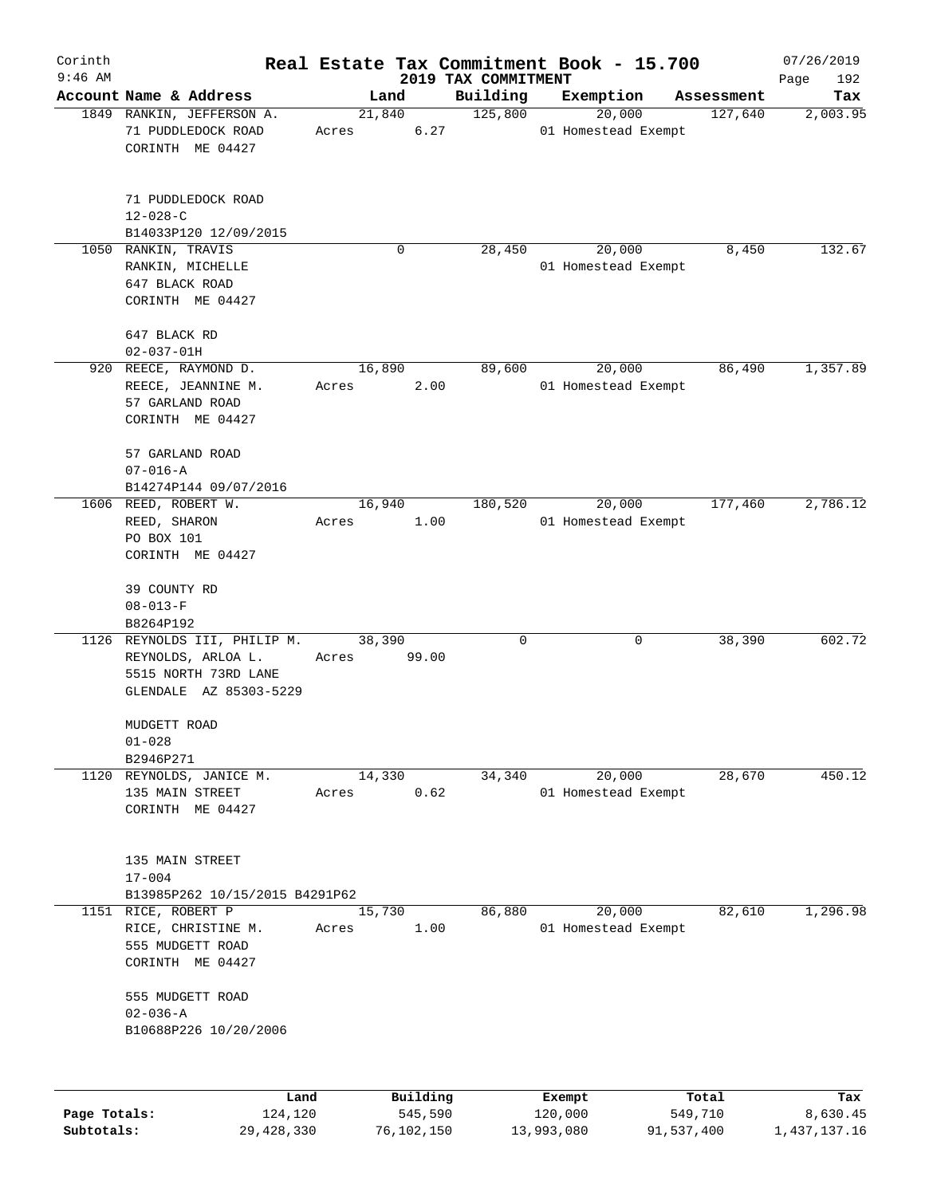| Corinth      |                                                                                                      |                 |          |                                 | Real Estate Tax Commitment Book - 15.700 |             | 07/26/2019         |
|--------------|------------------------------------------------------------------------------------------------------|-----------------|----------|---------------------------------|------------------------------------------|-------------|--------------------|
| $9:46$ AM    | Account Name & Address                                                                               |                 | Land     | 2019 TAX COMMITMENT<br>Building | Exemption                                | Assessment  | Page<br>192<br>Tax |
|              | 1849 RANKIN, JEFFERSON A.<br>71 PUDDLEDOCK ROAD<br>CORINTH ME 04427                                  | 21,840<br>Acres | 6.27     | 125,800                         | 20,000<br>01 Homestead Exempt            | 127,640     | 2,003.95           |
|              | 71 PUDDLEDOCK ROAD<br>$12 - 028 - C$<br>B14033P120 12/09/2015                                        |                 |          |                                 |                                          |             |                    |
|              | 1050 RANKIN, TRAVIS<br>RANKIN, MICHELLE<br>647 BLACK ROAD<br>CORINTH ME 04427                        |                 | 0        | 28,450                          | 20,000<br>01 Homestead Exempt            | 8,450       | 132.67             |
|              | 647 BLACK RD<br>$02 - 037 - 01H$                                                                     |                 |          |                                 |                                          |             |                    |
|              | 920 REECE, RAYMOND D.<br>REECE, JEANNINE M.<br>57 GARLAND ROAD<br>CORINTH ME 04427                   | 16,890<br>Acres | 2.00     | 89,600                          | 20,000<br>01 Homestead Exempt            | 86,490      | 1,357.89           |
|              | 57 GARLAND ROAD<br>$07 - 016 - A$<br>B14274P144 09/07/2016                                           |                 |          |                                 |                                          |             |                    |
|              | 1606 REED, ROBERT W.<br>REED, SHARON<br>PO BOX 101<br>CORINTH ME 04427                               | 16,940<br>Acres | 1.00     | 180,520                         | 20,000<br>01 Homestead Exempt            | 177,460     | 2,786.12           |
|              | 39 COUNTY RD<br>$08 - 013 - F$<br>B8264P192                                                          |                 |          |                                 |                                          |             |                    |
|              | 1126 REYNOLDS III, PHILIP M.<br>REYNOLDS, ARLOA L.<br>5515 NORTH 73RD LANE<br>GLENDALE AZ 85303-5229 | 38,390<br>Acres | 99.00    | 0                               |                                          | 0<br>38,390 | 602.72             |
|              | MUDGETT ROAD<br>$01 - 028$<br>B2946P271                                                              |                 |          |                                 |                                          |             |                    |
|              | 1120 REYNOLDS, JANICE M.<br>135 MAIN STREET<br>CORINTH ME 04427                                      | 14,330<br>Acres | 0.62     | 34,340                          | 20,000<br>01 Homestead Exempt            | 28,670      | 450.12             |
|              | 135 MAIN STREET<br>$17 - 004$<br>B13985P262 10/15/2015 B4291P62                                      |                 |          |                                 |                                          |             |                    |
|              | 1151 RICE, ROBERT P<br>RICE, CHRISTINE M.<br>555 MUDGETT ROAD<br>CORINTH ME 04427                    | 15,730<br>Acres | 1.00     | 86,880                          | 20,000<br>01 Homestead Exempt            | 82,610      | 1,296.98           |
|              | 555 MUDGETT ROAD<br>$02 - 036 - A$<br>B10688P226 10/20/2006                                          |                 |          |                                 |                                          |             |                    |
|              | Land                                                                                                 |                 | Building |                                 | Exempt                                   | Total       | Tax                |
| Page Totals: | 124,120                                                                                              |                 | 545,590  |                                 | 120,000                                  | 549,710     | 8,630.45           |

**Subtotals:** 29,428,330 76,102,150 13,993,080 91,537,400 1,437,137.16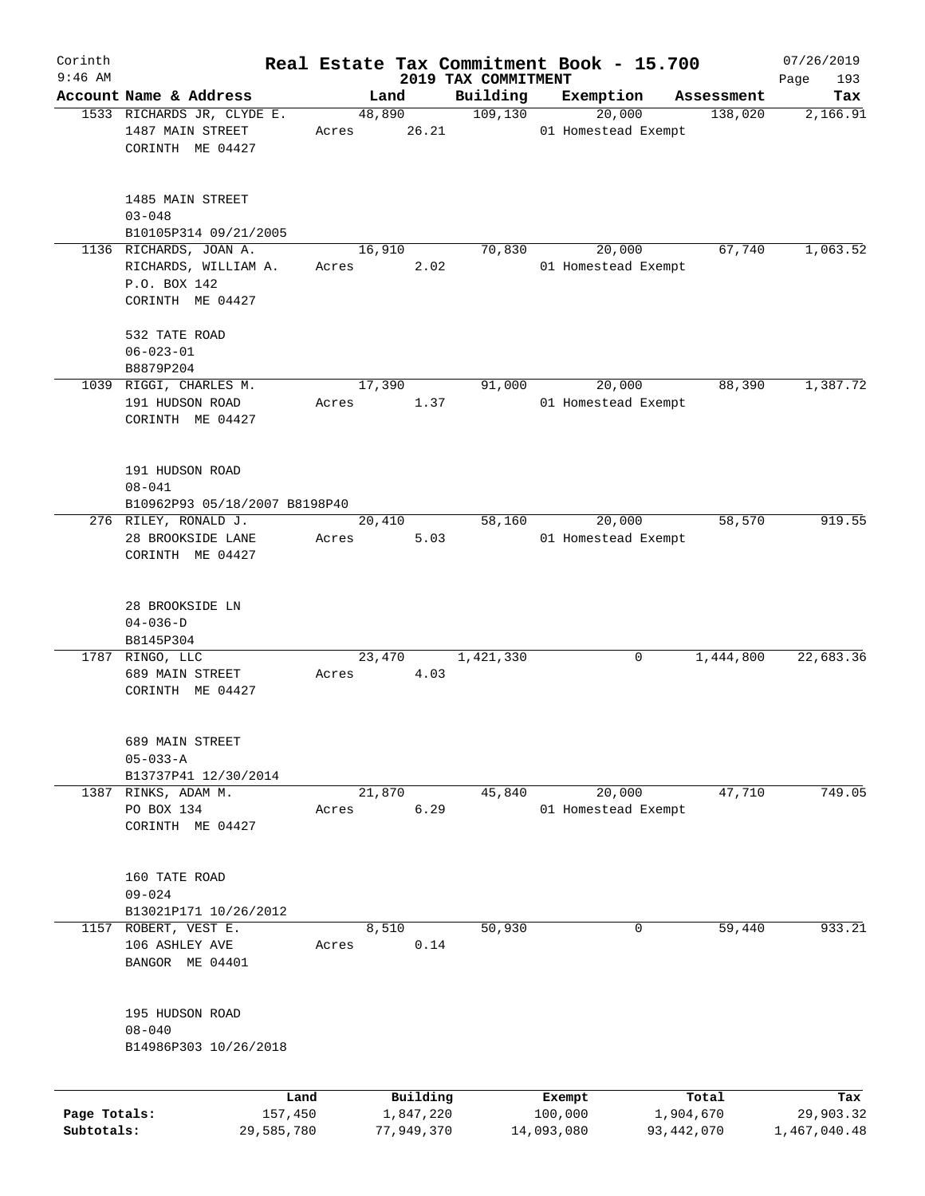| Corinth      |                                                                                    |       |                |            |                      | Real Estate Tax Commitment Book - 15.700 |              |                       | 07/26/2019      |
|--------------|------------------------------------------------------------------------------------|-------|----------------|------------|----------------------|------------------------------------------|--------------|-----------------------|-----------------|
| $9:46$ AM    |                                                                                    |       |                |            | 2019 TAX COMMITMENT  |                                          |              |                       | 193<br>Page     |
|              | Account Name & Address<br>1533 RICHARDS JR, CLYDE E.                               |       | Land<br>48,890 |            | Building<br>109, 130 | Exemption<br>20,000                      |              | Assessment<br>138,020 | Tax<br>2,166.91 |
|              | 1487 MAIN STREET<br>CORINTH ME 04427                                               | Acres |                | 26.21      |                      | 01 Homestead Exempt                      |              |                       |                 |
|              | 1485 MAIN STREET<br>$03 - 048$                                                     |       |                |            |                      |                                          |              |                       |                 |
|              | B10105P314 09/21/2005                                                              |       |                |            |                      |                                          |              |                       |                 |
|              | 1136 RICHARDS, JOAN A.<br>RICHARDS, WILLIAM A.<br>P.O. BOX 142<br>CORINTH ME 04427 | Acres | 16,910         | 2.02       | 70,830               | 20,000<br>01 Homestead Exempt            |              | 67,740                | 1,063.52        |
|              | 532 TATE ROAD<br>$06 - 023 - 01$<br>B8879P204                                      |       |                |            |                      |                                          |              |                       |                 |
|              | 1039 RIGGI, CHARLES M.                                                             |       | 17,390         |            | 91,000               | 20,000                                   |              | 88,390                | 1,387.72        |
|              | 191 HUDSON ROAD<br>CORINTH ME 04427                                                | Acres |                | 1.37       |                      | 01 Homestead Exempt                      |              |                       |                 |
|              | 191 HUDSON ROAD<br>$08 - 041$<br>B10962P93 05/18/2007 B8198P40                     |       |                |            |                      |                                          |              |                       |                 |
|              | 276 RILEY, RONALD J.                                                               |       | 20,410         |            | 58,160               | 20,000                                   |              | 58,570                | 919.55          |
|              | 28 BROOKSIDE LANE<br>CORINTH ME 04427                                              | Acres |                | 5.03       |                      | 01 Homestead Exempt                      |              |                       |                 |
|              | 28 BROOKSIDE LN<br>$04 - 036 - D$<br>B8145P304                                     |       |                |            |                      |                                          |              |                       |                 |
|              | 1787 RINGO, LLC<br>689 MAIN STREET<br>CORINTH ME 04427                             | Acres | 23,470         | 4.03       | 1,421,330            |                                          | 0            | 1,444,800             | 22,683.36       |
|              | 689 MAIN STREET<br>$05 - 033 - A$<br>B13737P41 12/30/2014                          |       |                |            |                      |                                          |              |                       |                 |
| 1387         | RINKS, ADAM M.                                                                     |       | 21,870         |            | 45,840               | 20,000                                   |              | 47,710                | 749.05          |
|              | PO BOX 134<br>CORINTH ME 04427                                                     | Acres |                | 6.29       |                      | 01 Homestead Exempt                      |              |                       |                 |
|              | 160 TATE ROAD<br>$09 - 024$<br>B13021P171 10/26/2012                               |       |                |            |                      |                                          |              |                       |                 |
| 1157         | ROBERT, VEST E.                                                                    |       | 8,510          |            | 50,930               |                                          | 0            | 59,440                | 933.21          |
|              | 106 ASHLEY AVE<br>BANGOR ME 04401                                                  | Acres |                | 0.14       |                      |                                          |              |                       |                 |
|              | 195 HUDSON ROAD<br>$08 - 040$<br>B14986P303 10/26/2018                             |       |                |            |                      |                                          |              |                       |                 |
|              |                                                                                    | Land  |                | Building   |                      | Exempt                                   |              | Total                 | Tax             |
| Page Totals: | 157,450                                                                            |       |                | 1,847,220  |                      | 100,000                                  | 1,904,670    |                       | 29,903.32       |
| Subtotals:   | 29,585,780                                                                         |       |                | 77,949,370 |                      | 14,093,080                               | 93, 442, 070 |                       | 1,467,040.48    |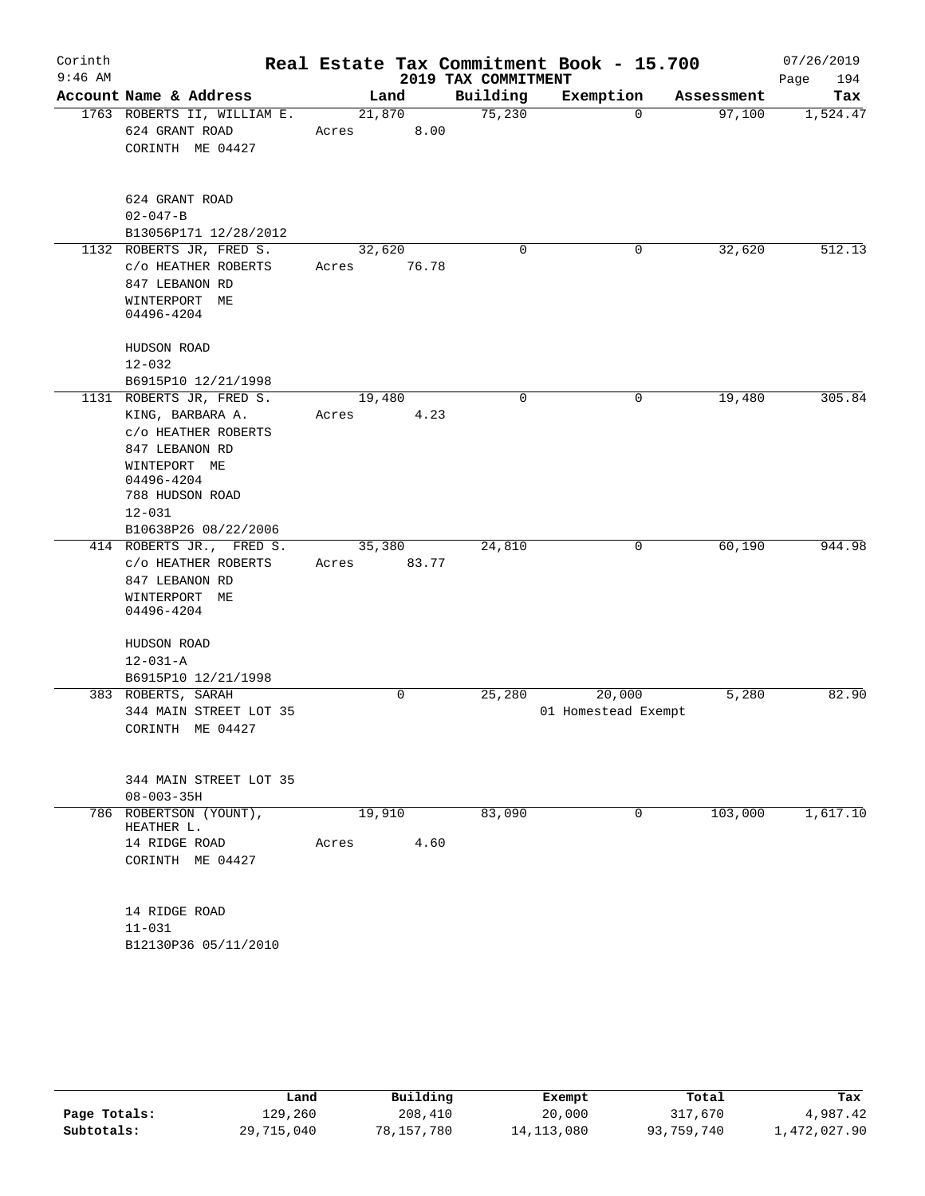| Corinth<br>$9:46$ AM |                                                                                                                                                      |                          | 2019 TAX COMMITMENT | Real Estate Tax Commitment Book - 15.700 |            | 07/26/2019<br>Page<br>194 |
|----------------------|------------------------------------------------------------------------------------------------------------------------------------------------------|--------------------------|---------------------|------------------------------------------|------------|---------------------------|
|                      | Account Name & Address                                                                                                                               | Land                     | Building            | Exemption                                | Assessment | Tax                       |
|                      | 1763 ROBERTS II, WILLIAM E.<br>624 GRANT ROAD<br>CORINTH ME 04427                                                                                    | 21,870<br>8.00<br>Acres  | 75,230              | 0                                        | 97,100     | 1,524.47                  |
|                      | 624 GRANT ROAD<br>$02 - 047 - B$<br>B13056P171 12/28/2012                                                                                            |                          |                     |                                          |            |                           |
|                      | 1132 ROBERTS JR, FRED S.<br>C/O HEATHER ROBERTS<br>847 LEBANON RD<br>WINTERPORT ME<br>04496-4204                                                     | 32,620<br>76.78<br>Acres | 0                   | 0                                        | 32,620     | 512.13                    |
|                      | HUDSON ROAD<br>$12 - 032$<br>B6915P10 12/21/1998                                                                                                     |                          |                     |                                          |            |                           |
|                      | 1131 ROBERTS JR, FRED S.<br>KING, BARBARA A.<br>C/O HEATHER ROBERTS<br>847 LEBANON RD<br>WINTEPORT ME<br>04496-4204<br>788 HUDSON ROAD<br>$12 - 031$ | 19,480<br>4.23<br>Acres  | 0                   | 0                                        | 19,480     | 305.84                    |
|                      | B10638P26 08/22/2006<br>414 ROBERTS JR., FRED S.<br>C/O HEATHER ROBERTS<br>847 LEBANON RD<br>WINTERPORT ME                                           | 35,380<br>Acres<br>83.77 | 24,810              | 0                                        | 60,190     | 944.98                    |
|                      | 04496-4204<br>HUDSON ROAD<br>$12 - 031 - A$<br>B6915P10 12/21/1998<br>383 ROBERTS, SARAH                                                             | 0                        | 25,280              | 20,000                                   | 5,280      | 82.90                     |
|                      | 344 MAIN STREET LOT 35<br>CORINTH ME 04427<br>344 MAIN STREET LOT 35<br>$08 - 003 - 35H$                                                             |                          |                     | 01 Homestead Exempt                      |            |                           |
| 786                  | ROBERTSON (YOUNT),<br>HEATHER L.<br>14 RIDGE ROAD<br>CORINTH ME 04427<br>14 RIDGE ROAD<br>$11 - 031$<br>B12130P36 05/11/2010                         | 19,910<br>4.60<br>Acres  | 83,090              | $\Omega$                                 | 103,000    | 1,617.10                  |

|              | Land       | Building   | Exempt       | Total      | Tax          |
|--------------|------------|------------|--------------|------------|--------------|
| Page Totals: | 129,260    | 208,410    | 20,000       | 317,670    | 4,987.42     |
| Subtotals:   | 29,715,040 | 78,157,780 | 14, 113, 080 | 93,759,740 | 1,472,027.90 |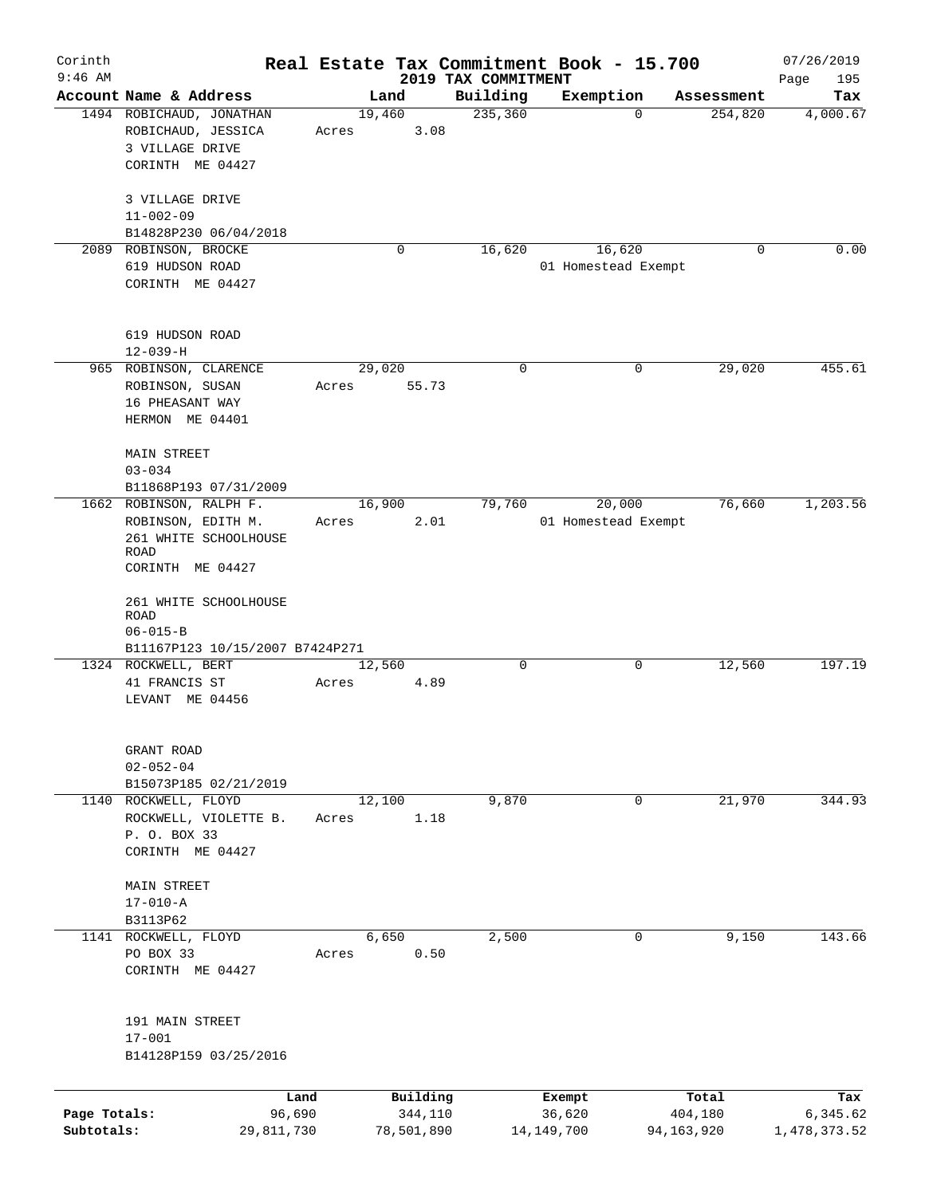| Corinth      |                                 |            |        |            |                                 | Real Estate Tax Commitment Book - 15.700 |             |                       | 07/26/2019      |
|--------------|---------------------------------|------------|--------|------------|---------------------------------|------------------------------------------|-------------|-----------------------|-----------------|
| $9:46$ AM    | Account Name & Address          |            | Land   |            | 2019 TAX COMMITMENT<br>Building | Exemption                                |             |                       | Page<br>195     |
|              | 1494 ROBICHAUD, JONATHAN        |            | 19,460 |            | 235,360                         |                                          | 0           | Assessment<br>254,820 | Tax<br>4,000.67 |
|              | ROBICHAUD, JESSICA              |            | Acres  | 3.08       |                                 |                                          |             |                       |                 |
|              | 3 VILLAGE DRIVE                 |            |        |            |                                 |                                          |             |                       |                 |
|              | CORINTH ME 04427                |            |        |            |                                 |                                          |             |                       |                 |
|              |                                 |            |        |            |                                 |                                          |             |                       |                 |
|              | 3 VILLAGE DRIVE                 |            |        |            |                                 |                                          |             |                       |                 |
|              | $11 - 002 - 09$                 |            |        |            |                                 |                                          |             |                       |                 |
|              | B14828P230 06/04/2018           |            |        |            |                                 |                                          |             |                       |                 |
|              | 2089 ROBINSON, BROCKE           |            |        | 0          | 16,620                          | 16,620                                   |             | 0                     | 0.00            |
|              | 619 HUDSON ROAD                 |            |        |            |                                 | 01 Homestead Exempt                      |             |                       |                 |
|              | CORINTH ME 04427                |            |        |            |                                 |                                          |             |                       |                 |
|              |                                 |            |        |            |                                 |                                          |             |                       |                 |
|              |                                 |            |        |            |                                 |                                          |             |                       |                 |
|              | 619 HUDSON ROAD                 |            |        |            |                                 |                                          |             |                       |                 |
|              | $12 - 039 - H$                  |            |        |            |                                 |                                          |             |                       |                 |
|              | 965 ROBINSON, CLARENCE          |            | 29,020 |            | 0                               |                                          | $\mathbf 0$ | 29,020                | 455.61          |
|              | ROBINSON, SUSAN                 |            | Acres  | 55.73      |                                 |                                          |             |                       |                 |
|              | 16 PHEASANT WAY                 |            |        |            |                                 |                                          |             |                       |                 |
|              | HERMON ME 04401                 |            |        |            |                                 |                                          |             |                       |                 |
|              |                                 |            |        |            |                                 |                                          |             |                       |                 |
|              | <b>MAIN STREET</b>              |            |        |            |                                 |                                          |             |                       |                 |
|              | $03 - 034$                      |            |        |            |                                 |                                          |             |                       |                 |
|              | B11868P193 07/31/2009           |            |        |            |                                 |                                          |             |                       |                 |
|              | 1662 ROBINSON, RALPH F.         |            | 16,900 |            | 79,760                          | 20,000                                   |             | 76,660                | 1,203.56        |
|              | ROBINSON, EDITH M.              |            | Acres  | 2.01       |                                 | 01 Homestead Exempt                      |             |                       |                 |
|              | 261 WHITE SCHOOLHOUSE           |            |        |            |                                 |                                          |             |                       |                 |
|              | ROAD                            |            |        |            |                                 |                                          |             |                       |                 |
|              | CORINTH ME 04427                |            |        |            |                                 |                                          |             |                       |                 |
|              |                                 |            |        |            |                                 |                                          |             |                       |                 |
|              | 261 WHITE SCHOOLHOUSE<br>ROAD   |            |        |            |                                 |                                          |             |                       |                 |
|              | $06 - 015 - B$                  |            |        |            |                                 |                                          |             |                       |                 |
|              | B11167P123 10/15/2007 B7424P271 |            |        |            |                                 |                                          |             |                       |                 |
|              | 1324 ROCKWELL, BERT             |            | 12,560 |            | $\Omega$                        |                                          | $\mathbf 0$ | 12,560                | 197.19          |
|              | 41 FRANCIS ST                   |            | Acres  | 4.89       |                                 |                                          |             |                       |                 |
|              | LEVANT ME 04456                 |            |        |            |                                 |                                          |             |                       |                 |
|              |                                 |            |        |            |                                 |                                          |             |                       |                 |
|              |                                 |            |        |            |                                 |                                          |             |                       |                 |
|              | GRANT ROAD                      |            |        |            |                                 |                                          |             |                       |                 |
|              | $02 - 052 - 04$                 |            |        |            |                                 |                                          |             |                       |                 |
|              | B15073P185 02/21/2019           |            |        |            |                                 |                                          |             |                       |                 |
| 1140         | ROCKWELL, FLOYD                 |            | 12,100 |            | 9,870                           |                                          | 0           | 21,970                | 344.93          |
|              | ROCKWELL, VIOLETTE B.           |            | Acres  | 1.18       |                                 |                                          |             |                       |                 |
|              | P. O. BOX 33                    |            |        |            |                                 |                                          |             |                       |                 |
|              | CORINTH ME 04427                |            |        |            |                                 |                                          |             |                       |                 |
|              |                                 |            |        |            |                                 |                                          |             |                       |                 |
|              | <b>MAIN STREET</b>              |            |        |            |                                 |                                          |             |                       |                 |
|              | $17 - 010 - A$                  |            |        |            |                                 |                                          |             |                       |                 |
|              | B3113P62                        |            |        |            |                                 |                                          |             |                       |                 |
| 1141         | ROCKWELL, FLOYD                 |            | 6,650  |            | 2,500                           |                                          | 0           | 9,150                 | 143.66          |
|              | PO BOX 33                       |            | Acres  | 0.50       |                                 |                                          |             |                       |                 |
|              | CORINTH ME 04427                |            |        |            |                                 |                                          |             |                       |                 |
|              |                                 |            |        |            |                                 |                                          |             |                       |                 |
|              | 191 MAIN STREET                 |            |        |            |                                 |                                          |             |                       |                 |
|              | $17 - 001$                      |            |        |            |                                 |                                          |             |                       |                 |
|              | B14128P159 03/25/2016           |            |        |            |                                 |                                          |             |                       |                 |
|              |                                 |            |        |            |                                 |                                          |             |                       |                 |
|              |                                 | Land       |        | Building   |                                 | Exempt                                   |             | Total                 | Tax             |
| Page Totals: |                                 | 96,690     |        | 344,110    |                                 | 36,620                                   |             | 404,180               | 6,345.62        |
| Subtotals:   |                                 | 29,811,730 |        | 78,501,890 |                                 | 14, 149, 700                             | 94,163,920  |                       | 1,478,373.52    |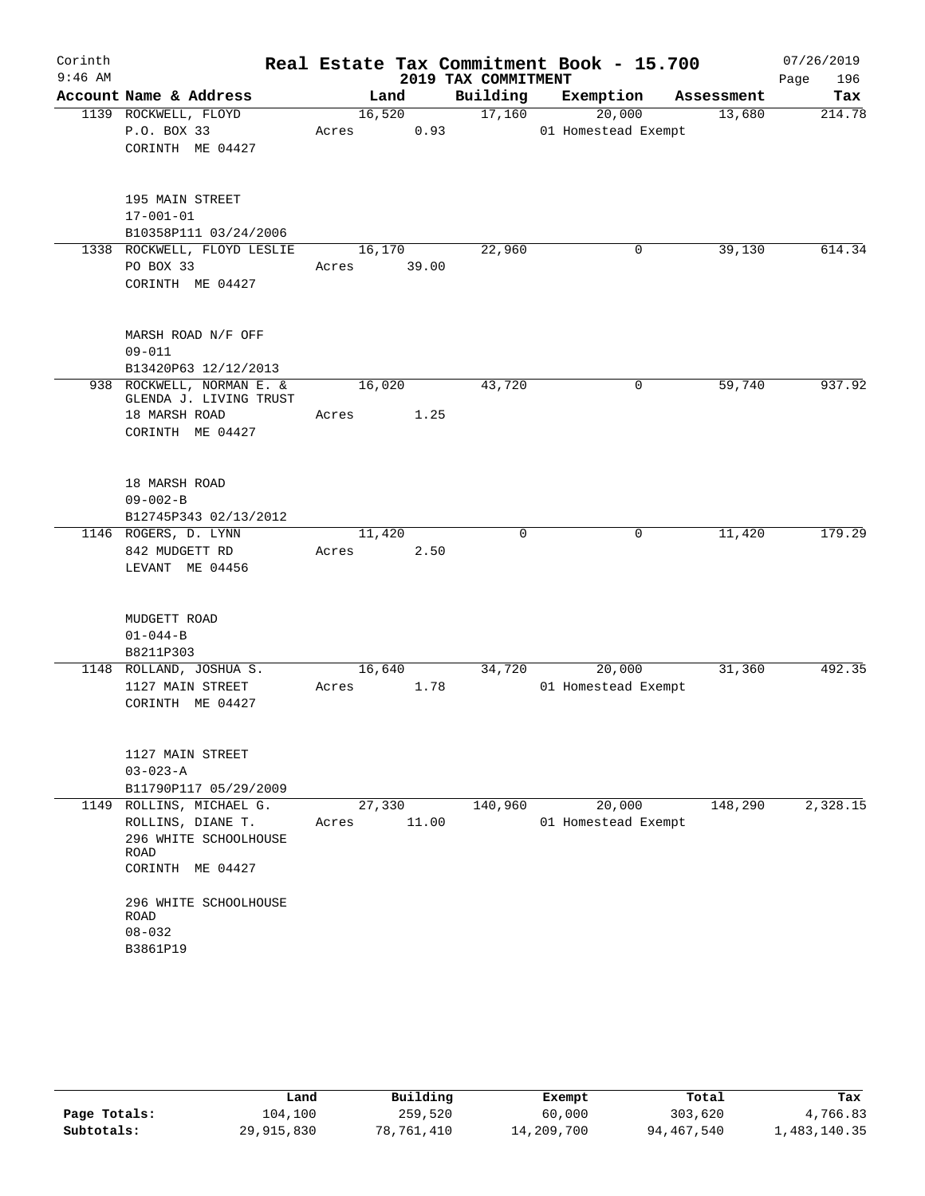| Corinth<br>$9:46$ AM |                                                     |                 |        | 2019 TAX COMMITMENT | Real Estate Tax Commitment Book - 15.700 |            | 07/26/2019<br>196<br>Page |
|----------------------|-----------------------------------------------------|-----------------|--------|---------------------|------------------------------------------|------------|---------------------------|
|                      | Account Name & Address                              |                 | Land   | Building            | Exemption                                | Assessment | Tax                       |
|                      | 1139 ROCKWELL, FLOYD                                |                 | 16,520 | 17,160              | 20,000                                   | 13,680     | 214.78                    |
|                      | P.O. BOX 33                                         | Acres           | 0.93   |                     | 01 Homestead Exempt                      |            |                           |
|                      | CORINTH ME 04427                                    |                 |        |                     |                                          |            |                           |
|                      | 195 MAIN STREET                                     |                 |        |                     |                                          |            |                           |
|                      | $17 - 001 - 01$                                     |                 |        |                     |                                          |            |                           |
|                      | B10358P111 03/24/2006                               |                 |        |                     |                                          |            |                           |
|                      | 1338 ROCKWELL, FLOYD LESLIE                         | 16,170          |        | 22,960              | 0                                        | 39,130     | 614.34                    |
|                      | PO BOX 33<br>CORINTH ME 04427                       | Acres           | 39.00  |                     |                                          |            |                           |
|                      | MARSH ROAD N/F OFF                                  |                 |        |                     |                                          |            |                           |
|                      | $09 - 011$                                          |                 |        |                     |                                          |            |                           |
|                      | B13420P63 12/12/2013                                |                 |        |                     |                                          |            |                           |
|                      | 938 ROCKWELL, NORMAN E. &<br>GLENDA J. LIVING TRUST | 16,020          |        | 43,720              | 0                                        | 59,740     | 937.92                    |
|                      | 18 MARSH ROAD                                       | Acres           | 1.25   |                     |                                          |            |                           |
|                      | CORINTH ME 04427                                    |                 |        |                     |                                          |            |                           |
|                      | 18 MARSH ROAD                                       |                 |        |                     |                                          |            |                           |
|                      | $09 - 002 - B$                                      |                 |        |                     |                                          |            |                           |
|                      | B12745P343 02/13/2012                               |                 |        |                     |                                          |            |                           |
|                      | 1146 ROGERS, D. LYNN                                | 11,420          |        | $\Omega$            | 0                                        | 11,420     | 179.29                    |
|                      | 842 MUDGETT RD                                      | Acres           | 2.50   |                     |                                          |            |                           |
|                      | LEVANT ME 04456                                     |                 |        |                     |                                          |            |                           |
|                      | MUDGETT ROAD                                        |                 |        |                     |                                          |            |                           |
|                      | $01 - 044 - B$                                      |                 |        |                     |                                          |            |                           |
|                      | B8211P303                                           |                 |        |                     |                                          |            |                           |
|                      | 1148 ROLLAND, JOSHUA S.                             | 16,640          |        | 34,720              | 20,000                                   | 31,360     | 492.35                    |
|                      | 1127 MAIN STREET<br>CORINTH ME 04427                | Acres           | 1.78   |                     | 01 Homestead Exempt                      |            |                           |
|                      | 1127 MAIN STREET                                    |                 |        |                     |                                          |            |                           |
|                      | $03 - 023 - A$                                      |                 |        |                     |                                          |            |                           |
|                      | B11790P117 05/29/2009<br>1149 ROLLINS, MICHAEL G.   |                 |        |                     |                                          | 148,290    | 2,328.15                  |
|                      | ROLLINS, DIANE T.                                   | 27,330<br>Acres | 11.00  | 140,960             | 20,000<br>01 Homestead Exempt            |            |                           |
|                      | 296 WHITE SCHOOLHOUSE<br>ROAD                       |                 |        |                     |                                          |            |                           |
|                      | CORINTH ME 04427                                    |                 |        |                     |                                          |            |                           |
|                      | 296 WHITE SCHOOLHOUSE<br>ROAD                       |                 |        |                     |                                          |            |                           |
|                      | $08 - 032$                                          |                 |        |                     |                                          |            |                           |
|                      | B3861P19                                            |                 |        |                     |                                          |            |                           |

|              | Land       | Building   | Exempt     | Total      | Tax          |
|--------------|------------|------------|------------|------------|--------------|
| Page Totals: | 104,100    | 259,520    | 60,000     | 303,620    | 4,766.83     |
| Subtotals:   | 29,915,830 | 78,761,410 | 14,209,700 | 94,467,540 | 1,483,140.35 |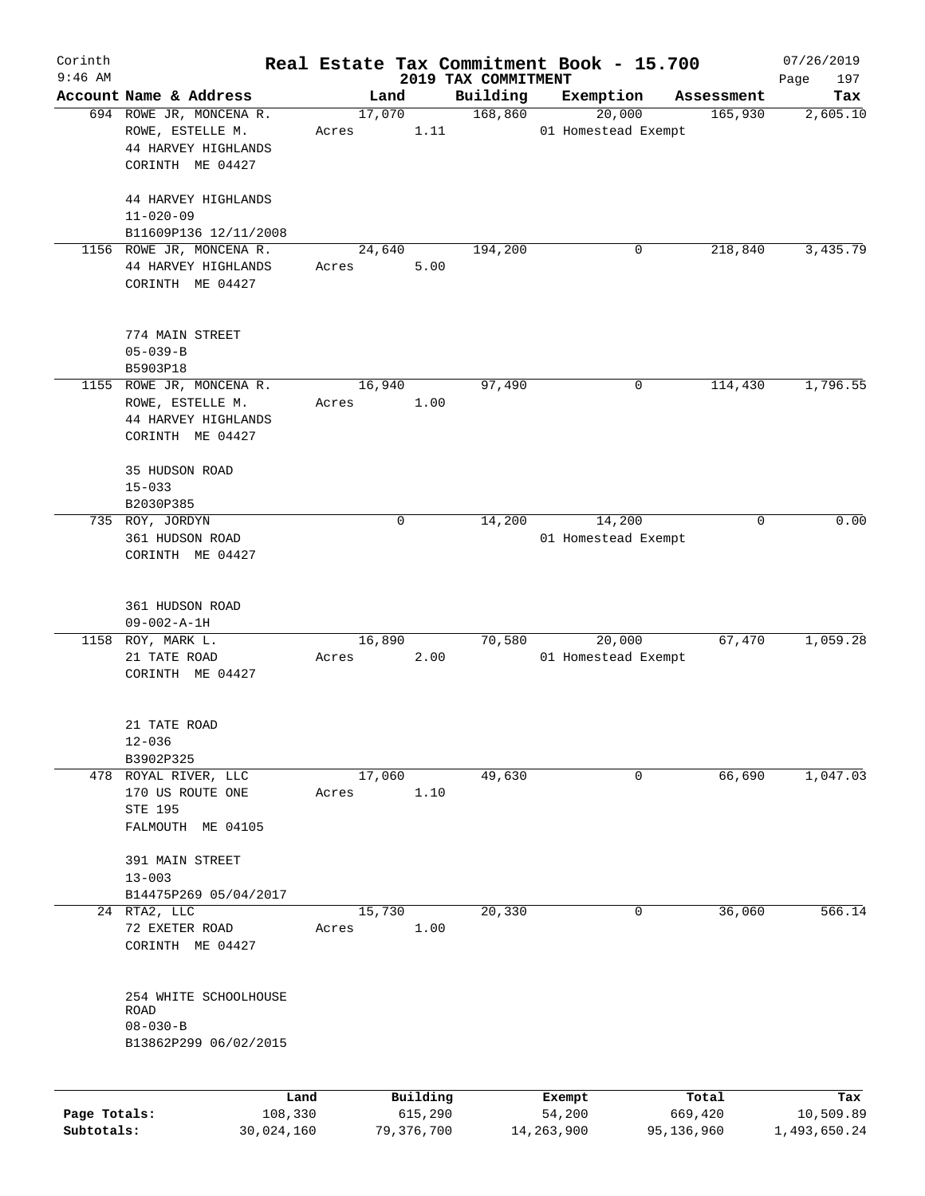| Corinth<br>$9:46$ AM |                                      |                 |             |                     |                                 | Real Estate Tax Commitment Book - 15.700 |                  | 07/26/2019         |
|----------------------|--------------------------------------|-----------------|-------------|---------------------|---------------------------------|------------------------------------------|------------------|--------------------|
|                      | Account Name & Address               |                 | Land        |                     | 2019 TAX COMMITMENT<br>Building | Exemption                                | Assessment       | 197<br>Page<br>Tax |
|                      | 694 ROWE JR, MONCENA R.              |                 | 17,070      |                     | 168,860                         | 20,000                                   | 165,930          | 2,605.10           |
|                      | ROWE, ESTELLE M.                     | Acres           |             | 1.11                |                                 | 01 Homestead Exempt                      |                  |                    |
|                      | 44 HARVEY HIGHLANDS                  |                 |             |                     |                                 |                                          |                  |                    |
|                      | CORINTH ME 04427                     |                 |             |                     |                                 |                                          |                  |                    |
|                      |                                      |                 |             |                     |                                 |                                          |                  |                    |
|                      | 44 HARVEY HIGHLANDS                  |                 |             |                     |                                 |                                          |                  |                    |
|                      | $11 - 020 - 09$                      |                 |             |                     |                                 |                                          |                  |                    |
|                      | B11609P136 12/11/2008                |                 |             |                     |                                 |                                          |                  |                    |
|                      | 1156 ROWE JR, MONCENA R.             |                 | 24,640      |                     | 194,200                         | 0                                        | 218,840          | 3,435.79           |
|                      | 44 HARVEY HIGHLANDS                  | Acres           |             | 5.00                |                                 |                                          |                  |                    |
|                      | CORINTH ME 04427                     |                 |             |                     |                                 |                                          |                  |                    |
|                      |                                      |                 |             |                     |                                 |                                          |                  |                    |
|                      | 774 MAIN STREET                      |                 |             |                     |                                 |                                          |                  |                    |
|                      | $05 - 039 - B$                       |                 |             |                     |                                 |                                          |                  |                    |
|                      | B5903P18                             |                 |             |                     |                                 |                                          |                  |                    |
|                      | 1155 ROWE JR, MONCENA R.             |                 | 16,940      |                     | 97,490                          | 0                                        | 114,430          | 1,796.55           |
|                      | ROWE, ESTELLE M.                     | Acres           |             | 1.00                |                                 |                                          |                  |                    |
|                      | 44 HARVEY HIGHLANDS                  |                 |             |                     |                                 |                                          |                  |                    |
|                      | CORINTH ME 04427                     |                 |             |                     |                                 |                                          |                  |                    |
|                      |                                      |                 |             |                     |                                 |                                          |                  |                    |
|                      | 35 HUDSON ROAD                       |                 |             |                     |                                 |                                          |                  |                    |
|                      | $15 - 033$                           |                 |             |                     |                                 |                                          |                  |                    |
|                      | B2030P385                            |                 |             |                     |                                 |                                          |                  |                    |
|                      | 735 ROY, JORDYN                      |                 | $\mathbf 0$ |                     | 14,200                          | 14,200                                   | 0                | 0.00               |
|                      | 361 HUDSON ROAD                      |                 |             |                     |                                 | 01 Homestead Exempt                      |                  |                    |
|                      | CORINTH ME 04427                     |                 |             |                     |                                 |                                          |                  |                    |
|                      |                                      |                 |             |                     |                                 |                                          |                  |                    |
|                      | 361 HUDSON ROAD                      |                 |             |                     |                                 |                                          |                  |                    |
|                      | $09 - 002 - A - 1H$                  |                 |             |                     |                                 |                                          |                  |                    |
| 1158                 | ROY, MARK L.                         |                 | 16,890      |                     | 70,580                          | 20,000                                   | 67,470           | 1,059.28           |
|                      | 21 TATE ROAD                         | Acres           |             | 2.00                |                                 | 01 Homestead Exempt                      |                  |                    |
|                      | CORINTH ME 04427                     |                 |             |                     |                                 |                                          |                  |                    |
|                      |                                      |                 |             |                     |                                 |                                          |                  |                    |
|                      | 21 TATE ROAD                         |                 |             |                     |                                 |                                          |                  |                    |
|                      | $12 - 036$                           |                 |             |                     |                                 |                                          |                  |                    |
|                      | B3902P325                            |                 |             |                     |                                 |                                          |                  |                    |
|                      | 478 ROYAL RIVER, LLC                 |                 | 17,060      |                     | 49,630                          | 0                                        | 66,690           | 1,047.03           |
|                      | 170 US ROUTE ONE                     | Acres           |             | 1.10                |                                 |                                          |                  |                    |
|                      | STE 195                              |                 |             |                     |                                 |                                          |                  |                    |
|                      | FALMOUTH ME 04105                    |                 |             |                     |                                 |                                          |                  |                    |
|                      | 391 MAIN STREET                      |                 |             |                     |                                 |                                          |                  |                    |
|                      | $13 - 003$                           |                 |             |                     |                                 |                                          |                  |                    |
|                      | B14475P269 05/04/2017                |                 |             |                     |                                 |                                          |                  |                    |
|                      | 24 RTA2, LLC                         |                 | 15,730      |                     | 20,330                          | 0                                        | 36,060           | 566.14             |
|                      | 72 EXETER ROAD                       | Acres           |             | 1.00                |                                 |                                          |                  |                    |
|                      | CORINTH ME 04427                     |                 |             |                     |                                 |                                          |                  |                    |
|                      |                                      |                 |             |                     |                                 |                                          |                  |                    |
|                      |                                      |                 |             |                     |                                 |                                          |                  |                    |
|                      | 254 WHITE SCHOOLHOUSE<br><b>ROAD</b> |                 |             |                     |                                 |                                          |                  |                    |
|                      | $08 - 030 - B$                       |                 |             |                     |                                 |                                          |                  |                    |
|                      | B13862P299 06/02/2015                |                 |             |                     |                                 |                                          |                  |                    |
|                      |                                      |                 |             |                     |                                 |                                          |                  |                    |
|                      |                                      |                 |             |                     |                                 |                                          |                  |                    |
| Page Totals:         |                                      | Land<br>108,330 |             | Building<br>615,290 |                                 | Exempt<br>54,200                         | Total<br>669,420 | Tax<br>10,509.89   |
| Subtotals:           | 30,024,160                           |                 |             | 79, 376, 700        |                                 | 14,263,900                               | 95,136,960       | 1,493,650.24       |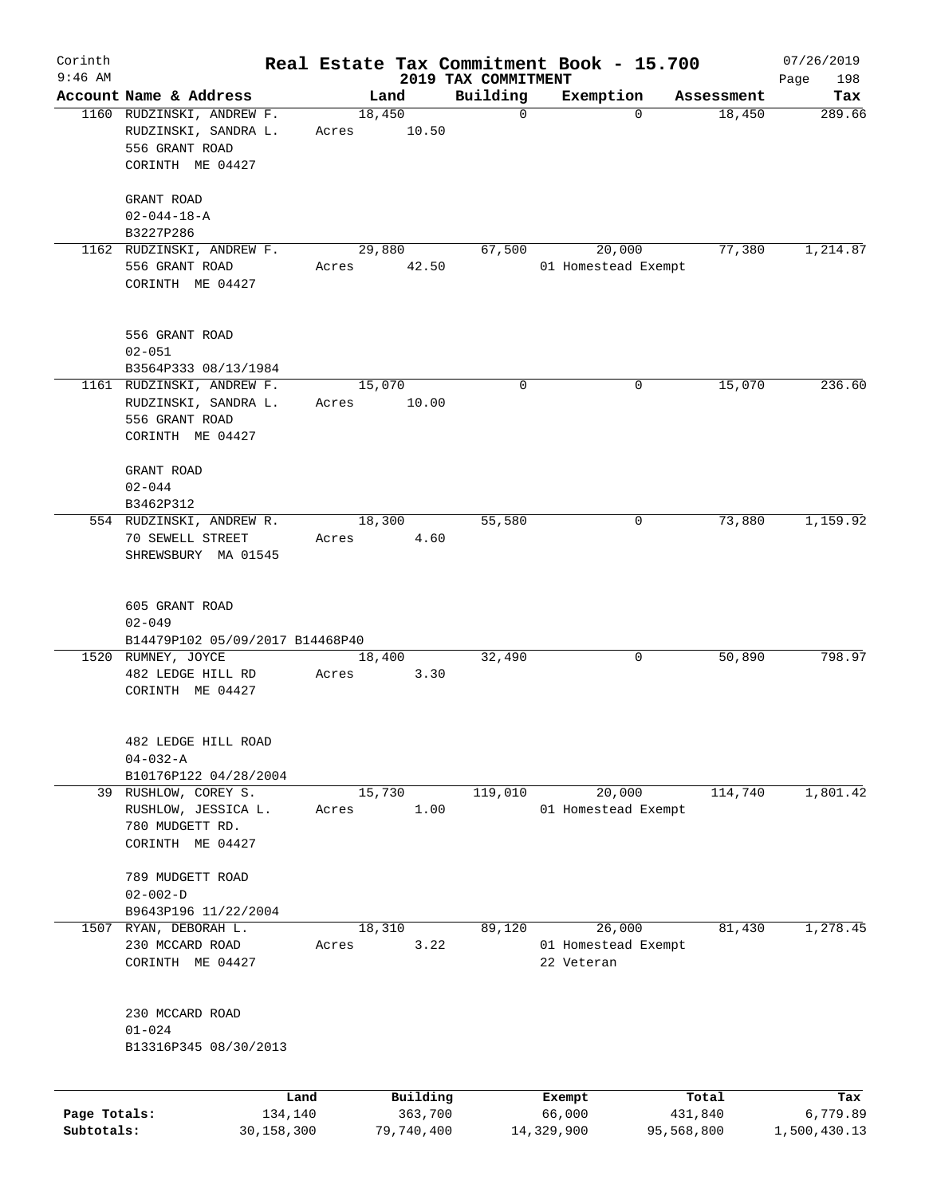| Corinth      |                                 |              |        |            |                                 | Real Estate Tax Commitment Book - 15.700 |                    | 07/26/2019         |
|--------------|---------------------------------|--------------|--------|------------|---------------------------------|------------------------------------------|--------------------|--------------------|
| $9:46$ AM    | Account Name & Address          |              |        | Land       | 2019 TAX COMMITMENT<br>Building | Exemption                                | Assessment         | 198<br>Page<br>Tax |
|              | 1160 RUDZINSKI, ANDREW F.       |              | 18,450 |            | $\mathbf 0$                     |                                          | 18,450<br>$\Omega$ | 289.66             |
|              | RUDZINSKI, SANDRA L.            |              | Acres  | 10.50      |                                 |                                          |                    |                    |
|              | 556 GRANT ROAD                  |              |        |            |                                 |                                          |                    |                    |
|              | CORINTH ME 04427                |              |        |            |                                 |                                          |                    |                    |
|              |                                 |              |        |            |                                 |                                          |                    |                    |
|              | GRANT ROAD                      |              |        |            |                                 |                                          |                    |                    |
|              | $02 - 044 - 18 - A$             |              |        |            |                                 |                                          |                    |                    |
|              | B3227P286                       |              |        |            |                                 |                                          |                    |                    |
|              | 1162 RUDZINSKI, ANDREW F.       |              |        | 29,880     | 67,500                          | 20,000                                   | 77,380             | 1,214.87           |
|              | 556 GRANT ROAD                  |              | Acres  | 42.50      |                                 | 01 Homestead Exempt                      |                    |                    |
|              | CORINTH ME 04427                |              |        |            |                                 |                                          |                    |                    |
|              |                                 |              |        |            |                                 |                                          |                    |                    |
|              | 556 GRANT ROAD                  |              |        |            |                                 |                                          |                    |                    |
|              | $02 - 051$                      |              |        |            |                                 |                                          |                    |                    |
|              | B3564P333 08/13/1984            |              |        |            |                                 |                                          |                    |                    |
|              | 1161 RUDZINSKI, ANDREW F.       |              | 15,070 |            | $\mathbf 0$                     |                                          | 15,070<br>0        | 236.60             |
|              | RUDZINSKI, SANDRA L.            |              | Acres  | 10.00      |                                 |                                          |                    |                    |
|              | 556 GRANT ROAD                  |              |        |            |                                 |                                          |                    |                    |
|              | CORINTH ME 04427                |              |        |            |                                 |                                          |                    |                    |
|              |                                 |              |        |            |                                 |                                          |                    |                    |
|              | GRANT ROAD                      |              |        |            |                                 |                                          |                    |                    |
|              | $02 - 044$                      |              |        |            |                                 |                                          |                    |                    |
|              | B3462P312                       |              |        |            |                                 |                                          |                    |                    |
|              | 554 RUDZINSKI, ANDREW R.        |              |        | 18,300     | 55,580                          |                                          | 73,880<br>0        | 1,159.92           |
|              | 70 SEWELL STREET                |              | Acres  | 4.60       |                                 |                                          |                    |                    |
|              | SHREWSBURY MA 01545             |              |        |            |                                 |                                          |                    |                    |
|              |                                 |              |        |            |                                 |                                          |                    |                    |
|              |                                 |              |        |            |                                 |                                          |                    |                    |
|              | 605 GRANT ROAD                  |              |        |            |                                 |                                          |                    |                    |
|              | $02 - 049$                      |              |        |            |                                 |                                          |                    |                    |
|              | B14479P102 05/09/2017 B14468P40 |              |        |            |                                 |                                          |                    |                    |
|              | 1520 RUMNEY, JOYCE              |              |        | 18,400     | 32,490                          |                                          | 0<br>50,890        | 798.97             |
|              | 482 LEDGE HILL RD               |              | Acres  | 3.30       |                                 |                                          |                    |                    |
|              | CORINTH ME 04427                |              |        |            |                                 |                                          |                    |                    |
|              |                                 |              |        |            |                                 |                                          |                    |                    |
|              | 482 LEDGE HILL ROAD             |              |        |            |                                 |                                          |                    |                    |
|              | $04 - 032 - A$                  |              |        |            |                                 |                                          |                    |                    |
|              | B10176P122 04/28/2004           |              |        |            |                                 |                                          |                    |                    |
| 39           | RUSHLOW, COREY S.               |              |        | 15,730     | 119,010                         | 20,000                                   | 114,740            | 1,801.42           |
|              | RUSHLOW, JESSICA L.             |              | Acres  | 1.00       |                                 | 01 Homestead Exempt                      |                    |                    |
|              | 780 MUDGETT RD.                 |              |        |            |                                 |                                          |                    |                    |
|              | CORINTH ME 04427                |              |        |            |                                 |                                          |                    |                    |
|              |                                 |              |        |            |                                 |                                          |                    |                    |
|              | 789 MUDGETT ROAD                |              |        |            |                                 |                                          |                    |                    |
|              | $02 - 002 - D$                  |              |        |            |                                 |                                          |                    |                    |
|              | B9643P196 11/22/2004            |              |        |            |                                 |                                          |                    |                    |
| 1507         | RYAN, DEBORAH L.                |              |        | 18,310     | 89,120                          | 26,000                                   | 81,430             | 1,278.45           |
|              | 230 MCCARD ROAD                 |              | Acres  | 3.22       |                                 | 01 Homestead Exempt                      |                    |                    |
|              | CORINTH ME 04427                |              |        |            |                                 | 22 Veteran                               |                    |                    |
|              |                                 |              |        |            |                                 |                                          |                    |                    |
|              | 230 MCCARD ROAD                 |              |        |            |                                 |                                          |                    |                    |
|              | $01 - 024$                      |              |        |            |                                 |                                          |                    |                    |
|              | B13316P345 08/30/2013           |              |        |            |                                 |                                          |                    |                    |
|              |                                 |              |        |            |                                 |                                          |                    |                    |
|              |                                 | Land         |        | Building   |                                 | Exempt                                   | Total              | Tax                |
| Page Totals: |                                 | 134,140      |        | 363,700    |                                 | 66,000                                   | 431,840            | 6,779.89           |
| Subtotals:   |                                 | 30, 158, 300 |        | 79,740,400 |                                 | 14,329,900                               | 95,568,800         | 1,500,430.13       |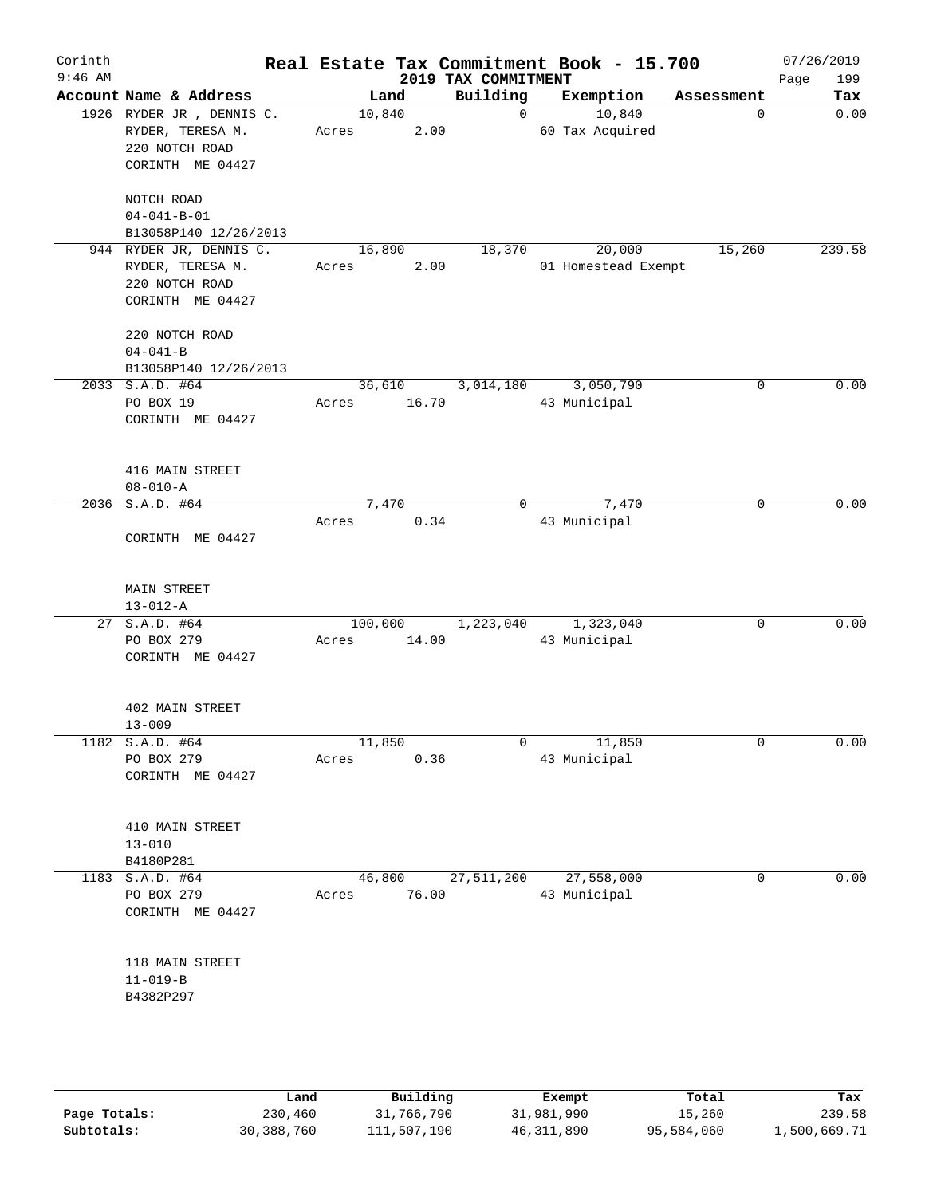| Corinth<br>$9:46$ AM |                                                                                         |                           | 2019 TAX COMMITMENT | Real Estate Tax Commitment Book - 15.700 |             | 07/26/2019<br>Page<br>199 |
|----------------------|-----------------------------------------------------------------------------------------|---------------------------|---------------------|------------------------------------------|-------------|---------------------------|
|                      | Account Name & Address                                                                  | Land                      | Building            | Exemption                                | Assessment  | Tax                       |
|                      | 1926 RYDER JR, DENNIS C.<br>RYDER, TERESA M.<br>220 NOTCH ROAD<br>CORINTH ME 04427      | 10,840<br>2.00<br>Acres   | $\Omega$            | 10,840<br>60 Tax Acquired                | 0           | 0.00                      |
|                      | NOTCH ROAD<br>$04 - 041 - B - 01$<br>B13058P140 12/26/2013                              |                           |                     |                                          |             |                           |
|                      | 944 RYDER JR, DENNIS C.<br>RYDER, TERESA M.<br>220 NOTCH ROAD<br>CORINTH ME 04427       | 16,890<br>2.00<br>Acres   | 18,370              | 20,000<br>01 Homestead Exempt            | 15,260      | 239.58                    |
|                      | 220 NOTCH ROAD<br>$04 - 041 - B$<br>B13058P140 12/26/2013                               |                           |                     |                                          |             |                           |
|                      | 2033 S.A.D. #64<br>PO BOX 19<br>CORINTH ME 04427                                        | 36,610<br>16.70<br>Acres  | 3,014,180           | 3,050,790<br>43 Municipal                | 0           | 0.00                      |
|                      | 416 MAIN STREET<br>$08 - 010 - A$                                                       |                           |                     |                                          |             |                           |
|                      | 2036 S.A.D. #64<br>CORINTH ME 04427                                                     | 7,470<br>0.34<br>Acres    | $\mathbf{0}$        | 7,470<br>43 Municipal                    | 0           | 0.00                      |
|                      | <b>MAIN STREET</b><br>$13 - 012 - A$<br>27 S.A.D. #64<br>PO BOX 279<br>CORINTH ME 04427 | 100,000<br>14.00<br>Acres | 1,223,040           | 1,323,040<br>43 Municipal                | $\mathbf 0$ | 0.00                      |
|                      | 402 MAIN STREET<br>$13 - 009$                                                           |                           |                     |                                          |             |                           |
|                      | 1182 S.A.D. #64<br>PO BOX 279<br>CORINTH ME 04427                                       | 11,850<br>0.36<br>Acres   | $\overline{0}$      | 11,850<br>43 Municipal                   | $\mathbf 0$ | 0.00                      |
|                      | 410 MAIN STREET<br>$13 - 010$<br>B4180P281                                              |                           |                     |                                          |             |                           |
|                      | $1183$ S.A.D. #64<br>PO BOX 279<br>CORINTH ME 04427                                     | 46,800<br>76.00<br>Acres  |                     | 27,511,200 27,558,000<br>43 Municipal    | 0           | 0.00                      |
|                      | 118 MAIN STREET<br>$11 - 019 - B$<br>B4382P297                                          |                           |                     |                                          |             |                           |
|                      |                                                                                         |                           |                     |                                          |             |                           |

|              | Land       | Building    | Exempt     | Total      | Tax          |
|--------------|------------|-------------|------------|------------|--------------|
| Page Totals: | 230,460    | 31,766,790  | 31,981,990 | 15,260     | 239.58       |
| Subtotals:   | 30,388,760 | 111,507,190 | 46,311,890 | 95,584,060 | 1,500,669.71 |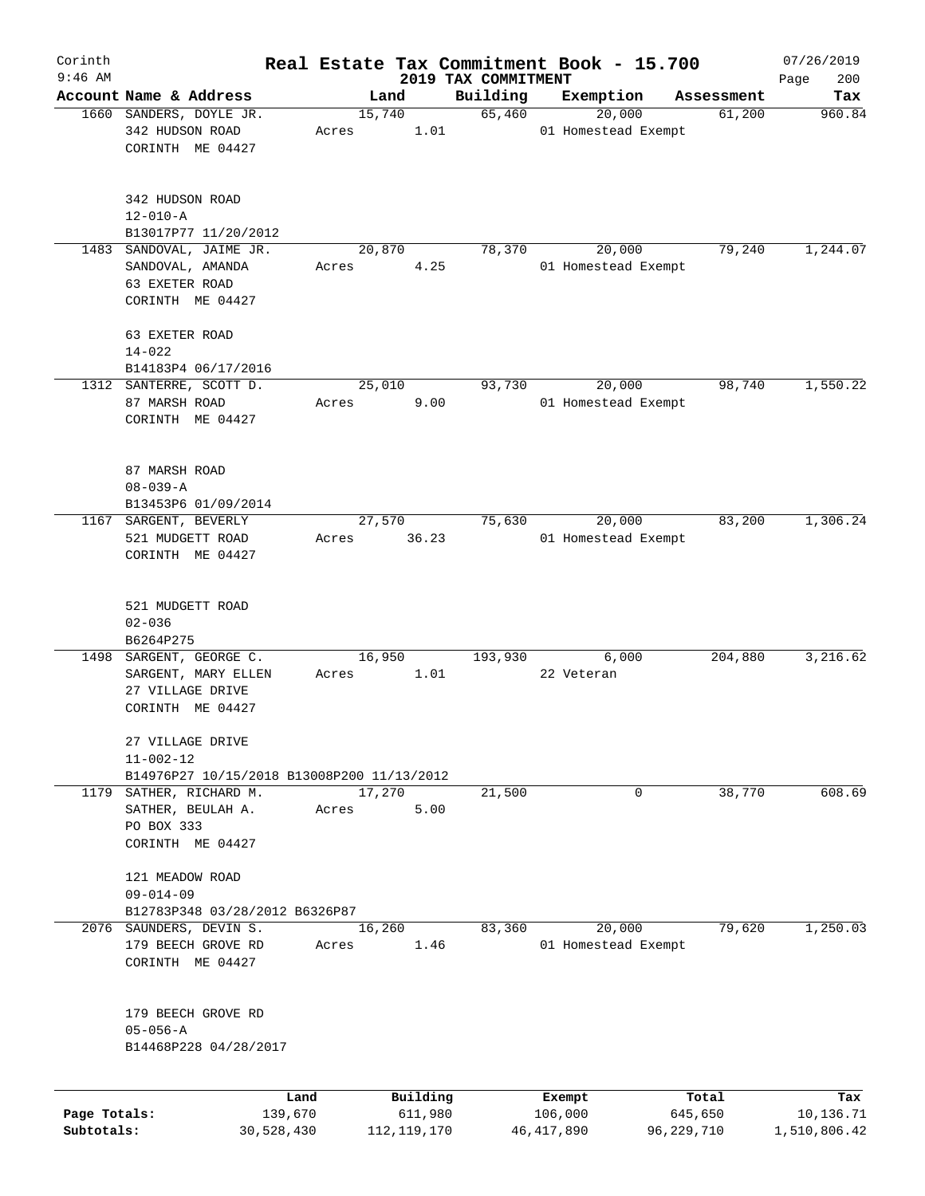| Corinth      |                                                                               |                 |                     |                                 | Real Estate Tax Commitment Book - 15.700 |                  | 07/26/2019         |
|--------------|-------------------------------------------------------------------------------|-----------------|---------------------|---------------------------------|------------------------------------------|------------------|--------------------|
| $9:46$ AM    | Account Name & Address                                                        | Land            |                     | 2019 TAX COMMITMENT<br>Building | Exemption                                | Assessment       | 200<br>Page<br>Tax |
|              | 1660 SANDERS, DOYLE JR.<br>342 HUDSON ROAD                                    | 15,740<br>Acres | 1.01                | 65,460                          | 20,000<br>01 Homestead Exempt            | 61,200           | 960.84             |
|              | CORINTH ME 04427                                                              |                 |                     |                                 |                                          |                  |                    |
|              | 342 HUDSON ROAD<br>$12 - 010 - A$                                             |                 |                     |                                 |                                          |                  |                    |
|              | B13017P77 11/20/2012                                                          |                 |                     |                                 |                                          |                  |                    |
| 1483         | SANDOVAL, JAIME JR.<br>SANDOVAL, AMANDA<br>63 EXETER ROAD<br>CORINTH ME 04427 | 20,870<br>Acres | 4.25                | 78,370                          | 20,000<br>01 Homestead Exempt            | 79,240           | 1,244.07           |
|              | 63 EXETER ROAD<br>$14 - 022$                                                  |                 |                     |                                 |                                          |                  |                    |
|              | B14183P4 06/17/2016                                                           |                 |                     |                                 |                                          |                  |                    |
|              | 1312 SANTERRE, SCOTT D.                                                       | 25,010          |                     | 93,730                          | 20,000                                   | 98,740           | 1,550.22           |
|              | 87 MARSH ROAD<br>CORINTH ME 04427                                             | Acres           | 9.00                |                                 | 01 Homestead Exempt                      |                  |                    |
|              | 87 MARSH ROAD<br>$08 - 039 - A$                                               |                 |                     |                                 |                                          |                  |                    |
|              | B13453P6 01/09/2014                                                           |                 |                     |                                 |                                          |                  |                    |
| 1167         | SARGENT, BEVERLY<br>521 MUDGETT ROAD<br>CORINTH ME 04427                      | 27,570<br>Acres | 36.23               | 75,630                          | 20,000<br>01 Homestead Exempt            | 83,200           | 1,306.24           |
|              | 521 MUDGETT ROAD<br>$02 - 036$                                                |                 |                     |                                 |                                          |                  |                    |
| 1498         | B6264P275<br>SARGENT, GEORGE C.                                               | 16,950          |                     | 193,930                         | 6,000                                    | 204,880          | 3,216.62           |
|              | SARGENT, MARY ELLEN<br>27 VILLAGE DRIVE<br>CORINTH ME 04427                   | Acres           | 1.01                |                                 | 22 Veteran                               |                  |                    |
|              | 27 VILLAGE DRIVE<br>$11 - 002 - 12$                                           |                 |                     |                                 |                                          |                  |                    |
|              | B14976P27 10/15/2018 B13008P200 11/13/2012                                    |                 |                     |                                 |                                          |                  |                    |
|              | 1179 SATHER, RICHARD M.<br>SATHER, BEULAH A.<br>PO BOX 333                    | 17,270<br>Acres | 5.00                | 21,500                          | 0                                        | 38,770           | 608.69             |
|              | CORINTH ME 04427                                                              |                 |                     |                                 |                                          |                  |                    |
|              | 121 MEADOW ROAD<br>$09 - 014 - 09$                                            |                 |                     |                                 |                                          |                  |                    |
|              | B12783P348 03/28/2012 B6326P87                                                |                 |                     |                                 |                                          |                  | 1,250.03           |
| 2076         | SAUNDERS, DEVIN S.<br>179 BEECH GROVE RD<br>CORINTH ME 04427                  | 16,260<br>Acres | 1.46                | 83,360                          | 20,000<br>01 Homestead Exempt            | 79,620           |                    |
|              | 179 BEECH GROVE RD<br>$05 - 056 - A$                                          |                 |                     |                                 |                                          |                  |                    |
|              | B14468P228 04/28/2017                                                         |                 |                     |                                 |                                          |                  |                    |
|              |                                                                               |                 |                     |                                 |                                          |                  |                    |
| Page Totals: | Land                                                                          |                 | Building<br>611,980 |                                 | Exempt<br>106,000                        | Total<br>645,650 | Tax<br>10,136.71   |
|              | 139,670                                                                       |                 |                     |                                 |                                          |                  |                    |

**Subtotals:** 30,528,430 112,119,170 46,417,890 96,229,710 1,510,806.42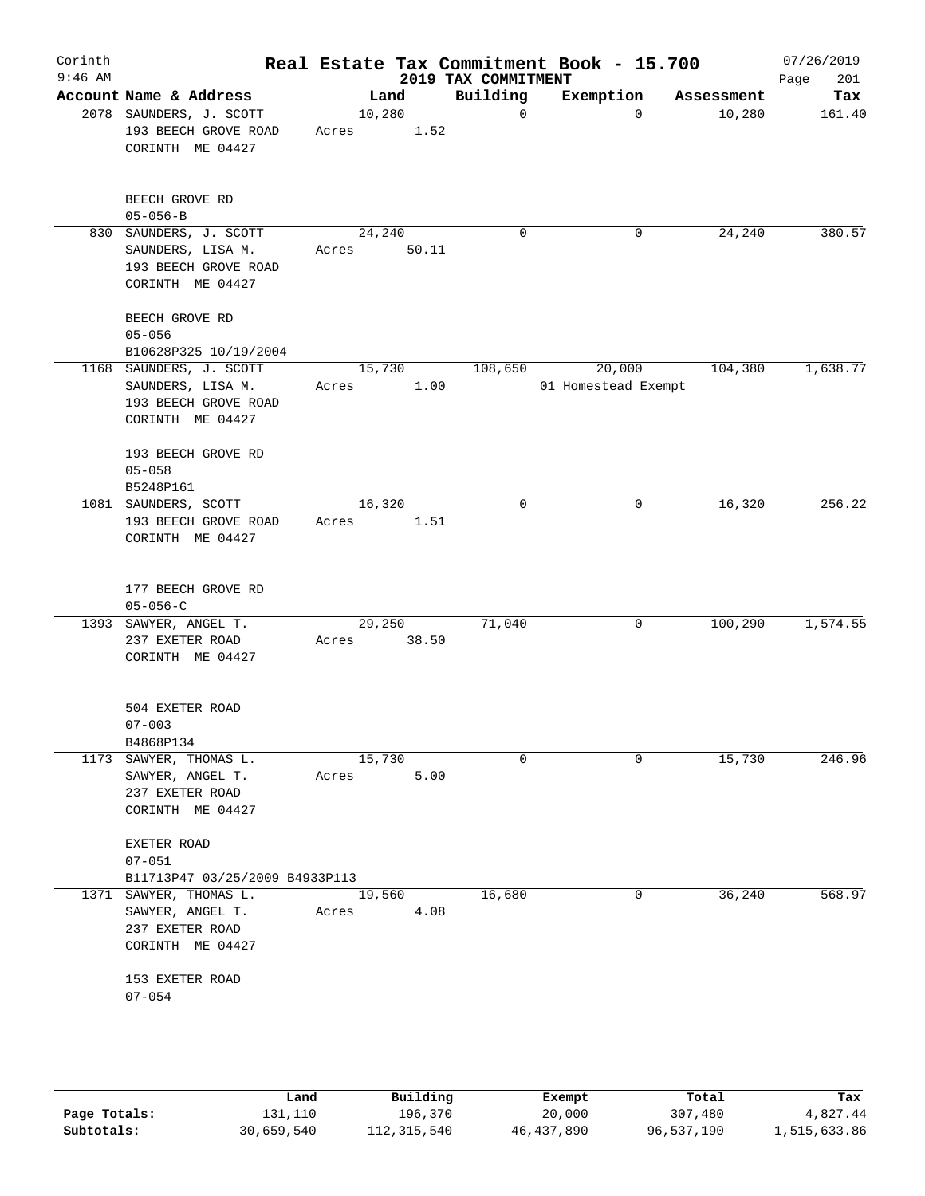| Corinth<br>$9:46$ AM |                                                                                          |                       |       | 2019 TAX COMMITMENT | Real Estate Tax Commitment Book - 15.700 |            | 07/26/2019<br>201<br>Page |
|----------------------|------------------------------------------------------------------------------------------|-----------------------|-------|---------------------|------------------------------------------|------------|---------------------------|
|                      | Account Name & Address                                                                   |                       | Land  | Building            | Exemption                                | Assessment | Tax                       |
|                      | 2078 SAUNDERS, J. SCOTT<br>193 BEECH GROVE ROAD<br>CORINTH ME 04427                      | 10,280<br>Acres       | 1.52  | $\mathsf{O}$        | $\Omega$                                 | 10,280     | 161.40                    |
|                      | BEECH GROVE RD<br>$05 - 056 - B$                                                         |                       |       |                     |                                          |            |                           |
|                      | 830 SAUNDERS, J. SCOTT<br>SAUNDERS, LISA M.<br>193 BEECH GROVE ROAD<br>CORINTH ME 04427  | 24,240<br>Acres       | 50.11 | 0                   | 0                                        | 24,240     | 380.57                    |
|                      | BEECH GROVE RD<br>$05 - 056$<br>B10628P325 10/19/2004                                    |                       |       |                     |                                          |            |                           |
|                      | 1168 SAUNDERS, J. SCOTT<br>SAUNDERS, LISA M.<br>193 BEECH GROVE ROAD<br>CORINTH ME 04427 | 15,730<br>Acres       | 1.00  | 108,650             | 20,000<br>01 Homestead Exempt            | 104,380    | 1,638.77                  |
|                      | 193 BEECH GROVE RD<br>$05 - 058$<br>B5248P161                                            |                       |       |                     |                                          |            |                           |
|                      | 1081 SAUNDERS, SCOTT<br>193 BEECH GROVE ROAD<br>CORINTH ME 04427                         | 16,320<br>Acres       | 1.51  | $\mathbf 0$         | 0                                        | 16,320     | 256.22                    |
|                      | 177 BEECH GROVE RD<br>$05 - 056 - C$                                                     |                       |       |                     |                                          |            |                           |
|                      | 1393 SAWYER, ANGEL T.<br>237 EXETER ROAD<br>CORINTH ME 04427                             | 29,250<br>Acres 38.50 |       | 71,040              | 0                                        | 100,290    | 1,574.55                  |
|                      | 504 EXETER ROAD<br>$07 - 003$<br>B4868P134                                               |                       |       |                     |                                          |            |                           |
|                      | 1173 SAWYER, THOMAS L.<br>SAWYER, ANGEL T.<br>237 EXETER ROAD<br>CORINTH ME 04427        | 15,730<br>Acres       | 5.00  | $\Omega$            | 0                                        | 15,730     | 246.96                    |
|                      | EXETER ROAD<br>$07 - 051$<br>B11713P47 03/25/2009 B4933P113                              |                       |       |                     |                                          |            |                           |
|                      | 1371 SAWYER, THOMAS L.<br>SAWYER, ANGEL T.<br>237 EXETER ROAD<br>CORINTH ME 04427        | 19,560<br>Acres       | 4.08  | 16,680              | 0                                        | 36,240     | 568.97                    |
|                      | 153 EXETER ROAD<br>$07 - 054$                                                            |                       |       |                     |                                          |            |                           |
|                      |                                                                                          |                       |       |                     |                                          |            |                           |

|              | Land       | Building    | Exempt     | Total      | Tax          |
|--------------|------------|-------------|------------|------------|--------------|
| Page Totals: | 131,110    | 196,370     | 20,000     | 307,480    | 4,827.44     |
| Subtotals:   | 30,659,540 | 112,315,540 | 46,437,890 | 96,537,190 | 1,515,633.86 |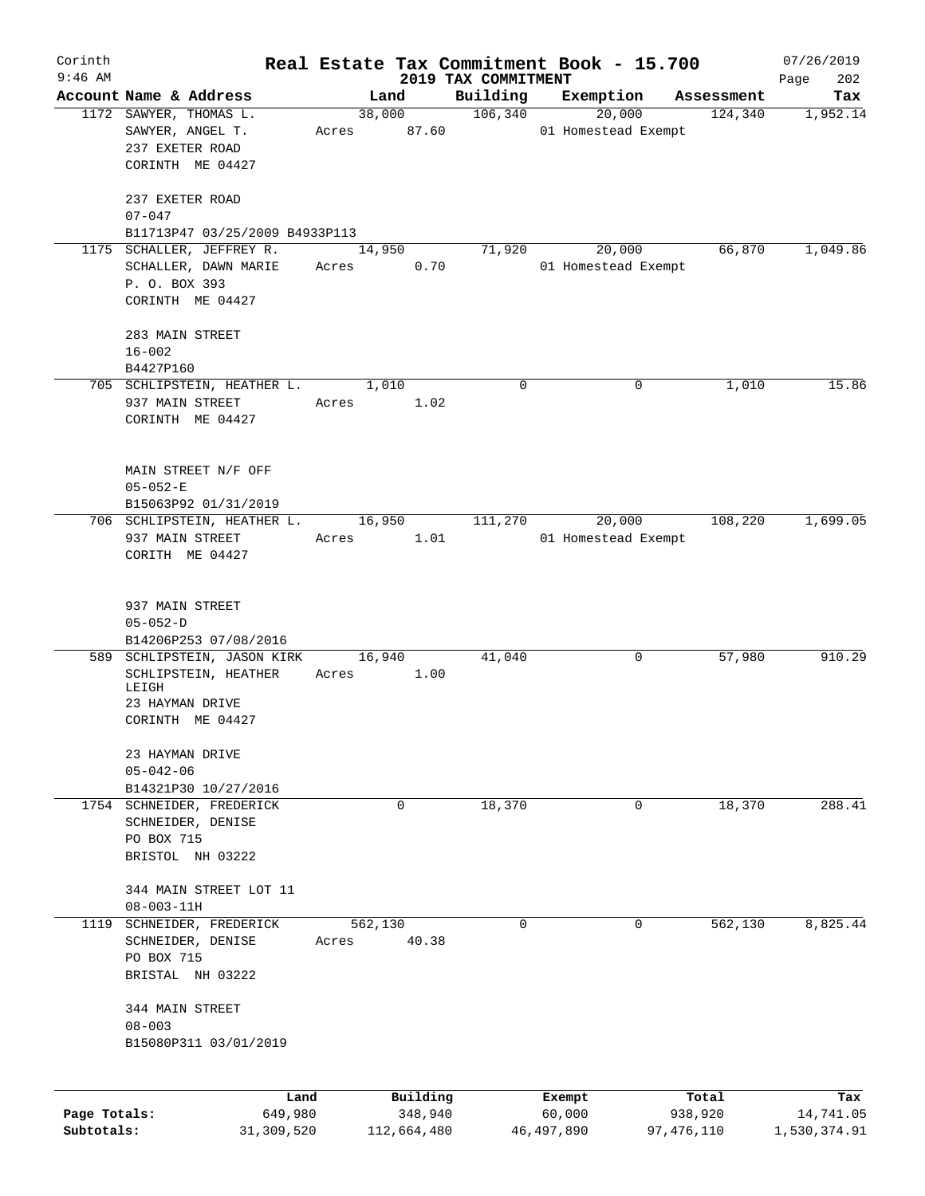| Corinth<br>$9:46$ AM |                                     |       |                     |                                 | Real Estate Tax Commitment Book - 15.700 |                  | 07/26/2019         |
|----------------------|-------------------------------------|-------|---------------------|---------------------------------|------------------------------------------|------------------|--------------------|
|                      | Account Name & Address              |       | Land                | 2019 TAX COMMITMENT<br>Building | Exemption                                | Assessment       | 202<br>Page<br>Tax |
|                      | 1172 SAWYER, THOMAS L.              |       | 38,000              | 106,340                         | 20,000                                   | 124,340          | 1,952.14           |
|                      | SAWYER, ANGEL T.<br>237 EXETER ROAD |       | Acres 87.60         |                                 | 01 Homestead Exempt                      |                  |                    |
|                      | CORINTH ME 04427                    |       |                     |                                 |                                          |                  |                    |
|                      | 237 EXETER ROAD<br>$07 - 047$       |       |                     |                                 |                                          |                  |                    |
|                      | B11713P47 03/25/2009 B4933P113      |       |                     |                                 |                                          |                  |                    |
|                      | 1175 SCHALLER, JEFFREY R.           |       | 14,950              | 71,920                          | 20,000                                   | 66,870           | 1,049.86           |
|                      | SCHALLER, DAWN MARIE                |       | 0.70<br>Acres       |                                 | 01 Homestead Exempt                      |                  |                    |
|                      | P. O. BOX 393<br>CORINTH ME 04427   |       |                     |                                 |                                          |                  |                    |
|                      | 283 MAIN STREET                     |       |                     |                                 |                                          |                  |                    |
|                      | $16 - 002$                          |       |                     |                                 |                                          |                  |                    |
|                      | B4427P160                           |       |                     |                                 |                                          |                  |                    |
|                      | 705 SCHLIPSTEIN, HEATHER L.         |       | 1,010               | 0                               | 0                                        | 1,010            | 15.86              |
|                      | 937 MAIN STREET                     |       | 1.02<br>Acres       |                                 |                                          |                  |                    |
|                      | CORINTH ME 04427                    |       |                     |                                 |                                          |                  |                    |
|                      |                                     |       |                     |                                 |                                          |                  |                    |
|                      | MAIN STREET N/F OFF                 |       |                     |                                 |                                          |                  |                    |
|                      | $05 - 052 - E$                      |       |                     |                                 |                                          |                  |                    |
|                      | B15063P92 01/31/2019                |       |                     |                                 |                                          |                  |                    |
|                      | 706 SCHLIPSTEIN, HEATHER L.         |       | 16,950              | 111,270                         | 20,000                                   | 108,220          | 1,699.05           |
|                      | 937 MAIN STREET                     |       | 1.01<br>Acres       |                                 | 01 Homestead Exempt                      |                  |                    |
|                      | CORITH ME 04427                     |       |                     |                                 |                                          |                  |                    |
|                      | 937 MAIN STREET                     |       |                     |                                 |                                          |                  |                    |
|                      | $05 - 052 - D$                      |       |                     |                                 |                                          |                  |                    |
|                      | B14206P253 07/08/2016               |       |                     |                                 |                                          |                  |                    |
|                      | 589 SCHLIPSTEIN, JASON KIRK         |       | 16,940              | 41,040                          | 0                                        | 57,980           | 910.29             |
|                      | SCHLIPSTEIN, HEATHER<br>LEIGH       |       | 1.00<br>Acres       |                                 |                                          |                  |                    |
|                      | 23 HAYMAN DRIVE                     |       |                     |                                 |                                          |                  |                    |
|                      | CORINTH ME 04427                    |       |                     |                                 |                                          |                  |                    |
|                      | 23 HAYMAN DRIVE<br>$05 - 042 - 06$  |       |                     |                                 |                                          |                  |                    |
|                      | B14321P30 10/27/2016                |       |                     |                                 |                                          |                  |                    |
|                      | 1754 SCHNEIDER, FREDERICK           |       | $\mathbf 0$         | 18,370                          | $\mathbf 0$                              | 18,370           | 288.41             |
|                      | SCHNEIDER, DENISE                   |       |                     |                                 |                                          |                  |                    |
|                      | PO BOX 715<br>BRISTOL NH 03222      |       |                     |                                 |                                          |                  |                    |
|                      | 344 MAIN STREET LOT 11              |       |                     |                                 |                                          |                  |                    |
|                      | $08 - 003 - 11H$                    |       |                     |                                 |                                          |                  |                    |
|                      | 1119 SCHNEIDER, FREDERICK           |       | 562,130             | $\Omega$                        | 0                                        | 562,130          | 8,825.44           |
|                      | SCHNEIDER, DENISE<br>PO BOX 715     | Acres | 40.38               |                                 |                                          |                  |                    |
|                      | BRISTAL NH 03222                    |       |                     |                                 |                                          |                  |                    |
|                      | 344 MAIN STREET<br>$08 - 003$       |       |                     |                                 |                                          |                  |                    |
|                      | B15080P311 03/01/2019               |       |                     |                                 |                                          |                  |                    |
|                      |                                     |       |                     |                                 |                                          |                  |                    |
| Page Totals:         | 649,980                             | Land  | Building<br>348,940 |                                 | Exempt<br>60,000                         | Total<br>938,920 | Tax<br>14,741.05   |
| Subtotals:           | 31,309,520                          |       | 112,664,480         |                                 | 46,497,890                               | 97,476,110       | 1,530,374.91       |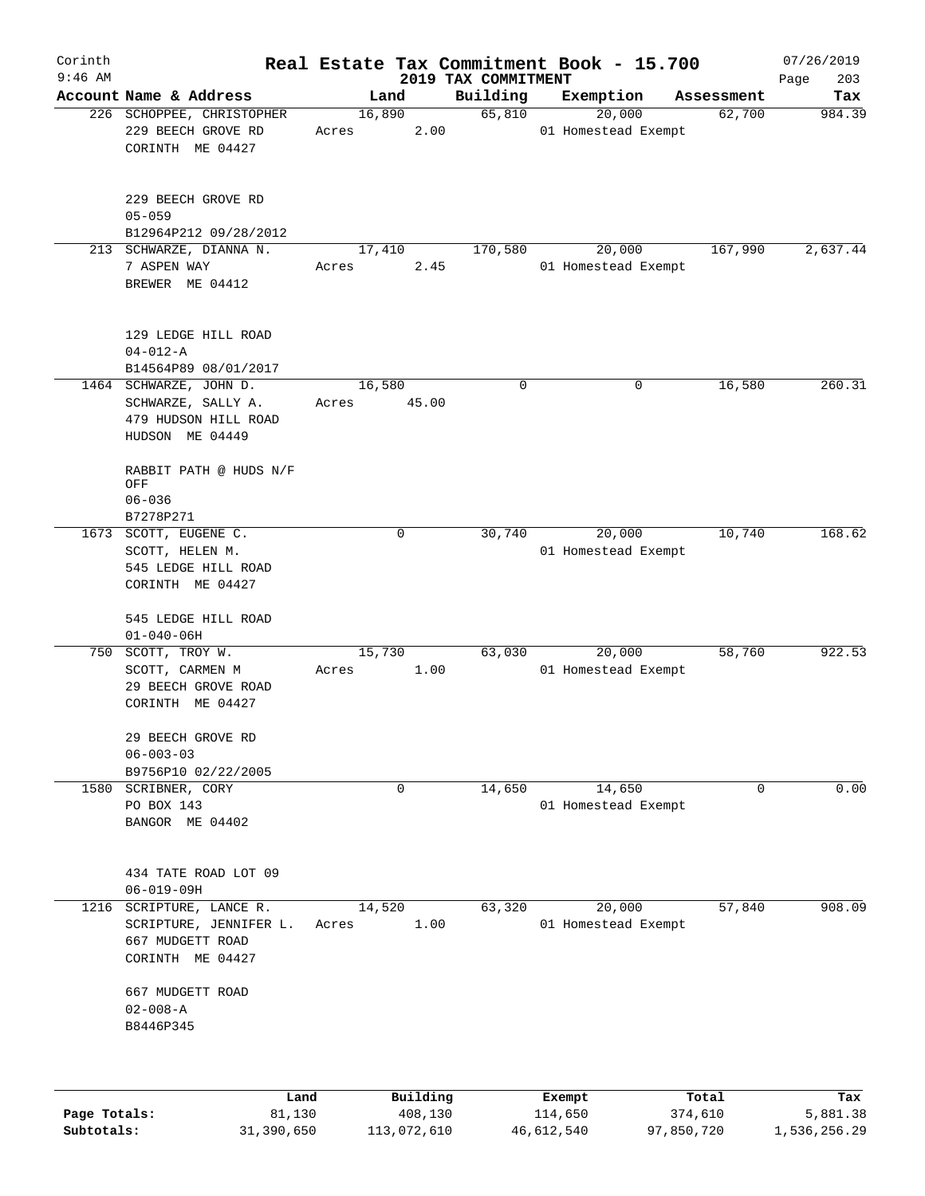| Corinth      |                                                                                            |                 |                     |                     | Real Estate Tax Commitment Book - 15.700 |                      | 07/26/2019      |
|--------------|--------------------------------------------------------------------------------------------|-----------------|---------------------|---------------------|------------------------------------------|----------------------|-----------------|
| $9:46$ AM    | Account Name & Address                                                                     |                 |                     | 2019 TAX COMMITMENT |                                          |                      | 203<br>Page     |
|              | 226 SCHOPPEE, CHRISTOPHER                                                                  | 16,890          | Land                | Building<br>65,810  | Exemption<br>20,000                      | Assessment<br>62,700 | Tax<br>984.39   |
|              | 229 BEECH GROVE RD<br>CORINTH ME 04427                                                     | Acres           | 2.00                |                     | 01 Homestead Exempt                      |                      |                 |
|              | 229 BEECH GROVE RD<br>$05 - 059$                                                           |                 |                     |                     |                                          |                      |                 |
|              | B12964P212 09/28/2012                                                                      |                 |                     |                     |                                          |                      |                 |
|              | 213 SCHWARZE, DIANNA N.<br>7 ASPEN WAY<br>BREWER ME 04412                                  | 17,410<br>Acres | 2.45                | 170,580             | 20,000<br>01 Homestead Exempt            | 167,990              | 2,637.44        |
|              | 129 LEDGE HILL ROAD<br>$04 - 012 - A$<br>B14564P89 08/01/2017                              |                 |                     |                     |                                          |                      |                 |
|              | 1464 SCHWARZE, JOHN D.<br>SCHWARZE, SALLY A.<br>479 HUDSON HILL ROAD<br>HUDSON ME 04449    | 16,580<br>Acres | 45.00               | 0                   | 0                                        | 16,580               | 260.31          |
|              | RABBIT PATH @ HUDS N/F<br>OFF<br>$06 - 036$<br>B7278P271                                   |                 |                     |                     |                                          |                      |                 |
|              | 1673 SCOTT, EUGENE C.<br>SCOTT, HELEN M.<br>545 LEDGE HILL ROAD<br>CORINTH ME 04427        |                 | $\mathbf 0$         | 30,740              | 20,000<br>01 Homestead Exempt            | 10,740               | 168.62          |
|              | 545 LEDGE HILL ROAD<br>$01 - 040 - 06H$                                                    |                 |                     |                     |                                          |                      |                 |
| 750          | SCOTT, TROY W.<br>SCOTT, CARMEN M<br>29 BEECH GROVE ROAD<br>CORINTH ME 04427               | 15,730<br>Acres | 1.00                | 63,030              | 20,000<br>01 Homestead Exempt            | 58,760               | 922.53          |
|              | 29 BEECH GROVE RD<br>$06 - 003 - 03$<br>B9756P10 02/22/2005                                |                 |                     |                     |                                          |                      |                 |
|              | 1580 SCRIBNER, CORY<br>PO BOX 143<br>BANGOR ME 04402                                       |                 | 0                   | 14,650              | 14,650<br>01 Homestead Exempt            | 0                    | 0.00            |
|              | 434 TATE ROAD LOT 09<br>$06 - 019 - 09H$                                                   |                 |                     |                     |                                          |                      |                 |
|              | 1216 SCRIPTURE, LANCE R.<br>SCRIPTURE, JENNIFER L.<br>667 MUDGETT ROAD<br>CORINTH ME 04427 | 14,520<br>Acres | 1.00                | 63,320              | 20,000<br>01 Homestead Exempt            | 57,840               | 908.09          |
|              | 667 MUDGETT ROAD<br>$02 - 008 - A$<br>B8446P345                                            |                 |                     |                     |                                          |                      |                 |
|              |                                                                                            |                 |                     |                     |                                          |                      |                 |
| Page Totals: | Land<br>81,130                                                                             |                 | Building<br>408,130 |                     | Exempt<br>114,650                        | Total<br>374,610     | Tax<br>5,881.38 |

**Subtotals:** 31,390,650 113,072,610 46,612,540 97,850,720 1,536,256.29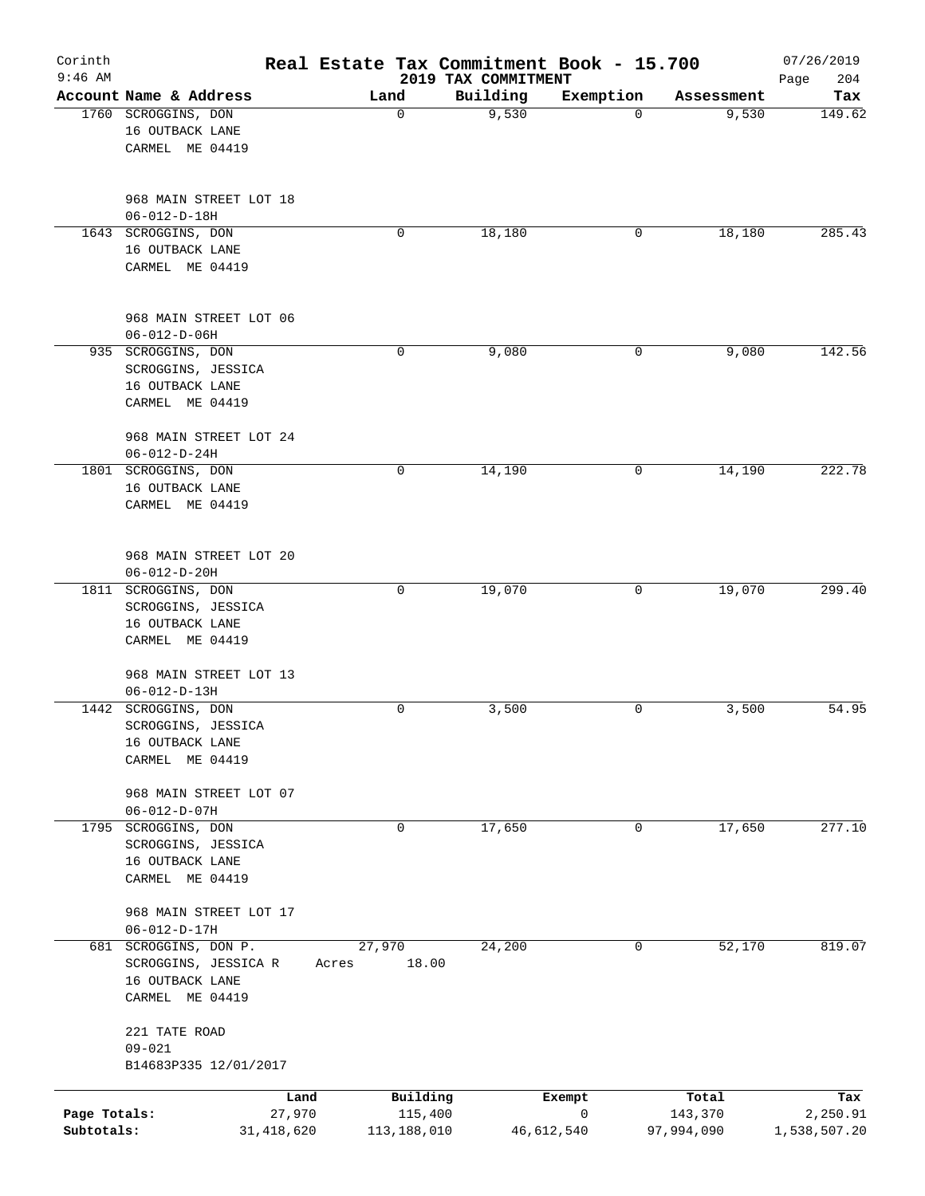| Corinth<br>$9:46$ AM       |                                                |       |                          | Real Estate Tax Commitment Book - 15.700<br>2019 TAX COMMITMENT |                            |                       | 07/26/2019<br>204<br>Page |
|----------------------------|------------------------------------------------|-------|--------------------------|-----------------------------------------------------------------|----------------------------|-----------------------|---------------------------|
|                            | Account Name & Address                         |       | Land                     | Building                                                        | Exemption                  | Assessment            | Tax                       |
|                            | 1760 SCROGGINS, DON                            |       | $\mathbf 0$              | 9,530                                                           | $\Omega$                   | 9,530                 | 149.62                    |
|                            | 16 OUTBACK LANE                                |       |                          |                                                                 |                            |                       |                           |
|                            | CARMEL ME 04419                                |       |                          |                                                                 |                            |                       |                           |
|                            | 968 MAIN STREET LOT 18                         |       |                          |                                                                 |                            |                       |                           |
|                            | $06 - 012 - D - 18H$                           |       |                          |                                                                 |                            |                       |                           |
|                            | 1643 SCROGGINS, DON                            |       | 0                        | 18,180                                                          | 0                          | 18,180                | 285.43                    |
|                            | 16 OUTBACK LANE                                |       |                          |                                                                 |                            |                       |                           |
|                            | CARMEL ME 04419                                |       |                          |                                                                 |                            |                       |                           |
|                            | 968 MAIN STREET LOT 06<br>$06 - 012 - D - 06H$ |       |                          |                                                                 |                            |                       |                           |
|                            | 935 SCROGGINS, DON                             |       | 0                        | 9,080                                                           | 0                          | 9,080                 | 142.56                    |
|                            | SCROGGINS, JESSICA                             |       |                          |                                                                 |                            |                       |                           |
|                            | 16 OUTBACK LANE                                |       |                          |                                                                 |                            |                       |                           |
|                            | CARMEL ME 04419                                |       |                          |                                                                 |                            |                       |                           |
|                            | 968 MAIN STREET LOT 24                         |       |                          |                                                                 |                            |                       |                           |
|                            | $06 - 012 - D - 24H$                           |       |                          |                                                                 |                            |                       |                           |
|                            | 1801 SCROGGINS, DON                            |       | 0                        | 14,190                                                          | 0                          | 14,190                | 222.78                    |
|                            | 16 OUTBACK LANE<br>CARMEL ME 04419             |       |                          |                                                                 |                            |                       |                           |
|                            |                                                |       |                          |                                                                 |                            |                       |                           |
|                            | 968 MAIN STREET LOT 20                         |       |                          |                                                                 |                            |                       |                           |
|                            | $06 - 012 - D - 20H$                           |       |                          |                                                                 |                            |                       |                           |
|                            | 1811 SCROGGINS, DON                            |       | 0                        | 19,070                                                          | 0                          | 19,070                | 299.40                    |
|                            | SCROGGINS, JESSICA<br>16 OUTBACK LANE          |       |                          |                                                                 |                            |                       |                           |
|                            | CARMEL ME 04419                                |       |                          |                                                                 |                            |                       |                           |
|                            | 968 MAIN STREET LOT 13                         |       |                          |                                                                 |                            |                       |                           |
|                            | $06 - 012 - D - 13H$                           |       |                          |                                                                 |                            |                       |                           |
|                            | 1442 SCROGGINS, DON                            |       | 0                        | 3,500                                                           | 0                          | 3,500                 | 54.95                     |
|                            | SCROGGINS, JESSICA                             |       |                          |                                                                 |                            |                       |                           |
|                            | 16 OUTBACK LANE                                |       |                          |                                                                 |                            |                       |                           |
|                            | CARMEL ME 04419                                |       |                          |                                                                 |                            |                       |                           |
|                            | 968 MAIN STREET LOT 07<br>$06 - 012 - D - 07H$ |       |                          |                                                                 |                            |                       |                           |
|                            | 1795 SCROGGINS, DON                            |       | 0                        | 17,650                                                          | 0                          | 17,650                | 277.10                    |
|                            | SCROGGINS, JESSICA                             |       |                          |                                                                 |                            |                       |                           |
|                            | 16 OUTBACK LANE                                |       |                          |                                                                 |                            |                       |                           |
|                            | CARMEL ME 04419                                |       |                          |                                                                 |                            |                       |                           |
|                            | 968 MAIN STREET LOT 17                         |       |                          |                                                                 |                            |                       |                           |
|                            | $06 - 012 - D - 17H$                           |       |                          |                                                                 |                            |                       |                           |
|                            | 681 SCROGGINS, DON P.                          |       | 27,970                   | 24,200                                                          | 0                          | 52,170                | 819.07                    |
|                            | SCROGGINS, JESSICA R                           | Acres | 18.00                    |                                                                 |                            |                       |                           |
|                            | 16 OUTBACK LANE<br>CARMEL ME 04419             |       |                          |                                                                 |                            |                       |                           |
|                            | 221 TATE ROAD                                  |       |                          |                                                                 |                            |                       |                           |
|                            | $09 - 021$                                     |       |                          |                                                                 |                            |                       |                           |
|                            | B14683P335 12/01/2017                          |       |                          |                                                                 |                            |                       |                           |
|                            |                                                | Land  | Building                 |                                                                 | Exempt                     | Total                 | Tax                       |
| Page Totals:<br>Subtotals: | 27,970<br>31, 418, 620                         |       | 115,400<br>113, 188, 010 |                                                                 | $\mathsf{O}$<br>46,612,540 | 143,370<br>97,994,090 | 2,250.91<br>1,538,507.20  |
|                            |                                                |       |                          |                                                                 |                            |                       |                           |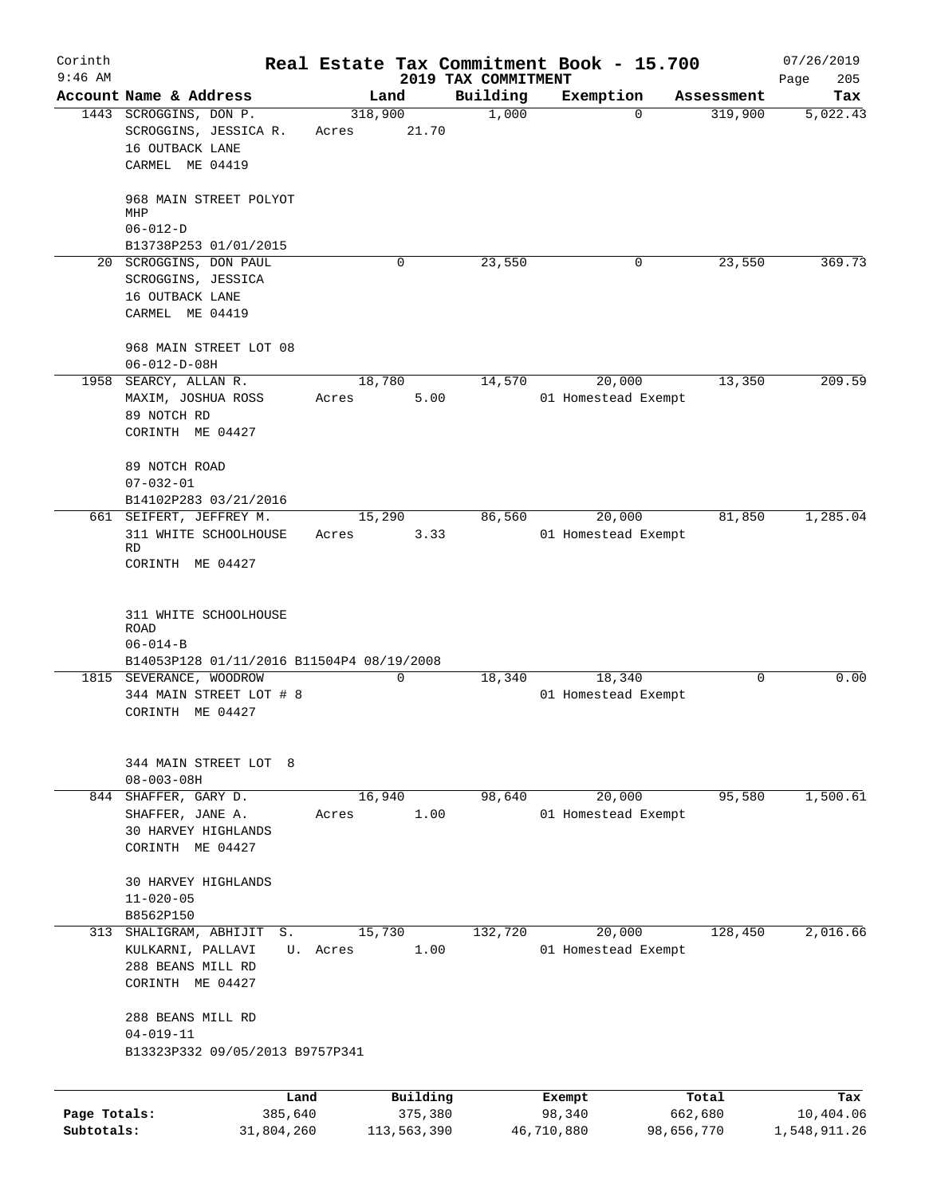| Corinth      |                                                        |          |             |                                 | Real Estate Tax Commitment Book - 15.700 |            | 07/26/2019         |
|--------------|--------------------------------------------------------|----------|-------------|---------------------------------|------------------------------------------|------------|--------------------|
| $9:46$ AM    | Account Name & Address                                 | Land     |             | 2019 TAX COMMITMENT<br>Building | Exemption                                | Assessment | 205<br>Page<br>Tax |
|              | 1443 SCROGGINS, DON P.                                 | 318,900  |             | 1,000                           | $\Omega$                                 | 319,900    | 5,022.43           |
|              | SCROGGINS, JESSICA R.                                  | Acres    | 21.70       |                                 |                                          |            |                    |
|              | 16 OUTBACK LANE                                        |          |             |                                 |                                          |            |                    |
|              | CARMEL ME 04419                                        |          |             |                                 |                                          |            |                    |
|              | 968 MAIN STREET POLYOT<br>MHP                          |          |             |                                 |                                          |            |                    |
|              | $06 - 012 - D$                                         |          |             |                                 |                                          |            |                    |
|              | B13738P253 01/01/2015                                  |          |             |                                 |                                          |            |                    |
|              | 20 SCROGGINS, DON PAUL                                 |          | $\Omega$    | 23,550                          | 0                                        | 23,550     | 369.73             |
|              | SCROGGINS, JESSICA                                     |          |             |                                 |                                          |            |                    |
|              | 16 OUTBACK LANE                                        |          |             |                                 |                                          |            |                    |
|              | CARMEL ME 04419                                        |          |             |                                 |                                          |            |                    |
|              | 968 MAIN STREET LOT 08<br>$06 - 012 - D - 08H$         |          |             |                                 |                                          |            |                    |
|              | 1958 SEARCY, ALLAN R.                                  | 18,780   |             | 14,570                          | 20,000                                   | 13,350     | 209.59             |
|              | MAXIM, JOSHUA ROSS                                     | Acres    | 5.00        |                                 | 01 Homestead Exempt                      |            |                    |
|              | 89 NOTCH RD                                            |          |             |                                 |                                          |            |                    |
|              | CORINTH ME 04427                                       |          |             |                                 |                                          |            |                    |
|              | 89 NOTCH ROAD                                          |          |             |                                 |                                          |            |                    |
|              | $07 - 032 - 01$                                        |          |             |                                 |                                          |            |                    |
|              | B14102P283 03/21/2016                                  |          |             |                                 |                                          |            |                    |
|              | 661 SEIFERT, JEFFREY M.                                | 15,290   |             | 86,560                          | 20,000                                   | 81,850     | 1,285.04           |
|              | 311 WHITE SCHOOLHOUSE                                  | Acres    | 3.33        |                                 | 01 Homestead Exempt                      |            |                    |
|              | <b>RD</b>                                              |          |             |                                 |                                          |            |                    |
|              | CORINTH ME 04427                                       |          |             |                                 |                                          |            |                    |
|              | 311 WHITE SCHOOLHOUSE<br><b>ROAD</b><br>$06 - 014 - B$ |          |             |                                 |                                          |            |                    |
|              | B14053P128 01/11/2016 B11504P4 08/19/2008              |          |             |                                 |                                          |            |                    |
|              | 1815 SEVERANCE, WOODROW                                |          | 0           | 18,340                          | 18,340                                   | 0          | 0.00               |
|              | 344 MAIN STREET LOT # 8                                |          |             |                                 | 01 Homestead Exempt                      |            |                    |
|              | CORINTH ME 04427                                       |          |             |                                 |                                          |            |                    |
|              | 344 MAIN STREET LOT 8                                  |          |             |                                 |                                          |            |                    |
|              | $08 - 003 - 08H$                                       |          |             |                                 |                                          |            |                    |
|              | 844 SHAFFER, GARY D.                                   | 16,940   |             | 98,640                          | 20,000                                   | 95,580     | 1,500.61           |
|              | SHAFFER, JANE A.                                       | Acres    | 1.00        |                                 | 01 Homestead Exempt                      |            |                    |
|              | 30 HARVEY HIGHLANDS<br>CORINTH ME 04427                |          |             |                                 |                                          |            |                    |
|              |                                                        |          |             |                                 |                                          |            |                    |
|              | <b>30 HARVEY HIGHLANDS</b>                             |          |             |                                 |                                          |            |                    |
|              | $11 - 020 - 05$                                        |          |             |                                 |                                          |            |                    |
|              | B8562P150                                              |          |             |                                 |                                          |            |                    |
|              | 313 SHALIGRAM, ABHIJIT<br>S.                           | 15,730   |             | 132,720                         | 20,000                                   | 128,450    | 2,016.66           |
|              | KULKARNI, PALLAVI<br>288 BEANS MILL RD                 | U. Acres | 1.00        |                                 | 01 Homestead Exempt                      |            |                    |
|              |                                                        |          |             |                                 |                                          |            |                    |
|              | CORINTH ME 04427                                       |          |             |                                 |                                          |            |                    |
|              | 288 BEANS MILL RD                                      |          |             |                                 |                                          |            |                    |
|              | $04 - 019 - 11$                                        |          |             |                                 |                                          |            |                    |
|              | B13323P332 09/05/2013 B9757P341                        |          |             |                                 |                                          |            |                    |
|              | Land                                                   |          | Building    |                                 | Exempt                                   | Total      | Tax                |
| Page Totals: | 385,640                                                |          | 375,380     |                                 | 98,340                                   | 662,680    | 10,404.06          |
| Subtotals:   | 31,804,260                                             |          | 113,563,390 |                                 | 46,710,880                               | 98,656,770 | 1,548,911.26       |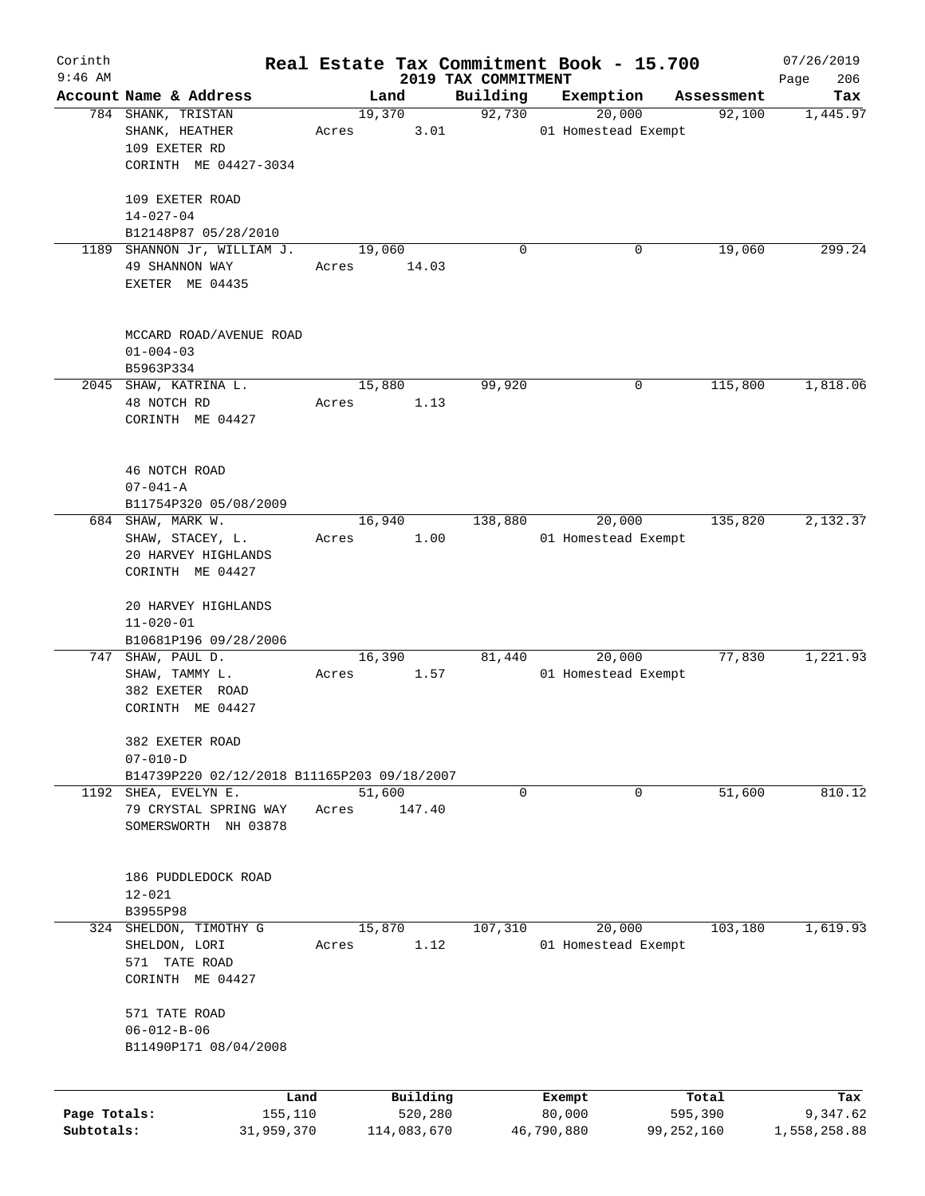| Corinth      |                                              |       |                |                     | Real Estate Tax Commitment Book - 15.700 |                      | 07/26/2019   |
|--------------|----------------------------------------------|-------|----------------|---------------------|------------------------------------------|----------------------|--------------|
| $9:46$ AM    |                                              |       |                | 2019 TAX COMMITMENT |                                          |                      | 206<br>Page  |
|              | Account Name & Address<br>784 SHANK, TRISTAN |       | Land<br>19,370 | Building<br>92,730  | Exemption<br>20,000                      | Assessment<br>92,100 | Tax          |
|              | SHANK, HEATHER                               | Acres | 3.01           |                     | 01 Homestead Exempt                      |                      | 1,445.97     |
|              | 109 EXETER RD                                |       |                |                     |                                          |                      |              |
|              | CORINTH ME 04427-3034                        |       |                |                     |                                          |                      |              |
|              |                                              |       |                |                     |                                          |                      |              |
|              | 109 EXETER ROAD                              |       |                |                     |                                          |                      |              |
|              | $14 - 027 - 04$                              |       |                |                     |                                          |                      |              |
|              | B12148P87 05/28/2010                         |       |                |                     |                                          |                      |              |
|              | 1189 SHANNON Jr, WILLIAM J.                  |       | 19,060         | $\Omega$            | 0                                        | 19,060               | 299.24       |
|              | 49 SHANNON WAY                               | Acres | 14.03          |                     |                                          |                      |              |
|              | EXETER ME 04435                              |       |                |                     |                                          |                      |              |
|              |                                              |       |                |                     |                                          |                      |              |
|              |                                              |       |                |                     |                                          |                      |              |
|              | MCCARD ROAD/AVENUE ROAD                      |       |                |                     |                                          |                      |              |
|              | $01 - 004 - 03$                              |       |                |                     |                                          |                      |              |
|              | B5963P334                                    |       |                |                     |                                          |                      |              |
|              | 2045 SHAW, KATRINA L.                        |       | 15,880         | 99,920              | 0                                        | 115,800              | 1,818.06     |
|              | 48 NOTCH RD                                  | Acres | 1.13           |                     |                                          |                      |              |
|              | CORINTH ME 04427                             |       |                |                     |                                          |                      |              |
|              |                                              |       |                |                     |                                          |                      |              |
|              |                                              |       |                |                     |                                          |                      |              |
|              | 46 NOTCH ROAD                                |       |                |                     |                                          |                      |              |
|              | $07 - 041 - A$                               |       |                |                     |                                          |                      |              |
|              | B11754P320 05/08/2009                        |       |                |                     |                                          |                      |              |
|              | 684 SHAW, MARK W.                            |       | 16,940         | 138,880             | 20,000                                   | 135,820              | 2,132.37     |
|              | SHAW, STACEY, L.<br>20 HARVEY HIGHLANDS      | Acres | 1.00           |                     | 01 Homestead Exempt                      |                      |              |
|              | CORINTH ME 04427                             |       |                |                     |                                          |                      |              |
|              |                                              |       |                |                     |                                          |                      |              |
|              | 20 HARVEY HIGHLANDS                          |       |                |                     |                                          |                      |              |
|              | $11 - 020 - 01$                              |       |                |                     |                                          |                      |              |
|              | B10681P196 09/28/2006                        |       |                |                     |                                          |                      |              |
|              | 747 SHAW, PAUL D.                            |       | 16,390         | 81,440              | 20,000                                   | 77,830               | 1,221.93     |
|              | SHAW, TAMMY L.                               | Acres | 1.57           |                     | 01 Homestead Exempt                      |                      |              |
|              | 382 EXETER ROAD                              |       |                |                     |                                          |                      |              |
|              | CORINTH ME 04427                             |       |                |                     |                                          |                      |              |
|              |                                              |       |                |                     |                                          |                      |              |
|              | 382 EXETER ROAD                              |       |                |                     |                                          |                      |              |
|              | $07 - 010 - D$                               |       |                |                     |                                          |                      |              |
|              | B14739P220 02/12/2018 B11165P203 09/18/2007  |       |                |                     |                                          |                      |              |
| 1192         | SHEA, EVELYN E.                              |       | 51,600         | 0                   | 0                                        | 51,600               | 810.12       |
|              | 79 CRYSTAL SPRING WAY                        | Acres | 147.40         |                     |                                          |                      |              |
|              | SOMERSWORTH NH 03878                         |       |                |                     |                                          |                      |              |
|              |                                              |       |                |                     |                                          |                      |              |
|              | 186 PUDDLEDOCK ROAD                          |       |                |                     |                                          |                      |              |
|              | $12 - 021$                                   |       |                |                     |                                          |                      |              |
|              | B3955P98                                     |       |                |                     |                                          |                      |              |
| 324          | SHELDON, TIMOTHY G                           |       | 15,870         | 107,310             | 20,000                                   | 103,180              | 1,619.93     |
|              | SHELDON, LORI                                | Acres | 1.12           |                     | 01 Homestead Exempt                      |                      |              |
|              | 571 TATE ROAD                                |       |                |                     |                                          |                      |              |
|              | CORINTH ME 04427                             |       |                |                     |                                          |                      |              |
|              |                                              |       |                |                     |                                          |                      |              |
|              | 571 TATE ROAD                                |       |                |                     |                                          |                      |              |
|              | $06 - 012 - B - 06$                          |       |                |                     |                                          |                      |              |
|              | B11490P171 08/04/2008                        |       |                |                     |                                          |                      |              |
|              |                                              |       |                |                     |                                          |                      |              |
|              |                                              | Land  | Building       |                     | Exempt                                   | Total                | Tax          |
| Page Totals: | 155,110                                      |       | 520,280        |                     | 80,000                                   | 595,390              | 9,347.62     |
| Subtotals:   | 31,959,370                                   |       | 114,083,670    |                     | 46,790,880                               | 99,252,160           | 1,558,258.88 |
|              |                                              |       |                |                     |                                          |                      |              |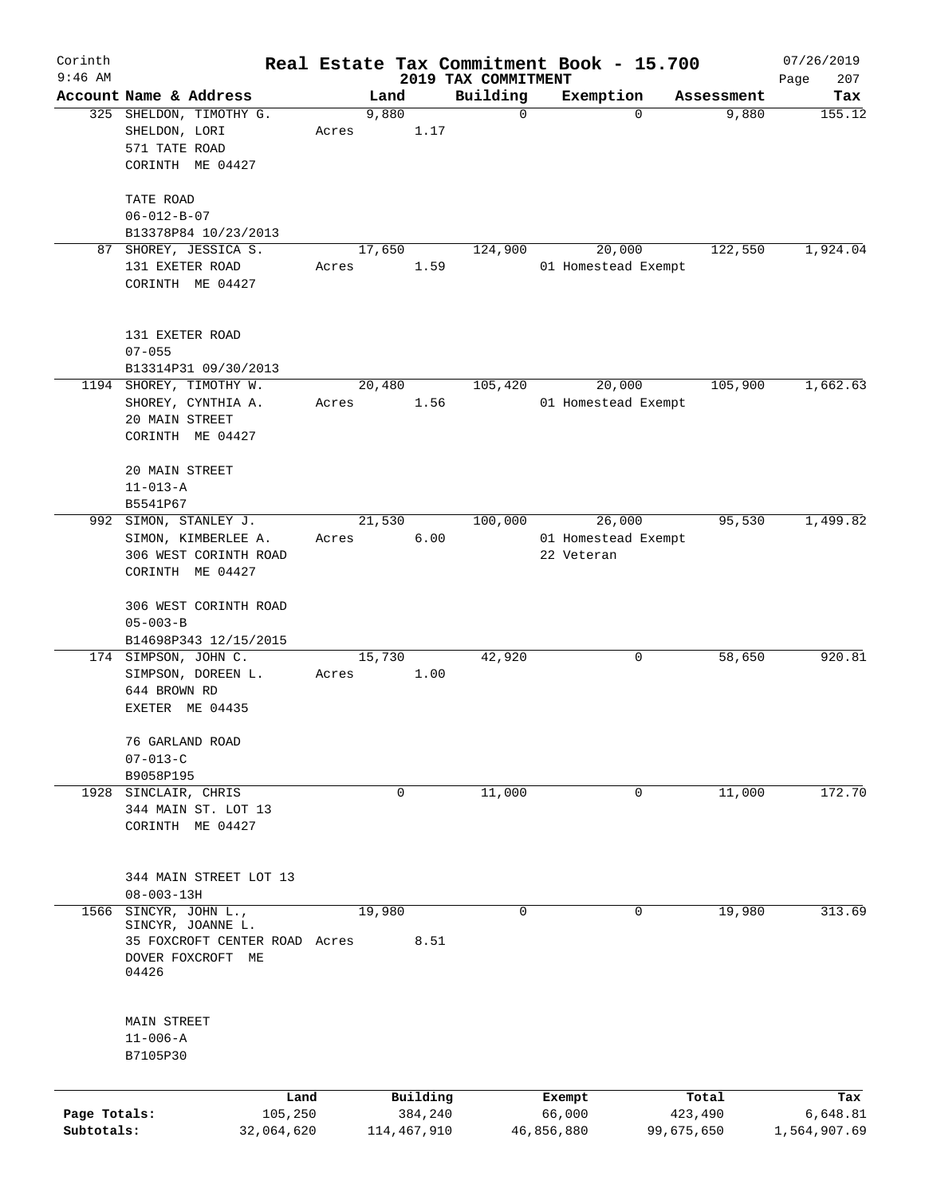| Corinth<br>$9:46$ AM       |                                                                                                      |       |                        |                                 | Real Estate Tax Commitment Book - 15.700    |                       | 07/26/2019               |
|----------------------------|------------------------------------------------------------------------------------------------------|-------|------------------------|---------------------------------|---------------------------------------------|-----------------------|--------------------------|
|                            | Account Name & Address                                                                               |       | Land                   | 2019 TAX COMMITMENT<br>Building | Exemption                                   | Assessment            | 207<br>Page<br>Tax       |
|                            | 325 SHELDON, TIMOTHY G.<br>SHELDON, LORI<br>571 TATE ROAD<br>CORINTH ME 04427                        | Acres | 9,880<br>1.17          | $\mathbf 0$                     | $\Omega$                                    | 9,880                 | 155.12                   |
|                            | TATE ROAD<br>$06 - 012 - B - 07$<br>B13378P84 10/23/2013                                             |       |                        |                                 |                                             |                       |                          |
|                            | 87 SHOREY, JESSICA S.<br>131 EXETER ROAD<br>CORINTH ME 04427                                         | Acres | 17,650<br>1.59         | 124,900                         | 20,000<br>01 Homestead Exempt               | 122,550               | 1,924.04                 |
|                            | 131 EXETER ROAD<br>$07 - 055$<br>B13314P31 09/30/2013                                                |       |                        |                                 |                                             |                       |                          |
|                            | 1194 SHOREY, TIMOTHY W.<br>SHOREY, CYNTHIA A.<br>20 MAIN STREET<br>CORINTH ME 04427                  | Acres | 20,480<br>1.56         | 105,420                         | 20,000<br>01 Homestead Exempt               | 105,900               | 1,662.63                 |
|                            | 20 MAIN STREET<br>$11 - 013 - A$<br>B5541P67                                                         |       |                        |                                 |                                             |                       |                          |
|                            | 992 SIMON, STANLEY J.<br>SIMON, KIMBERLEE A.<br>306 WEST CORINTH ROAD<br>CORINTH ME 04427            | Acres | 21,530<br>6.00         | 100,000                         | 26,000<br>01 Homestead Exempt<br>22 Veteran | 95,530                | 1,499.82                 |
|                            | 306 WEST CORINTH ROAD<br>$05 - 003 - B$<br>B14698P343 12/15/2015                                     |       |                        |                                 |                                             |                       |                          |
|                            | 174 SIMPSON, JOHN C.<br>SIMPSON, DOREEN L.<br>644 BROWN RD<br>EXETER ME 04435                        | Acres | 15,730<br>1.00         | 42,920                          | 0                                           | 58,650                | 920.81                   |
|                            | 76 GARLAND ROAD<br>$07 - 013 - C$                                                                    |       |                        |                                 |                                             |                       |                          |
| 1928                       | B9058P195<br>SINCLAIR, CHRIS<br>344 MAIN ST. LOT 13<br>CORINTH ME 04427                              |       | 0                      | 11,000                          | 0                                           | 11,000                | 172.70                   |
|                            | 344 MAIN STREET LOT 13<br>$08 - 003 - 13H$                                                           |       |                        |                                 |                                             |                       |                          |
| 1566                       | SINCYR, JOHN L.,<br>SINCYR, JOANNE L.<br>35 FOXCROFT CENTER ROAD Acres<br>DOVER FOXCROFT ME<br>04426 |       | 19,980<br>8.51         | 0                               | 0                                           | 19,980                | 313.69                   |
|                            | MAIN STREET<br>$11 - 006 - A$<br>B7105P30                                                            |       |                        |                                 |                                             |                       |                          |
|                            | Land                                                                                                 |       | Building               |                                 | Exempt                                      | Total                 | Tax                      |
| Page Totals:<br>Subtotals: | 105,250<br>32,064,620                                                                                |       | 384,240<br>114,467,910 |                                 | 66,000<br>46,856,880                        | 423,490<br>99,675,650 | 6,648.81<br>1,564,907.69 |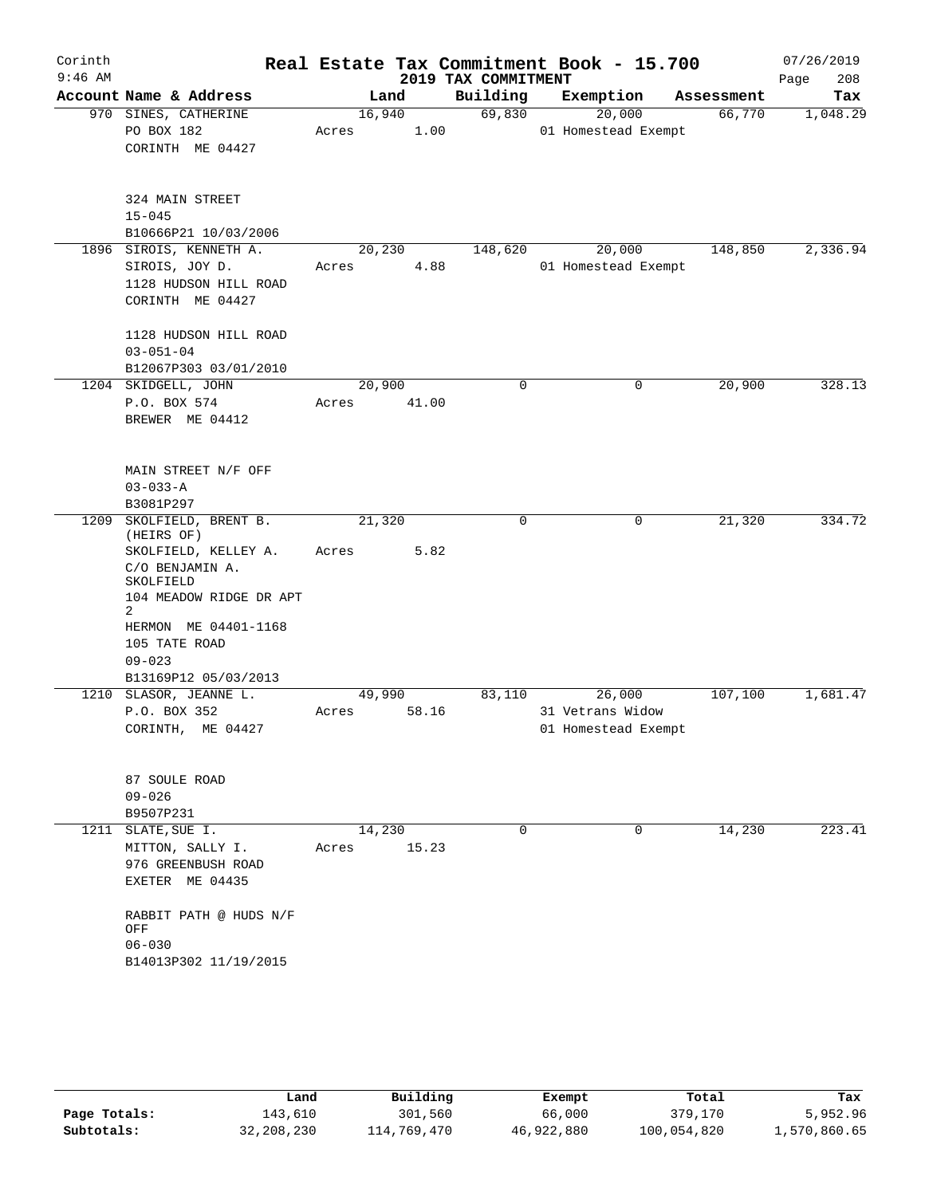| Corinth<br>$9:46$ AM |                                                                                                                      |                 |       | 2019 TAX COMMITMENT | Real Estate Tax Commitment Book - 15.700          |            | 07/26/2019<br>208<br>Page |
|----------------------|----------------------------------------------------------------------------------------------------------------------|-----------------|-------|---------------------|---------------------------------------------------|------------|---------------------------|
|                      | Account Name & Address                                                                                               | Land            |       | Building            | Exemption                                         | Assessment | Tax                       |
|                      | 970 SINES, CATHERINE<br>PO BOX 182<br>CORINTH ME 04427                                                               | 16,940<br>Acres | 1.00  | 69,830              | 20,000<br>01 Homestead Exempt                     | 66,770     | 1,048.29                  |
|                      | 324 MAIN STREET<br>$15 - 045$<br>B10666P21 10/03/2006                                                                |                 |       |                     |                                                   |            |                           |
|                      | 1896 SIROIS, KENNETH A.<br>SIROIS, JOY D.<br>1128 HUDSON HILL ROAD<br>CORINTH ME 04427                               | 20,230<br>Acres | 4.88  | 148,620             | 20,000<br>01 Homestead Exempt                     | 148,850    | 2,336.94                  |
|                      | 1128 HUDSON HILL ROAD<br>$03 - 051 - 04$<br>B12067P303 03/01/2010                                                    |                 |       |                     |                                                   |            |                           |
|                      | 1204 SKIDGELL, JOHN<br>P.O. BOX 574<br>BREWER ME 04412                                                               | 20,900<br>Acres | 41.00 | 0                   | 0                                                 | 20,900     | 328.13                    |
|                      | MAIN STREET N/F OFF<br>$03 - 033 - A$<br>B3081P297                                                                   |                 |       |                     |                                                   |            |                           |
| 1209                 | SKOLFIELD, BRENT B.<br>(HEIRS OF)<br>SKOLFIELD, KELLEY A.<br>C/O BENJAMIN A.<br>SKOLFIELD<br>104 MEADOW RIDGE DR APT | 21,320<br>Acres | 5.82  | 0                   | 0                                                 | 21,320     | 334.72                    |
|                      | 2<br>HERMON ME 04401-1168<br>105 TATE ROAD<br>$09 - 023$<br>B13169P12 05/03/2013                                     |                 |       |                     |                                                   |            |                           |
| 1210                 | SLASOR, JEANNE L.<br>P.O. BOX 352<br>CORINTH, ME 04427                                                               | 49,990<br>Acres | 58.16 | 83,110              | 26,000<br>31 Vetrans Widow<br>01 Homestead Exempt | 107,100    | 1,681.47                  |
|                      | 87 SOULE ROAD<br>$09 - 026$<br>B9507P231                                                                             |                 |       |                     |                                                   |            |                           |
|                      | 1211 SLATE, SUE I.<br>MITTON, SALLY I.<br>976 GREENBUSH ROAD<br>EXETER ME 04435                                      | 14,230<br>Acres | 15.23 | 0                   | $\mathbf 0$                                       | 14,230     | 223.41                    |
|                      | RABBIT PATH @ HUDS N/F<br>OFF<br>$06 - 030$<br>B14013P302 11/19/2015                                                 |                 |       |                     |                                                   |            |                           |
|                      |                                                                                                                      |                 |       |                     |                                                   |            |                           |

|              | Land       | Building    | Exempt     | Total       | Tax          |
|--------------|------------|-------------|------------|-------------|--------------|
| Page Totals: | 143,610    | 301,560     | 66,000     | 379,170     | 5,952.96     |
| Subtotals:   | 32,208,230 | 114,769,470 | 46,922,880 | 100,054,820 | 1,570,860.65 |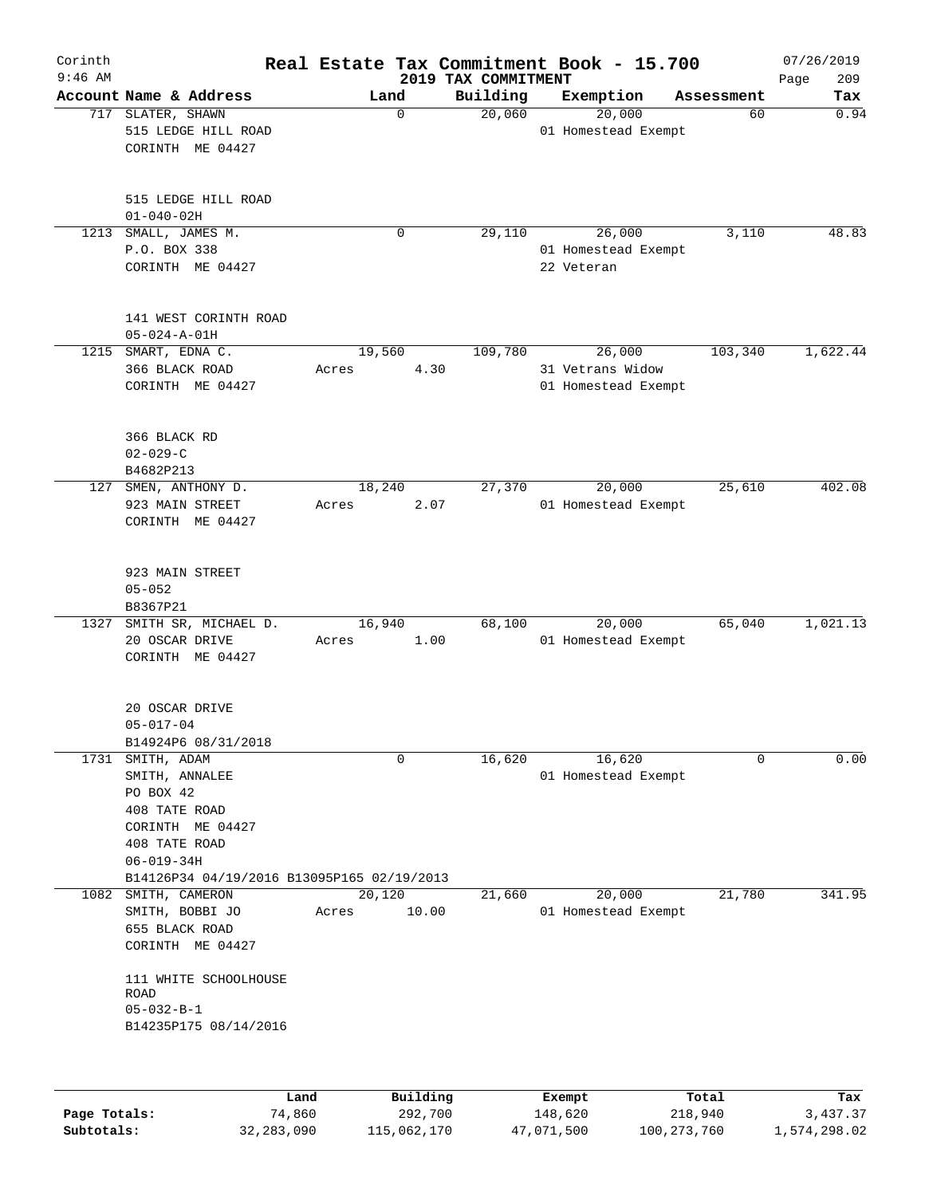| Corinth<br>$9:46$ AM |                                                                                                                                                              | Real Estate Tax Commitment Book - 15.700 |          | 2019 TAX COMMITMENT |                  |                               |            | 07/26/2019<br>209<br>Page |
|----------------------|--------------------------------------------------------------------------------------------------------------------------------------------------------------|------------------------------------------|----------|---------------------|------------------|-------------------------------|------------|---------------------------|
|                      | Account Name & Address                                                                                                                                       |                                          | Land     | Building            | Exemption        |                               | Assessment | Tax                       |
|                      | 717 SLATER, SHAWN<br>515 LEDGE HILL ROAD<br>CORINTH ME 04427                                                                                                 |                                          | 0        | 20,060              |                  | 20,000<br>01 Homestead Exempt | 60         | 0.94                      |
|                      | 515 LEDGE HILL ROAD<br>$01 - 040 - 02H$                                                                                                                      |                                          |          |                     |                  |                               |            |                           |
|                      | 1213 SMALL, JAMES M.<br>P.O. BOX 338<br>CORINTH ME 04427                                                                                                     |                                          | 0        | 29,110              | 22 Veteran       | 26,000<br>01 Homestead Exempt | 3,110      | 48.83                     |
|                      | 141 WEST CORINTH ROAD<br>$05 - 024 - A - 01H$                                                                                                                |                                          |          |                     |                  |                               |            |                           |
|                      | 1215 SMART, EDNA C.                                                                                                                                          | 19,560                                   |          | 109,780             |                  | 26,000                        | 103,340    | 1,622.44                  |
|                      | 366 BLACK ROAD<br>CORINTH ME 04427                                                                                                                           | Acres                                    | 4.30     |                     | 31 Vetrans Widow | 01 Homestead Exempt           |            |                           |
|                      | 366 BLACK RD<br>$02 - 029 - C$<br>B4682P213                                                                                                                  |                                          |          |                     |                  |                               |            |                           |
|                      | 127 SMEN, ANTHONY D.<br>923 MAIN STREET<br>CORINTH ME 04427                                                                                                  | 18,240<br>Acres                          | 2.07     | 27,370              |                  | 20,000<br>01 Homestead Exempt | 25,610     | 402.08                    |
|                      | 923 MAIN STREET<br>$05 - 052$<br>B8367P21                                                                                                                    |                                          |          |                     |                  |                               |            |                           |
|                      | 1327 SMITH SR, MICHAEL D.<br>20 OSCAR DRIVE<br>CORINTH ME 04427                                                                                              | 16,940<br>Acres                          | 1.00     | 68,100              |                  | 20,000<br>01 Homestead Exempt | 65,040     | 1,021.13                  |
|                      | 20 OSCAR DRIVE<br>$05 - 017 - 04$<br>B14924P6 08/31/2018                                                                                                     |                                          |          |                     |                  |                               |            |                           |
|                      | 1731 SMITH, ADAM<br>SMITH, ANNALEE<br>PO BOX 42<br>408 TATE ROAD<br>CORINTH ME 04427<br>408 TATE ROAD<br>$06 - 019 - 34H$                                    |                                          | 0        | 16,620              |                  | 16,620<br>01 Homestead Exempt | $\Omega$   | 0.00                      |
|                      | B14126P34 04/19/2016 B13095P165 02/19/2013                                                                                                                   |                                          |          |                     |                  |                               |            |                           |
|                      | 1082 SMITH, CAMERON<br>SMITH, BOBBI JO<br>655 BLACK ROAD<br>CORINTH ME 04427<br>111 WHITE SCHOOLHOUSE<br>ROAD<br>$05 - 032 - B - 1$<br>B14235P175 08/14/2016 | 20,120<br>Acres                          | 10.00    | 21,660              |                  | 20,000<br>01 Homestead Exempt | 21,780     | 341.95                    |
|                      |                                                                                                                                                              | Land                                     | Building |                     | <b>Exempt</b>    |                               | Total      | Tax                       |

|              | Land       | Building    | Exempt     | Total       | Tax          |
|--------------|------------|-------------|------------|-------------|--------------|
| Page Totals: | 74,860     | 292,700     | 148,620    | 218,940     | 3,437.37     |
| Subtotals:   | 32,283,090 | 115,062,170 | 47,071,500 | 100,273,760 | 1,574,298.02 |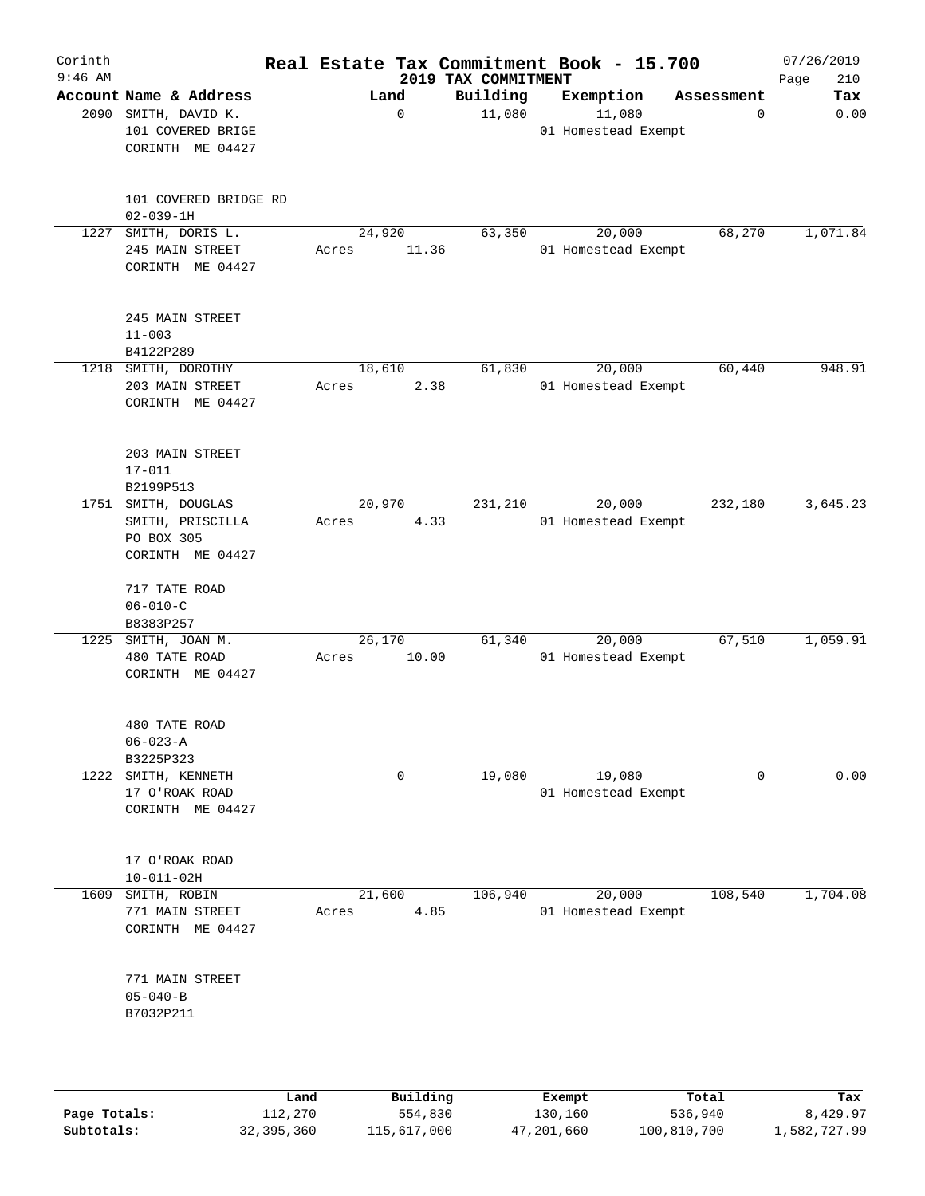| Corinth<br>$9:46$ AM |                                                                           |      |                 |             | 2019 TAX COMMITMENT | Real Estate Tax Commitment Book - 15.700 |        |            | 07/26/2019<br>210<br>Page |
|----------------------|---------------------------------------------------------------------------|------|-----------------|-------------|---------------------|------------------------------------------|--------|------------|---------------------------|
|                      | Account Name & Address                                                    |      |                 | Land        | Building            | Exemption                                |        | Assessment | Tax                       |
|                      | 2090 SMITH, DAVID K.<br>101 COVERED BRIGE<br>CORINTH ME 04427             |      |                 | $\mathbf 0$ | 11,080              | 11,080<br>01 Homestead Exempt            |        | 0          | 0.00                      |
|                      | 101 COVERED BRIDGE RD<br>$02 - 039 - 1H$                                  |      |                 |             |                     |                                          |        |            |                           |
| 1227                 | SMITH, DORIS L.<br>245 MAIN STREET<br>CORINTH ME 04427                    |      | 24,920<br>Acres | 11.36       | 63,350              | 01 Homestead Exempt                      | 20,000 | 68,270     | 1,071.84                  |
|                      | 245 MAIN STREET<br>$11 - 003$<br>B4122P289                                |      |                 |             |                     |                                          |        |            |                           |
|                      | 1218 SMITH, DOROTHY<br>203 MAIN STREET<br>CORINTH ME 04427                |      | 18,610<br>Acres | 2.38        | 61,830              | 01 Homestead Exempt                      | 20,000 | 60,440     | 948.91                    |
|                      | 203 MAIN STREET<br>$17 - 011$<br>B2199P513                                |      |                 |             |                     |                                          |        |            |                           |
|                      | 1751 SMITH, DOUGLAS<br>SMITH, PRISCILLA<br>PO BOX 305<br>CORINTH ME 04427 |      | 20,970<br>Acres | 4.33        | 231,210             | 01 Homestead Exempt                      | 20,000 | 232,180    | 3,645.23                  |
|                      | 717 TATE ROAD<br>$06 - 010 - C$<br>B8383P257                              |      |                 |             |                     |                                          |        |            |                           |
| 1225                 | SMITH, JOAN M.<br>480 TATE ROAD<br>CORINTH ME 04427                       |      | 26,170<br>Acres | 10.00       | 61,340              | 20,000<br>01 Homestead Exempt            |        | 67,510     | 1,059.91                  |
|                      | 480 TATE ROAD<br>$06 - 023 - A$<br>B3225P323                              |      |                 |             |                     |                                          |        |            |                           |
|                      | 1222 SMITH, KENNETH<br>17 O'ROAK ROAD<br>CORINTH ME 04427                 |      |                 | $\mathbf 0$ | 19,080              | 19,080<br>01 Homestead Exempt            |        | 0          | 0.00                      |
| 1609                 | 17 O'ROAK ROAD<br>$10 - 011 - 02H$<br>SMITH, ROBIN                        |      | 21,600          |             | 106,940             | 20,000                                   |        | 108,540    | 1,704.08                  |
|                      | 771 MAIN STREET<br>CORINTH ME 04427                                       |      | Acres           | 4.85        |                     | 01 Homestead Exempt                      |        |            |                           |
|                      | 771 MAIN STREET<br>$05 - 040 - B$<br>B7032P211                            |      |                 |             |                     |                                          |        |            |                           |
|                      |                                                                           | Land |                 | Building    |                     | Exempt                                   |        | Total      | Tax                       |

**Page Totals:** 112,270 554,830 130,160 536,940 8,429.97 **Subtotals:** 32,395,360 115,617,000 47,201,660 100,810,700 1,582,727.99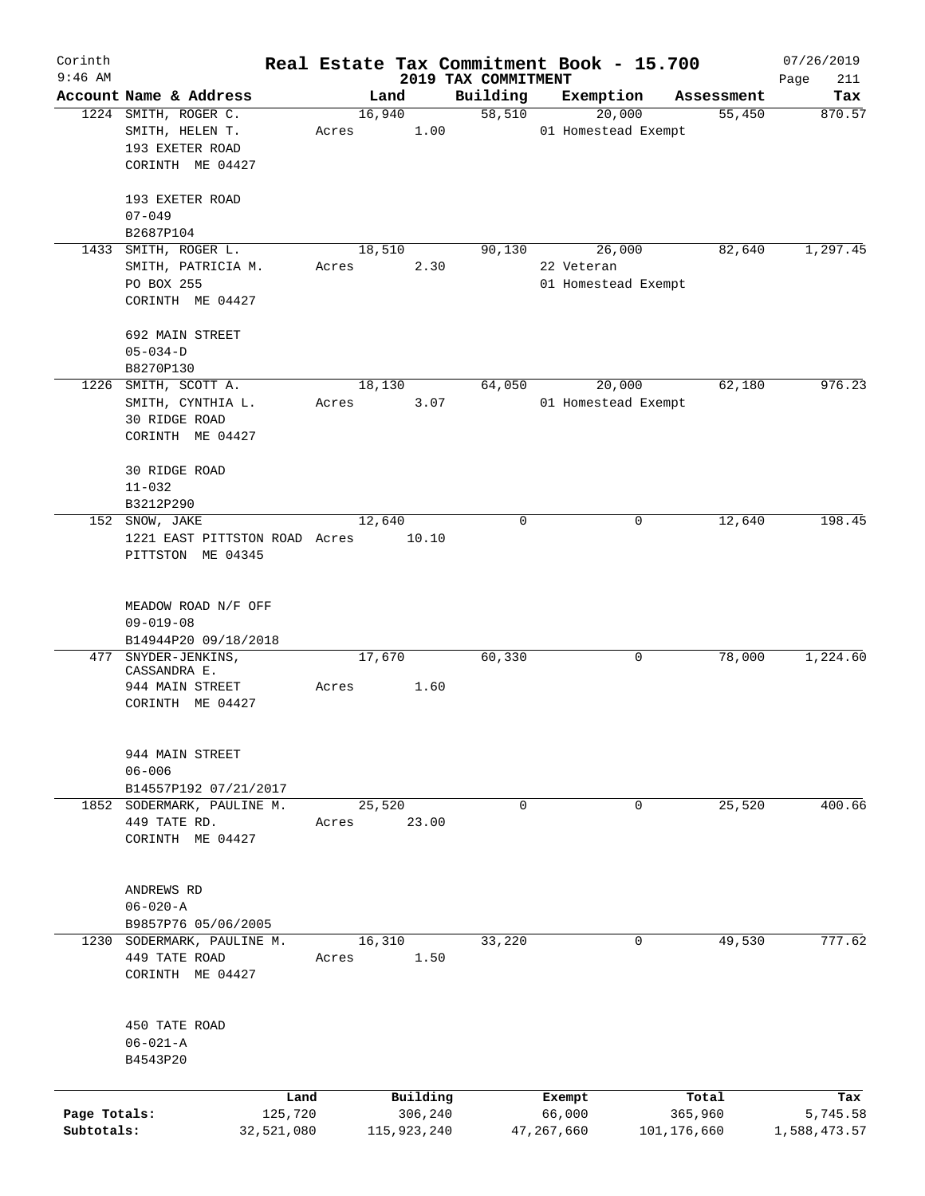| Corinth                    |                                                                                |       |                        |                                 | Real Estate Tax Commitment Book - 15.700    |                        | 07/26/2019               |
|----------------------------|--------------------------------------------------------------------------------|-------|------------------------|---------------------------------|---------------------------------------------|------------------------|--------------------------|
| $9:46$ AM                  | Account Name & Address                                                         |       | Land                   | 2019 TAX COMMITMENT<br>Building | Exemption                                   | Assessment             | Page<br>211<br>Tax       |
|                            | 1224 SMITH, ROGER C.<br>SMITH, HELEN T.<br>193 EXETER ROAD<br>CORINTH ME 04427 | Acres | 16,940<br>1.00         | 58,510                          | 20,000<br>01 Homestead Exempt               | 55,450                 | 870.57                   |
|                            | 193 EXETER ROAD<br>$07 - 049$                                                  |       |                        |                                 |                                             |                        |                          |
|                            | B2687P104<br>1433 SMITH, ROGER L.                                              |       |                        |                                 |                                             | 82,640                 |                          |
|                            | SMITH, PATRICIA M.<br>PO BOX 255<br>CORINTH ME 04427                           | Acres | 18,510<br>2.30         | 90,130                          | 26,000<br>22 Veteran<br>01 Homestead Exempt |                        | 1,297.45                 |
|                            | 692 MAIN STREET<br>$05 - 034 - D$<br>B8270P130                                 |       |                        |                                 |                                             |                        |                          |
|                            | 1226 SMITH, SCOTT A.                                                           |       | 18,130                 | 64,050                          | 20,000                                      | 62,180                 | 976.23                   |
|                            | SMITH, CYNTHIA L.<br>30 RIDGE ROAD<br>CORINTH ME 04427                         | Acres | 3.07                   |                                 | 01 Homestead Exempt                         |                        |                          |
|                            | <b>30 RIDGE ROAD</b><br>$11 - 032$                                             |       |                        |                                 |                                             |                        |                          |
|                            | B3212P290                                                                      |       |                        |                                 |                                             |                        |                          |
|                            | 152 SNOW, JAKE<br>1221 EAST PITTSTON ROAD Acres<br>PITTSTON ME 04345           |       | 12,640<br>10.10        | 0                               | 0                                           | 12,640                 | 198.45                   |
|                            | MEADOW ROAD N/F OFF<br>$09 - 019 - 08$                                         |       |                        |                                 |                                             |                        |                          |
| 477                        | B14944P20 09/18/2018<br>SNYDER-JENKINS,                                        |       | 17,670                 | 60,330                          | 0                                           | 78,000                 | 1,224.60                 |
|                            | CASSANDRA E.<br>944 MAIN STREET<br>CORINTH ME 04427                            | Acres | 1.60                   |                                 |                                             |                        |                          |
|                            | 944 MAIN STREET<br>$06 - 006$<br>B14557P192 07/21/2017                         |       |                        |                                 |                                             |                        |                          |
|                            | 1852 SODERMARK, PAULINE M.<br>449 TATE RD.<br>CORINTH ME 04427                 | Acres | 25,520<br>23.00        | $\mathbf 0$                     | 0                                           | 25,520                 | 400.66                   |
|                            | ANDREWS RD<br>$06 - 020 - A$<br>B9857P76 05/06/2005                            |       |                        |                                 |                                             |                        |                          |
|                            | 1230 SODERMARK, PAULINE M.<br>449 TATE ROAD<br>CORINTH ME 04427                | Acres | 16,310<br>1.50         | 33,220                          | $\mathbf{0}$                                | 49,530                 | 777.62                   |
|                            | 450 TATE ROAD<br>$06 - 021 - A$<br>B4543P20                                    |       |                        |                                 |                                             |                        |                          |
|                            |                                                                                | Land  | Building               |                                 | Exempt                                      | Total                  | Tax                      |
| Page Totals:<br>Subtotals: | 125,720<br>32,521,080                                                          |       | 306,240<br>115,923,240 |                                 | 66,000<br>47,267,660                        | 365,960<br>101,176,660 | 5,745.58<br>1,588,473.57 |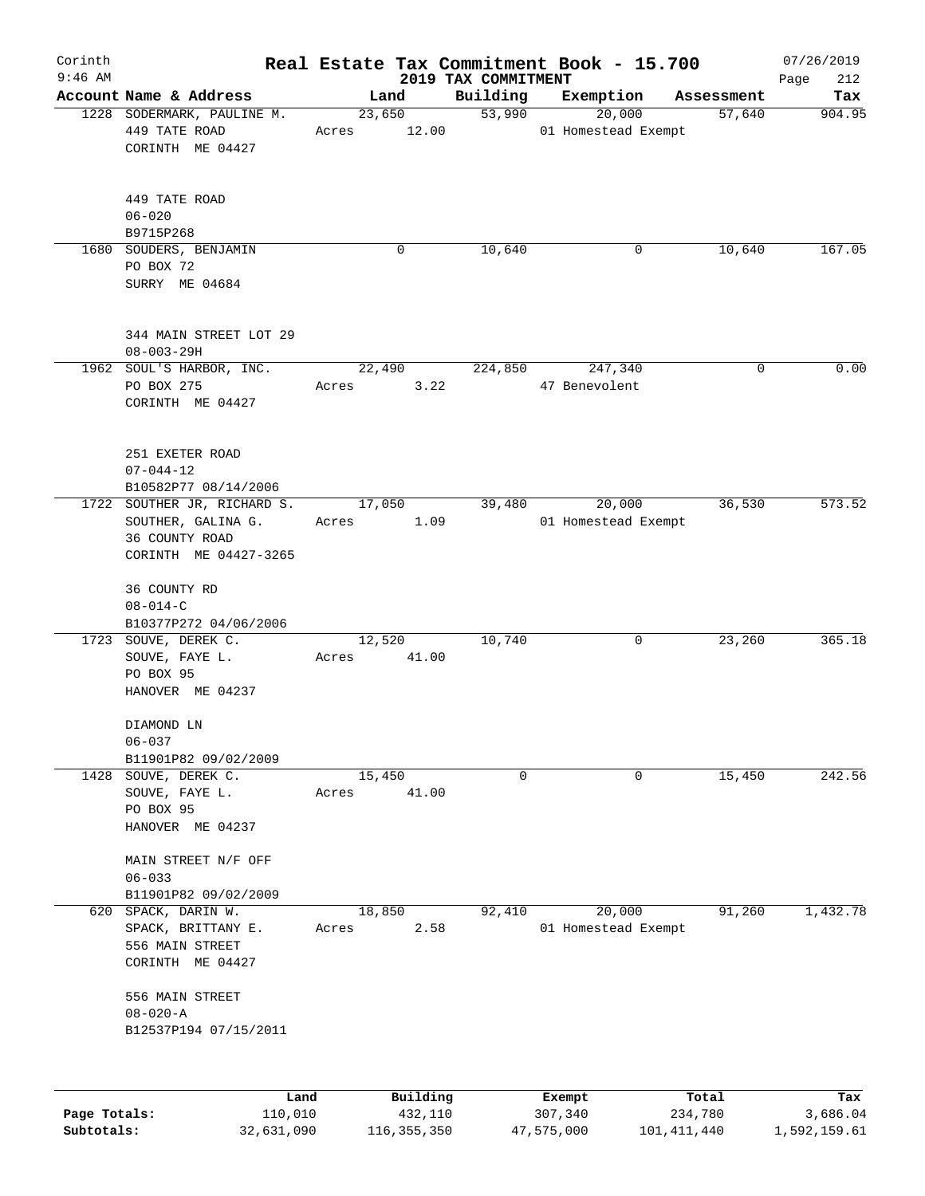| Corinth      |                                                               |                 |          |                                 | Real Estate Tax Commitment Book - 15.700 |            | 07/26/2019         |
|--------------|---------------------------------------------------------------|-----------------|----------|---------------------------------|------------------------------------------|------------|--------------------|
| $9:46$ AM    | Account Name & Address                                        | Land            |          | 2019 TAX COMMITMENT<br>Building | Exemption                                | Assessment | Page<br>212<br>Tax |
|              | 1228 SODERMARK, PAULINE M.                                    |                 | 23,650   | 53,990                          | 20,000                                   | 57,640     | 904.95             |
|              | 449 TATE ROAD<br>CORINTH ME 04427                             | Acres           | 12.00    |                                 | 01 Homestead Exempt                      |            |                    |
|              | 449 TATE ROAD<br>$06 - 020$                                   |                 |          |                                 |                                          |            |                    |
|              | B9715P268<br>1680 SOUDERS, BENJAMIN                           |                 | 0        | 10,640                          | 0                                        | 10,640     | 167.05             |
|              | PO BOX 72<br>SURRY ME 04684                                   |                 |          |                                 |                                          |            |                    |
|              | 344 MAIN STREET LOT 29<br>$08 - 003 - 29H$                    |                 |          |                                 |                                          |            |                    |
|              | 1962 SOUL'S HARBOR, INC.                                      | 22,490          |          | 224,850                         | 247,340                                  | 0          | 0.00               |
|              | PO BOX 275<br>CORINTH ME 04427                                | Acres           | 3.22     |                                 | 47 Benevolent                            |            |                    |
|              | 251 EXETER ROAD<br>$07 - 044 - 12$                            |                 |          |                                 |                                          |            |                    |
|              | B10582P77 08/14/2006<br>1722 SOUTHER JR, RICHARD S.           | 17,050          |          | 39,480                          | 20,000                                   | 36,530     | 573.52             |
|              | SOUTHER, GALINA G.<br>36 COUNTY ROAD<br>CORINTH ME 04427-3265 | Acres           | 1.09     |                                 | 01 Homestead Exempt                      |            |                    |
|              | 36 COUNTY RD<br>$08 - 014 - C$                                |                 |          |                                 |                                          |            |                    |
|              | B10377P272 04/06/2006                                         |                 |          | 10,740                          |                                          |            | 365.18             |
|              | 1723 SOUVE, DEREK C.<br>SOUVE, FAYE L.<br>PO BOX 95           | 12,520<br>Acres | 41.00    |                                 | 0                                        | 23,260     |                    |
|              | HANOVER ME 04237                                              |                 |          |                                 |                                          |            |                    |
|              | DIAMOND LN<br>$06 - 037$                                      |                 |          |                                 |                                          |            |                    |
|              | B11901P82 09/02/2009<br>1428 SOUVE, DEREK C.                  | 15,450          |          | 0                               | 0                                        | 15,450     | 242.56             |
|              | SOUVE, FAYE L.<br>PO BOX 95                                   | Acres           | 41.00    |                                 |                                          |            |                    |
|              | HANOVER ME 04237<br>MAIN STREET N/F OFF                       |                 |          |                                 |                                          |            |                    |
|              | $06 - 033$<br>B11901P82 09/02/2009                            |                 |          |                                 |                                          |            |                    |
| 620          | SPACK, DARIN W.                                               | 18,850          |          | 92,410                          | 20,000                                   | 91,260     | 1,432.78           |
|              | SPACK, BRITTANY E.<br>556 MAIN STREET<br>CORINTH ME 04427     | Acres           | 2.58     |                                 | 01 Homestead Exempt                      |            |                    |
|              | 556 MAIN STREET<br>$08 - 020 - A$                             |                 |          |                                 |                                          |            |                    |
|              | B12537P194 07/15/2011                                         |                 |          |                                 |                                          |            |                    |
|              |                                                               |                 |          |                                 |                                          |            |                    |
|              | Land                                                          |                 | Building |                                 | Exempt                                   | Total      | Tax                |
| Page Totals: | 110,010                                                       |                 | 432,110  |                                 | 307,340                                  | 234,780    | 3,686.04           |

**Subtotals:** 32,631,090 116,355,350 47,575,000 101,411,440 1,592,159.61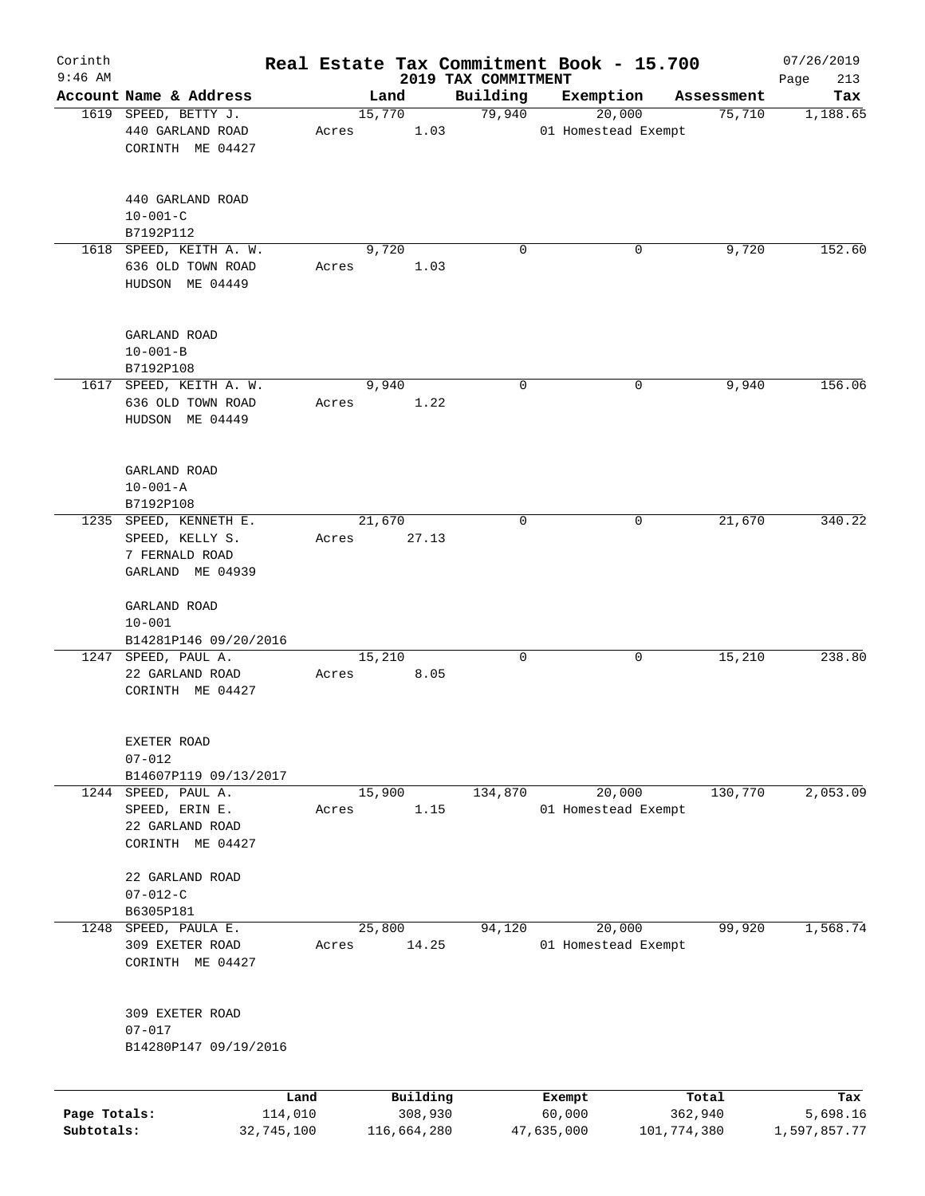| Corinth<br>$9:46$ AM |                                                                                 |                 |       |        |                     |                                 | Real Estate Tax Commitment Book - 15.700 |                  | 07/26/2019         |
|----------------------|---------------------------------------------------------------------------------|-----------------|-------|--------|---------------------|---------------------------------|------------------------------------------|------------------|--------------------|
|                      | Account Name & Address                                                          |                 |       | Land   |                     | 2019 TAX COMMITMENT<br>Building | Exemption                                | Assessment       | 213<br>Page<br>Tax |
|                      | 1619 SPEED, BETTY J.                                                            |                 |       | 15,770 |                     | 79,940                          | 20,000                                   | 75,710           | 1,188.65           |
|                      | 440 GARLAND ROAD<br>CORINTH ME 04427                                            |                 | Acres |        | 1.03                |                                 | 01 Homestead Exempt                      |                  |                    |
|                      | 440 GARLAND ROAD<br>$10 - 001 - C$<br>B7192P112                                 |                 |       |        |                     |                                 |                                          |                  |                    |
|                      | 1618 SPEED, KEITH A. W.<br>636 OLD TOWN ROAD<br>HUDSON ME 04449                 |                 | Acres | 9,720  | 1.03                | $\Omega$                        |                                          | 9,720<br>0       | 152.60             |
|                      | GARLAND ROAD<br>$10 - 001 - B$<br>B7192P108                                     |                 |       |        |                     |                                 |                                          |                  |                    |
|                      | 1617 SPEED, KEITH A. W.<br>636 OLD TOWN ROAD<br>HUDSON ME 04449                 |                 | Acres | 9,940  | 1.22                | 0                               |                                          | 9,940<br>0       | 156.06             |
|                      | GARLAND ROAD<br>$10 - 001 - A$<br>B7192P108                                     |                 |       |        |                     |                                 |                                          |                  |                    |
|                      | 1235 SPEED, KENNETH E.<br>SPEED, KELLY S.<br>7 FERNALD ROAD<br>GARLAND ME 04939 |                 | Acres | 21,670 | 27.13               | 0                               |                                          | 21,670<br>0      | 340.22             |
|                      | GARLAND ROAD<br>$10 - 001$<br>B14281P146 09/20/2016                             |                 |       |        |                     |                                 |                                          |                  |                    |
|                      | 1247 SPEED, PAUL A.<br>22 GARLAND ROAD<br>CORINTH ME 04427                      |                 | Acres | 15,210 | 8.05                | 0                               |                                          | 15,210<br>0      | 238.80             |
|                      | EXETER ROAD<br>$07 - 012$<br>B14607P119 09/13/2017                              |                 |       |        |                     |                                 |                                          |                  |                    |
| 1244                 | SPEED, PAUL A.<br>SPEED, ERIN E.<br>22 GARLAND ROAD<br>CORINTH ME 04427         |                 | Acres | 15,900 | 1.15                | 134,870                         | 20,000<br>01 Homestead Exempt            | 130,770          | 2,053.09           |
|                      | 22 GARLAND ROAD<br>$07 - 012 - C$<br>B6305P181                                  |                 |       |        |                     |                                 |                                          |                  |                    |
| 1248                 | SPEED, PAULA E.<br>309 EXETER ROAD<br>CORINTH ME 04427                          |                 | Acres | 25,800 | 14.25               | 94,120                          | 20,000<br>01 Homestead Exempt            | 99,920           | 1,568.74           |
|                      | 309 EXETER ROAD<br>$07 - 017$<br>B14280P147 09/19/2016                          |                 |       |        |                     |                                 |                                          |                  |                    |
|                      |                                                                                 |                 |       |        |                     |                                 |                                          |                  |                    |
| Page Totals:         |                                                                                 | Land<br>114,010 |       |        | Building<br>308,930 |                                 | Exempt<br>60,000                         | Total<br>362,940 | Tax<br>5,698.16    |

**Subtotals:** 32,745,100 116,664,280 47,635,000 101,774,380 1,597,857.77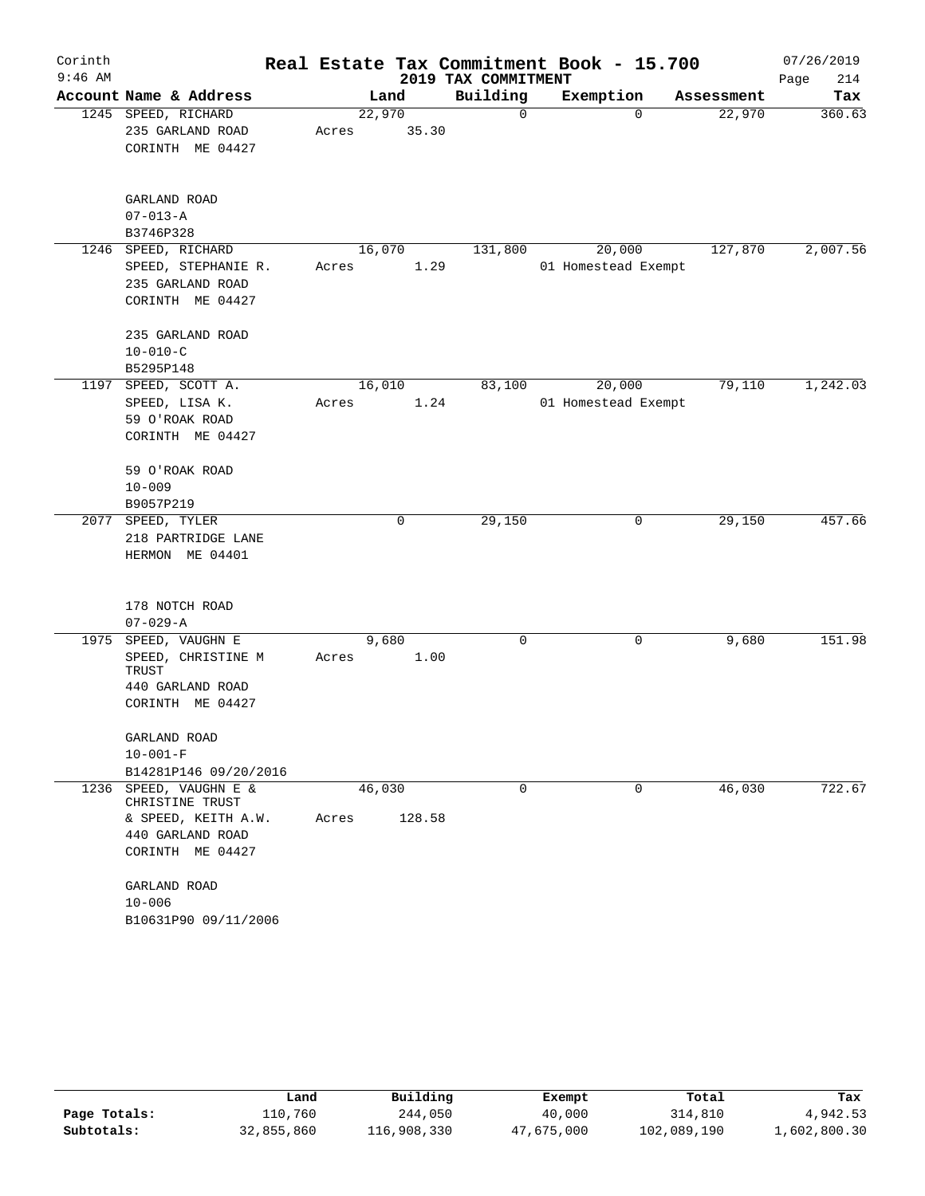| Corinth   |                                           |       |        |        |                     | Real Estate Tax Commitment Book - 15.700 |            | 07/26/2019  |
|-----------|-------------------------------------------|-------|--------|--------|---------------------|------------------------------------------|------------|-------------|
| $9:46$ AM |                                           |       |        |        | 2019 TAX COMMITMENT |                                          |            | Page<br>214 |
|           | Account Name & Address                    |       | Land   |        | Building            | Exemption                                | Assessment | Tax         |
|           | 1245 SPEED, RICHARD                       |       | 22,970 |        | 0                   | $\Omega$                                 | 22,970     | 360.63      |
|           | 235 GARLAND ROAD                          | Acres |        | 35.30  |                     |                                          |            |             |
|           | CORINTH ME 04427                          |       |        |        |                     |                                          |            |             |
|           | GARLAND ROAD                              |       |        |        |                     |                                          |            |             |
|           | $07 - 013 - A$                            |       |        |        |                     |                                          |            |             |
|           | B3746P328                                 |       |        |        |                     |                                          |            |             |
| 1246      | SPEED, RICHARD                            |       | 16,070 |        | 131,800             | 20,000                                   | 127,870    | 2,007.56    |
|           | SPEED, STEPHANIE R.                       | Acres |        | 1.29   |                     | 01 Homestead Exempt                      |            |             |
|           | 235 GARLAND ROAD                          |       |        |        |                     |                                          |            |             |
|           | CORINTH ME 04427                          |       |        |        |                     |                                          |            |             |
|           | 235 GARLAND ROAD                          |       |        |        |                     |                                          |            |             |
|           | $10 - 010 - C$                            |       |        |        |                     |                                          |            |             |
|           | B5295P148                                 |       |        |        |                     |                                          |            |             |
| 1197      | SPEED, SCOTT A.                           |       | 16,010 |        | 83,100              | 20,000                                   | 79,110     | 1,242.03    |
|           | SPEED, LISA K.                            | Acres |        | 1.24   |                     | 01 Homestead Exempt                      |            |             |
|           | 59 O'ROAK ROAD                            |       |        |        |                     |                                          |            |             |
|           | CORINTH ME 04427                          |       |        |        |                     |                                          |            |             |
|           | 59 O'ROAK ROAD                            |       |        |        |                     |                                          |            |             |
|           | $10 - 009$                                |       |        |        |                     |                                          |            |             |
|           | B9057P219                                 |       |        |        |                     |                                          |            |             |
| 2077      | SPEED, TYLER                              |       |        | 0      | 29,150              | 0                                        | 29,150     | 457.66      |
|           | 218 PARTRIDGE LANE<br>HERMON ME 04401     |       |        |        |                     |                                          |            |             |
|           |                                           |       |        |        |                     |                                          |            |             |
|           | 178 NOTCH ROAD                            |       |        |        |                     |                                          |            |             |
|           | $07 - 029 - A$                            |       |        |        |                     |                                          |            |             |
| 1975      | SPEED, VAUGHN E                           |       | 9,680  |        | 0                   | 0                                        | 9,680      | 151.98      |
|           | SPEED, CHRISTINE M<br>TRUST               | Acres |        | 1.00   |                     |                                          |            |             |
|           | 440 GARLAND ROAD                          |       |        |        |                     |                                          |            |             |
|           | CORINTH ME 04427                          |       |        |        |                     |                                          |            |             |
|           | GARLAND ROAD                              |       |        |        |                     |                                          |            |             |
|           | $10 - 001 - F$                            |       |        |        |                     |                                          |            |             |
|           | B14281P146 09/20/2016                     |       |        |        |                     |                                          |            |             |
|           | 1236 SPEED, VAUGHN E &<br>CHRISTINE TRUST |       | 46,030 |        | 0                   | 0                                        | 46,030     | 722.67      |
|           | & SPEED, KEITH A.W.                       | Acres |        | 128.58 |                     |                                          |            |             |
|           | 440 GARLAND ROAD                          |       |        |        |                     |                                          |            |             |
|           | CORINTH ME 04427                          |       |        |        |                     |                                          |            |             |
|           | GARLAND ROAD                              |       |        |        |                     |                                          |            |             |
|           | $10 - 006$                                |       |        |        |                     |                                          |            |             |
|           | B10631P90 09/11/2006                      |       |        |        |                     |                                          |            |             |

|              | Land       | Building    | Exempt     | Total       | Tax          |
|--------------|------------|-------------|------------|-------------|--------------|
| Page Totals: | 110,760    | 244,050     | 40,000     | 314,810     | 4,942.53     |
| Subtotals:   | 32,855,860 | 116,908,330 | 47,675,000 | 102,089,190 | 1,602,800.30 |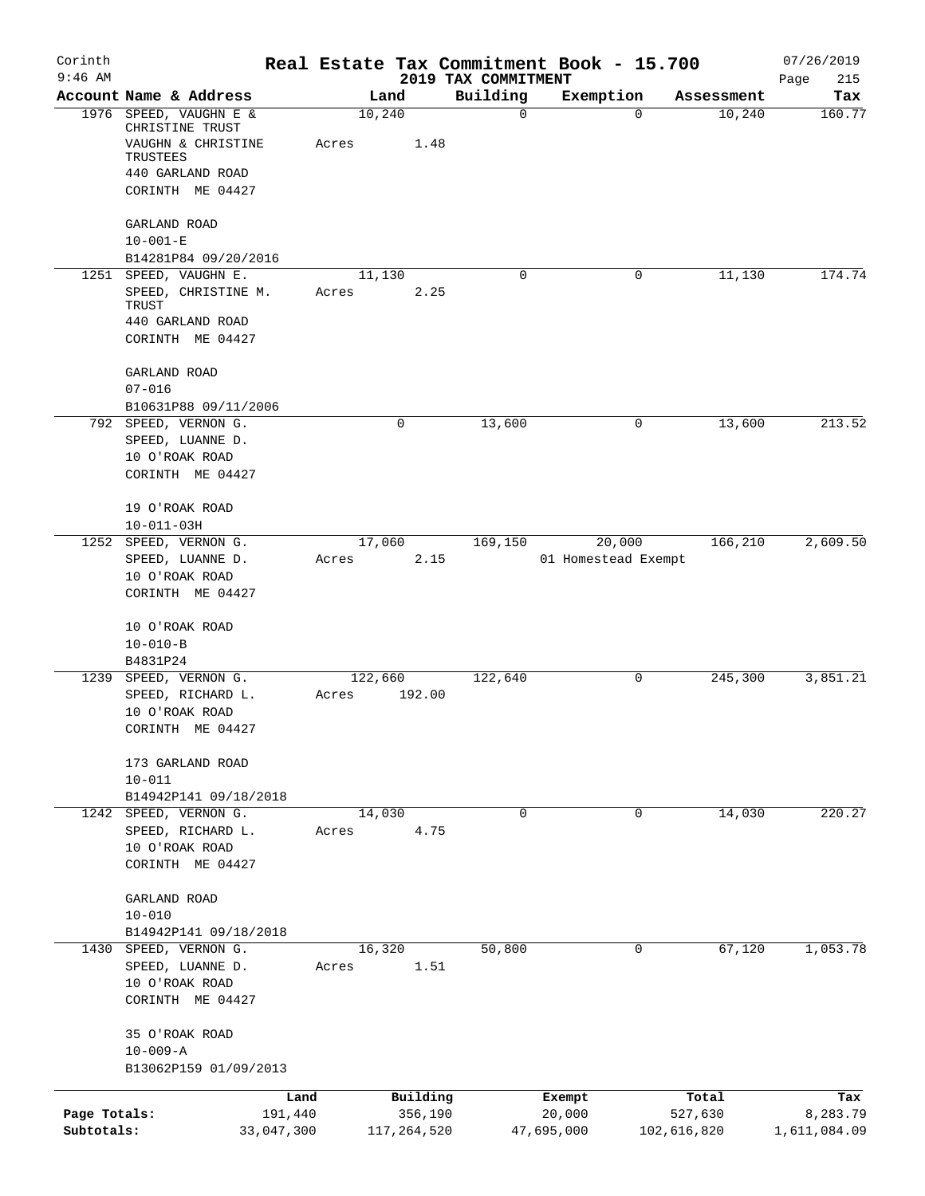| Corinth                    |                                                                 |       |                        |                                 | Real Estate Tax Commitment Book - 15.700 |                        | 07/26/2019               |
|----------------------------|-----------------------------------------------------------------|-------|------------------------|---------------------------------|------------------------------------------|------------------------|--------------------------|
| $9:46$ AM                  | Account Name & Address                                          |       | Land                   | 2019 TAX COMMITMENT<br>Building | Exemption                                | Assessment             | Page<br>215<br>Tax       |
|                            | 1976 SPEED, VAUGHN E &<br>CHRISTINE TRUST<br>VAUGHN & CHRISTINE | Acres | 10,240<br>1.48         | $\mathbf 0$                     | 0                                        | 10,240                 | 160.77                   |
|                            | TRUSTEES<br>440 GARLAND ROAD<br>CORINTH ME 04427                |       |                        |                                 |                                          |                        |                          |
|                            | GARLAND ROAD<br>$10 - 001 - E$<br>B14281P84 09/20/2016          |       |                        |                                 |                                          |                        |                          |
|                            | 1251 SPEED, VAUGHN E.                                           |       | 11,130                 | 0                               | 0                                        | 11,130                 | 174.74                   |
|                            | SPEED, CHRISTINE M.<br>TRUST                                    | Acres | 2.25                   |                                 |                                          |                        |                          |
|                            | 440 GARLAND ROAD<br>CORINTH ME 04427                            |       |                        |                                 |                                          |                        |                          |
|                            | GARLAND ROAD<br>$07 - 016$                                      |       |                        |                                 |                                          |                        |                          |
|                            | B10631P88 09/11/2006                                            |       |                        |                                 |                                          |                        |                          |
|                            | 792 SPEED, VERNON G.<br>SPEED, LUANNE D.<br>10 O'ROAK ROAD      |       | 0                      | 13,600                          | 0                                        | 13,600                 | 213.52                   |
|                            | CORINTH ME 04427                                                |       |                        |                                 |                                          |                        |                          |
|                            | 19 O'ROAK ROAD<br>$10 - 011 - 03H$                              |       |                        |                                 |                                          |                        |                          |
|                            | 1252 SPEED, VERNON G.                                           |       | 17,060                 | 169,150                         | 20,000                                   | 166, 210               | 2,609.50                 |
|                            | SPEED, LUANNE D.<br>10 O'ROAK ROAD<br>CORINTH ME 04427          | Acres | 2.15                   |                                 | 01 Homestead Exempt                      |                        |                          |
|                            | 10 O'ROAK ROAD                                                  |       |                        |                                 |                                          |                        |                          |
|                            | $10 - 010 - B$<br>B4831P24                                      |       |                        |                                 |                                          |                        |                          |
| 1239                       | SPEED, VERNON G.                                                |       | 122,660                | 122,640                         | 0                                        | 245,300                | 3,851.21                 |
|                            | SPEED, RICHARD L.<br>10 O'ROAK ROAD<br>CORINTH ME 04427         | Acres | 192.00                 |                                 |                                          |                        |                          |
|                            | 173 GARLAND ROAD                                                |       |                        |                                 |                                          |                        |                          |
|                            | $10 - 011$                                                      |       |                        |                                 |                                          |                        |                          |
|                            | B14942P141 09/18/2018<br>1242 SPEED, VERNON G.                  |       | 14,030                 | $\mathbf 0$                     | 0                                        | 14,030                 | 220.27                   |
|                            | SPEED, RICHARD L.                                               | Acres | 4.75                   |                                 |                                          |                        |                          |
|                            | 10 O'ROAK ROAD<br>CORINTH ME 04427                              |       |                        |                                 |                                          |                        |                          |
|                            | GARLAND ROAD<br>$10 - 010$                                      |       |                        |                                 |                                          |                        |                          |
|                            | B14942P141 09/18/2018                                           |       |                        |                                 |                                          |                        |                          |
| 1430                       | SPEED, VERNON G.                                                |       | 16,320                 | 50,800                          | 0                                        | 67,120                 | 1,053.78                 |
|                            | SPEED, LUANNE D.<br>10 O'ROAK ROAD<br>CORINTH ME 04427          | Acres | 1.51                   |                                 |                                          |                        |                          |
|                            | 35 O'ROAK ROAD                                                  |       |                        |                                 |                                          |                        |                          |
|                            | $10 - 009 - A$<br>B13062P159 01/09/2013                         |       |                        |                                 |                                          |                        |                          |
|                            |                                                                 | Land  | Building               |                                 | Exempt                                   | Total                  | Tax                      |
| Page Totals:<br>Subtotals: | 191,440<br>33,047,300                                           |       | 356,190<br>117,264,520 |                                 | 20,000<br>47,695,000                     | 527,630<br>102,616,820 | 8,283.79<br>1,611,084.09 |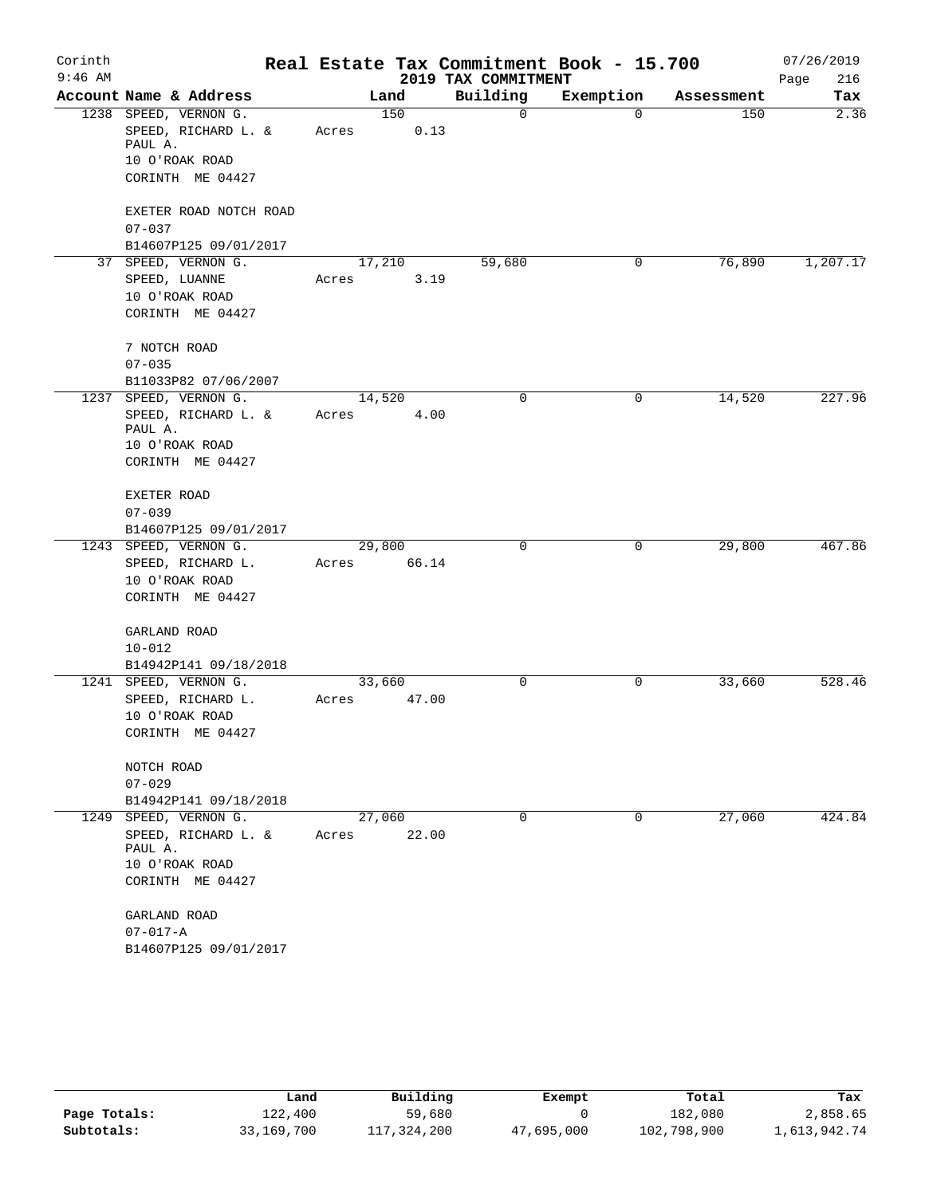| Corinth   |                                     | Real Estate Tax Commitment Book - 15.700 | 07/26/2019  |          |           |            |          |
|-----------|-------------------------------------|------------------------------------------|-------------|----------|-----------|------------|----------|
| $9:46$ AM |                                     |                                          | Page<br>216 |          |           |            |          |
|           | Account Name & Address              |                                          | Land        | Building | Exemption | Assessment | Tax      |
|           | 1238 SPEED, VERNON G.               |                                          | 150         | 0        | $\Omega$  | 150        | 2.36     |
|           | SPEED, RICHARD L. &                 | Acres                                    | 0.13        |          |           |            |          |
|           | PAUL A.                             |                                          |             |          |           |            |          |
|           | 10 O'ROAK ROAD                      |                                          |             |          |           |            |          |
|           | CORINTH ME 04427                    |                                          |             |          |           |            |          |
|           | EXETER ROAD NOTCH ROAD              |                                          |             |          |           |            |          |
|           | $07 - 037$                          |                                          |             |          |           |            |          |
|           | B14607P125 09/01/2017               |                                          |             |          |           |            |          |
|           | 37 SPEED, VERNON G.                 |                                          | 17,210      | 59,680   | 0         | 76,890     | 1,207.17 |
|           | SPEED, LUANNE                       | Acres                                    | 3.19        |          |           |            |          |
|           | 10 O'ROAK ROAD                      |                                          |             |          |           |            |          |
|           | CORINTH ME 04427                    |                                          |             |          |           |            |          |
|           |                                     |                                          |             |          |           |            |          |
|           | 7 NOTCH ROAD                        |                                          |             |          |           |            |          |
|           | $07 - 035$                          |                                          |             |          |           |            |          |
|           | B11033P82 07/06/2007                |                                          |             |          |           |            |          |
|           | 1237 SPEED, VERNON G.               | 14,520                                   |             | 0        | 0         | 14,520     | 227.96   |
|           | SPEED, RICHARD L. &                 | Acres                                    | 4.00        |          |           |            |          |
|           | PAUL A.                             |                                          |             |          |           |            |          |
|           | 10 O'ROAK ROAD<br>CORINTH ME 04427  |                                          |             |          |           |            |          |
|           |                                     |                                          |             |          |           |            |          |
|           | EXETER ROAD                         |                                          |             |          |           |            |          |
|           | $07 - 039$                          |                                          |             |          |           |            |          |
|           | B14607P125 09/01/2017               |                                          |             |          |           |            |          |
|           | 1243 SPEED, VERNON G.               |                                          | 29,800      | 0        | 0         | 29,800     | 467.86   |
|           | SPEED, RICHARD L.                   | Acres                                    | 66.14       |          |           |            |          |
|           | 10 O'ROAK ROAD                      |                                          |             |          |           |            |          |
|           | CORINTH ME 04427                    |                                          |             |          |           |            |          |
|           |                                     |                                          |             |          |           |            |          |
|           | GARLAND ROAD                        |                                          |             |          |           |            |          |
|           | $10 - 012$                          |                                          |             |          |           |            |          |
|           | B14942P141 09/18/2018               |                                          |             |          |           |            |          |
| 1249      | 1241 SPEED, VERNON G.               |                                          | 33,660      | 0        | 0         | 33,660     | 528.46   |
|           | SPEED, RICHARD L.                   | Acres                                    | 47.00       |          |           |            |          |
|           | 10 O'ROAK ROAD                      |                                          |             |          |           |            |          |
|           | CORINTH ME 04427                    |                                          |             |          |           |            |          |
|           |                                     |                                          |             |          |           |            |          |
|           | NOTCH ROAD                          |                                          |             |          |           |            |          |
|           | $07 - 029$<br>B14942P141 09/18/2018 |                                          |             |          |           |            |          |
|           | SPEED, VERNON G.                    |                                          | 27,060      | $\Omega$ | 0         | 27,060     | 424.84   |
|           | SPEED, RICHARD L. &                 | Acres                                    | 22.00       |          |           |            |          |
|           | PAUL A.                             |                                          |             |          |           |            |          |
|           | 10 O'ROAK ROAD                      |                                          |             |          |           |            |          |
|           | CORINTH ME 04427                    |                                          |             |          |           |            |          |
|           |                                     |                                          |             |          |           |            |          |
|           | GARLAND ROAD                        |                                          |             |          |           |            |          |
|           | $07 - 017 - A$                      |                                          |             |          |           |            |          |
|           | B14607P125 09/01/2017               |                                          |             |          |           |            |          |

|              | Land       | Building    | Exempt     | Total       | Tax          |
|--------------|------------|-------------|------------|-------------|--------------|
| Page Totals: | 122,400    | 59,680      |            | 182,080     | 2,858.65     |
| Subtotals:   | 33,169,700 | 117,324,200 | 47,695,000 | 102,798,900 | 1,613,942.74 |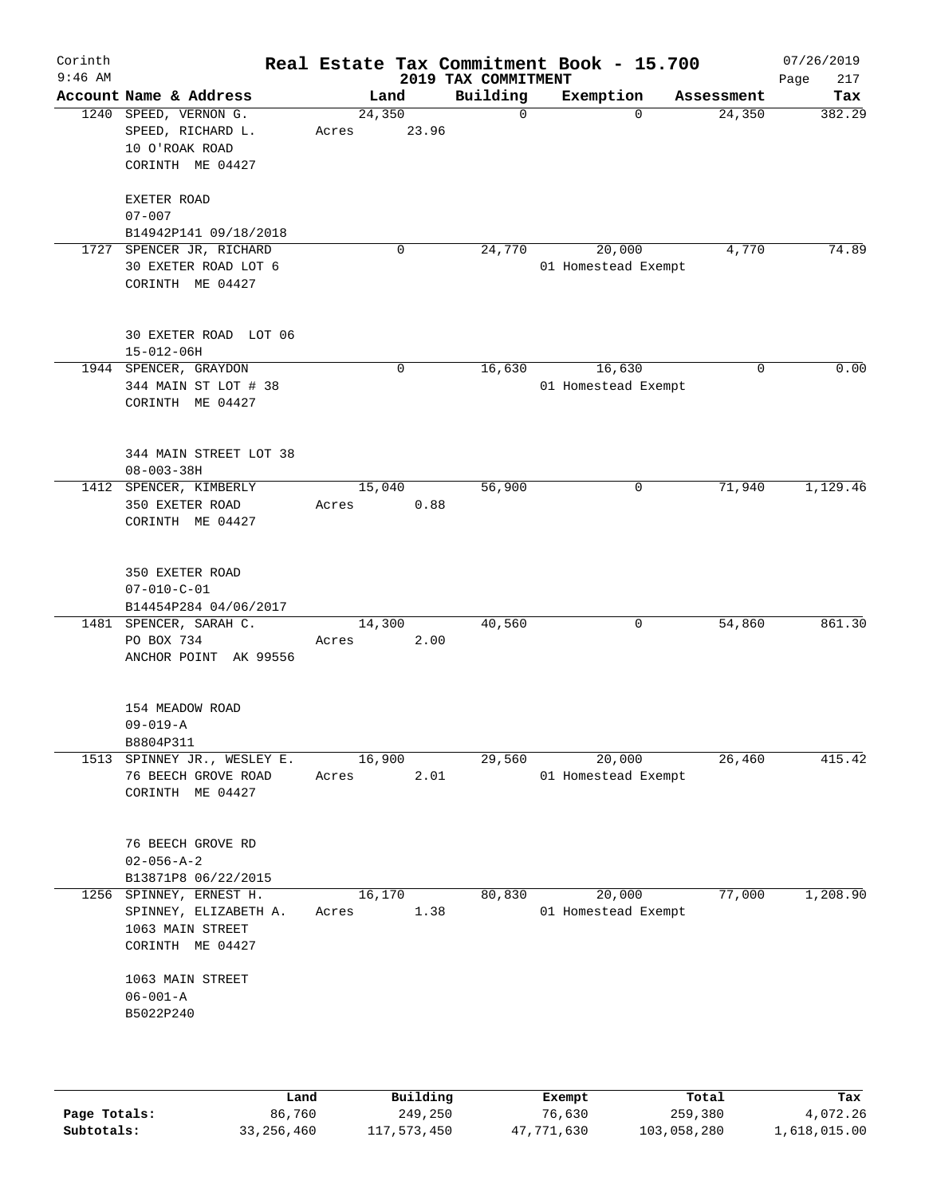| Corinth<br>$9:46$ AM |                                                                                                 |                 |             | 2019 TAX COMMITMENT | Real Estate Tax Commitment Book - 15.700 |             | 07/26/2019<br>217<br>Page |
|----------------------|-------------------------------------------------------------------------------------------------|-----------------|-------------|---------------------|------------------------------------------|-------------|---------------------------|
|                      | Account Name & Address                                                                          | Land            |             | Building            | Exemption                                | Assessment  | Tax                       |
|                      | 1240 SPEED, VERNON G.<br>SPEED, RICHARD L.<br>10 O'ROAK ROAD<br>CORINTH ME 04427<br>EXETER ROAD | 24,350<br>Acres | 23.96       | $\mathbf 0$         | 0                                        | 24,350      | 382.29                    |
|                      | $07 - 007$                                                                                      |                 |             |                     |                                          |             |                           |
| 1727                 | B14942P141 09/18/2018<br>SPENCER JR, RICHARD                                                    |                 | 0           | 24,770              | 20,000                                   | 4,770       | 74.89                     |
|                      | 30 EXETER ROAD LOT 6<br>CORINTH ME 04427                                                        |                 |             |                     | 01 Homestead Exempt                      |             |                           |
|                      | 30 EXETER ROAD LOT 06<br>$15 - 012 - 06H$                                                       |                 |             |                     |                                          |             |                           |
|                      | 1944 SPENCER, GRAYDON                                                                           |                 | $\mathbf 0$ | 16,630              | 16,630                                   | $\mathbf 0$ | 0.00                      |
|                      | 344 MAIN ST LOT # 38<br>CORINTH ME 04427                                                        |                 |             |                     | 01 Homestead Exempt                      |             |                           |
|                      | 344 MAIN STREET LOT 38<br>$08 - 003 - 38H$                                                      |                 |             |                     |                                          |             |                           |
|                      | 1412 SPENCER, KIMBERLY                                                                          | 15,040          |             | 56,900              | 0                                        | 71,940      | 1,129.46                  |
|                      | 350 EXETER ROAD<br>CORINTH ME 04427                                                             | Acres           | 0.88        |                     |                                          |             |                           |
|                      | 350 EXETER ROAD<br>$07 - 010 - C - 01$<br>B14454P284 04/06/2017                                 |                 |             |                     |                                          |             |                           |
|                      | 1481 SPENCER, SARAH C.<br>PO BOX 734<br>ANCHOR POINT AK 99556                                   | 14,300<br>Acres | 2.00        | 40,560              | 0                                        | 54,860      | 861.30                    |
|                      | 154 MEADOW ROAD<br>$09 - 019 - A$<br>B8804P311                                                  |                 |             |                     |                                          |             |                           |
|                      | 1513 SPINNEY JR., WESLEY E.<br>76 BEECH GROVE ROAD<br>CORINTH ME 04427                          | 16,900<br>Acres | 2.01        | 29,560              | 20,000<br>01 Homestead Exempt            | 26,460      | 415.42                    |
|                      | 76 BEECH GROVE RD<br>$02 - 056 - A - 2$                                                         |                 |             |                     |                                          |             |                           |
|                      | B13871P8 06/22/2015<br>1256 SPINNEY, ERNEST H.                                                  | 16,170          |             | 80,830              | 20,000                                   | 77,000      | 1,208.90                  |
|                      | SPINNEY, ELIZABETH A.<br>1063 MAIN STREET<br>CORINTH ME 04427                                   | Acres           | 1.38        |                     | 01 Homestead Exempt                      |             |                           |
|                      | 1063 MAIN STREET<br>$06 - 001 - A$<br>B5022P240                                                 |                 |             |                     |                                          |             |                           |
|                      | Land                                                                                            |                 | Building    |                     | Exempt                                   | Total       | Tax                       |

|              | Land         | Building    | Exempt     | Total       | Tax          |
|--------------|--------------|-------------|------------|-------------|--------------|
| Page Totals: | 86,760       | 249,250     | 76,630     | 259,380     | 4,072.26     |
| Subtotals:   | 33, 256, 460 | 117,573,450 | 47,771,630 | 103,058,280 | 1,618,015.00 |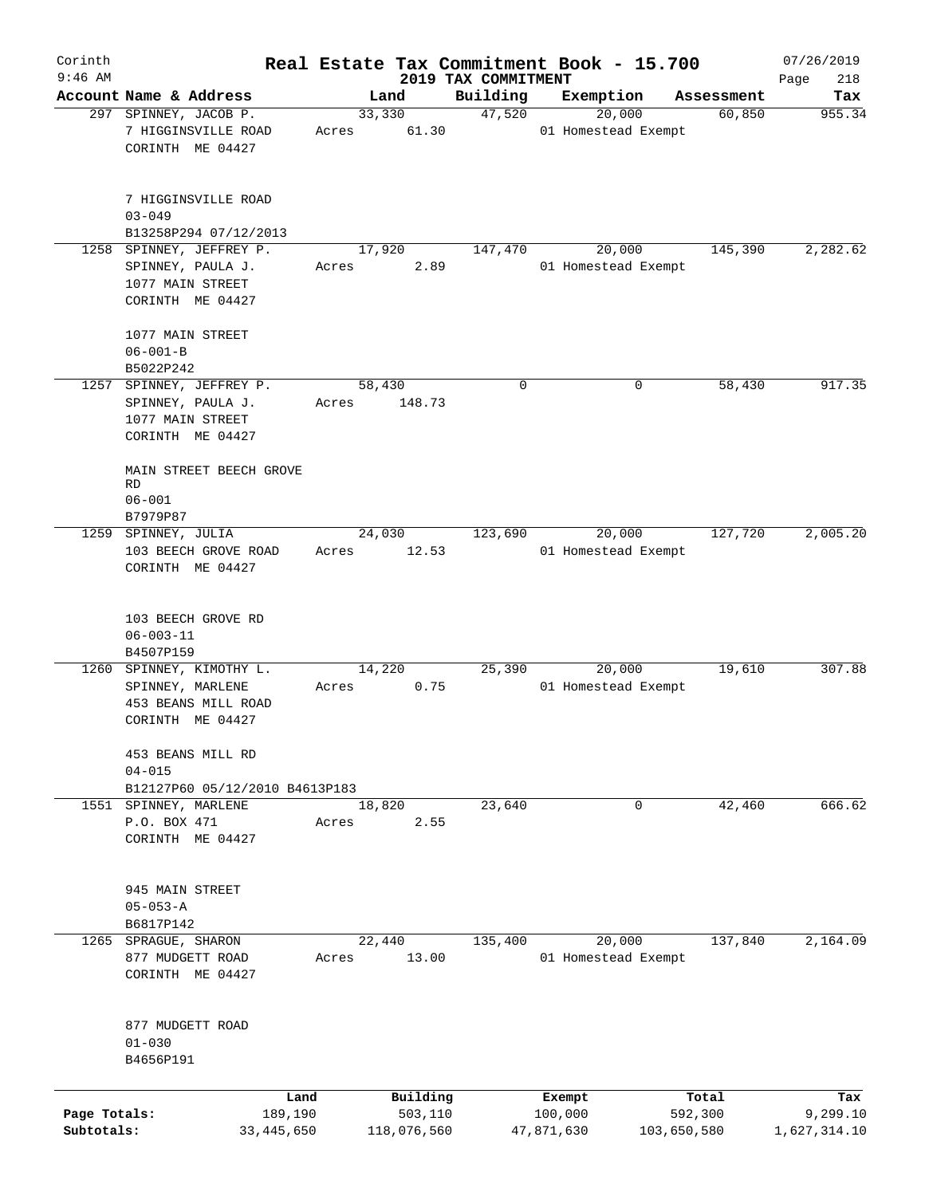| Corinth                    |                                                                                                                               |                 |                        |                     | Real Estate Tax Commitment Book - 15.700 |                        | 07/26/2019               |
|----------------------------|-------------------------------------------------------------------------------------------------------------------------------|-----------------|------------------------|---------------------|------------------------------------------|------------------------|--------------------------|
| $9:46$ AM                  | Account Name & Address                                                                                                        |                 |                        | 2019 TAX COMMITMENT |                                          |                        | Page<br>218              |
|                            | 297 SPINNEY, JACOB P.                                                                                                         | 33,330          | Land                   | Building<br>47,520  | Exemption<br>20,000                      | Assessment<br>60,850   | Tax<br>955.34            |
|                            | 7 HIGGINSVILLE ROAD<br>CORINTH ME 04427                                                                                       | Acres           | 61.30                  |                     | 01 Homestead Exempt                      |                        |                          |
|                            | 7 HIGGINSVILLE ROAD<br>$03 - 049$                                                                                             |                 |                        |                     |                                          |                        |                          |
|                            | B13258P294 07/12/2013                                                                                                         |                 |                        |                     |                                          |                        |                          |
|                            | 1258 SPINNEY, JEFFREY P.<br>SPINNEY, PAULA J.<br>1077 MAIN STREET<br>CORINTH ME 04427<br>1077 MAIN STREET<br>$06 - 001 - B$   | 17,920<br>Acres | 2.89                   | 147,470             | 20,000<br>01 Homestead Exempt            | 145,390                | 2,282.62                 |
|                            | B5022P242                                                                                                                     |                 |                        |                     |                                          |                        |                          |
|                            | 1257 SPINNEY, JEFFREY P.<br>SPINNEY, PAULA J.<br>1077 MAIN STREET<br>CORINTH ME 04427<br>MAIN STREET BEECH GROVE<br><b>RD</b> | 58,430<br>Acres | 148.73                 | $\mathbf 0$         | 0                                        | 58,430                 | 917.35                   |
|                            | $06 - 001$                                                                                                                    |                 |                        |                     |                                          |                        |                          |
|                            | B7979P87<br>1259 SPINNEY, JULIA<br>103 BEECH GROVE ROAD<br>CORINTH ME 04427                                                   | Acres           | 24,030<br>12.53        | 123,690             | 20,000<br>01 Homestead Exempt            | 127,720                | 2,005.20                 |
|                            | 103 BEECH GROVE RD<br>$06 - 003 - 11$<br>B4507P159                                                                            |                 |                        |                     |                                          |                        |                          |
|                            | 1260 SPINNEY, KIMOTHY L.<br>SPINNEY, MARLENE<br>453 BEANS MILL ROAD<br>CORINTH ME 04427                                       | 14,220<br>Acres | 0.75                   | 25,390              | 20,000<br>01 Homestead Exempt            | 19,610                 | 307.88                   |
|                            | 453 BEANS MILL RD<br>$04 - 015$<br>B12127P60 05/12/2010 B4613P183                                                             |                 |                        |                     |                                          |                        |                          |
|                            | 1551 SPINNEY, MARLENE<br>P.O. BOX 471<br>CORINTH ME 04427                                                                     | 18,820<br>Acres | 2.55                   | 23,640              | 0                                        | 42,460                 | 666.62                   |
|                            | 945 MAIN STREET<br>$05 - 053 - A$<br>B6817P142                                                                                |                 |                        |                     |                                          |                        |                          |
|                            | 1265 SPRAGUE, SHARON<br>877 MUDGETT ROAD<br>CORINTH ME 04427                                                                  | 22,440<br>Acres | 13.00                  | 135,400             | 20,000<br>01 Homestead Exempt            | 137,840                | 2,164.09                 |
|                            | 877 MUDGETT ROAD<br>$01 - 030$<br>B4656P191                                                                                   |                 |                        |                     |                                          |                        |                          |
|                            |                                                                                                                               | Land            | Building               |                     | Exempt                                   | Total                  | Tax                      |
| Page Totals:<br>Subtotals: | 189,190<br>33, 445, 650                                                                                                       |                 | 503,110<br>118,076,560 |                     | 100,000<br>47,871,630                    | 592,300<br>103,650,580 | 9,299.10<br>1,627,314.10 |
|                            |                                                                                                                               |                 |                        |                     |                                          |                        |                          |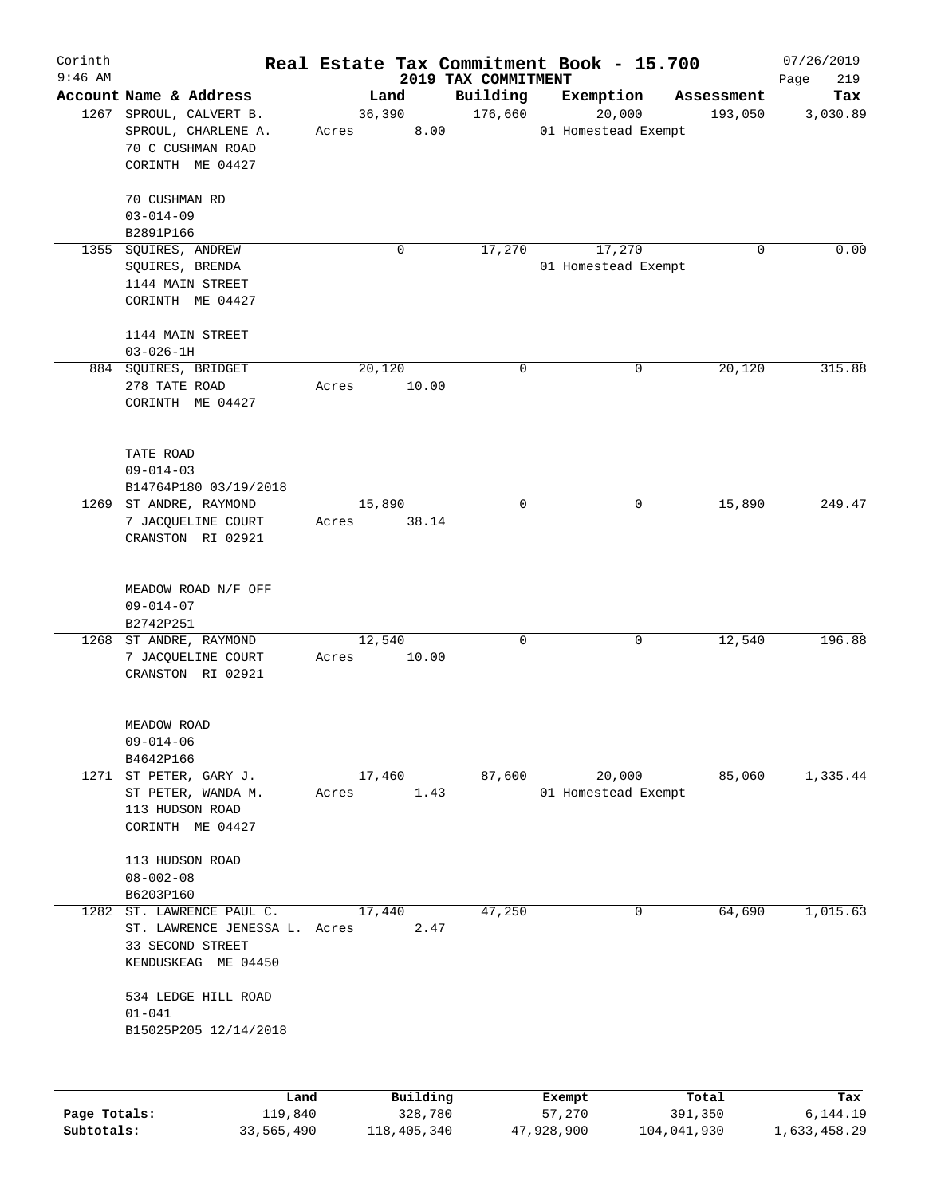| Corinth      |                                     |       |          |                                 | Real Estate Tax Commitment Book - 15.700 |            | 07/26/2019         |
|--------------|-------------------------------------|-------|----------|---------------------------------|------------------------------------------|------------|--------------------|
| $9:46$ AM    | Account Name & Address              |       | Land     | 2019 TAX COMMITMENT<br>Building | Exemption                                | Assessment | 219<br>Page<br>Tax |
| 1267         | SPROUL, CALVERT B.                  |       | 36,390   | 176,660                         | 20,000                                   | 193,050    | 3,030.89           |
|              | SPROUL, CHARLENE A.                 | Acres | 8.00     |                                 | 01 Homestead Exempt                      |            |                    |
|              | 70 C CUSHMAN ROAD                   |       |          |                                 |                                          |            |                    |
|              | CORINTH ME 04427                    |       |          |                                 |                                          |            |                    |
|              | 70 CUSHMAN RD                       |       |          |                                 |                                          |            |                    |
|              | $03 - 014 - 09$                     |       |          |                                 |                                          |            |                    |
|              | B2891P166                           |       |          |                                 |                                          |            |                    |
| 1355         | SQUIRES, ANDREW                     |       | 0        | 17,270                          | 17,270                                   | 0          | 0.00               |
|              | SQUIRES, BRENDA                     |       |          |                                 | 01 Homestead Exempt                      |            |                    |
|              | 1144 MAIN STREET                    |       |          |                                 |                                          |            |                    |
|              | CORINTH ME 04427                    |       |          |                                 |                                          |            |                    |
|              | 1144 MAIN STREET                    |       |          |                                 |                                          |            |                    |
|              | $03 - 026 - 1H$                     |       |          |                                 |                                          |            |                    |
|              | 884 SQUIRES, BRIDGET                |       | 20,120   | $\mathbf 0$                     | 0                                        | 20,120     | 315.88             |
|              | 278 TATE ROAD                       | Acres | 10.00    |                                 |                                          |            |                    |
|              | CORINTH ME 04427                    |       |          |                                 |                                          |            |                    |
|              |                                     |       |          |                                 |                                          |            |                    |
|              | TATE ROAD                           |       |          |                                 |                                          |            |                    |
|              | $09 - 014 - 03$                     |       |          |                                 |                                          |            |                    |
|              | B14764P180 03/19/2018               |       |          |                                 |                                          |            |                    |
|              | 1269 ST ANDRE, RAYMOND              |       | 15,890   | $\mathbf 0$                     | 0                                        | 15,890     | 249.47             |
|              | 7 JACQUELINE COURT                  | Acres | 38.14    |                                 |                                          |            |                    |
|              | CRANSTON RI 02921                   |       |          |                                 |                                          |            |                    |
|              |                                     |       |          |                                 |                                          |            |                    |
|              | MEADOW ROAD N/F OFF                 |       |          |                                 |                                          |            |                    |
|              | $09 - 014 - 07$                     |       |          |                                 |                                          |            |                    |
|              | B2742P251                           |       |          |                                 |                                          |            |                    |
|              | 1268 ST ANDRE, RAYMOND              |       | 12,540   | $\mathbf 0$                     | 0                                        | 12,540     | 196.88             |
|              | 7 JACQUELINE COURT                  | Acres | 10.00    |                                 |                                          |            |                    |
|              | CRANSTON RI 02921                   |       |          |                                 |                                          |            |                    |
|              |                                     |       |          |                                 |                                          |            |                    |
|              | MEADOW ROAD                         |       |          |                                 |                                          |            |                    |
|              | $09 - 014 - 06$<br>B4642P166        |       |          |                                 |                                          |            |                    |
|              | 1271 ST PETER, GARY J.              |       | 17,460   | 87,600                          | 20,000                                   | 85,060     | 1,335.44           |
|              | ST PETER, WANDA M.                  |       |          |                                 | 01 Homestead Exempt                      |            |                    |
|              |                                     | Acres | 1.43     |                                 |                                          |            |                    |
|              | 113 HUDSON ROAD<br>CORINTH ME 04427 |       |          |                                 |                                          |            |                    |
|              | 113 HUDSON ROAD                     |       |          |                                 |                                          |            |                    |
|              | $08 - 002 - 08$                     |       |          |                                 |                                          |            |                    |
|              | B6203P160                           |       |          |                                 |                                          |            |                    |
| 1282         | ST. LAWRENCE PAUL C.                |       | 17,440   | 47,250                          | 0                                        | 64,690     | 1,015.63           |
|              | ST. LAWRENCE JENESSA L. Acres       |       |          |                                 |                                          |            |                    |
|              |                                     |       | 2.47     |                                 |                                          |            |                    |
|              | 33 SECOND STREET                    |       |          |                                 |                                          |            |                    |
|              | KENDUSKEAG ME 04450                 |       |          |                                 |                                          |            |                    |
|              | 534 LEDGE HILL ROAD                 |       |          |                                 |                                          |            |                    |
|              | $01 - 041$                          |       |          |                                 |                                          |            |                    |
|              | B15025P205 12/14/2018               |       |          |                                 |                                          |            |                    |
|              |                                     |       |          |                                 |                                          |            |                    |
|              | Land                                |       | Building |                                 | Exempt                                   | Total      | Tax                |
| Page Totals: | 119,840                             |       | 328,780  |                                 | 57,270                                   | 391,350    | 6,144.19           |

**Subtotals:** 33,565,490 118,405,340 47,928,900 104,041,930 1,633,458.29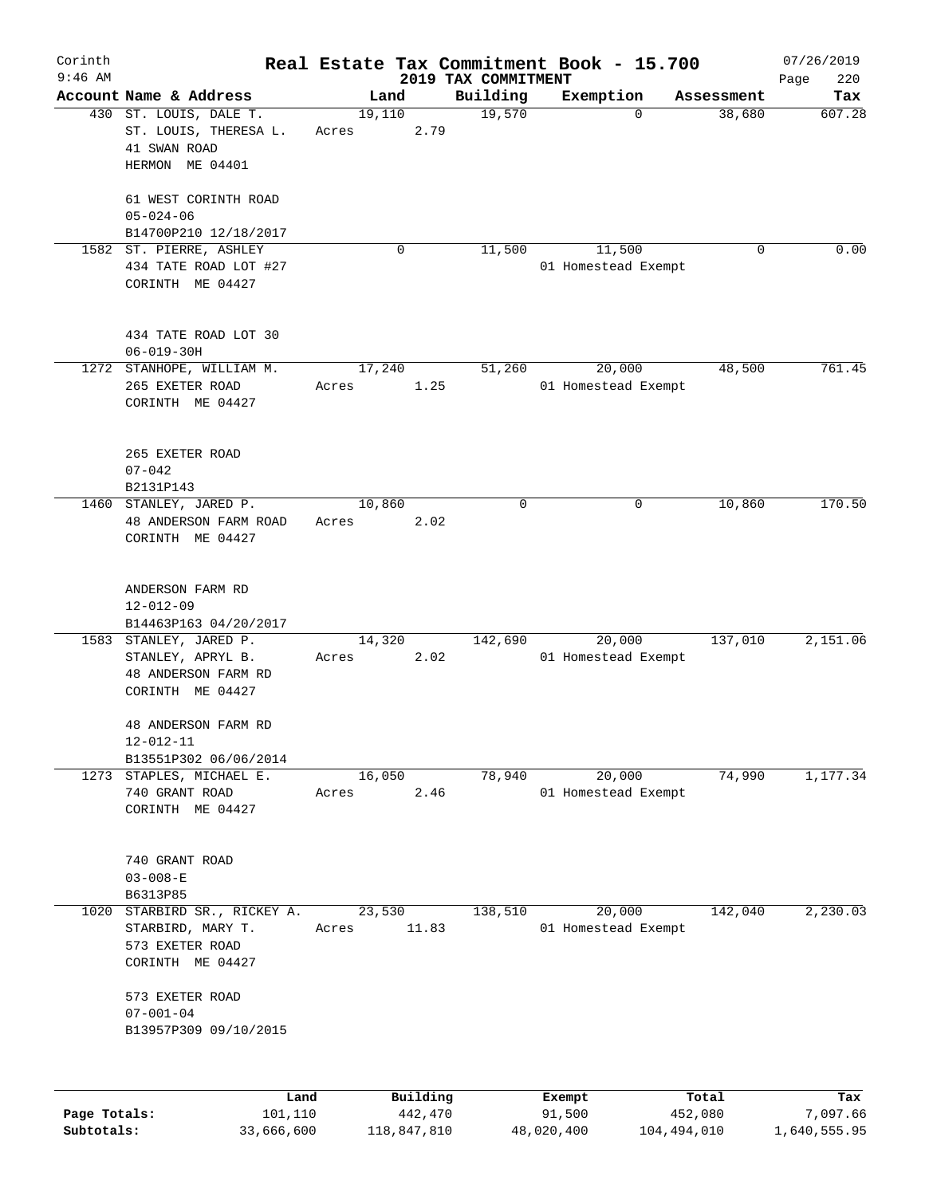| Corinth      |                                                                                        |                 |          |                                 | Real Estate Tax Commitment Book - 15.700 |            | 07/26/2019         |
|--------------|----------------------------------------------------------------------------------------|-----------------|----------|---------------------------------|------------------------------------------|------------|--------------------|
| $9:46$ AM    | Account Name & Address                                                                 | Land            |          | 2019 TAX COMMITMENT<br>Building | Exemption                                | Assessment | Page<br>220<br>Tax |
|              | 430 ST. LOUIS, DALE T.<br>ST. LOUIS, THERESA L.<br>41 SWAN ROAD<br>HERMON ME 04401     | 19,110<br>Acres | 2.79     | 19,570                          | 0                                        | 38,680     | 607.28             |
|              | 61 WEST CORINTH ROAD<br>$05 - 024 - 06$<br>B14700P210 12/18/2017                       |                 |          |                                 |                                          |            |                    |
|              | 1582 ST. PIERRE, ASHLEY<br>434 TATE ROAD LOT #27<br>CORINTH ME 04427                   |                 | 0        | 11,500                          | 11,500<br>01 Homestead Exempt            | 0          | 0.00               |
|              | 434 TATE ROAD LOT 30<br>$06 - 019 - 30H$                                               |                 |          |                                 |                                          |            |                    |
|              | 1272 STANHOPE, WILLIAM M.<br>265 EXETER ROAD<br>CORINTH ME 04427                       | 17,240<br>Acres | 1.25     | 51,260                          | 20,000<br>01 Homestead Exempt            | 48,500     | 761.45             |
|              | 265 EXETER ROAD<br>$07 - 042$<br>B2131P143                                             |                 |          |                                 |                                          |            |                    |
|              | 1460 STANLEY, JARED P.<br>48 ANDERSON FARM ROAD<br>CORINTH ME 04427                    | 10,860<br>Acres | 2.02     | 0                               | 0                                        | 10,860     | 170.50             |
|              | ANDERSON FARM RD<br>$12 - 012 - 09$<br>B14463P163 04/20/2017                           |                 |          |                                 |                                          |            |                    |
|              | 1583 STANLEY, JARED P.<br>STANLEY, APRYL B.<br>48 ANDERSON FARM RD<br>CORINTH ME 04427 | 14,320<br>Acres | 2.02     | 142,690                         | 20,000<br>01 Homestead Exempt            | 137,010    | 2,151.06           |
|              | 48 ANDERSON FARM RD<br>$12 - 012 - 11$<br>B13551P302 06/06/2014                        |                 |          |                                 |                                          |            |                    |
|              | 1273 STAPLES, MICHAEL E.<br>740 GRANT ROAD<br>CORINTH ME 04427                         | 16,050<br>Acres | 2.46     | 78,940                          | 20,000<br>01 Homestead Exempt            | 74,990     | 1,177.34           |
|              | 740 GRANT ROAD<br>$03 - 008 - E$<br>B6313P85                                           |                 |          |                                 |                                          |            |                    |
| 1020         | STARBIRD SR., RICKEY A.<br>STARBIRD, MARY T.<br>573 EXETER ROAD<br>CORINTH ME 04427    | 23,530<br>Acres | 11.83    | 138,510                         | 20,000<br>01 Homestead Exempt            | 142,040    | 2,230.03           |
|              | 573 EXETER ROAD<br>$07 - 001 - 04$<br>B13957P309 09/10/2015                            |                 |          |                                 |                                          |            |                    |
|              | Land                                                                                   |                 | Building |                                 | Exempt                                   | Total      | Tax                |
| Page Totals: | 101,110                                                                                |                 | 442,470  |                                 | 91,500                                   | 452,080    | 7,097.66           |

**Subtotals:** 33,666,600 118,847,810 48,020,400 104,494,010 1,640,555.95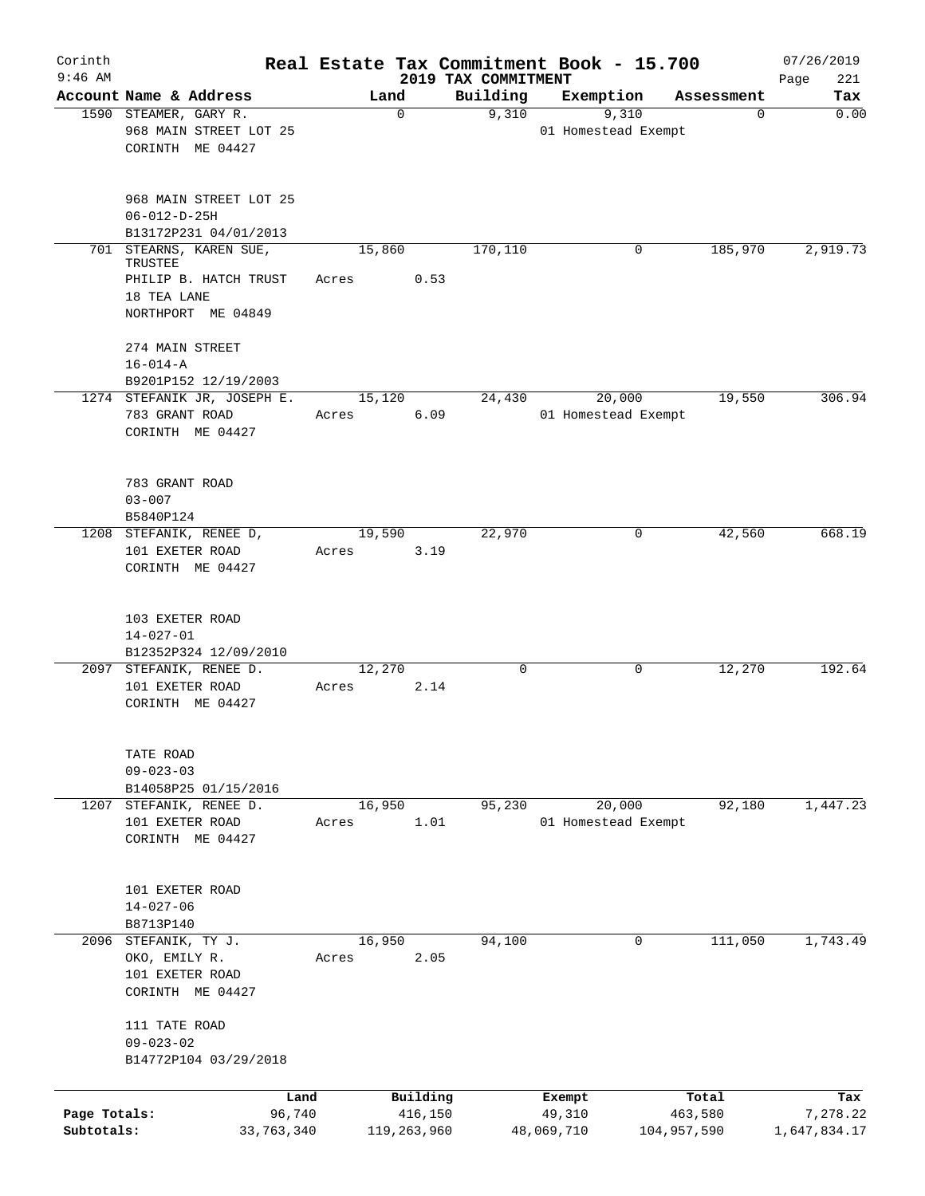| Corinth                    |                                                                                                  |                 |                        |                                 | Real Estate Tax Commitment Book - 15.700 |                        |            | 07/26/2019               |
|----------------------------|--------------------------------------------------------------------------------------------------|-----------------|------------------------|---------------------------------|------------------------------------------|------------------------|------------|--------------------------|
| $9:46$ AM                  | Account Name & Address                                                                           | Land            |                        | 2019 TAX COMMITMENT<br>Building | Exemption                                |                        | Assessment | 221<br>Page<br>Tax       |
|                            | 1590 STEAMER, GARY R.                                                                            |                 | 0                      | 9,310                           | 9,310                                    |                        | 0          | 0.00                     |
|                            | 968 MAIN STREET LOT 25<br>CORINTH ME 04427                                                       |                 |                        |                                 | 01 Homestead Exempt                      |                        |            |                          |
|                            | 968 MAIN STREET LOT 25<br>$06 - 012 - D - 25H$                                                   |                 |                        |                                 |                                          |                        |            |                          |
|                            | B13172P231 04/01/2013                                                                            |                 |                        |                                 |                                          |                        |            |                          |
|                            | 701 STEARNS, KAREN SUE,<br>TRUSTEE<br>PHILIP B. HATCH TRUST<br>18 TEA LANE<br>NORTHPORT ME 04849 | 15,860<br>Acres | 0.53                   | 170,110                         |                                          | 0                      | 185,970    | 2,919.73                 |
|                            | 274 MAIN STREET<br>$16 - 014 - A$<br>B9201P152 12/19/2003                                        |                 |                        |                                 |                                          |                        |            |                          |
|                            | 1274 STEFANIK JR, JOSEPH E.<br>783 GRANT ROAD<br>CORINTH ME 04427                                | 15,120<br>Acres | 6.09                   | 24,430                          | 20,000<br>01 Homestead Exempt            |                        | 19,550     | 306.94                   |
|                            | 783 GRANT ROAD<br>$03 - 007$<br>B5840P124                                                        |                 |                        |                                 |                                          |                        |            |                          |
|                            | 1208 STEFANIK, RENEE D,<br>101 EXETER ROAD<br>CORINTH ME 04427                                   | 19,590<br>Acres | 3.19                   | 22,970                          |                                          | 0                      | 42,560     | 668.19                   |
|                            | 103 EXETER ROAD<br>$14 - 027 - 01$<br>B12352P324 12/09/2010                                      |                 |                        |                                 |                                          |                        |            |                          |
|                            | 2097 STEFANIK, RENEE D.<br>101 EXETER ROAD<br>CORINTH ME 04427                                   | 12,270<br>Acres | 2.14                   | $\mathbf 0$                     |                                          | 0                      | 12,270     | 192.64                   |
|                            | TATE ROAD<br>$09 - 023 - 03$<br>B14058P25 01/15/2016                                             |                 |                        |                                 |                                          |                        |            |                          |
|                            | 1207 STEFANIK, RENEE D.<br>101 EXETER ROAD<br>CORINTH ME 04427                                   | 16,950<br>Acres | 1.01                   | 95,230                          | 20,000<br>01 Homestead Exempt            |                        | 92,180     | 1,447.23                 |
|                            | 101 EXETER ROAD<br>$14 - 027 - 06$<br>B8713P140                                                  |                 |                        |                                 |                                          |                        |            |                          |
|                            | 2096 STEFANIK, TY J.<br>OKO, EMILY R.<br>101 EXETER ROAD<br>CORINTH ME 04427                     | 16,950<br>Acres | 2.05                   | 94,100                          |                                          | 0                      | 111,050    | 1,743.49                 |
|                            | 111 TATE ROAD<br>$09 - 023 - 02$<br>B14772P104 03/29/2018                                        |                 |                        |                                 |                                          |                        |            |                          |
|                            | Land                                                                                             |                 | Building               |                                 | Exempt                                   | Total                  |            | Tax                      |
| Page Totals:<br>Subtotals: | 96,740<br>33,763,340                                                                             |                 | 416,150<br>119,263,960 |                                 | 49,310<br>48,069,710                     | 463,580<br>104,957,590 |            | 7,278.22<br>1,647,834.17 |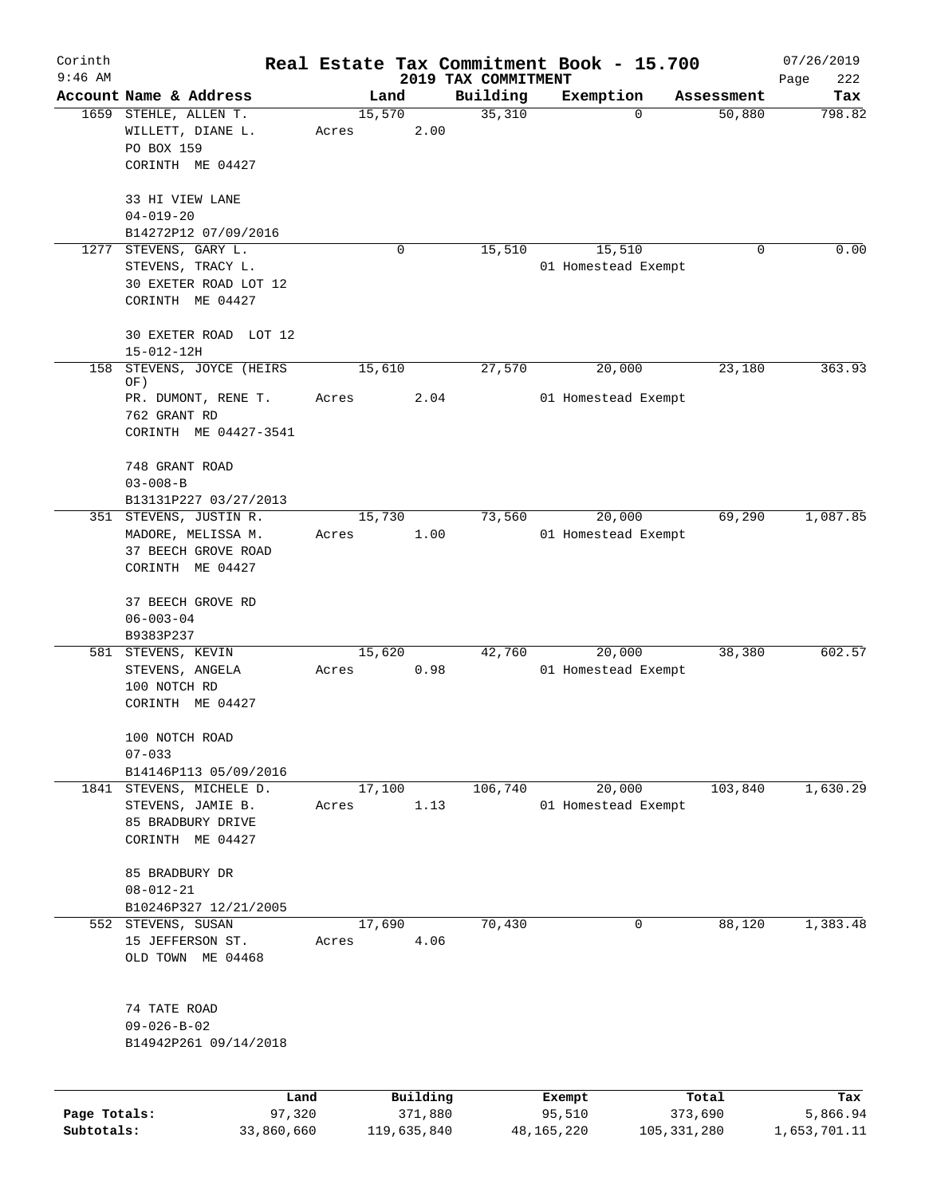| Corinth      |                                         |       |             |                                 | Real Estate Tax Commitment Book - 15.700 |                      | 07/26/2019    |
|--------------|-----------------------------------------|-------|-------------|---------------------------------|------------------------------------------|----------------------|---------------|
| $9:46$ AM    | Account Name & Address                  |       | Land        | 2019 TAX COMMITMENT<br>Building |                                          |                      | Page<br>222   |
|              | 1659 STEHLE, ALLEN T.                   |       | 15,570      | 35,310                          | Exemption<br>$\Omega$                    | Assessment<br>50,880 | Tax<br>798.82 |
|              | WILLETT, DIANE L.<br>PO BOX 159         | Acres | 2.00        |                                 |                                          |                      |               |
|              | CORINTH ME 04427                        |       |             |                                 |                                          |                      |               |
|              | 33 HI VIEW LANE<br>$04 - 019 - 20$      |       |             |                                 |                                          |                      |               |
|              | B14272P12 07/09/2016                    |       |             |                                 |                                          |                      |               |
|              | 1277 STEVENS, GARY L.                   |       | 0           | 15,510                          | 15,510                                   | $\Omega$             | 0.00          |
|              | STEVENS, TRACY L.                       |       |             |                                 | 01 Homestead Exempt                      |                      |               |
|              | 30 EXETER ROAD LOT 12                   |       |             |                                 |                                          |                      |               |
|              | CORINTH ME 04427                        |       |             |                                 |                                          |                      |               |
|              | 30 EXETER ROAD LOT 12                   |       |             |                                 |                                          |                      |               |
|              | 15-012-12H                              |       |             |                                 |                                          |                      |               |
| 158          | STEVENS, JOYCE (HEIRS<br>OF)            |       | 15,610      | 27,570                          | 20,000                                   | 23,180               | 363.93        |
|              | PR. DUMONT, RENE T.                     | Acres | 2.04        |                                 | 01 Homestead Exempt                      |                      |               |
|              | 762 GRANT RD                            |       |             |                                 |                                          |                      |               |
|              | CORINTH ME 04427-3541                   |       |             |                                 |                                          |                      |               |
|              | 748 GRANT ROAD                          |       |             |                                 |                                          |                      |               |
|              | $03 - 008 - B$                          |       |             |                                 |                                          |                      |               |
|              | B13131P227 03/27/2013                   |       |             |                                 |                                          |                      |               |
|              | 351 STEVENS, JUSTIN R.                  |       | 15,730      | 73,560                          | 20,000                                   | 69,290               | 1,087.85      |
|              | MADORE, MELISSA M.                      | Acres | 1.00        |                                 | 01 Homestead Exempt                      |                      |               |
|              | 37 BEECH GROVE ROAD<br>CORINTH ME 04427 |       |             |                                 |                                          |                      |               |
|              |                                         |       |             |                                 |                                          |                      |               |
|              | 37 BEECH GROVE RD                       |       |             |                                 |                                          |                      |               |
|              | $06 - 003 - 04$                         |       |             |                                 |                                          |                      |               |
|              | B9383P237                               |       |             |                                 |                                          |                      |               |
|              | 581 STEVENS, KEVIN                      |       | 15,620      | 42,760                          | 20,000                                   | 38,380               | 602.57        |
|              | STEVENS, ANGELA                         | Acres | 0.98        |                                 | 01 Homestead Exempt                      |                      |               |
|              | 100 NOTCH RD                            |       |             |                                 |                                          |                      |               |
|              | CORINTH ME 04427                        |       |             |                                 |                                          |                      |               |
|              | 100 NOTCH ROAD                          |       |             |                                 |                                          |                      |               |
|              | $07 - 033$                              |       |             |                                 |                                          |                      |               |
|              | B14146P113 05/09/2016                   |       |             |                                 |                                          |                      |               |
|              | 1841 STEVENS, MICHELE D.                |       | 17,100      | 106,740                         | 20,000                                   | 103,840              | 1,630.29      |
|              | STEVENS, JAMIE B.                       | Acres | 1.13        |                                 | 01 Homestead Exempt                      |                      |               |
|              | 85 BRADBURY DRIVE<br>CORINTH ME 04427   |       |             |                                 |                                          |                      |               |
|              |                                         |       |             |                                 |                                          |                      |               |
|              | 85 BRADBURY DR                          |       |             |                                 |                                          |                      |               |
|              | $08 - 012 - 21$                         |       |             |                                 |                                          |                      |               |
|              | B10246P327 12/21/2005                   |       |             |                                 |                                          |                      |               |
|              | 552 STEVENS, SUSAN                      |       | 17,690      | 70,430                          | 0                                        | 88,120               | 1,383.48      |
|              | 15 JEFFERSON ST.                        | Acres | 4.06        |                                 |                                          |                      |               |
|              | OLD TOWN ME 04468                       |       |             |                                 |                                          |                      |               |
|              | 74 TATE ROAD                            |       |             |                                 |                                          |                      |               |
|              | $09 - 026 - B - 02$                     |       |             |                                 |                                          |                      |               |
|              | B14942P261 09/14/2018                   |       |             |                                 |                                          |                      |               |
|              |                                         |       |             |                                 |                                          |                      |               |
|              | Land                                    |       | Building    |                                 | Exempt                                   | Total                | Tax           |
| Page Totals: | 97,320                                  |       | 371,880     |                                 | 95,510                                   | 373,690              | 5,866.94      |
| Subtotals:   | 33,860,660                              |       | 119,635,840 |                                 | 48, 165, 220                             | 105, 331, 280        | 1,653,701.11  |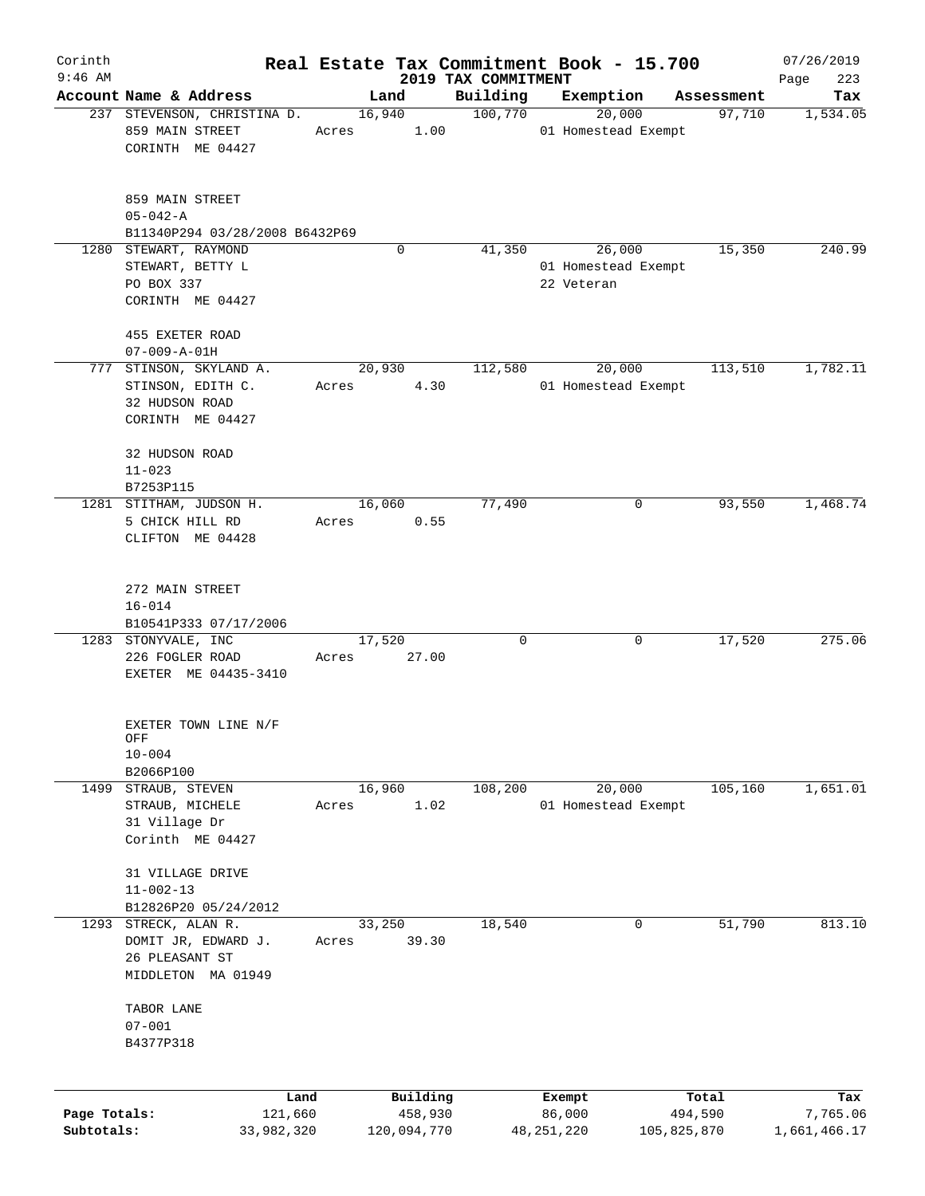| Corinth      |                                                  |                 |       |             |                     | Real Estate Tax Commitment Book - 15.700 |                     |        |                  | 07/26/2019         |
|--------------|--------------------------------------------------|-----------------|-------|-------------|---------------------|------------------------------------------|---------------------|--------|------------------|--------------------|
| $9:46$ AM    | Account Name & Address                           |                 |       | Land        |                     | 2019 TAX COMMITMENT<br>Building          | Exemption           |        | Assessment       | Page<br>223<br>Tax |
|              | 237 STEVENSON, CHRISTINA D.                      |                 |       | 16,940      |                     | 100,770                                  |                     | 20,000 | 97,710           | 1,534.05           |
|              | 859 MAIN STREET                                  |                 | Acres |             | 1.00                |                                          | 01 Homestead Exempt |        |                  |                    |
|              | CORINTH ME 04427                                 |                 |       |             |                     |                                          |                     |        |                  |                    |
|              |                                                  |                 |       |             |                     |                                          |                     |        |                  |                    |
|              | 859 MAIN STREET                                  |                 |       |             |                     |                                          |                     |        |                  |                    |
|              | $05 - 042 - A$<br>B11340P294 03/28/2008 B6432P69 |                 |       |             |                     |                                          |                     |        |                  |                    |
|              | 1280 STEWART, RAYMOND                            |                 |       | $\mathbf 0$ |                     | 41,350                                   |                     | 26,000 | 15,350           | 240.99             |
|              | STEWART, BETTY L                                 |                 |       |             |                     |                                          | 01 Homestead Exempt |        |                  |                    |
|              | PO BOX 337                                       |                 |       |             |                     |                                          | 22 Veteran          |        |                  |                    |
|              | CORINTH ME 04427                                 |                 |       |             |                     |                                          |                     |        |                  |                    |
|              | 455 EXETER ROAD                                  |                 |       |             |                     |                                          |                     |        |                  |                    |
|              | $07 - 009 - A - 01H$                             |                 |       |             |                     |                                          |                     |        |                  |                    |
|              | 777 STINSON, SKYLAND A.                          |                 |       | 20,930      |                     | 112,580                                  |                     | 20,000 | 113,510          | 1,782.11           |
|              | STINSON, EDITH C.                                |                 | Acres |             | 4.30                |                                          | 01 Homestead Exempt |        |                  |                    |
|              | 32 HUDSON ROAD                                   |                 |       |             |                     |                                          |                     |        |                  |                    |
|              | CORINTH ME 04427                                 |                 |       |             |                     |                                          |                     |        |                  |                    |
|              | 32 HUDSON ROAD                                   |                 |       |             |                     |                                          |                     |        |                  |                    |
|              | $11 - 023$                                       |                 |       |             |                     |                                          |                     |        |                  |                    |
|              | B7253P115                                        |                 |       |             |                     |                                          |                     |        |                  |                    |
|              | 1281 STITHAM, JUDSON H.                          |                 |       | 16,060      |                     | 77,490                                   |                     | 0      | 93,550           | 1,468.74           |
|              | 5 CHICK HILL RD                                  |                 | Acres |             | 0.55                |                                          |                     |        |                  |                    |
|              | CLIFTON ME 04428                                 |                 |       |             |                     |                                          |                     |        |                  |                    |
|              | 272 MAIN STREET                                  |                 |       |             |                     |                                          |                     |        |                  |                    |
|              | $16 - 014$                                       |                 |       |             |                     |                                          |                     |        |                  |                    |
|              | B10541P333 07/17/2006                            |                 |       |             |                     |                                          |                     |        |                  |                    |
|              | 1283 STONYVALE, INC                              |                 |       | 17,520      |                     | $\mathbf 0$                              |                     | 0      | 17,520           | 275.06             |
|              | 226 FOGLER ROAD                                  |                 | Acres |             | 27.00               |                                          |                     |        |                  |                    |
|              | EXETER ME 04435-3410                             |                 |       |             |                     |                                          |                     |        |                  |                    |
|              | EXETER TOWN LINE N/F                             |                 |       |             |                     |                                          |                     |        |                  |                    |
|              | ${\sf OFF}$                                      |                 |       |             |                     |                                          |                     |        |                  |                    |
|              | $10 - 004$                                       |                 |       |             |                     |                                          |                     |        |                  |                    |
|              | B2066P100                                        |                 |       |             |                     |                                          |                     |        |                  |                    |
| 1499         | STRAUB, STEVEN                                   |                 |       | 16,960      |                     | 108,200                                  |                     | 20,000 | 105,160          | 1,651.01           |
|              | STRAUB, MICHELE                                  |                 | Acres |             | 1.02                |                                          | 01 Homestead Exempt |        |                  |                    |
|              | 31 Village Dr                                    |                 |       |             |                     |                                          |                     |        |                  |                    |
|              | Corinth ME 04427                                 |                 |       |             |                     |                                          |                     |        |                  |                    |
|              | 31 VILLAGE DRIVE                                 |                 |       |             |                     |                                          |                     |        |                  |                    |
|              | $11 - 002 - 13$                                  |                 |       |             |                     |                                          |                     |        |                  |                    |
|              | B12826P20 05/24/2012                             |                 |       |             |                     |                                          |                     |        |                  |                    |
|              | 1293 STRECK, ALAN R.                             |                 |       | 33,250      |                     | 18,540                                   |                     | 0      | 51,790           | 813.10             |
|              | DOMIT JR, EDWARD J.                              |                 | Acres |             | 39.30               |                                          |                     |        |                  |                    |
|              | 26 PLEASANT ST                                   |                 |       |             |                     |                                          |                     |        |                  |                    |
|              | MIDDLETON MA 01949                               |                 |       |             |                     |                                          |                     |        |                  |                    |
|              | TABOR LANE                                       |                 |       |             |                     |                                          |                     |        |                  |                    |
|              | $07 - 001$                                       |                 |       |             |                     |                                          |                     |        |                  |                    |
|              | B4377P318                                        |                 |       |             |                     |                                          |                     |        |                  |                    |
|              |                                                  |                 |       |             |                     |                                          |                     |        |                  |                    |
| Page Totals: |                                                  | Land<br>121,660 |       |             | Building<br>458,930 |                                          | Exempt<br>86,000    |        | Total<br>494,590 | Tax<br>7,765.06    |
| Subtotals:   |                                                  |                 |       | 120,094,770 |                     |                                          |                     |        |                  | 1,661,466.17       |
|              |                                                  | 33,982,320      |       |             |                     |                                          | 48,251,220          |        | 105,825,870      |                    |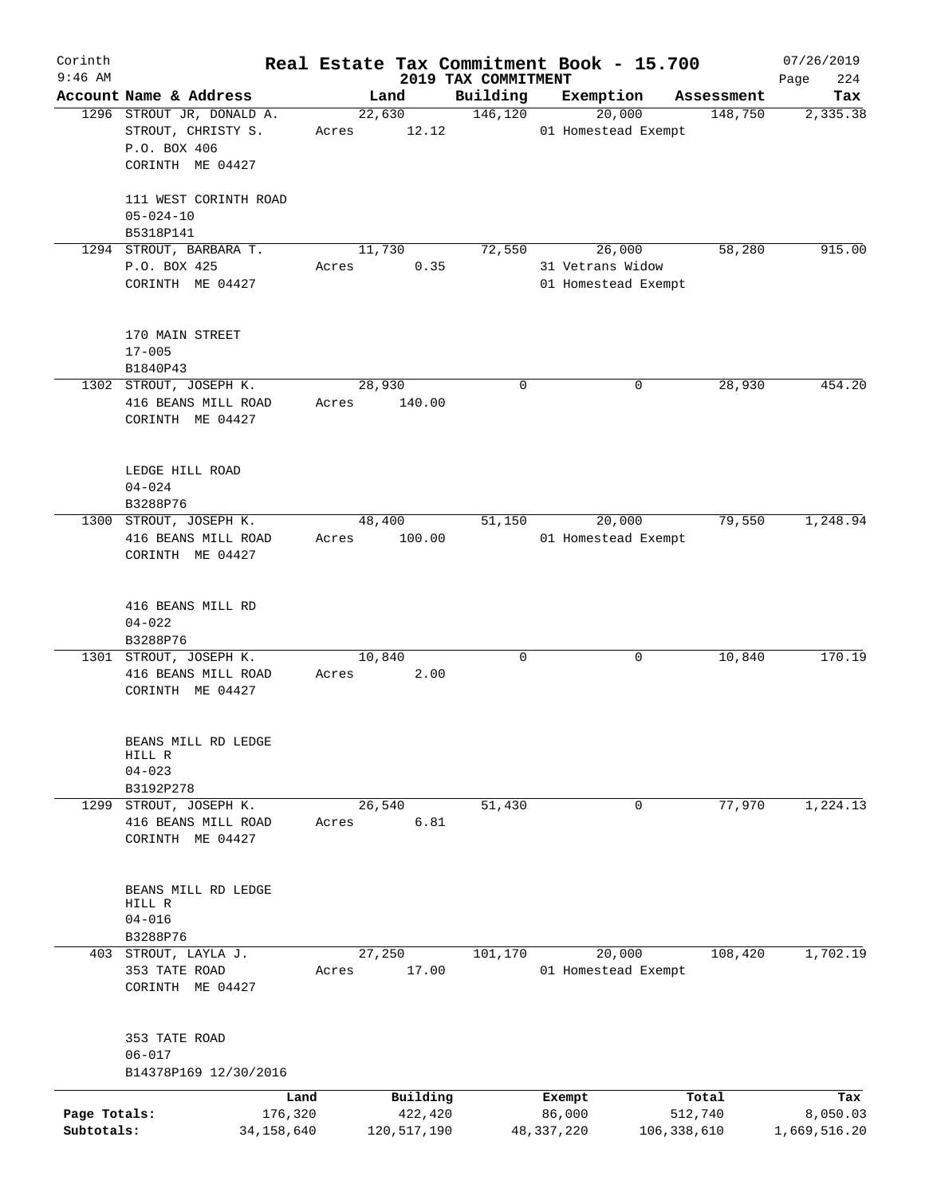| Corinth      |                               |       |             |                                 | Real Estate Tax Commitment Book - 15.700 |                       | 07/26/2019      |
|--------------|-------------------------------|-------|-------------|---------------------------------|------------------------------------------|-----------------------|-----------------|
| $9:46$ AM    | Account Name & Address        |       | Land        | 2019 TAX COMMITMENT<br>Building |                                          |                       | 224<br>Page     |
|              | 1296 STROUT JR, DONALD A.     |       | 22,630      | 146,120                         | Exemption<br>20,000                      | Assessment<br>148,750 | Tax<br>2,335.38 |
|              | STROUT, CHRISTY S.            | Acres | 12.12       |                                 | 01 Homestead Exempt                      |                       |                 |
|              | P.O. BOX 406                  |       |             |                                 |                                          |                       |                 |
|              | CORINTH ME 04427              |       |             |                                 |                                          |                       |                 |
|              |                               |       |             |                                 |                                          |                       |                 |
|              | 111 WEST CORINTH ROAD         |       |             |                                 |                                          |                       |                 |
|              | $05 - 024 - 10$               |       |             |                                 |                                          |                       |                 |
|              | B5318P141                     |       |             |                                 |                                          |                       |                 |
|              | 1294 STROUT, BARBARA T.       |       | 11,730      | 72,550                          | 26,000                                   | 58,280                | 915.00          |
|              | P.O. BOX 425                  | Acres | 0.35        |                                 | 31 Vetrans Widow                         |                       |                 |
|              | CORINTH ME 04427              |       |             |                                 | 01 Homestead Exempt                      |                       |                 |
|              |                               |       |             |                                 |                                          |                       |                 |
|              |                               |       |             |                                 |                                          |                       |                 |
|              | 170 MAIN STREET               |       |             |                                 |                                          |                       |                 |
|              | $17 - 005$                    |       |             |                                 |                                          |                       |                 |
|              | B1840P43                      |       |             |                                 |                                          |                       |                 |
|              | 1302 STROUT, JOSEPH K.        |       | 28,930      | $\mathbf 0$                     | 0                                        | 28,930                | 454.20          |
|              | 416 BEANS MILL ROAD           | Acres | 140.00      |                                 |                                          |                       |                 |
|              | CORINTH ME 04427              |       |             |                                 |                                          |                       |                 |
|              |                               |       |             |                                 |                                          |                       |                 |
|              |                               |       |             |                                 |                                          |                       |                 |
|              | LEDGE HILL ROAD               |       |             |                                 |                                          |                       |                 |
|              | $04 - 024$                    |       |             |                                 |                                          |                       |                 |
|              | B3288P76                      |       |             |                                 |                                          |                       |                 |
|              | 1300 STROUT, JOSEPH K.        |       | 48,400      | 51,150                          | 20,000                                   | 79,550                | 1,248.94        |
|              | 416 BEANS MILL ROAD           | Acres | 100.00      |                                 | 01 Homestead Exempt                      |                       |                 |
|              | CORINTH ME 04427              |       |             |                                 |                                          |                       |                 |
|              |                               |       |             |                                 |                                          |                       |                 |
|              | 416 BEANS MILL RD             |       |             |                                 |                                          |                       |                 |
|              | $04 - 022$                    |       |             |                                 |                                          |                       |                 |
|              | B3288P76                      |       |             |                                 |                                          |                       |                 |
|              | 1301 STROUT, JOSEPH K.        |       | 10,840      | $\mathbf 0$                     | 0                                        | 10,840                | 170.19          |
|              | 416 BEANS MILL ROAD           | Acres | 2.00        |                                 |                                          |                       |                 |
|              | CORINTH ME 04427              |       |             |                                 |                                          |                       |                 |
|              |                               |       |             |                                 |                                          |                       |                 |
|              |                               |       |             |                                 |                                          |                       |                 |
|              | BEANS MILL RD LEDGE           |       |             |                                 |                                          |                       |                 |
|              | HILL R                        |       |             |                                 |                                          |                       |                 |
|              | $04 - 023$                    |       |             |                                 |                                          |                       |                 |
|              | B3192P278                     |       |             |                                 |                                          |                       |                 |
| 1299         | STROUT, JOSEPH K.             |       | 26,540      | 51,430                          | 0                                        | 77,970                | 1,224.13        |
|              | 416 BEANS MILL ROAD           | Acres | 6.81        |                                 |                                          |                       |                 |
|              | CORINTH ME 04427              |       |             |                                 |                                          |                       |                 |
|              |                               |       |             |                                 |                                          |                       |                 |
|              |                               |       |             |                                 |                                          |                       |                 |
|              | BEANS MILL RD LEDGE<br>HILL R |       |             |                                 |                                          |                       |                 |
|              | $04 - 016$                    |       |             |                                 |                                          |                       |                 |
|              | B3288P76                      |       |             |                                 |                                          |                       |                 |
|              | 403 STROUT, LAYLA J.          |       | 27,250      | 101,170                         | 20,000                                   | 108,420               | 1,702.19        |
|              | 353 TATE ROAD                 | Acres | 17.00       |                                 | 01 Homestead Exempt                      |                       |                 |
|              | CORINTH ME 04427              |       |             |                                 |                                          |                       |                 |
|              |                               |       |             |                                 |                                          |                       |                 |
|              |                               |       |             |                                 |                                          |                       |                 |
|              | 353 TATE ROAD                 |       |             |                                 |                                          |                       |                 |
|              | $06 - 017$                    |       |             |                                 |                                          |                       |                 |
|              | B14378P169 12/30/2016         |       |             |                                 |                                          |                       |                 |
|              | Land                          |       | Building    |                                 | Exempt                                   | Total                 | Tax             |
| Page Totals: | 176,320                       |       | 422,420     |                                 | 86,000                                   | 512,740               | 8,050.03        |
| Subtotals:   | 34,158,640                    |       | 120,517,190 |                                 | 48,337,220                               | 106, 338, 610         | 1,669,516.20    |
|              |                               |       |             |                                 |                                          |                       |                 |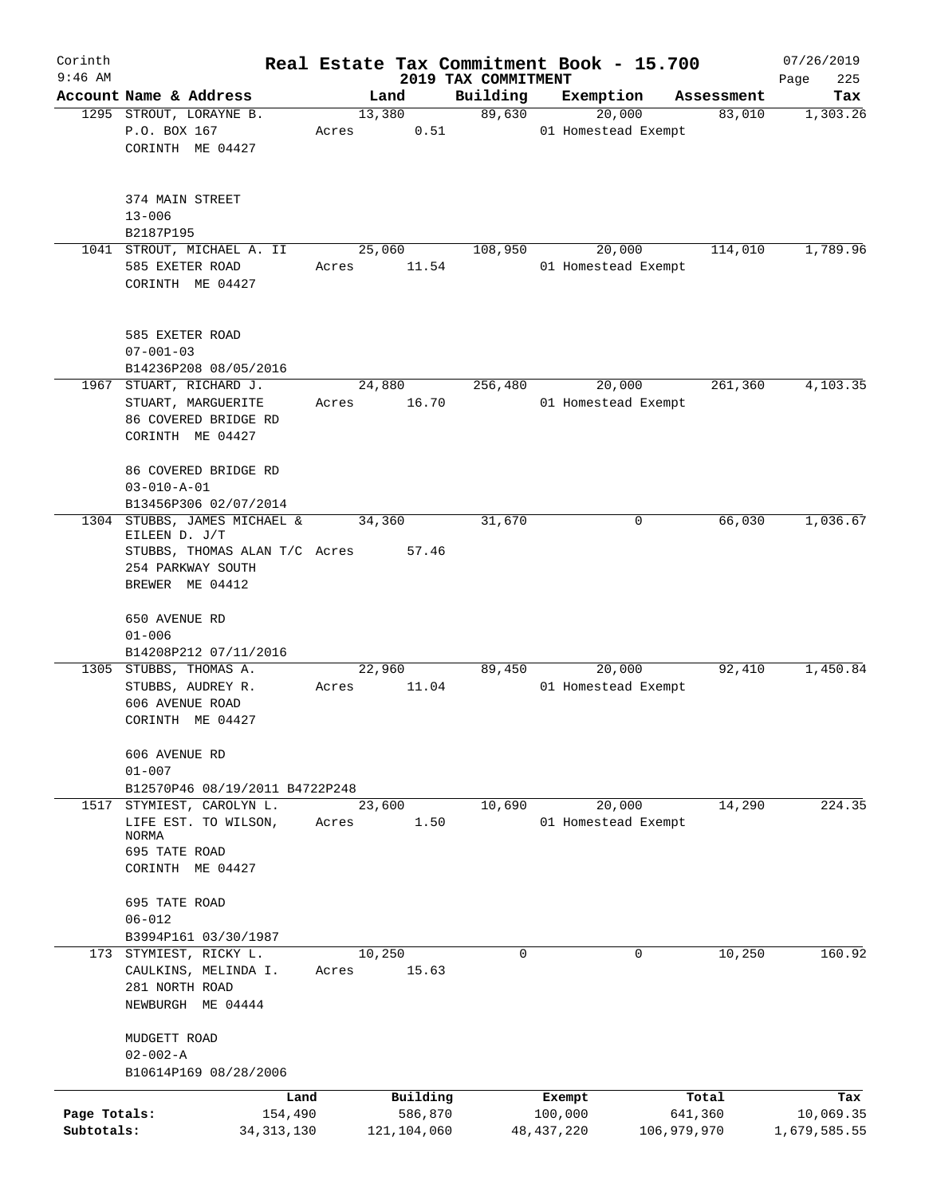| Corinth                    |                                                                                                                   |                 |                                      |                     | Real Estate Tax Commitment Book - 15.700 |             |                      | 07/26/2019                       |
|----------------------------|-------------------------------------------------------------------------------------------------------------------|-----------------|--------------------------------------|---------------------|------------------------------------------|-------------|----------------------|----------------------------------|
| $9:46$ AM                  |                                                                                                                   |                 |                                      | 2019 TAX COMMITMENT |                                          |             |                      | Page<br>225                      |
|                            | Account Name & Address<br>1295 STROUT, LORAYNE B.                                                                 | Land<br>13,380  |                                      | Building<br>89,630  | Exemption<br>20,000                      |             | Assessment<br>83,010 | Tax<br>1,303.26                  |
|                            | P.O. BOX 167<br>CORINTH ME 04427                                                                                  | Acres           | 0.51                                 |                     | 01 Homestead Exempt                      |             |                      |                                  |
|                            | 374 MAIN STREET<br>$13 - 006$<br>B2187P195                                                                        |                 |                                      |                     |                                          |             |                      |                                  |
|                            | 1041 STROUT, MICHAEL A. II                                                                                        | 25,060          |                                      | 108,950             | 20,000                                   |             | 114,010              | 1,789.96                         |
|                            | 585 EXETER ROAD<br>CORINTH ME 04427                                                                               | Acres           | 11.54                                |                     | 01 Homestead Exempt                      |             |                      |                                  |
|                            | 585 EXETER ROAD<br>$07 - 001 - 03$<br>B14236P208 08/05/2016                                                       |                 |                                      |                     |                                          |             |                      |                                  |
|                            | 1967 STUART, RICHARD J.                                                                                           | 24,880          |                                      | 256,480             | 20,000                                   |             | 261,360              | 4,103.35                         |
|                            | STUART, MARGUERITE<br>86 COVERED BRIDGE RD<br>CORINTH ME 04427                                                    | Acres           | 16.70                                |                     | 01 Homestead Exempt                      |             |                      |                                  |
|                            | 86 COVERED BRIDGE RD<br>$03 - 010 - A - 01$<br>B13456P306 02/07/2014                                              |                 |                                      |                     |                                          |             |                      |                                  |
| 1304                       | STUBBS, JAMES MICHAEL &<br>EILEEN D. J/T<br>STUBBS, THOMAS ALAN T/C Acres<br>254 PARKWAY SOUTH<br>BREWER ME 04412 | 34,360          | 57.46                                | 31,670              |                                          | 0           | 66,030               | 1,036.67                         |
|                            | 650 AVENUE RD<br>$01 - 006$<br>B14208P212 07/11/2016                                                              |                 |                                      |                     |                                          |             |                      |                                  |
|                            | 1305 STUBBS, THOMAS A.<br>STUBBS, AUDREY R.<br>606 AVENUE ROAD<br>CORINTH ME 04427                                | 22,960<br>Acres | 11.04                                | 89,450              | 20,000<br>01 Homestead Exempt            |             | 92,410               | 1,450.84                         |
|                            | 606 AVENUE RD<br>$01 - 007$<br>B12570P46 08/19/2011 B4722P248                                                     |                 |                                      |                     |                                          |             |                      |                                  |
| 1517                       | STYMIEST, CAROLYN L.<br>LIFE EST. TO WILSON,<br>NORMA<br>695 TATE ROAD<br>CORINTH ME 04427                        | 23,600<br>Acres | 1.50                                 | 10,690              | 20,000<br>01 Homestead Exempt            |             | 14,290               | 224.35                           |
|                            | 695 TATE ROAD<br>$06 - 012$                                                                                       |                 |                                      |                     |                                          |             |                      |                                  |
|                            | B3994P161 03/30/1987                                                                                              |                 |                                      |                     |                                          |             |                      |                                  |
|                            | 173 STYMIEST, RICKY L.<br>CAULKINS, MELINDA I.<br>281 NORTH ROAD<br>NEWBURGH ME 04444                             | 10,250<br>Acres | 15.63                                | 0                   |                                          | 0           | 10,250               | 160.92                           |
|                            | MUDGETT ROAD<br>$02 - 002 - A$                                                                                    |                 |                                      |                     |                                          |             |                      |                                  |
|                            | B10614P169 08/28/2006                                                                                             |                 |                                      |                     |                                          |             |                      |                                  |
| Page Totals:<br>Subtotals: | Land<br>154,490<br>34, 313, 130                                                                                   |                 | Building<br>586,870<br>121, 104, 060 |                     | Exempt<br>100,000<br>48, 437, 220        | 106,979,970 | Total<br>641,360     | Tax<br>10,069.35<br>1,679,585.55 |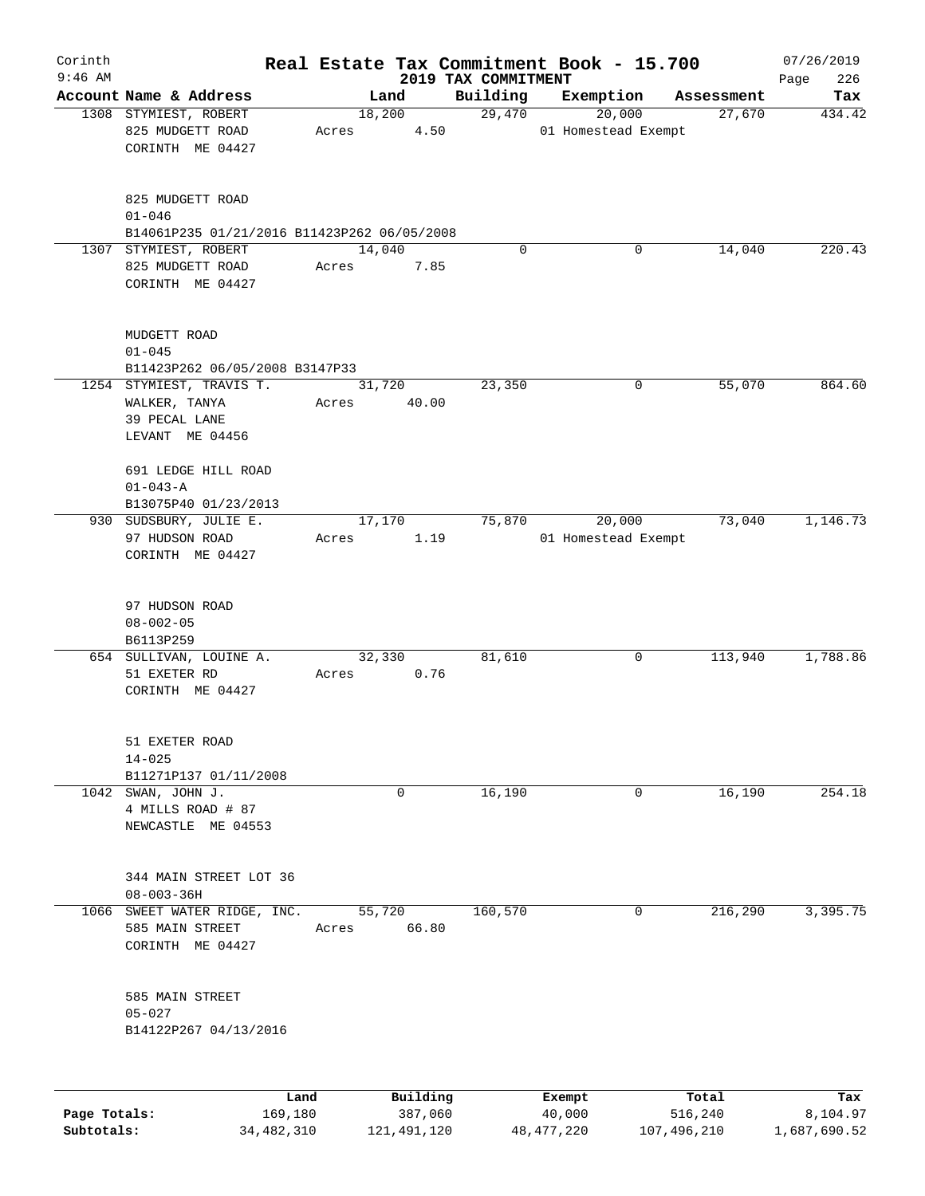| Corinth      |                                                                | Real Estate Tax Commitment Book - 15.700 |                     |                               |                      | 07/26/2019    |
|--------------|----------------------------------------------------------------|------------------------------------------|---------------------|-------------------------------|----------------------|---------------|
| $9:46$ AM    |                                                                |                                          | 2019 TAX COMMITMENT |                               |                      | 226<br>Page   |
|              | Account Name & Address<br>1308 STYMIEST, ROBERT                | Land<br>18,200                           | Building<br>29,470  | Exemption<br>20,000           | Assessment<br>27,670 | Tax<br>434.42 |
|              | 825 MUDGETT ROAD<br>CORINTH ME 04427                           | 4.50<br>Acres                            |                     | 01 Homestead Exempt           |                      |               |
|              | 825 MUDGETT ROAD<br>$01 - 046$                                 |                                          |                     |                               |                      |               |
|              | B14061P235 01/21/2016 B11423P262 06/05/2008                    |                                          |                     |                               |                      |               |
|              | 1307 STYMIEST, ROBERT<br>825 MUDGETT ROAD<br>CORINTH ME 04427  | 14,040<br>7.85<br>Acres                  | $\Omega$            | 0                             | 14,040               | 220.43        |
|              | MUDGETT ROAD<br>$01 - 045$<br>B11423P262 06/05/2008 B3147P33   |                                          |                     |                               |                      |               |
|              | 1254 STYMIEST, TRAVIS T.                                       | 31,720                                   | 23,350              | 0                             | 55,070               | 864.60        |
|              | WALKER, TANYA<br>39 PECAL LANE<br>LEVANT ME 04456              | Acres<br>40.00                           |                     |                               |                      |               |
|              | 691 LEDGE HILL ROAD<br>$01 - 043 - A$<br>B13075P40 01/23/2013  |                                          |                     |                               |                      |               |
|              | 930 SUDSBURY, JULIE E.<br>97 HUDSON ROAD<br>CORINTH ME 04427   | 17,170<br>1.19<br>Acres                  | 75,870              | 20,000<br>01 Homestead Exempt | 73,040               | 1,146.73      |
|              | 97 HUDSON ROAD<br>$08 - 002 - 05$<br>B6113P259                 |                                          |                     |                               |                      |               |
|              | 654 SULLIVAN, LOUINE A.<br>51 EXETER RD<br>CORINTH ME 04427    | 32,330<br>0.76<br>Acres                  | 81,610              | 0                             | 113,940              | 1,788.86      |
|              | 51 EXETER ROAD<br>$14 - 025$<br>B11271P137 01/11/2008          |                                          |                     |                               |                      |               |
|              | 1042 SWAN, JOHN J.                                             | 0                                        | 16,190              | 0                             | 16,190               | 254.18        |
|              | 4 MILLS ROAD # 87<br>NEWCASTLE ME 04553                        |                                          |                     |                               |                      |               |
|              | 344 MAIN STREET LOT 36<br>$08 - 003 - 36H$                     |                                          |                     |                               |                      |               |
| 1066         | SWEET WATER RIDGE, INC.<br>585 MAIN STREET<br>CORINTH ME 04427 | 55,720<br>66.80<br>Acres                 | 160,570             | 0                             | 216,290              | 3,395.75      |
|              | 585 MAIN STREET<br>$05 - 027$<br>B14122P267 04/13/2016         |                                          |                     |                               |                      |               |
|              | Land                                                           | Building                                 |                     | Exempt                        | Total                | Tax           |
| Page Totals: | 169,180                                                        | 387,060                                  |                     | 40,000                        | 516,240              | 8,104.97      |

**Subtotals:** 34,482,310 121,491,120 48,477,220 107,496,210 1,687,690.52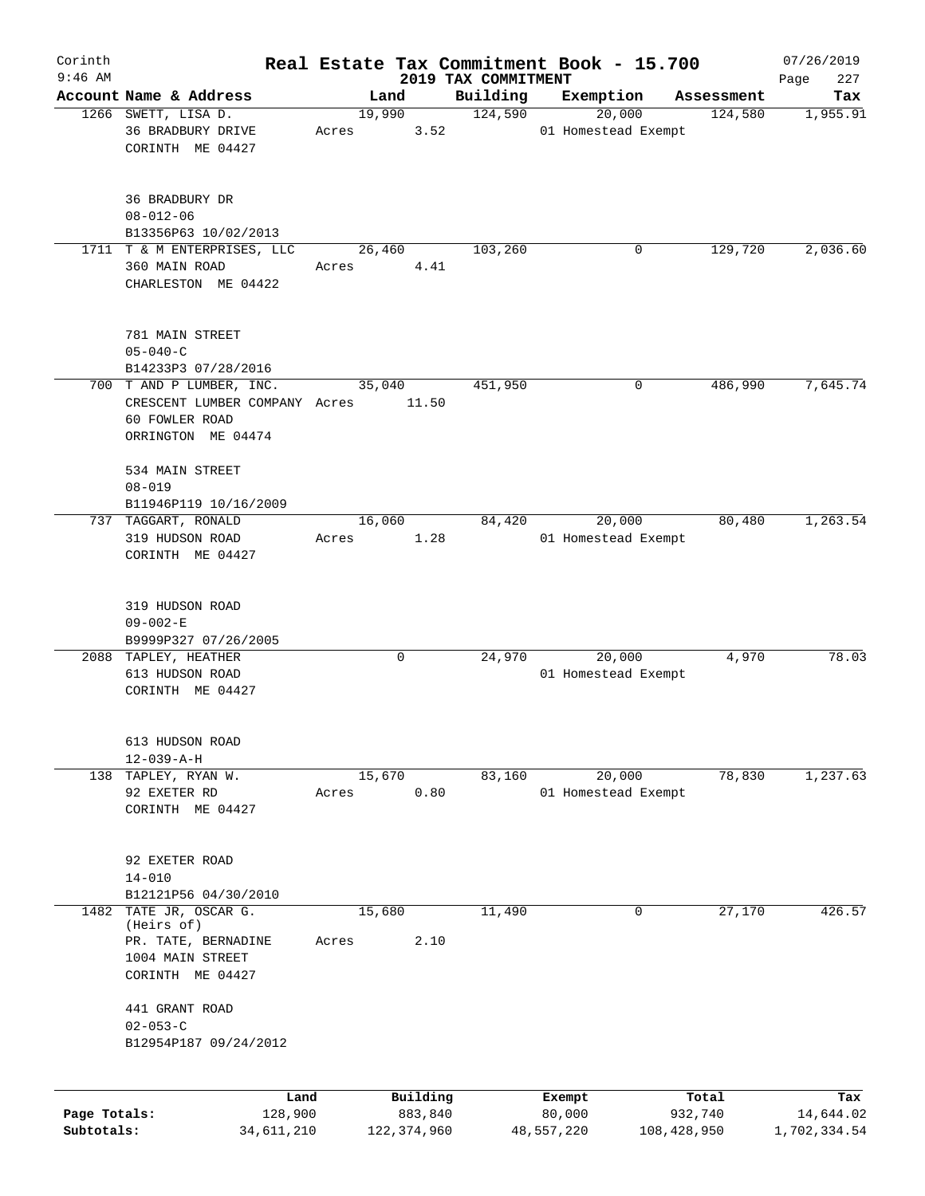| Corinth                    |                                                                                                   |                 |                                    |                                 | Real Estate Tax Commitment Book - 15.700 |                                 | 07/26/2019                       |
|----------------------------|---------------------------------------------------------------------------------------------------|-----------------|------------------------------------|---------------------------------|------------------------------------------|---------------------------------|----------------------------------|
| $9:46$ AM                  | Account Name & Address                                                                            | Land            |                                    | 2019 TAX COMMITMENT<br>Building | Exemption                                |                                 | 227<br>Page                      |
|                            | 1266 SWETT, LISA D.                                                                               | 19,990          |                                    | 124,590                         | 20,000                                   | Assessment<br>124,580           | Tax<br>1,955.91                  |
|                            | 36 BRADBURY DRIVE<br>CORINTH ME 04427                                                             | Acres           | 3.52                               |                                 | 01 Homestead Exempt                      |                                 |                                  |
|                            | 36 BRADBURY DR<br>$08 - 012 - 06$<br>B13356P63 10/02/2013                                         |                 |                                    |                                 |                                          |                                 |                                  |
|                            | 1711 T & M ENTERPRISES, LLC<br>360 MAIN ROAD<br>CHARLESTON ME 04422                               | 26,460<br>Acres | 4.41                               | 103,260                         | 0                                        | 129,720                         | 2,036.60                         |
|                            | 781 MAIN STREET<br>$05 - 040 - C$<br>B14233P3 07/28/2016                                          |                 |                                    |                                 |                                          |                                 |                                  |
|                            | 700 T AND P LUMBER, INC.<br>CRESCENT LUMBER COMPANY Acres<br>60 FOWLER ROAD<br>ORRINGTON ME 04474 | 35,040          | 11.50                              | 451,950                         | 0                                        | 486,990                         | 7,645.74                         |
|                            | 534 MAIN STREET<br>$08 - 019$<br>B11946P119 10/16/2009                                            |                 |                                    |                                 |                                          |                                 |                                  |
|                            | 737 TAGGART, RONALD<br>319 HUDSON ROAD<br>CORINTH ME 04427                                        | 16,060<br>Acres | 1.28                               | 84,420                          | 20,000<br>01 Homestead Exempt            | 80,480                          | 1,263.54                         |
|                            | 319 HUDSON ROAD<br>$09 - 002 - E$<br>B9999P327 07/26/2005                                         |                 |                                    |                                 |                                          |                                 |                                  |
|                            | 2088 TAPLEY, HEATHER<br>613 HUDSON ROAD<br>CORINTH ME 04427                                       |                 | 0                                  | 24,970                          | 20,000<br>01 Homestead Exempt            | 4,970                           | 78.03                            |
|                            | 613 HUDSON ROAD<br>$12 - 039 - A - H$<br>TAPLEY, RYAN W.                                          | 15,670          |                                    | 83,160                          | 20,000                                   | 78,830                          | 1,237.63                         |
| 138                        | 92 EXETER RD<br>CORINTH ME 04427                                                                  | Acres           | 0.80                               |                                 | 01 Homestead Exempt                      |                                 |                                  |
|                            | 92 EXETER ROAD<br>$14 - 010$<br>B12121P56 04/30/2010                                              |                 |                                    |                                 |                                          |                                 |                                  |
| 1482                       | TATE JR, OSCAR G.<br>(Heirs of)<br>PR. TATE, BERNADINE<br>1004 MAIN STREET<br>CORINTH ME 04427    | 15,680<br>Acres | 2.10                               | 11,490                          | 0                                        | 27,170                          | 426.57                           |
|                            | 441 GRANT ROAD<br>$02 - 053 - C$<br>B12954P187 09/24/2012                                         |                 |                                    |                                 |                                          |                                 |                                  |
| Page Totals:<br>Subtotals: | Land<br>128,900<br>34,611,210                                                                     |                 | Building<br>883,840<br>122,374,960 |                                 | Exempt<br>80,000<br>48,557,220           | Total<br>932,740<br>108,428,950 | Tax<br>14,644.02<br>1,702,334.54 |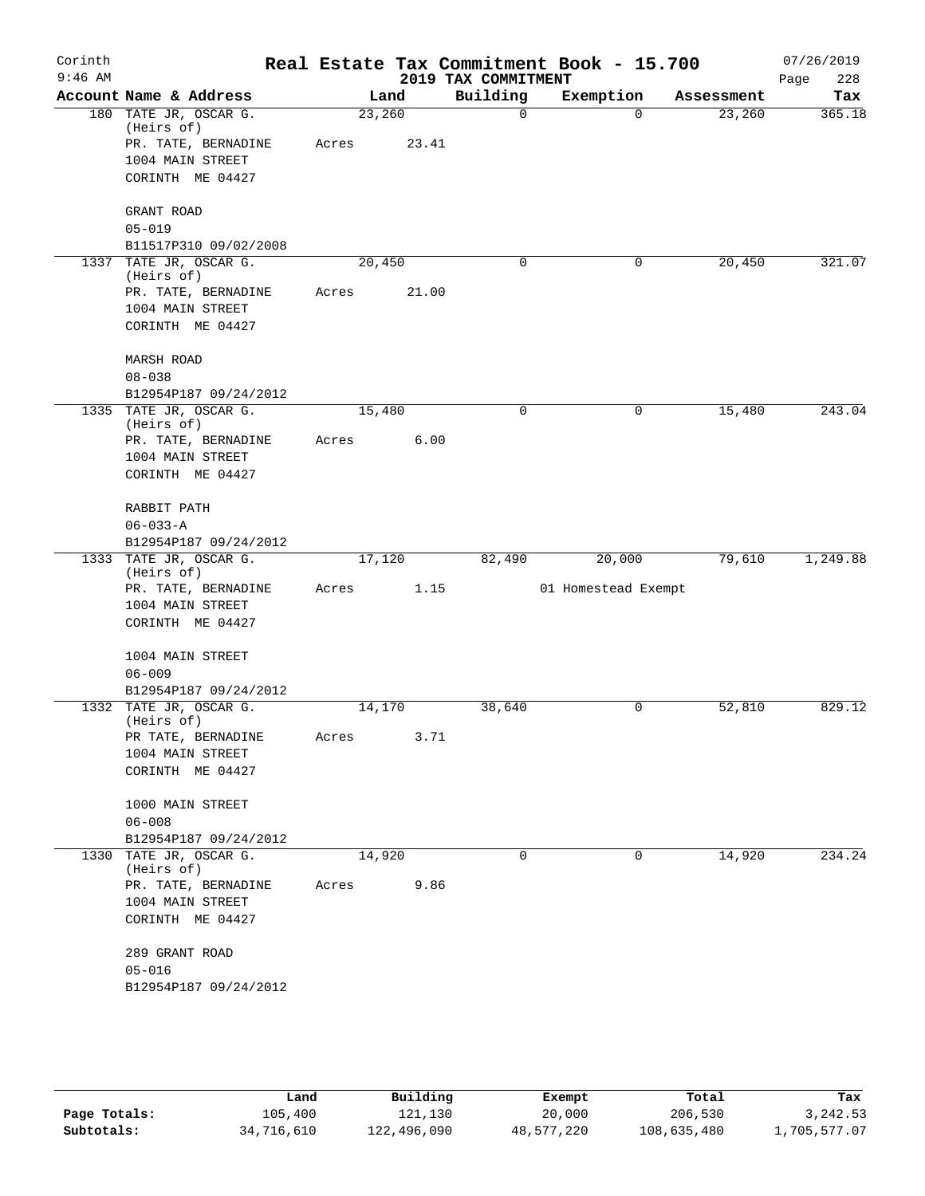| Corinth   |                                      |        |       |                     | Real Estate Tax Commitment Book - 15.700 |            | 07/26/2019  |
|-----------|--------------------------------------|--------|-------|---------------------|------------------------------------------|------------|-------------|
| $9:46$ AM |                                      |        |       | 2019 TAX COMMITMENT |                                          |            | 228<br>Page |
|           | Account Name & Address               |        | Land  | Building            | Exemption                                | Assessment | Tax         |
|           | 180 TATE JR, OSCAR G.<br>(Heirs of)  | 23,260 |       | 0                   | $\Omega$                                 | 23,260     | 365.18      |
|           | PR. TATE, BERNADINE                  | Acres  | 23.41 |                     |                                          |            |             |
|           | 1004 MAIN STREET                     |        |       |                     |                                          |            |             |
|           | CORINTH ME 04427                     |        |       |                     |                                          |            |             |
|           | GRANT ROAD                           |        |       |                     |                                          |            |             |
|           | $05 - 019$                           |        |       |                     |                                          |            |             |
|           | B11517P310 09/02/2008                |        |       |                     |                                          |            |             |
|           | 1337 TATE JR, OSCAR G.<br>(Heirs of) | 20,450 |       | 0                   | 0                                        | 20,450     | 321.07      |
|           | PR. TATE, BERNADINE                  | Acres  | 21.00 |                     |                                          |            |             |
|           | 1004 MAIN STREET                     |        |       |                     |                                          |            |             |
|           | CORINTH ME 04427                     |        |       |                     |                                          |            |             |
|           | <b>MARSH ROAD</b>                    |        |       |                     |                                          |            |             |
|           | $08 - 038$                           |        |       |                     |                                          |            |             |
|           | B12954P187 09/24/2012                |        |       |                     |                                          |            |             |
|           | 1335 TATE JR, OSCAR G.               | 15,480 |       | 0                   | 0                                        | 15,480     | 243.04      |
|           | (Heirs of)                           |        | 6.00  |                     |                                          |            |             |
|           | PR. TATE, BERNADINE                  | Acres  |       |                     |                                          |            |             |
|           | 1004 MAIN STREET<br>CORINTH ME 04427 |        |       |                     |                                          |            |             |
|           |                                      |        |       |                     |                                          |            |             |
|           | RABBIT PATH                          |        |       |                     |                                          |            |             |
|           | $06 - 033 - A$                       |        |       |                     |                                          |            |             |
|           | B12954P187 09/24/2012                |        |       |                     |                                          |            |             |
|           | 1333 TATE JR, OSCAR G.<br>(Heirs of) | 17,120 |       | 82,490              | 20,000                                   | 79,610     | 1,249.88    |
|           | PR. TATE, BERNADINE                  | Acres  | 1.15  |                     | 01 Homestead Exempt                      |            |             |
|           | 1004 MAIN STREET                     |        |       |                     |                                          |            |             |
|           | CORINTH ME 04427                     |        |       |                     |                                          |            |             |
|           | 1004 MAIN STREET                     |        |       |                     |                                          |            |             |
|           | $06 - 009$                           |        |       |                     |                                          |            |             |
|           | B12954P187 09/24/2012                |        |       |                     |                                          |            |             |
|           | 1332 TATE JR, OSCAR G.<br>(Heirs of) | 14,170 |       | 38,640              | 0                                        | 52,810     | 829.12      |
|           | PR TATE, BERNADINE                   | Acres  | 3.71  |                     |                                          |            |             |
|           | 1004 MAIN STREET                     |        |       |                     |                                          |            |             |
|           | CORINTH ME 04427                     |        |       |                     |                                          |            |             |
|           | 1000 MAIN STREET                     |        |       |                     |                                          |            |             |
|           | $06 - 008$                           |        |       |                     |                                          |            |             |
|           | B12954P187 09/24/2012                |        |       |                     |                                          |            |             |
|           | 1330 TATE JR, OSCAR G.               | 14,920 |       | 0                   | 0                                        | 14,920     | 234.24      |
|           | (Heirs of)                           |        |       |                     |                                          |            |             |
|           | PR. TATE, BERNADINE                  | Acres  | 9.86  |                     |                                          |            |             |
|           | 1004 MAIN STREET                     |        |       |                     |                                          |            |             |
|           | CORINTH ME 04427                     |        |       |                     |                                          |            |             |
|           | 289 GRANT ROAD                       |        |       |                     |                                          |            |             |
|           | $05 - 016$                           |        |       |                     |                                          |            |             |
|           | B12954P187 09/24/2012                |        |       |                     |                                          |            |             |
|           |                                      |        |       |                     |                                          |            |             |
|           |                                      |        |       |                     |                                          |            |             |

|              | Land       | Building    | Exempt     | Total       | Tax          |
|--------------|------------|-------------|------------|-------------|--------------|
| Page Totals: | 105,400    | 121,130     | 20,000     | 206,530     | 3,242.53     |
| Subtotals:   | 34,716,610 | 122,496,090 | 48,577,220 | 108,635,480 | 1,705,577.07 |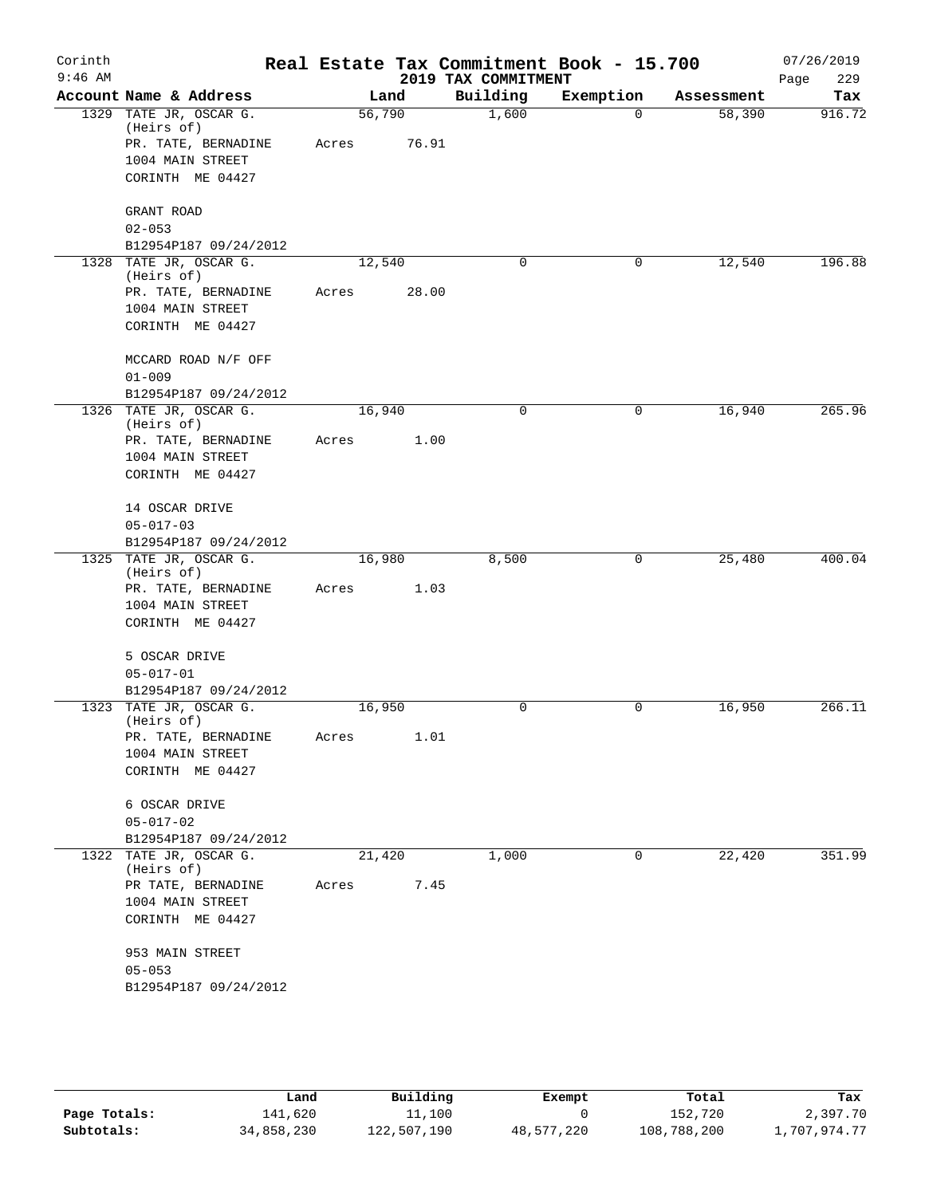| Corinth<br>$9:46$ AM |                                        |        |       | 2019 TAX COMMITMENT | Real Estate Tax Commitment Book - 15.700 |            | 07/26/2019<br>229<br>Page |
|----------------------|----------------------------------------|--------|-------|---------------------|------------------------------------------|------------|---------------------------|
|                      | Account Name & Address                 |        | Land  | Building            | Exemption                                | Assessment | Tax                       |
|                      | 1329 TATE JR, OSCAR G.<br>(Heirs of)   | 56,790 |       | 1,600               | $\Omega$                                 | 58,390     | 916.72                    |
|                      | PR. TATE, BERNADINE                    | Acres  | 76.91 |                     |                                          |            |                           |
|                      | 1004 MAIN STREET                       |        |       |                     |                                          |            |                           |
|                      | CORINTH ME 04427                       |        |       |                     |                                          |            |                           |
|                      | GRANT ROAD                             |        |       |                     |                                          |            |                           |
|                      | $02 - 053$                             |        |       |                     |                                          |            |                           |
|                      | B12954P187 09/24/2012                  |        |       |                     |                                          |            |                           |
|                      | 1328 TATE JR, OSCAR G.<br>(Heirs of)   | 12,540 |       | $\Omega$            | $\mathbf 0$                              | 12,540     | 196.88                    |
|                      | PR. TATE, BERNADINE                    | Acres  | 28.00 |                     |                                          |            |                           |
|                      | 1004 MAIN STREET<br>CORINTH ME 04427   |        |       |                     |                                          |            |                           |
|                      | MCCARD ROAD N/F OFF                    |        |       |                     |                                          |            |                           |
|                      | $01 - 009$                             |        |       |                     |                                          |            |                           |
|                      | B12954P187 09/24/2012                  |        |       |                     |                                          |            |                           |
|                      | 1326 TATE JR, OSCAR G.<br>(Heirs of)   | 16,940 |       | $\mathbf 0$         | 0                                        | 16,940     | 265.96                    |
|                      | PR. TATE, BERNADINE                    | Acres  | 1.00  |                     |                                          |            |                           |
|                      | 1004 MAIN STREET                       |        |       |                     |                                          |            |                           |
|                      | CORINTH ME 04427                       |        |       |                     |                                          |            |                           |
|                      | 14 OSCAR DRIVE                         |        |       |                     |                                          |            |                           |
|                      | $05 - 017 - 03$                        |        |       |                     |                                          |            |                           |
|                      | B12954P187 09/24/2012                  |        |       |                     |                                          |            |                           |
|                      | 1325 TATE JR, OSCAR G.<br>(Heirs of)   | 16,980 |       | 8,500               | 0                                        | 25,480     | 400.04                    |
|                      | PR. TATE, BERNADINE                    | Acres  | 1.03  |                     |                                          |            |                           |
|                      | 1004 MAIN STREET                       |        |       |                     |                                          |            |                           |
|                      | CORINTH ME 04427                       |        |       |                     |                                          |            |                           |
|                      | 5 OSCAR DRIVE                          |        |       |                     |                                          |            |                           |
|                      | $05 - 017 - 01$                        |        |       |                     |                                          |            |                           |
|                      | B12954P187 09/24/2012                  |        |       |                     |                                          |            |                           |
|                      | 1323 TATE JR, OSCAR G.<br>(Heirs of)   | 16,950 |       | 0                   | 0                                        | 16,950     | 266.11                    |
|                      | PR. TATE, BERNADINE                    | Acres  | 1.01  |                     |                                          |            |                           |
|                      | 1004 MAIN STREET                       |        |       |                     |                                          |            |                           |
|                      | CORINTH ME 04427                       |        |       |                     |                                          |            |                           |
|                      | 6 OSCAR DRIVE                          |        |       |                     |                                          |            |                           |
|                      | $05 - 017 - 02$                        |        |       |                     |                                          |            |                           |
|                      | B12954P187 09/24/2012                  |        |       |                     | 0                                        |            | 351.99                    |
|                      | 1322 TATE JR, OSCAR G.<br>(Heirs of)   | 21,420 |       | 1,000               |                                          | 22,420     |                           |
|                      | PR TATE, BERNADINE<br>1004 MAIN STREET | Acres  | 7.45  |                     |                                          |            |                           |
|                      | CORINTH ME 04427                       |        |       |                     |                                          |            |                           |
|                      | 953 MAIN STREET                        |        |       |                     |                                          |            |                           |
|                      | $05 - 053$                             |        |       |                     |                                          |            |                           |
|                      | B12954P187 09/24/2012                  |        |       |                     |                                          |            |                           |
|                      |                                        |        |       |                     |                                          |            |                           |

|              | Land       | Building    | Exempt     | Total       | Tax          |
|--------------|------------|-------------|------------|-------------|--------------|
| Page Totals: | 141,620    | 11,100      |            | 152,720     | 2,397.70     |
| Subtotals:   | 34,858,230 | 122,507,190 | 48,577,220 | 108,788,200 | 1,707,974.77 |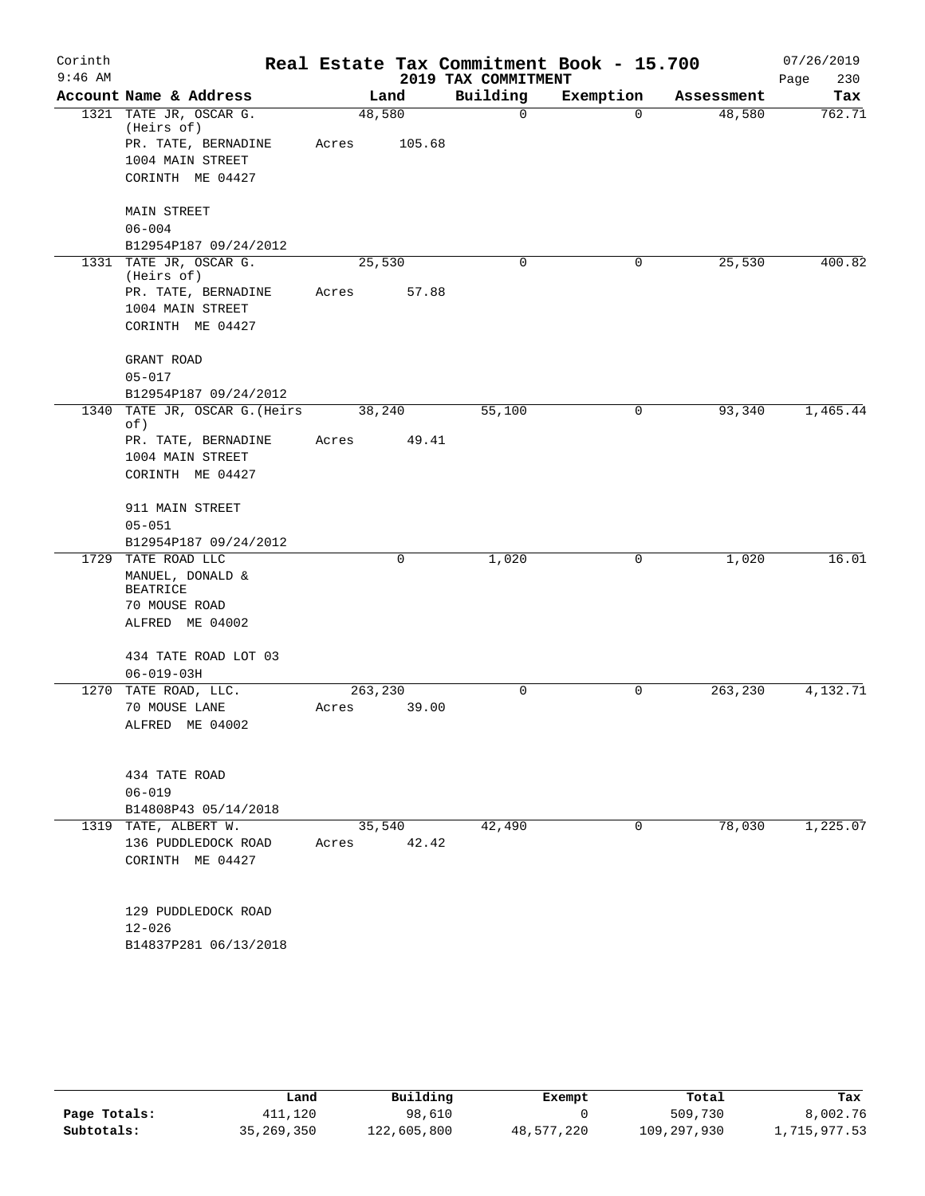| Corinth<br>$9:46$ AM |                                                                 |         |                 | 2019 TAX COMMITMENT | Real Estate Tax Commitment Book - 15.700 |            | 07/26/2019<br>Page<br>230 |
|----------------------|-----------------------------------------------------------------|---------|-----------------|---------------------|------------------------------------------|------------|---------------------------|
|                      | Account Name & Address                                          |         | Land            | Building            | Exemption                                | Assessment | Tax                       |
|                      | 1321 TATE JR, OSCAR G.<br>(Heirs of)                            | 48,580  |                 | $\mathbf 0$         | $\Omega$                                 | 48,580     | 762.71                    |
|                      | PR. TATE, BERNADINE<br>1004 MAIN STREET                         | Acres   | 105.68          |                     |                                          |            |                           |
|                      | CORINTH ME 04427                                                |         |                 |                     |                                          |            |                           |
|                      | <b>MAIN STREET</b><br>$06 - 004$                                |         |                 |                     |                                          |            |                           |
|                      | B12954P187 09/24/2012                                           |         |                 |                     |                                          |            |                           |
|                      | 1331 TATE JR, OSCAR G.<br>(Heirs of)                            | 25,530  |                 | $\Omega$            | 0                                        | 25,530     | 400.82                    |
|                      | PR. TATE, BERNADINE<br>1004 MAIN STREET<br>CORINTH ME 04427     | Acres   | 57.88           |                     |                                          |            |                           |
|                      | GRANT ROAD<br>$05 - 017$                                        |         |                 |                     |                                          |            |                           |
|                      | B12954P187 09/24/2012                                           |         |                 |                     |                                          |            |                           |
|                      | 1340 TATE JR, OSCAR G. (Heirs<br>of)                            | 38,240  |                 | 55,100              | 0                                        | 93,340     | 1,465.44                  |
|                      | PR. TATE, BERNADINE                                             | Acres   | 49.41           |                     |                                          |            |                           |
|                      | 1004 MAIN STREET<br>CORINTH ME 04427                            |         |                 |                     |                                          |            |                           |
|                      | 911 MAIN STREET                                                 |         |                 |                     |                                          |            |                           |
|                      | $05 - 051$                                                      |         |                 |                     |                                          |            |                           |
|                      | B12954P187 09/24/2012<br>1729 TATE ROAD LLC                     |         | $\mathbf 0$     | 1,020               | 0                                        | 1,020      | 16.01                     |
|                      | MANUEL, DONALD &<br><b>BEATRICE</b>                             |         |                 |                     |                                          |            |                           |
|                      | 70 MOUSE ROAD                                                   |         |                 |                     |                                          |            |                           |
|                      | ALFRED ME 04002                                                 |         |                 |                     |                                          |            |                           |
|                      | 434 TATE ROAD LOT 03<br>$06 - 019 - 03H$                        |         |                 |                     |                                          |            |                           |
|                      | 1270 TATE ROAD, LLC.                                            | 263,230 |                 | 0                   | 0                                        | 263,230    | 4,132.71                  |
|                      | 70 MOUSE LANE<br>ALFRED ME 04002                                | Acres   | 39.00           |                     |                                          |            |                           |
|                      | 434 TATE ROAD                                                   |         |                 |                     |                                          |            |                           |
|                      | $06 - 019$                                                      |         |                 |                     |                                          |            |                           |
|                      | B14808P43 05/14/2018                                            |         |                 |                     |                                          |            |                           |
|                      | 1319 TATE, ALBERT W.<br>136 PUDDLEDOCK ROAD<br>CORINTH ME 04427 | Acres   | 35,540<br>42.42 | 42,490              | 0                                        | 78,030     | 1,225.07                  |
|                      | 129 PUDDLEDOCK ROAD                                             |         |                 |                     |                                          |            |                           |
|                      | $12 - 026$                                                      |         |                 |                     |                                          |            |                           |
|                      | B14837P281 06/13/2018                                           |         |                 |                     |                                          |            |                           |

|              | Land         | Building    | Exempt     | Total       | Tax          |
|--------------|--------------|-------------|------------|-------------|--------------|
| Page Totals: | 411,120      | 98,610      |            | 509,730     | 8,002.76     |
| Subtotals:   | 35, 269, 350 | 122,605,800 | 48,577,220 | 109,297,930 | 1,715,977.53 |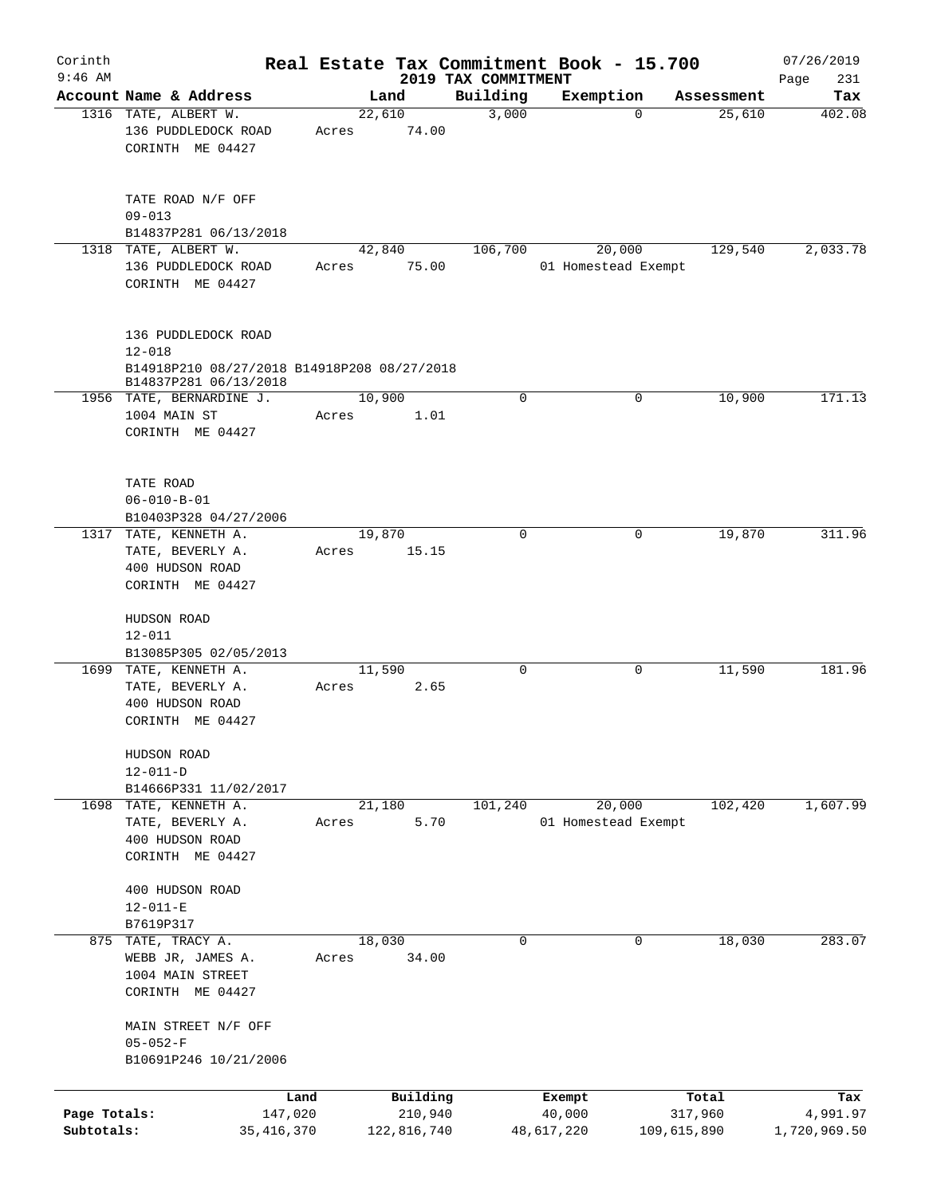| Corinth                    |                                                                                                           |                 |                        |                                 | Real Estate Tax Commitment Book - 15.700 |             |            | 07/26/2019               |
|----------------------------|-----------------------------------------------------------------------------------------------------------|-----------------|------------------------|---------------------------------|------------------------------------------|-------------|------------|--------------------------|
| $9:46$ AM                  | Account Name & Address                                                                                    | Land            |                        | 2019 TAX COMMITMENT<br>Building | Exemption                                |             | Assessment | Page<br>231<br>Tax       |
|                            | 1316 TATE, ALBERT W.<br>136 PUDDLEDOCK ROAD<br>CORINTH ME 04427                                           | 22,610<br>Acres | 74.00                  | 3,000                           |                                          | 0           | 25,610     | 402.08                   |
|                            | TATE ROAD N/F OFF<br>$09 - 013$<br>B14837P281 06/13/2018                                                  |                 |                        |                                 |                                          |             |            |                          |
|                            | 1318 TATE, ALBERT W.<br>136 PUDDLEDOCK ROAD<br>CORINTH ME 04427                                           | 42,840<br>Acres | 75.00                  | 106,700                         | 20,000<br>01 Homestead Exempt            |             | 129,540    | 2,033.78                 |
|                            | 136 PUDDLEDOCK ROAD<br>$12 - 018$<br>B14918P210 08/27/2018 B14918P208 08/27/2018<br>B14837P281 06/13/2018 |                 |                        |                                 |                                          |             |            |                          |
|                            | 1956 TATE, BERNARDINE J.<br>1004 MAIN ST<br>CORINTH ME 04427                                              | 10,900<br>Acres | 1.01                   | 0                               |                                          | 0           | 10,900     | 171.13                   |
|                            | TATE ROAD<br>$06 - 010 - B - 01$<br>B10403P328 04/27/2006<br>1317 TATE, KENNETH A.                        | 19,870          |                        | $\Omega$                        |                                          | 0           | 19,870     | 311.96                   |
|                            | TATE, BEVERLY A.<br>400 HUDSON ROAD<br>CORINTH ME 04427                                                   | Acres           | 15.15                  |                                 |                                          |             |            |                          |
|                            | HUDSON ROAD<br>$12 - 011$<br>B13085P305 02/05/2013                                                        |                 |                        |                                 |                                          |             |            |                          |
|                            | 1699 TATE, KENNETH A.<br>TATE, BEVERLY A.<br>400 HUDSON ROAD<br>CORINTH ME 04427                          | 11,590<br>Acres | 2.65                   | 0                               |                                          | 0           | 11,590     | 181.96                   |
|                            | HUDSON ROAD<br>$12 - 011 - D$<br>B14666P331 11/02/2017                                                    |                 |                        |                                 |                                          |             |            |                          |
|                            | 1698 TATE, KENNETH A.<br>TATE, BEVERLY A.<br>400 HUDSON ROAD<br>CORINTH ME 04427                          | 21,180<br>Acres | 5.70                   | 101,240                         | 20,000<br>01 Homestead Exempt            |             | 102,420    | 1,607.99                 |
|                            | 400 HUDSON ROAD<br>$12 - 011 - E$<br>B7619P317                                                            |                 |                        |                                 |                                          |             |            |                          |
|                            | 875 TATE, TRACY A.<br>WEBB JR, JAMES A.<br>1004 MAIN STREET<br>CORINTH ME 04427                           | 18,030<br>Acres | 34.00                  | 0                               |                                          | $\mathbf 0$ | 18,030     | 283.07                   |
|                            | MAIN STREET N/F OFF<br>$05 - 052 - F$<br>B10691P246 10/21/2006                                            |                 |                        |                                 |                                          |             |            |                          |
|                            | Land                                                                                                      |                 | Building               |                                 | Exempt                                   |             | Total      | Tax                      |
| Page Totals:<br>Subtotals: | 147,020<br>35, 416, 370                                                                                   |                 | 210,940<br>122,816,740 |                                 | 40,000<br>48,617,220                     | 109,615,890 | 317,960    | 4,991.97<br>1,720,969.50 |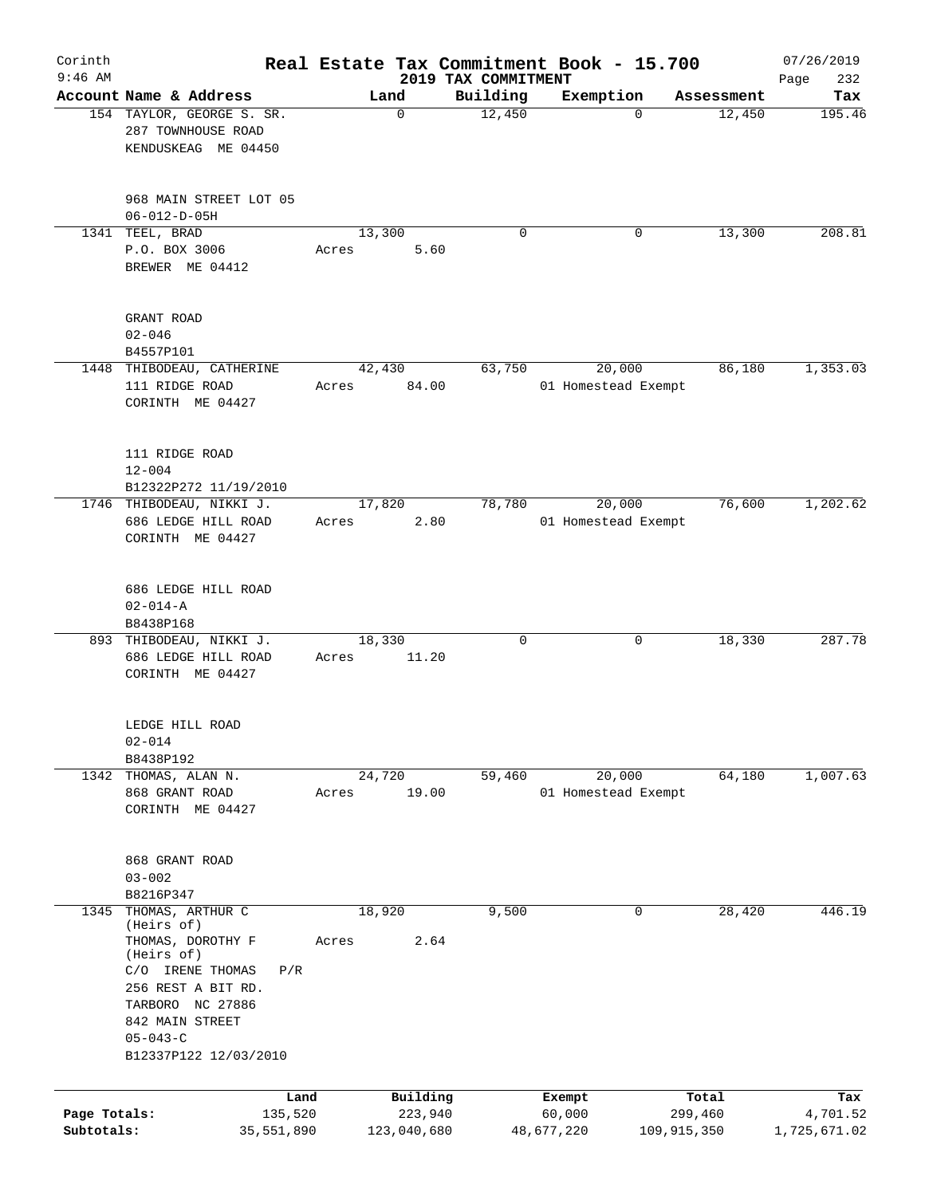| Corinth      |                                                                                                                                                                                                      |                 |                     |                     | Real Estate Tax Commitment Book - 15.700 |                      | 07/26/2019    |
|--------------|------------------------------------------------------------------------------------------------------------------------------------------------------------------------------------------------------|-----------------|---------------------|---------------------|------------------------------------------|----------------------|---------------|
| $9:46$ AM    | Account Name & Address                                                                                                                                                                               |                 |                     | 2019 TAX COMMITMENT |                                          |                      | 232<br>Page   |
|              | 154 TAYLOR, GEORGE S. SR.<br>287 TOWNHOUSE ROAD<br>KENDUSKEAG ME 04450                                                                                                                               |                 | Land<br>$\mathbf 0$ | Building<br>12,450  | Exemption<br>$\Omega$                    | Assessment<br>12,450 | Tax<br>195.46 |
|              | 968 MAIN STREET LOT 05<br>$06 - 012 - D - 05H$                                                                                                                                                       |                 |                     |                     |                                          |                      |               |
| 1341         | TEEL, BRAD<br>P.O. BOX 3006<br>BREWER ME 04412                                                                                                                                                       | 13,300<br>Acres | 5.60                | $\mathbf 0$         | 0                                        | 13,300               | 208.81        |
|              | GRANT ROAD<br>$02 - 046$<br>B4557P101                                                                                                                                                                |                 |                     |                     |                                          |                      |               |
| 1448         | THIBODEAU, CATHERINE<br>111 RIDGE ROAD<br>CORINTH ME 04427                                                                                                                                           | 42,430<br>Acres | 84.00               | 63,750              | 20,000<br>01 Homestead Exempt            | 86,180               | 1,353.03      |
|              | 111 RIDGE ROAD<br>$12 - 004$<br>B12322P272 11/19/2010                                                                                                                                                |                 |                     |                     |                                          |                      |               |
|              | 1746 THIBODEAU, NIKKI J.<br>686 LEDGE HILL ROAD<br>CORINTH ME 04427                                                                                                                                  | 17,820<br>Acres | 2.80                | 78,780              | 20,000<br>01 Homestead Exempt            | 76,600               | 1,202.62      |
|              | 686 LEDGE HILL ROAD<br>$02 - 014 - A$<br>B8438P168                                                                                                                                                   |                 |                     |                     |                                          |                      |               |
|              | 893 THIBODEAU, NIKKI J.<br>686 LEDGE HILL ROAD<br>CORINTH ME 04427                                                                                                                                   | 18,330<br>Acres | 11.20               | 0                   | 0                                        | 18,330               | 287.78        |
|              | LEDGE HILL ROAD<br>$02 - 014$<br>B8438P192                                                                                                                                                           |                 |                     |                     |                                          |                      |               |
| 1342         | THOMAS, ALAN N.<br>868 GRANT ROAD<br>CORINTH ME 04427                                                                                                                                                | 24,720<br>Acres | 19.00               | 59,460              | 20,000<br>01 Homestead Exempt            | 64,180               | 1,007.63      |
|              | 868 GRANT ROAD<br>$03 - 002$<br>B8216P347                                                                                                                                                            |                 |                     |                     |                                          |                      |               |
| 1345         | THOMAS, ARTHUR C<br>(Heirs of)<br>THOMAS, DOROTHY F<br>(Heirs of)<br>C/O IRENE THOMAS<br>P/R<br>256 REST A BIT RD.<br>TARBORO NC 27886<br>842 MAIN STREET<br>$05 - 043 - C$<br>B12337P122 12/03/2010 | 18,920<br>Acres | 2.64                | 9,500               | 0                                        | 28,420               | 446.19        |
|              | Land                                                                                                                                                                                                 |                 | Building            |                     | Exempt                                   | Total                | Tax           |
| Page Totals: | 135,520                                                                                                                                                                                              |                 | 223,940             |                     | 60,000                                   | 299,460              | 4,701.52      |
| Subtotals:   | 35,551,890                                                                                                                                                                                           |                 | 123,040,680         |                     | 48,677,220                               | 109,915,350          | 1,725,671.02  |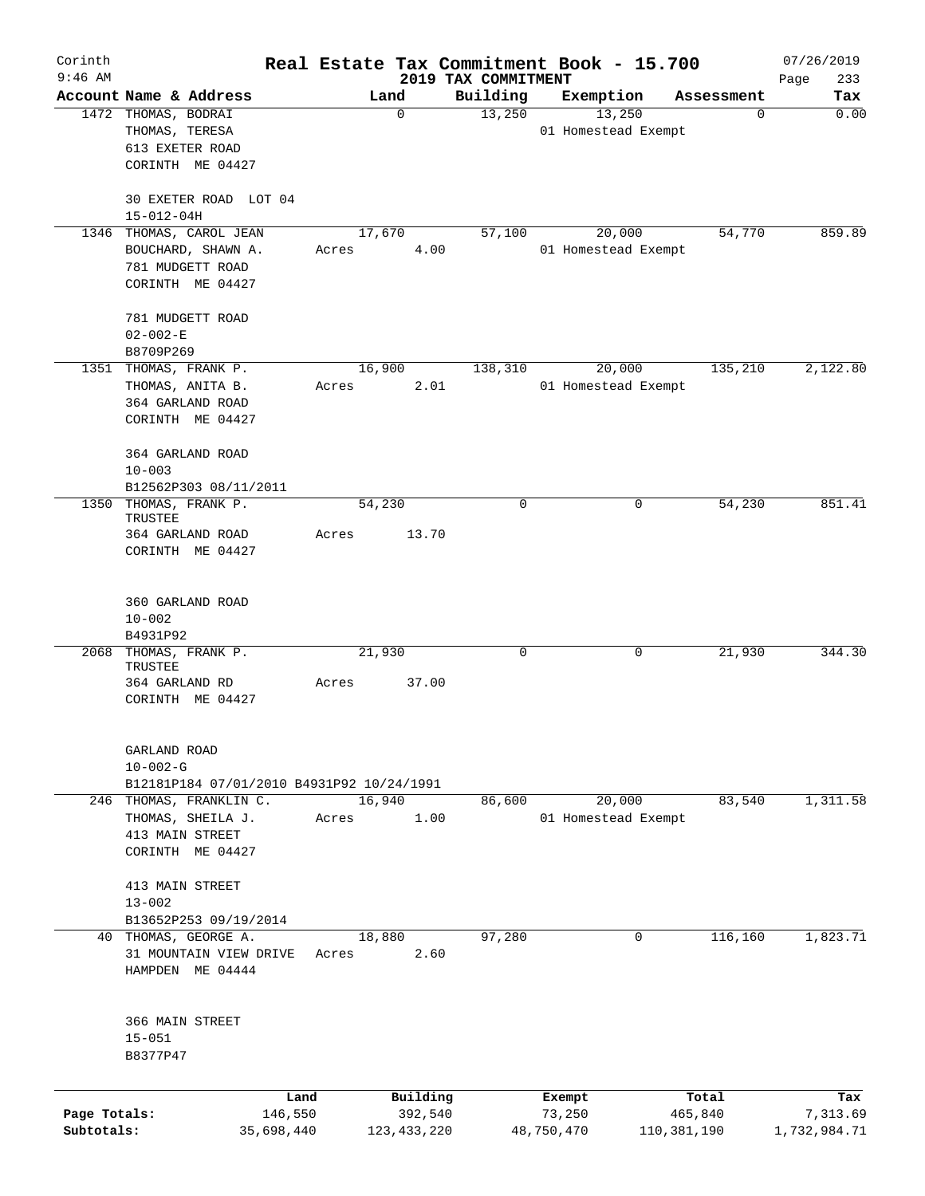| Corinth      |                                           |        |               |                                 | Real Estate Tax Commitment Book - 15.700 |              | 07/26/2019         |
|--------------|-------------------------------------------|--------|---------------|---------------------------------|------------------------------------------|--------------|--------------------|
| $9:46$ AM    | Account Name & Address                    |        | Land          | 2019 TAX COMMITMENT<br>Building | Exemption                                | Assessment   | Page<br>233<br>Tax |
|              | 1472 THOMAS, BODRAI                       |        | 0             | 13,250                          | 13,250                                   |              | 0.00<br>0          |
|              | THOMAS, TERESA                            |        |               |                                 | 01 Homestead Exempt                      |              |                    |
|              | 613 EXETER ROAD                           |        |               |                                 |                                          |              |                    |
|              | CORINTH ME 04427                          |        |               |                                 |                                          |              |                    |
|              |                                           |        |               |                                 |                                          |              |                    |
|              | 30 EXETER ROAD LOT 04<br>$15 - 012 - 04H$ |        |               |                                 |                                          |              |                    |
| 1346         | THOMAS, CAROL JEAN                        | 17,670 |               | 57,100                          | 20,000                                   | 54,770       | 859.89             |
|              | BOUCHARD, SHAWN A.                        | Acres  | 4.00          |                                 | 01 Homestead Exempt                      |              |                    |
|              | 781 MUDGETT ROAD                          |        |               |                                 |                                          |              |                    |
|              | CORINTH ME 04427                          |        |               |                                 |                                          |              |                    |
|              | 781 MUDGETT ROAD                          |        |               |                                 |                                          |              |                    |
|              | $02 - 002 - E$                            |        |               |                                 |                                          |              |                    |
|              | B8709P269                                 |        |               |                                 |                                          |              |                    |
|              | 1351 THOMAS, FRANK P.                     | 16,900 |               | 138,310                         | 20,000                                   | 135,210      | 2,122.80           |
|              | THOMAS, ANITA B.                          | Acres  | 2.01          |                                 | 01 Homestead Exempt                      |              |                    |
|              | 364 GARLAND ROAD                          |        |               |                                 |                                          |              |                    |
|              | CORINTH ME 04427                          |        |               |                                 |                                          |              |                    |
|              |                                           |        |               |                                 |                                          |              |                    |
|              | 364 GARLAND ROAD<br>$10 - 003$            |        |               |                                 |                                          |              |                    |
|              | B12562P303 08/11/2011                     |        |               |                                 |                                          |              |                    |
| 1350         | THOMAS, FRANK P.                          | 54,230 |               | $\mathbf 0$                     |                                          | 54,230<br>0  | 851.41             |
|              | TRUSTEE                                   |        |               |                                 |                                          |              |                    |
|              | 364 GARLAND ROAD                          | Acres  | 13.70         |                                 |                                          |              |                    |
|              | CORINTH ME 04427                          |        |               |                                 |                                          |              |                    |
|              | 360 GARLAND ROAD                          |        |               |                                 |                                          |              |                    |
|              | $10 - 002$                                |        |               |                                 |                                          |              |                    |
|              | B4931P92                                  |        |               |                                 |                                          |              |                    |
|              | 2068 THOMAS, FRANK P.                     | 21,930 |               | 0                               |                                          | 0<br>21,930  | 344.30             |
|              | TRUSTEE                                   |        |               |                                 |                                          |              |                    |
|              | 364 GARLAND RD                            | Acres  | 37.00         |                                 |                                          |              |                    |
|              | CORINTH ME 04427                          |        |               |                                 |                                          |              |                    |
|              | GARLAND ROAD                              |        |               |                                 |                                          |              |                    |
|              | $10 - 002 - G$                            |        |               |                                 |                                          |              |                    |
|              | B12181P184 07/01/2010 B4931P92 10/24/1991 |        |               |                                 |                                          |              |                    |
| 246          | THOMAS, FRANKLIN C.                       | 16,940 |               | 86,600                          | 20,000                                   | 83,540       | 1,311.58           |
|              | THOMAS, SHEILA J.                         | Acres  | 1.00          |                                 | 01 Homestead Exempt                      |              |                    |
|              | 413 MAIN STREET                           |        |               |                                 |                                          |              |                    |
|              | CORINTH ME 04427                          |        |               |                                 |                                          |              |                    |
|              | 413 MAIN STREET                           |        |               |                                 |                                          |              |                    |
|              | $13 - 002$                                |        |               |                                 |                                          |              |                    |
|              | B13652P253 09/19/2014                     |        |               |                                 |                                          |              |                    |
|              | 40 THOMAS, GEORGE A.                      | 18,880 |               | 97,280                          |                                          | 0<br>116,160 | 1,823.71           |
|              | 31 MOUNTAIN VIEW DRIVE                    | Acres  | 2.60          |                                 |                                          |              |                    |
|              | HAMPDEN ME 04444                          |        |               |                                 |                                          |              |                    |
|              |                                           |        |               |                                 |                                          |              |                    |
|              | 366 MAIN STREET                           |        |               |                                 |                                          |              |                    |
|              | $15 - 051$<br>B8377P47                    |        |               |                                 |                                          |              |                    |
|              |                                           |        |               |                                 |                                          |              |                    |
|              |                                           | Land   | Building      |                                 | Exempt                                   | Total        | Tax                |
| Page Totals: | 146,550                                   |        | 392,540       |                                 | 73,250                                   | 465,840      | 7,313.69           |
| Subtotals:   | 35,698,440                                |        | 123, 433, 220 |                                 | 48,750,470                               | 110,381,190  | 1,732,984.71       |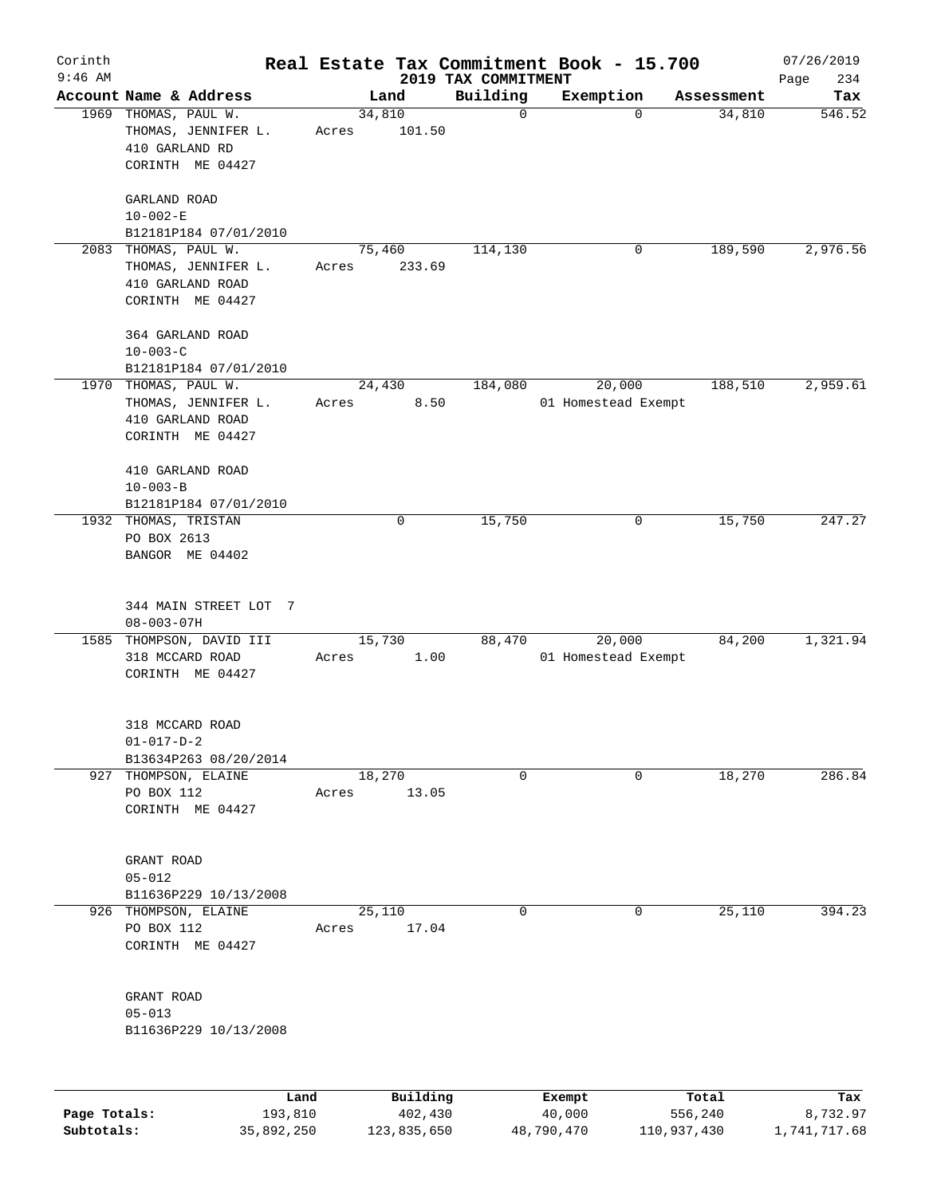| Corinth      |                                     |       |                |                                 | Real Estate Tax Commitment Book - 15.700 |                      | 07/26/2019    |
|--------------|-------------------------------------|-------|----------------|---------------------------------|------------------------------------------|----------------------|---------------|
| $9:46$ AM    | Account Name & Address              |       |                | 2019 TAX COMMITMENT<br>Building |                                          |                      | 234<br>Page   |
|              | 1969 THOMAS, PAUL W.                |       | Land<br>34,810 | $\mathbf 0$                     | Exemption<br>$\mathbf 0$                 | Assessment<br>34,810 | Tax<br>546.52 |
|              | THOMAS, JENNIFER L.                 | Acres | 101.50         |                                 |                                          |                      |               |
|              | 410 GARLAND RD                      |       |                |                                 |                                          |                      |               |
|              | CORINTH ME 04427                    |       |                |                                 |                                          |                      |               |
|              |                                     |       |                |                                 |                                          |                      |               |
|              | GARLAND ROAD                        |       |                |                                 |                                          |                      |               |
|              | $10 - 002 - E$                      |       |                |                                 |                                          |                      |               |
|              | B12181P184 07/01/2010               |       |                |                                 |                                          |                      |               |
|              | 2083 THOMAS, PAUL W.                |       | 75,460         | 114,130                         | 0                                        | 189,590              | 2,976.56      |
|              | THOMAS, JENNIFER L.                 | Acres | 233.69         |                                 |                                          |                      |               |
|              | 410 GARLAND ROAD                    |       |                |                                 |                                          |                      |               |
|              | CORINTH ME 04427                    |       |                |                                 |                                          |                      |               |
|              |                                     |       |                |                                 |                                          |                      |               |
|              | 364 GARLAND ROAD                    |       |                |                                 |                                          |                      |               |
|              | $10 - 003 - C$                      |       |                |                                 |                                          |                      |               |
|              | B12181P184 07/01/2010               |       |                |                                 |                                          |                      |               |
|              | 1970 THOMAS, PAUL W.                |       | 24,430         | 184,080                         | 20,000                                   | 188,510              | 2,959.61      |
|              | THOMAS, JENNIFER L.                 | Acres | 8.50           |                                 | 01 Homestead Exempt                      |                      |               |
|              | 410 GARLAND ROAD                    |       |                |                                 |                                          |                      |               |
|              | CORINTH ME 04427                    |       |                |                                 |                                          |                      |               |
|              | 410 GARLAND ROAD                    |       |                |                                 |                                          |                      |               |
|              | $10 - 003 - B$                      |       |                |                                 |                                          |                      |               |
|              | B12181P184 07/01/2010               |       |                |                                 |                                          |                      |               |
|              | 1932 THOMAS, TRISTAN                |       | 0              | 15,750                          | 0                                        | 15,750               | 247.27        |
|              | PO BOX 2613                         |       |                |                                 |                                          |                      |               |
|              | BANGOR ME 04402                     |       |                |                                 |                                          |                      |               |
|              |                                     |       |                |                                 |                                          |                      |               |
|              |                                     |       |                |                                 |                                          |                      |               |
|              | 344 MAIN STREET LOT 7               |       |                |                                 |                                          |                      |               |
|              | $08 - 003 - 07H$                    |       |                |                                 |                                          |                      |               |
| 1585         | THOMPSON, DAVID III                 |       | 15,730         | 88,470                          | 20,000                                   | 84,200               | 1,321.94      |
|              | 318 MCCARD ROAD<br>CORINTH ME 04427 | Acres | 1.00           |                                 | 01 Homestead Exempt                      |                      |               |
|              |                                     |       |                |                                 |                                          |                      |               |
|              |                                     |       |                |                                 |                                          |                      |               |
|              | 318 MCCARD ROAD                     |       |                |                                 |                                          |                      |               |
|              | $01 - 017 - D - 2$                  |       |                |                                 |                                          |                      |               |
|              | B13634P263 08/20/2014               |       |                |                                 |                                          |                      |               |
|              | 927 THOMPSON, ELAINE                |       | 18,270         | $\mathbf 0$                     | 0                                        | 18,270               | 286.84        |
|              | PO BOX 112                          | Acres | 13.05          |                                 |                                          |                      |               |
|              | CORINTH ME 04427                    |       |                |                                 |                                          |                      |               |
|              |                                     |       |                |                                 |                                          |                      |               |
|              | GRANT ROAD                          |       |                |                                 |                                          |                      |               |
|              | $05 - 012$                          |       |                |                                 |                                          |                      |               |
|              | B11636P229 10/13/2008               |       |                |                                 |                                          |                      |               |
|              | 926 THOMPSON, ELAINE                |       | 25,110         | 0                               | 0                                        | 25,110               | 394.23        |
|              | PO BOX 112                          | Acres | 17.04          |                                 |                                          |                      |               |
|              | CORINTH ME 04427                    |       |                |                                 |                                          |                      |               |
|              |                                     |       |                |                                 |                                          |                      |               |
|              | GRANT ROAD                          |       |                |                                 |                                          |                      |               |
|              | $05 - 013$                          |       |                |                                 |                                          |                      |               |
|              | B11636P229 10/13/2008               |       |                |                                 |                                          |                      |               |
|              |                                     |       |                |                                 |                                          |                      |               |
|              |                                     |       |                |                                 |                                          |                      |               |
|              | Land                                |       | Building       |                                 | Exempt                                   | Total                | Tax           |
| Page Totals: | 193,810                             |       | 402,430        |                                 | 40,000                                   | 556,240              | 8,732.97      |

**Subtotals:** 35,892,250 123,835,650 48,790,470 110,937,430 1,741,717.68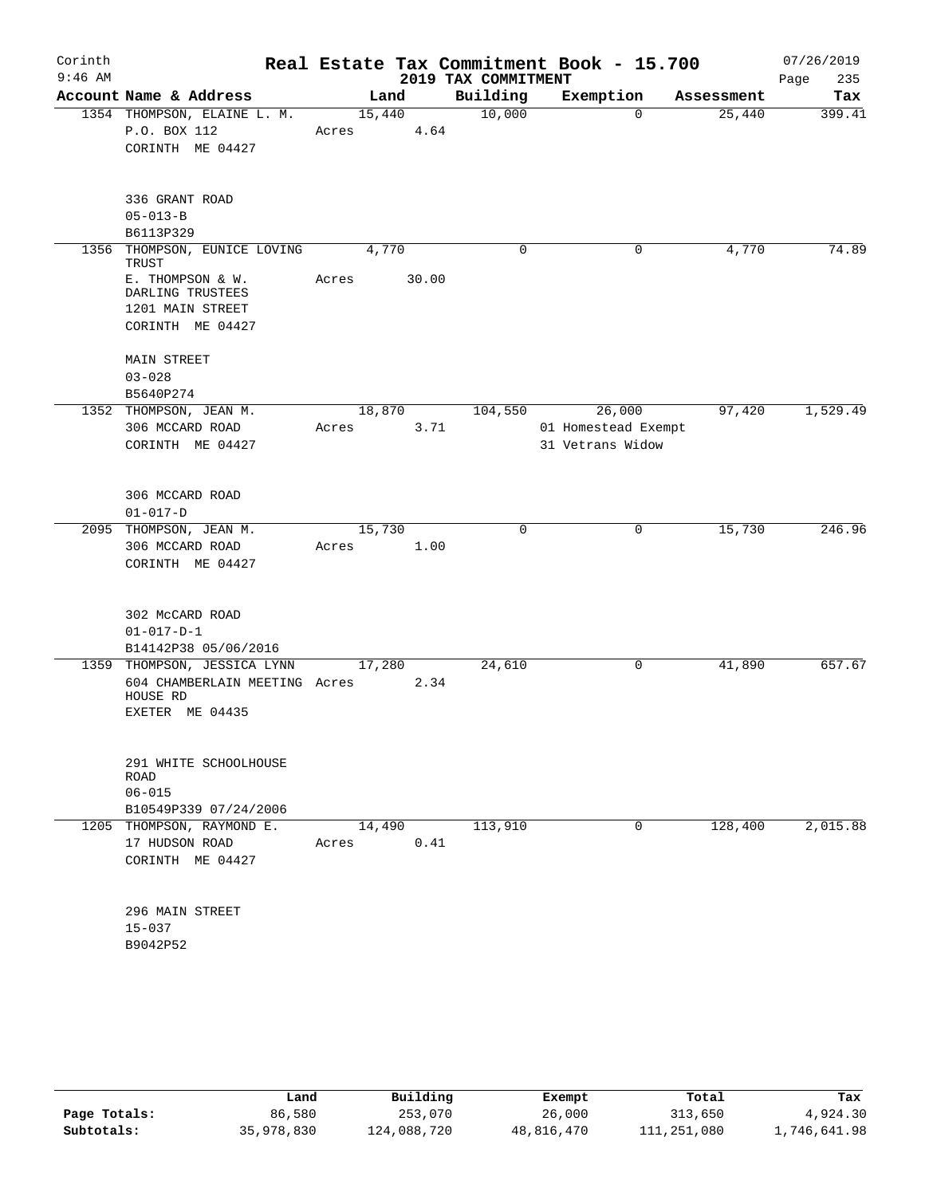| Corinth<br>$9:46$ AM |                                                    |                 |       | 2019 TAX COMMITMENT | Real Estate Tax Commitment Book - 15.700 |            | 07/26/2019<br>235<br>Page |
|----------------------|----------------------------------------------------|-----------------|-------|---------------------|------------------------------------------|------------|---------------------------|
|                      | Account Name & Address                             | Land            |       | Building            | Exemption                                | Assessment | Tax                       |
|                      | 1354 THOMPSON, ELAINE L. M.<br>P.O. BOX 112        | 15,440<br>Acres | 4.64  | 10,000              | $\mathbf 0$                              | 25,440     | 399.41                    |
|                      | CORINTH ME 04427                                   |                 |       |                     |                                          |            |                           |
|                      |                                                    |                 |       |                     |                                          |            |                           |
|                      | 336 GRANT ROAD                                     |                 |       |                     |                                          |            |                           |
|                      | $05 - 013 - B$                                     |                 |       |                     |                                          |            |                           |
|                      | B6113P329                                          |                 |       |                     |                                          |            |                           |
| 1356                 | THOMPSON, EUNICE LOVING<br>TRUST                   | 4,770           |       | 0                   | 0                                        | 4,770      | 74.89                     |
|                      | E. THOMPSON & W.                                   | Acres           | 30.00 |                     |                                          |            |                           |
|                      | DARLING TRUSTEES                                   |                 |       |                     |                                          |            |                           |
|                      | 1201 MAIN STREET                                   |                 |       |                     |                                          |            |                           |
|                      | CORINTH ME 04427                                   |                 |       |                     |                                          |            |                           |
|                      | MAIN STREET                                        |                 |       |                     |                                          |            |                           |
|                      | $03 - 028$                                         |                 |       |                     |                                          |            |                           |
|                      | B5640P274                                          |                 |       |                     |                                          |            |                           |
|                      | 1352 THOMPSON, JEAN M.                             | 18,870          |       | 104,550             | 26,000                                   | 97,420     | 1,529.49                  |
|                      | 306 MCCARD ROAD<br>CORINTH ME 04427                | Acres           | 3.71  |                     | 01 Homestead Exempt<br>31 Vetrans Widow  |            |                           |
|                      |                                                    |                 |       |                     |                                          |            |                           |
|                      | 306 MCCARD ROAD                                    |                 |       |                     |                                          |            |                           |
|                      | $01 - 017 - D$                                     |                 |       |                     |                                          |            |                           |
|                      | 2095 THOMPSON, JEAN M.                             | 15,730          |       | 0                   | 0                                        | 15,730     | 246.96                    |
|                      | 306 MCCARD ROAD                                    | Acres           | 1.00  |                     |                                          |            |                           |
|                      | CORINTH ME 04427                                   |                 |       |                     |                                          |            |                           |
|                      | 302 McCARD ROAD                                    |                 |       |                     |                                          |            |                           |
|                      | $01 - 017 - D - 1$                                 |                 |       |                     |                                          |            |                           |
|                      | B14142P38 05/06/2016                               |                 |       |                     |                                          |            |                           |
|                      | 1359 THOMPSON, JESSICA LYNN                        | 17,280          |       | 24,610              | 0                                        | 41,890     | 657.67                    |
|                      | 604 CHAMBERLAIN MEETING Acres                      |                 | 2.34  |                     |                                          |            |                           |
|                      | HOUSE RD                                           |                 |       |                     |                                          |            |                           |
|                      | EXETER ME 04435                                    |                 |       |                     |                                          |            |                           |
|                      | 291 WHITE SCHOOLHOUSE                              |                 |       |                     |                                          |            |                           |
|                      | <b>ROAD</b>                                        |                 |       |                     |                                          |            |                           |
|                      | $06 - 015$                                         |                 |       |                     |                                          |            |                           |
|                      | B10549P339 07/24/2006<br>1205 THOMPSON, RAYMOND E. | 14,490          |       | 113,910             | 0                                        | 128,400    | 2,015.88                  |
|                      | 17 HUDSON ROAD                                     | Acres           | 0.41  |                     |                                          |            |                           |
|                      | CORINTH ME 04427                                   |                 |       |                     |                                          |            |                           |
|                      |                                                    |                 |       |                     |                                          |            |                           |
|                      | 296 MAIN STREET                                    |                 |       |                     |                                          |            |                           |
|                      | $15 - 037$                                         |                 |       |                     |                                          |            |                           |
|                      | B9042P52                                           |                 |       |                     |                                          |            |                           |
|                      |                                                    |                 |       |                     |                                          |            |                           |

|              | Land       | Building    | Exempt     | Total       | Tax          |
|--------------|------------|-------------|------------|-------------|--------------|
| Page Totals: | 86,580     | 253,070     | 26,000     | 313,650     | 4,924.30     |
| Subtotals:   | 35,978,830 | 124,088,720 | 48,816,470 | 111,251,080 | 1,746,641.98 |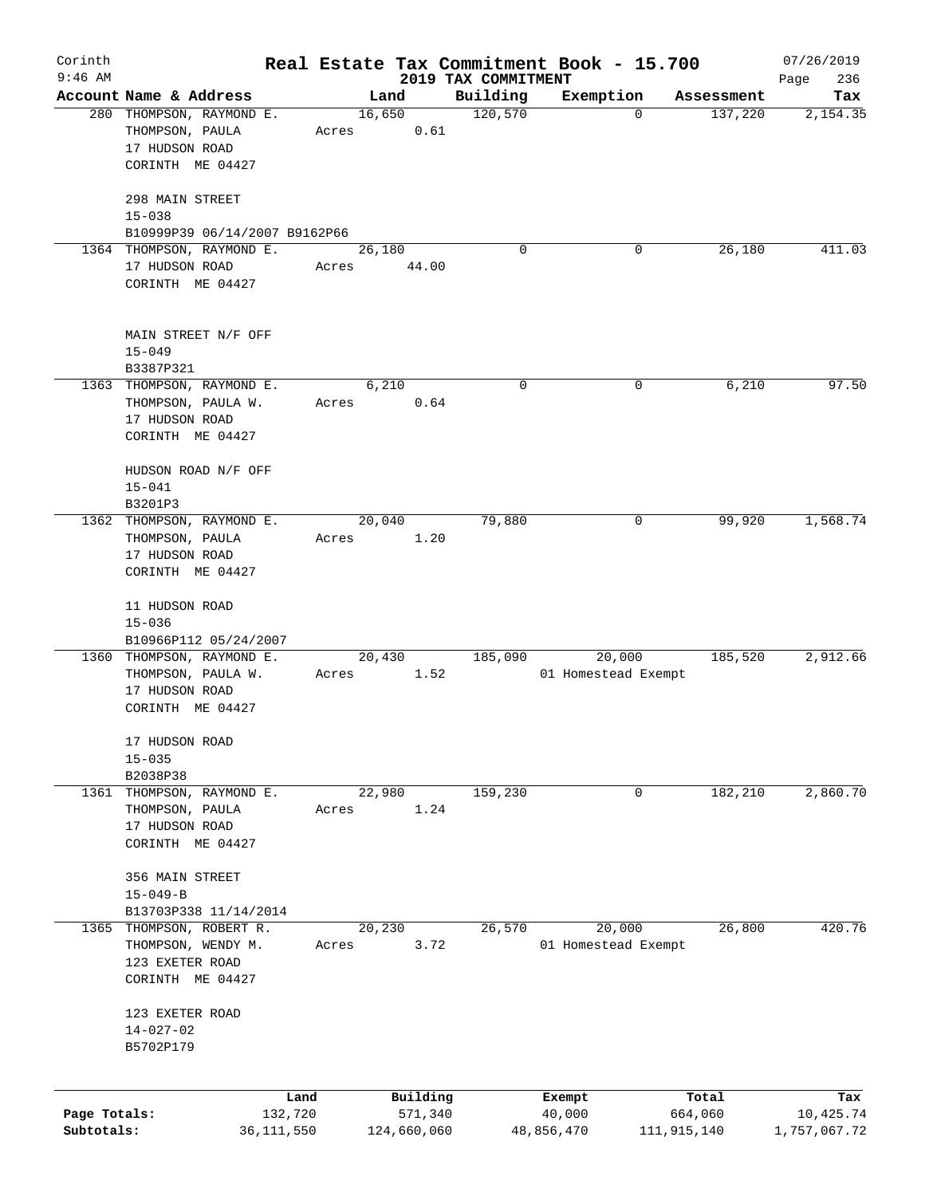| Corinth                    |                                                                                   |                         |       |        |                        |                     | Real Estate Tax Commitment Book - 15.700 |             |            | 07/26/2019                |
|----------------------------|-----------------------------------------------------------------------------------|-------------------------|-------|--------|------------------------|---------------------|------------------------------------------|-------------|------------|---------------------------|
| $9:46$ AM                  |                                                                                   |                         |       |        |                        | 2019 TAX COMMITMENT |                                          |             |            | 236<br>Page               |
|                            | Account Name & Address                                                            |                         |       | Land   |                        | Building            | Exemption                                |             | Assessment | Tax                       |
|                            | 280 THOMPSON, RAYMOND E.<br>THOMPSON, PAULA<br>17 HUDSON ROAD<br>CORINTH ME 04427 |                         | Acres | 16,650 | 0.61                   | 120,570             |                                          | $\mathbf 0$ | 137,220    | 2,154.35                  |
|                            | 298 MAIN STREET<br>$15 - 038$                                                     |                         |       |        |                        |                     |                                          |             |            |                           |
|                            | B10999P39 06/14/2007 B9162P66                                                     |                         |       |        |                        |                     |                                          |             |            |                           |
|                            | 1364 THOMPSON, RAYMOND E.<br>17 HUDSON ROAD<br>CORINTH ME 04427                   |                         | Acres | 26,180 | 44.00                  | $\Omega$            |                                          | 0           | 26,180     | 411.03                    |
|                            | MAIN STREET N/F OFF<br>$15 - 049$<br>B3387P321                                    |                         |       |        |                        |                     |                                          |             |            |                           |
|                            | 1363 THOMPSON, RAYMOND E.                                                         |                         |       | 6,210  |                        | 0                   |                                          | 0           | 6,210      | 97.50                     |
|                            | THOMPSON, PAULA W.<br>17 HUDSON ROAD<br>CORINTH ME 04427                          |                         | Acres |        | 0.64                   |                     |                                          |             |            |                           |
|                            | HUDSON ROAD N/F OFF<br>$15 - 041$<br>B3201P3                                      |                         |       |        |                        |                     |                                          |             |            |                           |
|                            | 1362 THOMPSON, RAYMOND E.                                                         |                         |       | 20,040 |                        | 79,880              |                                          | 0           | 99,920     | 1,568.74                  |
|                            | THOMPSON, PAULA                                                                   |                         | Acres |        | 1.20                   |                     |                                          |             |            |                           |
|                            | 17 HUDSON ROAD                                                                    |                         |       |        |                        |                     |                                          |             |            |                           |
|                            | CORINTH ME 04427                                                                  |                         |       |        |                        |                     |                                          |             |            |                           |
|                            |                                                                                   |                         |       |        |                        |                     |                                          |             |            |                           |
|                            | 11 HUDSON ROAD                                                                    |                         |       |        |                        |                     |                                          |             |            |                           |
|                            | $15 - 036$<br>B10966P112 05/24/2007                                               |                         |       |        |                        |                     |                                          |             |            |                           |
|                            | 1360 THOMPSON, RAYMOND E.                                                         |                         |       | 20,430 |                        | 185,090             | 20,000                                   |             | 185,520    | 2,912.66                  |
|                            | THOMPSON, PAULA W.<br>17 HUDSON ROAD<br>CORINTH ME 04427                          |                         | Acres |        | 1.52                   |                     | 01 Homestead Exempt                      |             |            |                           |
|                            |                                                                                   |                         |       |        |                        |                     |                                          |             |            |                           |
|                            | 17 HUDSON ROAD                                                                    |                         |       |        |                        |                     |                                          |             |            |                           |
|                            | $15 - 035$<br>B2038P38                                                            |                         |       |        |                        |                     |                                          |             |            |                           |
| 1361                       | THOMPSON, RAYMOND E.                                                              |                         |       | 22,980 |                        | 159,230             |                                          | 0           | 182,210    | 2,860.70                  |
|                            | THOMPSON, PAULA<br>17 HUDSON ROAD<br>CORINTH ME 04427                             |                         | Acres |        | 1.24                   |                     |                                          |             |            |                           |
|                            | 356 MAIN STREET<br>$15 - 049 - B$                                                 |                         |       |        |                        |                     |                                          |             |            |                           |
|                            | B13703P338 11/14/2014                                                             |                         |       |        |                        |                     |                                          |             |            |                           |
| 1365                       | THOMPSON, ROBERT R.                                                               |                         |       | 20,230 |                        | 26,570              | 20,000                                   |             | 26,800     | 420.76                    |
|                            | THOMPSON, WENDY M.<br>123 EXETER ROAD<br>CORINTH ME 04427                         |                         | Acres |        | 3.72                   |                     | 01 Homestead Exempt                      |             |            |                           |
|                            | 123 EXETER ROAD                                                                   |                         |       |        |                        |                     |                                          |             |            |                           |
|                            | $14 - 027 - 02$<br>B5702P179                                                      |                         |       |        |                        |                     |                                          |             |            |                           |
|                            |                                                                                   |                         |       |        |                        |                     |                                          |             |            |                           |
|                            |                                                                                   | Land                    |       |        | Building               |                     | Exempt                                   |             | Total      | Tax                       |
| Page Totals:<br>Subtotals: |                                                                                   | 132,720<br>36, 111, 550 |       |        | 571,340<br>124,660,060 |                     | 40,000<br>48,856,470                     | 111,915,140 | 664,060    | 10,425.74<br>1,757,067.72 |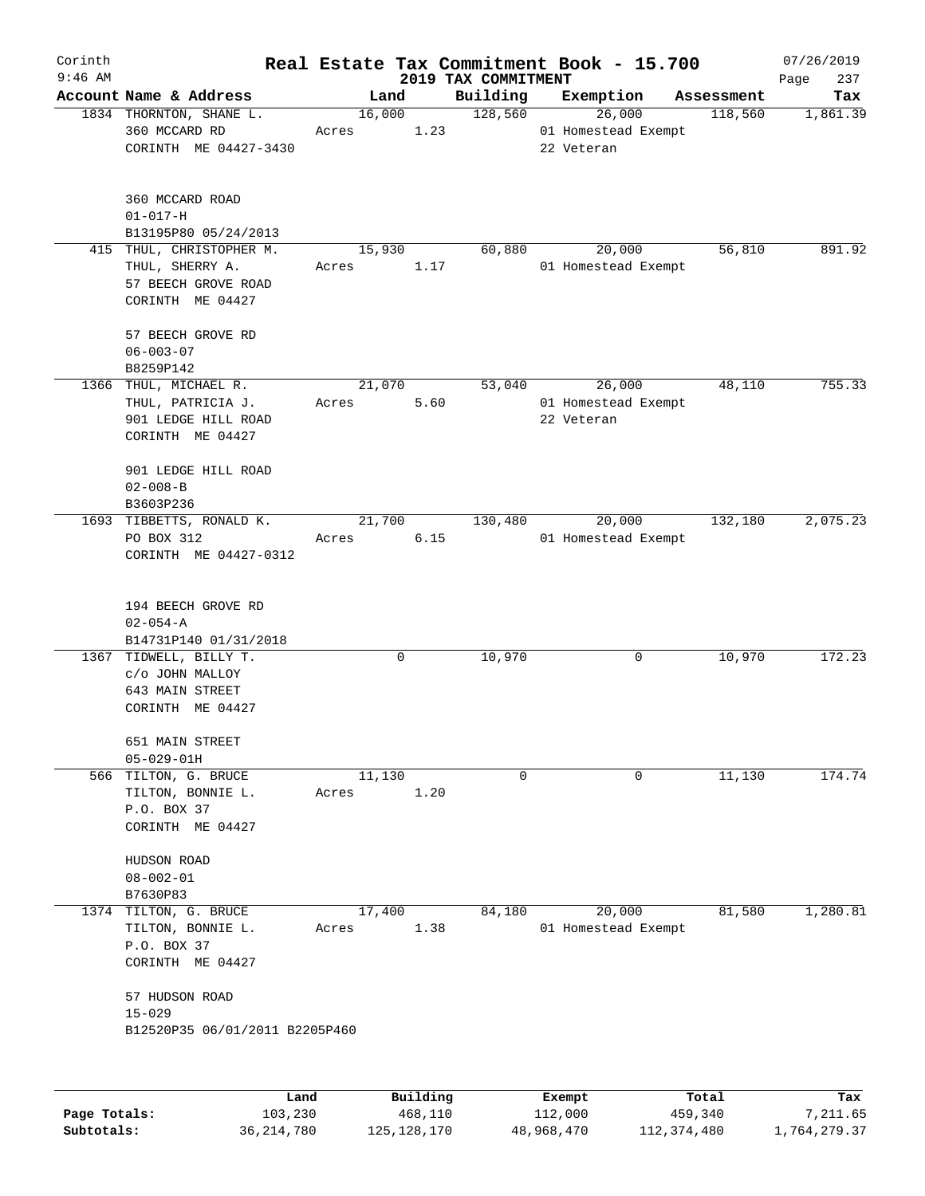| Corinth   |                                                              |        |          |                                 | Real Estate Tax Commitment Book - 15.700 |                       | 07/26/2019         |
|-----------|--------------------------------------------------------------|--------|----------|---------------------------------|------------------------------------------|-----------------------|--------------------|
| $9:46$ AM | Account Name & Address                                       | Land   |          | 2019 TAX COMMITMENT<br>Building | Exemption                                |                       | 237<br>Page<br>Tax |
|           | 1834 THORNTON, SHANE L.                                      | 16,000 |          | 128,560                         | 26,000                                   | Assessment<br>118,560 | 1,861.39           |
|           | 360 MCCARD RD<br>CORINTH ME 04427-3430                       | Acres  | 1.23     |                                 | 01 Homestead Exempt<br>22 Veteran        |                       |                    |
|           | 360 MCCARD ROAD                                              |        |          |                                 |                                          |                       |                    |
|           | $01 - 017 - H$<br>B13195P80 05/24/2013                       |        |          |                                 |                                          |                       |                    |
|           | 415 THUL, CHRISTOPHER M.                                     | 15,930 |          | 60,880                          | 20,000                                   | 56,810                | 891.92             |
|           | THUL, SHERRY A.<br>57 BEECH GROVE ROAD<br>CORINTH ME 04427   | Acres  | 1.17     |                                 | 01 Homestead Exempt                      |                       |                    |
|           | 57 BEECH GROVE RD<br>$06 - 003 - 07$<br>B8259P142            |        |          |                                 |                                          |                       |                    |
|           | 1366 THUL, MICHAEL R.                                        | 21,070 |          | 53,040                          | 26,000                                   | 48,110                | 755.33             |
|           | THUL, PATRICIA J.<br>901 LEDGE HILL ROAD<br>CORINTH ME 04427 | Acres  | 5.60     |                                 | 01 Homestead Exempt<br>22 Veteran        |                       |                    |
|           | 901 LEDGE HILL ROAD<br>$02 - 008 - B$<br>B3603P236           |        |          |                                 |                                          |                       |                    |
|           | 1693 TIBBETTS, RONALD K.                                     | 21,700 |          | 130,480                         | 20,000                                   | 132,180               | 2,075.23           |
|           | PO BOX 312<br>CORINTH ME 04427-0312                          | Acres  | 6.15     |                                 | 01 Homestead Exempt                      |                       |                    |
|           | 194 BEECH GROVE RD<br>$02 - 054 - A$                         |        |          |                                 |                                          |                       |                    |
|           | B14731P140 01/31/2018<br>1367 TIDWELL, BILLY T.              |        |          |                                 |                                          |                       | 172.23             |
|           | c/o JOHN MALLOY<br>643 MAIN STREET                           |        | 0        | 10,970                          | 0                                        | 10,970                |                    |
|           | CORINTH ME 04427                                             |        |          |                                 |                                          |                       |                    |
|           | 651 MAIN STREET<br>$05 - 029 - 01H$                          |        |          |                                 |                                          |                       |                    |
|           | 566 TILTON, G. BRUCE                                         | 11,130 |          | $\mathbf 0$                     | 0                                        | 11,130                | 174.74             |
|           | TILTON, BONNIE L.<br>P.O. BOX 37                             | Acres  | 1.20     |                                 |                                          |                       |                    |
|           | CORINTH ME 04427                                             |        |          |                                 |                                          |                       |                    |
|           | HUDSON ROAD                                                  |        |          |                                 |                                          |                       |                    |
|           | $08 - 002 - 01$                                              |        |          |                                 |                                          |                       |                    |
|           | B7630P83<br>1374 TILTON, G. BRUCE                            | 17,400 |          | 84,180                          | 20,000                                   | 81,580                | 1,280.81           |
|           | TILTON, BONNIE L.                                            | Acres  | 1.38     |                                 | 01 Homestead Exempt                      |                       |                    |
|           | P.O. BOX 37<br>CORINTH ME 04427                              |        |          |                                 |                                          |                       |                    |
|           | 57 HUDSON ROAD                                               |        |          |                                 |                                          |                       |                    |
|           | $15 - 029$<br>B12520P35 06/01/2011 B2205P460                 |        |          |                                 |                                          |                       |                    |
|           |                                                              |        |          |                                 |                                          |                       |                    |
|           | Land                                                         |        | Building |                                 | Exempt                                   | Total                 | Tax                |

**Page Totals:** 103,230 468,110 112,000 459,340 7,211.65 **Subtotals:** 36,214,780 125,128,170 48,968,470 112,374,480 1,764,279.37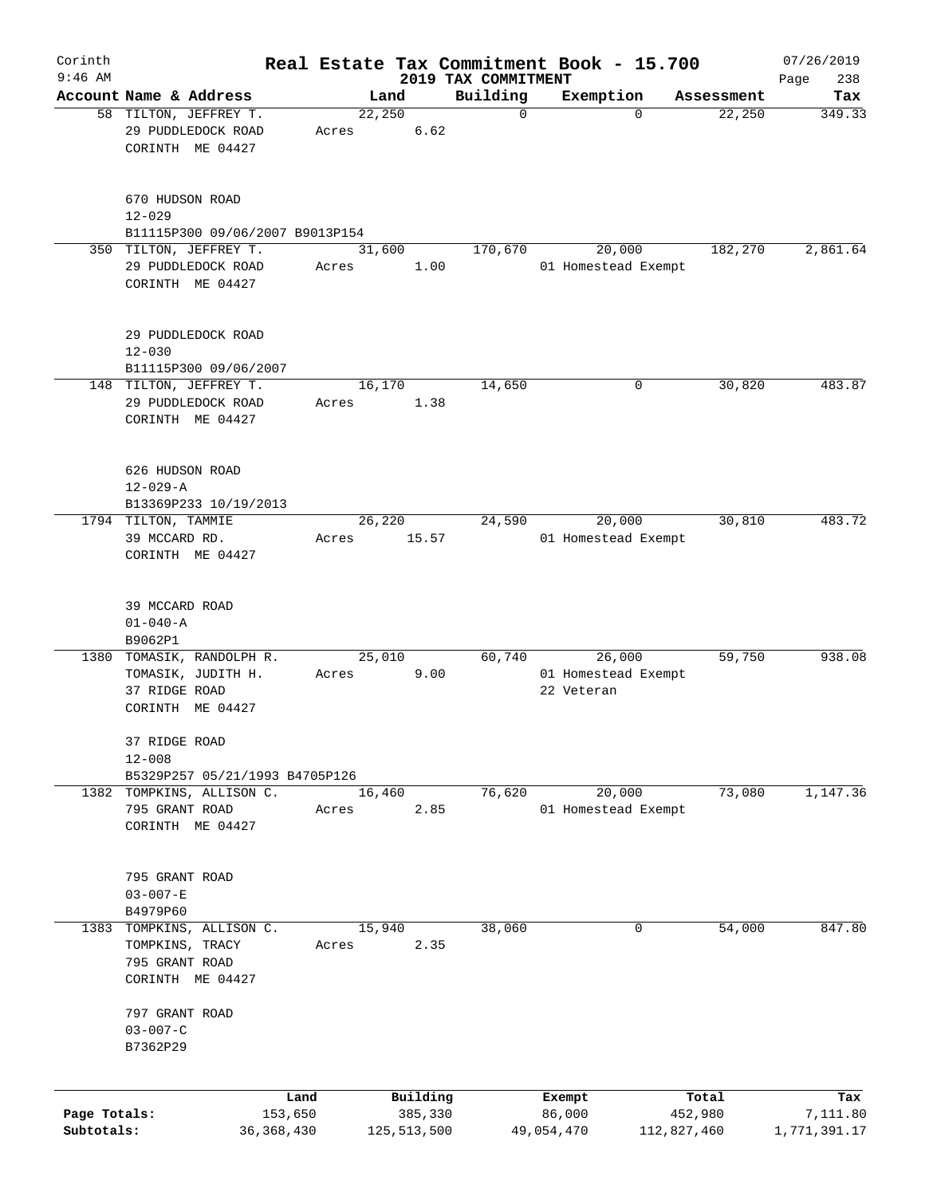| Corinth                    |                                                                                 |                               |                                    |                         | Real Estate Tax Commitment Book - 15.700    |                                 | 07/26/2019                      |
|----------------------------|---------------------------------------------------------------------------------|-------------------------------|------------------------------------|-------------------------|---------------------------------------------|---------------------------------|---------------------------------|
| $9:46$ AM                  | Account Name & Address                                                          |                               |                                    | 2019 TAX COMMITMENT     |                                             |                                 | 238<br>Page                     |
|                            | 58 TILTON, JEFFREY T.                                                           |                               | Land<br>22,250                     | Building<br>$\mathbf 0$ | Exemption<br>$\Omega$                       | Assessment<br>22,250            | Tax<br>349.33                   |
|                            | 29 PUDDLEDOCK ROAD<br>CORINTH ME 04427                                          | Acres                         | 6.62                               |                         |                                             |                                 |                                 |
|                            | 670 HUDSON ROAD<br>$12 - 029$                                                   |                               |                                    |                         |                                             |                                 |                                 |
|                            | B11115P300 09/06/2007 B9013P154                                                 |                               |                                    |                         |                                             |                                 |                                 |
|                            | 350 TILTON, JEFFREY T.<br>29 PUDDLEDOCK ROAD<br>CORINTH ME 04427                | Acres                         | 31,600<br>1.00                     | 170,670                 | 20,000<br>01 Homestead Exempt               | 182,270                         | 2,861.64                        |
|                            | 29 PUDDLEDOCK ROAD<br>$12 - 030$<br>B11115P300 09/06/2007                       |                               |                                    |                         |                                             |                                 |                                 |
|                            | 148 TILTON, JEFFREY T.                                                          |                               | 16,170                             | 14,650                  | 0                                           | 30,820                          | 483.87                          |
|                            | 29 PUDDLEDOCK ROAD<br>CORINTH ME 04427                                          | Acres                         | 1.38                               |                         |                                             |                                 |                                 |
|                            | 626 HUDSON ROAD<br>$12 - 029 - A$<br>B13369P233 10/19/2013                      |                               |                                    |                         |                                             |                                 |                                 |
|                            | 1794 TILTON, TAMMIE                                                             |                               | 26,220                             | 24,590                  | 20,000                                      | 30,810                          | 483.72                          |
|                            | 39 MCCARD RD.<br>CORINTH ME 04427                                               | Acres                         | 15.57                              |                         | 01 Homestead Exempt                         |                                 |                                 |
|                            | 39 MCCARD ROAD<br>$01 - 040 - A$                                                |                               |                                    |                         |                                             |                                 |                                 |
|                            | B9062P1                                                                         |                               |                                    |                         |                                             |                                 |                                 |
| 1380                       | TOMASIK, RANDOLPH R.<br>TOMASIK, JUDITH H.<br>37 RIDGE ROAD<br>CORINTH ME 04427 | Acres                         | 25,010<br>9.00                     | 60,740                  | 26,000<br>01 Homestead Exempt<br>22 Veteran | 59,750                          | 938.08                          |
|                            | 37 RIDGE ROAD<br>$12 - 008$<br>B5329P257 05/21/1993 B4705P126                   |                               |                                    |                         |                                             |                                 |                                 |
|                            | 1382 TOMPKINS, ALLISON C.                                                       |                               | 16,460                             | 76,620                  | 20,000                                      | 73,080                          | 1,147.36                        |
|                            | 795 GRANT ROAD<br>CORINTH ME 04427                                              | Acres                         | 2.85                               |                         | 01 Homestead Exempt                         |                                 |                                 |
|                            | 795 GRANT ROAD<br>$03 - 007 - E$<br>B4979P60                                    |                               |                                    |                         |                                             |                                 |                                 |
| 1383                       | TOMPKINS, ALLISON C.<br>TOMPKINS, TRACY<br>795 GRANT ROAD<br>CORINTH ME 04427   | Acres                         | 15,940<br>2.35                     | 38,060                  | 0                                           | 54,000                          | 847.80                          |
|                            | 797 GRANT ROAD<br>$03 - 007 - C$<br>B7362P29                                    |                               |                                    |                         |                                             |                                 |                                 |
|                            |                                                                                 |                               |                                    |                         |                                             |                                 |                                 |
| Page Totals:<br>Subtotals: |                                                                                 | Land<br>153,650<br>36,368,430 | Building<br>385,330<br>125,513,500 |                         | Exempt<br>86,000<br>49,054,470              | Total<br>452,980<br>112,827,460 | Tax<br>7,111.80<br>1,771,391.17 |
|                            |                                                                                 |                               |                                    |                         |                                             |                                 |                                 |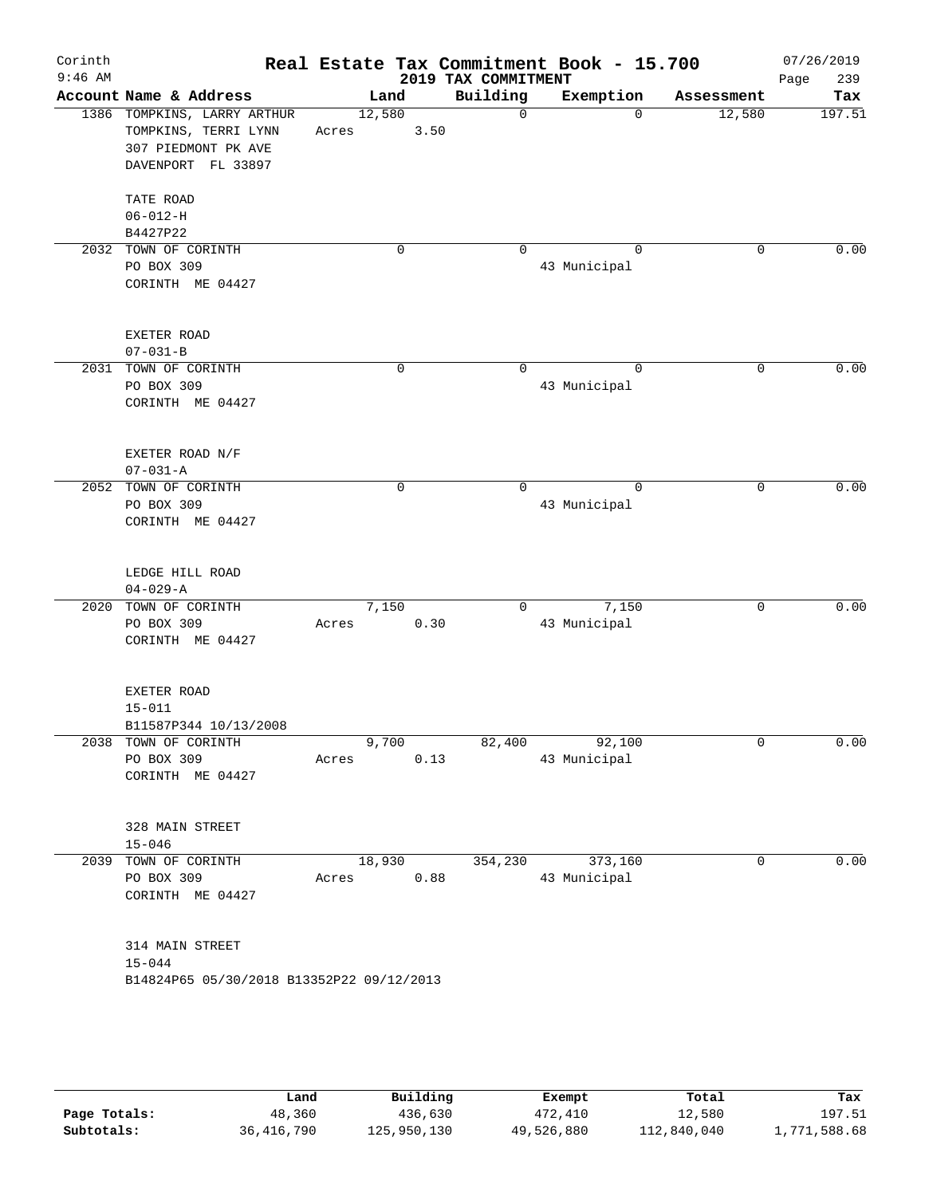| Corinth   |                                                         |                         |             |                                 | Real Estate Tax Commitment Book - 15.700 |                                  | 07/26/2019    |
|-----------|---------------------------------------------------------|-------------------------|-------------|---------------------------------|------------------------------------------|----------------------------------|---------------|
| $9:46$ AM | Account Name & Address                                  |                         |             | 2019 TAX COMMITMENT<br>Building | Exemption                                |                                  | 239<br>Page   |
|           | 1386 TOMPKINS, LARRY ARTHUR<br>TOMPKINS, TERRI LYNN     | Land<br>12,580<br>Acres | 3.50        | $\Omega$                        |                                          | Assessment<br>$\Omega$<br>12,580 | Tax<br>197.51 |
|           | 307 PIEDMONT PK AVE<br>DAVENPORT FL 33897               |                         |             |                                 |                                          |                                  |               |
|           | TATE ROAD<br>$06 - 012 - H$                             |                         |             |                                 |                                          |                                  |               |
|           | B4427P22                                                |                         |             |                                 |                                          |                                  |               |
|           | 2032 TOWN OF CORINTH                                    |                         | $\mathbf 0$ | $\Omega$                        |                                          | $\Omega$<br>0                    | 0.00          |
|           | PO BOX 309<br>CORINTH ME 04427                          |                         |             |                                 | 43 Municipal                             |                                  |               |
|           | EXETER ROAD<br>$07 - 031 - B$                           |                         |             |                                 |                                          |                                  |               |
|           | 2031 TOWN OF CORINTH                                    |                         | $\mathbf 0$ | $\Omega$                        |                                          | $\Omega$<br>$\Omega$             | 0.00          |
|           | PO BOX 309<br>CORINTH ME 04427                          |                         |             |                                 | 43 Municipal                             |                                  |               |
|           | EXETER ROAD N/F<br>$07 - 031 - A$                       |                         |             |                                 |                                          |                                  |               |
|           | 2052 TOWN OF CORINTH                                    |                         | $\mathbf 0$ | $\mathbf 0$                     |                                          | $\Omega$<br>0                    | 0.00          |
|           | PO BOX 309                                              |                         |             |                                 | 43 Municipal                             |                                  |               |
|           | CORINTH ME 04427                                        |                         |             |                                 |                                          |                                  |               |
|           | LEDGE HILL ROAD<br>$04 - 029 - A$                       |                         |             |                                 |                                          |                                  |               |
|           | 2020 TOWN OF CORINTH                                    | 7,150                   |             | $\Omega$                        | 7,150                                    | $\mathbf 0$                      | 0.00          |
|           | PO BOX 309<br>CORINTH ME 04427                          | Acres                   | 0.30        |                                 | 43 Municipal                             |                                  |               |
|           | EXETER ROAD                                             |                         |             |                                 |                                          |                                  |               |
|           | $15 - 011$                                              |                         |             |                                 |                                          |                                  |               |
|           | B11587P344 10/13/2008<br>2038 TOWN OF CORINTH           | 9,700                   |             | 82,400                          | 92,100                                   | $\mathbf 0$                      | 0.00          |
|           | PO BOX 309                                              | Acres                   | 0.13        |                                 | 43 Municipal                             |                                  |               |
|           | CORINTH ME 04427                                        |                         |             |                                 |                                          |                                  |               |
|           | 328 MAIN STREET<br>$15 - 046$                           |                         |             |                                 |                                          |                                  |               |
| 2039      | TOWN OF CORINTH                                         | 18,930                  |             | 354,230                         | 373,160                                  | 0                                | 0.00          |
|           | PO BOX 309<br>CORINTH ME 04427                          | Acres                   | 0.88        |                                 | 43 Municipal                             |                                  |               |
|           | 314 MAIN STREET                                         |                         |             |                                 |                                          |                                  |               |
|           | $15 - 044$<br>B14824P65 05/30/2018 B13352P22 09/12/2013 |                         |             |                                 |                                          |                                  |               |
|           |                                                         |                         |             |                                 |                                          |                                  |               |
|           |                                                         |                         |             |                                 |                                          |                                  |               |
|           |                                                         |                         |             |                                 |                                          |                                  |               |

|              | Land         | Building    | Exempt     | Total       | Tax          |
|--------------|--------------|-------------|------------|-------------|--------------|
| Page Totals: | 48,360       | 436,630     | 472,410    | 12,580      | 197.51       |
| Subtotals:   | 36, 416, 790 | 125,950,130 | 49,526,880 | 112,840,040 | 1,771,588.68 |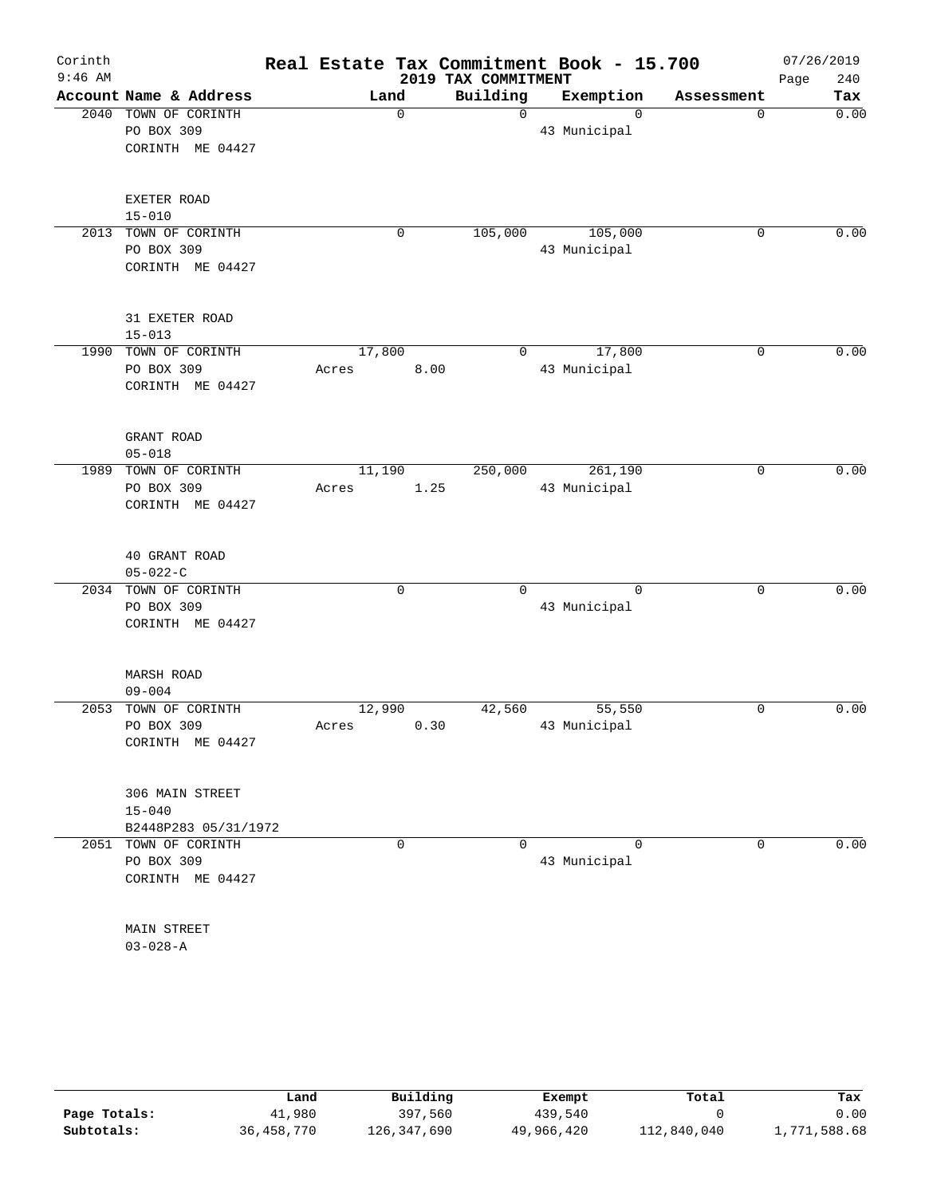| Corinth   |                                    |                 |             |                     | Real Estate Tax Commitment Book - 15.700 |             | 07/26/2019  |
|-----------|------------------------------------|-----------------|-------------|---------------------|------------------------------------------|-------------|-------------|
| $9:46$ AM |                                    |                 |             | 2019 TAX COMMITMENT |                                          |             | Page<br>240 |
|           | Account Name & Address             |                 | Land        | Building            | Exemption                                | Assessment  | Tax         |
| 2040      | TOWN OF CORINTH                    |                 | $\mathbf 0$ | $\mathsf{O}$        | $\Omega$                                 | $\mathbf 0$ | 0.00        |
|           | PO BOX 309                         |                 |             |                     | 43 Municipal                             |             |             |
|           | CORINTH ME 04427                   |                 |             |                     |                                          |             |             |
|           | EXETER ROAD                        |                 |             |                     |                                          |             |             |
|           | $15 - 010$                         |                 |             |                     |                                          |             |             |
|           | 2013 TOWN OF CORINTH               |                 | 0           | 105,000             | 105,000                                  | $\mathbf 0$ | 0.00        |
|           | PO BOX 309<br>CORINTH ME 04427     |                 |             |                     | 43 Municipal                             |             |             |
|           | 31 EXETER ROAD                     |                 |             |                     |                                          |             |             |
|           | $15 - 013$                         |                 |             |                     |                                          |             |             |
|           | 1990 TOWN OF CORINTH<br>PO BOX 309 | 17,800<br>Acres | 8.00        | $\Omega$            | 17,800<br>43 Municipal                   | $\mathbf 0$ | 0.00        |
|           | CORINTH ME 04427                   |                 |             |                     |                                          |             |             |
|           | GRANT ROAD                         |                 |             |                     |                                          |             |             |
|           | $05 - 018$<br>1989 TOWN OF CORINTH |                 |             |                     | 261,190                                  | 0           | 0.00        |
|           | PO BOX 309                         | 11,190<br>Acres | 1.25        | 250,000             | 43 Municipal                             |             |             |
|           | CORINTH ME 04427                   |                 |             |                     |                                          |             |             |
|           | 40 GRANT ROAD<br>$05 - 022 - C$    |                 |             |                     |                                          |             |             |
|           | 2034 TOWN OF CORINTH               |                 | 0           | $\Omega$            | $\Omega$                                 | $\mathbf 0$ | 0.00        |
|           | PO BOX 309                         |                 |             |                     | 43 Municipal                             |             |             |
|           | CORINTH ME 04427                   |                 |             |                     |                                          |             |             |
|           | MARSH ROAD<br>$09 - 004$           |                 |             |                     |                                          |             |             |
| 2053      | TOWN OF CORINTH                    | 12,990          |             | 42,560              | 55,550                                   | 0           | 0.00        |
|           | PO BOX 309                         | Acres           | 0.30        |                     | 43 Municipal                             |             |             |
|           | CORINTH ME 04427                   |                 |             |                     |                                          |             |             |
|           | 306 MAIN STREET                    |                 |             |                     |                                          |             |             |
|           | $15 - 040$                         |                 |             |                     |                                          |             |             |
|           | B2448P283 05/31/1972               |                 |             |                     |                                          |             |             |
|           | 2051 TOWN OF CORINTH               |                 | 0           | 0                   | $\Omega$                                 | 0           | 0.00        |
|           | PO BOX 309                         |                 |             |                     | 43 Municipal                             |             |             |
|           | CORINTH ME 04427                   |                 |             |                     |                                          |             |             |
|           | <b>MAIN STREET</b>                 |                 |             |                     |                                          |             |             |
|           | $03 - 028 - A$                     |                 |             |                     |                                          |             |             |

|              | Land         | Building    | Exempt     | Total       | Tax          |
|--------------|--------------|-------------|------------|-------------|--------------|
| Page Totals: | 41,980       | 397,560     | 439,540    |             | 0.00         |
| Subtotals:   | 36, 458, 770 | 126,347,690 | 49,966,420 | 112,840,040 | 1,771,588.68 |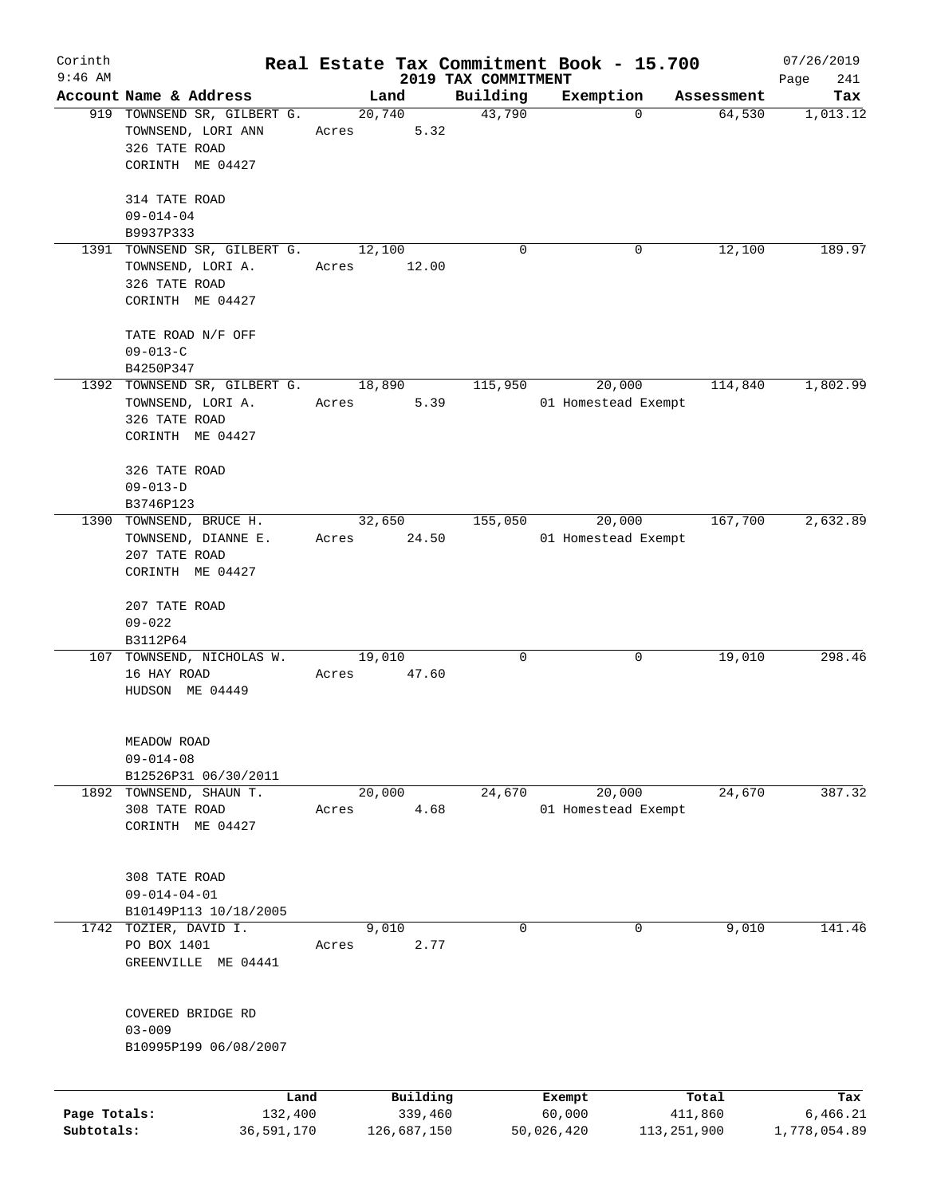| Corinth      |                                     |            |       |             |                                 | Real Estate Tax Commitment Book - 15.700 |                                     | 07/26/2019         |
|--------------|-------------------------------------|------------|-------|-------------|---------------------------------|------------------------------------------|-------------------------------------|--------------------|
| $9:46$ AM    | Account Name & Address              |            |       | Land        | 2019 TAX COMMITMENT<br>Building | Exemption                                |                                     | 241<br>Page<br>Tax |
|              | 919 TOWNSEND SR, GILBERT G.         |            |       | 20,740      | 43,790                          |                                          | Assessment<br>64,530<br>$\mathbf 0$ | 1,013.12           |
|              | TOWNSEND, LORI ANN                  |            | Acres | 5.32        |                                 |                                          |                                     |                    |
|              | 326 TATE ROAD                       |            |       |             |                                 |                                          |                                     |                    |
|              | CORINTH ME 04427                    |            |       |             |                                 |                                          |                                     |                    |
|              |                                     |            |       |             |                                 |                                          |                                     |                    |
|              | 314 TATE ROAD                       |            |       |             |                                 |                                          |                                     |                    |
|              | $09 - 014 - 04$                     |            |       |             |                                 |                                          |                                     |                    |
|              | B9937P333                           |            |       |             |                                 |                                          |                                     |                    |
|              | 1391 TOWNSEND SR, GILBERT G.        |            |       | 12,100      | $\Omega$                        |                                          | 12,100<br>0                         | 189.97             |
|              | TOWNSEND, LORI A.                   |            | Acres | 12.00       |                                 |                                          |                                     |                    |
|              | 326 TATE ROAD                       |            |       |             |                                 |                                          |                                     |                    |
|              | CORINTH ME 04427                    |            |       |             |                                 |                                          |                                     |                    |
|              |                                     |            |       |             |                                 |                                          |                                     |                    |
|              | TATE ROAD N/F OFF                   |            |       |             |                                 |                                          |                                     |                    |
|              | $09 - 013 - C$                      |            |       |             |                                 |                                          |                                     |                    |
|              | B4250P347                           |            |       |             |                                 |                                          |                                     |                    |
|              | 1392 TOWNSEND SR, GILBERT G. 18,890 |            |       |             | 115,950                         | 20,000                                   | 114,840                             | 1,802.99           |
|              | TOWNSEND, LORI A.                   |            | Acres | 5.39        |                                 | 01 Homestead Exempt                      |                                     |                    |
|              | 326 TATE ROAD                       |            |       |             |                                 |                                          |                                     |                    |
|              | CORINTH ME 04427                    |            |       |             |                                 |                                          |                                     |                    |
|              | 326 TATE ROAD                       |            |       |             |                                 |                                          |                                     |                    |
|              | $09 - 013 - D$                      |            |       |             |                                 |                                          |                                     |                    |
|              | B3746P123                           |            |       |             |                                 |                                          |                                     |                    |
|              | 1390 TOWNSEND, BRUCE H.             |            |       | 32,650      | 155,050                         | 20,000                                   | 167,700                             | 2,632.89           |
|              | TOWNSEND, DIANNE E.                 |            | Acres | 24.50       |                                 | 01 Homestead Exempt                      |                                     |                    |
|              | 207 TATE ROAD                       |            |       |             |                                 |                                          |                                     |                    |
|              | CORINTH ME 04427                    |            |       |             |                                 |                                          |                                     |                    |
|              |                                     |            |       |             |                                 |                                          |                                     |                    |
|              | 207 TATE ROAD                       |            |       |             |                                 |                                          |                                     |                    |
|              | $09 - 022$                          |            |       |             |                                 |                                          |                                     |                    |
|              | B3112P64                            |            |       |             |                                 |                                          |                                     |                    |
|              | 107 TOWNSEND, NICHOLAS W.           |            |       | 19,010      | 0                               |                                          | 19,010<br>0                         | 298.46             |
|              | 16 HAY ROAD                         |            | Acres | 47.60       |                                 |                                          |                                     |                    |
|              | HUDSON ME 04449                     |            |       |             |                                 |                                          |                                     |                    |
|              |                                     |            |       |             |                                 |                                          |                                     |                    |
|              |                                     |            |       |             |                                 |                                          |                                     |                    |
|              | MEADOW ROAD                         |            |       |             |                                 |                                          |                                     |                    |
|              | $09 - 014 - 08$                     |            |       |             |                                 |                                          |                                     |                    |
|              | B12526P31 06/30/2011                |            |       |             |                                 |                                          |                                     |                    |
|              | 1892 TOWNSEND, SHAUN T.             |            |       | 20,000      | 24,670                          | 20,000                                   | 24,670                              | 387.32             |
|              | 308 TATE ROAD                       |            | Acres | 4.68        |                                 | 01 Homestead Exempt                      |                                     |                    |
|              | CORINTH ME 04427                    |            |       |             |                                 |                                          |                                     |                    |
|              |                                     |            |       |             |                                 |                                          |                                     |                    |
|              | 308 TATE ROAD                       |            |       |             |                                 |                                          |                                     |                    |
|              | $09 - 014 - 04 - 01$                |            |       |             |                                 |                                          |                                     |                    |
|              | B10149P113 10/18/2005               |            |       |             |                                 |                                          |                                     |                    |
| 1742         | TOZIER, DAVID I.                    |            |       | 9,010       | 0                               |                                          | 0<br>9,010                          | 141.46             |
|              | PO BOX 1401                         |            | Acres | 2.77        |                                 |                                          |                                     |                    |
|              | GREENVILLE ME 04441                 |            |       |             |                                 |                                          |                                     |                    |
|              |                                     |            |       |             |                                 |                                          |                                     |                    |
|              |                                     |            |       |             |                                 |                                          |                                     |                    |
|              | COVERED BRIDGE RD                   |            |       |             |                                 |                                          |                                     |                    |
|              | $03 - 009$                          |            |       |             |                                 |                                          |                                     |                    |
|              | B10995P199 06/08/2007               |            |       |             |                                 |                                          |                                     |                    |
|              |                                     |            |       |             |                                 |                                          |                                     |                    |
|              |                                     | Land       |       | Building    |                                 | Exempt                                   | Total                               | Tax                |
| Page Totals: |                                     | 132,400    |       | 339,460     |                                 | 60,000                                   | 411,860                             | 6,466.21           |
| Subtotals:   |                                     | 36,591,170 |       | 126,687,150 |                                 | 50,026,420                               | 113, 251, 900                       | 1,778,054.89       |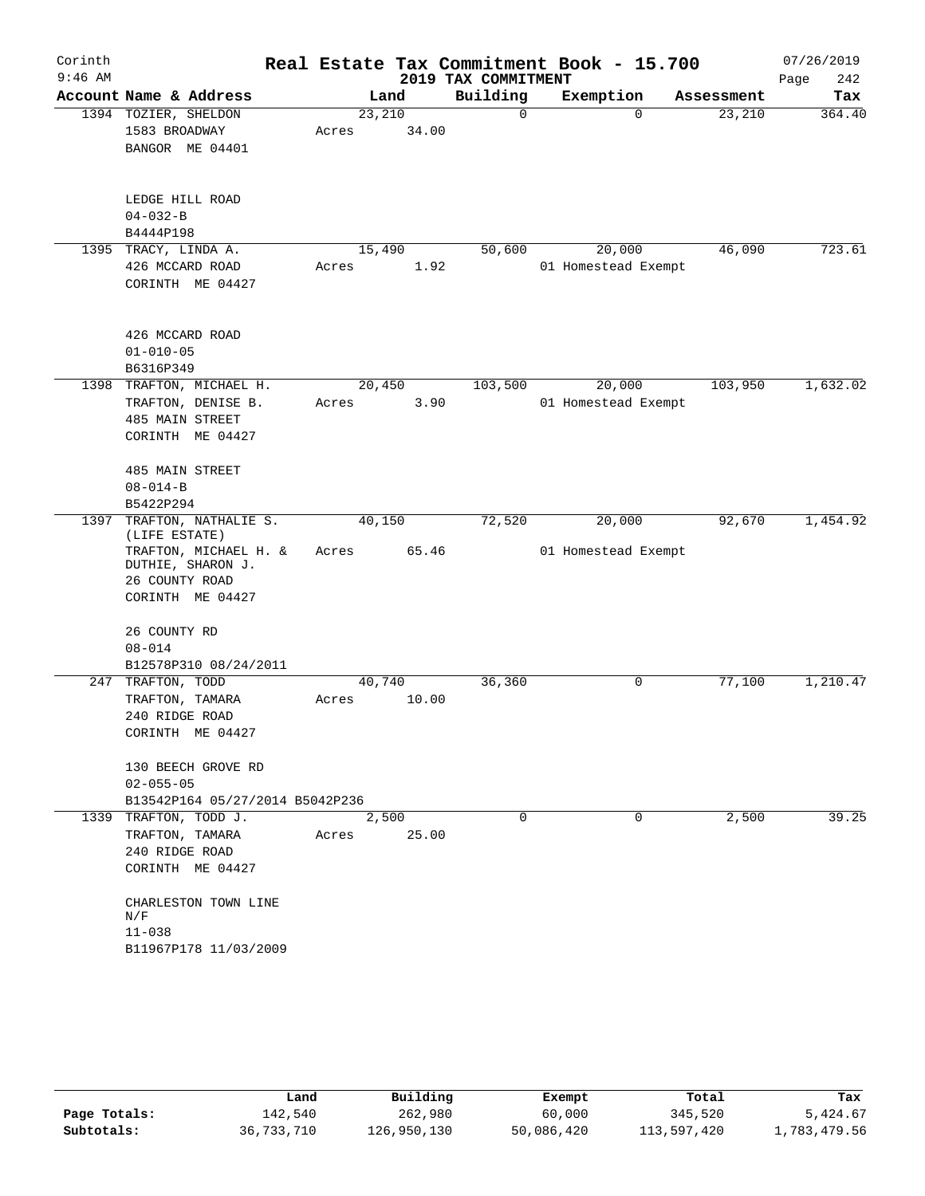| Corinth   |                                            |        |       |                     | Real Estate Tax Commitment Book - 15.700 |                    | 07/26/2019  |
|-----------|--------------------------------------------|--------|-------|---------------------|------------------------------------------|--------------------|-------------|
| $9:46$ AM |                                            |        |       | 2019 TAX COMMITMENT |                                          |                    | Page<br>242 |
|           | Account Name & Address                     |        | Land  | Building            | Exemption                                | Assessment         | Tax         |
|           | 1394 TOZIER, SHELDON                       | 23,210 |       | 0                   |                                          | 23,210<br>$\Omega$ | 364.40      |
|           | 1583 BROADWAY                              | Acres  | 34.00 |                     |                                          |                    |             |
|           | BANGOR ME 04401                            |        |       |                     |                                          |                    |             |
|           | LEDGE HILL ROAD                            |        |       |                     |                                          |                    |             |
|           | $04 - 032 - B$                             |        |       |                     |                                          |                    |             |
|           | B4444P198                                  |        |       |                     |                                          |                    |             |
|           | 1395 TRACY, LINDA A.                       | 15,490 |       | 50,600              | 20,000                                   | 46,090             | 723.61      |
|           | 426 MCCARD ROAD                            | Acres  | 1.92  |                     | 01 Homestead Exempt                      |                    |             |
|           | CORINTH ME 04427                           |        |       |                     |                                          |                    |             |
|           | 426 MCCARD ROAD                            |        |       |                     |                                          |                    |             |
|           | $01 - 010 - 05$                            |        |       |                     |                                          |                    |             |
|           | B6316P349                                  |        |       |                     |                                          |                    |             |
|           | 1398 TRAFTON, MICHAEL H.                   | 20,450 |       | 103,500             | 20,000                                   | 103,950            | 1,632.02    |
|           | TRAFTON, DENISE B.                         | Acres  | 3.90  |                     | 01 Homestead Exempt                      |                    |             |
|           | <b>485 MAIN STREET</b><br>CORINTH ME 04427 |        |       |                     |                                          |                    |             |
|           | 485 MAIN STREET                            |        |       |                     |                                          |                    |             |
|           | $08 - 014 - B$                             |        |       |                     |                                          |                    |             |
|           | B5422P294                                  |        |       |                     |                                          |                    |             |
| 1397      | TRAFTON, NATHALIE S.                       | 40,150 |       | 72,520              | 20,000                                   | 92,670             | 1,454.92    |
|           | (LIFE ESTATE)                              |        |       |                     |                                          |                    |             |
|           | TRAFTON, MICHAEL H. &<br>DUTHIE, SHARON J. | Acres  | 65.46 |                     | 01 Homestead Exempt                      |                    |             |
|           | 26 COUNTY ROAD                             |        |       |                     |                                          |                    |             |
|           | CORINTH ME 04427                           |        |       |                     |                                          |                    |             |
|           | 26 COUNTY RD                               |        |       |                     |                                          |                    |             |
|           | $08 - 014$                                 |        |       |                     |                                          |                    |             |
|           | B12578P310 08/24/2011                      |        |       |                     |                                          |                    |             |
| 247       | TRAFTON, TODD                              | 40,740 |       | 36,360              | 0                                        | 77,100             | 1,210.47    |
|           | TRAFTON, TAMARA                            | Acres  | 10.00 |                     |                                          |                    |             |
|           | 240 RIDGE ROAD                             |        |       |                     |                                          |                    |             |
|           | CORINTH ME 04427                           |        |       |                     |                                          |                    |             |
|           | 130 BEECH GROVE RD                         |        |       |                     |                                          |                    |             |
|           | $02 - 055 - 05$                            |        |       |                     |                                          |                    |             |
|           | B13542P164 05/27/2014 B5042P236            |        |       |                     |                                          |                    |             |
|           | 1339 TRAFTON, TODD J.                      |        | 2,500 | $\Omega$            | $\Omega$                                 | 2,500              | 39.25       |
|           | TRAFTON, TAMARA                            | Acres  | 25.00 |                     |                                          |                    |             |
|           | 240 RIDGE ROAD<br>CORINTH ME 04427         |        |       |                     |                                          |                    |             |
|           |                                            |        |       |                     |                                          |                    |             |
|           | CHARLESTON TOWN LINE                       |        |       |                     |                                          |                    |             |
|           | N/F                                        |        |       |                     |                                          |                    |             |
|           | $11 - 038$<br>B11967P178 11/03/2009        |        |       |                     |                                          |                    |             |
|           |                                            |        |       |                     |                                          |                    |             |

|              | Land       | Building    | Exempt     | Total       | Tax          |
|--------------|------------|-------------|------------|-------------|--------------|
| Page Totals: | 142,540    | 262,980     | 60,000     | 345,520     | 5,424.67     |
| Subtotals:   | 36,733,710 | 126,950,130 | 50,086,420 | 113,597,420 | 1,783,479.56 |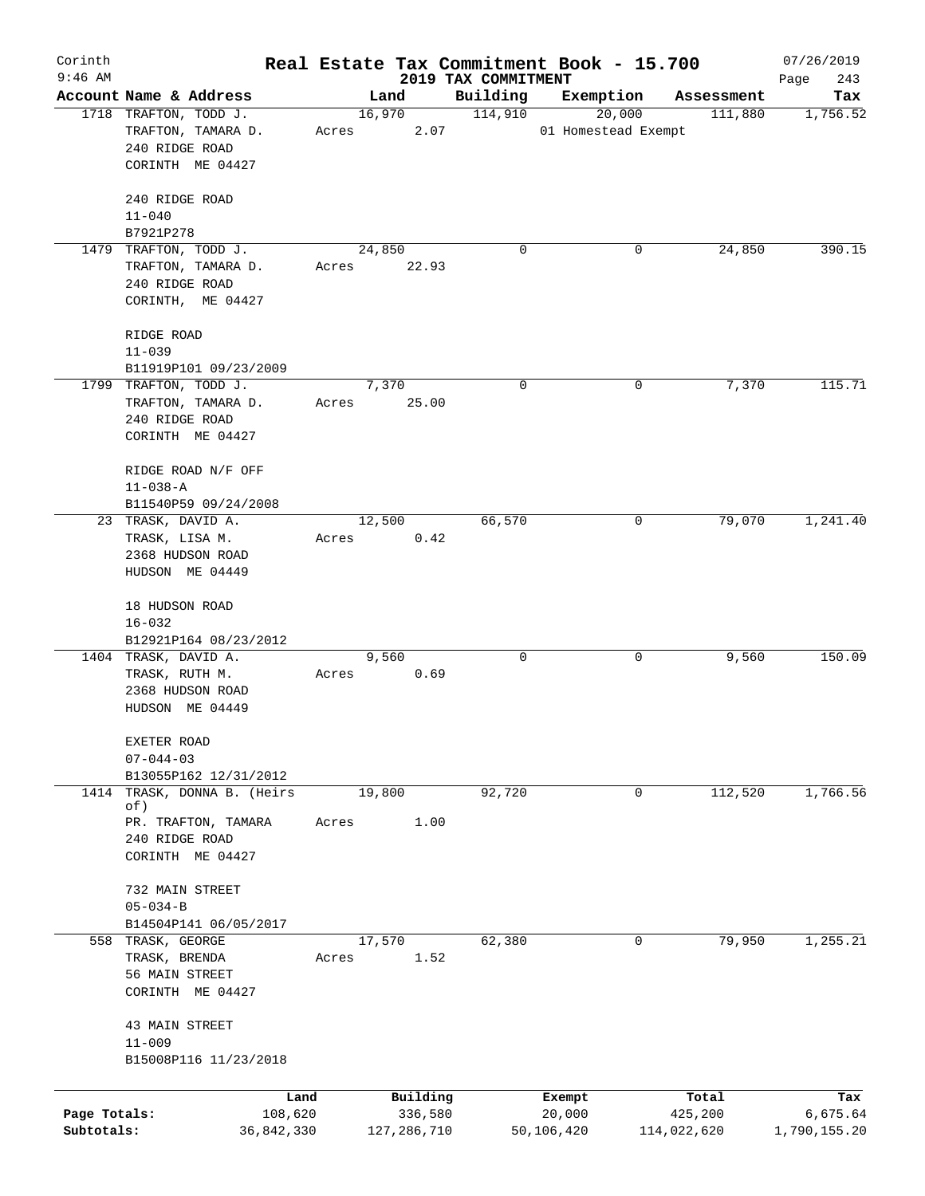| Corinth<br>$9:46$ AM |                                            |       |               |      |                                 | Real Estate Tax Commitment Book - 15.700 |             | 07/26/2019         |
|----------------------|--------------------------------------------|-------|---------------|------|---------------------------------|------------------------------------------|-------------|--------------------|
|                      | Account Name & Address                     |       | Land          |      | 2019 TAX COMMITMENT<br>Building | Exemption                                | Assessment  | 243<br>Page<br>Tax |
|                      | 1718 TRAFTON, TODD J.                      |       | 16,970        |      | 114,910                         | 20,000                                   | 111,880     | 1,756.52           |
|                      | TRAFTON, TAMARA D.                         | Acres |               | 2.07 |                                 | 01 Homestead Exempt                      |             |                    |
|                      | 240 RIDGE ROAD                             |       |               |      |                                 |                                          |             |                    |
|                      | CORINTH ME 04427                           |       |               |      |                                 |                                          |             |                    |
|                      | 240 RIDGE ROAD                             |       |               |      |                                 |                                          |             |                    |
|                      | $11 - 040$                                 |       |               |      |                                 |                                          |             |                    |
|                      | B7921P278                                  |       |               |      |                                 |                                          |             |                    |
|                      | 1479 TRAFTON, TODD J.                      |       | 24,850        |      | 0                               | 0                                        | 24,850      | 390.15             |
|                      | TRAFTON, TAMARA D.                         | Acres | 22.93         |      |                                 |                                          |             |                    |
|                      | 240 RIDGE ROAD                             |       |               |      |                                 |                                          |             |                    |
|                      | CORINTH, ME 04427                          |       |               |      |                                 |                                          |             |                    |
|                      | RIDGE ROAD                                 |       |               |      |                                 |                                          |             |                    |
|                      | $11 - 039$                                 |       |               |      |                                 |                                          |             |                    |
|                      | B11919P101 09/23/2009                      |       |               |      |                                 |                                          |             |                    |
|                      | 1799 TRAFTON, TODD J.                      |       | 7,370         |      | 0                               | 0                                        | 7,370       | 115.71             |
|                      | TRAFTON, TAMARA D.                         | Acres | 25.00         |      |                                 |                                          |             |                    |
|                      | 240 RIDGE ROAD                             |       |               |      |                                 |                                          |             |                    |
|                      | CORINTH ME 04427                           |       |               |      |                                 |                                          |             |                    |
|                      | RIDGE ROAD N/F OFF                         |       |               |      |                                 |                                          |             |                    |
|                      | $11 - 038 - A$                             |       |               |      |                                 |                                          |             |                    |
|                      | B11540P59 09/24/2008                       |       |               |      |                                 |                                          |             |                    |
|                      | 23 TRASK, DAVID A.                         |       | 12,500        |      | 66,570                          | 0                                        | 79,070      | 1,241.40           |
|                      | TRASK, LISA M.                             | Acres |               | 0.42 |                                 |                                          |             |                    |
|                      | 2368 HUDSON ROAD                           |       |               |      |                                 |                                          |             |                    |
|                      | HUDSON ME 04449                            |       |               |      |                                 |                                          |             |                    |
|                      |                                            |       |               |      |                                 |                                          |             |                    |
|                      | 18 HUDSON ROAD                             |       |               |      |                                 |                                          |             |                    |
|                      | $16 - 032$                                 |       |               |      |                                 |                                          |             |                    |
|                      | B12921P164 08/23/2012                      |       |               |      |                                 |                                          |             |                    |
|                      | 1404 TRASK, DAVID A.                       |       | 9,560         |      | 0                               | 0                                        | 9,560       | 150.09             |
|                      | TRASK, RUTH M.                             | Acres |               | 0.69 |                                 |                                          |             |                    |
|                      | 2368 HUDSON ROAD<br>HUDSON ME 04449        |       |               |      |                                 |                                          |             |                    |
|                      |                                            |       |               |      |                                 |                                          |             |                    |
|                      | EXETER ROAD                                |       |               |      |                                 |                                          |             |                    |
|                      | $07 - 044 - 03$                            |       |               |      |                                 |                                          |             |                    |
|                      | B13055P162 12/31/2012                      |       |               |      |                                 |                                          |             |                    |
| 1414                 | TRASK, DONNA B. (Heirs<br>of)              |       | 19,800        |      | 92,720                          | 0                                        | 112,520     | 1,766.56           |
|                      | PR. TRAFTON, TAMARA                        | Acres |               | 1.00 |                                 |                                          |             |                    |
|                      | 240 RIDGE ROAD                             |       |               |      |                                 |                                          |             |                    |
|                      | CORINTH ME 04427                           |       |               |      |                                 |                                          |             |                    |
|                      |                                            |       |               |      |                                 |                                          |             |                    |
|                      | 732 MAIN STREET                            |       |               |      |                                 |                                          |             |                    |
|                      | $05 - 034 - B$                             |       |               |      |                                 |                                          |             |                    |
|                      | B14504P141 06/05/2017<br>558 TRASK, GEORGE |       | 17,570        |      | 62,380                          | 0                                        | 79,950      | 1,255.21           |
|                      | TRASK, BRENDA                              | Acres |               | 1.52 |                                 |                                          |             |                    |
|                      | 56 MAIN STREET                             |       |               |      |                                 |                                          |             |                    |
|                      | CORINTH ME 04427                           |       |               |      |                                 |                                          |             |                    |
|                      |                                            |       |               |      |                                 |                                          |             |                    |
|                      | 43 MAIN STREET                             |       |               |      |                                 |                                          |             |                    |
|                      | $11 - 009$<br>B15008P116 11/23/2018        |       |               |      |                                 |                                          |             |                    |
|                      |                                            |       |               |      |                                 |                                          |             |                    |
|                      | Land                                       |       | Building      |      |                                 | Exempt                                   | Total       | Tax                |
| Page Totals:         | 108,620                                    |       | 336,580       |      |                                 | 20,000                                   | 425,200     | 6,675.64           |
| Subtotals:           | 36,842,330                                 |       | 127, 286, 710 |      |                                 | 50,106,420                               | 114,022,620 | 1,790,155.20       |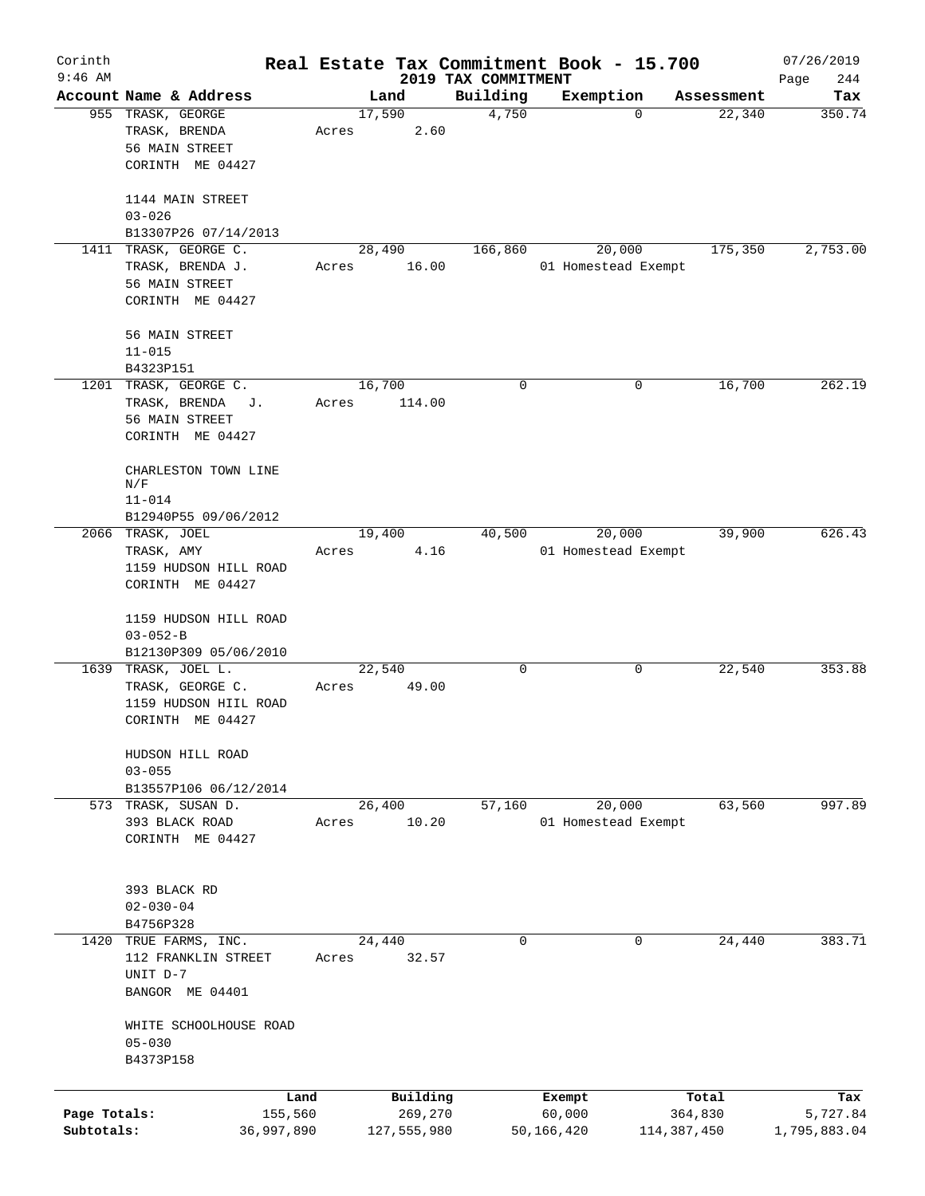| Corinth                    |                                                                                      |                 |                        |                                 | Real Estate Tax Commitment Book - 15.700 |                        | 07/26/2019               |
|----------------------------|--------------------------------------------------------------------------------------|-----------------|------------------------|---------------------------------|------------------------------------------|------------------------|--------------------------|
| $9:46$ AM                  | Account Name & Address                                                               |                 | Land                   | 2019 TAX COMMITMENT<br>Building | Exemption                                | Assessment             | 244<br>Page<br>Tax       |
|                            | 955 TRASK, GEORGE<br>TRASK, BRENDA<br>56 MAIN STREET<br>CORINTH ME 04427             | 17,590<br>Acres | 2.60                   | 4,750                           |                                          | 22,340<br>$\mathbf 0$  | 350.74                   |
|                            | 1144 MAIN STREET<br>$03 - 026$<br>B13307P26 07/14/2013                               |                 |                        |                                 |                                          |                        |                          |
|                            | 1411 TRASK, GEORGE C.<br>TRASK, BRENDA J.<br>56 MAIN STREET<br>CORINTH ME 04427      | Acres           | 28,490<br>16.00        | 166,860                         | 20,000<br>01 Homestead Exempt            | 175,350                | 2,753.00                 |
|                            | 56 MAIN STREET<br>$11 - 015$<br>B4323P151                                            |                 |                        |                                 |                                          |                        |                          |
|                            | 1201 TRASK, GEORGE C.<br>TRASK, BRENDA<br>J.<br>56 MAIN STREET<br>CORINTH ME 04427   | 16,700<br>Acres | 114.00                 | 0                               |                                          | 16,700<br>0            | 262.19                   |
|                            | CHARLESTON TOWN LINE<br>N/F<br>$11 - 014$<br>B12940P55 09/06/2012                    |                 |                        |                                 |                                          |                        |                          |
|                            | 2066 TRASK, JOEL<br>TRASK, AMY<br>1159 HUDSON HILL ROAD<br>CORINTH ME 04427          | 19,400<br>Acres | 4.16                   | 40,500                          | 20,000<br>01 Homestead Exempt            | 39,900                 | 626.43                   |
|                            | 1159 HUDSON HILL ROAD<br>$03 - 052 - B$<br>B12130P309 05/06/2010                     |                 |                        |                                 |                                          |                        |                          |
|                            | 1639 TRASK, JOEL L.<br>TRASK, GEORGE C.<br>1159 HUDSON HIIL ROAD<br>CORINTH ME 04427 | 22,540<br>Acres | 49.00                  | 0                               |                                          | 22,540<br>0            | 353.88                   |
|                            | HUDSON HILL ROAD<br>$03 - 055$<br>B13557P106 06/12/2014                              |                 |                        |                                 |                                          |                        |                          |
|                            | 573 TRASK, SUSAN D.<br>393 BLACK ROAD<br>CORINTH ME 04427                            | 26,400<br>Acres | 10.20                  | 57,160                          | 20,000<br>01 Homestead Exempt            | 63,560                 | 997.89                   |
|                            | 393 BLACK RD<br>$02 - 030 - 04$<br>B4756P328                                         |                 |                        |                                 |                                          |                        |                          |
|                            | 1420 TRUE FARMS, INC.<br>112 FRANKLIN STREET<br>UNIT D-7<br>BANGOR ME 04401          | 24,440<br>Acres | 32.57                  | $\mathbf 0$                     |                                          | 24,440<br>$\Omega$     | 383.71                   |
|                            | WHITE SCHOOLHOUSE ROAD<br>$05 - 030$<br>B4373P158                                    |                 |                        |                                 |                                          |                        |                          |
|                            | Land                                                                                 |                 | Building               |                                 | Exempt                                   | Total                  | Tax                      |
| Page Totals:<br>Subtotals: | 155,560<br>36,997,890                                                                |                 | 269,270<br>127,555,980 |                                 | 60,000<br>50,166,420                     | 364,830<br>114,387,450 | 5,727.84<br>1,795,883.04 |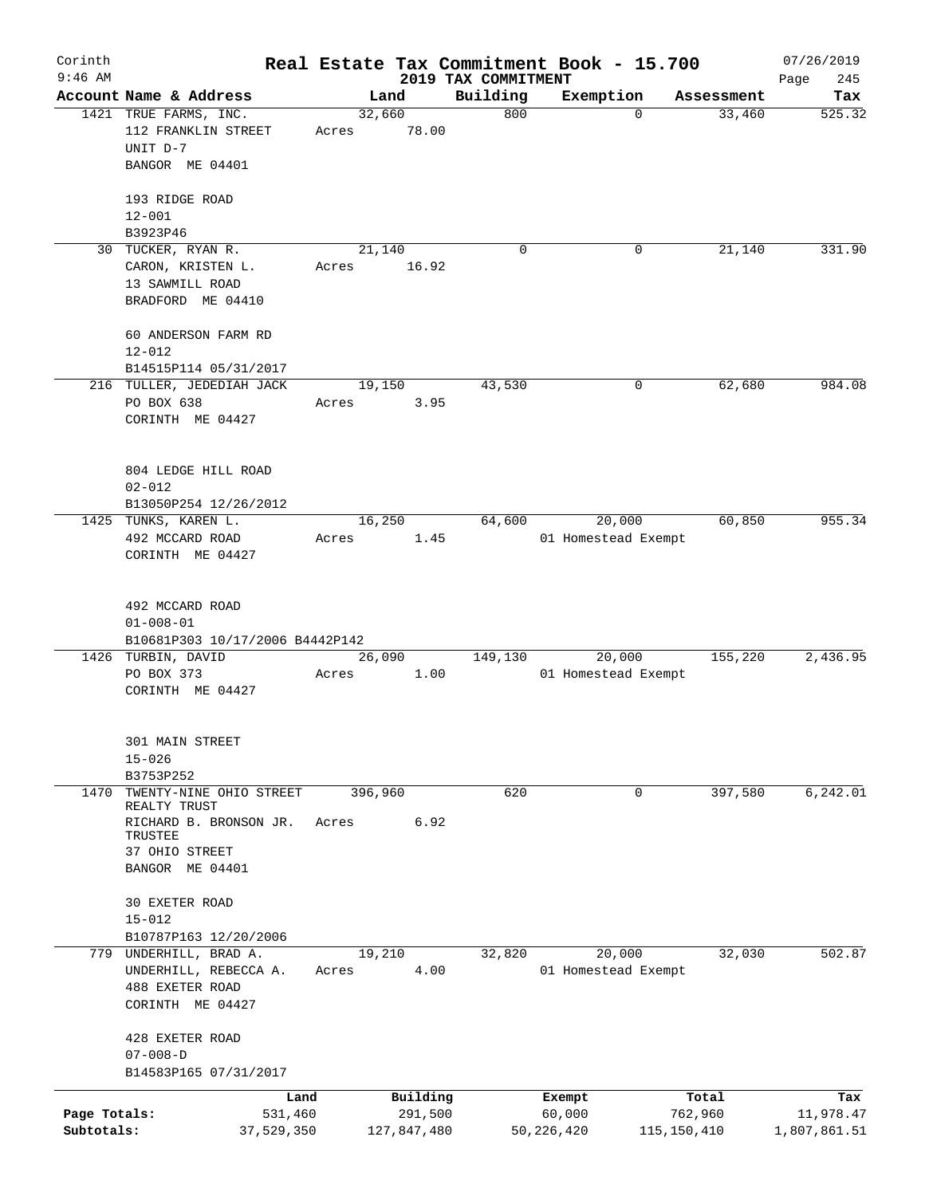| Corinth                    |                                                                             |                 |                        |                     | Real Estate Tax Commitment Book - 15.700 |                          | 07/26/2019                |
|----------------------------|-----------------------------------------------------------------------------|-----------------|------------------------|---------------------|------------------------------------------|--------------------------|---------------------------|
| $9:46$ AM                  |                                                                             |                 |                        | 2019 TAX COMMITMENT |                                          |                          | 245<br>Page               |
|                            | Account Name & Address                                                      |                 | Land                   | Building<br>800     | Exemption<br>$\mathbf 0$                 | Assessment               | Tax                       |
|                            | 1421 TRUE FARMS, INC.<br>112 FRANKLIN STREET<br>UNIT D-7<br>BANGOR ME 04401 | 32,660<br>Acres | 78.00                  |                     |                                          | 33,460                   | 525.32                    |
|                            |                                                                             |                 |                        |                     |                                          |                          |                           |
|                            | 193 RIDGE ROAD                                                              |                 |                        |                     |                                          |                          |                           |
|                            | $12 - 001$<br>B3923P46                                                      |                 |                        |                     |                                          |                          |                           |
|                            | 30 TUCKER, RYAN R.                                                          |                 | 21,140                 | $\Omega$            | 0                                        | 21,140                   | 331.90                    |
|                            | CARON, KRISTEN L.<br>13 SAWMILL ROAD                                        | Acres           | 16.92                  |                     |                                          |                          |                           |
|                            | BRADFORD ME 04410                                                           |                 |                        |                     |                                          |                          |                           |
|                            | 60 ANDERSON FARM RD<br>$12 - 012$                                           |                 |                        |                     |                                          |                          |                           |
|                            | B14515P114 05/31/2017                                                       |                 |                        |                     |                                          |                          |                           |
|                            | 216 TULLER, JEDEDIAH JACK                                                   |                 | 19,150                 | 43,530              | 0                                        | 62,680                   | 984.08                    |
|                            | PO BOX 638<br>CORINTH ME 04427                                              | Acres           | 3.95                   |                     |                                          |                          |                           |
|                            |                                                                             |                 |                        |                     |                                          |                          |                           |
|                            | 804 LEDGE HILL ROAD                                                         |                 |                        |                     |                                          |                          |                           |
|                            | $02 - 012$<br>B13050P254 12/26/2012                                         |                 |                        |                     |                                          |                          |                           |
|                            | 1425 TUNKS, KAREN L.                                                        |                 | 16,250                 | 64,600              | 20,000                                   | 60,850                   | 955.34                    |
|                            | 492 MCCARD ROAD                                                             | Acres           | 1.45                   |                     | 01 Homestead Exempt                      |                          |                           |
|                            | CORINTH ME 04427                                                            |                 |                        |                     |                                          |                          |                           |
|                            | 492 MCCARD ROAD<br>$01 - 008 - 01$                                          |                 |                        |                     |                                          |                          |                           |
|                            | B10681P303 10/17/2006 B4442P142                                             |                 |                        |                     |                                          |                          |                           |
|                            | 1426 TURBIN, DAVID                                                          | 26,090          |                        | 149,130             | 20,000                                   | 155,220                  | 2,436.95                  |
|                            | PO BOX 373<br>CORINTH ME 04427                                              | Acres           | 1.00                   |                     | 01 Homestead Exempt                      |                          |                           |
|                            | 301 MAIN STREET                                                             |                 |                        |                     |                                          |                          |                           |
|                            | $15 - 026$                                                                  |                 |                        |                     |                                          |                          |                           |
|                            | B3753P252                                                                   |                 |                        |                     |                                          |                          |                           |
| 1470                       | TWENTY-NINE OHIO STREET<br>REALTY TRUST                                     | 396,960         |                        | 620                 | 0                                        | 397,580                  | 6,242.01                  |
|                            | RICHARD B. BRONSON JR.<br>TRUSTEE                                           | Acres           | 6.92                   |                     |                                          |                          |                           |
|                            | 37 OHIO STREET<br>BANGOR ME 04401                                           |                 |                        |                     |                                          |                          |                           |
|                            |                                                                             |                 |                        |                     |                                          |                          |                           |
|                            | 30 EXETER ROAD<br>$15 - 012$                                                |                 |                        |                     |                                          |                          |                           |
|                            | B10787P163 12/20/2006                                                       |                 |                        |                     |                                          |                          |                           |
|                            | 779 UNDERHILL, BRAD A.                                                      | 19,210          |                        | 32,820              | 20,000                                   | 32,030                   | 502.87                    |
|                            | UNDERHILL, REBECCA A.<br>488 EXETER ROAD                                    | Acres           | 4.00                   |                     | 01 Homestead Exempt                      |                          |                           |
|                            | CORINTH ME 04427                                                            |                 |                        |                     |                                          |                          |                           |
|                            | 428 EXETER ROAD                                                             |                 |                        |                     |                                          |                          |                           |
|                            | $07 - 008 - D$                                                              |                 |                        |                     |                                          |                          |                           |
|                            | B14583P165 07/31/2017                                                       |                 |                        |                     |                                          |                          |                           |
|                            | Land                                                                        |                 | Building               |                     | Exempt                                   | Total                    | Tax                       |
| Page Totals:<br>Subtotals: | 531,460<br>37,529,350                                                       |                 | 291,500<br>127,847,480 |                     | 60,000<br>50, 226, 420                   | 762,960<br>115, 150, 410 | 11,978.47<br>1,807,861.51 |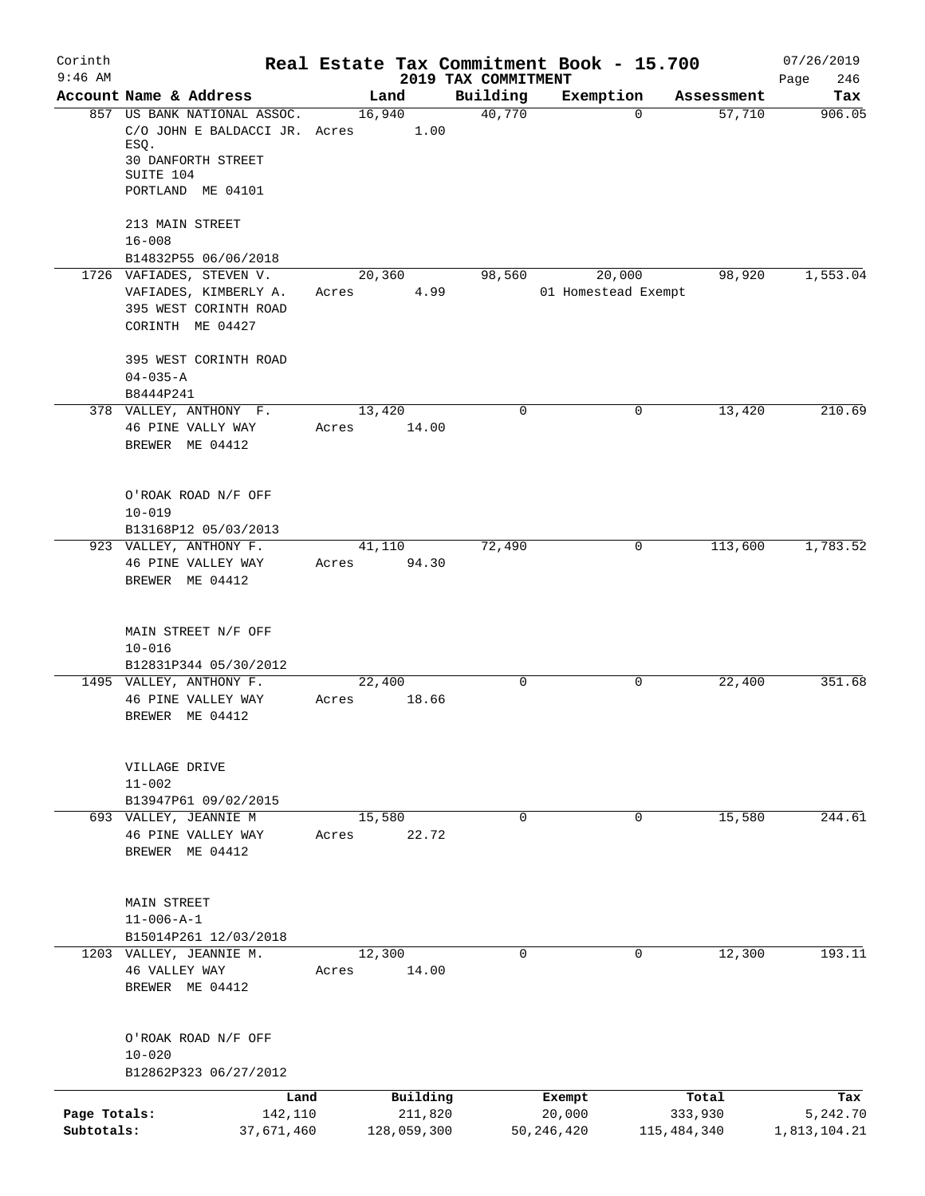| Corinth      |                                                  |       |                 |                                 | Real Estate Tax Commitment Book - 15.700 |                       | 07/26/2019         |
|--------------|--------------------------------------------------|-------|-----------------|---------------------------------|------------------------------------------|-----------------------|--------------------|
| $9:46$ AM    | Account Name & Address                           |       | Land            | 2019 TAX COMMITMENT<br>Building | Exemption                                | Assessment            | 246<br>Page<br>Tax |
|              | 857 US BANK NATIONAL ASSOC.                      |       | 16,940          | 40,770                          |                                          | 57,710<br>$\Omega$    | 906.05             |
|              | C/O JOHN E BALDACCI JR. Acres<br>ESQ.            |       | 1.00            |                                 |                                          |                       |                    |
|              | <b>30 DANFORTH STREET</b><br>SUITE 104           |       |                 |                                 |                                          |                       |                    |
|              | PORTLAND ME 04101                                |       |                 |                                 |                                          |                       |                    |
|              | 213 MAIN STREET                                  |       |                 |                                 |                                          |                       |                    |
|              | $16 - 008$                                       |       |                 |                                 |                                          |                       |                    |
|              | B14832P55 06/06/2018<br>1726 VAFIADES, STEVEN V. |       |                 |                                 | 20,000                                   |                       |                    |
|              | VAFIADES, KIMBERLY A.                            | Acres | 20,360<br>4.99  | 98,560                          | 01 Homestead Exempt                      | 98,920                | 1,553.04           |
|              | 395 WEST CORINTH ROAD                            |       |                 |                                 |                                          |                       |                    |
|              | CORINTH ME 04427                                 |       |                 |                                 |                                          |                       |                    |
|              | 395 WEST CORINTH ROAD<br>$04 - 035 - A$          |       |                 |                                 |                                          |                       |                    |
|              | B8444P241                                        |       |                 |                                 |                                          |                       |                    |
|              | 378 VALLEY, ANTHONY F.                           |       | 13,420          | 0                               |                                          | 13,420<br>0           | 210.69             |
|              | 46 PINE VALLY WAY<br>BREWER ME 04412             | Acres | 14.00           |                                 |                                          |                       |                    |
|              |                                                  |       |                 |                                 |                                          |                       |                    |
|              | O'ROAK ROAD N/F OFF                              |       |                 |                                 |                                          |                       |                    |
|              | $10 - 019$                                       |       |                 |                                 |                                          |                       |                    |
|              | B13168P12 05/03/2013                             |       |                 |                                 |                                          |                       |                    |
|              | 923 VALLEY, ANTHONY F.                           |       | 41,110          | 72,490                          |                                          | 113,600<br>0          | 1,783.52           |
|              | 46 PINE VALLEY WAY<br>BREWER ME 04412            | Acres | 94.30           |                                 |                                          |                       |                    |
|              | MAIN STREET N/F OFF                              |       |                 |                                 |                                          |                       |                    |
|              | $10 - 016$                                       |       |                 |                                 |                                          |                       |                    |
|              | B12831P344 05/30/2012<br>1495 VALLEY, ANTHONY F. |       | 22,400          | 0                               |                                          | 0<br>22,400           | 351.68             |
|              | 46 PINE VALLEY WAY                               | Acres | 18.66           |                                 |                                          |                       |                    |
|              | BREWER ME 04412                                  |       |                 |                                 |                                          |                       |                    |
|              | VILLAGE DRIVE                                    |       |                 |                                 |                                          |                       |                    |
|              | $11 - 002$                                       |       |                 |                                 |                                          |                       |                    |
|              | B13947P61 09/02/2015                             |       |                 |                                 |                                          |                       |                    |
|              | 693 VALLEY, JEANNIE M<br>46 PINE VALLEY WAY      | Acres | 15,580<br>22.72 | $\mathbf 0$                     |                                          | $\mathbf 0$<br>15,580 | 244.61             |
|              | BREWER ME 04412                                  |       |                 |                                 |                                          |                       |                    |
|              |                                                  |       |                 |                                 |                                          |                       |                    |
|              | MAIN STREET                                      |       |                 |                                 |                                          |                       |                    |
|              | $11 - 006 - A - 1$                               |       |                 |                                 |                                          |                       |                    |
|              | B15014P261 12/03/2018                            |       |                 | 0                               |                                          | 0                     | 193.11             |
|              | 1203 VALLEY, JEANNIE M.<br>46 VALLEY WAY         | Acres | 12,300<br>14.00 |                                 |                                          | 12,300                |                    |
|              | BREWER ME 04412                                  |       |                 |                                 |                                          |                       |                    |
|              | O'ROAK ROAD N/F OFF                              |       |                 |                                 |                                          |                       |                    |
|              | $10 - 020$                                       |       |                 |                                 |                                          |                       |                    |
|              | B12862P323 06/27/2012                            |       |                 |                                 |                                          |                       |                    |
|              | Land                                             |       | Building        |                                 | Exempt                                   | Total                 | Tax                |
| Page Totals: | 142,110                                          |       | 211,820         |                                 | 20,000                                   | 333,930               | 5,242.70           |
| Subtotals:   | 37,671,460                                       |       | 128,059,300     |                                 | 50, 246, 420                             | 115, 484, 340         | 1,813,104.21       |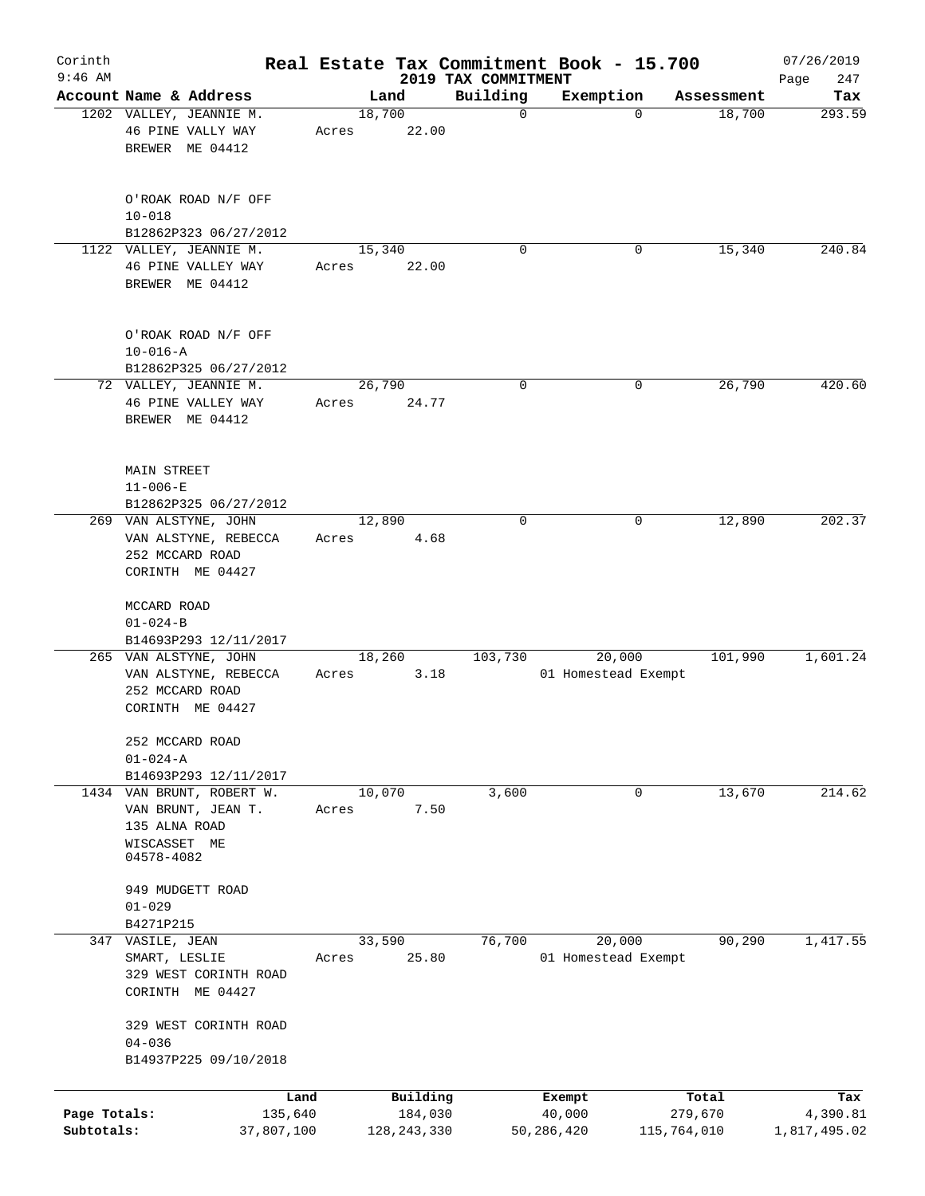| Corinth<br>$9:46$ AM       |                                                                                  |                 |                          | 2019 TAX COMMITMENT | Real Estate Tax Commitment Book - 15.700 |                        | 07/26/2019               |
|----------------------------|----------------------------------------------------------------------------------|-----------------|--------------------------|---------------------|------------------------------------------|------------------------|--------------------------|
|                            | Account Name & Address                                                           |                 | Land                     | Building            | Exemption                                | Assessment             | 247<br>Page<br>Tax       |
|                            | 1202 VALLEY, JEANNIE M.<br>46 PINE VALLY WAY<br>BREWER ME 04412                  | 18,700<br>Acres | 22.00                    | $\mathbf 0$         | $\mathbf 0$                              | 18,700                 | 293.59                   |
|                            | O'ROAK ROAD N/F OFF                                                              |                 |                          |                     |                                          |                        |                          |
|                            | $10 - 018$<br>B12862P323 06/27/2012                                              |                 |                          |                     |                                          |                        |                          |
|                            | 1122 VALLEY, JEANNIE M.                                                          | 15,340          |                          | $\Omega$            | 0                                        | 15,340                 | 240.84                   |
|                            | 46 PINE VALLEY WAY<br>BREWER ME 04412                                            | Acres           | 22.00                    |                     |                                          |                        |                          |
|                            | O'ROAK ROAD N/F OFF<br>$10 - 016 - A$<br>B12862P325 06/27/2012                   |                 |                          |                     |                                          |                        |                          |
|                            | 72 VALLEY, JEANNIE M.                                                            | 26,790          |                          | 0                   | 0                                        | 26,790                 | 420.60                   |
|                            | 46 PINE VALLEY WAY<br>BREWER ME 04412                                            | Acres           | 24.77                    |                     |                                          |                        |                          |
|                            | <b>MAIN STREET</b><br>$11 - 006 - E$<br>B12862P325 06/27/2012                    |                 |                          |                     |                                          |                        |                          |
|                            | 269 VAN ALSTYNE, JOHN                                                            | 12,890          |                          | 0                   | 0                                        | 12,890                 | 202.37                   |
|                            | VAN ALSTYNE, REBECCA<br>252 MCCARD ROAD                                          | Acres           | 4.68                     |                     |                                          |                        |                          |
|                            | CORINTH ME 04427<br>MCCARD ROAD                                                  |                 |                          |                     |                                          |                        |                          |
|                            | $01 - 024 - B$                                                                   |                 |                          |                     |                                          |                        |                          |
|                            | B14693P293 12/11/2017<br>265 VAN ALSTYNE, JOHN                                   | 18,260          |                          | 103,730             | 20,000                                   | 101,990                | 1,601.24                 |
|                            | VAN ALSTYNE, REBECCA<br>252 MCCARD ROAD<br>CORINTH ME 04427                      | Acres           | 3.18                     |                     | 01 Homestead Exempt                      |                        |                          |
|                            |                                                                                  |                 |                          |                     |                                          |                        |                          |
|                            | 252 MCCARD ROAD<br>$01 - 024 - A$                                                |                 |                          |                     |                                          |                        |                          |
|                            | B14693P293 12/11/2017                                                            |                 |                          |                     |                                          |                        |                          |
|                            | 1434 VAN BRUNT, ROBERT W.<br>VAN BRUNT, JEAN T.<br>135 ALNA ROAD<br>WISCASSET ME | 10,070<br>Acres | 7.50                     | 3,600               | 0                                        | 13,670                 | 214.62                   |
|                            | 04578-4082<br>949 MUDGETT ROAD                                                   |                 |                          |                     |                                          |                        |                          |
|                            | $01 - 029$                                                                       |                 |                          |                     |                                          |                        |                          |
|                            | B4271P215<br>VASILE, JEAN                                                        | 33,590          |                          | 76,700              | 20,000                                   | 90,290                 | 1,417.55                 |
| 347                        | SMART, LESLIE<br>329 WEST CORINTH ROAD                                           | Acres           | 25.80                    |                     | 01 Homestead Exempt                      |                        |                          |
|                            | CORINTH ME 04427                                                                 |                 |                          |                     |                                          |                        |                          |
|                            | 329 WEST CORINTH ROAD<br>$04 - 036$<br>B14937P225 09/10/2018                     |                 |                          |                     |                                          |                        |                          |
|                            |                                                                                  |                 |                          |                     |                                          |                        |                          |
|                            | Land                                                                             |                 | Building                 |                     | Exempt                                   | Total                  | Tax                      |
| Page Totals:<br>Subtotals: | 135,640<br>37,807,100                                                            |                 | 184,030<br>128, 243, 330 |                     | 40,000<br>50,286,420                     | 279,670<br>115,764,010 | 4,390.81<br>1,817,495.02 |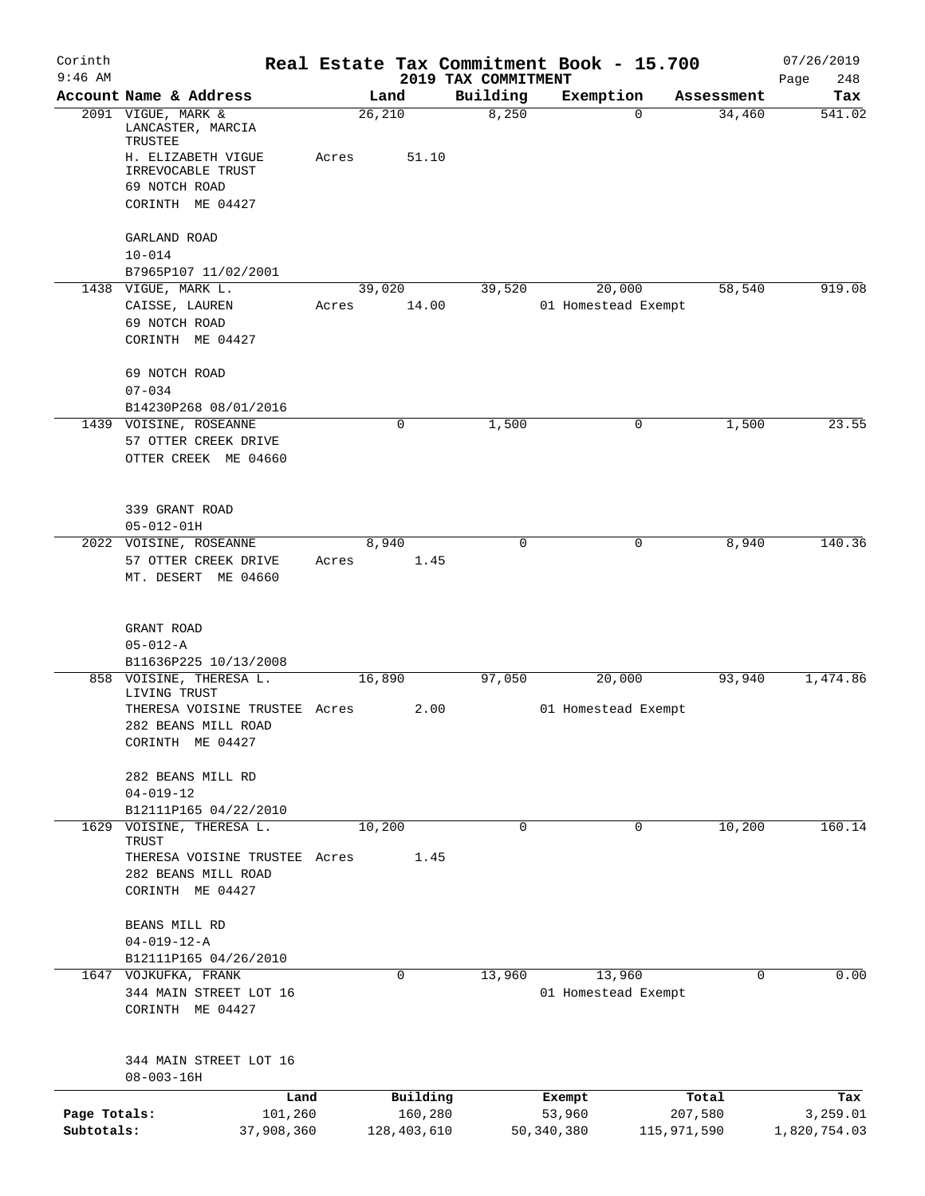| Corinth      |                                                 |       |                 |                     | Real Estate Tax Commitment Book - 15.700 |                    | 07/26/2019    |
|--------------|-------------------------------------------------|-------|-----------------|---------------------|------------------------------------------|--------------------|---------------|
| $9:46$ AM    | Account Name & Address                          |       |                 | 2019 TAX COMMITMENT | Exemption                                | Assessment         | Page<br>248   |
|              | 2091 VIGUE, MARK &<br>LANCASTER, MARCIA         |       | Land<br>26, 210 | Building<br>8,250   |                                          | 34,460<br>$\Omega$ | Tax<br>541.02 |
|              | TRUSTEE                                         |       |                 |                     |                                          |                    |               |
|              | H. ELIZABETH VIGUE<br>IRREVOCABLE TRUST         | Acres | 51.10           |                     |                                          |                    |               |
|              | 69 NOTCH ROAD<br>CORINTH ME 04427               |       |                 |                     |                                          |                    |               |
|              | GARLAND ROAD                                    |       |                 |                     |                                          |                    |               |
|              | $10 - 014$                                      |       |                 |                     |                                          |                    |               |
|              | B7965P107 11/02/2001                            |       |                 |                     |                                          |                    |               |
|              | 1438 VIGUE, MARK L.<br>CAISSE, LAUREN           | Acres | 39,020<br>14.00 | 39,520              | 20,000<br>01 Homestead Exempt            | 58,540             | 919.08        |
|              | 69 NOTCH ROAD                                   |       |                 |                     |                                          |                    |               |
|              | CORINTH ME 04427                                |       |                 |                     |                                          |                    |               |
|              | 69 NOTCH ROAD                                   |       |                 |                     |                                          |                    |               |
|              | $07 - 034$                                      |       |                 |                     |                                          |                    |               |
|              | B14230P268 08/01/2016<br>1439 VOISINE, ROSEANNE |       | 0               | 1,500               |                                          | 1,500<br>0         | 23.55         |
|              | 57 OTTER CREEK DRIVE                            |       |                 |                     |                                          |                    |               |
|              | OTTER CREEK ME 04660                            |       |                 |                     |                                          |                    |               |
|              | 339 GRANT ROAD                                  |       |                 |                     |                                          |                    |               |
|              | $05 - 012 - 01H$                                |       |                 |                     |                                          |                    |               |
|              | 2022 VOISINE, ROSEANNE                          |       | 8,940           | $\mathbf 0$         |                                          | 0<br>8,940         | 140.36        |
|              | 57 OTTER CREEK DRIVE<br>MT. DESERT ME 04660     | Acres | 1.45            |                     |                                          |                    |               |
|              |                                                 |       |                 |                     |                                          |                    |               |
|              | GRANT ROAD                                      |       |                 |                     |                                          |                    |               |
|              | $05 - 012 - A$                                  |       |                 |                     |                                          |                    |               |
|              | B11636P225 10/13/2008                           |       |                 |                     |                                          |                    |               |
|              | 858 VOISINE, THERESA L.<br>LIVING TRUST         |       | 16,890          | 97,050              | 20,000                                   | 93,940             | 1,474.86      |
|              | THERESA VOISINE TRUSTEE Acres                   |       | 2.00            |                     | 01 Homestead Exempt                      |                    |               |
|              | 282 BEANS MILL ROAD                             |       |                 |                     |                                          |                    |               |
|              | CORINTH ME 04427                                |       |                 |                     |                                          |                    |               |
|              | 282 BEANS MILL RD                               |       |                 |                     |                                          |                    |               |
|              | $04 - 019 - 12$                                 |       |                 |                     |                                          |                    |               |
| 1629         | B12111P165 04/22/2010<br>VOISINE, THERESA L.    |       | 10,200          | 0                   |                                          | 10,200<br>0        | 160.14        |
|              | TRUST                                           |       |                 |                     |                                          |                    |               |
|              | THERESA VOISINE TRUSTEE Acres                   |       | 1.45            |                     |                                          |                    |               |
|              | 282 BEANS MILL ROAD                             |       |                 |                     |                                          |                    |               |
|              | CORINTH ME 04427                                |       |                 |                     |                                          |                    |               |
|              | BEANS MILL RD                                   |       |                 |                     |                                          |                    |               |
|              | $04 - 019 - 12 - A$                             |       |                 |                     |                                          |                    |               |
|              | B12111P165 04/26/2010                           |       |                 |                     |                                          |                    |               |
|              | 1647 VOJKUFKA, FRANK                            |       | $\mathbf 0$     | 13,960              | 13,960                                   | 0                  | 0.00          |
|              | 344 MAIN STREET LOT 16                          |       |                 |                     | 01 Homestead Exempt                      |                    |               |
|              | CORINTH ME 04427                                |       |                 |                     |                                          |                    |               |
|              | 344 MAIN STREET LOT 16                          |       |                 |                     |                                          |                    |               |
|              | $08 - 003 - 16H$                                |       |                 |                     |                                          |                    |               |
|              | Land                                            |       | Building        |                     | Exempt                                   | Total              | Tax           |
| Page Totals: | 101,260                                         |       | 160,280         |                     | 53,960                                   | 207,580            | 3,259.01      |
| Subtotals:   | 37,908,360                                      |       | 128,403,610     |                     | 50, 340, 380                             | 115,971,590        | 1,820,754.03  |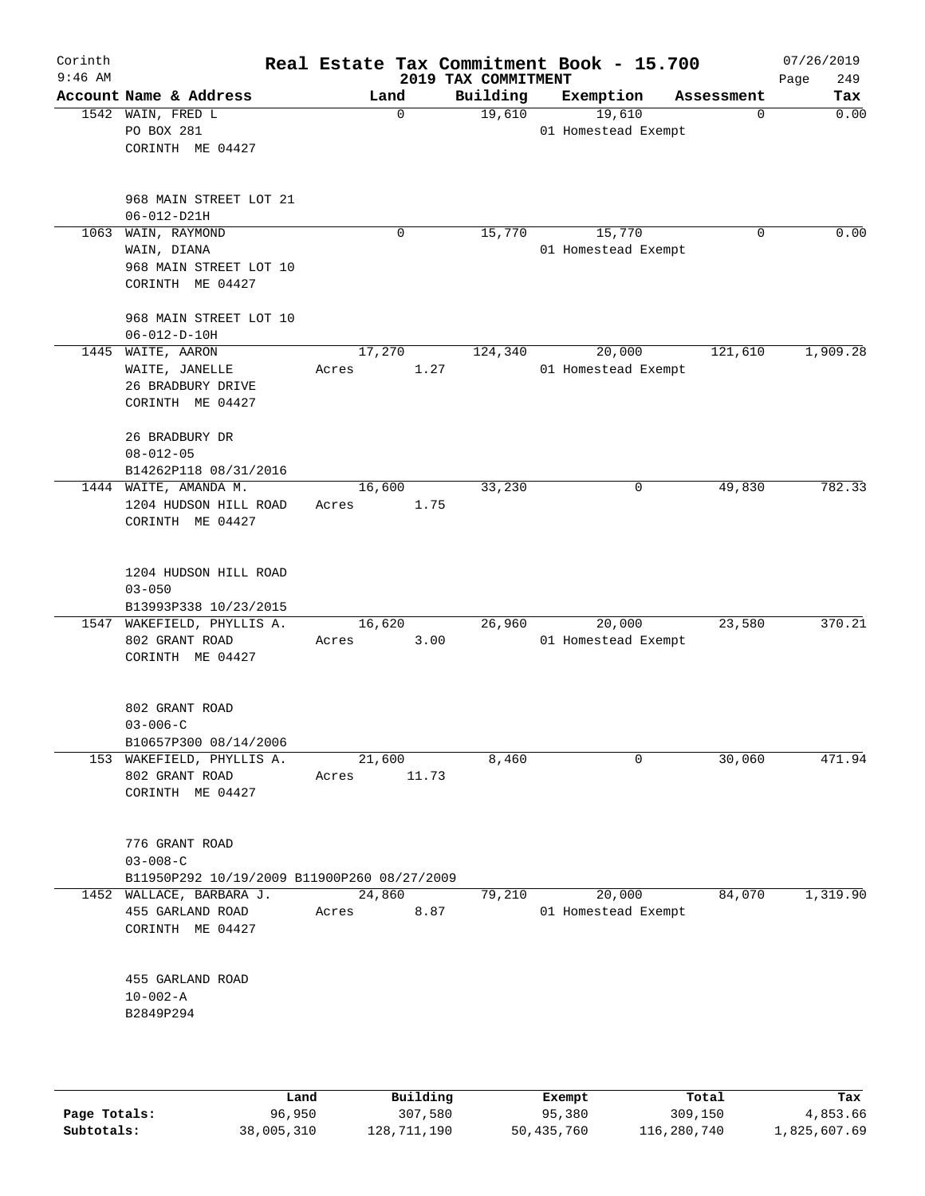| Corinth<br>$9:46$ AM |                                                                                 |                 |       | 2019 TAX COMMITMENT | Real Estate Tax Commitment Book - 15.700 |            | 07/26/2019<br>249<br>Page |
|----------------------|---------------------------------------------------------------------------------|-----------------|-------|---------------------|------------------------------------------|------------|---------------------------|
|                      | Account Name & Address                                                          | Land            |       | Building            | Exemption                                | Assessment | Tax                       |
|                      | 1542 WAIN, FRED L<br>PO BOX 281<br>CORINTH ME 04427                             | $\mathbf 0$     |       | 19,610              | 19,610<br>01 Homestead Exempt            | 0          | 0.00                      |
|                      | 968 MAIN STREET LOT 21<br>$06 - 012 - D21H$                                     |                 |       |                     |                                          |            |                           |
|                      | 1063 WAIN, RAYMOND<br>WAIN, DIANA<br>968 MAIN STREET LOT 10<br>CORINTH ME 04427 | 0               |       | 15,770              | 15,770<br>01 Homestead Exempt            | $\Omega$   | 0.00                      |
|                      | 968 MAIN STREET LOT 10<br>$06 - 012 - D - 10H$                                  |                 |       |                     |                                          |            |                           |
|                      | 1445 WAITE, AARON<br>WAITE, JANELLE<br>26 BRADBURY DRIVE<br>CORINTH ME 04427    | 17,270<br>Acres | 1.27  | 124,340             | 20,000<br>01 Homestead Exempt            | 121,610    | 1,909.28                  |
|                      | 26 BRADBURY DR<br>$08 - 012 - 05$<br>B14262P118 08/31/2016                      |                 |       |                     |                                          |            |                           |
|                      | 1444 WAITE, AMANDA M.<br>1204 HUDSON HILL ROAD<br>CORINTH ME 04427              | 16,600<br>Acres | 1.75  | 33,230              | 0                                        | 49,830     | 782.33                    |
|                      | 1204 HUDSON HILL ROAD<br>$03 - 050$<br>B13993P338 10/23/2015                    |                 |       |                     |                                          |            |                           |
|                      | 1547 WAKEFIELD, PHYLLIS A.<br>802 GRANT ROAD<br>CORINTH ME 04427                | 16,620<br>Acres | 3.00  | 26,960              | 20,000<br>01 Homestead Exempt            | 23,580     | 370.21                    |
|                      | 802 GRANT ROAD<br>$03 - 006 - C$<br>B10657P300 08/14/2006                       |                 |       |                     |                                          |            |                           |
|                      | 153 WAKEFIELD, PHYLLIS A.<br>802 GRANT ROAD<br>CORINTH ME 04427                 | 21,600<br>Acres | 11.73 | 8,460               | 0                                        | 30,060     | 471.94                    |
|                      | 776 GRANT ROAD<br>$03 - 008 - C$<br>B11950P292 10/19/2009 B11900P260 08/27/2009 |                 |       |                     |                                          |            |                           |
|                      | 1452 WALLACE, BARBARA J.<br>455 GARLAND ROAD<br>CORINTH ME 04427                | 24,860<br>Acres | 8.87  | 79,210              | 20,000<br>01 Homestead Exempt            | 84,070     | 1,319.90                  |
|                      | 455 GARLAND ROAD<br>$10 - 002 - A$<br>B2849P294                                 |                 |       |                     |                                          |            |                           |
|                      |                                                                                 |                 |       |                     |                                          |            |                           |

|              | Land       | Building    | Exempt     | Total       | Tax          |
|--------------|------------|-------------|------------|-------------|--------------|
| Page Totals: | 96,950     | 307,580     | 95,380     | 309,150     | 4,853.66     |
| Subtotals:   | 38,005,310 | 128,711,190 | 50,435,760 | 116,280,740 | 1,825,607.69 |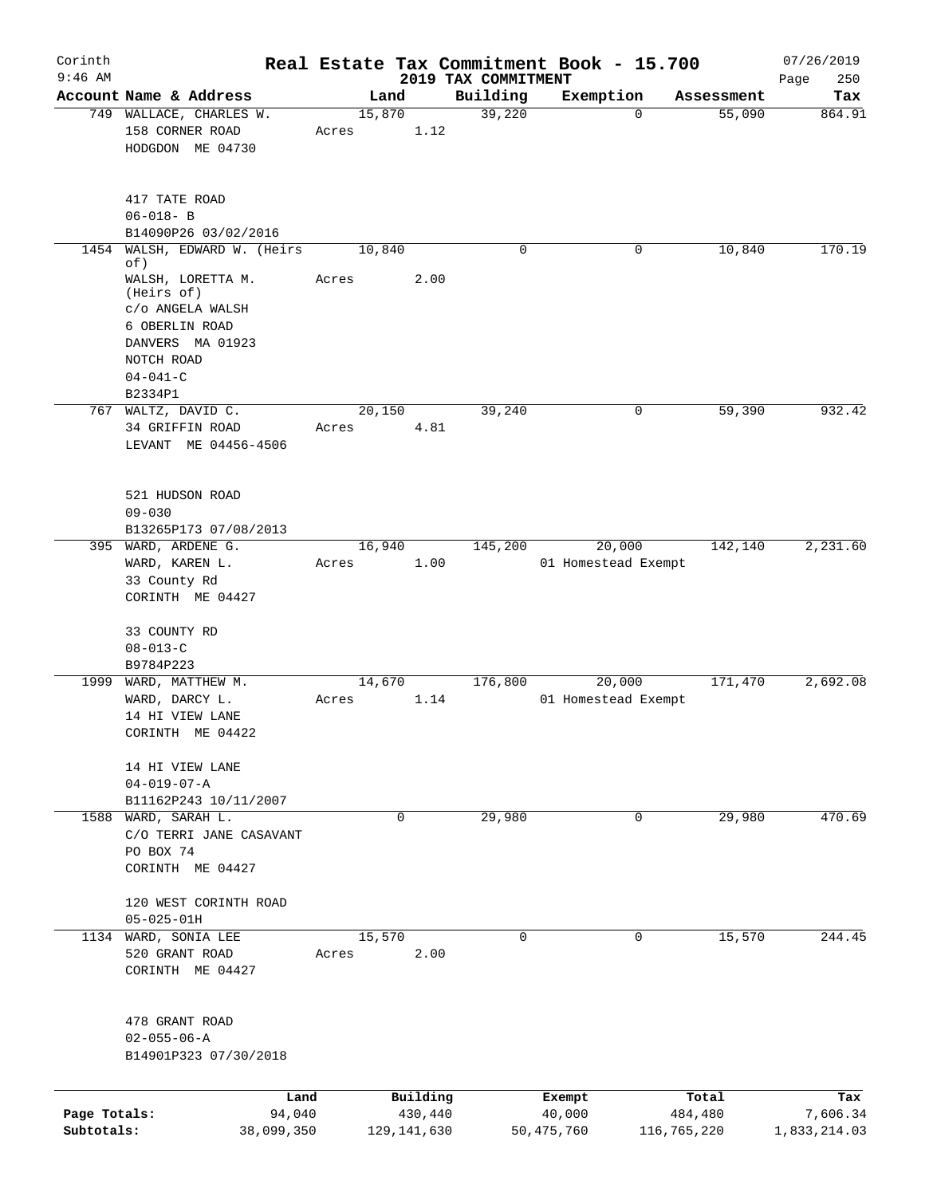| Corinth                    |                                                                                                                                                             |        |                          |                     | Real Estate Tax Commitment Book - 15.700 |                        | 07/26/2019               |
|----------------------------|-------------------------------------------------------------------------------------------------------------------------------------------------------------|--------|--------------------------|---------------------|------------------------------------------|------------------------|--------------------------|
| $9:46$ AM                  |                                                                                                                                                             |        |                          | 2019 TAX COMMITMENT |                                          |                        | Page<br>250              |
|                            | Account Name & Address                                                                                                                                      |        | Land<br>15,870           | Building<br>39,220  | Exemption<br>$\Omega$                    | Assessment<br>55,090   | Tax                      |
|                            | 749 WALLACE, CHARLES W.<br>158 CORNER ROAD<br>HODGDON ME 04730                                                                                              | Acres  | 1.12                     |                     |                                          |                        | 864.91                   |
|                            | 417 TATE ROAD<br>$06 - 018 - B$                                                                                                                             |        |                          |                     |                                          |                        |                          |
|                            | B14090P26 03/02/2016                                                                                                                                        |        |                          | $\Omega$            | 0                                        | 10,840                 | 170.19                   |
| 1454                       | WALSH, EDWARD W. (Heirs<br>of)<br>WALSH, LORETTA M.<br>(Heirs of)<br>C/O ANGELA WALSH<br>6 OBERLIN ROAD<br>DANVERS MA 01923<br>NOTCH ROAD<br>$04 - 041 - C$ | Acres  | 10,840<br>2.00           |                     |                                          |                        |                          |
|                            | B2334P1                                                                                                                                                     |        |                          |                     |                                          |                        |                          |
|                            | 767 WALTZ, DAVID C.<br>34 GRIFFIN ROAD<br>LEVANT ME 04456-4506                                                                                              | Acres  | 20,150<br>4.81           | 39,240              | 0                                        | 59,390                 | 932.42                   |
|                            | 521 HUDSON ROAD<br>$09 - 030$                                                                                                                               |        |                          |                     |                                          |                        |                          |
|                            | B13265P173 07/08/2013<br>395 WARD, ARDENE G.                                                                                                                |        | 16,940                   | 145,200             | 20,000                                   | 142,140                | 2,231.60                 |
|                            | WARD, KAREN L.<br>33 County Rd<br>CORINTH ME 04427<br>33 COUNTY RD                                                                                          | Acres  | 1.00                     |                     | 01 Homestead Exempt                      |                        |                          |
|                            | $08 - 013 - C$                                                                                                                                              |        |                          |                     |                                          |                        |                          |
|                            | B9784P223<br>1999 WARD, MATTHEW M.                                                                                                                          |        | 14,670                   | 176,800             | 20,000                                   | 171,470                | 2,692.08                 |
|                            | WARD, DARCY L.<br>14 HI VIEW LANE<br>CORINTH ME 04422                                                                                                       | Acres  | 1.14                     |                     | 01 Homestead Exempt                      |                        |                          |
|                            | 14 HI VIEW LANE<br>$04 - 019 - 07 - A$<br>B11162P243 10/11/2007                                                                                             |        |                          |                     |                                          |                        |                          |
|                            | 1588 WARD, SARAH L.<br>C/O TERRI JANE CASAVANT<br>PO BOX 74<br>CORINTH ME 04427                                                                             |        | 0                        | 29,980              | $\mathbf{0}$                             | 29,980                 | 470.69                   |
|                            | 120 WEST CORINTH ROAD<br>$05 - 025 - 01H$                                                                                                                   |        |                          |                     |                                          |                        |                          |
|                            | 1134 WARD, SONIA LEE<br>520 GRANT ROAD<br>CORINTH ME 04427                                                                                                  | Acres  | 15,570<br>2.00           | 0                   | 0                                        | 15,570                 | 244.45                   |
|                            | 478 GRANT ROAD<br>$02 - 055 - 06 - A$<br>B14901P323 07/30/2018                                                                                              |        |                          |                     |                                          |                        |                          |
|                            |                                                                                                                                                             | Land   | Building                 |                     | Exempt                                   | Total                  | Tax                      |
| Page Totals:<br>Subtotals: | 38,099,350                                                                                                                                                  | 94,040 | 430,440<br>129, 141, 630 |                     | 40,000<br>50, 475, 760                   | 484,480<br>116,765,220 | 7,606.34<br>1,833,214.03 |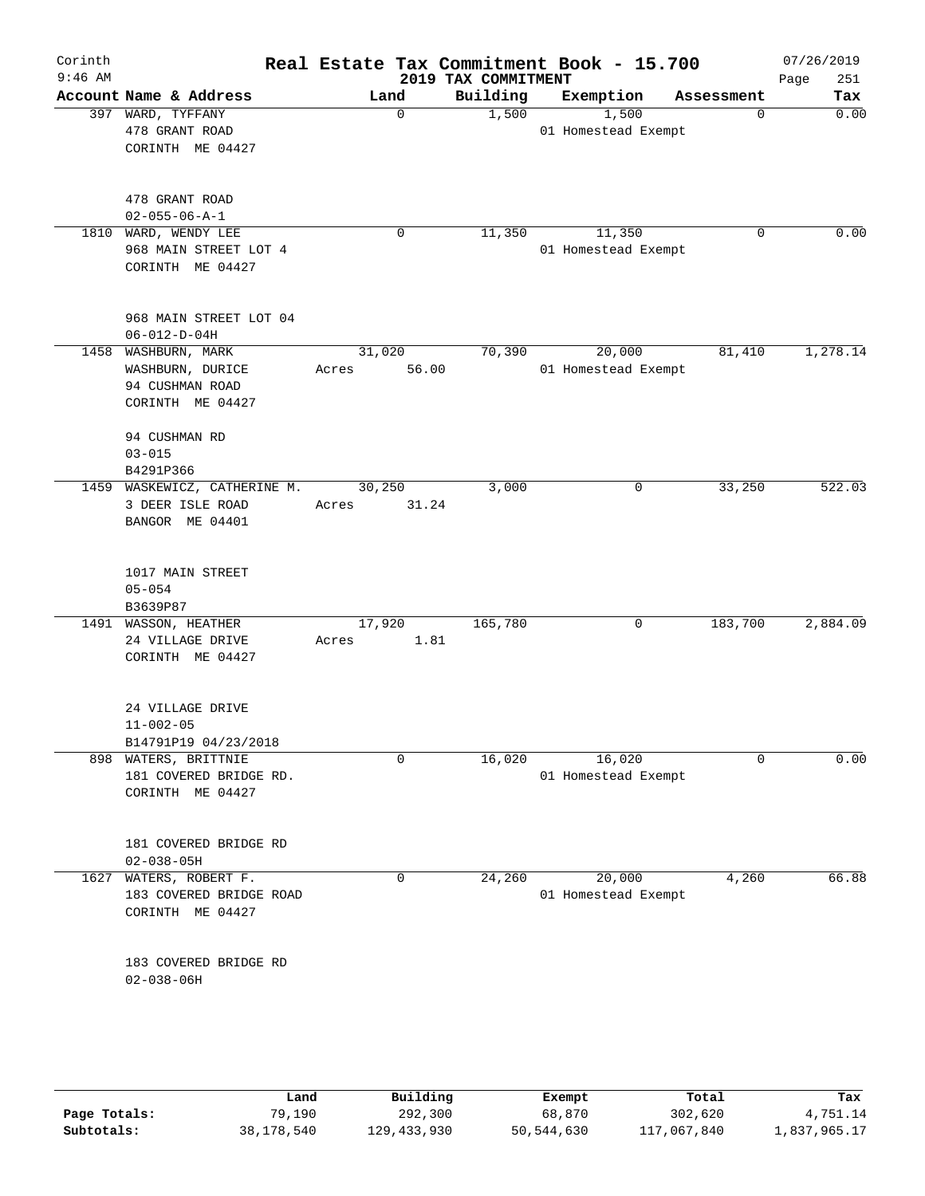| Corinth<br>$9:46$ AM |                                                                                                 |                          | 2019 TAX COMMITMENT | Real Estate Tax Commitment Book - 15.700 |            | 07/26/2019<br>251<br>Page |
|----------------------|-------------------------------------------------------------------------------------------------|--------------------------|---------------------|------------------------------------------|------------|---------------------------|
|                      | Account Name & Address                                                                          | Land                     | Building            | Exemption                                | Assessment | Tax                       |
|                      | 397 WARD, TYFFANY<br>478 GRANT ROAD<br>CORINTH ME 04427                                         | $\Omega$                 | 1,500               | 1,500<br>01 Homestead Exempt             | 0          | 0.00                      |
|                      | 478 GRANT ROAD<br>$02 - 055 - 06 - A - 1$                                                       |                          |                     |                                          |            |                           |
|                      | 1810 WARD, WENDY LEE<br>968 MAIN STREET LOT 4<br>CORINTH ME 04427                               | $\mathbf 0$              | 11,350              | 11,350<br>01 Homestead Exempt            | 0          | 0.00                      |
|                      | 968 MAIN STREET LOT 04<br>$06 - 012 - D - 04H$                                                  |                          |                     |                                          |            |                           |
|                      | 1458 WASHBURN, MARK<br>WASHBURN, DURICE<br>94 CUSHMAN ROAD<br>CORINTH ME 04427<br>94 CUSHMAN RD | 31,020<br>56.00<br>Acres | 70,390              | 20,000<br>01 Homestead Exempt            | 81,410     | 1,278.14                  |
|                      | $03 - 015$<br>B4291P366                                                                         |                          |                     |                                          |            |                           |
|                      | 1459 WASKEWICZ, CATHERINE M.<br>3 DEER ISLE ROAD<br>BANGOR ME 04401                             | 30,250<br>31.24<br>Acres | 3,000               | 0                                        | 33,250     | 522.03                    |
|                      | 1017 MAIN STREET<br>$05 - 054$<br>B3639P87                                                      |                          |                     |                                          |            |                           |
|                      | 1491 WASSON, HEATHER<br>24 VILLAGE DRIVE<br>CORINTH ME 04427                                    | 17,920<br>1.81<br>Acres  | 165,780             | 0                                        | 183,700    | 2,884.09                  |
|                      | 24 VILLAGE DRIVE<br>$11 - 002 - 05$<br>B14791P19 04/23/2018                                     |                          |                     |                                          |            |                           |
|                      | 898 WATERS, BRITTNIE<br>181 COVERED BRIDGE RD.<br>CORINTH ME 04427                              | $\mathbf 0$              | 16,020              | 16,020<br>01 Homestead Exempt            | $\Omega$   | 0.00                      |
|                      | 181 COVERED BRIDGE RD<br>$02 - 038 - 05H$                                                       |                          |                     |                                          |            |                           |
| 1627                 | WATERS, ROBERT F.<br>183 COVERED BRIDGE ROAD<br>CORINTH ME 04427                                | 0                        | 24,260              | 20,000<br>01 Homestead Exempt            | 4,260      | 66.88                     |
|                      | 183 COVERED BRIDGE RD<br>$02 - 038 - 06H$                                                       |                          |                     |                                          |            |                           |
|                      |                                                                                                 |                          |                     |                                          |            |                           |

|              | Land       | Building    | Exempt     | Total       | Tax          |
|--------------|------------|-------------|------------|-------------|--------------|
| Page Totals: | 79,190     | 292,300     | 68,870     | 302,620     | 4,751.14     |
| Subtotals:   | 38,178,540 | 129,433,930 | 50,544,630 | 117,067,840 | 1,837,965.17 |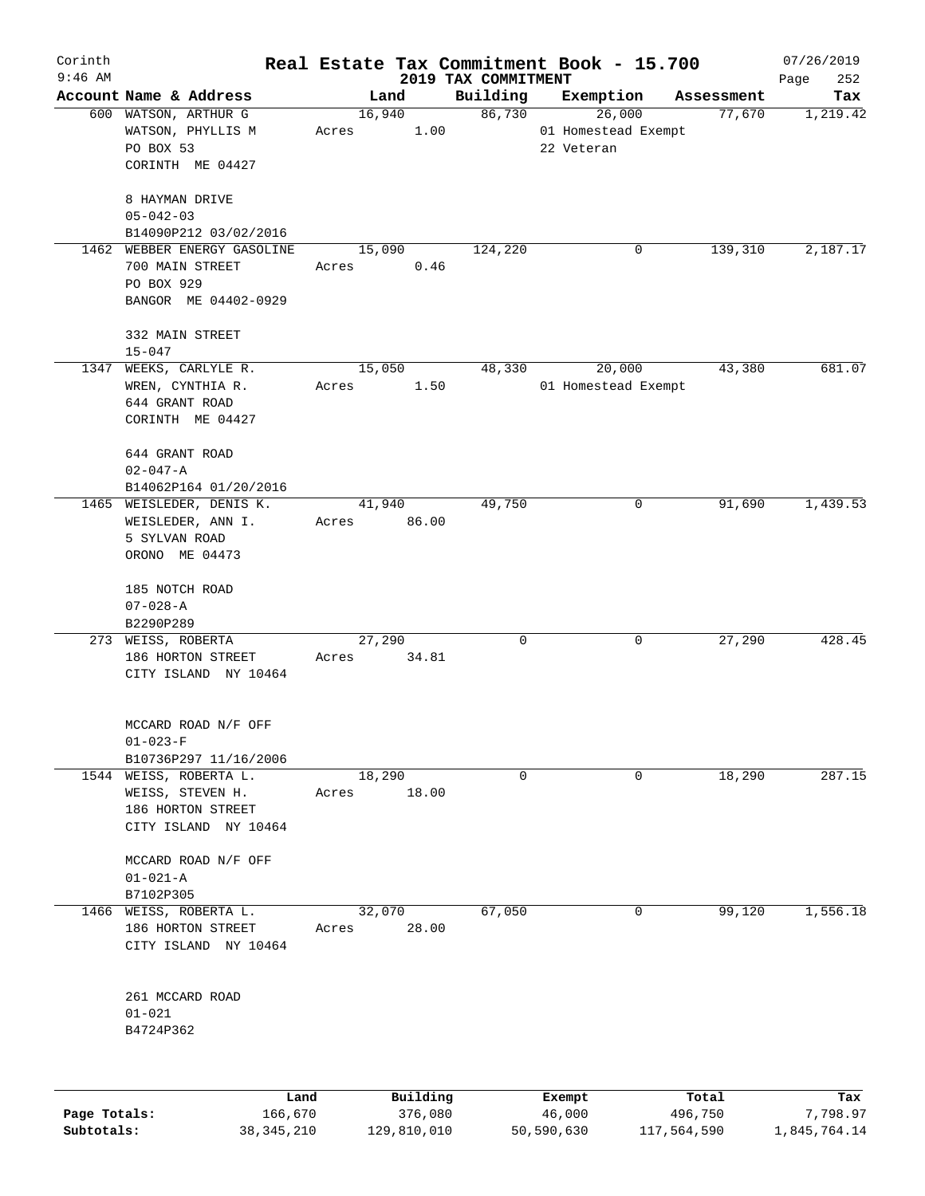| Corinth      |                                                 |             |                     |                                 | Real Estate Tax Commitment Book - 15.700 |                  | 07/26/2019         |
|--------------|-------------------------------------------------|-------------|---------------------|---------------------------------|------------------------------------------|------------------|--------------------|
| $9:46$ AM    | Account Name & Address                          |             | Land                | 2019 TAX COMMITMENT<br>Building | Exemption                                | Assessment       | 252<br>Page<br>Tax |
|              | 600 WATSON, ARTHUR G                            |             | 16,940              | 86,730                          | 26,000                                   | 77,670           | 1,219.42           |
|              | WATSON, PHYLLIS M                               | Acres       | 1.00                |                                 | 01 Homestead Exempt                      |                  |                    |
|              | PO BOX 53                                       |             |                     |                                 | 22 Veteran                               |                  |                    |
|              | CORINTH ME 04427                                |             |                     |                                 |                                          |                  |                    |
|              | 8 HAYMAN DRIVE<br>$05 - 042 - 03$               |             |                     |                                 |                                          |                  |                    |
|              | B14090P212 03/02/2016                           |             |                     |                                 |                                          |                  |                    |
|              | 1462 WEBBER ENERGY GASOLINE                     |             | 15,090              | 124,220                         | 0                                        | 139,310          | 2,187.17           |
|              | 700 MAIN STREET                                 | Acres       | 0.46                |                                 |                                          |                  |                    |
|              | PO BOX 929                                      |             |                     |                                 |                                          |                  |                    |
|              | BANGOR ME 04402-0929                            |             |                     |                                 |                                          |                  |                    |
|              | 332 MAIN STREET                                 |             |                     |                                 |                                          |                  |                    |
|              | $15 - 047$                                      |             |                     |                                 |                                          |                  |                    |
|              | 1347 WEEKS, CARLYLE R.                          |             | 15,050              | 48,330                          | 20,000                                   | 43,380           | 681.07             |
|              | WREN, CYNTHIA R.                                | Acres       | 1.50                |                                 | 01 Homestead Exempt                      |                  |                    |
|              | 644 GRANT ROAD                                  |             |                     |                                 |                                          |                  |                    |
|              | CORINTH ME 04427                                |             |                     |                                 |                                          |                  |                    |
|              | 644 GRANT ROAD                                  |             |                     |                                 |                                          |                  |                    |
|              | $02 - 047 - A$                                  |             |                     |                                 |                                          |                  |                    |
|              | B14062P164 01/20/2016                           |             |                     |                                 |                                          |                  |                    |
|              | 1465 WEISLEDER, DENIS K.                        |             | 41,940              | 49,750                          | 0                                        | 91,690           | 1,439.53           |
|              | WEISLEDER, ANN I.                               | Acres 86.00 |                     |                                 |                                          |                  |                    |
|              | 5 SYLVAN ROAD                                   |             |                     |                                 |                                          |                  |                    |
|              | ORONO ME 04473                                  |             |                     |                                 |                                          |                  |                    |
|              | 185 NOTCH ROAD                                  |             |                     |                                 |                                          |                  |                    |
|              | $07 - 028 - A$                                  |             |                     |                                 |                                          |                  |                    |
|              | B2290P289                                       |             |                     |                                 |                                          |                  |                    |
|              | 273 WEISS, ROBERTA                              |             | 27,290              | 0                               | 0                                        | 27,290           | 428.45             |
|              | 186 HORTON STREET                               | Acres       | 34.81               |                                 |                                          |                  |                    |
|              | CITY ISLAND NY 10464                            |             |                     |                                 |                                          |                  |                    |
|              |                                                 |             |                     |                                 |                                          |                  |                    |
|              | MCCARD ROAD N/F OFF                             |             |                     |                                 |                                          |                  |                    |
|              | $01 - 023 - F$                                  |             |                     |                                 |                                          |                  |                    |
|              | B10736P297 11/16/2006<br>1544 WEISS, ROBERTA L. |             | 18,290              | $\mathbf 0$                     | 0                                        | 18,290           | 287.15             |
|              | WEISS, STEVEN H.                                |             | 18.00               |                                 |                                          |                  |                    |
|              | 186 HORTON STREET                               | Acres       |                     |                                 |                                          |                  |                    |
|              | CITY ISLAND NY 10464                            |             |                     |                                 |                                          |                  |                    |
|              |                                                 |             |                     |                                 |                                          |                  |                    |
|              | MCCARD ROAD N/F OFF                             |             |                     |                                 |                                          |                  |                    |
|              | $01 - 021 - A$                                  |             |                     |                                 |                                          |                  |                    |
| 1466         | B7102P305<br>WEISS, ROBERTA L.                  |             | 32,070              | 67,050                          | 0                                        | 99,120           | 1,556.18           |
|              | 186 HORTON STREET                               | Acres       | 28.00               |                                 |                                          |                  |                    |
|              |                                                 |             |                     |                                 |                                          |                  |                    |
|              | CITY ISLAND NY 10464                            |             |                     |                                 |                                          |                  |                    |
|              | 261 MCCARD ROAD                                 |             |                     |                                 |                                          |                  |                    |
|              | $01 - 021$                                      |             |                     |                                 |                                          |                  |                    |
|              | B4724P362                                       |             |                     |                                 |                                          |                  |                    |
|              |                                                 |             |                     |                                 |                                          |                  |                    |
|              |                                                 |             |                     |                                 |                                          |                  |                    |
| Page Totals: | Land<br>166,670                                 |             | Building<br>376,080 |                                 | Exempt<br>46,000                         | Total<br>496,750 | Tax<br>7,798.97    |

**Subtotals:** 38,345,210 129,810,010 50,590,630 117,564,590 1,845,764.14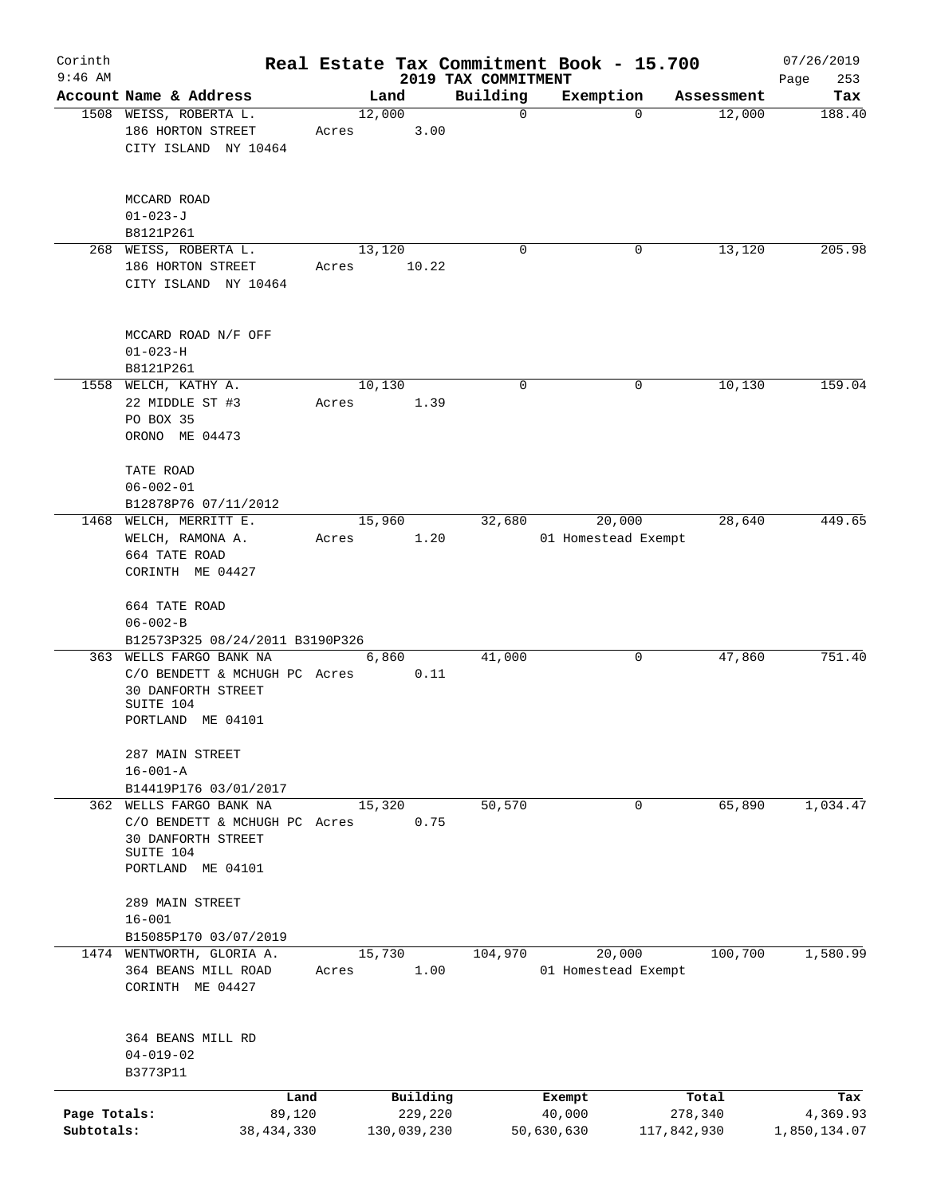| Corinth      |                                                                                       |       |             |         |                     | Real Estate Tax Commitment Book - 15.700 |             |            | 07/26/2019   |
|--------------|---------------------------------------------------------------------------------------|-------|-------------|---------|---------------------|------------------------------------------|-------------|------------|--------------|
| $9:46$ AM    |                                                                                       |       |             |         | 2019 TAX COMMITMENT |                                          |             |            | Page<br>253  |
|              | Account Name & Address                                                                |       | Land        |         | Building            | Exemption                                |             | Assessment | Tax          |
|              | 1508 WEISS, ROBERTA L.<br>186 HORTON STREET<br>CITY ISLAND NY 10464                   | Acres | 12,000      | 3.00    | $\mathbf 0$         |                                          | $\mathbf 0$ | 12,000     | 188.40       |
|              | MCCARD ROAD<br>$01 - 023 - J$<br>B8121P261                                            |       |             |         |                     |                                          |             |            |              |
|              | 268 WEISS, ROBERTA L.                                                                 |       | 13,120      |         | 0                   |                                          | 0           | 13,120     | 205.98       |
|              | 186 HORTON STREET<br>CITY ISLAND NY 10464                                             | Acres |             | 10.22   |                     |                                          |             |            |              |
|              | MCCARD ROAD N/F OFF<br>$01 - 023 - H$                                                 |       |             |         |                     |                                          |             |            |              |
|              | B8121P261                                                                             |       |             |         |                     |                                          |             |            |              |
|              | 1558 WELCH, KATHY A.<br>22 MIDDLE ST #3<br>PO BOX 35<br>ORONO ME 04473                | Acres | 10,130      | 1.39    | 0                   |                                          | 0           | 10,130     | 159.04       |
|              | TATE ROAD<br>$06 - 002 - 01$<br>B12878P76 07/11/2012                                  |       |             |         |                     |                                          |             |            |              |
|              | 1468 WELCH, MERRITT E.                                                                |       | 15,960      |         | 32,680              | 20,000                                   |             | 28,640     | 449.65       |
|              | WELCH, RAMONA A.                                                                      | Acres |             | 1.20    |                     | 01 Homestead Exempt                      |             |            |              |
|              | 664 TATE ROAD<br>CORINTH ME 04427                                                     |       |             |         |                     |                                          |             |            |              |
|              |                                                                                       |       |             |         |                     |                                          |             |            |              |
|              | 664 TATE ROAD<br>$06 - 002 - B$                                                       |       |             |         |                     |                                          |             |            |              |
|              | B12573P325 08/24/2011 B3190P326                                                       |       |             |         |                     |                                          |             |            |              |
|              | 363 WELLS FARGO BANK NA                                                               |       | 6,860       |         | 41,000              |                                          | 0           | 47,860     | 751.40       |
|              | C/O BENDETT & MCHUGH PC Acres<br>30 DANFORTH STREET<br>SUITE 104<br>PORTLAND ME 04101 |       |             | 0.11    |                     |                                          |             |            |              |
|              |                                                                                       |       |             |         |                     |                                          |             |            |              |
|              | 287 MAIN STREET                                                                       |       |             |         |                     |                                          |             |            |              |
|              | $16 - 001 - A$<br>B14419P176 03/01/2017                                               |       |             |         |                     |                                          |             |            |              |
|              | 362 WELLS FARGO BANK NA                                                               |       | 15,320      |         | 50, 570             |                                          | $\mathbf 0$ | 65,890     | 1,034.47     |
|              | C/O BENDETT & MCHUGH PC Acres                                                         |       |             | 0.75    |                     |                                          |             |            |              |
|              | <b>30 DANFORTH STREET</b>                                                             |       |             |         |                     |                                          |             |            |              |
|              | SUITE 104<br>PORTLAND ME 04101                                                        |       |             |         |                     |                                          |             |            |              |
|              |                                                                                       |       |             |         |                     |                                          |             |            |              |
|              | 289 MAIN STREET                                                                       |       |             |         |                     |                                          |             |            |              |
|              | $16 - 001$                                                                            |       |             |         |                     |                                          |             |            |              |
|              | B15085P170 03/07/2019<br>1474 WENTWORTH, GLORIA A.                                    |       | 15,730      |         | 104,970             | 20,000                                   |             | 100,700    | 1,580.99     |
|              | 364 BEANS MILL ROAD<br>CORINTH ME 04427                                               | Acres |             | 1.00    |                     | 01 Homestead Exempt                      |             |            |              |
|              | 364 BEANS MILL RD<br>$04 - 019 - 02$                                                  |       |             |         |                     |                                          |             |            |              |
|              | B3773P11                                                                              |       |             |         |                     |                                          |             |            |              |
|              | Land                                                                                  |       | Building    |         |                     | Exempt                                   |             | Total      | Tax          |
| Page Totals: | 89,120                                                                                |       |             | 229,220 |                     | 40,000                                   |             | 278,340    | 4,369.93     |
| Subtotals:   | 38, 434, 330                                                                          |       | 130,039,230 |         |                     | 50,630,630                               | 117,842,930 |            | 1,850,134.07 |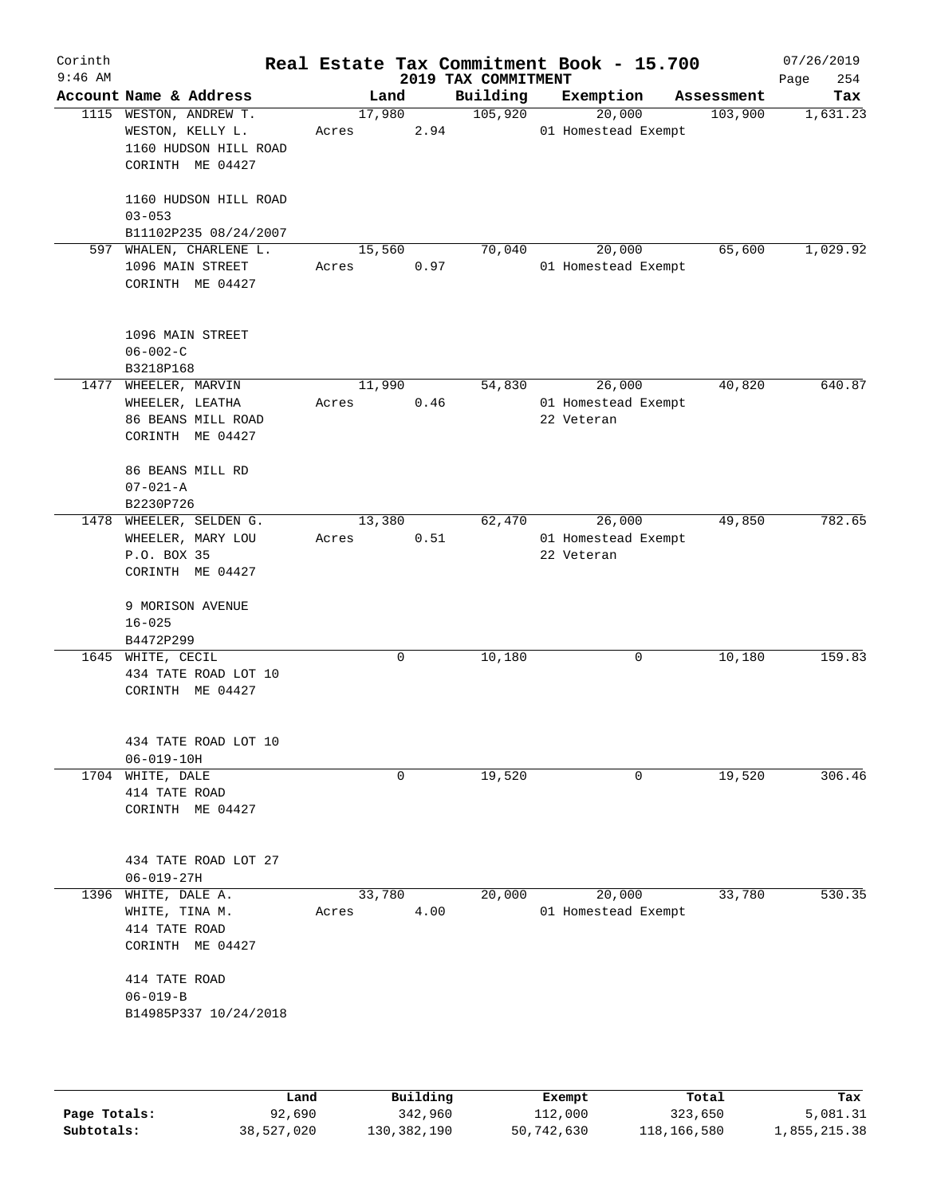| $9:46$ AM |                                                                                         |                 |      | 2019 TAX COMMITMENT | Real Estate Tax Commitment Book - 15.700    |            | 07/26/2019<br>254<br>Page |
|-----------|-----------------------------------------------------------------------------------------|-----------------|------|---------------------|---------------------------------------------|------------|---------------------------|
|           | Account Name & Address                                                                  |                 | Land | Building            | Exemption                                   | Assessment | Tax                       |
|           | 1115 WESTON, ANDREW T.<br>WESTON, KELLY L.<br>1160 HUDSON HILL ROAD<br>CORINTH ME 04427 | 17,980<br>Acres | 2.94 | 105,920             | 20,000<br>01 Homestead Exempt               | 103,900    | 1,631.23                  |
|           | 1160 HUDSON HILL ROAD<br>$03 - 053$<br>B11102P235 08/24/2007                            |                 |      |                     |                                             |            |                           |
| 597       | WHALEN, CHARLENE L.<br>1096 MAIN STREET<br>CORINTH ME 04427                             | 15,560<br>Acres | 0.97 | 70,040              | 20,000<br>01 Homestead Exempt               | 65,600     | 1,029.92                  |
|           | 1096 MAIN STREET<br>$06 - 002 - C$<br>B3218P168                                         |                 |      |                     |                                             |            |                           |
| 1477      | WHEELER, MARVIN<br>WHEELER, LEATHA<br>86 BEANS MILL ROAD<br>CORINTH ME 04427            | 11,990<br>Acres | 0.46 | 54,830              | 26,000<br>01 Homestead Exempt<br>22 Veteran | 40,820     | 640.87                    |
|           | 86 BEANS MILL RD<br>$07 - 021 - A$<br>B2230P726                                         |                 |      |                     |                                             |            |                           |
| 1478      | WHEELER, SELDEN G.<br>WHEELER, MARY LOU<br>P.O. BOX 35<br>CORINTH ME 04427              | 13,380<br>Acres | 0.51 | 62,470              | 26,000<br>01 Homestead Exempt<br>22 Veteran | 49,850     | 782.65                    |
|           | 9 MORISON AVENUE<br>$16 - 025$<br>B4472P299                                             |                 |      |                     |                                             |            |                           |
| 1645      | WHITE, CECIL<br>434 TATE ROAD LOT 10<br>CORINTH ME 04427                                |                 | 0    | 10,180              | 0                                           | 10,180     | 159.83                    |
|           | 434 TATE ROAD LOT 10<br>$06 - 019 - 10H$                                                |                 |      |                     |                                             |            |                           |
| 1704      | WHITE, DALE<br>414 TATE ROAD<br>CORINTH ME 04427                                        |                 | 0    | 19,520              | 0                                           | 19,520     | 306.46                    |
|           | 434 TATE ROAD LOT 27<br>$06 - 019 - 27H$                                                |                 |      |                     |                                             |            |                           |
| 1396      | WHITE, DALE A.<br>WHITE, TINA M.<br>414 TATE ROAD<br>CORINTH ME 04427                   | 33,780<br>Acres | 4.00 | 20,000              | 20,000<br>01 Homestead Exempt               | 33,780     | 530.35                    |
|           | 414 TATE ROAD<br>$06 - 019 - B$<br>B14985P337 10/24/2018                                |                 |      |                     |                                             |            |                           |

|              | Land       | Building    | Exempt     | Total       | Tax          |
|--------------|------------|-------------|------------|-------------|--------------|
| Page Totals: | 92,690     | 342,960     | 112,000    | 323,650     | 5,081.31     |
| Subtotals:   | 38,527,020 | 130,382,190 | 50,742,630 | 118,166,580 | 1,855,215.38 |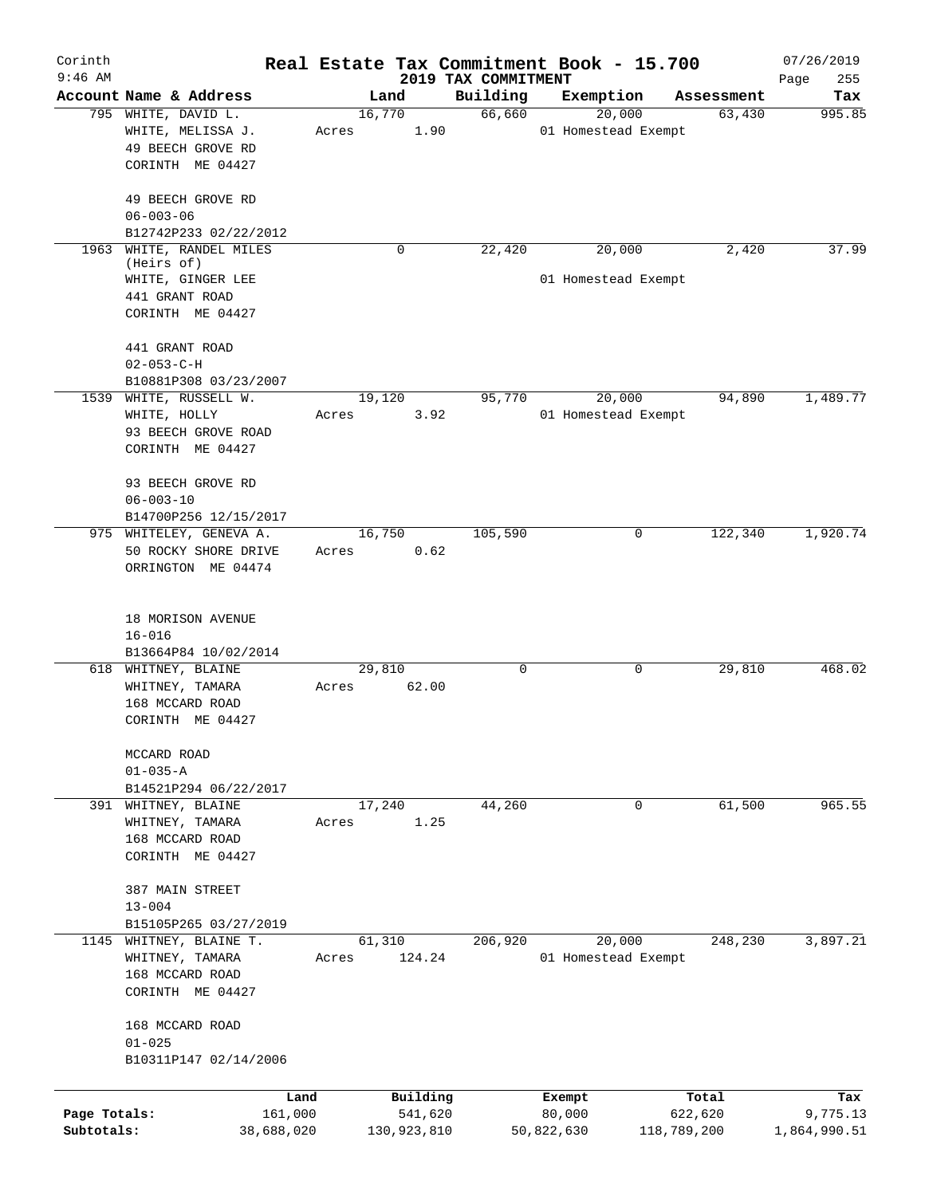| Corinth<br>$9:46$ AM       |                                                                                              |                           |                                 | Real Estate Tax Commitment Book - 15.700 |                        | 07/26/2019               |
|----------------------------|----------------------------------------------------------------------------------------------|---------------------------|---------------------------------|------------------------------------------|------------------------|--------------------------|
|                            | Account Name & Address                                                                       | Land                      | 2019 TAX COMMITMENT<br>Building | Exemption                                | Assessment             | 255<br>Page<br>Tax       |
|                            | 795 WHITE, DAVID L.<br>WHITE, MELISSA J.<br>49 BEECH GROVE RD<br>CORINTH ME 04427            | 16,770<br>1.90<br>Acres   | 66,660                          | 20,000<br>01 Homestead Exempt            | 63,430                 | 995.85                   |
|                            | 49 BEECH GROVE RD<br>$06 - 003 - 06$<br>B12742P233 02/22/2012                                |                           |                                 |                                          |                        |                          |
| 1963                       | WHITE, RANDEL MILES<br>(Heirs of)<br>WHITE, GINGER LEE<br>441 GRANT ROAD<br>CORINTH ME 04427 | $\mathbf 0$               | 22,420                          | 20,000<br>01 Homestead Exempt            | 2,420                  | 37.99                    |
|                            | 441 GRANT ROAD<br>$02 - 053 - C - H$<br>B10881P308 03/23/2007                                |                           |                                 |                                          |                        |                          |
|                            | 1539 WHITE, RUSSELL W.<br>WHITE, HOLLY<br>93 BEECH GROVE ROAD<br>CORINTH ME 04427            | 19,120<br>3.92<br>Acres   | 95,770                          | 20,000<br>01 Homestead Exempt            | 94,890                 | 1,489.77                 |
|                            | 93 BEECH GROVE RD<br>$06 - 003 - 10$<br>B14700P256 12/15/2017                                |                           |                                 |                                          |                        |                          |
|                            | 975 WHITELEY, GENEVA A.<br>50 ROCKY SHORE DRIVE<br>ORRINGTON ME 04474                        | 16,750<br>0.62<br>Acres   | 105,590                         | 0                                        | 122,340                | 1,920.74                 |
|                            | 18 MORISON AVENUE<br>$16 - 016$<br>B13664P84 10/02/2014                                      |                           |                                 |                                          |                        |                          |
|                            | 618 WHITNEY, BLAINE<br>WHITNEY, TAMARA<br>168 MCCARD ROAD<br>CORINTH ME 04427                | 29,810<br>62.00<br>Acres  | $\mathbf 0$                     | 0                                        | 29,810                 | 468.02                   |
|                            | MCCARD ROAD<br>$01 - 035 - A$<br>B14521P294 06/22/2017                                       |                           |                                 |                                          |                        |                          |
|                            | 391 WHITNEY, BLAINE<br>WHITNEY, TAMARA<br>168 MCCARD ROAD<br>CORINTH ME 04427                | 17,240<br>1.25<br>Acres   | 44,260                          | 0                                        | 61,500                 | 965.55                   |
|                            | 387 MAIN STREET<br>$13 - 004$<br>B15105P265 03/27/2019                                       |                           |                                 |                                          |                        |                          |
|                            | 1145 WHITNEY, BLAINE T.<br>WHITNEY, TAMARA<br>168 MCCARD ROAD<br>CORINTH ME 04427            | 61,310<br>124.24<br>Acres | 206,920                         | 20,000<br>01 Homestead Exempt            | 248,230                | 3,897.21                 |
|                            | 168 MCCARD ROAD<br>$01 - 025$<br>B10311P147 02/14/2006                                       |                           |                                 |                                          |                        |                          |
|                            | Land                                                                                         | Building                  |                                 | Exempt                                   | Total                  | Tax                      |
| Page Totals:<br>Subtotals: | 161,000<br>38,688,020                                                                        | 541,620<br>130,923,810    |                                 | 80,000<br>50,822,630                     | 622,620<br>118,789,200 | 9,775.13<br>1,864,990.51 |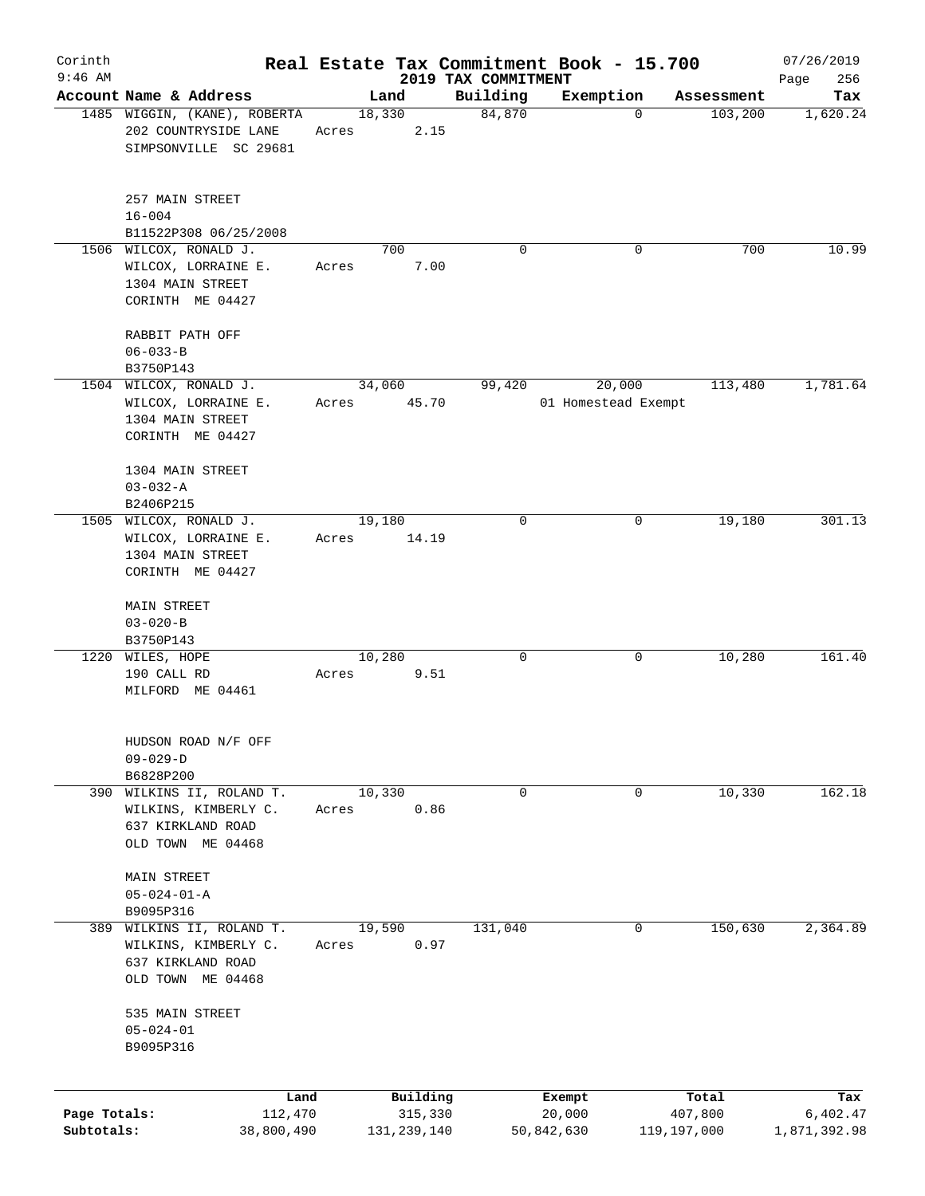| Corinth                    |                                                             |       |                        |                                 | Real Estate Tax Commitment Book - 15.700 |                        | 07/26/2019               |
|----------------------------|-------------------------------------------------------------|-------|------------------------|---------------------------------|------------------------------------------|------------------------|--------------------------|
| $9:46$ AM                  | Account Name & Address                                      |       | Land                   | 2019 TAX COMMITMENT<br>Building | Exemption                                |                        | 256<br>Page              |
|                            | 1485 WIGGIN, (KANE), ROBERTA<br>202 COUNTRYSIDE LANE        | Acres | 18,330<br>2.15         | 84,870                          | $\mathbf 0$                              | Assessment<br>103,200  | Tax<br>1,620.24          |
|                            | SIMPSONVILLE SC 29681                                       |       |                        |                                 |                                          |                        |                          |
|                            | 257 MAIN STREET<br>$16 - 004$                               |       |                        |                                 |                                          |                        |                          |
|                            | B11522P308 06/25/2008                                       |       |                        |                                 |                                          |                        |                          |
|                            | 1506 WILCOX, RONALD J.                                      |       | 700                    | $\Omega$                        | $\Omega$                                 | 700                    | 10.99                    |
|                            | WILCOX, LORRAINE E.<br>1304 MAIN STREET<br>CORINTH ME 04427 | Acres | 7.00                   |                                 |                                          |                        |                          |
|                            |                                                             |       |                        |                                 |                                          |                        |                          |
|                            | RABBIT PATH OFF                                             |       |                        |                                 |                                          |                        |                          |
|                            | $06 - 033 - B$                                              |       |                        |                                 |                                          |                        |                          |
|                            | B3750P143<br>1504 WILCOX, RONALD J.                         |       | 34,060                 | 99,420                          | 20,000                                   | 113,480                | 1,781.64                 |
|                            | WILCOX, LORRAINE E.                                         | Acres | 45.70                  |                                 | 01 Homestead Exempt                      |                        |                          |
|                            | 1304 MAIN STREET                                            |       |                        |                                 |                                          |                        |                          |
|                            | CORINTH ME 04427                                            |       |                        |                                 |                                          |                        |                          |
|                            | 1304 MAIN STREET                                            |       |                        |                                 |                                          |                        |                          |
|                            | $03 - 032 - A$                                              |       |                        |                                 |                                          |                        |                          |
|                            | B2406P215                                                   |       |                        |                                 |                                          |                        |                          |
|                            | 1505 WILCOX, RONALD J.                                      |       | 19,180                 | $\mathbf 0$                     | 0                                        | 19,180                 | 301.13                   |
|                            | WILCOX, LORRAINE E.                                         | Acres | 14.19                  |                                 |                                          |                        |                          |
|                            | 1304 MAIN STREET                                            |       |                        |                                 |                                          |                        |                          |
|                            | CORINTH ME 04427                                            |       |                        |                                 |                                          |                        |                          |
|                            | MAIN STREET                                                 |       |                        |                                 |                                          |                        |                          |
|                            | $03 - 020 - B$                                              |       |                        |                                 |                                          |                        |                          |
|                            | B3750P143                                                   |       |                        |                                 |                                          |                        |                          |
|                            | 1220 WILES, HOPE<br>190 CALL RD                             |       | 10,280<br>9.51         | $\mathbf 0$                     | 0                                        | 10,280                 | 161.40                   |
|                            | MILFORD ME 04461                                            | Acres |                        |                                 |                                          |                        |                          |
|                            |                                                             |       |                        |                                 |                                          |                        |                          |
|                            | HUDSON ROAD N/F OFF                                         |       |                        |                                 |                                          |                        |                          |
|                            | $09 - 029 - D$                                              |       |                        |                                 |                                          |                        |                          |
|                            | B6828P200                                                   |       |                        |                                 |                                          |                        |                          |
|                            | 390 WILKINS II, ROLAND T.                                   |       | 10,330                 | 0                               | 0                                        | 10,330                 | 162.18                   |
|                            | WILKINS, KIMBERLY C.                                        | Acres | 0.86                   |                                 |                                          |                        |                          |
|                            | 637 KIRKLAND ROAD                                           |       |                        |                                 |                                          |                        |                          |
|                            | OLD TOWN ME 04468                                           |       |                        |                                 |                                          |                        |                          |
|                            | MAIN STREET                                                 |       |                        |                                 |                                          |                        |                          |
|                            | $05 - 024 - 01 - A$                                         |       |                        |                                 |                                          |                        |                          |
|                            | B9095P316                                                   |       |                        |                                 |                                          |                        |                          |
| 389                        | WILKINS II, ROLAND T.                                       |       | 19,590                 | 131,040                         | 0                                        | 150,630                | 2,364.89                 |
|                            | WILKINS, KIMBERLY C.                                        | Acres | 0.97                   |                                 |                                          |                        |                          |
|                            | 637 KIRKLAND ROAD                                           |       |                        |                                 |                                          |                        |                          |
|                            | OLD TOWN ME 04468                                           |       |                        |                                 |                                          |                        |                          |
|                            | 535 MAIN STREET                                             |       |                        |                                 |                                          |                        |                          |
|                            | $05 - 024 - 01$                                             |       |                        |                                 |                                          |                        |                          |
|                            | B9095P316                                                   |       |                        |                                 |                                          |                        |                          |
|                            |                                                             |       |                        |                                 |                                          |                        |                          |
|                            | Land                                                        |       | Building               |                                 | Exempt                                   | Total                  | Tax                      |
| Page Totals:<br>Subtotals: | 112,470<br>38,800,490                                       |       | 315,330<br>131,239,140 |                                 | 20,000<br>50,842,630                     | 407,800<br>119,197,000 | 6,402.47<br>1,871,392.98 |
|                            |                                                             |       |                        |                                 |                                          |                        |                          |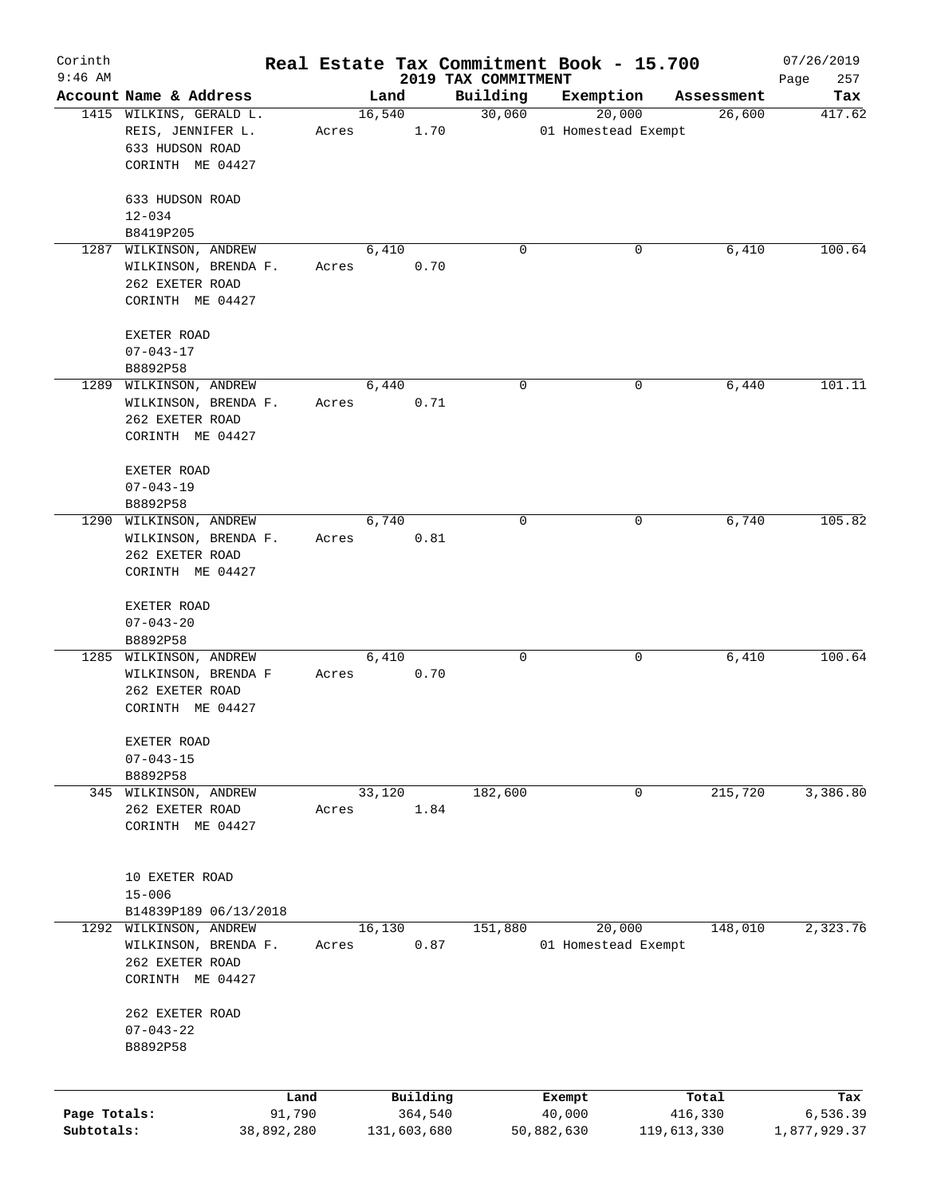| Corinth      |                                              |            |       |                |             |                     | Real Estate Tax Commitment Book - 15.700 |                      | 07/26/2019    |
|--------------|----------------------------------------------|------------|-------|----------------|-------------|---------------------|------------------------------------------|----------------------|---------------|
| $9:46$ AM    |                                              |            |       |                |             | 2019 TAX COMMITMENT |                                          |                      | 257<br>Page   |
|              | Account Name & Address                       |            |       | Land<br>16,540 |             | Building<br>30,060  | Exemption<br>20,000                      | Assessment<br>26,600 | Tax<br>417.62 |
|              | 1415 WILKINS, GERALD L.<br>REIS, JENNIFER L. |            | Acres |                | 1.70        |                     | 01 Homestead Exempt                      |                      |               |
|              | 633 HUDSON ROAD                              |            |       |                |             |                     |                                          |                      |               |
|              | CORINTH ME 04427                             |            |       |                |             |                     |                                          |                      |               |
|              |                                              |            |       |                |             |                     |                                          |                      |               |
|              | 633 HUDSON ROAD                              |            |       |                |             |                     |                                          |                      |               |
|              | $12 - 034$                                   |            |       |                |             |                     |                                          |                      |               |
|              | B8419P205                                    |            |       |                |             |                     |                                          |                      |               |
|              | 1287 WILKINSON, ANDREW                       |            |       | 6,410          |             | $\Omega$            |                                          | 6,410<br>0           | 100.64        |
|              | WILKINSON, BRENDA F.                         |            | Acres |                | 0.70        |                     |                                          |                      |               |
|              | 262 EXETER ROAD                              |            |       |                |             |                     |                                          |                      |               |
|              | CORINTH ME 04427                             |            |       |                |             |                     |                                          |                      |               |
|              | EXETER ROAD                                  |            |       |                |             |                     |                                          |                      |               |
|              |                                              |            |       |                |             |                     |                                          |                      |               |
|              | $07 - 043 - 17$<br>B8892P58                  |            |       |                |             |                     |                                          |                      |               |
|              | 1289 WILKINSON, ANDREW                       |            |       |                |             | 0                   |                                          | 0                    | 101.11        |
|              |                                              |            |       | 6,440          |             |                     |                                          | 6,440                |               |
|              | WILKINSON, BRENDA F.                         |            | Acres |                | 0.71        |                     |                                          |                      |               |
|              | 262 EXETER ROAD                              |            |       |                |             |                     |                                          |                      |               |
|              | CORINTH ME 04427                             |            |       |                |             |                     |                                          |                      |               |
|              | EXETER ROAD                                  |            |       |                |             |                     |                                          |                      |               |
|              | $07 - 043 - 19$                              |            |       |                |             |                     |                                          |                      |               |
|              | B8892P58                                     |            |       |                |             |                     |                                          |                      |               |
|              | 1290 WILKINSON, ANDREW                       |            |       | 6,740          |             | 0                   |                                          | 6,740<br>0           | 105.82        |
|              | WILKINSON, BRENDA F.                         |            | Acres |                | 0.81        |                     |                                          |                      |               |
|              | 262 EXETER ROAD                              |            |       |                |             |                     |                                          |                      |               |
|              | CORINTH ME 04427                             |            |       |                |             |                     |                                          |                      |               |
|              |                                              |            |       |                |             |                     |                                          |                      |               |
|              | EXETER ROAD                                  |            |       |                |             |                     |                                          |                      |               |
|              | $07 - 043 - 20$                              |            |       |                |             |                     |                                          |                      |               |
|              | B8892P58                                     |            |       |                |             |                     |                                          |                      |               |
|              | 1285 WILKINSON, ANDREW                       |            |       | 6,410          |             | 0                   |                                          | 6,410<br>0           | 100.64        |
|              | WILKINSON, BRENDA F                          |            | Acres |                | 0.70        |                     |                                          |                      |               |
|              | 262 EXETER ROAD                              |            |       |                |             |                     |                                          |                      |               |
|              | CORINTH ME 04427                             |            |       |                |             |                     |                                          |                      |               |
|              |                                              |            |       |                |             |                     |                                          |                      |               |
|              | EXETER ROAD                                  |            |       |                |             |                     |                                          |                      |               |
|              | $07 - 043 - 15$                              |            |       |                |             |                     |                                          |                      |               |
|              | B8892P58                                     |            |       |                |             |                     |                                          |                      |               |
|              | 345 WILKINSON, ANDREW                        |            |       | 33,120         |             | 182,600             |                                          | 215,720<br>0         | 3,386.80      |
|              | 262 EXETER ROAD                              |            | Acres |                | 1.84        |                     |                                          |                      |               |
|              | CORINTH ME 04427                             |            |       |                |             |                     |                                          |                      |               |
|              |                                              |            |       |                |             |                     |                                          |                      |               |
|              | 10 EXETER ROAD                               |            |       |                |             |                     |                                          |                      |               |
|              | $15 - 006$                                   |            |       |                |             |                     |                                          |                      |               |
|              | B14839P189 06/13/2018                        |            |       |                |             |                     |                                          |                      |               |
| 1292         | WILKINSON, ANDREW                            |            |       | 16,130         |             | 151,880             | 20,000                                   | 148,010              | 2,323.76      |
|              | WILKINSON, BRENDA F.                         |            | Acres |                | 0.87        |                     | 01 Homestead Exempt                      |                      |               |
|              | 262 EXETER ROAD                              |            |       |                |             |                     |                                          |                      |               |
|              | CORINTH ME 04427                             |            |       |                |             |                     |                                          |                      |               |
|              |                                              |            |       |                |             |                     |                                          |                      |               |
|              | 262 EXETER ROAD                              |            |       |                |             |                     |                                          |                      |               |
|              | $07 - 043 - 22$                              |            |       |                |             |                     |                                          |                      |               |
|              | B8892P58                                     |            |       |                |             |                     |                                          |                      |               |
|              |                                              |            |       |                |             |                     |                                          |                      |               |
|              |                                              | Land       |       |                | Building    |                     | Exempt                                   | Total                | Tax           |
| Page Totals: |                                              | 91,790     |       |                | 364,540     |                     | 40,000                                   | 416,330              | 6,536.39      |
| Subtotals:   |                                              | 38,892,280 |       |                | 131,603,680 |                     | 50,882,630                               | 119,613,330          | 1,877,929.37  |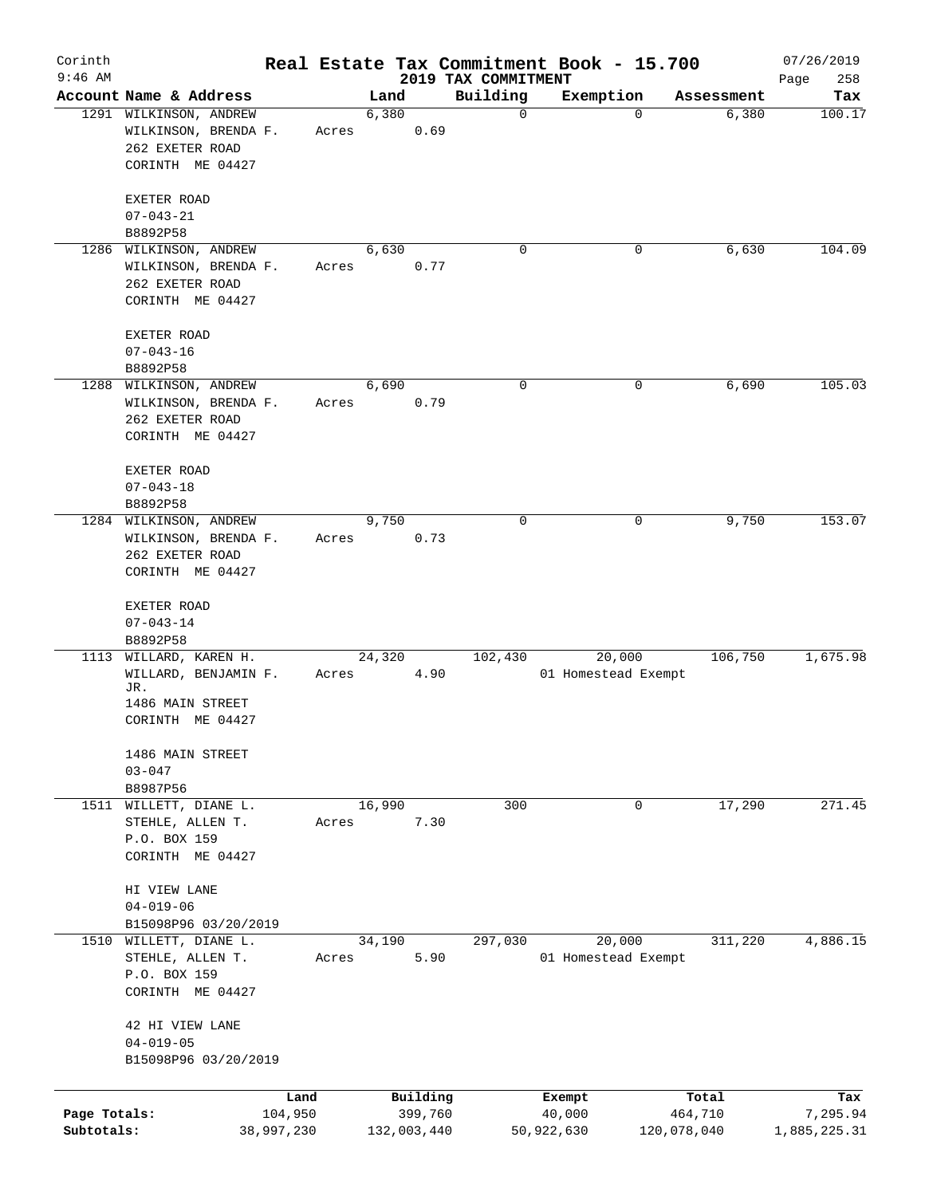| Corinth<br>$9:46$ AM |                                                |            |       |        |             | Real Estate Tax Commitment Book - 15.700 |            |                     |             | 07/26/2019         |
|----------------------|------------------------------------------------|------------|-------|--------|-------------|------------------------------------------|------------|---------------------|-------------|--------------------|
|                      | Account Name & Address                         |            |       | Land   |             | 2019 TAX COMMITMENT<br>Building          | Exemption  |                     | Assessment  | 258<br>Page<br>Tax |
|                      | 1291 WILKINSON, ANDREW                         |            |       | 6,380  |             | $\mathbf 0$                              |            | $\mathbf 0$         | 6,380       | 100.17             |
|                      | WILKINSON, BRENDA F.<br>262 EXETER ROAD        |            | Acres |        | 0.69        |                                          |            |                     |             |                    |
|                      | CORINTH ME 04427                               |            |       |        |             |                                          |            |                     |             |                    |
|                      | <b>EXETER ROAD</b>                             |            |       |        |             |                                          |            |                     |             |                    |
|                      | $07 - 043 - 21$<br>B8892P58                    |            |       |        |             |                                          |            |                     |             |                    |
|                      | 1286 WILKINSON, ANDREW                         |            |       | 6,630  |             | $\mathbf 0$                              |            | 0                   | 6,630       | 104.09             |
|                      | WILKINSON, BRENDA F.                           |            | Acres |        | 0.77        |                                          |            |                     |             |                    |
|                      | 262 EXETER ROAD                                |            |       |        |             |                                          |            |                     |             |                    |
|                      | CORINTH ME 04427                               |            |       |        |             |                                          |            |                     |             |                    |
|                      | EXETER ROAD                                    |            |       |        |             |                                          |            |                     |             |                    |
|                      | $07 - 043 - 16$                                |            |       |        |             |                                          |            |                     |             |                    |
|                      | B8892P58                                       |            |       |        |             | 0                                        |            | 0                   |             | 105.03             |
|                      | 1288 WILKINSON, ANDREW<br>WILKINSON, BRENDA F. |            | Acres | 6,690  | 0.79        |                                          |            |                     | 6,690       |                    |
|                      | 262 EXETER ROAD                                |            |       |        |             |                                          |            |                     |             |                    |
|                      | CORINTH ME 04427                               |            |       |        |             |                                          |            |                     |             |                    |
|                      | EXETER ROAD                                    |            |       |        |             |                                          |            |                     |             |                    |
|                      | $07 - 043 - 18$                                |            |       |        |             |                                          |            |                     |             |                    |
|                      | B8892P58                                       |            |       |        |             |                                          |            |                     |             |                    |
|                      | 1284 WILKINSON, ANDREW                         |            |       | 9,750  |             | $\mathbf 0$                              |            | 0                   | 9,750       | 153.07             |
|                      | WILKINSON, BRENDA F.                           |            | Acres |        | 0.73        |                                          |            |                     |             |                    |
|                      | 262 EXETER ROAD                                |            |       |        |             |                                          |            |                     |             |                    |
|                      | CORINTH ME 04427                               |            |       |        |             |                                          |            |                     |             |                    |
|                      | EXETER ROAD                                    |            |       |        |             |                                          |            |                     |             |                    |
|                      | $07 - 043 - 14$                                |            |       |        |             |                                          |            |                     |             |                    |
|                      | B8892P58<br>1113 WILLARD, KAREN H.             |            |       | 24,320 |             | 102,430                                  |            | 20,000              | 106,750     | 1,675.98           |
|                      | WILLARD, BENJAMIN F.                           |            | Acres |        | 4.90        |                                          |            | 01 Homestead Exempt |             |                    |
|                      | JR.                                            |            |       |        |             |                                          |            |                     |             |                    |
|                      | 1486 MAIN STREET                               |            |       |        |             |                                          |            |                     |             |                    |
|                      | CORINTH ME 04427                               |            |       |        |             |                                          |            |                     |             |                    |
|                      | 1486 MAIN STREET                               |            |       |        |             |                                          |            |                     |             |                    |
|                      | $03 - 047$                                     |            |       |        |             |                                          |            |                     |             |                    |
|                      | B8987P56<br>1511 WILLETT, DIANE L.             |            |       | 16,990 |             | 300                                      |            | $\mathbf 0$         | 17,290      | 271.45             |
|                      | STEHLE, ALLEN T.                               |            | Acres |        | 7.30        |                                          |            |                     |             |                    |
|                      | P.O. BOX 159                                   |            |       |        |             |                                          |            |                     |             |                    |
|                      | CORINTH ME 04427                               |            |       |        |             |                                          |            |                     |             |                    |
|                      | HI VIEW LANE                                   |            |       |        |             |                                          |            |                     |             |                    |
|                      | $04 - 019 - 06$                                |            |       |        |             |                                          |            |                     |             |                    |
|                      | B15098P96 03/20/2019                           |            |       |        |             |                                          |            |                     |             |                    |
|                      | 1510 WILLETT, DIANE L.                         |            |       | 34,190 |             | 297,030                                  |            | 20,000              | 311,220     | 4,886.15           |
|                      | STEHLE, ALLEN T.                               |            | Acres |        | 5.90        |                                          |            | 01 Homestead Exempt |             |                    |
|                      | P.O. BOX 159<br>CORINTH ME 04427               |            |       |        |             |                                          |            |                     |             |                    |
|                      |                                                |            |       |        |             |                                          |            |                     |             |                    |
|                      | 42 HI VIEW LANE                                |            |       |        |             |                                          |            |                     |             |                    |
|                      | $04 - 019 - 05$                                |            |       |        |             |                                          |            |                     |             |                    |
|                      | B15098P96 03/20/2019                           |            |       |        |             |                                          |            |                     |             |                    |
|                      |                                                | Land       |       |        | Building    |                                          | Exempt     |                     | Total       | Tax                |
| Page Totals:         |                                                | 104,950    |       |        | 399,760     |                                          | 40,000     |                     | 464,710     | 7,295.94           |
| Subtotals:           |                                                | 38,997,230 |       |        | 132,003,440 |                                          | 50,922,630 |                     | 120,078,040 | 1,885,225.31       |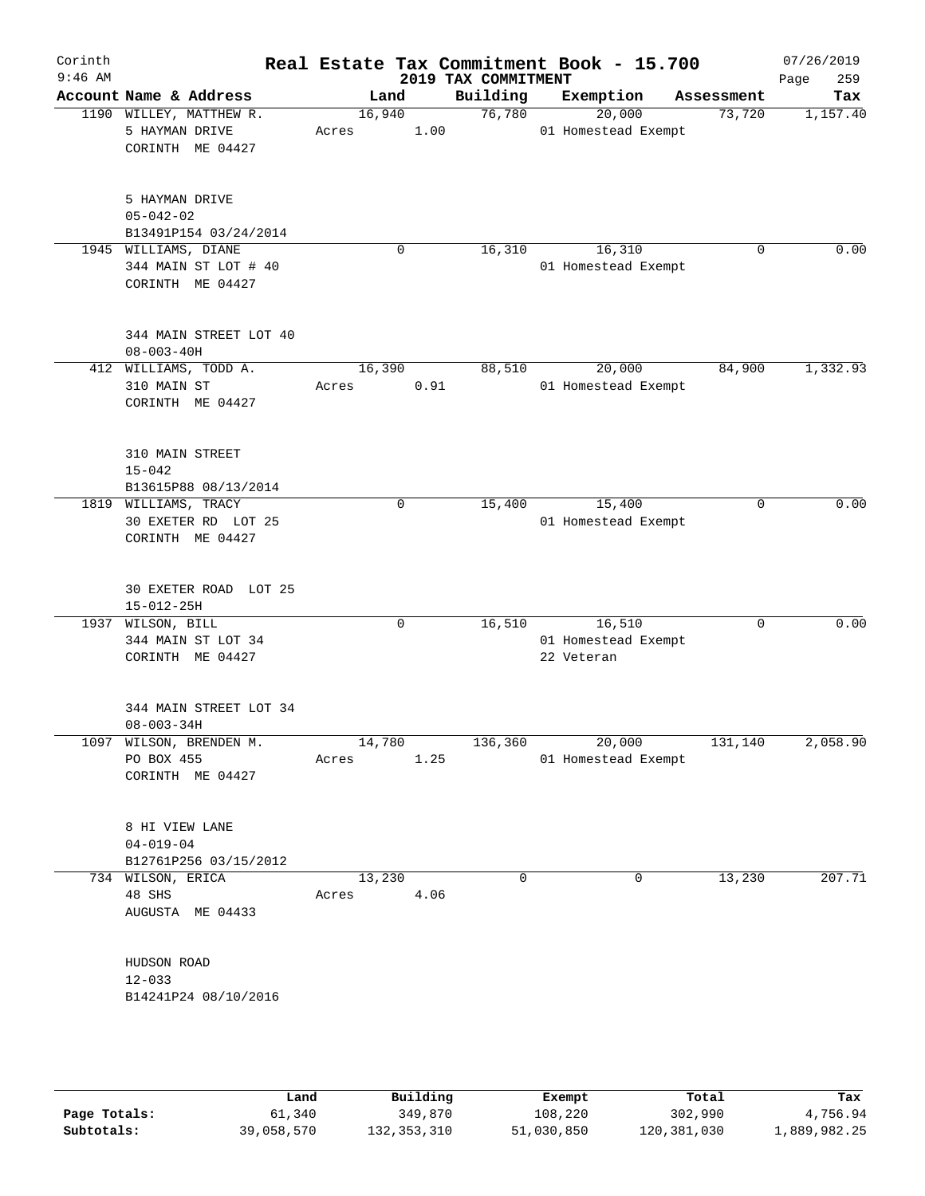|            |                                                                                                                                                                                                                                                                                                                                                                                                                                                                                                                                                                                                                                                                                                                                                                      |                        |               |                            |                                        |           |                                   | 07/26/2019<br>259<br>Page                                                                                                                                                                                   |
|------------|----------------------------------------------------------------------------------------------------------------------------------------------------------------------------------------------------------------------------------------------------------------------------------------------------------------------------------------------------------------------------------------------------------------------------------------------------------------------------------------------------------------------------------------------------------------------------------------------------------------------------------------------------------------------------------------------------------------------------------------------------------------------|------------------------|---------------|----------------------------|----------------------------------------|-----------|-----------------------------------|-------------------------------------------------------------------------------------------------------------------------------------------------------------------------------------------------------------|
|            |                                                                                                                                                                                                                                                                                                                                                                                                                                                                                                                                                                                                                                                                                                                                                                      |                        |               | Building                   |                                        | Exemption |                                   | Tax                                                                                                                                                                                                         |
|            | Acres                                                                                                                                                                                                                                                                                                                                                                                                                                                                                                                                                                                                                                                                                                                                                                |                        |               | 76,780                     |                                        | 20,000    | 73,720                            | 1,157.40                                                                                                                                                                                                    |
|            |                                                                                                                                                                                                                                                                                                                                                                                                                                                                                                                                                                                                                                                                                                                                                                      |                        |               |                            |                                        |           |                                   |                                                                                                                                                                                                             |
|            |                                                                                                                                                                                                                                                                                                                                                                                                                                                                                                                                                                                                                                                                                                                                                                      | 0                      |               | 16,310                     |                                        | 16,310    | $\mathbf 0$                       | 0.00                                                                                                                                                                                                        |
|            |                                                                                                                                                                                                                                                                                                                                                                                                                                                                                                                                                                                                                                                                                                                                                                      |                        |               |                            |                                        |           |                                   |                                                                                                                                                                                                             |
|            | Acres                                                                                                                                                                                                                                                                                                                                                                                                                                                                                                                                                                                                                                                                                                                                                                |                        |               | 88,510                     |                                        | 20,000    | 84,900                            | 1,332.93                                                                                                                                                                                                    |
| $15 - 042$ |                                                                                                                                                                                                                                                                                                                                                                                                                                                                                                                                                                                                                                                                                                                                                                      |                        |               |                            |                                        |           |                                   |                                                                                                                                                                                                             |
|            |                                                                                                                                                                                                                                                                                                                                                                                                                                                                                                                                                                                                                                                                                                                                                                      | 0                      |               | 15,400                     |                                        | 15,400    | $\mathbf 0$                       | 0.00                                                                                                                                                                                                        |
|            |                                                                                                                                                                                                                                                                                                                                                                                                                                                                                                                                                                                                                                                                                                                                                                      |                        |               |                            |                                        |           |                                   |                                                                                                                                                                                                             |
|            |                                                                                                                                                                                                                                                                                                                                                                                                                                                                                                                                                                                                                                                                                                                                                                      | $\Omega$               |               | 16,510                     |                                        | 16,510    | $\Omega$                          | 0.00                                                                                                                                                                                                        |
|            |                                                                                                                                                                                                                                                                                                                                                                                                                                                                                                                                                                                                                                                                                                                                                                      |                        |               |                            |                                        |           |                                   |                                                                                                                                                                                                             |
|            |                                                                                                                                                                                                                                                                                                                                                                                                                                                                                                                                                                                                                                                                                                                                                                      |                        |               | 136,360                    |                                        | 20,000    |                                   | 2,058.90                                                                                                                                                                                                    |
|            |                                                                                                                                                                                                                                                                                                                                                                                                                                                                                                                                                                                                                                                                                                                                                                      |                        |               |                            |                                        |           |                                   |                                                                                                                                                                                                             |
| 48 SHS     | Acres                                                                                                                                                                                                                                                                                                                                                                                                                                                                                                                                                                                                                                                                                                                                                                |                        |               | 0                          |                                        | 0         | 13,230                            | 207.71                                                                                                                                                                                                      |
| $12 - 033$ |                                                                                                                                                                                                                                                                                                                                                                                                                                                                                                                                                                                                                                                                                                                                                                      |                        |               |                            |                                        |           |                                   |                                                                                                                                                                                                             |
|            | Account Name & Address<br>1190 WILLEY, MATTHEW R.<br>5 HAYMAN DRIVE<br>CORINTH ME 04427<br>5 HAYMAN DRIVE<br>$05 - 042 - 02$<br>B13491P154 03/24/2014<br>1945 WILLIAMS, DIANE<br>344 MAIN ST LOT # 40<br>CORINTH ME 04427<br>344 MAIN STREET LOT 40<br>$08 - 003 - 40H$<br>412 WILLIAMS, TODD A.<br>310 MAIN ST<br>CORINTH ME 04427<br>310 MAIN STREET<br>B13615P88 08/13/2014<br>1819 WILLIAMS, TRACY<br>30 EXETER RD LOT 25<br>CORINTH ME 04427<br>30 EXETER ROAD LOT 25<br>$15 - 012 - 25H$<br>1937 WILSON, BILL<br>344 MAIN ST LOT 34<br>CORINTH ME 04427<br>$08 - 003 - 34H$<br>1097 WILSON, BRENDEN M.<br>PO BOX 455<br>CORINTH ME 04427<br>8 HI VIEW LANE<br>$04 - 019 - 04$<br>B12761P256 03/15/2012<br>734 WILSON, ERICA<br>AUGUSTA ME 04433<br>HUDSON ROAD | 344 MAIN STREET LOT 34 | Land<br>Acres | 16,940<br>16,390<br>13,230 | 1.00<br>0.91<br>14,780<br>1.25<br>4.06 |           | 2019 TAX COMMITMENT<br>22 Veteran | Real Estate Tax Commitment Book - 15.700<br>Assessment<br>01 Homestead Exempt<br>01 Homestead Exempt<br>01 Homestead Exempt<br>01 Homestead Exempt<br>01 Homestead Exempt<br>131,140<br>01 Homestead Exempt |

|              | Land       | Building    | Exempt     | Total       | Tax          |
|--------------|------------|-------------|------------|-------------|--------------|
| Page Totals: | 61,340     | 349,870     | 108,220    | 302,990     | 4,756.94     |
| Subtotals:   | 39,058,570 | 132,353,310 | 51,030,850 | 120,381,030 | 1,889,982.25 |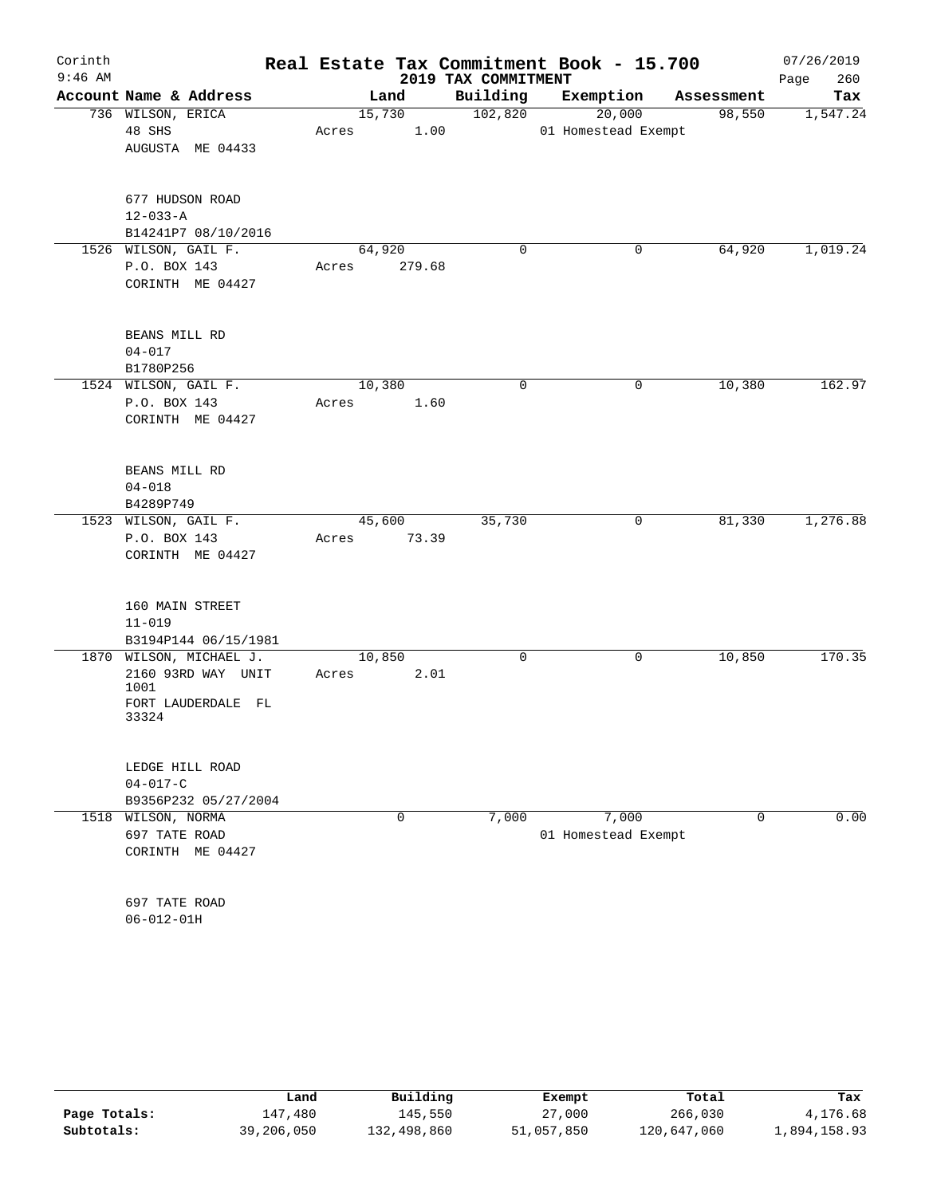| Corinth<br>$9:46$ AM |                                                                                      |       |                  | 2019 TAX COMMITMENT | Real Estate Tax Commitment Book - 15.700 |                | 07/26/2019<br>260<br>Page |
|----------------------|--------------------------------------------------------------------------------------|-------|------------------|---------------------|------------------------------------------|----------------|---------------------------|
|                      | Account Name & Address                                                               |       | Land             | Building            | Exemption                                | Assessment     | Tax                       |
|                      | 736 WILSON, ERICA<br>48 SHS<br>AUGUSTA ME 04433                                      | Acres | 15,730<br>1.00   | 102,820             | 20,000<br>01 Homestead Exempt            | 98,550         | 1,547.24                  |
|                      | 677 HUDSON ROAD<br>$12 - 033 - A$<br>B14241P7 08/10/2016                             |       |                  |                     |                                          |                |                           |
|                      | 1526 WILSON, GAIL F.<br>P.O. BOX 143<br>CORINTH ME 04427                             | Acres | 64,920<br>279.68 | $\mathbf 0$         | 0                                        | 64,920         | 1,019.24                  |
|                      | BEANS MILL RD<br>$04 - 017$<br>B1780P256                                             |       |                  |                     |                                          |                |                           |
|                      | 1524 WILSON, GAIL F.<br>P.O. BOX 143<br>CORINTH ME 04427                             | Acres | 10,380<br>1.60   | $\mathbf 0$         | 0                                        | 10,380         | 162.97                    |
|                      | BEANS MILL RD<br>$04 - 018$<br>B4289P749                                             |       |                  |                     |                                          |                |                           |
|                      | 1523 WILSON, GAIL F.<br>P.O. BOX 143<br>CORINTH ME 04427                             | Acres | 45,600<br>73.39  | 35,730              | 0                                        | 81,330         | 1,276.88                  |
|                      | 160 MAIN STREET<br>$11 - 019$<br>B3194P144 06/15/1981                                |       |                  |                     |                                          |                |                           |
|                      | 1870 WILSON, MICHAEL J.<br>2160 93RD WAY UNIT<br>1001<br>FORT LAUDERDALE FL<br>33324 | Acres | 10,850<br>2.01   | 0                   | 0                                        | 10,850         | 170.35                    |
|                      | LEDGE HILL ROAD<br>$04 - 017 - C$<br>B9356P232 05/27/2004                            |       |                  |                     |                                          |                |                           |
|                      | 1518 WILSON, NORMA<br>697 TATE ROAD<br>CORINTH ME 04427                              |       | $\mathbf 0$      | 7,000               | 7,000<br>01 Homestead Exempt             | $\overline{0}$ | 0.00                      |
|                      | 697 TATE ROAD<br>$06 - 012 - 01H$                                                    |       |                  |                     |                                          |                |                           |

|              | Land       | Building    | Exempt     | Total       | Tax          |
|--------------|------------|-------------|------------|-------------|--------------|
| Page Totals: | 147.480    | 145,550     | 27,000     | 266,030     | 4,176.68     |
| Subtotals:   | 39,206,050 | 132,498,860 | 51,057,850 | 120,647,060 | l,894,158.93 |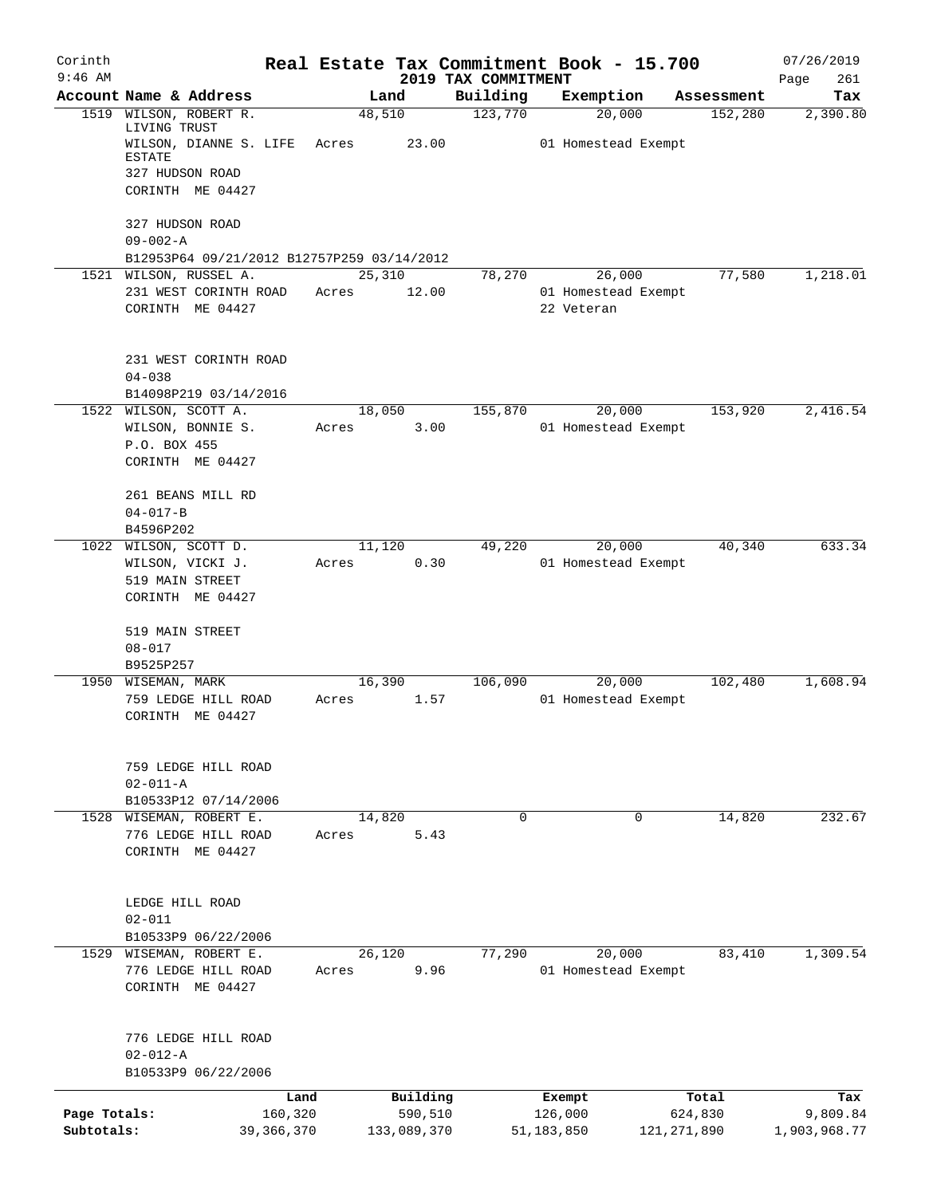| Corinth<br>$9:46$ AM       |                                                                            |        |                                    | 2019 TAX COMMITMENT | Real Estate Tax Commitment Book - 15.700 |                                   | 07/26/2019                      |
|----------------------------|----------------------------------------------------------------------------|--------|------------------------------------|---------------------|------------------------------------------|-----------------------------------|---------------------------------|
|                            | Account Name & Address                                                     |        | Land                               | Building            | Exemption                                | Assessment                        | Page<br>261<br>Tax              |
| 1519                       | WILSON, ROBERT R.                                                          |        | 48,510                             | 123,770             | 20,000                                   | 152,280                           | 2,390.80                        |
|                            | LIVING TRUST<br>WILSON, DIANNE S. LIFE<br><b>ESTATE</b><br>327 HUDSON ROAD | Acres  | 23.00                              |                     | 01 Homestead Exempt                      |                                   |                                 |
|                            | CORINTH ME 04427<br>327 HUDSON ROAD                                        |        |                                    |                     |                                          |                                   |                                 |
|                            | $09 - 002 - A$                                                             |        |                                    |                     |                                          |                                   |                                 |
|                            | B12953P64 09/21/2012 B12757P259 03/14/2012                                 |        |                                    |                     |                                          |                                   |                                 |
|                            | 1521 WILSON, RUSSEL A.                                                     |        | 25,310                             | 78,270              | 26,000                                   | 77,580                            | 1,218.01                        |
|                            | 231 WEST CORINTH ROAD<br>CORINTH ME 04427                                  | Acres  | 12.00                              |                     | 01 Homestead Exempt<br>22 Veteran        |                                   |                                 |
|                            | 231 WEST CORINTH ROAD<br>$04 - 038$                                        |        |                                    |                     |                                          |                                   |                                 |
|                            | B14098P219 03/14/2016                                                      |        |                                    |                     |                                          |                                   |                                 |
|                            | 1522 WILSON, SCOTT A.<br>WILSON, BONNIE S.                                 | Acres  | 18,050<br>3.00                     | 155,870             | 20,000<br>01 Homestead Exempt            | 153,920                           | 2,416.54                        |
|                            | P.O. BOX 455<br>CORINTH ME 04427                                           |        |                                    |                     |                                          |                                   |                                 |
|                            | 261 BEANS MILL RD<br>$04 - 017 - B$                                        |        |                                    |                     |                                          |                                   |                                 |
|                            | B4596P202                                                                  |        |                                    |                     |                                          |                                   |                                 |
|                            | 1022 WILSON, SCOTT D.                                                      | 11,120 |                                    | 49,220              | 20,000                                   | 40,340                            | 633.34                          |
|                            | WILSON, VICKI J.<br>519 MAIN STREET<br>CORINTH ME 04427                    | Acres  | 0.30                               |                     | 01 Homestead Exempt                      |                                   |                                 |
|                            | 519 MAIN STREET<br>$08 - 017$                                              |        |                                    |                     |                                          |                                   |                                 |
|                            | B9525P257                                                                  |        |                                    |                     |                                          |                                   |                                 |
|                            | 1950 WISEMAN, MARK                                                         |        | 16,390                             | 106,090             | 20,000                                   | 102,480                           | 1,608.94                        |
|                            | 759 LEDGE HILL ROAD<br>CORINTH ME 04427                                    | Acres  | 1.57                               |                     | 01 Homestead Exempt                      |                                   |                                 |
|                            | 759 LEDGE HILL ROAD<br>$02 - 011 - A$                                      |        |                                    |                     |                                          |                                   |                                 |
|                            | B10533P12 07/14/2006                                                       |        |                                    |                     |                                          |                                   |                                 |
|                            | 1528 WISEMAN, ROBERT E.                                                    |        | 14,820                             | $\mathbf 0$         | 0                                        | 14,820                            | 232.67                          |
|                            | 776 LEDGE HILL ROAD<br>CORINTH ME 04427                                    | Acres  | 5.43                               |                     |                                          |                                   |                                 |
|                            | LEDGE HILL ROAD<br>$02 - 011$                                              |        |                                    |                     |                                          |                                   |                                 |
|                            | B10533P9 06/22/2006                                                        |        |                                    |                     |                                          |                                   |                                 |
|                            | 1529 WISEMAN, ROBERT E.                                                    |        | 26,120                             | 77,290              | 20,000                                   | 83,410                            | 1,309.54                        |
|                            | 776 LEDGE HILL ROAD<br>CORINTH ME 04427                                    | Acres  | 9.96                               |                     | 01 Homestead Exempt                      |                                   |                                 |
|                            | 776 LEDGE HILL ROAD<br>$02 - 012 - A$                                      |        |                                    |                     |                                          |                                   |                                 |
|                            | B10533P9 06/22/2006                                                        |        |                                    |                     |                                          |                                   |                                 |
| Page Totals:<br>Subtotals: | Land<br>160,320<br>39, 366, 370                                            |        | Building<br>590,510<br>133,089,370 |                     | Exempt<br>126,000<br>51,183,850          | Total<br>624,830<br>121, 271, 890 | Tax<br>9,809.84<br>1,903,968.77 |
|                            |                                                                            |        |                                    |                     |                                          |                                   |                                 |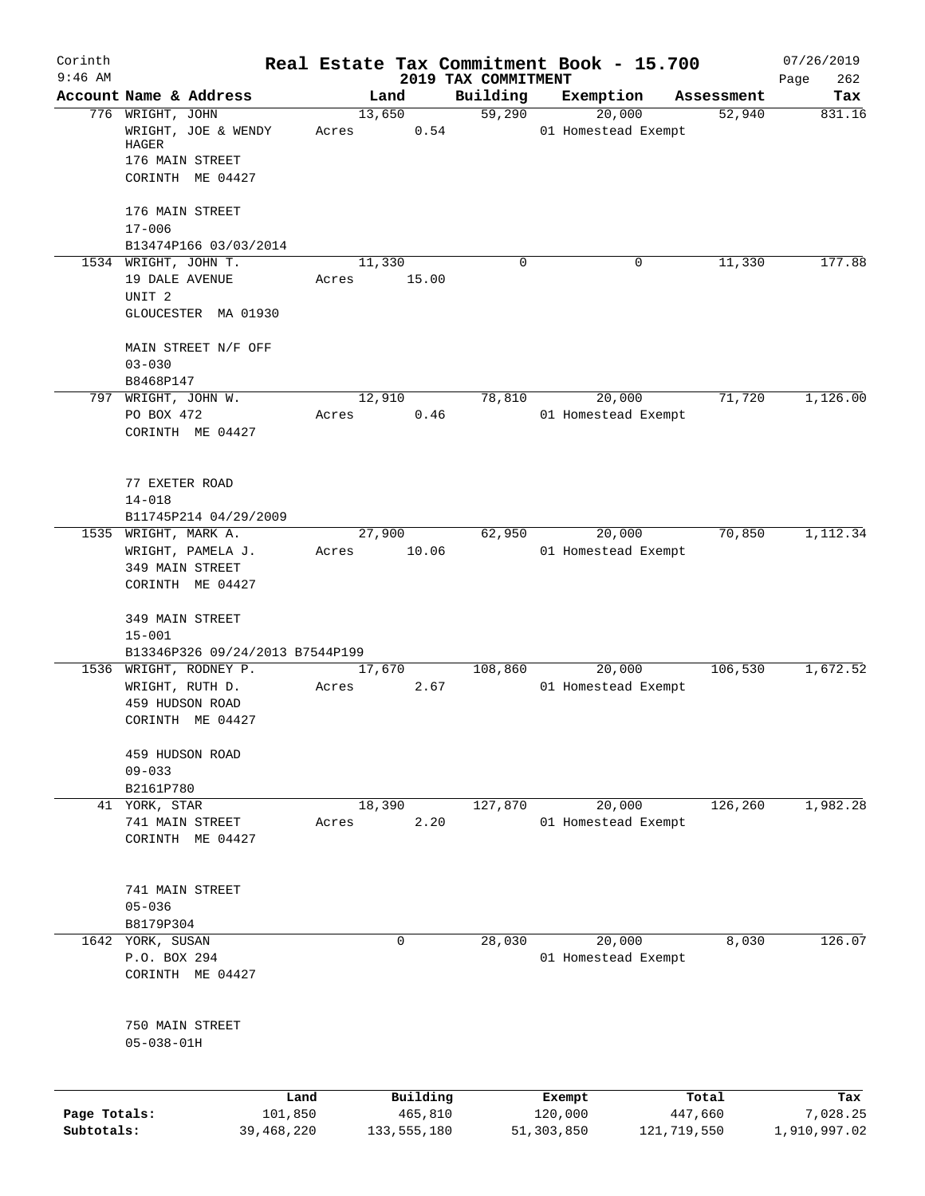| Corinth<br>$9:46$ AM       |                                                                                         |                       | Real Estate Tax Commitment Book - 15.700 |                                 |                               |                        | 07/26/2019               |
|----------------------------|-----------------------------------------------------------------------------------------|-----------------------|------------------------------------------|---------------------------------|-------------------------------|------------------------|--------------------------|
|                            | Account Name & Address                                                                  |                       | Land                                     | 2019 TAX COMMITMENT<br>Building | Exemption                     | Assessment             | 262<br>Page<br>Tax       |
|                            | 776 WRIGHT, JOHN<br>WRIGHT, JOE & WENDY<br>HAGER<br>176 MAIN STREET<br>CORINTH ME 04427 |                       | 13,650<br>0.54<br>Acres                  | 59,290                          | 20,000<br>01 Homestead Exempt | 52,940                 | 831.16                   |
|                            | 176 MAIN STREET<br>$17 - 006$<br>B13474P166 03/03/2014                                  |                       |                                          |                                 |                               |                        |                          |
|                            | 1534 WRIGHT, JOHN T.<br>19 DALE AVENUE<br>UNIT <sub>2</sub><br>GLOUCESTER MA 01930      |                       | 11,330<br>15.00<br>Acres                 | $\Omega$                        | 0                             | 11,330                 | 177.88                   |
|                            | MAIN STREET N/F OFF<br>$03 - 030$<br>B8468P147                                          |                       |                                          |                                 |                               |                        |                          |
|                            | 797 WRIGHT, JOHN W.<br>PO BOX 472<br>CORINTH ME 04427                                   |                       | 12,910<br>0.46<br>Acres                  | 78,810                          | 20,000<br>01 Homestead Exempt | 71,720                 | 1,126.00                 |
|                            | 77 EXETER ROAD<br>$14 - 018$<br>B11745P214 04/29/2009                                   |                       |                                          |                                 |                               |                        |                          |
|                            | 1535 WRIGHT, MARK A.<br>WRIGHT, PAMELA J.<br>349 MAIN STREET<br>CORINTH ME 04427        |                       | 27,900<br>10.06<br>Acres                 | 62,950                          | 20,000<br>01 Homestead Exempt | 70,850                 | 1,112.34                 |
|                            | 349 MAIN STREET<br>$15 - 001$<br>B13346P326 09/24/2013 B7544P199                        |                       |                                          |                                 |                               |                        |                          |
|                            | 1536 WRIGHT, RODNEY P.<br>WRIGHT, RUTH D.<br>459 HUDSON ROAD<br>CORINTH ME 04427        |                       | 17,670<br>2.67<br>Acres                  | 108,860                         | 20,000<br>01 Homestead Exempt | 106,530                | 1,672.52                 |
|                            | 459 HUDSON ROAD<br>$09 - 033$<br>B2161P780                                              |                       |                                          |                                 |                               |                        |                          |
|                            | 41 YORK, STAR<br>741 MAIN STREET<br>CORINTH ME 04427                                    |                       | 18,390<br>2.20<br>Acres                  | 127,870                         | 20,000<br>01 Homestead Exempt | 126,260                | 1,982.28                 |
|                            | 741 MAIN STREET<br>$05 - 036$<br>B8179P304                                              |                       |                                          |                                 |                               |                        |                          |
|                            | 1642 YORK, SUSAN<br>P.O. BOX 294<br>CORINTH ME 04427                                    |                       | $\mathbf 0$                              | 28,030                          | 20,000<br>01 Homestead Exempt | 8,030                  | 126.07                   |
|                            | 750 MAIN STREET<br>$05 - 038 - 01H$                                                     |                       |                                          |                                 |                               |                        |                          |
|                            |                                                                                         | Land                  | Building                                 |                                 | Exempt                        | Total                  | Tax                      |
| Page Totals:<br>Subtotals: |                                                                                         | 101,850<br>39,468,220 | 465,810<br>133, 555, 180                 |                                 | 120,000<br>51,303,850         | 447,660<br>121,719,550 | 7,028.25<br>1,910,997.02 |